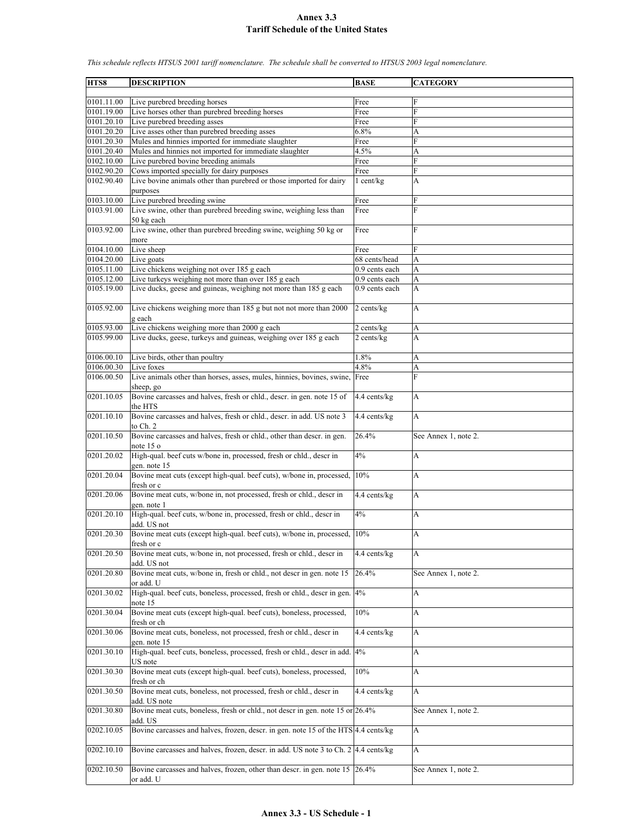| HTS8       | <b>DESCRIPTION</b>                                                                  | <b>BASE</b>    | <b>CATEGORY</b>      |
|------------|-------------------------------------------------------------------------------------|----------------|----------------------|
| 0101.11.00 |                                                                                     |                | F                    |
|            | Live purebred breeding horses                                                       | Free           | F                    |
| 0101.19.00 | Live horses other than purebred breeding horses                                     | Free           |                      |
| 0101.20.10 | Live purebred breeding asses                                                        | Free           | F                    |
| 0101.20.20 | Live asses other than purebred breeding asses                                       | 6.8%           | A                    |
| 0101.20.30 | Mules and hinnies imported for immediate slaughter                                  | Free           | F                    |
| 0101.20.40 | Mules and hinnies not imported for immediate slaughter                              | 4.5%           | A                    |
| 0102.10.00 | Live purebred bovine breeding animals                                               | Free           | F                    |
| 0102.90.20 | Cows imported specially for dairy purposes                                          | Free           | F                    |
| 0102.90.40 | Live bovine animals other than purebred or those imported for dairy                 | 1 cent/kg      | A                    |
|            | purposes                                                                            |                |                      |
| 0103.10.00 | Live purebred breeding swine                                                        | Free           | F                    |
| 0103.91.00 | Live swine, other than purebred breeding swine, weighing less than                  | Free           | F                    |
|            | 50 kg each                                                                          |                |                      |
| 0103.92.00 | Live swine, other than purebred breeding swine, weighing 50 kg or                   | Free           | F                    |
|            | more                                                                                |                |                      |
| 0104.10.00 | Live sheep                                                                          | Free           | F                    |
| 0104.20.00 | Live goats                                                                          | 68 cents/head  | A                    |
| 0105.11.00 | Live chickens weighing not over 185 g each                                          | 0.9 cents each | A                    |
| 0105.12.00 | Live turkeys weighing not more than over 185 g each                                 | 0.9 cents each | A                    |
| 0105.19.00 | Live ducks, geese and guineas, weighing not more than 185 g each                    | 0.9 cents each | A                    |
|            |                                                                                     |                |                      |
|            |                                                                                     |                |                      |
| 0105.92.00 | Live chickens weighing more than 185 g but not not more than 2000                   | 2 cents/kg     | A                    |
|            | g each                                                                              |                |                      |
| 0105.93.00 | Live chickens weighing more than 2000 g each                                        | 2 cents/kg     | A                    |
| 0105.99.00 | Live ducks, geese, turkeys and guineas, weighing over 185 g each                    | 2 cents/kg     | A                    |
|            |                                                                                     |                |                      |
| 0106.00.10 | Live birds, other than poultry                                                      | 1.8%           | A                    |
| 0106.00.30 | Live foxes                                                                          | 4.8%           | A                    |
| 0106.00.50 | Live animals other than horses, asses, mules, hinnies, bovines, swine,              | Free           | F                    |
|            | sheep, go                                                                           |                |                      |
| 0201.10.05 | Bovine carcasses and halves, fresh or chld., descr. in gen. note 15 of              | 4.4 cents/kg   | А                    |
|            | the HTS                                                                             |                |                      |
| 0201.10.10 | Bovine carcasses and halves, fresh or chld., descr. in add. US note 3               | 4.4 cents/kg   | A                    |
|            | to Ch. 2                                                                            |                |                      |
| 0201.10.50 | Bovine carcasses and halves, fresh or chld., other than descr. in gen.              | 26.4%          | See Annex 1, note 2. |
|            | note 15 o                                                                           |                |                      |
| 0201.20.02 | High-qual. beef cuts w/bone in, processed, fresh or chld., descr in                 | 4%             | A                    |
|            | gen. note 15                                                                        |                |                      |
| 0201.20.04 | Bovine meat cuts (except high-qual. beef cuts), w/bone in, processed,               | 10%            | A                    |
|            | fresh or c                                                                          |                |                      |
| 0201.20.06 | Bovine meat cuts, w/bone in, not processed, fresh or chld., descr in                | 4.4 cents/kg   | A                    |
|            |                                                                                     |                |                      |
|            | gen. note 1                                                                         |                |                      |
| 0201.20.10 | High-qual. beef cuts, w/bone in, processed, fresh or chld., descr in                | 4%             | А                    |
|            | add. US not                                                                         |                |                      |
| 0201.20.30 | Bovine meat cuts (except high-qual. beef cuts), w/bone in, processed,               | 10%            | А                    |
|            | fresh or c                                                                          |                |                      |
| 0201.20.50 | Bovine meat cuts, w/bone in, not processed, fresh or chld., descr in                | 4.4 cents/kg   | A                    |
|            | add. US not                                                                         |                |                      |
| 0201.20.80 | Bovine meat cuts, w/bone in, fresh or chld., not descr in gen. note 15              | 26.4%          | See Annex 1, note 2. |
|            | or add. U                                                                           |                |                      |
| 0201.30.02 | High-qual. beef cuts, boneless, processed, fresh or chld., descr in gen.            | 4%             | A                    |
|            | note 15                                                                             |                |                      |
| 0201.30.04 | Bovine meat cuts (except high-qual. beef cuts), boneless, processed,                | 10%            | A                    |
|            | fresh or ch                                                                         |                |                      |
| 0201.30.06 | Bovine meat cuts, boneless, not processed, fresh or chld., descr in                 | 4.4 cents/kg   | A                    |
|            | gen. note 15                                                                        |                |                      |
| 0201.30.10 | High-qual. beef cuts, boneless, processed, fresh or chld., descr in add. 4%         |                | A                    |
|            | US note                                                                             |                |                      |
| 0201.30.30 | Bovine meat cuts (except high-qual. beef cuts), boneless, processed,                | 10%            | A                    |
|            |                                                                                     |                |                      |
|            | fresh or ch                                                                         |                |                      |
| 0201.30.50 | Bovine meat cuts, boneless, not processed, fresh or chld., descr in                 | 4.4 cents/kg   | A                    |
|            | add. US note                                                                        |                |                      |
| 0201.30.80 | Bovine meat cuts, boneless, fresh or chld., not descr in gen. note 15 or 26.4%      |                | See Annex 1, note 2. |
|            | add. US                                                                             |                |                      |
| 0202.10.05 | Bovine carcasses and halves, frozen, descr. in gen. note 15 of the HTS 4.4 cents/kg |                | A                    |
|            |                                                                                     |                |                      |
| 0202.10.10 | Bovine carcasses and halves, frozen, descr. in add. US note 3 to Ch. 2 4.4 cents/kg |                | A                    |
|            |                                                                                     |                |                      |
| 0202.10.50 | Bovine carcasses and halves, frozen, other than descr. in gen. note 15 26.4%        |                | See Annex 1, note 2. |
|            | or add. U                                                                           |                |                      |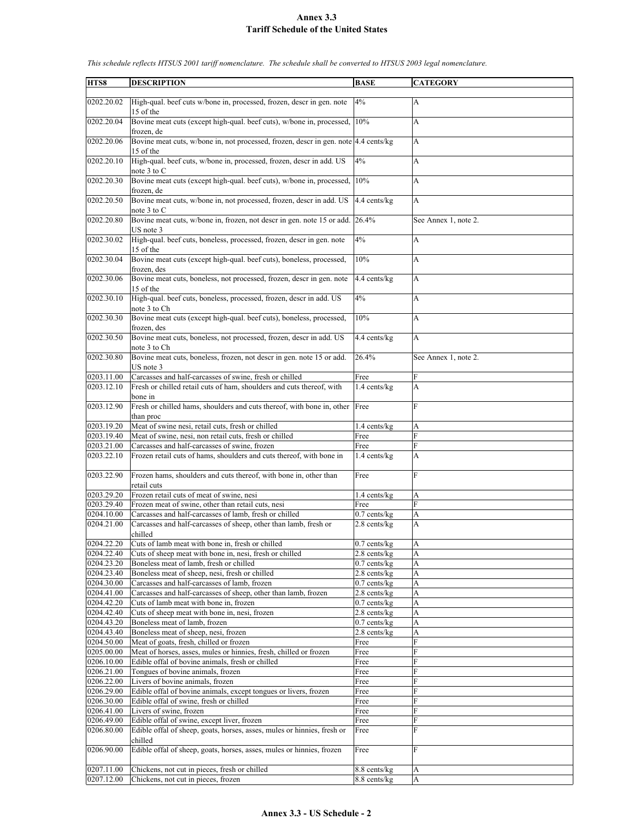| HTS8                     | <b>DESCRIPTION</b>                                                                                          | <b>BASE</b>                       | <b>CATEGORY</b>      |
|--------------------------|-------------------------------------------------------------------------------------------------------------|-----------------------------------|----------------------|
|                          |                                                                                                             |                                   |                      |
| 0202.20.02               | High-qual. beef cuts w/bone in, processed, frozen, descr in gen. note<br>15 of the                          | 4%                                | A                    |
| 0202.20.04               | Bovine meat cuts (except high-qual. beef cuts), w/bone in, processed,<br>frozen, de                         | 10%                               | A                    |
| 0202.20.06               | Bovine meat cuts, w/bone in, not processed, frozen, descr in gen, note<br>15 of the                         | 4.4 cents/kg                      | A                    |
| 0202.20.10               | High-qual. beef cuts, w/bone in, processed, frozen, descr in add. US                                        | 4%                                | A                    |
| 0202.20.30               | note 3 to C<br>Bovine meat cuts (except high-qual. beef cuts), w/bone in, processed,<br>frozen, de          | 10%                               | A                    |
| 0202.20.50               | Bovine meat cuts, w/bone in, not processed, frozen, descr in add. US<br>note 3 to C                         | 4.4 cents/kg                      | A                    |
| 0202.20.80               | Bovine meat cuts, w/bone in, frozen, not descr in gen. note 15 or add. 26.4%                                |                                   | See Annex 1, note 2. |
| 0202.30.02               | US note 3<br>High-qual. beef cuts, boneless, processed, frozen, descr in gen. note<br>15 of the             | 4%                                | A                    |
| 0202.30.04               | Bovine meat cuts (except high-qual. beef cuts), boneless, processed,                                        | 10%                               | A                    |
| 0202.30.06               | frozen, des<br>Bovine meat cuts, boneless, not processed, frozen, descr in gen. note<br>15 of the           | 4.4 cents/kg                      | A                    |
| 0202.30.10               | High-qual. beef cuts, boneless, processed, frozen, descr in add. US<br>note 3 to Ch                         | 4%                                | A                    |
| 0202.30.30               | Bovine meat cuts (except high-qual. beef cuts), boneless, processed,<br>frozen, des                         | 10%                               | A                    |
| 0202.30.50               | Bovine meat cuts, boneless, not processed, frozen, descr in add. US<br>note 3 to Ch                         | 4.4 cents/kg                      | A                    |
| 0202.30.80               | Bovine meat cuts, boneless, frozen, not descr in gen. note 15 or add.<br>US note 3                          | 26.4%                             | See Annex 1, note 2. |
| 0203.11.00               | Carcasses and half-carcasses of swine, fresh or chilled                                                     | Free                              | F                    |
| 0203.12.10               | Fresh or chilled retail cuts of ham, shoulders and cuts thereof, with<br>bone in                            | 1.4 cents/kg                      | A                    |
| 0203.12.90               | Fresh or chilled hams, shoulders and cuts thereof, with bone in, other<br>than proc                         | Free                              | F                    |
| 0203.19.20               | Meat of swine nesi, retail cuts, fresh or chilled                                                           | 1.4 cents/kg                      | A                    |
| 0203.19.40               | Meat of swine, nesi, non retail cuts, fresh or chilled                                                      | Free                              | F                    |
| 0203.21.00               | Carcasses and half-carcasses of swine, frozen                                                               | Free                              | F                    |
| 0203.22.10               | Frozen retail cuts of hams, shoulders and cuts thereof, with bone in                                        | $1.4$ cents/kg                    | A                    |
| 0203.22.90               | Frozen hams, shoulders and cuts thereof, with bone in, other than<br>retail cuts                            | Free                              | F                    |
| 0203.29.20               | Frozen retail cuts of meat of swine, nesi                                                                   | 1.4 cents/kg                      | A                    |
| 0203.29.40               | Frozen meat of swine, other than retail cuts, nesi                                                          | Free                              | F                    |
| 0204.10.00               | Carcasses and half-carcasses of lamb, fresh or chilled                                                      | $0.7$ cents/ $kg$                 | A                    |
| 0204.21.00               | Carcasses and half-carcasses of sheep, other than lamb, fresh or<br>chilled                                 | 2.8 cents/kg                      | A                    |
| 0204.22.20               | Cuts of lamb meat with bone in, fresh or chilled                                                            | $0.7$ cents/kg                    | A                    |
| 0204.22.40               | Cuts of sheep meat with bone in, nesi, fresh or chilled                                                     | 2.8 cents/kg                      | A                    |
| 0204.23.20               | Boneless meat of lamb, fresh or chilled                                                                     | $0.7$ cents/kg                    | A                    |
| 0204.23.40<br>0204.30.00 | Boneless meat of sheep, nesi, fresh or chilled<br>Carcasses and half-carcasses of lamb, frozen              | 2.8 cents/kg<br>$0.7$ cents/ $kg$ | A<br>A               |
| 0204.41.00               | Carcasses and half-carcasses of sheep, other than lamb, frozen                                              | 2.8 cents/kg                      | A                    |
| 0204.42.20               | Cuts of lamb meat with bone in, frozen                                                                      | $0.7$ cents/kg                    | A                    |
| 0204.42.40               | Cuts of sheep meat with bone in, nesi, frozen                                                               | 2.8 cents/kg                      | A                    |
| 0204.43.20               | Boneless meat of lamb, frozen                                                                               | $0.7$ cents/kg                    | A                    |
| 0204.43.40               | Boneless meat of sheep, nesi, frozen                                                                        | 2.8 cents/kg                      | A                    |
| 0204.50.00               | Meat of goats, fresh, chilled or frozen                                                                     | Free                              | F                    |
| 0205.00.00               | Meat of horses, asses, mules or hinnies, fresh, chilled or frozen                                           | Free                              | F                    |
| 0206.10.00               | Edible offal of bovine animals, fresh or chilled                                                            | Free                              | F                    |
| 0206.21.00               | Tongues of bovine animals, frozen                                                                           | Free                              | F                    |
| 0206.22.00               | Livers of bovine animals, frozen                                                                            | Free                              | F                    |
| 0206.29.00<br>0206.30.00 | Edible offal of bovine animals, except tongues or livers, frozen<br>Edible offal of swine, fresh or chilled | Free                              | F<br>F               |
| 0206.41.00               | Livers of swine, frozen                                                                                     | Free<br>Free                      | F                    |
| 0206.49.00               | Edible offal of swine, except liver, frozen                                                                 | Free                              | F                    |
| 0206.80.00               | Edible offal of sheep, goats, horses, asses, mules or hinnies, fresh or                                     | Free                              | F                    |
| 0206.90.00               | chilled                                                                                                     |                                   | F                    |
|                          | Edible offal of sheep, goats, horses, asses, mules or hinnies, frozen                                       | Free                              |                      |
| 0207.11.00               | Chickens, not cut in pieces, fresh or chilled                                                               | 8.8 cents/kg                      | A                    |
| 0207.12.00               | Chickens, not cut in pieces, frozen                                                                         | 8.8 cents/kg                      | A                    |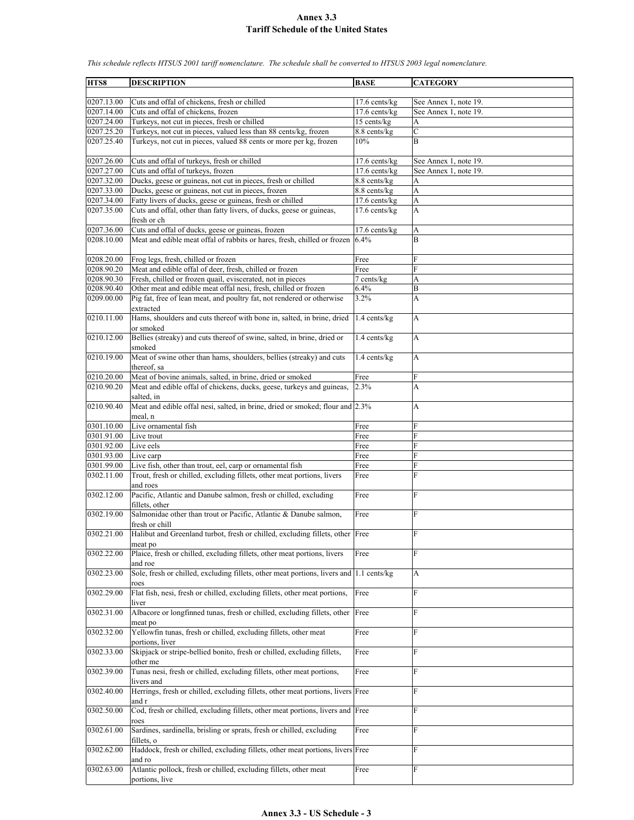**HTS8 DESCRIPTION BASE CATEGORY** 0207.13.00 Cuts and offal of chickens, fresh or chilled 17.6 cents/kg See Annex 1, note 19. 0207.14.00 Cuts and offal of chickens, frozen 17.6 cents/kg See Annex 1, note 19. 0207.24.00 Turkeys, not cut in pieces, fresh or chilled 15 cents/kg A 0207.25.20 Turkeys, not cut in pieces, valued less than 88 cents/kg, frozen 8.8 cents/kg 0207.25.40 Turkeys, not cut in pieces, valued 88 cents or more per kg, frozen | 10% B 0207.26.00 Cuts and offal of turkeys, fresh or chilled 17.6 cents/kg See Annex 1, note 19. 0207.27.00 Cuts and offal of turkeys, frozen 17.6 cents/kg See Annex 1, note 19. 0207.32.00 Ducks, geese or guineas, not cut in pieces, fresh or chilled 8.8 cents/kg 0207.33.00 Ducks, geese or guineas, not cut in pieces, frozen 8.8 cents/kg 0207.34.00 Fatty livers of ducks, geese or guineas, fresh or chilled | 17.6 cents/kg | A 0207.35.00 Cuts and offal, other than fatty livers, of ducks, geese or guineas, fresh or ch 17.6 cents/kg A 0207.36.00 Cuts and offal of ducks, geese or guineas, frozen 17.6 cents/kg A 0208.10.00 Meat and edible meat offal of rabbits or hares, fresh, chilled or frozen 6.4% B 0208.20.00 Frog legs, fresh, chilled or frozen Free F 0208.90.20 Meat and edible offal of deer, fresh, chilled or frozen Free 0208.90.30 Fresh, chilled or frozen quail, eviscerated, not in pieces 7 cents/kg 0208.90.40 Other meat and edible meat offal nesi, fresh, chilled or frozen 6.4% B 0209.00.00 Pig fat, free of lean meat, and poultry fat, not rendered or otherwise extracted 3.2% A 0210.11.00 Hams, shoulders and cuts thereof with bone in, salted, in brine, dried or smoked 1.4 cents/kg | A 0210.12.00 Bellies (streaky) and cuts thereof of swine, salted, in brine, dried or smoked  $1.4$  cents/kg  $\overline{A}$ 0210.19.00 Meat of swine other than hams, shoulders, bellies (streaky) and cuts thereof, sa 1.4 cents/kg A 0210.20.00 Meat of bovine animals, salted, in brine, dried or smoked Free 0210.90.20 Meat and edible offal of chickens, ducks, geese, turkeys and guineas, salted, in 2.3% A 0210.90.40 Meat and edible offal nesi, salted, in brine, dried or smoked; flour and 2.3% meal, n 0301.10.00 Live ornamental fish Free  $0301.91.00$  Live trout Free Free 0301.92.00 Live eels Free F 0301.93.00 Live carp Free 0301.99.00 Live fish, other than trout, eel, carp or ornamental fish Free 0302.11.00 Trout, fresh or chilled, excluding fillets, other meat portions, livers and roes Free 0302.12.00 Pacific, Atlantic and Danube salmon, fresh or chilled, excluding fillets, other Free F 0302.19.00 Salmonidae other than trout or Pacific, Atlantic & Danube salmon, fresh or chill Free F 0302.21.00 Halibut and Greenland turbot, fresh or chilled, excluding fillets, other meat po Free 0302.22.00 Plaice, fresh or chilled, excluding fillets, other meat portions, livers and roe **Free** 0302.23.00 Sole, fresh or chilled, excluding fillets, other meat portions, livers and roes 1.1 cents/kg  $|A|$ 0302.29.00 Flat fish, nesi, fresh or chilled, excluding fillets, other meat portions, liver Free 0302.31.00 Albacore or longfinned tunas, fresh or chilled, excluding fillets, other meat po Free 0302.32.00 Yellowfin tunas, fresh or chilled, excluding fillets, other meat portions, liver Free 0302.33.00 Skipjack or stripe-bellied bonito, fresh or chilled, excluding fillets, other me Free F 0302.39.00 Tunas nesi, fresh or chilled, excluding fillets, other meat portions, livers and Free 0302.40.00 Herrings, fresh or chilled, excluding fillets, other meat portions, livers Free F and r 0302.50.00 Cod, fresh or chilled, excluding fillets, other meat portions, livers and Free F roes 0302.61.00 Sardines, sardinella, brisling or sprats, fresh or chilled, excluding fillets, o Free F 0302.62.00 Haddock, fresh or chilled, excluding fillets, other meat portions, livers and ro Free F 0302.63.00 Atlantic pollock, fresh or chilled, excluding fillets, other meat portions, live Free Free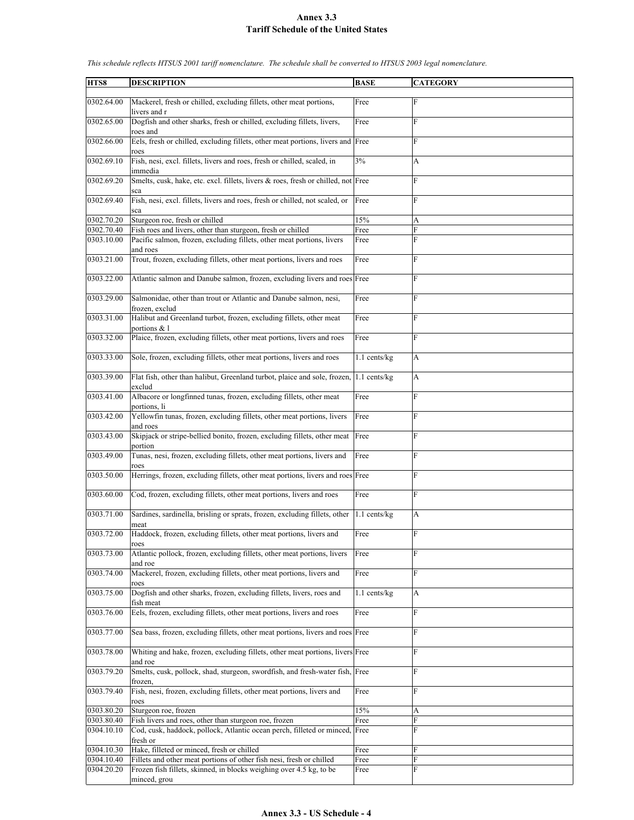| HTS8                     | <b>DESCRIPTION</b>                                                                                                                   | <b>BASE</b>  | <b>CATEGORY</b>       |
|--------------------------|--------------------------------------------------------------------------------------------------------------------------------------|--------------|-----------------------|
|                          |                                                                                                                                      |              |                       |
| 0302.64.00               | Mackerel, fresh or chilled, excluding fillets, other meat portions,<br>livers and r                                                  | Free         | F                     |
| 0302.65.00               | Dogfish and other sharks, fresh or chilled, excluding fillets, livers,<br>roes and                                                   | Free         | $\mathbf F$           |
| 0302.66.00               | Eels, fresh or chilled, excluding fillets, other meat portions, livers and Free                                                      |              | F                     |
| 0302.69.10               | roes<br>Fish, nesi, excl. fillets, livers and roes, fresh or chilled, scaled, in                                                     | 3%           | A                     |
| 0302.69.20               | immedia<br>Smelts, cusk, hake, etc. excl. fillets, livers & roes, fresh or chilled, not Free                                         |              | F                     |
| 0302.69.40               | sca<br>Fish, nesi, excl. fillets, livers and roes, fresh or chilled, not scaled, or<br>sca                                           | Free         | F                     |
| 0302.70.20               | Sturgeon roe, fresh or chilled                                                                                                       | 15%          | A                     |
| 0302.70.40               | Fish roes and livers, other than sturgeon, fresh or chilled                                                                          | Free         | F                     |
| 0303.10.00               | Pacific salmon, frozen, excluding fillets, other meat portions, livers<br>and roes                                                   | Free         | F                     |
| 0303.21.00               | Trout, frozen, excluding fillets, other meat portions, livers and roes                                                               | Free         | $\mathbf F$           |
| 0303.22.00               | Atlantic salmon and Danube salmon, frozen, excluding livers and roes Free                                                            |              | F                     |
| 0303.29.00               | Salmonidae, other than trout or Atlantic and Danube salmon, nesi,<br>frozen, exclud                                                  | Free         | $\mathbf F$           |
| 0303.31.00               | Halibut and Greenland turbot, frozen, excluding fillets, other meat<br>portions & l                                                  | Free         | F                     |
| 0303.32.00               | Plaice, frozen, excluding fillets, other meat portions, livers and roes                                                              | Free         | F                     |
| 0303.33.00               | Sole, frozen, excluding fillets, other meat portions, livers and roes                                                                | 1.1 cents/kg | $\boldsymbol{\rm{A}}$ |
| 0303.39.00               | Flat fish, other than halibut, Greenland turbot, plaice and sole, frozen,<br>exclud                                                  | 1.1 cents/kg | A                     |
| 0303.41.00               | Albacore or longfinned tunas, frozen, excluding fillets, other meat<br>portions, li                                                  | Free         | $\mathbf F$           |
| 0303.42.00               | Yellowfin tunas, frozen, excluding fillets, other meat portions, livers<br>and roes                                                  | Free         | F                     |
| 0303.43.00               | Skipjack or stripe-bellied bonito, frozen, excluding fillets, other meat                                                             | Free         | F                     |
|                          | portion                                                                                                                              |              | F                     |
| 0303.49.00               | Tunas, nesi, frozen, excluding fillets, other meat portions, livers and<br>roes                                                      | Free         |                       |
| 0303.50.00               | Herrings, frozen, excluding fillets, other meat portions, livers and roes Free                                                       |              | F                     |
| 0303.60.00               | Cod, frozen, excluding fillets, other meat portions, livers and roes                                                                 | Free         | F                     |
| 0303.71.00               | Sardines, sardinella, brisling or sprats, frozen, excluding fillets, other<br>meat                                                   | 1.1 cents/kg | A                     |
| 0303.72.00               | Haddock, frozen, excluding fillets, other meat portions, livers and<br>roes                                                          | Free         | F                     |
| 0303.73.00               | Atlantic pollock, frozen, excluding fillets, other meat portions, livers<br>and roe                                                  | Free         | F                     |
| 0303.74.00               | Mackerel, frozen, excluding fillets, other meat portions, livers and<br>roes                                                         | Free         | $\mathbf F$           |
| 0303.75.00               | Dogfish and other sharks, frozen, excluding fillets, livers, roes and<br>fish meat                                                   | 1.1 cents/kg | A                     |
| 0303.76.00               | Eels, frozen, excluding fillets, other meat portions, livers and roes                                                                | Free         | $\mathbf F$           |
| 0303.77.00               | Sea bass, frozen, excluding fillets, other meat portions, livers and roes Free                                                       |              | F                     |
| 0303.78.00               | Whiting and hake, frozen, excluding fillets, other meat portions, livers Free<br>and roe                                             |              | F                     |
| 0303.79.20               | Smelts, cusk, pollock, shad, sturgeon, swordfish, and fresh-water fish, Free                                                         |              | F                     |
| 0303.79.40               | frozen,<br>Fish, nesi, frozen, excluding fillets, other meat portions, livers and                                                    | Free         | F                     |
|                          | roes                                                                                                                                 |              |                       |
| 0303.80.20               | Sturgeon roe, frozen                                                                                                                 | 15%          | A                     |
| 0303.80.40<br>0304.10.10 | Fish livers and roes, other than sturgeon roe, frozen<br>Cod, cusk, haddock, pollock, Atlantic ocean perch, filleted or minced, Free | Free         | F<br>F                |
|                          | fresh or                                                                                                                             |              |                       |
| 0304.10.30               | Hake, filleted or minced, fresh or chilled                                                                                           | Free         | F                     |
| 0304.10.40               | Fillets and other meat portions of other fish nesi, fresh or chilled                                                                 | Free         | F                     |
| 0304.20.20               | Frozen fish fillets, skinned, in blocks weighing over 4.5 kg, to be<br>minced, grou                                                  | Free         | F                     |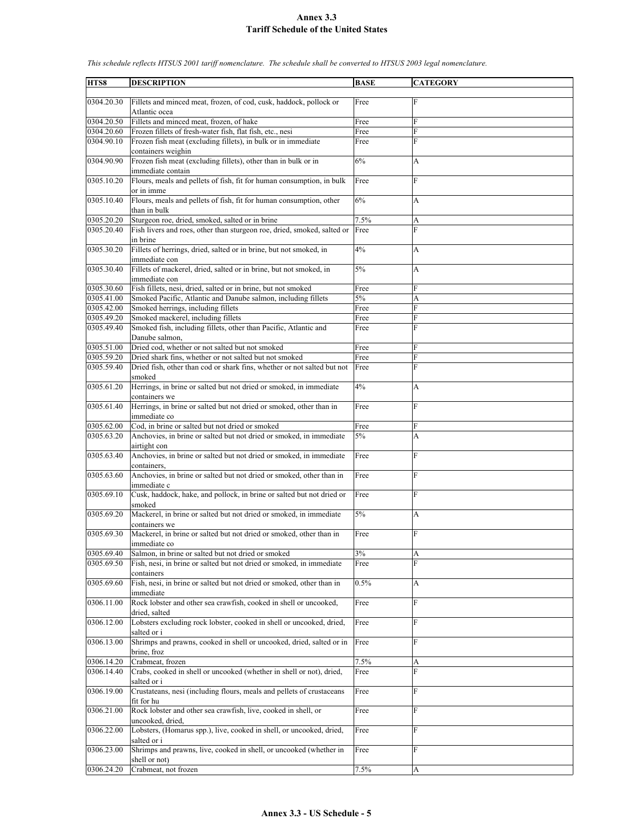| HTS8       | <b>DESCRIPTION</b>                                                      | <b>BASE</b> | <b>CATEGORY</b> |
|------------|-------------------------------------------------------------------------|-------------|-----------------|
|            |                                                                         |             |                 |
|            | Fillets and minced meat, frozen, of cod, cusk, haddock, pollock or      |             | F               |
| 0304.20.30 |                                                                         | Free        |                 |
|            | Atlantic ocea                                                           |             |                 |
| 0304.20.50 | Fillets and minced meat, frozen, of hake                                | Free        | F               |
| 0304.20.60 | Frozen fillets of fresh-water fish, flat fish, etc., nesi               | Free        | F               |
|            |                                                                         |             |                 |
| 0304.90.10 | Frozen fish meat (excluding fillets), in bulk or in immediate           | Free        | F               |
|            | containers weighin                                                      |             |                 |
| 0304.90.90 | Frozen fish meat (excluding fillets), other than in bulk or in          | 6%          | A               |
|            |                                                                         |             |                 |
|            | immediate contain                                                       |             |                 |
| 0305.10.20 | Flours, meals and pellets of fish, fit for human consumption, in bulk   | Free        | F               |
|            | or in imme                                                              |             |                 |
| 0305.10.40 | Flours, meals and pellets of fish, fit for human consumption, other     | 6%          | A               |
|            |                                                                         |             |                 |
|            | than in bulk                                                            |             |                 |
| 0305.20.20 | Sturgeon roe, dried, smoked, salted or in brine                         | 7.5%        | A               |
| 0305.20.40 | Fish livers and roes, other than sturgeon roe, dried, smoked, salted or | Free        | F               |
|            | in brine                                                                |             |                 |
|            |                                                                         |             |                 |
| 0305.30.20 | Fillets of herrings, dried, salted or in brine, but not smoked, in      | 4%          | A               |
|            | immediate con                                                           |             |                 |
| 0305.30.40 | Fillets of mackerel, dried, salted or in brine, but not smoked, in      | 5%          | A               |
|            |                                                                         |             |                 |
|            | immediate con                                                           |             |                 |
| 0305.30.60 | Fish fillets, nesi, dried, salted or in brine, but not smoked           | Free        | F               |
| 0305.41.00 | Smoked Pacific, Atlantic and Danube salmon, including fillets           | 5%          | A               |
| 0305.42.00 |                                                                         |             |                 |
|            | Smoked herrings, including fillets                                      | Free        | F               |
| 0305.49.20 | Smoked mackerel, including fillets                                      | Free        | F               |
| 0305.49.40 | Smoked fish, including fillets, other than Pacific, Atlantic and        | Free        | F               |
|            | Danube salmon,                                                          |             |                 |
|            |                                                                         |             |                 |
| 0305.51.00 | Dried cod, whether or not salted but not smoked                         | Free        | F               |
| 0305.59.20 | Dried shark fins, whether or not salted but not smoked                  | Free        | F               |
| 0305.59.40 | Dried fish, other than cod or shark fins, whether or not salted but not | Free        | F               |
|            |                                                                         |             |                 |
|            | smoked                                                                  |             |                 |
| 0305.61.20 | Herrings, in brine or salted but not dried or smoked, in immediate      | 4%          | А               |
|            | containers we                                                           |             |                 |
|            |                                                                         |             |                 |
| 0305.61.40 | Herrings, in brine or salted but not dried or smoked, other than in     | Free        | F               |
|            | immediate co                                                            |             |                 |
| 0305.62.00 | Cod, in brine or salted but not dried or smoked                         | Free        | F               |
| 0305.63.20 | Anchovies, in brine or salted but not dried or smoked, in immediate     | 5%          | A               |
|            |                                                                         |             |                 |
|            | airtight con                                                            |             |                 |
| 0305.63.40 | Anchovies, in brine or salted but not dried or smoked, in immediate     | Free        | F               |
|            | containers.                                                             |             |                 |
|            |                                                                         |             |                 |
| 0305.63.60 | Anchovies, in brine or salted but not dried or smoked, other than in    | Free        | F               |
|            | immediate c                                                             |             |                 |
| 0305.69.10 | Cusk, haddock, hake, and pollock, in brine or salted but not dried or   | Free        | F               |
|            |                                                                         |             |                 |
|            | smoked                                                                  |             |                 |
| 0305.69.20 | Mackerel, in brine or salted but not dried or smoked, in immediate      | 5%          | A               |
|            | containers we                                                           |             |                 |
| 0305.69.30 | Mackerel, in brine or salted but not dried or smoked, other than in     | Free        | F               |
|            |                                                                         |             |                 |
|            | immediate co                                                            |             |                 |
| 0305.69.40 | Salmon, in brine or salted but not dried or smoked                      | 3%          | A               |
| 0305.69.50 | Fish, nesi, in brine or salted but not dried or smoked, in immediate    | Free        | F               |
|            |                                                                         |             |                 |
|            | containers                                                              |             |                 |
| 0305.69.60 | Fish, nesi, in brine or salted but not dried or smoked, other than in   | 0.5%        | A               |
|            | immediate                                                               |             |                 |
| 0306.11.00 | Rock lobster and other sea crawfish, cooked in shell or uncooked,       | Free        | F               |
|            |                                                                         |             |                 |
|            | dried, salted                                                           |             |                 |
| 0306.12.00 | Lobsters excluding rock lobster, cooked in shell or uncooked, dried,    | Free        | F               |
|            | salted or i                                                             |             |                 |
|            |                                                                         |             |                 |
| 0306.13.00 | Shrimps and prawns, cooked in shell or uncooked, dried, salted or in    | Free        | F               |
|            | brine, froz                                                             |             |                 |
| 0306.14.20 | Crabmeat, frozen                                                        | 7.5%        | A               |
|            | Crabs, cooked in shell or uncooked (whether in shell or not), dried,    |             | F               |
| 0306.14.40 |                                                                         | Free        |                 |
|            | salted or i                                                             |             |                 |
| 0306.19.00 | Crustateans, nesi (including flours, meals and pellets of crustaceans   | Free        | F               |
|            | fit for hu                                                              |             |                 |
|            |                                                                         |             |                 |
| 0306.21.00 | Rock lobster and other sea crawfish, live, cooked in shell, or          | Free        | F               |
|            | uncooked, dried,                                                        |             |                 |
| 0306.22.00 | Lobsters, (Homarus spp.), live, cooked in shell, or uncooked, dried,    | Free        | F               |
|            |                                                                         |             |                 |
|            | salted or i                                                             |             |                 |
| 0306.23.00 | Shrimps and prawns, live, cooked in shell, or uncooked (whether in      | Free        | F               |
|            | shell or not)                                                           |             |                 |
| 0306.24.20 | Crabmeat, not frozen                                                    | 7.5%        | A               |
|            |                                                                         |             |                 |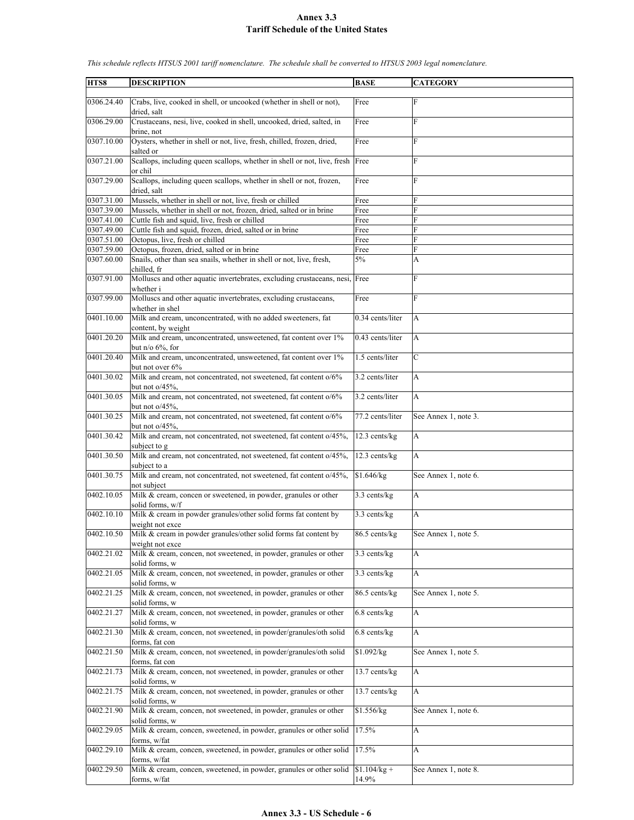**HTS8 DESCRIPTION BASE CATEGORY** 0306.24.40 Crabs, live, cooked in shell, or uncooked (whether in shell or not), dried, salt Free F 0306.29.00 Crustaceans, nesi, live, cooked in shell, uncooked, dried, salted, in brine, not Free F 0307.10.00 Oysters, whether in shell or not, live, fresh, chilled, frozen, dried, salted or Free F 0307.21.00 Scallops, including queen scallops, whether in shell or not, live, fresh or chil Free 0307.29.00 Scallops, including queen scallops, whether in shell or not, frozen, dried, salt Free 0307.31.00 Mussels, whether in shell or not, live, fresh or chilled Free 0307.39.00 Mussels, whether in shell or not, frozen, dried, salted or in brine Free 0307.41.00 Cuttle fish and squid, live, fresh or chilled Free 0307.49.00 Cuttle fish and squid, frozen, dried, salted or in brine Free 0307.51.00 Octopus, live, fresh or chilled Free 0307.59.00 Octopus, frozen, dried, salted or in brine Free 0307.60.00 Snails, other than sea snails, whether in shell or not, live, fresh, chilled, fr  $5\%$  A 0307.91.00 Molluscs and other aquatic invertebrates, excluding crustaceans, nesi, whether i Free 0307.99.00 Molluscs and other aquatic invertebrates, excluding crustaceans, whether in shel Free F 0401.10.00 Milk and cream, unconcentrated, with no added sweeteners, fat content, by weight 0.34 cents/liter A 0401.20.20 Milk and cream, unconcentrated, unsweetened, fat content over 1% but  $n/0$  6%, for  $0.43$  cents/liter  $\overrightarrow{A}$ 0401.20.40 Milk and cream, unconcentrated, unsweetened, fat content over 1% but not over 6% 1.5 cents/liter C 0401.30.02 Milk and cream, not concentrated, not sweetened, fat content o/6% but not  $o/45%$  $3.2$  cents/liter  $\overrightarrow{A}$ 0401.30.05 Milk and cream, not concentrated, not sweetened, fat content o/6% but not o/45%, 3.2 cents/liter 0401.30.25 Milk and cream, not concentrated, not sweetened, fat content o/6% but not o/45% 77.2 cents/liter See Annex 1, note 3. 0401.30.42 Milk and cream, not concentrated, not sweetened, fat content o/45%, subject to g 12.3 cents/kg 0401.30.50 Milk and cream, not concentrated, not sweetened, fat content o/45%, subject to a 12.3 cents/kg 0401.30.75 Milk and cream, not concentrated, not sweetened, fat content o/45%, not subject  $$1.646/kg$  See Annex 1, note 6. 0402.10.05 Milk & cream, concen or sweetened, in powder, granules or other solid forms, w/f 3.3 cents/kg A 0402.10.10 Milk & cream in powder granules/other solid forms fat content by weight not exce 3.3 cents/kg A 0402.10.50 Milk & cream in powder granules/other solid forms fat content by weight not exce 86.5 cents/kg See Annex 1, note 5. 0402.21.02 Milk & cream, concen, not sweetened, in powder, granules or other solid forms, w 3.3 cents/kg  $|A|$ 0402.21.05 Milk & cream, concen, not sweetened, in powder, granules or other solid forms, w  $3.3$  cents/kg  $|A|$ 0402.21.25 Milk & cream, concen, not sweetened, in powder, granules or other solid forms, w 86.5 cents/kg See Annex 1, note 5. 0402.21.27 Milk  $&$  cream, concen, not sweetened, in powder, granules or other olid forms, w 6.8 cents/kg A 0402.21.30 Milk & cream, concen, not sweetened, in powder/granules/oth solid forms, fat con  $6.8$  cents/kg 0402.21.50 Milk & cream, concen, not sweetened, in powder/granules/oth solid forms, fat con  $$1.092/kg$  See Annex 1, note 5. 0402.21.73 Milk & cream, concen, not sweetened, in powder, granules or other solid forms, w 13.7 cents/kg 0402.21.75 Milk & cream, concen, not sweetened, in powder, granules or other solid forms, w 13.7 cents/kg A 0402.21.90 Milk & cream, concen, not sweetened, in powder, granules or other solid forms, w  $$1.556/kg$  See Annex 1, note 6. 0402.29.05 Milk & cream, concen, sweetened, in powder, granules or other solid forms, w/fat 17.5% A 0402.29.10 Milk & cream, concen, sweetened, in powder, granules or other solid forms, w/fat  $17.5\%$  A 0402.29.50 Milk & cream, concen, sweetened, in powder, granules or other solid forms, w/fat \$1.104/kg + 14.9% See Annex 1, note 8.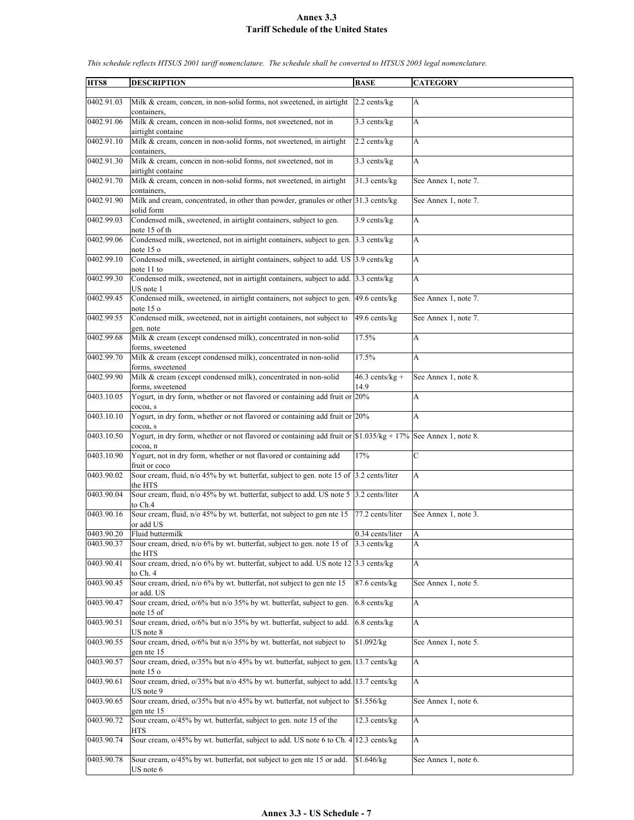| HTS8       | <b>DESCRIPTION</b>                                                                                                                                                | <b>BASE</b>       | <b>CATEGORY</b>      |
|------------|-------------------------------------------------------------------------------------------------------------------------------------------------------------------|-------------------|----------------------|
| 0402.91.03 | Milk & cream, concen, in non-solid forms, not sweetened, in airtight                                                                                              | $2.2$ cents/kg    | A                    |
|            | containers.                                                                                                                                                       |                   |                      |
| 0402.91.06 | Milk & cream, concen in non-solid forms, not sweetened, not in<br>airtight containe                                                                               | 3.3 cents/kg      | A                    |
| 0402.91.10 | Milk & cream, concen in non-solid forms, not sweetened, in airtight<br>containers,                                                                                | 2.2 cents/kg      | A                    |
| 0402.91.30 | Milk & cream, concen in non-solid forms, not sweetened, not in<br>airtight containe                                                                               | $3.3$ cents/kg    | $\mathbf{A}$         |
| 0402.91.70 | Milk & cream, concen in non-solid forms, not sweetened, in airtight                                                                                               | 31.3 cents/kg     | See Annex 1, note 7. |
| 0402.91.90 | containers.<br>Milk and cream, concentrated, in other than powder, granules or other 31.3 cents/kg<br>solid form                                                  |                   | See Annex 1, note 7. |
| 0402.99.03 | Condensed milk, sweetened, in airtight containers, subject to gen.<br>note 15 of th                                                                               | $3.9$ cents/kg    | A                    |
| 0402.99.06 | Condensed milk, sweetened, not in airtight containers, subject to gen. 3.3 cents/kg                                                                               |                   | A                    |
| 0402.99.10 | note 15 o<br>Condensed milk, sweetened, in airtight containers, subject to add. US 3.9 cents/kg                                                                   |                   | $\mathbf{A}$         |
| 0402.99.30 | note 11 to<br>Condensed milk, sweetened, not in airtight containers, subject to add. 3.3 cents/kg                                                                 |                   | $\mathbf{A}$         |
| 0402.99.45 | US note 1<br>Condensed milk, sweetened, in airtight containers, not subject to gen.                                                                               | 49.6 cents/kg     | See Annex 1, note 7. |
| 0402.99.55 | note 15 o                                                                                                                                                         | 49.6 cents/kg     | See Annex 1, note 7. |
|            | Condensed milk, sweetened, not in airtight containers, not subject to<br>gen. note                                                                                |                   |                      |
| 0402.99.68 | Milk & cream (except condensed milk), concentrated in non-solid<br>forms, sweetened                                                                               | 17.5%             | A                    |
| 0402.99.70 | Milk & cream (except condensed milk), concentrated in non-solid<br>forms, sweetened                                                                               | 17.5%             | A                    |
| 0402.99.90 | Milk & cream (except condensed milk), concentrated in non-solid                                                                                                   | $46.3$ cents/kg + | See Annex 1, note 8. |
| 0403.10.05 | forms, sweetened<br>Yogurt, in dry form, whether or not flavored or containing add fruit or 20%<br>cocoa, s                                                       | 14.9              | A                    |
| 0403.10.10 | Yogurt, in dry form, whether or not flavored or containing add fruit or 20%                                                                                       |                   | A                    |
| 0403.10.50 | cocoa, s<br>Yogurt, in dry form, whether or not flavored or containing add fruit or $\frac{1}{31.035}{\text{kg} + \frac{17}{6}}$ See Annex 1, note 8.<br>cocoa, n |                   |                      |
| 0403.10.90 | Yogurt, not in dry form, whether or not flavored or containing add                                                                                                | 17%               | $\mathcal{C}$        |
| 0403.90.02 | fruit or coco<br>Sour cream, fluid, n/o 45% by wt. butterfat, subject to gen. note 15 of 3.2 cents/liter<br>the HTS                                               |                   | A                    |
| 0403.90.04 | Sour cream, fluid, $n/0$ 45% by wt. butterfat, subject to add. US note 5 3.2 cents/liter<br>to Ch.4                                                               |                   | A                    |
| 0403.90.16 | Sour cream, fluid, n/o 45% by wt. butterfat, not subject to gen nte 15<br>or add US                                                                               | 77.2 cents/liter  | See Annex 1, note 3. |
| 0403 90 20 | Fluid buttermilk                                                                                                                                                  | 0.34 cents/liter  | ΙA                   |
| 0403.90.37 | Sour cream, dried, n/o 6% by wt. butterfat, subject to gen. note 15 of 3.3 cents/kg<br>the HTS                                                                    |                   | A                    |
| 0403.90.41 | Sour cream, dried, n/o 6% by wt. butterfat, subject to add. US note 12 3.3 cents/kg<br>to Ch. 4                                                                   |                   | A                    |
| 0403.90.45 | Sour cream, dried, n/o 6% by wt. butterfat, not subject to gen nte 15<br>or add. US                                                                               | 87.6 cents/kg     | See Annex 1, note 5. |
| 0403.90.47 | Sour cream, dried, $o/6\%$ but n/o 35% by wt. butterfat, subject to gen.<br>note 15 of                                                                            | $6.8$ cents/kg    | A                    |
| 0403.90.51 | Sour cream, dried, $o/6\%$ but n/o 35% by wt. butterfat, subject to add.                                                                                          | $6.8$ cents/kg    | A                    |
| 0403.90.55 | US note 8<br>Sour cream, dried, $o/6\%$ but n/o 35% by wt. butterfat, not subject to                                                                              | \$1.092/kg        | See Annex 1, note 5. |
| 0403.90.57 | gen nte 15<br>Sour cream, dried, o/35% but n/o 45% by wt. butterfat, subject to gen. 13.7 cents/kg                                                                |                   | A                    |
|            | note 15 o                                                                                                                                                         |                   |                      |
| 0403.90.61 | Sour cream, dried, $o/35\%$ but n/o 45% by wt. butterfat, subject to add. 13.7 cents/kg<br>US note 9                                                              |                   | A                    |
| 0403.90.65 | Sour cream, dried, o/35% but n/o 45% by wt. butterfat, not subject to \$1.556/kg<br>gen nte 15                                                                    |                   | See Annex 1, note 6. |
| 0403.90.72 | Sour cream, $o/45\%$ by wt. butterfat, subject to gen. note 15 of the                                                                                             | 12.3 cents/kg     | A                    |
| 0403.90.74 | HTS<br>Sour cream, $o/45\%$ by wt. butterfat, subject to add. US note 6 to Ch. 4 12.3 cents/kg                                                                    |                   | A                    |
| 0403.90.78 | Sour cream, $o/45\%$ by wt. butterfat, not subject to gen nte 15 or add.<br>US note 6                                                                             | \$1.646/kg        | See Annex 1, note 6. |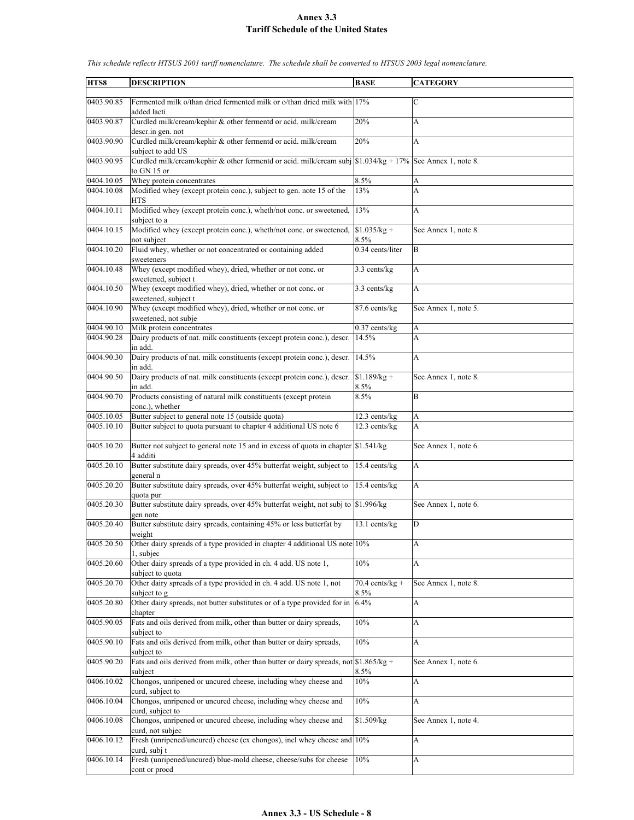| HTS8       | <b>DESCRIPTION</b>                                                                                                                                                                | <b>BASE</b>               | <b>CATEGORY</b>      |
|------------|-----------------------------------------------------------------------------------------------------------------------------------------------------------------------------------|---------------------------|----------------------|
|            |                                                                                                                                                                                   |                           |                      |
| 0403.90.85 | Fermented milk o/than dried fermented milk or o/than dried milk with 17%<br>added lacti                                                                                           |                           | C                    |
| 0403.90.87 | Curdled milk/cream/kephir & other fermentd or acid. milk/cream<br>descr.in gen. not                                                                                               | 20%                       | A                    |
| 0403.90.90 | Curdled milk/cream/kephir & other fermentd or acid. milk/cream                                                                                                                    | 20%                       | A                    |
| 0403.90.95 | subject to add US<br>Curdled milk/cream/kephir & other fermentd or acid. milk/cream subj $\left  \frac{\$1.034}{kg} + \frac{17\%}{2} \right $ See Annex 1, note 8.<br>to GN 15 or |                           |                      |
| 0404.10.05 | Whey protein concentrates                                                                                                                                                         | 8.5%                      | A                    |
| 0404.10.08 | Modified whey (except protein conc.), subject to gen. note 15 of the<br><b>HTS</b>                                                                                                | 13%                       | A                    |
| 0404.10.11 | Modified whey (except protein conc.), wheth/not conc. or sweetened,<br>subject to a                                                                                               | 13%                       | A                    |
| 0404.10.15 | Modified whey (except protein conc.), wheth/not conc. or sweetened,<br>not subject                                                                                                | $$1.035/kg +$<br>8.5%     | See Annex 1, note 8. |
| 0404.10.20 | Fluid whey, whether or not concentrated or containing added                                                                                                                       | 0.34 cents/liter          | B                    |
| 0404.10.48 | sweeteners<br>Whey (except modified whey), dried, whether or not conc. or                                                                                                         | 3.3 cents/kg              | A                    |
| 0404.10.50 | sweetened, subject t<br>Whey (except modified whey), dried, whether or not conc. or                                                                                               | 3.3 cents/kg              | A                    |
|            | sweetened, subject t                                                                                                                                                              |                           |                      |
| 0404.10.90 | Whey (except modified whey), dried, whether or not conc. or<br>sweetened, not subje                                                                                               | 87.6 cents/kg             | See Annex 1, note 5. |
| 0404.90.10 | Milk protein concentrates                                                                                                                                                         | $0.37$ cents/kg           | А                    |
| 0404.90.28 | Dairy products of nat. milk constituents (except protein conc.), descr.<br>in add.                                                                                                | 14.5%                     | A                    |
| 0404.90.30 | Dairy products of nat. milk constituents (except protein conc.), descr.                                                                                                           | 14.5%                     | A                    |
|            | in add.                                                                                                                                                                           |                           |                      |
| 0404.90.50 | Dairy products of nat. milk constituents (except protein conc.), descr.<br>in add.                                                                                                | $$1.189/kg +$<br>8.5%     | See Annex 1, note 8. |
| 0404.90.70 | Products consisting of natural milk constituents (except protein                                                                                                                  | 8.5%                      | B                    |
|            | conc.), whether                                                                                                                                                                   |                           |                      |
| 0405.10.05 | Butter subject to general note 15 (outside quota)                                                                                                                                 | 12.3 cents/kg             | A                    |
| 0405.10.10 | Butter subject to quota pursuant to chapter 4 additional US note 6                                                                                                                | 12.3 cents/kg             | A                    |
| 0405.10.20 | Butter not subject to general note 15 and in excess of quota in chapter \$1.541/kg<br>4 additi                                                                                    |                           | See Annex 1, note 6. |
| 0405.20.10 | Butter substitute dairy spreads, over 45% butterfat weight, subject to<br>general n                                                                                               | 15.4 cents/kg             | A                    |
| 0405.20.20 | Butter substitute dairy spreads, over 45% butterfat weight, subject to<br>quota pur                                                                                               | 15.4 cents/kg             | A                    |
| 0405.20.30 | Butter substitute dairy spreads, over 45% butterfat weight, not subj to<br>gen note                                                                                               | \$1.996/kg                | See Annex 1, note 6. |
| 0405.20.40 | Butter substitute dairy spreads, containing 45% or less butterfat by<br>weight                                                                                                    | 13.1 cents/kg             | D                    |
| 0405.20.50 | Other dairy spreads of a type provided in chapter 4 additional US note 10%<br>1, subjec                                                                                           |                           | A                    |
| 0405.20.60 | Other dairy spreads of a type provided in ch. 4 add. US note 1,                                                                                                                   | 10%                       | A                    |
| 0405.20.70 | subject to quota<br>Other dairy spreads of a type provided in ch. 4 add. US note 1, not                                                                                           | $70.4$ cents/kg +<br>8.5% | See Annex 1, note 8. |
| 0405.20.80 | subject to g<br>Other dairy spreads, not butter substitutes or of a type provided for in $6.4\%$                                                                                  |                           | A                    |
| 0405.90.05 | chapter<br>Fats and oils derived from milk, other than butter or dairy spreads,                                                                                                   | $10\%$                    | A                    |
| 0405.90.10 | subject to<br>Fats and oils derived from milk, other than butter or dairy spreads,                                                                                                | 10%                       | A                    |
| 0405.90.20 | subject to<br>Fats and oils derived from milk, other than butter or dairy spreads, not \$1.865/kg +                                                                               |                           | See Annex 1, note 6. |
| 0406.10.02 | subject<br>Chongos, unripened or uncured cheese, including whey cheese and                                                                                                        | 8.5%<br>10%               | A                    |
| 0406.10.04 | curd, subject to<br>Chongos, unripened or uncured cheese, including whey cheese and                                                                                               | 10%                       | A                    |
| 0406.10.08 | curd, subject to<br>Chongos, unripened or uncured cheese, including whey cheese and                                                                                               |                           |                      |
|            | curd, not subjec                                                                                                                                                                  | \$1.509/kg                | See Annex 1, note 4. |
| 0406.10.12 | Fresh (unripened/uncured) cheese (ex chongos), incl whey cheese and 10%<br>curd, subj t                                                                                           |                           | A                    |
| 0406.10.14 | Fresh (unripened/uncured) blue-mold cheese, cheese/subs for cheese<br>cont or procd                                                                                               | 10%                       | A                    |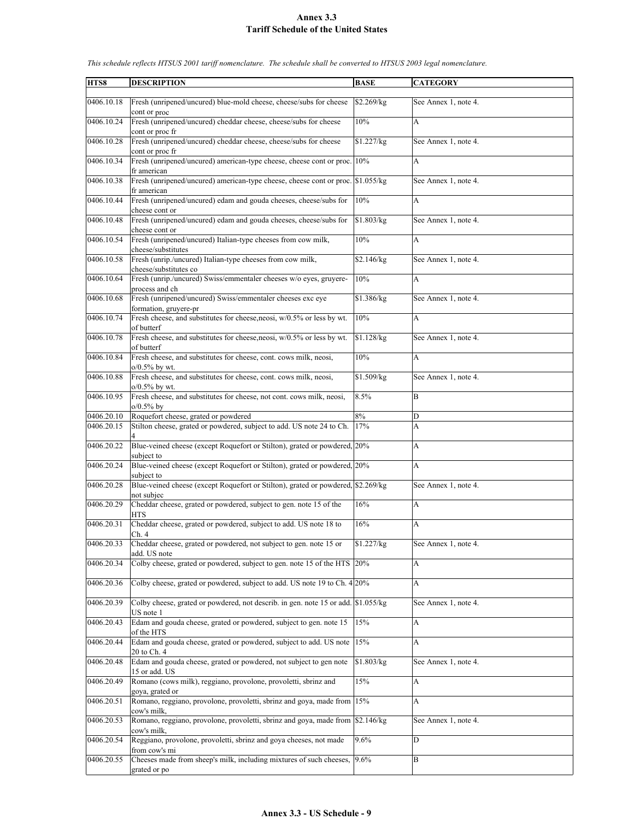| HTS8       | <b>DESCRIPTION</b>                                                                                            | <b>BASE</b> | <b>CATEGORY</b>           |
|------------|---------------------------------------------------------------------------------------------------------------|-------------|---------------------------|
| 0406.10.18 | Fresh (unripened/uncured) blue-mold cheese, cheese/subs for cheese<br>cont or proc                            | \$2.269/kg  | See Annex 1, note 4.      |
| 0406.10.24 | Fresh (unripened/uncured) cheddar cheese, cheese/subs for cheese<br>cont or proc fr                           | 10%         | A                         |
| 0406.10.28 | Fresh (unripened/uncured) cheddar cheese, cheese/subs for cheese<br>cont or proc fr                           | \$1.227/kg  | See Annex 1, note 4.      |
| 0406.10.34 | Fresh (unripened/uncured) american-type cheese, cheese cont or proc. 10%<br>fr american                       |             | A                         |
| 0406.10.38 | Fresh (unripened/uncured) american-type cheese, cheese cont or proc. \$1.055/kg<br>fr american                |             | See Annex 1, note 4.      |
| 0406.10.44 | Fresh (unripened/uncured) edam and gouda cheeses, cheese/subs for<br>cheese cont or                           | 10%         | A                         |
| 0406.10.48 | Fresh (unripened/uncured) edam and gouda cheeses, cheese/subs for<br>cheese cont or                           | \$1.803/kg  | See Annex 1, note 4.      |
| 0406.10.54 | Fresh (unripened/uncured) Italian-type cheeses from cow milk,<br>cheese/substitutes                           | 10%         | $\mathbf{A}$              |
| 0406.10.58 | Fresh (unrip./uncured) Italian-type cheeses from cow milk,<br>cheese/substitutes co                           | \$2.146/kg  | See Annex 1, note 4.      |
| 0406.10.64 | Fresh (unrip./uncured) Swiss/emmentaler cheeses w/o eyes, gruyere-<br>process and ch                          | 10%         | A                         |
| 0406.10.68 | Fresh (unripened/uncured) Swiss/emmentaler cheeses exc eye                                                    | \$1.386/kg  | See Annex 1, note 4.      |
| 0406.10.74 | formation, gruyere-pr<br>Fresh cheese, and substitutes for cheese, neosi, w/0.5% or less by wt.<br>of butterf | 10%         | A                         |
| 0406.10.78 | Fresh cheese, and substitutes for cheese, neosi, w/0.5% or less by wt.                                        | \$1.128/kg  | See Annex 1, note 4.      |
| 0406.10.84 | of butterf<br>Fresh cheese, and substitutes for cheese, cont. cows milk, neosi,<br>$0.5\%$ by wt.             | 10%         | A                         |
| 0406.10.88 | Fresh cheese, and substitutes for cheese, cont. cows milk, neosi,                                             | \$1.509/kg  | See Annex 1, note 4.      |
| 0406.10.95 | $o/0.5\%$ by wt.<br>Fresh cheese, and substitutes for cheese, not cont. cows milk, neosi,<br>$o/0.5%$ by      | 8.5%        | B                         |
| 0406.20.10 | Roquefort cheese, grated or powdered                                                                          | 8%          | D                         |
| 0406.20.15 | Stilton cheese, grated or powdered, subject to add. US note 24 to Ch.                                         | 17%         | A                         |
| 0406.20.22 | Blue-veined cheese (except Roquefort or Stilton), grated or powdered, 20%<br>subject to                       |             | A                         |
| 0406.20.24 | Blue-veined cheese (except Roquefort or Stilton), grated or powdered, 20%<br>subject to                       |             | A                         |
| 0406.20.28 | Blue-veined cheese (except Roquefort or Stilton), grated or powdered, \$2.269/kg<br>not subjec                |             | See Annex 1, note 4.      |
| 0406.20.29 | Cheddar cheese, grated or powdered, subject to gen. note 15 of the<br><b>HTS</b>                              | 16%         | A                         |
| 0406.20.31 | Cheddar cheese, grated or powdered, subject to add. US note 18 to<br>Ch. 4                                    | 16%         | A                         |
| 0406.20.33 | Cheddar cheese, grated or powdered, not subject to gen, note 15 or<br>add. US note                            | \$1.227/kg  | See Annex 1, note 4.      |
| 0406.20.34 | Colby cheese, grated or powdered, subject to gen. note 15 of the HTS 20%                                      |             | A                         |
| 0406.20.36 | Colby cheese, grated or powdered, subject to add. US note 19 to Ch. 4 20%                                     |             | A                         |
| 0406.20.39 | Colby cheese, grated or powdered, not describ. in gen. note 15 or add. \$1.055/kg<br>US note 1                |             | See Annex 1, note 4.      |
| 0406.20.43 | Edam and gouda cheese, grated or powdered, subject to gen. note 15<br>of the HTS                              | 15%         | A                         |
| 0406.20.44 | Edam and gouda cheese, grated or powdered, subject to add. US note<br>20 to Ch. 4                             | 15%         | $\boldsymbol{\mathsf{A}}$ |
| 0406.20.48 | Edam and gouda cheese, grated or powdered, not subject to gen note<br>15 or add. US                           | \$1.803/kg  | See Annex 1, note 4.      |
| 0406.20.49 | Romano (cows milk), reggiano, provolone, provoletti, sbrinz and<br>goya, grated or                            | 15%         | A                         |
| 0406.20.51 | Romano, reggiano, provolone, provoletti, sbrinz and goya, made from 15%<br>cow's milk,                        |             | A                         |
| 0406.20.53 | Romano, reggiano, provolone, provoletti, sbrinz and goya, made from \$2.146/kg<br>cow's milk,                 |             | See Annex 1, note 4.      |
| 0406.20.54 | Reggiano, provolone, provoletti, sbrinz and goya cheeses, not made                                            | 9.6%        | D                         |
| 0406.20.55 | from cow's mi<br>Cheeses made from sheep's milk, including mixtures of such cheeses,<br>grated or po          | 9.6%        | $\, {\bf B}$              |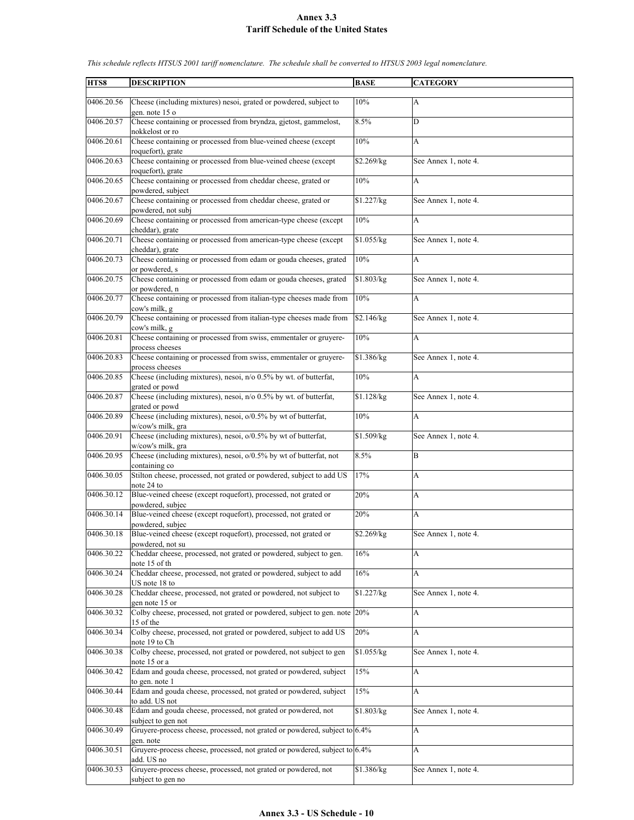| HTS8       | <b>DESCRIPTION</b>                                                                                       | <b>BASE</b>            | <b>CATEGORY</b>      |
|------------|----------------------------------------------------------------------------------------------------------|------------------------|----------------------|
| 0406.20.56 | Cheese (including mixtures) nesoi, grated or powdered, subject to                                        | 10%                    | A                    |
| 0406.20.57 | gen. note 15 o<br>Cheese containing or processed from bryndza, gjetost, gammelost,                       | 8.5%                   | D                    |
| 0406.20.61 | nokkelost or ro<br>Cheese containing or processed from blue-veined cheese (except                        | 10%                    | A                    |
| 0406.20.63 | roquefort), grate<br>Cheese containing or processed from blue-veined cheese (except<br>roquefort), grate | \$2.269/kg             | See Annex 1, note 4. |
| 0406.20.65 | Cheese containing or processed from cheddar cheese, grated or<br>powdered, subject                       | 10%                    | A                    |
| 0406.20.67 | Cheese containing or processed from cheddar cheese, grated or<br>powdered, not subj                      | \$1.227/kg             | See Annex 1, note 4. |
| 0406.20.69 | Cheese containing or processed from american-type cheese (except<br>cheddar), grate                      | 10%                    | A                    |
| 0406.20.71 | Cheese containing or processed from american-type cheese (except<br>cheddar), grate                      | \$1.055/kg             | See Annex 1, note 4. |
| 0406.20.73 | Cheese containing or processed from edam or gouda cheeses, grated<br>or powdered, s                      | 10%                    | A                    |
| 0406.20.75 | Cheese containing or processed from edam or gouda cheeses, grated<br>or powdered, n                      | \$1.803/kg             | See Annex 1, note 4. |
| 0406.20.77 | Cheese containing or processed from italian-type cheeses made from<br>cow's milk, g                      | 10%                    | A                    |
| 0406.20.79 | Cheese containing or processed from italian-type cheeses made from<br>cow's milk, g                      | \$2.146/kg             | See Annex 1, note 4. |
| 0406.20.81 | Cheese containing or processed from swiss, emmentaler or gruyere-<br>process cheeses                     | 10%                    | A                    |
| 0406.20.83 | Cheese containing or processed from swiss, emmentaler or gruyere-<br>process cheeses                     | \$1.386/kg             | See Annex 1, note 4. |
| 0406.20.85 | Cheese (including mixtures), nesoi, n/o 0.5% by wt. of butterfat,<br>grated or powd                      | 10%                    | A                    |
| 0406.20.87 | Cheese (including mixtures), nesoi, n/o 0.5% by wt. of butterfat,<br>grated or powd                      | \$1.128/kg             | See Annex 1, note 4. |
| 0406.20.89 | Cheese (including mixtures), nesoi, o/0.5% by wt of butterfat,<br>w/cow's milk, gra                      | 10%                    | A                    |
| 0406.20.91 | Cheese (including mixtures), nesoi, o/0.5% by wt of butterfat,                                           | \$1.509/kg             | See Annex 1, note 4. |
| 0406.20.95 | w/cow's milk, gra<br>Cheese (including mixtures), nesoi, o/0.5% by wt of butterfat, not<br>containing co | 8.5%                   | B                    |
| 0406.30.05 | Stilton cheese, processed, not grated or powdered, subject to add US<br>note 24 to                       | 17%                    | A                    |
| 0406.30.12 | Blue-veined cheese (except roquefort), processed, not grated or<br>powdered, subjec                      | 20%                    | A                    |
| 0406.30.14 | Blue-veined cheese (except roquefort), processed, not grated or<br>powdered, subjec                      | 20%                    | A                    |
| 0406.30.18 | Blue-veined cheese (except roquefort), processed, not grated or<br>powdered, not su                      | \$2.269/kg             | See Annex 1, note 4. |
| 0406.30.22 | Cheddar cheese, processed, not grated or powdered, subject to gen.<br>note 15 of th                      | 16%                    | A                    |
| 0406.30.24 | Cheddar cheese, processed, not grated or powdered, subject to add<br>US note 18 to                       | 16%                    | A                    |
| 0406.30.28 | Cheddar cheese, processed, not grated or powdered, not subject to<br>gen note 15 or                      | \$1.227/kg             | See Annex 1, note 4. |
| 0406.30.32 | Colby cheese, processed, not grated or powdered, subject to gen. note<br>15 of the                       | 20%                    | A                    |
| 0406.30.34 | Colby cheese, processed, not grated or powdered, subject to add US<br>note 19 to Ch                      | 20%                    | A                    |
| 0406.30.38 | Colby cheese, processed, not grated or powdered, not subject to gen<br>note 15 or a                      | \$1.055/kg             | See Annex 1, note 4. |
| 0406.30.42 | Edam and gouda cheese, processed, not grated or powdered, subject<br>to gen. note 1                      | 15%                    | A                    |
| 0406.30.44 | Edam and gouda cheese, processed, not grated or powdered, subject<br>to add. US not                      | 15%                    | A                    |
| 0406.30.48 | Edam and gouda cheese, processed, not grated or powdered, not<br>subject to gen not                      | $\overline{$1.803/kg}$ | See Annex 1, note 4. |
| 0406.30.49 | Gruyere-process cheese, processed, not grated or powdered, subject to 6.4%<br>gen. note                  |                        | A                    |
| 0406.30.51 | Gruyere-process cheese, processed, not grated or powdered, subject to 6.4%<br>add. US no                 |                        | A                    |
| 0406.30.53 | Gruyere-process cheese, processed, not grated or powdered, not<br>subject to gen no                      | \$1.386/kg             | See Annex 1, note 4. |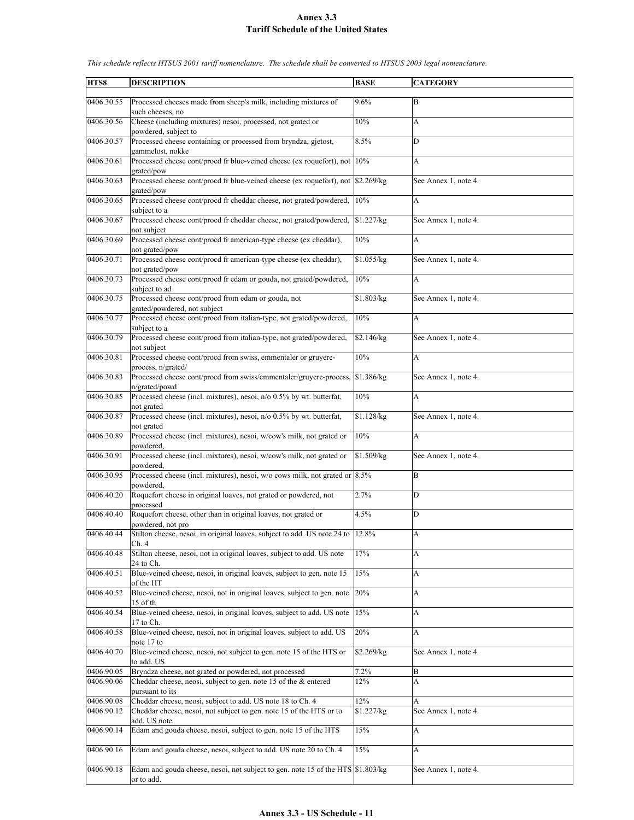| HTS8                     | <b>DESCRIPTION</b>                                                                                                                | <b>BASE</b>       | <b>CATEGORY</b>           |
|--------------------------|-----------------------------------------------------------------------------------------------------------------------------------|-------------------|---------------------------|
| 0406.30.55               | Processed cheeses made from sheep's milk, including mixtures of                                                                   | 9.6%              | B                         |
| 0406.30.56               | such cheeses, no<br>Cheese (including mixtures) nesoi, processed, not grated or                                                   | 10%               | A                         |
| 0406.30.57               | powdered, subject to<br>Processed cheese containing or processed from bryndza, gjetost,                                           | 8.5%              | D                         |
| 0406.30.61               | gammelost, nokke<br>Processed cheese cont/procd fr blue-veined cheese (ex roquefort), not                                         | $10\%$            | A                         |
| 0406.30.63               | grated/pow<br>Processed cheese cont/procd fr blue-veined cheese (ex roquefort), not \$2.269/kg                                    |                   | See Annex 1, note 4.      |
| 0406.30.65               | grated/pow<br>Processed cheese cont/procd fr cheddar cheese, not grated/powdered,                                                 | 10%               | A                         |
| 0406.30.67               | subject to a<br>Processed cheese cont/procd fr cheddar cheese, not grated/powdered,                                               | \$1.227/kg        | See Annex 1, note 4.      |
| 0406.30.69               | not subject<br>Processed cheese cont/procd fr american-type cheese (ex cheddar),                                                  | 10%               | A                         |
| 0406.30.71               | not grated/pow<br>Processed cheese cont/procd fr american-type cheese (ex cheddar),<br>not grated/pow                             | \$1.055/kg        | See Annex 1, note 4.      |
| 0406.30.73               | Processed cheese cont/procd fr edam or gouda, not grated/powdered,<br>subject to ad                                               | 10%               | A                         |
| 0406.30.75               | Processed cheese cont/procd from edam or gouda, not<br>grated/powdered, not subject                                               | \$1.803/kg        | See Annex 1, note 4.      |
| 0406.30.77               | Processed cheese cont/procd from italian-type, not grated/powdered,<br>subject to a                                               | 10%               | $\mathbf{A}$              |
| 0406.30.79               | Processed cheese cont/procd from italian-type, not grated/powdered,<br>not subject                                                | \$2.146/kg        | See Annex 1, note 4.      |
| 0406.30.81               | Processed cheese cont/procd from swiss, emmentaler or gruyere-<br>process, n/grated/                                              | 10%               | A                         |
| 0406.30.83               | Processed cheese cont/procd from swiss/emmentaler/gruyere-process,<br>n/grated/powd                                               | \$1.386/kg        | See Annex 1, note 4.      |
| 0406.30.85               | Processed cheese (incl. mixtures), nesoi, n/o 0.5% by wt. butterfat,<br>not grated                                                | 10%               | $\boldsymbol{\mathsf{A}}$ |
| 0406.30.87               | Processed cheese (incl. mixtures), nesoi, n/o 0.5% by wt. butterfat,<br>not grated                                                | \$1.128/kg        | See Annex 1, note 4.      |
| 0406.30.89               | Processed cheese (incl. mixtures), nesoi, w/cow's milk, not grated or                                                             | 10%               | A                         |
| 0406.30.91               | powdered.<br>Processed cheese (incl. mixtures), nesoi, w/cow's milk, not grated or<br>powdered.                                   | \$1.509/kg        | See Annex 1, note 4.      |
| 0406.30.95               | Processed cheese (incl. mixtures), nesoi, w/o cows milk, not grated or 8.5%<br>powdered.                                          |                   | B                         |
| 0406.40.20               | Roquefort cheese in original loaves, not grated or powdered, not<br>processed                                                     | 2.7%              | D                         |
| 0406.40.40               | Roquefort cheese, other than in original loaves, not grated or<br>powdered, not pro                                               | 4.5%              | D                         |
| 0406.40.44               | Stilton cheese, nesoi, in original loaves, subject to add. US note 24 to 12.8%<br>Ch. 4                                           |                   | A                         |
| 0406.40.48               | Stilton cheese, nesoi, not in original loaves, subject to add. US note<br>24 to Ch.                                               | 17%               | A                         |
| 0406.40.51               | Blue-veined cheese, nesoi, in original loaves, subject to gen. note 15<br>of the HT                                               | 15%               | A                         |
| 0406.40.52               | Blue-veined cheese, nesoi, not in original loaves, subject to gen. note<br>15 of th                                               | 20%               | $\boldsymbol{\mathsf{A}}$ |
| 0406.40.54               | Blue-veined cheese, nesoi, in original loaves, subject to add. US note<br>17 to Ch.                                               | 15%               | A                         |
| 0406.40.58               | Blue-veined cheese, nesoi, not in original loaves, subject to add. US<br>note 17 to                                               | 20%               | A                         |
| 0406.40.70               | Blue-veined cheese, nesoi, not subject to gen. note 15 of the HTS or<br>to add. US                                                | \$2.269/kg        | See Annex 1, note 4.      |
| 0406.90.05               | Bryndza cheese, not grated or powdered, not processed                                                                             | 7.2%              | B                         |
| 0406.90.06               | Cheddar cheese, neosi, subject to gen. note 15 of the & entered<br>pursuant to its                                                | 12%               | A                         |
| 0406.90.08<br>0406.90.12 | Cheddar cheese, neosi, subject to add. US note 18 to Ch. 4<br>Cheddar cheese, nesoi, not subject to gen. note 15 of the HTS or to | 12%<br>\$1.227/kg | А<br>See Annex 1, note 4. |
|                          | add. US note                                                                                                                      |                   |                           |
| 0406.90.14               | Edam and gouda cheese, nesoi, subject to gen. note 15 of the HTS                                                                  | 15%               | A                         |
| 0406.90.16               | Edam and gouda cheese, nesoi, subject to add. US note 20 to Ch. 4                                                                 | 15%               | A                         |
| 0406.90.18               | Edam and gouda cheese, nesoi, not subject to gen. note 15 of the HTS \$1.803/kg<br>or to add.                                     |                   | See Annex 1, note 4.      |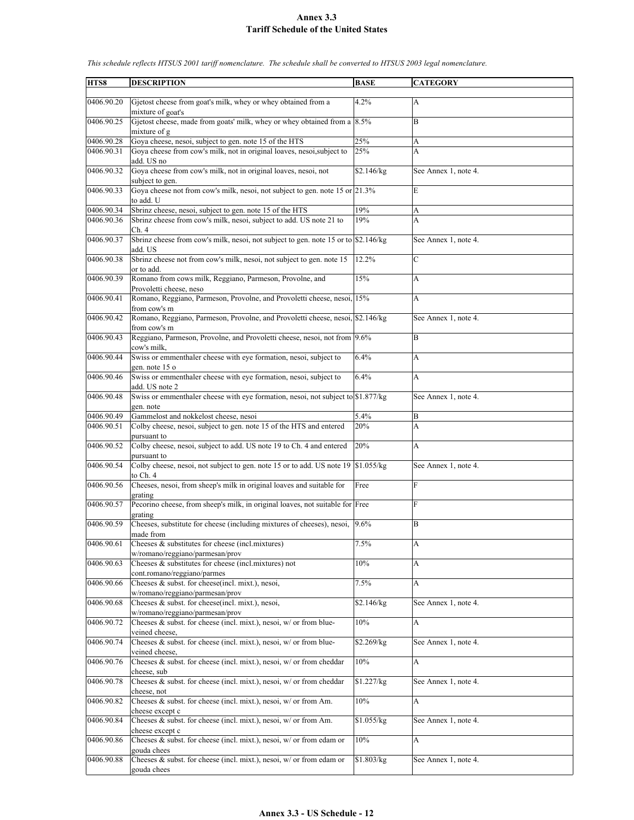| HTS8       | <b>DESCRIPTION</b>                                                                             | <b>BASE</b> | <b>CATEGORY</b>      |
|------------|------------------------------------------------------------------------------------------------|-------------|----------------------|
| 0406.90.20 | Gjetost cheese from goat's milk, whey or whey obtained from a<br>mixture of goat's             | 4.2%        | A                    |
| 0406.90.25 | Gjetost cheese, made from goats' milk, whey or whey obtained from a $8.5\%$<br>mixture of g    |             | B                    |
| 0406.90.28 | Goya cheese, nesoi, subject to gen. note 15 of the HTS                                         | 25%         | A                    |
| 0406.90.31 | Goya cheese from cow's milk, not in original loaves, nesoi, subject to                         | 25%         | A                    |
|            | add. US no                                                                                     |             |                      |
| 0406.90.32 | Goya cheese from cow's milk, not in original loaves, nesoi, not<br>subject to gen.             | \$2.146/kg  | See Annex 1, note 4. |
| 0406.90.33 | Goya cheese not from cow's milk, nesoi, not subject to gen. note 15 or 21.3%<br>to add. U      |             | E                    |
| 0406.90.34 | Sbrinz cheese, nesoi, subject to gen. note 15 of the HTS                                       | 19%         | A                    |
| 0406.90.36 | Sbrinz cheese from cow's milk, nesoi, subject to add. US note 21 to<br>Ch.4                    | 19%         | A                    |
| 0406.90.37 | Sbrinz cheese from cow's milk, nesoi, not subject to gen. note 15 or to \$2.146/kg<br>add. US  |             | See Annex 1, note 4. |
| 0406.90.38 | Sbrinz cheese not from cow's milk, nesoi, not subject to gen. note 15<br>or to add.            | 12.2%       | $\mathbf C$          |
| 0406.90.39 | Romano from cows milk, Reggiano, Parmeson, Provolne, and<br>Provoletti cheese, neso            | 15%         | A                    |
| 0406.90.41 | Romano, Reggiano, Parmeson, Provolne, and Provoletti cheese, nesoi, 15%<br>from cow's m        |             | A                    |
| 0406.90.42 | Romano, Reggiano, Parmeson, Provolne, and Provoletti cheese, nesoi, \$2.146/kg<br>from cow's m |             | See Annex 1, note 4. |
| 0406.90.43 | Reggiano, Parmeson, Provolne, and Provoletti cheese, nesoi, not from 9.6%<br>cow's milk,       |             | B                    |
| 0406.90.44 | Swiss or emmenthaler cheese with eye formation, nesoi, subject to<br>gen. note 15 o            | 6.4%        | A                    |
| 0406.90.46 | Swiss or emmenthaler cheese with eye formation, nesoi, subject to<br>add. US note 2            | 6.4%        | A                    |
| 0406.90.48 | Swiss or emmenthaler cheese with eye formation, nesoi, not subject to \$1.877/kg<br>gen. note  |             | See Annex 1, note 4. |
| 0406.90.49 | Gammelost and nokkelost cheese, nesoi                                                          | 5.4%        | B                    |
| 0406.90.51 | Colby cheese, nesoi, subject to gen. note 15 of the HTS and entered                            | 20%         | A                    |
|            | pursuant to                                                                                    |             |                      |
| 0406.90.52 | Colby cheese, nesoi, subject to add. US note 19 to Ch. 4 and entered<br>pursuant to            | 20%         | A                    |
| 0406.90.54 | Colby cheese, nesoi, not subject to gen. note 15 or to add. US note 19<br>to Ch. 4             | \$1.055/kg  | See Annex 1, note 4. |
| 0406.90.56 | Cheeses, nesoi, from sheep's milk in original loaves and suitable for<br>grating               | Free        | F                    |
| 0406.90.57 | Pecorino cheese, from sheep's milk, in original loaves, not suitable for Free                  |             | F                    |
| 0406.90.59 | grating<br>Cheeses, substitute for cheese (including mixtures of cheeses), nesoi,              | 9.6%        | B                    |
|            | made from                                                                                      |             |                      |
| 0406.90.61 | Cheeses & substitutes for cheese (incl.mixtures)<br>w/romano/reggiano/parmesan/prov            | 7.5%        | A                    |
| 0406.90.63 | Cheeses & substitutes for cheese (incl.mixtures) not<br>cont.romano/reggiano/parmes            | 10%         | A                    |
| 0406.90.66 | Cheeses & subst. for cheese(incl. mixt.), nesoi,<br>w/romano/reggiano/parmesan/prov            | 7.5%        | A                    |
| 0406.90.68 | Cheeses $\&$ subst. for cheese(incl. mixt.), nesoi,<br>w/romano/reggiano/parmesan/prov         | \$2.146/kg  | See Annex 1, note 4. |
| 0406.90.72 | Cheeses $\&$ subst. for cheese (incl. mixt.), nesoi, w/ or from blue-<br>veined cheese.        | 10%         | A                    |
| 0406.90.74 | Cheeses & subst. for cheese (incl. mixt.), nesoi, w/ or from blue-                             | \$2.269/kg  | See Annex 1, note 4. |
| 0406.90.76 | veined cheese,<br>Cheeses $\&$ subst. for cheese (incl. mixt.), nesoi, w/ or from cheddar      | 10%         | A                    |
| 0406.90.78 | cheese, sub<br>Cheeses $\&$ subst. for cheese (incl. mixt.), nesoi, w/ or from cheddar         | \$1.227/kg  | See Annex 1, note 4. |
| 0406.90.82 | cheese, not<br>Cheeses $\&$ subst. for cheese (incl. mixt.), nesoi, w/ or from Am.             | 10%         | A                    |
| 0406.90.84 | cheese except c<br>Cheeses $\&$ subst. for cheese (incl. mixt.), nesoi, w/ or from Am.         |             |                      |
|            | cheese except c                                                                                | \$1.055/kg  | See Annex 1, note 4. |
| 0406.90.86 | Cheeses $\&$ subst. for cheese (incl. mixt.), nesoi, w/ or from edam or<br>gouda chees         | 10%         | A                    |
| 0406.90.88 | Cheeses & subst. for cheese (incl. mixt.), nesoi, w/ or from edam or<br>gouda chees            | \$1.803/kg  | See Annex 1, note 4. |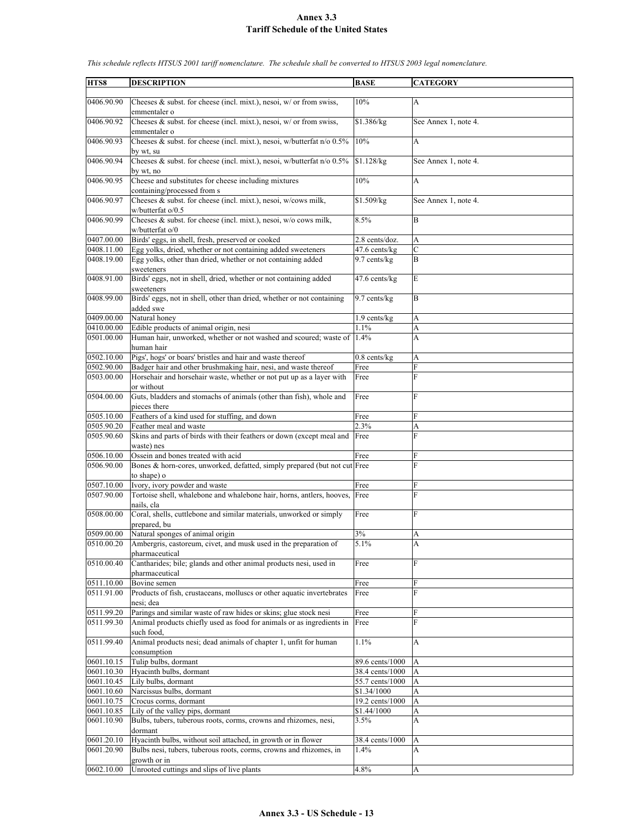| HTS8       | <b>DESCRIPTION</b>                                                         | <b>BASE</b>     | <b>CATEGORY</b>      |
|------------|----------------------------------------------------------------------------|-----------------|----------------------|
|            |                                                                            |                 |                      |
| 0406.90.90 | Cheeses & subst. for cheese (incl. mixt.), nesoi, $w/$ or from swiss,      | 10%             | A                    |
|            | emmentaler o                                                               |                 |                      |
| 0406.90.92 | Cheeses $\&$ subst. for cheese (incl. mixt.), nesoi, w/ or from swiss,     | \$1.386/kg      | See Annex 1, note 4. |
|            | emmentaler o                                                               |                 |                      |
| 0406.90.93 | Cheeses & subst. for cheese (incl. mixt.), nesoi, w/butterfat n/o 0.5%     | 10%             | A                    |
|            | by wt, su                                                                  |                 |                      |
| 0406.90.94 | Cheeses & subst. for cheese (incl. mixt.), nesoi, w/butterfat n/o 0.5%     | \$1.128/kg      | See Annex 1, note 4. |
|            | by wt, no                                                                  |                 |                      |
| 0406.90.95 | Cheese and substitutes for cheese including mixtures                       | 10%             | A                    |
|            |                                                                            |                 |                      |
|            | containing/processed from s                                                |                 |                      |
| 0406.90.97 | Cheeses & subst. for cheese (incl. mixt.), nesoi, w/cows milk,             | \$1.509/kg      | See Annex 1, note 4. |
|            | w/butterfat o/0.5                                                          |                 |                      |
| 0406.90.99 | Cheeses $\&$ subst. for cheese (incl. mixt.), nesoi, w/o cows milk,        | 8.5%            | B                    |
|            | w/butterfat o/0                                                            |                 |                      |
| 0407.00.00 | Birds' eggs, in shell, fresh, preserved or cooked                          | 2.8 cents/doz.  | A                    |
| 0408.11.00 | Egg yolks, dried, whether or not containing added sweeteners               | 47.6 cents/kg   | $\overline{C}$       |
| 0408.19.00 | Egg yolks, other than dried, whether or not containing added               | 9.7 cents/kg    | B                    |
|            | sweeteners                                                                 |                 |                      |
| 0408.91.00 | Birds' eggs, not in shell, dried, whether or not containing added          | 47.6 cents/kg   | E                    |
|            | sweeteners                                                                 |                 |                      |
| 0408.99.00 |                                                                            | 9.7 cents/kg    | B                    |
|            | Birds' eggs, not in shell, other than dried, whether or not containing     |                 |                      |
|            | added swe                                                                  |                 |                      |
| 0409.00.00 | Natural honey                                                              | $1.9$ cents/kg  | A                    |
| 0410.00.00 | Edible products of animal origin, nesi                                     | 1.1%            | A                    |
| 0501.00.00 | Human hair, unworked, whether or not washed and scoured; waste of          | 1.4%            | A                    |
|            | human hair                                                                 |                 |                      |
| 0502.10.00 | Pigs', hogs' or boars' bristles and hair and waste thereof                 | $0.8$ cents/kg  | A                    |
| 0502.90.00 | Badger hair and other brushmaking hair, nesi, and waste thereof            | Free            | F                    |
| 0503.00.00 | Horsehair and horsehair waste, whether or not put up as a layer with       | Free            | F                    |
|            | or without                                                                 |                 |                      |
| 0504.00.00 | Guts, bladders and stomachs of animals (other than fish), whole and        | Free            | F                    |
|            | pieces there                                                               |                 |                      |
| 0505.10.00 | Feathers of a kind used for stuffing, and down                             | Free            | F                    |
|            |                                                                            |                 |                      |
| 0505.90.20 | Feather meal and waste                                                     | 2.3%            | A                    |
| 0505.90.60 | Skins and parts of birds with their feathers or down (except meal and Free |                 | F                    |
|            | waste) nes                                                                 |                 |                      |
| 0506.10.00 | Ossein and bones treated with acid                                         | Free            | F                    |
| 0506.90.00 | Bones & horn-cores, unworked, defatted, simply prepared (but not cut Free  |                 | F                    |
|            | to shape) o                                                                |                 |                      |
| 0507.10.00 | Ivory, ivory powder and waste                                              | Free            | F                    |
| 0507.90.00 | Tortoise shell, whalebone and whalebone hair, horns, antlers, hooves,      | Free            | F                    |
|            | nails, cla                                                                 |                 |                      |
| 0508.00.00 | Coral, shells, cuttlebone and similar materials, unworked or simply        | Free            | F                    |
|            | prepared, bu                                                               |                 |                      |
| 0509.00.00 | Natural sponges of animal origin                                           | 3%              | A                    |
|            | Ambergris, castoreum, civet, and musk used in the preparation of           | 5.1%            |                      |
| 0510.00.20 |                                                                            |                 | A                    |
|            | pharmaceutical                                                             |                 |                      |
| 0510.00.40 | Cantharides; bile; glands and other animal products nesi, used in          | Free            | F                    |
|            | pharmaceutical                                                             |                 |                      |
| 0511.10.00 | Bovine semen                                                               | Free            | F                    |
| 0511.91.00 | Products of fish, crustaceans, molluscs or other aquatic invertebrates     | Free            | F                    |
|            | nesi; dea                                                                  |                 |                      |
| 0511.99.20 | Parings and similar waste of raw hides or skins; glue stock nesi           | Free            | F                    |
| 0511.99.30 | Animal products chiefly used as food for animals or as ingredients in      | Free            | F                    |
|            | such food.                                                                 |                 |                      |
| 0511.99.40 | Animal products nesi; dead animals of chapter 1, unfit for human           | 1.1%            | A                    |
|            | consumption                                                                |                 |                      |
|            |                                                                            |                 |                      |
| 0601.10.15 | Tulip bulbs, dormant                                                       | 89.6 cents/1000 | A                    |
| 0601.10.30 | Hyacinth bulbs, dormant                                                    | 38.4 cents/1000 | A                    |
| 0601.10.45 | Lily bulbs, dormant                                                        | 55.7 cents/1000 | A                    |
| 0601.10.60 | Narcissus bulbs, dormant                                                   | \$1.34/1000     | A                    |
| 0601.10.75 | Crocus corms, dormant                                                      | 19.2 cents/1000 | A                    |
| 0601.10.85 | Lily of the valley pips, dormant                                           | \$1.44/1000     | A                    |
| 0601.10.90 | Bulbs, tubers, tuberous roots, corms, crowns and rhizomes, nesi,           | 3.5%            | A                    |
|            | dormant                                                                    |                 |                      |
| 0601.20.10 | Hyacinth bulbs, without soil attached, in growth or in flower              | 38.4 cents/1000 | A                    |
| 0601.20.90 | Bulbs nesi, tubers, tuberous roots, corms, crowns and rhizomes, in         | 1.4%            | A                    |
|            | growth or in                                                               |                 |                      |
| 0602.10.00 | Unrooted cuttings and slips of live plants                                 | 4.8%            | A                    |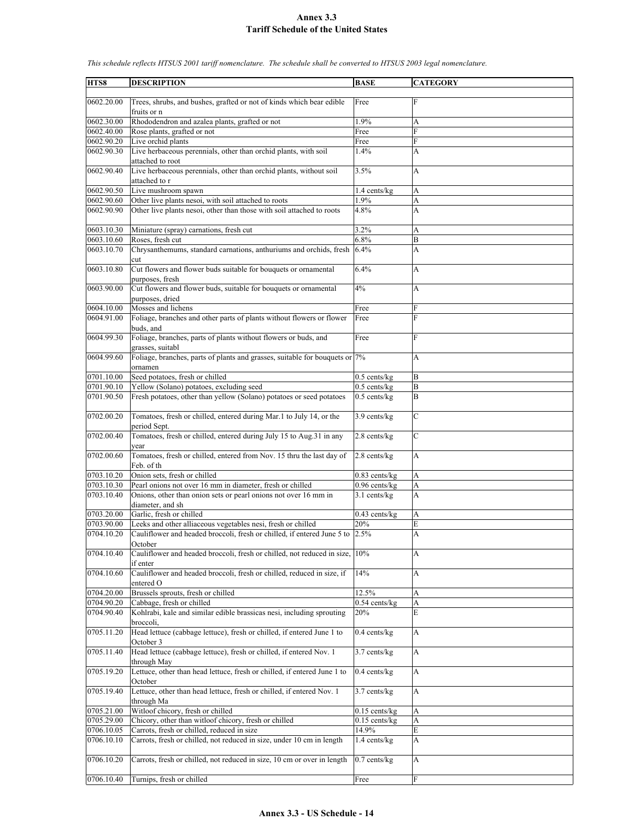| HTS8                     | <b>DESCRIPTION</b>                                                                      | <b>BASE</b>     | <b>CATEGORY</b> |
|--------------------------|-----------------------------------------------------------------------------------------|-----------------|-----------------|
|                          |                                                                                         |                 |                 |
| 0602.20.00               | Trees, shrubs, and bushes, grafted or not of kinds which bear edible                    | Free            | F               |
|                          | fruits or n                                                                             |                 |                 |
| 0602.30.00               | Rhododendron and azalea plants, grafted or not                                          | 1.9%            | А               |
| 0602.40.00               | Rose plants, grafted or not                                                             | Free            | F               |
| 0602.90.20<br>0602.90.30 | Live orchid plants                                                                      | Free<br>1.4%    | F               |
|                          | Live herbaceous perennials, other than orchid plants, with soil<br>attached to root     |                 | A               |
| 0602.90.40               | Live herbaceous perennials, other than orchid plants, without soil<br>attached to r     | 3.5%            | A               |
| 0602.90.50               | Live mushroom spawn                                                                     | 1.4 cents/kg    | A               |
| 0602.90.60               | Other live plants nesoi, with soil attached to roots                                    | 1.9%            | A               |
| 0602.90.90               | Other live plants nesoi, other than those with soil attached to roots                   | 4.8%            | A               |
| 0603.10.30               | Miniature (spray) carnations, fresh cut                                                 | 3.2%            | A               |
| 0603.10.60               | Roses, fresh cut                                                                        | 6.8%            | B               |
| 0603.10.70               | Chrysanthemums, standard carnations, anthuriums and orchids, fresh 6.4%                 |                 | A               |
| 0603.10.80               | cut<br>Cut flowers and flower buds suitable for bouquets or ornamental                  | 6.4%            | А               |
|                          | purposes, fresh                                                                         |                 |                 |
| 0603.90.00               | Cut flowers and flower buds, suitable for bouquets or ornamental                        | 4%              | A               |
| 0604.10.00               | purposes, dried<br>Mosses and lichens                                                   | Free            | F               |
| 0604.91.00               | Foliage, branches and other parts of plants without flowers or flower                   | Free            | F               |
|                          | buds, and                                                                               |                 |                 |
| 0604.99.30               | Foliage, branches, parts of plants without flowers or buds, and<br>grasses, suitabl     | Free            | F               |
| 0604.99.60               | Foliage, branches, parts of plants and grasses, suitable for bouquets or 7%<br>ornamen  |                 | A               |
| 0701.10.00               | Seed potatoes, fresh or chilled                                                         | $0.5$ cents/kg  | B               |
| 0701.90.10               | Yellow (Solano) potatoes, excluding seed                                                | $0.5$ cents/kg  | B               |
| 0701.90.50               | Fresh potatoes, other than yellow (Solano) potatoes or seed potatoes                    | $0.5$ cents/kg  | B               |
|                          |                                                                                         |                 |                 |
| 0702.00.20               | Tomatoes, fresh or chilled, entered during Mar.1 to July 14, or the<br>period Sept.     | $3.9$ cents/kg  | $\mathbf C$     |
| 0702.00.40               | Tomatoes, fresh or chilled, entered during July 15 to Aug.31 in any<br>vear             | 2.8 cents/kg    | $\mathbf C$     |
| 0702.00.60               | Tomatoes, fresh or chilled, entered from Nov. 15 thru the last day of<br>Feb. of th     | $2.8$ cents/kg  | A               |
| 0703.10.20               | Onion sets, fresh or chilled                                                            | $0.83$ cents/kg | A               |
| 0703.10.30               | Pearl onions not over 16 mm in diameter, fresh or chilled                               | $0.96$ cents/kg | A               |
| 0703.10.40               | Onions, other than onion sets or pearl onions not over 16 mm in                         | $3.1$ cents/kg  | A               |
|                          | diameter, and sh                                                                        |                 |                 |
| 0703.20.00               | Garlic, fresh or chilled                                                                | $0.43$ cents/kg | A               |
| 0703.90.00               | Leeks and other alliaceous vegetables nesi, fresh or chilled                            | 20%             | E               |
| 0704.10.20               | Cauliflower and headed broccoli, fresh or chilled, if entered June 5 to 2.5%<br>October |                 | A               |
| 0704.10.40               | Cauliflower and headed broccoli, fresh or chilled, not reduced in size, 10%<br>if enter |                 | А               |
| 0704.10.60               | Cauliflower and headed broccoli, fresh or chilled, reduced in size, if<br>entered O     | 14%             | A               |
| 0704.20.00               | Brussels sprouts, fresh or chilled                                                      | 12.5%           | A               |
| 0704.90.20               | Cabbage, fresh or chilled                                                               | $0.54$ cents/kg | A               |
| 0704.90.40               | Kohlrabi, kale and similar edible brassicas nesi, including sprouting<br>broccoli.      | 20%             | E               |
| 0705.11.20               | Head lettuce (cabbage lettuce), fresh or chilled, if entered June 1 to                  | $0.4$ cents/kg  | A               |
| 0705.11.40               | October 3<br>Head lettuce (cabbage lettuce), fresh or chilled, if entered Nov. 1        | 3.7 cents/kg    | $\mathbf{A}$    |
| 0705.19.20               | through May<br>Lettuce, other than head lettuce, fresh or chilled, if entered June 1 to | $0.4$ cents/kg  | A               |
| 0705.19.40               | October<br>Lettuce, other than head lettuce, fresh or chilled, if entered Nov. 1        | 3.7 cents/kg    | A               |
|                          | through Ma                                                                              |                 |                 |
| 0705.21.00               | Witloof chicory, fresh or chilled                                                       | $0.15$ cents/kg | A               |
| 0705.29.00               | Chicory, other than witloof chicory, fresh or chilled                                   | $0.15$ cents/kg | A               |
| 0706.10.05               | Carrots, fresh or chilled, reduced in size                                              | 14.9%           | E               |
| 0706.10.10               | Carrots, fresh or chilled, not reduced in size, under 10 cm in length                   | 1.4 cents/kg    | A               |
| 0706.10.20               | Carrots, fresh or chilled, not reduced in size, 10 cm or over in length                 | $0.7$ cents/kg  | A               |
| 0706.10.40               | Turnips, fresh or chilled                                                               | Free            | F               |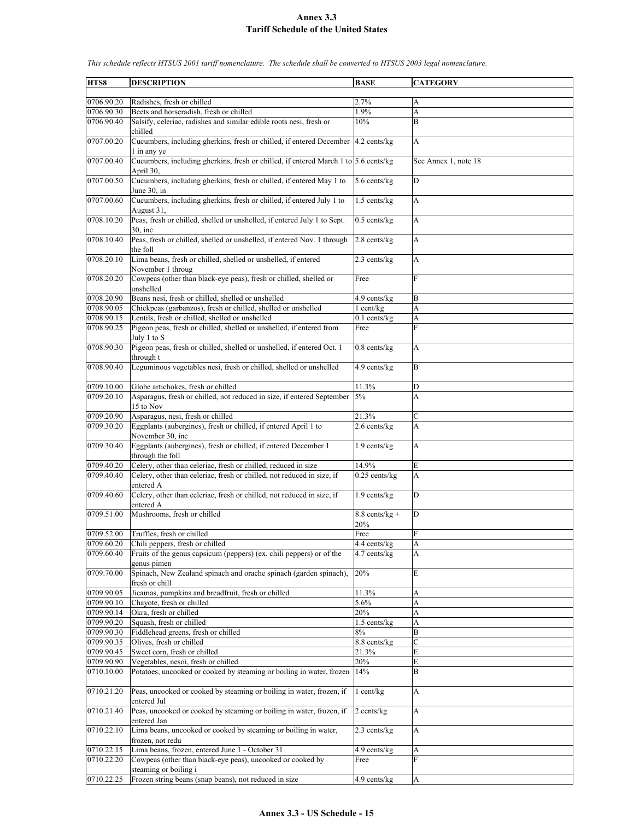**HTS8 DESCRIPTION BASE CATEGORY**  $0706.90.20$  Radishes, fresh or chilled  $2.7\%$ 0706.90.30 Beets and horseradish, fresh or chilled  $1.9\%$ 0706.90.40 Salsify, celeriac, radishes and similar edible roots nesi, fresh or chilled 10% B 0707.00.20 Cucumbers, including gherkins, fresh or chilled, if entered December 1 in any ye 4.2 cents/kg A 0707.00.40 Cucumbers, including gherkins, fresh or chilled, if entered March 1 to  $\frac{5.6 \text{ cents/kg}}{2}$ April 30, See Annex 1, note 18 0707.00.50 Cucumbers, including gherkins, fresh or chilled, if entered May 1 to June 30, in 5.6 cents/kg D 0707.00.60 Cucumbers, including gherkins, fresh or chilled, if entered July 1 to August 31,  $1.5$  cents/kg  $\overrightarrow{A}$ 0708.10.20 Peas, fresh or chilled, shelled or unshelled, if entered July 1 to Sept. 30, inc 0.5 cents/kg A 0708.10.40 Peas, fresh or chilled, shelled or unshelled, if entered Nov. 1 through the foll 2.8 cents/kg A 0708.20.10 Lima beans, fresh or chilled, shelled or unshelled, if entered November 1 throug 2.3 cents/kg  $|A|$ 0708.20.20 Cowpeas (other than black-eye peas), fresh or chilled, shelled or unshelled Free F 0708.20.90 Beans nesi, fresh or chilled, shelled or unshelled  $\vert$ 4.9 cents/kg B 0708.90.05 Chickpeas (garbanzos), fresh or chilled, shelled or unshelled 1 cent/kg A<br>0708.90.15 Lentils, fresh or chilled, shelled or unshelled 1 cents/kg A Lentils, fresh or chilled, shelled or unshelled 0.1 cents/kg A 0708.90.25 Pigeon peas, fresh or chilled, shelled or unshelled, if entered from uly 1 to S Free 0708.90.30 Pigeon peas, fresh or chilled, shelled or unshelled, if entered Oct. 1 through t  $0.8$  cents/kg  $|A|$ 0708.90.40 Leguminous vegetables nesi, fresh or chilled, shelled or unshelled  $\begin{array}{|l|l|} 4.9 \text{ cents/kg} \end{array}$  B 0709.10.00 Globe artichokes, fresh or chilled 11.3% D 0709.20.10 Asparagus, fresh or chilled, not reduced in size, if entered September 15 to Nov 5% A 0709.20.90 Asparagus, nesi, fresh or chilled 21.3% 0709.30.20 Eggplants (aubergines), fresh or chilled, if entered April 1 to November 30, inc  $2.6$  cents/kg  $\vert$  A 0709.30.40 Eggplants (aubergines), fresh or chilled, if entered December 1 through the foll 1.9 cents/kg A 0709.40.20 Celery, other than celeriac, fresh or chilled, reduced in size  $14.9\%$  E 0709.40.40 Celery, other than celeriac, fresh or chilled, not reduced in size, if entered A  $0.25$  cents/kg  $|A|$ 0709.40.60 Celery, other than celeriac, fresh or chilled, not reduced in size, if entered A 1.9 cents/kg D  $0709.51.00$  Mushrooms, fresh or chilled 8.8 cents/kg + 20% D 0709.52.00 Truffles, fresh or chilled Free 0709.60.20 Chili peppers, fresh or chilled 4.4 cents/kg A 0709.60.40 Fruits of the genus capsicum (peppers) (ex. chili peppers) or of the genus pimen  $4.7$  cents/kg  $\overrightarrow{A}$ 0709.70.00 Spinach, New Zealand spinach and orache spinach (garden spinach), fresh or chill 20% E 0709.90.05 Jicamas, pumpkins and breadfruit, fresh or chilled 11.3% A 0709.90.10 Chayote, fresh or chilled 5.6%  $0709.90.14$  Okra, fresh or chilled  $20\%$  A  $0709.90.20$  Squash, fresh or chilled  $1.5$  cents/kg A 0709.90.30 Fiddlehead greens, fresh or chilled 8% B 0709.90.35 Olives, fresh or chilled 8.8 cents/kg C 0709.90.45 Sweet corn, fresh or chilled 21.3% E 0709.90.90 Vegetables, nesoi, fresh or chilled 20% 0710.10.00 Potatoes, uncooked or cooked by steaming or boiling in water, frozen 14% B 0710.21.20 Peas, uncooked or cooked by steaming or boiling in water, frozen, if entered Jul 1 cent/kg A 0710.21.40 Peas, uncooked or cooked by steaming or boiling in water, frozen, if entered Jan  $2$  cents/kg  $|A|$ 0710.22.10 Lima beans, uncooked or cooked by steaming or boiling in water, frozen, not redu 2.3 cents/ $\text{kg}$  | A 0710.22.15 Lima beans, frozen, entered June 1 - October 31 4.9 cents/kg A 0710.22.20 Cowpeas (other than black-eye peas), uncooked or cooked by steaming or boiling i Free 0710.22.25 Frozen string beans (snap beans), not reduced in size 4.9 cents/kg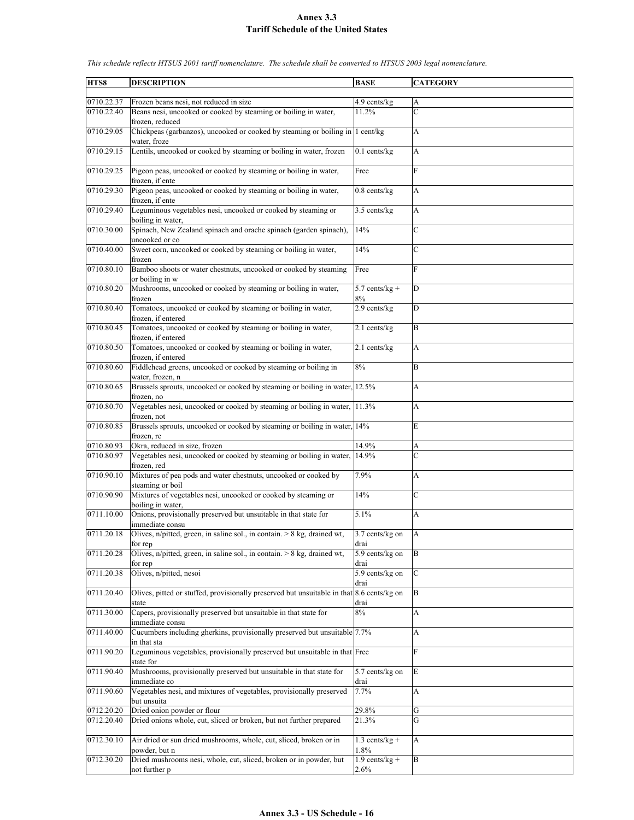**HTS8 DESCRIPTION BASE CATEGORY** 0710.22.37 Frozen beans nesi, not reduced in size 4.9 cents/kg 0710.22.40 Beans nesi, uncooked or cooked by steaming or boiling in water, frozen, reduced 11.2% C 0710.29.05 Chickpeas (garbanzos), uncooked or cooked by steaming or boiling in water, froze  $1$  cent/kg  $|A|$ 0710.29.15 Lentils, uncooked or cooked by steaming or boiling in water, frozen  $\begin{bmatrix} 0.1 \text{ cents/kg} \\ 0.1 \text{ cents/kg} \end{bmatrix}$ 0710.29.25 Pigeon peas, uncooked or cooked by steaming or boiling in water, frozen, if ente Free F 0710.29.30 Pigeon peas, uncooked or cooked by steaming or boiling in water, frozen, if ente 0.8 cents/kg A 0710.29.40 Leguminous vegetables nesi, uncooked or cooked by steaming or boiling in water, 3.5 cents/kg A 0710.30.00 Spinach, New Zealand spinach and orache spinach (garden spinach), uncooked or co 14% 0710.40.00 Sweet corn, uncooked or cooked by steaming or boiling in water, frozen  $14\%$  C 0710.80.10 Bamboo shoots or water chestnuts, uncooked or cooked by steaming or boiling in w Free F 0710.80.20 Mushrooms, uncooked or cooked by steaming or boiling in water, frozen 5.7 cents/kg + 8% D 0710.80.40 Tomatoes, uncooked or cooked by steaming or boiling in water, frozen, if entered 2.9 cents/kg D 0710.80.45 Tomatoes, uncooked or cooked by steaming or boiling in water, frozen, if entered  $2.1$  cents/kg  $\qquad$  B 0710.80.50 Tomatoes, uncooked or cooked by steaming or boiling in water, frozen, if entered 2.1 cents/kg A 0710.80.60 Fiddlehead greens, uncooked or cooked by steaming or boiling in water, frozen, n 8% B 0710.80.65 Brussels sprouts, uncooked or cooked by steaming or boiling in water, frozen, no 12.5% A 0710.80.70 Vegetables nesi, uncooked or cooked by steaming or boiling in water, frozen, not 11.3% A 0710.80.85 Brussels sprouts, uncooked or cooked by steaming or boiling in water, 14% frozen, re 0710.80.93 Okra, reduced in size, frozen 14.9% A 0710.80.97 Vegetables nesi, uncooked or cooked by steaming or boiling in water, frozen, red 14.9% C 0710.90.10 Mixtures of pea pods and water chestnuts, uncooked or cooked by steaming or boil 7.9% A 0710.90.90 Mixtures of vegetables nesi, uncooked or cooked by steaming or boiling in water, 14% C 0711.10.00 Onions, provisionally preserved but unsuitable in that state for immediate consu 5.1% A 0711.20.18 Olives, n/pitted, green, in saline sol., in contain. > 8 kg, drained wt, for rep 3.7 cents/kg on drai A 0711.20.28 Olives, n/pitted, green, in saline sol., in contain.  $> 8$  kg, drained wt, for rep 5.9 cents/kg on drai B 0711.20.38 Olives, n/pitted, nesoi 5.9 cents/kg on drai  $\mathcal{C}$ 0711.20.40 Olives, pitted or stuffed, provisionally preserved but unsuitable in that state 8.6 cents/kg on drai B 0711.30.00 Capers, provisionally preserved but unsuitable in that state for immediate consu 8% A 0711.40.00 Cucumbers including gherkins, provisionally preserved but unsuitable in that sta 7.7% A 0711.90.20 Leguminous vegetables, provisionally preserved but unsuitable in that Free F state for 0711.90.40 Mushrooms, provisionally preserved but unsuitable in that state for immediate co 5.7 cents/kg on drai E 0711.90.60 Vegetables nesi, and mixtures of vegetables, provisionally preserved but unsuita 7.7% A 0712.20.20 Dried onion powder or flour 29.8% G 0712.20.40 Dried onions whole, cut, sliced or broken, but not further prepared 21.3% G 0712.30.10 Air dried or sun dried mushrooms, whole, cut, sliced, broken or in powder, but n 1.3 cents/kg + 1.8% A 0712.30.20 Dried mushrooms nesi, whole, cut, sliced, broken or in powder, but not further p  $1.9$  cents/kg + 2.6% B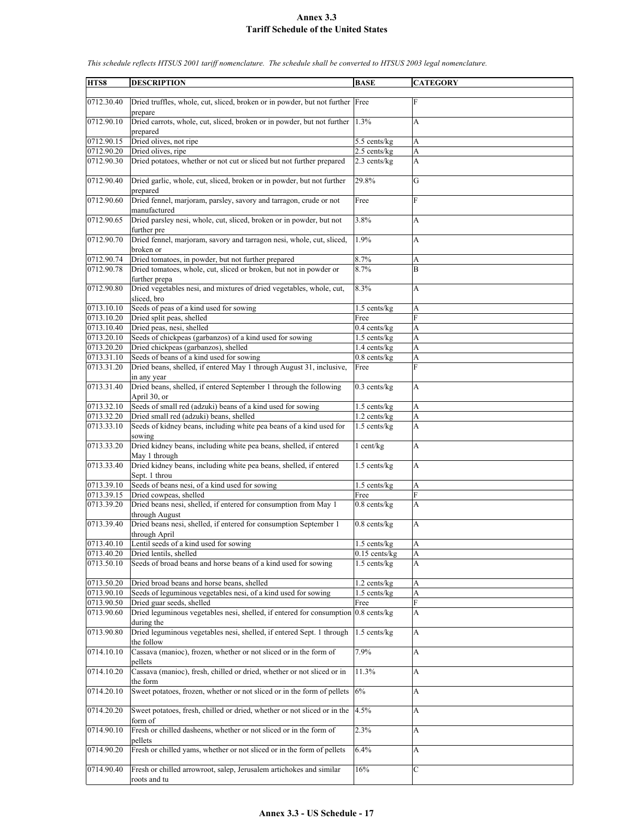| HTS8       | <b>DESCRIPTION</b>                                                                 | <b>BASE</b>       | <b>CATEGORY</b>           |
|------------|------------------------------------------------------------------------------------|-------------------|---------------------------|
|            |                                                                                    |                   |                           |
| 0712.30.40 | Dried truffles, whole, cut, sliced, broken or in powder, but not further Free      |                   | F                         |
|            | prepare                                                                            |                   |                           |
| 0712.90.10 | Dried carrots, whole, cut, sliced, broken or in powder, but not further            | 1.3%              | A                         |
|            | prepared                                                                           |                   |                           |
| 0712.90.15 | Dried olives, not ripe                                                             | 5.5 cents/kg      | A                         |
| 0712.90.20 | Dried olives, ripe                                                                 | 2.5 cents/kg      | A                         |
| 0712.90.30 | Dried potatoes, whether or not cut or sliced but not further prepared              | $2.3$ cents/kg    | A                         |
|            |                                                                                    |                   |                           |
| 0712.90.40 | Dried garlic, whole, cut, sliced, broken or in powder, but not further             | 29.8%             | G                         |
|            |                                                                                    |                   |                           |
| 0712.90.60 | prepared                                                                           |                   | F                         |
|            | Dried fennel, marjoram, parsley, savory and tarragon, crude or not                 | Free              |                           |
|            | manufactured                                                                       |                   |                           |
| 0712.90.65 | Dried parsley nesi, whole, cut, sliced, broken or in powder, but not               | 3.8%              | A                         |
|            | further pre                                                                        |                   |                           |
| 0712.90.70 | Dried fennel, marjoram, savory and tarragon nesi, whole, cut, sliced,              | 1.9%              | A                         |
|            | broken or                                                                          |                   |                           |
| 0712.90.74 | Dried tomatoes, in powder, but not further prepared                                | 8.7%              | А                         |
| 0712.90.78 | Dried tomatoes, whole, cut, sliced or broken, but not in powder or                 | 8.7%              | B                         |
|            | further prepa                                                                      |                   |                           |
| 0712.90.80 | Dried vegetables nesi, and mixtures of dried vegetables, whole, cut,               | 8.3%              | A                         |
|            | sliced, bro                                                                        |                   |                           |
| 0713.10.10 | Seeds of peas of a kind used for sowing                                            | $1.5$ cents/kg    | A                         |
| 0713.10.20 | Dried split peas, shelled                                                          | Free              | F                         |
| 0713.10.40 | Dried peas, nesi, shelled                                                          | $0.4$ cents/ $kg$ | A                         |
| 0713.20.10 | Seeds of chickpeas (garbanzos) of a kind used for sowing                           | 1.5 cents/kg      | A                         |
| 0713.20.20 |                                                                                    | 1.4 cents/kg      |                           |
|            | Dried chickpeas (garbanzos), shelled                                               |                   | A                         |
| 0713.31.10 | Seeds of beans of a kind used for sowing                                           | $0.8$ cents/kg    | A                         |
| 0713.31.20 | Dried beans, shelled, if entered May 1 through August 31, inclusive,               | Free              | $\overline{F}$            |
|            | in any year                                                                        |                   |                           |
| 0713.31.40 | Dried beans, shelled, if entered September 1 through the following                 | $0.3$ cents/kg    | A                         |
|            | April 30, or                                                                       |                   |                           |
| 0713.32.10 | Seeds of small red (adzuki) beans of a kind used for sowing                        | $1.5$ cents/kg    | A                         |
| 0713.32.20 | Dried small red (adzuki) beans, shelled                                            | 1.2 cents/kg      | A                         |
| 0713.33.10 | Seeds of kidney beans, including white pea beans of a kind used for                | 1.5 cents/kg      | A                         |
|            | sowing                                                                             |                   |                           |
| 0713.33.20 | Dried kidney beans, including white pea beans, shelled, if entered                 | $1$ cent/kg       | A                         |
|            | May 1 through                                                                      |                   |                           |
| 0713.33.40 | Dried kidney beans, including white pea beans, shelled, if entered                 | 1.5 cents/kg      | A                         |
|            | Sept. 1 throu                                                                      |                   |                           |
| 0713.39.10 | Seeds of beans nesi, of a kind used for sowing                                     | 1.5 cents/kg      | A                         |
| 0713.39.15 | Dried cowpeas, shelled                                                             | Free              | F                         |
|            |                                                                                    |                   |                           |
| 0713.39.20 | Dried beans nesi, shelled, if entered for consumption from May 1                   | $0.8$ cents/ $kg$ | $\overline{A}$            |
|            | through August                                                                     |                   |                           |
| 0713.39.40 | Dried beans nesi, shelled, if entered for consumption September 1                  | $0.8$ cents/ $kg$ | A                         |
|            | through April                                                                      |                   |                           |
| 0713.40.10 | Lentil seeds of a kind used for sowing                                             | 1.5 cents/kg      | A                         |
| 0713.40.20 | Dried lentils, shelled                                                             | $0.15$ cents/kg   | A                         |
| 0713.50.10 | Seeds of broad beans and horse beans of a kind used for sowing                     | $1.5$ cents/kg    | A                         |
|            |                                                                                    |                   |                           |
| 0713.50.20 | Dried broad beans and horse beans, shelled                                         | 1.2 cents/kg      | A                         |
| 0713.90.10 | Seeds of leguminous vegetables nesi, of a kind used for sowing                     | 1.5 cents/kg      | A                         |
| 0713.90.50 | Dried guar seeds, shelled                                                          | Free              | F                         |
| 0713.90.60 | Dried leguminous vegetables nesi, shelled, if entered for consumption 0.8 cents/kg |                   | A                         |
|            | during the                                                                         |                   |                           |
| 0713.90.80 | Dried leguminous vegetables nesi, shelled, if entered Sept. 1 through              | 1.5 cents/kg      | A                         |
|            |                                                                                    |                   |                           |
|            | the follow                                                                         |                   |                           |
| 0714.10.10 | Cassava (manioc), frozen, whether or not sliced or in the form of                  | 7.9%              | A                         |
|            | pellets                                                                            |                   |                           |
| 0714.10.20 | Cassava (manioc), fresh, chilled or dried, whether or not sliced or in             | 11.3%             | $\boldsymbol{\mathsf{A}}$ |
|            | the form                                                                           |                   |                           |
| 0714.20.10 | Sweet potatoes, frozen, whether or not sliced or in the form of pellets            | 6%                | A                         |
|            |                                                                                    |                   |                           |
| 0714.20.20 | Sweet potatoes, fresh, chilled or dried, whether or not sliced or in the           | 4.5%              | A                         |
|            | form of                                                                            |                   |                           |
| 0714.90.10 | Fresh or chilled dasheens, whether or not sliced or in the form of                 | 2.3%              | A                         |
|            | pellets                                                                            |                   |                           |
| 0714.90.20 | Fresh or chilled yams, whether or not sliced or in the form of pellets             | 6.4%              | A                         |
|            |                                                                                    |                   |                           |
| 0714.90.40 | Fresh or chilled arrowroot, salep, Jerusalem artichokes and similar                | 16%               | C                         |
|            | roots and tu                                                                       |                   |                           |
|            |                                                                                    |                   |                           |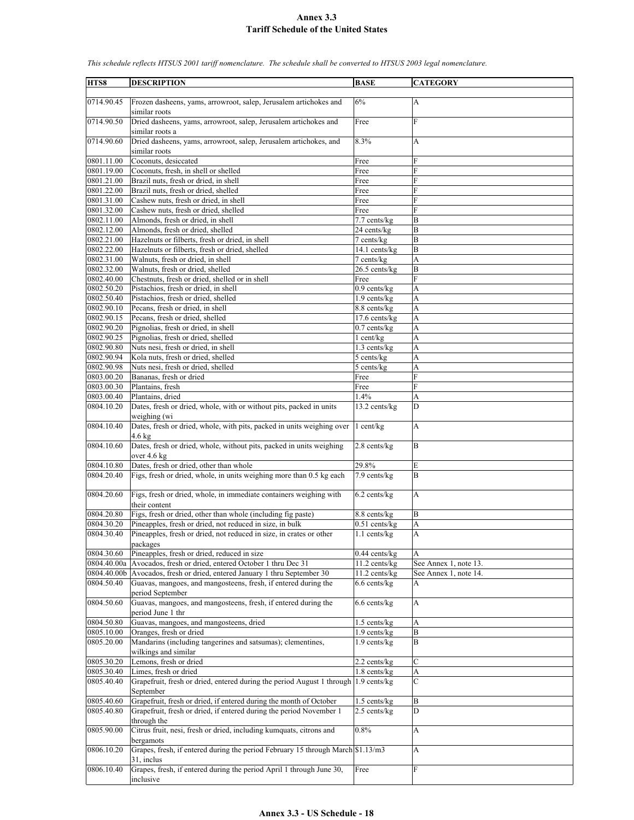| HTS8                     | <b>DESCRIPTION</b>                                                                               | <b>BASE</b>       | <b>CATEGORY</b>           |
|--------------------------|--------------------------------------------------------------------------------------------------|-------------------|---------------------------|
| 0714.90.45               | Frozen dasheens, yams, arrowroot, salep, Jerusalem artichokes and                                | 6%                | A                         |
|                          | similar roots                                                                                    |                   |                           |
| 0714.90.50               | Dried dasheens, yams, arrowroot, salep, Jerusalem artichokes and<br>similar roots a              | Free              | F                         |
| 0714.90.60               | Dried dasheens, yams, arrowroot, salep, Jerusalem artichokes, and                                | 8.3%              | A                         |
|                          | similar roots                                                                                    |                   |                           |
| 0801.11.00               | Coconuts, desiccated                                                                             | Free              | F                         |
| 0801.19.00               | Coconuts, fresh, in shell or shelled                                                             | Free              | $\overline{F}$            |
| 0801.21.00               | Brazil nuts, fresh or dried, in shell                                                            | Free              | F                         |
| 0801.22.00<br>0801.31.00 | Brazil nuts, fresh or dried, shelled<br>Cashew nuts, fresh or dried, in shell                    | Free              | F<br>F                    |
| 0801.32.00               | Cashew nuts, fresh or dried, shelled                                                             | Free<br>Free      | F                         |
| 0802.11.00               | Almonds, fresh or dried, in shell                                                                | 7.7 cents/kg      | B                         |
| 0802.12.00               | Almonds, fresh or dried, shelled                                                                 | 24 cents/kg       | B                         |
| 0802.21.00               | Hazelnuts or filberts, fresh or dried, in shell                                                  | 7 cents/kg        | B                         |
| 0802.22.00               | Hazelnuts or filberts, fresh or dried, shelled                                                   | 14.1 cents/kg     | $\overline{B}$            |
| 0802.31.00               | Walnuts, fresh or dried, in shell                                                                | $7$ cents/ $kg$   | A                         |
| 0802.32.00               | Walnuts, fresh or dried, shelled                                                                 | 26.5 cents/kg     | B                         |
| 0802.40.00               | Chestnuts, fresh or dried, shelled or in shell                                                   | Free              | F                         |
| 0802.50.20               | Pistachios, fresh or dried, in shell                                                             | $0.9$ cents/kg    | A                         |
| 0802.50.40               | Pistachios, fresh or dried, shelled                                                              | 1.9 cents/kg      | A                         |
| 0802.90.10               | Pecans, fresh or dried, in shell                                                                 | 8.8 cents/kg      | A                         |
| 0802.90.15               | Pecans, fresh or dried, shelled                                                                  | $17.6$ cents/kg   | A                         |
| 0802.90.20               | Pignolias, fresh or dried, in shell                                                              | $0.7$ cents/kg    | A                         |
| 0802.90.25               | Pignolias, fresh or dried, shelled                                                               | 1 cent/kg         | A                         |
| 0802.90.80               | Nuts nesi, fresh or dried, in shell                                                              | 1.3 cents/kg      | A                         |
| 0802.90.94               | Kola nuts, fresh or dried, shelled                                                               | 5 cents/kg        | A                         |
| 0802.90.98               | Nuts nesi, fresh or dried, shelled                                                               | 5 cents/kg        | A                         |
| 0803.00.20               | Bananas, fresh or dried                                                                          | Free              | F                         |
| 0803.00.30               | Plantains, fresh                                                                                 | Free              | $\mathbf{F}$              |
| 0803.00.40               | Plantains, dried                                                                                 | 1.4%              | A                         |
| 0804.10.20               | Dates, fresh or dried, whole, with or without pits, packed in units<br>weighing (wi              | 13.2 cents/kg     | D                         |
| 0804.10.40               | Dates, fresh or dried, whole, with pits, packed in units weighing over<br>$4.6 \text{ kg}$       | 1 cent/kg         | A                         |
| 0804.10.60               | Dates, fresh or dried, whole, without pits, packed in units weighing<br>over $4.6$ kg            | 2.8 cents/kg      | B                         |
| 0804.10.80               | Dates, fresh or dried, other than whole                                                          | 29.8%             | E                         |
| 0804.20.40               | Figs, fresh or dried, whole, in units weighing more than 0.5 kg each                             | 7.9 cents/kg      | B                         |
| 0804.20.60               | Figs, fresh or dried, whole, in immediate containers weighing with                               | 6.2 cents/kg      | A                         |
|                          | their content                                                                                    |                   |                           |
| 0804.20.80               | Figs, fresh or dried, other than whole (including fig paste)                                     | 8.8 cents/kg      | B                         |
| 0804.30.20               | Pineapples, fresh or dried, not reduced in size, in bulk                                         | $0.51$ cents/kg   | A                         |
| 0804.30.40               | Pineapples, fresh or dried, not reduced in size, in crates or other<br>packages                  | $1.1$ cents/kg    | A                         |
| 0804.30.60               | Pineapples, fresh or dried, reduced in size                                                      | $0.44$ cents/kg   | A                         |
|                          | 0804.40.00a Avocados, fresh or dried, entered October 1 thru Dec 31                              | $11.2$ cents/kg   | See Annex 1, note 13.     |
|                          | 0804.40.00b Avocados, fresh or dried, entered January 1 thru September 30                        | 11.2 cents/kg     | See Annex 1, note 14.     |
| 0804.50.40               | Guavas, mangoes, and mangosteens, fresh, if entered during the<br>period September               | 6.6 cents/kg      | A                         |
| 0804.50.60               | Guavas, mangoes, and mangosteens, fresh, if entered during the                                   | $6.6$ cents/kg    | A                         |
| 0804.50.80               | period June 1 thr<br>Guavas, mangoes, and mangosteens, dried                                     | $1.5$ cents/kg    | A                         |
| 0805.10.00               | Oranges, fresh or dried                                                                          | $1.9$ cents/kg    | B                         |
| 0805.20.00               | Mandarins (including tangerines and satsumas); clementines,                                      | $1.9$ cents/kg    | B                         |
|                          | wilkings and similar                                                                             |                   |                           |
| 0805.30.20               | Lemons, fresh or dried                                                                           | 2.2 cents/kg      | C                         |
| 0805.30.40               | Limes, fresh or dried                                                                            | $1.8$ cents/ $kg$ | A                         |
| 0805.40.40               | Grapefruit, fresh or dried, entered during the period August 1 through 1.9 cents/kg<br>September |                   | $\mathcal{C}$             |
| 0805.40.60               | Grapefruit, fresh or dried, if entered during the month of October                               | 1.5 cents/kg      | B                         |
| 0805.40.80               | Grapefruit, fresh or dried, if entered during the period November 1<br>through the               | $2.5$ cents/kg    | D                         |
| 0805.90.00               | Citrus fruit, nesi, fresh or dried, including kumquats, citrons and<br>bergamots                 | 0.8%              | $\boldsymbol{\mathsf{A}}$ |
| 0806.10.20               | Grapes, fresh, if entered during the period February 15 through March \$1.13/m3                  |                   | A                         |
| 0806.10.40               | 31, inclus<br>Grapes, fresh, if entered during the period April 1 through June 30,               | Free              | F                         |
|                          | inclusive                                                                                        |                   |                           |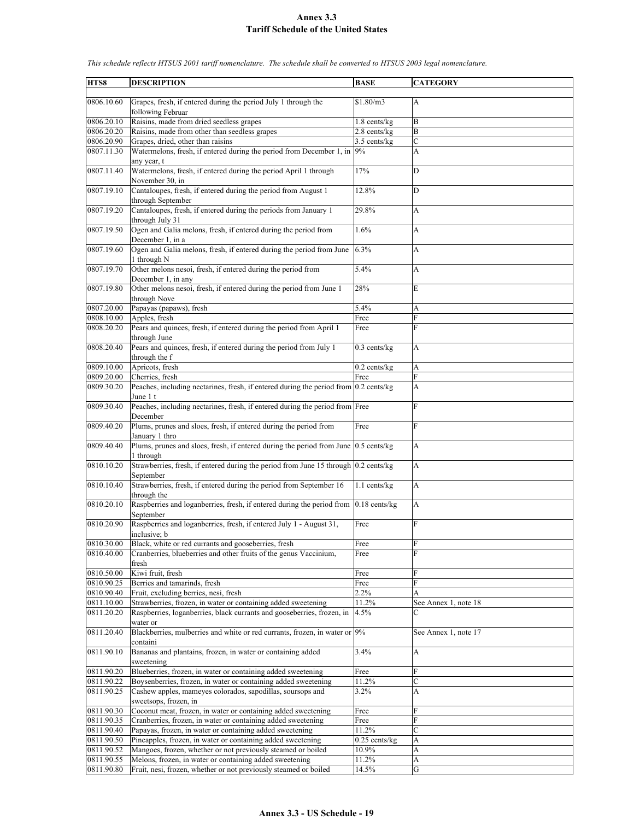| HTS8                    | <b>DESCRIPTION</b>                                                                                    | <b>BASE</b>     | <b>CATEGORY</b>      |
|-------------------------|-------------------------------------------------------------------------------------------------------|-----------------|----------------------|
|                         |                                                                                                       |                 |                      |
| 0806.10.60              | Grapes, fresh, if entered during the period July 1 through the<br>following Februar                   | \$1.80/m3       | А                    |
| 0806.20.10              | Raisins, made from dried seedless grapes                                                              | $1.8$ cents/kg  | B                    |
| 0806.20.20              | Raisins, made from other than seedless grapes                                                         | 2.8 cents/kg    | B                    |
| 0806.20.90              | Grapes, dried, other than raisins                                                                     | 3.5 cents/kg    | $\mathbf C$          |
| 0807.11.30              | Watermelons, fresh, if entered during the period from December 1, in $9\%$                            |                 | A                    |
|                         |                                                                                                       |                 |                      |
| 0807.11.40              | any year, t<br>Watermelons, fresh, if entered during the period April 1 through                       | 17%             | D                    |
| $\overline{0807.19.10}$ | November 30, in<br>Cantaloupes, fresh, if entered during the period from August 1                     | 12.8%           | D                    |
| 0807.19.20              | through September<br>Cantaloupes, fresh, if entered during the periods from January 1                 | 29.8%           | A                    |
|                         | through July 31                                                                                       |                 |                      |
| 0807.19.50              | Ogen and Galia melons, fresh, if entered during the period from<br>December 1, in a                   | 1.6%            | A                    |
| 0807.19.60              | Ogen and Galia melons, fresh, if entered during the period from June<br>1 through N                   | 6.3%            | A                    |
| 0807.19.70              | Other melons nesoi, fresh, if entered during the period from<br>December 1, in any                    | 5.4%            | A                    |
| 0807.19.80              | Other melons nesoi, fresh, if entered during the period from June 1<br>through Nove                   | 28%             | E                    |
|                         |                                                                                                       |                 |                      |
| 0807.20.00              | Papayas (papaws), fresh                                                                               | 5.4%            | A                    |
| 0808.10.00              | Apples, fresh                                                                                         | Free            | F                    |
| 0808.20.20              | Pears and quinces, fresh, if entered during the period from April 1<br>through June                   | Free            | F                    |
| 0808.20.40              | Pears and quinces, fresh, if entered during the period from July 1<br>through the f                   | $0.3$ cents/kg  | A                    |
| 0809.10.00              | Apricots, fresh                                                                                       | $0.2$ cents/kg  | A                    |
| 0809.20.00              | Cherries, fresh                                                                                       | Free            | $\mathbf{F}$         |
| 0809.30.20              | Peaches, including nectarines, fresh, if entered during the period from 0.2 cents/kg                  |                 | A                    |
|                         | June 1 t                                                                                              |                 |                      |
| 0809.30.40              | Peaches, including nectarines, fresh, if entered during the period from Free                          |                 | $\mathbf{F}$         |
| 0809.40.20              | December<br>Plums, prunes and sloes, fresh, if entered during the period from                         | Free            | $\mathbf{F}$         |
| 0809.40.40              | January 1 thro<br>Plums, prunes and sloes, fresh, if entered during the period from June 0.5 cents/kg |                 | A                    |
| 0810.10.20              | 1 through<br>Strawberries, fresh, if entered during the period from June 15 through 0.2 cents/kg      |                 | A                    |
| 0810.10.40              | September<br>Strawberries, fresh, if entered during the period from September 16                      | 1.1 cents/kg    | A                    |
| 0810.20.10              | through the<br>Raspberries and loganberries, fresh, if entered during the period from                 | $0.18$ cents/kg | A                    |
|                         | September                                                                                             |                 |                      |
| 0810.20.90              | Raspberries and loganberries, fresh, if entered July 1 - August 31,<br>inclusive; b                   | Free            | F                    |
| 0810.30.00              | Black, white or red currants and gooseberries, fresh                                                  | Free            | F                    |
| 0810.40.00              | Cranberries, blueberries and other fruits of the genus Vaccinium,<br>fresh                            | Free            | F                    |
| 0810.50.00              | Kiwi fruit, fresh                                                                                     | Free            | F                    |
| 0810.90.25              | Berries and tamarinds, fresh                                                                          | Free            | F                    |
| 0810.90.40              | Fruit, excluding berries, nesi, fresh                                                                 | 2.2%            | A                    |
| 0811.10.00              | Strawberries, frozen, in water or containing added sweetening                                         | 11.2%           | See Annex 1, note 18 |
| 0811.20.20              | Raspberries, loganberries, black currants and gooseberries, frozen, in                                | 4.5%            | C                    |
| 0811.20.40              | water or<br>Blackberries, mulberries and white or red currants, frozen, in water or 9%<br>containi    |                 | See Annex 1, note 17 |
| 0811.90.10              | Bananas and plantains, frozen, in water or containing added                                           | 3.4%            | A                    |
| 0811.90.20              | sweetening<br>Blueberries, frozen, in water or containing added sweetening                            | Free            | F                    |
| 0811.90.22              | Boysenberries, frozen, in water or containing added sweetening                                        | 11.2%           | C                    |
| 0811.90.25              | Cashew apples, mameyes colorados, sapodillas, soursops and<br>sweetsops, frozen, in                   | 3.2%            | А                    |
| 0811.90.30              | Coconut meat, frozen, in water or containing added sweetening                                         | Free            | F                    |
| 0811.90.35              | Cranberries, frozen, in water or containing added sweetening                                          | Free            | F                    |
| 0811.90.40              | Papayas, frozen, in water or containing added sweetening                                              | 11.2%           | $\mathbf C$          |
| 0811.90.50              | Pineapples, frozen, in water or containing added sweetening                                           | $0.25$ cents/kg | A                    |
| 0811.90.52              | Mangoes, frozen, whether or not previously steamed or boiled                                          | 10.9%           | A                    |
| 0811.90.55              |                                                                                                       |                 |                      |
|                         | Melons, frozen, in water or containing added sweetening                                               | 11.2%<br>14.5%  | A<br>G               |
| 0811.90.80              | Fruit, nesi, frozen, whether or not previously steamed or boiled                                      |                 |                      |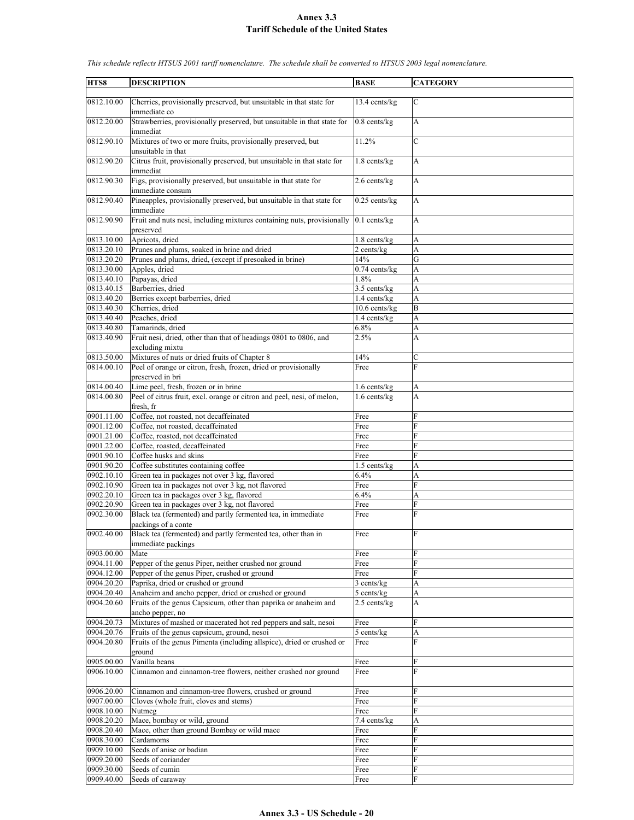|            |                                                                                     |                         | <b>CATEGORY</b> |
|------------|-------------------------------------------------------------------------------------|-------------------------|-----------------|
| HTS8       | <b>DESCRIPTION</b>                                                                  | <b>BASE</b>             |                 |
| 0812.10.00 | Cherries, provisionally preserved, but unsuitable in that state for<br>immediate co | 13.4 cents/kg           | $\mathbf C$     |
| 0812.20.00 | Strawberries, provisionally preserved, but unsuitable in that state for<br>immediat | $0.8$ cents/ $kg$       | A               |
| 0812.90.10 | Mixtures of two or more fruits, provisionally preserved, but<br>unsuitable in that  | 11.2%                   | $\mathcal{C}$   |
| 0812.90.20 | Citrus fruit, provisionally preserved, but unsuitable in that state for<br>immediat | 1.8 cents/kg            | A               |
| 0812.90.30 | Figs, provisionally preserved, but unsuitable in that state for<br>immediate consum | 2.6 cents/kg            | A               |
| 0812.90.40 | Pineapples, provisionally preserved, but unsuitable in that state for<br>immediate  | $0.25$ cents/kg         | A               |
| 0812.90.90 | Fruit and nuts nesi, including mixtures containing nuts, provisionally<br>preserved | $0.1$ cents/kg          | $\mathbf{A}$    |
| 0813.10.00 | Apricots, dried                                                                     | $1.8$ cents/kg          | A               |
| 0813.20.10 | Prunes and plums, soaked in brine and dried                                         | $\overline{2}$ cents/kg | A               |
| 0813.20.20 | Prunes and plums, dried, (except if presoaked in brine)                             | 14%                     | G               |
| 0813.30.00 | Apples, dried                                                                       | $0.74$ cents/kg         | A               |
| 0813.40.10 | Papayas, dried                                                                      | 1.8%                    | A               |
| 0813.40.15 | Barberries, dried                                                                   | 3.5 cents/kg            | A               |
| 0813.40.20 | Berries except barberries, dried                                                    | 1.4 cents/kg            | A               |
| 0813.40.30 | Cherries, dried                                                                     | $10.6$ cents/ $kg$      | B               |
| 0813.40.40 | Peaches, dried                                                                      | 1.4 cents/kg            | A               |
| 0813.40.80 | Tamarinds, dried                                                                    | 6.8%                    | A               |
| 0813.40.90 | Fruit nesi, dried, other than that of headings 0801 to 0806, and<br>excluding mixtu | 2.5%                    | A               |
| 0813.50.00 | Mixtures of nuts or dried fruits of Chapter 8                                       | 14%                     | С               |
| 0814.00.10 | Peel of orange or citron, fresh, frozen, dried or provisionally<br>preserved in bri | Free                    | $\overline{F}$  |
| 0814.00.40 | Lime peel, fresh, frozen or in brine                                                | 1.6 cents/kg            | A               |
| 0814.00.80 | Peel of citrus fruit, excl. orange or citron and peel, nesi, of melon,<br>fresh, fr | $1.6$ cents/kg          | A               |
| 0901.11.00 | Coffee, not roasted, not decaffeinated                                              | Free                    | F               |
| 0901.12.00 | Coffee, not roasted, decaffeinated                                                  | Free                    | F               |
| 0901.21.00 | Coffee, roasted, not decaffeinated                                                  | Free                    | F               |
| 0901.22.00 | Coffee, roasted, decaffeinated                                                      | Free                    | F               |
| 0901.90.10 | Coffee husks and skins                                                              | Free                    | $\overline{F}$  |
| 0901.90.20 | Coffee substitutes containing coffee                                                | 1.5 cents/kg            | A               |
| 0902.10.10 | Green tea in packages not over 3 kg, flavored                                       | 6.4%                    | A               |
| 0902.10.90 | Green tea in packages not over 3 kg, not flavored                                   | Free                    | F               |
| 0902.20.10 | Green tea in packages over 3 kg, flavored                                           | 6.4%                    | A               |
| 0902.20.90 | Green tea in packages over 3 kg, not flavored                                       | Free                    | F               |
| 0902.30.00 | Black tea (fermented) and partly fermented tea, in immediate<br>packings of a conte | Free                    | F               |
| 0902.40.00 | Black tea (fermented) and partly fermented tea, other than in<br>immediate packings | Free                    | F               |
| 0903.00.00 | Mate                                                                                | Free                    | F               |
| 0904.11.00 | Pepper of the genus Piper, neither crushed nor ground                               | Free                    | F               |
| 0904.12.00 | Pepper of the genus Piper, crushed or ground                                        | Free                    | F               |
| 0904.20.20 | Paprika, dried or crushed or ground                                                 | 3 cents/kg              | A               |
| 0904.20.40 | Anaheim and ancho pepper, dried or crushed or ground                                | 5 cents/kg              | A               |
| 0904.20.60 | Fruits of the genus Capsicum, other than paprika or anaheim and                     | 2.5 cents/kg            | A               |
|            | ancho pepper, no                                                                    |                         |                 |
| 0904.20.73 | Mixtures of mashed or macerated hot red peppers and salt, nesoi                     | Free                    | ${\rm F}$       |
| 0904.20.76 | Fruits of the genus capsicum, ground, nesoi                                         | 5 cents/kg              | A               |
| 0904.20.80 | Fruits of the genus Pimenta (including allspice), dried or crushed or<br>ground     | Free                    | $\overline{F}$  |
| 0905.00.00 | Vanilla beans                                                                       | Free                    | F               |
| 0906.10.00 | Cinnamon and cinnamon-tree flowers, neither crushed nor ground                      | Free                    | F               |
| 0906.20.00 | Cinnamon and cinnamon-tree flowers, crushed or ground                               | Free                    | F               |
| 0907.00.00 | Cloves (whole fruit, cloves and stems)                                              | Free                    | $\overline{F}$  |
| 0908.10.00 | Nutmeg                                                                              | Free                    | ${\rm F}$       |
| 0908.20.20 | Mace, bombay or wild, ground                                                        | 7.4 cents/kg            | A               |
| 0908.20.40 | Mace, other than ground Bombay or wild mace                                         | Free                    | F               |
| 0908.30.00 | Cardamoms                                                                           | Free                    | F               |
| 0909.10.00 | Seeds of anise or badian                                                            | Free                    | F               |
| 0909.20.00 | Seeds of coriander                                                                  | Free                    | F               |
| 0909.30.00 | Seeds of cumin                                                                      | Free                    | F               |
| 0909.40.00 | Seeds of caraway                                                                    | Free                    | F               |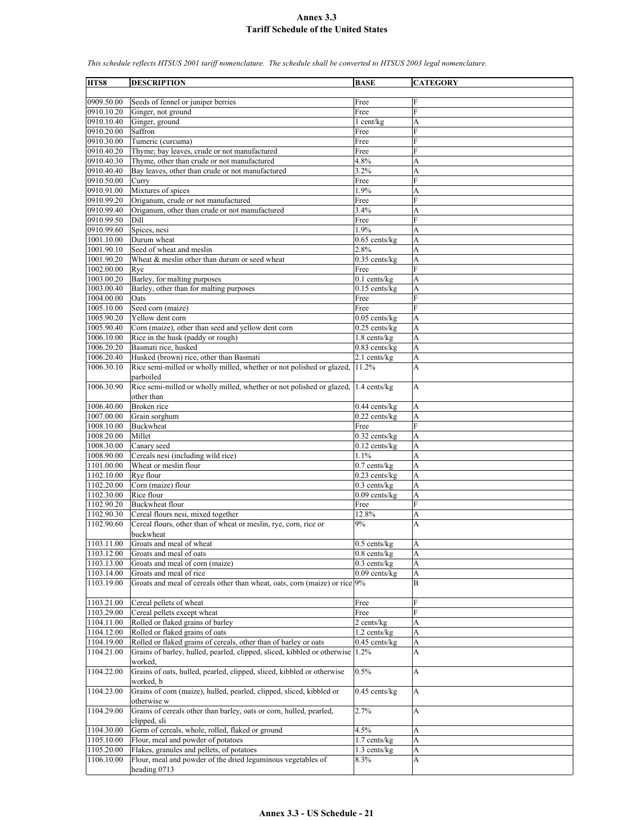| HTS8       | <b>DESCRIPTION</b>                                                                  | <b>BASE</b>                | <b>CATEGORY</b> |
|------------|-------------------------------------------------------------------------------------|----------------------------|-----------------|
| 0909.50.00 | Seeds of fennel or juniper berries                                                  | Free                       | F               |
| 0910.10.20 | Ginger, not ground                                                                  | Free                       | $\overline{F}$  |
| 0910.10.40 | Ginger, ground                                                                      | $1$ cent/kg                | A               |
| 0910.20.00 | Saffron                                                                             | Free                       | F               |
| 0910.30.00 | Tumeric (curcuma)                                                                   | Free                       | F               |
| 0910.40.20 | Thyme; bay leaves, crude or not manufactured                                        | Free                       | F               |
| 0910.40.30 | Thyme, other than crude or not manufactured                                         | 4.8%                       | А               |
| 0910.40.40 | Bay leaves, other than crude or not manufactured                                    | 3.2%                       | A               |
| 0910.50.00 | Curry                                                                               | Free                       | $\mathbf{F}$    |
| 0910.91.00 | Mixtures of spices                                                                  | 1.9%                       | A               |
| 0910.99.20 | Origanum, crude or not manufactured                                                 | Free                       | F               |
| 0910.99.40 | Origanum, other than crude or not manufactured                                      | 3.4%                       | A               |
| 0910.99.50 | Dill                                                                                | Free                       | F               |
| 0910.99.60 | Spices, nesi                                                                        | 1.9%                       | A               |
| 1001.10.00 | Durum wheat                                                                         | $0.65$ cents/kg            | A               |
| 1001.90.10 | Seed of wheat and meslin                                                            | 2.8%                       | A               |
| 1001.90.20 | Wheat & meslin other than durum or seed wheat                                       | $0.35$ cents/kg            | A               |
| 1002.00.00 | Rye                                                                                 | Free                       | F               |
| 1003.00.20 | Barley, for malting purposes                                                        | $0.1$ cents/kg             | A               |
| 1003.00.40 | Barley, other than for malting purposes                                             | $0.15$ cents/kg            | A               |
| 1004.00.00 | Oats                                                                                | Free                       | F               |
| 1005.10.00 | Seed corn (maize)                                                                   | Free                       | $\overline{F}$  |
| 1005.90.20 | Yellow dent corn                                                                    | $0.05$ cents/kg            | A               |
| 1005.90.40 | Corn (maize), other than seed and yellow dent corn                                  | $0.25$ cents/kg            | A               |
| 1006.10.00 | Rice in the husk (paddy or rough)                                                   | $1.8$ cents/kg             | A               |
| 1006.20.20 | Basmati rice, husked                                                                | 0.83 cents/kg              | A               |
| 1006.20.40 | Husked (brown) rice, other than Basmati                                             | 2.1 cents/kg               | A               |
| 1006.30.10 | Rice semi-milled or wholly milled, whether or not polished or glazed,<br>parboiled  | 11.2%                      | A               |
| 1006.30.90 | Rice semi-milled or wholly milled, whether or not polished or glazed,<br>other than | 1.4 cents/kg               | A               |
| 1006.40.00 | Broken rice                                                                         | $0.44$ cents/kg            | A               |
| 1007.00.00 | Grain sorghum                                                                       | $0.22$ cents/kg            | A               |
| 1008.10.00 | <b>Buckwheat</b>                                                                    | Free                       | F               |
| 1008.20.00 | Millet                                                                              | $0.32$ cents/kg            | A               |
| 1008.30.00 | Canary seed                                                                         | $0.12$ cents/kg            | A               |
| 1008.90.00 | Cereals nesi (including wild rice)                                                  | 1.1%                       | A               |
| 1101.00.00 | Wheat or meslin flour                                                               | $0.7$ cents/kg             | A               |
| 1102.10.00 | Rye flour                                                                           | $0.23$ cents/kg            | A               |
| 1102.20.00 | Corn (maize) flour                                                                  | $0.3$ cents/kg             | A               |
| 1102.30.00 | Rice flour                                                                          | $0.09$ cents/kg            | A               |
| 1102.90.20 | <b>Buckwheat flour</b>                                                              | Free                       | $\overline{F}$  |
| 1102.90.30 | Cereal flours nesi, mixed together                                                  | 12.8%                      | A               |
| 1102.90.60 | Cereal flours, other than of wheat or meslin, rye, corn, rice or<br>buckwheat       | 9%                         | A               |
| 1103.11.00 | Groats and meal of wheat                                                            | $0.5$ cents/kg             | A               |
| 1103.12.00 | Groats and meal of oats                                                             | $0.8$ cents/ $kg$          | A               |
| 1103.13.00 | Groats and meal of corn (maize)                                                     | $0.3$ cents/kg             | A               |
| 1103.14.00 | Groats and meal of rice                                                             | $0.09$ cents/kg            | A               |
| 1103.19.00 | Groats and meal of cereals other than wheat, oats, corn (maize) or rice 9%          |                            | B               |
| 1103.21.00 | Cereal pellets of wheat                                                             | Free                       | F               |
| 1103.29.00 | Cereal pellets except wheat                                                         | Free                       | F               |
| 1104.11.00 | Rolled or flaked grains of barley                                                   | 2 cents/kg                 | A               |
| 1104.12.00 | Rolled or flaked grains of oats                                                     | $1.2$ cents/ $kg$          | A               |
| 1104.19.00 | Rolled or flaked grains of cereals, other than of barley or oats                    | 0.45 cents/kg              | A               |
| 1104.21.00 | Grains of barley, hulled, pearled, clipped, sliced, kibbled or otherwise 1.2%       |                            | A               |
| 1104.22.00 | worked,<br>Grains of oats, hulled, pearled, clipped, sliced, kibbled or otherwise   | 0.5%                       | А               |
| 1104.23.00 | worked, b<br>Grains of corn (maize), hulled, pearled, clipped, sliced, kibbled or   | $\overline{0.45}$ cents/kg | A               |
|            | otherwise w                                                                         |                            |                 |
| 1104.29.00 | Grains of cereals other than barley, oats or corn, hulled, pearled,<br>clipped, sli | 2.7%                       | A               |
| 1104.30.00 | Germ of cereals, whole, rolled, flaked or ground                                    | 4.5%                       | A               |
| 1105.10.00 | Flour, meal and powder of potatoes                                                  | 1.7 cents/kg               | A               |
| 1105.20.00 | Flakes, granules and pellets, of potatoes                                           | 1.3 cents/kg               | A               |
| 1106.10.00 | Flour, meal and powder of the dried leguminous vegetables of                        | 8.3%                       | A               |
|            | heading 0713                                                                        |                            |                 |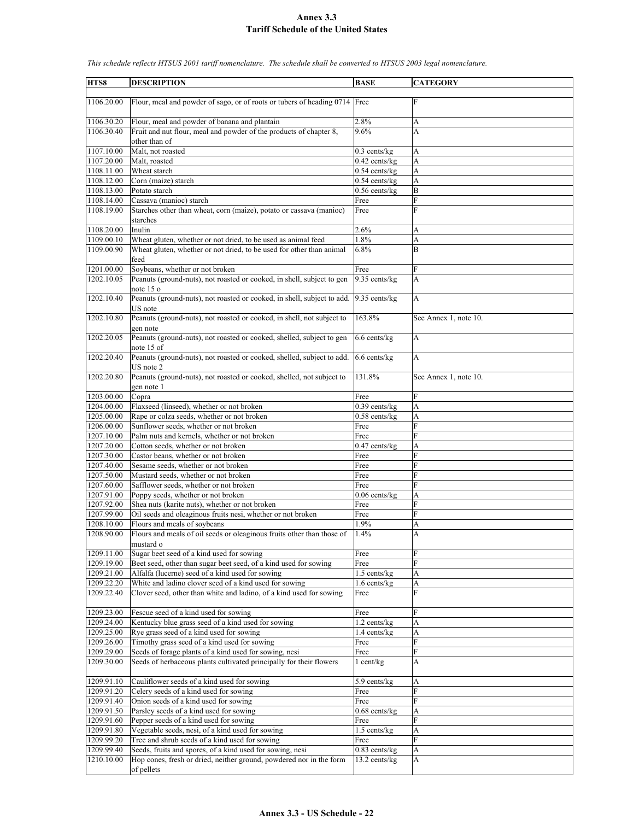| HTS8       |                                                                            |                            | <b>CATEGORY</b>       |
|------------|----------------------------------------------------------------------------|----------------------------|-----------------------|
|            | <b>DESCRIPTION</b>                                                         | <b>BASE</b>                |                       |
|            |                                                                            |                            |                       |
| 1106.20.00 | Flour, meal and powder of sago, or of roots or tubers of heading 0714 Free |                            | F                     |
|            |                                                                            |                            |                       |
| 1106.30.20 | Flour, meal and powder of banana and plantain                              | 2.8%                       | А                     |
| 1106.30.40 | Fruit and nut flour, meal and powder of the products of chapter 8,         | 9.6%                       | A                     |
|            | other than of                                                              |                            |                       |
| 1107.10.00 | Malt, not roasted                                                          | $0.3$ cents/kg             | A                     |
| 1107.20.00 | Malt, roasted                                                              | $0.42$ cents/kg            | A                     |
| 1108.11.00 | Wheat starch                                                               | $0.54$ cents/kg            | A                     |
| 1108.12.00 | Corn (maize) starch                                                        | $0.54$ cents/ $kg$         | A                     |
| 1108.13.00 | Potato starch                                                              | $\overline{0.56}$ cents/kg | B                     |
| 1108.14.00 | Cassava (manioc) starch                                                    | Free                       | F                     |
| 1108.19.00 | Starches other than wheat, corn (maize), potato or cassava (manioc)        | Free                       | F                     |
|            |                                                                            |                            |                       |
|            | starches<br>Inulin                                                         |                            |                       |
| 1108.20.00 |                                                                            | 2.6%<br>1.8%               | А                     |
| 1109.00.10 | Wheat gluten, whether or not dried, to be used as animal feed              |                            | A                     |
| 1109.00.90 | Wheat gluten, whether or not dried, to be used for other than animal       | 6.8%                       | B                     |
|            | feed                                                                       |                            |                       |
| 1201.00.00 | Soybeans, whether or not broken                                            | Free                       | F                     |
| 1202.10.05 | Peanuts (ground-nuts), not roasted or cooked, in shell, subject to gen     | 9.35 cents/kg              | A                     |
|            | note 15 o                                                                  |                            |                       |
| 1202.10.40 | Peanuts (ground-nuts), not roasted or cooked, in shell, subject to add.    | 9.35 cents/kg              | A                     |
|            | US note                                                                    |                            |                       |
| 1202.10.80 | Peanuts (ground-nuts), not roasted or cooked, in shell, not subject to     | 163.8%                     | See Annex 1, note 10. |
|            | gen note                                                                   |                            |                       |
| 1202.20.05 | Peanuts (ground-nuts), not roasted or cooked, shelled, subject to gen      | 6.6 cents/kg               | A                     |
|            | note 15 of                                                                 |                            |                       |
| 1202.20.40 | Peanuts (ground-nuts), not roasted or cooked, shelled, subject to add.     | 6.6 cents/kg               | A                     |
|            |                                                                            |                            |                       |
|            | US note 2                                                                  |                            |                       |
| 1202.20.80 | Peanuts (ground-nuts), not roasted or cooked, shelled, not subject to      | 131.8%                     | See Annex 1, note 10. |
|            | gen note 1                                                                 |                            |                       |
| 1203.00.00 | Copra                                                                      | Free                       | F                     |
| 1204.00.00 | Flaxseed (linseed), whether or not broken                                  | $0.39$ cents/ $kg$         | A                     |
| 1205.00.00 | Rape or colza seeds, whether or not broken                                 | $0.58$ cents/kg            | A                     |
| 1206.00.00 | Sunflower seeds, whether or not broken                                     | Free                       | F                     |
| 1207.10.00 | Palm nuts and kernels, whether or not broken                               | Free                       | $\mathbf{F}$          |
| 1207.20.00 | Cotton seeds, whether or not broken                                        | $0.47$ cents/kg            | A                     |
| 1207.30.00 | Castor beans, whether or not broken                                        | Free                       | F                     |
| 1207.40.00 | Sesame seeds, whether or not broken                                        | Free                       | F                     |
| 1207.50.00 | Mustard seeds, whether or not broken                                       | Free                       | F                     |
| 1207.60.00 | Safflower seeds, whether or not broken                                     | Free                       | F                     |
| 1207.91.00 | Poppy seeds, whether or not broken                                         | $0.06$ cents/ $kg$         | А                     |
| 1207.92.00 | Shea nuts (karite nuts), whether or not broken                             | Free                       | F                     |
|            | Oil seeds and oleaginous fruits nesi, whether or not broken                |                            | F                     |
| 1207.99.00 |                                                                            | Free                       |                       |
| 1208.10.00 | Flours and meals of soybeans                                               | 1.9%                       | A                     |
| 1208.90.00 | Flours and meals of oil seeds or oleaginous fruits other than those of     | 1.4%                       | A                     |
|            | mustard o                                                                  |                            |                       |
| 1209.11.00 | Sugar beet seed of a kind used for sowing                                  | Free                       | F                     |
| 1209.19.00 | Beet seed, other than sugar beet seed, of a kind used for sowing           | Free                       | F                     |
| 1209.21.00 | Alfalfa (lucerne) seed of a kind used for sowing                           | 1.5 cents/kg               | A                     |
| 1209.22.20 | White and ladino clover seed of a kind used for sowing                     | 1.6 cents/kg               | A                     |
| 1209.22.40 | Clover seed, other than white and ladino, of a kind used for sowing        | Free                       | F                     |
|            |                                                                            |                            |                       |
| 1209.23.00 | Fescue seed of a kind used for sowing                                      | Free                       | F                     |
| 1209.24.00 | Kentucky blue grass seed of a kind used for sowing                         | 1.2 cents/kg               | A                     |
| 1209.25.00 | Rye grass seed of a kind used for sowing                                   | 1.4 cents/kg               | A                     |
| 1209.26.00 | Timothy grass seed of a kind used for sowing                               | Free                       | F                     |
| 1209.29.00 | Seeds of forage plants of a kind used for sowing, nesi                     | Free                       | $\overline{F}$        |
| 1209.30.00 | Seeds of herbaceous plants cultivated principally for their flowers        | $1$ cent/ $kg$             | A                     |
|            |                                                                            |                            |                       |
|            |                                                                            |                            |                       |
| 1209.91.10 | Cauliflower seeds of a kind used for sowing                                | 5.9 cents/kg               | A                     |
| 1209.91.20 | Celery seeds of a kind used for sowing                                     | Free                       | F                     |
| 1209.91.40 | Onion seeds of a kind used for sowing                                      | Free                       | F                     |
| 1209.91.50 | Parsley seeds of a kind used for sowing                                    | $0.68$ cents/kg            | A                     |
| 1209.91.60 | Pepper seeds of a kind used for sowing                                     | Free                       | F                     |
| 1209.91.80 | Vegetable seeds, nesi, of a kind used for sowing                           | $1.5$ cents/kg             | A                     |
| 1209.99.20 | Tree and shrub seeds of a kind used for sowing                             | Free                       | F                     |
| 1209.99.40 | Seeds, fruits and spores, of a kind used for sowing, nesi                  | 0.83 cents/kg              | A                     |
| 1210.10.00 | Hop cones, fresh or dried, neither ground, powdered nor in the form        | 13.2 cents/kg              | A                     |
|            | of pellets                                                                 |                            |                       |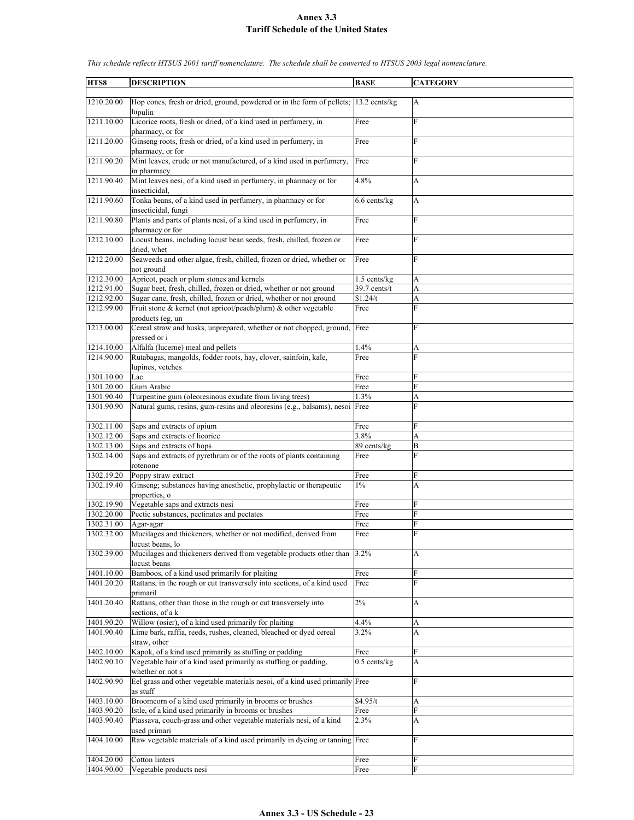| HTS8       | <b>DESCRIPTION</b>                                                                                   | <b>BASE</b>          | <b>CATEGORY</b> |
|------------|------------------------------------------------------------------------------------------------------|----------------------|-----------------|
|            |                                                                                                      |                      |                 |
| 1210.20.00 | Hop cones, fresh or dried, ground, powdered or in the form of pellets; 13.2 cents/kg<br>lupulin      |                      | A               |
| 1211.10.00 | Licorice roots, fresh or dried, of a kind used in perfumery, in<br>pharmacy, or for                  | Free                 | F               |
| 1211.20.00 | Ginseng roots, fresh or dried, of a kind used in perfumery, in<br>pharmacy, or for                   | Free                 | F               |
| 1211.90.20 | Mint leaves, crude or not manufactured, of a kind used in perfumery,<br>in pharmacy                  | Free                 | F               |
| 1211.90.40 | Mint leaves nesi, of a kind used in perfumery, in pharmacy or for                                    | 4.8%                 | A               |
| 1211.90.60 | insecticidal,<br>Tonka beans, of a kind used in perfumery, in pharmacy or for<br>insecticidal, fungi | $6.6$ cents/kg       | A               |
| 1211.90.80 | Plants and parts of plants nesi, of a kind used in perfumery, in<br>pharmacy or for                  | Free                 | $\mathbf F$     |
| 1212.10.00 | Locust beans, including locust bean seeds, fresh, chilled, frozen or<br>dried, whet                  | Free                 | F               |
| 1212.20.00 | Seaweeds and other algae, fresh, chilled, frozen or dried, whether or<br>not ground                  | Free                 | F               |
| 1212.30.00 | Apricot, peach or plum stones and kernels                                                            | $1.5$ cents/kg       | A               |
| 1212.91.00 | Sugar beet, fresh, chilled, frozen or dried, whether or not ground                                   | 39.7 cents/t         | A               |
| 1212.92.00 | Sugar cane, fresh, chilled, frozen or dried, whether or not ground                                   | \$1.24/t             | A               |
| 1212.99.00 | Fruit stone & kernel (not apricot/peach/plum) & other vegetable                                      | Free                 | F               |
| 1213.00.00 | products (eg. un<br>Cereal straw and husks, unprepared, whether or not chopped, ground,              | Free                 | F               |
|            | pressed or i                                                                                         |                      |                 |
| 1214.10.00 | Alfalfa (lucerne) meal and pellets                                                                   | 1.4%                 | A               |
| 1214.90.00 | Rutabagas, mangolds, fodder roots, hay, clover, sainfoin, kale,<br>lupines, vetches                  | Free                 | F               |
| 1301.10.00 |                                                                                                      |                      | F               |
| 1301.20.00 | Lac<br>Gum Arabic                                                                                    | Free<br>Free         | F               |
|            |                                                                                                      |                      |                 |
| 1301.90.40 | Turpentine gum (oleoresinous exudate from living trees)                                              | 1.3%                 | A               |
| 1301.90.90 | Natural gums, resins, gum-resins and oleoresins (e.g., balsams), nesoi Free                          |                      | F               |
| 1302.11.00 | Saps and extracts of opium                                                                           | Free                 | F               |
| 1302.12.00 | Saps and extracts of licorice                                                                        | 3.8%                 | A               |
| 1302.13.00 | Saps and extracts of hops                                                                            | 89 cents/kg          | B               |
| 1302.14.00 | Saps and extracts of pyrethrum or of the roots of plants containing<br>rotenone                      | Free                 | F               |
| 1302.19.20 | Poppy straw extract                                                                                  | Free                 | F               |
| 1302.19.40 | Ginseng; substances having anesthetic, prophylactic or therapeutic<br>properties, o                  | $1\%$                | A               |
| 1302.19.90 | Vegetable saps and extracts nesi                                                                     | Free                 | F               |
| 1302.20.00 | Pectic substances, pectinates and pectates                                                           | Free                 | F               |
| 1302.31.00 | Agar-agar                                                                                            | Free                 | F               |
| 1302.32.00 | Mucilages and thickeners, whether or not modified, derived from                                      | Free                 | $\mathbf{F}$    |
| 1302.39.00 | locust beans, lo<br>Mucilages and thickeners derived from vegetable products other than 3.2%         |                      | A               |
|            | locust beans                                                                                         |                      |                 |
| 1401.10.00 | Bamboos, of a kind used primarily for plaiting                                                       | Free                 | F               |
| 1401.20.20 | Rattans, in the rough or cut transversely into sections, of a kind used<br>primaril                  | Free                 | F               |
| 1401.20.40 | Rattans, other than those in the rough or cut transversely into<br>sections, of a k                  | $2\%$                | A               |
| 1401.90.20 | Willow (osier), of a kind used primarily for plaiting                                                | 4.4%                 | А               |
| 1401.90.40 | Lime bark, raffia, reeds, rushes, cleaned, bleached or dyed cereal<br>straw, other                   | 3.2%                 | A               |
| 1402.10.00 | Kapok, of a kind used primarily as stuffing or padding                                               | Free                 | F               |
| 1402.90.10 | Vegetable hair of a kind used primarily as stuffing or padding,                                      | $0.5$ cents/kg       | A               |
| 1402.90.90 | whether or not s<br>Eel grass and other vegetable materials nesoi, of a kind used primarily Free     |                      | F               |
| 1403.10.00 | as stuff<br>Broomcorn of a kind used primarily in brooms or brushes                                  | $\overline{$4.95/t}$ | A               |
| 1403.90.20 | Istle, of a kind used primarily in brooms or brushes                                                 | Free                 | F               |
| 1403.90.40 | Piassava, couch-grass and other vegetable materials nesi, of a kind                                  | 2.3%                 | A               |
|            | used primari                                                                                         |                      |                 |
| 1404.10.00 | Raw vegetable materials of a kind used primarily in dyeing or tanning Free                           |                      | F               |
| 1404.20.00 | Cotton linters                                                                                       | Free                 | F               |
| 1404.90.00 | Vegetable products nesi                                                                              | Free                 | ${\bf F}$       |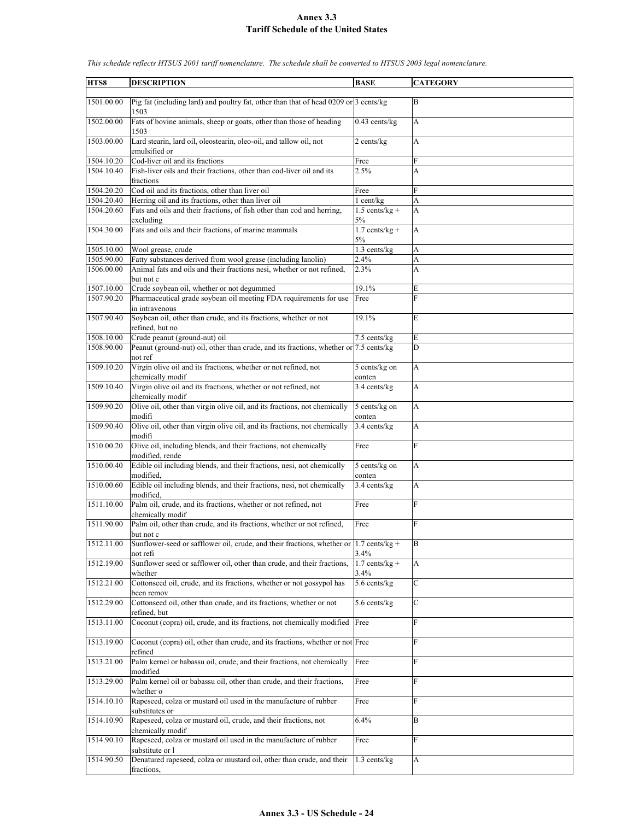| HTS8       | <b>DESCRIPTION</b>                                                                                     | <b>BASE</b>              | <b>CATEGORY</b> |
|------------|--------------------------------------------------------------------------------------------------------|--------------------------|-----------------|
| 1501.00.00 | Pig fat (including lard) and poultry fat, other than that of head 0209 or $3$ cents/kg<br>1503         |                          | B               |
| 1502.00.00 | Fats of bovine animals, sheep or goats, other than those of heading<br>1503                            | $0.43$ cents/kg          | A               |
| 1503.00.00 | Lard stearin, lard oil, oleostearin, oleo-oil, and tallow oil, not<br>emulsified or                    | 2 cents/kg               | A               |
| 1504.10.20 | Cod-liver oil and its fractions                                                                        | Free                     | F               |
| 1504.10.40 | Fish-liver oils and their fractions, other than cod-liver oil and its<br>fractions                     | 2.5%                     | A               |
| 1504.20.20 | Cod oil and its fractions, other than liver oil                                                        | Free                     | $\overline{F}$  |
| 1504.20.40 | Herring oil and its fractions, other than liver oil                                                    | 1 cent/kg                | А               |
| 1504.20.60 | Fats and oils and their fractions, of fish other than cod and herring,                                 | $1.5$ cents/kg +         | A               |
|            | excluding                                                                                              | 5%                       |                 |
| 1504.30.00 | Fats and oils and their fractions, of marine mammals                                                   | $1.7$ cents/kg +<br>5%   | A               |
| 1505.10.00 | Wool grease, crude                                                                                     | $1.3$ cents/kg           | A               |
| 1505.90.00 | Fatty substances derived from wool grease (including lanolin)                                          | 2.4%                     | A               |
| 1506.00.00 | Animal fats and oils and their fractions nesi, whether or not refined,                                 | 2.3%                     | A               |
|            | but not c                                                                                              |                          |                 |
| 1507.10.00 | Crude soybean oil, whether or not degummed                                                             | 19.1%                    | E               |
| 1507.90.20 | Pharmaceutical grade soybean oil meeting FDA requirements for use<br>in intravenous                    | Free                     | F               |
| 1507.90.40 | Soybean oil, other than crude, and its fractions, whether or not<br>refined, but no                    | 19.1%                    | E               |
| 1508.10.00 | Crude peanut (ground-nut) oil                                                                          | 7.5 cents/kg             | E               |
| 1508.90.00 | Peanut (ground-nut) oil, other than crude, and its fractions, whether or 7.5 cents/kg                  |                          | D               |
|            | not ref                                                                                                |                          |                 |
| 1509.10.20 | Virgin olive oil and its fractions, whether or not refined, not<br>chemically modif                    | 5 cents/kg on<br>conten  | A               |
| 1509.10.40 | Virgin olive oil and its fractions, whether or not refined, not<br>chemically modif                    | 3.4 cents/kg             | A               |
| 1509.90.20 | Olive oil, other than virgin olive oil, and its fractions, not chemically<br>modifi                    | 5 cents/kg on<br>conten  | A               |
| 1509.90.40 | Olive oil, other than virgin olive oil, and its fractions, not chemically<br>modifi                    | 3.4 cents/kg             | A               |
| 1510.00.20 | Olive oil, including blends, and their fractions, not chemically<br>modified, rende                    | Free                     | $\mathbf F$     |
| 1510.00.40 | Edible oil including blends, and their fractions, nesi, not chemically<br>modified.                    | 5 cents/kg on<br>conten  | A               |
| 1510.00.60 | Edible oil including blends, and their fractions, nesi, not chemically<br>modified.                    | 3.4 cents/kg             | A               |
| 1511.10.00 | Palm oil, crude, and its fractions, whether or not refined, not<br>chemically modif                    | Free                     | F               |
| 1511.90.00 | Palm oil, other than crude, and its fractions, whether or not refined,<br>but not c                    | Free                     | F               |
| 1512.11.00 | Sunflower-seed or safflower oil, crude, and their fractions, whether or $1.7$ cents/kg +<br>not refi   | $3.4\%$                  | B               |
| 1512.19.00 | Sunflower seed or safflower oil, other than crude, and their fractions,<br>whether                     | $1.7$ cents/kg +<br>3.4% | A               |
| 1512.21.00 | Cottonseed oil, crude, and its fractions, whether or not gossypol has<br>been remov                    | 5.6 cents/kg             | $\mathbf C$     |
| 1512.29.00 | Cottonseed oil, other than crude, and its fractions, whether or not<br>refined, but                    | 5.6 cents/kg             | $\mathbf C$     |
| 1513.11.00 | Coconut (copra) oil, crude, and its fractions, not chemically modified                                 | Free                     | F               |
| 1513.19.00 | Coconut (copra) oil, other than crude, and its fractions, whether or not Free<br>refined               |                          | F               |
| 1513.21.00 | Palm kernel or babassu oil, crude, and their fractions, not chemically<br>modified                     | Free                     | F               |
| 1513.29.00 | Palm kernel oil or babassu oil, other than crude, and their fractions,<br>whether o                    | Free                     | F               |
| 1514.10.10 | Rapeseed, colza or mustard oil used in the manufacture of rubber<br>substitutes or                     | Free                     | F               |
| 1514.10.90 | Rapeseed, colza or mustard oil, crude, and their fractions, not<br>chemically modif                    | 6.4%                     | B               |
| 1514.90.10 | Rapeseed, colza or mustard oil used in the manufacture of rubber                                       | Free                     | $\mathbf{F}$    |
| 1514.90.50 | substitute or l<br>Denatured rapeseed, colza or mustard oil, other than crude, and their<br>fractions, | $1.3$ cents/kg           | A               |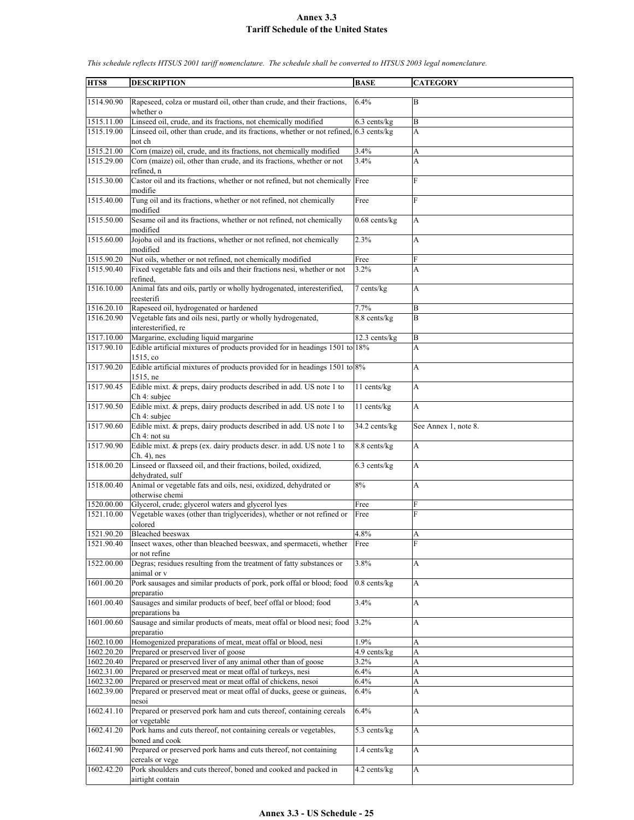| HTS8       | <b>DESCRIPTION</b>                                                                               | <b>BASE</b>               | <b>CATEGORY</b>      |
|------------|--------------------------------------------------------------------------------------------------|---------------------------|----------------------|
|            |                                                                                                  |                           |                      |
| 1514.90.90 | Rapeseed, colza or mustard oil, other than crude, and their fractions,<br>whether o              | 6.4%                      | B                    |
| 1515.11.00 | Linseed oil, crude, and its fractions, not chemically modified                                   | $6.3$ cents/kg            | B                    |
| 1515.19.00 | Linseed oil, other than crude, and its fractions, whether or not refined, 6.3 cents/kg<br>not ch |                           | A                    |
| 1515.21.00 | Corn (maize) oil, crude, and its fractions, not chemically modified                              | 3.4%                      | A                    |
| 1515.29.00 | Corn (maize) oil, other than crude, and its fractions, whether or not                            | 3.4%                      | A                    |
|            | refined, n                                                                                       |                           |                      |
| 1515.30.00 | Castor oil and its fractions, whether or not refined, but not chemically Free<br>modifie         |                           | F                    |
| 1515.40.00 | Tung oil and its fractions, whether or not refined, not chemically<br>modified                   | Free                      | F                    |
| 1515.50.00 | Sesame oil and its fractions, whether or not refined, not chemically<br>modified                 | $0.68$ cents/kg           | A                    |
| 1515.60.00 | Jojoba oil and its fractions, whether or not refined, not chemically<br>modified                 | 2.3%                      | A                    |
| 1515.90.20 | Nut oils, whether or not refined, not chemically modified                                        | Free                      | F                    |
| 1515.90.40 | Fixed vegetable fats and oils and their fractions nesi, whether or not                           | 3.2%                      | A                    |
|            | refined.                                                                                         |                           |                      |
| 1516.10.00 | Animal fats and oils, partly or wholly hydrogenated, interesterified,<br>reesterifi              | 7 cents/kg                | A                    |
| 1516.20.10 | Rapeseed oil, hydrogenated or hardened                                                           | 7.7%                      | B                    |
| 1516.20.90 | Vegetable fats and oils nesi, partly or wholly hydrogenated,                                     | 8.8 cents/kg              | B                    |
|            | interesterified, re                                                                              |                           |                      |
| 1517.10.00 | Margarine, excluding liquid margarine                                                            | $12.3$ cents/kg           | B                    |
| 1517.90.10 | Edible artificial mixtures of products provided for in headings 1501 to 18%                      |                           | A                    |
| 1517.90.20 | 1515, co<br>Edible artificial mixtures of products provided for in headings $1501$ to $8\%$      |                           | A                    |
| 1517.90.45 | 1515, ne<br>Edible mixt. & preps, dairy products described in add. US note 1 to                  | 11 cents/kg               | $\boldsymbol{A}$     |
|            | Ch 4: subjec                                                                                     |                           |                      |
| 1517.90.50 | Edible mixt. & preps, dairy products described in add. US note 1 to<br>Ch 4: subjec              | 11 cents/kg               | A                    |
| 1517.90.60 | Edible mixt. & preps, dairy products described in add. US note 1 to<br>Ch 4: not su              | 34.2 cents/kg             | See Annex 1, note 8. |
| 1517.90.90 | Edible mixt. & preps (ex. dairy products descr. in add. US note 1 to<br>$Ch. 4)$ , nes           | 8.8 cents/kg              | A                    |
| 1518.00.20 | Linseed or flaxseed oil, and their fractions, boiled, oxidized,<br>dehydrated, sulf              | 6.3 cents/kg              | A                    |
| 1518.00.40 | Animal or vegetable fats and oils, nesi, oxidized, dehydrated or                                 | 8%                        | A                    |
| 1520.00.00 | otherwise chemi<br>Glycerol, crude; glycerol waters and glycerol lyes                            | Free                      | F                    |
| 1521.10.00 | Vegetable waxes (other than triglycerides), whether or not refined or                            | Free                      | F                    |
|            | colored                                                                                          |                           |                      |
| 1521.90.20 | Bleached beeswax                                                                                 | 4.8%                      | A                    |
| 1521.90.40 | Insect waxes, other than bleached beeswax, and spermaceti, whether<br>or not refine              | Free                      | F                    |
| 1522.00.00 | Degras; residues resulting from the treatment of fatty substances or                             | 3.8%                      | А                    |
| 1601.00.20 | animal or v<br>Pork sausages and similar products of pork, pork offal or blood; food             | $0.8$ cents/ $kg$         | A                    |
|            | preparatio                                                                                       |                           |                      |
| 1601.00.40 | Sausages and similar products of beef, beef offal or blood; food<br>preparations ba              | 3.4%                      | A                    |
| 1601.00.60 | Sausage and similar products of meats, meat offal or blood nesi; food<br>preparatio              | 3.2%                      | A                    |
| 1602.10.00 | Homogenized preparations of meat, meat offal or blood, nesi                                      | 1.9%                      | A                    |
| 1602.20.20 | Prepared or preserved liver of goose                                                             | $\overline{4.9}$ cents/kg | A                    |
| 1602.20.40 | Prepared or preserved liver of any animal other than of goose                                    | $3.2\%$                   | A                    |
| 1602.31.00 | Prepared or preserved meat or meat offal of turkeys, nesi                                        | 6.4%                      | A                    |
| 1602.32.00 | Prepared or preserved meat or meat offal of chickens, nesoi                                      | 6.4%                      | A                    |
| 1602.39.00 | Prepared or preserved meat or meat offal of ducks, geese or guineas,<br>nesoi                    | 6.4%                      | A                    |
| 1602.41.10 | Prepared or preserved pork ham and cuts thereof, containing cereals<br>or vegetable              | 6.4%                      | A                    |
| 1602.41.20 | Pork hams and cuts thereof, not containing cereals or vegetables,<br>boned and cook              | 5.3 cents/kg              | A                    |
| 1602.41.90 | Prepared or preserved pork hams and cuts thereof, not containing<br>cereals or vege              | 1.4 cents/kg              | $\mathbf{A}$         |
| 1602.42.20 | Pork shoulders and cuts thereof, boned and cooked and packed in                                  | 4.2 cents/kg              | A                    |
|            | airtight contain                                                                                 |                           |                      |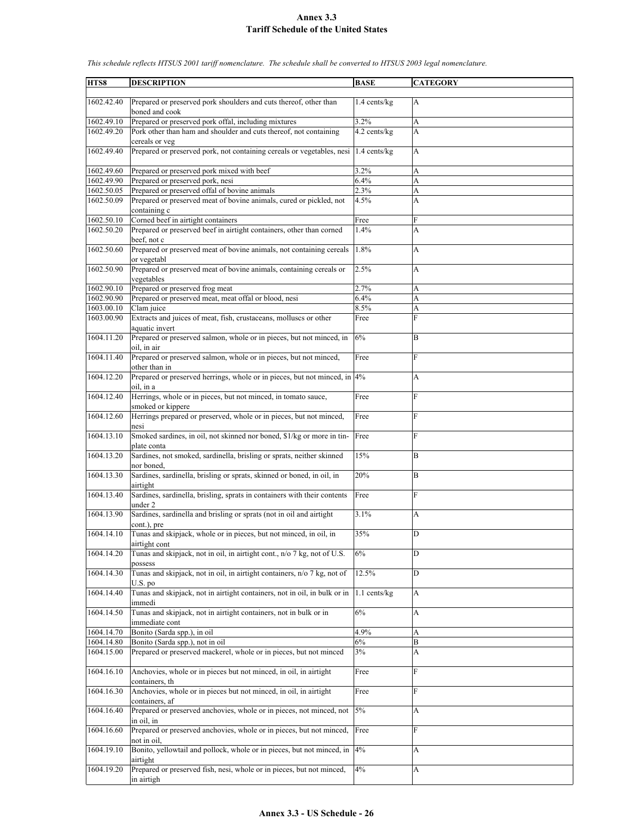| HTS8       | <b>DESCRIPTION</b>                                                                        | <b>BASE</b>    | <b>CATEGORY</b> |
|------------|-------------------------------------------------------------------------------------------|----------------|-----------------|
|            |                                                                                           |                |                 |
| 1602.42.40 | Prepared or preserved pork shoulders and cuts thereof, other than<br>boned and cook       | $1.4$ cents/kg | A               |
| 1602.49.10 | Prepared or preserved pork offal, including mixtures                                      | 3.2%           | A               |
| 1602.49.20 | Pork other than ham and shoulder and cuts thereof, not containing<br>cereals or veg       | 4.2 cents/kg   | A               |
| 1602.49.40 | Prepared or preserved pork, not containing cereals or vegetables, nesi 1.4 cents/kg       |                | A               |
| 1602.49.60 | Prepared or preserved pork mixed with beef                                                | 3.2%           | A               |
| 1602.49.90 | Prepared or preserved pork, nesi                                                          | 6.4%           | A               |
| 1602.50.05 | Prepared or preserved offal of bovine animals                                             | 2.3%           | A               |
| 1602.50.09 | Prepared or preserved meat of bovine animals, cured or pickled, not<br>containing c       | 4.5%           | A               |
| 1602.50.10 | Corned beef in airtight containers                                                        | Free           | F               |
| 1602.50.20 | Prepared or preserved beef in airtight containers, other than corned                      | 1.4%           | A               |
| 1602.50.60 | beef, not c<br>Prepared or preserved meat of bovine animals, not containing cereals       | 1.8%           | A               |
| 1602.50.90 | or vegetabl<br>Prepared or preserved meat of bovine animals, containing cereals or        | 2.5%           | A               |
|            | vegetables                                                                                |                |                 |
| 1602.90.10 | Prepared or preserved frog meat                                                           | 2.7%           | A               |
| 1602.90.90 | Prepared or preserved meat, meat offal or blood, nesi                                     | 6.4%           | A               |
| 1603.00.10 | Clam juice                                                                                | 8.5%           | A               |
| 1603.00.90 | Extracts and juices of meat, fish, crustaceans, molluscs or other<br>aquatic invert       | Free           | Ė               |
| 1604.11.20 | Prepared or preserved salmon, whole or in pieces, but not minced, in<br>oil. in air       | 6%             | B               |
| 1604.11.40 | Prepared or preserved salmon, whole or in pieces, but not minced,<br>other than in        | Free           | F               |
| 1604.12.20 | Prepared or preserved herrings, whole or in pieces, but not minced, in 4%<br>oil, in a    |                | А               |
| 1604.12.40 | Herrings, whole or in pieces, but not minced, in tomato sauce,<br>smoked or kippere       | Free           | F               |
| 1604.12.60 | Herrings prepared or preserved, whole or in pieces, but not minced,                       | Free           | F               |
| 1604.13.10 | nesi<br>Smoked sardines, in oil, not skinned nor boned, \$1/kg or more in tin-            | Free           | F               |
|            | plate conta                                                                               |                |                 |
| 1604.13.20 | Sardines, not smoked, sardinella, brisling or sprats, neither skinned<br>nor boned,       | 15%            | B               |
| 1604.13.30 | Sardines, sardinella, brisling or sprats, skinned or boned, in oil, in<br>airtight        | 20%            | B               |
| 1604.13.40 | Sardines, sardinella, brisling, sprats in containers with their contents<br>under 2       | Free           | F               |
| 1604.13.90 | Sardines, sardinella and brisling or sprats (not in oil and airtight                      | 3.1%           | A               |
| 1604.14.10 | cont.), pre<br>Tunas and skipjack, whole or in pieces, but not minced, in oil, in         | 35%            | D               |
| 1604.14.20 | airtight cont<br>Tunas and skipjack, not in oil, in airtight cont., n/o 7 kg, not of U.S. | 6%             | D               |
|            | possess                                                                                   |                |                 |
| 1604.14.30 | Tunas and skipjack, not in oil, in airtight containers, n/o 7 kg, not of<br>$U.S.$ po     | 12.5%          | D               |
| 1604.14.40 | Tunas and skipjack, not in airtight containers, not in oil, in bulk or in<br>immedi       | $1.1$ cents/kg | A               |
| 1604.14.50 | Tunas and skipjack, not in airtight containers, not in bulk or in<br>immediate cont       | 6%             | A               |
| 1604.14.70 | Bonito (Sarda spp.), in oil                                                               | 4.9%           | A               |
| 1604.14.80 | Bonito (Sarda spp.), not in oil                                                           | 6%             | B               |
| 1604.15.00 | Prepared or preserved mackerel, whole or in pieces, but not minced                        | 3%             | А               |
| 1604.16.10 | Anchovies, whole or in pieces but not minced, in oil, in airtight<br>containers, th       | Free           | F               |
| 1604.16.30 | Anchovies, whole or in pieces but not minced, in oil, in airtight<br>containers, af       | Free           | F               |
| 1604.16.40 | Prepared or preserved anchovies, whole or in pieces, not minced, not                      | 5%             | A               |
| 1604.16.60 | in oil, in<br>Prepared or preserved anchovies, whole or in pieces, but not minced,        | Free           | F               |
| 1604.19.10 | not in oil.<br>Bonito, yellowtail and pollock, whole or in pieces, but not minced, in     | 4%             | А               |
| 1604.19.20 | airtight<br>Prepared or preserved fish, nesi, whole or in pieces, but not minced,         | 4%             | A               |
|            | in airtigh                                                                                |                |                 |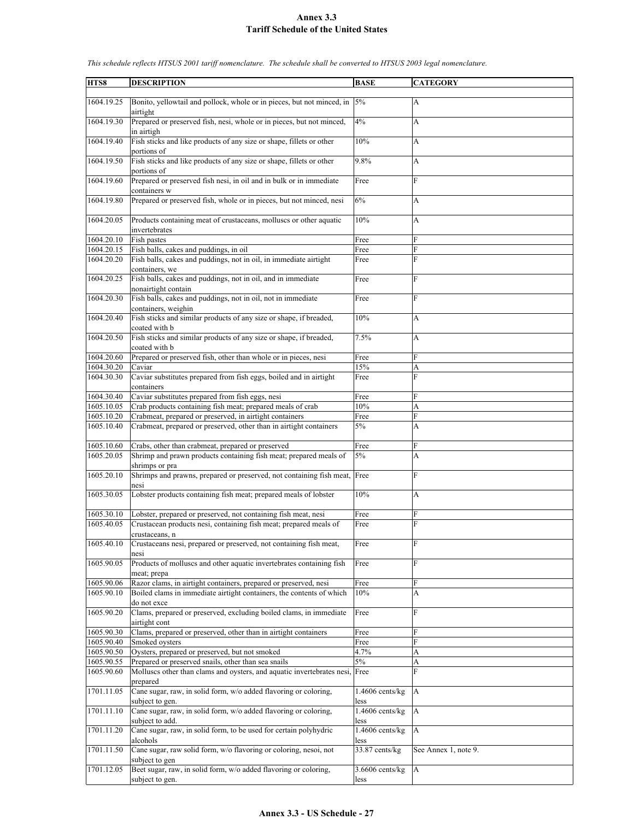| HTS8                     | <b>DESCRIPTION</b>                                                                                                            | <b>BASE</b>               | <b>CATEGORY</b>      |
|--------------------------|-------------------------------------------------------------------------------------------------------------------------------|---------------------------|----------------------|
|                          |                                                                                                                               |                           |                      |
| 1604.19.25               | Bonito, yellowtail and pollock, whole or in pieces, but not minced, in $ 5\% $<br>airtight                                    |                           | A                    |
| 1604.19.30               | Prepared or preserved fish, nesi, whole or in pieces, but not minced,<br>in airtigh                                           | 4%                        | A                    |
| 1604.19.40               | Fish sticks and like products of any size or shape, fillets or other<br>portions of                                           | 10%                       | A                    |
| 1604.19.50               | Fish sticks and like products of any size or shape, fillets or other<br>portions of                                           | 9.8%                      | A                    |
| 1604.19.60               | Prepared or preserved fish nesi, in oil and in bulk or in immediate<br>containers w                                           | Free                      | F                    |
| 1604.19.80               | Prepared or preserved fish, whole or in pieces, but not minced, nesi                                                          | 6%                        | A                    |
| 1604.20.05               | Products containing meat of crustaceans, molluscs or other aquatic<br>invertebrates                                           | 10%                       | A                    |
| 1604.20.10               | Fish pastes                                                                                                                   | Free                      | F                    |
| 1604.20.15               | Fish balls, cakes and puddings, in oil                                                                                        | Free                      | F                    |
| 1604.20.20               | Fish balls, cakes and puddings, not in oil, in immediate airtight                                                             | Free                      | F                    |
|                          | containers, we                                                                                                                |                           |                      |
| 1604.20.25               | Fish balls, cakes and puddings, not in oil, and in immediate<br>nonairtight contain                                           | Free                      | F                    |
| 1604.20.30               | Fish balls, cakes and puddings, not in oil, not in immediate<br>containers, weighin                                           | Free                      | F                    |
| 1604.20.40               | Fish sticks and similar products of any size or shape, if breaded,<br>coated with b                                           | 10%                       | A                    |
| 1604.20.50               | Fish sticks and similar products of any size or shape, if breaded,<br>coated with b                                           | 7.5%                      | A                    |
| 1604.20.60               | Prepared or preserved fish, other than whole or in pieces, nesi                                                               | Free                      | F                    |
| 1604.30.20               | Caviar                                                                                                                        | 15%                       | A                    |
| 1604.30.30               | Caviar substitutes prepared from fish eggs, boiled and in airtight                                                            | Free                      | F                    |
|                          | containers                                                                                                                    |                           | F                    |
| 1604.30.40               | Caviar substitutes prepared from fish eggs, nesi                                                                              | Free                      |                      |
| 1605.10.05               | Crab products containing fish meat; prepared meals of crab                                                                    | 10%                       | A                    |
| 1605.10.20<br>1605.10.40 | Crabmeat, prepared or preserved, in airtight containers<br>Crabmeat, prepared or preserved, other than in airtight containers | Free<br>5%                | F<br>A               |
|                          |                                                                                                                               |                           |                      |
| 1605.10.60               | Crabs, other than crabmeat, prepared or preserved                                                                             | Free                      | F                    |
| 1605.20.05               | Shrimp and prawn products containing fish meat; prepared meals of                                                             | 5%                        | A                    |
|                          | shrimps or pra                                                                                                                |                           |                      |
| 1605.20.10               | Shrimps and prawns, prepared or preserved, not containing fish meat, Free<br>nesi                                             |                           | F                    |
| 1605.30.05               | Lobster products containing fish meat; prepared meals of lobster                                                              | 10%                       | A                    |
| 1605.30.10               | Lobster, prepared or preserved, not containing fish meat, nesi                                                                | Free                      | F                    |
| 1605.40.05               | Crustacean products nesi, containing fish meat; prepared meals of                                                             | Free                      | F                    |
|                          | crustaceans. n                                                                                                                |                           |                      |
| 1605.40.10               | Crustaceans nesi, prepared or preserved, not containing fish meat,<br>nesi                                                    | Free                      | F                    |
| 1605.90.05               | Products of molluscs and other aquatic invertebrates containing fish                                                          | Free                      | F                    |
|                          | meat; prepa                                                                                                                   |                           |                      |
| 1605.90.06               | Razor clams, in airtight containers, prepared or preserved, nesi                                                              | Free                      | F                    |
| 1605.90.10               | Boiled clams in immediate airtight containers, the contents of which<br>do not exce                                           | 10%                       | A                    |
| 1605.90.20               | Clams, prepared or preserved, excluding boiled clams, in immediate<br>airtight cont                                           | Free                      | F                    |
| 1605.90.30               | Clams, prepared or preserved, other than in airtight containers                                                               | Free                      | F                    |
| 1605.90.40               | Smoked oysters                                                                                                                | Free                      | F                    |
| 1605.90.50               | Oysters, prepared or preserved, but not smoked                                                                                | 4.7%                      | A                    |
| 1605.90.55               | Prepared or preserved snails, other than sea snails                                                                           | $5\%$                     | A                    |
| 1605.90.60               | Molluscs other than clams and oysters, and aquatic invertebrates nesi, Free<br>prepared                                       |                           | F                    |
| 1701.11.05               | Cane sugar, raw, in solid form, w/o added flavoring or coloring,<br>subject to gen.                                           | $1.4606$ cents/kg<br>less | A                    |
| 1701.11.10               | Cane sugar, raw, in solid form, w/o added flavoring or coloring,<br>subject to add.                                           | 1.4606 cents/kg<br>less   | A                    |
| 1701.11.20               | Cane sugar, raw, in solid form, to be used for certain polyhydric<br>alcohols                                                 | $1.4606$ cents/kg<br>less | A                    |
| 1701.11.50               | Cane sugar, raw solid form, w/o flavoring or coloring, nesoi, not<br>subject to gen                                           | 33.87 cents/kg            | See Annex 1, note 9. |
| 1701.12.05               | Beet sugar, raw, in solid form, w/o added flavoring or coloring,                                                              | 3.6606 cents/kg           | A                    |
|                          | subject to gen.                                                                                                               | less                      |                      |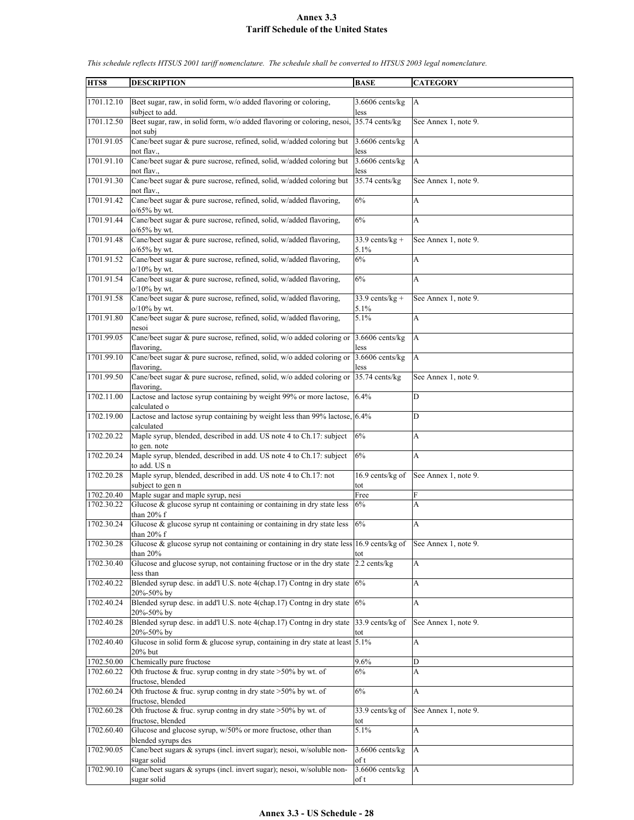| HTS8       | <b>DESCRIPTION</b>                                                                                      | <b>BASE</b>               | <b>CATEGORY</b>      |
|------------|---------------------------------------------------------------------------------------------------------|---------------------------|----------------------|
|            |                                                                                                         |                           |                      |
| 1701.12.10 | Beet sugar, raw, in solid form, w/o added flavoring or coloring,                                        | $3.6606$ cents/kg         | A                    |
|            | subject to add.                                                                                         | less                      |                      |
| 1701.12.50 | Beet sugar, raw, in solid form, w/o added flavoring or coloring, nesoi,                                 | $35.74$ cents/kg          | See Annex 1, note 9. |
|            | not subi                                                                                                |                           |                      |
| 1701.91.05 | Cane/beet sugar & pure sucrose, refined, solid, w/added coloring but                                    | $3.6606$ cents/ $kg$      | $\mathbf{A}$         |
| 1701.91.10 | not flav.,<br>Cane/beet sugar & pure sucrose, refined, solid, w/added coloring but                      | less<br>$3.6606$ cents/kg | $\mathbf{A}$         |
|            | not flav.,                                                                                              | less                      |                      |
| 1701.91.30 | Cane/beet sugar & pure sucrose, refined, solid, w/added coloring but                                    | 35.74 cents/kg            | See Annex 1, note 9. |
|            | not flav.,                                                                                              |                           |                      |
| 1701.91.42 | Cane/beet sugar & pure sucrose, refined, solid, w/added flavoring,                                      | 6%                        | A                    |
|            | $o/65\%$ by wt.                                                                                         |                           |                      |
| 1701.91.44 | Cane/beet sugar & pure sucrose, refined, solid, w/added flavoring,                                      | 6%                        | A                    |
|            | $o/65%$ by wt.                                                                                          |                           |                      |
| 1701.91.48 | Cane/beet sugar & pure sucrose, refined, solid, w/added flavoring,<br>o/65% by wt.                      | $33.9$ cents/kg +<br>5.1% | See Annex 1, note 9. |
| 1701.91.52 | Cane/beet sugar & pure sucrose, refined, solid, w/added flavoring,                                      | 6%                        | А                    |
|            | o/10% by wt.                                                                                            |                           |                      |
| 1701.91.54 | Cane/beet sugar & pure sucrose, refined, solid, w/added flavoring,                                      | 6%                        | A                    |
|            | $o/10\%$ by wt.                                                                                         |                           |                      |
| 1701.91.58 | Cane/beet sugar & pure sucrose, refined, solid, w/added flavoring,                                      | $33.9$ cents/kg +         | See Annex 1, note 9. |
|            | $o/10\%$ by wt.                                                                                         | 5.1%                      |                      |
| 1701.91.80 | Cane/beet sugar & pure sucrose, refined, solid, w/added flavoring,                                      | 5.1%                      | A                    |
| 1701.99.05 | nesoi<br>Cane/beet sugar & pure sucrose, refined, solid, w/o added coloring or                          | $3.6606$ cents/kg         | A                    |
|            | flavoring.                                                                                              | less                      |                      |
| 1701.99.10 | Cane/beet sugar $\&$ pure sucrose, refined, solid, w/o added coloring or                                | 3.6606 cents/kg           | $\mathbf{A}$         |
|            | flavoring,                                                                                              | less                      |                      |
| 1701.99.50 | Cane/beet sugar & pure sucrose, refined, solid, w/o added coloring or                                   | 35.74 cents/kg            | See Annex 1, note 9. |
|            | flavoring.                                                                                              |                           |                      |
| 1702.11.00 | Lactose and lactose syrup containing by weight 99% or more lactose,<br>calculated o                     | 6.4%                      | D                    |
| 1702.19.00 | Lactose and lactose syrup containing by weight less than 99% lactose, 6.4%                              |                           | D                    |
|            | calculated                                                                                              |                           |                      |
| 1702.20.22 | Maple syrup, blended, described in add. US note 4 to Ch.17: subject                                     | 6%                        | А                    |
|            | to gen. note                                                                                            |                           |                      |
| 1702.20.24 | Maple syrup, blended, described in add. US note 4 to Ch.17: subject                                     | 6%                        | A                    |
| 1702.20.28 | to add. US n<br>Maple syrup, blended, described in add. US note 4 to Ch.17: not                         | 16.9 cents/kg of          | See Annex 1, note 9. |
|            | subject to gen n                                                                                        | tot                       |                      |
| 1702.20.40 | Maple sugar and maple syrup, nesi                                                                       | Free                      | F                    |
| 1702.30.22 | Glucose & glucose syrup nt containing or containing in dry state less                                   | 6%                        | A                    |
|            | than 20% f                                                                                              |                           |                      |
| 1702.30.24 | Glucose & glucose syrup nt containing or containing in dry state less                                   | 6%                        | A                    |
| 1702.30.28 | than 20% f<br>Glucose & glucose syrup not containing or containing in dry state less $16.9$ cents/kg of |                           | See Annex 1, note 9. |
|            | than 20%                                                                                                | tot                       |                      |
| 1702.30.40 | Glucose and glucose syrup, not containing fructose or in the dry state                                  | 2.2 cents/kg              | A                    |
|            | less than                                                                                               |                           |                      |
| 1702.40.22 | Blended syrup desc. in add'l U.S. note 4(chap.17) Contng in dry state                                   | 6%                        | A                    |
|            | 20%-50% by                                                                                              |                           |                      |
| 1702.40.24 | Blended syrup desc. in add'l U.S. note 4(chap.17) Contng in dry state                                   | 6%                        | A                    |
| 1702.40.28 | 20%-50% by<br>Blended syrup desc. in add'l U.S. note 4(chap.17) Contng in dry state                     | 33.9 cents/kg of          | See Annex 1, note 9. |
|            | 20%-50% by                                                                                              | tot                       |                      |
| 1702.40.40 | Glucose in solid form $\&$ glucose syrup, containing in dry state at least 5.1%                         |                           | A                    |
|            | 20% but                                                                                                 |                           |                      |
| 1702.50.00 | Chemically pure fructose                                                                                | 9.6%                      | D                    |
| 1702.60.22 | Oth fructose & fruc. syrup conting in dry state $>50\%$ by wt. of                                       | 6%                        | A                    |
| 1702.60.24 | fructose, blended<br>Oth fructose & fruc. syrup conting in dry state $>50\%$ by wt. of                  | 6%                        | A                    |
|            | fructose, blended                                                                                       |                           |                      |
| 1702.60.28 | Oth fructose & fruc. syrup contng in dry state >50% by wt. of                                           | 33.9 cents/kg of          | See Annex 1, note 9. |
|            | fructose, blended                                                                                       | tot                       |                      |
| 1702.60.40 | Glucose and glucose syrup, w/50% or more fructose, other than                                           | 5.1%                      | A                    |
|            | blended syrups des                                                                                      |                           |                      |
| 1702.90.05 | Cane/beet sugars & syrups (incl. invert sugar); nesoi, w/soluble non-                                   | $3.6606$ cents/kg         | A                    |
| 1702.90.10 | sugar solid<br>Cane/beet sugars & syrups (incl. invert sugar); nesoi, w/soluble non-                    | of t<br>3.6606 cents/kg   | A                    |
|            | sugar solid                                                                                             | of t                      |                      |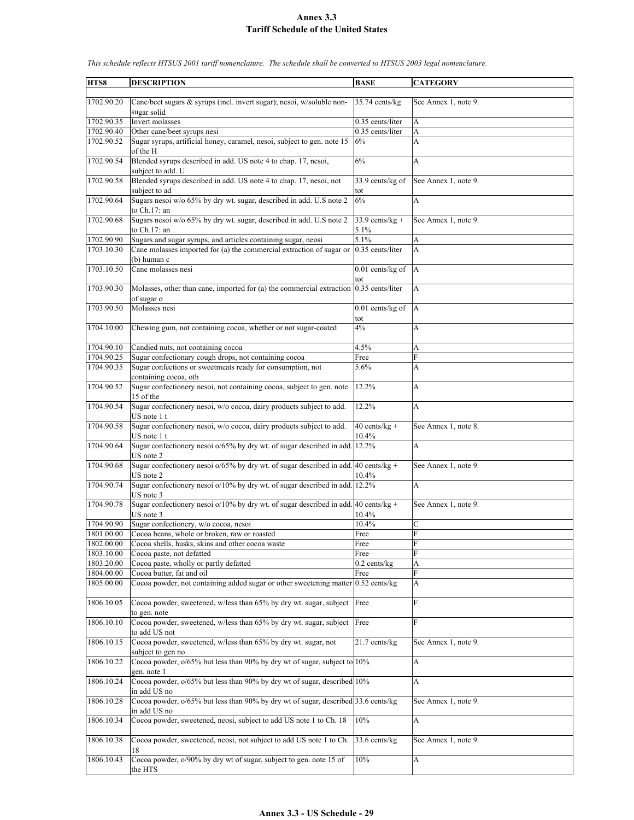| HTS8                     | <b>DESCRIPTION</b>                                                                                   | <b>BASE</b>               | <b>CATEGORY</b>      |
|--------------------------|------------------------------------------------------------------------------------------------------|---------------------------|----------------------|
| 1702.90.20               | Cane/beet sugars & syrups (incl. invert sugar); nesoi, w/soluble non-<br>sugar solid                 | 35.74 cents/kg            | See Annex 1, note 9. |
| 1702.90.35               | Invert molasses                                                                                      | 0.35 cents/liter          | A                    |
| 1702.90.40               | Other cane/beet syrups nesi                                                                          | 0.35 cents/liter          | A                    |
| 1702.90.52               | Sugar syrups, artificial honey, caramel, nesoi, subject to gen. note 15<br>of the H                  | 6%                        | A                    |
| 1702.90.54               | Blended syrups described in add. US note 4 to chap. 17, nesoi,<br>subject to add. U                  | 6%                        | A                    |
| 1702.90.58               | Blended syrups described in add. US note 4 to chap. 17, nesoi, not<br>subject to ad                  | 33.9 cents/kg of<br>tot   | See Annex 1, note 9. |
| 1702.90.64               | Sugars nesoi w/o 65% by dry wt. sugar, described in add. U.S note 2<br>to Ch.17: an                  | 6%                        | A                    |
| 1702.90.68               | Sugars nesoi w/o 65% by dry wt. sugar, described in add. U.S note 2<br>to Ch.17: an                  | $33.9$ cents/kg +<br>5.1% | See Annex 1, note 9. |
| 1702.90.90               | Sugars and sugar syrups, and articles containing sugar, neosi                                        | 5.1%                      | A                    |
| 1703.10.30               | Cane molasses imported for (a) the commercial extraction of sugar or<br>$(b)$ human c                | 0.35 cents/liter          | A                    |
| 1703.10.50               | Cane molasses nesi                                                                                   | 0.01 cents/kg of<br>tot   | $\mathbf{A}$         |
| 1703.90.30               | Molasses, other than cane, imported for (a) the commercial extraction 0.35 cents/liter<br>of sugar o |                           | A                    |
| 1703.90.50               | Molasses nesi                                                                                        | $0.01$ cents/kg of<br>tot | $\overline{A}$       |
| 1704.10.00               | Chewing gum, not containing cocoa, whether or not sugar-coated                                       | 4%                        | A                    |
| 1704.90.10<br>1704.90.25 | Candied nuts, not containing cocoa<br>Sugar confectionary cough drops, not containing cocoa          | 4.5%<br>Free              | A<br>F               |
| 1704.90.35               | Sugar confections or sweetmeats ready for consumption, not<br>containing cocoa, oth                  | 5.6%                      | A                    |
| 1704.90.52               | Sugar confectionery nesoi, not containing cocoa, subject to gen. note<br>15 of the                   | 12.2%                     | A                    |
| 1704.90.54               | Sugar confectionery nesoi, w/o cocoa, dairy products subject to add.<br>US note 1 t                  | 12.2%                     | A                    |
| 1704.90.58               | Sugar confectionery nesoi, w/o cocoa, dairy products subject to add.<br>US note 1 t                  | $40$ cents/kg +<br>10.4%  | See Annex 1, note 8. |
| 1704.90.64               | Sugar confectionery nesoi o/65% by dry wt. of sugar described in add. 12.2%<br>US note 2             |                           | A                    |
| 1704.90.68               | Sugar confectionery nesoi $o/65\%$ by dry wt. of sugar described in add. 40 cents/kg +<br>US note 2  | 10.4%                     | See Annex 1, note 9. |
| 1704.90.74               | Sugar confectionery nesoi o/10% by dry wt. of sugar described in add.<br>US note 3                   | 12.2%                     | A                    |
| 1704.90.78               | Sugar confectionery nesoi o/10% by dry wt. of sugar described in add. 40 cents/kg +<br>US note 3     | 10.4%                     | See Annex 1, note 9. |
| 1704.90.90               | Sugar confectionery, w/o cocoa, nesoi                                                                | 10.4%                     | $\mathbf C$          |
| 1801.00.00               | Cocoa beans, whole or broken, raw or roasted                                                         | Free                      | F                    |
| 1802.00.00               | Cocoa shells, husks, skins and other cocoa waste                                                     | Free                      | F                    |
| 1803.10.00               | Cocoa paste, not defatted                                                                            | Free                      | F                    |
| 1803.20.00               | Cocoa paste, wholly or partly defatted                                                               | $0.2$ cents/kg            | A                    |
| 1804.00.00               | Cocoa butter, fat and oil                                                                            | Free                      | F                    |
| 1805.00.00               | Cocoa powder, not containing added sugar or other sweetening matter $0.52$ cents/kg                  |                           | A                    |
| 1806.10.05               | Cocoa powder, sweetened, w/less than 65% by dry wt. sugar, subject<br>to gen. note                   | Free                      | F                    |
| 1806.10.10               | Cocoa powder, sweetened, w/less than 65% by dry wt. sugar, subject<br>to add US not                  | Free                      | F                    |
| 1806.10.15               | Cocoa powder, sweetened, w/less than 65% by dry wt. sugar, not<br>subject to gen no                  | 21.7 cents/kg             | See Annex 1, note 9. |
| 1806.10.22               | Cocoa powder, $o/65%$ but less than 90% by dry wt of sugar, subject to 10%<br>gen. note 1            |                           | A                    |
| 1806.10.24               | Cocoa powder, $o/65%$ but less than 90% by dry wt of sugar, described 10%<br>in add US no            |                           | A                    |
| 1806.10.28               | Cocoa powder, o/65% but less than 90% by dry wt of sugar, described 33.6 cents/kg<br>in add US no    |                           | See Annex 1, note 9. |
| 1806.10.34               | Cocoa powder, sweetened, neosi, subject to add US note 1 to Ch. 18                                   | 10%                       | A                    |
| 1806.10.38               | Cocoa powder, sweetened, neosi, not subject to add US note 1 to Ch.<br>18                            | 33.6 cents/kg             | See Annex 1, note 9. |
| 1806.10.43               | Cocoa powder, o/90% by dry wt of sugar, subject to gen. note 15 of<br>the HTS                        | 10%                       | A                    |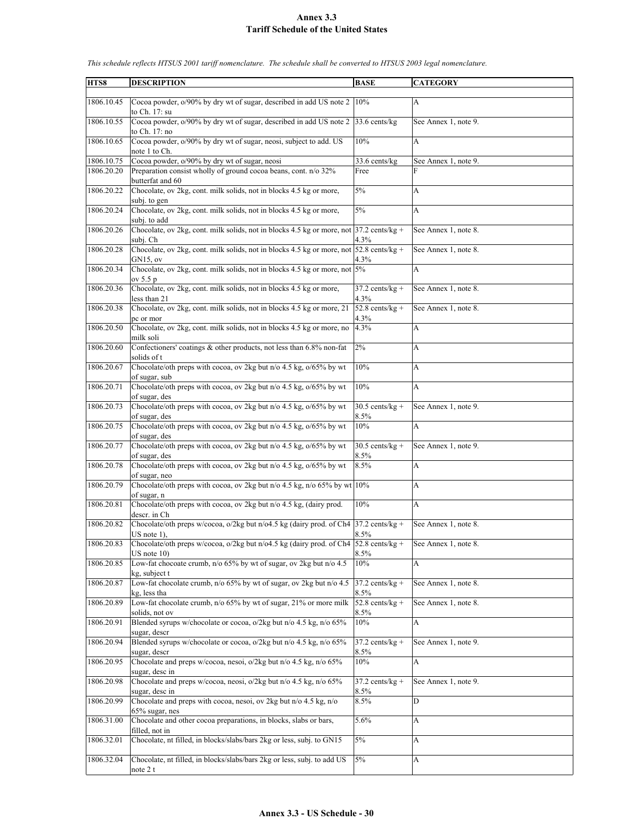| HTS8       | <b>DESCRIPTION</b>                                                                                       | <b>BASE</b>               | <b>CATEGORY</b>      |
|------------|----------------------------------------------------------------------------------------------------------|---------------------------|----------------------|
|            |                                                                                                          |                           |                      |
| 1806.10.45 | Cocoa powder, o/90% by dry wt of sugar, described in add US note 2 10%<br>to Ch. 17: su                  |                           | $\overline{A}$       |
| 1806.10.55 | Cocoa powder, o/90% by dry wt of sugar, described in add US note 2 33.6 cents/kg<br>to Ch. 17: no        |                           | See Annex 1, note 9. |
| 1806.10.65 | Cocoa powder, o/90% by dry wt of sugar, neosi, subject to add. US<br>note 1 to Ch.                       | 10%                       | $\mathbf{A}$         |
| 1806.10.75 | Cocoa powder, o/90% by dry wt of sugar, neosi                                                            | 33.6 cents/kg             | See Annex 1, note 9. |
| 1806.20.20 | Preparation consist wholly of ground cocoa beans, cont. n/o 32%                                          | Free                      | F                    |
|            | butterfat and 60                                                                                         |                           |                      |
| 1806.20.22 | Chocolate, ov 2kg, cont. milk solids, not in blocks 4.5 kg or more,<br>subj. to gen                      | $5\%$                     | A                    |
| 1806.20.24 | Chocolate, ov 2kg, cont. milk solids, not in blocks 4.5 kg or more,                                      | 5%                        | A                    |
|            | subj. to add                                                                                             |                           |                      |
| 1806.20.26 | Chocolate, ov 2kg, cont. milk solids, not in blocks 4.5 kg or more, not 37.2 cents/kg +<br>subj. Ch      | 4.3%                      | See Annex 1, note 8. |
| 1806.20.28 | Chocolate, ov 2kg, cont. milk solids, not in blocks 4.5 kg or more, not 52.8 cents/kg +<br>$GN15$ , ov   | 4.3%                      | See Annex 1, note 8. |
| 1806.20.34 | Chocolate, ov 2kg, cont. milk solids, not in blocks 4.5 kg or more, not 5%<br>ov 5.5 p                   |                           | A                    |
| 1806.20.36 | Chocolate, ov 2kg, cont. milk solids, not in blocks 4.5 kg or more,<br>less than 21                      | $37.2$ cents/kg +<br>4.3% | See Annex 1, note 8. |
| 1806.20.38 | Chocolate, ov 2kg, cont. milk solids, not in blocks 4.5 kg or more, 21                                   | $52.8$ cents/kg +         | See Annex 1, note 8. |
|            | pc or mor                                                                                                | 4.3%                      |                      |
| 1806.20.50 | Chocolate, ov 2kg, cont. milk solids, not in blocks 4.5 kg or more, no<br>milk soli                      | 4.3%                      | A                    |
| 1806.20.60 | Confectioners' coatings & other products, not less than 6.8% non-fat<br>solids of t                      | 2%                        | A                    |
| 1806.20.67 | Chocolate/oth preps with cocoa, ov 2kg but n/o 4.5 kg, o/65% by wt<br>of sugar, sub                      | 10%                       | A                    |
| 1806.20.71 | Chocolate/oth preps with cocoa, ov 2kg but n/o 4.5 kg, o/65% by wt<br>of sugar, des                      | 10%                       | A                    |
| 1806.20.73 | Chocolate/oth preps with cocoa, ov 2kg but n/o 4.5 kg, o/65% by wt<br>of sugar, des                      | $30.5$ cents/kg +<br>8.5% | See Annex 1, note 9. |
| 1806.20.75 | Chocolate/oth preps with cocoa, ov 2kg but n/o 4.5 kg, o/65% by wt<br>of sugar, des                      | 10%                       | A                    |
| 1806.20.77 | Chocolate/oth preps with cocoa, ov 2kg but n/o 4.5 kg, o/65% by wt<br>of sugar, des                      | $30.5$ cents/kg +<br>8.5% | See Annex 1, note 9. |
| 1806.20.78 | Chocolate/oth preps with cocoa, ov 2kg but n/o 4.5 kg, o/65% by wt                                       | 8.5%                      | A                    |
| 1806.20.79 | of sugar, neo<br>Chocolate/oth preps with cocoa, ov 2kg but n/o 4.5 kg, n/o 65% by wt 10%<br>of sugar, n |                           | A                    |
| 1806.20.81 | Chocolate/oth preps with cocoa, ov 2kg but n/o 4.5 kg, (dairy prod.                                      | $10\%$                    | $\mathbf{A}$         |
| 1806.20.82 | descr. in Ch<br>Chocolate/oth preps w/cocoa, o/2kg but n/o4.5 kg (dairy prod. of Ch4 37.2 cents/kg +     |                           | See Annex 1, note 8. |
|            | $US$ note 1).                                                                                            | 8.5%                      |                      |
| 1806.20.83 | Chocolate/oth preps w/cocoa, o/2kg but n/o4.5 kg (dairy prod. of Ch4 52.8 cents/kg +<br>$US$ note $10$ ) | 8.5%                      | See Annex 1, note 8. |
| 1806.20.85 | Low-fat chocoate crumb, n/o 65% by wt of sugar, ov 2kg but n/o 4.5<br>kg, subject t                      | 10%                       | A                    |
| 1806.20.87 | Low-fat chocolate crumb, n/o 65% by wt of sugar, ov 2kg but n/o 4.5<br>kg, less tha                      | $37.2$ cents/kg +<br>8.5% | See Annex 1, note 8. |
| 1806.20.89 | Low-fat chocolate crumb, n/o 65% by wt of sugar, 21% or more milk<br>solids, not ov                      | $52.8$ cents/kg +<br>8.5% | See Annex 1, note 8. |
| 1806.20.91 | Blended syrups w/chocolate or cocoa, o/2kg but n/o 4.5 kg, n/o 65%<br>sugar, descr                       | 10%                       | A                    |
| 1806.20.94 | Blended syrups w/chocolate or cocoa, o/2kg but n/o 4.5 kg, n/o 65%<br>sugar, descr                       | $37.2$ cents/kg +<br>8.5% | See Annex 1, note 9. |
| 1806.20.95 | Chocolate and preps w/cocoa, nesoi, o/2kg but n/o 4.5 kg, n/o 65%                                        | 10%                       | A                    |
| 1806.20.98 | sugar, desc in<br>Chocolate and preps w/cocoa, neosi, o/2kg but n/o 4.5 kg, n/o 65%                      | $37.2$ cents/kg +         | See Annex 1, note 9. |
|            | sugar, desc in                                                                                           | 8.5%                      |                      |
| 1806.20.99 | Chocolate and preps with cocoa, nesoi, ov 2kg but n/o 4.5 kg, n/o<br>$65\%$ sugar, nes                   | 8.5%                      | D                    |
| 1806.31.00 | Chocolate and other cocoa preparations, in blocks, slabs or bars,<br>filled, not in                      | 5.6%                      | $\mathbf{A}$         |
| 1806.32.01 | Chocolate, nt filled, in blocks/slabs/bars 2kg or less, subj. to GN15                                    | 5%                        | $\mathbf{A}$         |
| 1806.32.04 | Chocolate, nt filled, in blocks/slabs/bars 2kg or less, subj. to add US<br>note $2t$                     | 5%                        | A                    |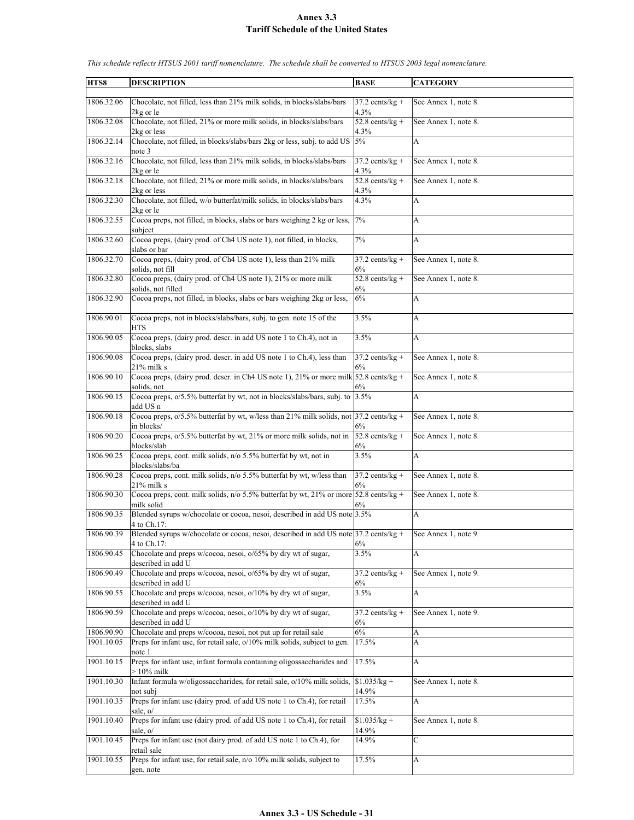| HTS8       | <b>DESCRIPTION</b>                                                                                    | <b>BASE</b>                | <b>CATEGORY</b>      |
|------------|-------------------------------------------------------------------------------------------------------|----------------------------|----------------------|
|            |                                                                                                       |                            |                      |
| 1806.32.06 | Chocolate, not filled, less than 21% milk solids, in blocks/slabs/bars                                | $37.2$ cents/kg +          | See Annex 1, note 8. |
|            | 2kg or le                                                                                             | 4.3%                       |                      |
| 1806.32.08 | Chocolate, not filled, 21% or more milk solids, in blocks/slabs/bars<br>2kg or less                   | $52.8$ cents/kg +<br>4.3%  | See Annex 1, note 8. |
| 1806.32.14 | Chocolate, not filled, in blocks/slabs/bars 2kg or less, subj. to add US 5%<br>note 3                 |                            | А                    |
| 1806.32.16 | Chocolate, not filled, less than 21% milk solids, in blocks/slabs/bars<br>2kg or le                   | $37.2$ cents/kg +<br>4.3%  | See Annex 1, note 8. |
| 1806.32.18 | Chocolate, not filled, 21% or more milk solids, in blocks/slabs/bars                                  | 52.8 cents/ $kg +$         | See Annex 1, note 8. |
|            | 2kg or less                                                                                           | 4.3%                       |                      |
| 1806.32.30 | Chocolate, not filled, w/o butterfat/milk solids, in blocks/slabs/bars<br>2kg or le                   | 4.3%                       | A                    |
| 1806.32.55 | Cocoa preps, not filled, in blocks, slabs or bars weighing 2 kg or less,<br>subject                   | 7%                         | A                    |
| 1806.32.60 | Cocoa preps, (dairy prod. of Ch4 US note 1), not filled, in blocks,<br>slabs or bar                   | 7%                         | A                    |
| 1806.32.70 | Cocoa preps, (dairy prod. of Ch4 US note 1), less than 21% milk<br>solids, not fill                   | $37.2$ cents/kg +<br>6%    | See Annex 1, note 8. |
| 1806.32.80 | Cocoa preps, (dairy prod. of Ch4 US note 1), 21% or more milk                                         | 52.8 cents/ $kg +$         | See Annex 1, note 8. |
|            | solids, not filled                                                                                    | 6%                         |                      |
| 1806.32.90 | Cocoa preps, not filled, in blocks, slabs or bars weighing 2kg or less,                               | 6%                         | А                    |
| 1806.90.01 | Cocoa preps, not in blocks/slabs/bars, subj. to gen. note 15 of the<br><b>HTS</b>                     | 3.5%                       | А                    |
| 1806.90.05 | Cocoa preps, (dairy prod. descr. in add US note 1 to Ch.4), not in<br>blocks, slabs                   | 3.5%                       | A                    |
| 1806.90.08 | Cocoa preps, (dairy prod. descr. in add US note 1 to Ch.4), less than<br>21% milk s                   | $37.2$ cents/kg +<br>6%    | See Annex 1, note 8. |
| 1806.90.10 | Cocoa preps, (dairy prod. descr. in Ch4 US note 1), 21% or more milk $52.8$ cents/kg +                |                            | See Annex 1, note 8. |
| 1806.90.15 | solids, not<br>Cocoa preps, 0/5.5% butterfat by wt, not in blocks/slabs/bars, subj. to                | 6%<br>3.5%                 | A                    |
| 1806.90.18 | add US n<br>Cocoa preps, o/5.5% butterfat by wt, w/less than 21% milk solids, not 37.2 cents/kg +     |                            | See Annex 1, note 8. |
|            | in blocks/                                                                                            | $6\%$                      |                      |
| 1806.90.20 | Cocoa preps, o/5.5% butterfat by wt, 21% or more milk solids, not in<br>blocks/slab                   | $52.8$ cents/kg +<br>6%    | See Annex 1, note 8. |
| 1806.90.25 | Cocoa preps, cont. milk solids, n/o 5.5% butterfat by wt, not in                                      | 3.5%                       | A                    |
| 1806.90.28 | blocks/slabs/ba<br>Cocoa preps, cont. milk solids, n/o 5.5% butterfat by wt, w/less than              | $37.2$ cents/kg +          | See Annex 1, note 8. |
| 1806.90.30 | 21% milk s<br>Cocoa preps, cont. milk solids, $n/0$ 5.5% butterfat by wt, 21% or more 52.8 cents/kg + | 6%                         | See Annex 1, note 8. |
| 1806.90.35 | milk solid<br>Blended syrups w/chocolate or cocoa, nesoi, described in add US note 3.5%               | 6%                         | A                    |
|            | 4 to Ch.17:                                                                                           |                            |                      |
| 1806.90.39 | Blended syrups w/chocolate or cocoa, nesoi, described in add US note 37.2 cents/kg +<br>4 to Ch.17:   | 6%                         | See Annex 1, note 9. |
| 1806.90.45 | Chocolate and preps w/cocoa, nesoi, o/65% by dry wt of sugar,<br>described in add U                   | 3.5%                       | А                    |
| 1806.90.49 | Chocolate and preps w/cocoa, nesoi, o/65% by dry wt of sugar,<br>described in add U                   | $37.2$ cents/kg +<br>$6\%$ | See Annex 1, note 9. |
| 1806.90.55 | Chocolate and preps w/cocoa, nesoi, o/10% by dry wt of sugar,<br>described in add U                   | 3.5%                       | $\mathbf{A}$         |
| 1806.90.59 | Chocolate and preps w/cocoa, nesoi, o/10% by dry wt of sugar,                                         | $37.2$ cents/kg +          | See Annex 1, note 9. |
| 1806.90.90 | described in add U<br>Chocolate and preps w/cocoa, nesoi, not put up for retail sale                  | 6%<br>6%                   | A                    |
| 1901.10.05 | Preps for infant use, for retail sale, o/10% milk solids, subject to gen.                             | 17.5%                      | A                    |
| 1901.10.15 | note 1<br>Preps for infant use, infant formula containing oligossaccharides and                       | 17.5%                      | A                    |
|            | $>10\%$ milk                                                                                          |                            |                      |
| 1901.10.30 | Infant formula w/oligossaccharides, for retail sale, o/10% milk solids,<br>not subi                   | $$1.035/kg +$<br>14.9%     | See Annex 1, note 8. |
| 1901.10.35 | Preps for infant use (dairy prod. of add US note 1 to Ch.4), for retail<br>sale, o/                   | 17.5%                      | A                    |
| 1901.10.40 | Preps for infant use (dairy prod. of add US note 1 to Ch.4), for retail<br>sale, o/                   | $$1.035/kg +$<br>14.9%     | See Annex 1, note 8. |
| 1901.10.45 | Preps for infant use (not dairy prod. of add US note 1 to Ch.4), for                                  | $14.9\%$                   | $\mathbf C$          |
|            | retail sale                                                                                           |                            |                      |
| 1901.10.55 | Preps for infant use, for retail sale, n/o 10% milk solids, subject to<br>gen. note                   | 17.5%                      | A                    |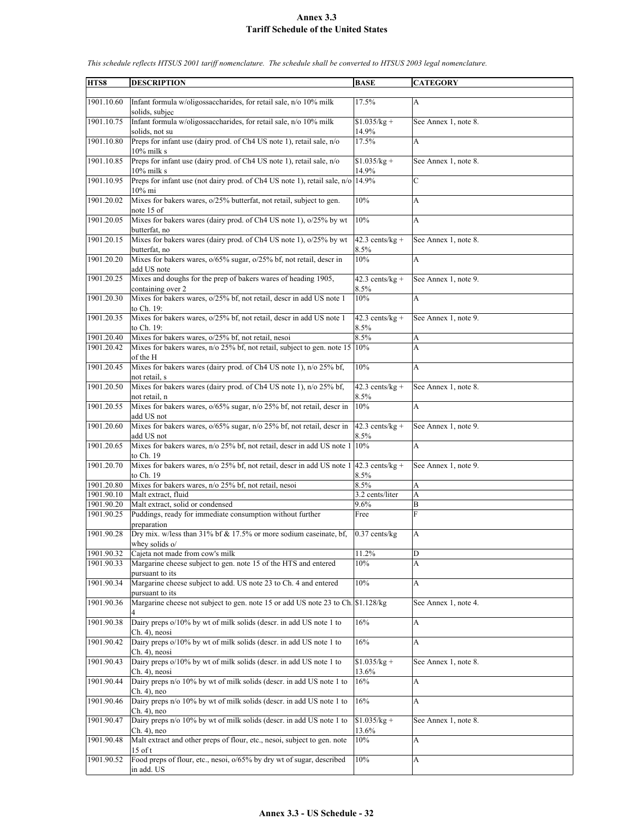| HTS8       | <b>DESCRIPTION</b>                                                                                     | <b>BASE</b>               | <b>CATEGORY</b>      |
|------------|--------------------------------------------------------------------------------------------------------|---------------------------|----------------------|
| 1901.10.60 | Infant formula w/oligossaccharides, for retail sale, n/o 10% milk<br>solids, subjec                    | 17.5%                     | A                    |
| 1901.10.75 | Infant formula w/oligossaccharides, for retail sale, n/o 10% milk<br>solids, not su                    | $$1.035/kg +$<br>14.9%    | See Annex 1, note 8. |
| 1901.10.80 | Preps for infant use (dairy prod. of Ch4 US note 1), retail sale, n/o<br>10% milk s                    | 17.5%                     | A                    |
| 1901.10.85 | Preps for infant use (dairy prod. of Ch4 US note 1), retail sale, n/o<br>$10\%$ milk s                 | $$1.035/kg +$<br>14.9%    | See Annex 1, note 8. |
| 1901.10.95 | Preps for infant use (not dairy prod. of Ch4 US note 1), retail sale, n/o 14.9%<br>10% mi              |                           | $\mathcal{C}$        |
| 1901.20.02 | Mixes for bakers wares, $o/25%$ butterfat, not retail, subject to gen.<br>note 15 of                   | 10%                       | A                    |
| 1901.20.05 | Mixes for bakers wares (dairy prod. of Ch4 US note 1), o/25% by wt<br>butterfat, no                    | 10%                       | A                    |
| 1901.20.15 | Mixes for bakers wares (dairy prod. of Ch4 US note 1), o/25% by wt                                     | $42.3$ cents/kg +         | See Annex 1, note 8. |
| 1901.20.20 | butterfat, no<br>Mixes for bakers wares, o/65% sugar, o/25% bf, not retail, descr in                   | 8.5%<br>10%               | A                    |
|            | add US note                                                                                            |                           |                      |
| 1901.20.25 | Mixes and doughs for the prep of bakers wares of heading 1905,<br>containing over 2                    | $42.3$ cents/kg +<br>8.5% | See Annex 1, note 9. |
| 1901.20.30 | Mixes for bakers wares, o/25% bf, not retail, descr in add US note 1<br>to Ch. 19:                     | 10%                       | A                    |
| 1901.20.35 | Mixes for bakers wares, o/25% bf, not retail, descr in add US note 1<br>to Ch. 19:                     | $42.3$ cents/kg +<br>8.5% | See Annex 1, note 9. |
| 1901.20.40 | Mixes for bakers wares, o/25% bf, not retail, nesoi                                                    | 8.5%                      | A                    |
| 1901.20.42 | Mixes for bakers wares, n/o 25% bf, not retail, subject to gen. note 15<br>of the H                    | 10%                       | A                    |
| 1901.20.45 | Mixes for bakers wares (dairy prod. of Ch4 US note 1), n/o 25% bf,<br>not retail, s                    | 10%                       | $\mathbf{A}$         |
| 1901.20.50 | Mixes for bakers wares (dairy prod. of Ch4 US note 1), n/o 25% bf,<br>not retail, n                    | $42.3$ cents/kg +<br>8.5% | See Annex 1, note 8. |
| 1901.20.55 | Mixes for bakers wares, o/65% sugar, n/o 25% bf, not retail, descr in<br>add US not                    | 10%                       | A                    |
| 1901.20.60 | Mixes for bakers wares, o/65% sugar, n/o 25% bf, not retail, descr in<br>add US not                    | $42.3$ cents/kg +<br>8.5% | See Annex 1, note 9. |
| 1901.20.65 | Mixes for bakers wares, n/o 25% bf, not retail, descr in add US note 1<br>to Ch. 19                    | 10%                       | A                    |
| 1901.20.70 | Mixes for bakers wares, n/o 25% bf, not retail, descr in add US note 1<br>to Ch. 19                    | $42.3$ cents/kg +<br>8.5% | See Annex 1, note 9. |
| 1901.20.80 | Mixes for bakers wares, n/o 25% bf, not retail, nesoi                                                  | 8.5%                      | A                    |
| 1901.90.10 | Malt extract, fluid                                                                                    | 3.2 cents/liter           | A                    |
| 1901.90.20 | Malt extract, solid or condensed                                                                       | 9.6%                      | B                    |
| 1901.90.25 | Puddings, ready for immediate consumption without further<br>preparation                               | Free                      | F                    |
| 1901.90.28 | Dry mix. w/less than $31\%$ bf & 17.5% or more sodium case inate, bf,<br>whey solids o/                | $0.37$ cents/ $k\text{g}$ | A                    |
| 1901.90.32 | Cajeta not made from cow's milk                                                                        | 11.2%                     | D                    |
| 1901.90.33 | Margarine cheese subject to gen. note 15 of the HTS and entered                                        | 10%                       | A                    |
| 1901.90.34 | pursuant to its<br>Margarine cheese subject to add. US note 23 to Ch. 4 and entered<br>pursuant to its | 10%                       | A                    |
| 1901.90.36 | Margarine cheese not subject to gen. note 15 or add US note 23 to Ch. \$1.128/kg                       |                           | See Annex 1, note 4. |
| 1901.90.38 | Dairy preps o/10% by wt of milk solids (descr. in add US note 1 to<br>Ch. 4), neosi                    | 16%                       | A                    |
| 1901.90.42 | Dairy preps o/10% by wt of milk solids (descr. in add US note 1 to<br>Ch. 4), neosi                    | 16%                       | A                    |
| 1901.90.43 | Dairy preps o/10% by wt of milk solids (descr. in add US note 1 to<br>Ch. 4), neosi                    | $$1.035/kg +$<br>13.6%    | See Annex 1, note 8. |
| 1901.90.44 | Dairy preps n/o 10% by wt of milk solids (descr. in add US note 1 to                                   | 16%                       | A                    |
| 1901.90.46 | Ch. 4), neo<br>Dairy preps n/o 10% by wt of milk solids (descr. in add US note 1 to                    | 16%                       | A                    |
|            | Ch. 4), neo                                                                                            |                           |                      |
| 1901.90.47 | Dairy preps n/o 10% by wt of milk solids (descr. in add US note 1 to<br>Ch. 4), neo                    | $$1.035/kg +$<br>13.6%    | See Annex 1, note 8. |
| 1901.90.48 | Malt extract and other preps of flour, etc., nesoi, subject to gen. note<br>$15$ of t                  | 10%                       | A                    |
| 1901.90.52 | Food preps of flour, etc., nesoi, $0/65%$ by dry wt of sugar, described<br>in add. US                  | 10%                       | A                    |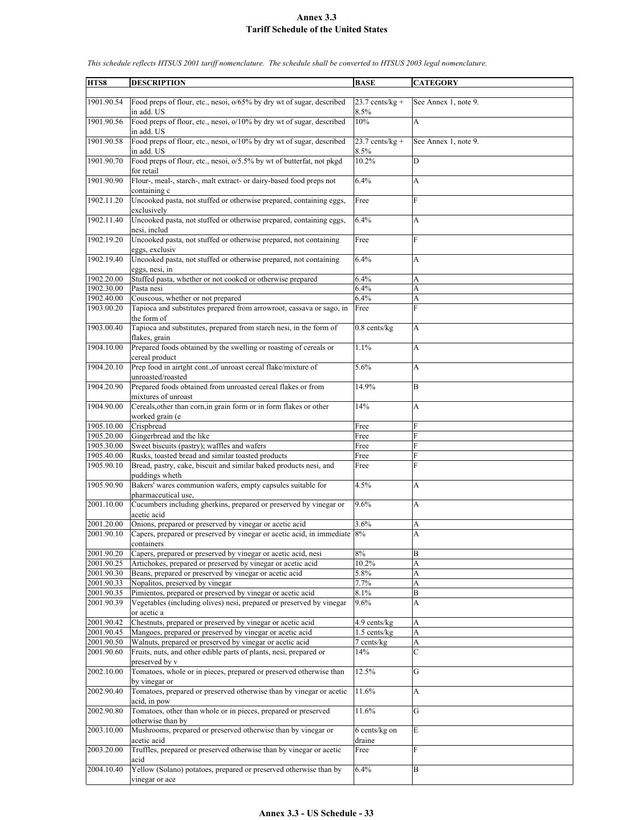| HTS8                     | <b>DESCRIPTION</b>                                                                                                                  | <b>BASE</b>                  | <b>CATEGORY</b>                |
|--------------------------|-------------------------------------------------------------------------------------------------------------------------------------|------------------------------|--------------------------------|
|                          |                                                                                                                                     |                              |                                |
| 1901.90.54               | Food preps of flour, etc., nesoi, $0/65%$ by dry wt of sugar, described                                                             | $23.7$ cents/kg +            | See Annex 1, note 9.           |
|                          | in add. US                                                                                                                          | 8.5%                         |                                |
| 1901.90.56               | Food preps of flour, etc., nesoi, o/10% by dry wt of sugar, described<br>in add. US                                                 | 10%                          | A                              |
| 1901.90.58               | Food preps of flour, etc., nesoi, o/10% by dry wt of sugar, described                                                               | $23.7$ cents/kg +            | See Annex 1, note 9.           |
|                          | in add. US                                                                                                                          | 8.5%                         |                                |
| 1901.90.70               | Food preps of flour, etc., nesoi, o/5.5% by wt of butterfat, not pkgd                                                               | 10.2%                        | D                              |
|                          | for retail                                                                                                                          |                              |                                |
| 1901.90.90               | Flour-, meal-, starch-, malt extract- or dairy-based food preps not                                                                 | 6.4%                         | A                              |
|                          | containing c                                                                                                                        |                              |                                |
| 1902.11.20               | Uncooked pasta, not stuffed or otherwise prepared, containing eggs,                                                                 | Free                         | F                              |
|                          | exclusively                                                                                                                         |                              |                                |
| 1902.11.40               | Uncooked pasta, not stuffed or otherwise prepared, containing eggs,                                                                 | 6.4%                         | A                              |
| 1902.19.20               | nesi, includ<br>Uncooked pasta, not stuffed or otherwise prepared, not containing                                                   | Free                         | F                              |
|                          | eggs, exclusiv                                                                                                                      |                              |                                |
| 1902.19.40               | Uncooked pasta, not stuffed or otherwise prepared, not containing                                                                   | 6.4%                         | A                              |
|                          | eggs, nesi, in                                                                                                                      |                              |                                |
| 1902.20.00               | Stuffed pasta, whether or not cooked or otherwise prepared                                                                          | 6.4%                         | A                              |
| 1902.30.00               | Pasta nesi                                                                                                                          | 6.4%                         | A                              |
| 1902.40.00               | Couscous, whether or not prepared                                                                                                   | 6.4%                         | A                              |
| 1903.00.20               | Tapioca and substitutes prepared from arrowroot, cassava or sago, in                                                                | Free                         | $\overline{F}$                 |
|                          | the form of                                                                                                                         |                              |                                |
| 1903.00.40               | Tapioca and substitutes, prepared from starch nesi, in the form of<br>flakes, grain                                                 | $0.8$ cents/ $kg$            | A                              |
| 1904.10.00               | Prepared foods obtained by the swelling or roasting of cereals or                                                                   | 1.1%                         | A                              |
|                          | cereal product                                                                                                                      |                              |                                |
| 1904.20.10               | Prep food in airtght cont., of unroast cereal flake/mixture of                                                                      | 5.6%                         | A                              |
|                          | unroasted/roasted                                                                                                                   |                              |                                |
| 1904.20.90               | Prepared foods obtained from unroasted cereal flakes or from                                                                        | 14.9%                        | B                              |
|                          | mixtures of unroast                                                                                                                 |                              |                                |
| 1904.90.00               | Cereals, other than corn, in grain form or in form flakes or other                                                                  | 14%                          | A                              |
|                          | worked grain (e                                                                                                                     |                              |                                |
| 1905.10.00<br>1905.20.00 | Crispbread<br>Gingerbread and the like                                                                                              | Free<br>Free                 | F<br>$\overline{F}$            |
| 1905.30.00               | Sweet biscuits (pastry); waffles and wafers                                                                                         | Free                         | F                              |
| 1905.40.00               | Rusks, toasted bread and similar toasted products                                                                                   | Free                         | F                              |
| 1905.90.10               | Bread, pastry, cake, biscuit and similar baked products nesi, and                                                                   | Free                         | F                              |
|                          | puddings wheth                                                                                                                      |                              |                                |
| 1905.90.90               | Bakers' wares communion wafers, empty capsules suitable for                                                                         | 4.5%                         | A                              |
|                          | pharmaceutical use,                                                                                                                 |                              |                                |
| 2001.10.00               | Cucumbers including gherkins, prepared or preserved by vinegar or                                                                   | 9.6%                         | A                              |
|                          | acetic acid                                                                                                                         |                              |                                |
| 2001.20.00<br>2001.90.10 | Onions, prepared or preserved by vinegar or acetic acid<br>Capers, prepared or preserved by vinegar or acetic acid, in immediate 8% | 3.6%                         | A<br>A                         |
|                          | containers                                                                                                                          |                              |                                |
| 2001.90.20               | Capers, prepared or preserved by vinegar or acetic acid, nesi                                                                       | 8%                           | B                              |
| 2001.90.25               | Artichokes, prepared or preserved by vinegar or acetic acid                                                                         | 10.2%                        | A                              |
| 2001.90.30               | Beans, prepared or preserved by vinegar or acetic acid                                                                              | 5.8%                         | A                              |
| 2001.90.33               | Nopalitos, preserved by vinegar                                                                                                     | 7.7%                         | A                              |
| 2001.90.35               | Pimientos, prepared or preserved by vinegar or acetic acid                                                                          | 8.1%                         | B                              |
| 2001.90.39               | Vegetables (including olives) nesi, prepared or preserved by vinegar                                                                | 9.6%                         | A                              |
|                          | or acetic a                                                                                                                         |                              |                                |
| 2001.90.42<br>2001.90.45 | Chestnuts, prepared or preserved by vinegar or acetic acid<br>Mangoes, prepared or preserved by vinegar or acetic acid              | 4.9 cents/kg<br>1.5 cents/kg | A<br>$\boldsymbol{\mathsf{A}}$ |
| 2001.90.50               | Walnuts, prepared or preserved by vinegar or acetic acid                                                                            | 7 cents/kg                   | $\boldsymbol{\mathsf{A}}$      |
| 2001.90.60               | Fruits, nuts, and other edible parts of plants, nesi, prepared or                                                                   | 14%                          | $\mathbf C$                    |
|                          | preserved by v                                                                                                                      |                              |                                |
| 2002.10.00               | Tomatoes, whole or in pieces, prepared or preserved otherwise than                                                                  | 12.5%                        | G                              |
|                          | by vinegar or                                                                                                                       |                              |                                |
| 2002.90.40               | Tomatoes, prepared or preserved otherwise than by vinegar or acetic                                                                 | 11.6%                        | $\boldsymbol{\mathsf{A}}$      |
|                          | acid, in pow                                                                                                                        |                              |                                |
| 2002.90.80               | Tomatoes, other than whole or in pieces, prepared or preserved                                                                      | 11.6%                        | $\mathbf G$                    |
| 2003.10.00               | otherwise than by<br>Mushrooms, prepared or preserved otherwise than by vinegar or                                                  | $\overline{6}$ cents/kg on   | $\mathbf E$                    |
|                          | acetic acid                                                                                                                         | draine                       |                                |
| 2003.20.00               | Truffles, prepared or preserved otherwise than by vinegar or acetic                                                                 | Free                         | F                              |
|                          | acid                                                                                                                                |                              |                                |
| 2004.10.40               | Yellow (Solano) potatoes, prepared or preserved otherwise than by                                                                   | 6.4%                         | B                              |
|                          | vinegar or ace                                                                                                                      |                              |                                |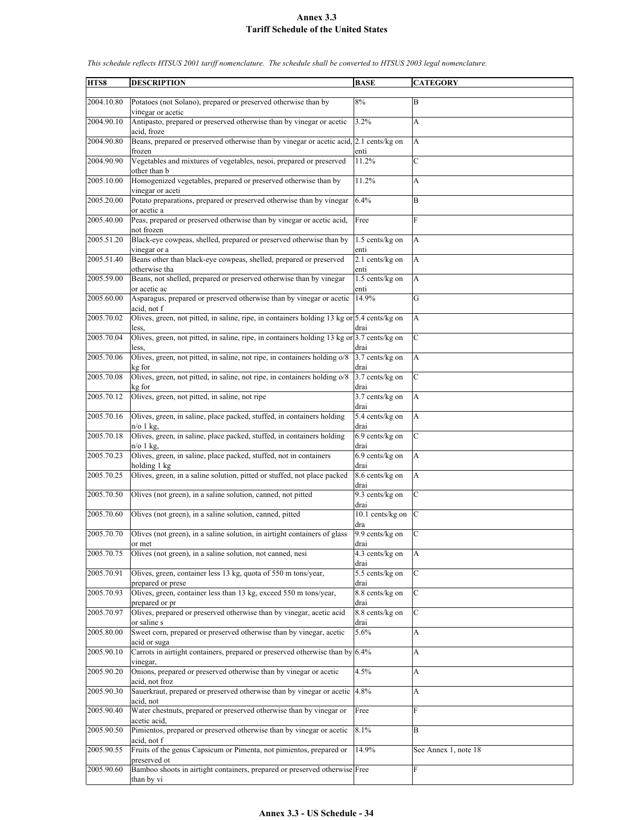| HTS8       | <b>DESCRIPTION</b>                                                                         | <b>BASE</b>                | <b>CATEGORY</b>           |
|------------|--------------------------------------------------------------------------------------------|----------------------------|---------------------------|
|            |                                                                                            |                            |                           |
| 2004.10.80 | Potatoes (not Solano), prepared or preserved otherwise than by                             | 8%                         | B                         |
|            | vinegar or acetic                                                                          |                            |                           |
| 2004.90.10 | Antipasto, prepared or preserved otherwise than by vinegar or acetic                       | 3.2%                       | A                         |
|            | acid, froze                                                                                |                            |                           |
| 2004.90.80 | Beans, prepared or preserved otherwise than by vinegar or acetic acid, 2.1 cents/kg on     |                            | A                         |
|            | frozen                                                                                     | enti                       |                           |
| 2004.90.90 | Vegetables and mixtures of vegetables, nesoi, prepared or preserved                        | 11.2%                      | $\mathcal{C}$             |
|            | other than b                                                                               |                            |                           |
| 2005.10.00 | Homogenized vegetables, prepared or preserved otherwise than by                            | 11.2%                      | A                         |
|            | vinegar or aceti                                                                           |                            |                           |
| 2005.20.00 | Potato preparations, prepared or preserved otherwise than by vinegar                       | 6.4%                       | B                         |
|            | or acetic a                                                                                |                            |                           |
| 2005.40.00 | Peas, prepared or preserved otherwise than by vinegar or acetic acid,                      | Free                       | F                         |
|            | not frozen                                                                                 |                            |                           |
| 2005.51.20 | Black-eye cowpeas, shelled, prepared or preserved otherwise than by                        | 1.5 cents/kg on            | A                         |
|            | vinegar or a                                                                               | enti                       |                           |
| 2005.51.40 | Beans other than black-eye cowpeas, shelled, prepared or preserved                         | 2.1 cents/kg on            | A                         |
|            | otherwise tha                                                                              | enti                       |                           |
| 2005.59.00 | Beans, not shelled, prepared or preserved otherwise than by vinegar                        | 1.5 cents/kg on            | A                         |
|            | or acetic ac                                                                               | enti                       |                           |
| 2005.60.00 | Asparagus, prepared or preserved otherwise than by vinegar or acetic                       | 14.9%                      | $\mathbf G$               |
|            | acid, not f                                                                                |                            |                           |
| 2005.70.02 | Olives, green, not pitted, in saline, ripe, in containers holding 13 kg or 5.4 cents/kg on |                            | A                         |
|            | less.                                                                                      | drai                       |                           |
| 2005.70.04 | Olives, green, not pitted, in saline, ripe, in containers holding 13 kg or 3.7 cents/kg on |                            | $\mathbf C$               |
|            | less.                                                                                      | drai                       |                           |
| 2005.70.06 | Olives, green, not pitted, in saline, not ripe, in containers holding o/8                  | 3.7 cents/kg on            | A                         |
|            | kg for                                                                                     | drai                       |                           |
| 2005.70.08 | Olives, green, not pitted, in saline, not ripe, in containers holding o/8                  | 3.7 cents/kg on            | $\mathbf C$               |
|            | kg for                                                                                     | drai                       |                           |
| 2005.70.12 | Olives, green, not pitted, in saline, not ripe                                             | 3.7 cents/kg on            | $\mathbf{A}$              |
|            |                                                                                            | drai                       |                           |
| 2005.70.16 | Olives, green, in saline, place packed, stuffed, in containers holding                     | 5.4 cents/kg on            | $\mathbf{A}$              |
|            | $n$ o 1 kg,                                                                                | drai                       |                           |
| 2005.70.18 | Olives, green, in saline, place packed, stuffed, in containers holding                     | 6.9 cents/kg on            | $\mathbf C$               |
|            | $n$ o 1 kg,                                                                                | drai                       |                           |
| 2005.70.23 | Olives, green, in saline, place packed, stuffed, not in containers                         | 6.9 cents/kg on            | $\mathbf{A}$              |
|            | holding 1 kg                                                                               | drai                       |                           |
| 2005.70.25 | Olives, green, in a saline solution, pitted or stuffed, not place packed                   | 8.6 cents/kg on            | A                         |
|            |                                                                                            | drai                       |                           |
| 2005.70.50 | Olives (not green), in a saline solution, canned, not pitted                               | 9.3 cents/kg on            | lc                        |
|            |                                                                                            | drai                       |                           |
| 2005.70.60 | Olives (not green), in a saline solution, canned, pitted                                   | 10.1 cents/kg on $\vert$ C |                           |
|            |                                                                                            | dra                        |                           |
| 2005.70.70 | Olives (not green), in a saline solution, in airtight containers of glass                  | 9.9 cents/kg on            | Iс                        |
|            | or met                                                                                     | drai                       |                           |
| 2005.70.75 | Olives (not green), in a saline solution, not canned, nesi                                 | 4.3 cents/kg on            | $\overline{A}$            |
|            |                                                                                            | drai                       |                           |
| 2005.70.91 | Olives, green, container less 13 kg, quota of 550 m tons/year,                             | 5.5 cents/kg on            | $\mathbf C$               |
|            | prepared or prese                                                                          | drai                       |                           |
| 2005.70.93 | Olives, green, container less than 13 kg, exceed 550 m tons/year,                          | 8.8 cents/kg on            | $\mathbf C$               |
|            | prepared or pr                                                                             | drai                       |                           |
| 2005.70.97 | Olives, prepared or preserved otherwise than by vinegar, acetic acid                       | 8.8 cents/kg on            | $\mathbf C$               |
|            |                                                                                            |                            |                           |
| 2005.80.00 | or saline s<br>Sweet corn, prepared or preserved otherwise than by vinegar, acetic         | drai<br>5.6%               |                           |
|            |                                                                                            |                            | A                         |
|            | acid or suga                                                                               |                            |                           |
| 2005.90.10 | Carrots in airtight containers, prepared or preserved otherwise than by $6.4\%$            |                            | A                         |
|            | vinegar,                                                                                   |                            |                           |
| 2005.90.20 | Onions, prepared or preserved otherwise than by vinegar or acetic                          | 4.5%                       | $\boldsymbol{\mathsf{A}}$ |
|            | acid, not froz                                                                             |                            |                           |
| 2005.90.30 | Sauerkraut, prepared or preserved otherwise than by vinegar or acetic 4.8%                 |                            | A                         |
|            | acid, not                                                                                  |                            |                           |
| 2005.90.40 | Water chestnuts, prepared or preserved otherwise than by vinegar or                        | Free                       | F                         |
|            | acetic acid.                                                                               |                            |                           |
| 2005.90.50 | Pimientos, prepared or preserved otherwise than by vinegar or acetic                       | 8.1%                       | B                         |
|            | acid, not f                                                                                |                            |                           |
| 2005.90.55 | Fruits of the genus Capsicum or Pimenta, not pimientos, prepared or                        | 14.9%                      | See Annex 1, note 18      |
|            | preserved ot                                                                               |                            |                           |
| 2005.90.60 | Bamboo shoots in airtight containers, prepared or preserved otherwise Free                 |                            | F                         |
|            | than by vi                                                                                 |                            |                           |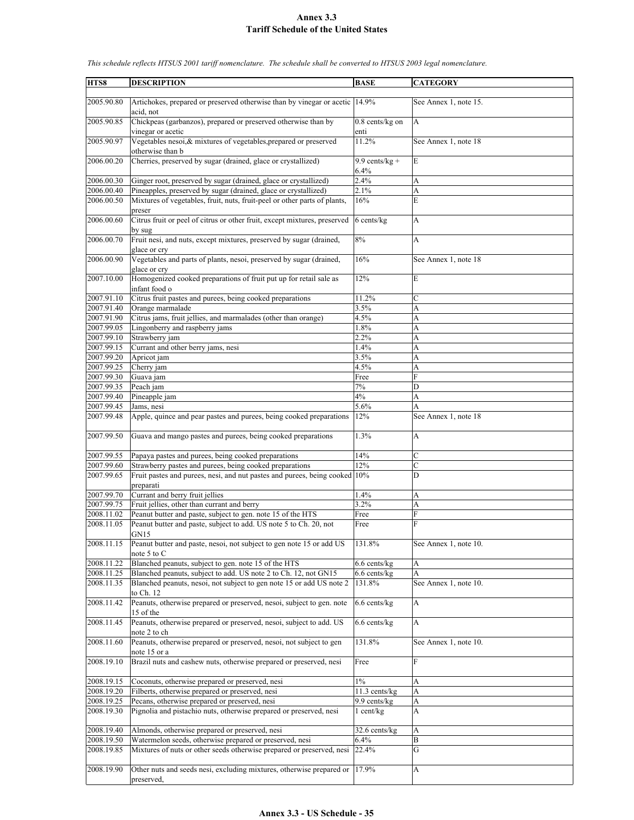| HTS8                     | <b>DESCRIPTION</b>                                                                      | <b>BASE</b>               | <b>CATEGORY</b>           |
|--------------------------|-----------------------------------------------------------------------------------------|---------------------------|---------------------------|
| 2005.90.80               | Artichokes, prepared or preserved otherwise than by vinegar or acetic<br>acid, not      | 14.9%                     | See Annex 1, note 15.     |
| 2005.90.85               | Chickpeas (garbanzos), prepared or preserved otherwise than by<br>vinegar or acetic     | $0.8$ cents/kg on<br>enti | $\overline{A}$            |
| 2005.90.97               | Vegetables nesoi, & mixtures of vegetables, prepared or preserved                       | 11.2%                     | See Annex 1, note 18      |
| 2006.00.20               | otherwise than b<br>Cherries, preserved by sugar (drained, glace or crystallized)       | $9.9$ cents/kg +          | E                         |
| 2006.00.30               | Ginger root, preserved by sugar (drained, glace or crystallized)                        | 6.4%<br>2.4%              |                           |
| 2006.00.40               | Pineapples, preserved by sugar (drained, glace or crystallized)                         | 2.1%                      | A<br>A                    |
| 2006.00.50               | Mixtures of vegetables, fruit, nuts, fruit-peel or other parts of plants,               | 16%                       | E                         |
| 2006.00.60               | preser<br>Citrus fruit or peel of citrus or other fruit, except mixtures, preserved     | 6 cents/kg                | A                         |
|                          | by sug                                                                                  |                           |                           |
| 2006.00.70               | Fruit nesi, and nuts, except mixtures, preserved by sugar (drained,<br>glace or cry     | 8%                        | A                         |
| 2006.00.90               | Vegetables and parts of plants, nesoi, preserved by sugar (drained,<br>glace or cry     | 16%                       | See Annex 1, note 18      |
| 2007.10.00               | Homogenized cooked preparations of fruit put up for retail sale as<br>infant food o     | 12%                       | E                         |
| 2007.91.10               | Citrus fruit pastes and purees, being cooked preparations                               | 11.2%                     | $\mathcal{C}$             |
| 2007.91.40               | Orange marmalade                                                                        | 3.5%                      | A                         |
| 2007.91.90               | Citrus jams, fruit jellies, and marmalades (other than orange)                          | 4.5%                      | A                         |
| 2007.99.05               | Lingonberry and raspberry jams                                                          | 1.8%                      | A                         |
| 2007.99.10               | Strawberry jam                                                                          | 2.2%                      | A                         |
| 2007.99.15               | Currant and other berry jams, nesi                                                      | 1.4%                      | A                         |
| 2007.99.20               | Apricot jam                                                                             | 3.5%                      | A                         |
| 2007.99.25<br>2007.99.30 | Cherry jam<br>Guava jam                                                                 | 4.5%<br>Free              | A<br>F                    |
| 2007.99.35               | Peach jam                                                                               | $7\%$                     | D                         |
| 2007.99.40               | Pineapple jam                                                                           | 4%                        | A                         |
| 2007.99.45               | Jams, nesi                                                                              | 5.6%                      | A                         |
| 2007.99.48               | Apple, quince and pear pastes and purees, being cooked preparations                     | 12%                       | See Annex 1, note 18      |
| 2007.99.50               | Guava and mango pastes and purees, being cooked preparations                            | 1.3%                      | A                         |
| 2007.99.55               | Papaya pastes and purees, being cooked preparations                                     | 14%                       | $\mathbf C$               |
| 2007.99.60               | Strawberry pastes and purees, being cooked preparations                                 | 12%                       | $\mathbf C$               |
| 2007.99.65               | Fruit pastes and purees, nesi, and nut pastes and purees, being cooked 10%<br>preparati |                           | D                         |
| 2007.99.70               | Currant and berry fruit jellies                                                         | 1.4%                      | A                         |
| 2007.99.75               | Fruit jellies, other than currant and berry                                             | 3.2%                      | A                         |
| 2008.11.02               | Peanut butter and paste, subject to gen. note 15 of the HTS                             | Free                      | F                         |
| 2008.11.05               | Peanut butter and paste, subject to add. US note 5 to Ch. 20, not<br>GN15               | Free                      | F                         |
| 2008.11.15               | Peanut butter and paste, nesoi, not subject to gen note 15 or add US<br>note 5 to C     | 131.8%                    | See Annex 1, note 10.     |
| 2008.11.22               | Blanched peanuts, subject to gen. note 15 of the HTS                                    | 6.6 cents/kg              | A                         |
| 2008.11.25               | Blanched peanuts, subject to add. US note 2 to Ch. 12, not GN15                         | $6.6$ cents/kg            | A                         |
| 2008.11.35               | Blanched peanuts, nesoi, not subject to gen note 15 or add US note 2<br>to Ch. 12       | 131.8%                    | See Annex 1, note 10.     |
| 2008.11.42               | Peanuts, otherwise prepared or preserved, nesoi, subject to gen. note<br>15 of the      | $6.6$ cents/kg            | A                         |
| 2008.11.45               | Peanuts, otherwise prepared or preserved, nesoi, subject to add. US<br>note 2 to ch     | 6.6 cents/kg              | $\boldsymbol{\mathsf{A}}$ |
| 2008.11.60               | Peanuts, otherwise prepared or preserved, nesoi, not subject to gen<br>note 15 or a     | 131.8%                    | See Annex 1, note 10.     |
| 2008.19.10               | Brazil nuts and cashew nuts, otherwise prepared or preserved, nesi                      | Free                      | F                         |
| 2008.19.15               | Coconuts, otherwise prepared or preserved, nesi                                         | $1\%$                     | A                         |
| 2008.19.20               | Filberts, otherwise prepared or preserved, nesi                                         | 11.3 cents/kg             | A                         |
| 2008.19.25               | Pecans, otherwise prepared or preserved, nesi                                           | 9.9 cents/kg              | A                         |
| 2008.19.30               | Pignolia and pistachio nuts, otherwise prepared or preserved, nesi                      | $1$ cent/kg               | A                         |
| 2008.19.40               | Almonds, otherwise prepared or preserved, nesi                                          | 32.6 cents/kg             | A                         |
| 2008.19.50               | Watermelon seeds, otherwise prepared or preserved, nesi                                 | 6.4%                      | B                         |
| 2008.19.85               | Mixtures of nuts or other seeds otherwise prepared or preserved, nesi                   | 22.4%                     | G                         |
| 2008.19.90               | Other nuts and seeds nesi, excluding mixtures, otherwise prepared or<br>preserved,      | 17.9%                     | A                         |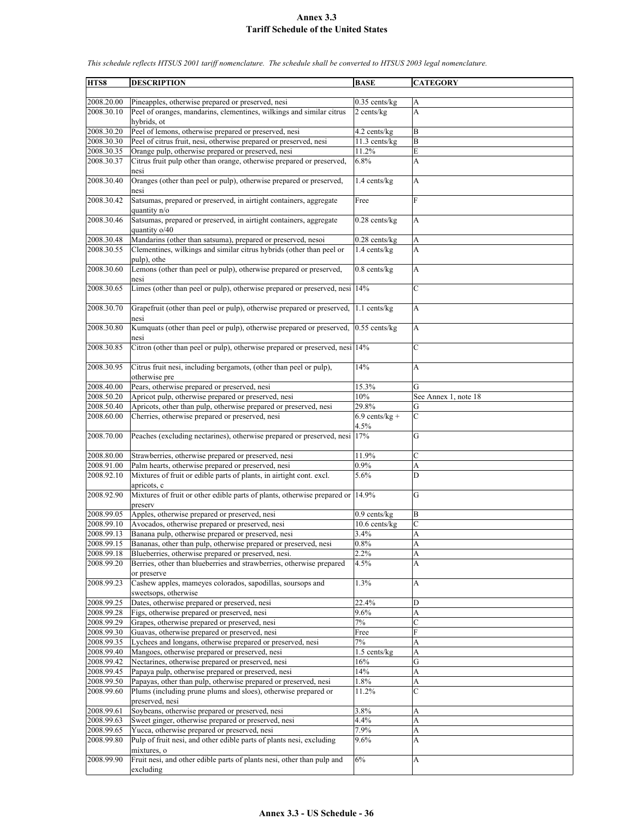| HTS8                     | <b>DESCRIPTION</b>                                                                                          | <b>BASE</b>                   | <b>CATEGORY</b>           |
|--------------------------|-------------------------------------------------------------------------------------------------------------|-------------------------------|---------------------------|
| 2008.20.00               | Pineapples, otherwise prepared or preserved, nesi                                                           |                               |                           |
| 2008.30.10               | Peel of oranges, mandarins, clementines, wilkings and similar citrus                                        | $0.35$ cents/kg<br>2 cents/kg | A<br>$\overline{A}$       |
|                          | hybrids, ot                                                                                                 |                               |                           |
| 2008.30.20               | Peel of lemons, otherwise prepared or preserved, nesi                                                       | 4.2 cents/kg                  | B                         |
| 2008.30.30               | Peel of citrus fruit, nesi, otherwise prepared or preserved, nesi                                           | 11.3 cents/kg                 | B                         |
| 2008.30.35               | Orange pulp, otherwise prepared or preserved, nesi                                                          | 11.2%                         | E                         |
| 2008.30.37               | Citrus fruit pulp other than orange, otherwise prepared or preserved,<br>nesi                               | 6.8%                          | A                         |
| 2008.30.40               | Oranges (other than peel or pulp), otherwise prepared or preserved,<br>nesi                                 | 1.4 cents/kg                  | A                         |
| 2008.30.42               | Satsumas, prepared or preserved, in airtight containers, aggregate<br>quantity n/o                          | Free                          | F                         |
| 2008.30.46               | Satsumas, prepared or preserved, in airtight containers, aggregate<br>quantity o/40                         | $0.28$ cents/ $kg$            | $\mathbf{A}$              |
| 2008.30.48               | Mandarins (other than satsuma), prepared or preserved, nesoi                                                | $0.28$ cents/kg               | $\boldsymbol{\rm{A}}$     |
| 2008.30.55               | Clementines, wilkings and similar citrus hybrids (other than peel or                                        | 1.4 cents/kg                  | A                         |
|                          | pulp), othe                                                                                                 |                               |                           |
| 2008.30.60               | Lemons (other than peel or pulp), otherwise prepared or preserved,<br>nesi                                  | $0.8$ cents/ $kg$             | A                         |
| 2008.30.65               | Limes (other than peel or pulp), otherwise prepared or preserved, nesi 14%                                  |                               | $\mathbf C$               |
| 2008.30.70               | Grapefruit (other than peel or pulp), otherwise prepared or preserved,<br>nesi                              | 1.1 cents/kg                  | $\mathbf{A}$              |
| 2008.30.80               | Kumquats (other than peel or pulp), otherwise prepared or preserved,<br>nesi                                | $0.55$ cents/kg               | A                         |
| 2008.30.85               | Citron (other than peel or pulp), otherwise prepared or preserved, nesi 14%                                 |                               | $\mathbf C$               |
| 2008.30.95               | Citrus fruit nesi, including bergamots, (other than peel or pulp),<br>otherwise pre                         | 14%                           | A                         |
| 2008.40.00               | Pears, otherwise prepared or preserved, nesi                                                                | 15.3%                         | G                         |
| 2008.50.20               | Apricot pulp, otherwise prepared or preserved, nesi                                                         | 10%                           | See Annex 1, note 18      |
| 2008.50.40               | Apricots, other than pulp, otherwise prepared or preserved, nesi                                            | 29.8%                         | G                         |
| 2008.60.00               | Cherries, otherwise prepared or preserved, nesi                                                             | $6.9$ cents/kg +<br>4.5%      | $\mathbf C$               |
| 2008.70.00               | Peaches (excluding nectarines), otherwise prepared or preserved, nesi                                       | 17%                           | G                         |
| 2008.80.00               | Strawberries, otherwise prepared or preserved, nesi                                                         | 11.9%                         | C                         |
| 2008.91.00               | Palm hearts, otherwise prepared or preserved, nesi                                                          | 0.9%                          | A                         |
| 2008.92.10               | Mixtures of fruit or edible parts of plants, in airtight cont. excl.<br>apricots, c                         | 5.6%                          | D                         |
| 2008.92.90               | Mixtures of fruit or other edible parts of plants, otherwise prepared or 14.9%<br>preserv                   |                               | G                         |
| 2008.99.05               | Apples, otherwise prepared or preserved, nesi                                                               | $0.9$ cents/kg                | B                         |
| 2008.99.10               | Avocados, otherwise prepared or preserved, nesi                                                             | 10.6 cents/kg                 | $\mathbf C$               |
| 2008.99.13               | Banana pulp, otherwise prepared or preserved, nesi                                                          | 3.4%                          | A                         |
| 2008.99.15               | Bananas, other than pulp, otherwise prepared or preserved, nesi                                             | 0.8%                          | A                         |
| 2008.99.18               | Blueberries, otherwise prepared or preserved, nesi.                                                         | 2.2%                          | A                         |
| 2008.99.20               | Berries, other than blueberries and strawberries, otherwise prepared<br>or preserve                         | 4.5%                          | A                         |
| 2008.99.23               | Cashew apples, mameyes colorados, sapodillas, soursops and                                                  | 1.3%                          | $\boldsymbol{\mathsf{A}}$ |
|                          | sweetsops, otherwise                                                                                        |                               |                           |
| 2008.99.25               | Dates, otherwise prepared or preserved, nesi                                                                | 22.4%                         | D                         |
| 2008.99.28               | Figs, otherwise prepared or preserved, nesi                                                                 | 9.6%                          | A                         |
| 2008.99.29               | Grapes, otherwise prepared or preserved, nesi                                                               | $7\%$                         | $\mathcal{C}$             |
| 2008.99.30<br>2008.99.35 | Guavas, otherwise prepared or preserved, nesi<br>Lychees and longans, otherwise prepared or preserved, nesi | Free<br>$7\%$                 | ${\bf F}$<br>A            |
| 2008.99.40               | Mangoes, otherwise prepared or preserved, nesi                                                              | 1.5 cents/kg                  | A                         |
| 2008.99.42               | Nectarines, otherwise prepared or preserved, nesi                                                           | 16%                           | $\mathbf G$               |
| 2008.99.45               | Papaya pulp, otherwise prepared or preserved, nesi                                                          | 14%                           | A                         |
| 2008.99.50               | Papayas, other than pulp, otherwise prepared or preserved, nesi                                             | 1.8%                          | A                         |
| 2008.99.60               | Plums (including prune plums and sloes), otherwise prepared or<br>preserved, nesi                           | 11.2%                         | $\mathbf C$               |
| 2008.99.61               | Soybeans, otherwise prepared or preserved, nesi                                                             | 3.8%                          | A                         |
| 2008.99.63               | Sweet ginger, otherwise prepared or preserved, nesi                                                         | 4.4%                          | $\mathbf{A}$              |
| 2008.99.65               | Yucca, otherwise prepared or preserved, nesi                                                                | 7.9%                          | A                         |
| 2008.99.80               | Pulp of fruit nesi, and other edible parts of plants nesi, excluding<br>mixtures, o                         | 9.6%                          | A                         |
| 2008.99.90               | Fruit nesi, and other edible parts of plants nesi, other than pulp and<br>excluding                         | 6%                            | A                         |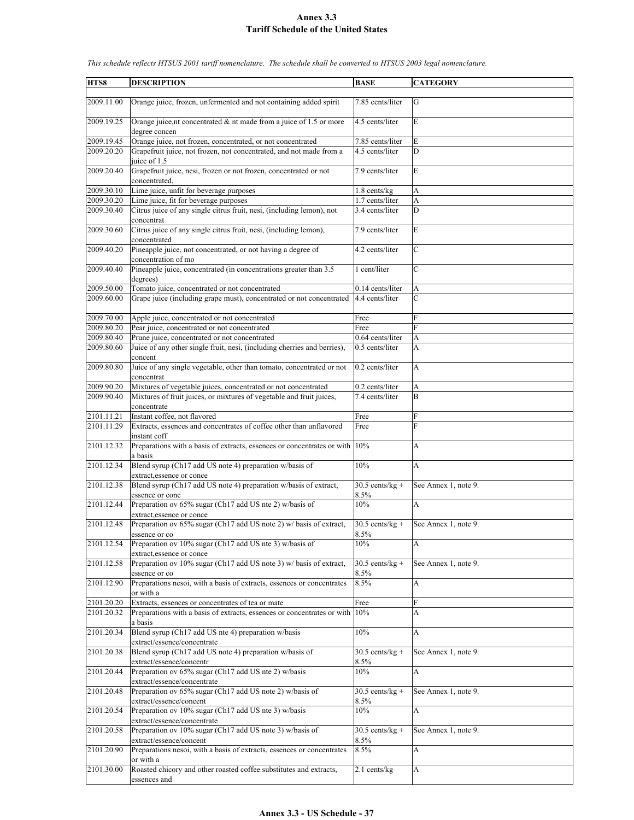| HTS8       | <b>DESCRIPTION</b>                                                                                     | <b>BASE</b>                  | <b>CATEGORY</b>      |
|------------|--------------------------------------------------------------------------------------------------------|------------------------------|----------------------|
| 2009.11.00 | Orange juice, frozen, unfermented and not containing added spirit                                      | 7.85 cents/liter             | G                    |
|            |                                                                                                        |                              |                      |
| 2009.19.25 | Orange juice, nt concentrated $\&$ nt made from a juice of 1.5 or more<br>degree concen                | 4.5 cents/liter              | E                    |
| 2009.19.45 | Orange juice, not frozen, concentrated, or not concentrated                                            | 7.85 cents/liter             | E                    |
| 2009.20.20 | Grapefruit juice, not frozen, not concentrated, and not made from a                                    | 4.5 cents/liter              | D                    |
|            | juice of 1.5                                                                                           |                              |                      |
| 2009.20.40 | Grapefruit juice, nesi, frozen or not frozen, concentrated or not<br>concentrated,                     | 7.9 cents/liter              | E                    |
| 2009.30.10 | Lime juice, unfit for beverage purposes                                                                | $1.8$ cents/ $kg$            | A                    |
| 2009.30.20 | Lime juice, fit for beverage purposes                                                                  | 1.7 cents/liter              | A                    |
| 2009.30.40 | Citrus juice of any single citrus fruit, nesi, (including lemon), not<br>concentrat                    | 3.4 cents/liter              | D                    |
| 2009.30.60 | Citrus juice of any single citrus fruit, nesi, (including lemon),<br>concentrated                      | 7.9 cents/liter              | E                    |
| 2009.40.20 | Pineapple juice, not concentrated, or not having a degree of<br>concentration of mo                    | 4.2 cents/liter              | $\overline{C}$       |
| 2009.40.40 | Pineapple juice, concentrated (in concentrations greater than 3.5<br>degrees)                          | 1 cent/liter                 | $\overline{C}$       |
| 2009.50.00 | Tomato juice, concentrated or not concentrated                                                         | 0.14 cents/liter             | A                    |
| 2009.60.00 | Grape juice (including grape must), concentrated or not concentrated                                   | 4.4 cents/liter              | C                    |
| 2009.70.00 | Apple juice, concentrated or not concentrated                                                          | Free                         | F                    |
| 2009.80.20 | Pear juice, concentrated or not concentrated                                                           | Free                         | $\mathbf{F}$         |
| 2009.80.40 | Prune juice, concentrated or not concentrated                                                          | 0.64 cents/liter             | A                    |
| 2009.80.60 | Juice of any other single fruit, nesi, (including cherries and berries),                               | 0.5 cents/liter              | A                    |
|            | concent                                                                                                |                              |                      |
| 2009.80.80 | Juice of any single vegetable, other than tomato, concentrated or not<br>concentrat                    | 0.2 cents/liter              | A                    |
| 2009.90.20 | Mixtures of vegetable juices, concentrated or not concentrated                                         | 0.2 cents/liter              | A                    |
| 2009.90.40 | Mixtures of fruit juices, or mixtures of vegetable and fruit juices,                                   | 7.4 cents/liter              | B                    |
|            | concentrate                                                                                            |                              |                      |
| 2101.11.21 | Instant coffee, not flavored                                                                           | Free                         | F<br>$\mathbf{F}$    |
| 2101.11.29 | Extracts, essences and concentrates of coffee other than unflavored                                    | Free                         |                      |
| 2101.12.32 | instant coff<br>Preparations with a basis of extracts, essences or concentrates or with 10%<br>a basis |                              | A                    |
| 2101.12.34 | Blend syrup (Ch17 add US note 4) preparation w/basis of                                                | 10%                          | A                    |
| 2101.12.38 | extract, essence or conce<br>Blend syrup (Ch17 add US note 4) preparation w/basis of extract,          | $30.5$ cents/kg +            | See Annex 1, note 9. |
|            | essence or conc                                                                                        | 8.5%                         |                      |
| 2101.12.44 | Preparation ov 65% sugar (Ch17 add US nte 2) w/basis of                                                | 10%                          | A                    |
| 2101.12.48 | extract, essence or conce<br>Preparation ov 65% sugar (Ch17 add US note 2) w/ basis of extract,        | $30.5$ cents/kg +            | See Annex 1, note 9. |
|            | essence or co                                                                                          | 8.5%                         |                      |
| 2101.12.54 | Preparation ov 10% sugar (Ch17 add US nte 3) w/basis of<br>extract, essence or conce                   | 10%                          | A                    |
| 2101.12.58 | Preparation ov $10\%$ sugar (Ch17 add US note 3) w/ basis of extract,                                  | $30.5$ cents/kg +            | See Annex 1, note 9. |
|            | essence or co                                                                                          | 8.5%                         |                      |
| 2101.12.90 | Preparations nesoi, with a basis of extracts, essences or concentrates<br>or with a                    | 8.5%                         | А                    |
| 2101.20.20 | Extracts, essences or concentrates of tea or mate                                                      | Free                         | F                    |
| 2101.20.32 | Preparations with a basis of extracts, essences or concentrates or with<br>a basis                     | 10%                          | А                    |
| 2101.20.34 | Blend syrup (Ch17 add US nte 4) preparation w/basis<br>extract/essence/concentrate                     | 10%                          | A                    |
| 2101.20.38 | Blend syrup (Ch17 add US note 4) preparation w/basis of                                                | $\overline{30.5}$ cents/kg + | See Annex 1, note 9. |
|            | extract/essence/concentr                                                                               | 8.5%                         |                      |
| 2101.20.44 | Preparation ov 65% sugar (Ch17 add US nte 2) w/basis<br>extract/essence/concentrate                    | 10%                          | А                    |
| 2101.20.48 | Preparation ov 65% sugar (Ch17 add US note 2) w/basis of                                               | $30.5$ cents/kg +            | See Annex 1, note 9. |
| 2101.20.54 | extract/essence/concent<br>Preparation ov 10% sugar (Ch17 add US nte 3) w/basis                        | 8.5%<br>10%                  | А                    |
|            | extract/essence/concentrate                                                                            |                              |                      |
| 2101.20.58 | Preparation ov 10% sugar (Ch17 add US note 3) w/basis of<br>extract/essence/concent                    | $30.5$ cents/kg +<br>8.5%    | See Annex 1, note 9. |
| 2101.20.90 | Preparations nesoi, with a basis of extracts, essences or concentrates                                 | 8.5%                         | A                    |
| 2101.30.00 | or with a<br>Roasted chicory and other roasted coffee substitutes and extracts,                        | 2.1 cents/kg                 | A                    |
|            | essences and                                                                                           |                              |                      |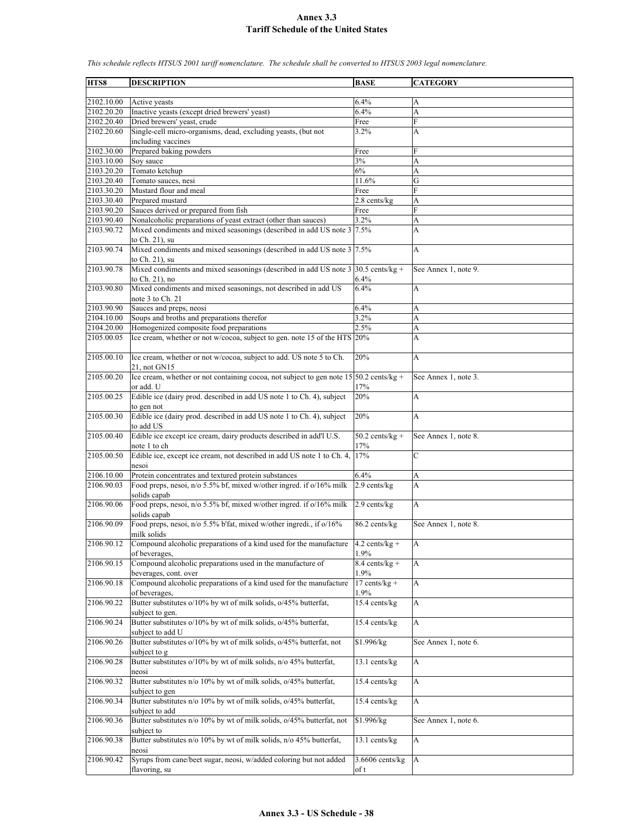| HTS8       | <b>DESCRIPTION</b>                                                                                  | <b>BASE</b>       | <b>CATEGORY</b>      |
|------------|-----------------------------------------------------------------------------------------------------|-------------------|----------------------|
| 2102.10.00 | Active yeasts                                                                                       | 6.4%              | А                    |
| 2102.20.20 | Inactive yeasts (except dried brewers' yeast)                                                       | 6.4%              | A                    |
| 2102.20.40 | Dried brewers' yeast, crude                                                                         | Free              | F                    |
| 2102.20.60 | Single-cell micro-organisms, dead, excluding yeasts, (but not                                       | 3.2%              | A                    |
|            | including vaccines                                                                                  |                   |                      |
| 2102.30.00 |                                                                                                     |                   | F                    |
|            | Prepared baking powders                                                                             | Free              |                      |
| 2103.10.00 | Soy sauce                                                                                           | 3%                | A                    |
| 2103.20.20 | Tomato ketchup                                                                                      | 6%                | A                    |
| 2103.20.40 | Tomato sauces, nesi                                                                                 | 11.6%             | G                    |
| 2103.30.20 | Mustard flour and meal                                                                              | Free              | F                    |
| 2103.30.40 | Prepared mustard                                                                                    | $2.8$ cents/kg    | A                    |
| 2103.90.20 | Sauces derived or prepared from fish                                                                | Free              | F                    |
| 2103.90.40 | Nonalcoholic preparations of yeast extract (other than sauces)                                      | 3.2%              | A                    |
| 2103.90.72 | Mixed condiments and mixed seasonings (described in add US note 3 7.5%<br>to Ch. 21), su            |                   | A                    |
| 2103.90.74 | Mixed condiments and mixed seasonings (described in add US note 3 7.5%<br>to Ch. 21), su            |                   | A                    |
| 2103.90.78 | Mixed condiments and mixed seasonings (described in add US note 3 30.5 cents/kg +                   |                   | See Annex 1, note 9. |
|            | to Ch. 21), no                                                                                      | 6.4%              |                      |
| 2103.90.80 | Mixed condiments and mixed seasonings, not described in add US                                      | 6.4%              | A                    |
|            | note 3 to Ch. 21                                                                                    |                   |                      |
| 2103.90.90 | Sauces and preps, neosi                                                                             | 6.4%              | A                    |
| 2104.10.00 | Soups and broths and preparations therefor                                                          | 3.2%              | A                    |
| 2104.20.00 | Homogenized composite food preparations                                                             | 2.5%              | A                    |
| 2105.00.05 | Ice cream, whether or not w/cocoa, subject to gen. note 15 of the HTS 20%                           |                   | A                    |
|            |                                                                                                     |                   |                      |
| 2105.00.10 | Ice cream, whether or not w/cocoa, subject to add. US note 5 to Ch.                                 | 20%               | A                    |
|            |                                                                                                     |                   |                      |
| 2105.00.20 | 21, not GN15                                                                                        |                   |                      |
|            | Ice cream, whether or not containing cocoa, not subject to gen note $15\overline{)50.2}$ cents/kg + |                   | See Annex 1, note 3. |
|            | or add. U                                                                                           | 17%               |                      |
| 2105.00.25 | Edible ice (dairy prod. described in add US note 1 to Ch. 4), subject                               | 20%               | A                    |
|            | to gen not                                                                                          |                   |                      |
| 2105.00.30 | Edible ice (dairy prod. described in add US note 1 to Ch. 4), subject                               | 20%               | A                    |
|            | to add US                                                                                           |                   |                      |
| 2105.00.40 | Edible ice except ice cream, dairy products described in add'l U.S.                                 | $50.2$ cents/kg + | See Annex 1, note 8. |
|            | note 1 to ch                                                                                        | 17%               |                      |
| 2105.00.50 | Edible ice, except ice cream, not described in add US note 1 to Ch. 4,                              | 17%               | C                    |
|            | nesoi                                                                                               |                   |                      |
| 2106.10.00 | Protein concentrates and textured protein substances                                                | 6.4%              | A                    |
| 2106.90.03 | Food preps, nesoi, n/o 5.5% bf, mixed w/other ingred. if o/16% milk                                 | 2.9 cents/kg      | A                    |
|            | solids capab                                                                                        |                   |                      |
| 2106.90.06 | Food preps, nesoi, n/o 5.5% bf, mixed w/other ingred. if o/16% milk                                 | 2.9 cents/kg      | A                    |
|            | solids capab                                                                                        |                   |                      |
| 2106.90.09 | Food preps, nesoi, n/o 5.5% b'fat, mixed w/other ingredi., if o/16%                                 | 86.2 cents/kg     | See Annex 1, note 8. |
|            | milk solids                                                                                         |                   |                      |
| 2106.90.12 | Compound alcoholic preparations of a kind used for the manufacture                                  | $4.2$ cents/kg +  | A                    |
|            | of beverages.                                                                                       | 1.9%              |                      |
| 2106.90.15 | Compound alcoholic preparations used in the manufacture of                                          | $8.4$ cents/kg +  | A                    |
|            | beverages, cont. over                                                                               | 1.9%              |                      |
| 2106.90.18 | Compound alcoholic preparations of a kind used for the manufacture                                  | $17$ cents/kg +   | A                    |
|            | of beverages,                                                                                       | 1.9%              |                      |
| 2106.90.22 | Butter substitutes o/10% by wt of milk solids, o/45% butterfat,                                     | 15.4 cents/kg     | A                    |
|            | subject to gen.                                                                                     |                   |                      |
| 2106.90.24 | Butter substitutes o/10% by wt of milk solids, o/45% butterfat,                                     | 15.4 cents/kg     | A                    |
|            | subject to add U                                                                                    |                   |                      |
| 2106.90.26 | Butter substitutes o/10% by wt of milk solids, o/45% butterfat, not                                 | \$1.996/kg        | See Annex 1, note 6. |
|            | subject to g                                                                                        |                   |                      |
| 2106.90.28 | Butter substitutes o/10% by wt of milk solids, n/o 45% butterfat,                                   | 13.1 cents/kg     | A                    |
|            | neosi                                                                                               |                   |                      |
| 2106.90.32 | Butter substitutes n/o 10% by wt of milk solids, o/45% butterfat,                                   | 15.4 cents/kg     | A                    |
|            |                                                                                                     |                   |                      |
| 2106.90.34 | subject to gen<br>Butter substitutes n/o 10% by wt of milk solids, o/45% butterfat,                 | 15.4 cents/kg     | A                    |
|            |                                                                                                     |                   |                      |
|            | subject to add                                                                                      |                   |                      |
| 2106.90.36 | Butter substitutes n/o 10% by wt of milk solids, o/45% butterfat, not                               | \$1.996/kg        | See Annex 1, note 6. |
|            | subject to                                                                                          |                   |                      |
| 2106.90.38 | Butter substitutes n/o 10% by wt of milk solids, n/o 45% butterfat,                                 | 13.1 cents/kg     | А                    |
|            | neosi                                                                                               |                   |                      |
| 2106.90.42 | Syrups from cane/beet sugar, neosi, w/added coloring but not added                                  | $3.6606$ cents/kg | A                    |
|            | flavoring, su                                                                                       | of t              |                      |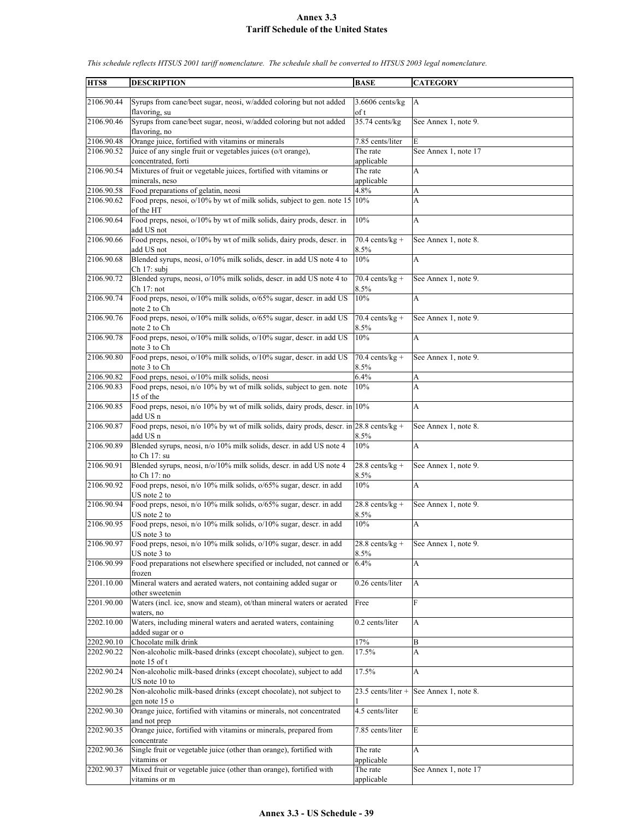| HTS8                     | <b>DESCRIPTION</b>                                                                      | <b>BASE</b>          | <b>CATEGORY</b>      |
|--------------------------|-----------------------------------------------------------------------------------------|----------------------|----------------------|
|                          |                                                                                         |                      |                      |
| 2106.90.44               | Syrups from cane/beet sugar, neosi, w/added coloring but not added                      | $3.6606$ cents/ $kg$ | $\mathbf{A}$         |
|                          | flavoring, su                                                                           | of t                 |                      |
| 2106.90.46               | Syrups from cane/beet sugar, neosi, w/added coloring but not added<br>flavoring, no     | $35.74$ cents/kg     | See Annex 1, note 9. |
| 2106.90.48               | Orange juice, fortified with vitamins or minerals                                       | 7.85 cents/liter     | E                    |
| 2106.90.52               | Juice of any single fruit or vegetables juices (o/t orange),                            | The rate             | See Annex 1, note 17 |
|                          | concentrated, forti                                                                     | applicable           |                      |
| 2106.90.54               | Mixtures of fruit or vegetable juices, fortified with vitamins or                       | The rate             | А                    |
|                          | minerals, neso                                                                          | applicable           |                      |
| 2106.90.58               | Food preparations of gelatin, neosi                                                     | 4.8%                 | A                    |
| 2106.90.62               | Food preps, nesoi, o/10% by wt of milk solids, subject to gen. note 15                  | 10%                  | A                    |
|                          | of the HT                                                                               |                      |                      |
| 2106.90.64               | Food preps, nesoi, o/10% by wt of milk solids, dairy prods, descr. in<br>add US not     | 10%                  | A                    |
| 2106.90.66               | Food preps, nesoi, o/10% by wt of milk solids, dairy prods, descr. in                   | $70.4$ cents/kg +    | See Annex 1, note 8. |
|                          | add US not                                                                              | 8.5%                 |                      |
| 2106.90.68               | Blended syrups, neosi, o/10% milk solids, descr. in add US note 4 to                    | 10%                  | A                    |
|                          | Ch 17: subj                                                                             |                      |                      |
| 2106.90.72               | Blended syrups, neosi, o/10% milk solids, descr. in add US note 4 to                    | $70.4$ cents/kg +    | See Annex 1, note 9. |
|                          | Ch 17: not                                                                              | 8.5%                 |                      |
| 2106.90.74               | Food preps, nesoi, o/10% milk solids, o/65% sugar, descr. in add US                     | 10%                  | A                    |
|                          | note 2 to Ch                                                                            |                      |                      |
| 2106.90.76               | Food preps, nesoi, o/10% milk solids, o/65% sugar, descr. in add US                     | $70.4$ cents/kg +    | See Annex 1, note 9. |
|                          | note 2 to Ch                                                                            | 8.5%                 |                      |
| 2106.90.78               | Food preps, nesoi, $o/10\%$ milk solids, $o/10\%$ sugar, descr. in add US               | 10%                  | A                    |
|                          | note 3 to Ch                                                                            |                      |                      |
| 2106.90.80               | Food preps, nesoi, o/10% milk solids, o/10% sugar, descr. in add US                     | $70.4$ cents/kg +    | See Annex 1, note 9. |
|                          | note 3 to Ch<br>Food preps, nesoi, o/10% milk solids, neosi                             | 8.5%                 |                      |
| 2106.90.82<br>2106.90.83 | Food preps, nesoi, n/o 10% by wt of milk solids, subject to gen. note                   | 6.4%<br>10%          | A<br>A               |
|                          | 15 of the                                                                               |                      |                      |
| 2106.90.85               | Food preps, nesoi, n/o 10% by wt of milk solids, dairy prods, descr. in 10%             |                      | A                    |
|                          | add US n                                                                                |                      |                      |
| 2106.90.87               | Food preps, nesoi, n/o 10% by wt of milk solids, dairy prods, descr. in 28.8 cents/kg + |                      | See Annex 1, note 8. |
|                          | add US n                                                                                | 8.5%                 |                      |
| 2106.90.89               | Blended syrups, neosi, n/o 10% milk solids, descr. in add US note 4                     | 10%                  | A                    |
|                          | to Ch 17: su                                                                            |                      |                      |
| 2106.90.91               | Blended syrups, neosi, n/o/10% milk solids, descr. in add US note 4                     | $28.8$ cents/kg +    | See Annex 1, note 9. |
|                          | to Ch 17: no                                                                            | 8.5%                 |                      |
| 2106.90.92               | Food preps, nesoi, n/o 10% milk solids, o/65% sugar, descr. in add                      | 10%                  | A                    |
|                          | US note 2 to                                                                            |                      |                      |
| 2106.90.94               | Food preps, nesoi, n/o 10% milk solids, o/65% sugar, descr. in add                      | $28.8$ cents/kg +    | See Annex 1, note 9. |
|                          | US note 2 to                                                                            | 8.5%                 |                      |
| 2106.90.95               | Food preps, nesoi, n/o 10% milk solids, o/10% sugar, descr. in add                      | 10%                  | A                    |
|                          | US note 3 to                                                                            |                      |                      |
| 2106.90.97               | Food preps, nesoi, n/o 10% milk solids, o/10% sugar, descr. in add                      | $28.8$ cents/kg +    | See Annex 1, note 9. |
|                          | US note 3 to                                                                            | 8.5%                 |                      |
| 2106.90.99               | Food preparations not elsewhere specified or included, not canned or                    | 6.4%                 | A                    |
|                          | frozen                                                                                  |                      |                      |
| 2201.10.00               | Mineral waters and aerated waters, not containing added sugar or                        | 0.26 cents/liter     | A                    |
|                          | other sweetenin                                                                         |                      |                      |
| 2201.90.00               | Waters (incl. ice, snow and steam), ot/than mineral waters or aerated                   | Free                 | F                    |
|                          | waters, no                                                                              |                      |                      |
| 2202.10.00               | Waters, including mineral waters and aerated waters, containing                         | 0.2 cents/liter      | A                    |
| 2202.90.10               | added sugar or o<br>Chocolate milk drink                                                | $17\%$               | B                    |
| 2202.90.22               | Non-alcoholic milk-based drinks (except chocolate), subject to gen.                     | 17.5%                | A                    |
|                          | note 15 of t                                                                            |                      |                      |
| 2202.90.24               | Non-alcoholic milk-based drinks (except chocolate), subject to add                      | 17.5%                | A                    |
|                          | US note 10 to                                                                           |                      |                      |
| 2202.90.28               | Non-alcoholic milk-based drinks (except chocolate), not subject to                      | 23.5 cents/liter +   | See Annex 1, note 8. |
|                          | gen note 15 o                                                                           |                      |                      |
| 2202.90.30               | Orange juice, fortified with vitamins or minerals, not concentrated                     | 4.5 cents/liter      | E                    |
|                          | and not prep                                                                            |                      |                      |
| 2202.90.35               | Orange juice, fortified with vitamins or minerals, prepared from                        | 7.85 cents/liter     | E                    |
|                          | concentrate                                                                             |                      |                      |
| 2202.90.36               | Single fruit or vegetable juice (other than orange), fortified with                     | The rate             | A                    |
|                          | vitamins or                                                                             | applicable           |                      |
| 2202.90.37               | Mixed fruit or vegetable juice (other than orange), fortified with                      | The rate             | See Annex 1, note 17 |
|                          | vitamins or m                                                                           | applicable           |                      |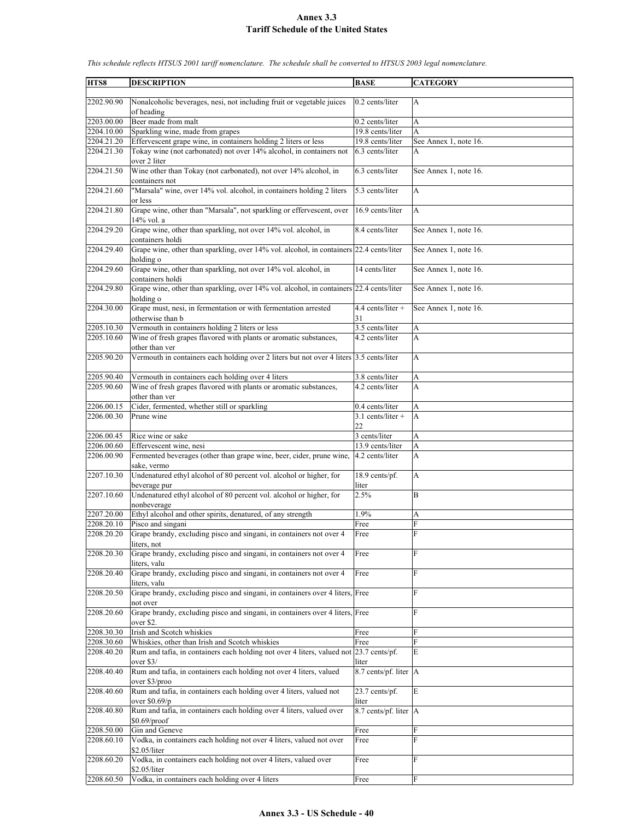| HTS8                     | <b>DESCRIPTION</b>                                                                                                   | <b>BASE</b>                        | <b>CATEGORY</b>       |
|--------------------------|----------------------------------------------------------------------------------------------------------------------|------------------------------------|-----------------------|
| 2202.90.90               | Nonalcoholic beverages, nesi, not including fruit or vegetable juices                                                | 0.2 cents/liter                    | А                     |
|                          | of heading                                                                                                           |                                    |                       |
| 2203.00.00               | Beer made from malt                                                                                                  | 0.2 cents/liter                    | A                     |
| 2204.10.00               | Sparkling wine, made from grapes                                                                                     | 19.8 cents/liter                   | A                     |
| 2204.21.20               | Effervescent grape wine, in containers holding 2 liters or less                                                      | 19.8 cents/liter                   | See Annex 1, note 16. |
| 2204.21.30               | Tokay wine (not carbonated) not over 14% alcohol, in containers not<br>over 2 liter                                  | 6.3 cents/liter                    | A                     |
| 2204.21.50               | Wine other than Tokay (not carbonated), not over 14% alcohol, in<br>containers not                                   | 6.3 cents/liter                    | See Annex 1, note 16. |
| 2204.21.60               | "Marsala" wine, over 14% vol. alcohol, in containers holding 2 liters<br>or less                                     | 5.3 cents/liter                    | A                     |
| 2204.21.80               | Grape wine, other than "Marsala", not sparkling or effervescent, over<br>14% vol. a                                  | 16.9 cents/liter                   | A                     |
| 2204.29.20               | Grape wine, other than sparkling, not over 14% vol. alcohol, in<br>containers holdi                                  | 8.4 cents/liter                    | See Annex 1, note 16. |
| 2204.29.40               | Grape wine, other than sparkling, over 14% vol. alcohol, in containers 22.4 cents/liter<br>holding o                 |                                    | See Annex 1, note 16. |
| 2204.29.60               | Grape wine, other than sparkling, not over 14% vol. alcohol, in                                                      | 14 cents/liter                     | See Annex 1, note 16. |
| 2204.29.80               | containers holdi<br>Grape wine, other than sparkling, over 14% vol. alcohol, in containers 22.4 cents/liter          |                                    | See Annex 1, note 16. |
| 2204.30.00               | holding o<br>Grape must, nesi, in fermentation or with fermentation arrested                                         | $4.4$ cents/liter +                | See Annex 1, note 16. |
|                          | otherwise than b                                                                                                     | 31                                 |                       |
| 2205.10.30<br>2205.10.60 | Vermouth in containers holding 2 liters or less<br>Wine of fresh grapes flavored with plants or aromatic substances, | 3.5 cents/liter<br>4.2 cents/liter | A<br>A                |
|                          | other than ver                                                                                                       |                                    |                       |
| 2205.90.20               | Vermouth in containers each holding over 2 liters but not over 4 liters 3.5 cents/liter                              |                                    | A                     |
| 2205.90.40               | Vermouth in containers each holding over 4 liters                                                                    | 3.8 cents/liter                    | A                     |
| 2205.90.60               | Wine of fresh grapes flavored with plants or aromatic substances,<br>other than ver                                  | 4.2 cents/liter                    | A                     |
| 2206.00.15               | Cider, fermented, whether still or sparkling                                                                         | 0.4 cents/liter                    | A                     |
| 2206.00.30               | Prune wine                                                                                                           | $3.1$ cents/liter +<br>22          | A                     |
| 2206.00.45               | Rice wine or sake                                                                                                    | 3 cents/liter                      | A                     |
| 2206.00.60               | Effervescent wine, nesi                                                                                              | 13.9 cents/liter                   | A                     |
| 2206.00.90               | Fermented beverages (other than grape wine, beer, cider, prune wine,<br>sake, vermo                                  | 4.2 cents/liter                    | A                     |
| 2207.10.30               | Undenatured ethyl alcohol of 80 percent vol. alcohol or higher, for<br>beverage pur                                  | 18.9 cents/pf.<br>liter            | A                     |
| 2207.10.60               | Undenatured ethyl alcohol of 80 percent vol. alcohol or higher, for<br>nonbeverage                                   | 2.5%                               | B                     |
| 2207.20.00               | Ethyl alcohol and other spirits, denatured, of any strength                                                          | 1.9%                               | A                     |
| 2208.20.10               | Pisco and singani                                                                                                    | Free                               | F                     |
| 2208.20.20               | Grape brandy, excluding pisco and singani, in containers not over 4<br>liters, not                                   | Free                               | $\overline{R}$        |
| 2208.20.30               | Grape brandy, excluding pisco and singani, in containers not over 4<br>liters, valu                                  | Free                               | F                     |
| 2208.20.40               | Grape brandy, excluding pisco and singani, in containers not over 4<br>liters, valu                                  | Free                               | F                     |
| 2208.20.50               | Grape brandy, excluding pisco and singani, in containers over 4 liters, Free<br>not over                             |                                    | F                     |
| 2208.20.60               | Grape brandy, excluding pisco and singani, in containers over 4 liters, Free<br>over \$2.                            |                                    | F                     |
| 2208.30.30               | Irish and Scotch whiskies                                                                                            | Free                               | F                     |
| 2208.30.60               | Whiskies, other than Irish and Scotch whiskies                                                                       | Free                               | F                     |
| 2208.40.20               | Rum and tafia, in containers each holding not over 4 liters, valued not 23.7 cents/pf.<br>over $$3/$                 | liter                              | E                     |
| 2208.40.40               | Rum and tafia, in containers each holding not over 4 liters, valued<br>over \$3/proo                                 | 8.7 cents/pf. liter  A             |                       |
| 2208.40.60               | Rum and tafia, in containers each holding over 4 liters, valued not                                                  | 23.7 cents/pf.                     | E                     |
| 2208.40.80               | over $$0.69/p$<br>Rum and tafia, in containers each holding over 4 liters, valued over                               | liter<br>8.7 cents/pf. liter A     |                       |
|                          | $$0.69$ /proof                                                                                                       |                                    |                       |
| 2208.50.00<br>2208.60.10 | Gin and Geneve<br>Vodka, in containers each holding not over 4 liters, valued not over                               | Free                               | F<br>F                |
|                          | \$2.05/liter                                                                                                         | Free                               |                       |
| 2208.60.20               | Vodka, in containers each holding not over 4 liters, valued over<br>\$2.05/liter                                     | Free                               | F                     |
| 2208.60.50               | Vodka, in containers each holding over 4 liters                                                                      | Free                               | F                     |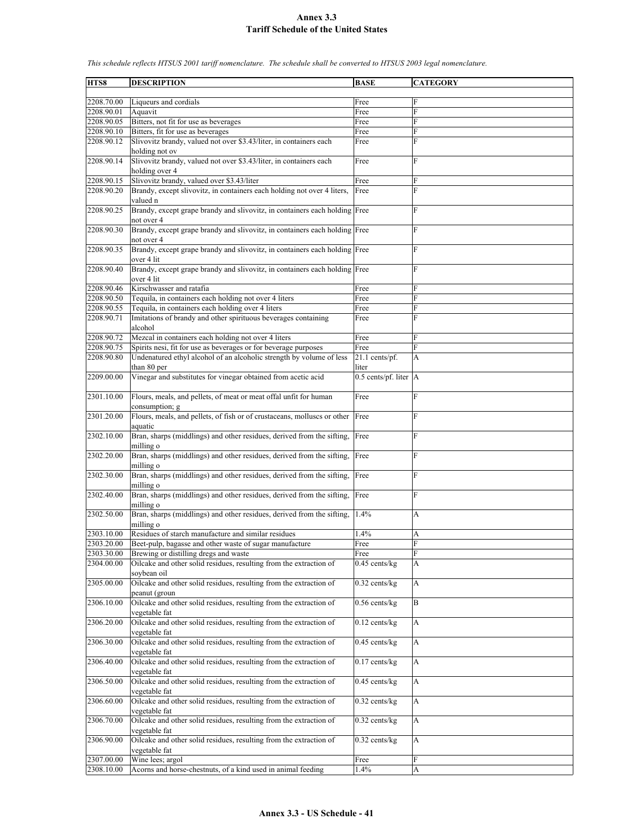**HTS8 DESCRIPTION BASE CATEGORY** 2208.70.00 Liqueurs and cordials Free 2208.90.01 Aquavit Free 2208.90.05 Bitters, not fit for use as beverages Free 2208.90.10 Bitters, fit for use as beverages Free 2208.90.12 Slivovitz brandy, valued not over \$3.43/liter, in containers each holding not ov Free 2208.90.14 Slivovitz brandy, valued not over \$3.43/liter, in containers each holding over 4 Free F 2208.90.15 Slivovitz brandy, valued over \$3.43/liter Free 2208.90.20 Brandy, except slivovitz, in containers each holding not over 4 liters, valued n Free F 2208.90.25 Brandy, except grape brandy and slivovitz, in containers each holding Free F not over 4 2208.90.30 Brandy, except grape brandy and slivovitz, in containers each holding not over 4 **Free** 2208.90.35 Brandy, except grape brandy and slivovitz, in containers each holding over 4 lit Free 2208.90.40 Brandy, except grape brandy and slivovitz, in containers each holding Free F over 4 lit 2208.90.46 Kirschwasser and ratafia Free 2208.90.50 Tequila, in containers each holding not over 4 liters Free 2208.90.55 Tequila, in containers each holding over 4 liters Free F Imitations of brandy and other spirituous beverages containing alcohol Free 2208.90.72 Mezcal in containers each holding not over 4 liters Free 2208.90.75 Spirits nesi, fit for use as beverages or for beverage purposes Free 2208.90.80 Undenatured ethyl alcohol of an alcoholic strength by volume of less than 80 per 21.1 cents/pf. liter A 2209.00.00 Vinegar and substitutes for vinegar obtained from acetic acid 0.5 cents/pf. liter A 2301.10.00 Flours, meals, and pellets, of meat or meat offal unfit for human consumption; g Free F 2301.20.00 Flours, meals, and pellets, of fish or of crustaceans, molluscs or other aquatic Free 2302.10.00 Bran, sharps (middlings) and other residues, derived from the sifting, milling o Free 2302.20.00 Bran, sharps (middlings) and other residues, derived from the sifting, milling o Free 2302.30.00 Bran, sharps (middlings) and other residues, derived from the sifting, milling o Free F 2302.40.00 Bran, sharps (middlings) and other residues, derived from the sifting, milling o Free F 2302.50.00 Bran, sharps (middlings) and other residues, derived from the sifting, milling o 1.4% A 2303.10.00 Residues of starch manufacture and similar residues 1.4% A 2303.20.00 Beet-pulp, bagasse and other waste of sugar manufacture Free 2303.30.00 Brewing or distilling dregs and waste 2304.00.00 Oilcake and other solid residues, resulting from the extraction of soybean oil  $0.45$  cents/kg  $\overrightarrow{A}$ 2305.00.00 Oilcake and other solid residues, resulting from the extraction of peanut (groun  $0.32$  cents/kg  $|A|$ 2306.10.00 Oilcake and other solid residues, resulting from the extraction of vegetable fat  $0.56$  cents/kg  $\qquad$  B 2306.20.00 Oilcake and other solid residues, resulting from the extraction of vegetable fat  $0.12$  cents/kg  $|A|$ 2306.30.00 Oilcake and other solid residues, resulting from the extraction of vegetable fat  $0.45$  cents/kg 2306.40.00 Oilcake and other solid residues, resulting from the extraction of vegetable fat  $0.17$  cents/kg  $|A|$ 2306.50.00 Oilcake and other solid residues, resulting from the extraction of vegetable fat  $0.45$  cents/kg  $|A|$ 2306.60.00 Oilcake and other solid residues, resulting from the extraction of vegetable fat 0.32 cents/kg A 2306.70.00 Oilcake and other solid residues, resulting from the extraction of vegetable fat 0.32 cents/kg A 2306.90.00 Oilcake and other solid residues, resulting from the extraction of vegetable fat  $0.32$  cents/kg  $|A|$ 2307.00.00 Wine lees; argol Free F  $2308.10.00$  Acorns and horse-chestnuts, of a kind used in animal feeding  $1.4\%$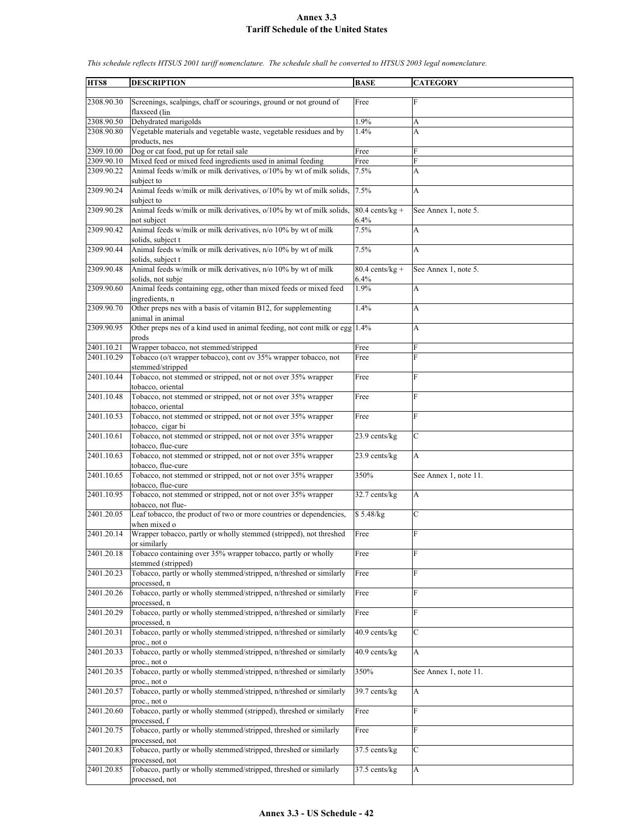| HTS8       | <b>DESCRIPTION</b>                                                                        | <b>BASE</b>               | <b>CATEGORY</b>       |
|------------|-------------------------------------------------------------------------------------------|---------------------------|-----------------------|
|            |                                                                                           |                           |                       |
| 2308.90.30 | Screenings, scalpings, chaff or scourings, ground or not ground of                        | Free                      | F                     |
| 2308.90.50 | flaxseed (lin<br>Dehydrated marigolds                                                     | 1.9%                      |                       |
| 2308.90.80 | Vegetable materials and vegetable waste, vegetable residues and by                        | $1.4\%$                   | A<br>A                |
|            | products, nes                                                                             |                           |                       |
| 2309.10.00 | Dog or cat food, put up for retail sale                                                   | Free                      | F                     |
| 2309.90.10 | Mixed feed or mixed feed ingredients used in animal feeding                               | Free                      | F                     |
| 2309.90.22 | Animal feeds w/milk or milk derivatives, o/10% by wt of milk solids,                      | 7.5%                      | A                     |
|            | subject to                                                                                |                           |                       |
| 2309.90.24 | Animal feeds w/milk or milk derivatives, $o/10\%$ by wt of milk solids,                   | 7.5%                      | A                     |
|            | subject to                                                                                |                           |                       |
| 2309.90.28 | Animal feeds w/milk or milk derivatives, o/10% by wt of milk solids,                      | $80.4$ cents/kg +         | See Annex 1, note 5.  |
|            | not subject                                                                               | 6.4%                      |                       |
| 2309.90.42 | Animal feeds w/milk or milk derivatives, n/o 10% by wt of milk                            | 7.5%                      | A                     |
|            | solids, subject t                                                                         |                           |                       |
| 2309.90.44 | Animal feeds w/milk or milk derivatives, n/o 10% by wt of milk                            | 7.5%                      | A                     |
|            | solids, subject t                                                                         |                           |                       |
| 2309.90.48 | Animal feeds w/milk or milk derivatives, n/o 10% by wt of milk<br>solids, not subje       | $80.4$ cents/kg +<br>6.4% | See Annex 1, note 5.  |
| 2309.90.60 | Animal feeds containing egg, other than mixed feeds or mixed feed                         | 1.9%                      | A                     |
|            | ingredients, n                                                                            |                           |                       |
| 2309.90.70 | Other preps nes with a basis of vitamin B12, for supplementing                            | 1.4%                      | A                     |
|            | animal in animal                                                                          |                           |                       |
| 2309.90.95 | Other preps nes of a kind used in animal feeding, not cont milk or egg                    | 1.4%                      | А                     |
|            | prods                                                                                     |                           |                       |
| 2401.10.21 | Wrapper tobacco, not stemmed/stripped                                                     | Free                      | F                     |
| 2401.10.29 | Tobacco (o/t wrapper tobacco), cont ov 35% wrapper tobacco, not                           | Free                      | F                     |
|            | stemmed/stripped                                                                          |                           |                       |
| 2401.10.44 | Tobacco, not stemmed or stripped, not or not over 35% wrapper                             | Free                      | F                     |
|            | tobacco, oriental                                                                         |                           |                       |
| 2401.10.48 | Tobacco, not stemmed or stripped, not or not over 35% wrapper                             | Free                      | F                     |
|            | tobacco, oriental                                                                         |                           | $\overline{F}$        |
| 2401.10.53 | Tobacco, not stemmed or stripped, not or not over 35% wrapper<br>tobacco, cigar bi        | Free                      |                       |
| 2401.10.61 | Tobacco, not stemmed or stripped, not or not over 35% wrapper                             | 23.9 cents/kg             | $\overline{C}$        |
|            | tobacco, flue-cure                                                                        |                           |                       |
| 2401.10.63 | Tobacco, not stemmed or stripped, not or not over 35% wrapper                             | 23.9 cents/kg             | A                     |
|            | tobacco, flue-cure                                                                        |                           |                       |
| 2401.10.65 | Tobacco, not stemmed or stripped, not or not over 35% wrapper                             | 350%                      | See Annex 1, note 11. |
|            | tobacco, flue-cure                                                                        |                           |                       |
| 2401.10.95 | Tobacco, not stemmed or stripped, not or not over 35% wrapper                             | $32.7$ cents/kg           | A                     |
| 2401.20.05 | tobacco, not flue-<br>Leaf tobacco, the product of two or more countries or dependencies, | \$5.48/kg                 | $\mathcal{C}$         |
|            | when mixed o                                                                              |                           |                       |
| 2401.20.14 | Wrapper tobacco, partly or wholly stemmed (stripped), not threshed                        | Free                      | F                     |
|            | or similarly                                                                              |                           |                       |
| 2401.20.18 | Tobacco containing over 35% wrapper tobacco, partly or wholly                             | Free                      | F                     |
|            | stemmed (stripped)                                                                        |                           |                       |
| 2401.20.23 | Tobacco, partly or wholly stemmed/stripped, n/threshed or similarly                       | Free                      | F                     |
|            | processed, n                                                                              |                           |                       |
| 2401.20.26 | Tobacco, partly or wholly stemmed/stripped, n/threshed or similarly                       | Free                      | F                     |
|            | processed, n                                                                              |                           |                       |
| 2401.20.29 | Tobacco, partly or wholly stemmed/stripped, n/threshed or similarly                       | Free                      | F                     |
| 2401.20.31 | processed, n<br>Tobacco, partly or wholly stemmed/stripped, n/threshed or similarly       | 40.9 cents/kg             | C                     |
|            | proc., not o                                                                              |                           |                       |
| 2401.20.33 | Tobacco, partly or wholly stemmed/stripped, n/threshed or similarly                       | 40.9 cents/kg             | A                     |
|            | proc., not o                                                                              |                           |                       |
| 2401.20.35 | Tobacco, partly or wholly stemmed/stripped, n/threshed or similarly                       | 350%                      | See Annex 1, note 11. |
|            | proc., not o                                                                              |                           |                       |
| 2401.20.57 | Tobacco, partly or wholly stemmed/stripped, n/threshed or similarly                       | 39.7 cents/kg             | A                     |
|            | proc., not o                                                                              |                           |                       |
| 2401.20.60 | Tobacco, partly or wholly stemmed (stripped), threshed or similarly                       | $\overline{\text{Free}}$  | F                     |
|            | processed, f                                                                              |                           |                       |
| 2401.20.75 | Tobacco, partly or wholly stemmed/stripped, threshed or similarly                         | Free                      | F                     |
| 2401.20.83 | processed, not<br>Tobacco, partly or wholly stemmed/stripped, threshed or similarly       | 37.5 cents/kg             | C                     |
|            | processed, not                                                                            |                           |                       |
| 2401.20.85 | Tobacco, partly or wholly stemmed/stripped, threshed or similarly                         | 37.5 cents/kg             | A                     |
|            | processed, not                                                                            |                           |                       |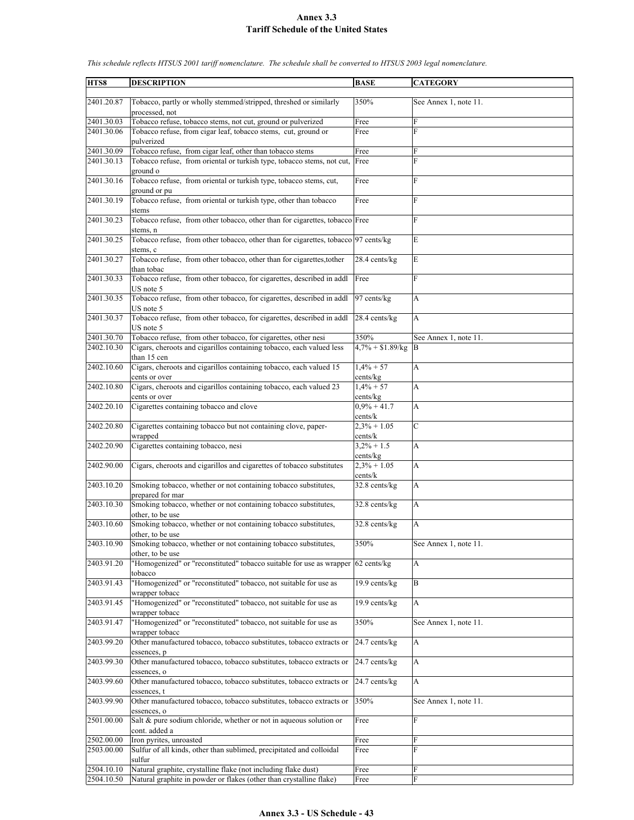| HTS8       | <b>DESCRIPTION</b>                                                                                      | <b>BASE</b>               | <b>CATEGORY</b>           |
|------------|---------------------------------------------------------------------------------------------------------|---------------------------|---------------------------|
| 2401.20.87 | Tobacco, partly or wholly stemmed/stripped, threshed or similarly<br>processed, not                     | 350%                      | See Annex 1, note 11.     |
| 2401.30.03 | Tobacco refuse, tobacco stems, not cut, ground or pulverized                                            | Free                      | F                         |
| 2401.30.06 | Tobacco refuse, from cigar leaf, tobacco stems, cut, ground or<br>pulverized                            | Free                      | F                         |
| 2401.30.09 | Tobacco refuse, from cigar leaf, other than tobacco stems                                               | Free                      | F                         |
| 2401.30.13 | Tobacco refuse, from oriental or turkish type, tobacco stems, not cut, Free                             |                           | $\mathbf{F}$              |
| 2401.30.16 | ground o<br>Tobacco refuse, from oriental or turkish type, tobacco stems, cut,<br>ground or pu          | Free                      | F                         |
| 2401.30.19 | Tobacco refuse, from oriental or turkish type, other than tobacco<br>stems                              | Free                      | F                         |
| 2401.30.23 | Tobacco refuse, from other tobacco, other than for cigarettes, tobacco Free<br>stems, n                 |                           | F                         |
| 2401.30.25 | Tobacco refuse, from other tobacco, other than for cigarettes, tobacco 97 cents/kg<br>stems, c          |                           | E                         |
| 2401.30.27 | Tobacco refuse, from other tobacco, other than for cigarettes, to ther<br>than tobac                    | 28.4 cents/kg             | E                         |
| 2401.30.33 | Tobacco refuse, from other tobacco, for cigarettes, described in addl<br>US note 5                      | Free                      | F                         |
| 2401.30.35 | Tobacco refuse, from other tobacco, for cigarettes, described in addl<br>US note 5                      | 97 cents/kg               | A                         |
| 2401.30.37 | Tobacco refuse, from other tobacco, for cigarettes, described in addl<br>US note 5                      | 28.4 cents/kg             | A                         |
| 2401.30.70 | Tobacco refuse, from other tobacco, for cigarettes, other nesi                                          | 350%                      | See Annex 1, note 11.     |
| 2402.10.30 | Cigars, cheroots and cigarillos containing tobacco, each valued less<br>than 15 cen                     | $4,7\% + $1.89$ /kg B     |                           |
| 2402.10.60 | Cigars, cheroots and cigarillos containing tobacco, each valued 15<br>cents or over                     | $1,4% + 57$<br>cents/kg   | A                         |
| 2402.10.80 | Cigars, cheroots and cigarillos containing tobacco, each valued 23<br>cents or over                     | $1,4% + 57$<br>cents/kg   | A                         |
| 2402.20.10 | Cigarettes containing tobacco and clove                                                                 | $0,9% + 41.7$<br>cents/k  | A                         |
| 2402.20.80 | Cigarettes containing tobacco but not containing clove, paper-<br>wrapped                               | $2,3% + 1.05$<br>cents/k  | $\mathcal{C}$             |
| 2402.20.90 | Cigarettes containing tobacco, nesi                                                                     | $3,2\% + 1.5$<br>cents/kg | A                         |
| 2402.90.00 | Cigars, cheroots and cigarillos and cigarettes of tobacco substitutes                                   | $2,3% + 1.05$             | A                         |
| 2403.10.20 | Smoking tobacco, whether or not containing tobacco substitutes,                                         | cents/k<br>32.8 cents/kg  | A                         |
| 2403.10.30 | prepared for mar<br>Smoking tobacco, whether or not containing tobacco substitutes,<br>other, to be use | 32.8 cents/kg             | A                         |
| 2403.10.60 | Smoking tobacco, whether or not containing tobacco substitutes,<br>other, to be use                     | 32.8 cents/kg             | A                         |
| 2403.10.90 | Smoking tobacco, whether or not containing tobacco substitutes,<br>other, to be use                     | 350%                      | See Annex 1, note 11.     |
| 2403.91.20 | "Homogenized" or "reconstituted" tobacco suitable for use as wrapper 62 cents/kg<br>tobacco             |                           | A                         |
| 2403.91.43 | "Homogenized" or "reconstituted" tobacco, not suitable for use as<br>wrapper tobacc                     | 19.9 cents/kg             | B                         |
| 2403.91.45 | "Homogenized" or "reconstituted" tobacco, not suitable for use as<br>wrapper tobacc                     | 19.9 cents/kg             | А                         |
| 2403.91.47 | "Homogenized" or "reconstituted" tobacco, not suitable for use as<br>wrapper tobacc                     | 350%                      | See Annex 1, note 11.     |
| 2403.99.20 | Other manufactured tobacco, tobacco substitutes, tobacco extracts or<br>essences, p                     | 24.7 cents/kg             | $\boldsymbol{\mathsf{A}}$ |
| 2403.99.30 | Other manufactured tobacco, tobacco substitutes, tobacco extracts or<br>essences, o                     | 24.7 cents/kg             | A                         |
| 2403.99.60 | Other manufactured tobacco, tobacco substitutes, tobacco extracts or<br>essences, t                     | $24.7$ cents/kg           | A                         |
| 2403.99.90 | Other manufactured tobacco, tobacco substitutes, tobacco extracts or<br>essences, o                     | 350%                      | See Annex 1, note 11.     |
| 2501.00.00 | Salt & pure sodium chloride, whether or not in aqueous solution or<br>cont. added a                     | Free                      | F                         |
| 2502.00.00 | Iron pyrites, unroasted                                                                                 | Free                      | F                         |
| 2503.00.00 | Sulfur of all kinds, other than sublimed, precipitated and colloidal<br>sulfur                          | Free                      | F                         |
| 2504.10.10 | Natural graphite, crystalline flake (not including flake dust)                                          | Free                      | F                         |
| 2504.10.50 | Natural graphite in powder or flakes (other than crystalline flake)                                     | Free                      | $\rm F$                   |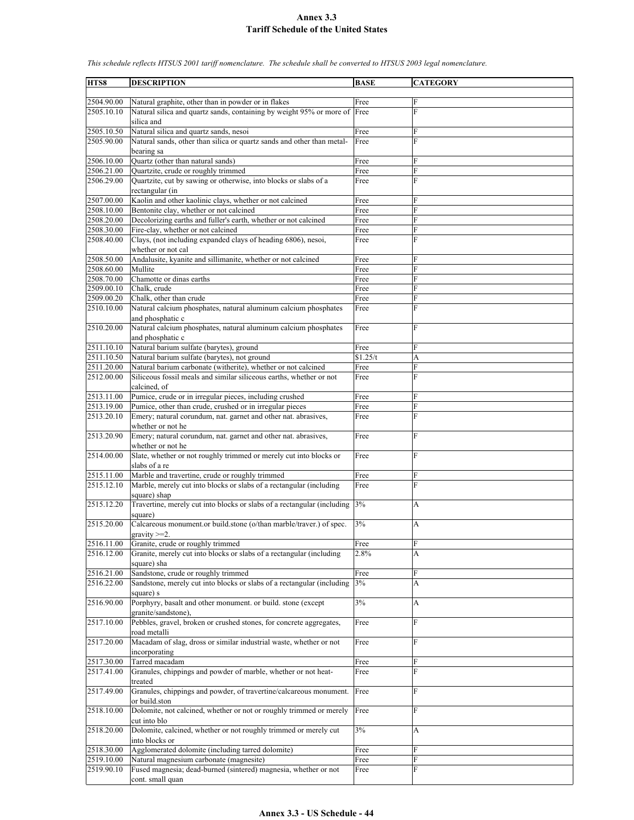**HTS8 DESCRIPTION BASE CATEGORY** 2504.90.00 Natural graphite, other than in powder or in flakes Free 2505.10.10 Natural silica and quartz sands, containing by weight 95% or more of silica and Free F 2505.10.50 Natural silica and quartz sands, nesoi Free 2505.90.00 Natural sands, other than silica or quartz sands and other than metalbearing sa Free F 2506.10.00 Quartz (other than natural sands) Free 2506.21.00 Quartzite, crude or roughly trimmed Free 2506.29.00 Quartzite, cut by sawing or otherwise, into blocks or slabs of a rectangular (in Free 2507.00.00 Kaolin and other kaolinic clays, whether or not calcined Free 2508.10.00 Bentonite clay, whether or not calcined Free 2508.20.00 Decolorizing earths and fuller's earth, whether or not calcined Free 2508.30.00 Fire-clay, whether or not calcined Free 2508.40.00 Clays, (not including expanded clays of heading 6806), nesoi, whether or not cal Free F 2508.50.00 Andalusite, kyanite and sillimanite, whether or not calcined Free 2508.60.00 Mullite Free F 2508.70.00 Chamotte or dinas earths Free 2509.00.10 Chalk, crude Free 2509.00.20 Chalk, other than crude Free 2510.10.00 Natural calcium phosphates, natural aluminum calcium phosphates and phosphatic c Free F 2510.20.00 Natural calcium phosphates, natural aluminum calcium phosphates and phosphatic c Free F 2511.10.10 Natural barium sulfate (barytes), ground Free 2511.10.50 Natural barium sulfate (barytes), not ground \$1.25/t A 2511.20.00 Natural barium carbonate (witherite), whether or not calcined Free Free 2512.00.00 Siliceous fossil meals and similar siliceous earths, whether or not calcined, of Free 2513.11.00 Pumice, crude or in irregular pieces, including crushed Free 2513.19.00 Pumice, other than crude, crushed or in irregular pieces Free 2513.20.10 Emery; natural corundum, nat. garnet and other nat. abrasives, whether or not he Free F 2513.20.90 Emery; natural corundum, nat. garnet and other nat. abrasives, whether or not he Free F 2514.00.00 Slate, whether or not roughly trimmed or merely cut into blocks or slabs of a re Free 2515.11.00 Marble and travertine, crude or roughly trimmed Free Free  $2515.12.10$  Marble, merely cut into blocks or slabs of a rectangular (including Free Marble, merely cut into blocks or slabs of a rectangular (including square) shap Free F 2515.12.20 Travertine, merely cut into blocks or slabs of a rectangular (including square)  $3\%$  A 2515.20.00 Calcareous monument.or build.stone (o/than marble/traver.) of spec.  $ravity > = 2$ 3% A 2516.11.00 Granite, crude or roughly trimmed Free 2516.12.00 Granite, merely cut into blocks or slabs of a rectangular (including square) sha  $2.8\%$  A 2516.21.00 Sandstone, crude or roughly trimmed Free 2516.22.00 Sandstone, merely cut into blocks or slabs of a rectangular (including square) s  $3\%$  A 2516.90.00 Porphyry, basalt and other monument. or build. stone (except granite/sandstone), 3% A 2517.10.00 Pebbles, gravel, broken or crushed stones, for concrete aggregates, road metalli Free F 2517.20.00 Macadam of slag, dross or similar industrial waste, whether or not incorporating Free 2517.30.00 Tarred macadam Free<br>2517.41.00 Granules, chippings and powder of marble, whether or not heat-<br>Free Granules, chippings and powder of marble, whether or not heattreated Free 2517.49.00 Granules, chippings and powder, of travertine/calcareous monument. or build.ston Free F 2518.10.00 Dolomite, not calcined, whether or not or roughly trimmed or merely cut into blo Free F 2518.20.00 Dolomite, calcined, whether or not roughly trimmed or merely cut into blocks or 3% A 2518.30.00 Agglomerated dolomite (including tarred dolomite) Free 2519.10.00 Natural magnesium carbonate (magnesite) Free F 2519.90.10 Fused magnesia; dead-burned (sintered) magnesia, whether or not cont. small quan Free F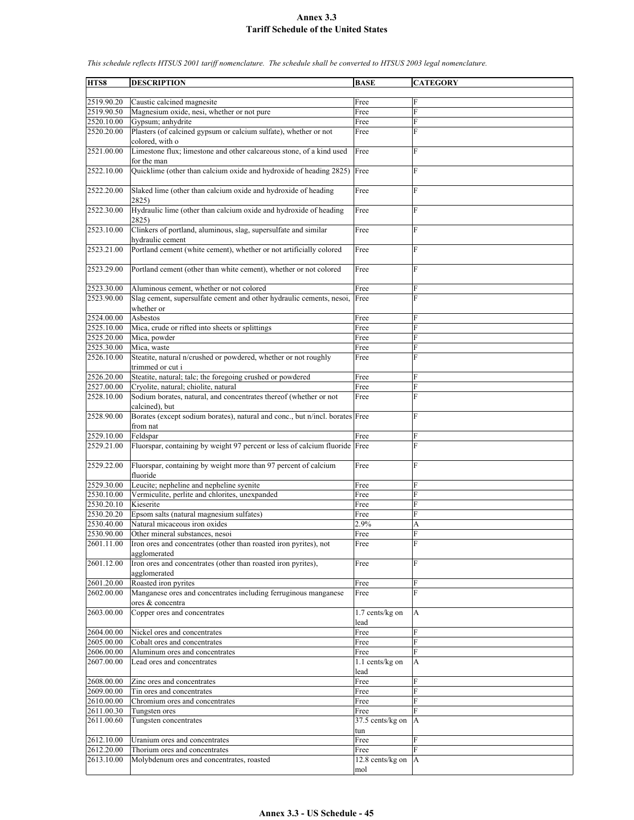**HTS8 DESCRIPTION BASE CATEGORY** 2519.90.20 Caustic calcined magnesite Free 2519.90.50 Magnesium oxide, nesi, whether or not pure Free 2520.10.00 Gypsum; anhydrite Free 2520.20.00 Plasters (of calcined gypsum or calcium sulfate), whether or not colored, with o Free 2521.00.00 Limestone flux; limestone and other calcareous stone, of a kind used for the man Free F 2522.10.00 Quicklime (other than calcium oxide and hydroxide of heading 2825) Free 2522.20.00 Slaked lime (other than calcium oxide and hydroxide of heading 2825) Free F 2522.30.00 Hydraulic lime (other than calcium oxide and hydroxide of heading 2825) Free 2523.10.00 Clinkers of portland, aluminous, slag, supersulfate and similar hydraulic cement Free F 2523.21.00 Portland cement (white cement), whether or not artificially colored Free 2523.29.00 Portland cement (other than white cement), whether or not colored Free 2523.30.00 Aluminous cement, whether or not colored Free 2523.90.00 Slag cement, supersulfate cement and other hydraulic cements, nesoi, whether or Free F 2524.00.00 Asbestos Free F 2525.10.00 Mica, crude or rifted into sheets or splittings Free Free  $2525.20.00$  Mica, powder Free 2525.20.00 Mica, powder Free F 2525.30.00 Mica, waste Free 2526.10.00 Steatite, natural n/crushed or powdered, whether or not roughly trimmed or cut i Free F 2526.20.00 Steatite, natural; talc; the foregoing crushed or powdered Free 2527.00.00 Cryolite, natural; chiolite, natural Free F Sodium borates, natural, and concentrates thereof (whether or not calcined), but Free F 2528.90.00 Borates (except sodium borates), natural and conc., but n/incl. borates Free F from nat 2529.10.00 Feldspar Free F 2529.21.00 Fluorspar, containing by weight 97 percent or less of calcium fluoride Free F 2529.22.00 Fluorspar, containing by weight more than 97 percent of calcium fluoride Free F 2529.30.00 Leucite; nepheline and nepheline syenite Free 2530.10.00 Vermiculite, perlite and chlorites, unexpanded Free 2530.20.10 Kieserite Free 2530.20.20 Epsom salts (natural magnesium sulfates) Free F  $2530.40.00$  Natural micaceous iron oxides  $2.9\%$ 2530.90.00 Other mineral substances, nesoi Free F 2601.11.00 Iron ores and concentrates (other than roasted iron pyrites), not agglomerated Free F 2601.12.00 Iron ores and concentrates (other than roasted iron pyrites), agglomerated Free F 2601.20.00 Roasted iron pyrites Free F 2602.00.00 Manganese ores and concentrates including ferruginous manganese ores & concentra Free F 2603.00.00 Copper ores and concentrates 1.7 cents/kg on lead A 2604.00.00 Nickel ores and concentrates Free 2605.00.00 Cobalt ores and concentrates Free 2606.00.00 Aluminum ores and concentrates Free 2607.00.00 Lead ores and concentrates 1.1 cents/kg on lead A 2608.00.00 Zinc ores and concentrates Free 2609.00.00 Tin ores and concentrates Free F 2610.00.00 Chromium ores and concentrates Free F 2611.00.30 Tungsten ores Free 2611.00.60 Tungsten concentrates 37.5 cents/kg on tun A 2612.10.00 Uranium ores and concentrates Free 2612.20.00 Thorium ores and concentrates Free 2613.10.00 Molybdenum ores and concentrates, roasted 12.8 cents/kg on mol A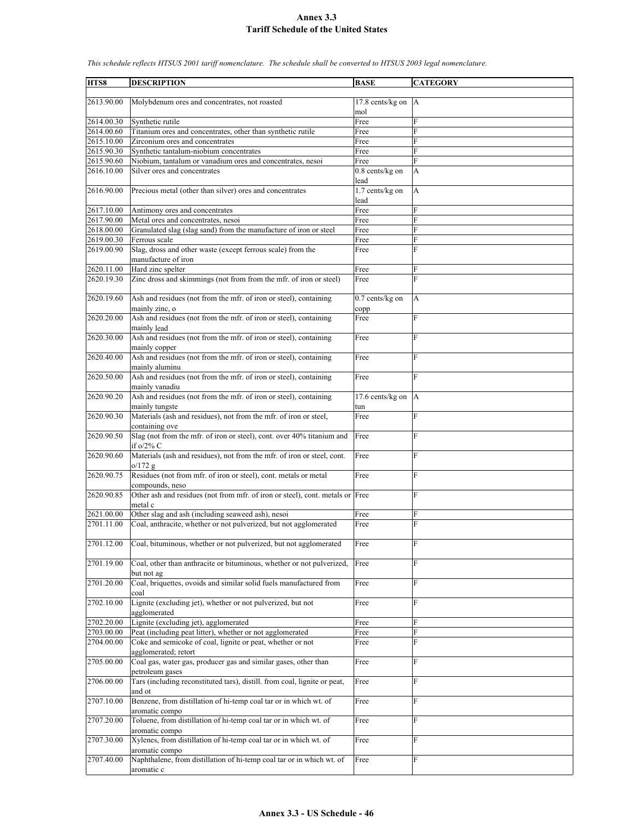**HTS8 DESCRIPTION BASE CATEGORY** 2613.90.00 Molybdenum ores and concentrates, not roasted mol 17.8 cents/kg on A 2614.00.30 Synthetic rutile Free 2614.00.60 Titanium ores and concentrates, other than synthetic rutile Free 2615.10.00 Zirconium ores and concentrates Free 2615.90.30 Synthetic tantalum-niobium concentrates Free F 2615.90.60 Niobium, tantalum or vanadium ores and concentrates, nesoi Free F 2616.10.00 Silver ores and concentrates 0.8 cents/kg on lead A 2616.90.00 Precious metal (other than silver) ores and concentrates 1.7 cents/kg on lead A 2617.10.00 Antimony ores and concentrates Free 2617.90.00 Metal ores and concentrates, nesoi Free 2618.00.00 Granulated slag (slag sand) from the manufacture of iron or steel Free 2619.00.30 Ferrous scale Free 2619.00.90 Slag, dross and other waste (except ferrous scale) from the manufacture of iron Free F 2620.11.00 Hard zinc spelter Free 2620.19.30 Zinc dross and skimmings (not from from the mfr. of iron or steel) Free 2620.19.60 Ash and residues (not from the mfr. of iron or steel), containing mainly zinc, o 0.7 cents/kg on copp A 2620.20.00 Ash and residues (not from the mfr. of iron or steel), containing mainly lead Free F 2620.30.00 Ash and residues (not from the mfr. of iron or steel), containing mainly copper Free F 2620.40.00 Ash and residues (not from the mfr. of iron or steel), containing mainly aluminu Free F 2620.50.00 Ash and residues (not from the mfr. of iron or steel), containing mainly vanadiu Free 2620.90.20 Ash and residues (not from the mfr. of iron or steel), containing mainly tungste 17.6 cents/kg on tun A 2620.90.30 Materials (ash and residues), not from the mfr. of iron or steel, containing ove Free F 2620.90.50 Slag (not from the mfr. of iron or steel), cont. over 40% titanium and if o/2% C Free F 2620.90.60 Materials (ash and residues), not from the mfr. of iron or steel, cont.  $0/172.9$ Free F 2620.90.75 Residues (not from mfr. of iron or steel), cont. metals or metal compounds, neso Free F 2620.90.85 Other ash and residues (not from mfr. of iron or steel), cont. metals or Free F metal c 2621.00.00 Other slag and ash (including seaweed ash), nesoi Free 2701.11.00 Coal, anthracite, whether or not pulverized, but not agglomerated Free 2701.12.00 Coal, bituminous, whether or not pulverized, but not agglomerated Free F 2701.19.00 Coal, other than anthracite or bituminous, whether or not pulverized, but not ag Free 2701.20.00 Coal, briquettes, ovoids and similar solid fuels manufactured from coal Free **F** 2702.10.00 Lignite (excluding jet), whether or not pulverized, but not agglomerated Free F 2702.20.00 Lignite (excluding jet), agglomerated Free 2703.00.00 Peat (including peat litter), whether or not agglomerated Free 2704.00.00 Coke and semicoke of coal, lignite or peat, whether or not agglomerated; retort Free 2705.00.00 Coal gas, water gas, producer gas and similar gases, other than petroleum gases Free Free 2706.00.00 Tars (including reconstituted tars), distill. from coal, lignite or peat, and ot Free F 2707.10.00 Benzene, from distillation of hi-temp coal tar or in which wt. of aromatic compo Free F 2707.20.00 Toluene, from distillation of hi-temp coal tar or in which wt. of aromatic compo Free F 2707.30.00 Xylenes, from distillation of hi-temp coal tar or in which wt. of aromatic compo Free F 2707.40.00 Naphthalene, from distillation of hi-temp coal tar or in which wt. of aromatic c Free F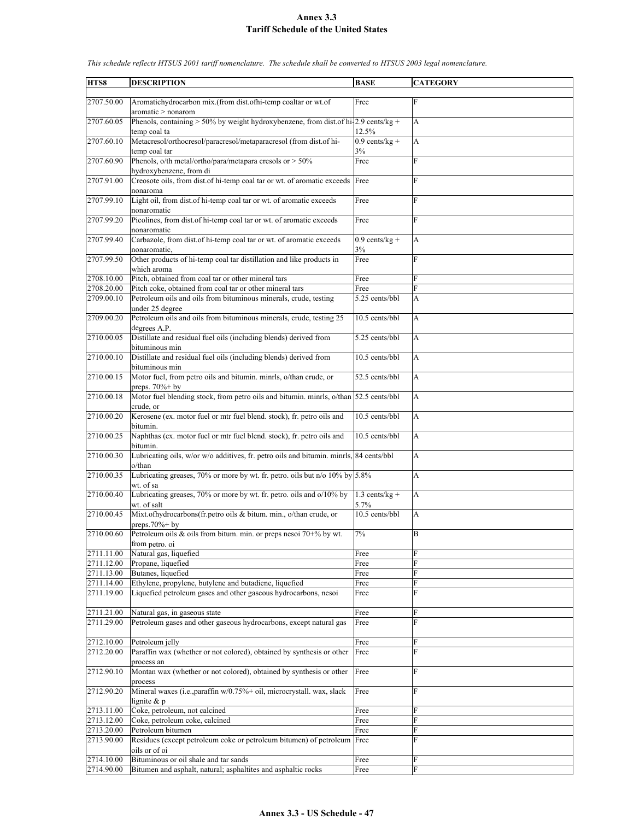| HTS8       | <b>DESCRIPTION</b>                                                                                          | <b>BASE</b>              | <b>CATEGORY</b> |
|------------|-------------------------------------------------------------------------------------------------------------|--------------------------|-----------------|
| 2707.50.00 | Aromatichydrocarbon mix.(from dist.ofhi-temp coaltar or wt.of                                               | Free                     | F               |
| 2707.60.05 | aromatic > nonarom<br>Phenols, containing $> 50\%$ by weight hydroxybenzene, from dist.of hi-2.9 cents/kg + |                          | A               |
|            | temp coal ta                                                                                                | 12.5%                    |                 |
| 2707.60.10 | Metacresol/orthocresol/paracresol/metaparacresol (from dist.of hi-<br>temp coal tar                         | $0.9$ cents/kg +<br>3%   | A               |
| 2707.60.90 | Phenols, o/th metal/ortho/para/metapara cresols or > 50%<br>hydroxybenzene, from di                         | Free                     | F               |
| 2707.91.00 | Creosote oils, from dist of hi-temp coal tar or wt. of aromatic exceeds<br>nonaroma                         | Free                     | F               |
| 2707.99.10 | Light oil, from dist of hi-temp coal tar or wt. of aromatic exceeds<br>nonaromatic                          | Free                     | F               |
| 2707.99.20 | Picolines, from dist of hi-temp coal tar or wt. of aromatic exceeds<br>nonaromatic                          | Free                     | F               |
| 2707.99.40 | Carbazole, from dist.of hi-temp coal tar or wt. of aromatic exceeds                                         | $0.9$ cents/kg +         | A               |
| 2707.99.50 | nonaromatic,<br>Other products of hi-temp coal tar distillation and like products in                        | 3%<br>Free               | F               |
|            | which aroma                                                                                                 |                          |                 |
| 2708.10.00 | Pitch, obtained from coal tar or other mineral tars                                                         | Free                     | F               |
| 2708.20.00 | Pitch coke, obtained from coal tar or other mineral tars                                                    | Free                     | F               |
| 2709.00.10 | Petroleum oils and oils from bituminous minerals, crude, testing<br>under 25 degree                         | 5.25 cents/bbl           | A               |
| 2709.00.20 | Petroleum oils and oils from bituminous minerals, crude, testing 25<br>degrees A.P.                         | 10.5 cents/bbl           | A               |
| 2710.00.05 | Distillate and residual fuel oils (including blends) derived from<br>bituminous min                         | 5.25 cents/bbl           | A               |
| 2710.00.10 | Distillate and residual fuel oils (including blends) derived from<br>bituminous min                         | 10.5 cents/bbl           | A               |
| 2710.00.15 | Motor fuel, from petro oils and bitumin. minrls, o/than crude, or                                           | 52.5 cents/bbl           | A               |
| 2710.00.18 | preps. $70\%$ + by<br>Motor fuel blending stock, from petro oils and bitumin. minrls, o/than 52.5 cents/bbl |                          | A               |
| 2710.00.20 | crude, or<br>Kerosene (ex. motor fuel or mtr fuel blend. stock), fr. petro oils and                         | 10.5 cents/bbl           | A               |
| 2710.00.25 | bitumin.<br>Naphthas (ex. motor fuel or mtr fuel blend. stock), fr. petro oils and                          | 10.5 cents/bbl           | A               |
| 2710.00.30 | bitumin.<br>Lubricating oils, w/or w/o additives, fr. petro oils and bitumin. minrls, 84 cents/bbl          |                          | A               |
| 2710.00.35 | o/than<br>Lubricating greases, 70% or more by wt. fr. petro. oils but $n/o$ 10% by 5.8%                     |                          | A               |
|            | wt. of sa                                                                                                   |                          |                 |
| 2710.00.40 | Lubricating greases, 70% or more by wt. fr. petro. oils and o/10% by<br>wt. of salt                         | $1.3$ cents/kg +<br>5.7% | А               |
| 2710.00.45 | Mixt.ofhydrocarbons(fr.petro oils & bitum. min., o/than crude, or<br>preps. $70\%$ + by                     | 10.5 cents/bbl           | A               |
| 2710.00.60 | Petroleum oils & oils from bitum. min. or preps nesoi 70+% by wt.<br>from petro. oi                         | 7%                       | Β               |
| 2711.11.00 | Natural gas, liquefied                                                                                      | Free                     | F               |
| 2711.12.00 | Propane, liquefied                                                                                          | Free                     | F               |
| 2711.13.00 | Butanes, liquefied                                                                                          | Free                     | F               |
| 2711.14.00 | Ethylene, propylene, butylene and butadiene, liquefied                                                      | Free                     | F               |
| 2711.19.00 | Liquefied petroleum gases and other gaseous hydrocarbons, nesoi                                             | Free                     | F               |
| 2711.21.00 | Natural gas, in gaseous state                                                                               | Free                     | F               |
| 2711.29.00 | Petroleum gases and other gaseous hydrocarbons, except natural gas                                          | Free                     | F               |
|            |                                                                                                             |                          |                 |
| 2712.10.00 | Petroleum jelly                                                                                             | Free                     | F               |
| 2712.20.00 | Paraffin wax (whether or not colored), obtained by synthesis or other<br>process an                         | Free                     | F               |
| 2712.90.10 | Montan wax (whether or not colored), obtained by synthesis or other<br>process                              | Free                     | F               |
| 2712.90.20 | Mineral waxes (i.e., paraffin w/0.75%+ oil, microcrystall. wax, slack<br>lignite $& p$                      | Free                     | F               |
| 2713.11.00 | Coke, petroleum, not calcined                                                                               | Free                     | F               |
| 2713.12.00 | Coke, petroleum coke, calcined                                                                              | Free                     | F               |
| 2713.20.00 | Petroleum bitumen                                                                                           | Free                     | F               |
| 2713.90.00 | Residues (except petroleum coke or petroleum bitumen) of petroleum                                          | Free                     | F               |
|            | oils or of oi                                                                                               |                          |                 |
| 2714.10.00 | Bituminous or oil shale and tar sands                                                                       | Free                     | F               |
| 2714.90.00 | Bitumen and asphalt, natural; asphaltites and asphaltic rocks                                               | Free                     | F               |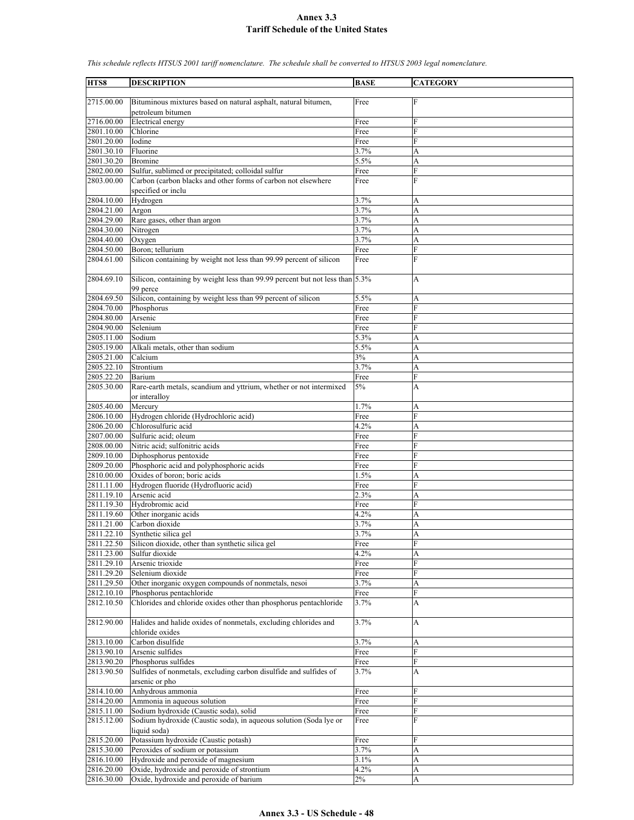**HTS8 DESCRIPTION BASE CATEGORY** 2715.00.00 Bituminous mixtures based on natural asphalt, natural bitumen, petroleum bitumen Free F 2716.00.00 Electrical energy Free 2801.10.00 Chlorine Free 2801.20.00 | Iodine Free 2801.30.10 Fluorine A and A 3.7% A 2801.30.20 Bromine 5.5% A 2802.00.00 Sulfur, sublimed or precipitated; colloidal sulfur Free Free 2803.00.00 Carbon (carbon blacks and other forms of carbon not elsewhere specified or inclu Free F 2804.10.00 Hydrogen 3.7% A 2804.21.00 Argon 3.7% A 2804.29.00 Rare gases, other than argon 3.7% A 2804.30.00 Nitrogen 3.7% A 2804.40.00 Oxygen 3.7% A 2804.50.00 Boron; tellurium Free 2804.61.00 Silicon containing by weight not less than 99.99 percent of silicon Free F 2804.69.10 Silicon, containing by weight less than 99.99 percent but not less than 99 perce 5.3% A 2804.69.50 Silicon, containing by weight less than 99 percent of silicon 5.5% A 2804.70.00 Phosphorus Free F 2804.80.00 Arsenic Free F 2804.90.00 Selenium Free 2805.11.00 Sodium 5.3% A<br>2805.19.00 Alkali metals, other than sodium 5.5% A 2805.19.00 Alkali metals, other than sodium 5.5% A 2805.21.00 Calcium 3% A 2805.22.10 Strontium 3.7% A 2805.22.20 Barium Free 2805.30.00 Rare-earth metals, scandium and yttrium, whether or not intermixed or interalloy 5% A 2805.40.00 Mercury 1.7% A 2806.10.00 Hydrogen chloride (Hydrochloric acid) Free F 2806.20.00 Chlorosulfuric acid 4.2% A 2807.00.00 Sulfuric acid; oleum Free F 2808.00.00 Nitric acid; sulfonitric acids Free F 2809.10.00 Diphosphorus pentoxide Free 2809.20.00 Phosphoric acid and polyphosphoric acids Free 2810.00.00 Oxides of boron; boric acids 1.5% A 2811.11.00 Hydrogen fluoride (Hydrofluoric acid) Free 2811.19.10 Arsenic acid 2.3% 2.3% 2811.19.30 Hydrobromic acid Free F  $2811.19.60$  Other inorganic acids  $4.2\%$  A 2811.21.00 Carbon dioxide 3.7% A 2811.22.10 Synthetic silica gel 3.7% A 2811.22.50 Silicon dioxide, other than synthetic silica gel Free 2811.23.00 Sulfur dioxide 4.2% A 2811.29.10 Arsenic trioxide Free 2811.29.20 Selenium dioxide Free 2811.29.50 Other inorganic oxygen compounds of nonmetals, nesoi 3.7% A 2812.10.10 Phosphorus pentachloride Free 2812.10.50 Chlorides and chloride oxides other than phosphorus pentachloride 3.7% A 2812.90.00 Halides and halide oxides of nonmetals, excluding chlorides and chloride oxides 3.7% A 2813.10.00 Carbon disulfide 3.7% A 2813.90.10 Arsenic sulfides Free F 2813.90.20 Phosphorus sulfides Free 2813.90.50 Sulfides of nonmetals, excluding carbon disulfide and sulfides of arsenic or pho 3.7% A 2814.10.00 Anhydrous ammonia Free F 2814.20.00 Ammonia in aqueous solution Free 2815.11.00 Sodium hydroxide (Caustic soda), solid Free 2815.12.00 Sodium hydroxide (Caustic soda), in aqueous solution (Soda lye or liquid soda) Free F 2815.20.00 Potassium hydroxide (Caustic potash) Free 2815.30.00 Peroxides of sodium or potassium 3.7% A 2816.10.00 Hydroxide and peroxide of magnesium 3.1% 3.1% A 2816.20.00 Oxide, hydroxide and peroxide of strontium 4.2% A  $2816.30.00$  Oxide, hydroxide and peroxide of barium  $2\%$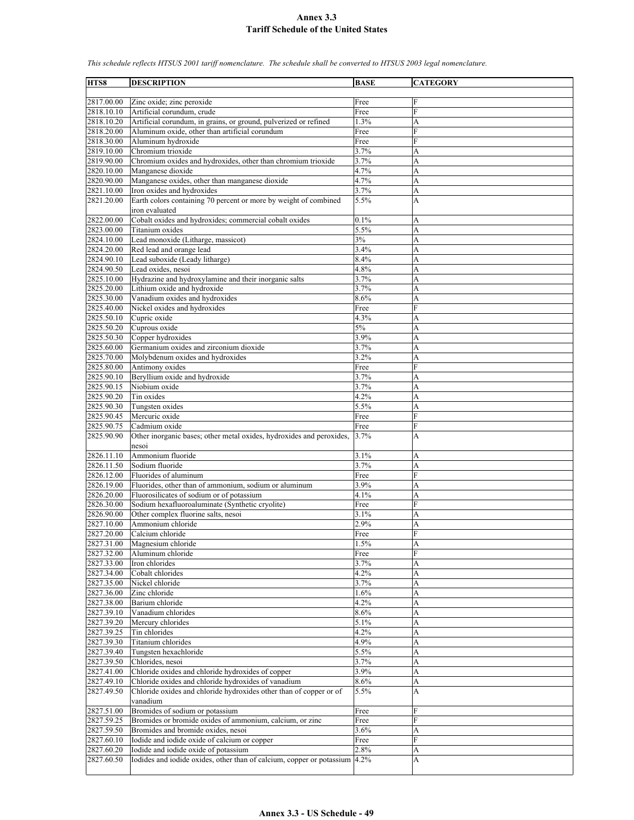| HTS8                     | <b>DESCRIPTION</b>                                                                             | <b>BASE</b>  | <b>CATEGORY</b> |
|--------------------------|------------------------------------------------------------------------------------------------|--------------|-----------------|
|                          |                                                                                                |              |                 |
| 2817.00.00               | Zinc oxide; zinc peroxide                                                                      | Free         | F               |
| 2818.10.10               | Artificial corundum, crude                                                                     | Free         | F               |
| 2818.10.20               | Artificial corundum, in grains, or ground, pulverized or refined                               | 1.3%         | A               |
| 2818.20.00               | Aluminum oxide, other than artificial corundum                                                 | Free         | F               |
| 2818.30.00               | Aluminum hydroxide                                                                             | Free         | F               |
| 2819.10.00               | Chromium trioxide                                                                              | 3.7%         | A               |
| 2819.90.00               | Chromium oxides and hydroxides, other than chromium trioxide                                   | 3.7%         | A               |
| 2820.10.00               | Manganese dioxide                                                                              | 4.7%         | A               |
| 2820.90.00               | Manganese oxides, other than manganese dioxide                                                 | 4.7%<br>3.7% | A               |
| 2821.10.00<br>2821.20.00 | Iron oxides and hydroxides<br>Earth colors containing 70 percent or more by weight of combined | 5.5%         | A<br>A          |
|                          | iron evaluated                                                                                 |              |                 |
| 2822.00.00               | Cobalt oxides and hydroxides; commercial cobalt oxides                                         | 0.1%         | А               |
| 2823.00.00               | Titanium oxides                                                                                | 5.5%         | A               |
| 2824.10.00               | Lead monoxide (Litharge, massicot)                                                             | 3%           | A               |
| 2824.20.00               | Red lead and orange lead                                                                       | 3.4%         | A               |
| 2824.90.10               | Lead suboxide (Leady litharge)                                                                 | 8.4%         | A               |
| 2824.90.50               | Lead oxides, nesoi                                                                             | 4.8%         | A               |
| 2825.10.00               | Hydrazine and hydroxylamine and their inorganic salts                                          | 3.7%         | A               |
| 2825.20.00               | Lithium oxide and hydroxide                                                                    | 3.7%         | A               |
| 2825.30.00               | Vanadium oxides and hydroxides                                                                 | 8.6%         | A               |
| 2825.40.00               | Nickel oxides and hydroxides                                                                   | Free         | F               |
| 2825.50.10               | Cupric oxide                                                                                   | 4.3%         | A               |
| 2825.50.20               | Cuprous oxide                                                                                  | 5%           | A               |
| 2825.50.30               | Copper hydroxides                                                                              | 3.9%         | A               |
| 2825.60.00               | Germanium oxides and zirconium dioxide                                                         | 3.7%         | A               |
| 2825.70.00               | Molybdenum oxides and hydroxides                                                               | 3.2%         | A               |
| 2825.80.00               | Antimony oxides                                                                                | Free         | $\overline{F}$  |
| 2825.90.10               | Beryllium oxide and hydroxide<br>Niobium oxide                                                 | 3.7%         | A               |
| 2825.90.15<br>2825.90.20 | Tin oxides                                                                                     | 3.7%<br>4.2% | A<br>A          |
| 2825.90.30               | Tungsten oxides                                                                                | 5.5%         | A               |
| 2825.90.45               | Mercuric oxide                                                                                 | Free         | F               |
| 2825.90.75               | Cadmium oxide                                                                                  | Free         | F               |
| 2825.90.90               | Other inorganic bases; other metal oxides, hydroxides and peroxides,                           | 3.7%         | A               |
|                          | nesoi                                                                                          |              |                 |
| 2826.11.10               | Ammonium fluoride                                                                              | 3.1%         | A               |
| 2826.11.50               | Sodium fluoride                                                                                | 3.7%         | A               |
| 2826.12.00               | Fluorides of aluminum                                                                          | Free         | $\overline{F}$  |
| 2826.19.00               | Fluorides, other than of ammonium, sodium or aluminum                                          | 3.9%         | A               |
| 2826.20.00               | Fluorosilicates of sodium or of potassium                                                      | 4.1%         | A               |
| 2826.30.00               | Sodium hexafluoroaluminate (Synthetic cryolite)                                                | Free         | $\overline{F}$  |
| 2826.90.00               | Other complex fluorine salts, nesoi                                                            | 3.1%         | A               |
| 2827.10.00               | Ammonium chloride                                                                              | 2.9%         | A               |
| 2827.20.00               | Calcium chloride                                                                               | Free         | F               |
| 2827.31.00               | Magnesium chloride                                                                             | 1.5%         | A               |
| 2827.32.00               | Aluminum chloride                                                                              | Free         | F               |
| 2827.33.00               | Iron chlorides                                                                                 | 3.7%         | A               |
| 2827.34.00               | Cobalt chlorides                                                                               | 4.2%         | A               |
| 2827.35.00<br>2827.36.00 | Nickel chloride<br>Zinc chloride                                                               | 3.7%<br>1.6% | A<br>A          |
| 2827.38.00               | Barium chloride                                                                                | 4.2%         | A               |
| 2827.39.10               | Vanadium chlorides                                                                             | 8.6%         | A               |
| 2827.39.20               | Mercury chlorides                                                                              | 5.1%         | A               |
| 2827.39.25               | Tin chlorides                                                                                  | 4.2%         | A               |
| 2827.39.30               | Titanium chlorides                                                                             | 4.9%         | A               |
| 2827.39.40               | Tungsten hexachloride                                                                          | 5.5%         | A               |
| 2827.39.50               | Chlorides, nesoi                                                                               | 3.7%         | A               |
| 2827.41.00               | Chloride oxides and chloride hydroxides of copper                                              | 3.9%         | A               |
| 2827.49.10               | Chloride oxides and chloride hydroxides of vanadium                                            | 8.6%         | A               |
| 2827.49.50               | Chloride oxides and chloride hydroxides other than of copper or of                             | 5.5%         | A               |
|                          | vanadium                                                                                       |              |                 |
| 2827.51.00               | Bromides of sodium or potassium                                                                | Free         | F               |
| 2827.59.25               | Bromides or bromide oxides of ammonium, calcium, or zinc                                       | Free         | F               |
| 2827.59.50               | Bromides and bromide oxides, nesoi                                                             | 3.6%         | A               |
| 2827.60.10               | Iodide and iodide oxide of calcium or copper                                                   | Free         | F               |
| 2827.60.20               | Iodide and iodide oxide of potassium                                                           | 2.8%         | A               |
| 2827.60.50               | Iodides and iodide oxides, other than of calcium, copper or potassium 4.2%                     |              | A               |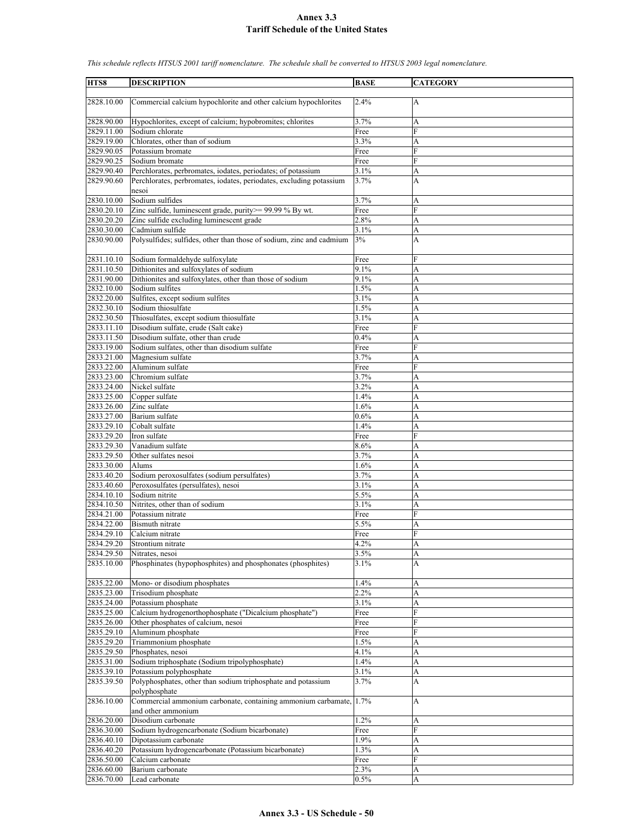| HTS8                     | <b>DESCRIPTION</b>                                                                       | <b>BASE</b>  | <b>CATEGORY</b> |
|--------------------------|------------------------------------------------------------------------------------------|--------------|-----------------|
| 2828.10.00               | Commercial calcium hypochlorite and other calcium hypochlorites                          | 2.4%         | A               |
| 2828.90.00               | Hypochlorites, except of calcium; hypobromites; chlorites                                | 3.7%         | A               |
| 2829.11.00               | Sodium chlorate                                                                          | Free         | F               |
| 2829.19.00               | Chlorates, other than of sodium                                                          | 3.3%         | A               |
| 2829.90.05               | Potassium bromate                                                                        | Free         | F               |
| 2829.90.25               | Sodium bromate                                                                           | Free         | F               |
| 2829.90.40               | Perchlorates, perbromates, iodates, periodates; of potassium                             | 3.1%         | A               |
| 2829.90.60               | Perchlorates, perbromates, iodates, periodates, excluding potassium<br>nesoi             | 3.7%         | A               |
| 2830.10.00               | Sodium sulfides                                                                          | 3.7%         | A               |
| 2830.20.10               | Zinc sulfide, luminescent grade, purity>= 99.99 % By wt.                                 | Free         | F               |
| 2830.20.20               | Zinc sulfide excluding luminescent grade                                                 | 2.8%         | A               |
| 2830.30.00<br>2830.90.00 | Cadmium sulfide<br>Polysulfides; sulfides, other than those of sodium, zinc and cadmium  | 3.1%<br>3%   | A<br>A          |
| 2831.10.10               | Sodium formaldehyde sulfoxylate                                                          | Free         | F               |
| 2831.10.50               | Dithionites and sulfoxylates of sodium                                                   | 9.1%         | A               |
| 2831.90.00               | Dithionites and sulfoxylates, other than those of sodium                                 | 9.1%         | A               |
| 2832.10.00               | Sodium sulfites                                                                          | 1.5%         | A               |
| 2832.20.00               | Sulfites, except sodium sulfites                                                         | 3.1%         | A               |
| 2832.30.10               | Sodium thiosulfate                                                                       | 1.5%<br>3.1% | A               |
| 2832.30.50<br>2833.11.10 | Thiosulfates, except sodium thiosulfate<br>Disodium sulfate, crude (Salt cake)           |              | A<br>F          |
| 2833.11.50               | Disodium sulfate, other than crude                                                       | Free<br>0.4% | A               |
| 2833.19.00               | Sodium sulfates, other than disodium sulfate                                             | Free         | F               |
| 2833.21.00               | Magnesium sulfate                                                                        | 3.7%         | A               |
| 2833.22.00               | Aluminum sulfate                                                                         | Free         | F               |
| 2833.23.00               | Chromium sulfate                                                                         | 3.7%         | A               |
| 2833.24.00               | Nickel sulfate                                                                           | 3.2%         | A               |
| 2833.25.00               | Copper sulfate                                                                           | 1.4%         | A               |
| 2833.26.00               | Zinc sulfate                                                                             | 1.6%         | A               |
| 2833.27.00               | Barium sulfate                                                                           | 0.6%         | A               |
| 2833.29.10               | Cobalt sulfate                                                                           | 1.4%         | A               |
| 2833.29.20               | Iron sulfate                                                                             | Free         | F               |
| 2833.29.30               | Vanadium sulfate                                                                         | 8.6%         | A               |
| 2833.29.50<br>2833.30.00 | Other sulfates nesoi<br>Alums                                                            | 3.7%<br>1.6% | A<br>A          |
| 2833.40.20               | Sodium peroxosulfates (sodium persulfates)                                               | 3.7%         | A               |
| 2833.40.60               | Peroxosulfates (persulfates), nesoi                                                      | 3.1%         | A               |
| 2834.10.10               | Sodium nitrite                                                                           | 5.5%         | A               |
| 2834.10.50               | Nitrites, other than of sodium                                                           | 3.1%         | A               |
| 2834.21.00               | Potassium nitrate                                                                        | Free         | F               |
| 2834.22.00               | Bismuth nitrate                                                                          | 5.5%         | A               |
| 2834.29.10               | Calcium nitrate                                                                          | Free         | E               |
| 2834.29.20               | Strontium nitrate                                                                        | 4.2%         | A               |
| 2834.29.50               | Nitrates, nesoi                                                                          | 3.5%         | A               |
| 2835.10.00               | Phosphinates (hypophosphites) and phosphonates (phosphites)                              | 3.1%         | A               |
| 2835.22.00               | Mono- or disodium phosphates                                                             | 1.4%         | A               |
| 2835.23.00               | Trisodium phosphate                                                                      | 2.2%         | A               |
| 2835.24.00<br>2835.25.00 | Potassium phosphate<br>Calcium hydrogenorthophosphate ("Dicalcium phosphate")            | 3.1%         | A<br>F          |
| 2835.26.00               | Other phosphates of calcium, nesoi                                                       | Free<br>Free | F               |
| 2835.29.10               | Aluminum phosphate                                                                       | Free         | F               |
| 2835.29.20               | Triammonium phosphate                                                                    | 1.5%         | A               |
| 2835.29.50               | Phosphates, nesoi                                                                        | 4.1%         | A               |
| 2835.31.00               | Sodium triphosphate (Sodium tripolyphosphate)                                            | 1.4%         | A               |
| 2835.39.10               | Potassium polyphosphate                                                                  | 3.1%         | A               |
| 2835.39.50               | Polyphosphates, other than sodium triphosphate and potassium<br>polyphosphate            | 3.7%         | A               |
| 2836.10.00               | Commercial ammonium carbonate, containing ammonium carbamate, 1.7%<br>and other ammonium |              | A               |
| 2836.20.00               | Disodium carbonate                                                                       | 1.2%         | А               |
| 2836.30.00               | Sodium hydrogencarbonate (Sodium bicarbonate)                                            | Free         | F               |
| 2836.40.10               | Dipotassium carbonate                                                                    | 1.9%         | A               |
| 2836.40.20               | Potassium hydrogencarbonate (Potassium bicarbonate)                                      | 1.3%         | A               |
| 2836.50.00               | Calcium carbonate                                                                        | Free         | F               |
| 2836.60.00               | Barium carbonate                                                                         | 2.3%         | A               |
| 2836.70.00               | Lead carbonate                                                                           | 0.5%         | A               |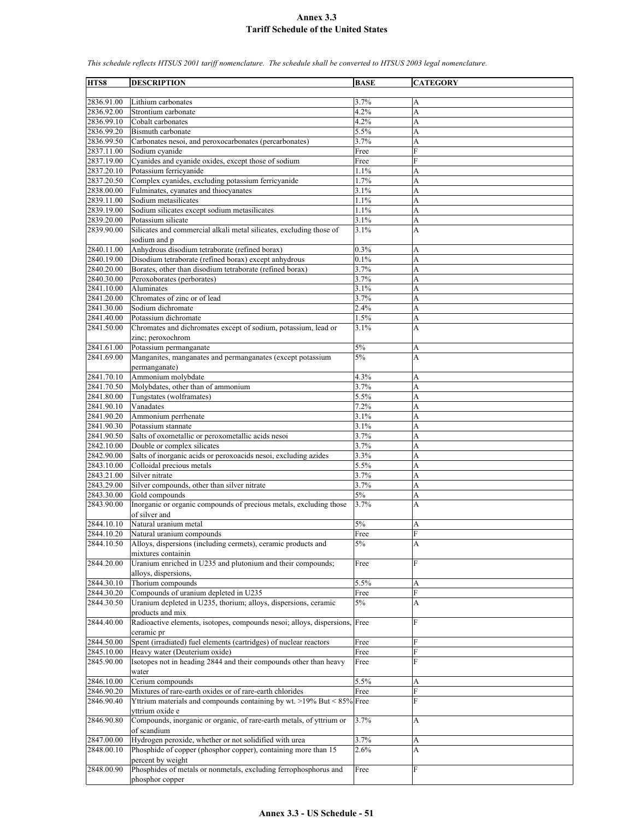| HTS8                     | <b>DESCRIPTION</b>                                                                                 | <b>BASE</b>  | <b>CATEGORY</b>     |
|--------------------------|----------------------------------------------------------------------------------------------------|--------------|---------------------|
|                          |                                                                                                    |              |                     |
| 2836.91.00<br>2836.92.00 | Lithium carbonates<br>Strontium carbonate                                                          | 3.7%<br>4.2% | A<br>A              |
| 2836.99.10               | Cobalt carbonates                                                                                  | 4.2%         | A                   |
| 2836.99.20               | Bismuth carbonate                                                                                  | 5.5%         | A                   |
| 2836.99.50               | Carbonates nesoi, and peroxocarbonates (percarbonates)                                             | 3.7%         | A                   |
| 2837.11.00               | Sodium cyanide                                                                                     | Free         | F                   |
| 2837.19.00<br>2837.20.10 | Cyanides and cyanide oxides, except those of sodium<br>Potassium ferricyanide                      | Free<br>1.1% | F<br>A              |
| 2837.20.50               | Complex cyanides, excluding potassium ferricyanide                                                 | 1.7%         | A                   |
| 2838.00.00               | Fulminates, cyanates and thiocyanates                                                              | 3.1%         | A                   |
| 2839.11.00               | Sodium metasilicates                                                                               | 1.1%         | A                   |
| 2839.19.00               | Sodium silicates except sodium metasilicates                                                       | 1.1%         | A                   |
| 2839.20.00<br>2839.90.00 | Potassium silicate                                                                                 | 3.1%<br>3.1% | A                   |
|                          | Silicates and commercial alkali metal silicates, excluding those of<br>sodium and p                |              | А                   |
| 2840.11.00               | Anhydrous disodium tetraborate (refined borax)                                                     | 0.3%         | А                   |
| 2840.19.00               | Disodium tetraborate (refined borax) except anhydrous                                              | 0.1%         | A                   |
| 2840.20.00               | Borates, other than disodium tetraborate (refined borax)                                           | 3.7%         | A                   |
| 2840.30.00<br>2841.10.00 | Peroxoborates (perborates)<br>Aluminates                                                           | 3.7%<br>3.1% | A<br>A              |
| 2841.20.00               | Chromates of zinc or of lead                                                                       | 3.7%         | A                   |
| 2841.30.00               | Sodium dichromate                                                                                  | 2.4%         | A                   |
| 2841.40.00               | Potassium dichromate                                                                               | 1.5%         | A                   |
| 2841.50.00               | Chromates and dichromates except of sodium, potassium, lead or                                     | 3.1%         | A                   |
|                          | zinc; peroxochrom<br>Potassium permanganate                                                        | 5%           |                     |
| 2841.61.00<br>2841.69.00 | Manganites, manganates and permanganates (except potassium<br>permanganate)                        | 5%           | А<br>A              |
| 2841.70.10               | Ammonium molybdate                                                                                 | 4.3%         | А                   |
| 2841.70.50               | Molybdates, other than of ammonium                                                                 | 3.7%         | A                   |
| 2841.80.00               | Tungstates (wolframates)                                                                           | 5.5%         | A                   |
| 2841.90.10<br>2841.90.20 | Vanadates<br>Ammonium perrhenate                                                                   | 7.2%<br>3.1% | A<br>A              |
| 2841.90.30               | Potassium stannate                                                                                 | 3.1%         | A                   |
| 2841.90.50               | Salts of oxometallic or peroxometallic acids nesoi                                                 | 3.7%         | A                   |
| 2842.10.00               | Double or complex silicates                                                                        | 3.7%         | A                   |
| 2842.90.00               | Salts of inorganic acids or peroxoacids nesoi, excluding azides                                    | $3.3\%$      | A                   |
| 2843.10.00<br>2843.21.00 | Colloidal precious metals<br>Silver nitrate                                                        | 5.5%<br>3.7% | A<br>A              |
| 2843.29.00               | Silver compounds, other than silver nitrate                                                        | 3.7%         | A                   |
| 2843.30.00               | Gold compounds                                                                                     | 5%           | A                   |
| 2843.90.00               | Inorganic or organic compounds of precious metals, excluding those<br>of silver and                | 3.7%         | A                   |
| 2844.10.10<br>2844.10.20 | Natural uranium metal<br>Natural uranium compounds                                                 | 5%<br>Free   | A<br>$\overline{F}$ |
| 2844.10.50               | Alloys, dispersions (including cermets), ceramic products and                                      | 5%           | А                   |
|                          | mixtures containin                                                                                 |              |                     |
| 2844.20.00               | Uranium enriched in U235 and plutonium and their compounds;                                        | Free         | F                   |
|                          | alloys, dispersions,                                                                               |              |                     |
| 2844.30.10<br>2844.30.20 | Thorium compounds<br>Compounds of uranium depleted in U235                                         | 5.5%<br>Free | A<br>F              |
| 2844.30.50               | Uranium depleted in U235, thorium; alloys, dispersions, ceramic                                    | 5%           | А                   |
|                          | products and mix                                                                                   |              |                     |
| 2844.40.00               | Radioactive elements, isotopes, compounds nesoi; alloys, dispersions,<br>ceramic pr                | Free         | F                   |
| 2844.50.00               | Spent (irradiated) fuel elements (cartridges) of nuclear reactors                                  | Free         | F<br>${\rm F}$      |
| 2845.10.00<br>2845.90.00 | Heavy water (Deuterium oxide)<br>Isotopes not in heading 2844 and their compounds other than heavy | Free<br>Free | F                   |
|                          | water                                                                                              |              |                     |
| 2846.10.00               | Cerium compounds                                                                                   | 5.5%         | A                   |
| 2846.90.20               | Mixtures of rare-earth oxides or of rare-earth chlorides                                           | Free         | F                   |
| 2846.90.40               | Yttrium materials and compounds containing by wt. >19% But < 85% Free<br>vttrium oxide e           |              | F                   |
| 2846.90.80               | Compounds, inorganic or organic, of rare-earth metals, of yttrium or<br>of scandium                | 3.7%         | А                   |
| 2847.00.00               | Hydrogen peroxide, whether or not solidified with urea                                             | 3.7%         | A                   |
| 2848.00.10               | Phosphide of copper (phosphor copper), containing more than 15                                     | 2.6%         | А                   |
| 2848.00.90               | percent by weight<br>Phosphides of metals or nonmetals, excluding ferrophosphorus and              |              | F                   |
|                          | phosphor copper                                                                                    | Free         |                     |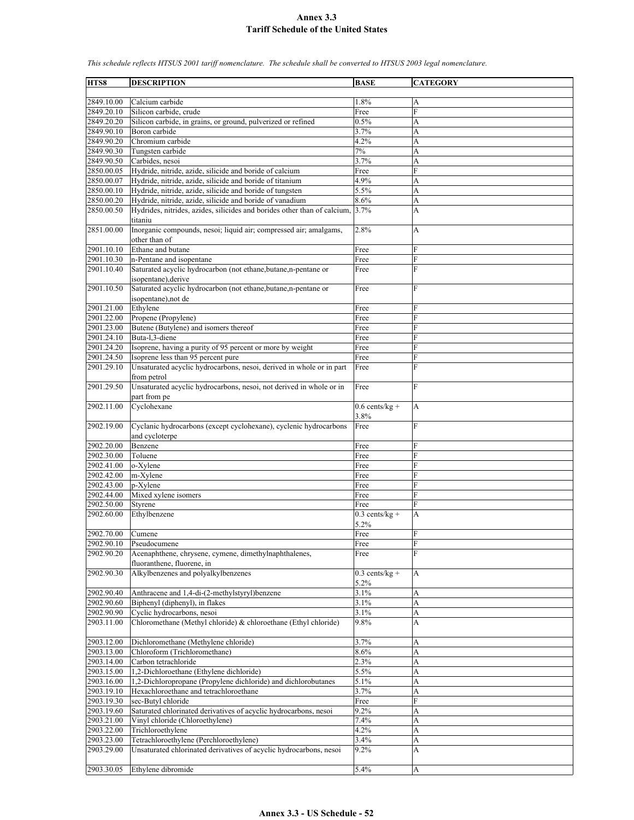| HTS8       | <b>DESCRIPTION</b>                                                                       | <b>BASE</b>              | <b>CATEGORY</b> |
|------------|------------------------------------------------------------------------------------------|--------------------------|-----------------|
| 2849.10.00 | Calcium carbide                                                                          | 1.8%                     | A               |
| 2849.20.10 | Silicon carbide, crude                                                                   | Free                     | $\overline{F}$  |
| 2849.20.20 | Silicon carbide, in grains, or ground, pulverized or refined                             | 0.5%                     | A               |
| 2849.90.10 | Boron carbide                                                                            | 3.7%                     | A               |
| 2849.90.20 | Chromium carbide                                                                         | 4.2%                     | A               |
| 2849.90.30 | Tungsten carbide                                                                         | 7%                       | A               |
| 2849.90.50 | Carbides, nesoi                                                                          | 3.7%                     | A               |
| 2850.00.05 | Hydride, nitride, azide, silicide and boride of calcium                                  | Free                     | F               |
| 2850.00.07 | Hydride, nitride, azide, silicide and boride of titanium                                 | 4.9%                     | A               |
| 2850.00.10 | Hydride, nitride, azide, silicide and boride of tungsten                                 | 5.5%                     | A               |
| 2850.00.20 | Hydride, nitride, azide, silicide and boride of vanadium                                 | 8.6%                     | A               |
| 2850.00.50 | Hydrides, nitrides, azides, silicides and borides other than of calcium, 3.7%<br>titaniu |                          | A               |
| 2851.00.00 | Inorganic compounds, nesoi; liquid air; compressed air; amalgams,<br>other than of       | 2.8%                     | А               |
| 2901.10.10 | Ethane and butane                                                                        | Free                     | F               |
| 2901.10.30 | n-Pentane and isopentane                                                                 | Free                     | $\overline{F}$  |
| 2901.10.40 | Saturated acyclic hydrocarbon (not ethane,butane,n-pentane or<br>isopentane), derive     | Free                     | F               |
| 2901.10.50 | Saturated acyclic hydrocarbon (not ethane, butane, n-pentane or<br>isopentane), not de   | Free                     | F               |
| 2901.21.00 | Ethylene                                                                                 | Free                     | F               |
| 2901.22.00 | Propene (Propylene)                                                                      | Free                     | F               |
| 2901.23.00 | Butene (Butylene) and isomers thereof                                                    | Free                     | ${\bf F}$       |
| 2901.24.10 | Buta-1,3-diene                                                                           | Free                     | F               |
| 2901.24.20 | Isoprene, having a purity of 95 percent or more by weight                                | Free                     | F               |
| 2901.24.50 | Isoprene less than 95 percent pure                                                       | Free                     | F               |
| 2901.29.10 | Unsaturated acyclic hydrocarbons, nesoi, derived in whole or in part<br>from petrol      | Free                     | F               |
| 2901.29.50 | Unsaturated acyclic hydrocarbons, nesoi, not derived in whole or in<br>part from pe      | Free                     | F               |
| 2902.11.00 | Cyclohexane                                                                              | $0.6$ cents/kg +<br>3.8% | A               |
| 2902.19.00 | Cyclanic hydrocarbons (except cyclohexane), cyclenic hydrocarbons<br>and cycloterpe      | Free                     | F               |
| 2902.20.00 | Benzene                                                                                  | Free                     | F               |
| 2902.30.00 | Toluene                                                                                  | Free                     | F               |
| 2902.41.00 | o-Xylene                                                                                 | Free                     | F               |
| 2902.42.00 | m-Xylene                                                                                 | Free                     | F               |
| 2902.43.00 | p-Xylene                                                                                 | Free                     | F               |
| 2902.44.00 | Mixed xylene isomers                                                                     | Free                     | F               |
| 2902.50.00 | Styrene                                                                                  | Free                     | F               |
| 2902.60.00 | Ethylbenzene                                                                             | $0.3$ cents/kg +<br>5.2% | A               |
| 2902.70.00 | Cumene                                                                                   | Free                     | F               |
| 2902.90.10 | Pseudocumene                                                                             | Free                     | $\rm F$         |
| 2902.90.20 | Acenaphthene, chrysene, cymene, dimethylnaphthalenes,<br>fluoranthene, fluorene, in      | Free                     | F               |
| 2902.90.30 | Alkylbenzenes and polyalkylbenzenes                                                      | $0.3$ cents/kg +<br>5.2% | A               |
| 2902.90.40 | Anthracene and 1,4-di-(2-methylstyryl)benzene                                            | 3.1%                     | A               |
| 2902.90.60 | Biphenyl (diphenyl), in flakes                                                           | 3.1%                     | А               |
| 2902.90.90 | Cyclic hydrocarbons, nesoi                                                               | $3.1\%$                  | A               |
| 2903.11.00 | Chloromethane (Methyl chloride) & chloroethane (Ethyl chloride)                          | 9.8%                     | A               |
| 2903.12.00 | Dichloromethane (Methylene chloride)                                                     | 3.7%                     | A               |
| 2903.13.00 | Chloroform (Trichloromethane)                                                            | 8.6%                     | A               |
| 2903.14.00 | Carbon tetrachloride                                                                     | 2.3%                     | A               |
| 2903.15.00 | 1,2-Dichloroethane (Ethylene dichloride)                                                 | 5.5%                     | A               |
| 2903.16.00 | 1,2-Dichloropropane (Propylene dichloride) and dichlorobutanes                           | 5.1%                     | A               |
| 2903.19.10 | Hexachloroethane and tetrachloroethane                                                   | 3.7%                     | A               |
| 2903.19.30 | sec-Butyl chloride                                                                       | Free                     | F               |
| 2903.19.60 | Saturated chlorinated derivatives of acyclic hydrocarbons, nesoi                         | 9.2%                     | А               |
| 2903.21.00 | Vinyl chloride (Chloroethylene)                                                          | 7.4%                     | A               |
| 2903.22.00 | Trichloroethylene                                                                        | 4.2%                     | A               |
| 2903.23.00 | Tetrachloroethylene (Perchloroethylene)                                                  | 3.4%                     | A               |
| 2903.29.00 | Unsaturated chlorinated derivatives of acyclic hydrocarbons, nesoi                       | 9.2%                     | A               |
| 2903.30.05 | Ethylene dibromide                                                                       | 5.4%                     | A               |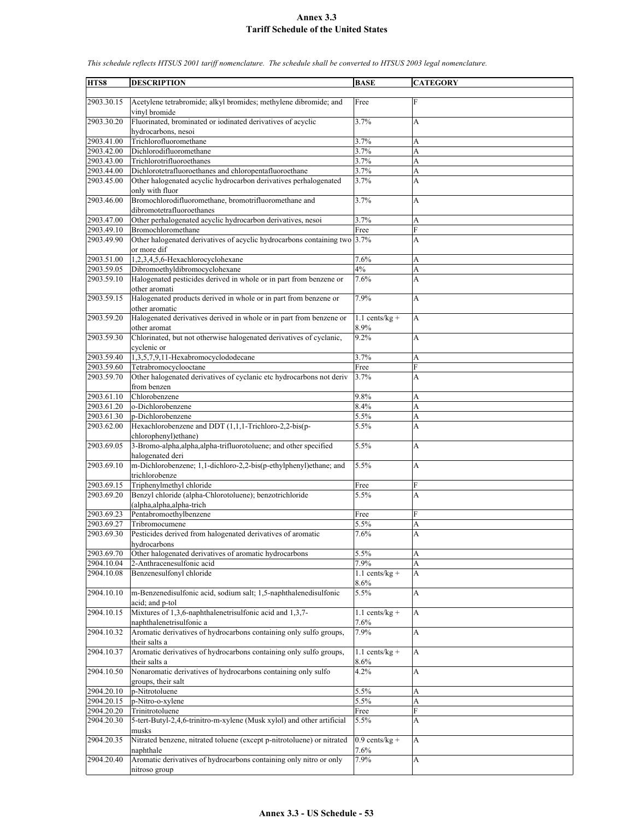| HTS8       |                                                                                          |                                     |                           |
|------------|------------------------------------------------------------------------------------------|-------------------------------------|---------------------------|
|            | <b>DESCRIPTION</b>                                                                       | <b>BASE</b>                         | <b>CATEGORY</b>           |
| 2903.30.15 | Acetylene tetrabromide; alkyl bromides; methylene dibromide; and<br>vinyl bromide        | Free                                | $\mathbf F$               |
| 2903.30.20 | Fluorinated, brominated or iodinated derivatives of acyclic                              | 3.7%                                | A                         |
|            | hydrocarbons, nesoi                                                                      |                                     |                           |
| 2903.41.00 | Trichlorofluoromethane                                                                   | 3.7%                                | A                         |
| 2903.42.00 | Dichlorodifluoromethane                                                                  | 3.7%                                | A                         |
| 2903.43.00 | Trichlorotrifluoroethanes                                                                | 3.7%                                | A                         |
| 2903.44.00 | Dichlorotetrafluoroethanes and chloropentafluoroethane                                   | 3.7%                                | A                         |
| 2903.45.00 | Other halogenated acyclic hydrocarbon derivatives perhalogenated<br>only with fluor      | 3.7%                                | A                         |
| 2903.46.00 | Bromochlorodifluoromethane, bromotrifluoromethane and<br>dibromotetrafluoroethanes       | 3.7%                                | A                         |
| 2903.47.00 | Other perhalogenated acyclic hydrocarbon derivatives, nesoi                              | 3.7%                                | A                         |
| 2903.49.10 | Bromochloromethane                                                                       | Free                                | F                         |
| 2903.49.90 | Other halogenated derivatives of acyclic hydrocarbons containing two 3.7%<br>or more dif |                                     | A                         |
| 2903.51.00 | 1,2,3,4,5,6-Hexachlorocyclohexane                                                        | 7.6%                                | A                         |
| 2903.59.05 | Dibromoethyldibromocyclohexane                                                           | 4%                                  | A                         |
| 2903.59.10 | Halogenated pesticides derived in whole or in part from benzene or<br>other aromati      | 7.6%                                | A                         |
| 2903.59.15 | Halogenated products derived in whole or in part from benzene or<br>other aromatic       | 7.9%                                | A                         |
| 2903.59.20 | Halogenated derivatives derived in whole or in part from benzene or<br>other aromat      | $1.1$ cents/kg +<br>8.9%            | A                         |
| 2903.59.30 | Chlorinated, but not otherwise halogenated derivatives of cyclanic,<br>cyclenic or       | 9.2%                                | A                         |
| 2903.59.40 | $1,3,5,7,9,$ <sup>11</sup> -Hexabromocyclododecane                                       | 3.7%                                | A                         |
| 2903.59.60 | Tetrabromocyclooctane                                                                    | Free                                | F                         |
| 2903.59.70 | Other halogenated derivatives of cyclanic etc hydrocarbons not deriv                     | 3.7%                                | A                         |
|            | from benzen                                                                              |                                     |                           |
| 2903.61.10 | Chlorobenzene                                                                            | 9.8%                                | A                         |
| 2903.61.20 | o-Dichlorobenzene                                                                        | 8.4%                                | A                         |
| 2903.61.30 | p-Dichlorobenzene                                                                        | 5.5%                                | A                         |
| 2903.62.00 | Hexachlorobenzene and DDT (1,1,1-Trichloro-2,2-bis(p-<br>chlorophenyl)ethane)            | 5.5%                                | A                         |
| 2903.69.05 | 3-Bromo-alpha,alpha,alpha-trifluorotoluene; and other specified<br>halogenated deri      | 5.5%                                | A                         |
| 2903.69.10 | m-Dichlorobenzene; 1,1-dichloro-2,2-bis(p-ethylphenyl)ethane; and<br>trichlorobenze      | 5.5%                                | A                         |
| 2903.69.15 | Triphenylmethyl chloride                                                                 | Free                                | F                         |
| 2903.69.20 | Benzyl chloride (alpha-Chlorotoluene); benzotrichloride<br>(alpha, alpha, alpha-trich    | 5.5%                                | A                         |
| 2903.69.23 | Pentabromoethylbenzene                                                                   | Free                                | F                         |
| 2903.69.27 | Tribromocumene                                                                           | 5.5%                                | A                         |
| 2903.69.30 | Pesticides derived from halogenated derivatives of aromatic<br>hydrocarbons              | 7.6%                                | A                         |
| 2903.69.70 | Other halogenated derivatives of aromatic hydrocarbons                                   | 5.5%                                | A                         |
| 2904.10.04 | 2-Anthracenesulfonic acid                                                                | 7.9%                                | A                         |
| 2904.10.08 | Benzenesulfonyl chloride                                                                 | $1.1$ cents/kg +<br>8.6%            | A                         |
| 2904.10.10 | m-Benzenedisulfonic acid, sodium salt; 1,5-naphthalenedisulfonic<br>acid; and p-tol      | 5.5%                                | A                         |
| 2904.10.15 | Mixtures of 1,3,6-naphthalenetrisulfonic acid and 1,3,7-<br>naphthalenetrisulfonic a     | $1.1$ cents/kg +<br>7.6%            | A                         |
| 2904.10.32 | Aromatic derivatives of hydrocarbons containing only sulfo groups,<br>their salts a      | 7.9%                                | A                         |
| 2904.10.37 | Aromatic derivatives of hydrocarbons containing only sulfo groups,<br>their salts a      | $1.1$ cents/kg +<br>$8.6\%$         | A                         |
| 2904.10.50 | Nonaromatic derivatives of hydrocarbons containing only sulfo                            | 4.2%                                | $\boldsymbol{\mathsf{A}}$ |
| 2904.20.10 | groups, their salt<br>p-Nitrotoluene                                                     | 5.5%                                | A                         |
| 2904.20.15 | p-Nitro-o-xylene                                                                         | 5.5%                                | A                         |
| 2904.20.20 | Trinitrotoluene                                                                          | Free                                | F                         |
| 2904.20.30 | 5-tert-Butyl-2,4,6-trinitro-m-xylene (Musk xylol) and other artificial                   |                                     | A                         |
|            | musks                                                                                    | 5.5%                                |                           |
| 2904.20.35 | Nitrated benzene, nitrated toluene (except p-nitrotoluene) or nitrated<br>naphthale      | $\overline{0.9}$ cents/kg +<br>7.6% | A                         |
| 2904.20.40 | Aromatic derivatives of hydrocarbons containing only nitro or only<br>nitroso group      | 7.9%                                | A                         |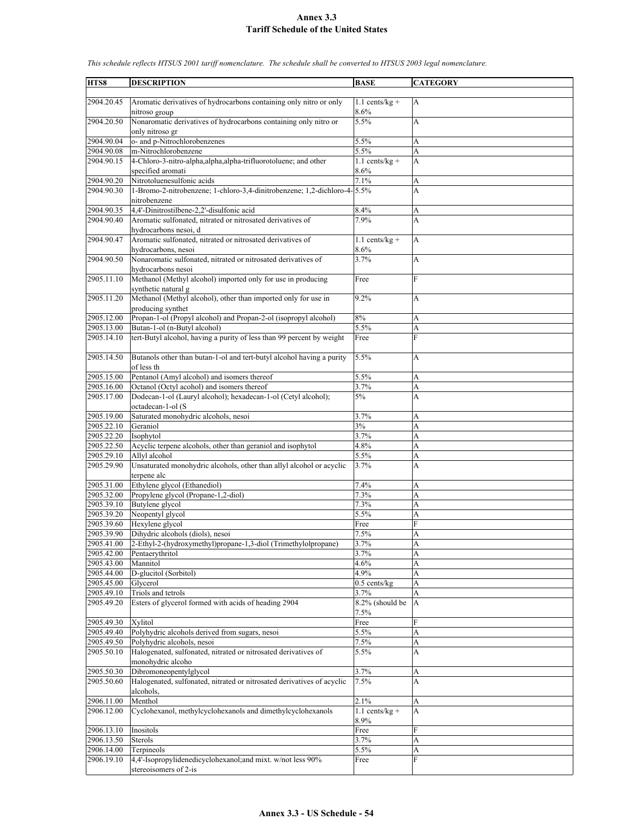| HTS8                     | <b>DESCRIPTION</b>                                                                    | <b>BASE</b>              | <b>CATEGORY</b> |
|--------------------------|---------------------------------------------------------------------------------------|--------------------------|-----------------|
|                          |                                                                                       |                          |                 |
| 2904.20.45               | Aromatic derivatives of hydrocarbons containing only nitro or only                    | $1.1$ cents/kg +         | A               |
|                          | nitroso group                                                                         | 8.6%                     |                 |
| 2904.20.50               | Nonaromatic derivatives of hydrocarbons containing only nitro or                      | 5.5%                     | A               |
|                          | only nitroso gr                                                                       |                          |                 |
| 2904.90.04               | o- and p-Nitrochlorobenzenes                                                          | 5.5%                     | А               |
| 2904.90.08               | m-Nitrochlorobenzene                                                                  | 5.5%                     | A               |
| 2904.90.15               | 4-Chloro-3-nitro-alpha, alpha, alpha-trifluorotoluene; and other<br>specified aromati | $1.1$ cents/kg +<br>8.6% | A               |
| 2904.90.20               | Nitrotoluenesulfonic acids                                                            | 7.1%                     | A               |
| 2904.90.30               | 1-Bromo-2-nitrobenzene; 1-chloro-3,4-dinitrobenzene; 1,2-dichloro-4-5.5%              |                          | A               |
|                          | nitrobenzene                                                                          |                          |                 |
| 2904.90.35               | 4,4'-Dinitrostilbene-2,2'-disulfonic acid                                             | 8.4%                     | A               |
| 2904.90.40               | Aromatic sulfonated, nitrated or nitrosated derivatives of                            | 7.9%                     | A               |
| 2904.90.47               | hydrocarbons nesoi, d                                                                 |                          |                 |
|                          | Aromatic sulfonated, nitrated or nitrosated derivatives of<br>hydrocarbons, nesoi     | $1.1$ cents/kg +<br>8.6% | A               |
| 2904.90.50               | Nonaromatic sulfonated, nitrated or nitrosated derivatives of                         | 3.7%                     | A               |
|                          | hydrocarbons nesoi                                                                    |                          |                 |
| 2905.11.10               | Methanol (Methyl alcohol) imported only for use in producing                          | Free                     | F               |
|                          | synthetic natural g                                                                   |                          |                 |
| 2905.11.20               | Methanol (Methyl alcohol), other than imported only for use in                        | 9.2%                     | A               |
| 2905.12.00               | producing synthet<br>Propan-1-ol (Propyl alcohol) and Propan-2-ol (isopropyl alcohol) | 8%                       |                 |
| 2905.13.00               | Butan-1-ol (n-Butyl alcohol)                                                          | 5.5%                     | А<br>A          |
| 2905.14.10               | tert-Butyl alcohol, having a purity of less than 99 percent by weight                 | Free                     | F               |
|                          |                                                                                       |                          |                 |
| 2905.14.50               | Butanols other than butan-1-ol and tert-butyl alcohol having a purity                 | 5.5%                     | A               |
|                          | of less th                                                                            |                          |                 |
| 2905.15.00               | Pentanol (Amyl alcohol) and isomers thereof                                           | 5.5%                     | A               |
| 2905.16.00               | Octanol (Octyl acohol) and isomers thereof                                            | 3.7%                     | A               |
| 2905.17.00               | Dodecan-1-ol (Lauryl alcohol); hexadecan-1-ol (Cetyl alcohol);                        | 5%                       | A               |
| 2905.19.00               | octadecan-1-ol (S<br>Saturated monohydric alcohols, nesoi                             | 3.7%                     | A               |
| 2905.22.10               | Geraniol                                                                              | 3%                       | A               |
| 2905.22.20               | Isophytol                                                                             | 3.7%                     | A               |
| 2905.22.50               | Acyclic terpene alcohols, other than geraniol and isophytol                           | 4.8%                     | A               |
| 2905.29.10               | Allyl alcohol                                                                         | 5.5%                     | A               |
| 2905.29.90               | Unsaturated monohydric alcohols, other than allyl alcohol or acyclic                  | 3.7%                     | A               |
| 2905.31.00               | terpene alc<br>Ethylene glycol (Ethanediol)                                           | 7.4%                     | A               |
| 2905.32.00               | Propylene glycol (Propane-1,2-diol)                                                   | 7.3%                     | A               |
| 2905.39.10               | Butylene glycol                                                                       | 7.3%                     | A               |
| 2905.39.20               | Neopentyl glycol                                                                      | 5.5%                     | A               |
| 2905.39.60               | Hexylene glycol                                                                       | Free                     | F               |
| 2905.39.90               | Dihydric alcohols (diols), nesoi                                                      | 7.5%                     | Δ               |
| 2905.41.00               | 2-Ethyl-2-(hydroxymethyl)propane-1,3-diol (Trimethylolpropane)                        | 3.7%                     | A               |
| 2905.42.00<br>2905.43.00 | Pentaerythritol<br>Mannitol                                                           | 3.7%<br>4.6%             | A<br>A          |
| 2905.44.00               | D-glucitol (Sorbitol)                                                                 | 4.9%                     | A               |
| 2905.45.00               | Glycerol                                                                              | $0.5$ cents/kg           | A               |
| 2905.49.10               | Triols and tetrols                                                                    | 3.7%                     | A               |
| 2905.49.20               | Esters of glycerol formed with acids of heading 2904                                  | 8.2% (should be          | A               |
|                          |                                                                                       | 7.5%                     |                 |
| 2905.49.30               | Xylitol                                                                               | Free                     | ${\rm F}$       |
| 2905.49.40<br>2905.49.50 | Polyhydric alcohols derived from sugars, nesoi<br>Polyhydric alcohols, nesoi          | 5.5%<br>7.5%             | A<br>A          |
| 2905.50.10               | Halogenated, sulfonated, nitrated or nitrosated derivatives of                        | 5.5%                     | A               |
|                          | monohydric alcoho                                                                     |                          |                 |
| 2905.50.30               | Dibromoneopentylglycol                                                                | 3.7%                     | A               |
| 2905.50.60               | Halogenated, sulfonated, nitrated or nitrosated derivatives of acyclic                | 7.5%                     | A               |
|                          | alcohols.                                                                             |                          |                 |
| 2906.11.00               | Menthol                                                                               | 2.1%                     | А               |
| 2906.12.00               | Cyclohexanol, methylcyclohexanols and dimethylcyclohexanols                           | $1.1$ cents/kg +<br>8.9% | A               |
| 2906.13.10               | Inositols                                                                             | Free                     | F               |
| 2906.13.50               | Sterols                                                                               | 3.7%                     | A               |
| 2906.14.00               | Terpineols                                                                            | 5.5%                     | A               |
| 2906.19.10               | 4,4'-Isopropylidenedicyclohexanol; and mixt. w/not less 90%                           | Free                     | F               |
|                          | stereoisomers of 2-is                                                                 |                          |                 |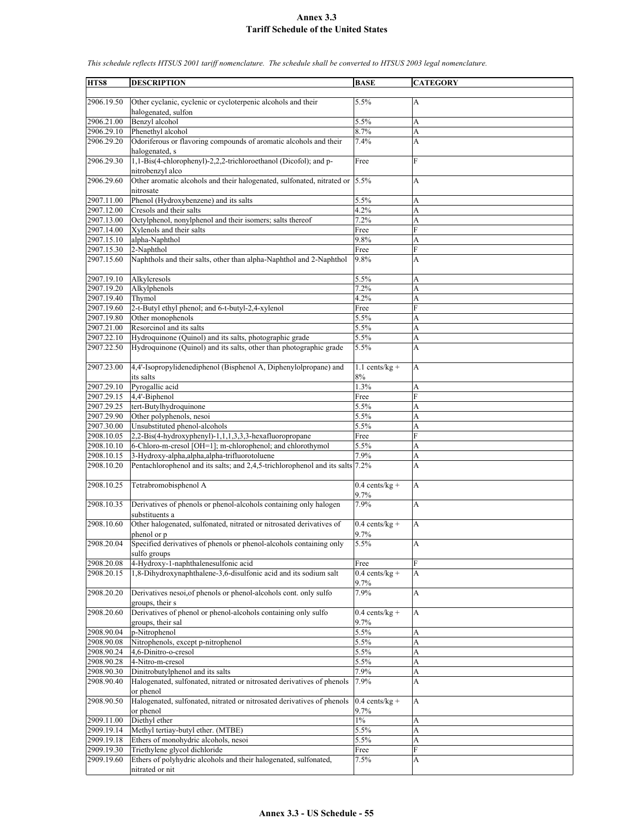**HTS8 DESCRIPTION BASE CATEGORY** 2906.19.50 Other cyclanic, cyclenic or cycloterpenic alcohols and their halogenated, sulfon 5.5% A  $2906.21.00$  Benzyl alcohol  $5.5\%$  A 2906.29.10 Phenethyl alcohol 8.7% A 2906.29.20 Odoriferous or flavoring compounds of aromatic alcohols and their halogenated, s 7.4% A  $2906.29.30$  1,1-Bis(4-chlorophenyl)-2,2,2-trichloroethanol (Dicofol); and pnitrobenzyl alco Free F 2906.29.60 Other aromatic alcohols and their halogenated, sulfonated, nitrated or nitrosate 5.5% A 2907.11.00 Phenol (Hydroxybenzene) and its salts 5.5% A 2907.12.00 Cresols and their salts 4.2% A 2907.13.00 Octylphenol, nonylphenol and their isomers; salts thereof 7.2% A 2907.14.00 Xylenols and their salts Free 2907.15.10 alpha-Naphthol 9.8% 9.8% 2907.15.30 2-Naphthol Free 2907.15.60 Naphthols and their salts, other than alpha-Naphthol and 2-Naphthol 9.8% A 2907.19.10 Alkylcresols 5.5% 5.5% Alkylphenols 5.5% Alkylphenols 5.5% Alkylphenols 5.5% Alkylphenols 5.5% Alkylphenols 5.5% Alkylphenols 5.5% Alkylphenols 5.5% Alkylphenols 5.5% Alkylphenols 5.5% Alkylphenols 5.5% Alkylphe Alkylphenols 7.2% A<br>
Thymol 4.2% A 2907.19.40 Thymol 4.2% A 2907.19.60 2-t-Butyl ethyl phenol; and 6-t-butyl-2,4-xylenol Free F 2907.19.80 Other monophenols 5.5% A  $2907.21.00$  Resorcinol and its salts  $5.5\%$  A 2907.22.10 Hydroquinone (Quinol) and its salts, photographic grade 5.5% A<br>2907.22.50 Hydroquinone (Quinol) and its salts, other than photographic grade 5.5% A Hydroquinone (Quinol) and its salts, other than photographic grade  $\vert$  5.5%  $\vert$  A 2907.23.00 4,4'-Isopropylidenediphenol (Bisphenol A, Diphenylolpropane) and its salts  $1.1$  cents/kg +  $\frac{8\%}{1.3\%}$ A 2907.29.10 Pyrogallic acid 2907.29.15 4,4'-Biphenol Free 2907.29.25 tert-Butylhydroquinone 5.5% A 2907.29.90 Other polyphenols, nesoi 5.5% A 2907.30.00 Unsubstituted phenol-alcohols 5.5% A 2908.10.05 2,2-Bis(4-hydroxyphenyl)-1,1,1,3,3,3-hexafluoropropane Free F 2908.10.10 6-Chloro-m-cresol [OH=1]; m-chlorophenol; and chlorothymol 5.5% A<br>2908.10.15 3-Hvdroxv-alpha.alpha.alpha-trifluorotoluene 7.9% A 2908.10.15 3-Hydroxy-alpha,alpha,alpha-trifluorotoluene 7.9% A 2908.10.20 Pentachlorophenol and its salts; and 2,4,5-trichlorophenol and its salts 7.2% A 2908.10.25 Tetrabromobisphenol A 0.4 cents/kg + 9.7% A 2908.10.35 Derivatives of phenols or phenol-alcohols containing only halogen substituents a 7.9% A 2908.10.60 Other halogenated, sulfonated, nitrated or nitrosated derivatives of phenol or p 0.4 cents/kg + 9.7% A 2908.20.04 Specified derivatives of phenols or phenol-alcohols containing only sulfo groups 5.5% A 2908.20.08 4-Hydroxy-1-naphthalenesulfonic acid Free 2908.20.15 | 1,8-Dihydroxynaphthalene-3,6-disulfonic acid and its sodium salt  $\qquad$  | 0.4 cents/kg + 9.7% A 2908.20.20 Derivatives nesoi,of phenols or phenol-alcohols cont. only sulfo groups, their s 7.9% A 2908.20.60 Derivatives of phenol or phenol-alcohols containing only sulfo groups, their sal  $0.4$  cents/kg +  $\frac{9.7\%}{5.5\%}$ A 2908.90.04 p-Nitrophenol 2908.90.08 Nitrophenols, except p-nitrophenol 5.5% A 2908.90.24 4,6-Dinitro-o-cresol 5.5% A 2908.90.28 4-Nitro-m-cresol 5.5% A<br>2908.90.30 Dinitrobutylphenol and its salts 7.9% A 2908.90.30 Dinitrobutylphenol and its salts 7.9% A 2908.90.40 Halogenated, sulfonated, nitrated or nitrosated derivatives of phenols or phenol 7.9% A 2908.90.50 Halogenated, sulfonated, nitrated or nitrosated derivatives of phenols or phenol  $0.4$  cents/kg +  $9.7%$ A 2909.11.00 Diethyl ether  $1\%$  A 2909.19.14 Methyl tertiay-butyl ether. (MTBE) 5.5% 5.5% A 2909.19.18 Ethers of monohydric alcohols, nesoi 5.5% A 2909.19.30 Triethylene glycol dichloride Free Free 2909.19.60 Ethers of polyhydric alcohols and their halogenated, sulfonated, nitrated or nit  $7.5\%$  A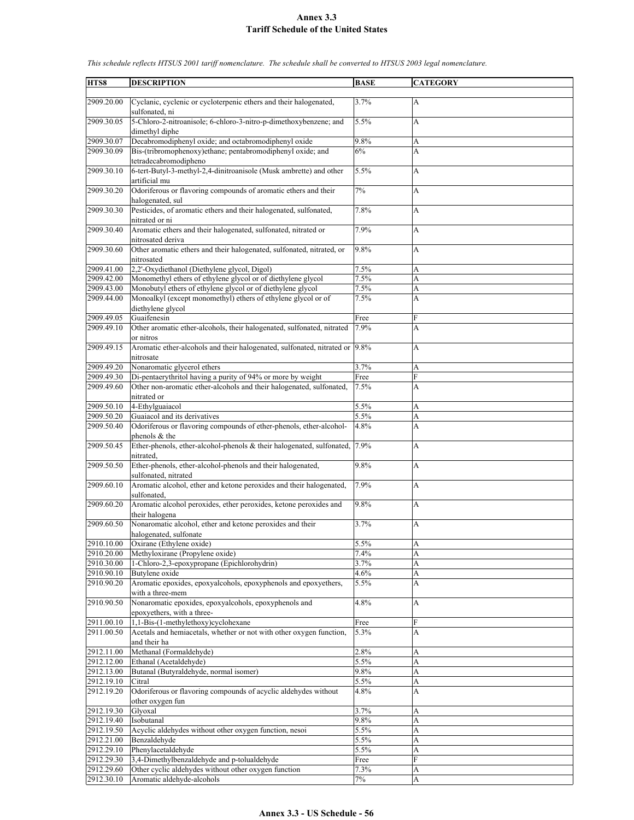| HTS8       | <b>DESCRIPTION</b>                                                                                       | <b>BASE</b> | <b>CATEGORY</b> |
|------------|----------------------------------------------------------------------------------------------------------|-------------|-----------------|
|            |                                                                                                          |             |                 |
| 2909.20.00 | Cyclanic, cyclenic or cycloterpenic ethers and their halogenated,<br>sulfonated, ni                      | 3.7%        | $\mathbf{A}$    |
| 2909.30.05 | 5-Chloro-2-nitroanisole; 6-chloro-3-nitro-p-dimethoxybenzene; and<br>dimethyl diphe                      | 5.5%        | A               |
| 2909.30.07 | Decabromodiphenyl oxide; and octabromodiphenyl oxide                                                     | 9.8%        | A               |
| 2909.30.09 | Bis-(tribromophenoxy)ethane; pentabromodiphenyl oxide; and<br>tetradecabromodipheno                      | 6%          | A               |
| 2909.30.10 | 6-tert-Butyl-3-methyl-2,4-dinitroanisole (Musk ambrette) and other                                       | 5.5%        | A               |
| 2909.30.20 | artificial mu<br>Odoriferous or flavoring compounds of aromatic ethers and their                         | 7%          | A               |
| 2909.30.30 | halogenated, sul<br>Pesticides, of aromatic ethers and their halogenated, sulfonated,                    | 7.8%        | A               |
| 2909.30.40 | nitrated or ni<br>Aromatic ethers and their halogenated, sulfonated, nitrated or                         | 7.9%        | A               |
| 2909.30.60 | nitrosated deriva<br>Other aromatic ethers and their halogenated, sulfonated, nitrated, or<br>nitrosated | 9.8%        | A               |
| 2909.41.00 | 2,2'-Oxydiethanol (Diethylene glycol, Digol)                                                             | 7.5%        | A               |
| 2909.42.00 | Monomethyl ethers of ethylene glycol or of diethylene glycol                                             | 7.5%        | A               |
| 2909.43.00 | Monobutyl ethers of ethylene glycol or of diethylene glycol                                              | 7.5%        | A               |
| 2909.44.00 | Monoalkyl (except monomethyl) ethers of ethylene glycol or of<br>diethylene glycol                       | 7.5%        | A               |
| 2909.49.05 | Guaifenesin                                                                                              | Free        | F               |
| 2909.49.10 | Other aromatic ether-alcohols, their halogenated, sulfonated, nitrated<br>or nitros                      | 7.9%        | A               |
| 2909.49.15 | Aromatic ether-alcohols and their halogenated, sulfonated, nitrated or 9.8%<br>nitrosate                 |             | A               |
| 2909.49.20 | Nonaromatic glycerol ethers                                                                              | 3.7%        | A               |
| 2909.49.30 | Di-pentaerythritol having a purity of 94% or more by weight                                              | Free        | F               |
| 2909.49.60 | Other non-aromatic ether-alcohols and their halogenated, sulfonated,<br>nitrated or                      | 7.5%        | A               |
| 2909.50.10 | 4-Ethylguaiacol                                                                                          | 5.5%        | A               |
| 2909.50.20 | Guaiacol and its derivatives                                                                             | 5.5%        | A               |
| 2909.50.40 | Odoriferous or flavoring compounds of ether-phenols, ether-alcohol-<br>phenols & the                     | 4.8%        | A               |
| 2909.50.45 | Ether-phenols, ether-alcohol-phenols & their halogenated, sulfonated,<br>nitrated.                       | 7.9%        | A               |
| 2909.50.50 | Ether-phenols, ether-alcohol-phenols and their halogenated,<br>sulfonated, nitrated                      | 9.8%        | A               |
| 2909.60.10 | Aromatic alcohol, ether and ketone peroxides and their halogenated,<br>sulfonated.                       | 7.9%        | A               |
| 2909.60.20 | Aromatic alcohol peroxides, ether peroxides, ketone peroxides and<br>their halogena                      | 9.8%        | A               |
| 2909.60.50 | Nonaromatic alcohol, ether and ketone peroxides and their<br>halogenated, sulfonate                      | 3.7%        | A               |
| 2910.10.00 | Oxirane (Ethylene oxide)                                                                                 | 5.5%        | A               |
| 2910.20.00 | Methyloxirane (Propylene oxide)                                                                          | 7.4%        | A               |
| 2910.30.00 | 1-Chloro-2,3-epoxypropane (Epichlorohydrin)                                                              | 3.7%        | A               |
| 2910.90.10 | Butylene oxide                                                                                           | 4.6%        | A               |
| 2910.90.20 | Aromatic epoxides, epoxyalcohols, epoxyphenols and epoxyethers,<br>with a three-mem                      | $5.5\%$     | A               |
| 2910.90.50 | Nonaromatic epoxides, epoxyalcohols, epoxyphenols and<br>epoxyethers, with a three-                      | 4.8%        | A               |
| 2911.00.10 | 1,1-Bis-(1-methylethoxy)cyclohexane                                                                      | Free        | F               |
| 2911.00.50 | Acetals and hemiacetals, whether or not with other oxygen function,                                      | 5.3%        | A               |
|            | and their ha                                                                                             |             |                 |
| 2912.11.00 | Methanal (Formaldehyde)                                                                                  | 2.8%        | A               |
| 2912.12.00 | Ethanal (Acetaldehyde)                                                                                   | 5.5%        | A               |
| 2912.13.00 | Butanal (Butyraldehyde, normal isomer)                                                                   | 9.8%        | A               |
| 2912.19.10 | Citral                                                                                                   | 5.5%        | A               |
| 2912.19.20 | Odoriferous or flavoring compounds of acyclic aldehydes without<br>other oxygen fun                      | 4.8%        | A               |
| 2912.19.30 | Glyoxal                                                                                                  | 3.7%        | А               |
| 2912.19.40 | Isobutanal                                                                                               | 9.8%        | A               |
| 2912.19.50 | Acyclic aldehydes without other oxygen function, nesoi                                                   | 5.5%        | A               |
| 2912.21.00 | Benzaldehyde                                                                                             | 5.5%        | A               |
| 2912.29.10 | Phenylacetaldehyde                                                                                       | 5.5%        | A               |
| 2912.29.30 | 3,4-Dimethylbenzaldehyde and p-tolualdehyde                                                              | Free        | F               |
| 2912.29.60 | Other cyclic aldehydes without other oxygen function                                                     | 7.3%        | A               |
| 2912.30.10 | Aromatic aldehyde-alcohols                                                                               | $7\%$       | A               |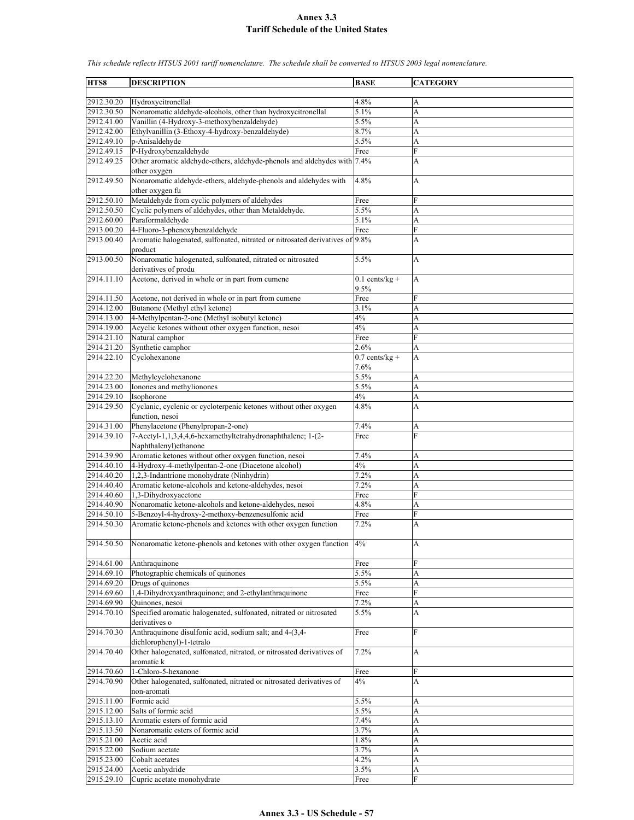| HTS8       | <b>DESCRIPTION</b>                                                                  | <b>BASE</b>      | <b>CATEGORY</b> |
|------------|-------------------------------------------------------------------------------------|------------------|-----------------|
|            |                                                                                     |                  |                 |
| 2912.30.20 | Hydroxycitronellal                                                                  | 4.8%             | A               |
| 2912.30.50 | Nonaromatic aldehyde-alcohols, other than hydroxycitronellal                        | 5.1%             | A               |
| 2912.41.00 | Vanillin (4-Hydroxy-3-methoxybenzaldehyde)                                          | 5.5%             | A               |
| 2912.42.00 | Ethylvanillin (3-Ethoxy-4-hydroxy-benzaldehyde)                                     | 8.7%             | A               |
| 2912.49.10 | p-Anisaldehyde                                                                      | 5.5%             | A               |
| 2912.49.15 | P-Hydroxybenzaldehyde                                                               | Free             | F               |
| 2912.49.25 | Other aromatic aldehyde-ethers, aldehyde-phenols and aldehydes with 7.4%            |                  | А               |
|            | other oxygen                                                                        |                  |                 |
| 2912.49.50 | Nonaromatic aldehyde-ethers, aldehyde-phenols and aldehydes with<br>other oxygen fu | 4.8%             | A               |
| 2912.50.10 | Metaldehyde from cyclic polymers of aldehydes                                       | Free             | F               |
| 2912.50.50 | Cyclic polymers of aldehydes, other than Metaldehyde.                               | 5.5%             | A               |
| 2912.60.00 | Paraformaldehyde                                                                    | 5.1%             | A               |
| 2913.00.20 | 4-Fluoro-3-phenoxybenzaldehyde                                                      | Free             | F               |
| 2913.00.40 | Aromatic halogenated, sulfonated, nitrated or nitrosated derivatives of 9.8%        |                  | A               |
|            | product                                                                             |                  |                 |
| 2913.00.50 | Nonaromatic halogenated, sulfonated, nitrated or nitrosated                         | 5.5%             | A               |
|            | derivatives of produ                                                                |                  |                 |
| 2914.11.10 | Acetone, derived in whole or in part from cumene                                    | $0.1$ cents/kg + | A               |
|            |                                                                                     | 9.5%             |                 |
| 2914.11.50 | Acetone, not derived in whole or in part from cumene                                | Free             | F               |
| 2914.12.00 | Butanone (Methyl ethyl ketone)                                                      | 3.1%             | A               |
| 2914.13.00 | 4-Methylpentan-2-one (Methyl isobutyl ketone)                                       | 4%               | A               |
| 2914.19.00 | Acyclic ketones without other oxygen function, nesoi                                | 4%               | A               |
| 2914.21.10 | Natural camphor                                                                     | Free             | F               |
| 2914.21.20 | Synthetic camphor                                                                   | 2.6%             |                 |
|            |                                                                                     |                  | A               |
| 2914.22.10 | Cyclohexanone                                                                       | $0.7$ cents/kg + | A               |
|            |                                                                                     | 7.6%             |                 |
| 2914.22.20 | Methylcyclohexanone                                                                 | 5.5%             | A               |
| 2914.23.00 | Ionones and methylionones                                                           | 5.5%             | A               |
| 2914.29.10 | Isophorone                                                                          | 4%               | A               |
| 2914.29.50 | Cyclanic, cyclenic or cycloterpenic ketones without other oxygen                    | 4.8%             | A               |
|            | function, nesoi                                                                     |                  |                 |
| 2914.31.00 | Phenylacetone (Phenylpropan-2-one)                                                  | 7.4%             | А               |
| 2914.39.10 | 7-Acetyl-1,1,3,4,4,6-hexamethyltetrahydronaphthalene; 1-(2-                         | Free             | F               |
|            | Naphthalenyl) ethanone                                                              |                  |                 |
| 2914.39.90 | Aromatic ketones without other oxygen function, nesoi                               | 7.4%             | A               |
| 2914.40.10 | 4-Hydroxy-4-methylpentan-2-one (Diacetone alcohol)                                  | 4%               | A               |
| 2914.40.20 | 1,2,3-Indantrione monohydrate (Ninhydrin)                                           | 7.2%             | A               |
| 2914.40.40 |                                                                                     |                  |                 |
|            | Aromatic ketone-alcohols and ketone-aldehydes, nesoi                                | 7.2%             | A               |
| 2914.40.60 | 1,3-Dihydroxyacetone                                                                | Free             | F               |
| 2914.40.90 | Nonaromatic ketone-alcohols and ketone-aldehydes, nesoi                             | 4.8%             | A               |
| 2914.50.10 | 5-Benzoyl-4-hydroxy-2-methoxy-benzenesulfonic acid                                  | Free             | F               |
| 2914.50.30 | Aromatic ketone-phenols and ketones with other oxygen function                      | 7.2%             | A               |
| 2914.50.50 | Nonaromatic ketone-phenols and ketones with other oxygen function                   | 4%               | A               |
|            |                                                                                     |                  |                 |
| 2914.61.00 | Anthraquinone                                                                       |                  | F               |
|            |                                                                                     | Free             |                 |
| 2914.69.10 | Photographic chemicals of quinones                                                  | 5.5%             | A               |
| 2914.69.20 | Drugs of quinones                                                                   | 5.5%             | А               |
| 2914.69.60 | 1,4-Dihydroxyanthraquinone; and 2-ethylanthraquinone                                | Free             | F               |
| 2914.69.90 | Quinones, nesoi                                                                     | 7.2%             | A               |
| 2914.70.10 | Specified aromatic halogenated, sulfonated, nitrated or nitrosated                  | 5.5%             | А               |
|            | derivatives o                                                                       |                  |                 |
| 2914.70.30 | Anthraquinone disulfonic acid, sodium salt; and 4-(3,4-                             | Free             | F               |
|            | dichlorophenyl)-1-tetralo                                                           |                  |                 |
| 2914.70.40 | Other halogenated, sulfonated, nitrated, or nitrosated derivatives of               | 7.2%             | А               |
|            | aromatic k                                                                          |                  |                 |
| 2914.70.60 | 1-Chloro-5-hexanone                                                                 | Free             | F               |
| 2914.70.90 | Other halogenated, sulfonated, nitrated or nitrosated derivatives of                | 4%               | A               |
|            | non-aromati                                                                         |                  |                 |
| 2915.11.00 | Formic acid                                                                         | 5.5%             | А               |
| 2915.12.00 | Salts of formic acid                                                                | 5.5%             | A               |
|            |                                                                                     |                  |                 |
| 2915.13.10 | Aromatic esters of formic acid                                                      | 7.4%             | A               |
| 2915.13.50 | Nonaromatic esters of formic acid                                                   | 3.7%             | A               |
| 2915.21.00 | Acetic acid                                                                         | 1.8%             | A               |
| 2915.22.00 | Sodium acetate                                                                      | 3.7%             | A               |
| 2915.23.00 | Cobalt acetates                                                                     | 4.2%             | A               |
| 2915.24.00 | Acetic anhydride                                                                    | 3.5%             | A               |
| 2915.29.10 | Cupric acetate monohydrate                                                          | Free             | F               |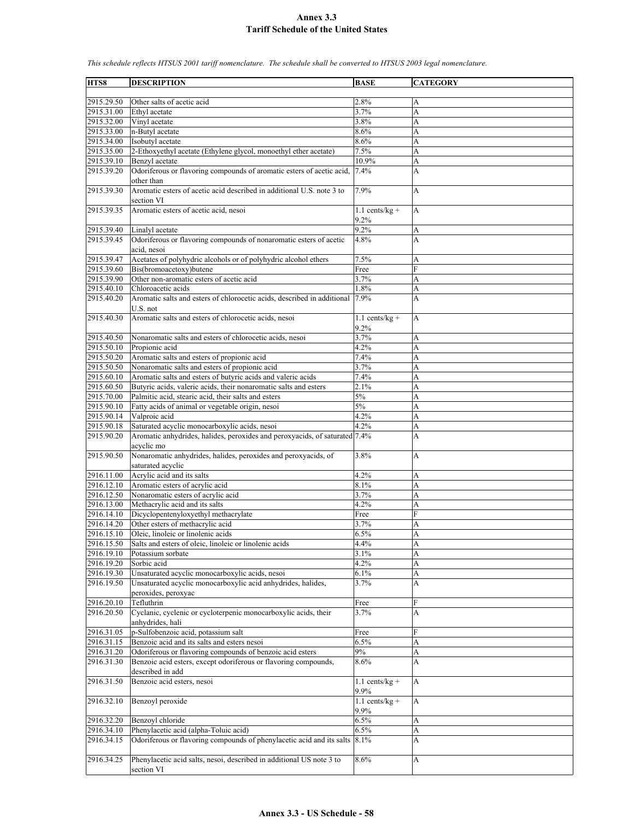| HTS8       | <b>DESCRIPTION</b>                                                         | <b>BASE</b>      | <b>CATEGORY</b> |
|------------|----------------------------------------------------------------------------|------------------|-----------------|
|            |                                                                            |                  |                 |
| 2915.29.50 | Other salts of acetic acid                                                 | 2.8%             | А               |
| 2915.31.00 | Ethyl acetate                                                              | 3.7%             | A               |
| 2915.32.00 | Vinyl acetate                                                              | 3.8%             | A               |
|            |                                                                            |                  |                 |
| 2915.33.00 | n-Butyl acetate                                                            | 8.6%             | A               |
| 2915.34.00 | Isobutyl acetate                                                           | 8.6%             | A               |
| 2915.35.00 | 2-Ethoxyethyl acetate (Ethylene glycol, monoethyl ether acetate)           | 7.5%             | A               |
| 2915.39.10 | Benzyl acetate                                                             | 10.9%            | A               |
| 2915.39.20 | Odoriferous or flavoring compounds of aromatic esters of acetic acid,      | 7.4%             | A               |
|            | other than                                                                 |                  |                 |
|            |                                                                            |                  |                 |
| 2915.39.30 | Aromatic esters of acetic acid described in additional U.S. note 3 to      | 7.9%             | A               |
|            | section VI                                                                 |                  |                 |
| 2915.39.35 | Aromatic esters of acetic acid, nesoi                                      | $1.1$ cents/kg + | A               |
|            |                                                                            | 9.2%             |                 |
| 2915.39.40 | Linalyl acetate                                                            | 9.2%             | A               |
| 2915.39.45 | Odoriferous or flavoring compounds of nonaromatic esters of acetic         | 4.8%             | A               |
|            |                                                                            |                  |                 |
|            | acid, nesoi                                                                |                  |                 |
| 2915.39.47 | Acetates of polyhydric alcohols or of polyhydric alcohol ethers            | 7.5%             | A               |
| 2915.39.60 | Bis(bromoacetoxy)butene                                                    | Free             | F               |
| 2915.39.90 | Other non-aromatic esters of acetic acid                                   | 3.7%             | A               |
| 2915.40.10 | Chloroacetic acids                                                         | $1.8\%$          | A               |
| 2915.40.20 | Aromatic salts and esters of chlorocetic acids, described in additional    | 7.9%             | A               |
|            |                                                                            |                  |                 |
|            | U.S. not                                                                   |                  |                 |
| 2915.40.30 | Aromatic salts and esters of chlorocetic acids, nesoi                      | $1.1$ cents/kg + | A               |
|            |                                                                            | 9.2%             |                 |
| 2915.40.50 | Nonaromatic salts and esters of chlorocetic acids, nesoi                   | 3.7%             | A               |
| 2915.50.10 | Propionic acid                                                             | 4.2%             | A               |
|            |                                                                            |                  |                 |
| 2915.50.20 | Aromatic salts and esters of propionic acid                                | 7.4%             | A               |
| 2915.50.50 | Nonaromatic salts and esters of propionic acid                             | 3.7%             | A               |
| 2915.60.10 | Aromatic salts and esters of butyric acids and valeric acids               | 7.4%             | A               |
| 2915.60.50 | Butyric acids, valeric acids, their nonaromatic salts and esters           | 2.1%             | A               |
| 2915.70.00 | Palmitic acid, stearic acid, their salts and esters                        | 5%               | A               |
| 2915.90.10 | Fatty acids of animal or vegetable origin, nesoi                           | $5\%$            | A               |
|            |                                                                            |                  |                 |
| 2915.90.14 | Valproic acid                                                              | 4.2%             | A               |
| 2915.90.18 | Saturated acyclic monocarboxylic acids, nesoi                              | 4.2%             | A               |
| 2915.90.20 | Aromatic anhydrides, halides, peroxides and peroxyacids, of saturated 7.4% |                  | A               |
|            | acyclic mo                                                                 |                  |                 |
| 2915.90.50 | Nonaromatic anhydrides, halides, peroxides and peroxyacids, of             | 3.8%             | A               |
|            |                                                                            |                  |                 |
|            | saturated acyclic                                                          |                  |                 |
| 2916.11.00 | Acrylic acid and its salts                                                 | 4.2%             | A               |
| 2916.12.10 | Aromatic esters of acrylic acid                                            | 8.1%             | A               |
| 2916.12.50 | Nonaromatic esters of acrylic acid                                         | 3.7%             | A               |
| 2916.13.00 | Methacrylic acid and its salts                                             | 4.2%             | A               |
| 2916.14.10 | Dicyclopentenyloxyethyl methacrylate                                       | Free             | F               |
| 2916.14.20 | Other esters of methacrylic acid                                           | 3.7%             | A               |
|            |                                                                            |                  |                 |
| 2916.15.10 | Oleic, linoleic or linolenic acids                                         | 6.5%             | A               |
| 2916.15.50 | Salts and esters of oleic, linoleic or linolenic acids                     | 4.4%             | A               |
| 2916.19.10 | Potassium sorbate                                                          | 3.1%             | A               |
| 2916.19.20 | Sorbic acid                                                                | 4.2%             | A               |
| 2916.19.30 | Unsaturated acyclic monocarboxylic acids, nesoi                            | 6.1%             | A               |
|            |                                                                            |                  |                 |
| 2916.19.50 | Unsaturated acyclic monocarboxylic acid anhydrides, halides,               | 3.7%             | А               |
|            | peroxides, peroxyac                                                        |                  |                 |
| 2916.20.10 | Tefluthrin                                                                 | Free             | F               |
| 2916.20.50 | Cyclanic, cyclenic or cycloterpenic monocarboxylic acids, their            | 3.7%             | A               |
|            | anhydrides, hali                                                           |                  |                 |
|            | p-Sulfobenzoic acid, potassium salt                                        |                  | F               |
| 2916.31.05 |                                                                            | Free             |                 |
| 2916.31.15 | Benzoic acid and its salts and esters nesoi                                | 6.5%             | A               |
| 2916.31.20 | Odoriferous or flavoring compounds of benzoic acid esters                  | $9\%$            | A               |
| 2916.31.30 | Benzoic acid esters, except odoriferous or flavoring compounds,            | 8.6%             | A               |
|            | described in add                                                           |                  |                 |
| 2916.31.50 | Benzoic acid esters, nesoi                                                 | $1.1$ cents/kg + | A               |
|            |                                                                            |                  |                 |
|            |                                                                            | 9.9%             |                 |
| 2916.32.10 | Benzoyl peroxide                                                           | $1.1$ cents/kg + | A               |
|            |                                                                            | 9.9%             |                 |
| 2916.32.20 | Benzoyl chloride                                                           | 6.5%             | A               |
| 2916.34.10 | Phenylacetic acid (alpha-Toluic acid)                                      | 6.5%             | A               |
|            |                                                                            |                  |                 |
| 2916.34.15 | Odoriferous or flavoring compounds of phenylacetic acid and its salts      | 8.1%             | A               |
|            |                                                                            |                  |                 |
| 2916.34.25 | Phenylacetic acid salts, nesoi, described in additional US note 3 to       | 8.6%             | A               |
|            | section VI                                                                 |                  |                 |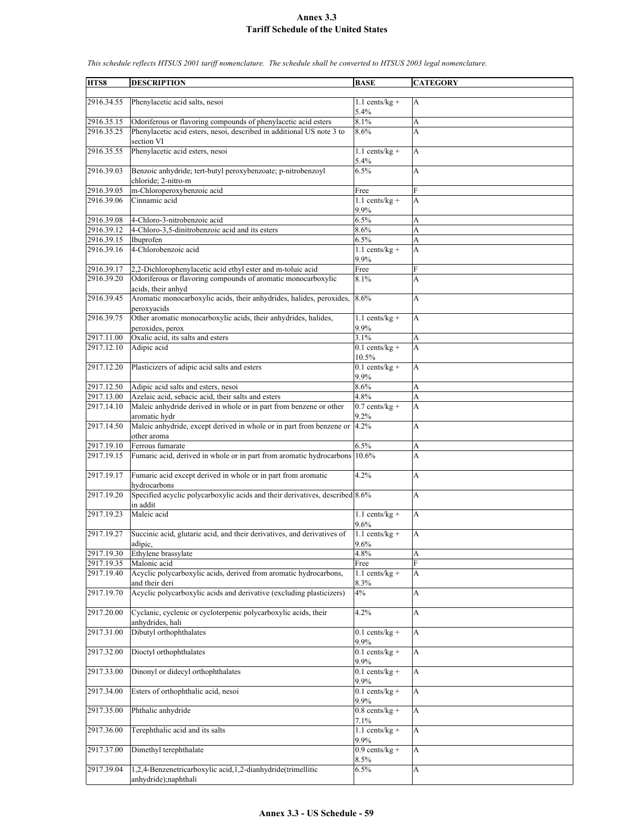| HTS8       | <b>DESCRIPTION</b>                                                                         | <b>BASE</b>              | <b>CATEGORY</b> |
|------------|--------------------------------------------------------------------------------------------|--------------------------|-----------------|
|            |                                                                                            |                          |                 |
| 2916.34.55 | Phenylacetic acid salts, nesoi                                                             | $1.1$ cents/kg +         | A               |
|            |                                                                                            | 5.4%                     |                 |
| 2916.35.15 | Odoriferous or flavoring compounds of phenylacetic acid esters                             | 8.1%                     | A               |
| 2916.35.25 | Phenylacetic acid esters, nesoi, described in additional US note 3 to                      | 8.6%                     | A               |
|            | section VI                                                                                 |                          |                 |
| 2916.35.55 | Phenylacetic acid esters, nesoi                                                            | $1.1$ cents/kg +         | A               |
|            |                                                                                            | 5.4%                     |                 |
| 2916.39.03 | Benzoic anhydride; tert-butyl peroxybenzoate; p-nitrobenzoyl                               | 6.5%                     | A               |
|            | chloride; 2-nitro-m                                                                        |                          |                 |
| 2916.39.05 | m-Chloroperoxybenzoic acid                                                                 | Free                     | F               |
| 2916.39.06 | Cinnamic acid                                                                              | $1.1$ cents/kg +         | A               |
|            |                                                                                            | 9.9%                     |                 |
| 2916.39.08 | 4-Chloro-3-nitrobenzoic acid                                                               | 6.5%                     | A               |
| 2916.39.12 | 4-Chloro-3,5-dinitrobenzoic acid and its esters                                            | 8.6%                     | A               |
| 2916.39.15 | Ibuprofen                                                                                  | 6.5%                     | A               |
| 2916.39.16 | 4-Chlorobenzoic acid                                                                       | $1.1$ cents/kg +         | A               |
|            |                                                                                            | 9.9%                     |                 |
| 2916.39.17 | 2,2-Dichlorophenylacetic acid ethyl ester and m-toluic acid                                | Free                     | F               |
| 2916.39.20 | Odoriferous or flavoring compounds of aromatic monocarboxylic                              | 8.1%                     | A               |
| 2916.39.45 | acids, their anhyd<br>Aromatic monocarboxylic acids, their anhydrides, halides, peroxides, | 8.6%                     |                 |
|            | peroxyacids                                                                                |                          | A               |
| 2916.39.75 | Other aromatic monocarboxylic acids, their anhydrides, halides,                            | $1.1$ cents/kg +         | A               |
|            | peroxides, perox                                                                           | 9.9%                     |                 |
| 2917.11.00 | Oxalic acid, its salts and esters                                                          | 3.1%                     | A               |
| 2917.12.10 | Adipic acid                                                                                | $0.1$ cents/kg +         | A               |
|            |                                                                                            | 10.5%                    |                 |
| 2917.12.20 | Plasticizers of adipic acid salts and esters                                               | $0.1$ cents/kg +         | A               |
|            |                                                                                            | 9.9%                     |                 |
| 2917.12.50 | Adipic acid salts and esters, nesoi                                                        | 8.6%                     | A               |
| 2917.13.00 | Azelaic acid, sebacic acid, their salts and esters                                         | 4.8%                     | A               |
| 2917.14.10 | Maleic anhydride derived in whole or in part from benzene or other                         | $0.7$ cents/kg +         | A               |
|            | aromatic hydr                                                                              | 9.2%                     |                 |
| 2917.14.50 | Maleic anhydride, except derived in whole or in part from benzene or                       | 4.2%                     | A               |
|            | other aroma                                                                                |                          |                 |
| 2917.19.10 | Ferrous fumarate                                                                           | 6.5%                     | A               |
| 2917.19.15 | Fumaric acid, derived in whole or in part from aromatic hydrocarbons                       | 10.6%                    | A               |
|            |                                                                                            |                          |                 |
| 2917.19.17 | Fumaric acid except derived in whole or in part from aromatic                              | 4.2%                     | A               |
|            | hydrocarbons                                                                               |                          |                 |
| 2917.19.20 | Specified acyclic polycarboxylic acids and their derivatives, described 8.6%               |                          | A               |
|            | in addit                                                                                   |                          |                 |
| 2917.19.23 | Maleic acid                                                                                | $1.1$ cents/kg +         | A               |
|            |                                                                                            | 9.6%                     |                 |
| 2917.19.27 | Succinic acid, glutaric acid, and their derivatives, and derivatives of                    | $1.1$ cents/kg +         | A               |
|            | adipic,                                                                                    | 9.6%                     |                 |
| 2917.19.30 | Ethylene brassylate                                                                        | 4.8%                     | A               |
| 2917.19.35 | Malonic acid                                                                               | Free                     | F               |
| 2917.19.40 | Acyclic polycarboxylic acids, derived from aromatic hydrocarbons,                          | $1.1$ cents/kg +         | A               |
|            | and their deri                                                                             | 8.3%                     |                 |
| 2917.19.70 | Acyclic polycarboxylic acids and derivative (excluding plasticizers)                       | 4%                       | A               |
|            |                                                                                            |                          |                 |
| 2917.20.00 | Cyclanic, cyclenic or cycloterpenic polycarboxylic acids, their                            | 4.2%                     | A               |
|            | anhydrides, hali                                                                           |                          |                 |
| 2917.31.00 | Dibutyl orthophthalates                                                                    | $0.1$ cents/kg +         | A               |
|            |                                                                                            | 9.9%<br>$0.1$ cents/kg + |                 |
| 2917.32.00 | Dioctyl orthophthalates                                                                    | 9.9%                     | A               |
| 2917.33.00 | Dinonyl or didecyl orthophthalates                                                         | $0.1$ cents/kg +         | A               |
|            |                                                                                            | 9.9%                     |                 |
| 2917.34.00 | Esters of orthophthalic acid, nesoi                                                        | $0.1$ cents/kg +         | A               |
|            |                                                                                            | 9.9%                     |                 |
| 2917.35.00 | Phthalic anhydride                                                                         | $0.8$ cents/kg +         | A               |
|            |                                                                                            | 7.1%                     |                 |
| 2917.36.00 | Terephthalic acid and its salts                                                            | $1.1$ cents/kg +         | A               |
|            |                                                                                            | 9.9%                     |                 |
| 2917.37.00 | Dimethyl terephthalate                                                                     | $0.9$ cents/kg +         | A               |
|            |                                                                                            | 8.5%                     |                 |
| 2917.39.04 | 1,2,4-Benzenetricarboxylic acid, 1,2-dianhydride(trimellitic                               | 6.5%                     | A               |
|            | anhydride);naphthali                                                                       |                          |                 |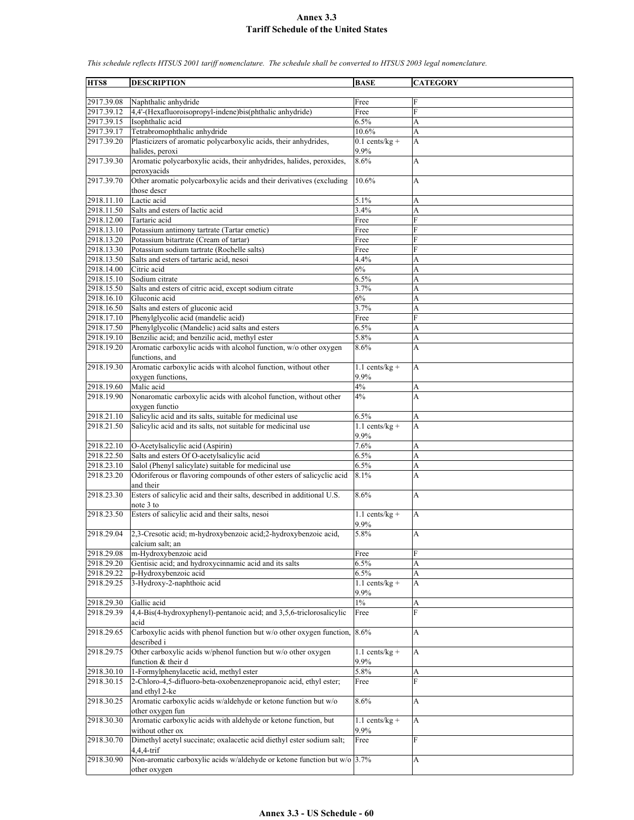| HTS8       | <b>DESCRIPTION</b>                                                           | <b>BASE</b>      | <b>CATEGORY</b> |
|------------|------------------------------------------------------------------------------|------------------|-----------------|
|            |                                                                              |                  |                 |
| 2917.39.08 | Naphthalic anhydride                                                         | Free             | F               |
| 2917.39.12 | 4,4'-(Hexafluoroisopropyl-indene)bis(phthalic anhydride)                     | Free             | F               |
| 2917.39.15 | Isophthalic acid                                                             | 6.5%             | A               |
|            |                                                                              | 10.6%            |                 |
| 2917.39.17 | Tetrabromophthalic anhydride                                                 |                  | A               |
| 2917.39.20 | Plasticizers of aromatic polycarboxylic acids, their anhydrides,             | $0.1$ cents/kg + | A               |
|            | halides, peroxi                                                              | 9.9%             |                 |
| 2917.39.30 | Aromatic polycarboxylic acids, their anhydrides, halides, peroxides,         | 8.6%             | А               |
|            | peroxyacids                                                                  |                  |                 |
| 2917.39.70 | Other aromatic polycarboxylic acids and their derivatives (excluding         | 10.6%            | А               |
|            | those descr                                                                  |                  |                 |
|            |                                                                              |                  |                 |
| 2918.11.10 | Lactic acid                                                                  | 5.1%             | A               |
| 2918.11.50 | Salts and esters of lactic acid                                              | 3.4%             | A               |
| 2918.12.00 | Tartaric acid                                                                | Free             | F               |
| 2918.13.10 | Potassium antimony tartrate (Tartar emetic)                                  | Free             | F               |
| 2918.13.20 | Potassium bitartrate (Cream of tartar)                                       | Free             | F               |
| 2918.13.30 | Potassium sodium tartrate (Rochelle salts)                                   | Free             | F               |
|            |                                                                              |                  |                 |
| 2918.13.50 | Salts and esters of tartaric acid, nesoi                                     | 4.4%             | A               |
| 2918.14.00 | Citric acid                                                                  | 6%               | A               |
| 2918.15.10 | Sodium citrate                                                               | 6.5%             | A               |
| 2918.15.50 | Salts and esters of citric acid, except sodium citrate                       | 3.7%             | A               |
| 2918.16.10 | Gluconic acid                                                                | 6%               | A               |
| 2918.16.50 | Salts and esters of gluconic acid                                            | 3.7%             | A               |
| 2918.17.10 | Phenylglycolic acid (mandelic acid)                                          | Free             | F               |
|            |                                                                              |                  |                 |
| 2918.17.50 | Phenylglycolic (Mandelic) acid salts and esters                              | 6.5%             | А               |
| 2918.19.10 | Benzilic acid; and benzilic acid, methyl ester                               | 5.8%             | A               |
| 2918.19.20 | Aromatic carboxylic acids with alcohol function, w/o other oxygen            | 8.6%             | А               |
|            | functions, and                                                               |                  |                 |
| 2918.19.30 | Aromatic carboxylic acids with alcohol function, without other               | $1.1$ cents/kg + | A               |
|            | oxygen functions,                                                            | 9.9%             |                 |
| 2918.19.60 | Malic acid                                                                   | 4%               |                 |
|            |                                                                              |                  | A               |
| 2918.19.90 | Nonaromatic carboxylic acids with alcohol function, without other            | 4%               | A               |
|            | oxygen functio                                                               |                  |                 |
| 2918.21.10 | Salicylic acid and its salts, suitable for medicinal use                     | 6.5%             | А               |
| 2918.21.50 | Salicylic acid and its salts, not suitable for medicinal use                 | $1.1$ cents/kg + | A               |
|            |                                                                              | 9.9%             |                 |
|            |                                                                              | 7.6%             |                 |
| 2918.22.10 | O-Acetylsalicylic acid (Aspirin)                                             |                  | A               |
| 2918.22.50 | Salts and esters Of O-acetylsalicylic acid                                   | 6.5%             | A               |
| 2918.23.10 | Salol (Phenyl salicylate) suitable for medicinal use                         | 6.5%             | A               |
| 2918.23.20 | Odoriferous or flavoring compounds of other esters of salicyclic acid        | 8.1%             | A               |
|            | and their                                                                    |                  |                 |
| 2918.23.30 | Esters of salicylic acid and their salts, described in additional U.S.       | 8.6%             | A               |
|            | note 3 to                                                                    |                  |                 |
| 2918.23.50 | Esters of salicylic acid and their salts, nesoi                              | $1.1$ cents/kg + |                 |
|            |                                                                              |                  | А               |
|            |                                                                              | 9.9%             |                 |
| 2918.29.04 | 2,3-Cresotic acid; m-hydroxybenzoic acid; 2-hydroxybenzoic acid,             | 5.8%             | A               |
|            | calcium salt; an                                                             |                  |                 |
| 2918.29.08 | m-Hydroxybenzoic acid                                                        | Free             | F               |
| 2918.29.20 | Gentisic acid; and hydroxycinnamic acid and its salts                        | 6.5%             | A               |
| 2918.29.22 | p-Hydroxybenzoic acid                                                        | 6.5%             | А               |
|            |                                                                              | $1.1$ cents/kg + |                 |
| 2918.29.25 | 3-Hydroxy-2-naphthoic acid                                                   |                  | A               |
|            |                                                                              | 9.9%             |                 |
| 2918.29.30 | Gallic acid                                                                  | $1\%$            | А               |
| 2918.29.39 | 4,4-Bis(4-hydroxyphenyl)-pentanoic acid; and 3,5,6-triclorosalicylic         | Free             | $\overline{F}$  |
|            | acid                                                                         |                  |                 |
| 2918.29.65 | Carboxylic acids with phenol function but w/o other oxygen function, $8.6\%$ |                  | A               |
|            | described i                                                                  |                  |                 |
|            |                                                                              |                  |                 |
| 2918.29.75 | Other carboxylic acids w/phenol function but w/o other oxygen                | $1.1$ cents/kg + | A               |
|            | function & their d                                                           | 9.9%             |                 |
| 2918.30.10 | 1-Formylphenylacetic acid, methyl ester                                      | 5.8%             | A               |
| 2918.30.15 | 2-Chloro-4,5-difluoro-beta-oxobenzenepropanoic acid, ethyl ester;            | Free             | $\overline{F}$  |
|            | and ethyl 2-ke                                                               |                  |                 |
| 2918.30.25 | Aromatic carboxylic acids w/aldehyde or ketone function but w/o              | 8.6%             | А               |
|            |                                                                              |                  |                 |
|            | other oxygen fun                                                             |                  |                 |
| 2918.30.30 | Aromatic carboxylic acids with aldehyde or ketone function, but              | $1.1$ cents/kg + | A               |
|            | without other ox                                                             | 9.9%             |                 |
| 2918.30.70 | Dimethyl acetyl succinate; oxalacetic acid diethyl ester sodium salt;        | Free             | F               |
|            | 4,4,4-trif                                                                   |                  |                 |
| 2918.30.90 | Non-aromatic carboxylic acids w/aldehyde or ketone function but w/o 3.7%     |                  | A               |
|            |                                                                              |                  |                 |
|            | other oxygen                                                                 |                  |                 |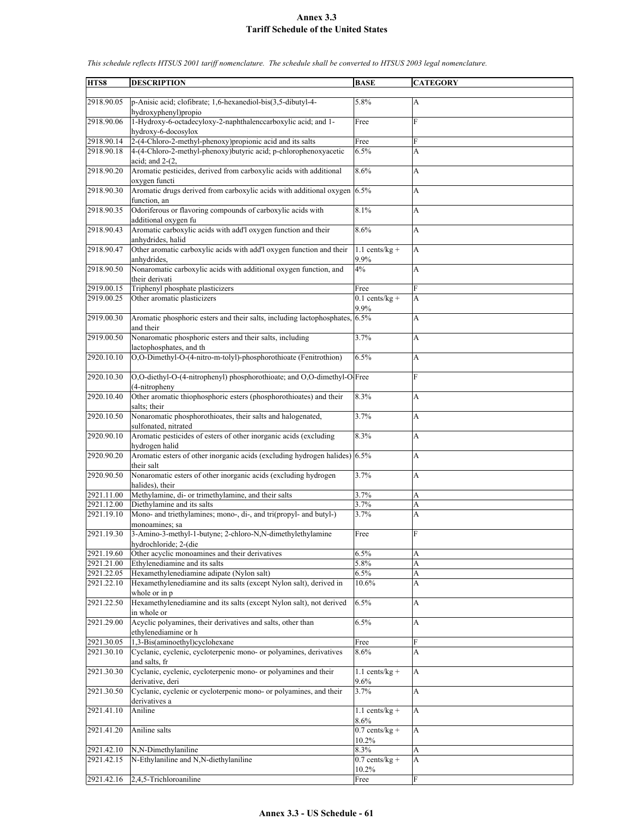| HTS8                     | <b>DESCRIPTION</b>                                                                                              | <b>BASE</b>                  | <b>CATEGORY</b> |
|--------------------------|-----------------------------------------------------------------------------------------------------------------|------------------------------|-----------------|
|                          |                                                                                                                 |                              |                 |
| 2918.90.05               | p-Anisic acid; clofibrate; 1,6-hexanediol-bis(3,5-dibutyl-4-<br>hydroxyphenyl)propio                            | 5.8%                         | А               |
| 2918.90.06               | 1-Hydroxy-6-octadecyloxy-2-naphthalenccarboxylic acid; and 1-<br>hydroxy-6-docosylox                            | Free                         | $\mathbf{F}$    |
| 2918.90.14               | 2-(4-Chloro-2-methyl-phenoxy)propionic acid and its salts                                                       | Free                         | F               |
| 2918.90.18               | 4-(4-Chloro-2-methyl-phenoxy)butyric acid; p-chlorophenoxyacetic                                                | 6.5%                         | A               |
|                          | acid; and $2-(2)$ ,                                                                                             |                              |                 |
| 2918.90.20               | Aromatic pesticides, derived from carboxylic acids with additional<br>oxygen functi                             | 8.6%                         | A               |
| 2918.90.30               | Aromatic drugs derived from carboxylic acids with additional oxygen 6.5%<br>function, an                        |                              | A               |
| 2918.90.35               | Odoriferous or flavoring compounds of carboxylic acids with<br>additional oxygen fu                             | 8.1%                         | A               |
| 2918.90.43               | Aromatic carboxylic acids with add'l oxygen function and their<br>anhydrides, halid                             | 8.6%                         | A               |
| 2918.90.47               | Other aromatic carboxylic acids with add'l oxygen function and their                                            | $1.1$ cents/kg +             | A               |
| 2918.90.50               | anhydrides,<br>Nonaromatic carboxylic acids with additional oxygen function, and                                | 9.9%<br>4%                   | A               |
|                          | their derivati                                                                                                  |                              |                 |
| 2919.00.15               | Triphenyl phosphate plasticizers                                                                                | Free                         | F               |
| 2919.00.25               | Other aromatic plasticizers                                                                                     | $0.1$ cents/kg +<br>9.9%     | A               |
| 2919.00.30               | Aromatic phosphoric esters and their salts, including lactophosphates, 6.5%<br>and their                        |                              | A               |
| 2919.00.50               | Nonaromatic phosphoric esters and their salts, including<br>lactophosphates, and th                             | 3.7%                         | A               |
| 2920.10.10               | O,O-Dimethyl-O-(4-nitro-m-tolyl)-phosphorothioate (Fenitrothion)                                                | 6.5%                         | A               |
| 2920.10.30               | O,O-diethyl-O-(4-nitrophenyl) phosphorothioate; and O,O-dimethyl-O Free<br>(4-nitropheny                        |                              | $\overline{F}$  |
| 2920.10.40               | Other aromatic thiophosphoric esters (phosphorothioates) and their<br>salts; their                              | 8.3%                         | A               |
| 2920.10.50               | Nonaromatic phosphorothioates, their salts and halogenated,<br>sulfonated, nitrated                             | 3.7%                         | A               |
| 2920.90.10               | Aromatic pesticides of esters of other inorganic acids (excluding<br>hydrogen halid                             | 8.3%                         | A               |
| 2920.90.20               | Aromatic esters of other inorganic acids (excluding hydrogen halides) $6.5\%$                                   |                              | A               |
| 2920.90.50               | their salt<br>Nonaromatic esters of other inorganic acids (excluding hydrogen                                   | 3.7%                         | A               |
| 2921.11.00               | halides), their<br>Methylamine, di- or trimethylamine, and their salts                                          | 3.7%                         | A               |
| 2921.12.00               | Diethylamine and its salts                                                                                      | 3.7%                         | A               |
| 2921.19.10               | Mono- and triethylamines; mono-, di-, and tri(propyl- and butyl-)                                               | 3.7%                         |                 |
|                          |                                                                                                                 |                              | A               |
| 2921.19.30               | monoamines; sa<br>3-Amino-3-methyl-1-butyne; 2-chloro-N,N-dimethylethylamine                                    | Free                         | Ē               |
|                          | hydrochloride; 2-(die<br>Other acyclic monoamines and their derivatives                                         |                              |                 |
| 2921.19.60               |                                                                                                                 | 6.5%                         | А               |
| 2921.21.00               | Ethylenediamine and its salts                                                                                   | 5.8%                         | А               |
| 2921.22.05<br>2921.22.10 | Hexamethylenediamine adipate (Nylon salt)<br>Hexamethylenediamine and its salts (except Nylon salt), derived in | 6.5%<br>10.6%                | A<br>A          |
| 2921.22.50               | whole or in p<br>Hexamethylenediamine and its salts (except Nylon salt), not derived                            | 6.5%                         | A               |
| 2921.29.00               | in whole or<br>Acyclic polyamines, their derivatives and salts, other than                                      | 6.5%                         | A               |
|                          | ethylenediamine or h                                                                                            |                              |                 |
| 2921.30.05<br>2921.30.10 | 1,3-Bis(aminoethyl)cyclohexane<br>Cyclanic, cyclenic, cycloterpenic mono- or polyamines, derivatives            | Free<br>8.6%                 | F<br>A          |
| 2921.30.30               | and salts, fr<br>Cyclanic, cyclenic, cycloterpenic mono- or polyamines and their<br>derivative, deri            | $1.1$ cents/kg +<br>9.6%     | A               |
| 2921.30.50               | Cyclanic, cyclenic or cycloterpenic mono- or polyamines, and their                                              | 3.7%                         | A               |
| 2921.41.10               | derivatives a<br>Aniline                                                                                        | $1.1$ cents/kg +             | A               |
|                          |                                                                                                                 | 8.6%                         |                 |
| 2921.41.20               | Aniline salts                                                                                                   | $0.7$ cents/kg +<br>10.2%    | А               |
| 2921.42.10               | N,N-Dimethylaniline                                                                                             | 8.3%                         | A               |
| 2921.42.15               | N-Ethylaniline and N,N-diethylaniline                                                                           | $0.7$ cents/kg +<br>$10.2\%$ | A               |
| 2921.42.16               | 2,4,5-Trichloroaniline                                                                                          | Free                         | F               |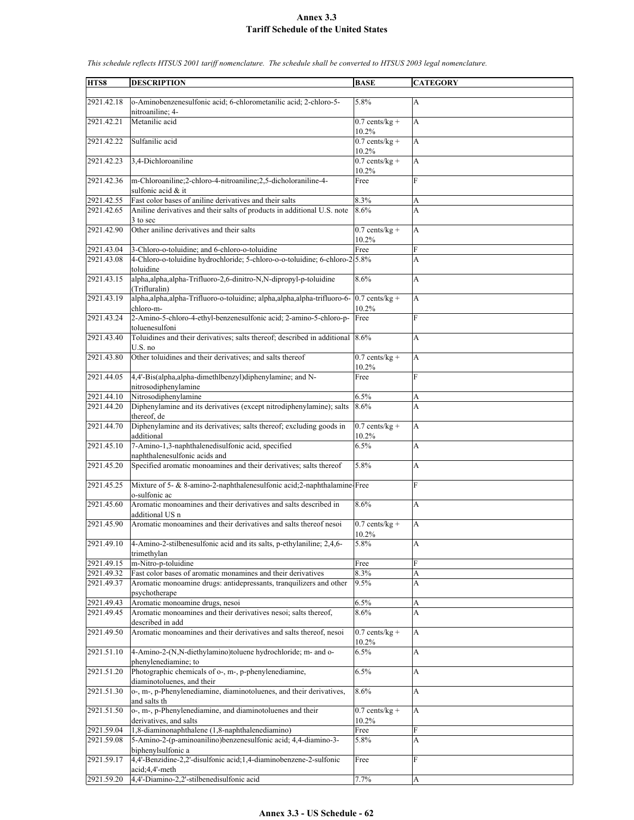| HTS8                     | <b>DESCRIPTION</b>                                                                                                                                  | <b>BASE</b>                          | <b>CATEGORY</b>  |
|--------------------------|-----------------------------------------------------------------------------------------------------------------------------------------------------|--------------------------------------|------------------|
| 2921.42.18               | o-Aminobenzenesulfonic acid; 6-chlorometanilic acid; 2-chloro-5-                                                                                    | 5.8%                                 | А                |
| 2921.42.21               | nitroaniline; 4-<br>Metanilic acid                                                                                                                  | $0.7$ cents/kg +<br>10.2%            | A                |
| 2921.42.22               | Sulfanilic acid                                                                                                                                     | $0.7$ cents/kg +<br>10.2%            | A                |
| 2921.42.23               | 3,4-Dichloroaniline                                                                                                                                 | $0.7$ cents/kg +<br>10.2%            | A                |
| 2921.42.36               | m-Chloroaniline;2-chloro-4-nitroaniline;2,5-dicholoraniline-4-<br>sulfonic acid & it                                                                | Free                                 | F                |
| 2921.42.55<br>2921.42.65 | Fast color bases of aniline derivatives and their salts<br>Aniline derivatives and their salts of products in additional U.S. note<br>3 to sec      | 8.3%<br>8.6%                         | А<br>A           |
| 2921.42.90               | Other aniline derivatives and their salts                                                                                                           | $0.7$ cents/kg +<br>10.2%            | A                |
| 2921.43.04               | 3-Chloro-o-toluidine; and 6-chloro-o-toluidine                                                                                                      | Free                                 | F                |
| 2921.43.08               | 4-Chloro-o-toluidine hydrochloride; 5-chloro-o-o-toluidine; 6-chloro-2.5.8%                                                                         |                                      | A                |
| 2921.43.15               | toluidine<br>alpha,alpha,alpha-Trifluoro-2,6-dinitro-N,N-dipropyl-p-toluidine<br>(Trifluralin)                                                      | 8.6%                                 | A                |
| 2921.43.19               | alpha, alpha, alpha-Trifluoro-o-toluidine; alpha, alpha, alpha-trifluoro-6-<br>chloro-m-                                                            | $\overline{0.7}$ cents/kg +<br>10.2% | A                |
| 2921.43.24               | 2-Amino-5-chloro-4-ethyl-benzenesulfonic acid; 2-amino-5-chloro-p-<br>toluenesulfoni                                                                | Free                                 | F                |
| 2921.43.40               | Toluidines and their derivatives; salts thereof; described in additional 8.6%<br>$U.S.$ no                                                          |                                      | A                |
| 2921.43.80               | Other toluidines and their derivatives; and salts thereof                                                                                           | $0.7$ cents/kg +<br>10.2%            | A                |
| 2921.44.05               | 4,4'-Bis(alpha, alpha-dimethlbenzyl)diphenylamine; and N-<br>nitrosodiphenylamine                                                                   | Free                                 | F                |
| 2921.44.10               | Nitrosodiphenylamine                                                                                                                                | 6.5%                                 | А                |
| 2921.44.20               | Diphenylamine and its derivatives (except nitrodiphenylamine); salts<br>thereof, de                                                                 | 8.6%                                 | A                |
| 2921.44.70               | Diphenylamine and its derivatives; salts thereof; excluding goods in<br>additional                                                                  | $0.7$ cents/kg +<br>10.2%            | A                |
| 2921.45.10               | 7-Amino-1,3-naphthalenedisulfonic acid, specified<br>naphthalenesulfonic acids and                                                                  | 6.5%                                 | A                |
| 2921.45.20               | Specified aromatic monoamines and their derivatives; salts thereof                                                                                  | 5.8%                                 | A                |
| 2921.45.25               | Mixture of 5- & 8-amino-2-naphthalenesulfonic acid; 2-naphthalamine-Free<br>o-sulfonic ac                                                           |                                      | F                |
| 2921.45.60               | Aromatic monoamines and their derivatives and salts described in<br>additional US n                                                                 | 8.6%                                 | A                |
| 2921.45.90               | Aromatic monoamines and their derivatives and salts thereof nesoi                                                                                   | $0.7$ cents/kg +<br>10.2%            | A                |
| 2921.49.10               | 4-Amino-2-stilbenesulfonic acid and its salts, p-ethylaniline; 2,4,6-<br>trimethylan                                                                | 5.8%                                 | A                |
| 2921.49.15               | m-Nitro-p-toluidine                                                                                                                                 | Free                                 | F                |
| 2921.49.32<br>2921.49.37 | Fast color bases of aromatic monamines and their derivatives<br>Aromatic monoamine drugs: antidepressants, tranquilizers and other<br>psychotherape | 8.3%<br>9.5%                         | A<br>A           |
| 2921.49.43               | Aromatic monoamine drugs, nesoi                                                                                                                     | 6.5%                                 | A                |
| 2921.49.45               | Aromatic monoamines and their derivatives nesoi; salts thereof,<br>described in add                                                                 | 8.6%                                 | A                |
| 2921.49.50               | Aromatic monoamines and their derivatives and salts thereof, nesoi                                                                                  | $0.7$ cents/kg +<br>10.2%            | A                |
| 2921.51.10               | 4-Amino-2-(N,N-diethylamino)toluene hydrochloride; m- and o-<br>phenylenediamine; to                                                                | 6.5%                                 | A                |
| 2921.51.20               | Photographic chemicals of o-, m-, p-phenylenediamine,<br>diaminotoluenes, and their                                                                 | 6.5%                                 | A                |
| 2921.51.30               | o-, m-, p-Phenylenediamine, diaminotoluenes, and their derivatives,<br>and salts th                                                                 | 8.6%                                 | $\boldsymbol{A}$ |
| 2921.51.50               | o-, m-, p-Phenylenediamine, and diaminotoluenes and their<br>derivatives, and salts                                                                 | $0.7$ cents/kg +<br>10.2%            | $\boldsymbol{A}$ |
| 2921.59.04               | 1,8-diaminonaphthalene (1,8-naphthalenediamino)                                                                                                     | Free                                 | F                |
| 2921.59.08               | 5-Amino-2-(p-aminoanilino)benzenesulfonic acid; 4,4-diamino-3-<br>biphenylsulfonic a                                                                | 5.8%                                 | A                |
| 2921.59.17               | 4,4'-Benzidine-2,2'-disulfonic acid;1,4-diaminobenzene-2-sulfonic<br>acid;4,4'-meth                                                                 | Free                                 | F                |
| 2921.59.20               | 4,4'-Diamino-2,2'-stilbenedisulfonic acid                                                                                                           | 7.7%                                 | A                |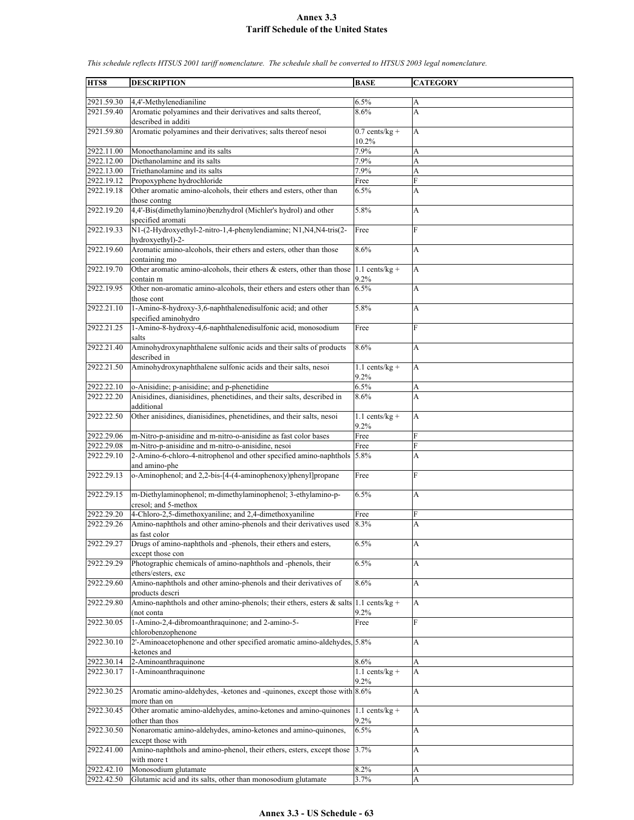| HTS8       | <b>DESCRIPTION</b>                                                                                 | <b>BASE</b>               | <b>CATEGORY</b> |
|------------|----------------------------------------------------------------------------------------------------|---------------------------|-----------------|
| 2921.59.30 | 4.4'-Methylenedianiline                                                                            | 6.5%                      | А               |
| 2921.59.40 | Aromatic polyamines and their derivatives and salts thereof,                                       | 8.6%                      | A               |
|            | described in additi                                                                                |                           |                 |
| 2921.59.80 | Aromatic polyamines and their derivatives; salts thereof nesoi                                     | $0.7$ cents/kg +<br>10.2% | A               |
| 2922.11.00 | Monoethanolamine and its salts                                                                     | 7.9%                      | A               |
| 2922.12.00 | Diethanolamine and its salts                                                                       | 7.9%                      | A               |
| 2922.13.00 | Triethanolamine and its salts                                                                      | 7.9%                      | A               |
| 2922.19.12 | Propoxyphene hydrochloride                                                                         | Free                      | F               |
| 2922.19.18 | Other aromatic amino-alcohols, their ethers and esters, other than                                 | 6.5%                      | A               |
| 2922.19.20 | those contng<br>4,4'-Bis(dimethylamino)benzhydrol (Michler's hydrol) and other                     | 5.8%                      | А               |
| 2922.19.33 | specified aromati<br>N1-(2-Hydroxyethyl-2-nitro-1,4-phenylendiamine; N1,N4,N4-tris(2-              | Free                      | F               |
| 2922.19.60 | hydroxyethyl)-2-<br>Aromatic amino-alcohols, their ethers and esters, other than those             | 8.6%                      | А               |
|            | containing mo                                                                                      |                           |                 |
| 2922.19.70 | Other aromatic amino-alcohols, their ethers & esters, other than those<br>contain m                | $1.1$ cents/kg +<br>9.2%  | A               |
| 2922.19.95 | Other non-aromatic amino-alcohols, their ethers and esters other than<br>those cont                | 6.5%                      | A               |
| 2922.21.10 | 1-Amino-8-hydroxy-3,6-naphthalenedisulfonic acid; and other<br>specified aminohydro                | 5.8%                      | A               |
| 2922.21.25 | 1-Amino-8-hydroxy-4,6-naphthalenedisulfonic acid, monosodium<br>salts                              | Free                      | F               |
| 2922.21.40 | Aminohydroxynaphthalene sulfonic acids and their salts of products<br>described in                 | 8.6%                      | A               |
| 2922.21.50 | Aminohydroxynaphthalene sulfonic acids and their salts, nesoi                                      | $1.1$ cents/kg +<br>9.2%  | A               |
| 2922.22.10 | o-Anisidine; p-anisidine; and p-phenetidine                                                        | 6.5%                      | A               |
| 2922.22.20 | Anisidines, dianisidines, phenetidines, and their salts, described in                              | 8.6%                      | A               |
|            | additional                                                                                         |                           |                 |
| 2922.22.50 | Other anisidines, dianisidines, phenetidines, and their salts, nesoi                               | $1.1$ cents/kg +<br>9.2%  | A               |
| 2922.29.06 | m-Nitro-p-anisidine and m-nitro-o-anisidine as fast color bases                                    | Free                      | F               |
| 2922.29.08 | m-Nitro-p-anisidine and m-nitro-o-anisidine, nesoi                                                 | Free                      | F               |
| 2922.29.10 | 2-Amino-6-chloro-4-nitrophenol and other specified amino-naphthols<br>and amino-phe                | 5.8%                      | A               |
| 2922.29.13 | o-Aminophenol; and 2,2-bis-[4-(4-aminophenoxy)phenyl]propane                                       | Free                      | F               |
| 2922.29.15 | m-Diethylaminophenol; m-dimethylaminophenol; 3-ethylamino-p-<br>cresol: and 5-methox               | 6.5%                      | А               |
| 2922.29.20 | 4-Chloro-2,5-dimethoxyaniline; and 2,4-dimethoxyaniline                                            | Free                      | F               |
| 2922.29.26 | Amino-naphthols and other amino-phenols and their derivatives used<br>as fast color                | 8.3%                      | A               |
| 2922.29.27 | Drugs of amino-naphthols and -phenols, their ethers and esters,<br>except those con                | 6.5%                      | A               |
| 2922.29.29 | Photographic chemicals of amino-naphthols and -phenols, their<br>ethers/esters, exc                | 6.5%                      | А               |
| 2922.29.60 | Amino-naphthols and other amino-phenols and their derivatives of<br>products descri                | 8.6%                      | А               |
| 2922.29.80 | Amino-naphthols and other amino-phenols; their ethers, esters & salts 1.1 cents/kg +<br>(not conta | 9.2%                      | А               |
| 2922.30.05 | 1-Amino-2,4-dibromoanthraquinone; and 2-amino-5-                                                   | Free                      | F               |
| 2922.30.10 | chlorobenzophenone<br>2'-Aminoacetophenone and other specified aromatic amino-aldehydes, 5.8%      |                           | A               |
| 2922.30.14 | -ketones and<br>2-Aminoanthraquinone                                                               | 8.6%                      | А               |
| 2922.30.17 | 1-Aminoanthraquinone                                                                               | $1.1$ cents/kg +<br>9.2%  | A               |
| 2922.30.25 | Aromatic amino-aldehydes, -ketones and -quinones, except those with 8.6%<br>more than on           |                           | A               |
| 2922.30.45 | Other aromatic amino-aldehydes, amino-ketones and amino-quinones<br>other than thos                | $1.1$ cents/kg +<br>9.2%  | A               |
| 2922.30.50 | Nonaromatic amino-aldehydes, amino-ketones and amino-quinones,<br>except those with                | 6.5%                      | A               |
| 2922.41.00 | Amino-naphthols and amino-phenol, their ethers, esters, except those<br>with more t                | 3.7%                      | A               |
| 2922.42.10 | Monosodium glutamate                                                                               | 8.2%                      | А               |
| 2922.42.50 | Glutamic acid and its salts, other than monosodium glutamate                                       | 3.7%                      | A               |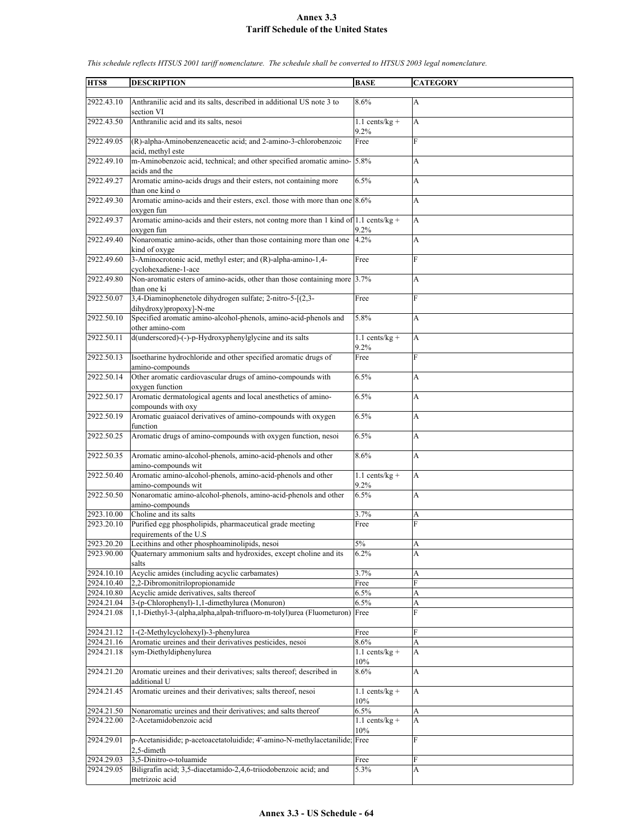| HTS8       | <b>DESCRIPTION</b>                                                                   | <b>BASE</b>      | <b>CATEGORY</b> |
|------------|--------------------------------------------------------------------------------------|------------------|-----------------|
|            |                                                                                      |                  |                 |
| 2922.43.10 | Anthranilic acid and its salts, described in additional US note 3 to                 | 8.6%             | A               |
|            | section VI                                                                           |                  |                 |
| 2922.43.50 | Anthranilic acid and its salts, nesoi                                                | $1.1$ cents/kg + | A               |
|            |                                                                                      | 9.2%             |                 |
| 2922.49.05 | (R)-alpha-Aminobenzeneacetic acid; and 2-amino-3-chlorobenzoic                       | Free             | F               |
|            | acid, methyl este                                                                    |                  |                 |
| 2922.49.10 | m-Aminobenzoic acid, technical; and other specified aromatic amino- 5.8%             |                  | A               |
|            | acids and the                                                                        |                  |                 |
| 2922.49.27 | Aromatic amino-acids drugs and their esters, not containing more                     | 6.5%             | A               |
|            |                                                                                      |                  |                 |
|            | than one kind o                                                                      |                  |                 |
| 2922.49.30 | Aromatic amino-acids and their esters, excl. those with more than one 8.6%           |                  | A               |
|            | oxygen fun                                                                           |                  |                 |
| 2922.49.37 | Aromatic amino-acids and their esters, not contng more than 1 kind of 1.1 cents/kg + |                  | A               |
|            | oxygen fun                                                                           | 9.2%             |                 |
| 2922.49.40 | Nonaromatic amino-acids, other than those containing more than one                   | 4.2%             | A               |
|            | kind of oxyge                                                                        |                  |                 |
| 2922.49.60 | 3-Aminocrotonic acid, methyl ester; and (R)-alpha-amino-1,4-                         | Free             | F               |
|            | cyclohexadiene-1-ace                                                                 |                  |                 |
| 2922.49.80 | Non-aromatic esters of amino-acids, other than those containing more 3.7%            |                  | A               |
|            | than one ki                                                                          |                  |                 |
| 2922.50.07 | 3,4-Diaminophenetole dihydrogen sulfate; 2-nitro-5-[(2,3-                            | Free             | $\overline{F}$  |
|            | dihydroxy)propoxy]-N-me                                                              |                  |                 |
| 2922.50.10 | Specified aromatic amino-alcohol-phenols, amino-acid-phenols and                     | 5.8%             | A               |
|            | other amino-com                                                                      |                  |                 |
| 2922.50.11 | d(underscored)-(-)-p-Hydroxyphenylglycine and its salts                              | $1.1$ cents/kg + | A               |
|            |                                                                                      | 9.2%             |                 |
| 2922.50.13 |                                                                                      |                  | F               |
|            | Isoetharine hydrochloride and other specified aromatic drugs of                      | Free             |                 |
|            | amino-compounds                                                                      |                  |                 |
| 2922.50.14 | Other aromatic cardiovascular drugs of amino-compounds with                          | 6.5%             | A               |
|            | oxygen function                                                                      |                  |                 |
| 2922.50.17 | Aromatic dermatological agents and local anesthetics of amino-                       | 6.5%             | A               |
|            | compounds with oxy                                                                   |                  |                 |
| 2922.50.19 | Aromatic guaiacol derivatives of amino-compounds with oxygen                         | 6.5%             | A               |
|            | function                                                                             |                  |                 |
| 2922.50.25 | Aromatic drugs of amino-compounds with oxygen function, nesoi                        | 6.5%             | A               |
|            |                                                                                      |                  |                 |
| 2922.50.35 | Aromatic amino-alcohol-phenols, amino-acid-phenols and other                         | 8.6%             | A               |
|            | amino-compounds wit                                                                  |                  |                 |
| 2922.50.40 | Aromatic amino-alcohol-phenols, amino-acid-phenols and other                         | $1.1$ cents/kg + | A               |
|            | amino-compounds wit                                                                  | 9.2%             |                 |
| 2922.50.50 | Nonaromatic amino-alcohol-phenols, amino-acid-phenols and other                      | 6.5%             | A               |
|            | amino-compounds                                                                      |                  |                 |
| 2923.10.00 | Choline and its salts                                                                | 3.7%             | A               |
| 2923.20.10 | Purified egg phospholipids, pharmaceutical grade meeting                             | Free             | F               |
|            | requirements of the U.S                                                              |                  |                 |
| 2923.20.20 | Lecithins and other phosphoaminolipids, nesoi                                        | $5\%$            |                 |
| 2923.90.00 |                                                                                      |                  | A               |
|            | Quaternary ammonium salts and hydroxides, except choline and its                     | 6.2%             | A               |
|            | salts                                                                                |                  |                 |
| 2924.10.10 | Acyclic amides (including acyclic carbamates)                                        | 3.7%             | A               |
| 2924.10.40 | 2,2-Dibromonitrilopropionamide                                                       | Free             | F               |
| 2924.10.80 | Acyclic amide derivatives, salts thereof                                             | 6.5%             | A               |
| 2924.21.04 | 3-(p-Chlorophenyl)-1,1-dimethylurea (Monuron)                                        | 6.5%             | A               |
| 2924.21.08 | 1,1-Diethyl-3-(alpha,alpha,alpah-trifluoro-m-tolyl)urea (Fluometuron)                | Free             | F               |
|            |                                                                                      |                  |                 |
| 2924.21.12 | 1-(2-Methylcyclohexyl)-3-phenylurea                                                  | Free             | F               |
| 2924.21.16 | Aromatic ureines and their derivatives pesticides, nesoi                             | 8.6%             | A               |
| 2924.21.18 | sym-Diethyldiphenylurea                                                              | $1.1$ cents/kg + | A               |
|            |                                                                                      | 10%              |                 |
| 2924.21.20 | Aromatic ureines and their derivatives; salts thereof; described in                  | 8.6%             | A               |
|            | additional U                                                                         |                  |                 |
| 2924.21.45 | Aromatic ureines and their derivatives; salts thereof, nesoi                         | $1.1$ cents/kg + | A               |
|            |                                                                                      | 10%              |                 |
|            |                                                                                      |                  |                 |
| 2924.21.50 | Nonaromatic ureines and their derivatives; and salts thereof                         | 6.5%             | A               |
| 2924.22.00 | 2-Acetamidobenzoic acid                                                              | $1.1$ cents/kg + | A               |
|            |                                                                                      | 10%              |                 |
| 2924.29.01 | p-Acetanisidide; p-acetoacetatoluidide; 4'-amino-N-methylacetanilide; Free           |                  | F               |
|            | 2,5-dimeth                                                                           |                  |                 |
| 2924.29.03 | 3,5-Dinitro-o-toluamide                                                              | Free             | F               |
| 2924.29.05 | Biligrafin acid; 3,5-diacetamido-2,4,6-triiodobenzoic acid; and                      | 5.3%             | A               |
|            | metrizoic acid                                                                       |                  |                 |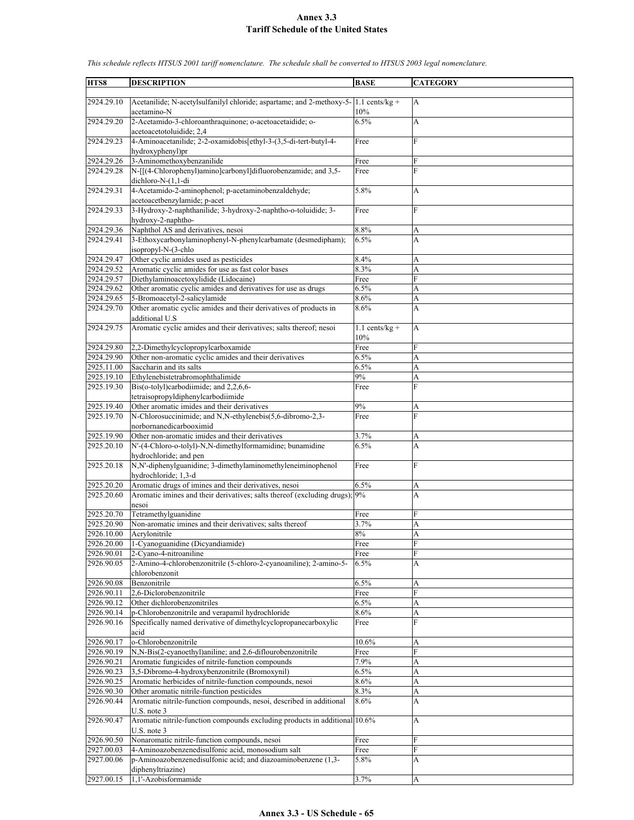| HTS8       | <b>DESCRIPTION</b>                                                                              | <b>BASE</b>      | <b>CATEGORY</b> |
|------------|-------------------------------------------------------------------------------------------------|------------------|-----------------|
|            |                                                                                                 |                  |                 |
| 2924.29.10 | Acetanilide; N-acetylsulfanilyl chloride; aspartame; and 2-methoxy-5- $ 1.1 \text{ cents/kg} +$ |                  | $\mathbf{A}$    |
|            | acetamino-N                                                                                     | 10%              |                 |
| 2924.29.20 | 2-Acetamido-3-chloroanthraquinone; o-acetoacetaidide; o-                                        | 6.5%             | A               |
|            |                                                                                                 |                  |                 |
|            | acetoacetotoluidide; 2,4                                                                        |                  |                 |
| 2924.29.23 | 4-Aminoacetanilide; 2-2-oxamidobis[ethyl-3-(3,5-di-tert-butyl-4-                                | Free             | $\overline{F}$  |
|            | hydroxyphenyl)pr                                                                                |                  |                 |
| 2924.29.26 | 3-Aminomethoxybenzanilide                                                                       | Free             | F               |
| 2924.29.28 | N-[[(4-Chlorophenyl)amino]carbonyl]difluorobenzamide; and 3,5-                                  | Free             | F               |
|            | dichloro- $N-(1,1-di)$                                                                          |                  |                 |
|            |                                                                                                 |                  |                 |
| 2924.29.31 | 4-Acetamido-2-aminophenol; p-acetaminobenzaldehyde;                                             | 5.8%             | A               |
|            | acetoacetbenzylamide; p-acet                                                                    |                  |                 |
| 2924.29.33 | 3-Hydroxy-2-naphthanilide; 3-hydroxy-2-naphtho-o-toluidide; 3-                                  | Free             | F               |
|            | hydroxy-2-naphtho-                                                                              |                  |                 |
| 2924.29.36 | Naphthol AS and derivatives, nesoi                                                              | 8.8%             | A               |
| 2924.29.41 | 3-Ethoxycarbonylaminophenyl-N-phenylcarbamate (desmedipham);                                    | 6.5%             | A               |
|            | isopropyl-N-(3-chlo                                                                             |                  |                 |
|            |                                                                                                 |                  |                 |
| 2924.29.47 | Other cyclic amides used as pesticides                                                          | 8.4%             | А               |
| 2924.29.52 | Aromatic cyclic amides for use as fast color bases                                              | 8.3%             | A               |
| 2924.29.57 | Diethylaminoacetoxylidide (Lidocaine)                                                           | Free             | F               |
| 2924.29.62 | Other aromatic cyclic amides and derivatives for use as drugs                                   | 6.5%             | A               |
| 2924.29.65 | 5-Bromoacetyl-2-salicylamide                                                                    | 8.6%             | A               |
| 2924.29.70 | Other aromatic cyclic amides and their derivatives of products in                               | 8.6%             | A               |
|            |                                                                                                 |                  |                 |
|            | additional U.S.                                                                                 |                  |                 |
| 2924.29.75 | Aromatic cyclic amides and their derivatives; salts thereof; nesoi                              | $1.1$ cents/kg + | A               |
|            |                                                                                                 | 10%              |                 |
| 2924.29.80 | 2,2-Dimethylcyclopropylcarboxamide                                                              | Free             | F               |
| 2924.29.90 | Other non-aromatic cyclic amides and their derivatives                                          | 6.5%             | A               |
| 2925.11.00 | Saccharin and its salts                                                                         | 6.5%             | A               |
|            |                                                                                                 |                  |                 |
| 2925.19.10 | Ethylenebistetrabromophthalimide                                                                | 9%               | A               |
| 2925.19.30 | Bis(o-tolyl)carbodiimide; and 2,2,6,6-                                                          | Free             | F               |
|            | tetraisopropyldiphenylcarbodiimide                                                              |                  |                 |
| 2925.19.40 | Other aromatic imides and their derivatives                                                     | 9%               | A               |
| 2925.19.70 | N-Chlorosuccinimide; and N,N-ethylenebis(5,6-dibromo-2,3-                                       | Free             | F               |
|            | norbornanedicarbooximid                                                                         |                  |                 |
|            |                                                                                                 |                  |                 |
| 2925.19.90 | Other non-aromatic imides and their derivatives                                                 | 3.7%             | A               |
| 2925.20.10 | N'-(4-Chloro-o-tolyl)-N,N-dimethylformamidine; bunamidine                                       | 6.5%             | A               |
|            | hydrochloride; and pen                                                                          |                  |                 |
| 2925.20.18 | N,N'-diphenylguanidine; 3-dimethylaminomethyleneiminophenol                                     | Free             | F               |
|            | hydrochloride; 1,3-d                                                                            |                  |                 |
| 2925.20.20 | Aromatic drugs of imines and their derivatives, nesoi                                           | 6.5%             | A               |
| 2925.20.60 | Aromatic imines and their derivatives; salts thereof (excluding drugs); 9%                      |                  | A               |
|            |                                                                                                 |                  |                 |
|            | nesoi                                                                                           |                  |                 |
| 2925.20.70 | Tetramethylguanidine                                                                            | Free             | F               |
| 2925.20.90 | Non-aromatic imines and their derivatives; salts thereof                                        | 3.7%             | A               |
| 2926.10.00 | Acrylonitrile                                                                                   | $8\%$            | A               |
| 2926.20.00 | 1-Cyanoguanidine (Dicyandiamide)                                                                | Free             | ${\rm F}$       |
| 2926.90.01 | 2-Cyano-4-nitroaniline                                                                          |                  | F               |
|            |                                                                                                 | Free             |                 |
| 2926.90.05 | 2-Amino-4-chlorobenzonitrile (5-chloro-2-cyanoaniline); 2-amino-5-                              | 6.5%             | A               |
|            | chlorobenzonit                                                                                  |                  |                 |
| 2926.90.08 | Benzonitrile                                                                                    | 6.5%             | A               |
| 2926.90.11 | 2,6-Diclorobenzonitrile                                                                         | Free             | F               |
| 2926.90.12 | Other dichlorobenzonitriles                                                                     | 6.5%             | A               |
| 2926.90.14 | p-Chlorobenzonitrile and verapamil hydrochloride                                                | 8.6%             | A               |
|            |                                                                                                 |                  |                 |
| 2926.90.16 | Specifically named derivative of dimethylcyclopropanecarboxylic                                 | Free             | F               |
|            | acid                                                                                            |                  |                 |
| 2926.90.17 | o-Chlorobenzonitrile                                                                            | 10.6%            | А               |
| 2926.90.19 | N,N-Bis(2-cyanoethyl)aniline; and 2,6-diflourobenzonitrile                                      | Free             | F               |
| 2926.90.21 | Aromatic fungicides of nitrile-function compounds                                               | 7.9%             | A               |
| 2926.90.23 | 3,5-Dibromo-4-hydroxybenzonitrile (Bromoxynil)                                                  |                  | A               |
|            |                                                                                                 | 6.5%             |                 |
| 2926.90.25 | Aromatic herbicides of nitrile-function compounds, nesoi                                        | 8.6%             | A               |
| 2926.90.30 | Other aromatic nitrile-function pesticides                                                      | 8.3%             | A               |
| 2926.90.44 | Aromatic nitrile-function compounds, nesoi, described in additional                             | 8.6%             | A               |
|            | U.S. note 3                                                                                     |                  |                 |
| 2926.90.47 | Aromatic nitrile-function compounds excluding products in additional 10.6%                      |                  | A               |
|            |                                                                                                 |                  |                 |
|            | U.S. note 3                                                                                     |                  |                 |
| 2926.90.50 | Nonaromatic nitrile-function compounds, nesoi                                                   | Free             | F               |
| 2927.00.03 | 4-Aminoazobenzenedisulfonic acid, monosodium salt                                               | Free             | F               |
| 2927.00.06 | p-Aminoazobenzenedisulfonic acid; and diazoaminobenzene (1,3-                                   | 5.8%             | A               |
|            | diphenyltriazine)                                                                               |                  |                 |
| 2927.00.15 | 1,1'-Azobisformamide                                                                            | 3.7%             | A               |
|            |                                                                                                 |                  |                 |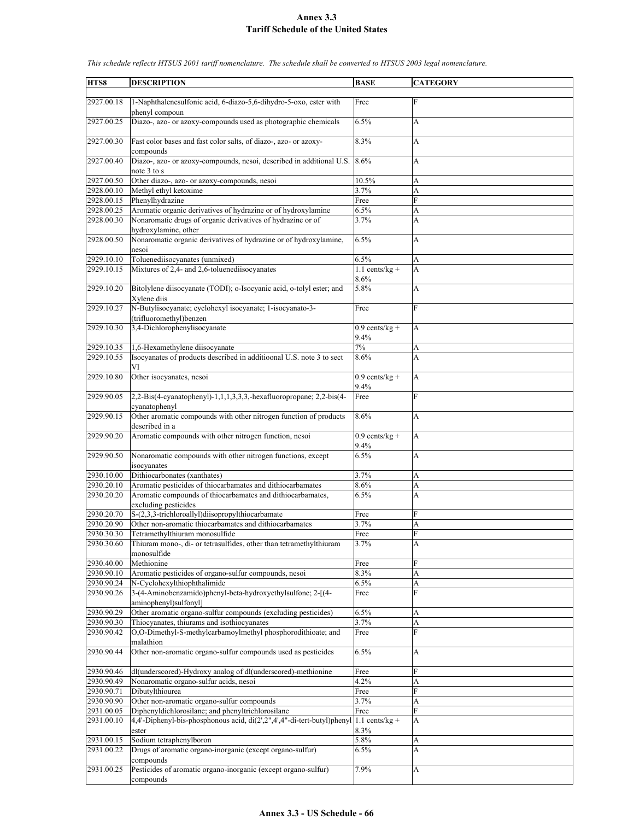| HTS8       | <b>DESCRIPTION</b>                                                                                     | <b>BASE</b>              | <b>CATEGORY</b> |
|------------|--------------------------------------------------------------------------------------------------------|--------------------------|-----------------|
|            |                                                                                                        |                          |                 |
| 2927.00.18 | 1-Naphthalenesulfonic acid, 6-diazo-5,6-dihydro-5-oxo, ester with<br>phenyl compoun                    | Free                     | F               |
| 2927.00.25 | Diazo-, azo- or azoxy-compounds used as photographic chemicals                                         | 6.5%                     | A               |
| 2927.00.30 | Fast color bases and fast color salts, of diazo-, azo- or azoxy-                                       | 8.3%                     | A               |
| 2927.00.40 | compounds<br>Diazo-, azo- or azoxy-compounds, nesoi, described in additional U.S.<br>note 3 to s       | 8.6%                     | A               |
| 2927.00.50 | Other diazo-, azo- or azoxy-compounds, nesoi                                                           | 10.5%                    | A               |
| 2928.00.10 | Methyl ethyl ketoxime                                                                                  | 3.7%                     | A               |
| 2928.00.15 | Phenylhydrazine                                                                                        | Free                     | F               |
| 2928.00.25 | Aromatic organic derivatives of hydrazine or of hydroxylamine                                          | 6.5%                     | A               |
| 2928.00.30 | Nonaromatic drugs of organic derivatives of hydrazine or of                                            | 3.7%                     | A               |
|            | hydroxylamine, other                                                                                   |                          |                 |
| 2928.00.50 | Nonaromatic organic derivatives of hydrazine or of hydroxylamine,<br>nesoi                             | 6.5%                     | A               |
| 2929.10.10 | Toluenediisocyanates (unmixed)                                                                         | 6.5%                     | A               |
| 2929.10.15 | Mixtures of 2,4- and 2,6-toluenediisocyanates                                                          | $1.1$ cents/kg +<br>8.6% | A               |
| 2929.10.20 | Bitolylene diisocyanate (TODI); o-Isocyanic acid, o-tolyl ester; and<br>Xylene diis                    | 5.8%                     | A               |
| 2929.10.27 | N-Butylisocyanate; cyclohexyl isocyanate; 1-isocyanato-3-<br>(trifluoromethyl)benzen                   | Free                     | F               |
| 2929.10.30 | 3,4-Dichlorophenylisocyanate                                                                           | $0.9$ cents/kg +         | A               |
| 2929.10.35 | 1,6-Hexamethylene diisocyanate                                                                         | 9.4%<br>7%               |                 |
| 2929.10.55 | Isocyanates of products described in additioonal U.S. note 3 to sect                                   |                          | A<br>A          |
|            | VI                                                                                                     | 8.6%                     |                 |
| 2929.10.80 | Other isocyanates, nesoi                                                                               | $0.9$ cents/kg +<br>9.4% | A               |
| 2929.90.05 | 2,2-Bis(4-cyanatophenyl)-1,1,1,3,3,3,-hexafluoropropane; 2,2-bis(4-<br>cyanatophenyl                   | Free                     | F               |
| 2929.90.15 | Other aromatic compounds with other nitrogen function of products                                      | 8.6%                     | A               |
|            | described in a                                                                                         |                          |                 |
| 2929.90.20 | Aromatic compounds with other nitrogen function, nesoi                                                 | $0.9$ cents/kg +<br>9.4% | A               |
| 2929.90.50 | Nonaromatic compounds with other nitrogen functions, except<br>isocyanates                             | 6.5%                     | A               |
| 2930.10.00 | Dithiocarbonates (xanthates)                                                                           | 3.7%                     | A               |
| 2930.20.10 | Aromatic pesticides of thiocarbamates and dithiocarbamates                                             | 8.6%                     | A               |
| 2930.20.20 | Aromatic compounds of thiocarbamates and dithiocarbamates,                                             | 6.5%                     | A               |
|            | excluding pesticides                                                                                   |                          |                 |
| 2930.20.70 | S-(2,3,3-trichloroallyl)diisopropylthiocarbamate                                                       | Free                     | F               |
| 2930.20.90 | Other non-aromatic thiocarbamates and dithiocarbamates                                                 | 3.7%                     | A               |
| 2930.30.30 | Tetramethylthiuram monosulfide                                                                         | Free                     | F               |
| 2930.30.60 | Thiuram mono-, di- or tetrasulfides, other than tetramethylthiuram                                     | 3.7%                     | A               |
|            | monosulfide                                                                                            |                          |                 |
| 2930.40.00 | Methionine                                                                                             | Free                     | F               |
| 2930.90.10 | Aromatic pesticides of organo-sulfur compounds, nesoi                                                  | 8.3%                     | A               |
| 2930.90.24 | N-Cyclohexylthiophthalimide                                                                            | 6.5%                     | A               |
| 2930.90.26 | 3-(4-Aminobenzamido)phenyl-beta-hydroxyethylsulfone; 2-[(4-<br>aminophenyl)sulfonyl]                   | Free                     | F               |
| 2930.90.29 | Other aromatic organo-sulfur compounds (excluding pesticides)                                          | 6.5%                     | A               |
| 2930.90.30 | Thiocyanates, thiurams and isothiocyanates                                                             | 3.7%                     | A               |
| 2930.90.42 | O,O-Dimethyl-S-methylcarbamoylmethyl phosphorodithioate; and                                           | Free                     | F               |
| 2930.90.44 | malathion<br>Other non-aromatic organo-sulfur compounds used as pesticides                             | 6.5%                     | A               |
| 2930.90.46 |                                                                                                        |                          | F               |
| 2930.90.49 | dl(underscored)-Hydroxy analog of dl(underscored)-methionine<br>Nonaromatic organo-sulfur acids, nesoi | Free<br>4.2%             | A               |
| 2930.90.71 | Dibutylthiourea                                                                                        | Free                     | F               |
| 2930.90.90 | Other non-aromatic organo-sulfur compounds                                                             | 3.7%                     | A               |
| 2931.00.05 | Diphenyldichlorosilane; and phenyltrichlorosilane                                                      | Free                     | F               |
| 2931.00.10 | 4,4'-Diphenyl-bis-phosphonous acid, di(2',2",4',4"-di-tert-butyl)phenyl<br>ester                       | $1.1$ cents/kg +<br>8.3% | A               |
| 2931.00.15 | Sodium tetraphenylboron                                                                                | 5.8%                     | A               |
| 2931.00.22 | Drugs of aromatic organo-inorganic (except organo-sulfur)                                              |                          | A               |
|            | compounds                                                                                              | $6.5\%$                  |                 |
| 2931.00.25 | Pesticides of aromatic organo-inorganic (except organo-sulfur)                                         | 7.9%                     | A               |
|            | compounds                                                                                              |                          |                 |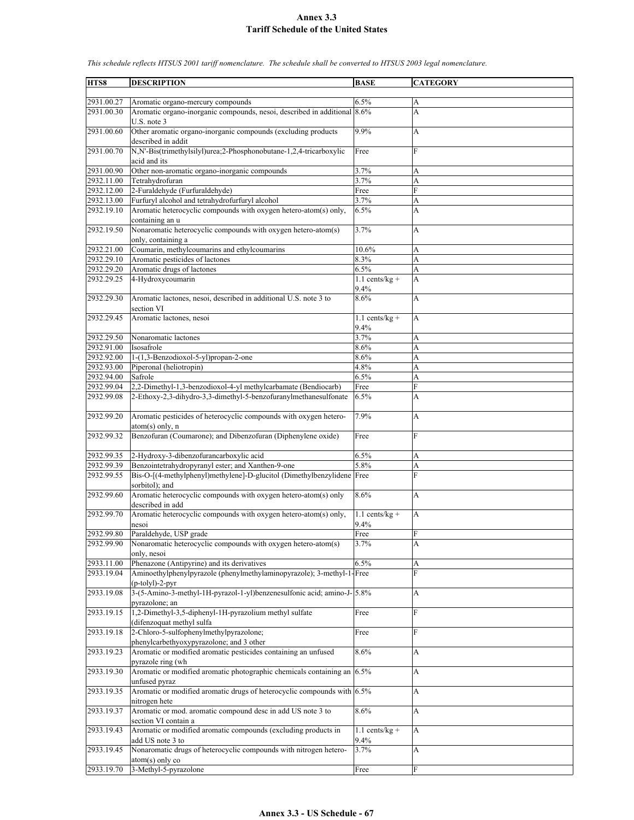$2931.00.27$  Aromatic organo-mercury compounds  $6.5\%$ 2931.00.30 Aromatic organo-inorganic compounds, nesoi, described in additional U.S. note 3 8.6% A 2931.00.60 Other aromatic organo-inorganic compounds (excluding products described in addit 9.9% A 2931.00.70 N,N'-Bis(trimethylsilyl)urea;2-Phosphonobutane-1,2,4-tricarboxylic acid and its Free F 2931.00.90 Other non-aromatic organo-inorganic compounds 3.7% 2932.11.00 Tetrahydrofuran 3.7% A 2932.12.00 2-Furaldehyde (Furfuraldehyde) Free F 2932.13.00 Furfuryl alcohol and tetrahydrofurfuryl alcohol 3.7% A 2932.19.10 Aromatic heterocyclic compounds with oxygen hetero-atom(s) only, containing an u 6.5% A 2932.19.50 Nonaromatic heterocyclic compounds with oxygen hetero-atom(s) only, containing a 3.7% A 2932.21.00 Coumarin, methylcoumarins and ethylcoumarins 10.6% A 2932.29.10 Aromatic pesticides of lactones 8.3% A 2932.29.20 Aromatic drugs of lactones 6.5% A  $2932.29.25$  4-Hydroxycoumarin 1.1 cents/kg + 9.4% A 2932.29.30 Aromatic lactones, nesoi, described in additional U.S. note 3 to section VI 8.6% A 2932.29.45 Aromatic lactones, nesoi 1.1 cents/kg + 9.4% A 2932.29.50 Nonaromatic lactones 3.7% A 2932.91.00 Isosafrole 8.6% A 2932.92.00 | 1-(1,3-Benzodioxol-5-yl)propan-2-one | 8.6% | A 2932.93.00 Piperonal (heliotropin) 4.8% A 2932.94.00 Safrole 6.5% A 2932.99.04 2,2-Dimethyl-1,3-benzodioxol-4-yl methylcarbamate (Bendiocarb) Free F 2932.99.08 2-Ethoxy-2,3-dihydro-3,3-dimethyl-5-benzofuranylmethanesulfonate 6.5% A 2932.99.20 Aromatic pesticides of heterocyclic compounds with oxygen heteroatom(s) only, n 7.9% A 2932.99.32 Benzofuran (Coumarone); and Dibenzofuran (Diphenylene oxide) Free F 2932.99.35 2-Hydroxy-3-dibenzofurancarboxylic acid 6.5% A 2932.99.39 Benzointetrahydropyranyl ester; and Xanthen-9-one 5.8% A 2932.99.55 Bis-O-[(4-methylphenyl)methylene]-D-glucitol (Dimethylbenzylidene sorbitol); and Free F 2932.99.60 Aromatic heterocyclic compounds with oxygen hetero-atom(s) only described in add 8.6% A 2932.99.70 Aromatic heterocyclic compounds with oxygen hetero-atom(s) only, nesoi  $1.1$  cents/kg + 9.4% A 2932.99.80 Paraldehyde, USP grade Free F 2932.99.90 Nonaromatic heterocyclic compounds with oxygen hetero-atom(s) only, nesoi 3.7% A 2933.11.00 Phenazone (Antipyrine) and its derivatives 6.5% 6.5% 2933.19.04 Aminoethylphenylpyrazole (phenylmethylaminopyrazole); 3-methyl-1- (p-tolyl)-2-pyr Free F 2933.19.08 3-(5-Amino-3-methyl-1H-pyrazol-1-yl)benzenesulfonic acid; amino-Jpyrazolone; an 5.8% A 2933.19.15 1,2-Dimethyl-3,5-diphenyl-1H-pyrazolium methyl sulfate (difenzoquat methyl sulfa Free F 2933.19.18 2-Chloro-5-sulfophenylmethylpyrazolone; phenylcarbethyoxypyrazolone; and 3 other Free F 2933.19.23 Aromatic or modified aromatic pesticides containing an unfused pyrazole ring (wh 8.6% A 2933.19.30 Aromatic or modified aromatic photographic chemicals containing an unfused pyraz 6.5% A 2933.19.35 Aromatic or modified aromatic drugs of heterocyclic compounds with 6.5% A nitrogen hete 2933.19.37 Aromatic or mod. aromatic compound desc in add US note 3 to section VI contain a 8.6% A 2933.19.43 Aromatic or modified aromatic compounds (excluding products in add US note 3 to  $1.1$  cents/kg + 9.4% A 2933.19.45 Nonaromatic drugs of heterocyclic compounds with nitrogen hetero- $3.7\%$  A

*This schedule reflects HTSUS 2001 tariff nomenclature. The schedule shall be converted to HTSUS 2003 legal nomenclature.*

**HTS8 DESCRIPTION BASE CATEGORY**

atom(s) only co

2933.19.70 3-Methyl-5-pyrazolone Free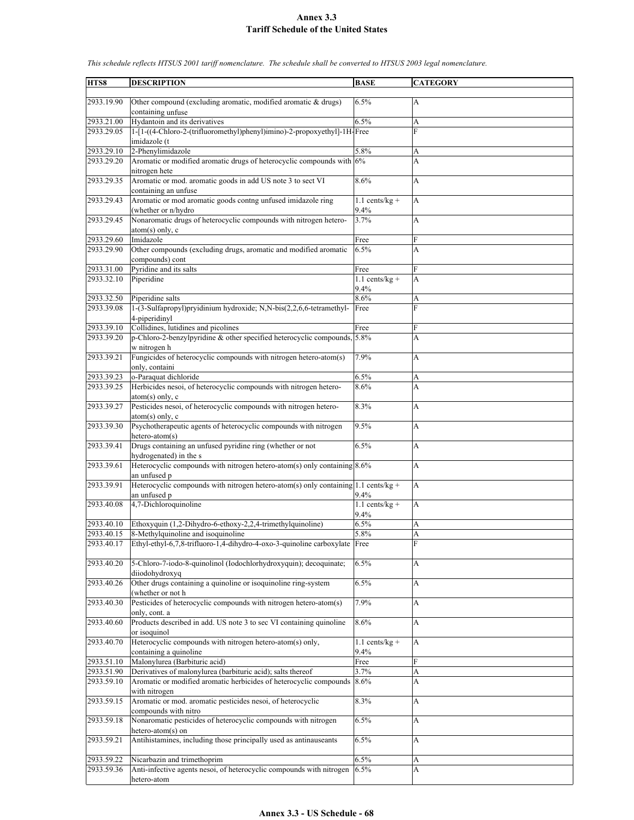**HTS8 DESCRIPTION BASE CATEGORY** 2933.19.90 Other compound (excluding aromatic, modified aromatic & drugs) containing unfuse  $6.5\%$  A  $2933.21.00$  Hydantoin and its derivatives  $6.5\%$  A 2933.29.05 1-[1-((4-Chloro-2-(trifluoromethyl)phenyl)imino)-2-propoxyethyl]-1H-Free F imidazole (t 2933.29.10 2-Phenylimidazole 5.8% A 2933.29.20 Aromatic or modified aromatic drugs of heterocyclic compounds with nitrogen hete 6% A 2933.29.35 Aromatic or mod. aromatic goods in add US note 3 to sect VI containing an unfuse 8.6% A 2933.29.43 Aromatic or mod aromatic goods contng unfused imidazole ring (whether or n/hydro  $1.1$  cents/kg + 9.4% A 2933.29.45 Nonaromatic drugs of heterocyclic compounds with nitrogen heteroatom(s) only, c 3.7% A 2933.29.60 Imidazole Free 2933.29.90 Other compounds (excluding drugs, aromatic and modified aromatic compounds) cont 6.5% A 2933.31.00 Pyridine and its salts Free  $2933.32.10$  Piperidine 1.1 cents/kg + 9.4% A 2933.32.50 Piperidine salts 8.6% A 2933.39.08 1-(3-Sulfapropyl)pryidinium hydroxide; N,N-bis(2,2,6,6-tetramethyl-4-piperidinyl Free 2933.39.10 Collidines, lutidines and picolines Free 2933.39.20 p-Chloro-2-benzylpyridine & other specified heterocyclic compounds, w nitrogen h 5.8% A 2933.39.21 Fungicides of heterocyclic compounds with nitrogen hetero-atom(s) only, containi 7.9% A 2933.39.23 o-Paraquat dichloride 6.5% A 2933.39.25 Herbicides nesoi, of heterocyclic compounds with nitrogen heteroatom(s) only, c 8.6% A 2933.39.27 Pesticides nesoi, of heterocyclic compounds with nitrogen heteroatom(s) only, c 8.3% A 2933.39.30 Psychotherapeutic agents of heterocyclic compounds with nitrogen hetero-atom(s) 9.5% A 2933.39.41 Drugs containing an unfused pyridine ring (whether or not hydrogenated) in the s  $6.5\%$  A 2933.39.61 Heterocyclic compounds with nitrogen hetero-atom(s) only containing 8.6% A an unfused p 2933.39.91 Heterocyclic compounds with nitrogen hetero-atom(s) only containing 1.1 cents/kg + an unfused p 9.4% A  $2933.40.08$   $|4,7$ -Dichloroquinoline 1.1 cents/kg + 9.4% A 2933.40.10 Ethoxyquin (1,2-Dihydro-6-ethoxy-2,2,4-trimethylquinoline) 6.5% A 2933.40.15 8-Methylquinoline and isoquinoline 5.8% A 2933.40.17 Ethyl-ethyl-6,7,8-trifluoro-1,4-dihydro-4-oxo-3-quinoline carboxylate Free F 2933.40.20 5-Chloro-7-iodo-8-quinolinol (Iodochlorhydroxyquin); decoquinate; diiodohydroxyq 6.5% A 2933.40.26 Other drugs containing a quinoline or isoquinoline ring-system (whether or not h 6.5% A 2933.40.30 Pesticides of heterocyclic compounds with nitrogen hetero-atom(s) only, cont. a 7.9% A 2933.40.60 Products described in add. US note 3 to sec VI containing quinoline or isoquinol 8.6% A 2933.40.70 Heterocyclic compounds with nitrogen hetero-atom(s) only, containing a quinoline  $1.1$  cents/kg + 9.4% A 2933.51.10 Malonylurea (Barbituric acid) Free 2933.51.90 Derivatives of malonylurea (barbituric acid); salts thereof 3.7% A 2933.59.10 Aromatic or modified aromatic herbicides of heterocyclic compounds with nitrogen 8.6% A 2933.59.15 Aromatic or mod. aromatic pesticides nesoi, of heterocyclic compounds with nitro 8.3% A 2933.59.18 Nonaromatic pesticides of heterocyclic compounds with nitrogen hetero-atom(s) on  $6.5\%$  A 2933.59.21 Antihistamines, including those principally used as antinauseants 6.5% A 2933.59.22 Nicarbazin and trimethoprim 6.5% A 2933.59.36 Anti-infective agents nesoi, of heterocyclic compounds with nitrogen hetero-atom 6.5% A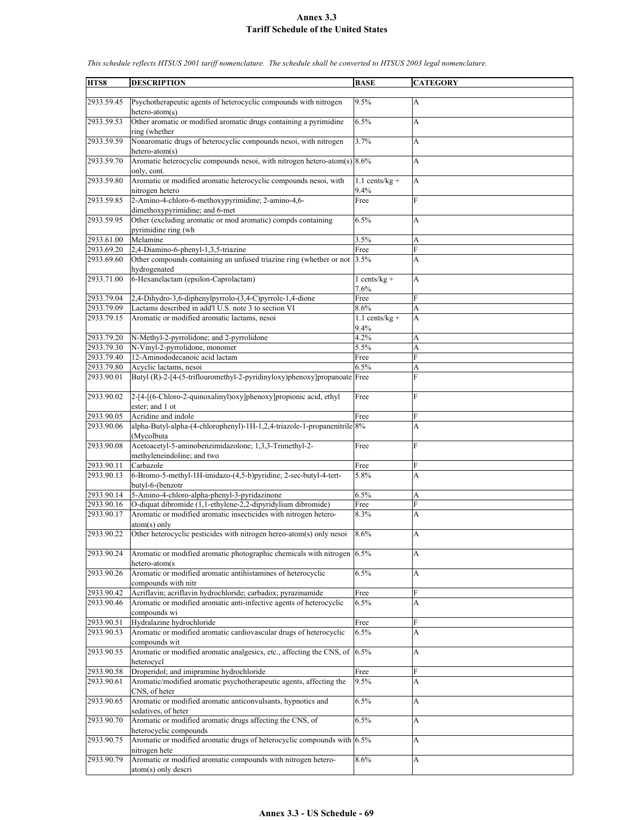| HTS8       | <b>DESCRIPTION</b>                                                          | <b>BASE</b>        | <b>CATEGORY</b> |
|------------|-----------------------------------------------------------------------------|--------------------|-----------------|
|            |                                                                             |                    |                 |
| 2933.59.45 | Psychotherapeutic agents of heterocyclic compounds with nitrogen            | 9.5%               | A               |
|            | hetero-atom(s)                                                              |                    |                 |
| 2933.59.53 | Other aromatic or modified aromatic drugs containing a pyrimidine           | 6.5%               | A               |
|            | ring (whether                                                               |                    |                 |
| 2933.59.59 | Nonaromatic drugs of heterocyclic compounds nesoi, with nitrogen            | 3.7%               | A               |
|            |                                                                             |                    |                 |
|            | $hetero-atom(s)$                                                            |                    |                 |
| 2933.59.70 | Aromatic heterocyclic compounds nesoi, with nitrogen hetero-atom(s) $8.6\%$ |                    | A               |
|            | only, cont.                                                                 |                    |                 |
| 2933.59.80 | Aromatic or modified aromatic heterocyclic compounds nesoi, with            | $1.1$ cents/kg +   | A               |
|            | nitrogen hetero                                                             | 9.4%               |                 |
| 2933.59.85 | 2-Amino-4-chloro-6-methoxypyrimidine; 2-amino-4,6-                          | Free               | F               |
|            | dimethoxypyrimidine; and 6-met                                              |                    |                 |
| 2933.59.95 | Other (excluding aromatic or mod aromatic) compds containing                | 6.5%               | A               |
|            | pyrimidine ring (wh                                                         |                    |                 |
|            | Melamine                                                                    |                    |                 |
| 2933.61.00 |                                                                             | 3.5%               | A               |
| 2933.69.20 | 2,4-Diamino-6-phenyl-1,3,5-triazine                                         | Free               | F               |
| 2933.69.60 | Other compounds containing an unfused triazine ring (whether or not         | 3.5%               | A               |
|            | hydrogenated                                                                |                    |                 |
| 2933.71.00 | 6-Hexanelactam (epsilon-Caprolactam)                                        | $1 cents/kg +$     | A               |
|            |                                                                             | 7.6%               |                 |
| 2933.79.04 | 2,4-Dihydro-3,6-diphenylpyrrolo-(3,4-C)pyrrole-1,4-dione                    | Free               | F               |
| 2933.79.09 | Lactams described in add'l U.S. note 3 to section VI                        | 8.6%               | A               |
| 2933.79.15 | Aromatic or modified aromatic lactams, nesoi                                | $1.1$ cents/kg +   | A               |
|            |                                                                             |                    |                 |
|            |                                                                             | 9.4%               |                 |
| 2933.79.20 | N-Methyl-2-pyrrolidone; and 2-pyrrolidone                                   | 4.2%               | А               |
| 2933.79.30 | N-Vinyl-2-pyrrolidone, monomer                                              | 5.5%               | A               |
| 2933.79.40 | 12-Aminododecanoic acid lactam                                              | Free               | F               |
| 2933.79.80 | Acyclic lactams, nesoi                                                      | 6.5%               | A               |
| 2933.90.01 | Butyl (R)-2-[4-(5-triflouromethyl-2-pyridinyloxy)phenoxy]propanoate         | Free               | F               |
|            |                                                                             |                    |                 |
| 2933.90.02 | 2-[4-](6-Chloro-2-quinoxalinyl)oxy]phenoxy]propionic acid, ethyl            | Free               | F               |
|            | ester; and 1 ot                                                             |                    |                 |
|            |                                                                             |                    |                 |
| 2933.90.05 | Acridine and indole                                                         | Free               | F               |
| 2933.90.06 | alpha-Butyl-alpha-(4-chlorophenyl)-1H-1,2,4-triazole-1-propanenitrile 8%    |                    | A               |
|            | (Mycolbuta                                                                  |                    |                 |
| 2933.90.08 | Acetoacetyl-5-aminobenzimidazolone; 1,3,3-Trimethyl-2-                      | Free               | F               |
|            | methyleneindoline; and two                                                  |                    |                 |
| 2933.90.11 | Carbazole                                                                   | Free               | F               |
| 2933.90.13 | 6-Bromo-5-methyl-1H-imidazo-(4,5-b)pyridine; 2-sec-butyl-4-tert-            | 5.8%               | A               |
|            | butyl-6-(benzotr                                                            |                    |                 |
| 2933.90.14 | 5-Amino-4-chloro-alpha-phenyl-3-pyridazinone                                | 6.5%               | A               |
| 2933.90.16 | O-diquat dibromide (1,1-ethylene-2,2-dipyridylium dibromide)                | Free               | F               |
| 2933.90.17 | Aromatic or modified aromatic insecticides with nitrogen hetero-            |                    |                 |
|            |                                                                             | 8.3%               | A               |
|            | $atom(s)$ only                                                              |                    |                 |
| 2933.90.22 | Other heterocyclic pesticides with nitrogen hereo-atom(s) only nesoi        | 8.6%               | A               |
|            |                                                                             |                    |                 |
| 2933.90.24 | Aromatic or modified aromatic photographic chemicals with nitrogen $6.5\%$  |                    | A               |
|            | hetero-atom(s                                                               |                    |                 |
| 2933.90.26 | Aromatic or modified aromatic antihistamines of heterocyclic                | 6.5%               | A               |
|            | compounds with nitr                                                         |                    |                 |
| 2933.90.42 | Acriflavin; acriflavin hydrochloride; carbadox; pyrazinamide                | Free               | F               |
| 2933.90.46 | Aromatic or modified aromatic anti-infective agents of heterocyclic         | 6.5%               | A               |
|            |                                                                             |                    |                 |
|            | compounds wi                                                                |                    |                 |
| 2933.90.51 | Hydralazine hydrochloride                                                   | $\overline{F}$ ree | F               |
| 2933.90.53 | Aromatic or modified aromatic cardiovascular drugs of heterocyclic          | 6.5%               | A               |
|            | compounds wit                                                               |                    |                 |
| 2933.90.55 | Aromatic or modified aromatic analgesics, etc., affecting the CNS, of 6.5%  |                    | A               |
|            | heterocycl                                                                  |                    |                 |
| 2933.90.58 | Droperidol; and imipramine hydrochloride                                    | Free               | F               |
| 2933.90.61 | Aromatic/modified aromatic psychotherapeutic agents, affecting the          | 9.5%               | A               |
|            | CNS, of heter                                                               |                    |                 |
| 2933.90.65 | Aromatic or modified aromatic anticonvulsants, hypnotics and                | 6.5%               | A               |
|            | sedatives, of heter                                                         |                    |                 |
|            |                                                                             |                    |                 |
| 2933.90.70 | Aromatic or modified aromatic drugs affecting the CNS, of                   | 6.5%               | A               |
|            | heterocyclic compounds                                                      |                    |                 |
| 2933.90.75 | Aromatic or modified aromatic drugs of heterocyclic compounds with 6.5%     |                    | A               |
|            | nitrogen hete                                                               |                    |                 |
| 2933.90.79 | Aromatic or modified aromatic compounds with nitrogen hetero-               | 8.6%               | A               |
|            | atom(s) only descri                                                         |                    |                 |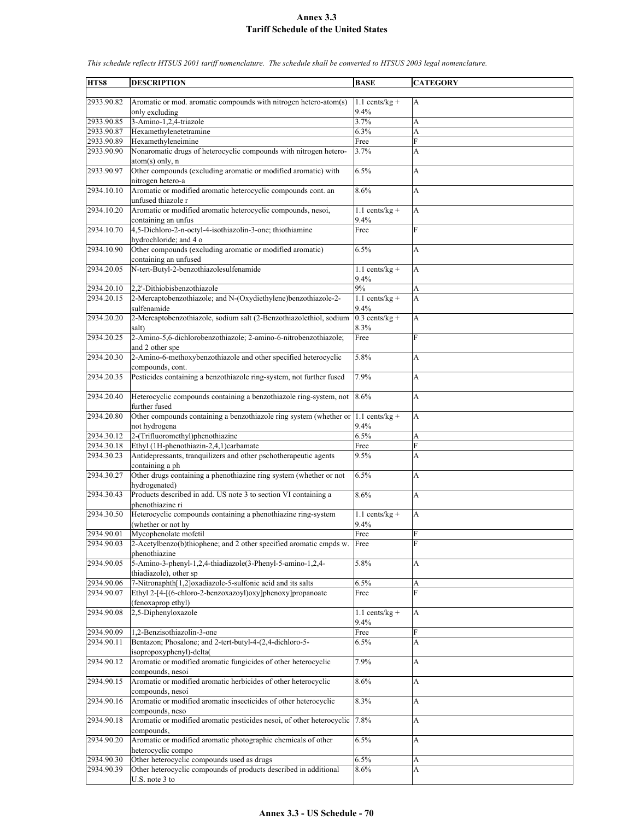| HTS8       | <b>DESCRIPTION</b>                                                                         | <b>BASE</b>              | <b>CATEGORY</b> |
|------------|--------------------------------------------------------------------------------------------|--------------------------|-----------------|
|            |                                                                                            |                          |                 |
| 2933.90.82 | Aromatic or mod. aromatic compounds with nitrogen hetero-atom(s)                           | 1.1 cents/ $kg +$        | А               |
|            | only excluding                                                                             | 9.4%                     |                 |
| 2933.90.85 | 3-Amino-1,2,4-triazole                                                                     | 3.7%                     | A               |
| 2933.90.87 | Hexamethylenetetramine                                                                     | 6.3%                     | A               |
| 2933.90.89 | Hexamethyleneimine                                                                         | Free                     | F               |
| 2933.90.90 | Nonaromatic drugs of heterocyclic compounds with nitrogen hetero-<br>$atom(s)$ only, n     | 3.7%                     | A               |
| 2933.90.97 | Other compounds (excluding aromatic or modified aromatic) with<br>nitrogen hetero-a        | 6.5%                     | A               |
| 2934.10.10 | Aromatic or modified aromatic heterocyclic compounds cont. an<br>unfused thiazole r        | 8.6%                     | A               |
| 2934.10.20 | Aromatic or modified aromatic heterocyclic compounds, nesoi,<br>containing an unfus        | $1.1$ cents/kg +<br>9.4% | A               |
| 2934.10.70 | 4,5-Dichloro-2-n-octyl-4-isothiazolin-3-one; thiothiamine<br>hydrochloride; and 4 o        | Free                     | F               |
| 2934.10.90 | Other compounds (excluding aromatic or modified aromatic)                                  | 6.5%                     | A               |
|            | containing an unfused                                                                      |                          |                 |
| 2934.20.05 | N-tert-Butyl-2-benzothiazolesulfenamide                                                    | $1.1$ cents/kg +<br>9.4% | A               |
| 2934.20.10 | 2,2'-Dithiobisbenzothiazole                                                                | 9%                       | A               |
| 2934.20.15 | 2-Mercaptobenzothiazole; and N-(Oxydiethylene)benzothiazole-2-<br>sulfenamide              | $1.1$ cents/kg +<br>9.4% | A               |
| 2934.20.20 | 2-Mercaptobenzothiazole, sodium salt (2-Benzothiazolethiol, sodium<br>salt)                | $0.3$ cents/kg +<br>8.3% | A               |
| 2934.20.25 | 2-Amino-5,6-dichlorobenzothiazole; 2-amino-6-nitrobenzothiazole;<br>and 2 other spe        | Free                     | F               |
| 2934.20.30 | 2-Amino-6-methoxybenzothiazole and other specified heterocyclic<br>compounds, cont.        | 5.8%                     | A               |
| 2934.20.35 | Pesticides containing a benzothiazole ring-system, not further fused                       | 7.9%                     | A               |
| 2934.20.40 | Heterocyclic compounds containing a benzothiazole ring-system, not<br>further fused        | 8.6%                     | A               |
| 2934.20.80 | Other compounds containing a benzothiazole ring system (whether or<br>not hydrogena        | $1.1$ cents/kg +<br>9.4% | A               |
| 2934.30.12 | 2-(Trifluoromethyl)phenothiazine                                                           | 6.5%                     | A               |
| 2934.30.18 | Ethyl (1H-phenothiazin-2,4,1)carbamate                                                     | Free                     | F               |
| 2934.30.23 | Antidepressants, tranquilizers and other pschotherapeutic agents<br>containing a ph        | 9.5%                     | A               |
| 2934.30.27 | Other drugs containing a phenothiazine ring system (whether or not<br>hydrogenated)        | 6.5%                     | A               |
| 2934.30.43 | Products described in add. US note 3 to section VI containing a<br>phenothiazine ri        | 8.6%                     | A               |
| 2934.30.50 | Heterocyclic compounds containing a phenothiazine ring-system<br>(whether or not hy        | $1.1$ cents/kg +<br>9.4% | A               |
| 2934.90.01 | Mycophenolate mofetil                                                                      | Free                     | F               |
| 2934.90.03 | 2-Acetylbenzo(b)thiophene; and 2 other specified aromatic cmpds w.<br>phenothiazine        | Free                     | F               |
| 2934.90.05 | 5-Amino-3-phenyl-1,2,4-thiadiazole(3-Phenyl-5-amino-1,2,4-                                 | 5.8%                     | A               |
| 2934.90.06 | thiadiazole), other sp<br>7-Nitronaphth[1,2]oxadiazole-5-sulfonic acid and its salts       | 6.5%                     | A               |
| 2934.90.07 | Ethyl 2-[4-[(6-chloro-2-benzoxazoyl)oxy]phenoxy]propanoate<br>(fenoxaprop ethyl)           | Free                     | F               |
| 2934.90.08 | 2,5-Diphenyloxazole                                                                        | $1.1$ cents/kg +<br>9.4% | A               |
| 2934.90.09 | 1,2-Benzisothiazolin-3-one                                                                 | Free                     | F               |
| 2934.90.11 | Bentazon; Phosalone; and 2-tert-butyl-4-(2,4-dichloro-5-                                   | $6.5\%$                  | A               |
| 2934.90.12 | isopropoxyphenyl)-delta(<br>Aromatic or modified aromatic fungicides of other heterocyclic | 7.9%                     | A               |
| 2934.90.15 | compounds, nesoi<br>Aromatic or modified aromatic herbicides of other heterocyclic         | 8.6%                     | A               |
| 2934.90.16 | compounds, nesoi<br>Aromatic or modified aromatic insecticides of other heterocyclic       | 8.3%                     | A               |
|            | compounds, neso                                                                            |                          |                 |
| 2934.90.18 | Aromatic or modified aromatic pesticides nesoi, of other heterocyclic<br>compounds,        | 7.8%                     | A               |
| 2934.90.20 | Aromatic or modified aromatic photographic chemicals of other<br>heterocyclic compo        | 6.5%                     | A               |
| 2934.90.30 | Other heterocyclic compounds used as drugs                                                 | 6.5%                     | A               |
| 2934.90.39 | Other heterocyclic compounds of products described in additional                           | 8.6%                     | A               |
|            | U.S. note 3 to                                                                             |                          |                 |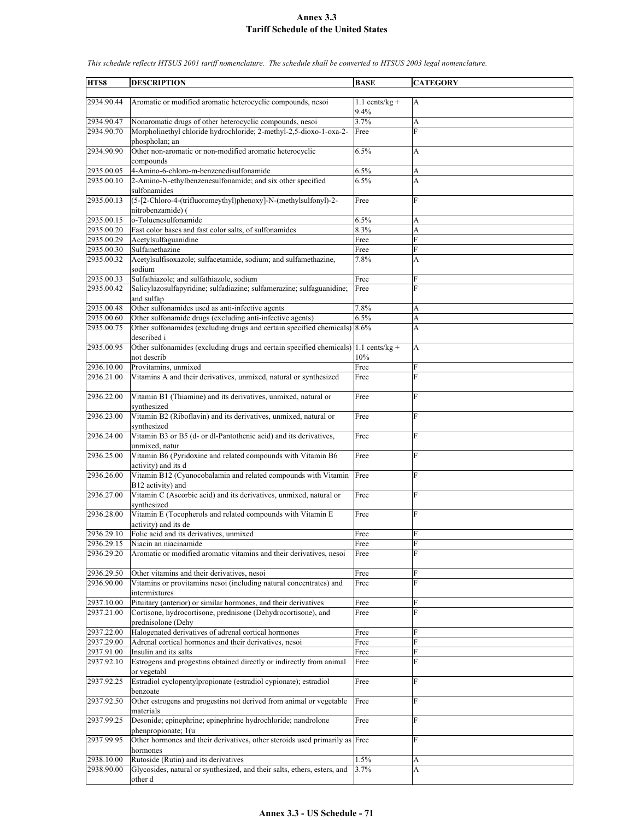| HTS8                     | <b>DESCRIPTION</b>                                                                                                             | <b>BASE</b>      | <b>CATEGORY</b> |
|--------------------------|--------------------------------------------------------------------------------------------------------------------------------|------------------|-----------------|
|                          |                                                                                                                                |                  |                 |
| 2934.90.44               | Aromatic or modified aromatic heterocyclic compounds, nesoi                                                                    | $1.1$ cents/kg + | A               |
|                          |                                                                                                                                | 9.4%             |                 |
| 2934.90.47<br>2934.90.70 | Nonaromatic drugs of other heterocyclic compounds, nesoi<br>Morpholinethyl chloride hydrochloride; 2-methyl-2,5-dioxo-1-oxa-2- | 3.7%<br>Free     | A<br>F          |
|                          | phospholan; an                                                                                                                 |                  |                 |
| 2934.90.90               | Other non-aromatic or non-modified aromatic heterocyclic                                                                       | 6.5%             | A               |
|                          | compounds                                                                                                                      |                  |                 |
| 2935.00.05               | 4-Amino-6-chloro-m-benzenedisulfonamide                                                                                        | 6.5%             | А               |
| 2935.00.10               | 2-Amino-N-ethylbenzenesulfonamide; and six other specified                                                                     | 6.5%             | A               |
| 2935.00.13               | sulfonamides<br>(5-[2-Chloro-4-(trifluoromeythyl)phenoxy]-N-(methylsulfonyl)-2-                                                | Free             | F               |
|                          | nitrobenzamide) (                                                                                                              |                  |                 |
| 2935.00.15               | o-Toluenesulfonamide                                                                                                           | 6.5%             | А               |
| 2935.00.20               | Fast color bases and fast color salts, of sulfonamides                                                                         | 8.3%             | A               |
| 2935.00.29               | Acetylsulfaguanidine                                                                                                           | Free             | F               |
| 2935.00.30               | Sulfamethazine                                                                                                                 | Free             | F               |
| 2935.00.32               | Acetylsulfisoxazole; sulfacetamide, sodium; and sulfamethazine,<br>sodium                                                      | 7.8%             | А               |
| 2935.00.33               | Sulfathiazole; and sulfathiazole, sodium                                                                                       | Free             | F               |
| 2935.00.42               | Salicylazosulfapyridine; sulfadiazine; sulfamerazine; sulfaguanidine;                                                          | Free             | F               |
|                          | and sulfap                                                                                                                     |                  |                 |
| 2935.00.48               | Other sulfonamides used as anti-infective agents                                                                               | 7.8%             | А               |
| 2935.00.60               | Other sulfonamide drugs (excluding anti-infective agents)                                                                      | 6.5%             | A               |
| 2935.00.75               | Other sulfonamides (excluding drugs and certain specified chemicals) 8.6%<br>described i                                       |                  | A               |
| 2935.00.95               | Other sulfonamides (excluding drugs and certain specified chemicals) 1.1 cents/kg +                                            |                  | A               |
|                          | not describ                                                                                                                    | 10%              |                 |
| 2936.10.00               | Provitamins, unmixed                                                                                                           | Free             | F               |
| 2936.21.00               | Vitamins A and their derivatives, unmixed, natural or synthesized                                                              | Free             | $\mathbf{F}$    |
|                          |                                                                                                                                |                  | F               |
| 2936.22.00               | Vitamin B1 (Thiamine) and its derivatives, unmixed, natural or<br>synthesized                                                  | Free             |                 |
| 2936.23.00               | Vitamin B2 (Riboflavin) and its derivatives, unmixed, natural or                                                               | Free             | F               |
|                          | synthesized                                                                                                                    |                  |                 |
| 2936.24.00               | Vitamin B3 or B5 (d- or dl-Pantothenic acid) and its derivatives,                                                              | Free             | F               |
|                          | unmixed, natur                                                                                                                 |                  |                 |
| 2936.25.00               | Vitamin B6 (Pyridoxine and related compounds with Vitamin B6<br>activity) and its d                                            | Free             | F               |
| 2936.26.00               | Vitamin B12 (Cyanocobalamin and related compounds with Vitamin                                                                 | Free             | $\overline{F}$  |
|                          | B12 activity) and                                                                                                              |                  |                 |
| 2936.27.00               | Vitamin C (Ascorbic acid) and its derivatives, unmixed, natural or                                                             | Free             | $\overline{F}$  |
|                          | synthesized                                                                                                                    |                  |                 |
| 2936.28.00               | Vitamin E (Tocopherols and related compounds with Vitamin E                                                                    | Free             | F               |
| 2936.29.10               | activity) and its de<br>Folic acid and its derivatives, unmixed                                                                | Free             | $\mathbf{F}$    |
| 2936.29.15               | Niacin an niacinamide                                                                                                          | Free             | F               |
| 2936.29.20               | Aromatic or modified aromatic vitamins and their derivatives, nesoi                                                            | Free             | F               |
|                          |                                                                                                                                |                  |                 |
| 2936.29.50               | Other vitamins and their derivatives, nesoi                                                                                    | Free             | F               |
| 2936.90.00               | Vitamins or provitamins nesoi (including natural concentrates) and<br>intermixtures                                            | Free             | F               |
| 2937.10.00               | Pituitary (anterior) or similar hormones, and their derivatives                                                                | Free             | F               |
| 2937.21.00               | Cortisone, hydrocortisone, prednisone (Dehydrocortisone), and                                                                  | Free             | F               |
|                          | prednisolone (Dehy                                                                                                             |                  |                 |
| 2937.22.00               | Halogenated derivatives of adrenal cortical hormones                                                                           | Free             | F               |
| 2937.29.00               | Adrenal cortical hormones and their derivatives, nesoi                                                                         | Free             | F               |
| 2937.91.00<br>2937.92.10 | Insulin and its salts<br>Estrogens and progestins obtained directly or indirectly from animal                                  | Free<br>Free     | F<br>F          |
|                          | or vegetabl                                                                                                                    |                  |                 |
| 2937.92.25               | Estradiol cyclopentylpropionate (estradiol cypionate); estradiol                                                               | Free             | F               |
|                          | benzoate                                                                                                                       |                  |                 |
| 2937.92.50               | Other estrogens and progestins not derived from animal or vegetable                                                            | Free             | F               |
|                          | materials                                                                                                                      |                  |                 |
| 2937.99.25               | Desonide; epinephrine; epinephrine hydrochloride; nandrolone<br>phenpropionate; 1(u                                            | Free             | F               |
| 2937.99.95               | Other hormones and their derivatives, other steroids used primarily as Free                                                    |                  | F               |
|                          | hormones                                                                                                                       |                  |                 |
| 2938.10.00               | Rutoside (Rutin) and its derivatives                                                                                           | 1.5%             | А               |
| 2938.90.00               | Glycosides, natural or synthesized, and their salts, ethers, esters, and                                                       | 3.7%             | A               |
|                          | other d                                                                                                                        |                  |                 |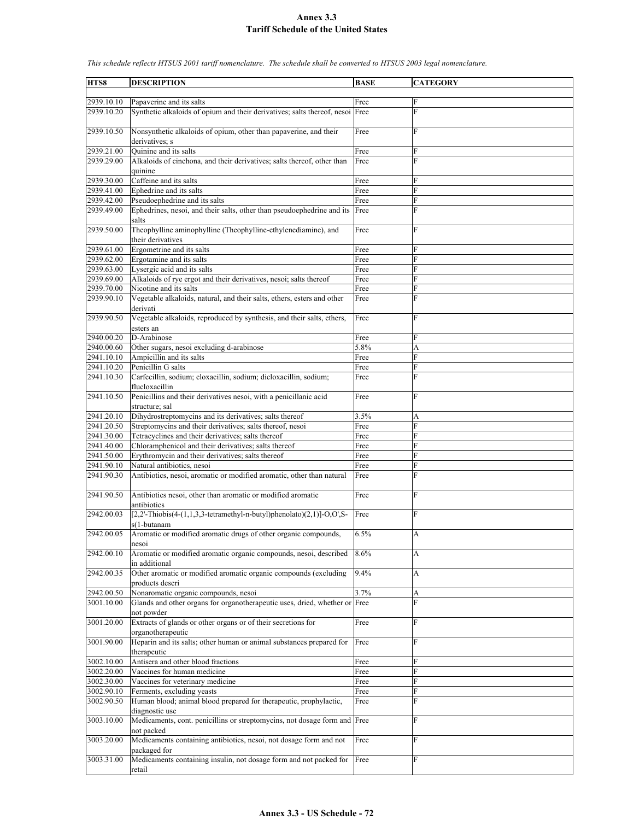| HTS8       | <b>DESCRIPTION</b>                                                            | <b>BASE</b> | <b>CATEGORY</b> |
|------------|-------------------------------------------------------------------------------|-------------|-----------------|
|            |                                                                               |             |                 |
| 2939.10.10 | Papaverine and its salts                                                      | Free        | F               |
| 2939.10.20 | Synthetic alkaloids of opium and their derivatives; salts thereof, nesoi Free |             | F               |
|            |                                                                               |             |                 |
| 2939.10.50 | Nonsynthetic alkaloids of opium, other than papaverine, and their             | Free        | F               |
|            | derivatives; s                                                                |             |                 |
| 2939.21.00 | Ouinine and its salts                                                         | Free        | F               |
|            |                                                                               |             | F               |
| 2939.29.00 | Alkaloids of cinchona, and their derivatives; salts thereof, other than       | Free        |                 |
|            | quinine<br>Caffeine and its salts                                             |             | F               |
| 2939.30.00 |                                                                               | Free        |                 |
| 2939.41.00 | Ephedrine and its salts                                                       | Free        | F               |
| 2939.42.00 | Pseudoephedrine and its salts                                                 | Free        | F               |
| 2939.49.00 | Ephedrines, nesoi, and their salts, other than pseudoephedrine and its        | Free        | F               |
|            | salts                                                                         |             |                 |
| 2939.50.00 | Theophylline aminophylline (Theophylline-ethylenediamine), and                | Free        | F               |
|            | their derivatives                                                             |             |                 |
| 2939.61.00 | Ergometrine and its salts                                                     | Free        | F               |
| 2939.62.00 | Ergotamine and its salts                                                      | Free        | F               |
| 2939.63.00 | Lysergic acid and its salts                                                   | Free        | F               |
| 2939.69.00 | Alkaloids of rye ergot and their derivatives, nesoi; salts thereof            | Free        | F               |
| 2939.70.00 | Nicotine and its salts                                                        | Free        | Ė               |
| 2939.90.10 | Vegetable alkaloids, natural, and their salts, ethers, esters and other       | Free        | F               |
|            | derivati                                                                      |             |                 |
| 2939.90.50 | Vegetable alkaloids, reproduced by synthesis, and their salts, ethers,        | Free        | F               |
|            | esters an                                                                     |             |                 |
| 2940.00.20 | D-Arabinose                                                                   | Free        | F               |
| 2940.00.60 | Other sugars, nesoi excluding d-arabinose                                     | 5.8%        | A               |
| 2941.10.10 | Ampicillin and its salts                                                      | Free        | F               |
| 2941.10.20 | Penicillin G salts                                                            | Free        | F               |
| 2941.10.30 | Carfecillin, sodium; cloxacillin, sodium; dicloxacillin, sodium;              | Free        | F               |
|            | flucloxacillin                                                                |             |                 |
| 2941.10.50 | Penicillins and their derivatives nesoi, with a penicillanic acid             | Free        | F               |
|            | structure; sal                                                                |             |                 |
| 2941.20.10 | Dihydrostreptomycins and its derivatives; salts thereof                       | 3.5%        | А               |
| 2941.20.50 | Streptomycins and their derivatives; salts thereof, nesoi                     | Free        | F               |
| 2941.30.00 | Tetracyclines and their derivatives; salts thereof                            | Free        | F               |
| 2941.40.00 | Chloramphenicol and their derivatives; salts thereof                          | Free        | F               |
| 2941.50.00 | Erythromycin and their derivatives; salts thereof                             | Free        | F               |
| 2941.90.10 | Natural antibiotics, nesoi                                                    | Free        | F               |
| 2941.90.30 | Antibiotics, nesoi, aromatic or modified aromatic, other than natural         | Free        | F               |
|            |                                                                               |             |                 |
| 2941.90.50 | Antibiotics nesoi, other than aromatic or modified aromatic                   | Free        | F               |
|            | antibiotics                                                                   |             |                 |
| 2942.00.03 | $[2,2'-Thiobis(4-(1,1,3,3-tetramethyl-n-butyl)phenolato)(2,1)]-O,O',S-$       | Free        | F               |
|            | s(1-butanam                                                                   |             |                 |
| 2942.00.05 | Aromatic or modified aromatic drugs of other organic compounds,               | 6.5%        | А               |
|            |                                                                               |             |                 |
| 2942.00.10 | nesoi<br>Aromatic or modified aromatic organic compounds, nesoi, described    | 8.6%        |                 |
|            |                                                                               |             | А               |
|            | in additional                                                                 |             |                 |
| 2942.00.35 | Other aromatic or modified aromatic organic compounds (excluding              | 9.4%        | A               |
|            | products descri                                                               |             |                 |
| 2942.00.50 | Nonaromatic organic compounds, nesoi                                          | 3.7%        | A               |
| 3001.10.00 | Glands and other organs for organotherapeutic uses, dried, whether or Free    |             | F               |
|            | not powder                                                                    |             |                 |
| 3001.20.00 | Extracts of glands or other organs or of their secretions for                 | Free        | F               |
|            | organotherapeutic                                                             |             |                 |
| 3001.90.00 | Heparin and its salts; other human or animal substances prepared for          | Free        | F               |
|            | therapeutic                                                                   |             |                 |
| 3002.10.00 | Antisera and other blood fractions                                            | Free        | F               |
| 3002.20.00 | Vaccines for human medicine                                                   | Free        | F               |
| 3002.30.00 | Vaccines for veterinary medicine                                              | Free        | F               |
| 3002.90.10 | Ferments, excluding yeasts                                                    | Free        | F               |
| 3002.90.50 | Human blood; animal blood prepared for therapeutic, prophylactic,             | Free        | F               |
|            | diagnostic use                                                                |             |                 |
| 3003.10.00 | Medicaments, cont. penicillins or streptomycins, not dosage form and Free     |             | F               |
|            | not packed                                                                    |             |                 |
| 3003.20.00 | Medicaments containing antibiotics, nesoi, not dosage form and not            | Free        | F               |
|            | packaged for                                                                  |             |                 |
| 3003.31.00 | Medicaments containing insulin, not dosage form and not packed for            | Free        | F               |
|            | retail                                                                        |             |                 |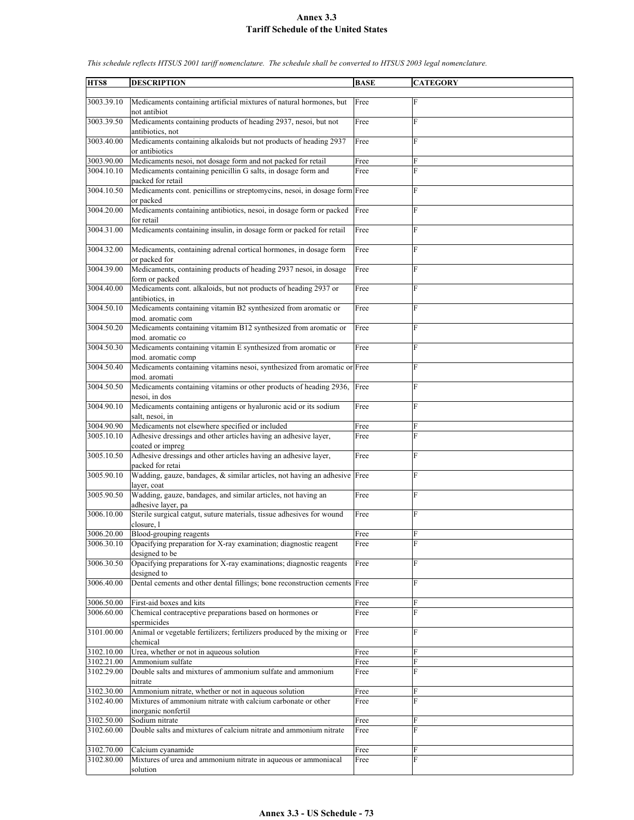| HTS8                     | <b>DESCRIPTION</b>                                                                                                            | <b>BASE</b>  | <b>CATEGORY</b> |
|--------------------------|-------------------------------------------------------------------------------------------------------------------------------|--------------|-----------------|
| 3003.39.10               | Medicaments containing artificial mixtures of natural hormones, but                                                           | Free         | F               |
| 3003.39.50               | not antibiot<br>Medicaments containing products of heading 2937, nesoi, but not                                               | Free         | $\overline{F}$  |
| 3003.40.00               | antibiotics, not<br>Medicaments containing alkaloids but not products of heading 2937                                         | Free         | F               |
|                          | or antibiotics                                                                                                                |              |                 |
| 3003.90.00<br>3004.10.10 | Medicaments nesoi, not dosage form and not packed for retail<br>Medicaments containing penicillin G salts, in dosage form and | Free<br>Free | F<br>F          |
| 3004.10.50               | packed for retail<br>Medicaments cont. penicillins or streptomycins, nesoi, in dosage form Free                               |              | F               |
| 3004.20.00               | or packed<br>Medicaments containing antibiotics, nesoi, in dosage form or packed                                              | Free         | F               |
| 3004.31.00               | for retail<br>Medicaments containing insulin, in dosage form or packed for retail                                             | Free         | F               |
| 3004.32.00               | Medicaments, containing adrenal cortical hormones, in dosage form<br>or packed for                                            | Free         | F               |
| 3004.39.00               | Medicaments, containing products of heading 2937 nesoi, in dosage<br>form or packed                                           | Free         | F               |
| 3004.40.00               | Medicaments cont. alkaloids, but not products of heading 2937 or<br>antibiotics, in                                           | Free         | ${\rm F}$       |
| 3004.50.10               | Medicaments containing vitamin B2 synthesized from aromatic or                                                                | Free         | F               |
| 3004.50.20               | mod. aromatic com<br>Medicaments containing vitamim B12 synthesized from aromatic or                                          | Free         | F               |
| 3004.50.30               | mod. aromatic co<br>Medicaments containing vitamin E synthesized from aromatic or                                             | Free         | ${\rm F}$       |
| 3004.50.40               | mod. aromatic comp<br>Medicaments containing vitamins nesoi, synthesized from aromatic or Free                                |              | F               |
| 3004.50.50               | mod. aromati<br>Medicaments containing vitamins or other products of heading 2936,<br>nesoi, in dos                           | Free         | F               |
| 3004.90.10               | Medicaments containing antigens or hyaluronic acid or its sodium<br>salt, nesoi, in                                           | Free         | F               |
| 3004.90.90               | Medicaments not elsewhere specified or included                                                                               | Free         | F               |
| 3005.10.10               | Adhesive dressings and other articles having an adhesive layer,<br>coated or impreg                                           | Free         | F               |
| 3005.10.50               | Adhesive dressings and other articles having an adhesive layer,<br>packed for retai                                           | Free         | F               |
| 3005.90.10               | Wadding, gauze, bandages, & similar articles, not having an adhesive Free<br>layer, coat                                      |              | F               |
| 3005.90.50               | Wadding, gauze, bandages, and similar articles, not having an                                                                 | Free         | F               |
| 3006.10.00               | adhesive layer, pa<br>Sterile surgical catgut, suture materials, tissue adhesives for wound                                   | Free         | F               |
| 3006.20.00               | closure, l<br>Blood-grouping reagents                                                                                         | Free         | $\overline{F}$  |
| 3006.30.10               | Opacifying preparation for X-ray examination; diagnostic reagent<br>designed to be                                            | Free         | F               |
| 3006.30.50               | Opacifying preparations for X-ray examinations; diagnostic reagents<br>designed to                                            | Free         | F               |
| 3006.40.00               | Dental cements and other dental fillings; bone reconstruction cements Free                                                    |              | F               |
| 3006.50.00               | First-aid boxes and kits                                                                                                      | Free         | F               |
| 3006.60.00               | Chemical contraceptive preparations based on hormones or<br>spermicides                                                       | Free         | F               |
| 3101.00.00               | Animal or vegetable fertilizers; fertilizers produced by the mixing or<br>chemical                                            | Free         | F               |
| 3102.10.00               | Urea, whether or not in aqueous solution                                                                                      | Free         | F               |
| 3102.21.00               | Ammonium sulfate                                                                                                              | Free         | F               |
| 3102.29.00               | Double salts and mixtures of ammonium sulfate and ammonium<br>nitrate                                                         | Free         | F               |
| 3102.30.00               | Ammonium nitrate, whether or not in aqueous solution                                                                          | Free         | F               |
| 3102.40.00               | Mixtures of ammonium nitrate with calcium carbonate or other<br>inorganic nonfertil                                           | Free         | F               |
| 3102.50.00               | Sodium nitrate                                                                                                                | Free         | F               |
| 3102.60.00               | Double salts and mixtures of calcium nitrate and ammonium nitrate                                                             | Free         | F               |
| 3102.70.00               | Calcium cyanamide                                                                                                             | Free         | F               |
| 3102.80.00               | Mixtures of urea and ammonium nitrate in aqueous or ammoniacal<br>solution                                                    | Free         | F               |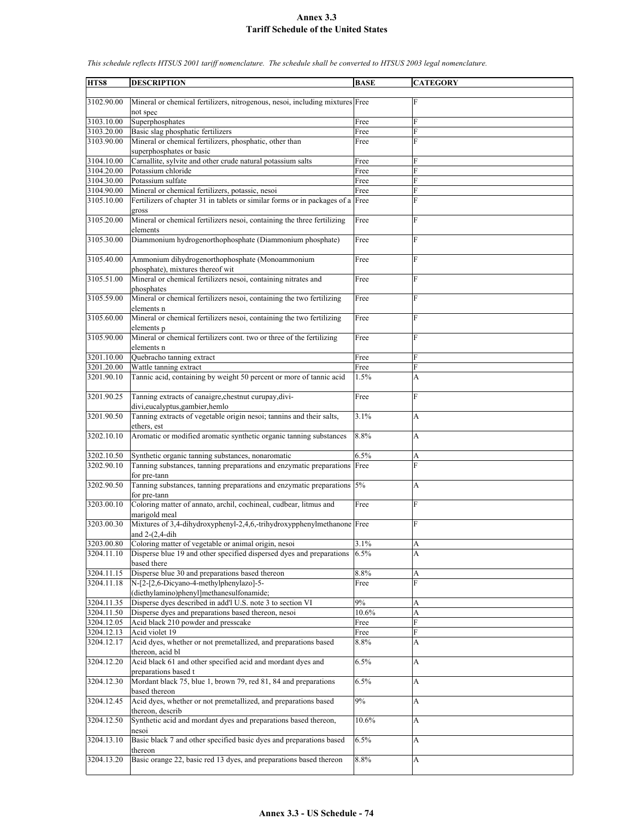**HTS8 DESCRIPTION BASE CATEGORY** 3102.90.00 Mineral or chemical fertilizers, nitrogenous, nesoi, including mixtures Free F not spec 3103.10.00 Superphosphates Free<br>3103.20.00 Basic slag phosphatic fertilizers Free Basic slag phosphatic fertilizers Free 3103.90.00 Mineral or chemical fertilizers, phosphatic, other than superphosphates or basic Free 3104.10.00 Carnallite, sylvite and other crude natural potassium salts Free 3104.20.00 Potassium chloride Free 3104.30.00 Potassium sulfate Free 3104.90.00 Mineral or chemical fertilizers, potassic, nesoi Free F 3105.10.00 Fertilizers of chapter 31 in tablets or similar forms or in packages of a gross Free 3105.20.00 Mineral or chemical fertilizers nesoi, containing the three fertilizing elements Free F 3105.30.00 Diammonium hydrogenorthophosphate (Diammonium phosphate) Free F 3105.40.00 Ammonium dihydrogenorthophosphate (Monoammonium phosphate), mixtures thereof wit Free F 3105.51.00 Mineral or chemical fertilizers nesoi, containing nitrates and phosphates Free F 3105.59.00 Mineral or chemical fertilizers nesoi, containing the two fertilizing elements n Free F 3105.60.00 Mineral or chemical fertilizers nesoi, containing the two fertilizing elements p **Free** 3105.90.00 Mineral or chemical fertilizers cont. two or three of the fertilizing elements n Free F 3201.10.00 Quebracho tanning extract Free 3201.20.00 Wattle tanning extract Free F 3201.90.10 Tannic acid, containing by weight 50 percent or more of tannic acid 1.5% A 3201.90.25 Tanning extracts of canaigre,chestnut curupay,dividivi,eucalyptus,gambier,hemlo Free F 3201.90.50 Tanning extracts of vegetable origin nesoi; tannins and their salts, ethers, est  $3.1\%$  A 3202.10.10 Aromatic or modified aromatic synthetic organic tanning substances 8.8% A 3202.10.50 Synthetic organic tanning substances, nonaromatic 6.5% 3202.90.10 Tanning substances, tanning preparations and enzymatic preparations for pre-tann Free 3202.90.50 Tanning substances, tanning preparations and enzymatic preparations for pre-tann 5% A 3203.00.10 Coloring matter of annato, archil, cochineal, cudbear, litmus and marigold meal Free F 3203.00.30 Mixtures of 3,4-dihydroxyphenyl-2,4,6,-trihydroxypphenylmethanone and 2-(2,4-dih Free F 3203.00.80 Coloring matter of vegetable or animal origin, nesoi 3.1% 3204.11.10 Disperse blue 19 and other specified dispersed dyes and preparations based there  $6.5\%$  A 3204.11.15 Disperse blue 30 and preparations based thereon 8.8% A 3204.11.18 N-[2-[2,6-Dicyano-4-methylphenylazo]-5- (diethylamino)phenyl]methanesulfonamide; Free **F**  $3204.11.35$  Disperse dyes described in add'l U.S. note 3 to section VI  $9\%$ 3204.11.50 Disperse dyes and preparations based thereon, nesoi 10.6% A 3204.12.05 Acid black 210 powder and presscake Free 3204.12.13 Acid violet 19 3204.12.17 Acid dyes, whether or not premetallized, and preparations based thereon, acid bl 8.8% A 3204.12.20 Acid black 61 and other specified acid and mordant dyes and preparations based t 6.5% A 3204.12.30 Mordant black 75, blue 1, brown 79, red 81, 84 and preparations based thereon 6.5% A 3204.12.45 Acid dyes, whether or not premetallized, and preparations based thereon, describ 9% A 3204.12.50 Synthetic acid and mordant dyes and preparations based thereon, nesoi  $10.6\%$  A 3204.13.10 Basic black 7 and other specified basic dyes and preparations based thereon 6.5% A 3204.13.20 Basic orange 22, basic red 13 dyes, and preparations based thereon 8.8%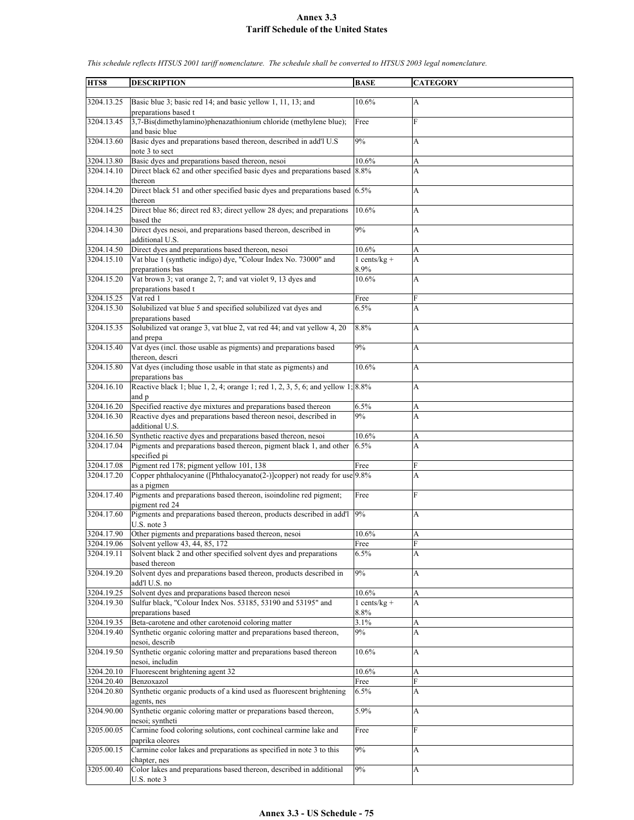| HTS8                     | <b>DESCRIPTION</b>                                                                                                                                   | <b>BASE</b>    | <b>CATEGORY</b> |
|--------------------------|------------------------------------------------------------------------------------------------------------------------------------------------------|----------------|-----------------|
|                          |                                                                                                                                                      |                |                 |
| 3204.13.25               | Basic blue 3; basic red 14; and basic yellow 1, 11, 13; and<br>preparations based t                                                                  | 10.6%          | A               |
| 3204.13.45               | 3,7-Bis(dimethylamino)phenazathionium chloride (methylene blue);<br>and basic blue                                                                   | Free           | F               |
| 3204.13.60               | Basic dyes and preparations based thereon, described in add'l U.S.                                                                                   | 9%             | A               |
| 3204.13.80               | note 3 to sect<br>Basic dyes and preparations based thereon, nesoi                                                                                   | 10.6%          | A               |
| 3204.14.10               | Direct black 62 and other specified basic dyes and preparations based 8.8%                                                                           |                | A               |
|                          | thereon                                                                                                                                              |                |                 |
| 3204.14.20               | Direct black 51 and other specified basic dyes and preparations based $6.5\%$<br>thereon                                                             |                | A               |
| 3204.14.25               | Direct blue 86; direct red 83; direct yellow 28 dyes; and preparations<br>based the                                                                  | 10.6%          | A               |
| 3204.14.30               | Direct dyes nesoi, and preparations based thereon, described in<br>additional U.S.                                                                   | 9%             | A               |
| 3204.14.50               | Direct dyes and preparations based thereon, nesoi                                                                                                    | 10.6%          | A               |
| 3204.15.10               | Vat blue 1 (synthetic indigo) dye, "Colour Index No. 73000" and                                                                                      | $1 cents/kg +$ | A               |
|                          | preparations bas                                                                                                                                     | 8.9%           |                 |
| 3204.15.20               | Vat brown 3; vat orange 2, 7; and vat violet 9, 13 dyes and<br>preparations based t                                                                  | 10.6%          | A               |
| 3204.15.25               | Vat red 1                                                                                                                                            | Free           | F               |
| 3204.15.30               | Solubilized vat blue 5 and specified solubilized vat dyes and                                                                                        | 6.5%           | A               |
| 3204.15.35               | preparations based<br>Solubilized vat orange 3, vat blue 2, vat red 44; and vat yellow 4, 20                                                         | 8.8%           | A               |
| 3204.15.40               | and prepa<br>Vat dyes (incl. those usable as pigments) and preparations based                                                                        | 9%             | A               |
| 3204.15.80               | thereon, descri<br>Vat dyes (including those usable in that state as pigments) and                                                                   | 10.6%          | A               |
| 3204.16.10               | preparations bas<br>Reactive black 1; blue 1, 2, 4; orange 1; red 1, 2, 3, 5, 6; and yellow $1, 8.8\%$                                               |                | A               |
| 3204.16.20               | and p<br>Specified reactive dye mixtures and preparations based thereon                                                                              | 6.5%           | A               |
| 3204.16.30               | Reactive dyes and preparations based thereon nesoi, described in                                                                                     | 9%             | A               |
|                          | additional U.S.                                                                                                                                      |                |                 |
| 3204.16.50<br>3204.17.04 | Synthetic reactive dyes and preparations based thereon, nesoi<br>Pigments and preparations based thereon, pigment black 1, and other<br>specified pi | 10.6%<br>6.5%  | A<br>A          |
| 3204.17.08               | Pigment red 178; pigment yellow 101, 138                                                                                                             | Free           | F               |
| 3204.17.20               | Copper phthalocyanine ([Phthalocyanato(2-)]copper) not ready for use 9.8%<br>as a pigmen                                                             |                | A               |
| 3204.17.40               | Pigments and preparations based thereon, isoindoline red pigment;<br>pigment red 24                                                                  | Free           | F               |
| 3204.17.60               | Pigments and preparations based thereon, products described in add'l<br>U.S. note 3                                                                  | 9%             | A               |
| 3204.17.90               | Other pigments and preparations based thereon, nesoi                                                                                                 | 10.6%          | A               |
| 3204.19.06               | Solvent yellow 43, 44, 85, 172                                                                                                                       | Free           | F               |
| 3204.19.11               | Solvent black 2 and other specified solvent dyes and preparations<br>based thereon                                                                   | 6.5%           | A               |
| 3204.19.20               | Solvent dyes and preparations based thereon, products described in<br>add'l U.S. no                                                                  | 9%             | A               |
| 3204.19.25               | Solvent dyes and preparations based thereon nesoi                                                                                                    | 10.6%          | A               |
| 3204.19.30               | Sulfur black, "Colour Index Nos. 53185, 53190 and 53195" and                                                                                         | $1 cents/kg +$ | A               |
|                          | preparations based                                                                                                                                   | 8.8%           |                 |
| 3204.19.35<br>3204.19.40 | Beta-carotene and other carotenoid coloring matter<br>Synthetic organic coloring matter and preparations based thereon,                              | 3.1%<br>9%     | A<br>A          |
|                          | nesoi, describ                                                                                                                                       |                |                 |
| 3204.19.50               | Synthetic organic coloring matter and preparations based thereon<br>nesoi, includin                                                                  | 10.6%          | A               |
| 3204.20.10               | Fluorescent brightening agent 32                                                                                                                     | 10.6%          | A               |
| 3204.20.40               | Benzoxazol                                                                                                                                           | Free           | F               |
| 3204.20.80               | Synthetic organic products of a kind used as fluorescent brightening<br>agents, nes                                                                  | 6.5%           | A               |
| 3204.90.00               | Synthetic organic coloring matter or preparations based thereon,<br>nesoi; syntheti                                                                  | 5.9%           | A               |
| 3205.00.05               | Carmine food coloring solutions, cont cochineal carmine lake and<br>paprika oleores                                                                  | Free           | F               |
| 3205.00.15               | Carmine color lakes and preparations as specified in note 3 to this<br>chapter, nes                                                                  | 9%             | A               |
| 3205.00.40               | Color lakes and preparations based thereon, described in additional<br>U.S. note 3                                                                   | 9%             | A               |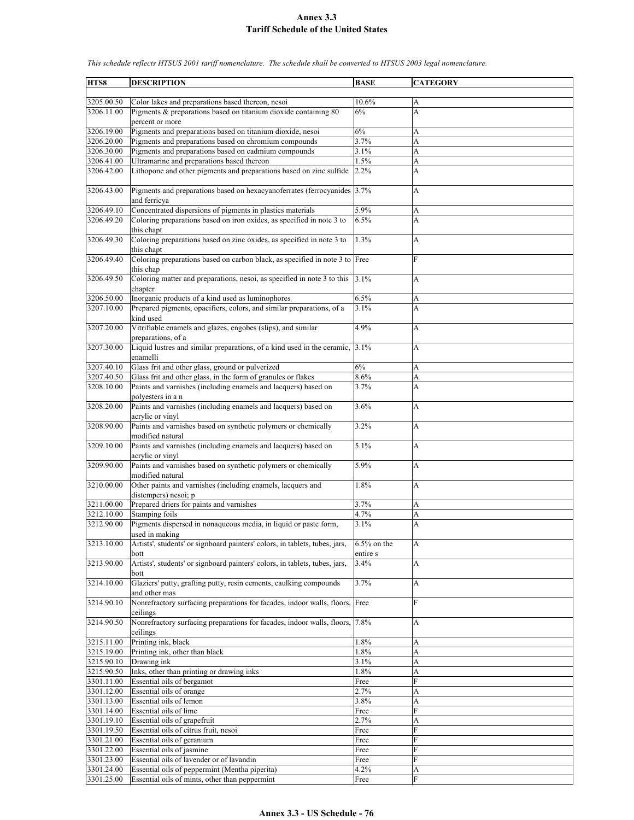| HTS8                     | <b>DESCRIPTION</b>                                                                                                   | <b>BASE</b>                | <b>CATEGORY</b>           |
|--------------------------|----------------------------------------------------------------------------------------------------------------------|----------------------------|---------------------------|
|                          |                                                                                                                      |                            |                           |
| 3205.00.50<br>3206.11.00 | Color lakes and preparations based thereon, nesoi<br>Pigments & preparations based on titanium dioxide containing 80 | 10.6%<br>6%                | A<br>A                    |
|                          | percent or more                                                                                                      |                            |                           |
| 3206.19.00               | Pigments and preparations based on titanium dioxide, nesoi                                                           | 6%                         | A                         |
| 3206.20.00               | Pigments and preparations based on chromium compounds                                                                | 3.7%                       | A                         |
| 3206.30.00               | Pigments and preparations based on cadmium compounds                                                                 | 3.1%                       | A                         |
| 3206.41.00               | Ultramarine and preparations based thereon                                                                           | 1.5%                       | A                         |
| 3206.42.00               | Lithopone and other pigments and preparations based on zinc sulfide                                                  | 2.2%                       | A                         |
| 3206.43.00               | Pigments and preparations based on hexacyanoferrates (ferrocyanides 3.7%)<br>and ferricya                            |                            | A                         |
| 3206.49.10               | Concentrated dispersions of pigments in plastics materials                                                           | 5.9%                       | A                         |
| 3206.49.20               | Coloring preparations based on iron oxides, as specified in note 3 to                                                | 6.5%                       | A                         |
| 3206.49.30               | this chapt<br>Coloring preparations based on zinc oxides, as specified in note 3 to                                  | 1.3%                       | A                         |
|                          | this chapt                                                                                                           |                            |                           |
| 3206.49.40               | Coloring preparations based on carbon black, as specified in note 3 to Free<br>this chap                             |                            | $\overline{F}$            |
| 3206.49.50               | Coloring matter and preparations, nesoi, as specified in note 3 to this<br>chapter                                   | 3.1%                       | A                         |
| 3206.50.00               | Inorganic products of a kind used as luminophores                                                                    | 6.5%                       | A                         |
| 3207.10.00               | Prepared pigments, opacifiers, colors, and similar preparations, of a<br>kind used                                   | 3.1%                       | A                         |
| 3207.20.00               | Vitrifiable enamels and glazes, engobes (slips), and similar<br>preparations, of a                                   | 4.9%                       | A                         |
| 3207.30.00               | Liquid lustres and similar preparations, of a kind used in the ceramic,<br>enamelli                                  | 3.1%                       | A                         |
| 3207.40.10               | Glass frit and other glass, ground or pulverized                                                                     | 6%                         | A                         |
| 3207.40.50               | Glass frit and other glass, in the form of granules or flakes                                                        | 8.6%                       | A                         |
| 3208.10.00               | Paints and varnishes (including enamels and lacquers) based on<br>polyesters in a n                                  | 3.7%                       | A                         |
| 3208.20.00               | Paints and varnishes (including enamels and lacquers) based on<br>acrylic or vinyl                                   | 3.6%                       | A                         |
| 3208.90.00               | Paints and varnishes based on synthetic polymers or chemically<br>modified natural                                   | 3.2%                       | A                         |
| 3209.10.00               | Paints and varnishes (including enamels and lacquers) based on<br>acrylic or vinyl                                   | 5.1%                       | A                         |
| 3209.90.00               | Paints and varnishes based on synthetic polymers or chemically<br>modified natural                                   | 5.9%                       | A                         |
| 3210.00.00               | Other paints and varnishes (including enamels, lacquers and<br>distempers) nesoi; p                                  | 1.8%                       | A                         |
| 3211.00.00               | Prepared driers for paints and varnishes                                                                             | 3.7%                       | A                         |
| 3212.10.00               | Stamping foils                                                                                                       | 4.7%                       | A                         |
| 3212.90.00               | Pigments dispersed in nonaqueous media, in liquid or paste form,<br>used in making                                   | 3.1%                       | A                         |
| 3213.10.00               | Artists', students' or signboard painters' colors, in tablets, tubes, jars,<br>bott                                  | $6.5\%$ on the<br>entire s | $\boldsymbol{\mathsf{A}}$ |
| 3213.90.00               | Artists', students' or signboard painters' colors, in tablets, tubes, jars,                                          | 3.4%                       | А                         |
|                          | bott                                                                                                                 |                            |                           |
| 3214.10.00               | Glaziers' putty, grafting putty, resin cements, caulking compounds<br>and other mas                                  | 3.7%                       | A                         |
| 3214.90.10               | Nonrefractory surfacing preparations for facades, indoor walls, floors,<br>ceilings                                  | Free                       | F                         |
| 3214.90.50               | Nonrefractory surfacing preparations for facades, indoor walls, floors,<br>ceilings                                  | 7.8%                       | A                         |
| 3215.11.00               | Printing ink, black                                                                                                  | 1.8%                       | A                         |
| 3215.19.00               | Printing ink, other than black                                                                                       | 1.8%                       | A                         |
| 3215.90.10               | Drawing ink                                                                                                          | 3.1%                       | A                         |
| 3215.90.50               | Inks, other than printing or drawing inks                                                                            | 1.8%                       | A                         |
| 3301.11.00<br>3301.12.00 | Essential oils of bergamot<br>Essential oils of orange                                                               | Free<br>2.7%               | F                         |
| 3301.13.00               | Essential oils of lemon                                                                                              | 3.8%                       | A<br>A                    |
| 3301.14.00               | Essential oils of lime                                                                                               | Free                       | F                         |
| 3301.19.10               | Essential oils of grapefruit                                                                                         | 2.7%                       | A                         |
| 3301.19.50               | Essential oils of citrus fruit, nesoi                                                                                | Free                       | F                         |
| 3301.21.00               | Essential oils of geranium                                                                                           | Free                       | F                         |
| 3301.22.00               | Essential oils of jasmine                                                                                            | Free                       | F                         |
| 3301.23.00               | Essential oils of lavender or of lavandin                                                                            | Free                       | F                         |
| 3301.24.00<br>3301.25.00 | Essential oils of peppermint (Mentha piperita)<br>Essential oils of mints, other than peppermint                     | 4.2%<br>Free               | A<br>${\rm F}$            |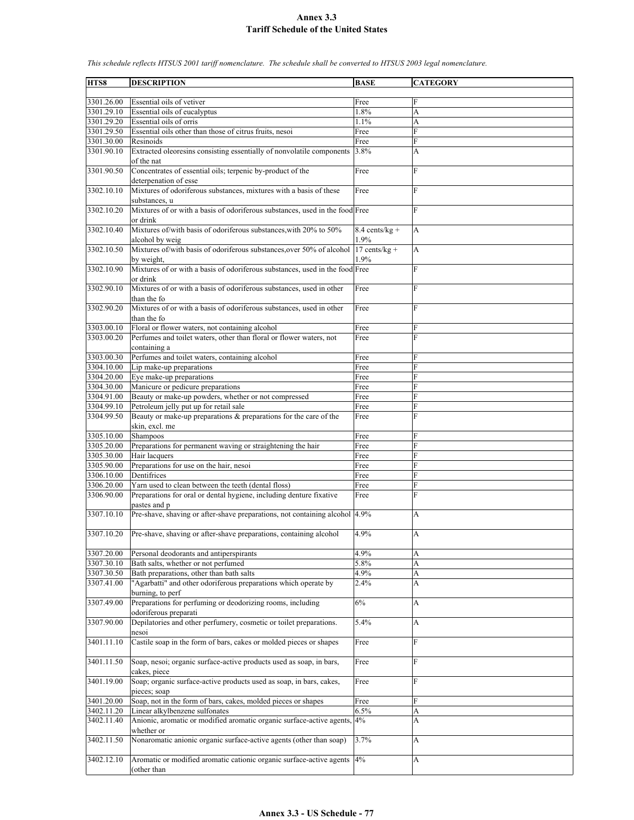| HTS8       | <b>DESCRIPTION</b>                                                                          | <b>BASE</b>              | <b>CATEGORY</b>       |
|------------|---------------------------------------------------------------------------------------------|--------------------------|-----------------------|
|            |                                                                                             |                          |                       |
| 3301.26.00 | Essential oils of vetiver                                                                   | Free                     | F                     |
| 3301.29.10 | Essential oils of eucalyptus                                                                | 1.8%                     | A                     |
| 3301.29.20 | Essential oils of orris                                                                     | 1.1%                     | A                     |
| 3301.29.50 | Essential oils other than those of citrus fruits, nesoi                                     | Free                     | F                     |
| 3301.30.00 | Resinoids                                                                                   | Free                     | F                     |
| 3301.90.10 | Extracted oleoresins consisting essentially of nonvolatile components<br>of the nat         | 3.8%                     | A                     |
| 3301.90.50 | Concentrates of essential oils; terpenic by-product of the<br>deterpenation of esse         | Free                     | F                     |
| 3302.10.10 | Mixtures of odoriferous substances, mixtures with a basis of these<br>substances, u         | Free                     | F                     |
| 3302.10.20 | Mixtures of or with a basis of odoriferous substances, used in the food Free<br>or drink    |                          | F                     |
| 3302.10.40 | Mixtures of/with basis of odoriferous substances, with 20% to 50%<br>alcohol by weig        | $8.4$ cents/kg +<br>1.9% | A                     |
| 3302.10.50 | Mixtures of/with basis of odoriferous substances, over 50% of alcohol 17 cents/kg +         |                          | A                     |
| 3302.10.90 | by weight.<br>Mixtures of or with a basis of odoriferous substances, used in the food Free  | 1.9%                     | F                     |
| 3302.90.10 | or drink<br>Mixtures of or with a basis of odoriferous substances, used in other            | Free                     | F                     |
| 3302.90.20 | than the fo<br>Mixtures of or with a basis of odoriferous substances, used in other         | Free                     | F                     |
|            | than the fo                                                                                 |                          |                       |
| 3303.00.10 | Floral or flower waters, not containing alcohol                                             | Free                     | F                     |
| 3303.00.20 | Perfumes and toilet waters, other than floral or flower waters, not<br>containing a         | Free                     | F                     |
| 3303.00.30 | Perfumes and toilet waters, containing alcohol                                              | Free                     | F                     |
| 3304.10.00 | Lip make-up preparations                                                                    | Free                     | F                     |
| 3304.20.00 | Eye make-up preparations                                                                    | Free                     | $\overline{F}$        |
| 3304.30.00 | Manicure or pedicure preparations                                                           | Free                     | ${\rm F}$             |
| 3304.91.00 | Beauty or make-up powders, whether or not compressed                                        | Free                     | F                     |
| 3304.99.10 | Petroleum jelly put up for retail sale                                                      | Free                     | F                     |
| 3304.99.50 | Beauty or make-up preparations $\&$ preparations for the care of the<br>skin, excl. me      | Free                     | F                     |
| 3305.10.00 | Shampoos                                                                                    | Free                     | F                     |
| 3305.20.00 | Preparations for permanent waving or straightening the hair                                 | Free                     | F                     |
| 3305.30.00 | Hair lacquers                                                                               | Free                     | F                     |
| 3305.90.00 | Preparations for use on the hair, nesoi                                                     | Free                     | F                     |
| 3306.10.00 | Dentifrices                                                                                 | Free                     | F                     |
| 3306.20.00 | Yarn used to clean between the teeth (dental floss)                                         | Free                     | F                     |
| 3306.90.00 | Preparations for oral or dental hygiene, including denture fixative                         | Free                     | F                     |
| 3307.10.10 | pastes and p<br>Pre-shave, shaving or after-shave preparations, not containing alcohol 4.9% |                          | A                     |
| 3307.10.20 | Pre-shave, shaving or after-shave preparations, containing alcohol                          | 4.9%                     | A                     |
| 3307.20.00 | Personal deodorants and antiperspirants                                                     | 4.9%                     | A                     |
| 3307.30.10 | Bath salts, whether or not perfumed                                                         | 5.8%                     | A                     |
| 3307.30.50 | Bath preparations, other than bath salts                                                    | 4.9%                     | A                     |
| 3307.41.00 | "Agarbatti" and other odoriferous preparations which operate by                             | 2.4%                     | A                     |
| 3307.49.00 | burning, to perf<br>Preparations for perfuming or deodorizing rooms, including              | $6\%$                    | A                     |
| 3307.90.00 | odoriferous preparati<br>Depilatories and other perfumery, cosmetic or toilet preparations. | 5.4%                     | А                     |
|            | nesoi                                                                                       |                          |                       |
| 3401.11.10 | Castile soap in the form of bars, cakes or molded pieces or shapes                          | Free                     | F                     |
| 3401.11.50 | Soap, nesoi; organic surface-active products used as soap, in bars,<br>cakes, piece         | Free                     | F                     |
| 3401.19.00 | Soap; organic surface-active products used as soap, in bars, cakes,<br>pieces; soap         | Free                     | F                     |
| 3401.20.00 | Soap, not in the form of bars, cakes, molded pieces or shapes                               | Free                     | F                     |
| 3402.11.20 | Linear alkylbenzene sulfonates                                                              | 6.5%                     | $\boldsymbol{\rm{A}}$ |
| 3402.11.40 | Anionic, aromatic or modified aromatic organic surface-active agents, 4%<br>whether or      |                          | A                     |
| 3402.11.50 | Nonaromatic anionic organic surface-active agents (other than soap)                         | 3.7%                     | А                     |
| 3402.12.10 | Aromatic or modified aromatic cationic organic surface-active agents<br>(other than         | 4%                       | А                     |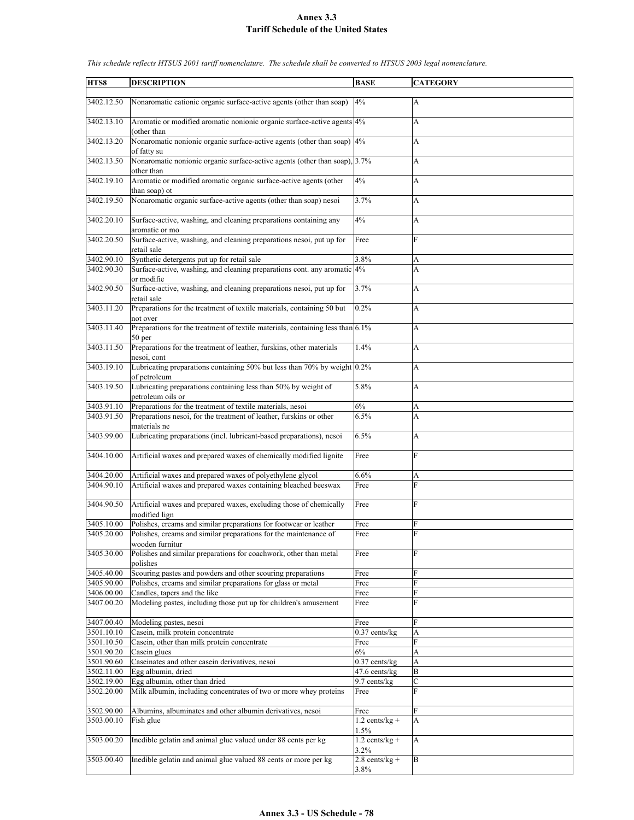| HTS8       | <b>DESCRIPTION</b>                                                             | <b>BASE</b>      | <b>CATEGORY</b> |
|------------|--------------------------------------------------------------------------------|------------------|-----------------|
|            |                                                                                |                  |                 |
| 3402.12.50 | Nonaromatic cationic organic surface-active agents (other than soap)           | 4%               | A               |
|            |                                                                                |                  |                 |
| 3402.13.10 |                                                                                |                  |                 |
|            | Aromatic or modified aromatic nonionic organic surface-active agents 4%        |                  | A               |
|            | (other than                                                                    |                  |                 |
| 3402.13.20 | Nonaromatic nonionic organic surface-active agents (other than soap) 4%        |                  | A               |
|            | of fatty su                                                                    |                  |                 |
| 3402.13.50 | Nonaromatic nonionic organic surface-active agents (other than soap), 3.7%     |                  |                 |
|            |                                                                                |                  | A               |
|            | other than                                                                     |                  |                 |
| 3402.19.10 | Aromatic or modified aromatic organic surface-active agents (other             | 4%               | A               |
|            | than soap) ot                                                                  |                  |                 |
| 3402.19.50 | Nonaromatic organic surface-active agents (other than soap) nesoi              | 3.7%             |                 |
|            |                                                                                |                  | A               |
|            |                                                                                |                  |                 |
| 3402.20.10 | Surface-active, washing, and cleaning preparations containing any              | 4%               | A               |
|            | aromatic or mo                                                                 |                  |                 |
| 3402.20.50 | Surface-active, washing, and cleaning preparations nesoi, put up for           | Free             | F               |
|            |                                                                                |                  |                 |
|            | retail sale                                                                    |                  |                 |
| 3402.90.10 | Synthetic detergents put up for retail sale                                    | 3.8%             | А               |
| 3402.90.30 | Surface-active, washing, and cleaning preparations cont. any aromatic 4%       |                  | A               |
|            | or modifie                                                                     |                  |                 |
|            |                                                                                |                  |                 |
| 3402.90.50 | Surface-active, washing, and cleaning preparations nesoi, put up for           | 3.7%             | A               |
|            | retail sale                                                                    |                  |                 |
| 3403.11.20 | Preparations for the treatment of textile materials, containing 50 but         | 0.2%             | A               |
|            | not over                                                                       |                  |                 |
|            |                                                                                |                  |                 |
| 3403.11.40 | Preparations for the treatment of textile materials, containing less than 6.1% |                  | A               |
|            | 50 per                                                                         |                  |                 |
| 3403.11.50 | Preparations for the treatment of leather, furskins, other materials           | 1.4%             | A               |
|            | nesoi, cont                                                                    |                  |                 |
|            |                                                                                |                  |                 |
| 3403.19.10 | Lubricating preparations containing 50% but less than 70% by weight 0.2%       |                  | A               |
|            | of petroleum                                                                   |                  |                 |
| 3403.19.50 | Lubricating preparations containing less than 50% by weight of                 | 5.8%             | A               |
|            | petroleum oils or                                                              |                  |                 |
|            |                                                                                |                  |                 |
| 3403.91.10 | Preparations for the treatment of textile materials, nesoi                     | 6%               | A               |
| 3403.91.50 | Preparations nesoi, for the treatment of leather, furskins or other            | 6.5%             | A               |
|            | materials ne                                                                   |                  |                 |
| 3403.99.00 | Lubricating preparations (incl. lubricant-based preparations), nesoi           | 6.5%             | A               |
|            |                                                                                |                  |                 |
|            |                                                                                |                  |                 |
| 3404.10.00 | Artificial waxes and prepared waxes of chemically modified lignite             | Free             | F               |
|            |                                                                                |                  |                 |
| 3404.20.00 | Artificial waxes and prepared waxes of polyethylene glycol                     | 6.6%             | A               |
| 3404.90.10 | Artificial waxes and prepared waxes containing bleached beeswax                | Free             | F               |
|            |                                                                                |                  |                 |
|            |                                                                                |                  |                 |
| 3404.90.50 | Artificial waxes and prepared waxes, excluding those of chemically             | Free             | $\mathbf{F}$    |
|            | modified lign                                                                  |                  |                 |
| 3405.10.00 | Polishes, creams and similar preparations for footwear or leather              | Free             | F               |
| 3405.20.00 | Polishes, creams and similar preparations for the maintenance of               | Free             | F               |
|            |                                                                                |                  |                 |
|            | wooden furnitur                                                                |                  |                 |
| 3405.30.00 | Polishes and similar preparations for coachwork, other than metal              | Free             | F               |
|            | polishes                                                                       |                  |                 |
| 3405.40.00 | Scouring pastes and powders and other scouring preparations                    | Free             | F               |
|            |                                                                                |                  |                 |
| 3405.90.00 | Polishes, creams and similar preparations for glass or metal                   | Free             | F               |
| 3406.00.00 | Candles, tapers and the like                                                   | Free             | F               |
| 3407.00.20 | Modeling pastes, including those put up for children's amusement               | Free             | F               |
|            |                                                                                |                  |                 |
| 3407.00.40 | Modeling pastes, nesoi                                                         | Free             | F               |
|            |                                                                                |                  |                 |
| 3501.10.10 | Casein, milk protein concentrate                                               | $0.37$ cents/kg  | A               |
| 3501.10.50 | Casein, other than milk protein concentrate                                    | Free             | F               |
| 3501.90.20 | Casein glues                                                                   | 6%               | A               |
| 3501.90.60 | Caseinates and other casein derivatives, nesoi                                 | $0.37$ cents/kg  | A               |
|            |                                                                                |                  |                 |
| 3502.11.00 | Egg albumin, dried                                                             | 47.6 cents/kg    | B               |
| 3502.19.00 | Egg albumin, other than dried                                                  | 9.7 cents/kg     | $\mathbf C$     |
| 3502.20.00 | Milk albumin, including concentrates of two or more whey proteins              | Free             | F               |
|            |                                                                                |                  |                 |
|            |                                                                                |                  |                 |
| 3502.90.00 | Albumins, albuminates and other albumin derivatives, nesoi                     | Free             | F               |
| 3503.00.10 | Fish glue                                                                      | $1.2$ cents/kg + | A               |
|            |                                                                                | 1.5%             |                 |
| 3503.00.20 | Inedible gelatin and animal glue valued under 88 cents per kg                  | $1.2$ cents/kg + | A               |
|            |                                                                                | 3.2%             |                 |
|            |                                                                                |                  |                 |
| 3503.00.40 | Inedible gelatin and animal glue valued 88 cents or more per kg                | $2.8$ cents/kg + | B               |
|            |                                                                                | 3.8%             |                 |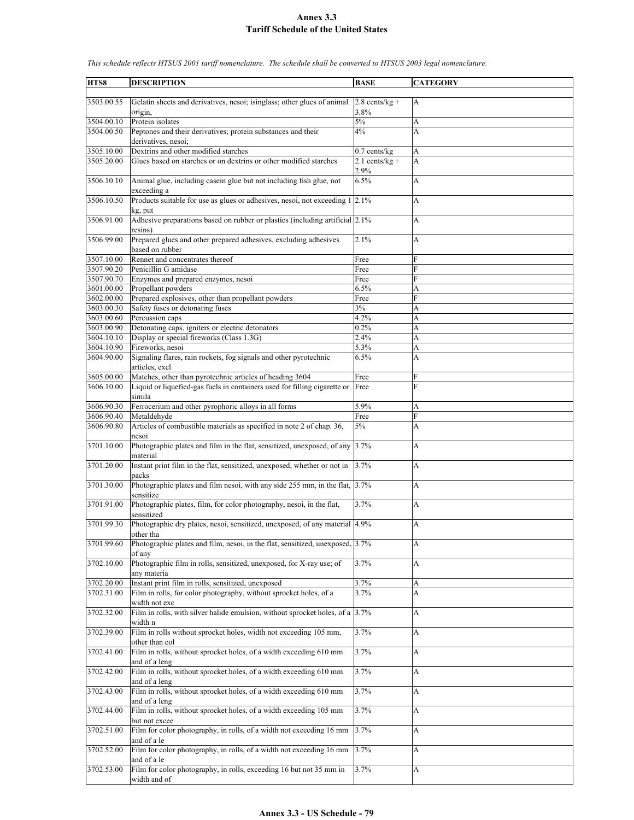| HTS8                     | <b>DESCRIPTION</b>                                                                                  | <b>BASE</b>      | <b>CATEGORY</b>     |
|--------------------------|-----------------------------------------------------------------------------------------------------|------------------|---------------------|
|                          |                                                                                                     |                  |                     |
| 3503.00.55               | Gelatin sheets and derivatives, nesoi; isinglass; other glues of animal                             | $2.8$ cents/kg + | A                   |
|                          | origin,                                                                                             | 3.8%             |                     |
| 3504.00.10<br>3504.00.50 | Protein isolates<br>Peptones and their derivatives; protein substances and their                    | 5%<br>4%         | A<br>A              |
|                          | derivatives, nesoi;                                                                                 |                  |                     |
| 3505.10.00               | Dextrins and other modified starches                                                                | $0.7$ cents/kg   | A                   |
| 3505.20.00               | Glues based on starches or on dextrins or other modified starches                                   | $2.1$ cents/kg + | A                   |
|                          |                                                                                                     | 2.9%             |                     |
| 3506.10.10               | Animal glue, including casein glue but not including fish glue, not                                 | 6.5%             | A                   |
| 3506.10.50               | exceeding a<br>Products suitable for use as glues or adhesives, nesoi, not exceeding $1 \,   2.1\%$ |                  | A                   |
|                          | kg, put                                                                                             |                  |                     |
| 3506.91.00               | Adhesive preparations based on rubber or plastics (including artificial 2.1%)                       |                  | A                   |
|                          | resins)                                                                                             |                  |                     |
| 3506.99.00               | Prepared glues and other prepared adhesives, excluding adhesives                                    | 2.1%             | A                   |
|                          | based on rubber                                                                                     |                  |                     |
| 3507.10.00<br>3507.90.20 | Rennet and concentrates thereof<br>Penicillin G amidase                                             | Free<br>Free     | F<br>F              |
| 3507.90.70               | Enzymes and prepared enzymes, nesoi                                                                 | Free             | F                   |
| 3601.00.00               | Propellant powders                                                                                  | 6.5%             | A                   |
| 3602.00.00               | Prepared explosives, other than propellant powders                                                  | Free             | F                   |
| 3603.00.30               | Safety fuses or detonating fuses                                                                    | 3%               | A                   |
| 3603.00.60               | Percussion caps                                                                                     | 4.2%             | A                   |
| 3603.00.90               | Detonating caps, igniters or electric detonators<br>Display or special fireworks (Class 1.3G)       | 0.2%             | A                   |
| 3604.10.10<br>3604.10.90 | Fireworks, nesoi                                                                                    | 2.4%<br>5.3%     | A<br>A              |
| 3604.90.00               | Signaling flares, rain rockets, fog signals and other pyrotechnic                                   | 6.5%             | A                   |
|                          | articles, excl                                                                                      |                  |                     |
| 3605.00.00               | Matches, other than pyrotechnic articles of heading 3604                                            | Free             | F                   |
| 3606.10.00               | Liquid or liquefied-gas fuels in containers used for filling cigarette or                           | Free             | F                   |
|                          | simila                                                                                              |                  |                     |
| 3606.90.30               | Ferrocerium and other pyrophoric alloys in all forms                                                | 5.9%             | А<br>$\overline{F}$ |
| 3606.90.40<br>3606.90.80 | Metaldehyde<br>Articles of combustible materials as specified in note 2 of chap. 36,                | Free<br>5%       | А                   |
|                          | nesoi                                                                                               |                  |                     |
| 3701.10.00               | Photographic plates and film in the flat, sensitized, unexposed, of any 3.7%                        |                  | A                   |
|                          | material                                                                                            |                  |                     |
| 3701.20.00               | Instant print film in the flat, sensitized, unexposed, whether or not in                            | 3.7%             | A                   |
| 3701.30.00               | packs                                                                                               |                  |                     |
|                          | Photographic plates and film nesoi, with any side 255 mm, in the flat, 3.7%<br>sensitize            |                  | A                   |
| 3701.91.00               | Photographic plates, film, for color photography, nesoi, in the flat,                               | 3.7%             | A                   |
|                          | sensitized                                                                                          |                  |                     |
| 3701.99.30               | Photographic dry plates, nesoi, sensitized, unexposed, of any material 4.9%                         |                  | A                   |
|                          | other tha                                                                                           |                  |                     |
| 3701.99.60               | Photographic plates and film, nesoi, in the flat, sensitized, unexposed, 3.7%                       |                  | А                   |
| 3702.10.00               | of any<br>Photographic film in rolls, sensitized, unexposed, for X-ray use; of                      | 3.7%             | А                   |
|                          | any materia                                                                                         |                  |                     |
| 3702.20.00               | Instant print film in rolls, sensitized, unexposed                                                  | 3.7%             | A                   |
| 3702.31.00               | Film in rolls, for color photography, without sprocket holes, of a                                  | 3.7%             | A                   |
|                          | width not exc                                                                                       |                  |                     |
| 3702.32.00               | Film in rolls, with silver halide emulsion, without sprocket holes, of a $3.7\%$                    |                  | А                   |
| 3702.39.00               | width n<br>Film in rolls without sprocket holes, width not exceeding 105 mm,                        | 3.7%             | A                   |
|                          | other than col                                                                                      |                  |                     |
| 3702.41.00               | Film in rolls, without sprocket holes, of a width exceeding 610 mm                                  | 3.7%             | A                   |
|                          | and of a leng                                                                                       |                  |                     |
| 3702.42.00               | Film in rolls, without sprocket holes, of a width exceeding 610 mm                                  | 3.7%             | A                   |
|                          | and of a leng                                                                                       |                  |                     |
| 3702.43.00               | Film in rolls, without sprocket holes, of a width exceeding 610 mm<br>and of a leng                 | 3.7%             | A                   |
| 3702.44.00               | Film in rolls, without sprocket holes, of a width exceeding 105 mm                                  | 3.7%             | A                   |
|                          | but not excee                                                                                       |                  |                     |
| 3702.51.00               | Film for color photography, in rolls, of a width not exceeding 16 mm                                | 3.7%             | А                   |
|                          | and of a le                                                                                         |                  |                     |
| 3702.52.00               | Film for color photography, in rolls, of a width not exceeding 16 mm                                | 3.7%             | А                   |
| 3702.53.00               | and of a le<br>Film for color photography, in rolls, exceeding 16 but not 35 mm in                  | 3.7%             | A                   |
|                          | width and of                                                                                        |                  |                     |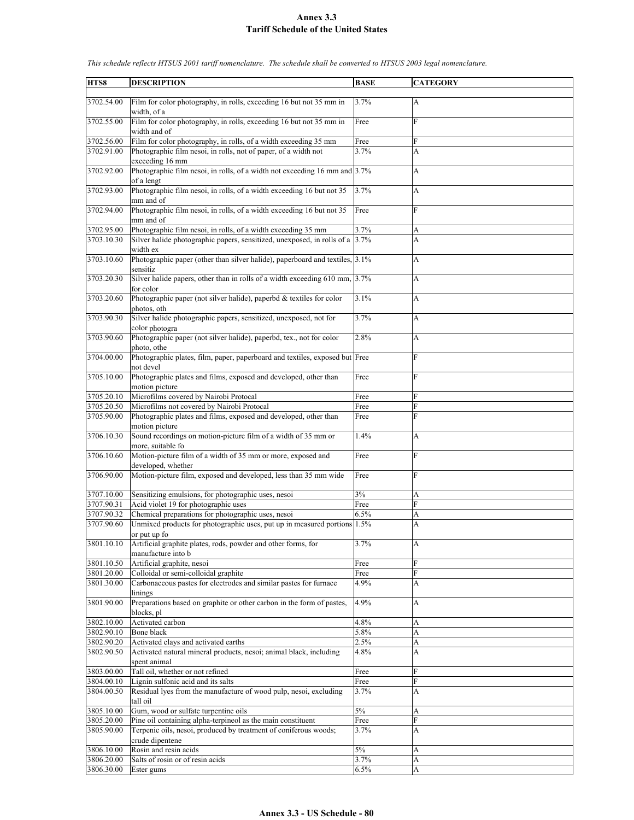| HTS8       | <b>DESCRIPTION</b>                                                           | <b>BASE</b> | <b>CATEGORY</b>           |
|------------|------------------------------------------------------------------------------|-------------|---------------------------|
|            |                                                                              |             |                           |
| 3702.54.00 | Film for color photography, in rolls, exceeding 16 but not 35 mm in          | 3.7%        | $\mathbf{A}$              |
|            | width, of a                                                                  |             |                           |
| 3702.55.00 | Film for color photography, in rolls, exceeding 16 but not 35 mm in          | Free        | $\mathbf{F}$              |
|            | width and of                                                                 |             |                           |
|            | Film for color photography, in rolls, of a width exceeding 35 mm             |             | F                         |
| 3702.56.00 |                                                                              | Free        |                           |
| 3702.91.00 | Photographic film nesoi, in rolls, not of paper, of a width not              | 3.7%        | A                         |
|            | exceeding 16 mm                                                              |             |                           |
| 3702.92.00 | Photographic film nesoi, in rolls, of a width not exceeding 16 mm and 3.7%   |             | A                         |
|            | of a lengt                                                                   |             |                           |
| 3702.93.00 | Photographic film nesoi, in rolls, of a width exceeding 16 but not 35        | 3.7%        | A                         |
|            | mm and of                                                                    |             |                           |
| 3702.94.00 | Photographic film nesoi, in rolls, of a width exceeding 16 but not 35        | Free        | F                         |
|            |                                                                              |             |                           |
|            | mm and of                                                                    |             |                           |
| 3702.95.00 | Photographic film nesoi, in rolls, of a width exceeding 35 mm                | 3.7%        | A                         |
| 3703.10.30 | Silver halide photographic papers, sensitized, unexposed, in rolls of a 3.7% |             | A                         |
|            | width ex                                                                     |             |                           |
| 3703.10.60 | Photographic paper (other than silver halide), paperboard and textiles, 3.1% |             | A                         |
|            | sensitiz                                                                     |             |                           |
| 3703.20.30 | Silver halide papers, other than in rolls of a width exceeding 610 mm, 3.7%  |             | A                         |
|            | for color                                                                    |             |                           |
|            |                                                                              |             |                           |
| 3703.20.60 | Photographic paper (not silver halide), paperbd & textiles for color         | 3.1%        | $\mathbf{A}$              |
|            | photos, oth                                                                  |             |                           |
| 3703.90.30 | Silver halide photographic papers, sensitized, unexposed, not for            | 3.7%        | A                         |
|            | color photogra                                                               |             |                           |
| 3703.90.60 | Photographic paper (not silver halide), paperbd, tex., not for color         | 2.8%        | A                         |
|            | photo, othe                                                                  |             |                           |
| 3704.00.00 | Photographic plates, film, paper, paperboard and textiles, exposed but Free  |             | F                         |
|            | not devel                                                                    |             |                           |
|            |                                                                              |             |                           |
| 3705.10.00 | Photographic plates and films, exposed and developed, other than             | Free        | F                         |
|            | motion picture                                                               |             |                           |
| 3705.20.10 | Microfilms covered by Nairobi Protocal                                       | Free        | F                         |
| 3705.20.50 | Microfilms not covered by Nairobi Protocal                                   | Free        | F                         |
| 3705.90.00 | Photographic plates and films, exposed and developed, other than             | Free        | F                         |
|            | motion picture                                                               |             |                           |
| 3706.10.30 | Sound recordings on motion-picture film of a width of 35 mm or               | 1.4%        | A                         |
|            | more, suitable fo                                                            |             |                           |
|            |                                                                              |             |                           |
| 3706.10.60 | Motion-picture film of a width of 35 mm or more, exposed and                 | Free        | F                         |
|            | developed, whether                                                           |             |                           |
| 3706.90.00 | Motion-picture film, exposed and developed, less than 35 mm wide             | Free        | F                         |
|            |                                                                              |             |                           |
| 3707.10.00 | Sensitizing emulsions, for photographic uses, nesoi                          | 3%          | A                         |
| 3707.90.31 | Acid violet 19 for photographic uses                                         | Free        | F                         |
| 3707.90.32 | Chemical preparations for photographic uses, nesoi                           | 6.5%        | A                         |
| 3707.90.60 | Unmixed products for photographic uses, put up in measured portions 1.5%     |             | A                         |
|            |                                                                              |             |                           |
|            | or put up fo                                                                 |             |                           |
| 3801.10.10 | Artificial graphite plates, rods, powder and other forms, for                | 3.7%        | $\boldsymbol{\mathsf{A}}$ |
|            | manufacture into b                                                           |             |                           |
| 3801.10.50 | Artificial graphite, nesoi                                                   | Free        | ${\bf F}$                 |
| 3801.20.00 | Colloidal or semi-colloidal graphite                                         | Free        | F                         |
| 3801.30.00 | Carbonaceous pastes for electrodes and similar pastes for furnace            | 4.9%        | A                         |
|            | linings                                                                      |             |                           |
| 3801.90.00 | Preparations based on graphite or other carbon in the form of pastes,        | 4.9%        | $\boldsymbol{\mathsf{A}}$ |
|            | blocks, pl                                                                   |             |                           |
| 3802.10.00 | Activated carbon                                                             |             |                           |
|            |                                                                              | 4.8%        | A                         |
| 3802.90.10 | <b>Bone black</b>                                                            | 5.8%        | A                         |
| 3802.90.20 | Activated clays and activated earths                                         | 2.5%        | A                         |
| 3802.90.50 | Activated natural mineral products, nesoi; animal black, including           | 4.8%        | A                         |
|            | spent animal                                                                 |             |                           |
| 3803.00.00 | Tall oil, whether or not refined                                             | Free        | F                         |
| 3804.00.10 | Lignin sulfonic acid and its salts                                           | Free        | ${\rm F}$                 |
| 3804.00.50 | Residual lyes from the manufacture of wood pulp, nesoi, excluding            | 3.7%        | A                         |
|            | tall oil                                                                     |             |                           |
|            |                                                                              |             |                           |
| 3805.10.00 | Gum, wood or sulfate turpentine oils                                         | $5\%$       | A                         |
| 3805.20.00 | Pine oil containing alpha-terpineol as the main constituent                  | Free        | F                         |
| 3805.90.00 | Terpenic oils, nesoi, produced by treatment of coniferous woods;             | 3.7%        | A                         |
|            | crude dipentene                                                              |             |                           |
| 3806.10.00 | Rosin and resin acids                                                        | $5\%$       | A                         |
| 3806.20.00 | Salts of rosin or of resin acids                                             | 3.7%        | A                         |
| 3806.30.00 | Ester gums                                                                   | 6.5%        | A                         |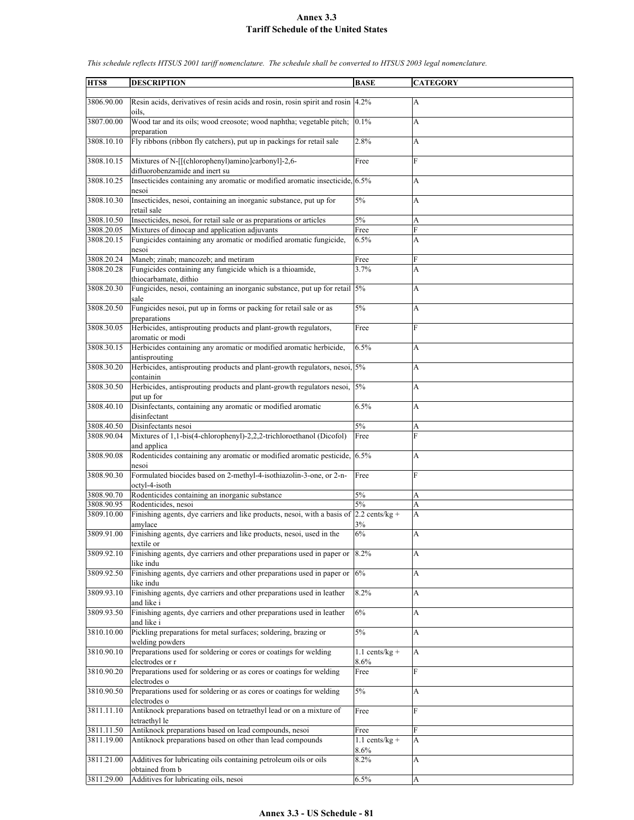| HTS8       | <b>DESCRIPTION</b>                                                                            | <b>BASE</b>              | <b>CATEGORY</b> |
|------------|-----------------------------------------------------------------------------------------------|--------------------------|-----------------|
| 3806.90.00 | Resin acids, derivatives of resin acids and rosin, rosin spirit and rosin 4.2%                |                          | A               |
| 3807.00.00 | oils.<br>Wood tar and its oils; wood creosote; wood naphtha; vegetable pitch;<br>preparation  | 0.1%                     | A               |
| 3808.10.10 | Fly ribbons (ribbon fly catchers), put up in packings for retail sale                         | 2.8%                     | A               |
| 3808.10.15 | Mixtures of N-[[(chlorophenyl)amino]carbonyl]-2,6-<br>difluorobenzamide and inert su          | Free                     | F               |
| 3808.10.25 | Insecticides containing any aromatic or modified aromatic insecticide, 6.5%<br>nesoi          |                          | A               |
| 3808.10.30 | Insecticides, nesoi, containing an inorganic substance, put up for<br>retail sale             | 5%                       | A               |
| 3808.10.50 | Insecticides, nesoi, for retail sale or as preparations or articles                           | 5%                       | A               |
| 3808.20.05 | Mixtures of dinocap and application adjuvants                                                 | Free                     | F               |
| 3808.20.15 | Fungicides containing any aromatic or modified aromatic fungicide,<br>nesoi                   | 6.5%                     | A               |
| 3808.20.24 | Maneb; zinab; mancozeb; and metiram                                                           | Free                     | F               |
| 3808.20.28 | Fungicides containing any fungicide which is a thioamide,<br>thiocarbamate, dithio            | 3.7%                     | A               |
| 3808.20.30 | Fungicides, nesoi, containing an inorganic substance, put up for retail 5%<br>sale            |                          | A               |
| 3808.20.50 | Fungicides nesoi, put up in forms or packing for retail sale or as<br>preparations            | 5%                       | А               |
| 3808.30.05 | Herbicides, antisprouting products and plant-growth regulators,<br>aromatic or modi           | Free                     | F               |
| 3808.30.15 | Herbicides containing any aromatic or modified aromatic herbicide,<br>antisprouting           | 6.5%                     | A               |
| 3808.30.20 | Herbicides, antisprouting products and plant-growth regulators, nesoi, 5%<br>containin        |                          | A               |
| 3808.30.50 | Herbicides, antisprouting products and plant-growth regulators nesoi, 5%<br>put up for        |                          | A               |
| 3808.40.10 | Disinfectants, containing any aromatic or modified aromatic<br>disinfectant                   | 6.5%                     | A               |
| 3808.40.50 | Disinfectants nesoi                                                                           | 5%                       | A               |
| 3808.90.04 | Mixtures of 1,1-bis(4-chlorophenyl)-2,2,2-trichloroethanol (Dicofol)<br>and applica           | Free                     | F               |
| 3808.90.08 | Rodenticides containing any aromatic or modified aromatic pesticide, 6.5%<br>nesoi            |                          | A               |
| 3808.90.30 | Formulated biocides based on 2-methyl-4-isothiazolin-3-one, or 2-n-<br>octyl-4-isoth          | Free                     | F               |
| 3808.90.70 | Rodenticides containing an inorganic substance                                                | 5%                       | A               |
| 3808.90.95 | Rodenticides, nesoi                                                                           | 5%                       | A               |
| 3809.10.00 | Finishing agents, dye carriers and like products, nesoi, with a basis of                      | $2.2$ cents/kg +         | A               |
| 3809.91.00 | amylace<br>Finishing agents, dye carriers and like products, nesoi, used in the<br>textile or | 3%<br>$6\%$              | A               |
| 3809.92.10 | Finishing agents, dye carriers and other preparations used in paper or $ 8.2\% $<br>like indu |                          | A               |
| 3809.92.50 | Finishing agents, dye carriers and other preparations used in paper or $ 6\% $<br>like indu   |                          | А               |
| 3809.93.10 | Finishing agents, dye carriers and other preparations used in leather<br>and like i           | 8.2%                     | A               |
| 3809.93.50 | Finishing agents, dye carriers and other preparations used in leather<br>and like i           | 6%                       | А               |
| 3810.10.00 | Pickling preparations for metal surfaces; soldering, brazing or<br>welding powders            | $5\%$                    | A               |
| 3810.90.10 | Preparations used for soldering or cores or coatings for welding<br>electrodes or r           | $1.1$ cents/kg +<br>8.6% | $\mathbf{A}$    |
| 3810.90.20 | Preparations used for soldering or as cores or coatings for welding<br>electrodes o           | Free                     | $\overline{F}$  |
| 3810.90.50 | Preparations used for soldering or as cores or coatings for welding<br>electrodes o           | 5%                       | А               |
| 3811.11.10 | Antiknock preparations based on tetraethyl lead or on a mixture of<br>tetraethyl le           | Free                     | $\mathbf{F}$    |
| 3811.11.50 | Antiknock preparations based on lead compounds, nesoi                                         | Free                     | F               |
| 3811.19.00 | Antiknock preparations based on other than lead compounds                                     | $1.1$ cents/kg +<br>8.6% | A               |
| 3811.21.00 | Additives for lubricating oils containing petroleum oils or oils                              | 8.2%                     | A               |
|            | obtained from b                                                                               |                          |                 |
| 3811.29.00 | Additives for lubricating oils, nesoi                                                         | 6.5%                     | A               |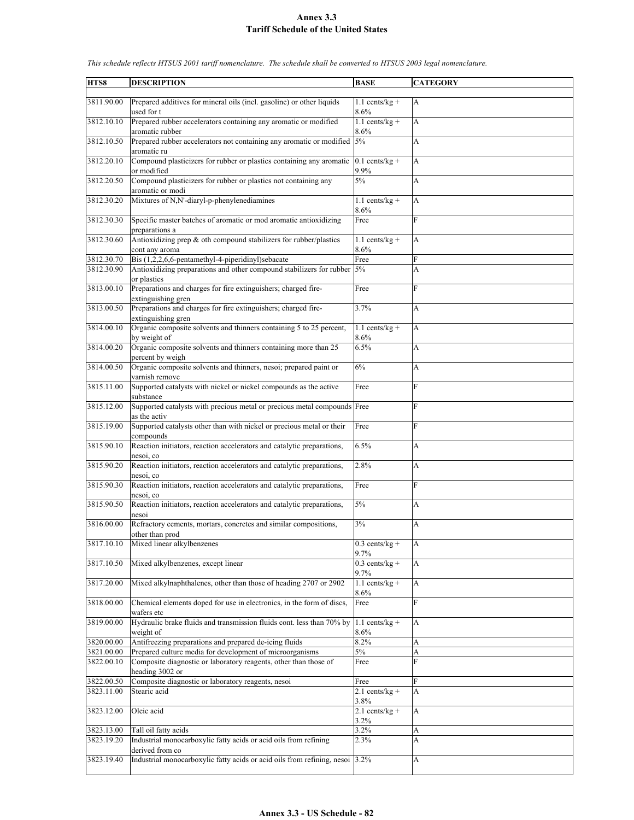| HTS8       | <b>DESCRIPTION</b>                                                       | <b>BASE</b>      | <b>CATEGORY</b> |
|------------|--------------------------------------------------------------------------|------------------|-----------------|
|            |                                                                          |                  |                 |
| 3811.90.00 | Prepared additives for mineral oils (incl. gasoline) or other liquids    | $1.1$ cents/kg + | $\mathbf{A}$    |
|            | used for t                                                               | 8.6%             |                 |
|            |                                                                          |                  |                 |
| 3812.10.10 | Prepared rubber accelerators containing any aromatic or modified         | $1.1$ cents/kg + | A               |
|            | aromatic rubber                                                          | 8.6%             |                 |
| 3812.10.50 | Prepared rubber accelerators not containing any aromatic or modified     | 5%               | A               |
|            | aromatic ru                                                              |                  |                 |
| 3812.20.10 | Compound plasticizers for rubber or plastics containing any aromatic     | $0.1$ cents/kg + | A               |
|            |                                                                          |                  |                 |
|            | or modified                                                              | 9.9%             |                 |
| 3812.20.50 | Compound plasticizers for rubber or plastics not containing any          | 5%               | A               |
|            | aromatic or modi                                                         |                  |                 |
| 3812.30.20 | Mixtures of N,N'-diaryl-p-phenylenediamines                              | $1.1$ cents/kg + | A               |
|            |                                                                          | 8.6%             |                 |
| 3812.30.30 | Specific master batches of aromatic or mod aromatic antioxidizing        | Free             | $\mathbf{F}$    |
|            |                                                                          |                  |                 |
|            | preparations a                                                           |                  |                 |
| 3812.30.60 | Antioxidizing prep & oth compound stabilizers for rubber/plastics        | $1.1$ cents/kg + | A               |
|            | cont any aroma                                                           | 8.6%             |                 |
| 3812.30.70 | Bis (1,2,2,6,6-pentamethyl-4-piperidinyl)sebacate                        | Free             | F               |
| 3812.30.90 | Antioxidizing preparations and other compound stabilizers for rubber 5%  |                  | A               |
|            | or plastics                                                              |                  |                 |
| 3813.00.10 | Preparations and charges for fire extinguishers; charged fire-           | Free             | F               |
|            | extinguishing gren                                                       |                  |                 |
|            |                                                                          |                  |                 |
| 3813.00.50 | Preparations and charges for fire extinguishers; charged fire-           | 3.7%             | A               |
|            | extinguishing gren                                                       |                  |                 |
| 3814.00.10 | Organic composite solvents and thinners containing 5 to 25 percent,      | $1.1$ cents/kg + | A               |
|            | by weight of                                                             | 8.6%             |                 |
| 3814.00.20 | Organic composite solvents and thinners containing more than 25          | 6.5%             | A               |
|            | percent by weigh                                                         |                  |                 |
| 3814.00.50 | Organic composite solvents and thinners, nesoi; prepared paint or        | 6%               | A               |
|            |                                                                          |                  |                 |
|            | varnish remove                                                           |                  |                 |
| 3815.11.00 | Supported catalysts with nickel or nickel compounds as the active        | Free             | $\overline{F}$  |
|            | substance                                                                |                  |                 |
| 3815.12.00 | Supported catalysts with precious metal or precious metal compounds Free |                  | F               |
|            | as the activ                                                             |                  |                 |
| 3815.19.00 | Supported catalysts other than with nickel or precious metal or their    | Free             | F               |
|            | compounds                                                                |                  |                 |
| 3815.90.10 | Reaction initiators, reaction accelerators and catalytic preparations,   | 6.5%             | A               |
|            | nesoi, co                                                                |                  |                 |
|            |                                                                          |                  |                 |
| 3815.90.20 | Reaction initiators, reaction accelerators and catalytic preparations,   | 2.8%             | A               |
|            | nesoi, co                                                                |                  |                 |
| 3815.90.30 | Reaction initiators, reaction accelerators and catalytic preparations,   | Free             | F               |
|            | nesoi, co                                                                |                  |                 |
| 3815.90.50 | Reaction initiators, reaction accelerators and catalytic preparations,   | 5%               | A               |
|            | nesoi                                                                    |                  |                 |
| 3816.00.00 | Refractory cements, mortars, concretes and similar compositions,         | 3%               | А               |
|            |                                                                          |                  |                 |
|            | other than prod                                                          |                  |                 |
| 3817.10.10 | Mixed linear alkylbenzenes                                               | $0.3$ cents/kg + | A               |
|            |                                                                          | 9.7%             |                 |
| 3817.10.50 | Mixed alkylbenzenes, except linear                                       | $0.3$ cents/kg + | A               |
|            |                                                                          | 9.7%             |                 |
| 3817.20.00 | Mixed alkylnaphthalenes, other than those of heading 2707 or 2902        | $1.1$ cents/kg + | A               |
|            |                                                                          | 8.6%             |                 |
| 3818.00.00 | Chemical elements doped for use in electronics, in the form of discs,    | Free             | F               |
|            |                                                                          |                  |                 |
|            | wafers etc                                                               |                  |                 |
| 3819.00.00 | Hydraulic brake fluids and transmission fluids cont. less than 70% by    | $1.1$ cents/kg + | A               |
|            | weight of                                                                | 8.6%             |                 |
| 3820.00.00 | Antifreezing preparations and prepared de-icing fluids                   | 8.2%             | A               |
| 3821.00.00 | Prepared culture media for development of microorganisms                 | $5\%$            | A               |
| 3822.00.10 | Composite diagnostic or laboratory reagents, other than those of         | Free             | $\overline{F}$  |
|            | heading 3002 or                                                          |                  |                 |
| 3822.00.50 | Composite diagnostic or laboratory reagents, nesoi                       | Free             | F               |
|            |                                                                          |                  |                 |
| 3823.11.00 | Stearic acid                                                             | $2.1$ cents/kg + | A               |
|            |                                                                          | 3.8%             |                 |
| 3823.12.00 | Oleic acid                                                               | $2.1$ cents/kg + | A               |
|            |                                                                          | 3.2%             |                 |
| 3823.13.00 | Tall oil fatty acids                                                     | 3.2%             | A               |
| 3823.19.20 | Industrial monocarboxylic fatty acids or acid oils from refining         | 2.3%             | A               |
|            | derived from co                                                          |                  |                 |
| 3823.19.40 | Industrial monocarboxylic fatty acids or acid oils from refining, nesoi  | 3.2%             | A               |
|            |                                                                          |                  |                 |
|            |                                                                          |                  |                 |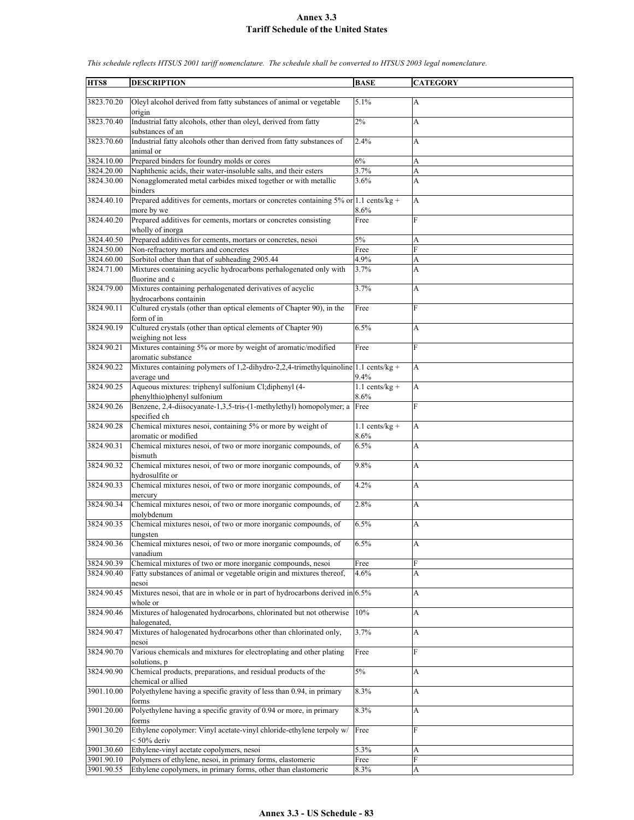| HTS8                     | <b>DESCRIPTION</b>                                                                                     | <b>BASE</b>              | <b>CATEGORY</b> |
|--------------------------|--------------------------------------------------------------------------------------------------------|--------------------------|-----------------|
|                          |                                                                                                        |                          |                 |
| 3823.70.20               | Oleyl alcohol derived from fatty substances of animal or vegetable<br>origin                           | 5.1%                     | $\overline{A}$  |
| 3823.70.40               | Industrial fatty alcohols, other than oleyl, derived from fatty                                        | 2%                       | A               |
| 3823.70.60               | substances of an<br>Industrial fatty alcohols other than derived from fatty substances of<br>animal or | 2.4%                     | A               |
| 3824.10.00               | Prepared binders for foundry molds or cores                                                            | 6%                       | A               |
| 3824.20.00               | Naphthenic acids, their water-insoluble salts, and their esters                                        | 3.7%                     | A               |
| 3824.30.00               | Nonagglomerated metal carbides mixed together or with metallic<br>binders                              | 3.6%                     | A               |
| 3824.40.10               | Prepared additives for cements, mortars or concretes containing $5\%$ or 1.1 cents/kg +<br>more by we  | 8.6%                     | A               |
| 3824.40.20               | Prepared additives for cements, mortars or concretes consisting<br>wholly of inorga                    | Free                     | $\overline{F}$  |
| 3824.40.50               | Prepared additives for cements, mortars or concretes, nesoi                                            | $5\%$                    | A               |
| 3824.50.00               | Non-refractory mortars and concretes                                                                   | Free                     | F               |
| 3824.60.00               | Sorbitol other than that of subheading 2905.44                                                         | 4.9%                     | A               |
| 3824.71.00               | Mixtures containing acyclic hydrocarbons perhalogenated only with                                      | 3.7%                     | A               |
|                          | fluorine and c                                                                                         |                          |                 |
| 3824.79.00               | Mixtures containing perhalogenated derivatives of acyclic<br>hydrocarbons containin                    | 3.7%                     | A               |
| 3824.90.11               | Cultured crystals (other than optical elements of Chapter 90), in the                                  | Free                     | $\overline{F}$  |
|                          | form of in                                                                                             |                          |                 |
| 3824.90.19               | Cultured crystals (other than optical elements of Chapter 90)<br>weighing not less                     | 6.5%                     | A               |
| 3824.90.21               | Mixtures containing 5% or more by weight of aromatic/modified<br>aromatic substance                    | Free                     | F               |
| 3824.90.22               | Mixtures containing polymers of 1,2-dihydro-2,2,4-trimethylquinoline 1.1 cents/kg +<br>average und     | 9.4%                     | A               |
| 3824.90.25               | Aqueous mixtures: triphenyl sulfonium Cl;diphenyl (4-                                                  | $1.1$ cents/kg +         | A               |
|                          | phenylthio)phenyl sulfonium                                                                            | 8.6%                     |                 |
| 3824.90.26               | Benzene, 2,4-diisocyanate-1,3,5-tris-(1-methylethyl) homopolymer; a<br>specified ch                    | Free                     | F               |
| 3824.90.28               | Chemical mixtures nesoi, containing 5% or more by weight of<br>aromatic or modified                    | $1.1$ cents/kg +<br>8.6% | A               |
| 3824.90.31               | Chemical mixtures nesoi, of two or more inorganic compounds, of                                        | 6.5%                     | A               |
| 3824.90.32               | bismuth<br>Chemical mixtures nesoi, of two or more inorganic compounds, of                             | 9.8%                     | A               |
|                          | hydrosulfite or                                                                                        |                          |                 |
| 3824.90.33               | Chemical mixtures nesoi, of two or more inorganic compounds, of<br>mercury                             | 4.2%                     | A               |
| 3824.90.34               | Chemical mixtures nesoi, of two or more inorganic compounds, of<br>molybdenum                          | 2.8%                     | A               |
| 3824.90.35               | Chemical mixtures nesoi, of two or more inorganic compounds, of<br>tungsten                            | 6.5%                     | A               |
| 3824.90.36               | Chemical mixtures nesoi, of two or more inorganic compounds, of<br>vanadium                            | 6.5%                     | A               |
| 3824.90.39               | Chemical mixtures of two or more inorganic compounds, nesoi                                            | Free                     | F               |
| 3824.90.40               | Fatty substances of animal or vegetable origin and mixtures thereof,<br>nesoi                          | 4.6%                     | A               |
| 3824.90.45               | Mixtures nesoi, that are in whole or in part of hydrocarbons derived in 6.5%<br>whole or               |                          | A               |
| 3824.90.46               | Mixtures of halogenated hydrocarbons, chlorinated but not otherwise<br>halogenated.                    | 10%                      | A               |
| 3824.90.47               | Mixtures of halogenated hydrocarbons other than chlorinated only,                                      | 3.7%                     | А               |
| 3824.90.70               | nesoi<br>Various chemicals and mixtures for electroplating and other plating<br>solutions, p           | Free                     | $\mathbf{F}$    |
| 3824.90.90               | Chemical products, preparations, and residual products of the                                          | $5\%$                    | A               |
| 3901.10.00               | chemical or allied<br>Polyethylene having a specific gravity of less than 0.94, in primary             | 8.3%                     | A               |
| 3901.20.00               | forms<br>Polyethylene having a specific gravity of 0.94 or more, in primary<br>forms                   | 8.3%                     | A               |
| 3901.30.20               | Ethylene copolymer: Vinyl acetate-vinyl chloride-ethylene terpoly w/                                   | Free                     | F               |
|                          | $< 50\%$ deriv                                                                                         |                          |                 |
| 3901.30.60<br>3901.90.10 | Ethylene-vinyl acetate copolymers, nesoi<br>Polymers of ethylene, nesoi, in primary forms, elastomeric | 5.3%                     | A<br>$\rm F$    |
| 3901.90.55               | Ethylene copolymers, in primary forms, other than elastomeric                                          | Free<br>8.3%             | A               |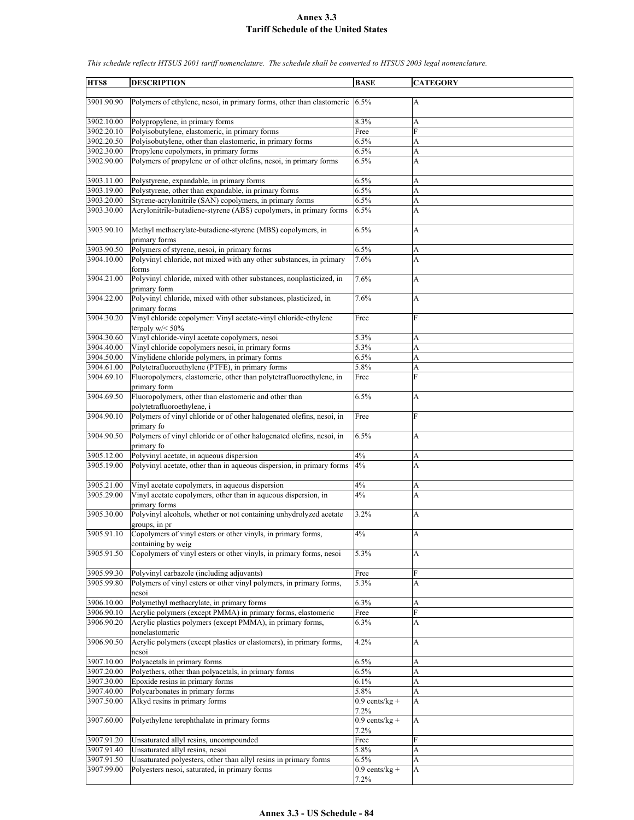| HTS8                     | <b>DESCRIPTION</b>                                                                  | <b>BASE</b>              | <b>CATEGORY</b> |
|--------------------------|-------------------------------------------------------------------------------------|--------------------------|-----------------|
|                          |                                                                                     |                          |                 |
| 3901.90.90               | Polymers of ethylene, nesoi, in primary forms, other than elastomeric               | 6.5%                     | A               |
| 3902.10.00               | Polypropylene, in primary forms                                                     | 8.3%                     | A               |
| 3902.20.10               | Polyisobutylene, elastomeric, in primary forms                                      | Free                     | F               |
| 3902.20.50               | Polyisobutylene, other than elastomeric, in primary forms                           | 6.5%                     | A               |
| 3902.30.00               | Propylene copolymers, in primary forms                                              | 6.5%                     | A               |
| 3902.90.00               | Polymers of propylene or of other olefins, nesoi, in primary forms                  | 6.5%                     | A               |
| 3903.11.00               | Polystyrene, expandable, in primary forms                                           | 6.5%                     | A               |
| 3903.19.00               | Polystyrene, other than expandable, in primary forms                                | 6.5%                     | A               |
| 3903.20.00               | Styrene-acrylonitrile (SAN) copolymers, in primary forms                            | 6.5%                     | $\mathbf{A}$    |
| 3903.30.00               | Acrylonitrile-butadiene-styrene (ABS) copolymers, in primary forms                  | 6.5%                     | A               |
| 3903.90.10               | Methyl methacrylate-butadiene-styrene (MBS) copolymers, in<br>primary forms         | 6.5%                     | A               |
| 3903.90.50               | Polymers of styrene, nesoi, in primary forms                                        | 6.5%                     | A               |
| 3904.10.00               | Polyvinyl chloride, not mixed with any other substances, in primary                 | 7.6%                     | A               |
|                          | forms                                                                               |                          |                 |
| 3904.21.00               | Polyvinyl chloride, mixed with other substances, nonplasticized, in<br>primary form | 7.6%                     | A               |
| 3904.22.00               | Polyvinyl chloride, mixed with other substances, plasticized, in<br>primary forms   | 7.6%                     | A               |
| 3904.30.20               | Vinyl chloride copolymer: Vinyl acetate-vinyl chloride-ethylene                     | Free                     | F               |
|                          | terpoly $w$ /< 50%                                                                  |                          |                 |
| 3904.30.60               | Vinyl chloride-vinyl acetate copolymers, nesoi                                      | 5.3%                     | A               |
| 3904.40.00               | Vinyl chloride copolymers nesoi, in primary forms                                   | $5.3\%$                  | A               |
| 3904.50.00               | Vinylidene chloride polymers, in primary forms                                      | 6.5%                     | A               |
| 3904.61.00               | Polytetrafluoroethylene (PTFE), in primary forms                                    | 5.8%                     | A               |
| 3904.69.10               | Fluoropolymers, elastomeric, other than polytetrafluoroethylene, in<br>primary form | Free                     | F               |
| 3904.69.50               | Fluoropolymers, other than elastomeric and other than                               | 6.5%                     | A               |
|                          | polytetrafluoroethylene, i                                                          |                          |                 |
| 3904.90.10               | Polymers of vinyl chloride or of other halogenated olefins, nesoi, in<br>primary fo | Free                     | F               |
| 3904.90.50               | Polymers of vinyl chloride or of other halogenated olefins, nesoi, in<br>primary fo | 6.5%                     | A               |
| 3905.12.00               | Polyvinyl acetate, in aqueous dispersion                                            | 4%                       | A               |
| 3905.19.00               | Polyvinyl acetate, other than in aqueous dispersion, in primary forms               | 4%                       | A               |
|                          |                                                                                     |                          |                 |
| 3905.21.00               | Vinyl acetate copolymers, in aqueous dispersion                                     | 4%                       | A               |
| 3905.29.00               | Vinyl acetate copolymers, other than in aqueous dispersion, in<br>primary forms     | 4%                       | A               |
| 3905.30.00               | Polyvinyl alcohols, whether or not containing unhydrolyzed acetate<br>groups, in pr | 3.2%                     | A               |
| 3905.91.10               | Copolymers of vinyl esters or other vinyls, in primary forms,                       | 4%                       | A               |
|                          | containing by weig                                                                  |                          |                 |
| 3905.91.50               | Copolymers of vinyl esters or other vinyls, in primary forms, nesoi                 | 5.3%                     | A               |
| 3905.99.30               | Polyvinyl carbazole (including adjuvants)                                           | Free                     | ${\rm F}$       |
| 3905.99.80               | Polymers of vinyl esters or other vinyl polymers, in primary forms,<br>nesoi        | 5.3%                     | A               |
| 3906.10.00               | Polymethyl methacrylate, in primary forms                                           | 6.3%                     | A               |
| 3906.90.10               | Acrylic polymers (except PMMA) in primary forms, elastomeric                        | Free                     | F               |
| 3906.90.20               | Acrylic plastics polymers (except PMMA), in primary forms,<br>nonelastomeric        | 6.3%                     | A               |
| 3906.90.50               | Acrylic polymers (except plastics or elastomers), in primary forms,<br>nesoi        | 4.2%                     | A               |
| 3907.10.00               | Polyacetals in primary forms                                                        | 6.5%                     | Α               |
| 3907.20.00               | Polyethers, other than polyacetals, in primary forms                                | 6.5%                     | A               |
| 3907.30.00               | Epoxide resins in primary forms                                                     | 6.1%                     | $\overline{A}$  |
| 3907.40.00               | Polycarbonates in primary forms                                                     | 5.8%                     | A               |
| 3907.50.00               | Alkyd resins in primary forms                                                       | $0.9$ cents/kg +<br>7.2% | A               |
| 3907.60.00               | Polyethylene terephthalate in primary forms                                         | $0.9$ cents/kg +         | A               |
|                          |                                                                                     | $7.2\%$                  | F               |
| 3907.91.20<br>3907.91.40 | Unsaturated allyl resins, uncompounded<br>Unsaturated allyl resins, nesoi           | Free<br>5.8%             | A               |
| 3907.91.50               | Unsaturated polyesters, other than allyl resins in primary forms                    | 6.5%                     | A               |
| 3907.99.00               | Polyesters nesoi, saturated, in primary forms                                       | $0.9$ cents/kg +         | A               |
|                          |                                                                                     | 7.2%                     |                 |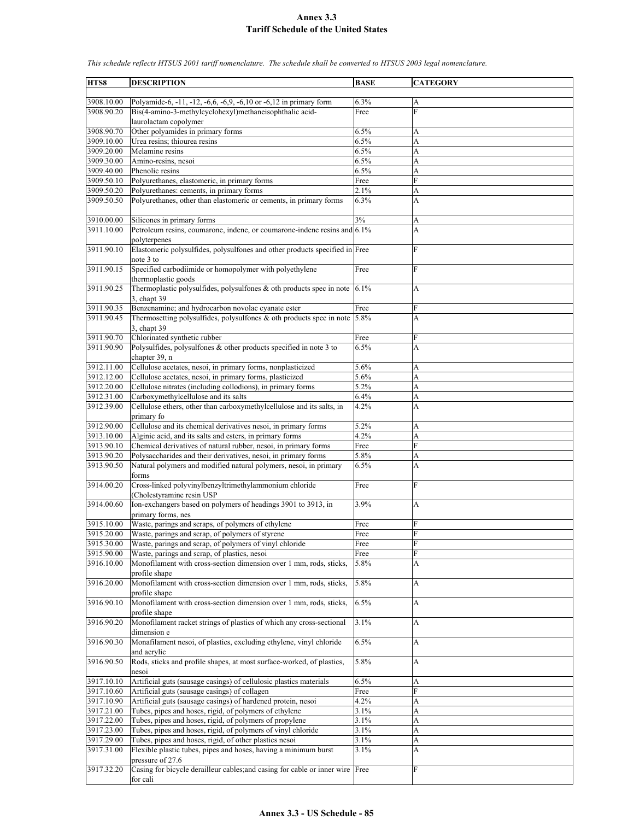**HTS8 DESCRIPTION BASE CATEGORY** 3908.10.00 Polyamide-6, -11, -12, -6,6, -6,9, -6,10 or -6,12 in primary form 6.3% A 3908.90.20 Bis(4-amino-3-methylcyclohexyl)methaneisophthalic acidlaurolactam copolymer Free F 3908.90.70 Other polyamides in primary forms 6.5% A  $3909.10.00$  Urea resins; thiourea resins  $6.5\%$  A 3909.20.00 Melamine resins 6.5% A 3909.30.00 Amino-resins, nesoi 6.5% A 3909.40.00 Phenolic resins 6.5% A 3909.50.10 Polyurethanes, elastomeric, in primary forms Free 3909.50.20 Polyurethanes: cements, in primary forms 2.1% A 3909.50.50 Polyurethanes, other than elastomeric or cements, in primary forms 6.3% A 3910.00.00 Silicones in primary forms 3% 3911.10.00 Petroleum resins, coumarone, indene, or coumarone-indene resins and polyterpenes 6.1% A 3911.90.10 Elastomeric polysulfides, polysulfones and other products specified in Free F note 3 to 3911.90.15 Specified carbodiimide or homopolymer with polyethylene thermoplastic goods Free F 3911.90.25 Thermoplastic polysulfides, polysulfones & oth products spec in note 3, chapt 39 6.1% A  $3911.90.35$  Benzenamine; and hydrocarbon novolac cyanate ester Free Free<br> $3911.90.45$  Thermosetting polysulfides, polysulfones & oth products spec in note 5.8% Thermosetting polysulfides, polysulfones  $\&$  oth products spec in note 3, chapt 39 5.8% A 3911.90.70 Chlorinated synthetic rubber Free 3911.90.90 Polysulfides, polysulfones & other products specified in note 3 to chapter 39, n 6.5% A 3912.11.00 Cellulose acetates, nesoi, in primary forms, nonplasticized 5.6% A 3912.12.00 Cellulose acetates, nesoi, in primary forms, plasticized 5.6% A 3912.20.00 Cellulose nitrates (including collodions), in primary forms 5.2% A 3912.31.00 Carboxymethylcellulose and its salts 6.4% A 3912.39.00 Cellulose ethers, other than carboxymethylcellulose and its salts, in primary fo 4.2% A 3912.90.00 Cellulose and its chemical derivatives nesoi, in primary forms 5.2% A<br>3913.10.00 Alginic acid, and its salts and esters, in primary forms 4.2% A Alginic acid, and its salts and esters, in primary forms 4.2% A 3913.90.10 Chemical derivatives of natural rubber, nesoi, in primary forms Free 3913.90.20 Polysaccharides and their derivatives, nesoi, in primary forms 5.8% A 3913.90.50 Natural polymers and modified natural polymers, nesoi, in primary forms 6.5% A 3914.00.20 Cross-linked polyvinylbenzyltrimethylammonium chloride (Cholestyramine resin USP Free F 3914.00.60 Ion-exchangers based on polymers of headings 3901 to 3913, in primary forms, nes 3.9% A 3915.10.00 Waste, parings and scraps, of polymers of ethylene Free 3915.20.00 Waste, parings and scrap, of polymers of styrene Free Free Free Free F 3915.30.00 Waste, parings and scrap, of polymers of vinyl chloride Free 3915.90.00 Waste, parings and scrap, of plastics, nesoi Free 3916.10.00 Monofilament with cross-section dimension over 1 mm, rods, sticks, profile shape  $5.8\%$  A 3916.20.00 Monofilament with cross-section dimension over 1 mm, rods, sticks, profile shape 5.8% A 3916.90.10 Monofilament with cross-section dimension over 1 mm, rods, sticks, profile shape 6.5% A 3916.90.20 Monofilament racket strings of plastics of which any cross-sectional dimension e 3.1% A 3916.90.30 Monafilament nesoi, of plastics, excluding ethylene, vinyl chloride and acrylic 6.5% A 3916.90.50 Rods, sticks and profile shapes, at most surface-worked, of plastics, nesoi 5.8% A 3917.10.10 Artificial guts (sausage casings) of cellulosic plastics materials 6.5% A 3917.10.60 Artificial guts (sausage casings) of collagen Free F Artificial guts (sausage casings) of hardened protein, nesoi  $4.2\%$  A 3917.21.00 Tubes, pipes and hoses, rigid, of polymers of ethylene 3.1% A<br>3917.22.00 Tubes, pipes and hoses, rigid, of polymers of propylene 3.1% A  $\frac{3917.22.00}{3917.23.00}$  Tubes, pipes and hoses, rigid, of polymers of propylene  $\frac{3.1\%}{3.1\%}$  A Tubes, pipes and hoses, rigid, of polymers of vinyl chloride  $3.1\%$ 3917.29.00 Tubes, pipes and hoses, rigid, of other plastics nesoi 3.1% A 3917.31.00 Flexible plastic tubes, pipes and hoses, having a minimum burst pressure of 27.6  $3.1\%$  A 3917.32.20 Casing for bicycle derailleur cables;and casing for cable or inner wire Free F for cali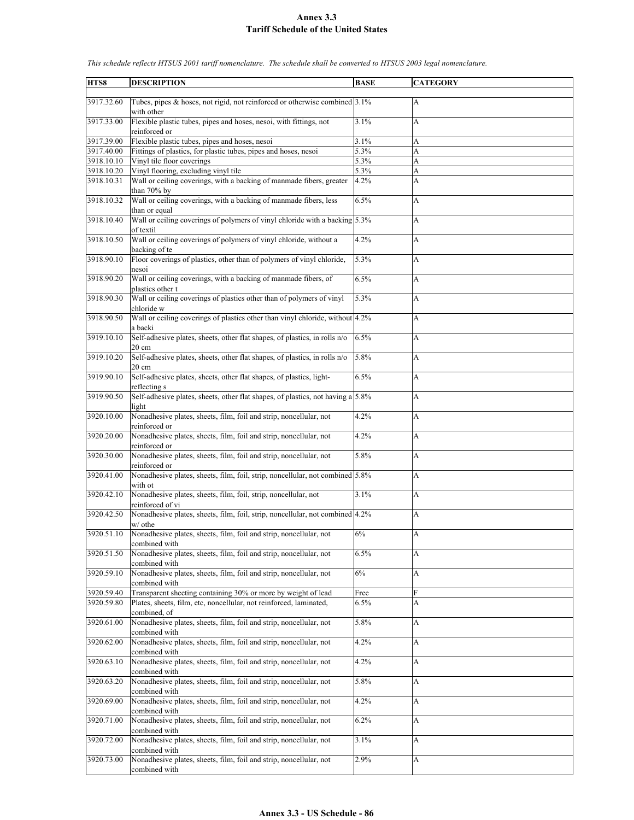| HTS8       | <b>DESCRIPTION</b>                                                                              | <b>BASE</b> | <b>CATEGORY</b> |
|------------|-------------------------------------------------------------------------------------------------|-------------|-----------------|
|            |                                                                                                 |             |                 |
| 3917.32.60 | Tubes, pipes & hoses, not rigid, not reinforced or otherwise combined 3.1%<br>with other        |             | A               |
| 3917.33.00 | Flexible plastic tubes, pipes and hoses, nesoi, with fittings, not<br>reinforced or             | 3.1%        | A               |
| 3917.39.00 | Flexible plastic tubes, pipes and hoses, nesoi                                                  | 3.1%        | A               |
| 3917.40.00 | Fittings of plastics, for plastic tubes, pipes and hoses, nesoi                                 | 5.3%        | A               |
| 3918.10.10 | Vinyl tile floor coverings                                                                      | 5.3%        | A               |
| 3918.10.20 | Vinyl flooring, excluding vinyl tile                                                            | 5.3%        | A               |
| 3918.10.31 | Wall or ceiling coverings, with a backing of manmade fibers, greater                            | 4.2%        | A               |
|            | than $70\%$ by                                                                                  |             |                 |
| 3918.10.32 | Wall or ceiling coverings, with a backing of manmade fibers, less<br>than or equal              | 6.5%        | A               |
| 3918.10.40 | Wall or ceiling coverings of polymers of vinyl chloride with a backing 5.3%<br>of textil        |             | A               |
| 3918.10.50 | Wall or ceiling coverings of polymers of vinyl chloride, without a<br>backing of te             | 4.2%        | A               |
| 3918.90.10 | Floor coverings of plastics, other than of polymers of vinyl chloride,<br>nesoi                 | 5.3%        | A               |
| 3918.90.20 | Wall or ceiling coverings, with a backing of manmade fibers, of<br>plastics other t             | 6.5%        | A               |
| 3918.90.30 | Wall or ceiling coverings of plastics other than of polymers of vinyl<br>chloride w             | 5.3%        | A               |
| 3918.90.50 | Wall or ceiling coverings of plastics other than vinyl chloride, without 4.2%                   |             | A               |
| 3919.10.10 | a backi<br>Self-adhesive plates, sheets, other flat shapes, of plastics, in rolls n/o           | 6.5%        | A               |
| 3919.10.20 | $20 \text{ cm}$<br>Self-adhesive plates, sheets, other flat shapes, of plastics, in rolls n/o   | 5.8%        | A               |
| 3919.90.10 | $20 \text{ cm}$<br>Self-adhesive plates, sheets, other flat shapes, of plastics, light-         | 6.5%        | A               |
| 3919.90.50 | reflecting s<br>Self-adhesive plates, sheets, other flat shapes, of plastics, not having a 5.8% |             | A               |
|            | light                                                                                           |             |                 |
| 3920.10.00 | Nonadhesive plates, sheets, film, foil and strip, noncellular, not<br>reinforced or             | 4.2%        | A               |
| 3920.20.00 | Nonadhesive plates, sheets, film, foil and strip, noncellular, not<br>reinforced or             | 4.2%        | A               |
| 3920.30.00 | Nonadhesive plates, sheets, film, foil and strip, noncellular, not<br>reinforced or             | 5.8%        | A               |
| 3920.41.00 | Nonadhesive plates, sheets, film, foil, strip, noncellular, not combined 5.8%<br>with ot        |             | A               |
| 3920.42.10 | Nonadhesive plates, sheets, film, foil, strip, noncellular, not<br>reinforced of vi             | 3.1%        | A               |
| 3920.42.50 | Nonadhesive plates, sheets, film, foil, strip, noncellular, not combined 4.2%<br>w/ othe        |             | A               |
| 3920.51.10 | Nonadhesive plates, sheets, film, foil and strip, noncellular, not<br>combined with             | $6\%$       | A               |
| 3920.51.50 | Nonadhesive plates, sheets, film, foil and strip, noncellular, not<br>combined with             | 6.5%        | A               |
| 3920.59.10 | Nonadhesive plates, sheets, film, foil and strip, noncellular, not<br>combined with             | 6%          | А               |
| 3920.59.40 | Transparent sheeting containing 30% or more by weight of lead                                   | Free        | ${\bf F}$       |
| 3920.59.80 | Plates, sheets, film, etc, noncellular, not reinforced, laminated,<br>combined, of              | 6.5%        | A               |
| 3920.61.00 | Nonadhesive plates, sheets, film, foil and strip, noncellular, not                              | 5.8%        | A               |
| 3920.62.00 | combined with<br>Nonadhesive plates, sheets, film, foil and strip, noncellular, not             | 4.2%        | A               |
| 3920.63.10 | combined with<br>Nonadhesive plates, sheets, film, foil and strip, noncellular, not             | 4.2%        | А               |
| 3920.63.20 | combined with<br>Nonadhesive plates, sheets, film, foil and strip, noncellular, not             | 5.8%        | A               |
| 3920.69.00 | combined with<br>Nonadhesive plates, sheets, film, foil and strip, noncellular, not             | 4.2%        | A               |
| 3920.71.00 | combined with<br>Nonadhesive plates, sheets, film, foil and strip, noncellular, not             |             |                 |
|            | combined with                                                                                   | 6.2%        | A               |
| 3920.72.00 | Nonadhesive plates, sheets, film, foil and strip, noncellular, not<br>combined with             | 3.1%        | A               |
| 3920.73.00 | Nonadhesive plates, sheets, film, foil and strip, noncellular, not<br>combined with             | 2.9%        | A               |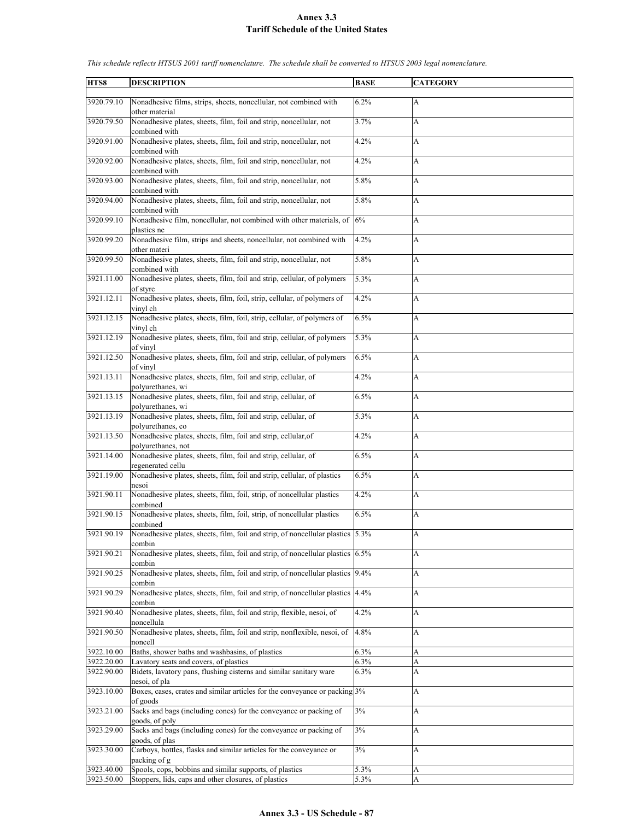| HTS8       | <b>DESCRIPTION</b>                                                                | <b>BASE</b> | <b>CATEGORY</b> |
|------------|-----------------------------------------------------------------------------------|-------------|-----------------|
|            |                                                                                   |             |                 |
| 3920.79.10 | Nonadhesive films, strips, sheets, noncellular, not combined with                 | 6.2%        | A               |
|            | other material                                                                    |             |                 |
| 3920.79.50 | Nonadhesive plates, sheets, film, foil and strip, noncellular, not                | 3.7%        | A               |
|            | combined with                                                                     |             |                 |
| 3920.91.00 | Nonadhesive plates, sheets, film, foil and strip, noncellular, not                | 4.2%        | A               |
|            | combined with                                                                     |             |                 |
| 3920.92.00 | Nonadhesive plates, sheets, film, foil and strip, noncellular, not                | 4.2%        | A               |
|            | combined with                                                                     |             |                 |
| 3920.93.00 | Nonadhesive plates, sheets, film, foil and strip, noncellular, not                | 5.8%        | A               |
|            | combined with                                                                     |             |                 |
| 3920.94.00 | Nonadhesive plates, sheets, film, foil and strip, noncellular, not                | 5.8%        | A               |
|            | combined with                                                                     |             |                 |
| 3920.99.10 | Nonadhesive film, noncellular, not combined with other materials, of              | 6%          | A               |
|            | plastics ne                                                                       |             |                 |
| 3920.99.20 | Nonadhesive film, strips and sheets, noncellular, not combined with               | 4.2%        | A               |
|            | other materi                                                                      |             |                 |
| 3920.99.50 | Nonadhesive plates, sheets, film, foil and strip, noncellular, not                | 5.8%        | A               |
|            | combined with                                                                     |             |                 |
| 3921.11.00 | Nonadhesive plates, sheets, film, foil and strip, cellular, of polymers           | 5.3%        | A               |
|            | of styre                                                                          |             |                 |
| 3921.12.11 | Nonadhesive plates, sheets, film, foil, strip, cellular, of polymers of           | 4.2%        | A               |
|            | vinyl ch                                                                          |             |                 |
| 3921.12.15 | Nonadhesive plates, sheets, film, foil, strip, cellular, of polymers of           | 6.5%        | A               |
|            | vinyl ch                                                                          |             |                 |
| 3921.12.19 | Nonadhesive plates, sheets, film, foil and strip, cellular, of polymers           | 5.3%        | A               |
|            | of vinyl                                                                          |             |                 |
| 3921.12.50 | Nonadhesive plates, sheets, film, foil and strip, cellular, of polymers           | 6.5%        | А               |
|            | of vinyl                                                                          |             |                 |
| 3921.13.11 | Nonadhesive plates, sheets, film, foil and strip, cellular, of                    | 4.2%        | A               |
|            | polyurethanes, wi                                                                 |             |                 |
| 3921.13.15 | Nonadhesive plates, sheets, film, foil and strip, cellular, of                    | 6.5%        | A               |
|            | polyurethanes, wi                                                                 |             |                 |
| 3921.13.19 | Nonadhesive plates, sheets, film, foil and strip, cellular, of                    | 5.3%        | A               |
|            | polyurethanes, co                                                                 |             |                 |
| 3921.13.50 | Nonadhesive plates, sheets, film, foil and strip, cellular, of                    | 4.2%        | A               |
|            | polyurethanes, not                                                                |             |                 |
| 3921.14.00 | Nonadhesive plates, sheets, film, foil and strip, cellular, of                    | 6.5%        | A               |
|            | regenerated cellu                                                                 |             |                 |
| 3921.19.00 | Nonadhesive plates, sheets, film, foil and strip, cellular, of plastics           | 6.5%        | A               |
|            | nesoi                                                                             |             |                 |
| 3921.90.11 | Nonadhesive plates, sheets, film, foil, strip, of noncellular plastics            | 4.2%        | A               |
|            | combined                                                                          |             |                 |
| 3921.90.15 | Nonadhesive plates, sheets, film, foil, strip, of noncellular plastics            | 6.5%        | A               |
|            | combined                                                                          |             |                 |
| 3921.90.19 | Nonadhesive plates, sheets, film, foil and strip, of noncellular plastics 5.3%    |             | A               |
|            | combin                                                                            |             |                 |
| 3921.90.21 | Nonadhesive plates, sheets, film, foil and strip, of noncellular plastics $6.5\%$ |             | A               |
|            | combin                                                                            |             |                 |
| 3921.90.25 | Nonadhesive plates, sheets, film, foil and strip, of noncellular plastics         | 9.4%        | A               |
|            | combin                                                                            |             |                 |
| 3921.90.29 | Nonadhesive plates, sheets, film, foil and strip, of noncellular plastics         | 4.4%        | А               |
|            | combin                                                                            |             |                 |
| 3921.90.40 | Nonadhesive plates, sheets, film, foil and strip, flexible, nesoi, of             | 4.2%        | А               |
|            | noncellula                                                                        |             |                 |
| 3921.90.50 | Nonadhesive plates, sheets, film, foil and strip, nonflexible, nesoi, of          | 4.8%        | A               |
|            | noncell                                                                           |             |                 |
| 3922.10.00 | Baths, shower baths and washbasins, of plastics                                   | 6.3%        | A               |
| 3922.20.00 | Lavatory seats and covers, of plastics                                            | 6.3%        | A               |
| 3922.90.00 | Bidets, lavatory pans, flushing cisterns and similar sanitary ware                | 6.3%        | A               |
|            | nesoi, of pla                                                                     |             |                 |
| 3923.10.00 | Boxes, cases, crates and similar articles for the conveyance or packing 3%        |             | A               |
|            | of goods                                                                          |             |                 |
| 3923.21.00 | Sacks and bags (including cones) for the conveyance or packing of                 | $3\%$       | A               |
|            | goods, of poly                                                                    |             |                 |
| 3923.29.00 | Sacks and bags (including cones) for the conveyance or packing of                 | 3%          | A               |
|            | goods, of plas                                                                    |             |                 |
| 3923.30.00 | Carboys, bottles, flasks and similar articles for the conveyance or               | 3%          | A               |
|            | packing of g                                                                      |             |                 |
| 3923.40.00 | Spools, cops, bobbins and similar supports, of plastics                           | 5.3%        | A               |
| 3923.50.00 | Stoppers, lids, caps and other closures, of plastics                              | $5.3\%$     | A               |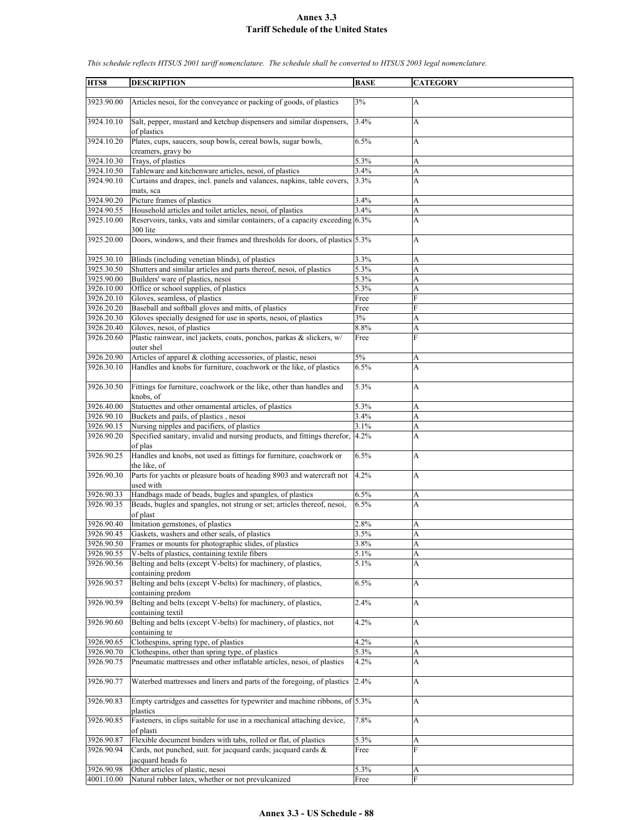| HTS8       | <b>DESCRIPTION</b>                                                                     | <b>BASE</b> | <b>CATEGORY</b> |  |
|------------|----------------------------------------------------------------------------------------|-------------|-----------------|--|
|            |                                                                                        |             |                 |  |
| 3923.90.00 | Articles nesoi, for the conveyance or packing of goods, of plastics                    | 3%          | А               |  |
|            |                                                                                        |             |                 |  |
| 3924.10.10 | Salt, pepper, mustard and ketchup dispensers and similar dispensers,                   | 3.4%        | A               |  |
|            | of plastics                                                                            |             |                 |  |
| 3924.10.20 | Plates, cups, saucers, soup bowls, cereal bowls, sugar bowls,                          | 6.5%        | A               |  |
|            | creamers, gravy bo                                                                     |             |                 |  |
| 3924.10.30 | Trays, of plastics                                                                     | 5.3%        | A               |  |
| 3924.10.50 | Tableware and kitchenware articles, nesoi, of plastics                                 | 3.4%        | A               |  |
| 3924.90.10 | Curtains and drapes, incl. panels and valances, napkins, table covers,                 | 3.3%        | A               |  |
|            | mats, sca                                                                              |             |                 |  |
| 3924.90.20 | Picture frames of plastics                                                             | 3.4%        | A               |  |
| 3924.90.55 | Household articles and toilet articles, nesoi, of plastics                             | 3.4%        | A               |  |
| 3925.10.00 | Reservoirs, tanks, vats and similar containers, of a capacity exceeding 6.3%           |             | A               |  |
|            | 300 lite                                                                               |             |                 |  |
| 3925.20.00 | Doors, windows, and their frames and thresholds for doors, of plastics 5.3%            |             | A               |  |
|            |                                                                                        |             |                 |  |
| 3925.30.10 | Blinds (including venetian blinds), of plastics                                        | 3.3%        | A               |  |
| 3925.30.50 | Shutters and similar articles and parts thereof, nesoi, of plastics                    | 5.3%        | A               |  |
| 3925.90.00 | Builders' ware of plastics, nesoi                                                      | 5.3%        |                 |  |
|            |                                                                                        |             | A               |  |
| 3926.10.00 | Office or school supplies, of plastics                                                 | 5.3%        | A               |  |
| 3926.20.10 | Gloves, seamless, of plastics                                                          | Free        | F               |  |
| 3926.20.20 | Baseball and softball gloves and mitts, of plastics                                    | Free        | F               |  |
| 3926.20.30 | Gloves specially designed for use in sports, nesoi, of plastics                        | 3%          | A               |  |
| 3926.20.40 | Gloves, nesoi, of plastics                                                             | 8.8%        | A               |  |
| 3926.20.60 | Plastic rainwear, incl jackets, coats, ponchos, parkas & slickers, w/                  | Free        | F               |  |
|            | outer shel                                                                             |             |                 |  |
| 3926.20.90 | Articles of apparel & clothing accessories, of plastic, nesoi                          | 5%          | A               |  |
| 3926.30.10 | Handles and knobs for furniture, coachwork or the like, of plastics                    | 6.5%        | A               |  |
|            |                                                                                        |             |                 |  |
| 3926.30.50 | Fittings for furniture, coachwork or the like, other than handles and                  | 5.3%        | А               |  |
|            | knobs, of                                                                              |             |                 |  |
| 3926.40.00 | Statuettes and other ornamental articles, of plastics                                  | 5.3%        | A               |  |
| 3926.90.10 | Buckets and pails, of plastics, nesoi                                                  | 3.4%        | A               |  |
| 3926.90.15 | Nursing nipples and pacifiers, of plastics                                             | 3.1%        | A               |  |
| 3926.90.20 | Specified sanitary, invalid and nursing products, and fittings therefor,               | 4.2%        | A               |  |
|            | of plas                                                                                |             |                 |  |
| 3926.90.25 | Handles and knobs, not used as fittings for furniture, coachwork or                    | 6.5%        | А               |  |
|            | the like, of                                                                           |             |                 |  |
| 3926.90.30 | Parts for yachts or pleasure boats of heading 8903 and watercraft not                  | 4.2%        | A               |  |
|            | used with                                                                              |             |                 |  |
| 3926.90.33 | Handbags made of beads, bugles and spangles, of plastics                               | 6.5%        | A               |  |
| 3926.90.35 | Beads, bugles and spangles, not strung or set; articles thereof, nesoi,                | 6.5%        | A               |  |
|            |                                                                                        |             |                 |  |
|            | of plast                                                                               |             |                 |  |
| 3926.90.40 | Imitation gemstones, of plastics                                                       | 2.8%        | A               |  |
| 3926.90.45 | Gaskets, washers and other seals, of plastics                                          | 3.5%        | A               |  |
| 3926.90.50 | Frames or mounts for photographic slides, of plastics                                  | 3.8%        | A               |  |
| 3926.90.55 | V-belts of plastics, containing textile fibers                                         | 5.1%        | A               |  |
| 3926.90.56 | Belting and belts (except V-belts) for machinery, of plastics,                         | 5.1%        | А               |  |
|            | containing predom                                                                      |             |                 |  |
| 3926.90.57 | Belting and belts (except V-belts) for machinery, of plastics,                         | 6.5%        | А               |  |
|            | containing predom                                                                      |             |                 |  |
| 3926.90.59 | Belting and belts (except V-belts) for machinery, of plastics,                         | 2.4%        | A               |  |
|            | containing textil                                                                      |             |                 |  |
| 3926.90.60 | Belting and belts (except V-belts) for machinery, of plastics, not                     | 4.2%        | A               |  |
|            | containing te                                                                          |             |                 |  |
| 3926.90.65 | Clothespins, spring type, of plastics                                                  | 4.2%        | A               |  |
| 3926.90.70 | Clothespins, other than spring type, of plastics                                       | 5.3%        | A               |  |
| 3926.90.75 | Pneumatic mattresses and other inflatable articles, nesoi, of plastics                 | 4.2%        | A               |  |
|            |                                                                                        |             |                 |  |
| 3926.90.77 | Waterbed mattresses and liners and parts of the foregoing, of plastics                 | 2.4%        | A               |  |
|            |                                                                                        |             |                 |  |
| 3926.90.83 | Empty cartridges and cassettes for typewriter and machine ribbons, of $ 5.3\% $        |             | A               |  |
|            | plastics                                                                               |             |                 |  |
| 3926.90.85 | Fasteners, in clips suitable for use in a mechanical attaching device,                 | 7.8%        | A               |  |
|            | of plasti                                                                              |             |                 |  |
| 3926.90.87 |                                                                                        | 5.3%        |                 |  |
|            | Flexible document binders with tabs, rolled or flat, of plastics                       |             | A<br>F          |  |
| 3926.90.94 | Cards, not punched, suit. for jacquard cards; jacquard cards &                         | Free        |                 |  |
|            | jacquard heads fo                                                                      |             |                 |  |
| 3926.90.98 | Other articles of plastic, nesoi<br>Natural rubber latex, whether or not prevulcanized | 5.3%        | A               |  |
| 4001.10.00 |                                                                                        | Free        | F               |  |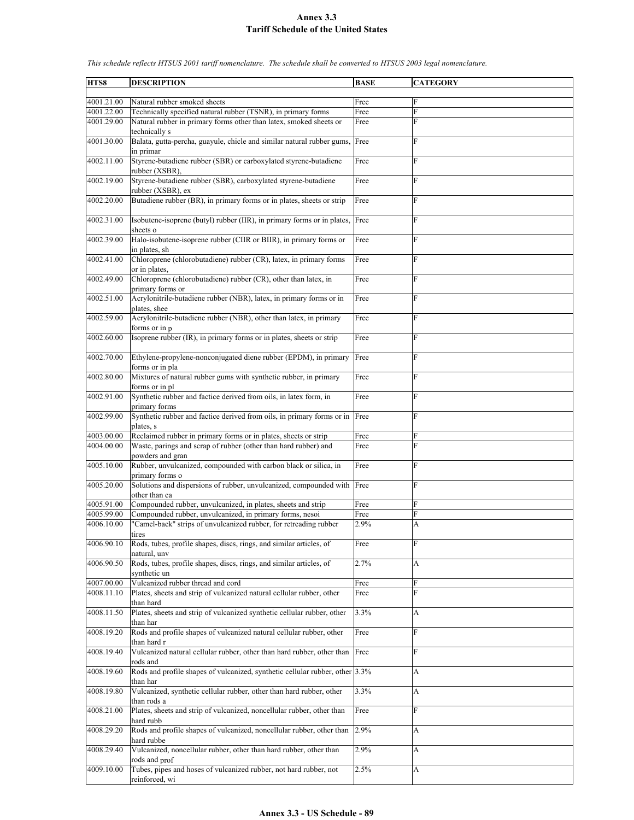**HTS8 DESCRIPTION BASE CATEGORY** 4001.21.00 Natural rubber smoked sheets Free 4001.22.00 Technically specified natural rubber (TSNR), in primary forms Free 4001.29.00 Natural rubber in primary forms other than latex, smoked sheets or technically s Free F 4001.30.00 Balata, gutta-percha, guayule, chicle and similar natural rubber gums, in primar Free F 4002.11.00 Styrene-butadiene rubber (SBR) or carboxylated styrene-butadiene rubber (XSBR), Free 4002.19.00 Styrene-butadiene rubber (SBR), carboxylated styrene-butadiene rubber (XSBR), ex Free F 4002.20.00 Butadiene rubber (BR), in primary forms or in plates, sheets or strip Free 4002.31.00 Isobutene-isoprene (butyl) rubber (IIR), in primary forms or in plates, sheets o Free F 4002.39.00 Halo-isobutene-isoprene rubber (CIIR or BIIR), in primary forms or in plates, sh Free F 4002.41.00 Chloroprene (chlorobutadiene) rubber (CR), latex, in primary forms or in plates, Free F 4002.49.00 Chloroprene (chlorobutadiene) rubber (CR), other than latex, in primary forms or Free F 4002.51.00 Acrylonitrile-butadiene rubber (NBR), latex, in primary forms or in plates, shee Free F 4002.59.00 Acrylonitrile-butadiene rubber (NBR), other than latex, in primary forms or in p **Free** 4002.60.00 Isoprene rubber (IR), in primary forms or in plates, sheets or strip Free F 4002.70.00 Ethylene-propylene-nonconjugated diene rubber (EPDM), in primary forms or in pla Free F 4002.80.00 Mixtures of natural rubber gums with synthetic rubber, in primary forms or in pl Free 4002.91.00 Synthetic rubber and factice derived from oils, in latex form, in primary forms Free F 4002.99.00 Synthetic rubber and factice derived from oils, in primary forms or in plates. Free 4003.00.00 Reclaimed rubber in primary forms or in plates, sheets or strip Free Free 4004.00.00 Waste, parings and scrap of rubber (other than hard rubber) and powders and gran Free F 4005.10.00 Rubber, unvulcanized, compounded with carbon black or silica, in primary forms o Free F 4005.20.00 Solutions and dispersions of rubber, unvulcanized, compounded with Free F other than ca 4005.91.00 Compounded rubber, unvulcanized, in plates, sheets and strip Free 4005.99.00 Compounded rubber, unvulcanized, in primary forms, nesoi Free 4006.10.00 "Camel-back" strips of unvulcanized rubber, for retreading rubber tires 2.9% A 4006.90.10 Rods, tubes, profile shapes, discs, rings, and similar articles, of natural, unv Free F 4006.90.50 Rods, tubes, profile shapes, discs, rings, and similar articles, of synthetic un 2.7% A 4007.00.00 Vulcanized rubber thread and cord Free Free 4008.11.10 Plates, sheets and strip of vulcanized natural cellular rubber, other than hard Free F 4008.11.50 Plates, sheets and strip of vulcanized synthetic cellular rubber, other :han har 3.3% A 4008.19.20 Rods and profile shapes of vulcanized natural cellular rubber, other than hard r Free F 4008.19.40 Vulcanized natural cellular rubber, other than hard rubber, other than rods and Free 4008.19.60 Rods and profile shapes of vulcanized, synthetic cellular rubber, other than har 3.3% A 4008.19.80 Vulcanized, synthetic cellular rubber, other than hard rubber, other than rods a 3.3% A 4008.21.00 Plates, sheets and strip of vulcanized, noncellular rubber, other than hard rubb Free F 4008.29.20 Rods and profile shapes of vulcanized, noncellular rubber, other than hard rubbe 2.9% A 4008.29.40 Vulcanized, noncellular rubber, other than hard rubber, other than rods and prof  $2.9\%$  A

*This schedule reflects HTSUS 2001 tariff nomenclature. The schedule shall be converted to HTSUS 2003 legal nomenclature.*

2.5% A

4009.10.00 Tubes, pipes and hoses of vulcanized rubber, not hard rubber, not

reinforced, wi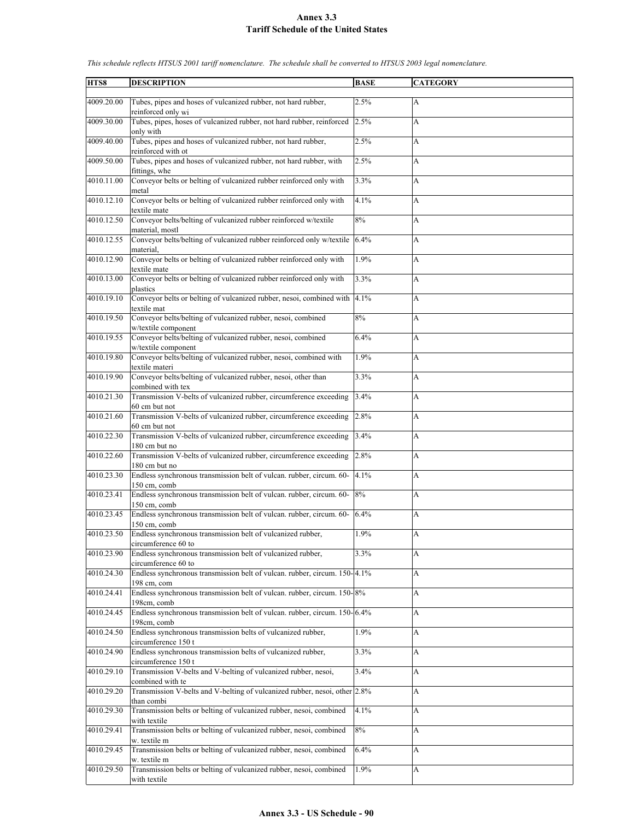| HTS8       | <b>DESCRIPTION</b>                                                                                    | <b>BASE</b> | <b>CATEGORY</b>           |
|------------|-------------------------------------------------------------------------------------------------------|-------------|---------------------------|
| 4009.20.00 | Tubes, pipes and hoses of vulcanized rubber, not hard rubber,                                         | 2.5%        | $\mathbf{A}$              |
| 4009.30.00 | reinforced only wi<br>Tubes, pipes, hoses of vulcanized rubber, not hard rubber, reinforced           | 2.5%        | A                         |
|            | only with                                                                                             |             |                           |
| 4009.40.00 | Tubes, pipes and hoses of vulcanized rubber, not hard rubber,<br>reinforced with ot                   | 2.5%        | A                         |
| 4009.50.00 | Tubes, pipes and hoses of vulcanized rubber, not hard rubber, with<br>fittings, whe                   | 2.5%        | A                         |
| 4010.11.00 | Conveyor belts or belting of vulcanized rubber reinforced only with                                   | 3.3%        | A                         |
| 4010.12.10 | metal<br>Conveyor belts or belting of vulcanized rubber reinforced only with<br>textile mate          | 4.1%        | A                         |
| 4010.12.50 | Conveyor belts/belting of vulcanized rubber reinforced w/textile                                      | 8%          | A                         |
| 4010.12.55 | material, mostl<br>Conveyor belts/belting of vulcanized rubber reinforced only w/textile<br>material. | 6.4%        | A                         |
| 4010.12.90 | Conveyor belts or belting of vulcanized rubber reinforced only with<br>textile mate                   | 1.9%        | A                         |
| 4010.13.00 | Conveyor belts or belting of vulcanized rubber reinforced only with<br>plastics                       | 3.3%        | A                         |
| 4010.19.10 | Conveyor belts or belting of vulcanized rubber, nesoi, combined with<br>textile mat                   | 4.1%        | A                         |
| 4010.19.50 | Conveyor belts/belting of vulcanized rubber, nesoi, combined<br>w/textile component                   | 8%          | A                         |
| 4010.19.55 | Conveyor belts/belting of vulcanized rubber, nesoi, combined<br>w/textile component                   | 6.4%        | A                         |
| 4010.19.80 | Conveyor belts/belting of vulcanized rubber, nesoi, combined with<br>textile materi                   | 1.9%        | A                         |
| 4010.19.90 | Conveyor belts/belting of vulcanized rubber, nesoi, other than<br>combined with tex                   | 3.3%        | A                         |
| 4010.21.30 | Transmission V-belts of vulcanized rubber, circumference exceeding                                    | 3.4%        | A                         |
| 4010.21.60 | 60 cm but not<br>Transmission V-belts of vulcanized rubber, circumference exceeding<br>60 cm but not  | 2.8%        | A                         |
| 4010.22.30 | Transmission V-belts of vulcanized rubber, circumference exceeding                                    | 3.4%        | A                         |
| 4010.22.60 | 180 cm but no<br>Transmission V-belts of vulcanized rubber, circumference exceeding<br>180 cm but no  | 2.8%        | A                         |
| 4010.23.30 | Endless synchronous transmission belt of vulcan. rubber, circum. 60-                                  | 4.1%        | A                         |
| 4010.23.41 | 150 cm, comb<br>Endless synchronous transmission belt of vulcan. rubber, circum. 60-<br>150 cm, comb  | 8%          | A                         |
| 4010.23.45 | Endless synchronous transmission belt of vulcan. rubber, circum. 60-                                  | 6.4%        | A                         |
| 4010.23.50 | $150$ cm, comb<br>Endless synchronous transmission belt of vulcanized rubber,<br>circumference 60 to  | 1.9%        | A                         |
| 4010.23.90 | Endless synchronous transmission belt of vulcanized rubber,                                           | 3.3%        | A                         |
| 4010.24.30 | circumference 60 to<br>Endless synchronous transmission belt of vulcan. rubber, circum. 150-4.1%      |             | A                         |
| 4010.24.41 | 198 cm, com<br>Endless synchronous transmission belt of vulcan, rubber, circum, 150-8%                |             | $\boldsymbol{\mathsf{A}}$ |
|            | 198cm, comb<br>Endless synchronous transmission belt of vulcan, rubber, circum, 150-6.4%              |             |                           |
| 4010.24.45 | 198cm, comb                                                                                           |             | A                         |
| 4010.24.50 | Endless synchronous transmission belts of vulcanized rubber,<br>circumference 150 t                   | 1.9%        | A                         |
| 4010.24.90 | Endless synchronous transmission belts of vulcanized rubber,<br>circumference 150 t                   | 3.3%        | А                         |
| 4010.29.10 | Transmission V-belts and V-belting of vulcanized rubber, nesoi,<br>combined with te                   | 3.4%        | A                         |
| 4010.29.20 | Transmission V-belts and V-belting of vulcanized rubber, nesoi, other 2.8%<br>than combi              |             | A                         |
| 4010.29.30 | Transmission belts or belting of vulcanized rubber, nesoi, combined<br>with textile                   | 4.1%        | A                         |
| 4010.29.41 | Transmission belts or belting of vulcanized rubber, nesoi, combined<br>w. textile m                   | 8%          | A                         |
| 4010.29.45 | Transmission belts or belting of vulcanized rubber, nesoi, combined<br>w. textile m                   | 6.4%        | А                         |
| 4010.29.50 | Transmission belts or belting of vulcanized rubber, nesoi, combined<br>with textile                   | 1.9%        | A                         |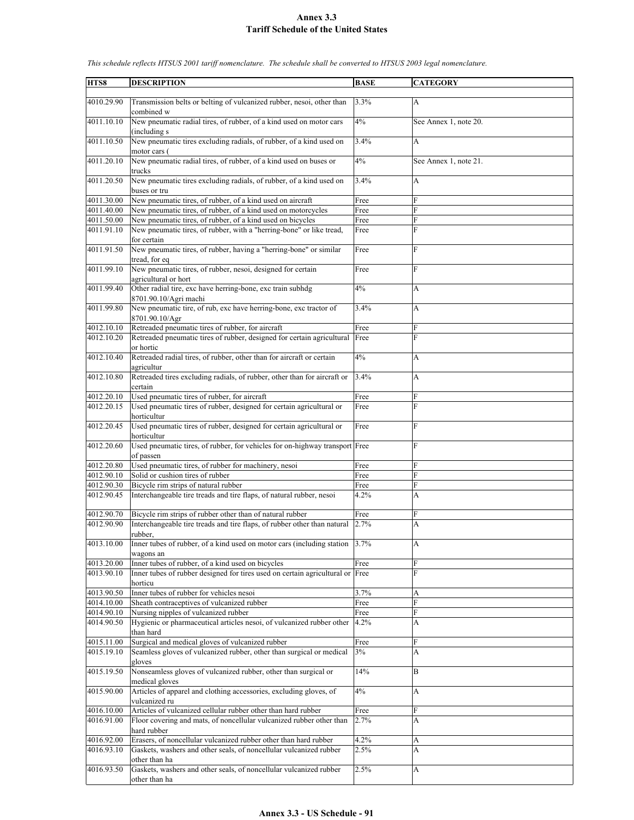| HTS8       | <b>DESCRIPTION</b>                                                                         | <b>BASE</b>  | <b>CATEGORY</b>       |
|------------|--------------------------------------------------------------------------------------------|--------------|-----------------------|
|            |                                                                                            |              |                       |
| 4010.29.90 | Transmission belts or belting of vulcanized rubber, nesoi, other than<br>combined w        | 3.3%         | A                     |
| 4011.10.10 | New pneumatic radial tires, of rubber, of a kind used on motor cars                        | 4%           | See Annex 1, note 20. |
|            | (including s)                                                                              |              |                       |
| 4011.10.50 | New pneumatic tires excluding radials, of rubber, of a kind used on<br>motor cars (        | 3.4%         | A                     |
| 4011.20.10 | New pneumatic radial tires, of rubber, of a kind used on buses or<br>trucks                | 4%           | See Annex 1, note 21. |
| 4011.20.50 | New pneumatic tires excluding radials, of rubber, of a kind used on                        | 3.4%         | A                     |
| 4011.30.00 | buses or tru<br>New pneumatic tires, of rubber, of a kind used on aircraft                 |              | F                     |
| 4011.40.00 | New pneumatic tires, of rubber, of a kind used on motorcycles                              | Free         | F                     |
| 4011.50.00 |                                                                                            | Free<br>Free | F                     |
|            | New pneumatic tires, of rubber, of a kind used on bicycles                                 |              | F                     |
| 4011.91.10 | New pneumatic tires, of rubber, with a "herring-bone" or like tread,                       | Free         |                       |
| 4011.91.50 | for certain<br>New pneumatic tires, of rubber, having a "herring-bone" or similar          | Free         | F                     |
|            | tread, for eq                                                                              |              |                       |
| 4011.99.10 | New pneumatic tires, of rubber, nesoi, designed for certain<br>agricultural or hort        | Free         | F                     |
| 4011.99.40 | Other radial tire, exc have herring-bone, exc train subhdg                                 | 4%           | A                     |
|            | 8701.90.10/Agri machi                                                                      |              |                       |
| 4011.99.80 | New pneumatic tire, of rub, exc have herring-bone, exc tractor of<br>8701.90.10/Agr        | 3.4%         | A                     |
| 4012.10.10 | Retreaded pneumatic tires of rubber, for aircraft                                          | Free         | F                     |
| 4012.10.20 | Retreaded pneumatic tires of rubber, designed for certain agricultural                     | Free         | F                     |
|            | or hortic                                                                                  |              |                       |
| 4012.10.40 | Retreaded radial tires, of rubber, other than for aircraft or certain<br>agricultur        | 4%           | A                     |
| 4012.10.80 | Retreaded tires excluding radials, of rubber, other than for aircraft or                   | 3.4%         | A                     |
|            | certain                                                                                    |              |                       |
| 4012.20.10 | Used pneumatic tires of rubber, for aircraft                                               | Free         | F                     |
| 4012.20.15 | Used pneumatic tires of rubber, designed for certain agricultural or<br>horticultur        | Free         | F                     |
| 4012.20.45 | Used pneumatic tires of rubber, designed for certain agricultural or                       | Free         | F                     |
| 4012.20.60 | horticultur<br>Used pneumatic tires, of rubber, for vehicles for on-highway transport Free |              | F                     |
|            | of passen                                                                                  |              |                       |
| 4012.20.80 | Used pneumatic tires, of rubber for machinery, nesoi                                       | Free         | F                     |
| 4012.90.10 | Solid or cushion tires of rubber                                                           | Free         | F                     |
| 4012.90.30 | Bicycle rim strips of natural rubber                                                       | Free         | F                     |
| 4012.90.45 | Interchangeable tire treads and tire flaps, of natural rubber, nesoi                       | 4.2%         | A                     |
| 4012.90.70 | Bicycle rim strips of rubber other than of natural rubber                                  | Free         | F                     |
| 4012.90.90 | Interchangeable tire treads and tire flaps, of rubber other than natural                   | 2.7%         | A                     |
|            | rubber,                                                                                    |              |                       |
| 4013.10.00 | Inner tubes of rubber, of a kind used on motor cars (including station<br>wagons an        | 3.7%         | A                     |
| 4013.20.00 | Inner tubes of rubber, of a kind used on bicycles                                          | Free         | F                     |
| 4013.90.10 | Inner tubes of rubber designed for tires used on certain agricultural or Free              |              | F                     |
|            | horticu                                                                                    |              |                       |
| 4013.90.50 | Inner tubes of rubber for vehicles nesoi                                                   | 3.7%         | A                     |
| 4014.10.00 | Sheath contraceptives of vulcanized rubber                                                 | Free         | F                     |
| 4014.90.10 | Nursing nipples of vulcanized rubber                                                       | Free         | F                     |
| 4014.90.50 | Hygienic or pharmaceutical articles nesoi, of vulcanized rubber other<br>than hard         | 4.2%         | A                     |
| 4015.11.00 | Surgical and medical gloves of vulcanized rubber                                           | Free         | F                     |
| 4015.19.10 | Seamless gloves of vulcanized rubber, other than surgical or medical                       | 3%           | A                     |
| 4015.19.50 | gloves<br>Nonseamless gloves of vulcanized rubber, other than surgical or                  | 14%          | B                     |
| 4015.90.00 | medical gloves                                                                             | 4%           |                       |
|            | Articles of apparel and clothing accessories, excluding gloves, of<br>vulcanized ru        |              | A                     |
| 4016.10.00 | Articles of vulcanized cellular rubber other than hard rubber                              | Free         | F                     |
| 4016.91.00 | Floor covering and mats, of noncellular vulcanized rubber other than<br>hard rubber        | 2.7%         | A                     |
| 4016.92.00 | Erasers, of noncellular vulcanized rubber other than hard rubber                           | 4.2%         | A                     |
| 4016.93.10 | Gaskets, washers and other seals, of noncellular vulcanized rubber                         | 2.5%         | A                     |
|            | other than ha                                                                              |              |                       |
| 4016.93.50 | Gaskets, washers and other seals, of noncellular vulcanized rubber                         | 2.5%         | A                     |
|            | other than ha                                                                              |              |                       |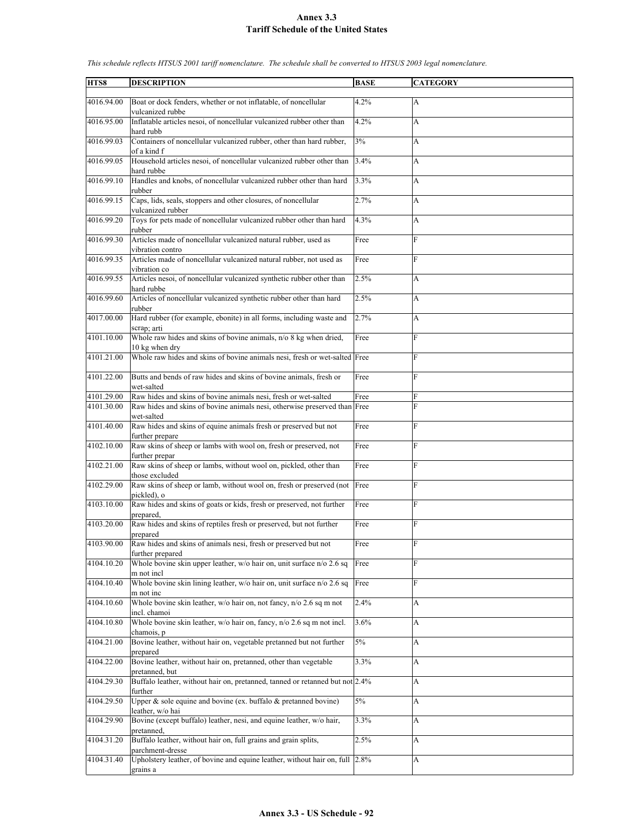| 4016.94.00<br>Boat or dock fenders, whether or not inflatable, of noncellular<br>4.2%<br>A<br>vulcanized rubbe<br>4016.95.00<br>Inflatable articles nesoi, of noncellular vulcanized rubber other than<br>4.2%<br>A<br>hard rubb<br>4016.99.03<br>Containers of noncellular vulcanized rubber, other than hard rubber,<br>3%<br>A<br>of a kind f<br>4016.99.05<br>Household articles nesoi, of noncellular vulcanized rubber other than<br>3.4%<br>A<br>hard rubbe<br>4016.99.10<br>Handles and knobs, of noncellular vulcanized rubber other than hard<br>3.3%<br>A<br>rubber<br>Caps, lids, seals, stoppers and other closures, of noncellular<br>4016.99.15<br>2.7%<br>A<br>vulcanized rubber<br>Toys for pets made of noncellular vulcanized rubber other than hard<br>4016.99.20<br>4.3%<br>A<br>rubber<br>Articles made of noncellular vulcanized natural rubber, used as<br>F<br>4016.99.30<br>Free<br>vibration contro<br>4016.99.35<br>Articles made of noncellular vulcanized natural rubber, not used as<br>F<br>Free<br>vibration co<br>4016.99.55<br>Articles nesoi, of noncellular vulcanized synthetic rubber other than<br>2.5%<br>A<br>hard rubbe<br>4016.99.60<br>Articles of noncellular vulcanized synthetic rubber other than hard<br>2.5%<br>A<br>rubber<br>4017.00.00<br>Hard rubber (for example, ebonite) in all forms, including waste and<br>2.7%<br>A<br>scrap; arti<br>Whole raw hides and skins of bovine animals, n/o 8 kg when dried,<br>4101.10.00<br>Free<br>F<br>10 kg when dry<br>Whole raw hides and skins of bovine animals nesi, fresh or wet-salted Free<br>4101.21.00<br>F<br>4101.22.00<br>Butts and bends of raw hides and skins of bovine animals, fresh or<br>F<br>Free<br>wet-salted<br>Raw hides and skins of bovine animals nesi, fresh or wet-salted<br>4101.29.00<br>Free<br>F<br>4101.30.00<br>F<br>Raw hides and skins of bovine animals nesi, otherwise preserved than Free<br>wet-salted<br>Raw hides and skins of equine animals fresh or preserved but not<br>F<br>4101.40.00<br>Free<br>further prepare<br>4102.10.00<br>Raw skins of sheep or lambs with wool on, fresh or preserved, not<br>F<br>Free<br>further prepar<br>Raw skins of sheep or lambs, without wool on, pickled, other than<br>4102.21.00<br>Free<br>F<br>those excluded<br>4102.29.00<br>Raw skins of sheep or lamb, without wool on, fresh or preserved (not<br>F<br>Free<br>pickled), o<br>4103.10.00<br>Raw hides and skins of goats or kids, fresh or preserved, not further<br>F<br>Free<br>prepared.<br>Raw hides and skins of reptiles fresh or preserved, but not further<br>4103.20.00<br>F<br>Free<br>prepared<br>Raw hides and skins of animals nesi, fresh or preserved but not<br>F<br>4103.90.00<br>Free<br>further prepared<br>4104.10.20<br>Whole bovine skin upper leather, w/o hair on, unit surface n/o 2.6 sq<br>F<br>Free<br>m not incl<br>4104.10.40<br>Whole bovine skin lining leather, w/o hair on, unit surface n/o 2.6 sq<br>F<br>Free<br>m not inc<br>4104.10.60<br>2.4%<br>Whole bovine skin leather, w/o hair on, not fancy, $n/0$ 2.6 sq m not<br>A<br>incl. chamoi<br>4104.10.80<br>Whole bovine skin leather, w/o hair on, fancy, n/o 2.6 sq m not incl.<br>3.6%<br>A<br>chamois, p<br>4104.21.00<br>Bovine leather, without hair on, vegetable pretanned but not further<br>5%<br>A<br>prepared<br>4104.22.00<br>Bovine leather, without hair on, pretanned, other than vegetable<br>3.3%<br>A<br>pretanned, but<br>Buffalo leather, without hair on, pretanned, tanned or retanned but not 2.4%<br>4104.29.30<br>A<br>further<br>4104.29.50<br>Upper $\&$ sole equine and bovine (ex. buffalo $\&$ pretanned bovine)<br>$5\%$<br>A<br>leather, w/o hai<br>4104.29.90<br>Bovine (except buffalo) leather, nesi, and equine leather, w/o hair,<br>3.3%<br>A<br>pretanned,<br>4104.31.20<br>Buffalo leather, without hair on, full grains and grain splits,<br>2.5%<br>A<br>parchment-dresse<br>4104.31.40<br>Upholstery leather, of bovine and equine leather, without hair on, full<br>2.8%<br>A |      |                    |             |                 |
|-----------------------------------------------------------------------------------------------------------------------------------------------------------------------------------------------------------------------------------------------------------------------------------------------------------------------------------------------------------------------------------------------------------------------------------------------------------------------------------------------------------------------------------------------------------------------------------------------------------------------------------------------------------------------------------------------------------------------------------------------------------------------------------------------------------------------------------------------------------------------------------------------------------------------------------------------------------------------------------------------------------------------------------------------------------------------------------------------------------------------------------------------------------------------------------------------------------------------------------------------------------------------------------------------------------------------------------------------------------------------------------------------------------------------------------------------------------------------------------------------------------------------------------------------------------------------------------------------------------------------------------------------------------------------------------------------------------------------------------------------------------------------------------------------------------------------------------------------------------------------------------------------------------------------------------------------------------------------------------------------------------------------------------------------------------------------------------------------------------------------------------------------------------------------------------------------------------------------------------------------------------------------------------------------------------------------------------------------------------------------------------------------------------------------------------------------------------------------------------------------------------------------------------------------------------------------------------------------------------------------------------------------------------------------------------------------------------------------------------------------------------------------------------------------------------------------------------------------------------------------------------------------------------------------------------------------------------------------------------------------------------------------------------------------------------------------------------------------------------------------------------------------------------------------------------------------------------------------------------------------------------------------------------------------------------------------------------------------------------------------------------------------------------------------------------------------------------------------------------------------------------------------------------------------------------------------------------------------------------------------------------------------------------------------------------------------------------------------------------------------------------------------------------------------------------------------------------------------------------------------------------------------------------------------------------------------------------------------------------------------------------------------------------------------------------------|------|--------------------|-------------|-----------------|
|                                                                                                                                                                                                                                                                                                                                                                                                                                                                                                                                                                                                                                                                                                                                                                                                                                                                                                                                                                                                                                                                                                                                                                                                                                                                                                                                                                                                                                                                                                                                                                                                                                                                                                                                                                                                                                                                                                                                                                                                                                                                                                                                                                                                                                                                                                                                                                                                                                                                                                                                                                                                                                                                                                                                                                                                                                                                                                                                                                                                                                                                                                                                                                                                                                                                                                                                                                                                                                                                                                                                                                                                                                                                                                                                                                                                                                                                                                                                                                                                                                                                 | HTS8 | <b>DESCRIPTION</b> | <b>BASE</b> | <b>CATEGORY</b> |
|                                                                                                                                                                                                                                                                                                                                                                                                                                                                                                                                                                                                                                                                                                                                                                                                                                                                                                                                                                                                                                                                                                                                                                                                                                                                                                                                                                                                                                                                                                                                                                                                                                                                                                                                                                                                                                                                                                                                                                                                                                                                                                                                                                                                                                                                                                                                                                                                                                                                                                                                                                                                                                                                                                                                                                                                                                                                                                                                                                                                                                                                                                                                                                                                                                                                                                                                                                                                                                                                                                                                                                                                                                                                                                                                                                                                                                                                                                                                                                                                                                                                 |      |                    |             |                 |
|                                                                                                                                                                                                                                                                                                                                                                                                                                                                                                                                                                                                                                                                                                                                                                                                                                                                                                                                                                                                                                                                                                                                                                                                                                                                                                                                                                                                                                                                                                                                                                                                                                                                                                                                                                                                                                                                                                                                                                                                                                                                                                                                                                                                                                                                                                                                                                                                                                                                                                                                                                                                                                                                                                                                                                                                                                                                                                                                                                                                                                                                                                                                                                                                                                                                                                                                                                                                                                                                                                                                                                                                                                                                                                                                                                                                                                                                                                                                                                                                                                                                 |      |                    |             |                 |
|                                                                                                                                                                                                                                                                                                                                                                                                                                                                                                                                                                                                                                                                                                                                                                                                                                                                                                                                                                                                                                                                                                                                                                                                                                                                                                                                                                                                                                                                                                                                                                                                                                                                                                                                                                                                                                                                                                                                                                                                                                                                                                                                                                                                                                                                                                                                                                                                                                                                                                                                                                                                                                                                                                                                                                                                                                                                                                                                                                                                                                                                                                                                                                                                                                                                                                                                                                                                                                                                                                                                                                                                                                                                                                                                                                                                                                                                                                                                                                                                                                                                 |      |                    |             |                 |
|                                                                                                                                                                                                                                                                                                                                                                                                                                                                                                                                                                                                                                                                                                                                                                                                                                                                                                                                                                                                                                                                                                                                                                                                                                                                                                                                                                                                                                                                                                                                                                                                                                                                                                                                                                                                                                                                                                                                                                                                                                                                                                                                                                                                                                                                                                                                                                                                                                                                                                                                                                                                                                                                                                                                                                                                                                                                                                                                                                                                                                                                                                                                                                                                                                                                                                                                                                                                                                                                                                                                                                                                                                                                                                                                                                                                                                                                                                                                                                                                                                                                 |      |                    |             |                 |
|                                                                                                                                                                                                                                                                                                                                                                                                                                                                                                                                                                                                                                                                                                                                                                                                                                                                                                                                                                                                                                                                                                                                                                                                                                                                                                                                                                                                                                                                                                                                                                                                                                                                                                                                                                                                                                                                                                                                                                                                                                                                                                                                                                                                                                                                                                                                                                                                                                                                                                                                                                                                                                                                                                                                                                                                                                                                                                                                                                                                                                                                                                                                                                                                                                                                                                                                                                                                                                                                                                                                                                                                                                                                                                                                                                                                                                                                                                                                                                                                                                                                 |      |                    |             |                 |
|                                                                                                                                                                                                                                                                                                                                                                                                                                                                                                                                                                                                                                                                                                                                                                                                                                                                                                                                                                                                                                                                                                                                                                                                                                                                                                                                                                                                                                                                                                                                                                                                                                                                                                                                                                                                                                                                                                                                                                                                                                                                                                                                                                                                                                                                                                                                                                                                                                                                                                                                                                                                                                                                                                                                                                                                                                                                                                                                                                                                                                                                                                                                                                                                                                                                                                                                                                                                                                                                                                                                                                                                                                                                                                                                                                                                                                                                                                                                                                                                                                                                 |      |                    |             |                 |
|                                                                                                                                                                                                                                                                                                                                                                                                                                                                                                                                                                                                                                                                                                                                                                                                                                                                                                                                                                                                                                                                                                                                                                                                                                                                                                                                                                                                                                                                                                                                                                                                                                                                                                                                                                                                                                                                                                                                                                                                                                                                                                                                                                                                                                                                                                                                                                                                                                                                                                                                                                                                                                                                                                                                                                                                                                                                                                                                                                                                                                                                                                                                                                                                                                                                                                                                                                                                                                                                                                                                                                                                                                                                                                                                                                                                                                                                                                                                                                                                                                                                 |      |                    |             |                 |
|                                                                                                                                                                                                                                                                                                                                                                                                                                                                                                                                                                                                                                                                                                                                                                                                                                                                                                                                                                                                                                                                                                                                                                                                                                                                                                                                                                                                                                                                                                                                                                                                                                                                                                                                                                                                                                                                                                                                                                                                                                                                                                                                                                                                                                                                                                                                                                                                                                                                                                                                                                                                                                                                                                                                                                                                                                                                                                                                                                                                                                                                                                                                                                                                                                                                                                                                                                                                                                                                                                                                                                                                                                                                                                                                                                                                                                                                                                                                                                                                                                                                 |      |                    |             |                 |
|                                                                                                                                                                                                                                                                                                                                                                                                                                                                                                                                                                                                                                                                                                                                                                                                                                                                                                                                                                                                                                                                                                                                                                                                                                                                                                                                                                                                                                                                                                                                                                                                                                                                                                                                                                                                                                                                                                                                                                                                                                                                                                                                                                                                                                                                                                                                                                                                                                                                                                                                                                                                                                                                                                                                                                                                                                                                                                                                                                                                                                                                                                                                                                                                                                                                                                                                                                                                                                                                                                                                                                                                                                                                                                                                                                                                                                                                                                                                                                                                                                                                 |      |                    |             |                 |
|                                                                                                                                                                                                                                                                                                                                                                                                                                                                                                                                                                                                                                                                                                                                                                                                                                                                                                                                                                                                                                                                                                                                                                                                                                                                                                                                                                                                                                                                                                                                                                                                                                                                                                                                                                                                                                                                                                                                                                                                                                                                                                                                                                                                                                                                                                                                                                                                                                                                                                                                                                                                                                                                                                                                                                                                                                                                                                                                                                                                                                                                                                                                                                                                                                                                                                                                                                                                                                                                                                                                                                                                                                                                                                                                                                                                                                                                                                                                                                                                                                                                 |      |                    |             |                 |
|                                                                                                                                                                                                                                                                                                                                                                                                                                                                                                                                                                                                                                                                                                                                                                                                                                                                                                                                                                                                                                                                                                                                                                                                                                                                                                                                                                                                                                                                                                                                                                                                                                                                                                                                                                                                                                                                                                                                                                                                                                                                                                                                                                                                                                                                                                                                                                                                                                                                                                                                                                                                                                                                                                                                                                                                                                                                                                                                                                                                                                                                                                                                                                                                                                                                                                                                                                                                                                                                                                                                                                                                                                                                                                                                                                                                                                                                                                                                                                                                                                                                 |      |                    |             |                 |
|                                                                                                                                                                                                                                                                                                                                                                                                                                                                                                                                                                                                                                                                                                                                                                                                                                                                                                                                                                                                                                                                                                                                                                                                                                                                                                                                                                                                                                                                                                                                                                                                                                                                                                                                                                                                                                                                                                                                                                                                                                                                                                                                                                                                                                                                                                                                                                                                                                                                                                                                                                                                                                                                                                                                                                                                                                                                                                                                                                                                                                                                                                                                                                                                                                                                                                                                                                                                                                                                                                                                                                                                                                                                                                                                                                                                                                                                                                                                                                                                                                                                 |      |                    |             |                 |
|                                                                                                                                                                                                                                                                                                                                                                                                                                                                                                                                                                                                                                                                                                                                                                                                                                                                                                                                                                                                                                                                                                                                                                                                                                                                                                                                                                                                                                                                                                                                                                                                                                                                                                                                                                                                                                                                                                                                                                                                                                                                                                                                                                                                                                                                                                                                                                                                                                                                                                                                                                                                                                                                                                                                                                                                                                                                                                                                                                                                                                                                                                                                                                                                                                                                                                                                                                                                                                                                                                                                                                                                                                                                                                                                                                                                                                                                                                                                                                                                                                                                 |      |                    |             |                 |
|                                                                                                                                                                                                                                                                                                                                                                                                                                                                                                                                                                                                                                                                                                                                                                                                                                                                                                                                                                                                                                                                                                                                                                                                                                                                                                                                                                                                                                                                                                                                                                                                                                                                                                                                                                                                                                                                                                                                                                                                                                                                                                                                                                                                                                                                                                                                                                                                                                                                                                                                                                                                                                                                                                                                                                                                                                                                                                                                                                                                                                                                                                                                                                                                                                                                                                                                                                                                                                                                                                                                                                                                                                                                                                                                                                                                                                                                                                                                                                                                                                                                 |      |                    |             |                 |
|                                                                                                                                                                                                                                                                                                                                                                                                                                                                                                                                                                                                                                                                                                                                                                                                                                                                                                                                                                                                                                                                                                                                                                                                                                                                                                                                                                                                                                                                                                                                                                                                                                                                                                                                                                                                                                                                                                                                                                                                                                                                                                                                                                                                                                                                                                                                                                                                                                                                                                                                                                                                                                                                                                                                                                                                                                                                                                                                                                                                                                                                                                                                                                                                                                                                                                                                                                                                                                                                                                                                                                                                                                                                                                                                                                                                                                                                                                                                                                                                                                                                 |      |                    |             |                 |
|                                                                                                                                                                                                                                                                                                                                                                                                                                                                                                                                                                                                                                                                                                                                                                                                                                                                                                                                                                                                                                                                                                                                                                                                                                                                                                                                                                                                                                                                                                                                                                                                                                                                                                                                                                                                                                                                                                                                                                                                                                                                                                                                                                                                                                                                                                                                                                                                                                                                                                                                                                                                                                                                                                                                                                                                                                                                                                                                                                                                                                                                                                                                                                                                                                                                                                                                                                                                                                                                                                                                                                                                                                                                                                                                                                                                                                                                                                                                                                                                                                                                 |      |                    |             |                 |
|                                                                                                                                                                                                                                                                                                                                                                                                                                                                                                                                                                                                                                                                                                                                                                                                                                                                                                                                                                                                                                                                                                                                                                                                                                                                                                                                                                                                                                                                                                                                                                                                                                                                                                                                                                                                                                                                                                                                                                                                                                                                                                                                                                                                                                                                                                                                                                                                                                                                                                                                                                                                                                                                                                                                                                                                                                                                                                                                                                                                                                                                                                                                                                                                                                                                                                                                                                                                                                                                                                                                                                                                                                                                                                                                                                                                                                                                                                                                                                                                                                                                 |      |                    |             |                 |
|                                                                                                                                                                                                                                                                                                                                                                                                                                                                                                                                                                                                                                                                                                                                                                                                                                                                                                                                                                                                                                                                                                                                                                                                                                                                                                                                                                                                                                                                                                                                                                                                                                                                                                                                                                                                                                                                                                                                                                                                                                                                                                                                                                                                                                                                                                                                                                                                                                                                                                                                                                                                                                                                                                                                                                                                                                                                                                                                                                                                                                                                                                                                                                                                                                                                                                                                                                                                                                                                                                                                                                                                                                                                                                                                                                                                                                                                                                                                                                                                                                                                 |      |                    |             |                 |
|                                                                                                                                                                                                                                                                                                                                                                                                                                                                                                                                                                                                                                                                                                                                                                                                                                                                                                                                                                                                                                                                                                                                                                                                                                                                                                                                                                                                                                                                                                                                                                                                                                                                                                                                                                                                                                                                                                                                                                                                                                                                                                                                                                                                                                                                                                                                                                                                                                                                                                                                                                                                                                                                                                                                                                                                                                                                                                                                                                                                                                                                                                                                                                                                                                                                                                                                                                                                                                                                                                                                                                                                                                                                                                                                                                                                                                                                                                                                                                                                                                                                 |      |                    |             |                 |
|                                                                                                                                                                                                                                                                                                                                                                                                                                                                                                                                                                                                                                                                                                                                                                                                                                                                                                                                                                                                                                                                                                                                                                                                                                                                                                                                                                                                                                                                                                                                                                                                                                                                                                                                                                                                                                                                                                                                                                                                                                                                                                                                                                                                                                                                                                                                                                                                                                                                                                                                                                                                                                                                                                                                                                                                                                                                                                                                                                                                                                                                                                                                                                                                                                                                                                                                                                                                                                                                                                                                                                                                                                                                                                                                                                                                                                                                                                                                                                                                                                                                 |      |                    |             |                 |
|                                                                                                                                                                                                                                                                                                                                                                                                                                                                                                                                                                                                                                                                                                                                                                                                                                                                                                                                                                                                                                                                                                                                                                                                                                                                                                                                                                                                                                                                                                                                                                                                                                                                                                                                                                                                                                                                                                                                                                                                                                                                                                                                                                                                                                                                                                                                                                                                                                                                                                                                                                                                                                                                                                                                                                                                                                                                                                                                                                                                                                                                                                                                                                                                                                                                                                                                                                                                                                                                                                                                                                                                                                                                                                                                                                                                                                                                                                                                                                                                                                                                 |      |                    |             |                 |
|                                                                                                                                                                                                                                                                                                                                                                                                                                                                                                                                                                                                                                                                                                                                                                                                                                                                                                                                                                                                                                                                                                                                                                                                                                                                                                                                                                                                                                                                                                                                                                                                                                                                                                                                                                                                                                                                                                                                                                                                                                                                                                                                                                                                                                                                                                                                                                                                                                                                                                                                                                                                                                                                                                                                                                                                                                                                                                                                                                                                                                                                                                                                                                                                                                                                                                                                                                                                                                                                                                                                                                                                                                                                                                                                                                                                                                                                                                                                                                                                                                                                 |      |                    |             |                 |
|                                                                                                                                                                                                                                                                                                                                                                                                                                                                                                                                                                                                                                                                                                                                                                                                                                                                                                                                                                                                                                                                                                                                                                                                                                                                                                                                                                                                                                                                                                                                                                                                                                                                                                                                                                                                                                                                                                                                                                                                                                                                                                                                                                                                                                                                                                                                                                                                                                                                                                                                                                                                                                                                                                                                                                                                                                                                                                                                                                                                                                                                                                                                                                                                                                                                                                                                                                                                                                                                                                                                                                                                                                                                                                                                                                                                                                                                                                                                                                                                                                                                 |      |                    |             |                 |
|                                                                                                                                                                                                                                                                                                                                                                                                                                                                                                                                                                                                                                                                                                                                                                                                                                                                                                                                                                                                                                                                                                                                                                                                                                                                                                                                                                                                                                                                                                                                                                                                                                                                                                                                                                                                                                                                                                                                                                                                                                                                                                                                                                                                                                                                                                                                                                                                                                                                                                                                                                                                                                                                                                                                                                                                                                                                                                                                                                                                                                                                                                                                                                                                                                                                                                                                                                                                                                                                                                                                                                                                                                                                                                                                                                                                                                                                                                                                                                                                                                                                 |      |                    |             |                 |
|                                                                                                                                                                                                                                                                                                                                                                                                                                                                                                                                                                                                                                                                                                                                                                                                                                                                                                                                                                                                                                                                                                                                                                                                                                                                                                                                                                                                                                                                                                                                                                                                                                                                                                                                                                                                                                                                                                                                                                                                                                                                                                                                                                                                                                                                                                                                                                                                                                                                                                                                                                                                                                                                                                                                                                                                                                                                                                                                                                                                                                                                                                                                                                                                                                                                                                                                                                                                                                                                                                                                                                                                                                                                                                                                                                                                                                                                                                                                                                                                                                                                 |      |                    |             |                 |
|                                                                                                                                                                                                                                                                                                                                                                                                                                                                                                                                                                                                                                                                                                                                                                                                                                                                                                                                                                                                                                                                                                                                                                                                                                                                                                                                                                                                                                                                                                                                                                                                                                                                                                                                                                                                                                                                                                                                                                                                                                                                                                                                                                                                                                                                                                                                                                                                                                                                                                                                                                                                                                                                                                                                                                                                                                                                                                                                                                                                                                                                                                                                                                                                                                                                                                                                                                                                                                                                                                                                                                                                                                                                                                                                                                                                                                                                                                                                                                                                                                                                 |      |                    |             |                 |
|                                                                                                                                                                                                                                                                                                                                                                                                                                                                                                                                                                                                                                                                                                                                                                                                                                                                                                                                                                                                                                                                                                                                                                                                                                                                                                                                                                                                                                                                                                                                                                                                                                                                                                                                                                                                                                                                                                                                                                                                                                                                                                                                                                                                                                                                                                                                                                                                                                                                                                                                                                                                                                                                                                                                                                                                                                                                                                                                                                                                                                                                                                                                                                                                                                                                                                                                                                                                                                                                                                                                                                                                                                                                                                                                                                                                                                                                                                                                                                                                                                                                 |      |                    |             |                 |
|                                                                                                                                                                                                                                                                                                                                                                                                                                                                                                                                                                                                                                                                                                                                                                                                                                                                                                                                                                                                                                                                                                                                                                                                                                                                                                                                                                                                                                                                                                                                                                                                                                                                                                                                                                                                                                                                                                                                                                                                                                                                                                                                                                                                                                                                                                                                                                                                                                                                                                                                                                                                                                                                                                                                                                                                                                                                                                                                                                                                                                                                                                                                                                                                                                                                                                                                                                                                                                                                                                                                                                                                                                                                                                                                                                                                                                                                                                                                                                                                                                                                 |      |                    |             |                 |
|                                                                                                                                                                                                                                                                                                                                                                                                                                                                                                                                                                                                                                                                                                                                                                                                                                                                                                                                                                                                                                                                                                                                                                                                                                                                                                                                                                                                                                                                                                                                                                                                                                                                                                                                                                                                                                                                                                                                                                                                                                                                                                                                                                                                                                                                                                                                                                                                                                                                                                                                                                                                                                                                                                                                                                                                                                                                                                                                                                                                                                                                                                                                                                                                                                                                                                                                                                                                                                                                                                                                                                                                                                                                                                                                                                                                                                                                                                                                                                                                                                                                 |      |                    |             |                 |
|                                                                                                                                                                                                                                                                                                                                                                                                                                                                                                                                                                                                                                                                                                                                                                                                                                                                                                                                                                                                                                                                                                                                                                                                                                                                                                                                                                                                                                                                                                                                                                                                                                                                                                                                                                                                                                                                                                                                                                                                                                                                                                                                                                                                                                                                                                                                                                                                                                                                                                                                                                                                                                                                                                                                                                                                                                                                                                                                                                                                                                                                                                                                                                                                                                                                                                                                                                                                                                                                                                                                                                                                                                                                                                                                                                                                                                                                                                                                                                                                                                                                 |      |                    |             |                 |
|                                                                                                                                                                                                                                                                                                                                                                                                                                                                                                                                                                                                                                                                                                                                                                                                                                                                                                                                                                                                                                                                                                                                                                                                                                                                                                                                                                                                                                                                                                                                                                                                                                                                                                                                                                                                                                                                                                                                                                                                                                                                                                                                                                                                                                                                                                                                                                                                                                                                                                                                                                                                                                                                                                                                                                                                                                                                                                                                                                                                                                                                                                                                                                                                                                                                                                                                                                                                                                                                                                                                                                                                                                                                                                                                                                                                                                                                                                                                                                                                                                                                 |      |                    |             |                 |
|                                                                                                                                                                                                                                                                                                                                                                                                                                                                                                                                                                                                                                                                                                                                                                                                                                                                                                                                                                                                                                                                                                                                                                                                                                                                                                                                                                                                                                                                                                                                                                                                                                                                                                                                                                                                                                                                                                                                                                                                                                                                                                                                                                                                                                                                                                                                                                                                                                                                                                                                                                                                                                                                                                                                                                                                                                                                                                                                                                                                                                                                                                                                                                                                                                                                                                                                                                                                                                                                                                                                                                                                                                                                                                                                                                                                                                                                                                                                                                                                                                                                 |      |                    |             |                 |
|                                                                                                                                                                                                                                                                                                                                                                                                                                                                                                                                                                                                                                                                                                                                                                                                                                                                                                                                                                                                                                                                                                                                                                                                                                                                                                                                                                                                                                                                                                                                                                                                                                                                                                                                                                                                                                                                                                                                                                                                                                                                                                                                                                                                                                                                                                                                                                                                                                                                                                                                                                                                                                                                                                                                                                                                                                                                                                                                                                                                                                                                                                                                                                                                                                                                                                                                                                                                                                                                                                                                                                                                                                                                                                                                                                                                                                                                                                                                                                                                                                                                 |      |                    |             |                 |
|                                                                                                                                                                                                                                                                                                                                                                                                                                                                                                                                                                                                                                                                                                                                                                                                                                                                                                                                                                                                                                                                                                                                                                                                                                                                                                                                                                                                                                                                                                                                                                                                                                                                                                                                                                                                                                                                                                                                                                                                                                                                                                                                                                                                                                                                                                                                                                                                                                                                                                                                                                                                                                                                                                                                                                                                                                                                                                                                                                                                                                                                                                                                                                                                                                                                                                                                                                                                                                                                                                                                                                                                                                                                                                                                                                                                                                                                                                                                                                                                                                                                 |      |                    |             |                 |
|                                                                                                                                                                                                                                                                                                                                                                                                                                                                                                                                                                                                                                                                                                                                                                                                                                                                                                                                                                                                                                                                                                                                                                                                                                                                                                                                                                                                                                                                                                                                                                                                                                                                                                                                                                                                                                                                                                                                                                                                                                                                                                                                                                                                                                                                                                                                                                                                                                                                                                                                                                                                                                                                                                                                                                                                                                                                                                                                                                                                                                                                                                                                                                                                                                                                                                                                                                                                                                                                                                                                                                                                                                                                                                                                                                                                                                                                                                                                                                                                                                                                 |      |                    |             |                 |
|                                                                                                                                                                                                                                                                                                                                                                                                                                                                                                                                                                                                                                                                                                                                                                                                                                                                                                                                                                                                                                                                                                                                                                                                                                                                                                                                                                                                                                                                                                                                                                                                                                                                                                                                                                                                                                                                                                                                                                                                                                                                                                                                                                                                                                                                                                                                                                                                                                                                                                                                                                                                                                                                                                                                                                                                                                                                                                                                                                                                                                                                                                                                                                                                                                                                                                                                                                                                                                                                                                                                                                                                                                                                                                                                                                                                                                                                                                                                                                                                                                                                 |      |                    |             |                 |
|                                                                                                                                                                                                                                                                                                                                                                                                                                                                                                                                                                                                                                                                                                                                                                                                                                                                                                                                                                                                                                                                                                                                                                                                                                                                                                                                                                                                                                                                                                                                                                                                                                                                                                                                                                                                                                                                                                                                                                                                                                                                                                                                                                                                                                                                                                                                                                                                                                                                                                                                                                                                                                                                                                                                                                                                                                                                                                                                                                                                                                                                                                                                                                                                                                                                                                                                                                                                                                                                                                                                                                                                                                                                                                                                                                                                                                                                                                                                                                                                                                                                 |      |                    |             |                 |
|                                                                                                                                                                                                                                                                                                                                                                                                                                                                                                                                                                                                                                                                                                                                                                                                                                                                                                                                                                                                                                                                                                                                                                                                                                                                                                                                                                                                                                                                                                                                                                                                                                                                                                                                                                                                                                                                                                                                                                                                                                                                                                                                                                                                                                                                                                                                                                                                                                                                                                                                                                                                                                                                                                                                                                                                                                                                                                                                                                                                                                                                                                                                                                                                                                                                                                                                                                                                                                                                                                                                                                                                                                                                                                                                                                                                                                                                                                                                                                                                                                                                 |      |                    |             |                 |
|                                                                                                                                                                                                                                                                                                                                                                                                                                                                                                                                                                                                                                                                                                                                                                                                                                                                                                                                                                                                                                                                                                                                                                                                                                                                                                                                                                                                                                                                                                                                                                                                                                                                                                                                                                                                                                                                                                                                                                                                                                                                                                                                                                                                                                                                                                                                                                                                                                                                                                                                                                                                                                                                                                                                                                                                                                                                                                                                                                                                                                                                                                                                                                                                                                                                                                                                                                                                                                                                                                                                                                                                                                                                                                                                                                                                                                                                                                                                                                                                                                                                 |      |                    |             |                 |
|                                                                                                                                                                                                                                                                                                                                                                                                                                                                                                                                                                                                                                                                                                                                                                                                                                                                                                                                                                                                                                                                                                                                                                                                                                                                                                                                                                                                                                                                                                                                                                                                                                                                                                                                                                                                                                                                                                                                                                                                                                                                                                                                                                                                                                                                                                                                                                                                                                                                                                                                                                                                                                                                                                                                                                                                                                                                                                                                                                                                                                                                                                                                                                                                                                                                                                                                                                                                                                                                                                                                                                                                                                                                                                                                                                                                                                                                                                                                                                                                                                                                 |      |                    |             |                 |
|                                                                                                                                                                                                                                                                                                                                                                                                                                                                                                                                                                                                                                                                                                                                                                                                                                                                                                                                                                                                                                                                                                                                                                                                                                                                                                                                                                                                                                                                                                                                                                                                                                                                                                                                                                                                                                                                                                                                                                                                                                                                                                                                                                                                                                                                                                                                                                                                                                                                                                                                                                                                                                                                                                                                                                                                                                                                                                                                                                                                                                                                                                                                                                                                                                                                                                                                                                                                                                                                                                                                                                                                                                                                                                                                                                                                                                                                                                                                                                                                                                                                 |      |                    |             |                 |
|                                                                                                                                                                                                                                                                                                                                                                                                                                                                                                                                                                                                                                                                                                                                                                                                                                                                                                                                                                                                                                                                                                                                                                                                                                                                                                                                                                                                                                                                                                                                                                                                                                                                                                                                                                                                                                                                                                                                                                                                                                                                                                                                                                                                                                                                                                                                                                                                                                                                                                                                                                                                                                                                                                                                                                                                                                                                                                                                                                                                                                                                                                                                                                                                                                                                                                                                                                                                                                                                                                                                                                                                                                                                                                                                                                                                                                                                                                                                                                                                                                                                 |      |                    |             |                 |
|                                                                                                                                                                                                                                                                                                                                                                                                                                                                                                                                                                                                                                                                                                                                                                                                                                                                                                                                                                                                                                                                                                                                                                                                                                                                                                                                                                                                                                                                                                                                                                                                                                                                                                                                                                                                                                                                                                                                                                                                                                                                                                                                                                                                                                                                                                                                                                                                                                                                                                                                                                                                                                                                                                                                                                                                                                                                                                                                                                                                                                                                                                                                                                                                                                                                                                                                                                                                                                                                                                                                                                                                                                                                                                                                                                                                                                                                                                                                                                                                                                                                 |      |                    |             |                 |
|                                                                                                                                                                                                                                                                                                                                                                                                                                                                                                                                                                                                                                                                                                                                                                                                                                                                                                                                                                                                                                                                                                                                                                                                                                                                                                                                                                                                                                                                                                                                                                                                                                                                                                                                                                                                                                                                                                                                                                                                                                                                                                                                                                                                                                                                                                                                                                                                                                                                                                                                                                                                                                                                                                                                                                                                                                                                                                                                                                                                                                                                                                                                                                                                                                                                                                                                                                                                                                                                                                                                                                                                                                                                                                                                                                                                                                                                                                                                                                                                                                                                 |      |                    |             |                 |
|                                                                                                                                                                                                                                                                                                                                                                                                                                                                                                                                                                                                                                                                                                                                                                                                                                                                                                                                                                                                                                                                                                                                                                                                                                                                                                                                                                                                                                                                                                                                                                                                                                                                                                                                                                                                                                                                                                                                                                                                                                                                                                                                                                                                                                                                                                                                                                                                                                                                                                                                                                                                                                                                                                                                                                                                                                                                                                                                                                                                                                                                                                                                                                                                                                                                                                                                                                                                                                                                                                                                                                                                                                                                                                                                                                                                                                                                                                                                                                                                                                                                 |      |                    |             |                 |
|                                                                                                                                                                                                                                                                                                                                                                                                                                                                                                                                                                                                                                                                                                                                                                                                                                                                                                                                                                                                                                                                                                                                                                                                                                                                                                                                                                                                                                                                                                                                                                                                                                                                                                                                                                                                                                                                                                                                                                                                                                                                                                                                                                                                                                                                                                                                                                                                                                                                                                                                                                                                                                                                                                                                                                                                                                                                                                                                                                                                                                                                                                                                                                                                                                                                                                                                                                                                                                                                                                                                                                                                                                                                                                                                                                                                                                                                                                                                                                                                                                                                 |      |                    |             |                 |
|                                                                                                                                                                                                                                                                                                                                                                                                                                                                                                                                                                                                                                                                                                                                                                                                                                                                                                                                                                                                                                                                                                                                                                                                                                                                                                                                                                                                                                                                                                                                                                                                                                                                                                                                                                                                                                                                                                                                                                                                                                                                                                                                                                                                                                                                                                                                                                                                                                                                                                                                                                                                                                                                                                                                                                                                                                                                                                                                                                                                                                                                                                                                                                                                                                                                                                                                                                                                                                                                                                                                                                                                                                                                                                                                                                                                                                                                                                                                                                                                                                                                 |      |                    |             |                 |
|                                                                                                                                                                                                                                                                                                                                                                                                                                                                                                                                                                                                                                                                                                                                                                                                                                                                                                                                                                                                                                                                                                                                                                                                                                                                                                                                                                                                                                                                                                                                                                                                                                                                                                                                                                                                                                                                                                                                                                                                                                                                                                                                                                                                                                                                                                                                                                                                                                                                                                                                                                                                                                                                                                                                                                                                                                                                                                                                                                                                                                                                                                                                                                                                                                                                                                                                                                                                                                                                                                                                                                                                                                                                                                                                                                                                                                                                                                                                                                                                                                                                 |      |                    |             |                 |
|                                                                                                                                                                                                                                                                                                                                                                                                                                                                                                                                                                                                                                                                                                                                                                                                                                                                                                                                                                                                                                                                                                                                                                                                                                                                                                                                                                                                                                                                                                                                                                                                                                                                                                                                                                                                                                                                                                                                                                                                                                                                                                                                                                                                                                                                                                                                                                                                                                                                                                                                                                                                                                                                                                                                                                                                                                                                                                                                                                                                                                                                                                                                                                                                                                                                                                                                                                                                                                                                                                                                                                                                                                                                                                                                                                                                                                                                                                                                                                                                                                                                 |      |                    |             |                 |
|                                                                                                                                                                                                                                                                                                                                                                                                                                                                                                                                                                                                                                                                                                                                                                                                                                                                                                                                                                                                                                                                                                                                                                                                                                                                                                                                                                                                                                                                                                                                                                                                                                                                                                                                                                                                                                                                                                                                                                                                                                                                                                                                                                                                                                                                                                                                                                                                                                                                                                                                                                                                                                                                                                                                                                                                                                                                                                                                                                                                                                                                                                                                                                                                                                                                                                                                                                                                                                                                                                                                                                                                                                                                                                                                                                                                                                                                                                                                                                                                                                                                 |      |                    |             |                 |
|                                                                                                                                                                                                                                                                                                                                                                                                                                                                                                                                                                                                                                                                                                                                                                                                                                                                                                                                                                                                                                                                                                                                                                                                                                                                                                                                                                                                                                                                                                                                                                                                                                                                                                                                                                                                                                                                                                                                                                                                                                                                                                                                                                                                                                                                                                                                                                                                                                                                                                                                                                                                                                                                                                                                                                                                                                                                                                                                                                                                                                                                                                                                                                                                                                                                                                                                                                                                                                                                                                                                                                                                                                                                                                                                                                                                                                                                                                                                                                                                                                                                 |      |                    |             |                 |
|                                                                                                                                                                                                                                                                                                                                                                                                                                                                                                                                                                                                                                                                                                                                                                                                                                                                                                                                                                                                                                                                                                                                                                                                                                                                                                                                                                                                                                                                                                                                                                                                                                                                                                                                                                                                                                                                                                                                                                                                                                                                                                                                                                                                                                                                                                                                                                                                                                                                                                                                                                                                                                                                                                                                                                                                                                                                                                                                                                                                                                                                                                                                                                                                                                                                                                                                                                                                                                                                                                                                                                                                                                                                                                                                                                                                                                                                                                                                                                                                                                                                 |      |                    |             |                 |
|                                                                                                                                                                                                                                                                                                                                                                                                                                                                                                                                                                                                                                                                                                                                                                                                                                                                                                                                                                                                                                                                                                                                                                                                                                                                                                                                                                                                                                                                                                                                                                                                                                                                                                                                                                                                                                                                                                                                                                                                                                                                                                                                                                                                                                                                                                                                                                                                                                                                                                                                                                                                                                                                                                                                                                                                                                                                                                                                                                                                                                                                                                                                                                                                                                                                                                                                                                                                                                                                                                                                                                                                                                                                                                                                                                                                                                                                                                                                                                                                                                                                 |      |                    |             |                 |
|                                                                                                                                                                                                                                                                                                                                                                                                                                                                                                                                                                                                                                                                                                                                                                                                                                                                                                                                                                                                                                                                                                                                                                                                                                                                                                                                                                                                                                                                                                                                                                                                                                                                                                                                                                                                                                                                                                                                                                                                                                                                                                                                                                                                                                                                                                                                                                                                                                                                                                                                                                                                                                                                                                                                                                                                                                                                                                                                                                                                                                                                                                                                                                                                                                                                                                                                                                                                                                                                                                                                                                                                                                                                                                                                                                                                                                                                                                                                                                                                                                                                 |      |                    |             |                 |
|                                                                                                                                                                                                                                                                                                                                                                                                                                                                                                                                                                                                                                                                                                                                                                                                                                                                                                                                                                                                                                                                                                                                                                                                                                                                                                                                                                                                                                                                                                                                                                                                                                                                                                                                                                                                                                                                                                                                                                                                                                                                                                                                                                                                                                                                                                                                                                                                                                                                                                                                                                                                                                                                                                                                                                                                                                                                                                                                                                                                                                                                                                                                                                                                                                                                                                                                                                                                                                                                                                                                                                                                                                                                                                                                                                                                                                                                                                                                                                                                                                                                 |      |                    |             |                 |
|                                                                                                                                                                                                                                                                                                                                                                                                                                                                                                                                                                                                                                                                                                                                                                                                                                                                                                                                                                                                                                                                                                                                                                                                                                                                                                                                                                                                                                                                                                                                                                                                                                                                                                                                                                                                                                                                                                                                                                                                                                                                                                                                                                                                                                                                                                                                                                                                                                                                                                                                                                                                                                                                                                                                                                                                                                                                                                                                                                                                                                                                                                                                                                                                                                                                                                                                                                                                                                                                                                                                                                                                                                                                                                                                                                                                                                                                                                                                                                                                                                                                 |      |                    |             |                 |
|                                                                                                                                                                                                                                                                                                                                                                                                                                                                                                                                                                                                                                                                                                                                                                                                                                                                                                                                                                                                                                                                                                                                                                                                                                                                                                                                                                                                                                                                                                                                                                                                                                                                                                                                                                                                                                                                                                                                                                                                                                                                                                                                                                                                                                                                                                                                                                                                                                                                                                                                                                                                                                                                                                                                                                                                                                                                                                                                                                                                                                                                                                                                                                                                                                                                                                                                                                                                                                                                                                                                                                                                                                                                                                                                                                                                                                                                                                                                                                                                                                                                 |      |                    |             |                 |
|                                                                                                                                                                                                                                                                                                                                                                                                                                                                                                                                                                                                                                                                                                                                                                                                                                                                                                                                                                                                                                                                                                                                                                                                                                                                                                                                                                                                                                                                                                                                                                                                                                                                                                                                                                                                                                                                                                                                                                                                                                                                                                                                                                                                                                                                                                                                                                                                                                                                                                                                                                                                                                                                                                                                                                                                                                                                                                                                                                                                                                                                                                                                                                                                                                                                                                                                                                                                                                                                                                                                                                                                                                                                                                                                                                                                                                                                                                                                                                                                                                                                 |      |                    |             |                 |
|                                                                                                                                                                                                                                                                                                                                                                                                                                                                                                                                                                                                                                                                                                                                                                                                                                                                                                                                                                                                                                                                                                                                                                                                                                                                                                                                                                                                                                                                                                                                                                                                                                                                                                                                                                                                                                                                                                                                                                                                                                                                                                                                                                                                                                                                                                                                                                                                                                                                                                                                                                                                                                                                                                                                                                                                                                                                                                                                                                                                                                                                                                                                                                                                                                                                                                                                                                                                                                                                                                                                                                                                                                                                                                                                                                                                                                                                                                                                                                                                                                                                 |      |                    |             |                 |
|                                                                                                                                                                                                                                                                                                                                                                                                                                                                                                                                                                                                                                                                                                                                                                                                                                                                                                                                                                                                                                                                                                                                                                                                                                                                                                                                                                                                                                                                                                                                                                                                                                                                                                                                                                                                                                                                                                                                                                                                                                                                                                                                                                                                                                                                                                                                                                                                                                                                                                                                                                                                                                                                                                                                                                                                                                                                                                                                                                                                                                                                                                                                                                                                                                                                                                                                                                                                                                                                                                                                                                                                                                                                                                                                                                                                                                                                                                                                                                                                                                                                 |      |                    |             |                 |
|                                                                                                                                                                                                                                                                                                                                                                                                                                                                                                                                                                                                                                                                                                                                                                                                                                                                                                                                                                                                                                                                                                                                                                                                                                                                                                                                                                                                                                                                                                                                                                                                                                                                                                                                                                                                                                                                                                                                                                                                                                                                                                                                                                                                                                                                                                                                                                                                                                                                                                                                                                                                                                                                                                                                                                                                                                                                                                                                                                                                                                                                                                                                                                                                                                                                                                                                                                                                                                                                                                                                                                                                                                                                                                                                                                                                                                                                                                                                                                                                                                                                 |      |                    |             |                 |
|                                                                                                                                                                                                                                                                                                                                                                                                                                                                                                                                                                                                                                                                                                                                                                                                                                                                                                                                                                                                                                                                                                                                                                                                                                                                                                                                                                                                                                                                                                                                                                                                                                                                                                                                                                                                                                                                                                                                                                                                                                                                                                                                                                                                                                                                                                                                                                                                                                                                                                                                                                                                                                                                                                                                                                                                                                                                                                                                                                                                                                                                                                                                                                                                                                                                                                                                                                                                                                                                                                                                                                                                                                                                                                                                                                                                                                                                                                                                                                                                                                                                 |      |                    |             |                 |
|                                                                                                                                                                                                                                                                                                                                                                                                                                                                                                                                                                                                                                                                                                                                                                                                                                                                                                                                                                                                                                                                                                                                                                                                                                                                                                                                                                                                                                                                                                                                                                                                                                                                                                                                                                                                                                                                                                                                                                                                                                                                                                                                                                                                                                                                                                                                                                                                                                                                                                                                                                                                                                                                                                                                                                                                                                                                                                                                                                                                                                                                                                                                                                                                                                                                                                                                                                                                                                                                                                                                                                                                                                                                                                                                                                                                                                                                                                                                                                                                                                                                 |      |                    |             |                 |
|                                                                                                                                                                                                                                                                                                                                                                                                                                                                                                                                                                                                                                                                                                                                                                                                                                                                                                                                                                                                                                                                                                                                                                                                                                                                                                                                                                                                                                                                                                                                                                                                                                                                                                                                                                                                                                                                                                                                                                                                                                                                                                                                                                                                                                                                                                                                                                                                                                                                                                                                                                                                                                                                                                                                                                                                                                                                                                                                                                                                                                                                                                                                                                                                                                                                                                                                                                                                                                                                                                                                                                                                                                                                                                                                                                                                                                                                                                                                                                                                                                                                 |      |                    |             |                 |
|                                                                                                                                                                                                                                                                                                                                                                                                                                                                                                                                                                                                                                                                                                                                                                                                                                                                                                                                                                                                                                                                                                                                                                                                                                                                                                                                                                                                                                                                                                                                                                                                                                                                                                                                                                                                                                                                                                                                                                                                                                                                                                                                                                                                                                                                                                                                                                                                                                                                                                                                                                                                                                                                                                                                                                                                                                                                                                                                                                                                                                                                                                                                                                                                                                                                                                                                                                                                                                                                                                                                                                                                                                                                                                                                                                                                                                                                                                                                                                                                                                                                 |      |                    |             |                 |
|                                                                                                                                                                                                                                                                                                                                                                                                                                                                                                                                                                                                                                                                                                                                                                                                                                                                                                                                                                                                                                                                                                                                                                                                                                                                                                                                                                                                                                                                                                                                                                                                                                                                                                                                                                                                                                                                                                                                                                                                                                                                                                                                                                                                                                                                                                                                                                                                                                                                                                                                                                                                                                                                                                                                                                                                                                                                                                                                                                                                                                                                                                                                                                                                                                                                                                                                                                                                                                                                                                                                                                                                                                                                                                                                                                                                                                                                                                                                                                                                                                                                 |      |                    |             |                 |
|                                                                                                                                                                                                                                                                                                                                                                                                                                                                                                                                                                                                                                                                                                                                                                                                                                                                                                                                                                                                                                                                                                                                                                                                                                                                                                                                                                                                                                                                                                                                                                                                                                                                                                                                                                                                                                                                                                                                                                                                                                                                                                                                                                                                                                                                                                                                                                                                                                                                                                                                                                                                                                                                                                                                                                                                                                                                                                                                                                                                                                                                                                                                                                                                                                                                                                                                                                                                                                                                                                                                                                                                                                                                                                                                                                                                                                                                                                                                                                                                                                                                 |      |                    |             |                 |
|                                                                                                                                                                                                                                                                                                                                                                                                                                                                                                                                                                                                                                                                                                                                                                                                                                                                                                                                                                                                                                                                                                                                                                                                                                                                                                                                                                                                                                                                                                                                                                                                                                                                                                                                                                                                                                                                                                                                                                                                                                                                                                                                                                                                                                                                                                                                                                                                                                                                                                                                                                                                                                                                                                                                                                                                                                                                                                                                                                                                                                                                                                                                                                                                                                                                                                                                                                                                                                                                                                                                                                                                                                                                                                                                                                                                                                                                                                                                                                                                                                                                 |      |                    |             |                 |
|                                                                                                                                                                                                                                                                                                                                                                                                                                                                                                                                                                                                                                                                                                                                                                                                                                                                                                                                                                                                                                                                                                                                                                                                                                                                                                                                                                                                                                                                                                                                                                                                                                                                                                                                                                                                                                                                                                                                                                                                                                                                                                                                                                                                                                                                                                                                                                                                                                                                                                                                                                                                                                                                                                                                                                                                                                                                                                                                                                                                                                                                                                                                                                                                                                                                                                                                                                                                                                                                                                                                                                                                                                                                                                                                                                                                                                                                                                                                                                                                                                                                 |      |                    |             |                 |
|                                                                                                                                                                                                                                                                                                                                                                                                                                                                                                                                                                                                                                                                                                                                                                                                                                                                                                                                                                                                                                                                                                                                                                                                                                                                                                                                                                                                                                                                                                                                                                                                                                                                                                                                                                                                                                                                                                                                                                                                                                                                                                                                                                                                                                                                                                                                                                                                                                                                                                                                                                                                                                                                                                                                                                                                                                                                                                                                                                                                                                                                                                                                                                                                                                                                                                                                                                                                                                                                                                                                                                                                                                                                                                                                                                                                                                                                                                                                                                                                                                                                 |      |                    |             |                 |
|                                                                                                                                                                                                                                                                                                                                                                                                                                                                                                                                                                                                                                                                                                                                                                                                                                                                                                                                                                                                                                                                                                                                                                                                                                                                                                                                                                                                                                                                                                                                                                                                                                                                                                                                                                                                                                                                                                                                                                                                                                                                                                                                                                                                                                                                                                                                                                                                                                                                                                                                                                                                                                                                                                                                                                                                                                                                                                                                                                                                                                                                                                                                                                                                                                                                                                                                                                                                                                                                                                                                                                                                                                                                                                                                                                                                                                                                                                                                                                                                                                                                 |      |                    |             |                 |
|                                                                                                                                                                                                                                                                                                                                                                                                                                                                                                                                                                                                                                                                                                                                                                                                                                                                                                                                                                                                                                                                                                                                                                                                                                                                                                                                                                                                                                                                                                                                                                                                                                                                                                                                                                                                                                                                                                                                                                                                                                                                                                                                                                                                                                                                                                                                                                                                                                                                                                                                                                                                                                                                                                                                                                                                                                                                                                                                                                                                                                                                                                                                                                                                                                                                                                                                                                                                                                                                                                                                                                                                                                                                                                                                                                                                                                                                                                                                                                                                                                                                 |      |                    |             |                 |
|                                                                                                                                                                                                                                                                                                                                                                                                                                                                                                                                                                                                                                                                                                                                                                                                                                                                                                                                                                                                                                                                                                                                                                                                                                                                                                                                                                                                                                                                                                                                                                                                                                                                                                                                                                                                                                                                                                                                                                                                                                                                                                                                                                                                                                                                                                                                                                                                                                                                                                                                                                                                                                                                                                                                                                                                                                                                                                                                                                                                                                                                                                                                                                                                                                                                                                                                                                                                                                                                                                                                                                                                                                                                                                                                                                                                                                                                                                                                                                                                                                                                 |      |                    |             |                 |
|                                                                                                                                                                                                                                                                                                                                                                                                                                                                                                                                                                                                                                                                                                                                                                                                                                                                                                                                                                                                                                                                                                                                                                                                                                                                                                                                                                                                                                                                                                                                                                                                                                                                                                                                                                                                                                                                                                                                                                                                                                                                                                                                                                                                                                                                                                                                                                                                                                                                                                                                                                                                                                                                                                                                                                                                                                                                                                                                                                                                                                                                                                                                                                                                                                                                                                                                                                                                                                                                                                                                                                                                                                                                                                                                                                                                                                                                                                                                                                                                                                                                 |      |                    |             |                 |
|                                                                                                                                                                                                                                                                                                                                                                                                                                                                                                                                                                                                                                                                                                                                                                                                                                                                                                                                                                                                                                                                                                                                                                                                                                                                                                                                                                                                                                                                                                                                                                                                                                                                                                                                                                                                                                                                                                                                                                                                                                                                                                                                                                                                                                                                                                                                                                                                                                                                                                                                                                                                                                                                                                                                                                                                                                                                                                                                                                                                                                                                                                                                                                                                                                                                                                                                                                                                                                                                                                                                                                                                                                                                                                                                                                                                                                                                                                                                                                                                                                                                 |      | grains a           |             |                 |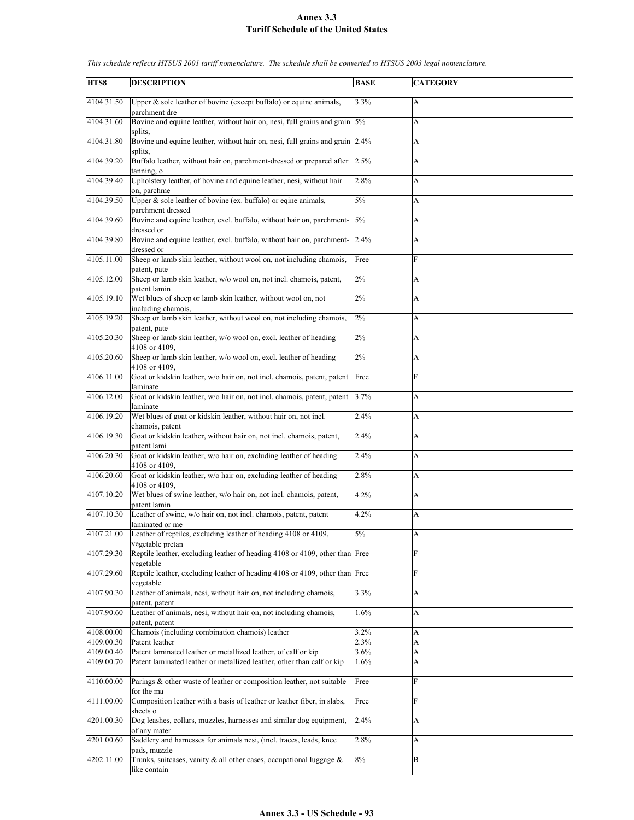| HTS8       | <b>DESCRIPTION</b>                                                                                        | <b>BASE</b> | <b>CATEGORY</b> |
|------------|-----------------------------------------------------------------------------------------------------------|-------------|-----------------|
| 4104.31.50 | Upper & sole leather of bovine (except buffalo) or equine animals,<br>parchment dre                       | 3.3%        | A               |
| 4104.31.60 | Bovine and equine leather, without hair on, nesi, full grains and grain 5%                                |             | A               |
| 4104.31.80 | splits.<br>Bovine and equine leather, without hair on, nesi, full grains and grain<br>splits,             | 2.4%        | А               |
| 4104.39.20 | Buffalo leather, without hair on, parchment-dressed or prepared after<br>tanning, o                       | 2.5%        | A               |
| 4104.39.40 | Upholstery leather, of bovine and equine leather, nesi, without hair                                      | 2.8%        | A               |
| 4104.39.50 | on, parchme<br>Upper $\&$ sole leather of bovine (ex. buffalo) or eqine animals,<br>parchment dressed     | 5%          | A               |
| 4104.39.60 | Bovine and equine leather, excl. buffalo, without hair on, parchment-                                     | 5%          | A               |
| 4104.39.80 | dressed or<br>Bovine and equine leather, excl. buffalo, without hair on, parchment-                       | 2.4%        | A               |
| 4105.11.00 | dressed or<br>Sheep or lamb skin leather, without wool on, not including chamois,                         | Free        | F               |
| 4105.12.00 | patent, pate<br>Sheep or lamb skin leather, w/o wool on, not incl. chamois, patent,<br>patent lamin       | 2%          | A               |
| 4105.19.10 | Wet blues of sheep or lamb skin leather, without wool on, not                                             | 2%          | A               |
| 4105.19.20 | including chamois,<br>Sheep or lamb skin leather, without wool on, not including chamois,<br>patent, pate | 2%          | A               |
| 4105.20.30 | Sheep or lamb skin leather, w/o wool on, excl. leather of heading<br>4108 or 4109,                        | 2%          | A               |
| 4105.20.60 | Sheep or lamb skin leather, w/o wool on, excl. leather of heading<br>4108 or 4109,                        | 2%          | A               |
| 4106.11.00 | Goat or kidskin leather, w/o hair on, not incl. chamois, patent, patent<br>laminate                       | Free        | F               |
| 4106.12.00 | Goat or kidskin leather, w/o hair on, not incl. chamois, patent, patent<br>laminate                       | 3.7%        | A               |
| 4106.19.20 | Wet blues of goat or kidskin leather, without hair on, not incl.<br>chamois, patent                       | 2.4%        | A               |
| 4106.19.30 | Goat or kidskin leather, without hair on, not incl. chamois, patent,<br>patent lami                       | 2.4%        | A               |
| 4106.20.30 | Goat or kidskin leather, w/o hair on, excluding leather of heading<br>4108 or 4109,                       | 2.4%        | A               |
| 4106.20.60 | Goat or kidskin leather, w/o hair on, excluding leather of heading<br>4108 or 4109,                       | 2.8%        | A               |
| 4107.10.20 | Wet blues of swine leather, w/o hair on, not incl. chamois, patent,<br>patent lamin                       | 4.2%        | A               |
| 4107.10.30 | Leather of swine, w/o hair on, not incl. chamois, patent, patent<br>laminated or me                       | 4.2%        | A               |
| 4107.21.00 | Leather of reptiles, excluding leather of heading 4108 or 4109,<br>vegetable pretan                       | 5%          | A               |
| 4107.29.30 | Reptile leather, excluding leather of heading 4108 or 4109, other than Free<br>vegetable                  |             | F               |
| 4107.29.60 | Reptile leather, excluding leather of heading 4108 or 4109, other than Free<br>vegetable                  |             | F               |
| 4107.90.30 | Leather of animals, nesi, without hair on, not including chamois,<br>patent, patent                       | 3.3%        | A               |
| 4107.90.60 | Leather of animals, nesi, without hair on, not including chamois,<br>patent, patent                       | 1.6%        | A               |
| 4108.00.00 | Chamois (including combination chamois) leather                                                           | 3.2%        | A               |
| 4109.00.30 | Patent leather                                                                                            | 2.3%        | A               |
| 4109.00.40 | Patent laminated leather or metallized leather, of calf or kip                                            | $3.6\%$     | A               |
| 4109.00.70 | Patent laminated leather or metallized leather, other than calf or kip                                    | $1.6\%$     | A               |
| 4110.00.00 | Parings & other waste of leather or composition leather, not suitable<br>for the ma                       | Free        | F               |
| 4111.00.00 | Composition leather with a basis of leather or leather fiber, in slabs,<br>sheets o                       | Free        | F               |
| 4201.00.30 | Dog leashes, collars, muzzles, harnesses and similar dog equipment,<br>of any mater                       | 2.4%        | A               |
| 4201.00.60 | Saddlery and harnesses for animals nesi, (incl. traces, leads, knee<br>pads, muzzle                       | 2.8%        | A               |
| 4202.11.00 | Trunks, suitcases, vanity & all other cases, occupational luggage &<br>like contain                       | 8%          | B               |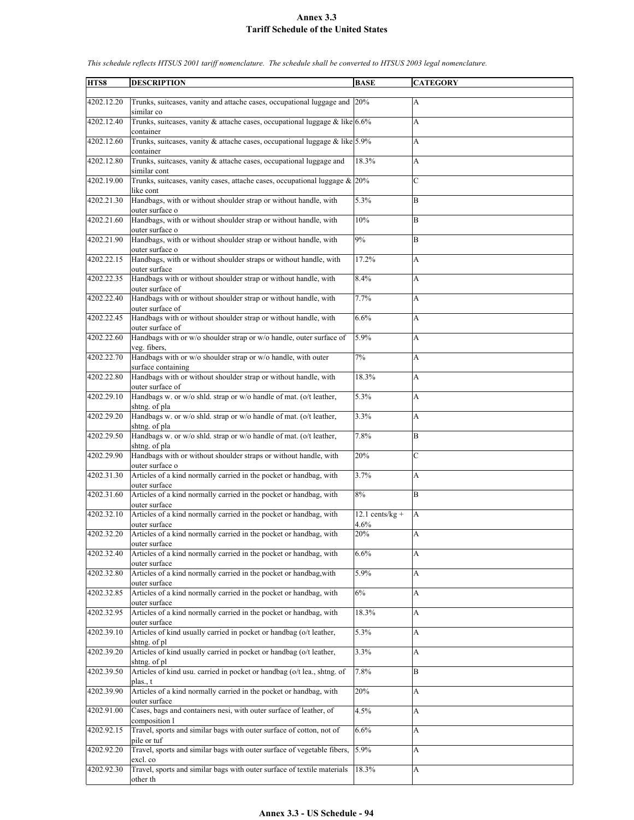| HTS8       | <b>DESCRIPTION</b>                                                                          | <b>BASE</b>               | <b>CATEGORY</b> |
|------------|---------------------------------------------------------------------------------------------|---------------------------|-----------------|
| 4202.12.20 | Trunks, suitcases, vanity and attache cases, occupational luggage and 20%<br>similar co     |                           | A               |
| 4202.12.40 | Trunks, suitcases, vanity & attache cases, occupational luggage & like $6.6\%$<br>container |                           | A               |
| 4202.12.60 | Trunks, suitcases, vanity & attache cases, occupational luggage & like 5.9%<br>container    |                           | A               |
| 4202.12.80 | Trunks, suitcases, vanity & attache cases, occupational luggage and<br>similar cont         | 18.3%                     | A               |
| 4202.19.00 | Trunks, suitcases, vanity cases, attache cases, occupational luggage $\&$ 20%<br>like cont  |                           | C               |
| 4202.21.30 | Handbags, with or without shoulder strap or without handle, with<br>outer surface o         | 5.3%                      | B               |
| 4202.21.60 | Handbags, with or without shoulder strap or without handle, with<br>outer surface o         | $10\%$                    | B               |
| 4202.21.90 | Handbags, with or without shoulder strap or without handle, with<br>outer surface o         | 9%                        | B               |
| 4202.22.15 | Handbags, with or without shoulder straps or without handle, with<br>outer surface          | 17.2%                     | A               |
| 4202.22.35 | Handbags with or without shoulder strap or without handle, with<br>outer surface of         | 8.4%                      | A               |
| 4202.22.40 | Handbags with or without shoulder strap or without handle, with<br>outer surface of         | 7.7%                      | A               |
| 4202.22.45 | Handbags with or without shoulder strap or without handle, with<br>outer surface of         | 6.6%                      | A               |
| 4202.22.60 | Handbags with or w/o shoulder strap or w/o handle, outer surface of<br>veg. fibers.         | 5.9%                      | A               |
| 4202.22.70 | Handbags with or w/o shoulder strap or w/o handle, with outer<br>surface containing         | 7%                        | A               |
| 4202.22.80 | Handbags with or without shoulder strap or without handle, with<br>outer surface of         | 18.3%                     | A               |
| 4202.29.10 | Handbags w. or w/o shld. strap or w/o handle of mat. (o/t leather,<br>shtng. of pla         | 5.3%                      | A               |
| 4202.29.20 | Handbags w. or w/o shld. strap or w/o handle of mat. (o/t leather,<br>shtng. of pla         | 3.3%                      | A               |
| 4202.29.50 | Handbags w. or w/o shld. strap or w/o handle of mat. (o/t leather,<br>shtng. of pla         | 7.8%                      | $\overline{B}$  |
| 4202.29.90 | Handbags with or without shoulder straps or without handle, with<br>outer surface o         | 20%                       | C               |
| 4202.31.30 | Articles of a kind normally carried in the pocket or handbag, with<br>outer surface         | 3.7%                      | A               |
| 4202.31.60 | Articles of a kind normally carried in the pocket or handbag, with<br>outer surface         | 8%                        | B               |
| 4202.32.10 | Articles of a kind normally carried in the pocket or handbag, with<br>outer surface         | $12.1$ cents/kg +<br>4.6% | А               |
| 4202.32.20 | Articles of a kind normally carried in the pocket or handbag, with<br>outer surface         | 20%                       | А               |
| 4202.32.40 | Articles of a kind normally carried in the pocket or handbag, with<br>outer surface         | 6.6%                      | A               |
| 4202.32.80 | Articles of a kind normally carried in the pocket or handbag, with<br>outer surface         | 5.9%                      | A               |
| 4202.32.85 | Articles of a kind normally carried in the pocket or handbag, with<br>outer surface         | 6%                        | A               |
| 4202.32.95 | Articles of a kind normally carried in the pocket or handbag, with<br>outer surface         | 18.3%                     | A               |
| 4202.39.10 | Articles of kind usually carried in pocket or handbag (o/t leather,<br>shtng. of pl         | 5.3%                      | A               |
| 4202.39.20 | Articles of kind usually carried in pocket or handbag (o/t leather,<br>shtng, of pl         | 3.3%                      | A               |
| 4202.39.50 | Articles of kind usu. carried in pocket or handbag (o/t lea., shtng. of<br>plas., t         | 7.8%                      | B               |
| 4202.39.90 | Articles of a kind normally carried in the pocket or handbag, with<br>outer surface         | 20%                       | A               |
| 4202.91.00 | Cases, bags and containers nesi, with outer surface of leather, of<br>composition l         | 4.5%                      | A               |
| 4202.92.15 | Travel, sports and similar bags with outer surface of cotton, not of<br>pile or tuf         | 6.6%                      | A               |
| 4202.92.20 | Travel, sports and similar bags with outer surface of vegetable fibers,<br>excl. co         | 5.9%                      | A               |
| 4202.92.30 | Travel, sports and similar bags with outer surface of textile materials<br>other th         | 18.3%                     | A               |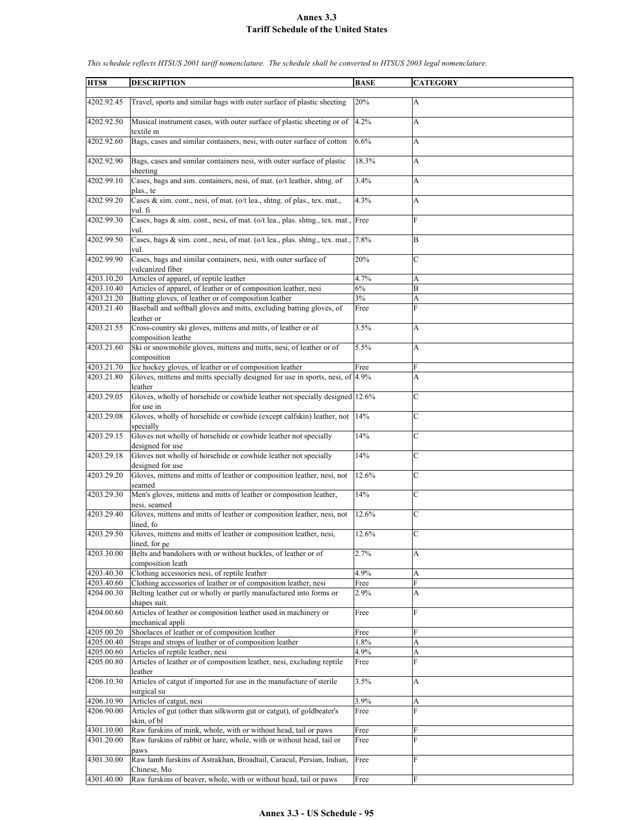| HTS8                     | <b>DESCRIPTION</b>                                                                                                                      | <b>BASE</b>  | <b>CATEGORY</b> |
|--------------------------|-----------------------------------------------------------------------------------------------------------------------------------------|--------------|-----------------|
|                          |                                                                                                                                         |              |                 |
| 4202.92.45               | Travel, sports and similar bags with outer surface of plastic sheeting                                                                  | 20%          | A               |
| 4202.92.50               | Musical instrument cases, with outer surface of plastic sheeting or of<br>textile m                                                     | 4.2%         | A               |
| 4202.92.60               | Bags, cases and similar containers, nesi, with outer surface of cotton                                                                  | 6.6%         | A               |
| 4202.92.90               | Bags, cases and similar containers nesi, with outer surface of plastic                                                                  | 18.3%        | A               |
|                          | sheeting                                                                                                                                |              |                 |
| 4202.99.10               | Cases, bags and sim. containers, nesi, of mat. (o/t leather, shtng. of<br>plas., te                                                     | 3.4%         | A               |
| 4202.99.20               | Cases & sim. cont., nesi, of mat. (o/t lea., shtng. of plas., tex. mat.,<br>vul. fi                                                     | 4.3%         | A               |
| 4202.99.30               | Cases, bags & sim. cont., nesi, of mat. (o/t lea., plas. shtng., tex. mat., Free<br>vul.                                                |              | $\mathbf{F}$    |
| 4202.99.50               | Cases, bags & sim. cont., nesi, of mat. (o/t lea., plas. shtng., tex. mat.,<br>vul.                                                     | 7.8%         | B               |
| 4202.99.90               | Cases, bags and similar containers, nesi, with outer surface of<br>vulcanized fiber                                                     | 20%          | $\mathbf C$     |
| 4203.10.20               | Articles of apparel, of reptile leather                                                                                                 | 4.7%         | A               |
|                          |                                                                                                                                         |              |                 |
| 4203.10.40               | Articles of apparel, of leather or of composition leather, nesi                                                                         | 6%           | B               |
| 4203.21.20               | Batting gloves, of leather or of composition leather                                                                                    | 3%           | A               |
| 4203.21.40               | Baseball and softball gloves and mitts, excluding batting gloves, of<br>leather or                                                      | Free         | F               |
| 4203.21.55               | Cross-country ski gloves, mittens and mitts, of leather or of<br>composition leathe                                                     | 3.5%         | A               |
| 4203.21.60               | Ski or snowmobile gloves, mittens and mitts, nesi, of leather or of<br>composition                                                      | 5.5%         | A               |
| 4203.21.70               | Ice hockey gloves, of leather or of composition leather                                                                                 |              | F               |
|                          |                                                                                                                                         | Free         |                 |
| 4203.21.80               | Gloves, mittens and mitts specially designed for use in sports, nesi, of 4.9%<br>leather                                                |              | A               |
| 4203.29.05               | Gloves, wholly of horsehide or cowhide leather not specially designed 12.6%<br>for use in                                               |              | $\mathbf C$     |
| 4203.29.08               | Gloves, wholly of horsehide or cowhide (except calfskin) leather, not 14%<br>specially                                                  |              | $\mathbf C$     |
| 4203.29.15               | Gloves not wholly of horsehide or cowhide leather not specially                                                                         | 14%          | $\mathcal{C}$   |
|                          | designed for use                                                                                                                        |              |                 |
| 4203.29.18               | Gloves not wholly of horsehide or cowhide leather not specially<br>designed for use                                                     | 14%          | $\mathbf C$     |
| 4203.29.20               | Gloves, mittens and mitts of leather or composition leather, nesi, not<br>seamed                                                        | 12.6%        | $\mathcal{C}$   |
| 4203.29.30               | Men's gloves, mittens and mitts of leather or composition leather,<br>nesi, seamed                                                      | 14%          | $\mathbf C$     |
| 4203.29.40               | Gloves, mittens and mitts of leather or composition leather, nesi, not<br>lined, fo                                                     | 12.6%        | $\mathbf C$     |
| 4203.29.50               | Gloves, mittens and mitts of leather or composition leather, nesi,<br>lined, for pe                                                     | 12.6%        | $\mathcal{C}$   |
| 4203.30.00               | Belts and bandoliers with or without buckles, of leather or of                                                                          | 2.7%         | A               |
|                          | composition leath                                                                                                                       |              |                 |
| 4203.40.30               | Clothing accessories nesi, of reptile leather                                                                                           | 4.9%         | А               |
| 4203.40.60               | Clothing accessories of leather or of composition leather, nesi                                                                         | Free         | F               |
| 4204.00.30               | Belting leather cut or wholly or partly manufactured into forms or<br>shapes suit.                                                      | 2.9%         | A               |
| 4204.00.60               | Articles of leather or composition leather used in machinery or<br>mechanical appli                                                     | Free         | F               |
| 4205.00.20               | Shoelaces of leather or of composition leather                                                                                          | Free         | F               |
| 4205.00.40               | Straps and strops of leather or of composition leather                                                                                  | 1.8%         | A               |
|                          |                                                                                                                                         |              |                 |
| 4205.00.60               | Articles of reptile leather, nesi                                                                                                       | 4.9%         | A               |
| 4205.00.80               | Articles of leather or of composition leather, nesi, excluding reptile<br>leather                                                       | Free         | F               |
| 4206.10.30               | Articles of catgut if imported for use in the manufacture of sterile<br>surgical su                                                     | 3.5%         | A               |
| 4206.10.90               | Articles of catgut, nesi                                                                                                                | 3.9%         | A               |
| 4206.90.00               | Articles of gut (other than silkworm gut or catgut), of goldbeater's                                                                    | Free         | F               |
|                          | skin, of bl                                                                                                                             |              |                 |
| 4301.10.00<br>4301.20.00 | Raw furskins of mink, whole, with or without head, tail or paws<br>Raw furskins of rabbit or hare, whole, with or without head, tail or | Free<br>Free | F<br>F          |
|                          | paws                                                                                                                                    |              |                 |
| 4301.30.00               | Raw lamb furskins of Astrakhan, Broadtail, Caracul, Persian, Indian,<br>Chinese, Mo                                                     | Free         | F               |
| 4301.40.00               | Raw furskins of beaver, whole, with or without head, tail or paws                                                                       | Free         | F               |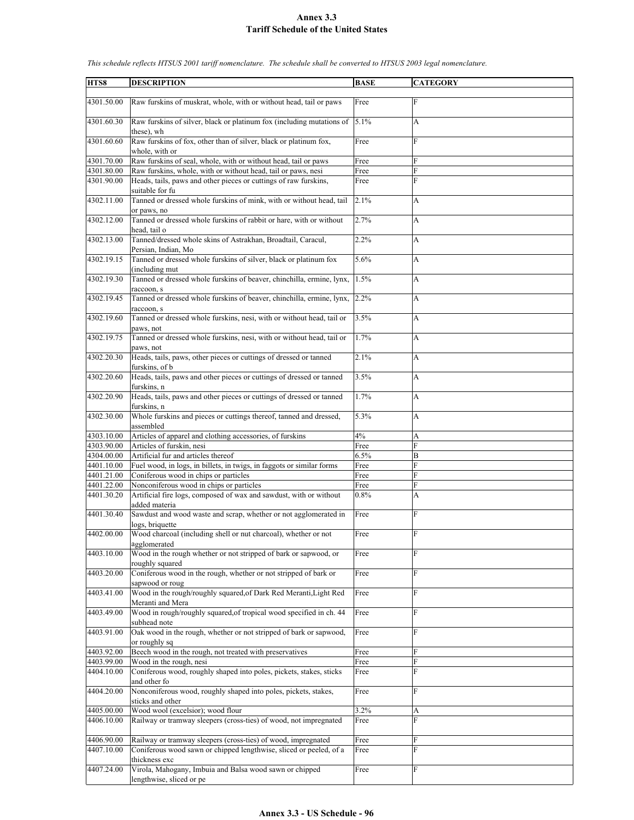| HTS8       | <b>DESCRIPTION</b>                                                                              | <b>BASE</b> | <b>CATEGORY</b> |
|------------|-------------------------------------------------------------------------------------------------|-------------|-----------------|
|            |                                                                                                 |             |                 |
| 4301.50.00 | Raw furskins of muskrat, whole, with or without head, tail or paws                              | Free        | $\mathbf{F}$    |
| 4301.60.30 | Raw furskins of silver, black or platinum fox (including mutations of<br>these), wh             | 5.1%        | A               |
| 4301.60.60 | Raw furskins of fox, other than of silver, black or platinum fox,<br>whole, with or             | Free        | F               |
| 4301.70.00 | Raw furskins of seal, whole, with or without head, tail or paws                                 | Free        | F               |
| 4301.80.00 | Raw furskins, whole, with or without head, tail or paws, nesi                                   | Free        | F               |
| 4301.90.00 | Heads, tails, paws and other pieces or cuttings of raw furskins,<br>suitable for fu             | Free        | F               |
| 4302.11.00 | Tanned or dressed whole furskins of mink, with or without head, tail<br>or paws, no             | 2.1%        | A               |
| 4302.12.00 | Tanned or dressed whole furskins of rabbit or hare, with or without<br>head, tail o             | 2.7%        | A               |
| 4302.13.00 | Tanned/dressed whole skins of Astrakhan, Broadtail, Caracul,<br>Persian, Indian, Mo             | 2.2%        | A               |
| 4302.19.15 | Tanned or dressed whole furskins of silver, black or platinum fox<br>(including mut             | 5.6%        | A               |
| 4302.19.30 | Tanned or dressed whole furskins of beaver, chinchilla, ermine, lynx,<br>raccoon, s             | 1.5%        | A               |
| 4302.19.45 | Tanned or dressed whole furskins of beaver, chinchilla, ermine, lynx,<br>raccoon, s             | 2.2%        | A               |
| 4302.19.60 | Tanned or dressed whole furskins, nesi, with or without head, tail or                           | 3.5%        | A               |
| 4302.19.75 | paws, not<br>Tanned or dressed whole furskins, nesi, with or without head, tail or<br>paws, not | 1.7%        | A               |
| 4302.20.30 | Heads, tails, paws, other pieces or cuttings of dressed or tanned<br>furskins, of b             | 2.1%        | А               |
| 4302.20.60 | Heads, tails, paws and other pieces or cuttings of dressed or tanned<br>furskins, n             | 3.5%        | A               |
| 4302.20.90 | Heads, tails, paws and other pieces or cuttings of dressed or tanned<br>furskins, n             | 1.7%        | A               |
| 4302.30.00 | Whole furskins and pieces or cuttings thereof, tanned and dressed,<br>assembled                 | 5.3%        | A               |
| 4303.10.00 | Articles of apparel and clothing accessories, of furskins                                       | 4%          | A               |
| 4303.90.00 | Articles of furskin, nesi                                                                       | Free        | $\overline{F}$  |
| 4304.00.00 | Artificial fur and articles thereof                                                             | 6.5%        | B               |
| 4401.10.00 | Fuel wood, in logs, in billets, in twigs, in faggots or similar forms                           | Free        | F               |
| 4401.21.00 | Coniferous wood in chips or particles                                                           | Free        | F               |
| 4401.22.00 | Nonconiferous wood in chips or particles                                                        | Free        | F               |
| 4401.30.20 | Artificial fire logs, composed of wax and sawdust, with or without                              | 0.8%        | A               |
| 4401.30.40 | added materia<br>Sawdust and wood waste and scrap, whether or not agglomerated in               | Free        | F               |
| 4402.00.00 | logs, briquette<br>Wood charcoal (including shell or nut charcoal), whether or not              | Free        | $\mathbf{F}$    |
| 4403.10.00 | agglomerated<br>Wood in the rough whether or not stripped of bark or sapwood, or                | Free        | F               |
|            | roughly squared                                                                                 |             |                 |
| 4403.20.00 | Coniferous wood in the rough, whether or not stripped of bark or<br>sapwood or roug             | Free        | $\mathbf{F}$    |
| 4403.41.00 | Wood in the rough/roughly squared, of Dark Red Meranti, Light Red<br>Meranti and Mera           | Free        | F               |
| 4403.49.00 | Wood in rough/roughly squared, of tropical wood specified in ch. 44<br>subhead note             | Free        | $\mathbf{F}$    |
| 4403.91.00 | Oak wood in the rough, whether or not stripped of bark or sapwood,<br>or roughly sq             | Free        | F               |
| 4403.92.00 | Beech wood in the rough, not treated with preservatives                                         | Free        | F               |
| 4403.99.00 | Wood in the rough, nesi                                                                         | Free        | F               |
| 4404.10.00 | Coniferous wood, roughly shaped into poles, pickets, stakes, sticks                             | Free        | F               |
| 4404.20.00 | and other fo<br>Nonconiferous wood, roughly shaped into poles, pickets, stakes,                 | Free        | F               |
|            | sticks and other                                                                                |             |                 |
| 4405.00.00 | Wood wool (excelsior); wood flour                                                               | 3.2%        | A               |
| 4406.10.00 | Railway or tramway sleepers (cross-ties) of wood, not impregnated                               | Free        | F               |
| 4406.90.00 | Railway or tramway sleepers (cross-ties) of wood, impregnated                                   | Free        | F               |
| 4407.10.00 | Coniferous wood sawn or chipped lengthwise, sliced or peeled, of a<br>thickness exc             | Free        | F               |
| 4407.24.00 | Virola, Mahogany, Imbuia and Balsa wood sawn or chipped                                         | Free        | $\mathbf{F}$    |
|            | lengthwise, sliced or pe                                                                        |             |                 |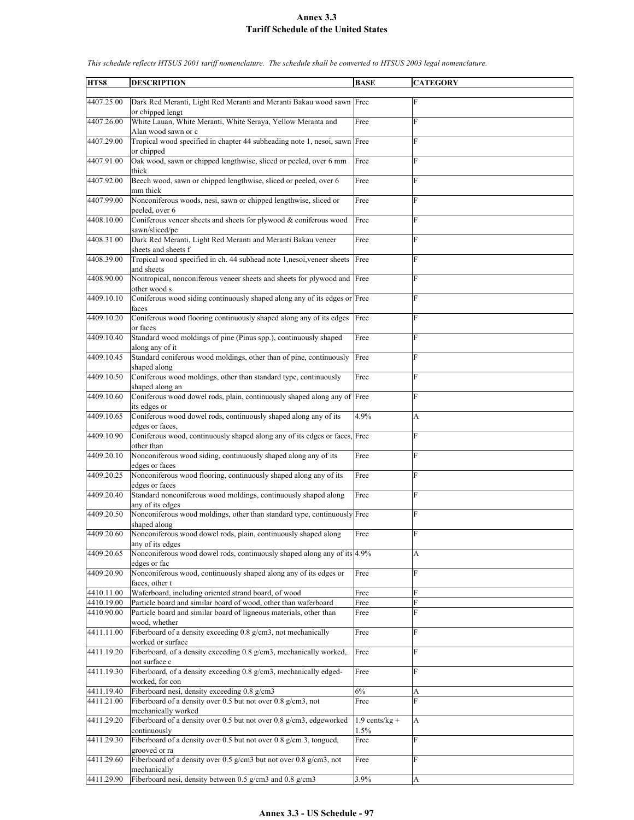| HTS8       | <b>DESCRIPTION</b>                                                                                       | <b>BASE</b>      | <b>CATEGORY</b> |
|------------|----------------------------------------------------------------------------------------------------------|------------------|-----------------|
|            |                                                                                                          |                  |                 |
| 4407.25.00 | Dark Red Meranti, Light Red Meranti and Meranti Bakau wood sawn Free<br>or chipped lengt                 |                  | F               |
| 4407.26.00 | White Lauan, White Meranti, White Seraya, Yellow Meranta and<br>Alan wood sawn or c                      | Free             | F               |
| 4407.29.00 | Tropical wood specified in chapter 44 subheading note 1, nesoi, sawn Free                                |                  | F               |
| 4407.91.00 | or chipped<br>Oak wood, sawn or chipped lengthwise, sliced or peeled, over 6 mm<br>thick                 | Free             | ${\rm F}$       |
| 4407.92.00 | Beech wood, sawn or chipped lengthwise, sliced or peeled, over 6                                         | Free             | F               |
| 4407.99.00 | mm thick<br>Nonconiferous woods, nesi, sawn or chipped lengthwise, sliced or<br>peeled, over 6           | Free             | F               |
| 4408.10.00 | Coniferous veneer sheets and sheets for plywood & coniferous wood<br>sawn/sliced/pe                      | Free             | F               |
| 4408.31.00 | Dark Red Meranti, Light Red Meranti and Meranti Bakau veneer<br>sheets and sheets f                      | Free             | F               |
| 4408.39.00 | Tropical wood specified in ch. 44 subhead note 1,nesoi, veneer sheets<br>and sheets                      | Free             | F               |
| 4408.90.00 | Nontropical, nonconiferous veneer sheets and sheets for plywood and Free<br>other wood s                 |                  | F               |
| 4409.10.10 | Coniferous wood siding continuously shaped along any of its edges or Free<br>faces                       |                  | F               |
| 4409.10.20 | Coniferous wood flooring continuously shaped along any of its edges<br>or faces                          | Free             | F               |
| 4409.10.40 | Standard wood moldings of pine (Pinus spp.), continuously shaped<br>along any of it                      | Free             | F               |
| 4409.10.45 | Standard coniferous wood moldings, other than of pine, continuously<br>shaped along                      | Free             | F               |
| 4409.10.50 | Coniferous wood moldings, other than standard type, continuously<br>shaped along an                      | Free             | F               |
| 4409.10.60 | Coniferous wood dowel rods, plain, continuously shaped along any of Free<br>its edges or                 |                  | F               |
| 4409.10.65 | Coniferous wood dowel rods, continuously shaped along any of its<br>edges or faces.                      | 4.9%             | A               |
| 4409.10.90 | Coniferous wood, continuously shaped along any of its edges or faces, Free                               |                  | F               |
| 4409.20.10 | other than<br>Nonconiferous wood siding, continuously shaped along any of its                            | Free             | F               |
| 4409.20.25 | edges or faces<br>Nonconiferous wood flooring, continuously shaped along any of its                      | Free             | F               |
| 4409.20.40 | edges or faces<br>Standard nonconiferous wood moldings, continuously shaped along                        | Free             | F               |
| 4409.20.50 | any of its edges<br>Nonconiferous wood moldings, other than standard type, continuously Free             |                  | F               |
|            | shaped along                                                                                             |                  |                 |
| 4409.20.60 | Nonconiferous wood dowel rods, plain, continuously shaped along<br>any of its edges                      | Free             | F               |
| 4409.20.65 | Nonconiferous wood dowel rods, continuously shaped along any of its 4.9%<br>edges or fac                 |                  | A               |
| 4409.20.90 | Nonconiferous wood, continuously shaped along any of its edges or<br>faces, other t                      | Free             | F               |
| 4410.11.00 | Waferboard, including oriented strand board, of wood                                                     | Free             | F               |
| 4410.19.00 | Particle board and similar board of wood, other than waferboard                                          | Free             | F               |
| 4410.90.00 | Particle board and similar board of ligneous materials, other than<br>wood, whether                      | Free             | F               |
| 4411.11.00 | Fiberboard of a density exceeding 0.8 g/cm3, not mechanically                                            | Free             | F               |
| 4411.19.20 | worked or surface<br>Fiberboard, of a density exceeding 0.8 g/cm3, mechanically worked,<br>not surface c | Free             | F               |
| 4411.19.30 | Fiberboard, of a density exceeding 0.8 g/cm3, mechanically edged-<br>worked, for con                     | Free             | F               |
| 4411.19.40 | Fiberboard nesi, density exceeding 0.8 g/cm3                                                             | 6%               | A               |
| 4411.21.00 | Fiberboard of a density over 0.5 but not over 0.8 g/cm3, not<br>mechanically worked                      | Free             | F               |
| 4411.29.20 | Fiberboard of a density over 0.5 but not over 0.8 g/cm3, edgeworked                                      | $1.9$ cents/kg + | A               |
| 4411.29.30 | continuously<br>Fiberboard of a density over 0.5 but not over 0.8 g/cm 3, tongued,                       | 1.5%<br>Free     | F               |
| 4411.29.60 | grooved or ra<br>Fiberboard of a density over 0.5 g/cm3 but not over 0.8 g/cm3, not                      | Free             | F               |
| 4411.29.90 | mechanically<br>Fiberboard nesi, density between 0.5 g/cm3 and 0.8 g/cm3                                 | 3.9%             | A               |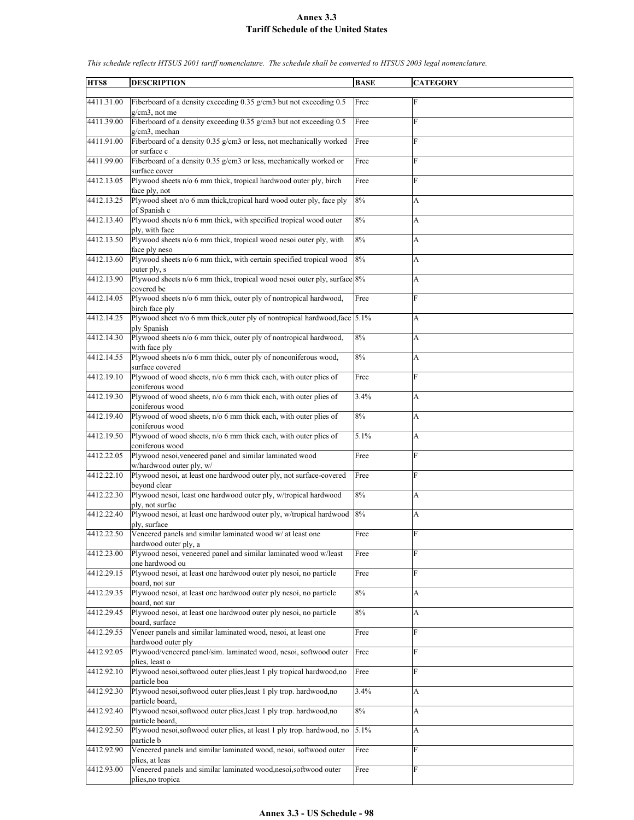| HTS8       | <b>DESCRIPTION</b>                                                                       | <b>BASE</b> | <b>CATEGORY</b> |
|------------|------------------------------------------------------------------------------------------|-------------|-----------------|
|            | Fiberboard of a density exceeding 0.35 g/cm3 but not exceeding 0.5                       |             | F               |
| 4411.31.00 | $g/cm3$ , not me                                                                         | Free        |                 |
| 4411.39.00 | Fiberboard of a density exceeding 0.35 g/cm3 but not exceeding 0.5<br>g/cm3, mechan      | Free        | F               |
| 4411.91.00 | Fiberboard of a density 0.35 g/cm3 or less, not mechanically worked                      | Free        | F               |
| 4411.99.00 | or surface c<br>Fiberboard of a density 0.35 g/cm3 or less, mechanically worked or       | Free        | F               |
| 4412.13.05 | surface cover<br>Plywood sheets n/o 6 mm thick, tropical hardwood outer ply, birch       | Free        | F               |
|            | face ply, not                                                                            |             |                 |
| 4412.13.25 | Plywood sheet n/o 6 mm thick, tropical hard wood outer ply, face ply<br>of Spanish c     | 8%          | A               |
| 4412.13.40 | Plywood sheets n/o 6 mm thick, with specified tropical wood outer<br>ply, with face      | 8%          | A               |
| 4412.13.50 | Plywood sheets n/o 6 mm thick, tropical wood nesoi outer ply, with<br>face ply neso      | 8%          | A               |
| 4412.13.60 | Plywood sheets n/o 6 mm thick, with certain specified tropical wood                      | 8%          | A               |
| 4412.13.90 | outer ply, s<br>Plywood sheets n/o 6 mm thick, tropical wood nesoi outer ply, surface 8% |             |                 |
|            | covered be                                                                               |             | A               |
| 4412.14.05 | Plywood sheets n/o 6 mm thick, outer ply of nontropical hardwood,<br>birch face ply      | Free        | F               |
| 4412.14.25 | Plywood sheet n/o 6 mm thick, outer ply of nontropical hardwood, face $\vert$ 5.1%       |             | A               |
|            | ply Spanish                                                                              |             |                 |
| 4412.14.30 | Plywood sheets n/o 6 mm thick, outer ply of nontropical hardwood,<br>with face ply       | 8%          | A               |
| 4412.14.55 | Plywood sheets n/o 6 mm thick, outer ply of nonconiferous wood,<br>surface covered       | 8%          | A               |
| 4412.19.10 | Plywood of wood sheets, n/o 6 mm thick each, with outer plies of                         | Free        | F               |
| 4412.19.30 | coniferous wood<br>Plywood of wood sheets, n/o 6 mm thick each, with outer plies of      | 3.4%        | A               |
|            | coniferous wood                                                                          |             |                 |
| 4412.19.40 | Plywood of wood sheets, n/o 6 mm thick each, with outer plies of<br>coniferous wood      | 8%          | A               |
| 4412.19.50 | Plywood of wood sheets, n/o 6 mm thick each, with outer plies of                         | 5.1%        | A               |
| 4412.22.05 | coniferous wood<br>Plywood nesoi, veneered panel and similar laminated wood              | Free        | F               |
|            | w/hardwood outer ply, w/                                                                 |             |                 |
| 4412.22.10 | Plywood nesoi, at least one hardwood outer ply, not surface-covered<br>beyond clear      | Free        | F               |
| 4412.22.30 | Plywood nesoi, least one hardwood outer ply, w/tropical hardwood<br>ply, not surfac      | 8%          | A               |
| 4412.22.40 | Plywood nesoi, at least one hardwood outer ply, w/tropical hardwood                      | 8%          | A               |
| 4412.22.50 | ply, surface<br>Veneered panels and similar laminated wood w/ at least one               |             | $\overline{F}$  |
|            | hardwood outer ply, a                                                                    | Free        |                 |
| 4412.23.00 | Plywood nesoi, veneered panel and similar laminated wood w/least<br>one hardwood ou      | Free        | F               |
| 4412.29.15 | Plywood nesoi, at least one hardwood outer ply nesoi, no particle                        | Free        | F               |
| 4412.29.35 | board, not sur<br>Plywood nesoi, at least one hardwood outer ply nesoi, no particle      | 8%          | A               |
|            | board, not sur                                                                           |             |                 |
| 4412.29.45 | Plywood nesoi, at least one hardwood outer ply nesoi, no particle<br>board, surface      | 8%          | A               |
| 4412.29.55 | Veneer panels and similar laminated wood, nesoi, at least one                            | Free        | F               |
| 4412.92.05 | hardwood outer ply<br>Plywood/veneered panel/sim. laminated wood, nesoi, softwood outer  | Free        | F               |
|            | plies, least o                                                                           |             |                 |
| 4412.92.10 | Plywood nesoi, softwood outer plies, least 1 ply tropical hardwood, no<br>particle boa   | Free        | F               |
| 4412.92.30 | Plywood nesoi,softwood outer plies, least 1 ply trop. hardwood,no                        | 3.4%        | A               |
| 4412.92.40 | particle board,<br>Plywood nesoi,softwood outer plies, least 1 ply trop. hardwood, no    | 8%          | A               |
|            | particle board,                                                                          |             |                 |
| 4412.92.50 | Plywood nesoi, softwood outer plies, at least 1 ply trop. hardwood, no<br>particle b     | 5.1%        | A               |
| 4412.92.90 | Veneered panels and similar laminated wood, nesoi, softwood outer<br>plies, at leas      | Free        | F               |
| 4412.93.00 | Veneered panels and similar laminated wood,nesoi,softwood outer                          | Free        | F               |
|            | plies, no tropica                                                                        |             |                 |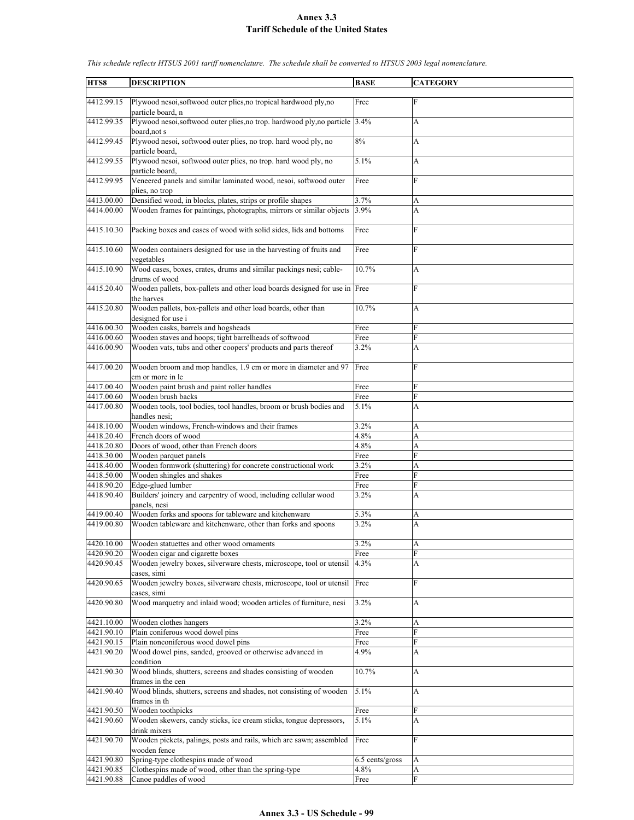| HTS8       | <b>DESCRIPTION</b>                                                           | <b>BASE</b>     | <b>CATEGORY</b>           |
|------------|------------------------------------------------------------------------------|-----------------|---------------------------|
|            |                                                                              |                 |                           |
| 4412.99.15 | Plywood nesoi, softwood outer plies, no tropical hardwood ply, no            | Free            | $\mathbf F$               |
|            | particle board, n                                                            |                 |                           |
| 4412.99.35 | Plywood nesoi, softwood outer plies, no trop. hardwood ply, no particle 3.4% |                 | A                         |
|            | board, not s                                                                 |                 |                           |
| 4412.99.45 | Plywood nesoi, softwood outer plies, no trop. hard wood ply, no              | 8%              | A                         |
|            | particle board,                                                              |                 |                           |
| 4412.99.55 | Plywood nesoi, softwood outer plies, no trop. hard wood ply, no              | 5.1%            | A                         |
|            | particle board,                                                              |                 |                           |
| 4412.99.95 | Veneered panels and similar laminated wood, nesoi, softwood outer            | Free            | F                         |
|            | plies, no trop                                                               |                 |                           |
|            |                                                                              | 3.7%            |                           |
| 4413.00.00 | Densified wood, in blocks, plates, strips or profile shapes                  |                 | А                         |
| 4414.00.00 | Wooden frames for paintings, photographs, mirrors or similar objects         | 3.9%            | A                         |
|            |                                                                              |                 |                           |
| 4415.10.30 | Packing boxes and cases of wood with solid sides, lids and bottoms           | Free            | F                         |
|            |                                                                              |                 |                           |
| 4415.10.60 | Wooden containers designed for use in the harvesting of fruits and           | Free            | F                         |
|            | vegetables                                                                   |                 |                           |
| 4415.10.90 | Wood cases, boxes, crates, drums and similar packings nesi; cable-           | 10.7%           | A                         |
|            | drums of wood                                                                |                 |                           |
| 4415.20.40 | Wooden pallets, box-pallets and other load boards designed for use in Free   |                 | $\mathbf{F}$              |
|            | the harves                                                                   |                 |                           |
| 4415.20.80 | Wooden pallets, box-pallets and other load boards, other than                | 10.7%           | A                         |
|            | designed for use i                                                           |                 |                           |
| 4416.00.30 | Wooden casks, barrels and hogsheads                                          | Free            | F                         |
| 4416.00.60 |                                                                              |                 | F                         |
|            | Wooden staves and hoops; tight barrelheads of softwood                       | Free            |                           |
| 4416.00.90 | Wooden vats, tubs and other coopers' products and parts thereof              | 3.2%            | A                         |
|            |                                                                              |                 |                           |
| 4417.00.20 | Wooden broom and mop handles, 1.9 cm or more in diameter and 97              | Free            | F                         |
|            | cm or more in le                                                             |                 |                           |
| 4417.00.40 | Wooden paint brush and paint roller handles                                  | Free            | F                         |
| 4417.00.60 | Wooden brush backs                                                           | Free            | F                         |
| 4417.00.80 | Wooden tools, tool bodies, tool handles, broom or brush bodies and           | 5.1%            | A                         |
|            | handles nesi;                                                                |                 |                           |
| 4418.10.00 | Wooden windows, French-windows and their frames                              | 3.2%            | А                         |
| 4418.20.40 | French doors of wood                                                         | 4.8%            | A                         |
| 4418.20.80 | Doors of wood, other than French doors                                       | 4.8%            | A                         |
| 4418.30.00 | Wooden parquet panels                                                        | Free            | F                         |
| 4418.40.00 | Wooden formwork (shuttering) for concrete constructional work                | 3.2%            | A                         |
| 4418.50.00 | Wooden shingles and shakes                                                   | Free            | $\overline{F}$            |
| 4418.90.20 | Edge-glued lumber                                                            | Free            | F                         |
| 4418.90.40 | Builders' joinery and carpentry of wood, including cellular wood             | 3.2%            | A                         |
|            |                                                                              |                 |                           |
|            | panels, nesi                                                                 |                 |                           |
| 4419.00.40 | Wooden forks and spoons for tableware and kitchenware                        | 5.3%            | A                         |
| 4419.00.80 | Wooden tableware and kitchenware, other than forks and spoons                | 3.2%            | A                         |
|            |                                                                              |                 |                           |
| 4420.10.00 | Wooden statuettes and other wood ornaments                                   | 3.2%            | A                         |
| 4420.90.20 | Wooden cigar and cigarette boxes                                             | Free            | F                         |
| 4420.90.45 | Wooden jewelry boxes, silverware chests, microscope, tool or utensil         | 4.3%            | A                         |
|            | cases, simi                                                                  |                 |                           |
| 4420.90.65 | Wooden jewelry boxes, silverware chests, microscope, tool or utensil         | Free            | F                         |
|            | cases, simi                                                                  |                 |                           |
| 4420.90.80 | Wood marquetry and inlaid wood; wooden articles of furniture, nesi           | 3.2%            | A                         |
|            |                                                                              |                 |                           |
| 4421.10.00 | Wooden clothes hangers                                                       | 3.2%            | A                         |
| 4421.90.10 | Plain coniferous wood dowel pins                                             | Free            | F                         |
| 4421.90.15 | Plain nonconiferous wood dowel pins                                          | Free            | F                         |
| 4421.90.20 | Wood dowel pins, sanded, grooved or otherwise advanced in                    | 4.9%            | A                         |
|            |                                                                              |                 |                           |
|            | condition                                                                    |                 |                           |
| 4421.90.30 | Wood blinds, shutters, screens and shades consisting of wooden               | 10.7%           | $\boldsymbol{\mathsf{A}}$ |
|            | frames in the cen                                                            |                 |                           |
| 4421.90.40 | Wood blinds, shutters, screens and shades, not consisting of wooden          | 5.1%            | A                         |
|            | frames in th                                                                 |                 |                           |
| 4421.90.50 | Wooden toothpicks                                                            | Free            | F                         |
| 4421.90.60 | Wooden skewers, candy sticks, ice cream sticks, tongue depressors,           | 5.1%            | A                         |
|            | drink mixers                                                                 |                 |                           |
| 4421.90.70 | Wooden pickets, palings, posts and rails, which are sawn; assembled          | Free            | F                         |
|            | wooden fence                                                                 |                 |                           |
| 4421.90.80 | Spring-type clothespins made of wood                                         | 6.5 cents/gross | A                         |
| 4421.90.85 | Clothespins made of wood, other than the spring-type                         | 4.8%            | A                         |
| 4421.90.88 | Canoe paddles of wood                                                        | Free            | ${\bf F}$                 |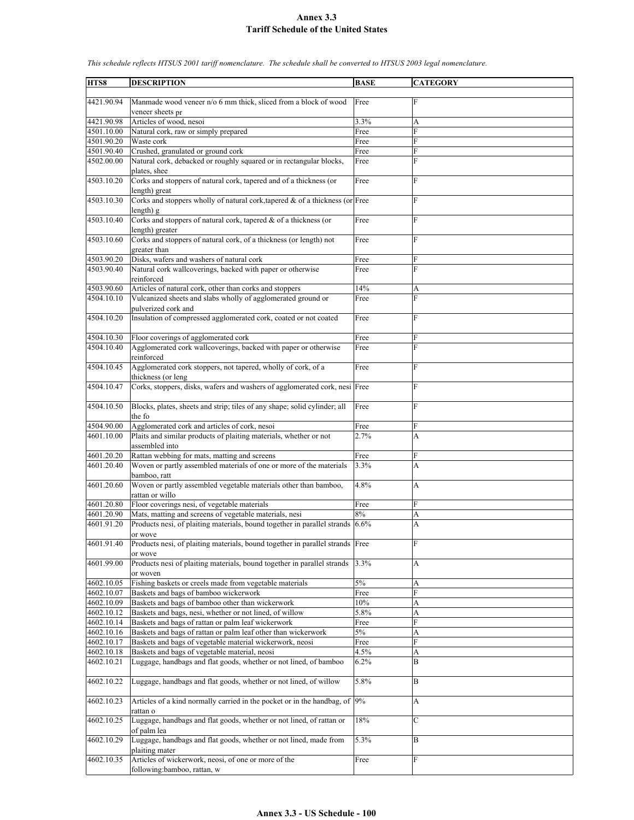| HTS8                     | <b>DESCRIPTION</b>                                                                                                  | <b>BASE</b>  | <b>CATEGORY</b> |
|--------------------------|---------------------------------------------------------------------------------------------------------------------|--------------|-----------------|
|                          |                                                                                                                     |              |                 |
| 4421.90.94               | Manmade wood veneer n/o 6 mm thick, sliced from a block of wood                                                     | Free         | F               |
|                          | veneer sheets pr                                                                                                    |              |                 |
| 4421.90.98               | Articles of wood, nesoi                                                                                             | 3.3%         | А               |
| 4501.10.00               | Natural cork, raw or simply prepared                                                                                | Free         | $\overline{F}$  |
| 4501.90.20<br>4501.90.40 | Waste cork<br>Crushed, granulated or ground cork                                                                    | Free<br>Free | F<br>F          |
| 4502.00.00               | Natural cork, debacked or roughly squared or in rectangular blocks,                                                 | Free         | $\overline{F}$  |
|                          | plates, shee                                                                                                        |              |                 |
| 4503.10.20               | Corks and stoppers of natural cork, tapered and of a thickness (or                                                  | Free         | F               |
|                          | length) great                                                                                                       |              |                 |
| 4503.10.30               | Corks and stoppers wholly of natural cork, tapered & of a thickness (or Free                                        |              | F               |
|                          | length) g                                                                                                           |              |                 |
| 4503.10.40               | Corks and stoppers of natural cork, tapered $\&$ of a thickness (or                                                 | Free         | F               |
|                          | length) greater                                                                                                     |              | $\overline{F}$  |
| 4503.10.60               | Corks and stoppers of natural cork, of a thickness (or length) not<br>greater than                                  | Free         |                 |
| 4503.90.20               | Disks, wafers and washers of natural cork                                                                           | Free         | F               |
| 4503.90.40               | Natural cork wallcoverings, backed with paper or otherwise                                                          | Free         | $\overline{F}$  |
|                          | reinforced                                                                                                          |              |                 |
| 4503.90.60               | Articles of natural cork, other than corks and stoppers                                                             | 14%          | A               |
| 4504.10.10               | Vulcanized sheets and slabs wholly of agglomerated ground or                                                        | Free         | F               |
|                          | pulverized cork and                                                                                                 |              |                 |
| 4504.10.20               | Insulation of compressed agglomerated cork, coated or not coated                                                    | Free         | F               |
|                          |                                                                                                                     |              |                 |
| 4504.10.30<br>4504.10.40 | Floor coverings of agglomerated cork<br>Agglomerated cork wallcoverings, backed with paper or otherwise             | Free<br>Free | F<br>F          |
|                          | reinforced                                                                                                          |              |                 |
| 4504.10.45               | Agglomerated cork stoppers, not tapered, wholly of cork, of a                                                       | Free         | F               |
|                          | thickness (or leng                                                                                                  |              |                 |
| 4504.10.47               | Corks, stoppers, disks, wafers and washers of agglomerated cork, nesi Free                                          |              | $\overline{F}$  |
|                          |                                                                                                                     |              |                 |
| 4504.10.50               | Blocks, plates, sheets and strip; tiles of any shape; solid cylinder; all                                           | Free         | F               |
|                          | the fo                                                                                                              |              |                 |
| 4504.90.00<br>4601.10.00 | Agglomerated cork and articles of cork, nesoi                                                                       | Free         | F               |
|                          | Plaits and similar products of plaiting materials, whether or not<br>assembled into                                 | 2.7%         | A               |
| 4601.20.20               | Rattan webbing for mats, matting and screens                                                                        | Free         | F               |
| 4601.20.40               | Woven or partly assembled materials of one or more of the materials                                                 | 3.3%         | A               |
|                          | bamboo, ratt                                                                                                        |              |                 |
| 4601.20.60               | Woven or partly assembled vegetable materials other than bamboo,                                                    | 4.8%         | A               |
|                          | rattan or willo                                                                                                     |              |                 |
| 4601.20.80               | Floor coverings nesi, of vegetable materials                                                                        | Free         | F               |
| 4601.20.90<br>4601.91.20 | Mats, matting and screens of vegetable materials, nesi                                                              | 8%           | A               |
|                          | Products nesi, of plaiting materials, bound together in parallel strands 6.6%                                       |              | A               |
| 4601.91.40               | or wove<br>Products nesi, of plaiting materials, bound together in parallel strands Free                            |              | F               |
|                          | or wove                                                                                                             |              |                 |
| 4601.99.00               | Products nesi of plaiting materials, bound together in parallel strands                                             | 3.3%         | А               |
|                          | or woven                                                                                                            |              |                 |
| 4602.10.05               | Fishing baskets or creels made from vegetable materials                                                             | 5%           | A               |
| 4602.10.07               | Baskets and bags of bamboo wickerwork                                                                               | Free         | F               |
| 4602.10.09               | Baskets and bags of bamboo other than wickerwork                                                                    | 10%          | A               |
| 4602.10.12<br>4602.10.14 | Baskets and bags, nesi, whether or not lined, of willow                                                             | 5.8%         | A<br>F          |
| 4602.10.16               | Baskets and bags of rattan or palm leaf wickerwork<br>Baskets and bags of rattan or palm leaf other than wickerwork | Free<br>5%   | A               |
| 4602.10.17               | Baskets and bags of vegetable material wickerwork, neosi                                                            | Free         | F               |
| 4602.10.18               | Baskets and bags of vegetable material, neosi                                                                       | 4.5%         | A               |
| 4602.10.21               | Luggage, handbags and flat goods, whether or not lined, of bamboo                                                   | 6.2%         | B               |
|                          |                                                                                                                     |              |                 |
| 4602.10.22               | Luggage, handbags and flat goods, whether or not lined, of willow                                                   | 5.8%         | B               |
|                          |                                                                                                                     |              |                 |
| 4602.10.23               | Articles of a kind normally carried in the pocket or in the handbag, of 9%                                          |              | A               |
| 4602.10.25               | rattan o<br>Luggage, handbags and flat goods, whether or not lined, of rattan or                                    | 18%          | $\mathcal{C}$   |
|                          | of palm lea                                                                                                         |              |                 |
| 4602.10.29               | Luggage, handbags and flat goods, whether or not lined, made from                                                   | $5.3\%$      | B               |
|                          | plaiting mater                                                                                                      |              |                 |
| 4602.10.35               | Articles of wickerwork, neosi, of one or more of the                                                                | Free         | F               |
|                          | following:bamboo, rattan, w                                                                                         |              |                 |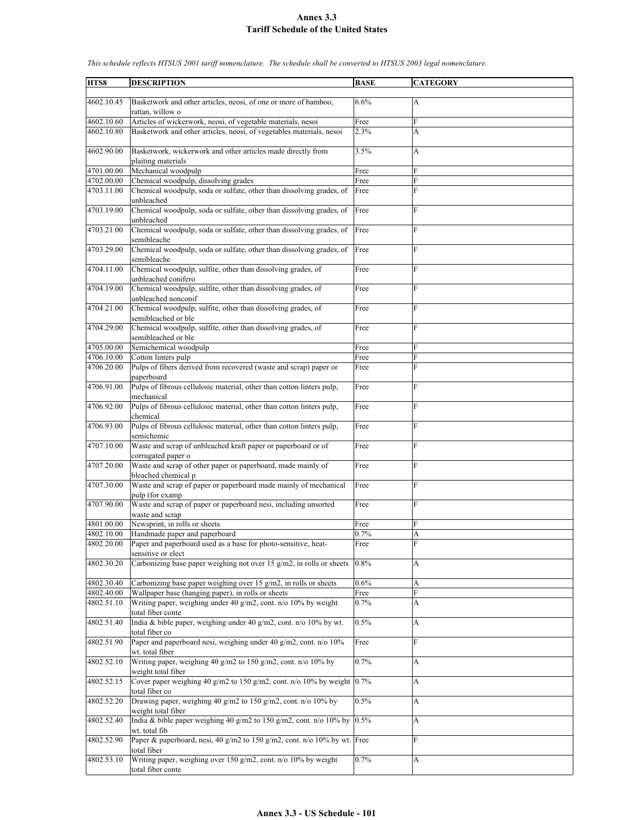**HTS8 DESCRIPTION BASE CATEGORY** 4602.10.45 Basketwork and other articles, neosi, of one or more of bamboo, rattan, willow o 6.6% A 4602.10.60 Articles of wickerwork, neosi, of vegetable materials, nesoi Free 4602.10.80 Basketwork and other articles, neosi, of vegetables materials, nesoi 2.3% A 4602.90.00 Basketwork, wickerwork and other articles made directly from plaiting materials 3.5% A 4701.00.00 Mechanical woodpulp Free 4702.00.00 Chemical woodpulp, dissolving grades Free 4703.11.00 Chemical woodpulp, soda or sulfate, other than dissolving grades, of unbleached Free F 4703.19.00 Chemical woodpulp, soda or sulfate, other than dissolving grades, of unbleached Free 4703.21.00 Chemical woodpulp, soda or sulfate, other than dissolving grades, of semibleache Free F 4703.29.00 Chemical woodpulp, soda or sulfate, other than dissolving grades, of semibleache Free F 4704.11.00 Chemical woodpulp, sulfite, other than dissolving grades, of unbleached conifero **Free** 4704.19.00 Chemical woodpulp, sulfite, other than dissolving grades, of unbleached nonconif Free 4704.21.00 Chemical woodpulp, sulfite, other than dissolving grades, of semibleached or ble Free F 4704.29.00 Chemical woodpulp, sulfite, other than dissolving grades, of semibleached or ble Free F 4705.00.00 Semichemical woodpulp Free 4706.10.00 Cotton linters pulp Free F 4706.20.00 Pulps of fibers derived from recovered (waste and scrap) paper or paperboard Free F 4706.91.00 Pulps of fibrous cellulosic material, other than cotton linters pulp, mechanical Free F 4706.92.00 Pulps of fibrous cellulosic material, other than cotton linters pulp, chemical Free F 4706.93.00 Pulps of fibrous cellulosic material, other than cotton linters pulp, semichemic Free F 4707.10.00 Waste and scrap of unbleached kraft paper or paperboard or of corrugated paper o Free F 4707.20.00 Waste and scrap of other paper or paperboard, made mainly of bleached chemical p Free F 4707.30.00 Waste and scrap of paper or paperboard made mainly of mechanical pulp (for examp Free F 4707.90.00 Waste and scrap of paper or paperboard nesi, including unsorted waste and scrap Free F 4801.00.00 Newsprint, in rolls or sheets Free 4802.10.00 Handmade paper and paperboard 0.7% A<br>4802.20.00 Paper and paperboard used as a base for photo-sensitive, heat-<br>Free F Paper and paperboard used as a base for photo-sensitive, heatsensitive or elect Free F 4802.30.20 Carbonizing base paper weighing not over 15 g/m2, in rolls or sheets 0.8% A 4802.30.40 Carbonizing base paper weighing over 15 g/m2, in rolls or sheets 0.6% A 4802.40.00 Wallpaper base (hanging paper), in rolls or sheets Free 4802.51.10 Writing paper, weighing under 40 g/m2, cont. n/o 10% by weight total fiber conte 0.7% A 4802.51.40 India & bible paper, weighing under 40 g/m2, cont. n/o 10% by wt. otal fiber co 0.5% A 4802.51.90 Paper and paperboard nesi, weighing under 40 g/m2, cont. n/o 10% wt. total fiber Free F 4802.52.10 Writing paper, weighing 40 g/m2 to 150 g/m2, cont. n/o 10% by weight total fiber 0.7% A 4802.52.15 Cover paper weighing 40 g/m2 to 150 g/m2, cont. n/o 10% by weight total fiber co 0.7% A 4802.52.20 Drawing paper, weighing 40 g/m2 to 150 g/m2, cont. n/o 10% by weight total fiber  $0.5\%$  A 4802.52.40 India & bible paper weighing 40 g/m2 to 150 g/m2, cont. n/o 10% by wt. total fib 0.5% A 4802.52.90 Paper & paperboard, nesi, 40 g/m2 to 150 g/m2, cont. n/o 10% by wt. total fiber Free F 4802.53.10 Writing paper, weighing over 150 g/m2, cont. n/o 10% by weight otal fiber conte 0.7% A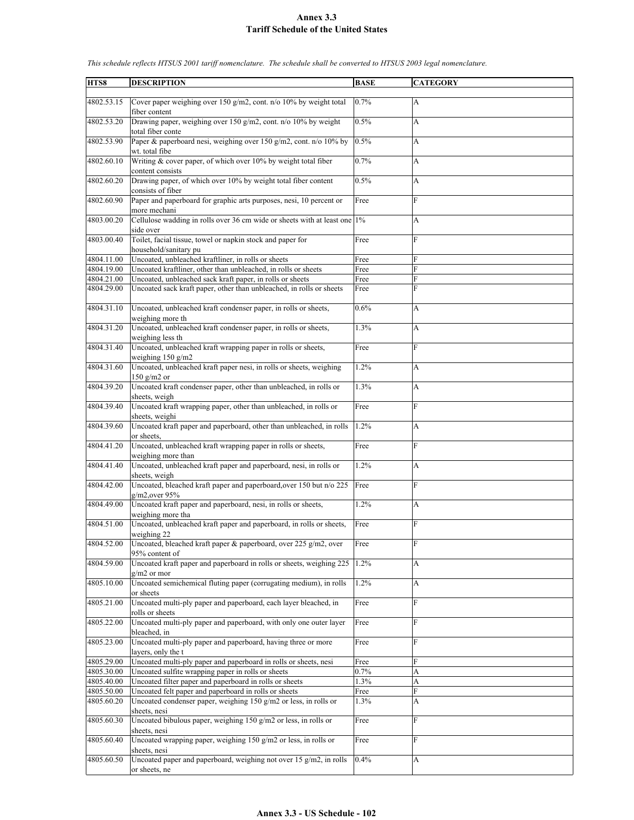| HTS8       | <b>DESCRIPTION</b>                                                        | <b>BASE</b> | <b>CATEGORY</b> |
|------------|---------------------------------------------------------------------------|-------------|-----------------|
|            |                                                                           |             |                 |
| 4802.53.15 | Cover paper weighing over 150 g/m2, cont. n/o 10% by weight total         | 0.7%        | $\mathbf{A}$    |
|            | fiber content                                                             |             |                 |
| 4802.53.20 | Drawing paper, weighing over 150 g/m2, cont. n/o 10% by weight            | 0.5%        | A               |
|            | total fiber conte                                                         |             |                 |
| 4802.53.90 | Paper & paperboard nesi, weighing over 150 g/m2, cont. n/o 10% by         | 0.5%        | A               |
|            | wt. total fibe                                                            |             |                 |
| 4802.60.10 |                                                                           | 0.7%        | A               |
|            | Writing & cover paper, of which over 10% by weight total fiber            |             |                 |
|            | content consists                                                          |             |                 |
| 4802.60.20 | Drawing paper, of which over 10% by weight total fiber content            | 0.5%        | A               |
|            | consists of fiber                                                         |             |                 |
| 4802.60.90 | Paper and paperboard for graphic arts purposes, nesi, 10 percent or       | Free        | F               |
|            | more mechani                                                              |             |                 |
| 4803.00.20 | Cellulose wadding in rolls over 36 cm wide or sheets with at least one 1% |             | A               |
|            | side over                                                                 |             |                 |
| 4803.00.40 | Toilet, facial tissue, towel or napkin stock and paper for                | Free        | F               |
|            | household/sanitary pu                                                     |             |                 |
| 4804.11.00 | Uncoated, unbleached kraftliner, in rolls or sheets                       | Free        | F               |
| 4804.19.00 | Uncoated kraftliner, other than unbleached, in rolls or sheets            | Free        | F               |
|            |                                                                           |             |                 |
| 4804.21.00 | Uncoated, unbleached sack kraft paper, in rolls or sheets                 | Free        | F               |
| 4804.29.00 | Uncoated sack kraft paper, other than unbleached, in rolls or sheets      | Free        | F               |
|            |                                                                           |             |                 |
| 4804.31.10 | Uncoated, unbleached kraft condenser paper, in rolls or sheets,           | 0.6%        | A               |
|            | weighing more th                                                          |             |                 |
| 4804.31.20 | Uncoated, unbleached kraft condenser paper, in rolls or sheets,           | 1.3%        | A               |
|            | weighing less th                                                          |             |                 |
| 4804.31.40 | Uncoated, unbleached kraft wrapping paper in rolls or sheets,             | Free        | F               |
|            | weighing $150$ g/m2                                                       |             |                 |
| 4804.31.60 | Uncoated, unbleached kraft paper nesi, in rolls or sheets, weighing       | 1.2%        |                 |
|            |                                                                           |             | A               |
|            | 150 $g/m2$ or                                                             |             |                 |
| 4804.39.20 | Uncoated kraft condenser paper, other than unbleached, in rolls or        | 1.3%        | A               |
|            | sheets, weigh                                                             |             |                 |
| 4804.39.40 | Uncoated kraft wrapping paper, other than unbleached, in rolls or         | Free        | F               |
|            | sheets, weighi                                                            |             |                 |
| 4804.39.60 | Uncoated kraft paper and paperboard, other than unbleached, in rolls      | 1.2%        | A               |
|            | or sheets.                                                                |             |                 |
| 4804.41.20 | Uncoated, unbleached kraft wrapping paper in rolls or sheets,             | Free        | $\mathbf F$     |
|            | weighing more than                                                        |             |                 |
| 4804.41.40 | Uncoated, unbleached kraft paper and paperboard, nesi, in rolls or        | 1.2%        | A               |
|            | sheets, weigh                                                             |             |                 |
|            |                                                                           |             |                 |
| 4804.42.00 | Uncoated, bleached kraft paper and paperboard, over 150 but n/o 225       | Free        | $\overline{F}$  |
|            | $g/m2$ , over 95%                                                         |             |                 |
| 4804.49.00 | Uncoated kraft paper and paperboard, nesi, in rolls or sheets,            | 1.2%        | A               |
|            | weighing more tha                                                         |             |                 |
| 4804.51.00 | Uncoated, unbleached kraft paper and paperboard, in rolls or sheets,      | Free        | F               |
|            | weighing 22                                                               |             |                 |
| 4804.52.00 | Uncoated, bleached kraft paper & paperboard, over 225 g/m2, over          | Free        | $\overline{F}$  |
|            | 95% content of                                                            |             |                 |
| 4804.59.00 | Uncoated kraft paper and paperboard in rolls or sheets, weighing 225      | 1.2%        | А               |
|            | $g/m2$ or mor                                                             |             |                 |
|            |                                                                           |             |                 |
| 4805.10.00 | Uncoated semichemical fluting paper (corrugating medium), in rolls        | 1.2%        | А               |
|            | or sheets                                                                 |             |                 |
| 4805.21.00 | Uncoated multi-ply paper and paperboard, each layer bleached, in          | Free        | $\mathbf F$     |
|            | rolls or sheets                                                           |             |                 |
| 4805.22.00 | Uncoated multi-ply paper and paperboard, with only one outer layer        | Free        | F               |
|            | bleached, in                                                              |             |                 |
| 4805.23.00 | Uncoated multi-ply paper and paperboard, having three or more             | Free        | F               |
|            | layers, only the t                                                        |             |                 |
| 4805.29.00 | Uncoated multi-ply paper and paperboard in rolls or sheets, nesi          | Free        | F               |
| 4805.30.00 | Uncoated sulfite wrapping paper in rolls or sheets                        | 0.7%        | A               |
|            |                                                                           |             |                 |
| 4805.40.00 | Uncoated filter paper and paperboard in rolls or sheets                   | 1.3%        | A               |
| 4805.50.00 | Uncoated felt paper and paperboard in rolls or sheets                     | Free        | F               |
| 4805.60.20 | Uncoated condenser paper, weighing 150 g/m2 or less, in rolls or          | 1.3%        | A               |
|            | sheets, nesi                                                              |             |                 |
| 4805.60.30 | Uncoated bibulous paper, weighing 150 g/m2 or less, in rolls or           | Free        | $\mathbf{F}$    |
|            | sheets, nesi                                                              |             |                 |
| 4805.60.40 | Uncoated wrapping paper, weighing 150 g/m2 or less, in rolls or           | Free        | F               |
|            | sheets, nesi                                                              |             |                 |
| 4805.60.50 | Uncoated paper and paperboard, weighing not over 15 g/m2, in rolls        | 0.4%        | A               |
|            | or sheets, ne                                                             |             |                 |
|            |                                                                           |             |                 |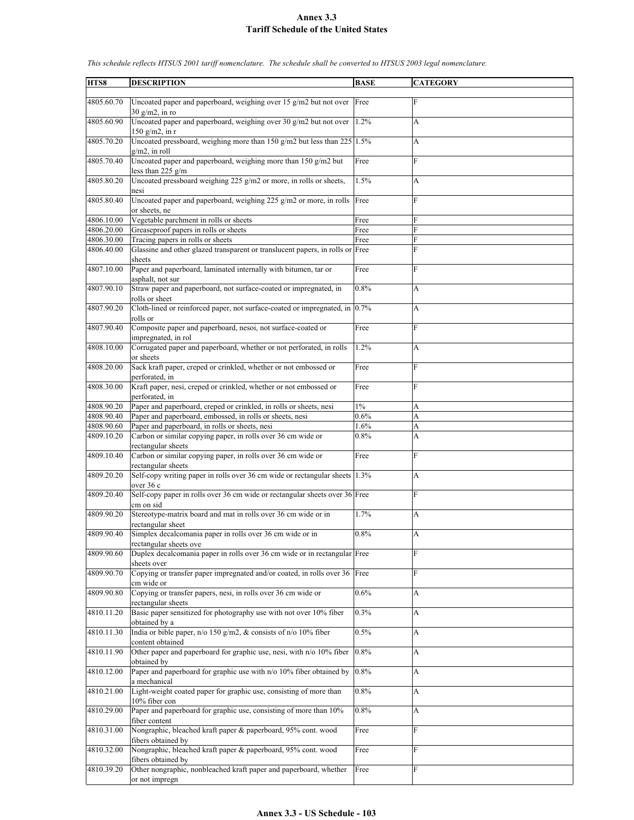| HTS8       | <b>DESCRIPTION</b>                                                                                    | <b>BASE</b> | <b>CATEGORY</b> |
|------------|-------------------------------------------------------------------------------------------------------|-------------|-----------------|
| 4805.60.70 | Uncoated paper and paperboard, weighing over 15 $g/m2$ but not over Free<br>$30 \text{ g/m2}$ , in ro |             | F               |
| 4805.60.90 | Uncoated paper and paperboard, weighing over 30 g/m2 but not over<br>$150$ g/m2, in r                 | 1.2%        | A               |
| 4805.70.20 | Uncoated pressboard, weighing more than 150 g/m2 but less than $225$ 1.5%<br>$g/m2$ , in roll         |             | A               |
| 4805.70.40 | Uncoated paper and paperboard, weighing more than 150 g/m2 but<br>less than $225$ g/m                 | Free        | F               |
| 4805.80.20 | Uncoated pressboard weighing 225 g/m2 or more, in rolls or sheets,<br>nesi                            | 1.5%        | A               |
| 4805.80.40 | Uncoated paper and paperboard, weighing 225 g/m2 or more, in rolls Free<br>or sheets, ne              |             | $\mathbf F$     |
| 4806.10.00 | Vegetable parchment in rolls or sheets                                                                | Free        | F               |
| 4806.20.00 | Greaseproof papers in rolls or sheets                                                                 | Free        | F               |
| 4806.30.00 | Tracing papers in rolls or sheets                                                                     | Free        | F               |
| 4806.40.00 | Glassine and other glazed transparent or translucent papers, in rolls or Free                         |             | F               |
| 4807.10.00 | sheets<br>Paper and paperboard, laminated internally with bitumen, tar or<br>asphalt, not sur         | Free        | F               |
| 4807.90.10 | Straw paper and paperboard, not surface-coated or impregnated, in                                     | 0.8%        | A               |
| 4807.90.20 | rolls or sheet<br>Cloth-lined or reinforced paper, not surface-coated or impregnated, in 0.7%         |             | A               |
| 4807.90.40 | rolls or<br>Composite paper and paperboard, nesoi, not surface-coated or<br>impregnated, in rol       | Free        | F               |
| 4808.10.00 | Corrugated paper and paperboard, whether or not perforated, in rolls<br>or sheets                     | 1.2%        | A               |
| 4808.20.00 | Sack kraft paper, creped or crinkled, whether or not embossed or<br>perforated, in                    | Free        | F               |
| 4808.30.00 | Kraft paper, nesi, creped or crinkled, whether or not embossed or<br>perforated, in                   | Free        | $\mathbf F$     |
| 4808.90.20 | Paper and paperboard, creped or crinkled, in rolls or sheets, nesi                                    | $1\%$       | A               |
| 4808.90.40 | Paper and paperboard, embossed, in rolls or sheets, nesi                                              | 0.6%        | A               |
| 4808.90.60 | Paper and paperboard, in rolls or sheets, nesi                                                        | 1.6%        | A               |
| 4809.10.20 | Carbon or similar copying paper, in rolls over 36 cm wide or<br>rectangular sheets                    | 0.8%        | A               |
| 4809.10.40 | Carbon or similar copying paper, in rolls over 36 cm wide or<br>rectangular sheets                    | Free        | F               |
| 4809.20.20 | Self-copy writing paper in rolls over 36 cm wide or rectangular sheets 1.3%<br>over 36 c              |             | A               |
| 4809.20.40 | Self-copy paper in rolls over 36 cm wide or rectangular sheets over 36 Free<br>cm on sid              |             | F               |
| 4809.90.20 | Stereotype-matrix board and mat in rolls over 36 cm wide or in<br>rectangular sheet                   | 1.7%        | А               |
| 4809.90.40 | Simplex decalcomania paper in rolls over 36 cm wide or in<br>rectangular sheets ove                   | $0.8\%$     | A               |
| 4809.90.60 | Duplex decalcomania paper in rolls over 36 cm wide or in rectangular Free<br>sheets over              |             | F               |
| 4809.90.70 | Copying or transfer paper impregnated and/or coated, in rolls over 36 Free<br>cm wide or              |             | F               |
| 4809.90.80 | Copying or transfer papers, nesi, in rolls over 36 cm wide or<br>rectangular sheets                   | 0.6%        | A               |
| 4810.11.20 | Basic paper sensitized for photography use with not over 10% fiber<br>obtained by a                   | 0.3%        | A               |
| 4810.11.30 | India or bible paper, n/o 150 g/m2, & consists of n/o 10% fiber<br>content obtained                   | 0.5%        | A               |
| 4810.11.90 | Other paper and paperboard for graphic use, nesi, with n/o 10% fiber<br>obtained by                   | 0.8%        | A               |
| 4810.12.00 | Paper and paperboard for graphic use with n/o 10% fiber obtained by<br>a mechanical                   | 0.8%        | A               |
| 4810.21.00 | Light-weight coated paper for graphic use, consisting of more than<br>10% fiber con                   | 0.8%        | A               |
| 4810.29.00 | Paper and paperboard for graphic use, consisting of more than 10%<br>fiber content                    | 0.8%        | A               |
| 4810.31.00 | Nongraphic, bleached kraft paper & paperboard, 95% cont. wood<br>fibers obtained by                   | Free        | F               |
| 4810.32.00 | Nongraphic, bleached kraft paper & paperboard, 95% cont. wood<br>fibers obtained by                   | Free        | F               |
| 4810.39.20 | Other nongraphic, nonbleached kraft paper and paperboard, whether<br>or not impregn                   | Free        | F               |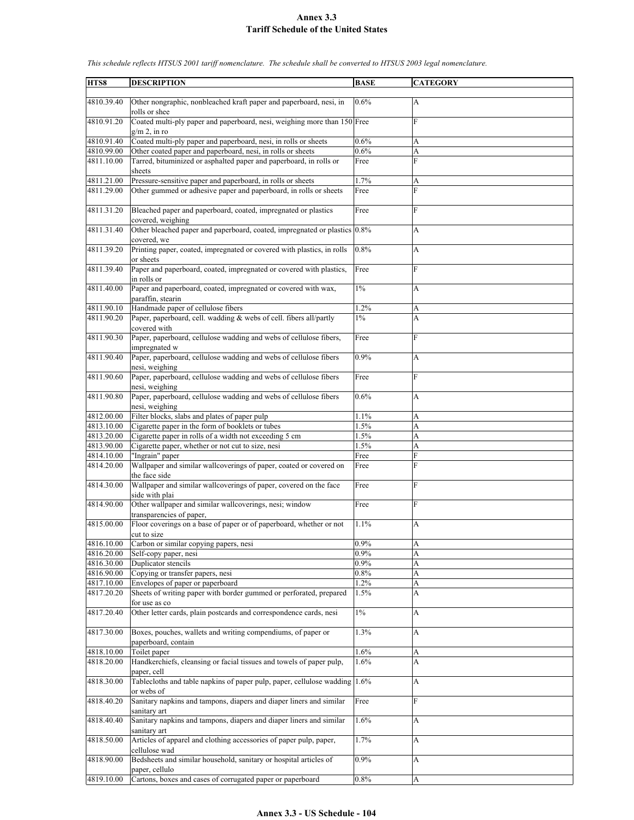| HTS8                     | <b>DESCRIPTION</b>                                                                                                      | <b>BASE</b>  | <b>CATEGORY</b>           |
|--------------------------|-------------------------------------------------------------------------------------------------------------------------|--------------|---------------------------|
| 4810.39.40               | Other nongraphic, nonbleached kraft paper and paperboard, nesi, in                                                      | 0.6%         | $\overline{A}$            |
| 4810.91.20               | rolls or shee<br>Coated multi-ply paper and paperboard, nesi, weighing more than 150 Free                               |              | F                         |
| 4810.91.40               | $g/m$ 2, in ro<br>Coated multi-ply paper and paperboard, nesi, in rolls or sheets                                       | 0.6%         | A                         |
| 4810.99.00               | Other coated paper and paperboard, nesi, in rolls or sheets                                                             | 0.6%         | A                         |
| 4811.10.00               | Tarred, bituminized or asphalted paper and paperboard, in rolls or<br>sheets                                            | Free         | F                         |
| 4811.21.00               | Pressure-sensitive paper and paperboard, in rolls or sheets                                                             | 1.7%         | A                         |
| 4811.29.00               | Other gummed or adhesive paper and paperboard, in rolls or sheets                                                       | Free         | $\overline{F}$            |
| 4811.31.20               | Bleached paper and paperboard, coated, impregnated or plastics<br>covered, weighing                                     | Free         | F                         |
| 4811.31.40               | Other bleached paper and paperboard, coated, impregnated or plastics 0.8%<br>covered, we                                |              | A                         |
| 4811.39.20               | Printing paper, coated, impregnated or covered with plastics, in rolls<br>or sheets                                     | 0.8%         | A                         |
| 4811.39.40               | Paper and paperboard, coated, impregnated or covered with plastics,<br>in rolls or                                      | Free         | F                         |
| 4811.40.00               | Paper and paperboard, coated, impregnated or covered with wax,                                                          | $1\%$        | A                         |
| 4811.90.10               | paraffin, stearin<br>Handmade paper of cellulose fibers                                                                 | 1.2%         | A                         |
| 4811.90.20               | Paper, paperboard, cell. wadding & webs of cell. fibers all/partly                                                      | $1\%$        | A                         |
|                          | covered with                                                                                                            |              | $\mathbf F$               |
| 4811.90.30               | Paper, paperboard, cellulose wadding and webs of cellulose fibers,<br>impregnated w                                     | Free         |                           |
| 4811.90.40               | Paper, paperboard, cellulose wadding and webs of cellulose fibers<br>nesi, weighing                                     | 0.9%         | A                         |
| 4811.90.60               | Paper, paperboard, cellulose wadding and webs of cellulose fibers<br>nesi, weighing                                     | Free         | F                         |
| 4811.90.80               | Paper, paperboard, cellulose wadding and webs of cellulose fibers<br>nesi, weighing                                     | 0.6%         | A                         |
| 4812.00.00               | Filter blocks, slabs and plates of paper pulp                                                                           | 1.1%         | A                         |
| 4813.10.00               | Cigarette paper in the form of booklets or tubes                                                                        | 1.5%         | A                         |
| 4813.20.00               | Cigarette paper in rolls of a width not exceeding 5 cm                                                                  | 1.5%         | A                         |
| 4813.90.00<br>4814.10.00 | Cigarette paper, whether or not cut to size, nesi<br>"Ingrain" paper                                                    | 1.5%<br>Free | A<br>F                    |
| 4814.20.00               | Wallpaper and similar wallcoverings of paper, coated or covered on<br>the face side                                     | Free         | $\overline{F}$            |
| 4814.30.00               | Wallpaper and similar wallcoverings of paper, covered on the face<br>side with plai                                     | Free         | F                         |
| 4814.90.00               | Other wallpaper and similar wallcoverings, nesi; window<br>transparencies of paper,                                     | Free         | F                         |
| 4815.00.00               | Floor coverings on a base of paper or of paperboard, whether or not<br>cut to size                                      | 1.1%         | A                         |
| 4816.10.00               | Carbon or similar copying papers, nesi                                                                                  | 0.9%         | A                         |
| 4816.20.00               | Self-copy paper, nesi                                                                                                   | 0.9%         | A                         |
| 4816.30.00               | Duplicator stencils                                                                                                     | $0.9\%$      | $\boldsymbol{\mathsf{A}}$ |
| 4816.90.00               | Copying or transfer papers, nesi                                                                                        | $0.8\%$      | A                         |
| 4817.10.00<br>4817.20.20 | Envelopes of paper or paperboard<br>Sheets of writing paper with border gummed or perforated, prepared<br>for use as co | 1.2%<br>1.5% | A<br>A                    |
| 4817.20.40               | Other letter cards, plain postcards and correspondence cards, nesi                                                      | $1\%$        | A                         |
| 4817.30.00               | Boxes, pouches, wallets and writing compendiums, of paper or<br>paperboard, contain                                     | 1.3%         | A                         |
| 4818.10.00               | Toilet paper                                                                                                            | 1.6%         | A                         |
| 4818.20.00               | Handkerchiefs, cleansing or facial tissues and towels of paper pulp,                                                    | 1.6%         | A                         |
| 4818.30.00               | paper, cell<br>Tablecloths and table napkins of paper pulp, paper, cellulose wadding 1.6%                               |              | A                         |
| 4818.40.20               | or webs of<br>Sanitary napkins and tampons, diapers and diaper liners and similar                                       | Free         | $\overline{F}$            |
| 4818.40.40               | sanitary art<br>Sanitary napkins and tampons, diapers and diaper liners and similar<br>sanitary art                     | 1.6%         | A                         |
| 4818.50.00               | Articles of apparel and clothing accessories of paper pulp, paper,<br>cellulose wad                                     | 1.7%         | A                         |
| 4818.90.00               | Bedsheets and similar household, sanitary or hospital articles of<br>paper, cellulo                                     | 0.9%         | A                         |
| 4819.10.00               | Cartons, boxes and cases of corrugated paper or paperboard                                                              | $0.8\%$      | A                         |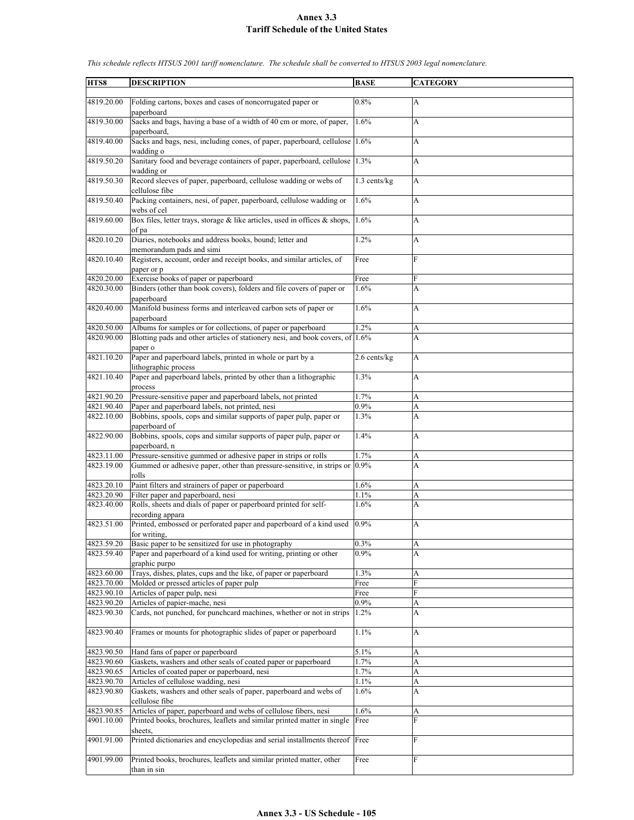| HTS8       | <b>DESCRIPTION</b>                                                                                    | <b>BASE</b>       | <b>CATEGORY</b>       |
|------------|-------------------------------------------------------------------------------------------------------|-------------------|-----------------------|
|            |                                                                                                       |                   |                       |
| 4819.20.00 | Folding cartons, boxes and cases of noncorrugated paper or<br>paperboard                              | 0.8%              | $\mathbf{A}$          |
| 4819.30.00 | Sacks and bags, having a base of a width of 40 cm or more, of paper,                                  | 1.6%              | A                     |
| 4819.40.00 | paperboard.<br>Sacks and bags, nesi, including cones, of paper, paperboard, cellulose 1.6%            |                   | A                     |
| 4819.50.20 | wadding o<br>Sanitary food and beverage containers of paper, paperboard, cellulose                    | 1.3%              | A                     |
|            | wadding or                                                                                            |                   |                       |
| 4819.50.30 | Record sleeves of paper, paperboard, cellulose wadding or webs of                                     | 1.3 cents/kg      | $\mathbf{A}$          |
| 4819.50.40 | cellulose fibe<br>Packing containers, nesi, of paper, paperboard, cellulose wadding or<br>webs of cel | 1.6%              | A                     |
| 4819.60.00 | Box files, letter trays, storage & like articles, used in offices & shops, $1.6\%$                    |                   | A                     |
|            | of pa                                                                                                 |                   |                       |
| 4820.10.20 | Diaries, notebooks and address books, bound; letter and<br>memorandum pads and simi                   | 1.2%              | A                     |
| 4820.10.40 | Registers, account, order and receipt books, and similar articles, of<br>paper or p                   | Free              | F                     |
| 4820.20.00 | Exercise books of paper or paperboard                                                                 | Free              | F                     |
|            |                                                                                                       |                   |                       |
| 4820.30.00 | Binders (other than book covers), folders and file covers of paper or<br>paperboard                   | 1.6%              | A                     |
| 4820.40.00 | Manifold business forms and interleaved carbon sets of paper or<br>paperboard                         | 1.6%              | A                     |
| 4820.50.00 | Albums for samples or for collections, of paper or paperboard                                         | 1.2%              | A                     |
| 4820.90.00 | Blotting pads and other articles of stationery nesi, and book covers, of 1.6%                         |                   | A                     |
|            | paper o                                                                                               |                   |                       |
| 4821.10.20 | Paper and paperboard labels, printed in whole or part by a                                            | $2.6$ cents/ $kg$ | A                     |
|            | lithographic process                                                                                  |                   |                       |
| 4821.10.40 | Paper and paperboard labels, printed by other than a lithographic<br>process                          | 1.3%              | A                     |
| 4821.90.20 | Pressure-sensitive paper and paperboard labels, not printed                                           | 1.7%              | A                     |
| 4821.90.40 | Paper and paperboard labels, not printed, nesi                                                        | 0.9%              | A                     |
| 4822.10.00 | Bobbins, spools, cops and similar supports of paper pulp, paper or                                    | 1.3%              | A                     |
|            |                                                                                                       |                   |                       |
| 4822.90.00 | paperboard of<br>Bobbins, spools, cops and similar supports of paper pulp, paper or                   | 1.4%              | A                     |
|            | paperboard, n                                                                                         |                   |                       |
| 4823.11.00 | Pressure-sensitive gummed or adhesive paper in strips or rolls                                        | 1.7%              | A                     |
| 4823.19.00 | Gummed or adhesive paper, other than pressure-sensitive, in strips or                                 | 0.9%              | A                     |
|            | rolls                                                                                                 |                   |                       |
| 4823.20.10 | Paint filters and strainers of paper or paperboard                                                    | 1.6%              | A                     |
| 4823.20.90 | Filter paper and paperboard, nesi                                                                     | 1.1%              | A                     |
| 4823.40.00 | Rolls, sheets and dials of paper or paperboard printed for self-                                      | 1.6%              | A                     |
|            | recording appara                                                                                      |                   |                       |
| 4823.51.00 | Printed, embossed or perforated paper and paperboard of a kind used                                   | 0.9%              | A                     |
|            | for writing.                                                                                          |                   |                       |
| 4823.59.20 | Basic paper to be sensitized for use in photography                                                   | 0.3%              | A                     |
| 4823.59.40 | Paper and paperboard of a kind used for writing, printing or other                                    | 0.9%              | A                     |
|            | graphic purpo                                                                                         |                   |                       |
| 4823.60.00 | Trays, dishes, plates, cups and the like, of paper or paperboard                                      | 1.3%              | A                     |
| 4823.70.00 | Molded or pressed articles of paper pulp                                                              | Free              | F                     |
| 4823.90.10 | Articles of paper pulp, nesi                                                                          | Free              | F                     |
| 4823.90.20 | Articles of papier-mache, nesi                                                                        | 0.9%              | A                     |
| 4823.90.30 | Cards, not punched, for punchcard machines, whether or not in strips                                  | 1.2%              | A                     |
| 4823.90.40 | Frames or mounts for photographic slides of paper or paperboard                                       | 1.1%              | A                     |
| 4823.90.50 | Hand fans of paper or paperboard                                                                      | 5.1%              | A                     |
| 4823.90.60 | Gaskets, washers and other seals of coated paper or paperboard                                        | 1.7%              | $\boldsymbol{\rm{A}}$ |
| 4823.90.65 | Articles of coated paper or paperboard, nesi                                                          | 1.7%              | A                     |
|            |                                                                                                       |                   |                       |
| 4823.90.70 | Articles of cellulose wadding, nesi                                                                   | 1.1%              | A                     |
| 4823.90.80 | Gaskets, washers and other seals of paper, paperboard and webs of<br>cellulose fibe                   | 1.6%              | A                     |
| 4823.90.85 | Articles of paper, paperboard and webs of cellulose fibers, nesi                                      | 1.6%              | A                     |
| 4901.10.00 | Printed books, brochures, leaflets and similar printed matter in single<br>sheets,                    | Free              | F                     |
| 4901.91.00 | Printed dictionaries and encyclopedias and serial installments thereof Free                           |                   | F                     |
|            |                                                                                                       |                   |                       |
| 4901.99.00 | Printed books, brochures, leaflets and similar printed matter, other<br>than in sin                   | Free              | ${\rm F}$             |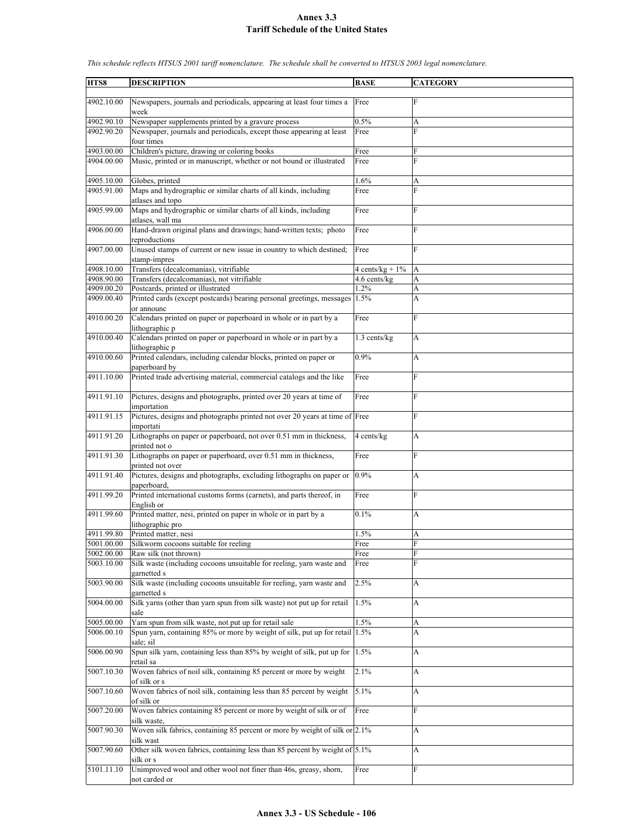**HTS8 DESCRIPTION BASE CATEGORY** 4902.10.00 Newspapers, journals and periodicals, appearing at least four times a week Free 4902.90.10 Newspaper supplements printed by a gravure process 0.5% A 4902.90.20 Newspaper, journals and periodicals, except those appearing at least four times Free F 4903.00.00 Children's picture, drawing or coloring books Free Free 4904.00.00 Music, printed or in manuscript, whether or not bound or illustrated Free F 4905.10.00 Globes, printed 1.6% A 4905.91.00 Maps and hydrographic or similar charts of all kinds, including atlases and topo Free F 4905.99.00 Maps and hydrographic or similar charts of all kinds, including atlases, wall ma Free F 4906.00.00 Hand-drawn original plans and drawings; hand-written texts; photo reproductions Free F 4907.00.00 Unused stamps of current or new issue in country to which destined; stamp-impres Free F 4908.10.00 Transfers (decalcomanias), vitrifiable  $4 \text{ cents/kg} + 1\%$  A 4908.90.00 Transfers (decalcomanias), not vitrifiable 4.6 cents/kg 4909.00.20 Postcards, printed or illustrated 1.2% A 4909.00.40 Printed cards (except postcards) bearing personal greetings, messages or announc 1.5% A 4910.00.20 Calendars printed on paper or paperboard in whole or in part by a lithographic p Free F 4910.00.40 Calendars printed on paper or paperboard in whole or in part by a lithographic p 1.3 cents/kg A 4910.00.60 Printed calendars, including calendar blocks, printed on paper or paperboard by 0.9% A 4911.10.00 Printed trade advertising material, commercial catalogs and the like Free 4911.91.10 Pictures, designs and photographs, printed over 20 years at time of importation Free F 4911.91.15 Pictures, designs and photographs printed not over 20 years at time of Free F importati 4911.91.20 Lithographs on paper or paperboard, not over 0.51 mm in thickness, printed not o  $4$  cents/kg  $|A|$ 4911.91.30 Lithographs on paper or paperboard, over 0.51 mm in thickness, printed not over Free F 4911.91.40 Pictures, designs and photographs, excluding lithographs on paper or paperboard, 0.9% A 4911.99.20 Printed international customs forms (carnets), and parts thereof, in English or Free F 4911.99.60 Printed matter, nesi, printed on paper in whole or in part by a lithographic pro 0.1% A 4911.99.80 Printed matter, nesi 1.5% A 5001.00.00 Silkworm cocoons suitable for reeling Free 5002.00.00 Raw silk (not thrown) Free 5003.10.00 Silk waste (including cocoons unsuitable for reeling, yarn waste and garnetted s Free F 5003.90.00 Silk waste (including cocoons unsuitable for reeling, yarn waste and garnetted s 2.5% A 5004.00.00 Silk yarns (other than yarn spun from silk waste) not put up for retail sale 1.5% A 5005.00.00 Yarn spun from silk waste, not put up for retail sale  $1.5\%$  A 5006.00.10 Spun yarn, containing 85% or more by weight of silk, put up for retail sale; sil 1.5% A 5006.00.90 Spun silk yarn, containing less than 85% by weight of silk, put up for retail sa 1.5% A 5007.10.30 Woven fabrics of noil silk, containing 85 percent or more by weight of silk or s 2.1% A 5007.10.60 Woven fabrics of noil silk, containing less than 85 percent by weight of silk or 5.1% A 5007.20.00 Woven fabrics containing 85 percent or more by weight of silk or of silk waste, Free F 5007.90.30 Woven silk fabrics, containing 85 percent or more by weight of silk or 2.1% A silk wast 5007.90.60 Other silk woven fabrics, containing less than 85 percent by weight of silk or s  $5.1\%$  A 5101.11.10 Unimproved wool and other wool not finer than 46s, greasy, shorn, not carded or Free Free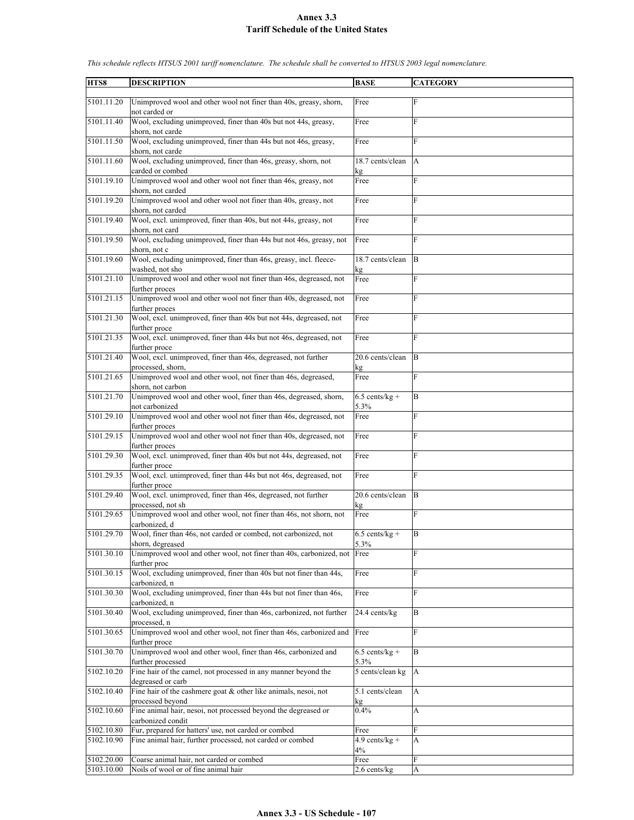| HTS8       | <b>DESCRIPTION</b>                                                                                    | <b>BASE</b>              | <b>CATEGORY</b> |
|------------|-------------------------------------------------------------------------------------------------------|--------------------------|-----------------|
|            |                                                                                                       |                          |                 |
| 5101.11.20 | Unimproved wool and other wool not finer than 40s, greasy, shorn,<br>not carded or                    | Free                     | F               |
| 5101.11.40 | Wool, excluding unimproved, finer than 40s but not 44s, greasy,<br>shorn, not carde                   | Free                     | F               |
| 5101.11.50 | Wool, excluding unimproved, finer than 44s but not 46s, greasy,                                       | Free                     | F               |
| 5101.11.60 | shorn, not carde<br>Wool, excluding unimproved, finer than 46s, greasy, shorn, not                    | 18.7 cents/clean         | A               |
|            | carded or combed                                                                                      | kg                       |                 |
| 5101.19.10 | Unimproved wool and other wool not finer than 46s, greasy, not<br>shorn, not carded                   | Free                     | F               |
| 5101.19.20 | Unimproved wool and other wool not finer than 40s, greasy, not<br>shorn, not carded                   | Free                     | F               |
| 5101.19.40 | Wool, excl. unimproved, finer than 40s, but not 44s, greasy, not<br>shorn, not card                   | Free                     | F               |
| 5101.19.50 | Wool, excluding unimproved, finer than 44s but not 46s, greasy, not<br>shorn, not c                   | Free                     | F               |
| 5101.19.60 | Wool, excluding unimproved, finer than 46s, greasy, incl. fleece-                                     | 18.7 cents/clean         | B               |
| 5101.21.10 | washed, not sho                                                                                       | kg<br>Free               | F               |
|            | Unimproved wool and other wool not finer than 46s, degreased, not<br>further proces                   |                          |                 |
| 5101.21.15 | Unimproved wool and other wool not finer than 40s, degreased, not<br>further proces                   | Free                     | F               |
| 5101.21.30 | Wool, excl. unimproved, finer than 40s but not 44s, degreased, not<br>further proce                   | Free                     | F               |
| 5101.21.35 | Wool, excl. unimproved, finer than 44s but not 46s, degreased, not<br>further proce                   | Free                     | F               |
| 5101.21.40 | Wool, excl. unimproved, finer than 46s, degreased, not further                                        | 20.6 cents/clean         | B               |
| 5101.21.65 | processed, shorn,<br>Unimproved wool and other wool, not finer than 46s, degreased,                   | kg<br>Free               | F               |
|            | shorn, not carbon                                                                                     |                          |                 |
| 5101.21.70 | Unimproved wool and other wool, finer than 46s, degreased, shorn,<br>not carbonized                   | $6.5$ cents/kg +<br>5.3% | B               |
| 5101.29.10 | Unimproved wool and other wool not finer than 46s, degreased, not<br>further proces                   | Free                     | F               |
| 5101.29.15 | Unimproved wool and other wool not finer than 40s, degreased, not                                     | Free                     | F               |
| 5101.29.30 | further proces<br>Wool, excl. unimproved, finer than 40s but not 44s, degreased, not<br>further proce | Free                     | F               |
| 5101.29.35 | Wool, excl. unimproved, finer than 44s but not 46s, degreased, not                                    | Free                     | F               |
| 5101.29.40 | further proce<br>Wool, excl. unimproved, finer than 46s, degreased, not further                       | 20.6 cents/clean         | B               |
|            | processed, not sh                                                                                     | kg                       |                 |
| 5101.29.65 | Unimproved wool and other wool, not finer than 46s, not shorn, not<br>carbonized, d                   | Free                     | F               |
| 5101.29.70 | Wool, finer than 46s, not carded or combed, not carbonized, not<br>shorn, degreased                   | $6.5$ cents/kg +<br>5.3% | B               |
| 5101.30.10 | Unimproved wool and other wool, not finer than 40s, carbonized, not                                   | Free                     | F               |
| 5101.30.15 | further proc<br>Wool, excluding unimproved, finer than 40s but not finer than 44s,                    | Free                     | F               |
|            | carbonized. n                                                                                         |                          |                 |
| 5101.30.30 | Wool, excluding unimproved, finer than 44s but not finer than 46s,<br>carbonized, n                   | Free                     | F               |
| 5101.30.40 | Wool, excluding unimproved, finer than 46s, carbonized, not further<br>processed, n                   | 24.4 cents/kg            | B               |
| 5101.30.65 | Unimproved wool and other wool, not finer than 46s, carbonized and<br>further proce                   | Free                     | F               |
| 5101.30.70 | Unimproved wool and other wool, finer than 46s, carbonized and                                        | $6.5$ cents/kg +         | B               |
| 5102.10.20 | further processed<br>Fine hair of the camel, not processed in any manner beyond the                   | 5.3%<br>5 cents/clean kg | A               |
|            | degreased or carb                                                                                     |                          |                 |
| 5102.10.40 | Fine hair of the cashmere goat $&$ other like animals, nesoi, not<br>processed beyond                 | 5.1 cents/clean<br>kg    | A               |
| 5102.10.60 | Fine animal hair, nesoi, not processed beyond the degreased or<br>carbonized condit                   | 0.4%                     | A               |
| 5102.10.80 | Fur, prepared for hatters' use, not carded or combed                                                  | Free                     | F               |
| 5102.10.90 | Fine animal hair, further processed, not carded or combed                                             | $4.9$ cents/kg +         | A               |
|            |                                                                                                       | 4%                       |                 |
| 5102.20.00 | Coarse animal hair, not carded or combed                                                              | Free                     | F               |
| 5103.10.00 | Noils of wool or of fine animal hair                                                                  | 2.6 cents/kg             | A               |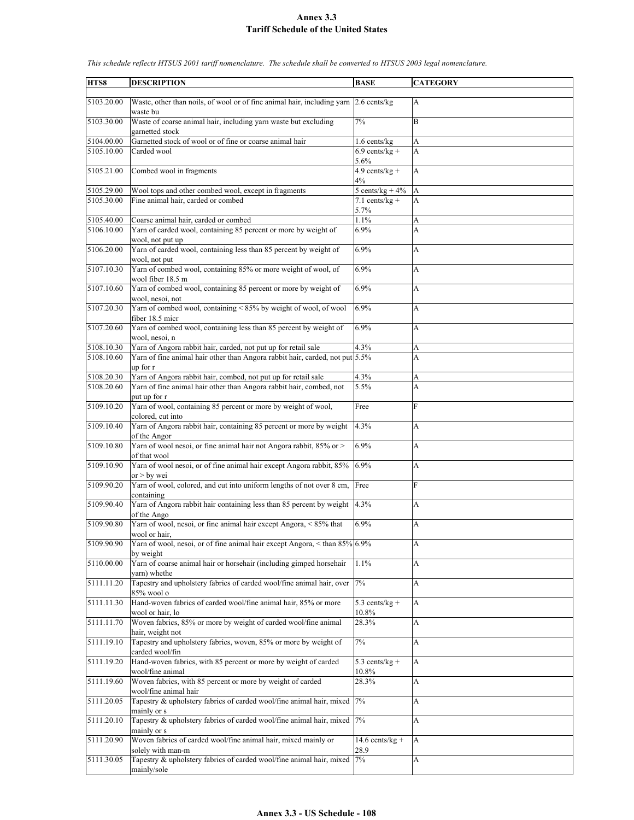| HTS8       | <b>DESCRIPTION</b>                                                                               | <b>BASE</b>        | <b>CATEGORY</b>           |
|------------|--------------------------------------------------------------------------------------------------|--------------------|---------------------------|
|            |                                                                                                  |                    |                           |
| 5103.20.00 | Waste, other than noils, of wool or of fine animal hair, including yarn 2.6 cents/kg<br>waste bu |                    | A                         |
| 5103.30.00 | Waste of coarse animal hair, including yarn waste but excluding<br>garnetted stock               | 7%                 | B                         |
| 5104.00.00 | Garnetted stock of wool or of fine or coarse animal hair                                         | $1.6$ cents/kg     | А                         |
| 5105.10.00 | Carded wool                                                                                      | $6.9$ cents/kg +   | A                         |
|            |                                                                                                  | 5.6%               |                           |
| 5105.21.00 |                                                                                                  | $4.9$ cents/kg +   | A                         |
|            | Combed wool in fragments                                                                         | 4%                 |                           |
| 5105.29.00 | Wool tops and other combed wool, except in fragments                                             | 5 cents/kg + $4\%$ | A                         |
| 5105.30.00 | Fine animal hair, carded or combed                                                               | $7.1$ cents/kg +   | A                         |
|            |                                                                                                  | 5.7%               |                           |
| 5105.40.00 | Coarse animal hair, carded or combed                                                             | 1.1%               | А                         |
| 5106.10.00 | Yarn of carded wool, containing 85 percent or more by weight of                                  | 6.9%               | A                         |
|            | wool, not put up                                                                                 |                    |                           |
| 5106.20.00 | Yarn of carded wool, containing less than 85 percent by weight of                                | 6.9%               | A                         |
|            | wool, not put                                                                                    |                    |                           |
| 5107.10.30 | Yarn of combed wool, containing 85% or more weight of wool, of                                   | 6.9%               | A                         |
|            | wool fiber 18.5 m                                                                                |                    |                           |
| 5107.10.60 | Yarn of combed wool, containing 85 percent or more by weight of                                  | 6.9%               | A                         |
|            | wool, nesoi, not                                                                                 |                    |                           |
| 5107.20.30 | Yarn of combed wool, containing < 85% by weight of wool, of wool                                 | 6.9%               | A                         |
|            |                                                                                                  |                    |                           |
|            | fiber 18.5 micr                                                                                  |                    |                           |
| 5107.20.60 | Yarn of combed wool, containing less than 85 percent by weight of                                | 6.9%               | A                         |
|            | wool. nesoi. n                                                                                   |                    |                           |
| 5108.10.30 | Yarn of Angora rabbit hair, carded, not put up for retail sale                                   | 4.3%               | A                         |
| 5108.10.60 | Yarn of fine animal hair other than Angora rabbit hair, carded, not put 5.5%                     |                    | A                         |
|            | up for r                                                                                         |                    |                           |
| 5108.20.30 | Yarn of Angora rabbit hair, combed, not put up for retail sale                                   | 4.3%               | А                         |
| 5108.20.60 | Yarn of fine animal hair other than Angora rabbit hair, combed, not                              | 5.5%               | A                         |
|            | put up for r                                                                                     |                    |                           |
| 5109.10.20 | Yarn of wool, containing 85 percent or more by weight of wool,                                   | Free               | F                         |
|            | colored, cut into                                                                                |                    |                           |
| 5109.10.40 | Yarn of Angora rabbit hair, containing 85 percent or more by weight                              | 4.3%               | A                         |
|            | of the Angor                                                                                     |                    |                           |
| 5109.10.80 | Yarn of wool nesoi, or fine animal hair not Angora rabbit, 85% or >                              | 6.9%               | A                         |
|            | of that wool                                                                                     |                    |                           |
| 5109.10.90 | Yarn of wool nesoi, or of fine animal hair except Angora rabbit, 85%                             | 6.9%               | A                         |
|            | or $>$ by wei                                                                                    |                    |                           |
| 5109.90.20 | Yarn of wool, colored, and cut into uniform lengths of not over 8 cm,                            | Free               | F                         |
|            | containing                                                                                       |                    |                           |
| 5109.90.40 | Yarn of Angora rabbit hair containing less than 85 percent by weight                             | 4.3%               | A                         |
|            |                                                                                                  |                    |                           |
| 5109.90.80 | of the Ango<br>Yarn of wool, nesoi, or fine animal hair except Angora, < 85% that                | 6.9%               | A                         |
|            |                                                                                                  |                    |                           |
|            | wool or hair,<br>Yarn of wool, nesoi, or of fine animal hair except Angora, < than 85% 6.9%      |                    |                           |
| 5109.90.90 |                                                                                                  |                    | A                         |
|            | by weight                                                                                        |                    |                           |
| 5110.00.00 | Yarn of coarse animal hair or horsehair (including gimped horsehair                              | 1.1%               | А                         |
|            | varn) whethe                                                                                     |                    |                           |
| 5111.11.20 | Tapestry and upholstery fabrics of carded wool/fine animal hair, over                            | 7%                 | A                         |
|            | 85% wool o                                                                                       |                    |                           |
| 5111.11.30 | Hand-woven fabrics of carded wool/fine animal hair, 85% or more                                  | $5.3$ cents/kg +   | $\boldsymbol{\mathsf{A}}$ |
|            | wool or hair, lo                                                                                 | $10.8\%$           |                           |
| 5111.11.70 | Woven fabrics, 85% or more by weight of carded wool/fine animal                                  | 28.3%              | A                         |
|            | hair, weight not                                                                                 |                    |                           |
| 5111.19.10 | Tapestry and upholstery fabrics, woven, 85% or more by weight of                                 | 7%                 | A                         |
|            | carded wool/fin                                                                                  |                    |                           |
| 5111.19.20 | Hand-woven fabrics, with 85 percent or more by weight of carded                                  | 5.3 cents/ $kg +$  | A                         |
|            | wool/fine animal                                                                                 | 10.8%              |                           |
| 5111.19.60 | Woven fabrics, with 85 percent or more by weight of carded                                       | 28.3%              | A                         |
|            | wool/fine animal hair                                                                            |                    |                           |
| 5111.20.05 | Tapestry & upholstery fabrics of carded wool/fine animal hair, mixed                             | 7%                 | A                         |
|            | mainly or s                                                                                      |                    |                           |
| 5111.20.10 | Tapestry & upholstery fabrics of carded wool/fine animal hair, mixed                             | 7%                 | $\boldsymbol{\mathsf{A}}$ |
|            | mainly or s                                                                                      |                    |                           |
| 5111.20.90 | Woven fabrics of carded wool/fine animal hair, mixed mainly or                                   | $14.6$ cents/kg +  | $\mathbf{A}$              |
|            |                                                                                                  |                    |                           |
| 5111.30.05 | solely with man-m<br>Tapestry & upholstery fabrics of carded wool/fine animal hair, mixed        | 28.9               |                           |
|            |                                                                                                  | 7%                 | A                         |
|            | mainly/sole                                                                                      |                    |                           |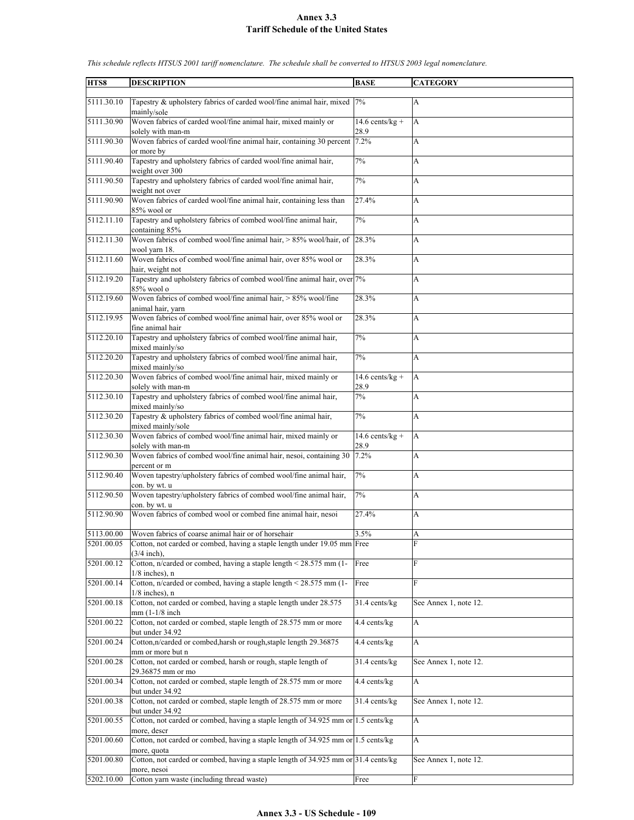| HTS8       | <b>DESCRIPTION</b>                                                                                   | <b>BASE</b>                  | <b>CATEGORY</b>       |
|------------|------------------------------------------------------------------------------------------------------|------------------------------|-----------------------|
|            |                                                                                                      |                              |                       |
| 5111.30.10 | Tapestry & upholstery fabrics of carded wool/fine animal hair, mixed<br>mainly/sole                  | 7%                           | A                     |
| 5111.30.90 | Woven fabrics of carded wool/fine animal hair, mixed mainly or<br>solely with man-m                  | 14.6 cents/ $kg +$<br>28.9   | A                     |
| 5111.90.30 | Woven fabrics of carded wool/fine animal hair, containing 30 percent<br>or more by                   | 7.2%                         | A                     |
| 5111.90.40 | Tapestry and upholstery fabrics of carded wool/fine animal hair,                                     | 7%                           | A                     |
| 5111.90.50 | weight over 300<br>Tapestry and upholstery fabrics of carded wool/fine animal hair,                  | 7%                           | A                     |
| 5111.90.90 | weight not over<br>Woven fabrics of carded wool/fine animal hair, containing less than               | 27.4%                        | A                     |
| 5112.11.10 | 85% wool or<br>Tapestry and upholstery fabrics of combed wool/fine animal hair,                      | 7%                           | A                     |
| 5112.11.30 | containing 85%<br>Woven fabrics of combed wool/fine animal hair, $> 85\%$ wool/hair, of 28.3%        |                              | A                     |
| 5112.11.60 | wool yarn 18.<br>Woven fabrics of combed wool/fine animal hair, over 85% wool or                     | 28.3%                        | A                     |
| 5112.19.20 | hair, weight not<br>Tapestry and upholstery fabrics of combed wool/fine animal hair, over 7%         |                              | A                     |
| 5112.19.60 | 85% wool o<br>Woven fabrics of combed wool/fine animal hair, > 85% wool/fine                         | 28.3%                        | A                     |
| 5112.19.95 | animal hair, yarn<br>Woven fabrics of combed wool/fine animal hair, over 85% wool or                 | 28.3%                        | A                     |
| 5112.20.10 | fine animal hair<br>Tapestry and upholstery fabrics of combed wool/fine animal hair,                 | 7%                           | А                     |
| 5112.20.20 | mixed mainly/so<br>Tapestry and upholstery fabrics of combed wool/fine animal hair,                  | 7%                           |                       |
|            | mixed mainly/so                                                                                      |                              | A                     |
| 5112.20.30 | Woven fabrics of combed wool/fine animal hair, mixed mainly or<br>solely with man-m                  | $14.6$ cents/kg +<br>28.9    | A                     |
| 5112.30.10 | Tapestry and upholstery fabrics of combed wool/fine animal hair,<br>mixed mainly/so                  | 7%                           | A                     |
| 5112.30.20 | Tapestry & upholstery fabrics of combed wool/fine animal hair,<br>mixed mainly/sole                  | 7%                           | A                     |
| 5112.30.30 | Woven fabrics of combed wool/fine animal hair, mixed mainly or                                       | $\overline{14.6}$ cents/kg + | A                     |
| 5112.90.30 | solely with man-m<br>Woven fabrics of combed wool/fine animal hair, nesoi, containing 30             | 28.9<br>7.2%                 | A                     |
| 5112.90.40 | percent or m<br>Woven tapestry/upholstery fabrics of combed wool/fine animal hair,                   | 7%                           |                       |
|            | con. by wt. u                                                                                        |                              | A                     |
| 5112.90.50 | Woven tapestry/upholstery fabrics of combed wool/fine animal hair,<br>con. by wt. u                  | 7%                           | A                     |
| 5112.90.90 | Woven fabrics of combed wool or combed fine animal hair, nesoi                                       | 27.4%                        | A                     |
| 5113.00.00 | Woven fabrics of coarse animal hair or of horsehair                                                  | 3.5%                         | A                     |
| 5201.00.05 | Cotton, not carded or combed, having a staple length under 19.05 mm Free<br>$(3/4$ inch).            |                              | F                     |
| 5201.00.12 | Cotton, n/carded or combed, having a staple length < 28.575 mm (1-<br>$1/8$ inches). n               | Free                         | F                     |
| 5201.00.14 | Cotton, n/carded or combed, having a staple length < 28.575 mm (1-<br>$1/8$ inches), n               | Free                         | F                     |
| 5201.00.18 | Cotton, not carded or combed, having a staple length under 28.575<br>mm (1-1/8 inch)                 | 31.4 cents/kg                | See Annex 1, note 12. |
| 5201.00.22 | Cotton, not carded or combed, staple length of 28.575 mm or more<br>but under 34.92                  | 4.4 cents/kg                 | A                     |
| 5201.00.24 | Cotton,n/carded or combed,harsh or rough,staple length 29.36875<br>mm or more but n                  | 4.4 cents/kg                 | A                     |
| 5201.00.28 | Cotton, not carded or combed, harsh or rough, staple length of<br>29.36875 mm or mo                  | 31.4 cents/kg                | See Annex 1, note 12. |
| 5201.00.34 | Cotton, not carded or combed, staple length of 28.575 mm or more<br>but under 34.92                  | 4.4 cents/kg                 | A                     |
| 5201.00.38 | Cotton, not carded or combed, staple length of 28.575 mm or more                                     | 31.4 cents/kg                | See Annex 1, note 12. |
| 5201.00.55 | but under 34.92<br>Cotton, not carded or combed, having a staple length of 34.925 mm or 1.5 cents/kg |                              | A                     |
| 5201.00.60 | more, descr<br>Cotton, not carded or combed, having a staple length of 34.925 mm or 1.5 cents/kg     |                              | A                     |
|            | more, quota                                                                                          |                              |                       |
| 5201.00.80 | Cotton, not carded or combed, having a staple length of 34.925 mm or 31.4 cents/kg<br>more, nesoi    |                              | See Annex 1, note 12. |
| 5202.10.00 | Cotton yarn waste (including thread waste)                                                           | Free                         | F                     |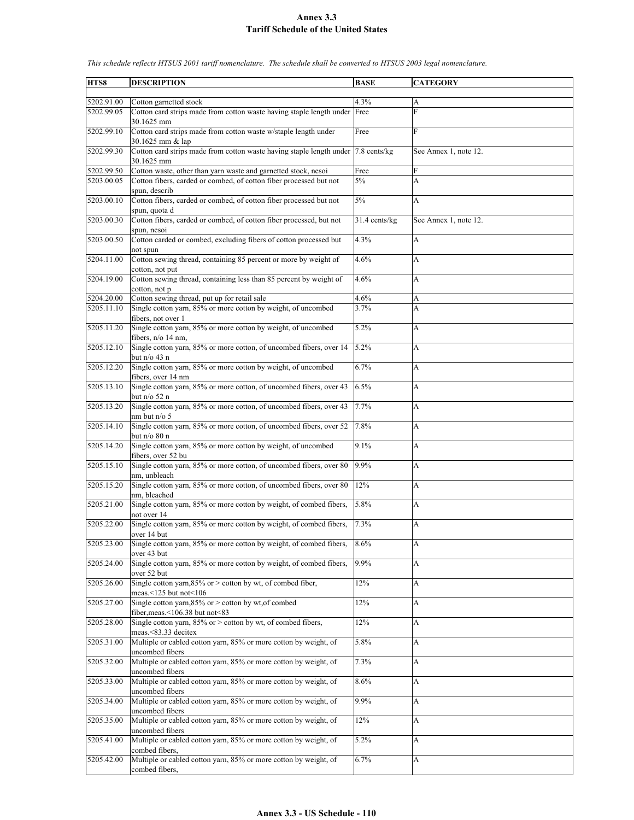| 5202.91.00<br>4.3%<br>Cotton garnetted stock<br>А<br>F<br>5202.99.05<br>Cotton card strips made from cotton waste having staple length under Free<br>30.1625 mm<br>5202.99.10<br>Cotton card strips made from cotton waste w/staple length under<br>F<br>Free<br>30.1625 mm & lap<br>5202.99.30<br>Cotton card strips made from cotton waste having staple length under 7.8 cents/kg<br>See Annex 1, note 12.<br>30.1625 mm<br>5202.99.50<br>Cotton waste, other than yarn waste and garnetted stock, nesoi<br>Free<br>F<br>Cotton fibers, carded or combed, of cotton fiber processed but not<br>5203.00.05<br>5%<br>A<br>spun, describ<br>Cotton fibers, carded or combed, of cotton fiber processed but not<br>5203.00.10<br>5%<br>A<br>spun, quota d<br>Cotton fibers, carded or combed, of cotton fiber processed, but not<br>5203.00.30<br>31.4 cents/kg<br>See Annex 1, note 12.<br>spun, nesoi<br>Cotton carded or combed, excluding fibers of cotton processed but<br>4.3%<br>5203.00.50<br>A<br>not spun<br>5204.11.00<br>Cotton sewing thread, containing 85 percent or more by weight of<br>4.6%<br>A<br>cotton, not put<br>Cotton sewing thread, containing less than 85 percent by weight of<br>5204.19.00<br>4.6%<br>A<br>cotton, not p<br>Cotton sewing thread, put up for retail sale<br>5204.20.00<br>4.6%<br>A<br>Single cotton yarn, 85% or more cotton by weight, of uncombed<br>5205.11.10<br>3.7%<br>A<br>fibers, not over 1<br>Single cotton yarn, 85% or more cotton by weight, of uncombed<br>5.2%<br>5205.11.20<br>A<br>fibers, n/o 14 nm,<br>Single cotton yarn, 85% or more cotton, of uncombed fibers, over 14<br>5.2%<br>5205.12.10<br>A<br>but $n/o 43 n$<br>Single cotton yarn, 85% or more cotton by weight, of uncombed<br>6.7%<br>5205.12.20<br>A<br>fibers, over 14 nm<br>Single cotton yarn, 85% or more cotton, of uncombed fibers, over 43<br>5205.13.10<br>6.5%<br>A<br>but n/o 52 n<br>5205.13.20<br>Single cotton yarn, 85% or more cotton, of uncombed fibers, over 43<br>7.7%<br>A<br>$nm$ but $n/o$ 5<br>Single cotton yarn, 85% or more cotton, of uncombed fibers, over 52<br>5205.14.10<br>7.8%<br>A<br>but n/o 80 n<br>Single cotton yarn, 85% or more cotton by weight, of uncombed<br>5205.14.20<br>9.1%<br>A<br>fibers, over 52 bu<br>Single cotton yarn, 85% or more cotton, of uncombed fibers, over 80<br>9.9%<br>5205.15.10<br>A<br>nm, unbleach<br>Single cotton yarn, 85% or more cotton, of uncombed fibers, over 80<br>12%<br>5205.15.20<br>A<br>nm, bleached<br>Single cotton yarn, 85% or more cotton by weight, of combed fibers,<br>5.8%<br>5205.21.00<br>A<br>not over 14<br>Single cotton yarn, 85% or more cotton by weight, of combed fibers,<br>5205.22.00<br>7.3%<br>A<br>over 14 but<br>Single cotton yarn, 85% or more cotton by weight, of combed fibers,<br>5205.23.00<br>8.6%<br>A<br>over 43 but<br>Single cotton yarn, 85% or more cotton by weight, of combed fibers,<br>9.9%<br>5205.24.00<br>A<br>over 52 but<br>Single cotton yarn, $85\%$ or > cotton by wt, of combed fiber,<br>5205.26.00<br>12%<br>A<br>meas.<125 but not<106<br>Single cotton yarn, 85% or > cotton by wt, of combed<br>5205.27.00<br>12%<br>A<br>fiber, meas.<106.38 but not<83<br>Single cotton yarn, $85\%$ or > cotton by wt, of combed fibers,<br>5205.28.00<br>12%<br>A<br>meas.<83.33 decitex<br>5205.31.00<br>Multiple or cabled cotton yarn, 85% or more cotton by weight, of<br>5.8%<br>A<br>uncombed fibers<br>Multiple or cabled cotton yarn, 85% or more cotton by weight, of<br>5205.32.00<br>7.3%<br>A<br>uncombed fibers<br>Multiple or cabled cotton yarn, 85% or more cotton by weight, of<br>5205.33.00<br>8.6%<br>A<br>uncombed fibers<br>Multiple or cabled cotton yarn, 85% or more cotton by weight, of<br>5205.34.00<br>9.9%<br>A<br>uncombed fibers<br>Multiple or cabled cotton yarn, 85% or more cotton by weight, of<br>5205.35.00<br>12%<br>A<br>uncombed fibers<br>Multiple or cabled cotton yarn, 85% or more cotton by weight, of<br>5205.41.00<br>5.2%<br>A<br>combed fibers.<br>Multiple or cabled cotton yarn, 85% or more cotton by weight, of<br>6.7%<br>5205.42.00<br>A<br>combed fibers, | HTS8 | <b>DESCRIPTION</b> | <b>BASE</b> | <b>CATEGORY</b> |
|----------------------------------------------------------------------------------------------------------------------------------------------------------------------------------------------------------------------------------------------------------------------------------------------------------------------------------------------------------------------------------------------------------------------------------------------------------------------------------------------------------------------------------------------------------------------------------------------------------------------------------------------------------------------------------------------------------------------------------------------------------------------------------------------------------------------------------------------------------------------------------------------------------------------------------------------------------------------------------------------------------------------------------------------------------------------------------------------------------------------------------------------------------------------------------------------------------------------------------------------------------------------------------------------------------------------------------------------------------------------------------------------------------------------------------------------------------------------------------------------------------------------------------------------------------------------------------------------------------------------------------------------------------------------------------------------------------------------------------------------------------------------------------------------------------------------------------------------------------------------------------------------------------------------------------------------------------------------------------------------------------------------------------------------------------------------------------------------------------------------------------------------------------------------------------------------------------------------------------------------------------------------------------------------------------------------------------------------------------------------------------------------------------------------------------------------------------------------------------------------------------------------------------------------------------------------------------------------------------------------------------------------------------------------------------------------------------------------------------------------------------------------------------------------------------------------------------------------------------------------------------------------------------------------------------------------------------------------------------------------------------------------------------------------------------------------------------------------------------------------------------------------------------------------------------------------------------------------------------------------------------------------------------------------------------------------------------------------------------------------------------------------------------------------------------------------------------------------------------------------------------------------------------------------------------------------------------------------------------------------------------------------------------------------------------------------------------------------------------------------------------------------------------------------------------------------------------------------------------------------------------------------------------------------------------------------------------------------------------------------------------------------------------------------------------------------------------------------------------------------------------------------------------------------------------------|------|--------------------|-------------|-----------------|
|                                                                                                                                                                                                                                                                                                                                                                                                                                                                                                                                                                                                                                                                                                                                                                                                                                                                                                                                                                                                                                                                                                                                                                                                                                                                                                                                                                                                                                                                                                                                                                                                                                                                                                                                                                                                                                                                                                                                                                                                                                                                                                                                                                                                                                                                                                                                                                                                                                                                                                                                                                                                                                                                                                                                                                                                                                                                                                                                                                                                                                                                                                                                                                                                                                                                                                                                                                                                                                                                                                                                                                                                                                                                                                                                                                                                                                                                                                                                                                                                                                                                                                                                                                                        |      |                    |             |                 |
|                                                                                                                                                                                                                                                                                                                                                                                                                                                                                                                                                                                                                                                                                                                                                                                                                                                                                                                                                                                                                                                                                                                                                                                                                                                                                                                                                                                                                                                                                                                                                                                                                                                                                                                                                                                                                                                                                                                                                                                                                                                                                                                                                                                                                                                                                                                                                                                                                                                                                                                                                                                                                                                                                                                                                                                                                                                                                                                                                                                                                                                                                                                                                                                                                                                                                                                                                                                                                                                                                                                                                                                                                                                                                                                                                                                                                                                                                                                                                                                                                                                                                                                                                                                        |      |                    |             |                 |
|                                                                                                                                                                                                                                                                                                                                                                                                                                                                                                                                                                                                                                                                                                                                                                                                                                                                                                                                                                                                                                                                                                                                                                                                                                                                                                                                                                                                                                                                                                                                                                                                                                                                                                                                                                                                                                                                                                                                                                                                                                                                                                                                                                                                                                                                                                                                                                                                                                                                                                                                                                                                                                                                                                                                                                                                                                                                                                                                                                                                                                                                                                                                                                                                                                                                                                                                                                                                                                                                                                                                                                                                                                                                                                                                                                                                                                                                                                                                                                                                                                                                                                                                                                                        |      |                    |             |                 |
|                                                                                                                                                                                                                                                                                                                                                                                                                                                                                                                                                                                                                                                                                                                                                                                                                                                                                                                                                                                                                                                                                                                                                                                                                                                                                                                                                                                                                                                                                                                                                                                                                                                                                                                                                                                                                                                                                                                                                                                                                                                                                                                                                                                                                                                                                                                                                                                                                                                                                                                                                                                                                                                                                                                                                                                                                                                                                                                                                                                                                                                                                                                                                                                                                                                                                                                                                                                                                                                                                                                                                                                                                                                                                                                                                                                                                                                                                                                                                                                                                                                                                                                                                                                        |      |                    |             |                 |
|                                                                                                                                                                                                                                                                                                                                                                                                                                                                                                                                                                                                                                                                                                                                                                                                                                                                                                                                                                                                                                                                                                                                                                                                                                                                                                                                                                                                                                                                                                                                                                                                                                                                                                                                                                                                                                                                                                                                                                                                                                                                                                                                                                                                                                                                                                                                                                                                                                                                                                                                                                                                                                                                                                                                                                                                                                                                                                                                                                                                                                                                                                                                                                                                                                                                                                                                                                                                                                                                                                                                                                                                                                                                                                                                                                                                                                                                                                                                                                                                                                                                                                                                                                                        |      |                    |             |                 |
|                                                                                                                                                                                                                                                                                                                                                                                                                                                                                                                                                                                                                                                                                                                                                                                                                                                                                                                                                                                                                                                                                                                                                                                                                                                                                                                                                                                                                                                                                                                                                                                                                                                                                                                                                                                                                                                                                                                                                                                                                                                                                                                                                                                                                                                                                                                                                                                                                                                                                                                                                                                                                                                                                                                                                                                                                                                                                                                                                                                                                                                                                                                                                                                                                                                                                                                                                                                                                                                                                                                                                                                                                                                                                                                                                                                                                                                                                                                                                                                                                                                                                                                                                                                        |      |                    |             |                 |
|                                                                                                                                                                                                                                                                                                                                                                                                                                                                                                                                                                                                                                                                                                                                                                                                                                                                                                                                                                                                                                                                                                                                                                                                                                                                                                                                                                                                                                                                                                                                                                                                                                                                                                                                                                                                                                                                                                                                                                                                                                                                                                                                                                                                                                                                                                                                                                                                                                                                                                                                                                                                                                                                                                                                                                                                                                                                                                                                                                                                                                                                                                                                                                                                                                                                                                                                                                                                                                                                                                                                                                                                                                                                                                                                                                                                                                                                                                                                                                                                                                                                                                                                                                                        |      |                    |             |                 |
|                                                                                                                                                                                                                                                                                                                                                                                                                                                                                                                                                                                                                                                                                                                                                                                                                                                                                                                                                                                                                                                                                                                                                                                                                                                                                                                                                                                                                                                                                                                                                                                                                                                                                                                                                                                                                                                                                                                                                                                                                                                                                                                                                                                                                                                                                                                                                                                                                                                                                                                                                                                                                                                                                                                                                                                                                                                                                                                                                                                                                                                                                                                                                                                                                                                                                                                                                                                                                                                                                                                                                                                                                                                                                                                                                                                                                                                                                                                                                                                                                                                                                                                                                                                        |      |                    |             |                 |
|                                                                                                                                                                                                                                                                                                                                                                                                                                                                                                                                                                                                                                                                                                                                                                                                                                                                                                                                                                                                                                                                                                                                                                                                                                                                                                                                                                                                                                                                                                                                                                                                                                                                                                                                                                                                                                                                                                                                                                                                                                                                                                                                                                                                                                                                                                                                                                                                                                                                                                                                                                                                                                                                                                                                                                                                                                                                                                                                                                                                                                                                                                                                                                                                                                                                                                                                                                                                                                                                                                                                                                                                                                                                                                                                                                                                                                                                                                                                                                                                                                                                                                                                                                                        |      |                    |             |                 |
|                                                                                                                                                                                                                                                                                                                                                                                                                                                                                                                                                                                                                                                                                                                                                                                                                                                                                                                                                                                                                                                                                                                                                                                                                                                                                                                                                                                                                                                                                                                                                                                                                                                                                                                                                                                                                                                                                                                                                                                                                                                                                                                                                                                                                                                                                                                                                                                                                                                                                                                                                                                                                                                                                                                                                                                                                                                                                                                                                                                                                                                                                                                                                                                                                                                                                                                                                                                                                                                                                                                                                                                                                                                                                                                                                                                                                                                                                                                                                                                                                                                                                                                                                                                        |      |                    |             |                 |
|                                                                                                                                                                                                                                                                                                                                                                                                                                                                                                                                                                                                                                                                                                                                                                                                                                                                                                                                                                                                                                                                                                                                                                                                                                                                                                                                                                                                                                                                                                                                                                                                                                                                                                                                                                                                                                                                                                                                                                                                                                                                                                                                                                                                                                                                                                                                                                                                                                                                                                                                                                                                                                                                                                                                                                                                                                                                                                                                                                                                                                                                                                                                                                                                                                                                                                                                                                                                                                                                                                                                                                                                                                                                                                                                                                                                                                                                                                                                                                                                                                                                                                                                                                                        |      |                    |             |                 |
|                                                                                                                                                                                                                                                                                                                                                                                                                                                                                                                                                                                                                                                                                                                                                                                                                                                                                                                                                                                                                                                                                                                                                                                                                                                                                                                                                                                                                                                                                                                                                                                                                                                                                                                                                                                                                                                                                                                                                                                                                                                                                                                                                                                                                                                                                                                                                                                                                                                                                                                                                                                                                                                                                                                                                                                                                                                                                                                                                                                                                                                                                                                                                                                                                                                                                                                                                                                                                                                                                                                                                                                                                                                                                                                                                                                                                                                                                                                                                                                                                                                                                                                                                                                        |      |                    |             |                 |
|                                                                                                                                                                                                                                                                                                                                                                                                                                                                                                                                                                                                                                                                                                                                                                                                                                                                                                                                                                                                                                                                                                                                                                                                                                                                                                                                                                                                                                                                                                                                                                                                                                                                                                                                                                                                                                                                                                                                                                                                                                                                                                                                                                                                                                                                                                                                                                                                                                                                                                                                                                                                                                                                                                                                                                                                                                                                                                                                                                                                                                                                                                                                                                                                                                                                                                                                                                                                                                                                                                                                                                                                                                                                                                                                                                                                                                                                                                                                                                                                                                                                                                                                                                                        |      |                    |             |                 |
|                                                                                                                                                                                                                                                                                                                                                                                                                                                                                                                                                                                                                                                                                                                                                                                                                                                                                                                                                                                                                                                                                                                                                                                                                                                                                                                                                                                                                                                                                                                                                                                                                                                                                                                                                                                                                                                                                                                                                                                                                                                                                                                                                                                                                                                                                                                                                                                                                                                                                                                                                                                                                                                                                                                                                                                                                                                                                                                                                                                                                                                                                                                                                                                                                                                                                                                                                                                                                                                                                                                                                                                                                                                                                                                                                                                                                                                                                                                                                                                                                                                                                                                                                                                        |      |                    |             |                 |
|                                                                                                                                                                                                                                                                                                                                                                                                                                                                                                                                                                                                                                                                                                                                                                                                                                                                                                                                                                                                                                                                                                                                                                                                                                                                                                                                                                                                                                                                                                                                                                                                                                                                                                                                                                                                                                                                                                                                                                                                                                                                                                                                                                                                                                                                                                                                                                                                                                                                                                                                                                                                                                                                                                                                                                                                                                                                                                                                                                                                                                                                                                                                                                                                                                                                                                                                                                                                                                                                                                                                                                                                                                                                                                                                                                                                                                                                                                                                                                                                                                                                                                                                                                                        |      |                    |             |                 |
|                                                                                                                                                                                                                                                                                                                                                                                                                                                                                                                                                                                                                                                                                                                                                                                                                                                                                                                                                                                                                                                                                                                                                                                                                                                                                                                                                                                                                                                                                                                                                                                                                                                                                                                                                                                                                                                                                                                                                                                                                                                                                                                                                                                                                                                                                                                                                                                                                                                                                                                                                                                                                                                                                                                                                                                                                                                                                                                                                                                                                                                                                                                                                                                                                                                                                                                                                                                                                                                                                                                                                                                                                                                                                                                                                                                                                                                                                                                                                                                                                                                                                                                                                                                        |      |                    |             |                 |
|                                                                                                                                                                                                                                                                                                                                                                                                                                                                                                                                                                                                                                                                                                                                                                                                                                                                                                                                                                                                                                                                                                                                                                                                                                                                                                                                                                                                                                                                                                                                                                                                                                                                                                                                                                                                                                                                                                                                                                                                                                                                                                                                                                                                                                                                                                                                                                                                                                                                                                                                                                                                                                                                                                                                                                                                                                                                                                                                                                                                                                                                                                                                                                                                                                                                                                                                                                                                                                                                                                                                                                                                                                                                                                                                                                                                                                                                                                                                                                                                                                                                                                                                                                                        |      |                    |             |                 |
|                                                                                                                                                                                                                                                                                                                                                                                                                                                                                                                                                                                                                                                                                                                                                                                                                                                                                                                                                                                                                                                                                                                                                                                                                                                                                                                                                                                                                                                                                                                                                                                                                                                                                                                                                                                                                                                                                                                                                                                                                                                                                                                                                                                                                                                                                                                                                                                                                                                                                                                                                                                                                                                                                                                                                                                                                                                                                                                                                                                                                                                                                                                                                                                                                                                                                                                                                                                                                                                                                                                                                                                                                                                                                                                                                                                                                                                                                                                                                                                                                                                                                                                                                                                        |      |                    |             |                 |
|                                                                                                                                                                                                                                                                                                                                                                                                                                                                                                                                                                                                                                                                                                                                                                                                                                                                                                                                                                                                                                                                                                                                                                                                                                                                                                                                                                                                                                                                                                                                                                                                                                                                                                                                                                                                                                                                                                                                                                                                                                                                                                                                                                                                                                                                                                                                                                                                                                                                                                                                                                                                                                                                                                                                                                                                                                                                                                                                                                                                                                                                                                                                                                                                                                                                                                                                                                                                                                                                                                                                                                                                                                                                                                                                                                                                                                                                                                                                                                                                                                                                                                                                                                                        |      |                    |             |                 |
|                                                                                                                                                                                                                                                                                                                                                                                                                                                                                                                                                                                                                                                                                                                                                                                                                                                                                                                                                                                                                                                                                                                                                                                                                                                                                                                                                                                                                                                                                                                                                                                                                                                                                                                                                                                                                                                                                                                                                                                                                                                                                                                                                                                                                                                                                                                                                                                                                                                                                                                                                                                                                                                                                                                                                                                                                                                                                                                                                                                                                                                                                                                                                                                                                                                                                                                                                                                                                                                                                                                                                                                                                                                                                                                                                                                                                                                                                                                                                                                                                                                                                                                                                                                        |      |                    |             |                 |
|                                                                                                                                                                                                                                                                                                                                                                                                                                                                                                                                                                                                                                                                                                                                                                                                                                                                                                                                                                                                                                                                                                                                                                                                                                                                                                                                                                                                                                                                                                                                                                                                                                                                                                                                                                                                                                                                                                                                                                                                                                                                                                                                                                                                                                                                                                                                                                                                                                                                                                                                                                                                                                                                                                                                                                                                                                                                                                                                                                                                                                                                                                                                                                                                                                                                                                                                                                                                                                                                                                                                                                                                                                                                                                                                                                                                                                                                                                                                                                                                                                                                                                                                                                                        |      |                    |             |                 |
|                                                                                                                                                                                                                                                                                                                                                                                                                                                                                                                                                                                                                                                                                                                                                                                                                                                                                                                                                                                                                                                                                                                                                                                                                                                                                                                                                                                                                                                                                                                                                                                                                                                                                                                                                                                                                                                                                                                                                                                                                                                                                                                                                                                                                                                                                                                                                                                                                                                                                                                                                                                                                                                                                                                                                                                                                                                                                                                                                                                                                                                                                                                                                                                                                                                                                                                                                                                                                                                                                                                                                                                                                                                                                                                                                                                                                                                                                                                                                                                                                                                                                                                                                                                        |      |                    |             |                 |
|                                                                                                                                                                                                                                                                                                                                                                                                                                                                                                                                                                                                                                                                                                                                                                                                                                                                                                                                                                                                                                                                                                                                                                                                                                                                                                                                                                                                                                                                                                                                                                                                                                                                                                                                                                                                                                                                                                                                                                                                                                                                                                                                                                                                                                                                                                                                                                                                                                                                                                                                                                                                                                                                                                                                                                                                                                                                                                                                                                                                                                                                                                                                                                                                                                                                                                                                                                                                                                                                                                                                                                                                                                                                                                                                                                                                                                                                                                                                                                                                                                                                                                                                                                                        |      |                    |             |                 |
|                                                                                                                                                                                                                                                                                                                                                                                                                                                                                                                                                                                                                                                                                                                                                                                                                                                                                                                                                                                                                                                                                                                                                                                                                                                                                                                                                                                                                                                                                                                                                                                                                                                                                                                                                                                                                                                                                                                                                                                                                                                                                                                                                                                                                                                                                                                                                                                                                                                                                                                                                                                                                                                                                                                                                                                                                                                                                                                                                                                                                                                                                                                                                                                                                                                                                                                                                                                                                                                                                                                                                                                                                                                                                                                                                                                                                                                                                                                                                                                                                                                                                                                                                                                        |      |                    |             |                 |
|                                                                                                                                                                                                                                                                                                                                                                                                                                                                                                                                                                                                                                                                                                                                                                                                                                                                                                                                                                                                                                                                                                                                                                                                                                                                                                                                                                                                                                                                                                                                                                                                                                                                                                                                                                                                                                                                                                                                                                                                                                                                                                                                                                                                                                                                                                                                                                                                                                                                                                                                                                                                                                                                                                                                                                                                                                                                                                                                                                                                                                                                                                                                                                                                                                                                                                                                                                                                                                                                                                                                                                                                                                                                                                                                                                                                                                                                                                                                                                                                                                                                                                                                                                                        |      |                    |             |                 |
|                                                                                                                                                                                                                                                                                                                                                                                                                                                                                                                                                                                                                                                                                                                                                                                                                                                                                                                                                                                                                                                                                                                                                                                                                                                                                                                                                                                                                                                                                                                                                                                                                                                                                                                                                                                                                                                                                                                                                                                                                                                                                                                                                                                                                                                                                                                                                                                                                                                                                                                                                                                                                                                                                                                                                                                                                                                                                                                                                                                                                                                                                                                                                                                                                                                                                                                                                                                                                                                                                                                                                                                                                                                                                                                                                                                                                                                                                                                                                                                                                                                                                                                                                                                        |      |                    |             |                 |
|                                                                                                                                                                                                                                                                                                                                                                                                                                                                                                                                                                                                                                                                                                                                                                                                                                                                                                                                                                                                                                                                                                                                                                                                                                                                                                                                                                                                                                                                                                                                                                                                                                                                                                                                                                                                                                                                                                                                                                                                                                                                                                                                                                                                                                                                                                                                                                                                                                                                                                                                                                                                                                                                                                                                                                                                                                                                                                                                                                                                                                                                                                                                                                                                                                                                                                                                                                                                                                                                                                                                                                                                                                                                                                                                                                                                                                                                                                                                                                                                                                                                                                                                                                                        |      |                    |             |                 |
|                                                                                                                                                                                                                                                                                                                                                                                                                                                                                                                                                                                                                                                                                                                                                                                                                                                                                                                                                                                                                                                                                                                                                                                                                                                                                                                                                                                                                                                                                                                                                                                                                                                                                                                                                                                                                                                                                                                                                                                                                                                                                                                                                                                                                                                                                                                                                                                                                                                                                                                                                                                                                                                                                                                                                                                                                                                                                                                                                                                                                                                                                                                                                                                                                                                                                                                                                                                                                                                                                                                                                                                                                                                                                                                                                                                                                                                                                                                                                                                                                                                                                                                                                                                        |      |                    |             |                 |
|                                                                                                                                                                                                                                                                                                                                                                                                                                                                                                                                                                                                                                                                                                                                                                                                                                                                                                                                                                                                                                                                                                                                                                                                                                                                                                                                                                                                                                                                                                                                                                                                                                                                                                                                                                                                                                                                                                                                                                                                                                                                                                                                                                                                                                                                                                                                                                                                                                                                                                                                                                                                                                                                                                                                                                                                                                                                                                                                                                                                                                                                                                                                                                                                                                                                                                                                                                                                                                                                                                                                                                                                                                                                                                                                                                                                                                                                                                                                                                                                                                                                                                                                                                                        |      |                    |             |                 |
|                                                                                                                                                                                                                                                                                                                                                                                                                                                                                                                                                                                                                                                                                                                                                                                                                                                                                                                                                                                                                                                                                                                                                                                                                                                                                                                                                                                                                                                                                                                                                                                                                                                                                                                                                                                                                                                                                                                                                                                                                                                                                                                                                                                                                                                                                                                                                                                                                                                                                                                                                                                                                                                                                                                                                                                                                                                                                                                                                                                                                                                                                                                                                                                                                                                                                                                                                                                                                                                                                                                                                                                                                                                                                                                                                                                                                                                                                                                                                                                                                                                                                                                                                                                        |      |                    |             |                 |
|                                                                                                                                                                                                                                                                                                                                                                                                                                                                                                                                                                                                                                                                                                                                                                                                                                                                                                                                                                                                                                                                                                                                                                                                                                                                                                                                                                                                                                                                                                                                                                                                                                                                                                                                                                                                                                                                                                                                                                                                                                                                                                                                                                                                                                                                                                                                                                                                                                                                                                                                                                                                                                                                                                                                                                                                                                                                                                                                                                                                                                                                                                                                                                                                                                                                                                                                                                                                                                                                                                                                                                                                                                                                                                                                                                                                                                                                                                                                                                                                                                                                                                                                                                                        |      |                    |             |                 |
|                                                                                                                                                                                                                                                                                                                                                                                                                                                                                                                                                                                                                                                                                                                                                                                                                                                                                                                                                                                                                                                                                                                                                                                                                                                                                                                                                                                                                                                                                                                                                                                                                                                                                                                                                                                                                                                                                                                                                                                                                                                                                                                                                                                                                                                                                                                                                                                                                                                                                                                                                                                                                                                                                                                                                                                                                                                                                                                                                                                                                                                                                                                                                                                                                                                                                                                                                                                                                                                                                                                                                                                                                                                                                                                                                                                                                                                                                                                                                                                                                                                                                                                                                                                        |      |                    |             |                 |
|                                                                                                                                                                                                                                                                                                                                                                                                                                                                                                                                                                                                                                                                                                                                                                                                                                                                                                                                                                                                                                                                                                                                                                                                                                                                                                                                                                                                                                                                                                                                                                                                                                                                                                                                                                                                                                                                                                                                                                                                                                                                                                                                                                                                                                                                                                                                                                                                                                                                                                                                                                                                                                                                                                                                                                                                                                                                                                                                                                                                                                                                                                                                                                                                                                                                                                                                                                                                                                                                                                                                                                                                                                                                                                                                                                                                                                                                                                                                                                                                                                                                                                                                                                                        |      |                    |             |                 |
|                                                                                                                                                                                                                                                                                                                                                                                                                                                                                                                                                                                                                                                                                                                                                                                                                                                                                                                                                                                                                                                                                                                                                                                                                                                                                                                                                                                                                                                                                                                                                                                                                                                                                                                                                                                                                                                                                                                                                                                                                                                                                                                                                                                                                                                                                                                                                                                                                                                                                                                                                                                                                                                                                                                                                                                                                                                                                                                                                                                                                                                                                                                                                                                                                                                                                                                                                                                                                                                                                                                                                                                                                                                                                                                                                                                                                                                                                                                                                                                                                                                                                                                                                                                        |      |                    |             |                 |
|                                                                                                                                                                                                                                                                                                                                                                                                                                                                                                                                                                                                                                                                                                                                                                                                                                                                                                                                                                                                                                                                                                                                                                                                                                                                                                                                                                                                                                                                                                                                                                                                                                                                                                                                                                                                                                                                                                                                                                                                                                                                                                                                                                                                                                                                                                                                                                                                                                                                                                                                                                                                                                                                                                                                                                                                                                                                                                                                                                                                                                                                                                                                                                                                                                                                                                                                                                                                                                                                                                                                                                                                                                                                                                                                                                                                                                                                                                                                                                                                                                                                                                                                                                                        |      |                    |             |                 |
|                                                                                                                                                                                                                                                                                                                                                                                                                                                                                                                                                                                                                                                                                                                                                                                                                                                                                                                                                                                                                                                                                                                                                                                                                                                                                                                                                                                                                                                                                                                                                                                                                                                                                                                                                                                                                                                                                                                                                                                                                                                                                                                                                                                                                                                                                                                                                                                                                                                                                                                                                                                                                                                                                                                                                                                                                                                                                                                                                                                                                                                                                                                                                                                                                                                                                                                                                                                                                                                                                                                                                                                                                                                                                                                                                                                                                                                                                                                                                                                                                                                                                                                                                                                        |      |                    |             |                 |
|                                                                                                                                                                                                                                                                                                                                                                                                                                                                                                                                                                                                                                                                                                                                                                                                                                                                                                                                                                                                                                                                                                                                                                                                                                                                                                                                                                                                                                                                                                                                                                                                                                                                                                                                                                                                                                                                                                                                                                                                                                                                                                                                                                                                                                                                                                                                                                                                                                                                                                                                                                                                                                                                                                                                                                                                                                                                                                                                                                                                                                                                                                                                                                                                                                                                                                                                                                                                                                                                                                                                                                                                                                                                                                                                                                                                                                                                                                                                                                                                                                                                                                                                                                                        |      |                    |             |                 |
|                                                                                                                                                                                                                                                                                                                                                                                                                                                                                                                                                                                                                                                                                                                                                                                                                                                                                                                                                                                                                                                                                                                                                                                                                                                                                                                                                                                                                                                                                                                                                                                                                                                                                                                                                                                                                                                                                                                                                                                                                                                                                                                                                                                                                                                                                                                                                                                                                                                                                                                                                                                                                                                                                                                                                                                                                                                                                                                                                                                                                                                                                                                                                                                                                                                                                                                                                                                                                                                                                                                                                                                                                                                                                                                                                                                                                                                                                                                                                                                                                                                                                                                                                                                        |      |                    |             |                 |
|                                                                                                                                                                                                                                                                                                                                                                                                                                                                                                                                                                                                                                                                                                                                                                                                                                                                                                                                                                                                                                                                                                                                                                                                                                                                                                                                                                                                                                                                                                                                                                                                                                                                                                                                                                                                                                                                                                                                                                                                                                                                                                                                                                                                                                                                                                                                                                                                                                                                                                                                                                                                                                                                                                                                                                                                                                                                                                                                                                                                                                                                                                                                                                                                                                                                                                                                                                                                                                                                                                                                                                                                                                                                                                                                                                                                                                                                                                                                                                                                                                                                                                                                                                                        |      |                    |             |                 |
|                                                                                                                                                                                                                                                                                                                                                                                                                                                                                                                                                                                                                                                                                                                                                                                                                                                                                                                                                                                                                                                                                                                                                                                                                                                                                                                                                                                                                                                                                                                                                                                                                                                                                                                                                                                                                                                                                                                                                                                                                                                                                                                                                                                                                                                                                                                                                                                                                                                                                                                                                                                                                                                                                                                                                                                                                                                                                                                                                                                                                                                                                                                                                                                                                                                                                                                                                                                                                                                                                                                                                                                                                                                                                                                                                                                                                                                                                                                                                                                                                                                                                                                                                                                        |      |                    |             |                 |
|                                                                                                                                                                                                                                                                                                                                                                                                                                                                                                                                                                                                                                                                                                                                                                                                                                                                                                                                                                                                                                                                                                                                                                                                                                                                                                                                                                                                                                                                                                                                                                                                                                                                                                                                                                                                                                                                                                                                                                                                                                                                                                                                                                                                                                                                                                                                                                                                                                                                                                                                                                                                                                                                                                                                                                                                                                                                                                                                                                                                                                                                                                                                                                                                                                                                                                                                                                                                                                                                                                                                                                                                                                                                                                                                                                                                                                                                                                                                                                                                                                                                                                                                                                                        |      |                    |             |                 |
|                                                                                                                                                                                                                                                                                                                                                                                                                                                                                                                                                                                                                                                                                                                                                                                                                                                                                                                                                                                                                                                                                                                                                                                                                                                                                                                                                                                                                                                                                                                                                                                                                                                                                                                                                                                                                                                                                                                                                                                                                                                                                                                                                                                                                                                                                                                                                                                                                                                                                                                                                                                                                                                                                                                                                                                                                                                                                                                                                                                                                                                                                                                                                                                                                                                                                                                                                                                                                                                                                                                                                                                                                                                                                                                                                                                                                                                                                                                                                                                                                                                                                                                                                                                        |      |                    |             |                 |
|                                                                                                                                                                                                                                                                                                                                                                                                                                                                                                                                                                                                                                                                                                                                                                                                                                                                                                                                                                                                                                                                                                                                                                                                                                                                                                                                                                                                                                                                                                                                                                                                                                                                                                                                                                                                                                                                                                                                                                                                                                                                                                                                                                                                                                                                                                                                                                                                                                                                                                                                                                                                                                                                                                                                                                                                                                                                                                                                                                                                                                                                                                                                                                                                                                                                                                                                                                                                                                                                                                                                                                                                                                                                                                                                                                                                                                                                                                                                                                                                                                                                                                                                                                                        |      |                    |             |                 |
|                                                                                                                                                                                                                                                                                                                                                                                                                                                                                                                                                                                                                                                                                                                                                                                                                                                                                                                                                                                                                                                                                                                                                                                                                                                                                                                                                                                                                                                                                                                                                                                                                                                                                                                                                                                                                                                                                                                                                                                                                                                                                                                                                                                                                                                                                                                                                                                                                                                                                                                                                                                                                                                                                                                                                                                                                                                                                                                                                                                                                                                                                                                                                                                                                                                                                                                                                                                                                                                                                                                                                                                                                                                                                                                                                                                                                                                                                                                                                                                                                                                                                                                                                                                        |      |                    |             |                 |
|                                                                                                                                                                                                                                                                                                                                                                                                                                                                                                                                                                                                                                                                                                                                                                                                                                                                                                                                                                                                                                                                                                                                                                                                                                                                                                                                                                                                                                                                                                                                                                                                                                                                                                                                                                                                                                                                                                                                                                                                                                                                                                                                                                                                                                                                                                                                                                                                                                                                                                                                                                                                                                                                                                                                                                                                                                                                                                                                                                                                                                                                                                                                                                                                                                                                                                                                                                                                                                                                                                                                                                                                                                                                                                                                                                                                                                                                                                                                                                                                                                                                                                                                                                                        |      |                    |             |                 |
|                                                                                                                                                                                                                                                                                                                                                                                                                                                                                                                                                                                                                                                                                                                                                                                                                                                                                                                                                                                                                                                                                                                                                                                                                                                                                                                                                                                                                                                                                                                                                                                                                                                                                                                                                                                                                                                                                                                                                                                                                                                                                                                                                                                                                                                                                                                                                                                                                                                                                                                                                                                                                                                                                                                                                                                                                                                                                                                                                                                                                                                                                                                                                                                                                                                                                                                                                                                                                                                                                                                                                                                                                                                                                                                                                                                                                                                                                                                                                                                                                                                                                                                                                                                        |      |                    |             |                 |
|                                                                                                                                                                                                                                                                                                                                                                                                                                                                                                                                                                                                                                                                                                                                                                                                                                                                                                                                                                                                                                                                                                                                                                                                                                                                                                                                                                                                                                                                                                                                                                                                                                                                                                                                                                                                                                                                                                                                                                                                                                                                                                                                                                                                                                                                                                                                                                                                                                                                                                                                                                                                                                                                                                                                                                                                                                                                                                                                                                                                                                                                                                                                                                                                                                                                                                                                                                                                                                                                                                                                                                                                                                                                                                                                                                                                                                                                                                                                                                                                                                                                                                                                                                                        |      |                    |             |                 |
|                                                                                                                                                                                                                                                                                                                                                                                                                                                                                                                                                                                                                                                                                                                                                                                                                                                                                                                                                                                                                                                                                                                                                                                                                                                                                                                                                                                                                                                                                                                                                                                                                                                                                                                                                                                                                                                                                                                                                                                                                                                                                                                                                                                                                                                                                                                                                                                                                                                                                                                                                                                                                                                                                                                                                                                                                                                                                                                                                                                                                                                                                                                                                                                                                                                                                                                                                                                                                                                                                                                                                                                                                                                                                                                                                                                                                                                                                                                                                                                                                                                                                                                                                                                        |      |                    |             |                 |
|                                                                                                                                                                                                                                                                                                                                                                                                                                                                                                                                                                                                                                                                                                                                                                                                                                                                                                                                                                                                                                                                                                                                                                                                                                                                                                                                                                                                                                                                                                                                                                                                                                                                                                                                                                                                                                                                                                                                                                                                                                                                                                                                                                                                                                                                                                                                                                                                                                                                                                                                                                                                                                                                                                                                                                                                                                                                                                                                                                                                                                                                                                                                                                                                                                                                                                                                                                                                                                                                                                                                                                                                                                                                                                                                                                                                                                                                                                                                                                                                                                                                                                                                                                                        |      |                    |             |                 |
|                                                                                                                                                                                                                                                                                                                                                                                                                                                                                                                                                                                                                                                                                                                                                                                                                                                                                                                                                                                                                                                                                                                                                                                                                                                                                                                                                                                                                                                                                                                                                                                                                                                                                                                                                                                                                                                                                                                                                                                                                                                                                                                                                                                                                                                                                                                                                                                                                                                                                                                                                                                                                                                                                                                                                                                                                                                                                                                                                                                                                                                                                                                                                                                                                                                                                                                                                                                                                                                                                                                                                                                                                                                                                                                                                                                                                                                                                                                                                                                                                                                                                                                                                                                        |      |                    |             |                 |
|                                                                                                                                                                                                                                                                                                                                                                                                                                                                                                                                                                                                                                                                                                                                                                                                                                                                                                                                                                                                                                                                                                                                                                                                                                                                                                                                                                                                                                                                                                                                                                                                                                                                                                                                                                                                                                                                                                                                                                                                                                                                                                                                                                                                                                                                                                                                                                                                                                                                                                                                                                                                                                                                                                                                                                                                                                                                                                                                                                                                                                                                                                                                                                                                                                                                                                                                                                                                                                                                                                                                                                                                                                                                                                                                                                                                                                                                                                                                                                                                                                                                                                                                                                                        |      |                    |             |                 |
|                                                                                                                                                                                                                                                                                                                                                                                                                                                                                                                                                                                                                                                                                                                                                                                                                                                                                                                                                                                                                                                                                                                                                                                                                                                                                                                                                                                                                                                                                                                                                                                                                                                                                                                                                                                                                                                                                                                                                                                                                                                                                                                                                                                                                                                                                                                                                                                                                                                                                                                                                                                                                                                                                                                                                                                                                                                                                                                                                                                                                                                                                                                                                                                                                                                                                                                                                                                                                                                                                                                                                                                                                                                                                                                                                                                                                                                                                                                                                                                                                                                                                                                                                                                        |      |                    |             |                 |
|                                                                                                                                                                                                                                                                                                                                                                                                                                                                                                                                                                                                                                                                                                                                                                                                                                                                                                                                                                                                                                                                                                                                                                                                                                                                                                                                                                                                                                                                                                                                                                                                                                                                                                                                                                                                                                                                                                                                                                                                                                                                                                                                                                                                                                                                                                                                                                                                                                                                                                                                                                                                                                                                                                                                                                                                                                                                                                                                                                                                                                                                                                                                                                                                                                                                                                                                                                                                                                                                                                                                                                                                                                                                                                                                                                                                                                                                                                                                                                                                                                                                                                                                                                                        |      |                    |             |                 |
|                                                                                                                                                                                                                                                                                                                                                                                                                                                                                                                                                                                                                                                                                                                                                                                                                                                                                                                                                                                                                                                                                                                                                                                                                                                                                                                                                                                                                                                                                                                                                                                                                                                                                                                                                                                                                                                                                                                                                                                                                                                                                                                                                                                                                                                                                                                                                                                                                                                                                                                                                                                                                                                                                                                                                                                                                                                                                                                                                                                                                                                                                                                                                                                                                                                                                                                                                                                                                                                                                                                                                                                                                                                                                                                                                                                                                                                                                                                                                                                                                                                                                                                                                                                        |      |                    |             |                 |
|                                                                                                                                                                                                                                                                                                                                                                                                                                                                                                                                                                                                                                                                                                                                                                                                                                                                                                                                                                                                                                                                                                                                                                                                                                                                                                                                                                                                                                                                                                                                                                                                                                                                                                                                                                                                                                                                                                                                                                                                                                                                                                                                                                                                                                                                                                                                                                                                                                                                                                                                                                                                                                                                                                                                                                                                                                                                                                                                                                                                                                                                                                                                                                                                                                                                                                                                                                                                                                                                                                                                                                                                                                                                                                                                                                                                                                                                                                                                                                                                                                                                                                                                                                                        |      |                    |             |                 |
|                                                                                                                                                                                                                                                                                                                                                                                                                                                                                                                                                                                                                                                                                                                                                                                                                                                                                                                                                                                                                                                                                                                                                                                                                                                                                                                                                                                                                                                                                                                                                                                                                                                                                                                                                                                                                                                                                                                                                                                                                                                                                                                                                                                                                                                                                                                                                                                                                                                                                                                                                                                                                                                                                                                                                                                                                                                                                                                                                                                                                                                                                                                                                                                                                                                                                                                                                                                                                                                                                                                                                                                                                                                                                                                                                                                                                                                                                                                                                                                                                                                                                                                                                                                        |      |                    |             |                 |
|                                                                                                                                                                                                                                                                                                                                                                                                                                                                                                                                                                                                                                                                                                                                                                                                                                                                                                                                                                                                                                                                                                                                                                                                                                                                                                                                                                                                                                                                                                                                                                                                                                                                                                                                                                                                                                                                                                                                                                                                                                                                                                                                                                                                                                                                                                                                                                                                                                                                                                                                                                                                                                                                                                                                                                                                                                                                                                                                                                                                                                                                                                                                                                                                                                                                                                                                                                                                                                                                                                                                                                                                                                                                                                                                                                                                                                                                                                                                                                                                                                                                                                                                                                                        |      |                    |             |                 |
|                                                                                                                                                                                                                                                                                                                                                                                                                                                                                                                                                                                                                                                                                                                                                                                                                                                                                                                                                                                                                                                                                                                                                                                                                                                                                                                                                                                                                                                                                                                                                                                                                                                                                                                                                                                                                                                                                                                                                                                                                                                                                                                                                                                                                                                                                                                                                                                                                                                                                                                                                                                                                                                                                                                                                                                                                                                                                                                                                                                                                                                                                                                                                                                                                                                                                                                                                                                                                                                                                                                                                                                                                                                                                                                                                                                                                                                                                                                                                                                                                                                                                                                                                                                        |      |                    |             |                 |
|                                                                                                                                                                                                                                                                                                                                                                                                                                                                                                                                                                                                                                                                                                                                                                                                                                                                                                                                                                                                                                                                                                                                                                                                                                                                                                                                                                                                                                                                                                                                                                                                                                                                                                                                                                                                                                                                                                                                                                                                                                                                                                                                                                                                                                                                                                                                                                                                                                                                                                                                                                                                                                                                                                                                                                                                                                                                                                                                                                                                                                                                                                                                                                                                                                                                                                                                                                                                                                                                                                                                                                                                                                                                                                                                                                                                                                                                                                                                                                                                                                                                                                                                                                                        |      |                    |             |                 |
|                                                                                                                                                                                                                                                                                                                                                                                                                                                                                                                                                                                                                                                                                                                                                                                                                                                                                                                                                                                                                                                                                                                                                                                                                                                                                                                                                                                                                                                                                                                                                                                                                                                                                                                                                                                                                                                                                                                                                                                                                                                                                                                                                                                                                                                                                                                                                                                                                                                                                                                                                                                                                                                                                                                                                                                                                                                                                                                                                                                                                                                                                                                                                                                                                                                                                                                                                                                                                                                                                                                                                                                                                                                                                                                                                                                                                                                                                                                                                                                                                                                                                                                                                                                        |      |                    |             |                 |
|                                                                                                                                                                                                                                                                                                                                                                                                                                                                                                                                                                                                                                                                                                                                                                                                                                                                                                                                                                                                                                                                                                                                                                                                                                                                                                                                                                                                                                                                                                                                                                                                                                                                                                                                                                                                                                                                                                                                                                                                                                                                                                                                                                                                                                                                                                                                                                                                                                                                                                                                                                                                                                                                                                                                                                                                                                                                                                                                                                                                                                                                                                                                                                                                                                                                                                                                                                                                                                                                                                                                                                                                                                                                                                                                                                                                                                                                                                                                                                                                                                                                                                                                                                                        |      |                    |             |                 |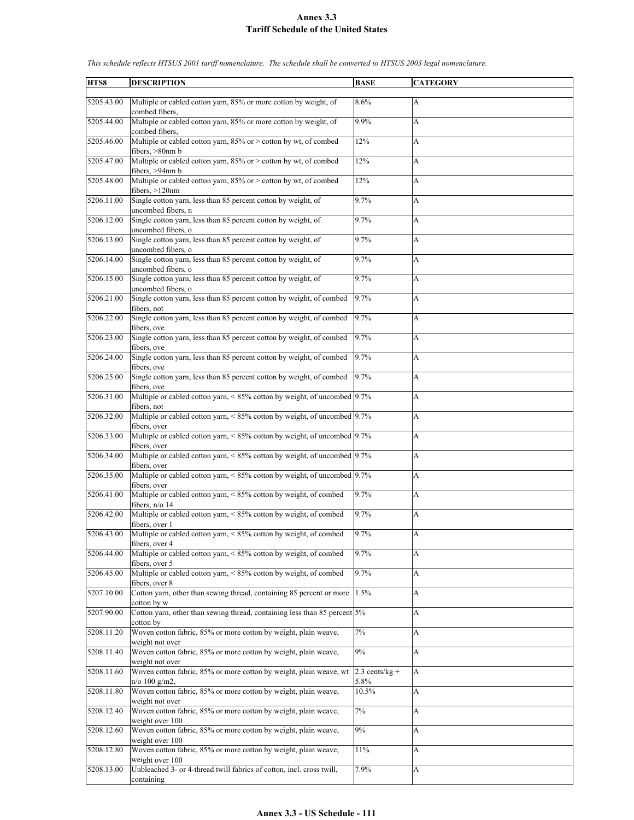| HTS8       | <b>DESCRIPTION</b>                                                                        | <b>BASE</b>      | <b>CATEGORY</b> |
|------------|-------------------------------------------------------------------------------------------|------------------|-----------------|
| 5205.43.00 | Multiple or cabled cotton yarn, 85% or more cotton by weight, of                          | 8.6%             | A               |
|            | combed fibers.                                                                            |                  |                 |
| 5205.44.00 | Multiple or cabled cotton yarn, 85% or more cotton by weight, of<br>combed fibers.        | 9.9%             | A               |
| 5205.46.00 | Multiple or cabled cotton yarn, 85% or > cotton by wt, of combed<br>fibers, >80nm b       | 12%              | A               |
| 5205.47.00 | Multiple or cabled cotton yarn, 85% or > cotton by wt, of combed                          | 12%              | A               |
| 5205.48.00 | fibers, >94nm b<br>Multiple or cabled cotton yarn, 85% or > cotton by wt, of combed       | 12%              | A               |
| 5206.11.00 | fibers, $>120$ nm<br>Single cotton yarn, less than 85 percent cotton by weight, of        | 9.7%             | A               |
| 5206.12.00 | uncombed fibers, n<br>Single cotton yarn, less than 85 percent cotton by weight, of       | 9.7%             | A               |
| 5206.13.00 | uncombed fibers, o<br>Single cotton yarn, less than 85 percent cotton by weight, of       | 9.7%             | A               |
| 5206.14.00 | uncombed fibers, o<br>Single cotton yarn, less than 85 percent cotton by weight, of       | 9.7%             | A               |
|            | uncombed fibers, o                                                                        |                  |                 |
| 5206.15.00 | Single cotton yarn, less than 85 percent cotton by weight, of<br>uncombed fibers, o       | 9.7%             | A               |
| 5206.21.00 | Single cotton yarn, less than 85 percent cotton by weight, of combed<br>fibers, not       | 9.7%             | A               |
| 5206.22.00 | Single cotton yarn, less than 85 percent cotton by weight, of combed                      | 9.7%             | A               |
| 5206.23.00 | fibers, ove<br>Single cotton yarn, less than 85 percent cotton by weight, of combed       | 9.7%             | A               |
| 5206.24.00 | fibers, ove<br>Single cotton yarn, less than 85 percent cotton by weight, of combed       | 9.7%             | A               |
| 5206.25.00 | fibers, ove<br>Single cotton yarn, less than 85 percent cotton by weight, of combed       | 9.7%             | A               |
|            | fibers, ove                                                                               |                  |                 |
| 5206.31.00 | Multiple or cabled cotton yarn, < 85% cotton by weight, of uncombed 9.7%<br>fibers, not   |                  | A               |
| 5206.32.00 | Multiple or cabled cotton yarn, < 85% cotton by weight, of uncombed 9.7%<br>fibers, over  |                  | A               |
| 5206.33.00 | Multiple or cabled cotton yarn, < 85% cotton by weight, of uncombed 9.7%                  |                  | A               |
| 5206.34.00 | fibers, over<br>Multiple or cabled cotton yarn, < 85% cotton by weight, of uncombed 9.7%  |                  | A               |
| 5206.35.00 | fibers, over<br>Multiple or cabled cotton yarn, < 85% cotton by weight, of uncombed 9.7%  |                  | A               |
| 5206.41.00 | fibers, over<br>Multiple or cabled cotton yarn, < 85% cotton by weight, of combed         | 9.7%             | A               |
| 5206.42.00 | fibers, $n/o$ 14<br>Multiple or cabled cotton yarn, < 85% cotton by weight, of combed     | 9.7%             | A               |
|            | fibers, over 1                                                                            |                  |                 |
| 5206.43.00 | Multiple or cabled cotton yarn, $\leq 85\%$ cotton by weight, of combed<br>fibers, over 4 | 9.7%             | A               |
| 5206.44.00 | Multiple or cabled cotton yarn, < 85% cotton by weight, of combed<br>fibers, over 5       | 9.7%             | A               |
| 5206.45.00 | Multiple or cabled cotton yarn, < 85% cotton by weight, of combed<br>fibers, over 8       | 9.7%             | A               |
| 5207.10.00 | Cotton yarn, other than sewing thread, containing 85 percent or more                      | 1.5%             | A               |
| 5207.90.00 | cotton by w<br>Cotton yarn, other than sewing thread, containing less than 85 percent 5%  |                  | A               |
| 5208.11.20 | cotton by<br>Woven cotton fabric, 85% or more cotton by weight, plain weave,              | 7%               | A               |
| 5208.11.40 | weight not over<br>Woven cotton fabric, 85% or more cotton by weight, plain weave,        | 9%               | A               |
| 5208.11.60 | weight not over<br>Woven cotton fabric, 85% or more cotton by weight, plain weave, wt     | $2.3$ cents/kg + | A               |
|            | $n$ /o 100 g/m2,                                                                          | 5.8%             |                 |
| 5208.11.80 | Woven cotton fabric, 85% or more cotton by weight, plain weave,<br>weight not over        | 10.5%            | A               |
| 5208.12.40 | Woven cotton fabric, 85% or more cotton by weight, plain weave,<br>weight over 100        | 7%               | A               |
| 5208.12.60 | Woven cotton fabric, 85% or more cotton by weight, plain weave,                           | 9%               | A               |
| 5208.12.80 | weight over 100<br>Woven cotton fabric, 85% or more cotton by weight, plain weave,        | 11%              | А               |
| 5208.13.00 | weight over 100<br>Unbleached 3- or 4-thread twill fabrics of cotton, incl. cross twill,  | 7.9%             | A               |
|            | containing                                                                                |                  |                 |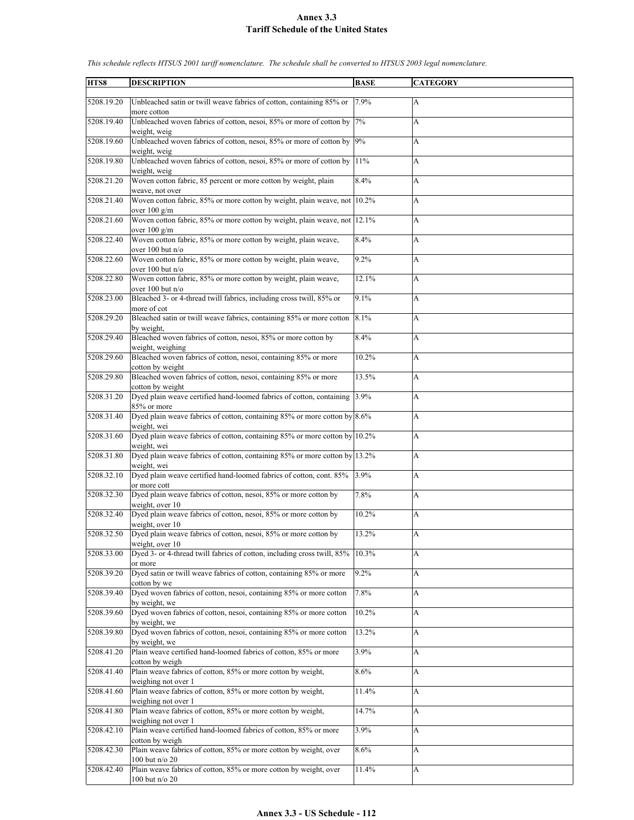| HTS8       | <b>DESCRIPTION</b>                                                                                  | <b>BASE</b> | <b>CATEGORY</b> |
|------------|-----------------------------------------------------------------------------------------------------|-------------|-----------------|
| 5208.19.20 | Unbleached satin or twill weave fabrics of cotton, containing 85% or                                | 7.9%        | A               |
| 5208.19.40 | more cotton<br>Unbleached woven fabrics of cotton, nesoi, 85% or more of cotton by<br>weight, weig  | 7%          | A               |
| 5208.19.60 | Unbleached woven fabrics of cotton, nesoi, 85% or more of cotton by<br>weight, weig                 | 9%          | A               |
| 5208.19.80 | Unbleached woven fabrics of cotton, nesoi, 85% or more of cotton by<br>weight, weig                 | 11%         | A               |
| 5208.21.20 | Woven cotton fabric, 85 percent or more cotton by weight, plain<br>weave, not over                  | 8.4%        | A               |
| 5208.21.40 | Woven cotton fabric, 85% or more cotton by weight, plain weave, not 10.2%<br>over $100 \text{ g/m}$ |             | A               |
| 5208.21.60 | Woven cotton fabric, 85% or more cotton by weight, plain weave, not 12.1%<br>over $100 \text{ g/m}$ |             | A               |
| 5208.22.40 | Woven cotton fabric, 85% or more cotton by weight, plain weave,<br>over 100 but n/o                 | 8.4%        | A               |
| 5208.22.60 | Woven cotton fabric, 85% or more cotton by weight, plain weave,<br>over 100 but n/o                 | 9.2%        | A               |
| 5208.22.80 | Woven cotton fabric, 85% or more cotton by weight, plain weave,<br>over 100 but n/o                 | 12.1%       | A               |
| 5208.23.00 | Bleached 3- or 4-thread twill fabrics, including cross twill, 85% or<br>more of cot                 | 9.1%        | A               |
| 5208.29.20 | Bleached satin or twill weave fabrics, containing 85% or more cotton<br>by weight.                  | 8.1%        | A               |
| 5208.29.40 | Bleached woven fabrics of cotton, nesoi, 85% or more cotton by<br>weight, weighing                  | 8.4%        | A               |
| 5208.29.60 | Bleached woven fabrics of cotton, nesoi, containing 85% or more<br>cotton by weight                 | 10.2%       | A               |
| 5208.29.80 | Bleached woven fabrics of cotton, nesoi, containing 85% or more<br>cotton by weight                 | 13.5%       | A               |
| 5208.31.20 | Dyed plain weave certified hand-loomed fabrics of cotton, containing 3.9%<br>85% or more            |             | A               |
| 5208.31.40 | Dyed plain weave fabrics of cotton, containing $85\%$ or more cotton by $8.6\%$<br>weight, wei      |             | A               |
| 5208.31.60 | Dyed plain weave fabrics of cotton, containing 85% or more cotton by 10.2%<br>weight, wei           |             | A               |
| 5208.31.80 | Dyed plain weave fabrics of cotton, containing 85% or more cotton by 13.2%<br>weight, wei           |             | A               |
| 5208.32.10 | Dyed plain weave certified hand-loomed fabrics of cotton, cont. 85%<br>or more cott                 | 3.9%        | A               |
| 5208.32.30 | Dyed plain weave fabrics of cotton, nesoi, 85% or more cotton by<br>weight, over 10                 | 7.8%        | A               |
| 5208.32.40 | Dyed plain weave fabrics of cotton, nesoi, 85% or more cotton by<br>weight, over 10                 | 10.2%       | A               |
| 5208.32.50 | Dyed plain weave fabrics of cotton, nesoi, 85% or more cotton by<br>weight, over 10                 | 13.2%       | A               |
| 5208.33.00 | Dyed 3- or 4-thread twill fabrics of cotton, including cross twill, 85%<br>or more                  | 10.3%       | A               |
| 5208.39.20 | Dyed satin or twill weave fabrics of cotton, containing 85% or more<br>cotton by we                 | 9.2%        | A               |
| 5208.39.40 | Dyed woven fabrics of cotton, nesoi, containing 85% or more cotton<br>by weight, we                 | 7.8%        | A               |
| 5208.39.60 | Dyed woven fabrics of cotton, nesoi, containing 85% or more cotton<br>by weight, we                 | 10.2%       | A               |
| 5208.39.80 | Dyed woven fabrics of cotton, nesoi, containing 85% or more cotton<br>by weight, we                 | 13.2%       | A               |
| 5208.41.20 | Plain weave certified hand-loomed fabrics of cotton, 85% or more<br>cotton by weigh                 | 3.9%        | A               |
| 5208.41.40 | Plain weave fabrics of cotton, 85% or more cotton by weight,<br>weighing not over 1                 | 8.6%        | A               |
| 5208.41.60 | Plain weave fabrics of cotton, 85% or more cotton by weight,<br>weighing not over 1                 | 11.4%       | A               |
| 5208.41.80 | Plain weave fabrics of cotton, 85% or more cotton by weight,<br>weighing not over 1                 | 14.7%       | A               |
| 5208.42.10 | Plain weave certified hand-loomed fabrics of cotton, 85% or more<br>cotton by weigh                 | 3.9%        | A               |
| 5208.42.30 | Plain weave fabrics of cotton, 85% or more cotton by weight, over<br>100 but n/o 20                 | 8.6%        | A               |
| 5208.42.40 | Plain weave fabrics of cotton, 85% or more cotton by weight, over<br>100 but n/o 20                 | 11.4%       | A               |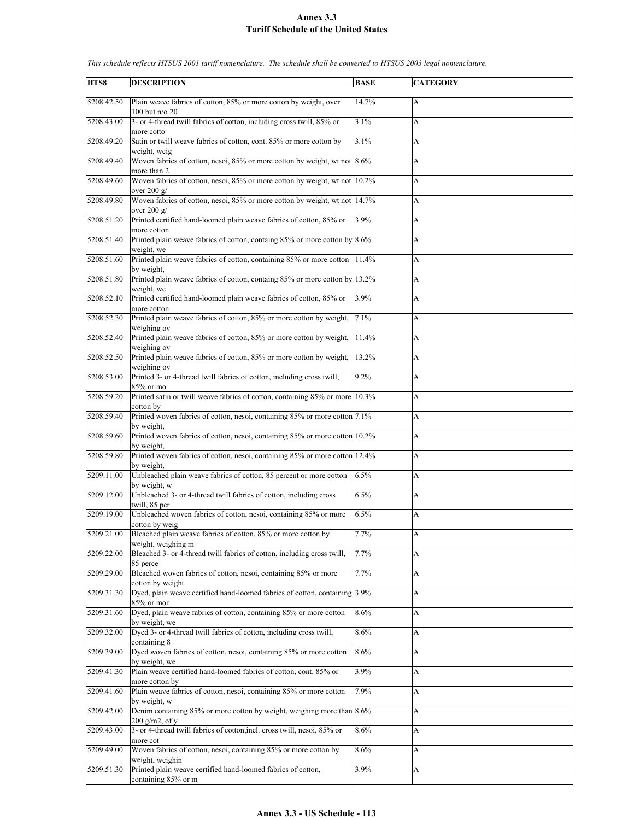| HTS8       | <b>DESCRIPTION</b>                                                                                                  | <b>BASE</b> | <b>CATEGORY</b> |
|------------|---------------------------------------------------------------------------------------------------------------------|-------------|-----------------|
|            |                                                                                                                     |             |                 |
| 5208.42.50 | Plain weave fabrics of cotton, 85% or more cotton by weight, over<br>100 but n/o 20                                 | 14.7%       | A               |
| 5208.43.00 | 3- or 4-thread twill fabrics of cotton, including cross twill, 85% or                                               | 3.1%        | A               |
|            | more cotto                                                                                                          |             |                 |
| 5208.49.20 | Satin or twill weave fabrics of cotton, cont. 85% or more cotton by                                                 | 3.1%        | A               |
| 5208.49.40 | weight, weig<br>Woven fabrics of cotton, nesoi, 85% or more cotton by weight, wt not 8.6%                           |             | A               |
| 5208.49.60 | more than 2<br>Woven fabrics of cotton, nesoi, 85% or more cotton by weight, wt not 10.2%                           |             | A               |
| 5208.49.80 | over $200 \text{ g}$<br>Woven fabrics of cotton, nesoi, 85% or more cotton by weight, wt not 14.7%<br>over $200 g/$ |             | A               |
| 5208.51.20 | Printed certified hand-loomed plain weave fabrics of cotton, 85% or<br>more cotton                                  | 3.9%        | A               |
| 5208.51.40 | Printed plain weave fabrics of cotton, containg $85\%$ or more cotton by $8.6\%$<br>weight, we                      |             | A               |
| 5208.51.60 | Printed plain weave fabrics of cotton, containing 85% or more cotton<br>by weight,                                  | 11.4%       | A               |
| 5208.51.80 | Printed plain weave fabrics of cotton, containg 85% or more cotton by 13.2%<br>weight, we                           |             | A               |
| 5208.52.10 | Printed certified hand-loomed plain weave fabrics of cotton, 85% or<br>more cotton                                  | 3.9%        | A               |
| 5208.52.30 | Printed plain weave fabrics of cotton, 85% or more cotton by weight,<br>weighing ov                                 | 7.1%        | A               |
| 5208.52.40 | Printed plain weave fabrics of cotton, 85% or more cotton by weight,<br>weighing ov                                 | 11.4%       | A               |
| 5208.52.50 | Printed plain weave fabrics of cotton, 85% or more cotton by weight,                                                | 13.2%       | A               |
| 5208.53.00 | weighing ov<br>Printed 3- or 4-thread twill fabrics of cotton, including cross twill,<br>85% or mo                  | 9.2%        | A               |
| 5208.59.20 | Printed satin or twill weave fabrics of cotton, containing 85% or more 10.3%<br>cotton by                           |             | A               |
| 5208.59.40 | Printed woven fabrics of cotton, nesoi, containing 85% or more cotton 7.1%<br>by weight.                            |             | A               |
| 5208.59.60 | Printed woven fabrics of cotton, nesoi, containing 85% or more cotton 10.2%                                         |             | A               |
| 5208.59.80 | by weight,<br>Printed woven fabrics of cotton, nesoi, containing 85% or more cotton 12.4%                           |             | A               |
| 5209.11.00 | by weight.<br>Unbleached plain weave fabrics of cotton, 85 percent or more cotton                                   | 6.5%        | A               |
| 5209.12.00 | by weight, w<br>Unbleached 3- or 4-thread twill fabrics of cotton, including cross<br>twill, 85 per                 | 6.5%        | A               |
| 5209.19.00 | Unbleached woven fabrics of cotton, nesoi, containing 85% or more                                                   | 6.5%        | A               |
| 5209.21.00 | cotton by weig<br>Bleached plain weave fabrics of cotton, 85% or more cotton by<br>weight, weighing m               | 7.7%        | A               |
| 5209.22.00 | Bleached 3- or 4-thread twill fabrics of cotton, including cross twill,                                             | 7.7%        | A               |
| 5209.29.00 | 85 perce<br>Bleached woven fabrics of cotton, nesoi, containing 85% or more                                         | 7.7%        | A               |
| 5209.31.30 | cotton by weight<br>Dyed, plain weave certified hand-loomed fabrics of cotton, containing 3.9%                      |             | A               |
| 5209.31.60 | 85% or mor<br>Dyed, plain weave fabrics of cotton, containing 85% or more cotton                                    | 8.6%        | A               |
| 5209.32.00 | by weight, we<br>Dyed 3- or 4-thread twill fabrics of cotton, including cross twill,                                | 8.6%        | A               |
| 5209.39.00 | containing 8<br>Dyed woven fabrics of cotton, nesoi, containing 85% or more cotton<br>by weight, we                 | 8.6%        | A               |
| 5209.41.30 | Plain weave certified hand-loomed fabrics of cotton, cont. 85% or                                                   | 3.9%        | A               |
| 5209.41.60 | more cotton by<br>Plain weave fabrics of cotton, nesoi, containing 85% or more cotton                               | 7.9%        | A               |
| 5209.42.00 | by weight, w<br>Denim containing 85% or more cotton by weight, weighing more than 8.6%<br>$200$ g/m2, of y          |             | A               |
| 5209.43.00 | 3- or 4-thread twill fabrics of cotton, incl. cross twill, nesoi, 85% or<br>more cot                                | 8.6%        | A               |
| 5209.49.00 | Woven fabrics of cotton, nesoi, containing 85% or more cotton by<br>weight, weighin                                 | 8.6%        | A               |
| 5209.51.30 | Printed plain weave certified hand-loomed fabrics of cotton,<br>containing 85% or m                                 | 3.9%        | A               |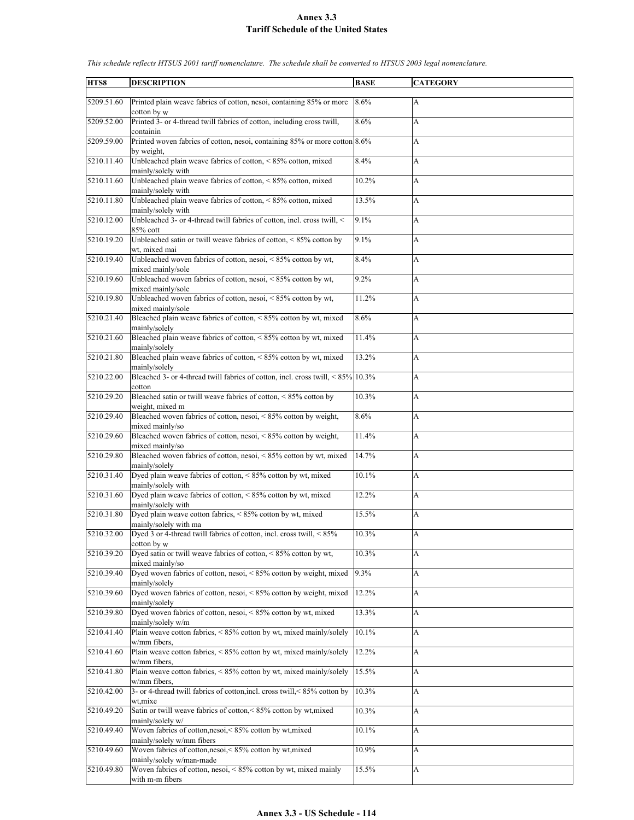| HTS8       | <b>DESCRIPTION</b>                                                                                    | <b>BASE</b> | <b>CATEGORY</b> |
|------------|-------------------------------------------------------------------------------------------------------|-------------|-----------------|
|            |                                                                                                       |             |                 |
| 5209.51.60 | Printed plain weave fabrics of cotton, nesoi, containing 85% or more<br>cotton by w                   | 8.6%        | A               |
| 5209.52.00 | Printed 3- or 4-thread twill fabrics of cotton, including cross twill,                                | 8.6%        | A               |
| 5209.59.00 | containin<br>Printed woven fabrics of cotton, nesoi, containing 85% or more cotton 8.6%<br>by weight, |             | A               |
| 5210.11.40 | Unbleached plain weave fabrics of cotton, $\lt 85\%$ cotton, mixed<br>mainly/solely with              | 8.4%        | A               |
| 5210.11.60 | Unbleached plain weave fabrics of cotton, <85% cotton, mixed<br>mainly/solely with                    | 10.2%       | A               |
| 5210.11.80 | Unbleached plain weave fabrics of cotton, <85% cotton, mixed<br>mainly/solely with                    | 13.5%       | A               |
| 5210.12.00 | Unbleached 3- or 4-thread twill fabrics of cotton, incl. cross twill, <                               | 9.1%        | A               |
| 5210.19.20 | 85% cott<br>Unbleached satin or twill weave fabrics of cotton, $\leq 85\%$ cotton by<br>wt, mixed mai | 9.1%        | A               |
| 5210.19.40 | Unbleached woven fabrics of cotton, nesoi, $\leq 85\%$ cotton by wt,                                  | 8.4%        | A               |
| 5210.19.60 | mixed mainly/sole<br>Unbleached woven fabrics of cotton, nesoi, <85% cotton by wt,                    | 9.2%        | A               |
| 5210.19.80 | mixed mainly/sole<br>Unbleached woven fabrics of cotton, nesoi, $\leq 85\%$ cotton by wt,             | 11.2%       | A               |
|            | mixed mainly/sole                                                                                     |             |                 |
| 5210.21.40 | Bleached plain weave fabrics of cotton, < 85% cotton by wt, mixed<br>mainly/solely                    | 8.6%        | A               |
| 5210.21.60 | Bleached plain weave fabrics of cotton, <85% cotton by wt, mixed<br>mainly/solely                     | 11.4%       | A               |
| 5210.21.80 | Bleached plain weave fabrics of cotton, $\leq 85\%$ cotton by wt, mixed<br>mainly/solely              | 13.2%       | A               |
| 5210.22.00 | Bleached 3- or 4-thread twill fabrics of cotton, incl. cross twill, <85% 10.3%<br>cotton              |             | A               |
| 5210.29.20 | Bleached satin or twill weave fabrics of cotton, $\leq 85\%$ cotton by<br>weight, mixed m             | 10.3%       | A               |
| 5210.29.40 | Bleached woven fabrics of cotton, nesoi, < 85% cotton by weight,<br>mixed mainly/so                   | 8.6%        | A               |
| 5210.29.60 | Bleached woven fabrics of cotton, nesoi, $\leq 85\%$ cotton by weight,<br>mixed mainly/so             | 11.4%       | A               |
| 5210.29.80 | Bleached woven fabrics of cotton, nesoi, <85% cotton by wt, mixed<br>mainly/solely                    | 14.7%       | A               |
| 5210.31.40 | Dyed plain weave fabrics of cotton, < 85% cotton by wt, mixed<br>mainly/solely with                   | 10.1%       | A               |
| 5210.31.60 | Dyed plain weave fabrics of cotton, < 85% cotton by wt, mixed<br>mainly/solely with                   | 12.2%       | A               |
| 5210.31.80 | Dyed plain weave cotton fabrics, <85% cotton by wt, mixed<br>mainly/solely with ma                    | 15.5%       | A               |
| 5210.32.00 | Dyed 3 or 4-thread twill fabrics of cotton, incl. cross twill, <85%                                   | 10.3%       | A               |
| 5210.39.20 | cotton by w<br>Dyed satin or twill weave fabrics of cotton, $\leq 85\%$ cotton by wt,                 | 10.3%       | A               |
| 5210.39.40 | mixed mainly/so<br>Dyed woven fabrics of cotton, nesoi, < 85% cotton by weight, mixed                 | 9.3%        | A               |
| 5210.39.60 | mainly/solely<br>Dyed woven fabrics of cotton, nesoi, < 85% cotton by weight, mixed                   | 12.2%       | A               |
| 5210.39.80 | mainly/solely<br>Dyed woven fabrics of cotton, nesoi, $\leq 85\%$ cotton by wt, mixed                 | 13.3%       | A               |
| 5210.41.40 | mainly/solely w/m<br>Plain weave cotton fabrics, $\leq 85\%$ cotton by wt, mixed mainly/solely        | 10.1%       | A               |
|            | w/mm fibers,                                                                                          |             |                 |
| 5210.41.60 | Plain weave cotton fabrics, $\leq 85\%$ cotton by wt, mixed mainly/solely<br>w/mm fibers,             | 12.2%       | A               |
| 5210.41.80 | Plain weave cotton fabrics, $\leq 85\%$ cotton by wt, mixed mainly/solely<br>w/mm fibers,             | 15.5%       | A               |
| 5210.42.00 | 3- or 4-thread twill fabrics of cotton, incl. cross twill, < 85% cotton by<br>wt,mixe                 | 10.3%       | A               |
| 5210.49.20 | Satin or twill weave fabrics of cotton,<85% cotton by wt, mixed<br>mainly/solely w/                   | 10.3%       | A               |
| 5210.49.40 | Woven fabrics of cotton, nesoi, < 85% cotton by wt, mixed<br>mainly/solely w/mm fibers                | 10.1%       | A               |
| 5210.49.60 | Woven fabrics of cotton, nesoi, < 85% cotton by wt, mixed<br>mainly/solely w/man-made                 | 10.9%       | A               |
| 5210.49.80 | Woven fabrics of cotton, nesoi, $\frac{85\%}{600}$ cotton by wt, mixed mainly                         | 15.5%       | A               |
|            | with m-m fibers                                                                                       |             |                 |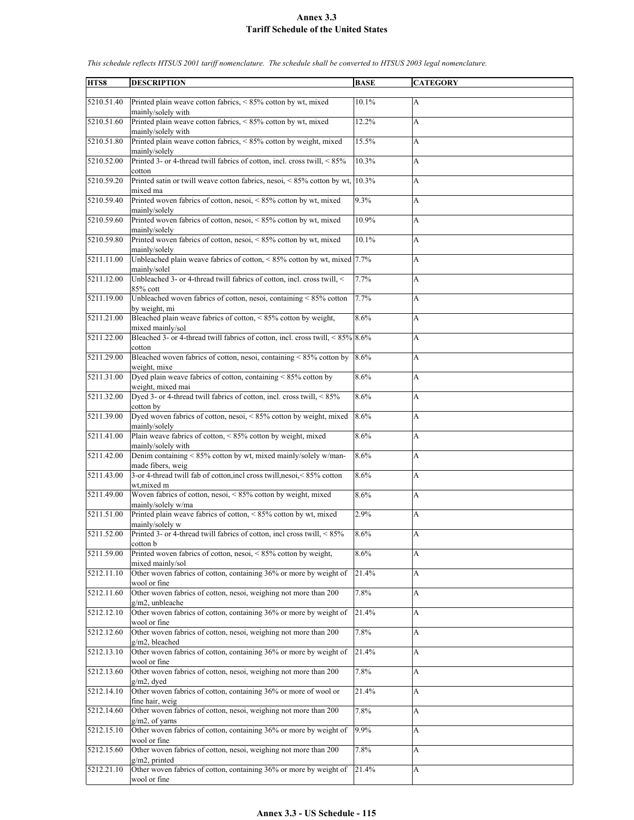| HTS8       | <b>DESCRIPTION</b>                                                                             | <b>BASE</b> | <b>CATEGORY</b>           |
|------------|------------------------------------------------------------------------------------------------|-------------|---------------------------|
|            |                                                                                                |             |                           |
| 5210.51.40 | Printed plain weave cotton fabrics, <85% cotton by wt, mixed<br>mainly/solely with             | 10.1%       | A                         |
| 5210.51.60 | Printed plain weave cotton fabrics, <85% cotton by wt, mixed<br>mainly/solely with             | 12.2%       | A                         |
| 5210.51.80 | Printed plain weave cotton fabrics, < 85% cotton by weight, mixed<br>mainly/solely             | 15.5%       | A                         |
| 5210.52.00 | Printed 3- or 4-thread twill fabrics of cotton, incl. cross twill, <85%<br>cotton              | 10.3%       | A                         |
| 5210.59.20 | Printed satin or twill weave cotton fabrics, nesoi, <85% cotton by wt,<br>mixed ma             | 10.3%       | A                         |
| 5210.59.40 | Printed woven fabrics of cotton, nesoi, < 85% cotton by wt, mixed<br>mainly/solely             | 9.3%        | A                         |
| 5210.59.60 | Printed woven fabrics of cotton, nesoi, < 85% cotton by wt, mixed<br>mainly/solely             | 10.9%       | A                         |
| 5210.59.80 | Printed woven fabrics of cotton, nesoi, < 85% cotton by wt, mixed<br>mainly/solely             | 10.1%       | A                         |
| 5211.11.00 | Unbleached plain weave fabrics of cotton, $\leq 85\%$ cotton by wt, mixed 7.7%<br>mainly/solel |             | A                         |
| 5211.12.00 | Unbleached 3- or 4-thread twill fabrics of cotton, incl. cross twill, <<br>85% cott            | 7.7%        | A                         |
| 5211.19.00 | Unbleached woven fabrics of cotton, nesoi, containing < 85% cotton<br>by weight, mi            | 7.7%        | A                         |
| 5211.21.00 | Bleached plain weave fabrics of cotton, < 85% cotton by weight,<br>mixed mainly/sol            | 8.6%        | A                         |
| 5211.22.00 | Bleached 3- or 4-thread twill fabrics of cotton, incl. cross twill, $\leq 85\%$ 8.6%<br>cotton |             | A                         |
| 5211.29.00 | Bleached woven fabrics of cotton, nesoi, containing < 85% cotton by<br>weight, mixe            | 8.6%        | A                         |
| 5211.31.00 | Dyed plain weave fabrics of cotton, containing < 85% cotton by<br>weight, mixed mai            | 8.6%        | A                         |
| 5211.32.00 | Dyed 3- or 4-thread twill fabrics of cotton, incl. cross twill, < 85%<br>cotton by             | 8.6%        | A                         |
| 5211.39.00 | Dyed woven fabrics of cotton, nesoi, < 85% cotton by weight, mixed<br>mainly/solely            | 8.6%        | A                         |
| 5211.41.00 | Plain weave fabrics of cotton, < 85% cotton by weight, mixed<br>mainly/solely with             | 8.6%        | A                         |
| 5211.42.00 | Denim containing < 85% cotton by wt, mixed mainly/solely w/man-<br>made fibers, weig           | 8.6%        | A                         |
| 5211.43.00 | 3-or 4-thread twill fab of cotton, incl cross twill, nesoi, < 85% cotton<br>wt.mixed m         | 8.6%        | A                         |
| 5211.49.00 | Woven fabrics of cotton, nesoi, < 85% cotton by weight, mixed<br>mainly/solely w/ma            | 8.6%        | А                         |
| 5211.51.00 | Printed plain weave fabrics of cotton, <85% cotton by wt, mixed<br>mainly/solely w             | 2.9%        | A                         |
| 5211.52.00 | Printed 3- or 4-thread twill fabrics of cotton, incl cross twill, <85%<br>cotton b             | 8.6%        | A                         |
| 5211.59.00 | Printed woven fabrics of cotton, nesoi, <85% cotton by weight,<br>mixed mainly/sol             | 8.6%        | A                         |
| 5212.11.10 | Other woven fabrics of cotton, containing 36% or more by weight of<br>wool or fine             | 21.4%       | A                         |
| 5212.11.60 | Other woven fabrics of cotton, nesoi, weighing not more than 200<br>g/m2, unbleache            | 7.8%        | $\boldsymbol{\mathsf{A}}$ |
| 5212.12.10 | Other woven fabrics of cotton, containing 36% or more by weight of<br>wool or fine             | 21.4%       | A                         |
| 5212.12.60 | Other woven fabrics of cotton, nesoi, weighing not more than 200<br>g/m2, bleached             | 7.8%        | $\boldsymbol{\mathsf{A}}$ |
| 5212.13.10 | Other woven fabrics of cotton, containing 36% or more by weight of<br>wool or fine             | 21.4%       | $\boldsymbol{\mathsf{A}}$ |
| 5212.13.60 | Other woven fabrics of cotton, nesoi, weighing not more than 200<br>g/m2, dyed                 | 7.8%        | A                         |
| 5212.14.10 | Other woven fabrics of cotton, containing 36% or more of wool or<br>fine hair, weig            | 21.4%       | A                         |
| 5212.14.60 | Other woven fabrics of cotton, nesoi, weighing not more than 200<br>$g/m2$ , of yarns          | 7.8%        | $\boldsymbol{\mathsf{A}}$ |
| 5212.15.10 | Other woven fabrics of cotton, containing 36% or more by weight of<br>wool or fine             | 9.9%        | A                         |
| 5212.15.60 | Other woven fabrics of cotton, nesoi, weighing not more than 200<br>$g/m2$ , printed           | 7.8%        | A                         |
| 5212.21.10 | Other woven fabrics of cotton, containing 36% or more by weight of<br>wool or fine             | 21.4%       | A                         |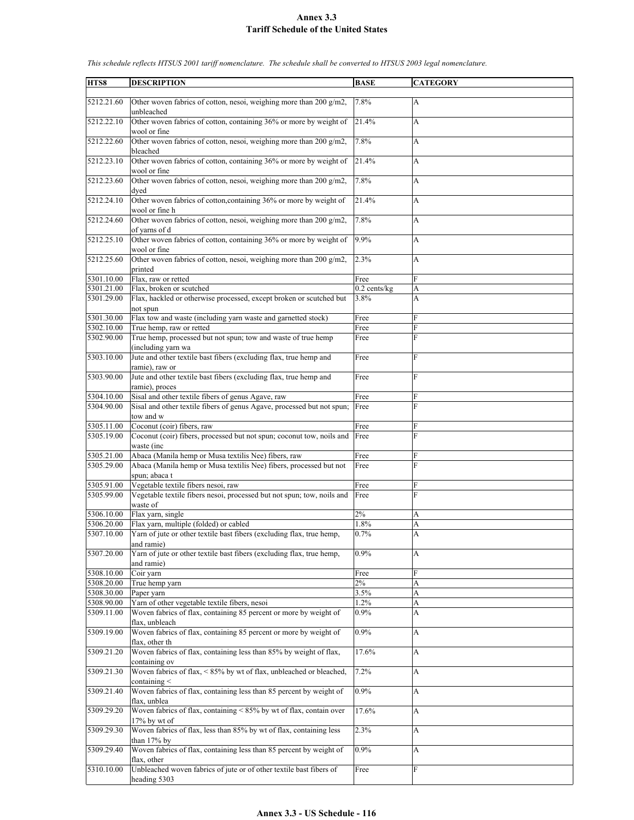| HTS8       | <b>DESCRIPTION</b>                                                                        | <b>BASE</b>       | <b>CATEGORY</b> |
|------------|-------------------------------------------------------------------------------------------|-------------------|-----------------|
| 5212.21.60 | Other woven fabrics of cotton, nesoi, weighing more than 200 g/m2,<br>unbleached          | 7.8%              | A               |
| 5212.22.10 | Other woven fabrics of cotton, containing 36% or more by weight of<br>wool or fine        | 21.4%             | A               |
| 5212.22.60 | Other woven fabrics of cotton, nesoi, weighing more than 200 g/m2,<br>bleached            | 7.8%              | A               |
| 5212.23.10 | Other woven fabrics of cotton, containing 36% or more by weight of<br>wool or fine        | 21.4%             | A               |
| 5212.23.60 | Other woven fabrics of cotton, nesoi, weighing more than 200 g/m2,<br>dyed                | 7.8%              | А               |
| 5212.24.10 | Other woven fabrics of cotton, containing 36% or more by weight of<br>wool or fine h      | 21.4%             | A               |
| 5212.24.60 | Other woven fabrics of cotton, nesoi, weighing more than 200 g/m2,<br>of yarns of d       | 7.8%              | A               |
| 5212.25.10 | Other woven fabrics of cotton, containing 36% or more by weight of<br>wool or fine        | 9.9%              | A               |
| 5212.25.60 | Other woven fabrics of cotton, nesoi, weighing more than 200 g/m2,<br>printed             | 2.3%              | A               |
| 5301.10.00 | Flax, raw or retted                                                                       | Free              | F               |
| 5301.21.00 | Flax, broken or scutched                                                                  | $0.2$ cents/ $kg$ | A               |
| 5301.29.00 | Flax, hackled or otherwise processed, except broken or scutched but<br>not spun           | 3.8%              | A               |
| 5301.30.00 | Flax tow and waste (including yarn waste and garnetted stock)                             | Free              | F               |
| 5302.10.00 | True hemp, raw or retted                                                                  | Free              | F               |
| 5302.90.00 | True hemp, processed but not spun; tow and waste of true hemp<br>(including yarn wa       | Free              | F               |
| 5303.10.00 | Jute and other textile bast fibers (excluding flax, true hemp and<br>ramie), raw or       | Free              | F               |
| 5303.90.00 | Jute and other textile bast fibers (excluding flax, true hemp and                         | Free              | $\overline{F}$  |
| 5304.10.00 | ramie), proces<br>Sisal and other textile fibers of genus Agave, raw                      | Free              | F               |
| 5304.90.00 | Sisal and other textile fibers of genus Agave, processed but not spun;                    | Free              | F               |
|            | tow and w                                                                                 |                   |                 |
| 5305.11.00 | Coconut (coir) fibers, raw                                                                | Free              | F               |
| 5305.19.00 | Coconut (coir) fibers, processed but not spun; coconut tow, noils and Free<br>waste (inc  |                   | F               |
| 5305.21.00 | Abaca (Manila hemp or Musa textilis Nee) fibers, raw                                      | Free              | F               |
| 5305.29.00 | Abaca (Manila hemp or Musa textilis Nee) fibers, processed but not<br>spun; abaca t       | Free              | F               |
| 5305.91.00 | Vegetable textile fibers nesoi, raw                                                       | Free              | F               |
| 5305.99.00 | Vegetable textile fibers nesoi, processed but not spun; tow, noils and<br>waste of        | Free              | F               |
| 5306.10.00 | Flax yarn, single                                                                         | 2%                | A               |
| 5306.20.00 | Flax yarn, multiple (folded) or cabled                                                    | 1.8%              | A               |
| 5307.10.00 | Yarn of jute or other textile bast fibers (excluding flax, true hemp,<br>and ramie)       | 0.7%              | Δ               |
| 5307.20.00 | Yarn of jute or other textile bast fibers (excluding flax, true hemp,<br>and ramie)       | 0.9%              | A               |
| 5308.10.00 | Coir varn                                                                                 | Free              | F               |
| 5308.20.00 | True hemp yarn                                                                            | $2\%$             | A               |
| 5308.30.00 | Paper yarn                                                                                | 3.5%              | A               |
| 5308.90.00 | Yarn of other vegetable textile fibers, nesoi                                             | 1.2%              | A               |
| 5309.11.00 | Woven fabrics of flax, containing 85 percent or more by weight of<br>flax. unbleach       | $0.9\%$           | А               |
| 5309.19.00 | Woven fabrics of flax, containing 85 percent or more by weight of<br>flax, other th       | 0.9%              | A               |
| 5309.21.20 | Woven fabrics of flax, containing less than 85% by weight of flax,<br>containing ov       | 17.6%             | A               |
| 5309.21.30 | Woven fabrics of flax, <85% by wt of flax, unbleached or bleached,<br>containing $\leq$   | 7.2%              | A               |
| 5309.21.40 | Woven fabrics of flax, containing less than 85 percent by weight of<br>flax, unblea       | 0.9%              | A               |
| 5309.29.20 | Woven fabrics of flax, containing $\leq 85\%$ by wt of flax, contain over<br>17% by wt of | 17.6%             | A               |
| 5309.29.30 | Woven fabrics of flax, less than 85% by wt of flax, containing less<br>than 17% by        | 2.3%              | A               |
| 5309.29.40 | Woven fabrics of flax, containing less than 85 percent by weight of<br>flax, other        | 0.9%              | A               |
| 5310.10.00 | Unbleached woven fabrics of jute or of other textile bast fibers of                       | Free              | F               |
|            | heading 5303                                                                              |                   |                 |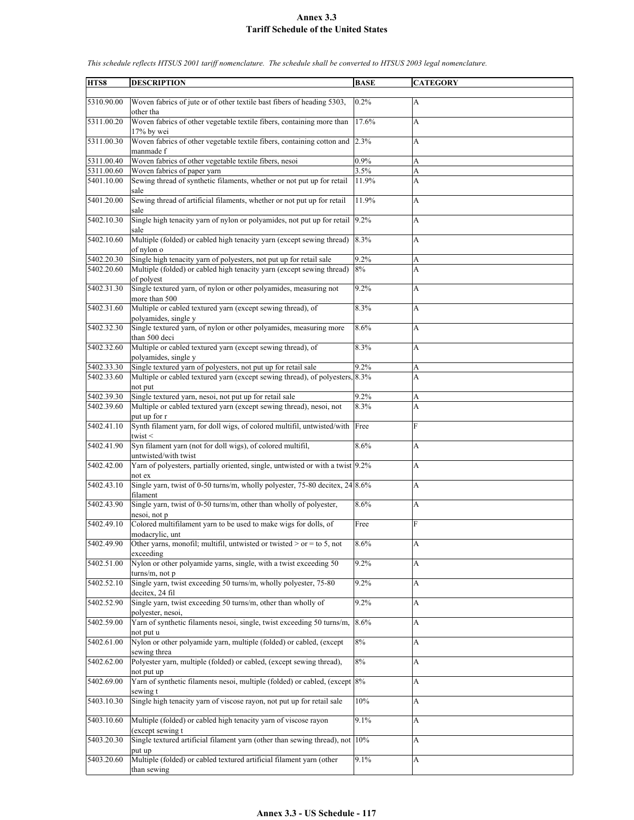| HTS8       | <b>DESCRIPTION</b>                                                                           | <b>BASE</b> | <b>CATEGORY</b>           |
|------------|----------------------------------------------------------------------------------------------|-------------|---------------------------|
|            |                                                                                              |             |                           |
| 5310.90.00 | Woven fabrics of jute or of other textile bast fibers of heading 5303,<br>other tha          | 0.2%        | $\mathbf{A}$              |
| 5311.00.20 | Woven fabrics of other vegetable textile fibers, containing more than                        | 17.6%       | A                         |
| 5311.00.30 | 17% by wei<br>Woven fabrics of other vegetable textile fibers, containing cotton and         | 2.3%        | A                         |
| 5311.00.40 | manmade f<br>Woven fabrics of other vegetable textile fibers, nesoi                          | 0.9%        | A                         |
|            |                                                                                              |             |                           |
| 5311.00.60 | Woven fabrics of paper yarn                                                                  | 3.5%        | A                         |
| 5401.10.00 | Sewing thread of synthetic filaments, whether or not put up for retail                       | 11.9%       | A                         |
| 5401.20.00 | sale<br>Sewing thread of artificial filaments, whether or not put up for retail<br>sale      | 11.9%       | A                         |
| 5402.10.30 | Single high tenacity yarn of nylon or polyamides, not put up for retail 9.2%<br>sale         |             | A                         |
| 5402.10.60 | Multiple (folded) or cabled high tenacity yarn (except sewing thread)                        | 8.3%        | A                         |
|            | of nylon o                                                                                   |             |                           |
| 5402.20.30 | Single high tenacity yarn of polyesters, not put up for retail sale                          | 9.2%        | А                         |
| 5402.20.60 | Multiple (folded) or cabled high tenacity yarn (except sewing thread)                        | 8%          | A                         |
|            | of polyest                                                                                   |             |                           |
| 5402.31.30 | Single textured yarn, of nylon or other polyamides, measuring not                            | 9.2%        | A                         |
|            | more than 500                                                                                |             |                           |
| 5402.31.60 | Multiple or cabled textured yarn (except sewing thread), of                                  | 8.3%        | A                         |
|            | polyamides, single y                                                                         |             |                           |
| 5402.32.30 | Single textured yarn, of nylon or other polyamides, measuring more<br>than 500 deci          | 8.6%        | A                         |
| 5402.32.60 | Multiple or cabled textured yarn (except sewing thread), of                                  | 8.3%        | A                         |
|            | polyamides, single y                                                                         |             |                           |
| 5402.33.30 | Single textured yarn of polyesters, not put up for retail sale                               | 9.2%        | A                         |
| 5402.33.60 | Multiple or cabled textured yarn (except sewing thread), of polyesters, 8.3%                 |             | A                         |
|            | not put                                                                                      |             |                           |
| 5402.39.30 | Single textured yarn, nesoi, not put up for retail sale                                      | 9.2%        | A                         |
| 5402.39.60 | Multiple or cabled textured yarn (except sewing thread), nesoi, not                          | 8.3%        | A                         |
|            | put up for r                                                                                 |             |                           |
| 5402.41.10 | Synth filament yarn, for doll wigs, of colored multifil, untwisted/with Free<br>twist $\leq$ |             | F                         |
| 5402.41.90 | Syn filament yarn (not for doll wigs), of colored multifil,                                  | 8.6%        | A                         |
|            | untwisted/with twist                                                                         |             |                           |
| 5402.42.00 | Yarn of polyesters, partially oriented, single, untwisted or with a twist 9.2%               |             | A                         |
|            | not ex                                                                                       |             |                           |
| 5402.43.10 | Single yarn, twist of 0-50 turns/m, wholly polyester, 75-80 decitex, 24 8.6%<br>filament     |             | A                         |
| 5402.43.90 | Single yarn, twist of 0-50 turns/m, other than wholly of polyester,                          | $8.6\%$     | A                         |
|            | nesoi, not p                                                                                 |             |                           |
| 5402.49.10 | Colored multifilament yarn to be used to make wigs for dolls, of                             | Free        | F                         |
|            | modacrylic, unt                                                                              |             |                           |
| 5402.49.90 | Other yarns, monofil; multifil, untwisted or twisted $>$ or = to 5, not                      | 8.6%        | $\boldsymbol{\mathsf{A}}$ |
|            | exceeding                                                                                    |             |                           |
| 5402.51.00 | Nylon or other polyamide yarns, single, with a twist exceeding 50                            | 9.2%        | A                         |
|            | $turns/m$ , not $p$                                                                          |             |                           |
| 5402.52.10 | Single yarn, twist exceeding 50 turns/m, wholly polyester, 75-80                             | 9.2%        | A                         |
|            | decitex, 24 fil                                                                              |             |                           |
| 5402.52.90 | Single yarn, twist exceeding 50 turns/m, other than wholly of                                | 9.2%        | $\mathbf{A}$              |
|            | polyester, nesoi,                                                                            |             |                           |
| 5402.59.00 | Yarn of synthetic filaments nesoi, single, twist exceeding 50 turns/m,                       | $8.6\%$     | $\boldsymbol{\mathsf{A}}$ |
|            | not put u                                                                                    |             |                           |
| 5402.61.00 | Nylon or other polyamide yarn, multiple (folded) or cabled, (except                          | 8%          | A                         |
|            |                                                                                              |             |                           |
| 5402.62.00 | sewing threa                                                                                 | 8%          |                           |
|            | Polyester yarn, multiple (folded) or cabled, (except sewing thread),                         |             | $\boldsymbol{\mathsf{A}}$ |
|            | not put up                                                                                   |             |                           |
| 5402.69.00 | Yarn of synthetic filaments nesoi, multiple (folded) or cabled, (except 8%                   |             | A                         |
|            | sewing t                                                                                     |             |                           |
| 5403.10.30 | Single high tenacity yarn of viscose rayon, not put up for retail sale                       | 10%         | A                         |
|            |                                                                                              |             |                           |
| 5403.10.60 | Multiple (folded) or cabled high tenacity yarn of viscose rayon                              | 9.1%        | $\boldsymbol{\mathsf{A}}$ |
|            | (except sewing t                                                                             |             |                           |
| 5403.20.30 | Single textured artificial filament yarn (other than sewing thread), not 10%                 |             | A                         |
|            | put up                                                                                       |             |                           |
| 5403.20.60 | Multiple (folded) or cabled textured artificial filament yarn (other                         | 9.1%        | A                         |
|            | than sewing                                                                                  |             |                           |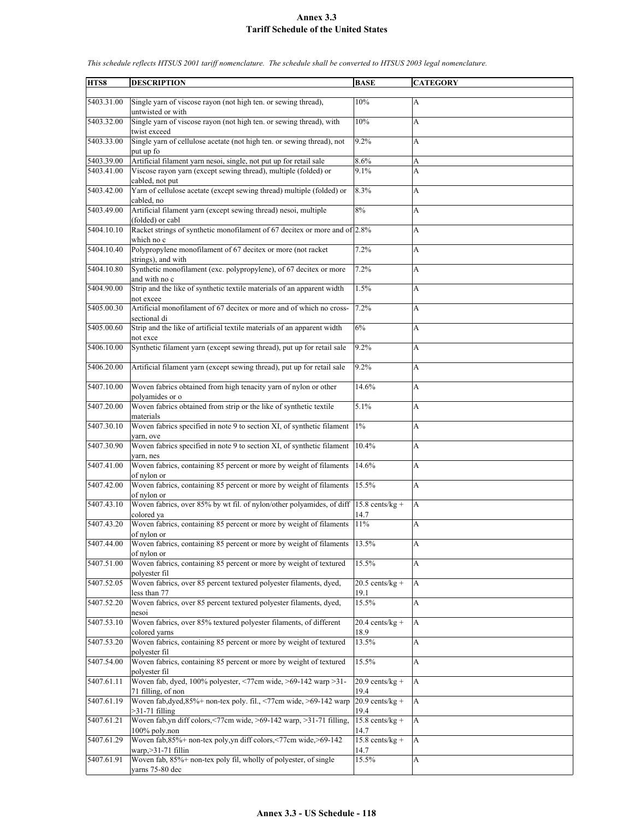| HTS8                     | <b>DESCRIPTION</b>                                                                                                                    | <b>BASE</b>               | <b>CATEGORY</b>           |
|--------------------------|---------------------------------------------------------------------------------------------------------------------------------------|---------------------------|---------------------------|
|                          |                                                                                                                                       |                           |                           |
| 5403.31.00               | Single yarn of viscose rayon (not high ten. or sewing thread),<br>untwisted or with                                                   | 10%                       | $\mathbf{A}$              |
| 5403.32.00               | Single yarn of viscose rayon (not high ten. or sewing thread), with<br>twist exceed                                                   | 10%                       | A                         |
| 5403.33.00               | Single yarn of cellulose acetate (not high ten. or sewing thread), not<br>put up fo                                                   | 9.2%                      | A                         |
|                          |                                                                                                                                       |                           |                           |
| 5403.39.00<br>5403.41.00 | Artificial filament yarn nesoi, single, not put up for retail sale<br>Viscose rayon yarn (except sewing thread), multiple (folded) or | 8.6%<br>9.1%              | A<br>A                    |
|                          | cabled, not put                                                                                                                       |                           |                           |
| 5403.42.00               | Yarn of cellulose acetate (except sewing thread) multiple (folded) or<br>cabled, no                                                   | 8.3%                      | A                         |
| 5403.49.00               | Artificial filament yarn (except sewing thread) nesoi, multiple<br>(folded) or cabl                                                   | 8%                        | A                         |
| 5404.10.10               | Racket strings of synthetic monofilament of 67 decitex or more and of 2.8%<br>which no c                                              |                           | A                         |
| 5404.10.40               | Polypropylene monofilament of 67 decitex or more (not racket<br>strings), and with                                                    | 7.2%                      | A                         |
| 5404.10.80               |                                                                                                                                       | 7.2%                      |                           |
|                          | Synthetic monofilament (exc. polypropylene), of 67 decitex or more<br>and with no c                                                   |                           | A                         |
| 5404.90.00               | Strip and the like of synthetic textile materials of an apparent width<br>not excee                                                   | 1.5%                      | A                         |
| 5405.00.30               | Artificial monofilament of 67 decitex or more and of which no cross-<br>sectional di                                                  | 7.2%                      | A                         |
| 5405.00.60               | Strip and the like of artificial textile materials of an apparent width<br>not exce                                                   | 6%                        | A                         |
| 5406.10.00               | Synthetic filament yarn (except sewing thread), put up for retail sale                                                                | 9.2%                      | A                         |
| 5406.20.00               | Artificial filament yarn (except sewing thread), put up for retail sale                                                               | 9.2%                      | A                         |
| 5407.10.00               | Woven fabrics obtained from high tenacity yarn of nylon or other                                                                      | 14.6%                     | A                         |
| 5407.20.00               | polyamides or o<br>Woven fabrics obtained from strip or the like of synthetic textile                                                 | 5.1%                      | A                         |
| 5407.30.10               | materials<br>Woven fabrics specified in note 9 to section XI, of synthetic filament                                                   | $1\%$                     | A                         |
|                          | varn, ove                                                                                                                             |                           |                           |
| 5407.30.90               | Woven fabrics specified in note 9 to section XI, of synthetic filament                                                                | 10.4%                     | A                         |
| 5407.41.00               | varn, nes<br>Woven fabrics, containing 85 percent or more by weight of filaments                                                      | 14.6%                     | A                         |
|                          | of nylon or                                                                                                                           |                           |                           |
| 5407.42.00               | Woven fabrics, containing 85 percent or more by weight of filaments<br>of nylon or                                                    | 15.5%                     | A                         |
| 5407.43.10               | Woven fabrics, over 85% by wt fil. of nylon/other polyamides, of diff<br>colored ya                                                   | $15.8$ cents/kg +<br>14.7 | $\overline{A}$            |
| 5407.43.20               | Woven fabrics, containing 85 percent or more by weight of filaments                                                                   | 11%                       |                           |
|                          | of nylon or                                                                                                                           |                           | A                         |
| 5407.44.00               | Woven fabrics, containing 85 percent or more by weight of filaments<br>of nylon or                                                    | 13.5%                     | $\boldsymbol{\mathsf{A}}$ |
| 5407.51.00               | Woven fabrics, containing 85 percent or more by weight of textured<br>polyester fil                                                   | 15.5%                     | $\mathbf{A}$              |
| 5407.52.05               | Woven fabrics, over 85 percent textured polyester filaments, dyed,<br>less than 77                                                    | $20.5$ cents/kg +<br>19.1 | A                         |
| 5407.52.20               | Woven fabrics, over 85 percent textured polyester filaments, dyed,<br>nesoi                                                           | 15.5%                     | A                         |
| 5407.53.10               | Woven fabrics, over 85% textured polyester filaments, of different<br>colored varns                                                   | $20.4$ cents/kg +<br>18.9 | $\mathbf{A}$              |
| 5407.53.20               | Woven fabrics, containing 85 percent or more by weight of textured<br>polyester fil                                                   | 13.5%                     | A                         |
| 5407.54.00               | Woven fabrics, containing 85 percent or more by weight of textured                                                                    | 15.5%                     | A                         |
| 5407.61.11               | polyester fil<br>Woven fab, dyed, 100% polyester, <77cm wide, >69-142 warp >31-                                                       | $20.9$ cents/kg +         | A                         |
| 5407.61.19               | 71 filling, of non<br>Woven fab, dyed, 85%+ non-tex poly. fil., <77cm wide, >69-142 warp                                              | 19.4<br>$20.9$ cents/kg + | A                         |
|                          | $>31-71$ filling                                                                                                                      | 19.4                      |                           |
| 5407.61.21               | Woven fab, yn diff colors, <77cm wide, >69-142 warp, >31-71 filling,<br>100% poly.non                                                 | $15.8$ cents/kg +<br>14.7 | A                         |
| 5407.61.29               | Woven fab, 85%+ non-tex poly, yn diff colors, <77cm wide, >69-142<br>warp, $>31-71$ fillin                                            | $15.8$ cents/kg +<br>14.7 | $\mathbf{A}$              |
| 5407.61.91               | Woven fab, 85%+ non-tex poly fil, wholly of polyester, of single                                                                      | 15.5%                     | A                         |
|                          | yarns 75-80 dec                                                                                                                       |                           |                           |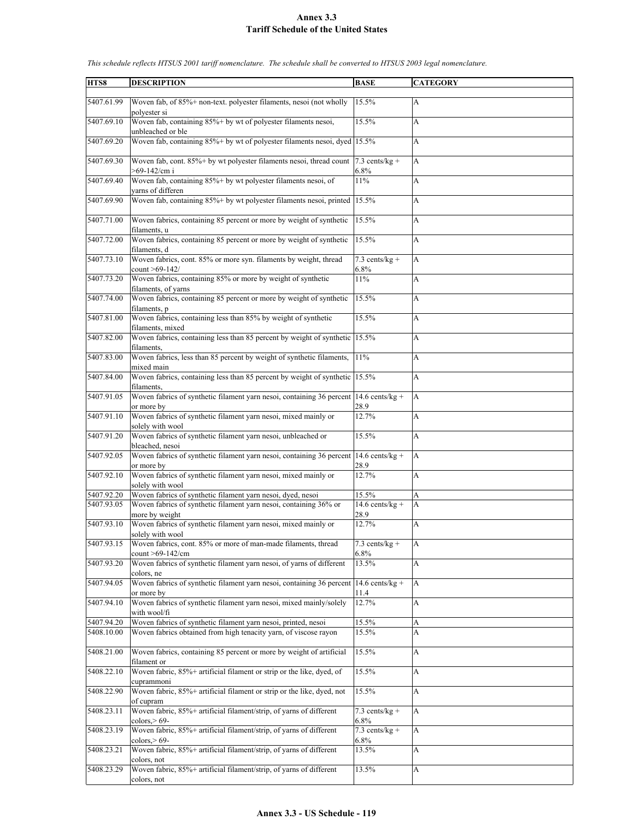| HTS8       | <b>DESCRIPTION</b>                                                                        | <b>BASE</b>                 | <b>CATEGORY</b> |
|------------|-------------------------------------------------------------------------------------------|-----------------------------|-----------------|
|            |                                                                                           |                             |                 |
| 5407.61.99 | Woven fab, of 85%+ non-text. polyester filaments, nesoi (not wholly<br>polyester si       | 15.5%                       | A               |
| 5407.69.10 | Woven fab, containing 85%+ by wt of polyester filaments nesoi,<br>unbleached or ble       | 15.5%                       | A               |
| 5407.69.20 | Woven fab, containing 85%+ by wt of polyester filaments nesoi, dyed 15.5%                 |                             | A               |
| 5407.69.30 | Woven fab, cont. 85%+ by wt polyester filaments nesoi, thread count<br>$>69-142/cm$ i     | $7.3$ cents/kg +<br>$6.8\%$ | A               |
| 5407.69.40 | Woven fab, containing 85%+ by wt polyester filaments nesoi, of<br>varns of differen       | 11%                         | A               |
| 5407.69.90 | Woven fab, containing 85%+ by wt polyester filaments nesoi, printed                       | 15.5%                       | A               |
| 5407.71.00 | Woven fabrics, containing 85 percent or more by weight of synthetic<br>filaments, u       | 15.5%                       | A               |
| 5407.72.00 | Woven fabrics, containing 85 percent or more by weight of synthetic<br>filaments, d       | 15.5%                       | A               |
| 5407.73.10 | Woven fabrics, cont. 85% or more syn. filaments by weight, thread<br>count >69-142/       | $7.3$ cents/kg +<br>6.8%    | A               |
| 5407.73.20 | Woven fabrics, containing 85% or more by weight of synthetic<br>filaments, of yarns       | 11%                         | A               |
| 5407.74.00 | Woven fabrics, containing 85 percent or more by weight of synthetic<br>filaments, p       | 15.5%                       | A               |
| 5407.81.00 | Woven fabrics, containing less than 85% by weight of synthetic<br>filaments, mixed        | 15.5%                       | A               |
| 5407.82.00 | Woven fabrics, containing less than 85 percent by weight of synthetic 15.5%<br>filaments. |                             | A               |
| 5407.83.00 | Woven fabrics, less than 85 percent by weight of synthetic filaments,<br>mixed main       | 11%                         | A               |
| 5407.84.00 | Woven fabrics, containing less than 85 percent by weight of synthetic 15.5%               |                             | A               |
| 5407.91.05 | filaments.<br>Woven fabrics of synthetic filament yarn nesoi, containing 36 percent       | 14.6 cents/kg +             | A               |
| 5407.91.10 | or more by<br>Woven fabrics of synthetic filament yarn nesoi, mixed mainly or             | 28.9<br>12.7%               | A               |
| 5407.91.20 | solely with wool<br>Woven fabrics of synthetic filament yarn nesoi, unbleached or         | 15.5%                       | A               |
|            | bleached, nesoi                                                                           |                             |                 |
| 5407.92.05 | Woven fabrics of synthetic filament yarn nesoi, containing 36 percent<br>or more by       | 14.6 cents/kg +<br>28.9     | A               |
| 5407.92.10 | Woven fabrics of synthetic filament yarn nesoi, mixed mainly or<br>solely with wool       | 12.7%                       | A               |
| 5407.92.20 | Woven fabrics of synthetic filament yarn nesoi, dyed, nesoi                               | 15.5%                       | A               |
| 5407.93.05 | Woven fabrics of synthetic filament yarn nesoi, containing 36% or<br>more by weight       | $14.6$ cents/kg +<br>28.9   | A               |
| 5407.93.10 | Woven fabrics of synthetic filament yarn nesoi, mixed mainly or<br>solely with wool       | 12.7%                       | A               |
| 5407.93.15 | Woven fabrics, cont. 85% or more of man-made filaments, thread<br>count >69-142/cm        | $7.3$ cents/kg +<br>6.8%    | A               |
| 5407.93.20 | Woven fabrics of synthetic filament yarn nesoi, of yarns of different<br>colors, ne       | 13.5%                       | A               |
| 5407.94.05 | Woven fabrics of synthetic filament yarn nesoi, containing 36 percent<br>or more by       | $14.6$ cents/kg +<br>11.4   | A               |
| 5407.94.10 | Woven fabrics of synthetic filament yarn nesoi, mixed mainly/solely<br>with wool/fi       | 12.7%                       | A               |
| 5407.94.20 | Woven fabrics of synthetic filament yarn nesoi, printed, nesoi                            | 15.5%                       | A               |
| 5408.10.00 | Woven fabrics obtained from high tenacity yarn, of viscose rayon                          | 15.5%                       | A               |
| 5408.21.00 | Woven fabrics, containing 85 percent or more by weight of artificial                      | 15.5%                       | A               |
| 5408.22.10 | filament or<br>Woven fabric, 85%+ artificial filament or strip or the like, dyed, of      | 15.5%                       | A               |
| 5408.22.90 | cuprammoni<br>Woven fabric, 85%+ artificial filament or strip or the like, dyed, not      | 15.5%                       | A               |
| 5408.23.11 | of cupram<br>Woven fabric, 85%+ artificial filament/strip, of yarns of different          | $7.3$ cents/kg +            | A               |
|            | colors $> 69$ -                                                                           | 6.8%                        |                 |
| 5408.23.19 | Woven fabric, 85%+ artificial filament/strip, of yarns of different<br>colors $> 69$ -    | $7.3$ cents/kg +<br>6.8%    | A               |
| 5408.23.21 | Woven fabric, 85%+ artificial filament/strip, of yarns of different<br>colors, not        | 13.5%                       | A               |
| 5408.23.29 | Woven fabric, 85%+ artificial filament/strip, of yarns of different<br>colors, not        | 13.5%                       | A               |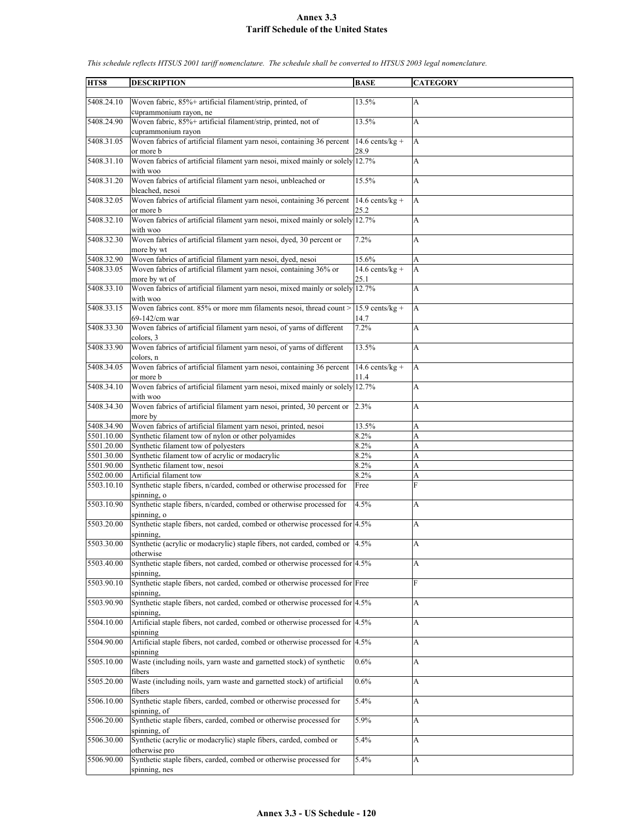| HTS8       | <b>DESCRIPTION</b>                                                            | <b>BASE</b>       | <b>CATEGORY</b>           |
|------------|-------------------------------------------------------------------------------|-------------------|---------------------------|
|            |                                                                               |                   |                           |
| 5408.24.10 | Woven fabric, 85%+ artificial filament/strip, printed, of                     | 13.5%             | $\mathbf{A}$              |
|            | cuprammonium rayon, ne                                                        |                   |                           |
| 5408.24.90 | Woven fabric, 85%+ artificial filament/strip, printed, not of                 | 13.5%             | A                         |
|            | cuprammonium rayon                                                            |                   |                           |
| 5408.31.05 | Woven fabrics of artificial filament yarn nesoi, containing 36 percent        | 14.6 cents/kg +   | A                         |
|            | or more b                                                                     | 28.9              |                           |
| 5408.31.10 | Woven fabrics of artificial filament yarn nesoi, mixed mainly or solely 12.7% |                   | A                         |
|            |                                                                               |                   |                           |
|            | with woo                                                                      |                   |                           |
| 5408.31.20 | Woven fabrics of artificial filament yarn nesoi, unbleached or                | 15.5%             | A                         |
|            | bleached, nesoi                                                               |                   |                           |
| 5408.32.05 | Woven fabrics of artificial filament yarn nesoi, containing 36 percent        | 14.6 cents/kg +   | $\overline{A}$            |
|            | or more b                                                                     | 25.2              |                           |
| 5408.32.10 | Woven fabrics of artificial filament yarn nesoi, mixed mainly or solely 12.7% |                   | A                         |
|            | with woo                                                                      |                   |                           |
| 5408.32.30 | Woven fabrics of artificial filament yarn nesoi, dyed, 30 percent or          | 7.2%              | A                         |
|            | more by wt                                                                    |                   |                           |
| 5408.32.90 | Woven fabrics of artificial filament yarn nesoi, dyed, nesoi                  | 15.6%             | А                         |
| 5408.33.05 | Woven fabrics of artificial filament yarn nesoi, containing 36% or            | $14.6$ cents/kg + | A                         |
|            | more by wt of                                                                 | 25.1              |                           |
| 5408.33.10 | Woven fabrics of artificial filament yarn nesoi, mixed mainly or solely 12.7% |                   | A                         |
|            | with woo                                                                      |                   |                           |
| 5408.33.15 | Woven fabrics cont. 85% or more mm filaments nesoi, thread count >            |                   |                           |
|            |                                                                               | $15.9$ cents/kg + | A                         |
|            | 69-142/cm war                                                                 | 14.7              |                           |
| 5408.33.30 | Woven fabrics of artificial filament yarn nesoi, of yarns of different        | 7.2%              | A                         |
|            | colors, 3                                                                     |                   |                           |
| 5408.33.90 | Woven fabrics of artificial filament yarn nesoi, of yarns of different        | 13.5%             | A                         |
|            | colors, n                                                                     |                   |                           |
| 5408.34.05 | Woven fabrics of artificial filament yarn nesoi, containing 36 percent        | 14.6 cents/kg +   | A                         |
|            | or more b                                                                     | 11.4              |                           |
| 5408.34.10 | Woven fabrics of artificial filament yarn nesoi, mixed mainly or solely 12.7% |                   | A                         |
|            | with woo                                                                      |                   |                           |
| 5408.34.30 | Woven fabrics of artificial filament yarn nesoi, printed, 30 percent or 2.3%  |                   | A                         |
|            | more by                                                                       |                   |                           |
| 5408.34.90 | Woven fabrics of artificial filament yarn nesoi, printed, nesoi               | 13.5%             | А                         |
| 5501.10.00 | Synthetic filament tow of nylon or other polyamides                           | 8.2%              | A                         |
| 5501.20.00 | Synthetic filament tow of polyesters                                          | 8.2%              | A                         |
| 5501.30.00 | Synthetic filament tow of acrylic or modacrylic                               | 8.2%              | A                         |
|            |                                                                               |                   |                           |
| 5501.90.00 | Synthetic filament tow, nesoi                                                 | 8.2%              | A                         |
| 5502.00.00 | Artificial filament tow                                                       | 8.2%              | A                         |
| 5503.10.10 | Synthetic staple fibers, n/carded, combed or otherwise processed for          | Free              | F                         |
|            | spinning, o                                                                   |                   |                           |
| 5503.10.90 | Synthetic staple fibers, n/carded, combed or otherwise processed for          | 4.5%              | A                         |
|            | spinning, o                                                                   |                   |                           |
| 5503.20.00 | Synthetic staple fibers, not carded, combed or otherwise processed for 4.5%   |                   | A                         |
|            | spinning.                                                                     |                   |                           |
| 5503.30.00 | Synthetic (acrylic or modacrylic) staple fibers, not carded, combed or 4.5%   |                   | $\boldsymbol{\mathsf{A}}$ |
|            | otherwise                                                                     |                   |                           |
| 5503.40.00 | Synthetic staple fibers, not carded, combed or otherwise processed for 4.5%   |                   | A                         |
|            | spinning,                                                                     |                   |                           |
| 5503.90.10 | Synthetic staple fibers, not carded, combed or otherwise processed for Free   |                   | F                         |
|            | spinning.                                                                     |                   |                           |
| 5503.90.90 | Synthetic staple fibers, not carded, combed or otherwise processed for 4.5%   |                   | $\boldsymbol{\mathsf{A}}$ |
|            | spinning,                                                                     |                   |                           |
| 5504.10.00 | Artificial staple fibers, not carded, combed or otherwise processed for 4.5%  |                   | A                         |
|            |                                                                               |                   |                           |
|            | spinning                                                                      |                   |                           |
| 5504.90.00 | Artificial staple fibers, not carded, combed or otherwise processed for 4.5%  |                   | A                         |
|            | spinning                                                                      |                   |                           |
| 5505.10.00 | Waste (including noils, yarn waste and garnetted stock) of synthetic          | 0.6%              | A                         |
|            | fibers                                                                        |                   |                           |
| 5505.20.00 | Waste (including noils, yarn waste and garnetted stock) of artificial         | 0.6%              | A                         |
|            | fibers                                                                        |                   |                           |
| 5506.10.00 | Synthetic staple fibers, carded, combed or otherwise processed for            | 5.4%              | A                         |
|            | spinning, of                                                                  |                   |                           |
| 5506.20.00 | Synthetic staple fibers, carded, combed or otherwise processed for            | 5.9%              | $\boldsymbol{\mathsf{A}}$ |
|            | spinning, of                                                                  |                   |                           |
| 5506.30.00 | Synthetic (acrylic or modacrylic) staple fibers, carded, combed or            | 5.4%              | A                         |
|            | otherwise pro                                                                 |                   |                           |
| 5506.90.00 | Synthetic staple fibers, carded, combed or otherwise processed for            | 5.4%              | A                         |
|            | spinning, nes                                                                 |                   |                           |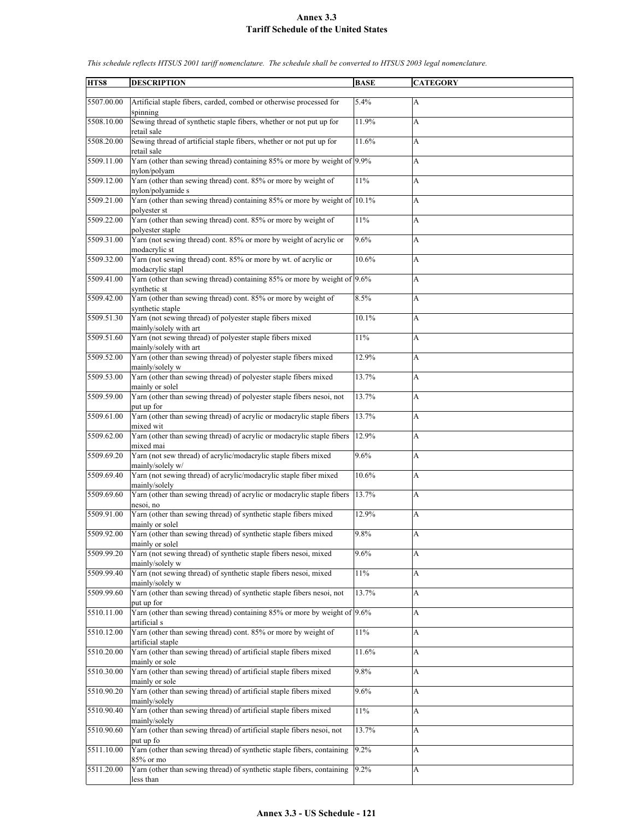| HTS8       | <b>DESCRIPTION</b>                                                                                      | <b>BASE</b> | <b>CATEGORY</b> |
|------------|---------------------------------------------------------------------------------------------------------|-------------|-----------------|
|            |                                                                                                         |             |                 |
| 5507.00.00 | Artificial staple fibers, carded, combed or otherwise processed for<br>spinning                         | 5.4%        | A               |
| 5508.10.00 | Sewing thread of synthetic staple fibers, whether or not put up for<br>retail sale                      | 11.9%       | A               |
| 5508.20.00 | Sewing thread of artificial staple fibers, whether or not put up for<br>retail sale                     | 11.6%       | A               |
| 5509.11.00 | Yarn (other than sewing thread) containing 85% or more by weight of 9.9%<br>nylon/polyam                |             | A               |
| 5509.12.00 | Yarn (other than sewing thread) cont. 85% or more by weight of<br>nylon/polyamide s                     | $11\%$      | A               |
| 5509.21.00 | Yarn (other than sewing thread) containing 85% or more by weight of 10.1%<br>polyester st               |             | A               |
| 5509.22.00 | Yarn (other than sewing thread) cont. 85% or more by weight of                                          | 11%         | A               |
| 5509.31.00 | polyester staple<br>Yarn (not sewing thread) cont. 85% or more by weight of acrylic or<br>modacrylic st | 9.6%        | A               |
| 5509.32.00 | Yarn (not sewing thread) cont. 85% or more by wt. of acrylic or<br>modacrylic stapl                     | 10.6%       | A               |
| 5509.41.00 | Yarn (other than sewing thread) containing 85% or more by weight of 9.6%                                |             | A               |
| 5509.42.00 | synthetic st<br>Yarn (other than sewing thread) cont. 85% or more by weight of                          | 8.5%        | A               |
| 5509.51.30 | synthetic staple<br>Yarn (not sewing thread) of polyester staple fibers mixed                           | 10.1%       | A               |
| 5509.51.60 | mainly/solely with art<br>Yarn (not sewing thread) of polyester staple fibers mixed                     | 11%         | A               |
|            | mainly/solely with art                                                                                  |             |                 |
| 5509.52.00 | Yarn (other than sewing thread) of polyester staple fibers mixed<br>mainly/solely w                     | 12.9%       | A               |
| 5509.53.00 | Yarn (other than sewing thread) of polyester staple fibers mixed<br>mainly or solel                     | 13.7%       | A               |
| 5509.59.00 | Yarn (other than sewing thread) of polyester staple fibers nesoi, not<br>put up for                     | 13.7%       | A               |
| 5509.61.00 | Yarn (other than sewing thread) of acrylic or modacrylic staple fibers<br>mixed wit                     | 13.7%       | A               |
| 5509.62.00 | Yarn (other than sewing thread) of acrylic or modacrylic staple fibers<br>mixed mai                     | 12.9%       | A               |
| 5509.69.20 | Yarn (not sew thread) of acrylic/modacrylic staple fibers mixed<br>mainly/solely w/                     | 9.6%        | A               |
| 5509.69.40 | Yarn (not sewing thread) of acrylic/modacrylic staple fiber mixed<br>mainly/solely                      | 10.6%       | A               |
| 5509.69.60 | Yarn (other than sewing thread) of acrylic or modacrylic staple fibers<br>nesoi, no                     | 13.7%       | A               |
| 5509.91.00 | Yarn (other than sewing thread) of synthetic staple fibers mixed<br>mainly or solel                     | 12.9%       | A               |
| 5509.92.00 | Yarn (other than sewing thread) of synthetic staple fibers mixed<br>mainly or solel                     | 9.8%        | A               |
| 5509.99.20 | Yarn (not sewing thread) of synthetic staple fibers nesoi, mixed<br>mainly/solely w                     | 9.6%        | A               |
| 5509.99.40 | Yarn (not sewing thread) of synthetic staple fibers nesoi, mixed                                        | $11\%$      | A               |
| 5509.99.60 | mainly/solely w<br>Yarn (other than sewing thread) of synthetic staple fibers nesoi, not                | 13.7%       | A               |
| 5510.11.00 | put up for<br>Yarn (other than sewing thread) containing 85% or more by weight of 9.6%                  |             | A               |
| 5510.12.00 | artificial s<br>Yarn (other than sewing thread) cont. 85% or more by weight of                          | 11%         | A               |
| 5510.20.00 | artificial staple<br>Yarn (other than sewing thread) of artificial staple fibers mixed                  | 11.6%       | A               |
| 5510.30.00 | mainly or sole<br>Yarn (other than sewing thread) of artificial staple fibers mixed                     | 9.8%        | A               |
| 5510.90.20 | mainly or sole<br>Yarn (other than sewing thread) of artificial staple fibers mixed                     | 9.6%        | A               |
| 5510.90.40 | mainly/solely<br>Yarn (other than sewing thread) of artificial staple fibers mixed                      | 11%         | A               |
| 5510.90.60 | mainly/solely<br>Yarn (other than sewing thread) of artificial staple fibers nesoi, not                 | 13.7%       | A               |
| 5511.10.00 | put up fo<br>Yarn (other than sewing thread) of synthetic staple fibers, containing                     | 9.2%        | A               |
| 5511.20.00 | 85% or mo<br>Yarn (other than sewing thread) of synthetic staple fibers, containing                     | 9.2%        | A               |
|            | less than                                                                                               |             |                 |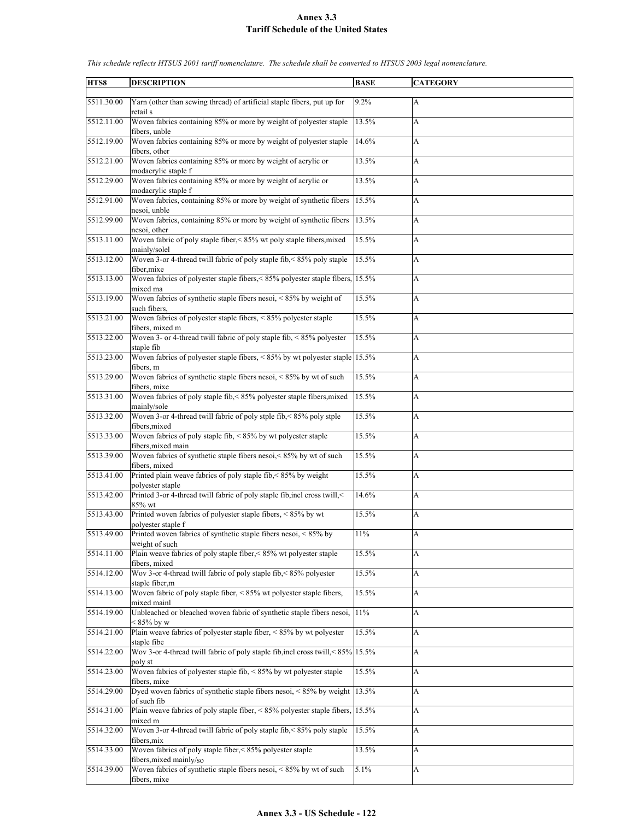| HTS8       | <b>DESCRIPTION</b>                                                                               | <b>BASE</b> | <b>CATEGORY</b> |
|------------|--------------------------------------------------------------------------------------------------|-------------|-----------------|
|            |                                                                                                  |             |                 |
| 5511.30.00 | Yarn (other than sewing thread) of artificial staple fibers, put up for<br>retail s              | 9.2%        | A               |
| 5512.11.00 | Woven fabrics containing 85% or more by weight of polyester staple<br>fibers, unble              | 13.5%       | A               |
| 5512.19.00 | Woven fabrics containing 85% or more by weight of polyester staple<br>fibers, other              | 14.6%       | A               |
| 5512.21.00 | Woven fabrics containing 85% or more by weight of acrylic or<br>modacrylic staple f              | 13.5%       | A               |
| 5512.29.00 | Woven fabrics containing 85% or more by weight of acrylic or<br>modacrylic staple f              | 13.5%       | A               |
| 5512.91.00 | Woven fabrics, containing 85% or more by weight of synthetic fibers<br>nesoi, unble              | 15.5%       | A               |
| 5512.99.00 | Woven fabrics, containing 85% or more by weight of synthetic fibers<br>nesoi, other              | 13.5%       | A               |
| 5513.11.00 | Woven fabric of poly staple fiber,<85% wt poly staple fibers, mixed<br>mainly/solel              | 15.5%       | A               |
| 5513.12.00 | Woven 3-or 4-thread twill fabric of poly staple fib, < 85% poly staple                           | 15.5%       | A               |
|            | fiber.mixe                                                                                       |             |                 |
| 5513.13.00 | Woven fabrics of polyester staple fibers, < 85% polyester staple fibers, 15.5%<br>mixed ma       |             | A               |
| 5513.19.00 | Woven fabrics of synthetic staple fibers nesoi, $< 85\%$ by weight of<br>such fibers.            | 15.5%       | A               |
| 5513.21.00 | Woven fabrics of polyester staple fibers, $\leq 85\%$ polyester staple                           | 15.5%       | A               |
| 5513.22.00 | fibers, mixed m<br>Woven 3- or 4-thread twill fabric of poly staple fib, $\leq 85\%$ polyester   | 15.5%       |                 |
|            | staple fib                                                                                       |             | A               |
| 5513.23.00 | Woven fabrics of polyester staple fibers, $\leq 85\%$ by wt polyester staple 15.5%<br>fibers, m  |             | A               |
| 5513.29.00 | Woven fabrics of synthetic staple fibers nesoi, <85% by wt of such<br>fibers, mixe               | 15.5%       | A               |
| 5513.31.00 | Woven fabrics of poly staple fib,<85% polyester staple fibers, mixed<br>mainly/sole              | 15.5%       | A               |
| 5513.32.00 | Woven 3-or 4-thread twill fabric of poly stple fib, < 85% poly stple<br>fibers, mixed            | 15.5%       | A               |
| 5513.33.00 | Woven fabrics of poly staple fib, $\leq 85\%$ by wt polyester staple                             | 15.5%       | A               |
| 5513.39.00 | fibers, mixed main<br>Woven fabrics of synthetic staple fibers nesoi, < 85% by wt of such        | 15.5%       | A               |
|            | fibers, mixed                                                                                    |             |                 |
| 5513.41.00 | Printed plain weave fabrics of poly staple fib, <85% by weight<br>polyester staple               | 15.5%       | A               |
| 5513.42.00 | Printed 3-or 4-thread twill fabric of poly staple fib, incl cross twill, <<br>85% wt             | 14.6%       | A               |
| 5513.43.00 | Printed woven fabrics of polyester staple fibers, <85% by wt                                     | 15.5%       | A               |
| 5513.49.00 | polyester staple f<br>Printed woven fabrics of synthetic staple fibers nesoi, $\leq 85\%$ by     | 11%         | A               |
| 5514.11.00 | weight of such<br>Plain weave fabrics of poly staple fiber, < 85% wt polyester staple            | 15.5%       | A               |
|            | fibers, mixed                                                                                    |             |                 |
| 5514.12.00 | Wov 3-or 4-thread twill fabric of poly staple fib, < 85% polyester<br>staple fiber,m             | 15.5%       | A               |
| 5514.13.00 | Woven fabric of poly staple fiber, < 85% wt polyester staple fibers,<br>mixed mainl              | 15.5%       | A               |
| 5514.19.00 | Unbleached or bleached woven fabric of synthetic staple fibers nesoi,<br>$< 85\%$ by w           | 11%         | A               |
| 5514.21.00 | Plain weave fabrics of polyester staple fiber, $\leq 85\%$ by wt polyester                       | 15.5%       | A               |
| 5514.22.00 | staple fibe<br>Wov 3-or 4-thread twill fabric of poly staple fib, incl cross twill, < 85% 15.5%  |             | A               |
| 5514.23.00 | poly st<br>Woven fabrics of polyester staple fib, $\leq 85\%$ by wt polyester staple             | 15.5%       | A               |
| 5514.29.00 | fibers, mixe<br>Dyed woven fabrics of synthetic staple fibers nesoi, $< 85\%$ by weight          | 13.5%       | A               |
| 5514.31.00 | of such fib<br>Plain weave fabrics of poly staple fiber, < $85\%$ polyester staple fibers, 15.5% |             | A               |
|            | mixed m                                                                                          |             |                 |
| 5514.32.00 | Woven 3-or 4-thread twill fabric of poly staple fib, < 85% poly staple<br>fibers, mix            | 15.5%       | A               |
| 5514.33.00 | Woven fabrics of poly staple fiber, < 85% polyester staple<br>fibers, mixed mainly/so            | 13.5%       | А               |
| 5514.39.00 | Woven fabrics of synthetic staple fibers nesoi, <85% by wt of such                               | 5.1%        | A               |
|            | fibers, mixe                                                                                     |             |                 |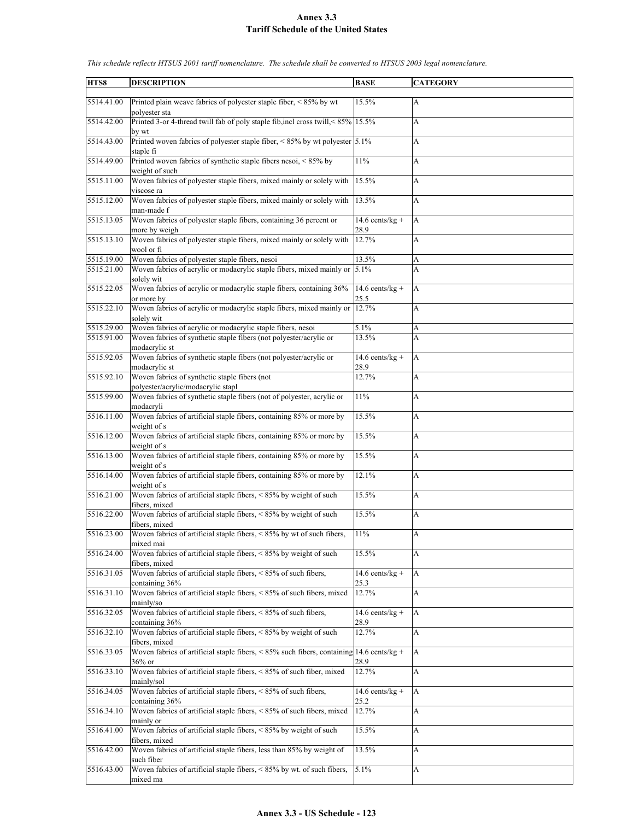| HTS8       | <b>DESCRIPTION</b>                                                                                     | <b>BASE</b>                | <b>CATEGORY</b> |
|------------|--------------------------------------------------------------------------------------------------------|----------------------------|-----------------|
|            |                                                                                                        |                            |                 |
| 5514.41.00 | Printed plain weave fabrics of polyester staple fiber, <85% by wt<br>polyester sta                     | 15.5%                      | A               |
| 5514.42.00 | Printed 3-or 4-thread twill fab of poly staple fib, incl cross twill, < 85% 15.5%<br>by wt             |                            | A               |
| 5514.43.00 | Printed woven fabrics of polyester staple fiber, $\leq 85\%$ by wt polyester 5.1%<br>staple fi         |                            | A               |
| 5514.49.00 | Printed woven fabrics of synthetic staple fibers nesoi, $\lt$ 85% by<br>weight of such                 | 11%                        | A               |
| 5515.11.00 | Woven fabrics of polyester staple fibers, mixed mainly or solely with<br>viscose ra                    | 15.5%                      | A               |
| 5515.12.00 | Woven fabrics of polyester staple fibers, mixed mainly or solely with<br>man-made f                    | 13.5%                      | A               |
| 5515.13.05 | Woven fabrics of polyester staple fibers, containing 36 percent or<br>more by weigh                    | $14.6$ cents/kg +<br>28.9  | A               |
| 5515.13.10 | Woven fabrics of polyester staple fibers, mixed mainly or solely with<br>wool or fi                    | 12.7%                      | A               |
| 5515.19.00 | Woven fabrics of polyester staple fibers, nesoi                                                        | 13.5%                      | A               |
| 5515.21.00 | Woven fabrics of acrylic or modacrylic staple fibers, mixed mainly or<br>solely wit                    | 5.1%                       | A               |
| 5515.22.05 | Woven fabrics of acrylic or modacrylic staple fibers, containing 36%<br>or more by                     | 14.6 cents/kg +<br>25.5    | A               |
| 5515.22.10 | Woven fabrics of acrylic or modacrylic staple fibers, mixed mainly or                                  | 12.7%                      | A               |
|            | solely wit                                                                                             |                            |                 |
| 5515.29.00 | Woven fabrics of acrylic or modacrylic staple fibers, nesoi                                            | 5.1%                       | A               |
| 5515.91.00 | Woven fabrics of synthetic staple fibers (not polyester/acrylic or                                     | 13.5%                      | A               |
| 5515.92.05 | modacrylic st<br>Woven fabrics of synthetic staple fibers (not polyester/acrylic or                    | $14.6$ cents/kg +          | A               |
|            | modacrylic st                                                                                          | 28.9                       |                 |
| 5515.92.10 | Woven fabrics of synthetic staple fibers (not<br>polyester/acrylic/modacrylic stapl                    | 12.7%                      | A               |
| 5515.99.00 | Woven fabrics of synthetic staple fibers (not of polyester, acrylic or<br>modacryli                    | 11%                        | A               |
| 5516.11.00 | Woven fabrics of artificial staple fibers, containing 85% or more by<br>weight of s                    | 15.5%                      | A               |
| 5516.12.00 | Woven fabrics of artificial staple fibers, containing 85% or more by<br>weight of s                    | 15.5%                      | A               |
| 5516.13.00 | Woven fabrics of artificial staple fibers, containing 85% or more by<br>weight of s                    | 15.5%                      | A               |
| 5516.14.00 | Woven fabrics of artificial staple fibers, containing 85% or more by<br>weight of s                    | 12.1%                      | A               |
| 5516.21.00 | Woven fabrics of artificial staple fibers, <85% by weight of such<br>fibers, mixed                     | 15.5%                      | A               |
| 5516.22.00 | Woven fabrics of artificial staple fibers, < 85% by weight of such<br>fibers, mixed                    | 15.5%                      | A               |
| 5516.23.00 | Woven fabrics of artificial staple fibers, $< 85\%$ by wt of such fibers,<br>mixed mai                 | 11%                        | A               |
| 5516.24.00 | Woven fabrics of artificial staple fibers, $< 85\%$ by weight of such<br>fibers, mixed                 | 15.5%                      | A               |
| 5516.31.05 | Woven fabrics of artificial staple fibers, < 85% of such fibers,<br>containing 36%                     | 14.6 cents/ $kg +$<br>25.3 | A               |
| 5516.31.10 | Woven fabrics of artificial staple fibers, <85% of such fibers, mixed<br>mainly/so                     | 12.7%                      | A               |
| 5516.32.05 | Woven fabrics of artificial staple fibers, < 85% of such fibers,<br>containing 36%                     | $14.6$ cents/kg +<br>28.9  | A               |
| 5516.32.10 | Woven fabrics of artificial staple fibers, < 85% by weight of such<br>fibers, mixed                    | 12.7%                      | A               |
| 5516.33.05 | Woven fabrics of artificial staple fibers, < $85\%$ such fibers, containing 14.6 cents/kg +<br>36% or  | 28.9                       | A               |
| 5516.33.10 | Woven fabrics of artificial staple fibers, < 85% of such fiber, mixed                                  | 12.7%                      | A               |
| 5516.34.05 | mainly/sol<br>Woven fabrics of artificial staple fibers, $\leq 85\%$ of such fibers,<br>containing 36% | $14.6$ cents/kg +<br>25.2  | A               |
| 5516.34.10 | Woven fabrics of artificial staple fibers, <85% of such fibers, mixed<br>mainly or                     | 12.7%                      | A               |
| 5516.41.00 | Woven fabrics of artificial staple fibers, <85% by weight of such                                      | 15.5%                      | A               |
| 5516.42.00 | fibers, mixed<br>Woven fabrics of artificial staple fibers, less than 85% by weight of<br>such fiber   | 13.5%                      | А               |
| 5516.43.00 | Woven fabrics of artificial staple fibers, < 85% by wt. of such fibers,                                | 5.1%                       | A               |
|            | mixed ma                                                                                               |                            |                 |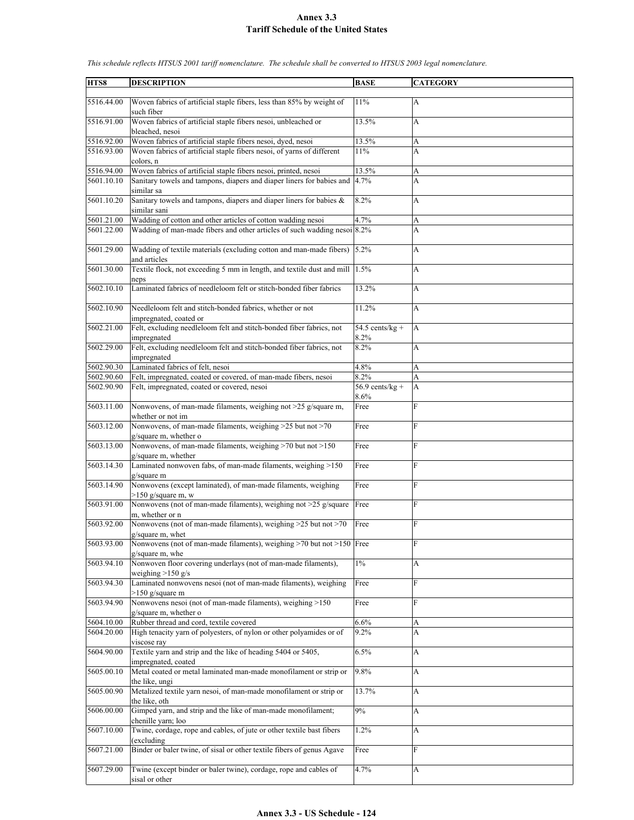| HTS8                     | <b>DESCRIPTION</b>                                                                                                                                  | <b>BASE</b>                       | <b>CATEGORY</b>           |
|--------------------------|-----------------------------------------------------------------------------------------------------------------------------------------------------|-----------------------------------|---------------------------|
| 5516.44.00               | Woven fabrics of artificial staple fibers, less than 85% by weight of                                                                               | 11%                               | $\mathbf{A}$              |
| 5516.91.00               | such fiber<br>Woven fabrics of artificial staple fibers nesoi, unbleached or                                                                        | 13.5%                             | A                         |
|                          | bleached, nesoi                                                                                                                                     |                                   |                           |
| 5516.92.00<br>5516.93.00 | Woven fabrics of artificial staple fibers nesoi, dyed, nesoi<br>Woven fabrics of artificial staple fibers nesoi, of yarns of different<br>colors, n | 13.5%<br>11%                      | A<br>A                    |
| 5516.94.00               | Woven fabrics of artificial staple fibers nesoi, printed, nesoi                                                                                     | 13.5%                             | A                         |
| 5601.10.10               | Sanitary towels and tampons, diapers and diaper liners for babies and<br>similar sa                                                                 | 4.7%                              | A                         |
| 5601.10.20               | Sanitary towels and tampons, diapers and diaper liners for babies &<br>similar sani                                                                 | 8.2%                              | A                         |
| 5601.21.00               | Wadding of cotton and other articles of cotton wadding nesoi                                                                                        | 4.7%                              | А                         |
| 5601.22.00               | Wadding of man-made fibers and other articles of such wadding nesoi 8.2%                                                                            |                                   | A                         |
| 5601.29.00               | Wadding of textile materials (excluding cotton and man-made fibers)<br>and articles                                                                 | 5.2%                              | A                         |
| 5601.30.00               | Textile flock, not exceeding 5 mm in length, and textile dust and mill 1.5%<br>neps                                                                 |                                   | A                         |
| 5602.10.10               | Laminated fabrics of needleloom felt or stitch-bonded fiber fabrics                                                                                 | 13.2%                             | A                         |
| 5602.10.90               | Needleloom felt and stitch-bonded fabrics, whether or not<br>impregnated, coated or                                                                 | 11.2%                             | A                         |
| 5602.21.00               | Felt, excluding needleloom felt and stitch-bonded fiber fabrics, not<br>impregnated                                                                 | 54.5 cents/ $\sqrt{kg +}$<br>8.2% | A                         |
| 5602.29.00               | Felt, excluding needleloom felt and stitch-bonded fiber fabrics, not<br>impregnated                                                                 | 8.2%                              | A                         |
| 5602.90.30               | Laminated fabrics of felt, nesoi                                                                                                                    | 4.8%                              | A                         |
| 5602.90.60               | Felt, impregnated, coated or covered, of man-made fibers, nesoi                                                                                     | 8.2%                              | А                         |
| 5602.90.90               | Felt, impregnated, coated or covered, nesoi                                                                                                         | $56.9$ cents/kg +<br>8.6%         | A                         |
| 5603.11.00               | Nonwovens, of man-made filaments, weighing not >25 g/square m,<br>whether or not im                                                                 | Free                              | F                         |
| 5603.12.00               | Nonwovens, of man-made filaments, weighing >25 but not >70<br>g/square m, whether o                                                                 | Free                              | F                         |
| 5603.13.00               | Nonwovens, of man-made filaments, weighing >70 but not >150<br>g/square m, whether                                                                  | Free                              | F                         |
| 5603.14.30               | Laminated nonwoven fabs, of man-made filaments, weighing >150<br>g/square m                                                                         | Free                              | F                         |
| 5603.14.90               | Nonwovens (except laminated), of man-made filaments, weighing<br>$>150$ g/square m, w                                                               | Free                              | F                         |
| 5603.91.00               | Nonwovens (not of man-made filaments), weighing not >25 g/square<br>m, whether or n                                                                 | Free                              | F                         |
| 5603.92.00               | Nonwovens (not of man-made filaments), weighing $>25$ but not $>70$<br>g/square m, whet                                                             | Free                              | F                         |
| 5603.93.00               | Nonwovens (not of man-made filaments), weighing $>70$ but not $>150$ Free<br>g/square m, whe                                                        |                                   | F                         |
| 5603.94.10               | Nonwoven floor covering underlays (not of man-made filaments),<br>weighing $>150$ g/s                                                               | $1\%$                             | A                         |
| 5603.94.30               | Laminated nonwovens nesoi (not of man-made filaments), weighing<br>$>150$ g/square m                                                                | Free                              | F                         |
| 5603.94.90               | Nonwovens nesoi (not of man-made filaments), weighing >150<br>g/square m, whether o                                                                 | Free                              | ${\bf F}$                 |
| 5604.10.00               | Rubber thread and cord, textile covered                                                                                                             | 6.6%                              | А                         |
| 5604.20.00               | High tenacity yarn of polyesters, of nylon or other polyamides or of<br>viscose ray                                                                 | 9.2%                              | A                         |
| 5604.90.00               | Textile yarn and strip and the like of heading 5404 or 5405,<br>impregnated, coated                                                                 | 6.5%                              | $\boldsymbol{\mathsf{A}}$ |
| 5605.00.10               | Metal coated or metal laminated man-made monofilament or strip or<br>the like, ungi                                                                 | 9.8%                              | $\boldsymbol{\mathsf{A}}$ |
| 5605.00.90               | Metalized textile yarn nesoi, of man-made monofilament or strip or<br>the like, oth                                                                 | 13.7%                             | A                         |
| 5606.00.00               | Gimped yarn, and strip and the like of man-made monofilament;<br>chenille yarn; loo                                                                 | 9%                                | A                         |
| 5607.10.00               | Twine, cordage, rope and cables, of jute or other textile bast fibers<br>(excluding                                                                 | 1.2%                              | A                         |
| 5607.21.00               | Binder or baler twine, of sisal or other textile fibers of genus Agave                                                                              | Free                              | F                         |
| 5607.29.00               | Twine (except binder or baler twine), cordage, rope and cables of<br>sisal or other                                                                 | 4.7%                              | A                         |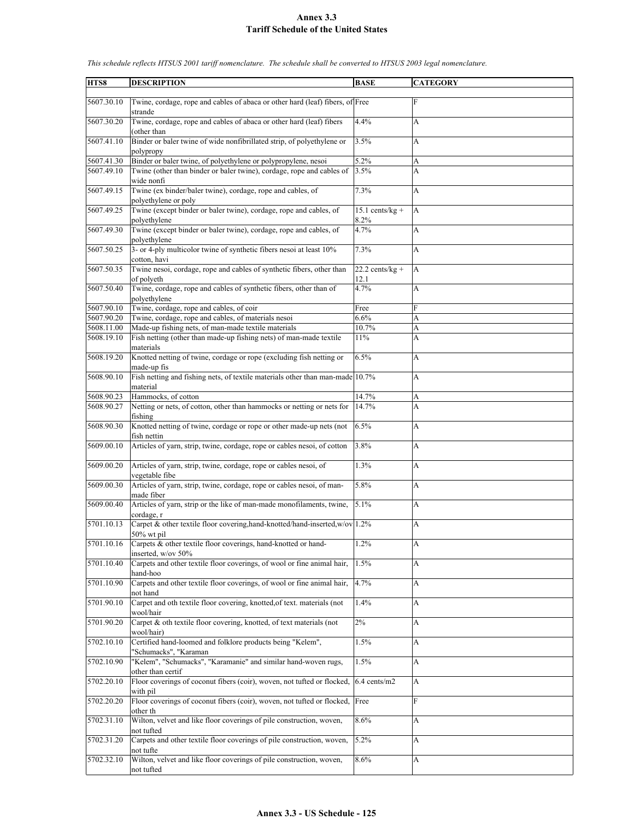| HTS8       | <b>DESCRIPTION</b>                                                                                       | <b>BASE</b>               | <b>CATEGORY</b>           |
|------------|----------------------------------------------------------------------------------------------------------|---------------------------|---------------------------|
| 5607.30.10 | Twine, cordage, rope and cables of abaca or other hard (leaf) fibers, of Free<br>strande                 |                           | $\mathbf{F}$              |
| 5607.30.20 | Twine, cordage, rope and cables of abaca or other hard (leaf) fibers<br>(other than                      | 4.4%                      | A                         |
| 5607.41.10 | Binder or baler twine of wide nonfibrillated strip, of polyethylene or<br>polypropy                      | 3.5%                      | A                         |
| 5607.41.30 | Binder or baler twine, of polyethylene or polypropylene, nesoi                                           | 5.2%                      | A                         |
| 5607.49.10 | Twine (other than binder or baler twine), cordage, rope and cables of<br>wide nonfi                      | 3.5%                      | A                         |
| 5607.49.15 | Twine (ex binder/baler twine), cordage, rope and cables, of<br>polyethylene or poly                      | 7.3%                      | A                         |
| 5607.49.25 | Twine (except binder or baler twine), cordage, rope and cables, of                                       | $15.1$ cents/kg +         | A                         |
| 5607.49.30 | polyethylene<br>Twine (except binder or baler twine), cordage, rope and cables, of                       | 8.2%<br>4.7%              | A                         |
|            | polyethylene                                                                                             |                           |                           |
| 5607.50.25 | 3- or 4-ply multicolor twine of synthetic fibers nesoi at least 10%<br>cotton, havi                      | 7.3%                      | A                         |
| 5607.50.35 | Twine nesoi, cordage, rope and cables of synthetic fibers, other than<br>of polyeth                      | $22.2$ cents/kg +<br>12.1 | A                         |
| 5607.50.40 | Twine, cordage, rope and cables of synthetic fibers, other than of                                       | 4.7%                      | A                         |
|            | polyethylene                                                                                             |                           |                           |
| 5607.90.10 | Twine, cordage, rope and cables, of coir                                                                 | Free                      | F                         |
| 5607.90.20 | Twine, cordage, rope and cables, of materials nesoi                                                      | 6.6%                      | A                         |
| 5608.11.00 | Made-up fishing nets, of man-made textile materials                                                      | 10.7%                     | A                         |
| 5608.19.10 | Fish netting (other than made-up fishing nets) of man-made textile<br>materials                          | 11%                       | A                         |
| 5608.19.20 | Knotted netting of twine, cordage or rope (excluding fish netting or                                     | 6.5%                      | A                         |
| 5608.90.10 | made-up fis<br>Fish netting and fishing nets, of textile materials other than man-made 10.7%<br>material |                           | A                         |
| 5608.90.23 | Hammocks, of cotton                                                                                      | 14.7%                     | A                         |
| 5608.90.27 |                                                                                                          |                           | A                         |
|            | Netting or nets, of cotton, other than hammocks or netting or nets for<br>fishing                        | 14.7%                     |                           |
| 5608.90.30 | Knotted netting of twine, cordage or rope or other made-up nets (not<br>fish nettin                      | 6.5%                      | A                         |
| 5609.00.10 | Articles of yarn, strip, twine, cordage, rope or cables nesoi, of cotton                                 | 3.8%                      | A                         |
| 5609.00.20 | Articles of yarn, strip, twine, cordage, rope or cables nesoi, of<br>vegetable fibe                      | 1.3%                      | A                         |
| 5609.00.30 | Articles of yarn, strip, twine, cordage, rope or cables nesoi, of man-<br>made fiber                     | 5.8%                      | A                         |
| 5609.00.40 | Articles of yarn, strip or the like of man-made monofilaments, twine,<br>cordage, r                      | 5.1%                      | A                         |
| 5701.10.13 | Carpet & other textile floor covering, hand-knotted/hand-inserted, w/ov 1.2%<br>$50\%$ wt pil            |                           | A                         |
| 5701.10.16 | Carpets & other textile floor coverings, hand-knotted or hand-<br>inserted, w/ov 50%                     | 1.2%                      | A                         |
| 5701.10.40 | Carpets and other textile floor coverings, of wool or fine animal hair,<br>hand-hoo                      | 1.5%                      | A                         |
| 5701.10.90 | Carpets and other textile floor coverings, of wool or fine animal hair,<br>not hand                      | 4.7%                      | A                         |
| 5701.90.10 | Carpet and oth textile floor covering, knotted, of text. materials (not<br>wool/hair                     | 1.4%                      | $\boldsymbol{\mathsf{A}}$ |
| 5701.90.20 | Carpet & oth textile floor covering, knotted, of text materials (not<br>wool/hair)                       | $2\%$                     | A                         |
| 5702.10.10 | Certified hand-loomed and folklore products being "Kelem",<br>"Schumacks", "Karaman                      | 1.5%                      | А                         |
| 5702.10.90 | "Kelem", "Schumacks", "Karamanie" and similar hand-woven rugs,                                           | 1.5%                      | A                         |
| 5702.20.10 | other than certif<br>Floor coverings of coconut fibers (coir), woven, not tufted or flocked,<br>with pil | 6.4 cents/m2              | A                         |
| 5702.20.20 | Floor coverings of coconut fibers (coir), woven, not tufted or flocked, Free                             |                           | $\mathbf F$               |
| 5702.31.10 | other th<br>Wilton, velvet and like floor coverings of pile construction, woven,                         | 8.6%                      | $\boldsymbol{\mathsf{A}}$ |
|            | not tufted                                                                                               |                           |                           |
| 5702.31.20 | Carpets and other textile floor coverings of pile construction, woven,<br>not tufte                      | 5.2%                      | A                         |
| 5702.32.10 | Wilton, velvet and like floor coverings of pile construction, woven,<br>not tufted                       | 8.6%                      | А                         |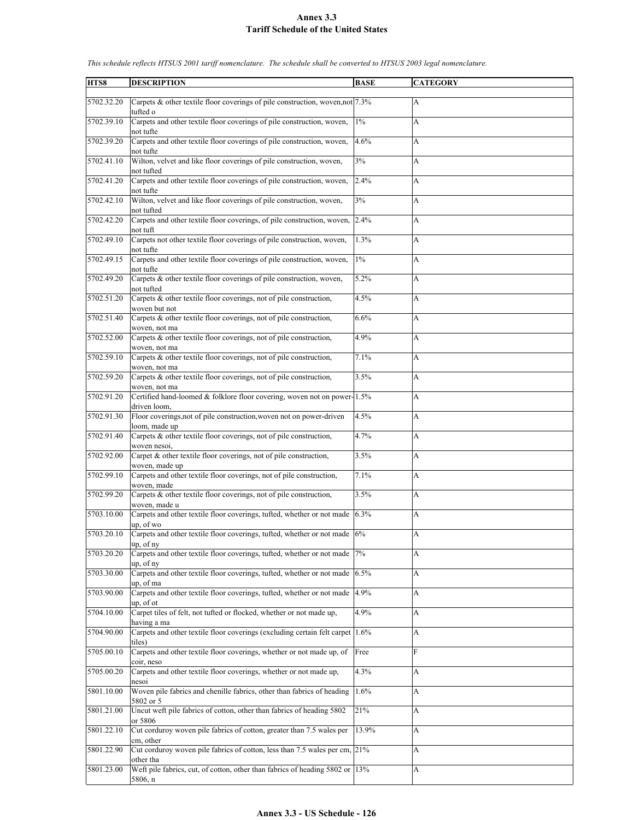| HTS8       | <b>DESCRIPTION</b>                                                                               | <b>BASE</b> | <b>CATEGORY</b> |
|------------|--------------------------------------------------------------------------------------------------|-------------|-----------------|
|            |                                                                                                  |             |                 |
| 5702.32.20 | Carpets & other textile floor coverings of pile construction, woven, not $7.3\%$                 |             | A               |
| 5702.39.10 | tufted o<br>Carpets and other textile floor coverings of pile construction, woven,               | $1\%$       | A               |
|            | not tufte                                                                                        |             |                 |
| 5702.39.20 | Carpets and other textile floor coverings of pile construction, woven,                           | 4.6%        | А               |
|            | not tufte                                                                                        |             |                 |
| 5702.41.10 | Wilton, velvet and like floor coverings of pile construction, woven,                             | 3%          | A               |
| 5702.41.20 | not tufted<br>Carpets and other textile floor coverings of pile construction, woven,             | 2.4%        | A               |
|            | not tufte                                                                                        |             |                 |
| 5702.42.10 | Wilton, velvet and like floor coverings of pile construction, woven,                             | 3%          | A               |
|            | not tufted<br>Carpets and other textile floor coverings, of pile construction, woven, 2.4%       |             |                 |
| 5702.42.20 | not tuft                                                                                         |             | A               |
| 5702.49.10 | Carpets not other textile floor coverings of pile construction, woven,                           | 1.3%        | A               |
|            | not tufte                                                                                        |             |                 |
| 5702.49.15 | Carpets and other textile floor coverings of pile construction, woven,                           | $1\%$       | A               |
| 5702.49.20 | not tufte<br>Carpets & other textile floor coverings of pile construction, woven,                | 5.2%        | A               |
|            | not tufted                                                                                       |             |                 |
| 5702.51.20 | Carpets & other textile floor coverings, not of pile construction,                               | 4.5%        | A               |
|            | woven but not                                                                                    |             |                 |
| 5702.51.40 | Carpets & other textile floor coverings, not of pile construction,                               | 6.6%        | A               |
| 5702.52.00 | woven, not ma<br>Carpets & other textile floor coverings, not of pile construction,              | 4.9%        | A               |
|            | woven, not ma                                                                                    |             |                 |
| 5702.59.10 | Carpets & other textile floor coverings, not of pile construction,                               | 7.1%        | A               |
| 5702.59.20 | woven, not ma<br>Carpets & other textile floor coverings, not of pile construction,              | 3.5%        |                 |
|            | woven, not ma                                                                                    |             | A               |
| 5702.91.20 | Certified hand-loomed & folklore floor covering, woven not on power-1.5%                         |             | A               |
|            | driven loom,                                                                                     |             |                 |
| 5702.91.30 | Floor coverings, not of pile construction, woven not on power-driven                             | 4.5%        | A               |
| 5702.91.40 | loom, made up<br>Carpets & other textile floor coverings, not of pile construction,              | 4.7%        | A               |
|            | woven nesoi.                                                                                     |             |                 |
| 5702.92.00 | Carpet & other textile floor coverings, not of pile construction,                                | 3.5%        | A               |
| 5702.99.10 | woven, made up<br>Carpets and other textile floor coverings, not of pile construction,           | 7.1%        | A               |
|            | woven, made                                                                                      |             |                 |
| 5702.99.20 | Carpets & other textile floor coverings, not of pile construction,                               | 3.5%        | A               |
|            | woven, made u                                                                                    |             |                 |
| 5703.10.00 | Carpets and other textile floor coverings, tufted, whether or not made                           | 6.3%        | A               |
| 5703.20.10 | up, of wo<br>Carpets and other textile floor coverings, tufted, whether or not made $ 6\% $      |             | A               |
|            | up, of ny                                                                                        |             |                 |
| 5703.20.20 | Carpets and other textile floor coverings, tufted, whether or not made                           | 7%          | A               |
| 5703.30.00 | $up$ , of $ny$<br>Carpets and other textile floor coverings, tufted, whether or not made $6.5\%$ |             | A               |
|            | up, of ma                                                                                        |             |                 |
| 5703.90.00 | Carpets and other textile floor coverings, tufted, whether or not made 4.9%                      |             | A               |
|            | up, of ot                                                                                        |             |                 |
| 5704.10.00 | Carpet tiles of felt, not tufted or flocked, whether or not made up,                             | 4.9%        | А               |
| 5704.90.00 | having a ma<br>Carpets and other textile floor coverings (excluding certain felt carpet 1.6%)    |             | A               |
|            | tiles)                                                                                           |             |                 |
| 5705.00.10 | Carpets and other textile floor coverings, whether or not made up, of                            | Free        | $\mathbf F$     |
|            | coir, neso                                                                                       |             |                 |
| 5705.00.20 | Carpets and other textile floor coverings, whether or not made up,<br>nesoi                      | 4.3%        | A               |
| 5801.10.00 | Woven pile fabrics and chenille fabrics, other than fabrics of heading                           | 1.6%        | A               |
|            | 5802 or 5                                                                                        |             |                 |
| 5801.21.00 | Uncut weft pile fabrics of cotton, other than fabrics of heading 5802                            | 21%         | A               |
| 5801.22.10 | or 5806<br>Cut corduroy woven pile fabrics of cotton, greater than 7.5 wales per                 | 13.9%       | A               |
|            | cm, other                                                                                        |             |                 |
| 5801.22.90 | Cut corduroy woven pile fabrics of cotton, less than 7.5 wales per cm, 21%                       |             | А               |
|            | other tha                                                                                        |             |                 |
| 5801.23.00 | Weft pile fabrics, cut, of cotton, other than fabrics of heading 5802 or 13%<br>5806, n          |             | A               |
|            |                                                                                                  |             |                 |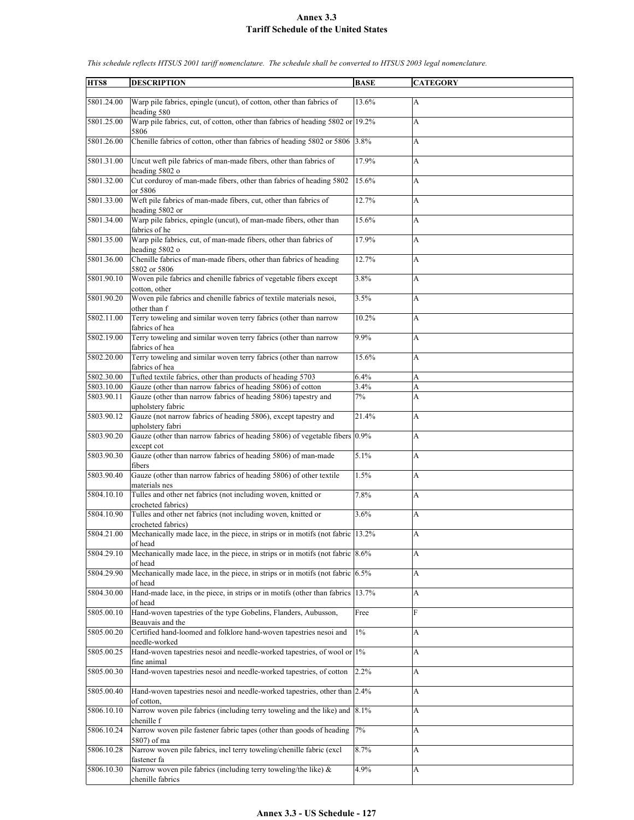| HTS8       | <b>DESCRIPTION</b>                                                                                        | <b>BASE</b> | <b>CATEGORY</b> |
|------------|-----------------------------------------------------------------------------------------------------------|-------------|-----------------|
|            |                                                                                                           |             |                 |
| 5801.24.00 | Warp pile fabrics, epingle (uncut), of cotton, other than fabrics of<br>heading 580                       | 13.6%       | A               |
| 5801.25.00 | Warp pile fabrics, cut, of cotton, other than fabrics of heading 5802 or 19.2%<br>5806                    |             | A               |
| 5801.26.00 | Chenille fabrics of cotton, other than fabrics of heading 5802 or 5806 3.8%                               |             | A               |
| 5801.31.00 | Uncut weft pile fabrics of man-made fibers, other than fabrics of<br>heading 5802 o                       | 17.9%       | A               |
| 5801.32.00 | Cut corduroy of man-made fibers, other than fabrics of heading 5802<br>or 5806                            | 15.6%       | A               |
| 5801.33.00 | Weft pile fabrics of man-made fibers, cut, other than fabrics of<br>heading 5802 or                       | 12.7%       | A               |
| 5801.34.00 | Warp pile fabrics, epingle (uncut), of man-made fibers, other than<br>fabrics of he                       | 15.6%       | A               |
| 5801.35.00 | Warp pile fabrics, cut, of man-made fibers, other than fabrics of<br>heading 5802 o                       | 17.9%       | A               |
| 5801.36.00 | Chenille fabrics of man-made fibers, other than fabrics of heading<br>5802 or 5806                        | 12.7%       | A               |
| 5801.90.10 | Woven pile fabrics and chenille fabrics of vegetable fibers except<br>cotton, other                       | 3.8%        | A               |
| 5801.90.20 | Woven pile fabrics and chenille fabrics of textile materials nesoi,<br>other than f                       | 3.5%        | A               |
| 5802.11.00 | Terry toweling and similar woven terry fabrics (other than narrow                                         | 10.2%       | A               |
| 5802.19.00 | fabrics of hea<br>Terry toweling and similar woven terry fabrics (other than narrow<br>fabrics of hea     | 9.9%        | A               |
| 5802.20.00 | Terry toweling and similar woven terry fabrics (other than narrow                                         | 15.6%       | A               |
| 5802.30.00 | fabrics of hea<br>Tufted textile fabrics, other than products of heading 5703                             | 6.4%        | A               |
| 5803.10.00 | Gauze (other than narrow fabrics of heading 5806) of cotton                                               | 3.4%        | A               |
| 5803.90.11 | Gauze (other than narrow fabrics of heading 5806) tapestry and                                            | 7%          | A               |
|            | upholstery fabric                                                                                         |             |                 |
| 5803.90.12 | Gauze (not narrow fabrics of heading 5806), except tapestry and<br>upholstery fabri                       | 21.4%       | A               |
| 5803.90.20 | Gauze (other than narrow fabrics of heading 5806) of vegetable fibers 0.9%<br>except cot                  |             | A               |
| 5803.90.30 | Gauze (other than narrow fabrics of heading 5806) of man-made<br>fibers                                   | 5.1%        | A               |
| 5803.90.40 | Gauze (other than narrow fabrics of heading 5806) of other textile<br>materials nes                       | 1.5%        | A               |
| 5804.10.10 | Tulles and other net fabrics (not including woven, knitted or<br>crocheted fabrics)                       | 7.8%        | A               |
| 5804.10.90 | Tulles and other net fabrics (not including woven, knitted or<br>crocheted fabrics)                       | 3.6%        | A               |
| 5804.21.00 | Mechanically made lace, in the piece, in strips or in motifs (not fabric 13.2%<br>of head                 |             | A               |
| 5804.29.10 | Mechanically made lace, in the piece, in strips or in motifs (not fabric 8.6%)<br>of head                 |             | A               |
| 5804.29.90 | Mechanically made lace, in the piece, in strips or in motifs (not fabric $6.5\%$<br>of head               |             | A               |
| 5804.30.00 | Hand-made lace, in the piece, in strips or in motifs (other than fabrics 13.7%)<br>of head                |             | A               |
| 5805.00.10 | Hand-woven tapestries of the type Gobelins, Flanders, Aubusson,<br>Beauvais and the                       | Free        | F               |
| 5805.00.20 | Certified hand-loomed and folklore hand-woven tapestries nesoi and<br>needle-worked                       | $1\%$       | A               |
| 5805.00.25 | Hand-woven tapestries nesoi and needle-worked tapestries, of wool or 1%<br>fine animal                    |             | A               |
| 5805.00.30 | Hand-woven tapestries nesoi and needle-worked tapestries, of cotton                                       | 2.2%        | A               |
| 5805.00.40 | Hand-woven tapestries nesoi and needle-worked tapestries, other than 2.4%<br>of cotton,                   |             | A               |
| 5806.10.10 | Narrow woven pile fabrics (including terry toweling and the like) and $\vert 8.1\% \rangle$<br>chenille f |             | A               |
| 5806.10.24 | Narrow woven pile fastener fabric tapes (other than goods of heading<br>5807) of ma                       | 7%          | A               |
| 5806.10.28 | Narrow woven pile fabrics, incl terry toweling/chenille fabric (excl<br>fastener fa                       | 8.7%        | A               |
| 5806.10.30 | Narrow woven pile fabrics (including terry toweling/the like) &<br>chenille fabrics                       | 4.9%        | A               |
|            |                                                                                                           |             |                 |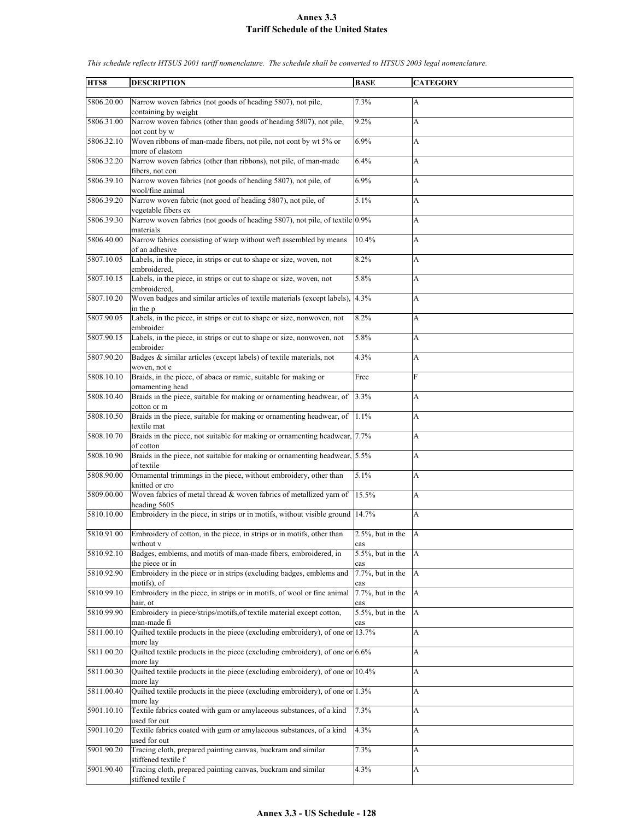| HTS8       | <b>DESCRIPTION</b>                                                                                    | <b>BASE</b>                 | <b>CATEGORY</b> |
|------------|-------------------------------------------------------------------------------------------------------|-----------------------------|-----------------|
| 5806.20.00 | Narrow woven fabrics (not goods of heading 5807), not pile,                                           | 7.3%                        | A               |
| 5806.31.00 | containing by weight<br>Narrow woven fabrics (other than goods of heading 5807), not pile,            | 9.2%                        | A               |
|            | not cont by w                                                                                         |                             |                 |
| 5806.32.10 | Woven ribbons of man-made fibers, not pile, not cont by wt 5% or<br>more of elastom                   | 6.9%                        | A               |
| 5806.32.20 | Narrow woven fabrics (other than ribbons), not pile, of man-made<br>fibers, not con                   | 6.4%                        | A               |
| 5806.39.10 | Narrow woven fabrics (not goods of heading 5807), not pile, of<br>wool/fine animal                    | 6.9%                        | A               |
| 5806.39.20 | Narrow woven fabric (not good of heading 5807), not pile, of<br>vegetable fibers ex                   | 5.1%                        | A               |
| 5806.39.30 | Narrow woven fabrics (not goods of heading 5807), not pile, of textile 0.9%                           |                             | A               |
| 5806.40.00 | materials<br>Narrow fabrics consisting of warp without weft assembled by means<br>of an adhesive      | 10.4%                       | A               |
| 5807.10.05 | Labels, in the piece, in strips or cut to shape or size, woven, not                                   | 8.2%                        | A               |
| 5807.10.15 | embroidered,<br>Labels, in the piece, in strips or cut to shape or size, woven, not                   | 5.8%                        | A               |
| 5807.10.20 | embroidered,<br>Woven badges and similar articles of textile materials (except labels),               | 4.3%                        | A               |
| 5807.90.05 | in the p<br>Labels, in the piece, in strips or cut to shape or size, nonwoven, not                    | 8.2%                        | A               |
| 5807.90.15 | embroider<br>Labels, in the piece, in strips or cut to shape or size, nonwoven, not                   | 5.8%                        | A               |
| 5807.90.20 | embroider<br>Badges & similar articles (except labels) of textile materials, not                      | 4.3%                        | A               |
|            | woven, not e                                                                                          |                             |                 |
| 5808.10.10 | Braids, in the piece, of abaca or ramie, suitable for making or<br>ornamenting head                   | Free                        | F               |
| 5808.10.40 | Braids in the piece, suitable for making or ornamenting headwear, of<br>cotton or m                   | 3.3%                        | A               |
| 5808.10.50 | Braids in the piece, suitable for making or ornamenting headwear, of<br>textile mat                   | 1.1%                        | A               |
| 5808.10.70 | Braids in the piece, not suitable for making or ornamenting headwear, 7.7%                            |                             | A               |
| 5808.10.90 | of cotton<br>Braids in the piece, not suitable for making or ornamenting headwear, 5.5%               |                             | A               |
| 5808.90.00 | of textile<br>Ornamental trimmings in the piece, without embroidery, other than                       | 5.1%                        | A               |
| 5809.00.00 | knitted or cro<br>Woven fabrics of metal thread & woven fabrics of metallized yarn of<br>heading 5605 | 15.5%                       | A               |
| 5810.10.00 | Embroidery in the piece, in strips or in motifs, without visible ground                               | 14.7%                       | A               |
| 5810.91.00 | Embroidery of cotton, in the piece, in strips or in motifs, other than                                | $2.5\%$ , but in the        | A               |
| 5810.92.10 | without v<br>Badges, emblems, and motifs of man-made fibers, embroidered, in                          | cas<br>$5.5\%$ , but in the | $\overline{A}$  |
| 5810.92.90 | the piece or in<br>Embroidery in the piece or in strips (excluding badges, emblems and                | cas<br>7.7%, but in the     | A               |
| 5810.99.10 | motifs), of<br>Embroidery in the piece, in strips or in motifs, of wool or fine animal                | cas<br>$7.7\%$ , but in the | A               |
|            | hair, ot                                                                                              | cas                         |                 |
| 5810.99.90 | Embroidery in piece/strips/motifs.of textile material except cotton,<br>man-made fi                   | $5.5\%$ , but in the<br>cas | A               |
| 5811.00.10 | Quilted textile products in the piece (excluding embroidery), of one or 13.7%<br>more lay             |                             | A               |
| 5811.00.20 | Quilted textile products in the piece (excluding embroidery), of one or $6.6\%$<br>more lay           |                             | A               |
| 5811.00.30 | Quilted textile products in the piece (excluding embroidery), of one or 10.4%                         |                             | A               |
| 5811.00.40 | more lay<br>Quilted textile products in the piece (excluding embroidery), of one or 1.3%<br>more lay  |                             | A               |
| 5901.10.10 | Textile fabrics coated with gum or amylaceous substances, of a kind<br>used for out                   | 7.3%                        | A               |
| 5901.10.20 | Textile fabrics coated with gum or amylaceous substances, of a kind<br>used for out                   | 4.3%                        | A               |
| 5901.90.20 | Tracing cloth, prepared painting canvas, buckram and similar<br>stiffened textile f                   | 7.3%                        | А               |
| 5901.90.40 | Tracing cloth, prepared painting canvas, buckram and similar<br>stiffened textile f                   | 4.3%                        | A               |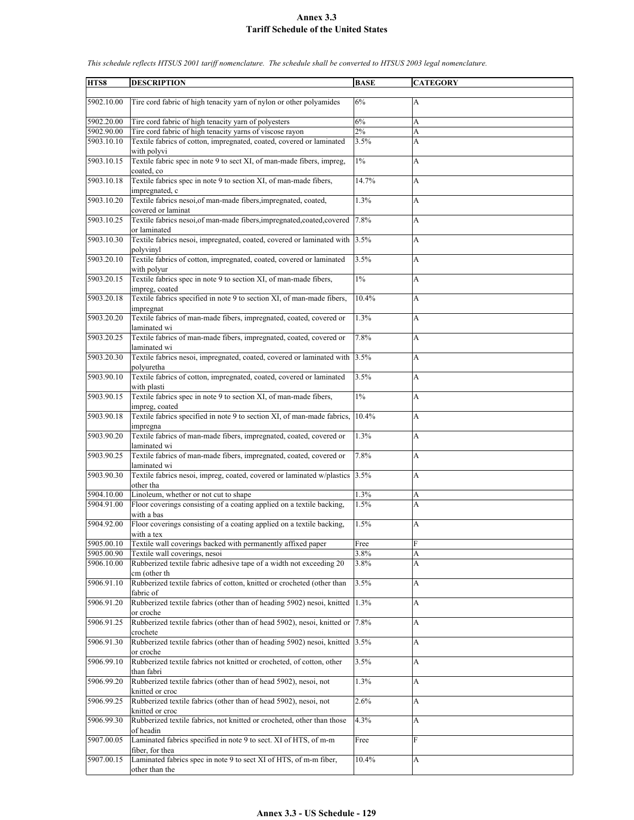| HTS8       | <b>DESCRIPTION</b>                                                                                 | <b>BASE</b> | <b>CATEGORY</b> |
|------------|----------------------------------------------------------------------------------------------------|-------------|-----------------|
| 5902.10.00 | Tire cord fabric of high tenacity yarn of nylon or other polyamides                                | 6%          | A               |
| 5902.20.00 | Tire cord fabric of high tenacity yarn of polyesters                                               | 6%          | A               |
| 5902.90.00 | Tire cord fabric of high tenacity yarns of viscose rayon                                           | 2%          | A               |
| 5903.10.10 | Textile fabrics of cotton, impregnated, coated, covered or laminated<br>with polyvi                | 3.5%        | A               |
| 5903.10.15 | Textile fabric spec in note 9 to sect XI, of man-made fibers, impreg,<br>coated, co                | $1\%$       | A               |
| 5903.10.18 | Textile fabrics spec in note 9 to section XI, of man-made fibers,<br>impregnated, c                | 14.7%       | A               |
| 5903.10.20 | Textile fabrics nesoi, of man-made fibers, impregnated, coated,<br>covered or laminat              | 1.3%        | A               |
| 5903.10.25 | Textile fabrics nesoi, of man-made fibers, impregnated, coated, covered<br>or laminated            | 7.8%        | A               |
| 5903.10.30 | Textile fabrics nesoi, impregnated, coated, covered or laminated with<br>polyvinyl                 | 3.5%        | A               |
| 5903.20.10 | Textile fabrics of cotton, impregnated, coated, covered or laminated                               | 3.5%        | A               |
| 5903.20.15 | with polyur<br>Textile fabrics spec in note 9 to section XI, of man-made fibers,<br>impreg, coated | $1\%$       | A               |
| 5903.20.18 | Textile fabrics specified in note 9 to section XI, of man-made fibers,<br>impregnat                | 10.4%       | A               |
| 5903.20.20 | Textile fabrics of man-made fibers, impregnated, coated, covered or<br>laminated wi                | 1.3%        | A               |
| 5903.20.25 | Textile fabrics of man-made fibers, impregnated, coated, covered or<br>laminated wi                | 7.8%        | A               |
| 5903.20.30 | Textile fabrics nesoi, impregnated, coated, covered or laminated with 3.5%<br>polyuretha           |             | A               |
| 5903.90.10 | Textile fabrics of cotton, impregnated, coated, covered or laminated<br>with plasti                | 3.5%        | A               |
| 5903.90.15 | Textile fabrics spec in note 9 to section XI, of man-made fibers,<br>impreg, coated                | $1\%$       | A               |
| 5903.90.18 | Textile fabrics specified in note 9 to section XI, of man-made fabrics,<br>impregna                | 10.4%       | A               |
| 5903.90.20 | Textile fabrics of man-made fibers, impregnated, coated, covered or<br>laminated wi                | 1.3%        | A               |
| 5903.90.25 | Textile fabrics of man-made fibers, impregnated, coated, covered or<br>laminated wi                | 7.8%        | A               |
| 5903.90.30 | Textile fabrics nesoi, impreg, coated, covered or laminated w/plastics<br>other tha                | 3.5%        | A               |
| 5904.10.00 | Linoleum, whether or not cut to shape                                                              | 1.3%        | A               |
| 5904.91.00 | Floor coverings consisting of a coating applied on a textile backing,                              | 1.5%        | A               |
| 5904.92.00 | with a bas<br>Floor coverings consisting of a coating applied on a textile backing,                | 1.5%        | A               |
|            | with a tex                                                                                         |             |                 |
| 5905.00.10 | Textile wall coverings backed with permanently affixed paper                                       | Free        | F               |
| 5905.00.90 | Textile wall coverings, nesoi                                                                      | 3.8%        | A               |
| 5906.10.00 | Rubberized textile fabric adhesive tape of a width not exceeding 20<br>cm (other th                | 3.8%        | A               |
| 5906.91.10 | Rubberized textile fabrics of cotton, knitted or crocheted (other than<br>fabric of                | 3.5%        | A               |
| 5906.91.20 | Rubberized textile fabrics (other than of heading 5902) nesoi, knitted<br>or croche                | 1.3%        | A               |
| 5906.91.25 | Rubberized textile fabrics (other than of head 5902), nesoi, knitted or<br>crochete                | 7.8%        | A               |
| 5906.91.30 | Rubberized textile fabrics (other than of heading 5902) nesoi, knitted 3.5%<br>or croche           |             | A               |
| 5906.99.10 | Rubberized textile fabrics not knitted or crocheted, of cotton, other<br>than fabri                | 3.5%        | A               |
| 5906.99.20 | Rubberized textile fabrics (other than of head 5902), nesoi, not                                   | 1.3%        | A               |
| 5906.99.25 | knitted or croc<br>Rubberized textile fabrics (other than of head 5902), nesoi, not                | 2.6%        | A               |
| 5906.99.30 | knitted or croc<br>Rubberized textile fabrics, not knitted or crocheted, other than those          | 4.3%        | A               |
| 5907.00.05 | of headin<br>Laminated fabrics specified in note 9 to sect. XI of HTS, of m-m                      | Free        | F               |
| 5907.00.15 | fiber, for thea<br>Laminated fabrics spec in note 9 to sect XI of HTS, of m-m fiber,               | 10.4%       | A               |
|            | other than the                                                                                     |             |                 |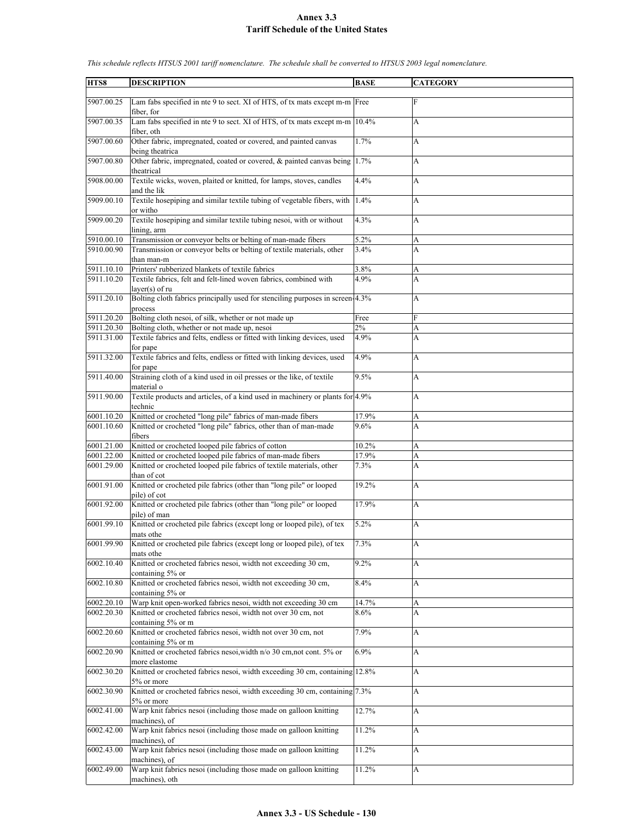| HTS8       | <b>DESCRIPTION</b>                                                                                | <b>BASE</b> | <b>CATEGORY</b> |
|------------|---------------------------------------------------------------------------------------------------|-------------|-----------------|
|            |                                                                                                   |             |                 |
| 5907.00.25 | Lam fabs specified in nte 9 to sect. XI of HTS, of tx mats except m-m Free<br>fiber, for          |             | F               |
| 5907.00.35 | Lam fabs specified in nte 9 to sect. XI of HTS, of tx mats except m-m<br>fiber, oth               | 10.4%       | A               |
| 5907.00.60 | Other fabric, impregnated, coated or covered, and painted canvas<br>being theatrica               | 1.7%        | A               |
| 5907.00.80 | Other fabric, impregnated, coated or covered, & painted canvas being 1.7%<br>theatrical           |             | A               |
| 5908.00.00 | Textile wicks, woven, plaited or knitted, for lamps, stoves, candles<br>and the lik               | 4.4%        | A               |
| 5909.00.10 | Textile hosepiping and similar textile tubing of vegetable fibers, with<br>or witho               | 1.4%        | A               |
| 5909.00.20 | Textile hosepiping and similar textile tubing nesoi, with or without<br>lining, arm               | 4.3%        | A               |
| 5910.00.10 | Transmission or conveyor belts or belting of man-made fibers                                      | 5.2%        | A               |
| 5910.00.90 | Transmission or conveyor belts or belting of textile materials, other                             | 3.4%        | A               |
|            | than man-m                                                                                        |             |                 |
| 5911.10.10 | Printers' rubberized blankets of textile fabrics                                                  | 3.8%        | A               |
| 5911.10.20 | Textile fabrics, felt and felt-lined woven fabrics, combined with                                 | 4.9%        | A               |
| 5911.20.10 | $layer(s)$ of ru<br>Bolting cloth fabrics principally used for stenciling purposes in screen-4.3% |             | A               |
|            | process                                                                                           |             |                 |
| 5911.20.20 | Bolting cloth nesoi, of silk, whether or not made up                                              | Free        | F               |
| 5911.20.30 | Bolting cloth, whether or not made up, nesoi                                                      | 2%          | A               |
| 5911.31.00 | Textile fabrics and felts, endless or fitted with linking devices, used<br>for pape               | 4.9%        | A               |
| 5911.32.00 | Textile fabrics and felts, endless or fitted with linking devices, used                           | 4.9%        | A               |
|            | for pape                                                                                          |             |                 |
| 5911.40.00 | Straining cloth of a kind used in oil presses or the like, of textile<br>material o               | 9.5%        | A               |
| 5911.90.00 | Textile products and articles, of a kind used in machinery or plants for 4.9%<br>technic          |             | A               |
| 6001.10.20 | Knitted or crocheted "long pile" fabrics of man-made fibers                                       | 17.9%       | A               |
| 6001.10.60 | Knitted or crocheted "long pile" fabrics, other than of man-made                                  | $9.6\%$     | A               |
|            | fibers                                                                                            |             |                 |
| 6001.21.00 | Knitted or crocheted looped pile fabrics of cotton                                                | 10.2%       | A               |
| 6001.22.00 | Knitted or crocheted looped pile fabrics of man-made fibers                                       | 17.9%       | A               |
| 6001.29.00 | Knitted or crocheted looped pile fabrics of textile materials, other<br>than of cot               | 7.3%        | A               |
| 6001.91.00 | Knitted or crocheted pile fabrics (other than "long pile" or looped<br>pile) of cot               | 19.2%       | A               |
| 6001.92.00 | Knitted or crocheted pile fabrics (other than "long pile" or looped<br>pile) of man               | 17.9%       | A               |
| 6001.99.10 | Knitted or crocheted pile fabrics (except long or looped pile), of tex<br>mats othe               | 5.2%        | A               |
| 6001.99.90 | Knitted or crocheted pile fabrics (except long or looped pile), of tex<br>mats othe               | 7.3%        | A               |
| 6002.10.40 | Knitted or crocheted fabrics nesoi, width not exceeding 30 cm,<br>containing 5% or                | 9.2%        | A               |
| 6002.10.80 | Knitted or crocheted fabrics nesoi, width not exceeding 30 cm,<br>containing 5% or                | 8.4%        | A               |
| 6002.20.10 | Warp knit open-worked fabrics nesoi, width not exceeding 30 cm                                    | 14.7%       | A               |
| 6002.20.30 | Knitted or crocheted fabrics nesoi, width not over 30 cm, not<br>containing 5% or m               | $8.6\%$     | A               |
| 6002.20.60 | Knitted or crocheted fabrics nesoi, width not over 30 cm, not<br>containing 5% or m               | 7.9%        | A               |
| 6002.20.90 | Knitted or crocheted fabrics nesoi, width n/o 30 cm, not cont. 5% or<br>more elastome             | 6.9%        | A               |
| 6002.30.20 | Knitted or crocheted fabrics nesoi, width exceeding 30 cm, containing 12.8%<br>5% or more         |             | A               |
| 6002.30.90 | Knitted or crocheted fabrics nesoi, width exceeding 30 cm, containing 7.3%<br>5% or more          |             | A               |
| 6002.41.00 | Warp knit fabrics nesoi (including those made on galloon knitting<br>machines), of                | 12.7%       | A               |
| 6002.42.00 | Warp knit fabrics nesoi (including those made on galloon knitting<br>machines), of                | 11.2%       | A               |
| 6002.43.00 | Warp knit fabrics nesoi (including those made on galloon knitting<br>machines), of                | 11.2%       | A               |
| 6002.49.00 | Warp knit fabrics nesoi (including those made on galloon knitting<br>machines), oth               | 11.2%       | A               |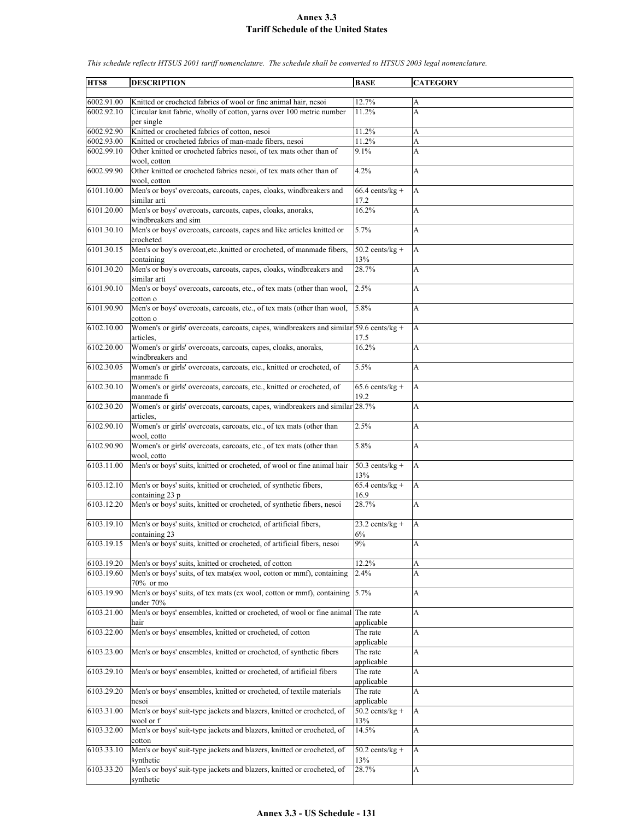| HTS8       | <b>DESCRIPTION</b>                                                                                                            | <b>BASE</b>                  | <b>CATEGORY</b> |
|------------|-------------------------------------------------------------------------------------------------------------------------------|------------------------------|-----------------|
|            |                                                                                                                               |                              |                 |
| 6002.91.00 | Knitted or crocheted fabrics of wool or fine animal hair, nesoi                                                               | 12.7%                        | А               |
| 6002.92.10 | Circular knit fabric, wholly of cotton, yarns over 100 metric number                                                          | 11.2%                        | A               |
|            | per single                                                                                                                    |                              |                 |
| 6002.92.90 | Knitted or crocheted fabrics of cotton, nesoi                                                                                 | 11.2%                        | A               |
| 6002.93.00 | Knitted or crocheted fabrics of man-made fibers, nesoi<br>Other knitted or crocheted fabrics nesoi, of tex mats other than of | $11.2\%$                     | A               |
| 6002.99.10 |                                                                                                                               | 9.1%                         | A               |
| 6002.99.90 | wool, cotton<br>Other knitted or crocheted fabrics nesoi, of tex mats other than of                                           | 4.2%                         | A               |
|            | wool, cotton                                                                                                                  |                              |                 |
| 6101.10.00 | Men's or boys' overcoats, carcoats, capes, cloaks, windbreakers and                                                           | $66.4$ cents/kg +            | A               |
|            | similar arti                                                                                                                  | 17.2                         |                 |
| 6101.20.00 | Men's or boys' overcoats, carcoats, capes, cloaks, anoraks,                                                                   | 16.2%                        | A               |
|            | windbreakers and sim                                                                                                          |                              |                 |
| 6101.30.10 | Men's or boys' overcoats, carcoats, capes and like articles knitted or                                                        | 5.7%                         | A               |
|            | crocheted                                                                                                                     |                              |                 |
| 6101.30.15 | Men's or boy's overcoat, etc., knitted or crocheted, of manmade fibers,                                                       | $50.2$ cents/kg +            | A               |
|            | containing                                                                                                                    | 13%                          |                 |
| 6101.30.20 | Men's or boy's overcoats, carcoats, capes, cloaks, windbreakers and                                                           | 28.7%                        | A               |
|            | similar arti                                                                                                                  |                              |                 |
| 6101.90.10 | Men's or boys' overcoats, carcoats, etc., of tex mats (other than wool,                                                       | 2.5%                         | A               |
|            | cotton o                                                                                                                      |                              |                 |
| 6101.90.90 | Men's or boys' overcoats, carcoats, etc., of tex mats (other than wool,                                                       | 5.8%                         | A               |
|            | cotton o                                                                                                                      |                              |                 |
| 6102.10.00 | Women's or girls' overcoats, carcoats, capes, windbreakers and similar 59.6 cents/kg +                                        |                              | A               |
|            | articles.                                                                                                                     | 17.5                         |                 |
| 6102.20.00 | Women's or girls' overcoats, carcoats, capes, cloaks, anoraks,                                                                | 16.2%                        | A               |
|            | windbreakers and                                                                                                              |                              |                 |
| 6102.30.05 | Women's or girls' overcoats, carcoats, etc., knitted or crocheted, of                                                         | 5.5%                         | A               |
|            | manmade fi                                                                                                                    |                              |                 |
| 6102.30.10 | Women's or girls' overcoats, carcoats, etc., knitted or crocheted, of                                                         | $\overline{65.6}$ cents/kg + | A               |
|            | manmade fi                                                                                                                    | 19.2                         |                 |
| 6102.30.20 | Women's or girls' overcoats, carcoats, capes, windbreakers and similar 28.7%                                                  |                              | A               |
| 6102.90.10 | articles.<br>Women's or girls' overcoats, carcoats, etc., of tex mats (other than                                             | 2.5%                         | A               |
|            | wool, cotto                                                                                                                   |                              |                 |
| 6102.90.90 | Women's or girls' overcoats, carcoats, etc., of tex mats (other than                                                          | 5.8%                         | A               |
|            | wool, cotto                                                                                                                   |                              |                 |
| 6103.11.00 | Men's or boys' suits, knitted or crocheted, of wool or fine animal hair                                                       | $50.3$ cents/kg +            | A               |
|            |                                                                                                                               | 13%                          |                 |
| 6103.12.10 | Men's or boys' suits, knitted or crocheted, of synthetic fibers,                                                              | $65.4$ cents/kg +            | A               |
|            | containing 23 p                                                                                                               | 16.9                         |                 |
| 6103.12.20 | Men's or boys' suits, knitted or crocheted, of synthetic fibers, nesoi                                                        | 28.7%                        | A               |
|            |                                                                                                                               |                              |                 |
| 6103.19.10 | Men's or boys' suits, knitted or crocheted, of artificial fibers,                                                             | $23.2$ cents/kg +            | A               |
|            | containing 23                                                                                                                 | $6\%$                        |                 |
| 6103.19.15 | Men's or boys' suits, knitted or crocheted, of artificial fibers, nesoi                                                       | 9%                           | A               |
|            |                                                                                                                               |                              |                 |
| 6103.19.20 | Men's or boys' suits, knitted or crocheted, of cotton                                                                         | 12.2%                        | A               |
| 6103.19.60 | Men's or boys' suits, of tex mats (ex wool, cotton or mmf), containing                                                        | 2.4%                         | A               |
|            | 70% or mo                                                                                                                     |                              |                 |
| 6103.19.90 | Men's or boys' suits, of tex mats (ex wool, cotton or mmf), containing 5.7%<br>under 70%                                      |                              | A               |
| 6103.21.00 | Men's or boys' ensembles, knitted or crocheted, of wool or fine animal The rate                                               |                              | A               |
|            | hair                                                                                                                          | applicable                   |                 |
| 6103.22.00 | Men's or boys' ensembles, knitted or crocheted, of cotton                                                                     | The rate                     | A               |
|            |                                                                                                                               | applicable                   |                 |
| 6103.23.00 | Men's or boys' ensembles, knitted or crocheted, of synthetic fibers                                                           | The rate                     | А               |
|            |                                                                                                                               | applicable                   |                 |
| 6103.29.10 | Men's or boys' ensembles, knitted or crocheted, of artificial fibers                                                          | The rate                     | A               |
|            |                                                                                                                               | applicable                   |                 |
| 6103.29.20 | Men's or boys' ensembles, knitted or crocheted, of textile materials                                                          | The rate                     | A               |
|            | nesoi                                                                                                                         | applicable                   |                 |
| 6103.31.00 | Men's or boys' suit-type jackets and blazers, knitted or crocheted, of                                                        | $50.2$ cents/kg +            | A               |
|            | wool or f                                                                                                                     | 13%                          |                 |
| 6103.32.00 | Men's or boys' suit-type jackets and blazers, knitted or crocheted, of                                                        | 14.5%                        | A               |
|            | cotton                                                                                                                        |                              |                 |
| 6103.33.10 | Men's or boys' suit-type jackets and blazers, knitted or crocheted, of                                                        | $50.2$ cents/kg +            | A               |
|            | synthetic                                                                                                                     | 13%                          |                 |
| 6103.33.20 | Men's or boys' suit-type jackets and blazers, knitted or crocheted, of                                                        | 28.7%                        | A               |
|            | synthetic                                                                                                                     |                              |                 |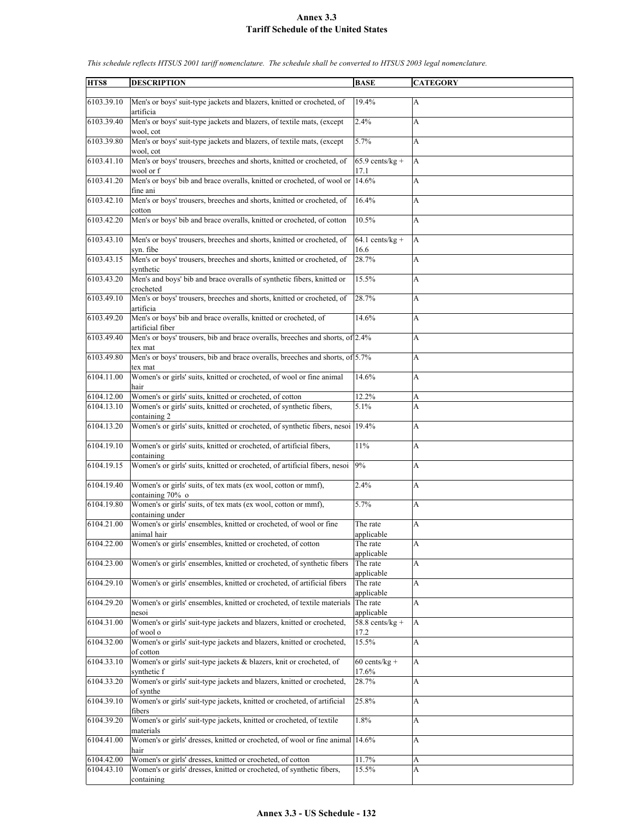| HTS8       | <b>DESCRIPTION</b>                                                              | <b>BASE</b>       | <b>CATEGORY</b>           |
|------------|---------------------------------------------------------------------------------|-------------------|---------------------------|
|            |                                                                                 |                   |                           |
| 6103.39.10 | Men's or boys' suit-type jackets and blazers, knitted or crocheted, of          | 19.4%             | $\mathbf{A}$              |
|            | artificia                                                                       |                   |                           |
| 6103.39.40 | Men's or boys' suit-type jackets and blazers, of textile mats, (except          | 2.4%              | A                         |
|            | wool, cot                                                                       |                   |                           |
| 6103.39.80 | Men's or boys' suit-type jackets and blazers, of textile mats, (except          | 5.7%              | А                         |
|            | wool, cot                                                                       |                   |                           |
| 6103.41.10 | Men's or boys' trousers, breeches and shorts, knitted or crocheted, of          | $65.9$ cents/kg + | A                         |
|            | wool or f                                                                       | 17.1              |                           |
| 6103.41.20 | Men's or boys' bib and brace overalls, knitted or crocheted, of wool or 14.6%   |                   | A                         |
|            |                                                                                 |                   |                           |
|            | fine ani                                                                        |                   |                           |
| 6103.42.10 | Men's or boys' trousers, breeches and shorts, knitted or crocheted, of          | 16.4%             | A                         |
|            | cotton                                                                          |                   |                           |
| 6103.42.20 | Men's or boys' bib and brace overalls, knitted or crocheted, of cotton          | 10.5%             | A                         |
|            |                                                                                 |                   |                           |
| 6103.43.10 | Men's or boys' trousers, breeches and shorts, knitted or crocheted, of          | $64.1$ cents/kg + | A                         |
|            | syn. fibe                                                                       | 16.6              |                           |
| 6103.43.15 | Men's or boys' trousers, breeches and shorts, knitted or crocheted, of          | 28.7%             | А                         |
|            |                                                                                 |                   |                           |
|            | synthetic                                                                       |                   |                           |
| 6103.43.20 | Men's and boys' bib and brace overalls of synthetic fibers, knitted or          | 15.5%             | A                         |
|            | crocheted                                                                       |                   |                           |
| 6103.49.10 | Men's or boys' trousers, breeches and shorts, knitted or crocheted, of          | 28.7%             | A                         |
|            | artificia                                                                       |                   |                           |
| 6103.49.20 | Men's or boys' bib and brace overalls, knitted or crocheted, of                 | 14.6%             | A                         |
|            | artificial fiber                                                                |                   |                           |
| 6103.49.40 | Men's or boys' trousers, bib and brace overalls, breeches and shorts, of 2.4%   |                   | A                         |
|            | tex mat                                                                         |                   |                           |
|            |                                                                                 |                   |                           |
| 6103.49.80 | Men's or boys' trousers, bib and brace overalls, breeches and shorts, of 5.7%   |                   | A                         |
|            | tex mat                                                                         |                   |                           |
| 6104.11.00 | Women's or girls' suits, knitted or crocheted, of wool or fine animal           | 14.6%             | A                         |
|            | hair                                                                            |                   |                           |
| 6104.12.00 | Women's or girls' suits, knitted or crocheted, of cotton                        | 12.2%             | A                         |
| 6104.13.10 | Women's or girls' suits, knitted or crocheted, of synthetic fibers,             | 5.1%              | A                         |
|            | containing 2                                                                    |                   |                           |
| 6104.13.20 | Women's or girls' suits, knitted or crocheted, of synthetic fibers, nesoi 19.4% |                   | А                         |
|            |                                                                                 |                   |                           |
| 6104.19.10 |                                                                                 |                   |                           |
|            | Women's or girls' suits, knitted or crocheted, of artificial fibers,            | 11%               | A                         |
|            | containing                                                                      |                   |                           |
| 6104.19.15 | Women's or girls' suits, knitted or crocheted, of artificial fibers, nesoi      | 9%                | A                         |
|            |                                                                                 |                   |                           |
| 6104.19.40 | Women's or girls' suits, of tex mats (ex wool, cotton or mmf),                  | 2.4%              | A                         |
|            | containing 70% o                                                                |                   |                           |
| 6104.19.80 | Women's or girls' suits, of tex mats (ex wool, cotton or mmf),                  | 5.7%              | A                         |
|            | containing under                                                                |                   |                           |
| 6104.21.00 | Women's or girls' ensembles, knitted or crocheted, of wool or fine              | The rate          | А                         |
|            | animal hair                                                                     | applicable        |                           |
| 6104.22.00 | Women's or girls' ensembles, knitted or crocheted, of cotton                    |                   | $\boldsymbol{\mathsf{A}}$ |
|            |                                                                                 | The rate          |                           |
|            |                                                                                 | applicable        |                           |
| 6104.23.00 | Women's or girls' ensembles, knitted or crocheted, of synthetic fibers          | The rate          | A                         |
|            |                                                                                 | applicable        |                           |
| 6104.29.10 | Women's or girls' ensembles, knitted or crocheted, of artificial fibers         | The rate          | А                         |
|            |                                                                                 | applicable        |                           |
| 6104.29.20 | Women's or girls' ensembles, knitted or crocheted, of textile materials         | The rate          | $\mathbf{A}$              |
|            | nesoi                                                                           | applicable        |                           |
| 6104.31.00 | Women's or girls' suit-type jackets and blazers, knitted or crocheted,          | $58.8$ cents/kg + | A                         |
|            | of wool o                                                                       | 17.2              |                           |
|            | Women's or girls' suit-type jackets and blazers, knitted or crocheted,          |                   |                           |
| 6104.32.00 |                                                                                 | 15.5%             | A                         |
|            | of cotton                                                                       |                   |                           |
| 6104.33.10 | Women's or girls' suit-type jackets & blazers, knit or crocheted, of            | $60$ cents/kg +   | A                         |
|            | synthetic f                                                                     | 17.6%             |                           |
| 6104.33.20 | Women's or girls' suit-type jackets and blazers, knitted or crocheted,          | 28.7%             | A                         |
|            | of synthe                                                                       |                   |                           |
| 6104.39.10 | Women's or girls' suit-type jackets, knitted or crocheted, of artificial        | 25.8%             | A                         |
|            | fibers                                                                          |                   |                           |
|            |                                                                                 |                   |                           |
| 6104.39.20 | Women's or girls' suit-type jackets, knitted or crocheted, of textile           | 1.8%              | $\boldsymbol{\mathsf{A}}$ |
|            | materials                                                                       |                   |                           |
| 6104.41.00 | Women's or girls' dresses, knitted or crocheted, of wool or fine animal 14.6%   |                   | A                         |
|            | hair                                                                            |                   |                           |
| 6104.42.00 | Women's or girls' dresses, knitted or crocheted, of cotton                      | 11.7%             | A                         |
| 6104.43.10 | Women's or girls' dresses, knitted or crocheted, of synthetic fibers,           | 15.5%             | A                         |
|            | containing                                                                      |                   |                           |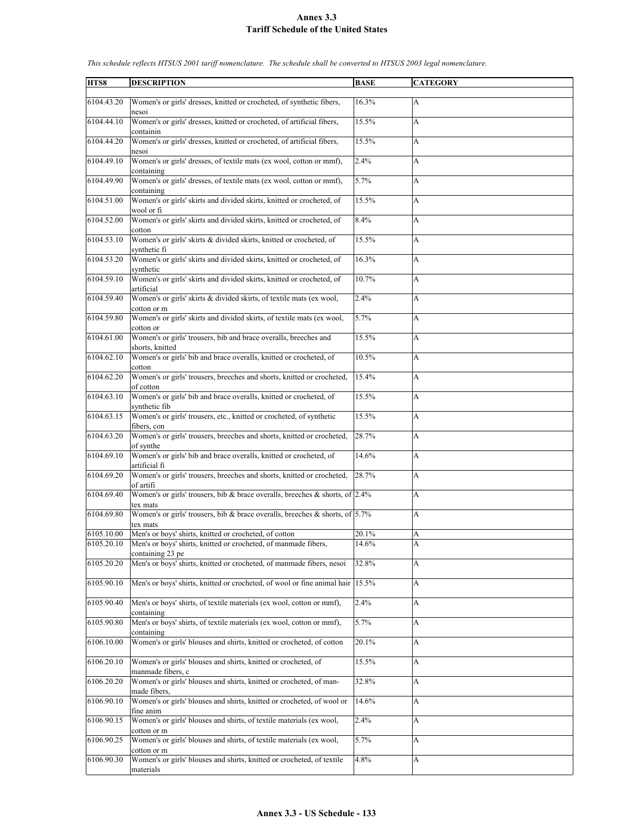| HTS8       | <b>DESCRIPTION</b>                                                                          | <b>BASE</b> | <b>CATEGORY</b> |
|------------|---------------------------------------------------------------------------------------------|-------------|-----------------|
|            |                                                                                             |             |                 |
| 6104.43.20 | Women's or girls' dresses, knitted or crocheted, of synthetic fibers,<br>nesoi              | 16.3%       | A               |
| 6104.44.10 | Women's or girls' dresses, knitted or crocheted, of artificial fibers,<br>containin         | 15.5%       | A               |
| 6104.44.20 | Women's or girls' dresses, knitted or crocheted, of artificial fibers,<br>nesoi             | 15.5%       | А               |
| 6104.49.10 | Women's or girls' dresses, of textile mats (ex wool, cotton or mmf),<br>containing          | 2.4%        | A               |
| 6104.49.90 | Women's or girls' dresses, of textile mats (ex wool, cotton or mmf),<br>containing          | 5.7%        | A               |
| 6104.51.00 | Women's or girls' skirts and divided skirts, knitted or crocheted, of<br>wool or fi         | 15.5%       | A               |
| 6104.52.00 | Women's or girls' skirts and divided skirts, knitted or crocheted, of<br>cotton             | 8.4%        | A               |
| 6104.53.10 | Women's or girls' skirts & divided skirts, knitted or crocheted, of<br>synthetic fi         | 15.5%       | A               |
| 6104.53.20 | Women's or girls' skirts and divided skirts, knitted or crocheted, of<br>synthetic          | 16.3%       | A               |
| 6104.59.10 | Women's or girls' skirts and divided skirts, knitted or crocheted, of<br>artificial         | 10.7%       | A               |
| 6104.59.40 | Women's or girls' skirts & divided skirts, of textile mats (ex wool,<br>cotton or m         | 2.4%        | A               |
| 6104.59.80 | Women's or girls' skirts and divided skirts, of textile mats (ex wool,<br>cotton or         | 5.7%        | A               |
| 6104.61.00 | Women's or girls' trousers, bib and brace overalls, breeches and<br>shorts, knitted         | 15.5%       | A               |
| 6104.62.10 | Women's or girls' bib and brace overalls, knitted or crocheted, of<br>cotton                | 10.5%       | A               |
| 6104.62.20 | Women's or girls' trousers, breeches and shorts, knitted or crocheted,<br>of cotton         | 15.4%       | A               |
| 6104.63.10 | Women's or girls' bib and brace overalls, knitted or crocheted, of<br>synthetic fib         | 15.5%       | A               |
| 6104.63.15 | Women's or girls' trousers, etc., knitted or crocheted, of synthetic<br>fibers, con         | 15.5%       | A               |
| 6104.63.20 | Women's or girls' trousers, breeches and shorts, knitted or crocheted,<br>of synthe         | 28.7%       | A               |
| 6104.69.10 | Women's or girls' bib and brace overalls, knitted or crocheted, of<br>artificial fi         | 14.6%       | A               |
| 6104.69.20 | Women's or girls' trousers, breeches and shorts, knitted or crocheted,<br>of artifi         | 28.7%       | A               |
| 6104.69.40 | Women's or girls' trousers, bib & brace overalls, breeches & shorts, of $2.4\%$<br>tex mats |             | A               |
| 6104.69.80 | Women's or girls' trousers, bib & brace overalls, breeches & shorts, of $5.7\%$<br>tex mats |             | A               |
| 6105.10.00 | Men's or boys' shirts, knitted or crocheted, of cotton                                      | 20.1%       | A               |
| 6105.20.10 | Men's or boys' shirts, knitted or crocheted, of manmade fibers,<br>containing 23 pe         | 14.6%       | A               |
| 6105.20.20 | Men's or boys' shirts, knitted or crocheted, of manmade fibers, nesoi                       | 32.8%       | A               |
| 6105.90.10 | Men's or boys' shirts, knitted or crocheted, of wool or fine animal hair                    | 15.5%       | A               |
| 6105.90.40 | Men's or boys' shirts, of textile materials (ex wool, cotton or mmf),<br>containing         | 2.4%        | A               |
| 6105.90.80 | Men's or boys' shirts, of textile materials (ex wool, cotton or mmf),<br>containing         | 5.7%        | A               |
| 6106.10.00 | Women's or girls' blouses and shirts, knitted or crocheted, of cotton                       | 20.1%       | A               |
| 6106.20.10 | Women's or girls' blouses and shirts, knitted or crocheted, of<br>manmade fibers, c         | 15.5%       | A               |
| 6106.20.20 | Women's or girls' blouses and shirts, knitted or crocheted, of man-                         | 32.8%       | А               |
| 6106.90.10 | made fibers,<br>Women's or girls' blouses and shirts, knitted or crocheted, of wool or      | 14.6%       | A               |
| 6106.90.15 | fine anim<br>Women's or girls' blouses and shirts, of textile materials (ex wool,           | 2.4%        | A               |
| 6106.90.25 | cotton or m<br>Women's or girls' blouses and shirts, of textile materials (ex wool,         | 5.7%        | A               |
|            | cotton or m                                                                                 |             |                 |
| 6106.90.30 | Women's or girls' blouses and shirts, knitted or crocheted, of textile<br>materials         | 4.8%        | A               |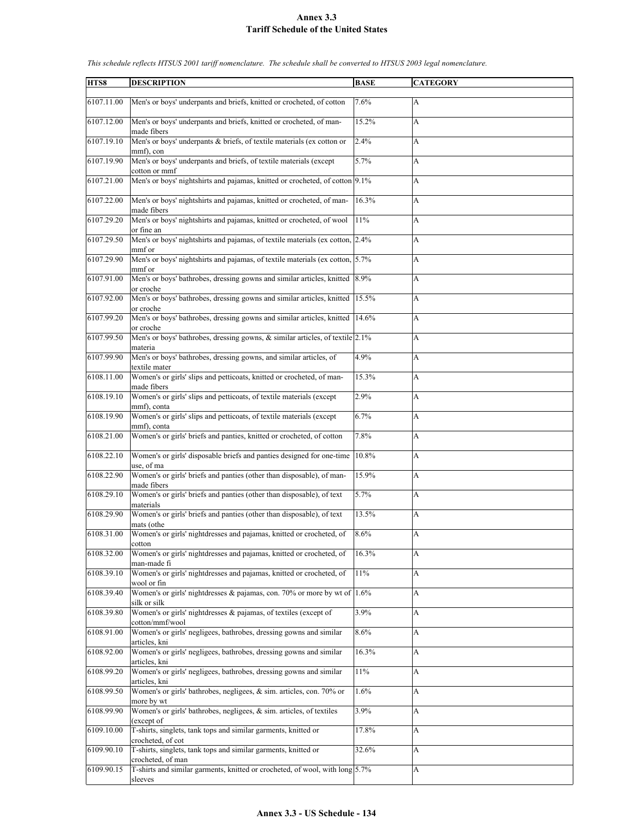| HTS8       | <b>DESCRIPTION</b>                                                                          | <b>BASE</b> | <b>CATEGORY</b> |
|------------|---------------------------------------------------------------------------------------------|-------------|-----------------|
| 6107.11.00 | Men's or boys' underpants and briefs, knitted or crocheted, of cotton                       | 7.6%        | A               |
| 6107.12.00 | Men's or boys' underpants and briefs, knitted or crocheted, of man-<br>made fibers          | 15.2%       | A               |
| 6107.19.10 | Men's or boys' underpants & briefs, of textile materials (ex cotton or<br>mmf), con         | 2.4%        | A               |
| 6107.19.90 | Men's or boys' underpants and briefs, of textile materials (except<br>cotton or mmf         | 5.7%        | A               |
| 6107.21.00 | Men's or boys' nightshirts and pajamas, knitted or crocheted, of cotton 9.1%                |             | A               |
| 6107.22.00 | Men's or boys' nightshirts and pajamas, knitted or crocheted, of man-<br>made fibers        | 16.3%       | A               |
| 6107.29.20 | Men's or boys' nightshirts and pajamas, knitted or crocheted, of wool<br>or fine an         | 11%         | A               |
| 6107.29.50 | Men's or boys' nightshirts and pajamas, of textile materials (ex cotton, 2.4%<br>mmf or     |             | A               |
| 6107.29.90 | Men's or boys' nightshirts and pajamas, of textile materials (ex cotton, 5.7%<br>mmf or     |             | A               |
| 6107.91.00 | Men's or boys' bathrobes, dressing gowns and similar articles, knitted 8.9%<br>or croche    |             | A               |
| 6107.92.00 | Men's or boys' bathrobes, dressing gowns and similar articles, knitted<br>or croche         | 15.5%       | A               |
| 6107.99.20 | Men's or boys' bathrobes, dressing gowns and similar articles, knitted 14.6%<br>or croche   |             | A               |
| 6107.99.50 | Men's or boys' bathrobes, dressing gowns, & similar articles, of textile 2.1%<br>materia    |             | A               |
| 6107.99.90 | Men's or boys' bathrobes, dressing gowns, and similar articles, of<br>textile mater         | 4.9%        | A               |
| 6108.11.00 | Women's or girls' slips and petticoats, knitted or crocheted, of man-<br>made fibers        | 15.3%       | A               |
| 6108.19.10 | Women's or girls' slips and petticoats, of textile materials (except<br>mmf), conta         | 2.9%        | A               |
| 6108.19.90 | Women's or girls' slips and petticoats, of textile materials (except<br>mmf), conta         | 6.7%        | A               |
| 6108.21.00 | Women's or girls' briefs and panties, knitted or crocheted, of cotton                       | 7.8%        | A               |
| 6108.22.10 | Women's or girls' disposable briefs and panties designed for one-time<br>use, of ma         | 10.8%       | A               |
| 6108.22.90 | Women's or girls' briefs and panties (other than disposable), of man-<br>made fibers        | 15.9%       | A               |
| 6108.29.10 | Women's or girls' briefs and panties (other than disposable), of text<br>materials          | 5.7%        | A               |
| 6108.29.90 | Women's or girls' briefs and panties (other than disposable), of text<br>mats (othe         | 13.5%       | A               |
| 6108.31.00 | Women's or girls' nightdresses and pajamas, knitted or crocheted, of<br>cotton              | 8.6%        | A               |
| 6108.32.00 | Women's or girls' nightdresses and pajamas, knitted or crocheted, of<br>man-made fi         | 16.3%       | A               |
| 6108.39.10 | Women's or girls' nightdresses and pajamas, knitted or crocheted, of<br>wool or fin         | 11%         | A               |
| 6108.39.40 | Women's or girls' nightdresses $\&$ pajamas, con. 70% or more by wt of 1.6%<br>silk or silk |             | A               |
| 6108.39.80 | Women's or girls' nightdresses & pajamas, of textiles (except of<br>cotton/mmf/wool         | 3.9%        | A               |
| 6108.91.00 | Women's or girls' negligees, bathrobes, dressing gowns and similar<br>articles, kni         | $8.6\%$     | A               |
| 6108.92.00 | Women's or girls' negligees, bathrobes, dressing gowns and similar<br>articles, kni         | 16.3%       | A               |
| 6108.99.20 | Women's or girls' negligees, bathrobes, dressing gowns and similar<br>articles, kni         | $11\%$      | A               |
| 6108.99.50 | Women's or girls' bathrobes, negligees, & sim. articles, con. 70% or<br>more by wt          | 1.6%        | A               |
| 6108.99.90 | Women's or girls' bathrobes, negligees, & sim. articles, of textiles<br>(except of          | 3.9%        | A               |
| 6109.10.00 | T-shirts, singlets, tank tops and similar garments, knitted or<br>crocheted, of cot         | 17.8%       | A               |
| 6109.90.10 | T-shirts, singlets, tank tops and similar garments, knitted or<br>crocheted, of man         | 32.6%       | A               |
| 6109.90.15 | T-shirts and similar garments, knitted or crocheted, of wool, with long 5.7%<br>sleeves     |             | A               |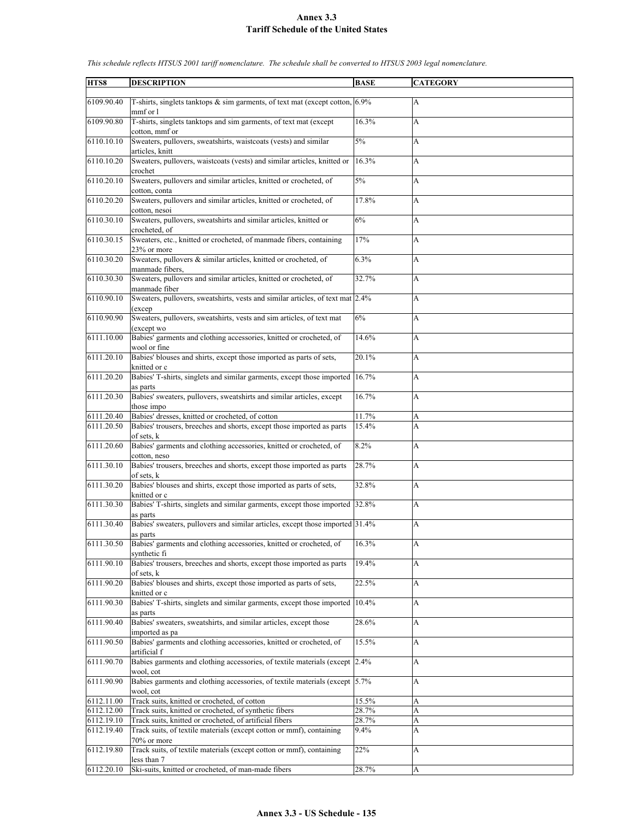| HTS8       | <b>DESCRIPTION</b>                                                                               | <b>BASE</b> | <b>CATEGORY</b> |
|------------|--------------------------------------------------------------------------------------------------|-------------|-----------------|
| 6109.90.40 | T-shirts, singlets tanktops $\&$ sim garments, of text mat (except cotton, $ 6.9\% $<br>mmf or l |             | A               |
| 6109.90.80 | T-shirts, singlets tanktops and sim garments, of text mat (except<br>cotton, mmf or              | 16.3%       | A               |
| 6110.10.10 | Sweaters, pullovers, sweatshirts, waistcoats (vests) and similar<br>articles, knitt              | 5%          | A               |
| 6110.10.20 | Sweaters, pullovers, waistcoats (vests) and similar articles, knitted or<br>crochet              | 16.3%       | A               |
| 6110.20.10 | Sweaters, pullovers and similar articles, knitted or crocheted, of<br>cotton, conta              | 5%          | A               |
| 6110.20.20 | Sweaters, pullovers and similar articles, knitted or crocheted, of<br>cotton, nesoi              | 17.8%       | A               |
| 6110.30.10 | Sweaters, pullovers, sweatshirts and similar articles, knitted or<br>crocheted, of               | 6%          | A               |
| 6110.30.15 | Sweaters, etc., knitted or crocheted, of manmade fibers, containing<br>23% or more               | 17%         | A               |
| 6110.30.20 | Sweaters, pullovers & similar articles, knitted or crocheted, of<br>manmade fibers,              | 6.3%        | A               |
| 6110.30.30 | Sweaters, pullovers and similar articles, knitted or crocheted, of<br>manmade fiber              | 32.7%       | A               |
| 6110.90.10 | Sweaters, pullovers, sweatshirts, vests and similar articles, of text mat 2.4%<br>(excep         |             | A               |
| 6110.90.90 | Sweaters, pullovers, sweatshirts, vests and sim articles, of text mat<br>(except wo              | 6%          | A               |
| 6111.10.00 | Babies' garments and clothing accessories, knitted or crocheted, of<br>wool or fine              | 14.6%       | A               |
| 6111.20.10 | Babies' blouses and shirts, except those imported as parts of sets,<br>knitted or c              | 20.1%       | A               |
| 6111.20.20 | Babies' T-shirts, singlets and similar garments, except those imported<br>as parts               | 16.7%       | A               |
| 6111.20.30 | Babies' sweaters, pullovers, sweatshirts and similar articles, except<br>those impo              | 16.7%       | A               |
| 6111.20.40 | Babies' dresses, knitted or crocheted, of cotton                                                 | 11.7%       | A               |
| 6111.20.50 | Babies' trousers, breeches and shorts, except those imported as parts                            | 15.4%       | A               |
|            | of sets, k                                                                                       |             |                 |
| 6111.20.60 | Babies' garments and clothing accessories, knitted or crocheted, of<br>cotton, neso              | 8.2%        | A               |
| 6111.30.10 | Babies' trousers, breeches and shorts, except those imported as parts<br>of sets, k              | 28.7%       | A               |
| 6111.30.20 | Babies' blouses and shirts, except those imported as parts of sets,<br>knitted or c              | 32.8%       | A               |
| 6111.30.30 | Babies' T-shirts, singlets and similar garments, except those imported 32.8%<br>as parts         |             | A               |
| 6111.30.40 | Babies' sweaters, pullovers and similar articles, except those imported 31.4%<br>as parts        |             | A               |
| 6111.30.50 | Babies' garments and clothing accessories, knitted or crocheted, of<br>synthetic fi              | 16.3%       | A               |
| 6111.90.10 | Babies' trousers, breeches and shorts, except those imported as parts<br>of sets, k              | 19.4%       | A               |
| 6111.90.20 | Babies' blouses and shirts, except those imported as parts of sets,<br>knitted or c              | 22.5%       | A               |
| 6111.90.30 | Babies' T-shirts, singlets and similar garments, except those imported<br>as parts               | 10.4%       | A               |
| 6111.90.40 | Babies' sweaters, sweatshirts, and similar articles, except those<br>imported as pa              | 28.6%       | A               |
| 6111.90.50 | Babies' garments and clothing accessories, knitted or crocheted, of<br>artificial f              | 15.5%       | A               |
| 6111.90.70 | Babies garments and clothing accessories, of textile materials (except 2.4%)<br>wool, cot        |             | A               |
| 6111.90.90 | Babies garments and clothing accessories, of textile materials (except 5.7%)<br>wool, cot        |             | А               |
| 6112.11.00 | Track suits, knitted or crocheted, of cotton                                                     | 15.5%       | A               |
| 6112.12.00 | Track suits, knitted or crocheted, of synthetic fibers                                           | 28.7%       | A               |
| 6112.19.10 | Track suits, knitted or crocheted, of artificial fibers                                          | 28.7%       | A               |
| 6112.19.40 | Track suits, of textile materials (except cotton or mmf), containing                             | $9.4\%$     | A               |
|            | 70% or more                                                                                      |             |                 |
| 6112.19.80 | Track suits, of textile materials (except cotton or mmf), containing<br>less than 7              | 22%         | A               |
| 6112.20.10 | Ski-suits, knitted or crocheted, of man-made fibers                                              | 28.7%       | A               |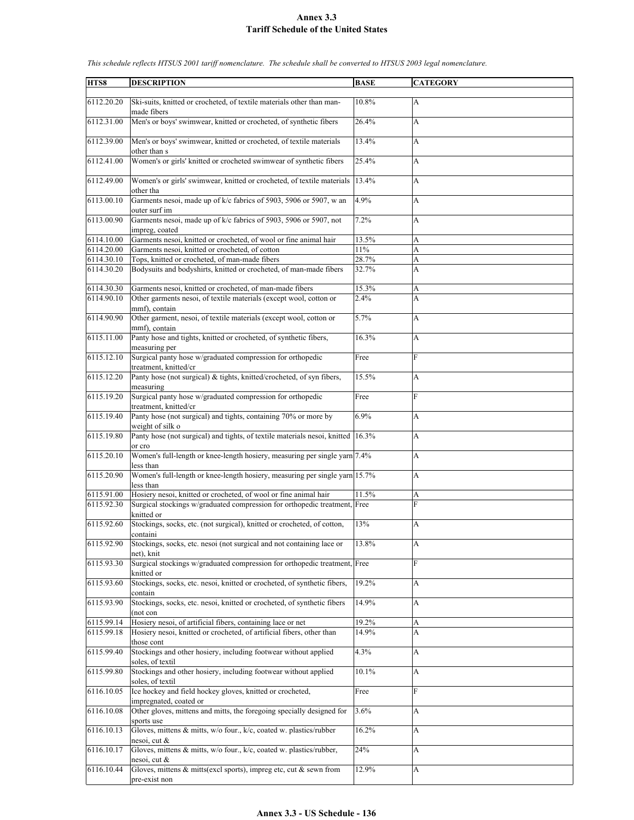| HTS8       | <b>DESCRIPTION</b>                                                                              | <b>BASE</b> | <b>CATEGORY</b> |
|------------|-------------------------------------------------------------------------------------------------|-------------|-----------------|
| 6112.20.20 | Ski-suits, knitted or crocheted, of textile materials other than man-                           | 10.8%       | A               |
| 6112.31.00 | made fibers<br>Men's or boys' swimwear, knitted or crocheted, of synthetic fibers               | 26.4%       | A               |
| 6112.39.00 | Men's or boys' swimwear, knitted or crocheted, of textile materials                             | 13.4%       | A               |
| 6112.41.00 | other than s<br>Women's or girls' knitted or crocheted swimwear of synthetic fibers             | 25.4%       | A               |
| 6112.49.00 | Women's or girls' swimwear, knitted or crocheted, of textile materials                          | 13.4%       | A               |
|            | other tha                                                                                       |             |                 |
| 6113.00.10 | Garments nesoi, made up of k/c fabrics of 5903, 5906 or 5907, w an<br>outer surf im             | 4.9%        | A               |
| 6113.00.90 | Garments nesoi, made up of k/c fabrics of 5903, 5906 or 5907, not<br>impreg, coated             | 7.2%        | A               |
| 6114.10.00 | Garments nesoi, knitted or crocheted, of wool or fine animal hair                               | 13.5%       | A               |
| 6114.20.00 | Garments nesoi, knitted or crocheted, of cotton                                                 | 11%         | A               |
| 6114.30.10 | Tops, knitted or crocheted, of man-made fibers                                                  | 28.7%       | A               |
| 6114.30.20 | Bodysuits and bodyshirts, knitted or crocheted, of man-made fibers                              | 32.7%       | A               |
| 6114.30.30 | Garments nesoi, knitted or crocheted, of man-made fibers                                        | 15.3%       | A               |
| 6114.90.10 | Other garments nesoi, of textile materials (except wool, cotton or<br>mmf), contain             | 2.4%        | A               |
| 6114.90.90 | Other garment, nesoi, of textile materials (except wool, cotton or<br>mmf), contain             | 5.7%        | A               |
| 6115.11.00 | Panty hose and tights, knitted or crocheted, of synthetic fibers,<br>measuring per              | 16.3%       | A               |
| 6115.12.10 | Surgical panty hose w/graduated compression for orthopedic<br>treatment. knitted/cr             | Free        | F               |
| 6115.12.20 | Panty hose (not surgical) & tights, knitted/crocheted, of syn fibers,<br>measuring              | 15.5%       | A               |
| 6115.19.20 | Surgical panty hose w/graduated compression for orthopedic<br>treatment, knitted/cr             | Free        | F               |
| 6115.19.40 | Panty hose (not surgical) and tights, containing 70% or more by<br>weight of silk o             | 6.9%        | A               |
| 6115.19.80 | Panty hose (not surgical) and tights, of textile materials nesoi, knitted 16.3%<br>or cro       |             | A               |
| 6115.20.10 | Women's full-length or knee-length hosiery, measuring per single yarn 7.4%<br>less than         |             | A               |
| 6115.20.90 | Women's full-length or knee-length hosiery, measuring per single yarn 15.7%<br>less than        |             | A               |
| 6115.91.00 | Hosiery nesoi, knitted or crocheted, of wool or fine animal hair                                | 11.5%       | A               |
| 6115.92.30 | Surgical stockings w/graduated compression for orthopedic treatment, Free<br>knitted or         |             | F               |
| 6115.92.60 | Stockings, socks, etc. (not surgical), knitted or crocheted, of cotton,<br>containi             | 13%         | A               |
| 6115.92.90 | Stockings, socks, etc. nesoi (not surgical and not containing lace or<br>net), knit             | 13.8%       | A               |
| 6115.93.30 | Surgical stockings w/graduated compression for orthopedic treatment, Free                       |             | F               |
| 6115.93.60 | knitted or<br>Stockings, socks, etc. nesoi, knitted or crocheted, of synthetic fibers,          | 19.2%       | A               |
| 6115.93.90 | contain<br>Stockings, socks, etc. nesoi, knitted or crocheted, of synthetic fibers              | 14.9%       | A               |
| 6115.99.14 | (not con<br>Hosiery nesoi, of artificial fibers, containing lace or net                         | 19.2%       |                 |
| 6115.99.18 | Hosiery nesoi, knitted or crocheted, of artificial fibers, other than                           | 14.9%       | A<br>A          |
|            | those cont                                                                                      |             |                 |
| 6115.99.40 | Stockings and other hosiery, including footwear without applied<br>soles, of textil             | 4.3%        | A               |
| 6115.99.80 | Stockings and other hosiery, including footwear without applied                                 | 10.1%       | A               |
| 6116.10.05 | soles, of textil<br>Ice hockey and field hockey gloves, knitted or crocheted,                   | Free        | F               |
| 6116.10.08 | impregnated, coated or<br>Other gloves, mittens and mitts, the foregoing specially designed for | 3.6%        | A               |
| 6116.10.13 | sports use<br>Gloves, mittens & mitts, w/o four., k/c, coated w. plastics/rubber                | 16.2%       | A               |
| 6116.10.17 | nesoi, cut &<br>Gloves, mittens & mitts, w/o four., k/c, coated w. plastics/rubber,             | 24%         | A               |
| 6116.10.44 | nesoi, cut &<br>Gloves, mittens $&$ mitts(excl sports), impreg etc, cut $&$ sewn from           | 12.9%       | A               |
|            | pre-exist non                                                                                   |             |                 |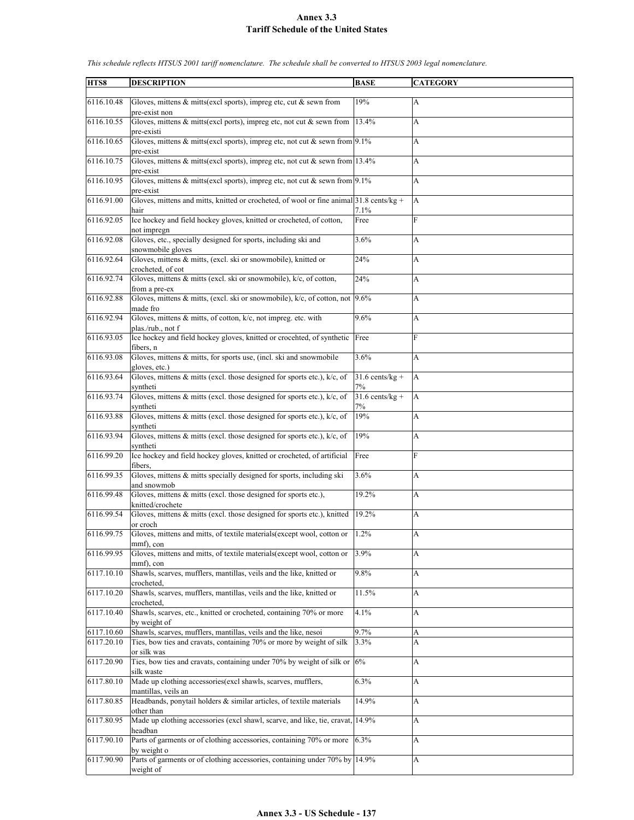| HTS8       | <b>DESCRIPTION</b>                                                                          | <b>BASE</b>       | <b>CATEGORY</b> |
|------------|---------------------------------------------------------------------------------------------|-------------------|-----------------|
|            |                                                                                             |                   |                 |
| 6116.10.48 | Gloves, mittens $\&$ mitts(excl sports), impreg etc, cut $\&$ sewn from                     | 19%               | А               |
| 6116.10.55 | pre-exist non<br>Gloves, mittens $\&$ mitts(excl ports), impreg etc, not cut $\&$ sewn from | 13.4%             | A               |
|            | pre-existi                                                                                  |                   |                 |
| 6116.10.65 | Gloves, mittens & mitts(excl sports), impreg etc, not cut & sewn from 9.1%                  |                   | A               |
|            | pre-exist                                                                                   |                   |                 |
| 6116.10.75 | Gloves, mittens & mitts(excl sports), impreg etc, not cut & sewn from 13.4%                 |                   | A               |
|            | pre-exist                                                                                   |                   |                 |
| 6116.10.95 | Gloves, mittens & mitts(excl sports), impreg etc, not cut & sewn from $9.1\%$               |                   | A               |
|            | pre-exist                                                                                   |                   |                 |
| 6116.91.00 | Gloves, mittens and mitts, knitted or crocheted, of wool or fine animal $31.8$ cents/kg +   |                   | A               |
|            | hair                                                                                        | 7.1%              |                 |
| 6116.92.05 | Ice hockey and field hockey gloves, knitted or crocheted, of cotton,                        | Free              | F               |
|            | not impregn                                                                                 |                   |                 |
| 6116.92.08 | Gloves, etc., specially designed for sports, including ski and                              | 3.6%              | A               |
| 6116.92.64 | snowmobile gloves<br>Gloves, mittens & mitts, (excl. ski or snowmobile), knitted or         | 24%               | A               |
|            | crocheted, of cot                                                                           |                   |                 |
| 6116.92.74 | Gloves, mittens & mitts (excl. ski or snowmobile), k/c, of cotton,                          | 24%               | A               |
|            | from a pre-ex                                                                               |                   |                 |
| 6116.92.88 | Gloves, mittens $\&$ mitts, (excl. ski or snowmobile), $k/c$ , of cotton, not               | 9.6%              | A               |
|            | made fro                                                                                    |                   |                 |
| 6116.92.94 | Gloves, mittens & mitts, of cotton, k/c, not impreg. etc. with                              | 9.6%              | A               |
|            | plas./rub., not f                                                                           |                   |                 |
| 6116.93.05 | Ice hockey and field hockey gloves, knitted or crocehted, of synthetic Free                 |                   | F               |
|            | fibers, n                                                                                   |                   |                 |
| 6116.93.08 | Gloves, mittens & mitts, for sports use, (incl. ski and snowmobile                          | 3.6%              | A               |
|            | gloves, etc.)                                                                               |                   |                 |
| 6116.93.64 | Gloves, mittens $\&$ mitts (excl. those designed for sports etc.), $k/c$ , of               | $31.6$ cents/kg + | A               |
|            | syntheti                                                                                    | 7%                |                 |
| 6116.93.74 | Gloves, mittens $\&$ mitts (excl. those designed for sports etc.), $k/c$ , of               | $31.6$ cents/kg + | A               |
| 6116.93.88 | syntheti<br>Gloves, mittens & mitts (excl. those designed for sports etc.), k/c, of         | 7%<br>19%         | A               |
|            | syntheti                                                                                    |                   |                 |
| 6116.93.94 | Gloves, mittens $\&$ mitts (excl. those designed for sports etc.), $k/c$ , of               | 19%               | A               |
|            | syntheti                                                                                    |                   |                 |
| 6116.99.20 | Ice hockey and field hockey gloves, knitted or crocheted, of artificial                     | Free              | F               |
|            | fibers.                                                                                     |                   |                 |
| 6116.99.35 | Gloves, mittens & mitts specially designed for sports, including ski                        | 3.6%              | А               |
|            | and snowmob                                                                                 |                   |                 |
| 6116.99.48 | Gloves, mittens & mitts (excl. those designed for sports etc.),                             | 19.2%             | A               |
|            | knitted/crochete                                                                            |                   |                 |
| 6116.99.54 | Gloves, mittens & mitts (excl. those designed for sports etc.), knitted                     | 19.2%             | A               |
|            | or croch                                                                                    |                   |                 |
| 6116.99.75 | Gloves, mittens and mitts, of textile materials (except wool, cotton or<br>mmf), con        | 1.2%              | A               |
| 6116.99.95 | Gloves, mittens and mitts, of textile materials(except wool, cotton or                      | 3.9%              | A               |
|            | mmf), con                                                                                   |                   |                 |
| 6117.10.10 | Shawls, scarves, mufflers, mantillas, veils and the like, knitted or                        | 9.8%              | A               |
|            | crocheted.                                                                                  |                   |                 |
| 6117.10.20 | Shawls, scarves, mufflers, mantillas, veils and the like, knitted or                        | 11.5%             | A               |
|            | crocheted,                                                                                  |                   |                 |
| 6117.10.40 | Shawls, scarves, etc., knitted or crocheted, containing 70% or more                         | 4.1%              | A               |
|            | by weight of                                                                                |                   |                 |
| 6117.10.60 | Shawls, scarves, mufflers, mantillas, veils and the like, nesoi                             | 9.7%              | A               |
| 6117.20.10 | Ties, bow ties and cravats, containing 70% or more by weight of silk                        | 3.3%              | A               |
|            | or silk was                                                                                 |                   |                 |
| 6117.20.90 | Ties, bow ties and cravats, containing under 70% by weight of silk or                       | 6%                | A               |
|            | silk waste                                                                                  |                   |                 |
| 6117.80.10 | Made up clothing accessories(excl shawls, scarves, mufflers,<br>mantillas, veils an         | 6.3%              | A               |
| 6117.80.85 | Headbands, ponytail holders & similar articles, of textile materials                        | 14.9%             | A               |
|            | other than                                                                                  |                   |                 |
| 6117.80.95 | Made up clothing accessories (excl shawl, scarve, and like, tie, cravat,                    | 14.9%             | A               |
|            | headban                                                                                     |                   |                 |
| 6117.90.10 | Parts of garments or of clothing accessories, containing 70% or more                        | 6.3%              | A               |
|            | by weight o                                                                                 |                   |                 |
| 6117.90.90 | Parts of garments or of clothing accessories, containing under 70% by                       | 14.9%             | A               |
|            | weight of                                                                                   |                   |                 |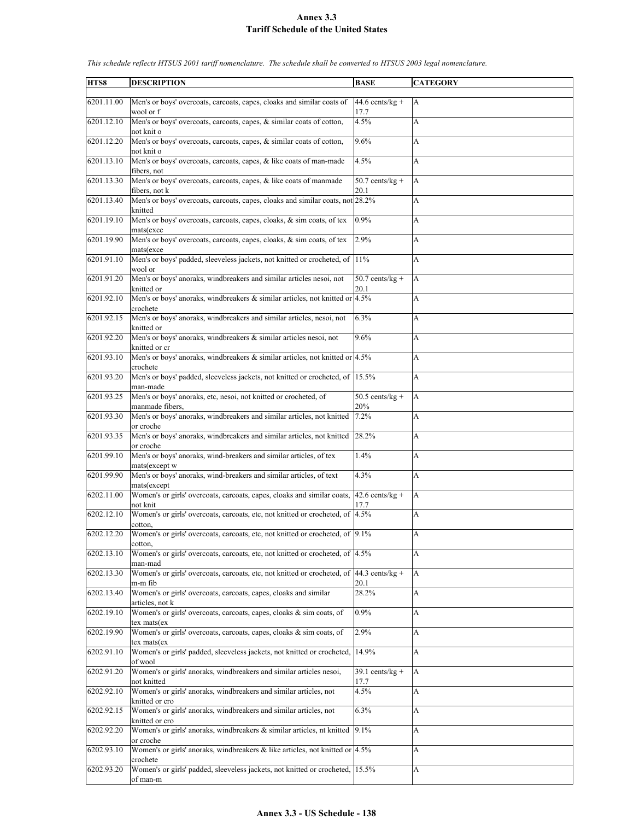| HTS8       | <b>DESCRIPTION</b>                                                                                             | <b>BASE</b>               | <b>CATEGORY</b> |
|------------|----------------------------------------------------------------------------------------------------------------|---------------------------|-----------------|
|            |                                                                                                                |                           |                 |
| 6201.11.00 | Men's or boys' overcoats, carcoats, capes, cloaks and similar coats of<br>wool or f                            | $44.6$ cents/kg +         | A               |
| 6201.12.10 | Men's or boys' overcoats, carcoats, capes, & similar coats of cotton,                                          | 17.7<br>4.5%              | A               |
|            | not knit o                                                                                                     |                           |                 |
| 6201.12.20 | Men's or boys' overcoats, carcoats, capes, & similar coats of cotton,<br>not knit o                            | 9.6%                      | А               |
| 6201.13.10 | Men's or boys' overcoats, carcoats, capes, & like coats of man-made                                            | 4.5%                      | A               |
|            | fibers, not                                                                                                    |                           |                 |
| 6201.13.30 | Men's or boys' overcoats, carcoats, capes, & like coats of manmade<br>fibers, not k                            | $50.7$ cents/kg +<br>20.1 | A               |
| 6201.13.40 | Men's or boys' overcoats, carcoats, capes, cloaks and similar coats, not 28.2%<br>knitted                      |                           | A               |
| 6201.19.10 | Men's or boys' overcoats, carcoats, capes, cloaks, & sim coats, of tex                                         | 0.9%                      | A               |
| 6201.19.90 | mats(exce<br>Men's or boys' overcoats, carcoats, capes, cloaks, & sim coats, of tex                            | 2.9%                      | A               |
|            | mats(exce                                                                                                      |                           |                 |
| 6201.91.10 | Men's or boys' padded, sleeveless jackets, not knitted or crocheted, of 11%                                    |                           | A               |
| 6201.91.20 | wool or<br>Men's or boys' anoraks, windbreakers and similar articles nesoi, not                                | $50.7$ cents/kg +         | A               |
|            | knitted or                                                                                                     | 20.1                      |                 |
| 6201.92.10 | Men's or boys' anoraks, windbreakers & similar articles, not knitted or 4.5%<br>crochete                       |                           | A               |
| 6201.92.15 | Men's or boys' anoraks, windbreakers and similar articles, nesoi, not                                          | 6.3%                      | A               |
|            | knitted or                                                                                                     |                           |                 |
| 6201.92.20 | Men's or boys' anoraks, windbreakers & similar articles nesoi, not<br>knitted or cr                            | 9.6%                      | A               |
| 6201.93.10 | Men's or boys' anoraks, windbreakers $\&$ similar articles, not knitted or 4.5%                                |                           | A               |
| 6201.93.20 | crochete<br>Men's or boys' padded, sleeveless jackets, not knitted or crocheted, of 15.5%                      |                           | A               |
|            | man-made                                                                                                       |                           |                 |
| 6201.93.25 | Men's or boys' anoraks, etc, nesoi, not knitted or crocheted, of                                               | $50.5$ cents/kg +         | A               |
|            | manmade fibers,                                                                                                | 20%                       |                 |
| 6201.93.30 | Men's or boys' anoraks, windbreakers and similar articles, not knitted<br>or croche                            | 7.2%                      | A               |
| 6201.93.35 | Men's or boys' anoraks, windbreakers and similar articles, not knitted                                         | 28.2%                     | A               |
| 6201.99.10 | or croche<br>Men's or boys' anoraks, wind-breakers and similar articles, of tex                                | 1.4%                      | A               |
|            | mats(except w                                                                                                  |                           |                 |
| 6201.99.90 | Men's or boys' anoraks, wind-breakers and similar articles, of text                                            | 4.3%                      | A               |
|            | mats(except                                                                                                    |                           |                 |
| 6202.11.00 | Women's or girls' overcoats, carcoats, capes, cloaks and similar coats,<br>not knit                            | $42.6$ cents/kg +<br>17.7 | A               |
| 6202.12.10 | Women's or girls' overcoats, carcoats, etc, not knitted or crocheted, of 4.5%                                  |                           | A               |
|            | cotton,                                                                                                        |                           |                 |
| 6202.12.20 | Women's or girls' overcoats, carcoats, etc, not knitted or crocheted, of 9.1%<br>cotton,                       |                           | A               |
| 6202.13.10 | Women's or girls' overcoats, carcoats, etc, not knitted or crocheted, of 4.5%                                  |                           | A               |
|            | man-mad                                                                                                        |                           |                 |
| 6202.13.30 | Women's or girls' overcoats, carcoats, etc, not knitted or crocheted, of $ 44.3 \text{ cents/kg} +$<br>m-m fib | 20.1                      | A               |
| 6202.13.40 | Women's or girls' overcoats, carcoats, capes, cloaks and similar                                               | 28.2%                     | A               |
|            | articles, not k                                                                                                |                           |                 |
| 6202.19.10 | Women's or girls' overcoats, carcoats, capes, cloaks & sim coats, of<br>tex mats(ex                            | $0.9\%$                   | A               |
| 6202.19.90 | Women's or girls' overcoats, carcoats, capes, cloaks & sim coats, of                                           | 2.9%                      | A               |
|            | tex mats(ex                                                                                                    |                           |                 |
| 6202.91.10 | Women's or girls' padded, sleeveless jackets, not knitted or crocheted,<br>of wool                             | 14.9%                     | A               |
| 6202.91.20 | Women's or girls' anoraks, windbreakers and similar articles nesoi,                                            | 39.1 cents/ $\sqrt{kg +}$ | A               |
|            | not knitted                                                                                                    | 17.7                      |                 |
| 6202.92.10 | Women's or girls' anoraks, windbreakers and similar articles, not<br>knitted or cro                            | 4.5%                      | A               |
| 6202.92.15 | Women's or girls' anoraks, windbreakers and similar articles, not                                              | 6.3%                      | A               |
|            | knitted or cro                                                                                                 |                           |                 |
| 6202.92.20 | Women's or girls' anoraks, windbreakers & similar articles, nt knitted<br>or croche                            | 9.1%                      | A               |
| 6202.93.10 | Women's or girls' anoraks, windbreakers $\&$ like articles, not knitted or $4.5\%$                             |                           | A               |
|            | crochete                                                                                                       |                           |                 |
| 6202.93.20 | Women's or girls' padded, sleeveless jackets, not knitted or crocheted, 15.5%<br>of man-m                      |                           | A               |
|            |                                                                                                                |                           |                 |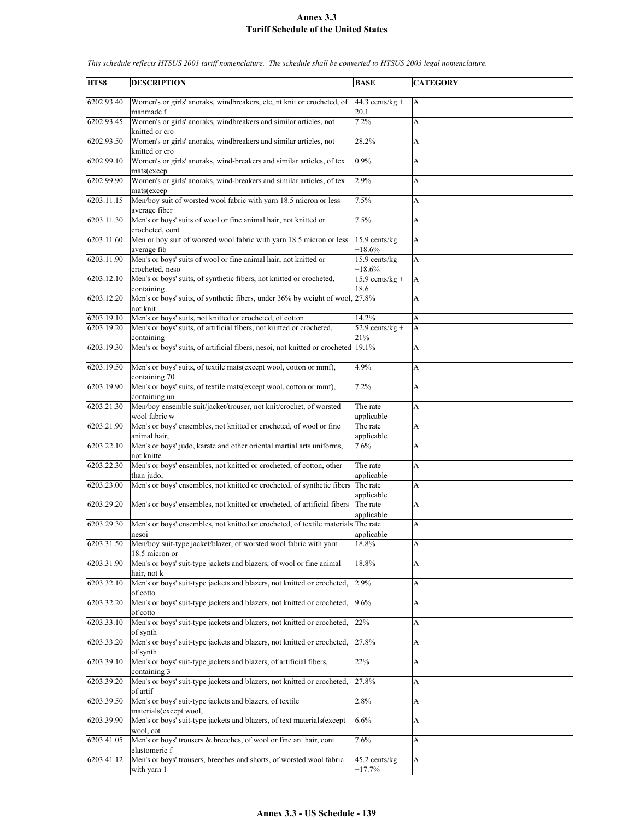| HTS8       | <b>DESCRIPTION</b>                                                                               | <b>BASE</b>               | <b>CATEGORY</b> |
|------------|--------------------------------------------------------------------------------------------------|---------------------------|-----------------|
|            |                                                                                                  |                           |                 |
| 6202.93.40 | Women's or girls' anoraks, windbreakers, etc, nt knit or crocheted, of<br>manmade f              | $44.3$ cents/kg +<br>20.1 | A               |
| 6202.93.45 | Women's or girls' anoraks, windbreakers and similar articles, not<br>knitted or cro              | 7.2%                      | A               |
| 6202.93.50 | Women's or girls' anoraks, windbreakers and similar articles, not<br>knitted or cro              | 28.2%                     | A               |
| 6202.99.10 | Women's or girls' anoraks, wind-breakers and similar articles, of tex<br>mats(excep              | 0.9%                      | A               |
| 6202.99.90 | Women's or girls' anoraks, wind-breakers and similar articles, of text<br>mats(excep             | 2.9%                      | A               |
| 6203.11.15 | Men/boy suit of worsted wool fabric with yarn 18.5 micron or less<br>average fiber               | 7.5%                      | A               |
| 6203.11.30 | Men's or boys' suits of wool or fine animal hair, not knitted or<br>crocheted, cont              | 7.5%                      | A               |
| 6203.11.60 | Men or boy suit of worsted wool fabric with yarn 18.5 micron or less<br>average fib              | 15.9 cents/kg<br>$+18.6%$ | A               |
| 6203.11.90 | Men's or boys' suits of wool or fine animal hair, not knitted or<br>crocheted, neso              | 15.9 cents/kg<br>+18.6%   | A               |
| 6203.12.10 | Men's or boys' suits, of synthetic fibers, not knitted or crocheted,                             | $15.9$ cents/kg +         | A               |
|            | containing                                                                                       | 18.6                      |                 |
| 6203.12.20 | Men's or boys' suits, of synthetic fibers, under 36% by weight of wool, 27.8%<br>not knit        |                           | A               |
| 6203.19.10 | Men's or boys' suits, not knitted or crocheted, of cotton                                        | 14.2%                     | A               |
| 6203.19.20 | Men's or boys' suits, of artificial fibers, not knitted or crocheted,<br>containing              | 52.9 cents/ $kg +$<br>21% | A               |
| 6203.19.30 | Men's or boys' suits, of artificial fibers, nesoi, not knitted or crocheted 19.1%                |                           | A               |
| 6203.19.50 | Men's or boys' suits, of textile mats(except wool, cotton or mmf),<br>containing 70              | 4.9%                      | A               |
| 6203.19.90 | Men's or boys' suits, of textile mats(except wool, cotton or mmf),<br>containing un              | 7.2%                      | A               |
| 6203.21.30 | Men/boy ensemble suit/jacket/trouser, not knit/crochet, of worsted<br>wool fabric w              | The rate<br>applicable    | A               |
| 6203.21.90 | Men's or boys' ensembles, not knitted or crocheted, of wool or fine<br>animal hair,              | The rate<br>applicable    | A               |
| 6203.22.10 | Men's or boys' judo, karate and other oriental martial arts uniforms,<br>not knitte              | 7.6%                      | A               |
| 6203.22.30 | Men's or boys' ensembles, not knitted or crocheted, of cotton, other<br>than judo,               | The rate<br>applicable    | A               |
| 6203.23.00 | Men's or boys' ensembles, not knitted or crocheted, of synthetic fibers                          | The rate<br>applicable    | A               |
| 6203.29.20 | Men's or boys' ensembles, not knitted or crocheted, of artificial fibers                         | The rate<br>applicable    | A               |
| 6203.29.30 | Men's or boys' ensembles, not knitted or crocheted, of textile materials The rate<br>nesoi       | applicable                | A               |
| 6203.31.50 | Men/boy suit-type jacket/blazer, of worsted wool fabric with yarn<br>18.5 micron or              | 18.8%                     | A               |
| 6203.31.90 | Men's or boys' suit-type jackets and blazers, of wool or fine animal<br>hair, not k              | $18.8\%$                  | А               |
| 6203.32.10 | Men's or boys' suit-type jackets and blazers, not knitted or crocheted,<br>of cotto              | 2.9%                      | A               |
| 6203.32.20 | Men's or boys' suit-type jackets and blazers, not knitted or crocheted,<br>of cotto              | 9.6%                      | A               |
| 6203.33.10 | Men's or boys' suit-type jackets and blazers, not knitted or crocheted,<br>of synth              | 22%                       | А               |
| 6203.33.20 | Men's or boys' suit-type jackets and blazers, not knitted or crocheted,<br>of synth              | 27.8%                     | A               |
| 6203.39.10 | Men's or boys' suit-type jackets and blazers, of artificial fibers,<br>containing 3              | 22%                       | A               |
| 6203.39.20 | Men's or boys' suit-type jackets and blazers, not knitted or crocheted,                          | 27.8%                     | А               |
| 6203.39.50 | of artif<br>Men's or boys' suit-type jackets and blazers, of textile                             | 2.8%                      | A               |
| 6203.39.90 | materials(except wool,<br>Men's or boys' suit-type jackets and blazers, of text materials(except | 6.6%                      | A               |
|            | wool, cot                                                                                        |                           |                 |
| 6203.41.05 | Men's or boys' trousers & breeches, of wool or fine an. hair, cont<br>elastomeric f              | 7.6%                      | A               |
| 6203.41.12 | Men's or boys' trousers, breeches and shorts, of worsted wool fabric<br>with yarn 1              | 45.2 cents/kg<br>$+17.7%$ | A               |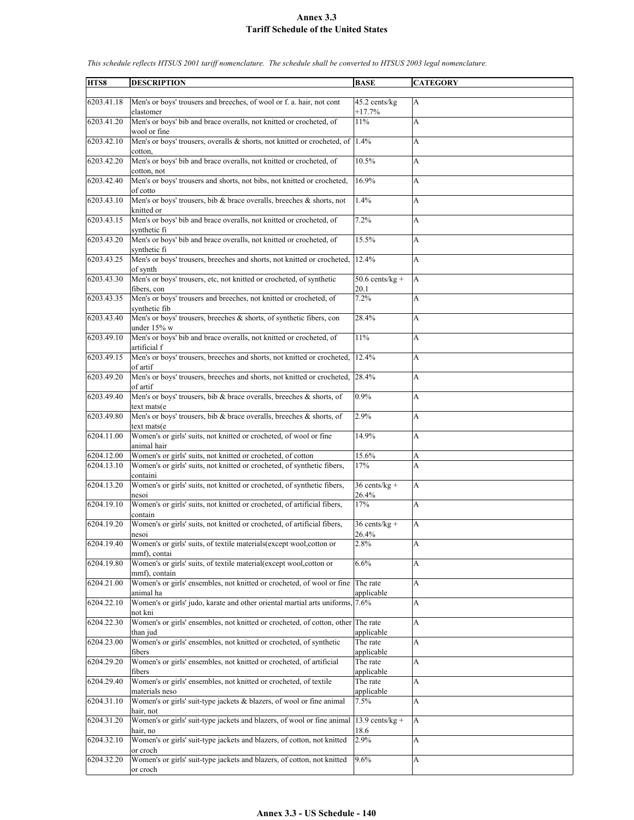| HTS8       | <b>DESCRIPTION</b>                                                               | <b>BASE</b>        | <b>CATEGORY</b> |
|------------|----------------------------------------------------------------------------------|--------------------|-----------------|
|            |                                                                                  |                    |                 |
| 6203.41.18 | Men's or boys' trousers and breeches, of wool or f. a. hair, not cont            | 45.2 cents/kg      |                 |
|            |                                                                                  |                    | A               |
|            | elastomer                                                                        | $+17.7%$           |                 |
| 6203.41.20 | Men's or boys' bib and brace overalls, not knitted or crocheted, of              | 11%                | A               |
|            | wool or fine                                                                     |                    |                 |
|            |                                                                                  |                    |                 |
| 6203.42.10 | Men's or boys' trousers, overalls $\&$ shorts, not knitted or crocheted, of 1.4% |                    | A               |
|            | cotton,                                                                          |                    |                 |
| 6203.42.20 | Men's or boys' bib and brace overalls, not knitted or crocheted, of              | 10.5%              | A               |
|            |                                                                                  |                    |                 |
|            | cotton, not                                                                      |                    |                 |
| 6203.42.40 | Men's or boys' trousers and shorts, not bibs, not knitted or crocheted,          | 16.9%              | A               |
|            | of cotto                                                                         |                    |                 |
|            |                                                                                  |                    |                 |
| 6203.43.10 | Men's or boys' trousers, bib & brace overalls, breeches & shorts, not            | 1.4%               | A               |
|            | knitted or                                                                       |                    |                 |
| 6203.43.15 | Men's or boys' bib and brace overalls, not knitted or crocheted, of              | 7.2%               | A               |
|            | synthetic fi                                                                     |                    |                 |
|            |                                                                                  |                    |                 |
| 6203.43.20 | Men's or boys' bib and brace overalls, not knitted or crocheted, of              | 15.5%              | А               |
|            | synthetic fi                                                                     |                    |                 |
| 6203.43.25 | Men's or boys' trousers, breeches and shorts, not knitted or crocheted,          | 12.4%              | A               |
|            |                                                                                  |                    |                 |
|            | of synth                                                                         |                    |                 |
| 6203.43.30 | Men's or boys' trousers, etc, not knitted or crocheted, of synthetic             | $50.6$ cents/kg +  | A               |
|            | fibers, con                                                                      | 20.1               |                 |
|            |                                                                                  |                    |                 |
| 6203.43.35 | Men's or boys' trousers and breeches, not knitted or crocheted, of               | 7.2%               | A               |
|            | synthetic fib                                                                    |                    |                 |
| 6203.43.40 | Men's or boys' trousers, breeches & shorts, of synthetic fibers, con             | 28.4%              | A               |
|            |                                                                                  |                    |                 |
|            | under $15\%$ w                                                                   |                    |                 |
| 6203.49.10 | Men's or boys' bib and brace overalls, not knitted or crocheted, of              | 11%                | A               |
|            | artificial f                                                                     |                    |                 |
| 6203.49.15 | Men's or boys' trousers, breeches and shorts, not knitted or crocheted,          | 12.4%              | A               |
|            |                                                                                  |                    |                 |
|            | of artif                                                                         |                    |                 |
| 6203.49.20 | Men's or boys' trousers, breeches and shorts, not knitted or crocheted, 28.4%    |                    | A               |
|            | of artif                                                                         |                    |                 |
|            |                                                                                  |                    |                 |
| 6203.49.40 | Men's or boys' trousers, bib & brace overalls, breeches & shorts, of             | 0.9%               | A               |
|            | text mats(e                                                                      |                    |                 |
| 6203.49.80 | Men's or boys' trousers, bib & brace overalls, breeches & shorts, of             | 2.9%               | A               |
|            | text mats(e                                                                      |                    |                 |
|            |                                                                                  |                    |                 |
| 6204.11.00 | Women's or girls' suits, not knitted or crocheted, of wool or fine               | 14.9%              | A               |
|            | animal hair                                                                      |                    |                 |
| 6204.12.00 | Women's or girls' suits, not knitted or crocheted, of cotton                     | 15.6%              | A               |
| 6204.13.10 | Women's or girls' suits, not knitted or crocheted, of synthetic fibers,          | 17%                | A               |
|            |                                                                                  |                    |                 |
|            | containi                                                                         |                    |                 |
| 6204.13.20 | Women's or girls' suits, not knitted or crocheted, of synthetic fibers,          | $36$ cents/kg +    | A               |
|            | nesoi                                                                            | 26.4%              |                 |
| 6204.19.10 | Women's or girls' suits, not knitted or crocheted, of artificial fibers,         | 17%                | A               |
|            |                                                                                  |                    |                 |
|            | contain                                                                          |                    |                 |
| 6204.19.20 | Women's or girls' suits, not knitted or crocheted, of artificial fibers,         | $36$ cents/kg +    | A               |
|            | nesoi                                                                            | 26.4%              |                 |
| 6204.19.40 | Women's or girls' suits, of textile materials(except wool, cotton or             | 2.8%               | A               |
|            |                                                                                  |                    |                 |
|            | mmf), contai                                                                     |                    |                 |
| 6204.19.80 | Women's or girls' suits, of textile material(except wool, cotton or              | 6.6%               | A               |
|            | mmf), contain                                                                    |                    |                 |
| 6204.21.00 | Women's or girls' ensembles, not knitted or crocheted, of wool or fine           | The rate           | A               |
|            |                                                                                  |                    |                 |
|            | animal ha                                                                        | applicable         |                 |
| 6204.22.10 | Women's or girls' judo, karate and other oriental martial arts uniforms, 7.6%    |                    | A               |
|            | not kni                                                                          |                    |                 |
| 6204.22.30 | Women's or girls' ensembles, not knitted or crocheted, of cotton, other          | The rate           | A               |
|            |                                                                                  |                    |                 |
|            | than jud                                                                         | applicable         |                 |
| 6204.23.00 | Women's or girls' ensembles, not knitted or crocheted, of synthetic              | The rate           | A               |
|            | fibers                                                                           | applicable         |                 |
| 6204.29.20 | Women's or girls' ensembles, not knitted or crocheted, of artificial             | The rate           | A               |
|            |                                                                                  |                    |                 |
|            | fibers                                                                           | applicable         |                 |
| 6204.29.40 | Women's or girls' ensembles, not knitted or crocheted, of textile                | The rate           | A               |
|            | materials neso                                                                   | applicable         |                 |
| 6204.31.10 | Women's or girls' suit-type jackets & blazers, of wool or fine animal            | 7.5%               | A               |
|            |                                                                                  |                    |                 |
|            | hair, not                                                                        |                    |                 |
| 6204.31.20 | Women's or girls' suit-type jackets and blazers, of wool or fine animal          | 13.9 cents/ $kg +$ | A               |
|            | hair, no                                                                         | 18.6               |                 |
| 6204.32.10 | Women's or girls' suit-type jackets and blazers, of cotton, not knitted          | 2.9%               | A               |
|            |                                                                                  |                    |                 |
|            | or croch                                                                         |                    |                 |
| 6204.32.20 | Women's or girls' suit-type jackets and blazers, of cotton, not knitted          | 9.6%               | A               |
|            | or croch                                                                         |                    |                 |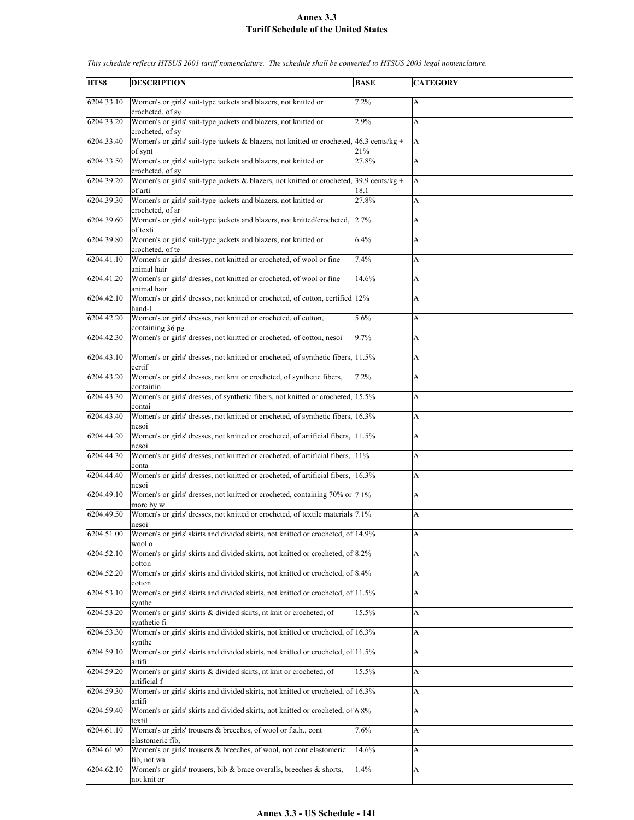| HTS8       | <b>DESCRIPTION</b>                                                                                      | <b>BASE</b>               | <b>CATEGORY</b>           |
|------------|---------------------------------------------------------------------------------------------------------|---------------------------|---------------------------|
| 6204.33.10 | Women's or girls' suit-type jackets and blazers, not knitted or                                         | 7.2%                      | A                         |
| 6204.33.20 | crocheted, of sy<br>Women's or girls' suit-type jackets and blazers, not knitted or<br>crocheted, of sy | 2.9%                      | A                         |
| 6204.33.40 | Women's or girls' suit-type jackets & blazers, not knitted or crocheted, 46.3 cents/kg +<br>of synt     | 21%                       | A                         |
| 6204.33.50 | Women's or girls' suit-type jackets and blazers, not knitted or<br>crocheted, of sy                     | 27.8%                     | A                         |
| 6204.39.20 | Women's or girls' suit-type jackets & blazers, not knitted or crocheted,<br>of arti                     | $39.9$ cents/kg +<br>18.1 | A                         |
| 6204.39.30 | Women's or girls' suit-type jackets and blazers, not knitted or<br>crocheted, of ar                     | 27.8%                     | A                         |
| 6204.39.60 | Women's or girls' suit-type jackets and blazers, not knitted/crocheted,                                 | 2.7%                      | A                         |
| 6204.39.80 | of texti<br>Women's or girls' suit-type jackets and blazers, not knitted or                             | 6.4%                      | A                         |
| 6204.41.10 | crocheted, of te<br>Women's or girls' dresses, not knitted or crocheted, of wool or fine<br>animal hair | 7.4%                      | A                         |
| 6204.41.20 | Women's or girls' dresses, not knitted or crocheted, of wool or fine<br>animal hair                     | 14.6%                     | A                         |
| 6204.42.10 | Women's or girls' dresses, not knitted or crocheted, of cotton, certified 12%<br>hand-l                 |                           | A                         |
| 6204.42.20 | Women's or girls' dresses, not knitted or crocheted, of cotton,                                         | 5.6%                      | A                         |
| 6204.42.30 | containing 36 pe<br>Women's or girls' dresses, not knitted or crocheted, of cotton, nesoi               | 9.7%                      | A                         |
| 6204.43.10 |                                                                                                         |                           |                           |
|            | Women's or girls' dresses, not knitted or crocheted, of synthetic fibers, 11.5%<br>certif               |                           | A                         |
| 6204.43.20 | Women's or girls' dresses, not knit or crocheted, of synthetic fibers,<br>containin                     | 7.2%                      | A                         |
| 6204.43.30 | Women's or girls' dresses, of synthetic fibers, not knitted or crocheted, 15.5%<br>contai               |                           | A                         |
| 6204.43.40 | Women's or girls' dresses, not knitted or crocheted, of synthetic fibers,<br>nesoi                      | 16.3%                     | A                         |
| 6204.44.20 | Women's or girls' dresses, not knitted or crocheted, of artificial fibers,<br>nesoi                     | 11.5%                     | A                         |
| 6204.44.30 | Women's or girls' dresses, not knitted or crocheted, of artificial fibers,<br>conta                     | 11%                       | A                         |
| 6204.44.40 | Women's or girls' dresses, not knitted or crocheted, of artificial fibers, 16.3%<br>nesoi               |                           | A                         |
| 6204.49.10 | Women's or girls' dresses, not knitted or crocheted, containing 70% or 7.1%<br>more by w                |                           | A                         |
| 6204.49.50 | Women's or girls' dresses, not knitted or crocheted, of textile materials 7.1%<br>nesoi                 |                           | A                         |
| 6204.51.00 | Women's or girls' skirts and divided skirts, not knitted or crocheted, of 14.9%<br>wool o               |                           | A                         |
| 6204.52.10 | Women's or girls' skirts and divided skirts, not knitted or crocheted, of 8.2%<br>cotton                |                           | A                         |
| 6204.52.20 | Women's or girls' skirts and divided skirts, not knitted or crocheted, of 8.4%<br>cotton                |                           | A                         |
| 6204.53.10 | Women's or girls' skirts and divided skirts, not knitted or crocheted, of 11.5%<br>synthe               |                           | А                         |
| 6204.53.20 | Women's or girls' skirts & divided skirts, nt knit or crocheted, of<br>synthetic fi                     | 15.5%                     | A                         |
| 6204.53.30 | Women's or girls' skirts and divided skirts, not knitted or crocheted, of 16.3%<br>synthe               |                           | А                         |
| 6204.59.10 | Women's or girls' skirts and divided skirts, not knitted or crocheted, of 11.5%<br>artifi               |                           | A                         |
| 6204.59.20 | Women's or girls' skirts & divided skirts, nt knit or crocheted, of<br>artificial f                     | 15.5%                     | $\boldsymbol{\mathsf{A}}$ |
| 6204.59.30 | Women's or girls' skirts and divided skirts, not knitted or crocheted, of 16.3%                         |                           | A                         |
| 6204.59.40 | artifi<br>Women's or girls' skirts and divided skirts, not knitted or crocheted, of 6.8%                |                           | A                         |
| 6204.61.10 | textil<br>Women's or girls' trousers & breeches, of wool or f.a.h., cont                                | 7.6%                      | A                         |
| 6204.61.90 | elastomeric fib.<br>Women's or girls' trousers & breeches, of wool, not cont elastomeric                | 14.6%                     | A                         |
| 6204.62.10 | fib, not wa<br>Women's or girls' trousers, bib $\&$ brace overalls, breeches $\&$ shorts,               | 1.4%                      | A                         |
|            | not knit or                                                                                             |                           |                           |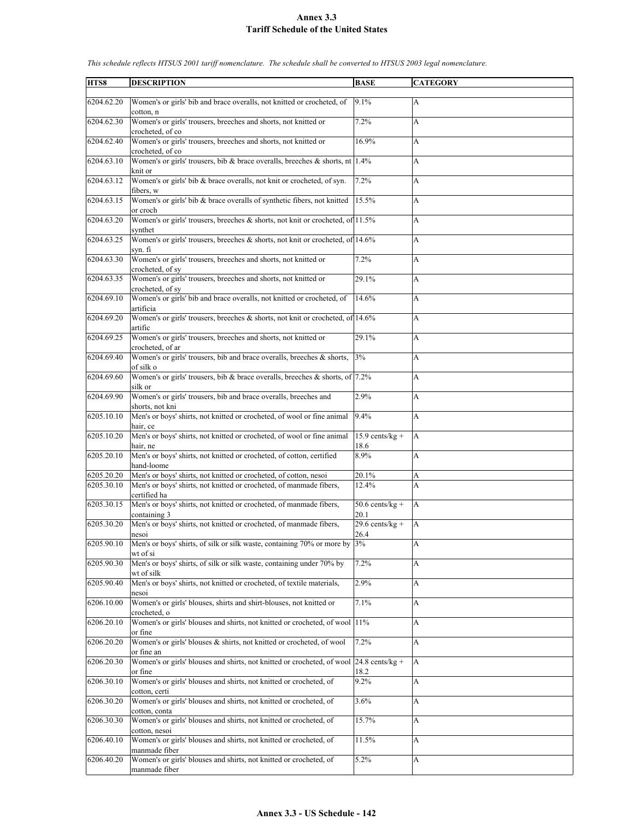| HTS8       | <b>DESCRIPTION</b>                                                                              | <b>BASE</b>               | <b>CATEGORY</b> |
|------------|-------------------------------------------------------------------------------------------------|---------------------------|-----------------|
|            |                                                                                                 |                           |                 |
| 6204.62.20 | Women's or girls' bib and brace overalls, not knitted or crocheted, of<br>cotton, n             | 9.1%                      | A               |
| 6204.62.30 | Women's or girls' trousers, breeches and shorts, not knitted or<br>crocheted, of co.            | 7.2%                      | A               |
| 6204.62.40 | Women's or girls' trousers, breeches and shorts, not knitted or<br>crocheted, of co             | 16.9%                     | A               |
| 6204.63.10 | Women's or girls' trousers, bib & brace overalls, breeches & shorts, nt $ 1.4\% $<br>knit or    |                           | A               |
| 6204.63.12 | Women's or girls' bib & brace overalls, not knit or crocheted, of syn.<br>fibers, w             | 7.2%                      | A               |
| 6204.63.15 | Women's or girls' bib & brace overalls of synthetic fibers, not knitted<br>or croch             | 15.5%                     | A               |
| 6204.63.20 | Women's or girls' trousers, breeches & shorts, not knit or crocheted, of 11.5%<br>synthet       |                           | A               |
| 6204.63.25 | Women's or girls' trousers, breeches & shorts, not knit or crocheted, of 14.6%<br>syn. fi       |                           | A               |
| 6204.63.30 | Women's or girls' trousers, breeches and shorts, not knitted or<br>crocheted, of sy             | 7.2%                      | A               |
| 6204.63.35 | Women's or girls' trousers, breeches and shorts, not knitted or<br>crocheted, of sy             | 29.1%                     | A               |
| 6204.69.10 | Women's or girls' bib and brace overalls, not knitted or crocheted, of<br>artificia             | 14.6%                     | A               |
| 6204.69.20 | Women's or girls' trousers, breeches & shorts, not knit or crocheted, of 14.6%<br>artific       |                           | A               |
| 6204.69.25 | Women's or girls' trousers, breeches and shorts, not knitted or<br>crocheted, of ar             | 29.1%                     | A               |
| 6204.69.40 | Women's or girls' trousers, bib and brace overalls, breeches & shorts,<br>of silk o             | 3%                        | A               |
| 6204.69.60 | Women's or girls' trousers, bib & brace overalls, breeches & shorts, of $ 7.2\% $<br>silk or    |                           | А               |
| 6204.69.90 | Women's or girls' trousers, bib and brace overalls, breeches and<br>shorts, not kni             | 2.9%                      | A               |
| 6205.10.10 | Men's or boys' shirts, not knitted or crocheted, of wool or fine animal<br>hair, ce             | 9.4%                      | A               |
| 6205.10.20 | Men's or boys' shirts, not knitted or crocheted, of wool or fine animal<br>hair, ne             | $15.9$ cents/kg +<br>18.6 | A               |
| 6205.20.10 | Men's or boys' shirts, not knitted or crocheted, of cotton, certified<br>hand-loome             | 8.9%                      | A               |
| 6205.20.20 | Men's or boys' shirts, not knitted or crocheted, of cotton, nesoi                               | 20.1%                     | A               |
| 6205.30.10 | Men's or boys' shirts, not knitted or crocheted, of manmade fibers,<br>certified ha             | 12.4%                     | A               |
| 6205.30.15 | Men's or boys' shirts, not knitted or crocheted, of manmade fibers,<br>containing 3             | $50.6$ cents/kg +<br>20.1 | A               |
| 6205.30.20 | Men's or boys' shirts, not knitted or crocheted, of manmade fibers,                             | $29.6$ cents/kg +<br>26.4 | A               |
| 6205.90.10 | nesoi<br>Men's or boys' shirts, of silk or silk waste, containing 70% or more by 3%<br>wt of si |                           | A               |
| 6205.90.30 | Men's or boys' shirts, of silk or silk waste, containing under 70% by<br>wt of silk             | 7.2%                      | A               |
| 6205.90.40 | Men's or boys' shirts, not knitted or crocheted, of textile materials,<br>nesoi                 | 2.9%                      | A               |
| 6206.10.00 | Women's or girls' blouses, shirts and shirt-blouses, not knitted or<br>crocheted, o             | 7.1%                      | A               |
| 6206.20.10 | Women's or girls' blouses and shirts, not knitted or crocheted, of wool 11%<br>or fine          |                           | A               |
| 6206.20.20 | Women's or girls' blouses & shirts, not knitted or crocheted, of wool<br>or fine an             | 7.2%                      | A               |
| 6206.20.30 | Women's or girls' blouses and shirts, not knitted or crocheted, of wool 24.8 cents/kg +         |                           | A               |
| 6206.30.10 | or fine<br>Women's or girls' blouses and shirts, not knitted or crocheted, of<br>cotton, certi  | 18.2<br>9.2%              | A               |
| 6206.30.20 | Women's or girls' blouses and shirts, not knitted or crocheted, of                              | 3.6%                      | A               |
| 6206.30.30 | cotton, conta<br>Women's or girls' blouses and shirts, not knitted or crocheted, of             | 15.7%                     | A               |
| 6206.40.10 | cotton, nesoi<br>Women's or girls' blouses and shirts, not knitted or crocheted, of             | 11.5%                     | A               |
| 6206.40.20 | manmade fiber<br>Women's or girls' blouses and shirts, not knitted or crocheted, of             | 5.2%                      | A               |
|            | manmade fiber                                                                                   |                           |                 |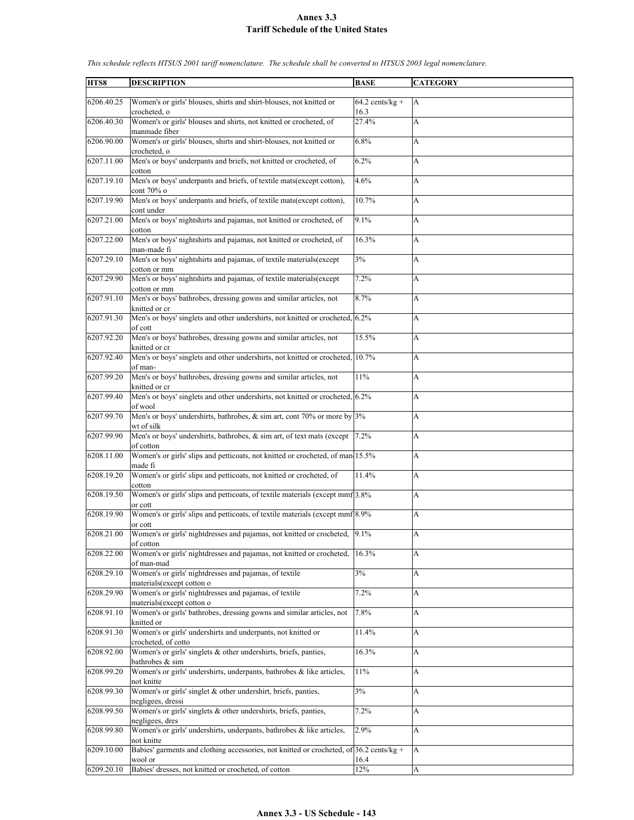| HTS8       | <b>DESCRIPTION</b>                                                                        | <b>BASE</b>       | <b>CATEGORY</b> |
|------------|-------------------------------------------------------------------------------------------|-------------------|-----------------|
|            |                                                                                           |                   |                 |
| 6206.40.25 | Women's or girls' blouses, shirts and shirt-blouses, not knitted or                       | $64.2$ cents/kg + | A               |
|            | crocheted, o                                                                              | 16.3              |                 |
|            |                                                                                           |                   |                 |
| 6206.40.30 | Women's or girls' blouses and shirts, not knitted or crocheted, of                        | 27.4%             | A               |
|            | manmade fiber                                                                             |                   |                 |
| 6206.90.00 | Women's or girls' blouses, shirts and shirt-blouses, not knitted or                       | 6.8%              | A               |
|            | crocheted, o                                                                              |                   |                 |
| 6207.11.00 | Men's or boys' underpants and briefs, not knitted or crocheted, of                        | 6.2%              | A               |
|            |                                                                                           |                   |                 |
|            | cotton                                                                                    |                   |                 |
| 6207.19.10 | Men's or boys' underpants and briefs, of textile mats(except cotton),                     | 4.6%              | A               |
|            | cont 70% o                                                                                |                   |                 |
| 6207.19.90 | Men's or boys' underpants and briefs, of textile mats(except cotton),                     | 10.7%             | A               |
|            | cont under                                                                                |                   |                 |
|            |                                                                                           |                   |                 |
| 6207.21.00 | Men's or boys' nightshirts and pajamas, not knitted or crocheted, of                      | 9.1%              | A               |
|            | cotton                                                                                    |                   |                 |
| 6207.22.00 | Men's or boys' nightshirts and pajamas, not knitted or crocheted, of                      | 16.3%             | A               |
|            | man-made fi                                                                               |                   |                 |
| 6207.29.10 | Men's or boys' nightshirts and pajamas, of textile materials(except                       | 3%                | A               |
|            |                                                                                           |                   |                 |
|            | cotton or mm                                                                              |                   |                 |
| 6207.29.90 | Men's or boys' nightshirts and pajamas, of textile materials(except                       | 7.2%              | A               |
|            | cotton or mm                                                                              |                   |                 |
| 6207.91.10 | Men's or boys' bathrobes, dressing gowns and similar articles, not                        | 8.7%              | A               |
|            | knitted or cr                                                                             |                   |                 |
|            |                                                                                           |                   |                 |
| 6207.91.30 | Men's or boys' singlets and other undershirts, not knitted or crocheted, 6.2%             |                   | A               |
|            | of cott                                                                                   |                   |                 |
| 6207.92.20 | Men's or boys' bathrobes, dressing gowns and similar articles, not                        | 15.5%             | A               |
|            | knitted or cr                                                                             |                   |                 |
| 6207.92.40 | Men's or boys' singlets and other undershirts, not knitted or crocheted, 10.7%            |                   | A               |
|            |                                                                                           |                   |                 |
|            | of man-                                                                                   |                   |                 |
| 6207.99.20 | Men's or boys' bathrobes, dressing gowns and similar articles, not                        | 11%               | A               |
|            | knitted or cr                                                                             |                   |                 |
| 6207.99.40 | Men's or boys' singlets and other undershirts, not knitted or crocheted, 6.2%             |                   | A               |
|            | of wool                                                                                   |                   |                 |
| 6207.99.70 |                                                                                           |                   | A               |
|            | Men's or boys' undershirts, bathrobes, $\&$ sim art, cont 70% or more by 3%               |                   |                 |
|            | wt of silk                                                                                |                   |                 |
| 6207.99.90 | Men's or boys' undershirts, bathrobes, & sim art, of text mats (except                    | 7.2%              | A               |
|            | of cotton                                                                                 |                   |                 |
| 6208.11.00 | Women's or girls' slips and petticoats, not knitted or crocheted, of man 15.5%            |                   | A               |
|            | made fi                                                                                   |                   |                 |
|            |                                                                                           |                   |                 |
| 6208.19.20 | Women's or girls' slips and petticoats, not knitted or crocheted, of                      | 11.4%             | A               |
|            | cotton                                                                                    |                   |                 |
| 6208.19.50 | Women's or girls' slips and petticoats, of textile materials (except mmf]3.8%             |                   | A               |
|            | or cott                                                                                   |                   |                 |
| 6208.19.90 | Women's or girls' slips and petticoats, of textile materials (except mmf 8.9%             |                   | A               |
|            |                                                                                           |                   |                 |
|            | or cott                                                                                   |                   |                 |
| 6208.21.00 | Women's or girls' nightdresses and pajamas, not knitted or crocheted, 9.1%                |                   | A               |
|            | of cotton                                                                                 |                   |                 |
| 6208.22.00 | Women's or girls' nightdresses and pajamas, not knitted or crocheted,                     | 16.3%             | A               |
|            | of man-mad                                                                                |                   |                 |
| 6208.29.10 | Women's or girls' nightdresses and pajamas, of textile                                    | 3%                | A               |
|            |                                                                                           |                   |                 |
|            | materials(except cotton o                                                                 |                   |                 |
| 6208.29.90 | Women's or girls' nightdresses and pajamas, of textile                                    | 7.2%              | A               |
|            | materials(except cotton o                                                                 |                   |                 |
| 6208.91.10 | Women's or girls' bathrobes, dressing gowns and similar articles, not                     | 7.8%              | A               |
|            | knitted or                                                                                |                   |                 |
| 6208.91.30 | Women's or girls' undershirts and underpants, not knitted or                              | 11.4%             | А               |
|            |                                                                                           |                   |                 |
|            | crocheted, of cotto                                                                       |                   |                 |
| 6208.92.00 | Women's or girls' singlets $\&$ other undershirts, briefs, panties,                       | 16.3%             | A               |
|            | bathrobes & sim                                                                           |                   |                 |
| 6208.99.20 | Women's or girls' undershirts, underpants, bathrobes & like articles,                     | 11%               | A               |
|            | not knitte                                                                                |                   |                 |
| 6208.99.30 | Women's or girls' singlet & other undershirt, briefs, panties,                            | 3%                |                 |
|            |                                                                                           |                   | A               |
|            | negligees, dressi                                                                         |                   |                 |
| 6208.99.50 | Women's or girls' singlets & other undershirts, briefs, panties,                          | 7.2%              | A               |
|            | negligees, dres                                                                           |                   |                 |
| 6208.99.80 | Women's or girls' undershirts, underpants, bathrobes & like articles,                     | 2.9%              | A               |
|            | not knitte                                                                                |                   |                 |
| 6209.10.00 | Babies' garments and clothing accessories, not knitted or crocheted, of $36.2$ cents/kg + |                   |                 |
|            |                                                                                           |                   | A               |
|            | wool or                                                                                   | 16.4              |                 |
| 6209.20.10 | Babies' dresses, not knitted or crocheted, of cotton                                      | 12%               | A               |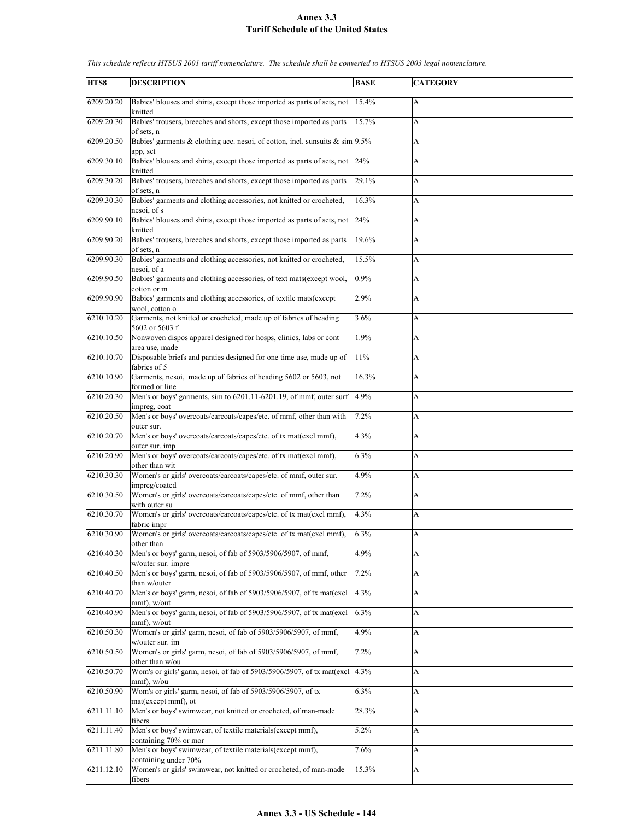| HTS8       | <b>DESCRIPTION</b>                                                                                | <b>BASE</b> | <b>CATEGORY</b>           |
|------------|---------------------------------------------------------------------------------------------------|-------------|---------------------------|
| 6209.20.20 | Babies' blouses and shirts, except those imported as parts of sets, not                           | 15.4%       | $\mathbf{A}$              |
|            | knitted                                                                                           |             |                           |
| 6209.20.30 | Babies' trousers, breeches and shorts, except those imported as parts<br>of sets, n               | 15.7%       | A                         |
| 6209.20.50 | Babies' garments & clothing acc. nesoi, of cotton, incl. sunsuits $\&$ sim 9.5%<br>app, set       |             | A                         |
| 6209.30.10 | Babies' blouses and shirts, except those imported as parts of sets, not<br>knitted                | 24%         | A                         |
| 6209.30.20 | Babies' trousers, breeches and shorts, except those imported as parts                             | 29.1%       | $\mathbf{A}$              |
| 6209.30.30 | of sets, n<br>Babies' garments and clothing accessories, not knitted or crocheted,                | 16.3%       | A                         |
| 6209.90.10 | nesoi, of s<br>Babies' blouses and shirts, except those imported as parts of sets, not            | 24%         | A                         |
| 6209.90.20 | knitted<br>Babies' trousers, breeches and shorts, except those imported as parts                  | 19.6%       | A                         |
| 6209.90.30 | of sets, n<br>Babies' garments and clothing accessories, not knitted or crocheted,                | 15.5%       | $\boldsymbol{\mathsf{A}}$ |
| 6209.90.50 | nesoi, of a<br>Babies' garments and clothing accessories, of text mats(except wool,               | 0.9%        | A                         |
| 6209.90.90 | cotton or m<br>Babies' garments and clothing accessories, of textile mats(except                  | 2.9%        | A                         |
| 6210.10.20 | wool, cotton o<br>Garments, not knitted or crocheted, made up of fabrics of heading               | 3.6%        | A                         |
| 6210.10.50 | 5602 or 5603 f<br>Nonwoven dispos apparel designed for hosps, clinics, labs or cont               | 1.9%        | A                         |
| 6210.10.70 | area use, made<br>Disposable briefs and panties designed for one time use, made up of             | 11%         | A                         |
| 6210.10.90 | fabrics of 5<br>Garments, nesoi, made up of fabrics of heading 5602 or 5603, not                  | 16.3%       | A                         |
| 6210.20.30 | formed or line<br>Men's or boys' garments, sim to 6201.11-6201.19, of mmf, outer surf             | 4.9%        | $\boldsymbol{\mathsf{A}}$ |
| 6210.20.50 | impreg, coat<br>Men's or boys' overcoats/carcoats/capes/etc. of mmf, other than with              | 7.2%        | A                         |
| 6210.20.70 | outer sur.<br>Men's or boys' overcoats/carcoats/capes/etc. of tx mat(excl mmf),<br>outer sur. imp | 4.3%        | A                         |
| 6210.20.90 | Men's or boys' overcoats/carcoats/capes/etc. of tx mat(excl mmf),<br>other than wit               | 6.3%        | A                         |
| 6210.30.30 | Women's or girls' overcoats/carcoats/capes/etc. of mmf, outer sur.<br>impreg/coated               | 4.9%        | A                         |
| 6210.30.50 | Women's or girls' overcoats/carcoats/capes/etc. of mmf, other than<br>with outer su               | 7.2%        | A                         |
| 6210.30.70 | Women's or girls' overcoats/carcoats/capes/etc. of tx mat(excl mmf),<br>fabric impr               | 4.3%        | A                         |
| 6210.30.90 | Women's or girls' overcoats/carcoats/capes/etc. of tx mat(excl mmf),<br>other than                | 6.3%        | A                         |
| 6210.40.30 | Men's or boys' garm, nesoi, of fab of 5903/5906/5907, of mmf,<br>w/outer sur. impre               | 4.9%        | A                         |
| 6210.40.50 | Men's or boys' garm, nesoi, of fab of 5903/5906/5907, of mmf, other<br>than w/outer               | 7.2%        | A                         |
| 6210.40.70 | Men's or boys' garm, nesoi, of fab of 5903/5906/5907, of tx mat(excl)<br>mmf), w/out              | 4.3%        | A                         |
| 6210.40.90 | Men's or boys' garm, nesoi, of fab of 5903/5906/5907, of tx mat(excl<br>mmf), w/out               | 6.3%        | A                         |
| 6210.50.30 | Women's or girls' garm, nesoi, of fab of 5903/5906/5907, of mmf,<br>w/outer sur. im               | 4.9%        | $\boldsymbol{\mathsf{A}}$ |
| 6210.50.50 | Women's or girls' garm, nesoi, of fab of 5903/5906/5907, of mmf,<br>other than w/ou               | 7.2%        | A                         |
| 6210.50.70 | Wom's or girls' garm, nesoi, of fab of 5903/5906/5907, of tx mat(excl<br>$mmf)$ , w/ou            | 4.3%        | A                         |
| 6210.50.90 | Wom's or girls' garm, nesoi, of fab of 5903/5906/5907, of tx<br>mat(except mmf), ot               | 6.3%        | A                         |
| 6211.11.10 | Men's or boys' swimwear, not knitted or crocheted, of man-made<br>fibers                          | 28.3%       | A                         |
| 6211.11.40 | Men's or boys' swimwear, of textile materials(except mmf),<br>containing 70% or mor               | 5.2%        | A                         |
| 6211.11.80 | Men's or boys' swimwear, of textile materials(except mmf),<br>containing under 70%                | 7.6%        | $\boldsymbol{\mathsf{A}}$ |
| 6211.12.10 | Women's or girls' swimwear, not knitted or crocheted, of man-made                                 | 15.3%       | A                         |
|            | fibers                                                                                            |             |                           |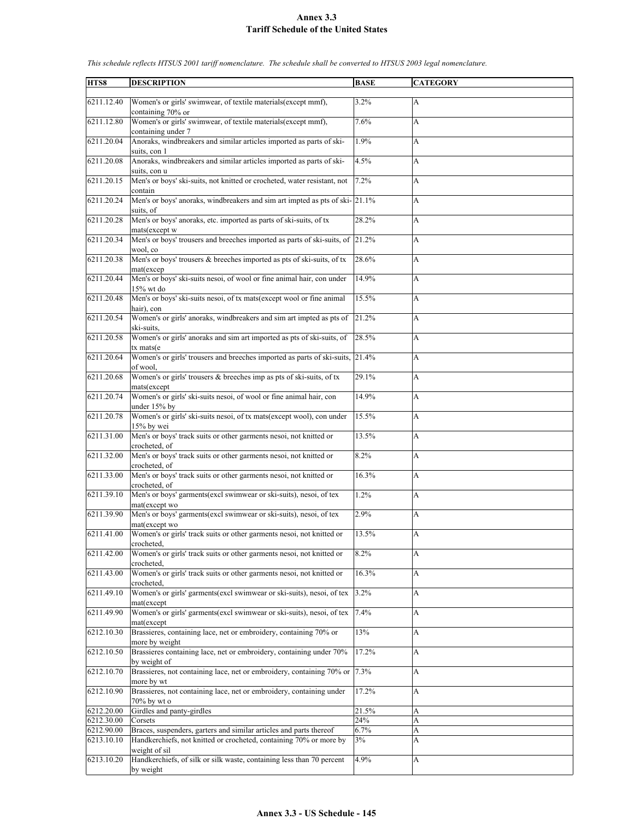| HTS8       |                                                                                                          | <b>BASE</b> |                 |
|------------|----------------------------------------------------------------------------------------------------------|-------------|-----------------|
|            | <b>DESCRIPTION</b>                                                                                       |             | <b>CATEGORY</b> |
| 6211.12.40 | Women's or girls' swimwear, of textile materials(except mmf),                                            | 3.2%        | А               |
| 6211.12.80 | containing 70% or<br>Women's or girls' swimwear, of textile materials(except mmf),<br>containing under 7 | 7.6%        | A               |
| 6211.20.04 | Anoraks, windbreakers and similar articles imported as parts of ski-                                     | 1.9%        | A               |
| 6211.20.08 | suits, con 1<br>Anoraks, windbreakers and similar articles imported as parts of ski-                     | 4.5%        | A               |
| 6211.20.15 | suits, con u<br>Men's or boys' ski-suits, not knitted or crocheted, water resistant, not                 | 7.2%        | A               |
|            | contain                                                                                                  |             |                 |
| 6211.20.24 | Men's or boys' anoraks, windbreakers and sim art impted as pts of ski- 21.1%<br>suits, of                |             | A               |
| 6211.20.28 | Men's or boys' anoraks, etc. imported as parts of ski-suits, of tx<br>mats(except w                      | 28.2%       | A               |
| 6211.20.34 | Men's or boys' trousers and breeches imported as parts of ski-suits, of 21.2%<br>wool, co                |             | A               |
| 6211.20.38 | Men's or boys' trousers & breeches imported as pts of ski-suits, of tx<br>mat(excep                      | 28.6%       | A               |
| 6211.20.44 | Men's or boys' ski-suits nesoi, of wool or fine animal hair, con under                                   | 14.9%       | A               |
| 6211.20.48 | 15% wt do<br>Men's or boys' ski-suits nesoi, of tx mats(except wool or fine animal                       | 15.5%       | A               |
| 6211.20.54 | hair), con<br>Women's or girls' anoraks, windbreakers and sim art impted as pts of                       | 21.2%       | A               |
| 6211.20.58 | ski-suits.<br>Women's or girls' anoraks and sim art imported as pts of ski-suits, of                     | 28.5%       | А               |
| 6211.20.64 | tx mats(e<br>Women's or girls' trousers and breeches imported as parts of ski-suits, 21.4%               |             | A               |
| 6211.20.68 | of wool.<br>Women's or girls' trousers & breeches imp as pts of ski-suits, of tx                         | 29.1%       | A               |
| 6211.20.74 | mats(except<br>Women's or girls' ski-suits nesoi, of wool or fine animal hair, con                       |             |                 |
|            | under 15% by                                                                                             | 14.9%       | A               |
| 6211.20.78 | Women's or girls' ski-suits nesoi, of tx mats(except wool), con under<br>15% by wei                      | 15.5%       | A               |
| 6211.31.00 | Men's or boys' track suits or other garments nesoi, not knitted or<br>crocheted, of                      | 13.5%       | A               |
| 6211.32.00 | Men's or boys' track suits or other garments nesoi, not knitted or<br>crocheted, of                      | 8.2%        | A               |
| 6211.33.00 | Men's or boys' track suits or other garments nesoi, not knitted or<br>crocheted, of                      | 16.3%       | A               |
| 6211.39.10 | Men's or boys' garments(excl swimwear or ski-suits), nesoi, of tex<br>mat(except wo                      | 1.2%        | A               |
| 6211.39.90 | Men's or boys' garments(excl swimwear or ski-suits), nesoi, of tex<br>mat(except wo                      | 2.9%        | A               |
| 6211.41.00 | Women's or girls' track suits or other garments nesoi, not knitted or<br>crocheted,                      | 13.5%       | A               |
| 6211.42.00 | Women's or girls' track suits or other garments nesoi, not knitted or<br>crocheted.                      | 8.2%        | A               |
| 6211.43.00 | Women's or girls' track suits or other garments nesoi, not knitted or<br>crocheted,                      | 16.3%       | A               |
| 6211.49.10 | Women's or girls' garments(excl swimwear or ski-suits), nesoi, of tex<br>mat(except                      | 3.2%        | A               |
| 6211.49.90 | Women's or girls' garments(excl swimwear or ski-suits), nesoi, of tex<br>mat(except                      | 7.4%        | A               |
| 6212.10.30 | Brassieres, containing lace, net or embroidery, containing 70% or                                        | 13%         | A               |
| 6212.10.50 | more by weight<br>Brassieres containing lace, net or embroidery, containing under 70%                    | 17.2%       | A               |
| 6212.10.70 | by weight of<br>Brassieres, not containing lace, net or embroidery, containing 70% or                    | 7.3%        | A               |
| 6212.10.90 | more by wt<br>Brassieres, not containing lace, net or embroidery, containing under                       | 17.2%       | A               |
| 6212.20.00 | 70% by wt o<br>Girdles and panty-girdles                                                                 | 21.5%       |                 |
| 6212.30.00 |                                                                                                          | 24%         | А               |
| 6212.90.00 | Corsets<br>Braces, suspenders, garters and similar articles and parts thereof                            | 6.7%        | A               |
| 6213.10.10 | Handkerchiefs, not knitted or crocheted, containing 70% or more by                                       | 3%          | A<br>A          |
|            | weight of sil                                                                                            |             |                 |
| 6213.10.20 | Handkerchiefs, of silk or silk waste, containing less than 70 percent<br>by weight                       | 4.9%        | А               |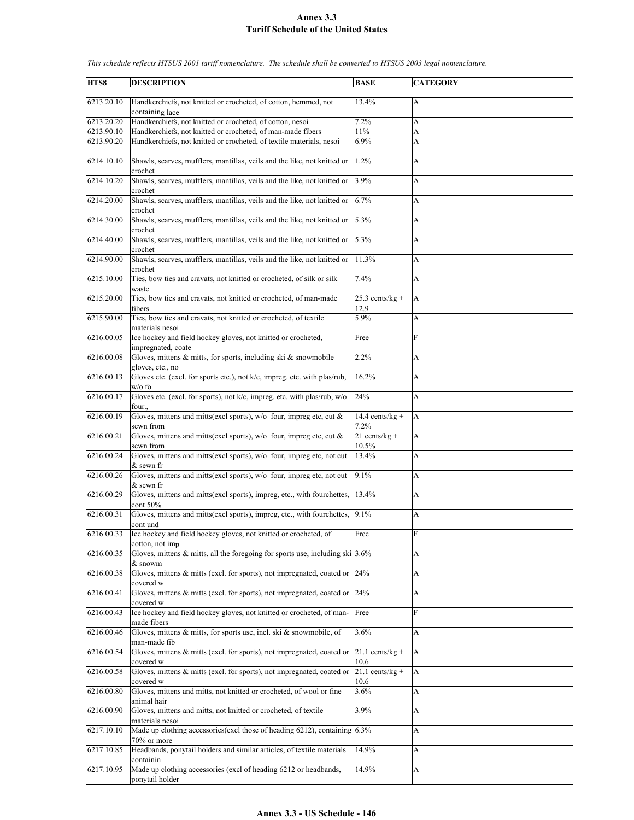| HTS8                     | <b>DESCRIPTION</b>                                                                                                                  | <b>BASE</b>                  | <b>CATEGORY</b> |
|--------------------------|-------------------------------------------------------------------------------------------------------------------------------------|------------------------------|-----------------|
| 6213.20.10               | Handkerchiefs, not knitted or crocheted, of cotton, hemmed, not<br>containing lace                                                  | 13.4%                        | A               |
| 6213.20.20               | Handkerchiefs, not knitted or crocheted, of cotton, nesoi                                                                           | 7.2%                         | A               |
| 6213.90.10<br>6213.90.20 | Handkerchiefs, not knitted or crocheted, of man-made fibers<br>Handkerchiefs, not knitted or crocheted, of textile materials, nesoi | 11%<br>6.9%                  | A<br>A          |
|                          |                                                                                                                                     |                              |                 |
| 6214.10.10               | Shawls, scarves, mufflers, mantillas, veils and the like, not knitted or<br>crochet                                                 | 1.2%                         | A               |
| 6214.10.20               | Shawls, scarves, mufflers, mantillas, veils and the like, not knitted or<br>crochet                                                 | 3.9%                         | A               |
| 6214.20.00               | Shawls, scarves, mufflers, mantillas, veils and the like, not knitted or<br>crochet                                                 | 6.7%                         | A               |
| 6214.30.00               | Shawls, scarves, mufflers, mantillas, veils and the like, not knitted or<br>crochet                                                 | 5.3%                         | A               |
| 6214.40.00               | Shawls, scarves, mufflers, mantillas, veils and the like, not knitted or<br>crochet                                                 | 5.3%                         | A               |
| 6214.90.00               | Shawls, scarves, mufflers, mantillas, veils and the like, not knitted or<br>crochet                                                 | 11.3%                        | A               |
| 6215.10.00               | Ties, bow ties and cravats, not knitted or crocheted, of silk or silk<br>waste                                                      | 7.4%                         | A               |
| 6215.20.00               | Ties, bow ties and cravats, not knitted or crocheted, of man-made<br>fibers                                                         | $25.3$ cents/kg +<br>12.9    | A               |
| 6215.90.00               | Ties, bow ties and cravats, not knitted or crocheted, of textile<br>materials nesoi                                                 | 5.9%                         | A               |
| 6216.00.05               | Ice hockey and field hockey gloves, not knitted or crocheted,<br>impregnated, coate                                                 | Free                         | F               |
| 6216.00.08               | Gloves, mittens $\&$ mitts, for sports, including ski $\&$ snowmobile<br>gloves, etc., no                                           | 2.2%                         | A               |
| 6216.00.13               | Gloves etc. (excl. for sports etc.), not k/c, impreg. etc. with plas/rub,<br>w/o fo                                                 | 16.2%                        | A               |
| 6216.00.17               | Gloves etc. (excl. for sports), not k/c, impreg. etc. with plas/rub, w/o<br>four.,                                                  | 24%                          | A               |
| 6216.00.19               | Gloves, mittens and mitts(excl sports), w/o four, impreg etc, cut &<br>sewn from                                                    | $14.4$ cents/kg +<br>$7.2\%$ | A               |
| 6216.00.21               | Gloves, mittens and mitts(excl sports), $w/o$ four, impreg etc, cut &                                                               | $21 cents/kg +$              | A               |
| 6216.00.24               | sewn from<br>Gloves, mittens and mitts(excl sports), w/o four, impreg etc, not cut                                                  | 10.5%<br>13.4%               | A               |
| 6216.00.26               | & sewn fr<br>Gloves, mittens and mitts(excl sports), w/o four, impreg etc, not cut                                                  | 9.1%                         | A               |
| 6216.00.29               | & sewn fr<br>Gloves, mittens and mitts(excl sports), impreg, etc., with fourchettes,                                                | 13.4%                        | A               |
|                          | cont 50%                                                                                                                            |                              |                 |
| 6216.00.31               | Gloves, mittens and mitts(excl sports), impreg, etc., with fourchettes,<br>cont und                                                 | 9.1%                         | A               |
| 6216.00.33               | Ice hockey and field hockey gloves, not knitted or crocheted, of<br>cotton, not imp                                                 | Free                         | $\overline{F}$  |
| 6216.00.35               | Gloves, mittens $\&$ mitts, all the foregoing for sports use, including ski 3.6%<br>& snowm                                         |                              | A               |
| 6216.00.38               | Gloves, mittens & mitts (excl. for sports), not impregnated, coated or 24%<br>covered w                                             |                              | A               |
| 6216.00.41               | Gloves, mittens & mitts (excl. for sports), not impregnated, coated or $ 24\% $<br>covered w                                        |                              | A               |
| 6216.00.43               | Ice hockey and field hockey gloves, not knitted or crocheted, of man-<br>made fibers                                                | Free                         | F               |
| 6216.00.46               | Gloves, mittens $\&$ mitts, for sports use, incl. ski $\&$ snowmobile, of                                                           | 3.6%                         | A               |
| 6216.00.54               | man-made fib<br>Gloves, mittens & mitts (excl. for sports), not impregnated, coated or<br>covered w                                 | $21.1$ cents/kg +<br>10.6    | A               |
| 6216.00.58               | Gloves, mittens & mitts (excl. for sports), not impregnated, coated or                                                              | $21.1$ cents/kg +            | A               |
| 6216.00.80               | covered w<br>Gloves, mittens and mitts, not knitted or crocheted, of wool or fine<br>animal hair                                    | 10.6<br>3.6%                 | A               |
| 6216.00.90               | Gloves, mittens and mitts, not knitted or crocheted, of textile<br>materials nesoi                                                  | 3.9%                         | A               |
| 6217.10.10               | Made up clothing accessories (excl those of heading $6212$ ), containing $6.3\%$<br>70% or more                                     |                              | A               |
| 6217.10.85               | Headbands, ponytail holders and similar articles, of textile materials<br>containin                                                 | 14.9%                        | А               |
| 6217.10.95               | Made up clothing accessories (excl of heading 6212 or headbands,<br>ponytail holder                                                 | 14.9%                        | A               |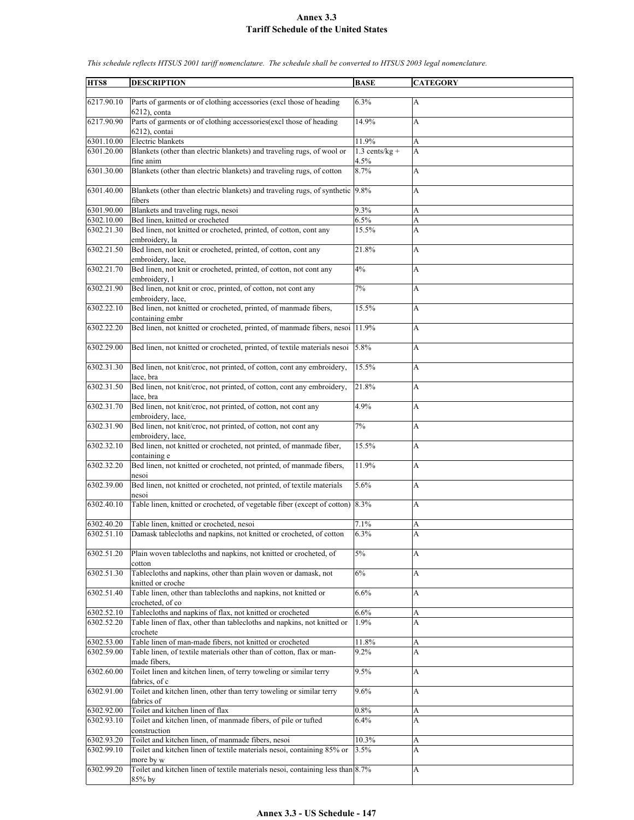| HTS8       | <b>DESCRIPTION</b>                                                                                       | <b>BASE</b>              | <b>CATEGORY</b> |
|------------|----------------------------------------------------------------------------------------------------------|--------------------------|-----------------|
| 6217.90.10 | Parts of garments or of clothing accessories (excl those of heading                                      | 6.3%                     | А               |
|            | $6212$ ), conta                                                                                          |                          |                 |
| 6217.90.90 | Parts of garments or of clothing accessories (excl those of heading<br>$6212$ ), contai                  | 14.9%                    | A               |
| 6301.10.00 | Electric blankets                                                                                        | 11.9%                    | A               |
| 6301.20.00 | Blankets (other than electric blankets) and traveling rugs, of wool or<br>fine anim                      | $1.3$ cents/kg +<br>4.5% | A               |
| 6301.30.00 | Blankets (other than electric blankets) and traveling rugs, of cotton                                    | 8.7%                     | A               |
| 6301.40.00 | Blankets (other than electric blankets) and traveling rugs, of synthetic 9.8%<br>fibers                  |                          | A               |
| 6301.90.00 | Blankets and traveling rugs, nesoi                                                                       | 9.3%                     | A               |
| 6302.10.00 | Bed linen, knitted or crocheted                                                                          | 6.5%                     | A               |
| 6302.21.30 | Bed linen, not knitted or crocheted, printed, of cotton, cont any<br>embroidery, la                      | 15.5%                    | A               |
| 6302.21.50 | Bed linen, not knit or crocheted, printed, of cotton, cont any<br>embroidery, lace,                      | 21.8%                    | A               |
| 6302.21.70 | Bed linen, not knit or crocheted, printed, of cotton, not cont any<br>embroidery, l                      | 4%                       | A               |
| 6302.21.90 | Bed linen, not knit or croc, printed, of cotton, not cont any<br>embroidery, lace,                       | 7%                       | А               |
| 6302.22.10 | Bed linen, not knitted or crocheted, printed, of manmade fibers,<br>containing embr                      | 15.5%                    | A               |
| 6302.22.20 | Bed linen, not knitted or crocheted, printed, of manmade fibers, nesoi 11.9%                             |                          | A               |
| 6302.29.00 | Bed linen, not knitted or crocheted, printed, of textile materials nesoi                                 | 5.8%                     | A               |
| 6302.31.30 | Bed linen, not knit/croc, not printed, of cotton, cont any embroidery,<br>lace, bra                      | 15.5%                    | A               |
| 6302.31.50 | Bed linen, not knit/croc, not printed, of cotton, cont any embroidery,<br>lace, bra                      | 21.8%                    | A               |
| 6302.31.70 | Bed linen, not knit/croc, not printed, of cotton, not cont any                                           | 4.9%                     | A               |
| 6302.31.90 | embroidery, lace,<br>Bed linen, not knit/croc, not printed, of cotton, not cont any<br>embroidery, lace, | 7%                       | A               |
| 6302.32.10 | Bed linen, not knitted or crocheted, not printed, of manmade fiber,<br>containing e                      | 15.5%                    | А               |
| 6302.32.20 | Bed linen, not knitted or crocheted, not printed, of manmade fibers,<br>nesoi                            | 11.9%                    | A               |
| 6302.39.00 | Bed linen, not knitted or crocheted, not printed, of textile materials<br>nesoi                          | 5.6%                     | A               |
| 6302.40.10 | Table linen, knitted or crocheted, of vegetable fiber (except of cotton)                                 | 8.3%                     | A               |
| 6302.40.20 | Table linen, knitted or crocheted, nesoi                                                                 | 7.1%                     | A               |
| 6302.51.10 | Damask tablecloths and napkins, not knitted or crocheted, of cotton                                      | 6.3%                     | A               |
| 6302.51.20 | Plain woven tablecloths and napkins, not knitted or crocheted, of<br>cotton                              | $5\%$                    | A               |
| 6302.51.30 | Tablecloths and napkins, other than plain woven or damask, not<br>knitted or croche                      | 6%                       | А               |
| 6302.51.40 | Table linen, other than tablecloths and napkins, not knitted or<br>crocheted, of co                      | 6.6%                     | A               |
| 6302.52.10 | Tablecloths and napkins of flax, not knitted or crocheted                                                | 6.6%                     | A               |
| 6302.52.20 | Table linen of flax, other than tablecloths and napkins, not knitted or<br>crochete                      | 1.9%                     | A               |
| 6302.53.00 | Table linen of man-made fibers, not knitted or crocheted                                                 | 11.8%                    | A               |
| 6302.59.00 | Table linen, of textile materials other than of cotton, flax or man-<br>made fibers,                     | 9.2%                     | A               |
| 6302.60.00 | Toilet linen and kitchen linen, of terry toweling or similar terry<br>fabrics, of c                      | 9.5%                     | A               |
| 6302.91.00 | Toilet and kitchen linen, other than terry toweling or similar terry<br>fabrics of                       | 9.6%                     | A               |
| 6302.92.00 | Toilet and kitchen linen of flax                                                                         | 0.8%                     | A               |
| 6302.93.10 | Toilet and kitchen linen, of manmade fibers, of pile or tufted<br>construction                           | 6.4%                     | A               |
| 6302.93.20 | Toilet and kitchen linen, of manmade fibers, nesoi                                                       | 10.3%                    | A               |
| 6302.99.10 | Toilet and kitchen linen of textile materials nesoi, containing 85% or                                   | 3.5%                     | A               |
|            | more by w                                                                                                |                          |                 |
| 6302.99.20 | Toilet and kitchen linen of textile materials nesoi, containing less than 8.7%                           |                          | A               |
|            | $85%$ by                                                                                                 |                          |                 |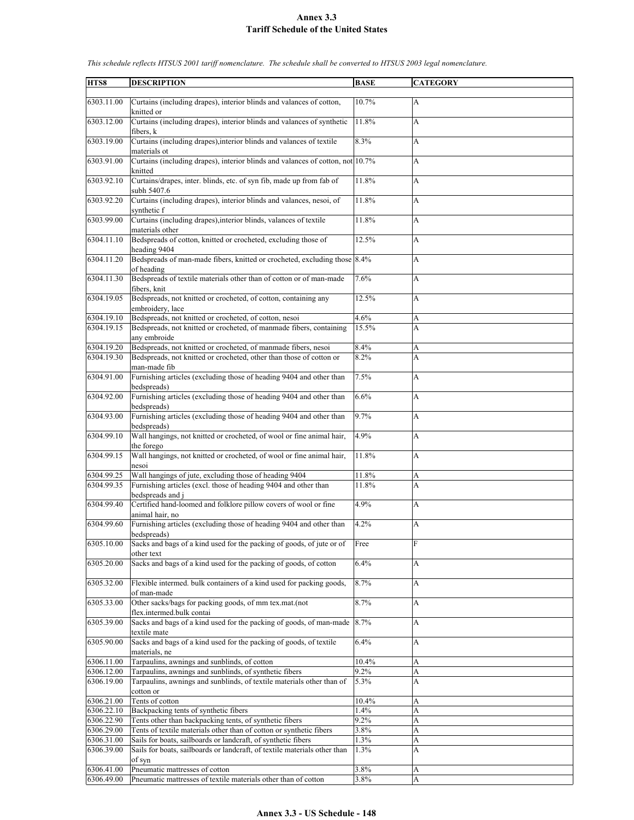| HTS8                     | <b>DESCRIPTION</b>                                                                                                                         | <b>BASE</b>  | <b>CATEGORY</b> |
|--------------------------|--------------------------------------------------------------------------------------------------------------------------------------------|--------------|-----------------|
| 6303.11.00               | Curtains (including drapes), interior blinds and valances of cotton,<br>knitted or                                                         | 10.7%        | А               |
| 6303.12.00               | Curtains (including drapes), interior blinds and valances of synthetic<br>fibers, k                                                        | 11.8%        | A               |
| 6303.19.00               | Curtains (including drapes), interior blinds and valances of textile<br>materials ot                                                       | 8.3%         | A               |
| 6303.91.00               | Curtains (including drapes), interior blinds and valances of cotton, not 10.7%<br>knitted                                                  |              | A               |
| 6303.92.10               | Curtains/drapes, inter. blinds, etc. of syn fib, made up from fab of<br>subh 5407.6                                                        | 11.8%        | A               |
| 6303.92.20               | Curtains (including drapes), interior blinds and valances, nesoi, of<br>synthetic f                                                        | 11.8%        | A               |
| 6303.99.00               | Curtains (including drapes), interior blinds, valances of textile<br>materials other                                                       | 11.8%        | A               |
| 6304.11.10               | Bedspreads of cotton, knitted or crocheted, excluding those of<br>heading 9404                                                             | 12.5%        | A               |
| 6304.11.20               | Bedspreads of man-made fibers, knitted or crocheted, excluding those 8.4%<br>of heading                                                    |              | A               |
| 6304.11.30               | Bedspreads of textile materials other than of cotton or of man-made<br>fibers, knit                                                        | 7.6%         | A               |
| 6304.19.05               | Bedspreads, not knitted or crocheted, of cotton, containing any<br>embroidery, lace                                                        | 12.5%        | A               |
| 6304.19.10               | Bedspreads, not knitted or crocheted, of cotton, nesoi                                                                                     | 4.6%         | A               |
| 6304.19.15               | Bedspreads, not knitted or crocheted, of manmade fibers, containing<br>any embroide                                                        | 15.5%        | A               |
| 6304.19.20               | Bedspreads, not knitted or crocheted, of manmade fibers, nesoi                                                                             | 8.4%         | A               |
| 6304.19.30               | Bedspreads, not knitted or crocheted, other than those of cotton or<br>man-made fib                                                        | 8.2%         | A               |
| 6304.91.00               | Furnishing articles (excluding those of heading 9404 and other than<br>bedspreads)                                                         | 7.5%         | A               |
| 6304.92.00               | Furnishing articles (excluding those of heading 9404 and other than<br>bedspreads)                                                         | 6.6%         | A               |
| 6304.93.00               | Furnishing articles (excluding those of heading 9404 and other than<br>bedspreads)                                                         | 9.7%         | A               |
| 6304.99.10               | Wall hangings, not knitted or crocheted, of wool or fine animal hair,<br>the forego                                                        | 4.9%         | A               |
| 6304.99.15               | Wall hangings, not knitted or crocheted, of wool or fine animal hair,<br>nesoi                                                             | 11.8%        | A               |
| 6304.99.25               | Wall hangings of jute, excluding those of heading 9404                                                                                     | 11.8%        | A               |
| 6304.99.35               | Furnishing articles (excl. those of heading 9404 and other than                                                                            | 11.8%        | A               |
|                          | bedspreads and j                                                                                                                           |              |                 |
| 6304.99.40               | Certified hand-loomed and folklore pillow covers of wool or fine<br>animal hair, no                                                        | 4.9%         | A               |
| 6304.99.60               | Furnishing articles (excluding those of heading 9404 and other than<br>bedspreads)                                                         | 4.2%         | A               |
| 6305.10.00               | Sacks and bags of a kind used for the packing of goods, of jute or of<br>other text                                                        | Free         | F               |
| 6305.20.00               | Sacks and bags of a kind used for the packing of goods, of cotton                                                                          | 6.4%         | A               |
| 6305.32.00               | Flexible intermed. bulk containers of a kind used for packing goods,<br>of man-made                                                        | 8.7%         | A               |
| 6305.33.00               | Other sacks/bags for packing goods, of mm tex.mat.(not<br>flex.intermed.bulk contai                                                        | 8.7%         | A               |
| 6305.39.00               | Sacks and bags of a kind used for the packing of goods, of man-made<br>textile mate                                                        | 8.7%         | A               |
| 6305.90.00               | Sacks and bags of a kind used for the packing of goods, of textile<br>materials, ne                                                        | 6.4%         | A               |
| 6306.11.00               | Tarpaulins, awnings and sunblinds, of cotton                                                                                               | 10.4%        | A               |
| 6306.12.00               | Tarpaulins, awnings and sunblinds, of synthetic fibers                                                                                     | 9.2%         | A               |
| 6306.19.00               | Tarpaulins, awnings and sunblinds, of textile materials other than of<br>cotton or                                                         | 5.3%         | A               |
| 6306.21.00               | Tents of cotton                                                                                                                            | 10.4%        | A               |
| 6306.22.10               | Backpacking tents of synthetic fibers                                                                                                      | 1.4%         | A               |
| 6306.22.90               | Tents other than backpacking tents, of synthetic fibers                                                                                    | $9.2\%$      | A               |
| 6306.29.00               | Tents of textile materials other than of cotton or synthetic fibers                                                                        | 3.8%         | A               |
| 6306.31.00<br>6306.39.00 | Sails for boats, sailboards or landcraft, of synthetic fibers<br>Sails for boats, sailboards or landcraft, of textile materials other than | 1.3%<br>1.3% | A<br>A          |
|                          | of syn                                                                                                                                     |              |                 |
| 6306.41.00               | Pneumatic mattresses of cotton                                                                                                             | 3.8%         | A               |
| 6306.49.00               | Pneumatic mattresses of textile materials other than of cotton                                                                             | 3.8%         | A               |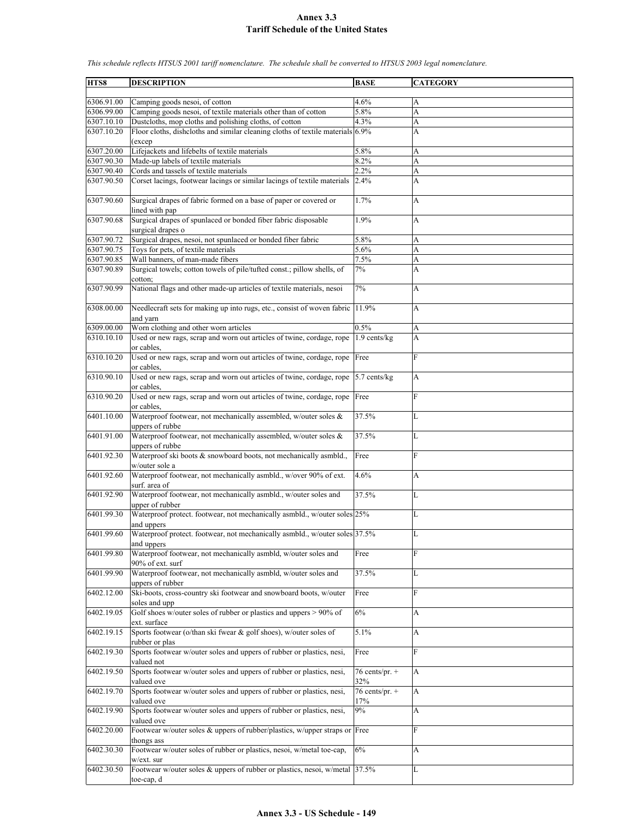| HTS8       | <b>DESCRIPTION</b>                                                                                   | <b>BASE</b>             | <b>CATEGORY</b> |
|------------|------------------------------------------------------------------------------------------------------|-------------------------|-----------------|
|            |                                                                                                      |                         |                 |
| 6306.91.00 | Camping goods nesoi, of cotton                                                                       | 4.6%                    | А               |
| 6306.99.00 | Camping goods nesoi, of textile materials other than of cotton                                       | 5.8%                    | A               |
| 6307.10.10 | Dustcloths, mop cloths and polishing cloths, of cotton                                               | 4.3%                    | A               |
| 6307.10.20 | Floor cloths, dishcloths and similar cleaning cloths of textile materials 6.9%<br>(excep             |                         | A               |
| 6307.20.00 | Lifejackets and lifebelts of textile materials                                                       | $5.8\%$                 | A               |
| 6307.90.30 | Made-up labels of textile materials                                                                  | 8.2%                    | A               |
| 6307.90.40 | Cords and tassels of textile materials                                                               | 2.2%                    | A               |
| 6307.90.50 | Corset lacings, footwear lacings or similar lacings of textile materials                             | 2.4%                    | A               |
| 6307.90.60 | Surgical drapes of fabric formed on a base of paper or covered or<br>lined with pap                  | 1.7%                    | A               |
| 6307.90.68 | Surgical drapes of spunlaced or bonded fiber fabric disposable<br>surgical drapes o                  | 1.9%                    | A               |
| 6307.90.72 | Surgical drapes, nesoi, not spunlaced or bonded fiber fabric                                         | 5.8%                    | A               |
| 6307.90.75 | Toys for pets, of textile materials                                                                  | 5.6%                    | A               |
| 6307.90.85 | Wall banners, of man-made fibers                                                                     | 7.5%                    | A               |
| 6307.90.89 | Surgical towels; cotton towels of pile/tufted const.; pillow shells, of<br>cotton;                   | 7%                      | A               |
| 6307.90.99 | National flags and other made-up articles of textile materials, nesoi                                | 7%                      | A               |
| 6308.00.00 | Needlecraft sets for making up into rugs, etc., consist of woven fabric<br>and varn                  | 11.9%                   | A               |
| 6309.00.00 | Worn clothing and other worn articles                                                                | 0.5%                    | A               |
| 6310.10.10 | Used or new rags, scrap and worn out articles of twine, cordage, rope                                | 1.9 cents/kg            | A               |
| 6310.10.20 | or cables,<br>Used or new rags, scrap and worn out articles of twine, cordage, rope                  | Free                    | F               |
|            | or cables.                                                                                           |                         |                 |
| 6310.90.10 | Used or new rags, scrap and worn out articles of twine, cordage, rope<br>or cables.                  | 5.7 cents/kg            | A               |
| 6310.90.20 | Used or new rags, scrap and worn out articles of twine, cordage, rope<br>or cables.                  | Free                    | F               |
| 6401.10.00 | Waterproof footwear, not mechanically assembled, w/outer soles &<br>uppers of rubbe                  | 37.5%                   | L               |
| 6401.91.00 | Waterproof footwear, not mechanically assembled, w/outer soles &<br>uppers of rubbe                  | 37.5%                   | L               |
| 6401.92.30 | Waterproof ski boots & snowboard boots, not mechanically asmbld.,                                    | Free                    | F               |
| 6401.92.60 | w/outer sole a<br>Waterproof footwear, not mechanically asmbld., w/over 90% of ext.<br>surf, area of | 4.6%                    | A               |
| 6401.92.90 | Waterproof footwear, not mechanically asmbld., w/outer soles and<br>upper of rubber                  | 37.5%                   | L               |
| 6401.99.30 | Waterproof protect. footwear, not mechanically asmbld., w/outer soles 25%<br>and uppers              |                         | L               |
| 6401.99.60 | Waterproof protect. footwear, not mechanically asmbld., w/outer soles 37.5%                          |                         | L               |
| 6401.99.80 | and uppers<br>Waterproof footwear, not mechanically asmbld, w/outer soles and                        | Free                    | F               |
| 6401.99.90 | 90% of ext. surf<br>Waterproof footwear, not mechanically asmbld, w/outer soles and                  | 37.5%                   | L               |
|            | uppers of rubber                                                                                     |                         |                 |
| 6402.12.00 | Ski-boots, cross-country ski footwear and snowboard boots, w/outer<br>soles and upp                  | Free                    | F               |
| 6402.19.05 | Golf shoes w/outer soles of rubber or plastics and uppers $> 90\%$ of<br>ext. surface                | 6%                      | A               |
| 6402.19.15 | Sports footwear (o/than ski fwear & golf shoes), w/outer soles of                                    | 5.1%                    | А               |
| 6402.19.30 | rubber or plas<br>Sports footwear w/outer soles and uppers of rubber or plastics, nesi,              | Free                    | F               |
| 6402.19.50 | valued not<br>Sports footwear w/outer soles and uppers of rubber or plastics, nesi,                  | 76 cents/pr. $+$<br>32% | A               |
| 6402.19.70 | valued ove<br>Sports footwear w/outer soles and uppers of rubber or plastics, nesi,                  | 76 cents/pr. $+$        | A               |
| 6402.19.90 | valued ove<br>Sports footwear w/outer soles and uppers of rubber or plastics, nesi,                  | $17\%$<br>9%            | A               |
| 6402.20.00 | valued ove<br>Footwear w/outer soles & uppers of rubber/plastics, w/upper straps or Free             |                         | F               |
|            | thongs ass                                                                                           |                         |                 |
| 6402.30.30 | Footwear w/outer soles of rubber or plastics, nesoi, w/metal toe-cap,<br>w/ext. sur                  | 6%                      | A               |
| 6402.30.50 | Footwear w/outer soles & uppers of rubber or plastics, nesoi, w/metal 37.5%<br>toe-cap, d            |                         | L               |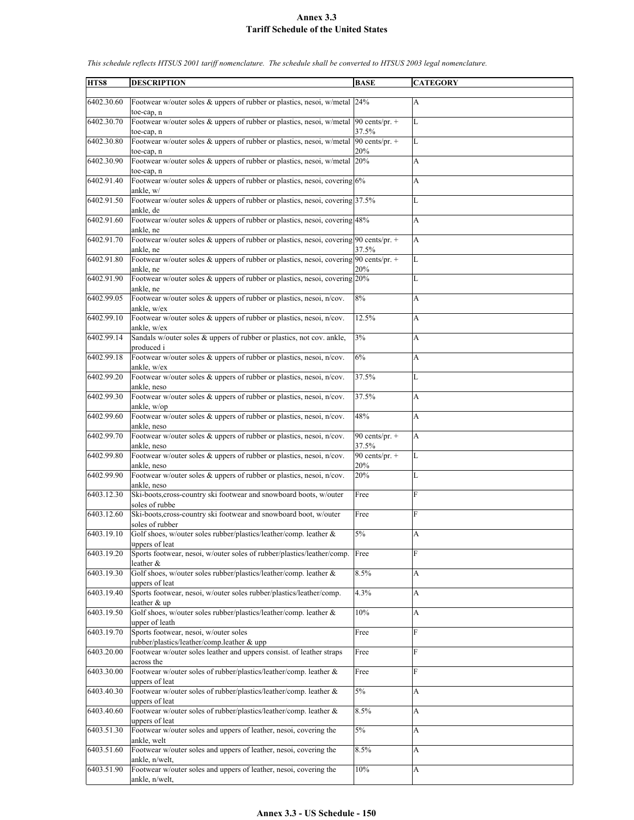| HTS8       | <b>DESCRIPTION</b>                                                                                                 | <b>BASE</b>             | <b>CATEGORY</b>           |
|------------|--------------------------------------------------------------------------------------------------------------------|-------------------------|---------------------------|
|            |                                                                                                                    |                         |                           |
| 6402.30.60 | Footwear w/outer soles & uppers of rubber or plastics, nesoi, w/metal 24%<br>toe-cap, n                            |                         | A                         |
| 6402.30.70 | Footwear w/outer soles & uppers of rubber or plastics, nesoi, w/metal $ 90 \text{ cents/pr.} +$                    | 37.5%                   | L                         |
| 6402.30.80 | toe-cap, n<br>Footwear w/outer soles & uppers of rubber or plastics, nesoi, w/metal                                | 90 cents/pr. $+$        | L                         |
| 6402.30.90 | toe-cap, n<br>Footwear w/outer soles & uppers of rubber or plastics, nesoi, w/metal 20%                            | 20%                     | A                         |
|            | toe-cap, n                                                                                                         |                         |                           |
| 6402.91.40 | Footwear w/outer soles & uppers of rubber or plastics, nesoi, covering 6%<br>ankle, w/                             |                         | A                         |
| 6402.91.50 | Footwear w/outer soles & uppers of rubber or plastics, nesoi, covering 37.5%<br>ankle, de                          |                         | L                         |
| 6402.91.60 | Footwear w/outer soles & uppers of rubber or plastics, nesoi, covering 48%<br>ankle, ne                            |                         | A                         |
| 6402.91.70 | Footwear w/outer soles & uppers of rubber or plastics, nesoi, covering $90$ cents/pr. +<br>ankle, ne               | 37.5%                   | A                         |
| 6402.91.80 | Footwear w/outer soles & uppers of rubber or plastics, nesoi, covering 90 cents/pr. +                              |                         | L                         |
|            | ankle, ne                                                                                                          | 20%                     |                           |
| 6402.91.90 | Footwear w/outer soles & uppers of rubber or plastics, nesoi, covering 20%<br>ankle, ne                            |                         | L                         |
| 6402.99.05 | Footwear w/outer soles & uppers of rubber or plastics, nesoi, n/cov.<br>ankle, w/ex                                | 8%                      | A                         |
| 6402.99.10 | Footwear w/outer soles & uppers of rubber or plastics, nesoi, n/cov.                                               | 12.5%                   | A                         |
| 6402.99.14 | ankle, w/ex<br>Sandals w/outer soles & uppers of rubber or plastics, not cov. ankle,                               | $3\%$                   | A                         |
| 6402.99.18 | produced i<br>Footwear w/outer soles & uppers of rubber or plastics, nesoi, n/cov.                                 | 6%                      | A                         |
| 6402.99.20 | ankle, w/ex<br>Footwear w/outer soles & uppers of rubber or plastics, nesoi, n/cov.                                | 37.5%                   | L                         |
|            | ankle, neso                                                                                                        |                         |                           |
| 6402.99.30 | Footwear w/outer soles & uppers of rubber or plastics, nesoi, n/cov.<br>ankle, w/op                                | 37.5%                   | А                         |
| 6402.99.60 | Footwear w/outer soles & uppers of rubber or plastics, nesoi, n/cov.<br>ankle, neso                                | 48%                     | A                         |
| 6402.99.70 | Footwear w/outer soles & uppers of rubber or plastics, nesoi, n/cov.                                               | 90 cents/pr. +          | A                         |
|            | ankle, neso                                                                                                        | 37.5%                   |                           |
| 6402.99.80 | Footwear w/outer soles & uppers of rubber or plastics, nesoi, n/cov.<br>ankle, neso                                | 90 cents/pr. $+$<br>20% | L                         |
| 6402.99.90 | Footwear w/outer soles & uppers of rubber or plastics, nesoi, n/cov.<br>ankle, neso                                | 20%                     | L                         |
| 6403.12.30 | Ski-boots, cross-country ski footwear and snowboard boots, w/outer                                                 | Free                    | F                         |
| 6403.12.60 | soles of rubbe<br>Ski-boots, cross-country ski footwear and snowboard boot, w/outer                                | Free                    | F                         |
|            | soles of rubber                                                                                                    |                         |                           |
| 6403.19.10 | Golf shoes, w/outer soles rubber/plastics/leather/comp. leather &<br>uppers of leat                                | 5%                      | А                         |
| 6403.19.20 | Sports footwear, nesoi, w/outer soles of rubber/plastics/leather/comp.                                             | Free                    | F                         |
| 6403.19.30 | leather &<br>Golf shoes, w/outer soles rubber/plastics/leather/comp. leather &                                     | 8.5%                    | A                         |
| 6403.19.40 | uppers of leat<br>Sports footwear, nesoi, w/outer soles rubber/plastics/leather/comp.                              | 4.3%                    | A                         |
|            | leather & up                                                                                                       |                         |                           |
| 6403.19.50 | Golf shoes, w/outer soles rubber/plastics/leather/comp. leather &<br>upper of leath                                | 10%                     | A                         |
| 6403.19.70 | Sports footwear, nesoi, w/outer soles                                                                              | Free                    | F                         |
| 6403.20.00 | rubber/plastics/leather/comp.leather & upp<br>Footwear w/outer soles leather and uppers consist. of leather straps | Free                    | $\mathbf F$               |
| 6403.30.00 | across the<br>Footwear w/outer soles of rubber/plastics/leather/comp. leather &                                    | Free                    | F                         |
| 6403.40.30 | uppers of leat<br>Footwear w/outer soles of rubber/plastics/leather/comp. leather &                                | $5\%$                   | A                         |
|            | uppers of leat                                                                                                     |                         |                           |
| 6403.40.60 | Footwear w/outer soles of rubber/plastics/leather/comp. leather &<br>uppers of leat                                | 8.5%                    | A                         |
| 6403.51.30 | Footwear w/outer soles and uppers of leather, nesoi, covering the<br>ankle, welt                                   | $5\%$                   | $\boldsymbol{\mathsf{A}}$ |
| 6403.51.60 | Footwear w/outer soles and uppers of leather, nesoi, covering the<br>ankle, n/welt,                                | 8.5%                    | A                         |
| 6403.51.90 | Footwear w/outer soles and uppers of leather, nesoi, covering the                                                  | 10%                     | А                         |
|            | ankle, n/welt,                                                                                                     |                         |                           |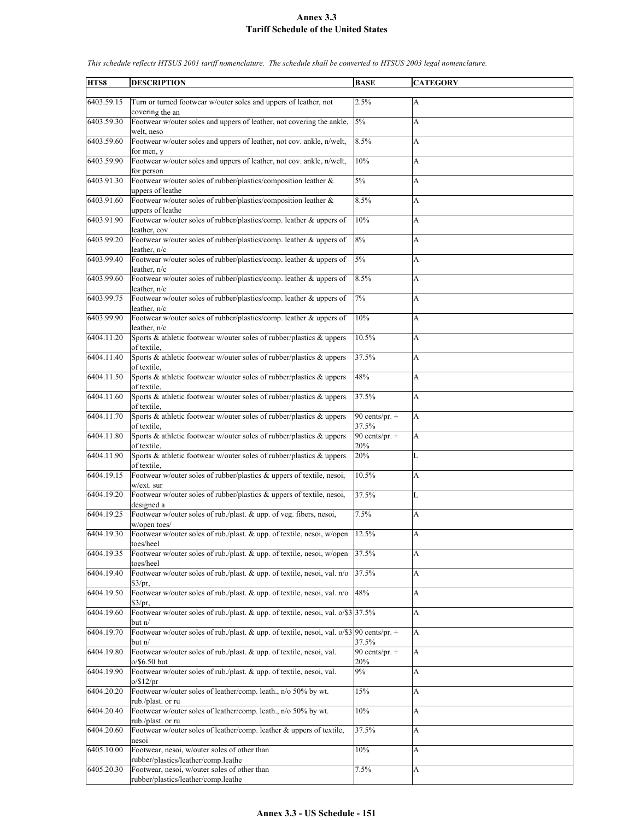| HTS8       | <b>DESCRIPTION</b>                                                                           | <b>BASE</b>                 | <b>CATEGORY</b>           |
|------------|----------------------------------------------------------------------------------------------|-----------------------------|---------------------------|
|            |                                                                                              |                             |                           |
| 6403.59.15 | Turn or turned footwear w/outer soles and uppers of leather, not                             | 2.5%                        | A                         |
|            | covering the an                                                                              |                             |                           |
| 6403.59.30 | Footwear w/outer soles and uppers of leather, not covering the ankle,                        | 5%                          | A                         |
|            | welt, neso                                                                                   |                             |                           |
| 6403.59.60 | Footwear w/outer soles and uppers of leather, not cov. ankle, n/welt,                        | 8.5%                        | A                         |
|            | for men, y                                                                                   |                             |                           |
| 6403.59.90 | Footwear w/outer soles and uppers of leather, not cov. ankle, n/welt,                        | 10%                         | A                         |
| 6403.91.30 | for person                                                                                   | 5%                          |                           |
|            | Footwear w/outer soles of rubber/plastics/composition leather &                              |                             | A                         |
| 6403.91.60 | uppers of leathe<br>Footwear w/outer soles of rubber/plastics/composition leather &          | 8.5%                        | A                         |
|            | uppers of leathe                                                                             |                             |                           |
| 6403.91.90 | Footwear w/outer soles of rubber/plastics/comp. leather & uppers of                          | $10\%$                      | A                         |
|            | leather, cov                                                                                 |                             |                           |
| 6403.99.20 | Footwear w/outer soles of rubber/plastics/comp. leather & uppers of                          | 8%                          | A                         |
|            | leather, n/c                                                                                 |                             |                           |
| 6403.99.40 | Footwear w/outer soles of rubber/plastics/comp. leather & uppers of                          | 5%                          | A                         |
|            | leather, $n/c$                                                                               |                             |                           |
| 6403.99.60 | Footwear w/outer soles of rubber/plastics/comp. leather & uppers of                          | 8.5%                        | A                         |
|            | leather, n/c                                                                                 |                             |                           |
| 6403.99.75 | Footwear w/outer soles of rubber/plastics/comp. leather & uppers of                          | 7%                          | A                         |
|            | leather, $n/c$                                                                               |                             |                           |
| 6403.99.90 | Footwear w/outer soles of rubber/plastics/comp. leather & uppers of                          | $10\%$                      | A                         |
|            | leather, n/c                                                                                 |                             |                           |
| 6404.11.20 | Sports & athletic footwear w/outer soles of rubber/plastics & uppers                         | 10.5%                       | A                         |
|            | of textile.                                                                                  |                             |                           |
| 6404.11.40 | Sports & athletic footwear w/outer soles of rubber/plastics & uppers                         | 37.5%                       | A                         |
|            | of textile.                                                                                  |                             |                           |
| 6404.11.50 | Sports & athletic footwear w/outer soles of rubber/plastics & uppers                         | 48%                         | A                         |
|            | of textile.                                                                                  |                             |                           |
| 6404.11.60 | Sports & athletic footwear w/outer soles of rubber/plastics & uppers                         | 37.5%                       | A                         |
|            | of textile,                                                                                  |                             |                           |
| 6404.11.70 | Sports & athletic footwear w/outer soles of rubber/plastics & uppers                         | $\overline{90}$ cents/pr. + | A                         |
| 6404.11.80 | of textile,<br>Sports & athletic footwear w/outer soles of rubber/plastics & uppers          | 37.5%<br>90 cents/pr. $+$   | A                         |
|            | of textile.                                                                                  | 20%                         |                           |
| 6404.11.90 | Sports & athletic footwear w/outer soles of rubber/plastics & uppers                         | 20%                         | L                         |
|            | of textile.                                                                                  |                             |                           |
| 6404.19.15 | Footwear w/outer soles of rubber/plastics & uppers of textile, nesoi,                        | 10.5%                       | A                         |
|            | w/ext. sur                                                                                   |                             |                           |
| 6404.19.20 | Footwear w/outer soles of rubber/plastics & uppers of textile, nesoi,                        | 37.5%                       | L                         |
|            | designed a                                                                                   |                             |                           |
| 6404.19.25 | Footwear w/outer soles of rub./plast. & upp. of veg. fibers, nesoi,                          | 7.5%                        | A                         |
|            | w/open toes/                                                                                 |                             |                           |
| 6404.19.30 | Footwear w/outer soles of rub./plast. & upp. of textile, nesoi, w/open                       | 12.5%                       | A                         |
|            | toes/heel                                                                                    |                             |                           |
| 6404.19.35 | Footwear w/outer soles of rub./plast. & upp. of textile, nesoi, w/open                       | 37.5%                       | A                         |
|            | toes/heel                                                                                    |                             |                           |
| 6404.19.40 | Footwear w/outer soles of rub./plast. & upp. of textile, nesoi, val. n/o                     | 37.5%                       | A                         |
| 6404.19.50 | \$3/pr,<br>Footwear w/outer soles of rub./plast. & upp. of textile, nesoi, val. n/o          | 48%                         | $\boldsymbol{\mathsf{A}}$ |
|            | \$3/pr,                                                                                      |                             |                           |
| 6404.19.60 | Footwear w/outer soles of rub./plast. & upp. of textile, nesoi, val. o/\$3 37.5%             |                             | A                         |
|            | but $n/$                                                                                     |                             |                           |
| 6404.19.70 | Footwear w/outer soles of rub./plast. & upp. of textile, nesoi, val. $o$ /\$3 90 cents/pr. + |                             | A                         |
|            | but $n/$                                                                                     | 37.5%                       |                           |
| 6404.19.80 | Footwear w/outer soles of rub./plast. & upp. of textile, nesoi, val.                         | 90 cents/pr. $+$            | $\mathbf{A}$              |
|            | $o$ /\$6.50 but                                                                              | 20%                         |                           |
| 6404.19.90 | Footwear w/outer soles of rub./plast. & upp. of textile, nesoi, val.                         | 9%                          | A                         |
|            | $o$ /\$12/pr                                                                                 |                             |                           |
| 6404.20.20 | Footwear w/outer soles of leather/comp. leath., n/o 50% by wt.                               | 15%                         | A                         |
|            | rub./plast. or ru                                                                            |                             |                           |
| 6404.20.40 | Footwear w/outer soles of leather/comp. leath., n/o 50% by wt.                               | 10%                         | A                         |
|            | rub./plast. or ru                                                                            |                             |                           |
| 6404.20.60 | Footwear w/outer soles of leather/comp. leather & uppers of textile,                         | 37.5%                       | A                         |
|            | nesoi                                                                                        |                             |                           |
| 6405.10.00 | Footwear, nesoi, w/outer soles of other than                                                 | 10%                         | А                         |
|            | rubber/plastics/leather/comp.leathe                                                          |                             |                           |
| 6405.20.30 | Footwear, nesoi, w/outer soles of other than                                                 | 7.5%                        | A                         |
|            | rubber/plastics/leather/comp.leathe                                                          |                             |                           |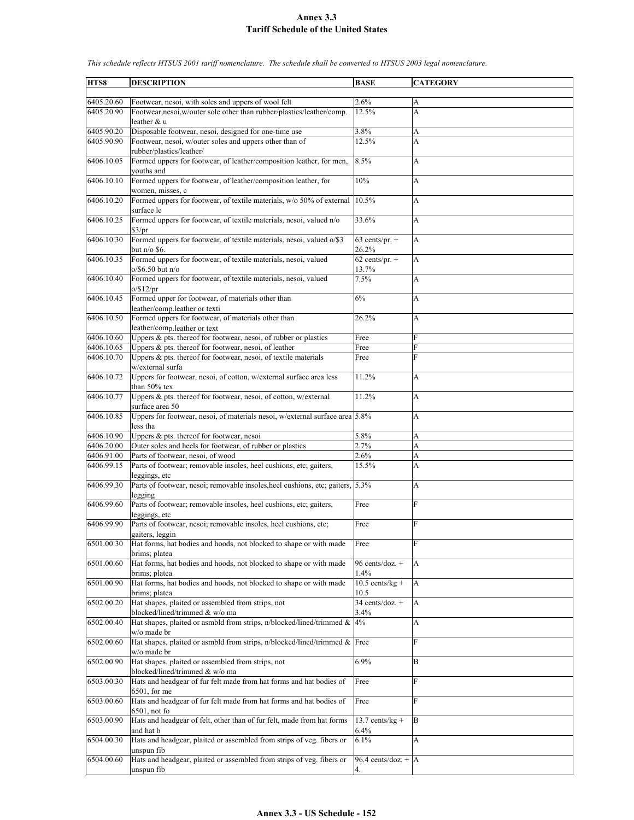| HTS8       | <b>DESCRIPTION</b>                                                                       | <b>BASE</b>             | <b>CATEGORY</b> |
|------------|------------------------------------------------------------------------------------------|-------------------------|-----------------|
|            |                                                                                          |                         |                 |
| 6405.20.60 | Footwear, nesoi, with soles and uppers of wool felt                                      | 2.6%                    | А               |
| 6405.20.90 | Footwear, nesoi, w/outer sole other than rubber/plastics/leather/comp.                   | 12.5%                   | A               |
|            | leather & u                                                                              |                         |                 |
| 6405.90.20 | Disposable footwear, nesoi, designed for one-time use                                    | 3.8%                    | A               |
| 6405.90.90 | Footwear, nesoi, w/outer soles and uppers other than of                                  | 12.5%                   | A               |
|            | rubber/plastics/leather/                                                                 |                         |                 |
| 6406.10.05 | Formed uppers for footwear, of leather/composition leather, for men,                     | 8.5%                    | А               |
|            | vouths and                                                                               |                         |                 |
| 6406.10.10 | Formed uppers for footwear, of leather/composition leather, for                          | 10%                     | A               |
|            | women, misses, c                                                                         |                         |                 |
| 6406.10.20 | Formed uppers for footwear, of textile materials, w/o 50% of external                    | 10.5%                   | A               |
|            | surface le                                                                               |                         |                 |
| 6406.10.25 | Formed uppers for footwear, of textile materials, nesoi, valued n/o                      | 33.6%                   | A               |
|            | \$3/pr                                                                                   |                         |                 |
| 6406.10.30 | Formed uppers for footwear, of textile materials, nesoi, valued o/\$3                    | $63$ cents/pr. +        | A               |
|            | but $n/o$ \$6.                                                                           | 26.2%                   |                 |
| 6406.10.35 | Formed uppers for footwear, of textile materials, nesoi, valued                          | $62$ cents/pr. +        | A               |
|            | $o$ /\$6.50 but n/o                                                                      | 13.7%                   |                 |
| 6406.10.40 | Formed uppers for footwear, of textile materials, nesoi, valued                          | 7.5%                    | A               |
|            | $o$ /\$12/pr                                                                             |                         |                 |
| 6406.10.45 | Formed upper for footwear, of materials other than                                       | 6%                      | A               |
|            | leather/comp.leather or texti                                                            |                         |                 |
| 6406.10.50 | Formed uppers for footwear, of materials other than                                      | 26.2%                   | A               |
|            | leather/comp.leather or text                                                             |                         |                 |
| 6406.10.60 | Uppers $\&$ pts. thereof for footwear, nesoi, of rubber or plastics                      | Free                    | F               |
| 6406.10.65 | Uppers & pts. thereof for footwear, nesoi, of leather                                    | Free                    | F               |
| 6406.10.70 | Uppers & pts. thereof for footwear, nesoi, of textile materials                          | Free                    | F               |
|            | w/external surfa                                                                         |                         |                 |
| 6406.10.72 | Uppers for footwear, nesoi, of cotton, w/external surface area less                      | 11.2%                   | A               |
|            | than 50% tex                                                                             |                         |                 |
| 6406.10.77 | Uppers & pts. thereof for footwear, nesoi, of cotton, w/external                         | 11.2%                   | A               |
|            | surface area 50                                                                          |                         |                 |
| 6406.10.85 | Uppers for footwear, nesoi, of materials nesoi, w/external surface area 5.8%             |                         | A               |
|            | less tha                                                                                 |                         |                 |
| 6406.10.90 | Uppers & pts. thereof for footwear, nesoi                                                | 5.8%                    | A               |
| 6406.20.00 | Outer soles and heels for footwear, of rubber or plastics                                | 2.7%                    | A               |
| 6406.91.00 | Parts of footwear, nesoi, of wood                                                        | 2.6%                    | A               |
| 6406.99.15 | Parts of footwear; removable insoles, heel cushions, etc; gaiters,                       | 15.5%                   | A               |
|            | leggings, etc                                                                            |                         |                 |
| 6406.99.30 | Parts of footwear, nesoi; removable insoles, heel cushions, etc; gaiters, 5.3%           |                         | A               |
|            | legging                                                                                  |                         |                 |
| 6406.99.60 | Parts of footwear; removable insoles, heel cushions, etc; gaiters,                       | Free                    | F               |
|            | leggings, etc                                                                            |                         |                 |
| 6406.99.90 | Parts of footwear, nesoi; removable insoles, heel cushions, etc;                         | Free                    | F               |
|            | gaiters, leggin                                                                          |                         |                 |
| 6501.00.30 | Hat forms, hat bodies and hoods, not blocked to shape or with made                       | Free                    | F               |
|            | brims; platea                                                                            |                         |                 |
| 6501.00.60 | Hat forms, hat bodies and hoods, not blocked to shape or with made                       | 96 cents/doz. +         | A               |
|            | brims; platea                                                                            | 1.4%                    |                 |
| 6501.00.90 | Hat forms, hat bodies and hoods, not blocked to shape or with made                       | $10.5$ cents/kg +       | A               |
|            | brims; platea                                                                            | 10.5<br>34 cents/doz. + |                 |
| 6502.00.20 | Hat shapes, plaited or assembled from strips, not                                        |                         | A               |
|            | blocked/lined/trimmed & w/o ma                                                           | 3.4%                    |                 |
| 6502.00.40 | Hat shapes, plaited or asmbld from strips, n/blocked/lined/trimmed &                     | 4%                      | A               |
| 6502.00.60 | w/o made br<br>Hat shapes, plaited or asmbld from strips, n/blocked/lined/trimmed & Free |                         | F               |
|            |                                                                                          |                         |                 |
|            | w/o made br                                                                              | 6.9%                    |                 |
| 6502.00.90 | Hat shapes, plaited or assembled from strips, not                                        |                         | B               |
|            | blocked/lined/trimmed & w/o ma                                                           |                         | F               |
| 6503.00.30 | Hats and headgear of fur felt made from hat forms and hat bodies of                      | Free                    |                 |
|            | $6501$ , for me                                                                          |                         |                 |
| 6503.00.60 | Hats and headgear of fur felt made from hat forms and hat bodies of                      | Free                    | F               |
|            | $6501$ , not fo                                                                          |                         |                 |
| 6503.00.90 | Hats and headgear of felt, other than of fur felt, made from hat forms                   | $13.7$ cents/kg +       | B               |
| 6504.00.30 | and hat b<br>Hats and headgear, plaited or assembled from strips of veg. fibers or       | 6.4%<br>6.1%            |                 |
|            |                                                                                          |                         | A               |
| 6504.00.60 | unspun fib<br>Hats and headgear, plaited or assembled from strips of veg. fibers or      | 96.4 cents/doz. + $ A $ |                 |
|            |                                                                                          |                         |                 |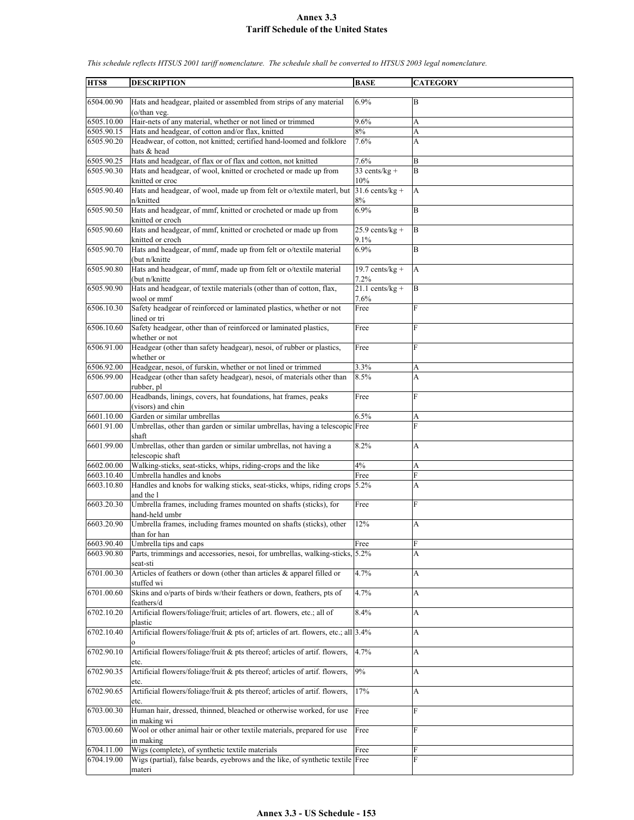| HTS8                     | <b>DESCRIPTION</b>                                                                                                                    | <b>BASE</b>                       | <b>CATEGORY</b> |
|--------------------------|---------------------------------------------------------------------------------------------------------------------------------------|-----------------------------------|-----------------|
| 6504.00.90               | Hats and headgear, plaited or assembled from strips of any material                                                                   | 6.9%                              | B               |
|                          | (o/than veg.                                                                                                                          |                                   |                 |
| 6505.10.00               | Hair-nets of any material, whether or not lined or trimmed                                                                            | 9.6%                              | A               |
| 6505.90.15               | Hats and headgear, of cotton and/or flax, knitted                                                                                     | 8%                                | A               |
| 6505.90.20               | Headwear, of cotton, not knitted; certified hand-loomed and folklore<br>hats & head                                                   | 7.6%                              | A               |
| 6505.90.25               | Hats and headgear, of flax or of flax and cotton, not knitted                                                                         | 7.6%                              | B               |
| 6505.90.30               | Hats and headgear, of wool, knitted or crocheted or made up from                                                                      | 33 cents/ $kg +$                  | B               |
|                          | knitted or croc                                                                                                                       | 10%                               |                 |
| 6505.90.40               | Hats and headgear, of wool, made up from felt or o/textile materl, but<br>n/knitted                                                   | $\sqrt{31.6}$ cents/kg +<br>$8\%$ | A               |
| 6505.90.50               | Hats and headgear, of mmf, knitted or crocheted or made up from<br>knitted or croch                                                   | 6.9%                              | $\bf{B}$        |
| 6505.90.60               | Hats and headgear, of mmf, knitted or crocheted or made up from<br>knitted or croch                                                   | $25.9$ cents/kg +<br>9.1%         | B               |
| 6505.90.70               | Hats and headgear, of mmf, made up from felt or o/textile material<br>(but n/knitte)                                                  | 6.9%                              | B               |
| 6505.90.80               | Hats and headgear, of mmf, made up from felt or o/textile material                                                                    | 19.7 cents/ $kg +$                | A               |
|                          | (but n/knitte)                                                                                                                        | 7.2%                              |                 |
| 6505.90.90               | Hats and headgear, of textile materials (other than of cotton, flax,<br>wool or mmf                                                   | $21.1$ cents/kg +<br>7.6%         | B               |
| 6506.10.30               | Safety headgear of reinforced or laminated plastics, whether or not<br>lined or tri                                                   | Free                              | F               |
| 6506.10.60               | Safety headgear, other than of reinforced or laminated plastics,                                                                      | Free                              | F               |
| 6506.91.00               | whether or not<br>Headgear (other than safety headgear), nesoi, of rubber or plastics,                                                | Free                              | F               |
|                          | whether or                                                                                                                            |                                   |                 |
| 6506.92.00<br>6506.99.00 | Headgear, nesoi, of furskin, whether or not lined or trimmed<br>Headgear (other than safety headgear), nesoi, of materials other than | 3.3%<br>8.5%                      | А<br>A          |
|                          | rubber, pl                                                                                                                            |                                   |                 |
| 6507.00.00               | Headbands, linings, covers, hat foundations, hat frames, peaks<br>(visors) and chin                                                   | Free                              | $\overline{F}$  |
| 6601.10.00               | Garden or similar umbrellas                                                                                                           | 6.5%                              | А               |
| 6601.91.00               | Umbrellas, other than garden or similar umbrellas, having a telescopic Free<br>shaft                                                  |                                   | F               |
| 6601.99.00               | Umbrellas, other than garden or similar umbrellas, not having a<br>telescopic shaft                                                   | 8.2%                              | A               |
| 6602.00.00               | Walking-sticks, seat-sticks, whips, riding-crops and the like                                                                         | 4%                                | A               |
| 6603.10.40               | Umbrella handles and knobs                                                                                                            | Free                              | F               |
| 6603.10.80               | Handles and knobs for walking sticks, seat-sticks, whips, riding crops<br>and the l                                                   | 5.2%                              | A               |
| 6603.20.30               | Umbrella frames, including frames mounted on shafts (sticks), for<br>hand-held umbr                                                   | Free                              | F               |
| 6603.20.90               | Umbrella frames, including frames mounted on shafts (sticks), other<br>than for han                                                   | 12%                               | A               |
| 6603.90.40               | Umbrella tips and caps                                                                                                                | Free                              | ${\rm F}$       |
| 6603.90.80               | Parts, trimmings and accessories, nesoi, for umbrellas, walking-sticks, 5.2%<br>seat-sti                                              |                                   | А               |
| 6701.00.30               | Articles of feathers or down (other than articles & apparel filled or<br>stuffed wi                                                   | 4.7%                              | A               |
| 6701.00.60               | Skins and o/parts of birds w/their feathers or down, feathers, pts of<br>feathers/d                                                   | 4.7%                              | А               |
| 6702.10.20               | Artificial flowers/foliage/fruit; articles of art. flowers, etc.; all of                                                              | 8.4%                              | A               |
| 6702.10.40               | plastic<br>Artificial flowers/foliage/fruit & pts of; articles of art. flowers, etc.; all 3.4%                                        |                                   | A               |
| 6702.90.10               | Artificial flowers/foliage/fruit & pts thereof; articles of artif. flowers,                                                           | 4.7%                              | A               |
| 6702.90.35               | etc.<br>Artificial flowers/foliage/fruit & pts thereof; articles of artif. flowers,                                                   | 9%                                | А               |
|                          | etc.                                                                                                                                  |                                   |                 |
| 6702.90.65               | Artificial flowers/foliage/fruit & pts thereof; articles of artif. flowers,<br>etc.                                                   | 17%                               | A               |
| 6703.00.30               | Human hair, dressed, thinned, bleached or otherwise worked, for use<br>in making wi                                                   | Free                              | F               |
| 6703.00.60               | Wool or other animal hair or other textile materials, prepared for use<br>in making                                                   | Free                              | F               |
| 6704.11.00               | Wigs (complete), of synthetic textile materials                                                                                       | Free                              | F               |
| 6704.19.00               | Wigs (partial), false beards, eyebrows and the like, of synthetic textile Free<br>materi                                              |                                   | F               |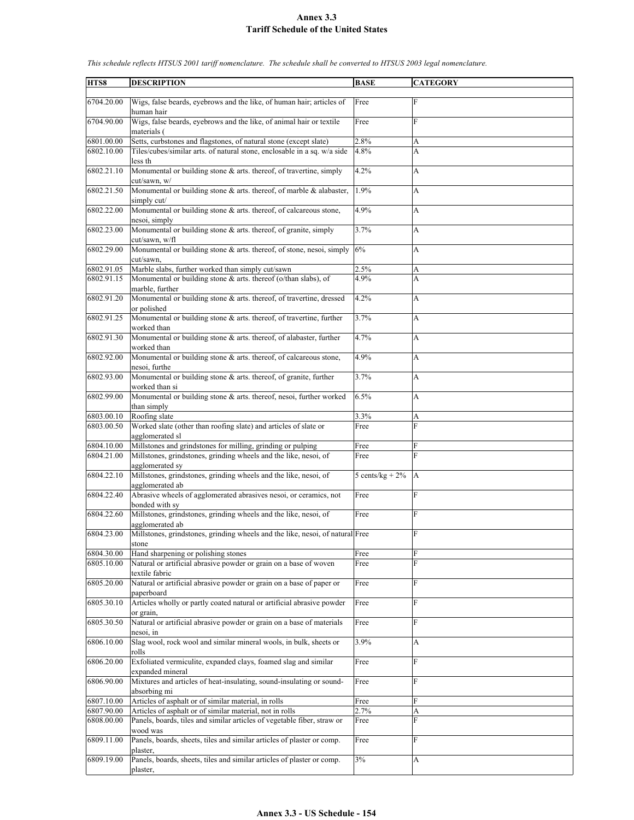| HTS8       | <b>DESCRIPTION</b>                                                                                                                            | <b>BASE</b>        | <b>CATEGORY</b> |
|------------|-----------------------------------------------------------------------------------------------------------------------------------------------|--------------------|-----------------|
| 6704.20.00 | Wigs, false beards, eyebrows and the like, of human hair; articles of<br>human hair                                                           | Free               | $\mathbf F$     |
| 6704.90.00 | Wigs, false beards, eyebrows and the like, of animal hair or textile<br>materials (                                                           | Free               | F               |
| 6801.00.00 |                                                                                                                                               | 2.8%               |                 |
| 6802.10.00 | Setts, curbstones and flagstones, of natural stone (except slate)<br>Tiles/cubes/similar arts. of natural stone, enclosable in a sq. w/a side | 4.8%               | A<br>A          |
|            |                                                                                                                                               |                    |                 |
| 6802.21.10 | less th<br>Monumental or building stone & arts. thereof, of travertine, simply<br>cut/sawn, w/                                                | 4.2%               | A               |
| 6802.21.50 | Monumental or building stone $\&$ arts. thereof, of marble $\&$ alabaster,<br>simply cut/                                                     | 1.9%               | A               |
| 6802.22.00 | Monumental or building stone $\&$ arts. thereof, of calcareous stone,<br>nesoi, simply                                                        | 4.9%               | A               |
| 6802.23.00 | Monumental or building stone & arts. thereof, of granite, simply<br>cut/sawn, w/fl                                                            | 3.7%               | A               |
| 6802.29.00 | Monumental or building stone & arts. thereof, of stone, nesoi, simply<br>cut/sawn.                                                            | 6%                 | A               |
| 6802.91.05 | Marble slabs, further worked than simply cut/sawn                                                                                             | 2.5%               | A               |
| 6802.91.15 | Monumental or building stone & arts. thereof (o/than slabs), of<br>marble, further                                                            | 4.9%               | A               |
| 6802.91.20 | Monumental or building stone & arts. thereof, of travertine, dressed<br>or polished                                                           | 4.2%               | A               |
| 6802.91.25 | Monumental or building stone & arts. thereof, of travertine, further<br>worked than                                                           | 3.7%               | A               |
| 6802.91.30 | Monumental or building stone & arts. thereof, of alabaster, further<br>worked than                                                            | 4.7%               | A               |
| 6802.92.00 | Monumental or building stone & arts. thereof, of calcareous stone,                                                                            | 4.9%               | A               |
| 6802.93.00 | nesoi, furthe<br>Monumental or building stone & arts. thereof, of granite, further                                                            | 3.7%               | A               |
| 6802.99.00 | worked than si<br>Monumental or building stone & arts. thereof, nesoi, further worked                                                         | 6.5%               | A               |
|            | than simply                                                                                                                                   |                    |                 |
| 6803.00.10 | Roofing slate                                                                                                                                 | 3.3%               | А               |
| 6803.00.50 | Worked slate (other than roofing slate) and articles of slate or<br>agglomerated sl                                                           | Free               | F               |
| 6804.10.00 | Millstones and grindstones for milling, grinding or pulping                                                                                   | Free               | F               |
| 6804.21.00 | Millstones, grindstones, grinding wheels and the like, nesoi, of<br>agglomerated sy                                                           | Free               | $\mathbf{F}$    |
| 6804.22.10 | Millstones, grindstones, grinding wheels and the like, nesoi, of<br>agglomerated ab                                                           | 5 cents/kg + $2\%$ | А               |
| 6804.22.40 | Abrasive wheels of agglomerated abrasives nesoi, or ceramics, not<br>bonded with sv                                                           | Free               | F               |
| 6804.22.60 | Millstones, grindstones, grinding wheels and the like, nesoi, of<br>agglomerated ab                                                           | Free               | F               |
| 6804.23.00 | Millstones, grindstones, grinding wheels and the like, nesoi, of natural Free<br>stone                                                        |                    | F               |
| 6804.30.00 | Hand sharpening or polishing stones                                                                                                           | Free               | F               |
| 6805.10.00 | Natural or artificial abrasive powder or grain on a base of woven<br>textile fabric                                                           | Free               | F               |
| 6805.20.00 | Natural or artificial abrasive powder or grain on a base of paper or<br>paperboard                                                            | Free               | F               |
| 6805.30.10 | Articles wholly or partly coated natural or artificial abrasive powder<br>or grain,                                                           | Free               | F               |
| 6805.30.50 | Natural or artificial abrasive powder or grain on a base of materials<br>nesoi, in                                                            | Free               | F               |
| 6806.10.00 | Slag wool, rock wool and similar mineral wools, in bulk, sheets or<br>rolls                                                                   | 3.9%               | А               |
| 6806.20.00 | Exfoliated vermiculite, expanded clays, foamed slag and similar<br>expanded mineral                                                           | Free               | F               |
| 6806.90.00 | Mixtures and articles of heat-insulating, sound-insulating or sound-<br>absorbing mi                                                          | Free               | F               |
| 6807.10.00 | Articles of asphalt or of similar material, in rolls                                                                                          | Free               | F               |
| 6807.90.00 | Articles of asphalt or of similar material, not in rolls                                                                                      | 2.7%               | A               |
| 6808.00.00 | Panels, boards, tiles and similar articles of vegetable fiber, straw or                                                                       | Free               | F               |
|            | wood was                                                                                                                                      |                    |                 |
| 6809.11.00 | Panels, boards, sheets, tiles and similar articles of plaster or comp.                                                                        | Free               | F               |
| 6809.19.00 | plaster.<br>Panels, boards, sheets, tiles and similar articles of plaster or comp.<br>plaster,                                                | 3%                 | А               |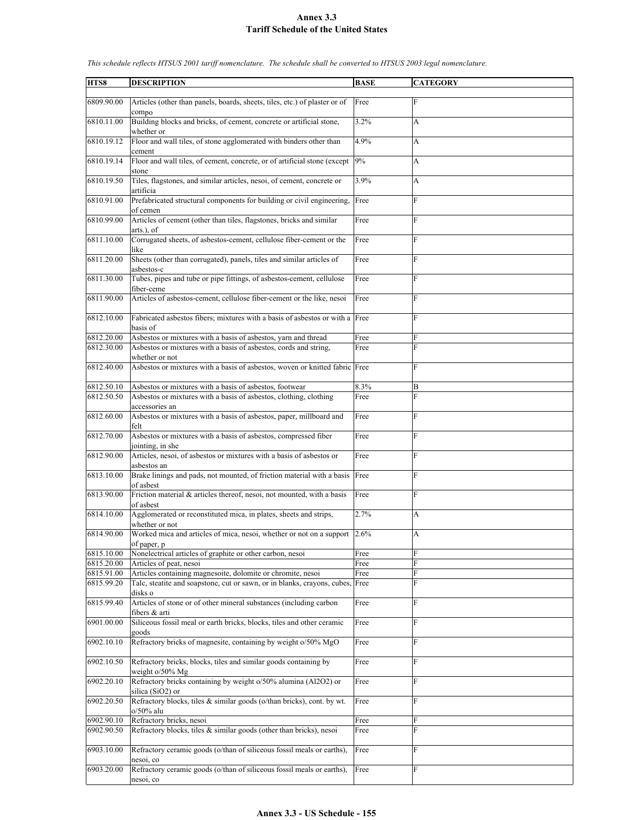| HTS8                    | <b>DESCRIPTION</b>                                                                          | <b>BASE</b> | <b>CATEGORY</b> |
|-------------------------|---------------------------------------------------------------------------------------------|-------------|-----------------|
| 6809.90.00              | Articles (other than panels, boards, sheets, tiles, etc.) of plaster or of                  | Free        | F               |
| 6810.11.00              | compo<br>Building blocks and bricks, of cement, concrete or artificial stone,<br>whether or | 3.2%        | A               |
| 6810.19.12              | Floor and wall tiles, of stone agglomerated with binders other than<br>cement               | 4.9%        | A               |
| 6810.19.14              | Floor and wall tiles, of cement, concrete, or of artificial stone (except<br>stone          | 9%          | A               |
| 6810.19.50              | Tiles, flagstones, and similar articles, nesoi, of cement, concrete or<br>artificia         | 3.9%        | A               |
| 6810.91.00              | Prefabricated structural components for building or civil engineering,<br>of cemen          | Free        | F               |
| 6810.99.00              | Articles of cement (other than tiles, flagstones, bricks and similar<br>arts.), of          | Free        | F               |
| 6811.10.00              | Corrugated sheets, of asbestos-cement, cellulose fiber-cement or the<br>like                | Free        | F               |
| 6811.20.00              | Sheets (other than corrugated), panels, tiles and similar articles of<br>asbestos-c         | Free        | $\mathbf{F}$    |
| 6811.30.00              | Tubes, pipes and tube or pipe fittings, of asbestos-cement, cellulose<br>fiber-ceme         | Free        | F               |
| 6811.90.00              | Articles of asbestos-cement, cellulose fiber-cement or the like, nesoi                      | Free        | F               |
| 6812.10.00              | Fabricated asbestos fibers; mixtures with a basis of asbestos or with a Free<br>basis of    |             | F               |
| 6812.20.00              | Asbestos or mixtures with a basis of asbestos, yarn and thread                              | Free        | F               |
| 6812.30.00              | Asbestos or mixtures with a basis of asbestos, cords and string,                            | Free        | F               |
|                         | whether or not                                                                              |             |                 |
| 6812.40.00              | Asbestos or mixtures with a basis of asbestos, woven or knitted fabric Free                 |             | F               |
| 6812.50.10              | Asbestos or mixtures with a basis of asbestos, footwear                                     | 8.3%        | B               |
| 6812.50.50              | Asbestos or mixtures with a basis of asbestos, clothing, clothing                           | Free        | F               |
|                         | accessories an                                                                              |             |                 |
| 6812.60.00              | Asbestos or mixtures with a basis of asbestos, paper, millboard and<br>felt                 | Free        | F               |
| 6812.70.00              | Asbestos or mixtures with a basis of asbestos, compressed fiber<br>jointing, in she         | Free        | F               |
| 6812.90.00              | Articles, nesoi, of asbestos or mixtures with a basis of asbestos or<br>asbestos an         | Free        | F               |
| 6813.10.00              | Brake linings and pads, not mounted, of friction material with a basis Free<br>of asbest    |             | F               |
| 6813.90.00              | Friction material & articles thereof, nesoi, not mounted, with a basis<br>of asbest         | Free        | F               |
| 6814.10.00              | Agglomerated or reconstituted mica, in plates, sheets and strips,<br>whether or not         | 2.7%        | A               |
| 6814.90.00              | Worked mica and articles of mica, nesoi, whether or not on a support 2.6%<br>of paper, p    |             | A               |
| 6815.10.00              | Nonelectrical articles of graphite or other carbon, nesoi                                   | Free        | F               |
| 6815.20.00              | Articles of peat, nesoi                                                                     | Free        | F               |
| 6815.91.00              | Articles containing magnesoite, dolomite or chromite, nesoi                                 | Free        | F               |
| 6815.99.20              | Talc, steatite and soapstone, cut or sawn, or in blanks, crayons, cubes, Free<br>disks o    |             | F               |
| 6815.99.40              | Articles of stone or of other mineral substances (including carbon<br>fibers & arti         | Free        | F               |
| 6901.00.00              | Siliceous fossil meal or earth bricks, blocks, tiles and other ceramic<br>goods             | Free        | F               |
| $\overline{6902.10.10}$ | Refractory bricks of magnesite, containing by weight o/50% MgO                              | Free        | F               |
| 6902.10.50              | Refractory bricks, blocks, tiles and similar goods containing by<br>weight $o/50\%$ Mg      | Free        | F               |
| 6902.20.10              | Refractory bricks containing by weight o/50% alumina (Al2O2) or<br>silica (SiO2) or         | Free        | ${\rm F}$       |
| 6902.20.50              | Refractory blocks, tiles & similar goods (o/than bricks), cont. by wt.<br>o/50% alu         | Free        | F               |
| 6902.90.10              | Refractory bricks, nesoi                                                                    | Free        | F               |
| 6902.90.50              | Refractory blocks, tiles & similar goods (other than bricks), nesoi                         | Free        | F               |
| 6903.10.00              | Refractory ceramic goods (o/than of siliceous fossil meals or earths),<br>nesoi, co         | Free        | $\mathbf{F}$    |
| 6903.20.00              | Refractory ceramic goods (o/than of siliceous fossil meals or earths),<br>nesoi, co         | Free        | F               |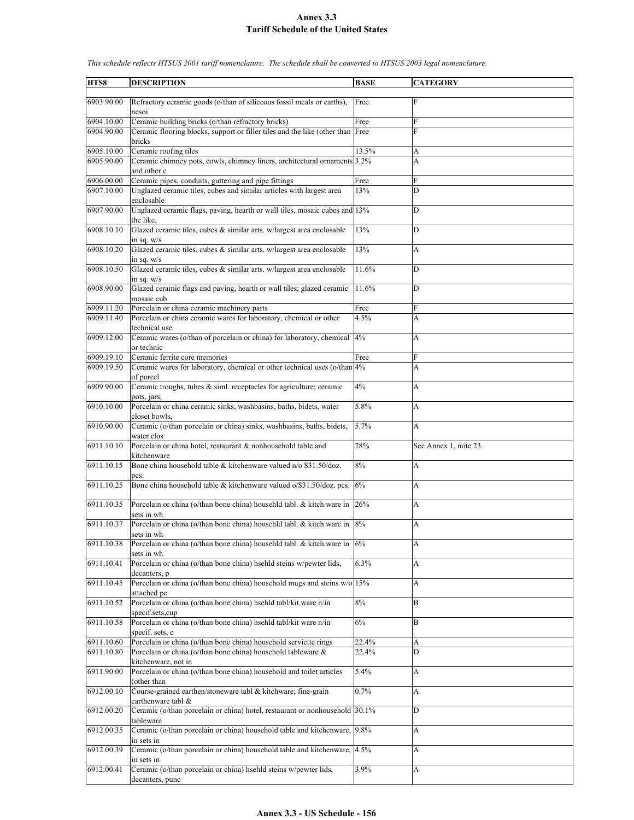| HTS8       | <b>DESCRIPTION</b>                                                                                | <b>BASE</b> | <b>CATEGORY</b>       |
|------------|---------------------------------------------------------------------------------------------------|-------------|-----------------------|
|            |                                                                                                   |             |                       |
| 6903.90.00 | Refractory ceramic goods (o/than of siliceous fossil meals or earths),<br>nesoi                   | Free        | F                     |
| 6904.10.00 | Ceramic building bricks (o/than refractory bricks)                                                | Free        | F                     |
| 6904.90.00 | Ceramic flooring blocks, support or filler tiles and the like (other than Free<br>bricks          |             | F                     |
| 6905.10.00 | Ceramic roofing tiles                                                                             | 13.5%       | A                     |
| 6905.90.00 | Ceramic chimney pots, cowls, chimney liners, architectural ornaments 3.2%                         |             | A                     |
|            | and other c                                                                                       |             |                       |
| 6906.00.00 | Ceramic pipes, conduits, guttering and pipe fittings                                              | Free        | F                     |
| 6907.10.00 | Unglazed ceramic tiles, cubes and similar articles with largest area<br>enclosable                | 13%         | D                     |
| 6907.90.00 | Unglazed ceramic flags, paving, hearth or wall tiles, mosaic cubes and 13%<br>the like.           |             | D                     |
| 6908.10.10 | Glazed ceramic tiles, cubes & similar arts. w/largest area enclosable<br>in sq. $w/s$             | 13%         | D                     |
| 6908.10.20 | Glazed ceramic tiles, cubes & similar arts. w/largest area enclosable<br>in sq. $w/s$             | 13%         | A                     |
| 6908.10.50 | Glazed ceramic tiles, cubes & similar arts. w/largest area enclosable<br>in sq. $w/s$             | 11.6%       | D                     |
| 6908.90.00 | Glazed ceramic flags and paving, hearth or wall tiles; glazed ceramic<br>mosaic cub               | 11.6%       | D                     |
| 6909.11.20 | Porcelain or china ceramic machinery parts                                                        | Free        | F                     |
| 6909.11.40 | Porcelain or china ceramic wares for laboratory, chemical or other                                | 4.5%        | A                     |
|            | technical use                                                                                     |             |                       |
| 6909.12.00 | Ceramic wares (o/than of porcelain or china) for laboratory, chemical 4%<br>or technic            |             | A                     |
| 6909.19.10 | Ceramic ferrite core memories                                                                     | Free        | F                     |
| 6909.19.50 | Ceramic wares for laboratory, chemical or other technical uses (o/than 4%                         |             | A                     |
| 6909.90.00 | of porcel<br>Ceramic troughs, tubes & siml. receptacles for agriculture; ceramic                  | 4%          | A                     |
|            | pots, jars,                                                                                       |             |                       |
| 6910.10.00 | Porcelain or china ceramic sinks, washbasins, baths, bidets, water<br>closet bowls.               | 5.8%        | A                     |
| 6910.90.00 | Ceramic (o/than porcelain or china) sinks, washbasins, baths, bidets,<br>water clos               | 5.7%        | A                     |
| 6911.10.10 | Porcelain or china hotel, restaurant & nonhousehold table and<br>kitchenware                      | 28%         | See Annex 1, note 23. |
| 6911.10.15 | Bone china household table & kitchenware valued n/o \$31.50/doz.<br>pcs.                          | 8%          | A                     |
| 6911.10.25 | Bone china household table & kitchenware valued o/\$31.50/doz. pcs.                               | 6%          | A                     |
| 6911.10.35 | Porcelain or china (o/than bone china) househld tabl. & kitch.ware in<br>sets in wh               | 26%         | A                     |
| 6911.10.37 | Porcelain or china (o/than bone china) househld tabl. & kitch ware in 8%<br>sets in wh            |             | A                     |
| 6911.10.38 | Porcelain or china (o/than bone china) househld tabl. & kitch ware in $6\%$<br>sets in wh         |             | A                     |
| 6911.10.41 | Porcelain or china (o/than bone china) hsehld steins w/pewter lids,                               | 6.3%        | A                     |
| 6911.10.45 | decanters, p<br>Porcelain or china (o/than bone china) household mugs and steins $w/o$ 15%        |             | A                     |
| 6911.10.52 | attached pe<br>Porcelain or china (o/than bone china) hsehld tabl/kit.ware n/in                   | $8\%$       | B                     |
| 6911.10.58 | specif.sets.cup<br>Porcelain or china (o/than bone china) hsehld tabl/kit ware n/in               | $6\%$       | B                     |
| 6911.10.60 | specif. sets, c<br>Porcelain or china (o/than bone china) household serviette rings               | 22.4%       | A                     |
| 6911.10.80 | Porcelain or china (o/than bone china) household tableware &                                      | 22.4%       | D                     |
| 6911.90.00 | kitchenware, not in<br>Porcelain or china (o/than bone china) household and toilet articles       | 5.4%        | A                     |
| 6912.00.10 | (other than<br>Course-grained earthen/stoneware tabl & kitchware; fine-grain                      | 0.7%        | A                     |
| 6912.00.20 | earthenware tabl &<br>Ceramic (o/than porcelain or china) hotel, restaurant or nonhousehold 30.1% |             | D                     |
|            | tableware                                                                                         |             |                       |
| 6912.00.35 | Ceramic (o/than porcelain or china) household table and kitchenware, 9.8%<br>in sets in           |             | A                     |
| 6912.00.39 | Ceramic (o/than porcelain or china) household table and kitchenware, 4.5%<br>in sets in           |             | A                     |
| 6912.00.41 | Ceramic (o/than porcelain or china) hsehld steins w/pewter lids,                                  | 3.9%        | A                     |
|            | decanters, punc                                                                                   |             |                       |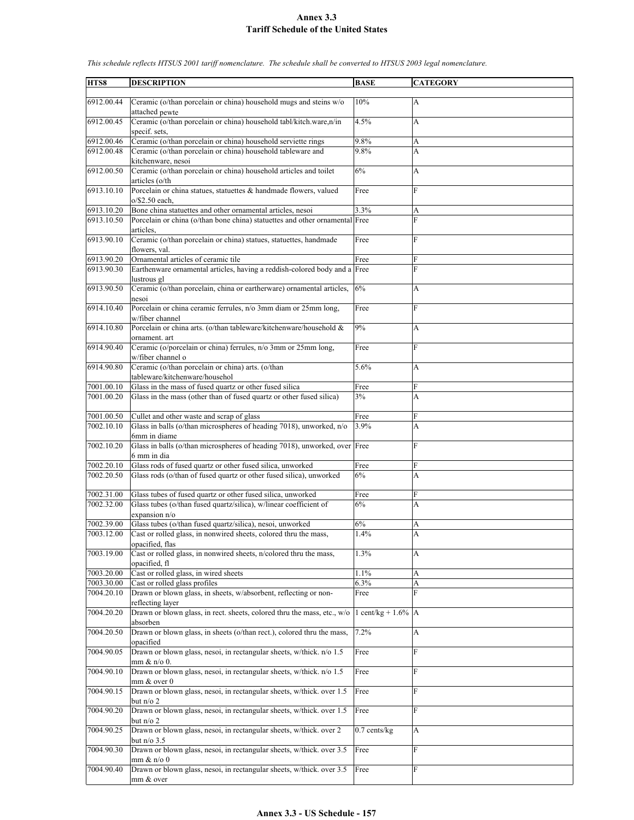| HTS8                     | <b>DESCRIPTION</b>                                                                          | <b>BASE</b>             | <b>CATEGORY</b> |
|--------------------------|---------------------------------------------------------------------------------------------|-------------------------|-----------------|
|                          |                                                                                             |                         |                 |
| 6912.00.44               | Ceramic (o/than porcelain or china) household mugs and steins w/o<br>attached pewte         | 10%                     | А               |
| 6912.00.45               | Ceramic (o/than porcelain or china) household tabl/kitch.ware,n/in                          | 4.5%                    | A               |
|                          | specif. sets,                                                                               |                         |                 |
| 6912.00.46               | Ceramic (o/than porcelain or china) household serviette rings                               | 9.8%                    | A               |
| 6912.00.48               | Ceramic (o/than porcelain or china) household tableware and<br>kitchenware, nesoi           | 9.8%                    | A               |
| 6912.00.50               | Ceramic (o/than porcelain or china) household articles and toilet<br>articles (o/th         | 6%                      | A               |
| 6913.10.10               | Porcelain or china statues, statuettes & handmade flowers, valued<br>$o$ /\$2.50 each,      | Free                    | F               |
|                          | Bone china statuettes and other ornamental articles, nesoi                                  | 3.3%                    |                 |
| 6913.10.20<br>6913.10.50 | Porcelain or china (o/than bone china) statuettes and other ornamental Free                 |                         | A<br>F          |
|                          | articles.                                                                                   |                         |                 |
| 6913.90.10               | Ceramic (o/than porcelain or china) statues, statuettes, handmade<br>flowers, val.          | Free                    | F               |
| 6913.90.20               | Ornamental articles of ceramic tile                                                         | Free                    | F               |
| 6913.90.30               | Earthenware ornamental articles, having a reddish-colored body and a Free                   |                         | F               |
|                          | lustrous gl                                                                                 |                         |                 |
| 6913.90.50               | Ceramic (o/than porcelain, china or eartherware) ornamental articles,<br>nesoi              | 6%                      | A               |
| 6914.10.40               | Porcelain or china ceramic ferrules, n/o 3mm diam or 25mm long,<br>w/fiber channel          | Free                    | F               |
| 6914.10.80               | Porcelain or china arts. (o/than tableware/kitchenware/household &                          |                         |                 |
|                          | ornament. art                                                                               | 9%                      | A               |
| 6914.90.40               | Ceramic (o/porcelain or china) ferrules, n/o 3mm or 25mm long,<br>w/fiber channel o         | Free                    | F               |
| 6914.90.80               | Ceramic (o/than porcelain or china) arts. (o/than                                           | 5.6%                    | A               |
|                          | tableware/kitchenware/househol                                                              |                         |                 |
| 7001.00.10               | Glass in the mass of fused quartz or other fused silica                                     | Free                    | F               |
|                          |                                                                                             |                         |                 |
| 7001.00.20               | Glass in the mass (other than of fused quartz or other fused silica)                        | 3%                      | A               |
| 7001.00.50               | Cullet and other waste and scrap of glass                                                   | Free                    | F               |
| 7002.10.10               | Glass in balls (o/than microspheres of heading 7018), unworked, n/o                         | 3.9%                    | A               |
|                          | 6mm in diame                                                                                |                         |                 |
| 7002.10.20               | Glass in balls (o/than microspheres of heading 7018), unworked, over Free<br>6 mm in dia    |                         | F               |
|                          |                                                                                             |                         |                 |
| 7002.20.10               | Glass rods of fused quartz or other fused silica, unworked                                  | Free                    | F               |
| 7002.20.50               | Glass rods (o/than of fused quartz or other fused silica), unworked                         | 6%                      | A               |
| 7002.31.00               | Glass tubes of fused quartz or other fused silica, unworked                                 | Free                    | F               |
| 7002.32.00               | Glass tubes (o/than fused quartz/silica), w/linear coefficient of                           | 6%                      | A               |
|                          | expansion n/o                                                                               |                         |                 |
| 7002.39.00               | Glass tubes (o/than fused quartz/silica), nesoi, unworked                                   | 6%                      | A               |
| 7003.12.00               | Cast or rolled glass, in nonwired sheets, colored thru the mass,<br>opacified, flas         | 1.4%                    | A               |
| 7003.19.00               | Cast or rolled glass, in nonwired sheets, n/colored thru the mass,<br>opacified, fl         | 1.3%                    | A               |
| 7003.20.00               | Cast or rolled glass, in wired sheets                                                       | 1.1%                    | A               |
| 7003.30.00               | Cast or rolled glass profiles                                                               | 6.3%                    | A               |
| 7004.20.10               | Drawn or blown glass, in sheets, w/absorbent, reflecting or non-                            | Free                    | F               |
| 7004.20.20               | reflecting layer<br>Drawn or blown glass, in rect. sheets, colored thru the mass, etc., w/o | 1 cent/kg + $1.6\%$   A |                 |
| 7004.20.50               | absorben<br>Drawn or blown glass, in sheets (o/than rect.), colored thru the mass,          | 7.2%                    | A               |
| 7004.90.05               | opacified<br>Drawn or blown glass, nesoi, in rectangular sheets, w/thick. n/o 1.5           | Free                    | ${\bf F}$       |
| 7004.90.10               | $mm \& n/o 0.$<br>Drawn or blown glass, nesoi, in rectangular sheets, w/thick. n/o 1.5      | Free                    | F               |
|                          | mm & over 0                                                                                 |                         |                 |
| 7004.90.15               | Drawn or blown glass, nesoi, in rectangular sheets, w/thick. over 1.5<br>but $n/o$ 2        | Free                    | F               |
| 7004.90.20               | Drawn or blown glass, nesoi, in rectangular sheets, w/thick. over 1.5<br>but $n/o$ 2        | Free                    | F               |
| 7004.90.25               | Drawn or blown glass, nesoi, in rectangular sheets, w/thick. over 2                         | $0.7$ cents/ $kg$       | A               |
| 7004.90.30               | but $n/o$ 3.5<br>Drawn or blown glass, nesoi, in rectangular sheets, w/thick. over 3.5      | Free                    | F               |
|                          | $mm \& n/o 0$                                                                               |                         |                 |
| 7004.90.40               | Drawn or blown glass, nesoi, in rectangular sheets, w/thick. over 3.5<br>mm & over          | Free                    | F               |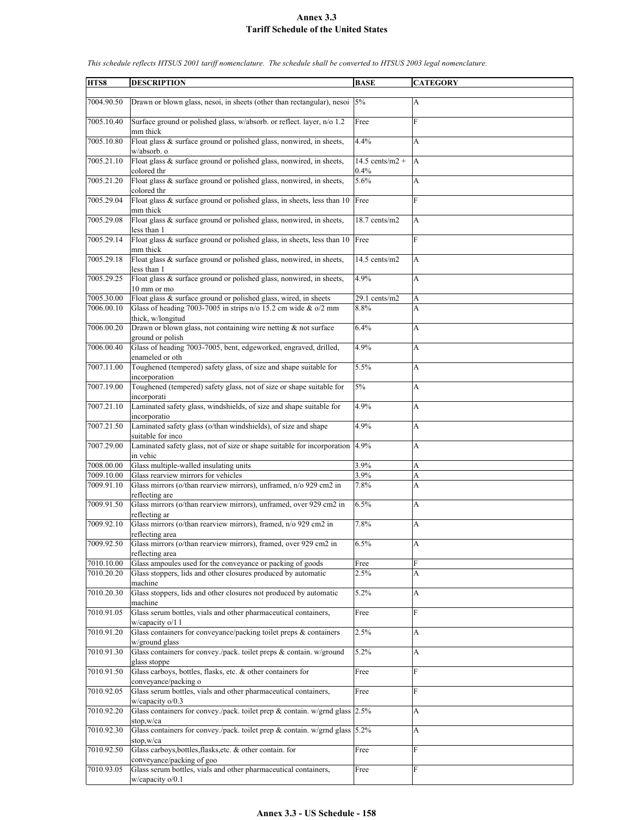| HTS8                     | <b>DESCRIPTION</b>                                                                                                                     | <b>BASE</b>               | <b>CATEGORY</b> |
|--------------------------|----------------------------------------------------------------------------------------------------------------------------------------|---------------------------|-----------------|
| 7004.90.50               | Drawn or blown glass, nesoi, in sheets (other than rectangular), nesoi $\left 5\% \right $                                             |                           | А               |
| 7005.10.40               | Surface ground or polished glass, w/absorb. or reflect. layer, n/o 1.2                                                                 | Free                      | F               |
| 7005.10.80               | mm thick<br>Float glass & surface ground or polished glass, nonwired, in sheets,<br>w/absorb. o                                        | 4.4%                      | A               |
| 7005.21.10               | Float glass & surface ground or polished glass, nonwired, in sheets,<br>colored thr                                                    | $14.5$ cents/m2 +<br>0.4% | A               |
| 7005.21.20               | Float glass & surface ground or polished glass, nonwired, in sheets,<br>colored thr                                                    | 5.6%                      | A               |
| 7005.29.04               | Float glass $\&$ surface ground or polished glass, in sheets, less than 10<br>mm thick                                                 | Free                      | F               |
| 7005.29.08               | Float glass & surface ground or polished glass, nonwired, in sheets,<br>less than 1                                                    | 18.7 cents/m2             | A               |
| 7005.29.14               | Float glass & surface ground or polished glass, in sheets, less than 10<br>mm thick                                                    | Free                      | F               |
| 7005.29.18               | Float glass & surface ground or polished glass, nonwired, in sheets,<br>less than 1                                                    | 14.5 cents/m2             | А               |
| 7005.29.25               | Float glass & surface ground or polished glass, nonwired, in sheets,<br>10 mm or mo                                                    | 4.9%                      | А               |
| 7005.30.00<br>7006.00.10 | Float glass & surface ground or polished glass, wired, in sheets<br>Glass of heading 7003-7005 in strips $n/0$ 15.2 cm wide & $o/2$ mm | 29.1 cents/m2<br>8.8%     | A<br>A          |
| 7006.00.20               | thick, w/longitud<br>Drawn or blown glass, not containing wire netting & not surface                                                   | 6.4%                      | A               |
| 7006.00.40               | ground or polish<br>Glass of heading 7003-7005, bent, edgeworked, engraved, drilled,                                                   | 4.9%                      | A               |
| 7007.11.00               | enameled or oth<br>Toughened (tempered) safety glass, of size and shape suitable for<br>incorporation                                  | 5.5%                      | A               |
| 7007.19.00               | Toughened (tempered) safety glass, not of size or shape suitable for<br>incorporati                                                    | 5%                        | A               |
| 7007.21.10               | Laminated safety glass, windshields, of size and shape suitable for<br>incorporatio                                                    | 4.9%                      | A               |
| 7007.21.50               | Laminated safety glass (o/than windshields), of size and shape<br>suitable for inco                                                    | 4.9%                      | А               |
| 7007.29.00               | Laminated safety glass, not of size or shape suitable for incorporation<br>in vehic                                                    | 4.9%                      | А               |
| 7008.00.00               | Glass multiple-walled insulating units                                                                                                 | 3.9%                      | A               |
| 7009.10.00               | Glass rearview mirrors for vehicles                                                                                                    | 3.9%                      | A               |
| 7009.91.10               | Glass mirrors (o/than rearview mirrors), unframed, n/o 929 cm2 in                                                                      | 7.8%                      | A               |
|                          |                                                                                                                                        |                           |                 |
| 7009.91.50               | reflecting are<br>Glass mirrors (o/than rearview mirrors), unframed, over 929 cm2 in<br>reflecting ar                                  | 6.5%                      | А               |
| 7009.92.10               | Glass mirrors (o/than rearview mirrors), framed, n/o 929 cm2 in<br>reflecting area                                                     | 7.8%                      | А               |
| 7009.92.50               | Glass mirrors (o/than rearview mirrors), framed, over 929 cm2 in<br>reflecting area                                                    | 6.5%                      | A               |
| 7010.10.00               | Glass ampoules used for the conveyance or packing of goods                                                                             | Free                      | F               |
| 7010.20.20               | Glass stoppers, lids and other closures produced by automatic                                                                          | 2.5%                      | A               |
| 7010.20.30               | machine<br>Glass stoppers, lids and other closures not produced by automatic                                                           | 5.2%                      | A               |
| 7010.91.05               | machine<br>Glass serum bottles, vials and other pharmaceutical containers,                                                             | Free                      | F               |
| 7010.91.20               | w/capacity o/1 1<br>Glass containers for conveyance/packing toilet preps & containers                                                  | 2.5%                      | A               |
| 7010.91.30               | w/ground glass<br>Glass containers for convey./pack. toilet preps & contain. w/ground                                                  | 5.2%                      | A               |
| 7010.91.50               | glass stoppe<br>Glass carboys, bottles, flasks, etc. & other containers for                                                            | Free                      | F               |
| 7010.92.05               | conveyance/packing o<br>Glass serum bottles, vials and other pharmaceutical containers,                                                | Free                      | F               |
| 7010.92.20               | $w$ /capacity $o/0.3$<br>Glass containers for convey./pack. toilet prep $\&$ contain. w/grnd glass 2.5%                                |                           | A               |
| 7010.92.30               | stop,w/ca<br>Glass containers for convey./pack. toilet prep & contain. w/grnd glass $5.2\%$                                            |                           | A               |
| 7010.92.50               | stop,w/ca<br>Glass carboys, bottles, flasks, etc. & other contain. for                                                                 | Free                      | F               |
|                          | conveyance/packing of goo                                                                                                              |                           |                 |
| 7010.93.05               | Glass serum bottles, vials and other pharmaceutical containers,<br>$w$ /capacity $o/0.1$                                               | Free                      | F               |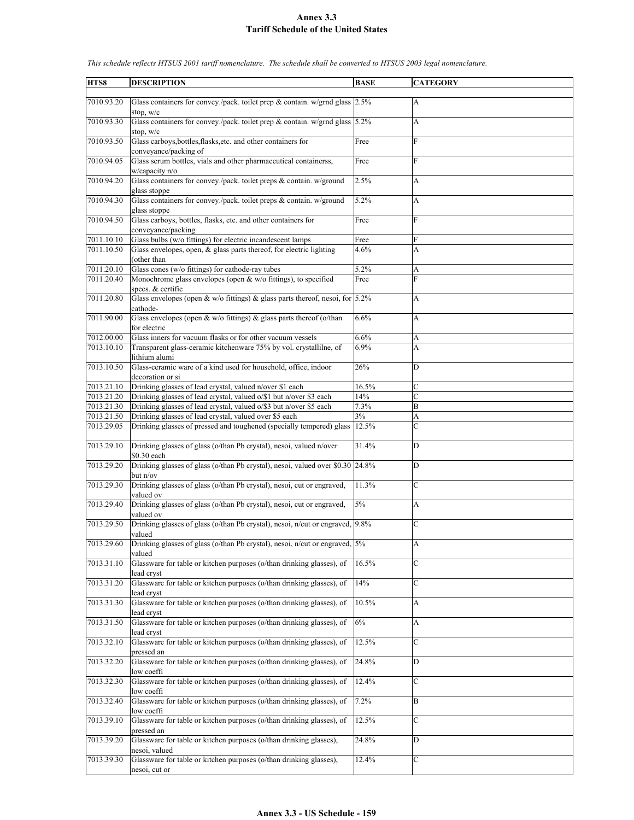| HTS8       | <b>DESCRIPTION</b>                                                                   | <b>BASE</b> | <b>CATEGORY</b> |
|------------|--------------------------------------------------------------------------------------|-------------|-----------------|
|            |                                                                                      |             |                 |
| 7010.93.20 | Glass containers for convey./pack. toilet prep & contain. w/grnd glass $2.5\%$       |             | А               |
|            |                                                                                      |             |                 |
|            | stop, $w/c$                                                                          |             |                 |
| 7010.93.30 | Glass containers for convey./pack. toilet prep & contain. w/grnd glass 5.2%          |             | A               |
|            | stop, $w/c$                                                                          |             |                 |
| 7010.93.50 | Glass carboys, bottles, flasks, etc. and other containers for                        | Free        | F               |
|            |                                                                                      |             |                 |
|            | conveyance/packing of                                                                |             |                 |
| 7010.94.05 | Glass serum bottles, vials and other pharmaceutical containerss,                     | Free        | F               |
|            | w/capacity n/o                                                                       |             |                 |
| 7010.94.20 | Glass containers for convey./pack. toilet preps & contain. w/ground                  | 2.5%        | A               |
|            |                                                                                      |             |                 |
|            | glass stoppe                                                                         |             |                 |
| 7010.94.30 | Glass containers for convey./pack. toilet preps & contain. w/ground                  | 5.2%        | A               |
|            | glass stoppe                                                                         |             |                 |
| 7010.94.50 | Glass carboys, bottles, flasks, etc. and other containers for                        | Free        | F               |
|            | conveyance/packing                                                                   |             |                 |
|            |                                                                                      |             |                 |
| 7011.10.10 | Glass bulbs (w/o fittings) for electric incandescent lamps                           | Free        | F               |
| 7011.10.50 | Glass envelopes, open, & glass parts thereof, for electric lighting                  | 4.6%        | A               |
|            | (other than                                                                          |             |                 |
| 7011.20.10 | Glass cones (w/o fittings) for cathode-ray tubes                                     | 5.2%        | A               |
| 7011.20.40 | Monochrome glass envelopes (open & w/o fittings), to specified                       | Free        | F               |
|            |                                                                                      |             |                 |
|            | specs. & certifie                                                                    |             |                 |
| 7011.20.80 | Glass envelopes (open & w/o fittings) & glass parts thereof, nesoi, for $\vert$ 5.2% |             | A               |
|            | cathode-                                                                             |             |                 |
| 7011.90.00 | Glass envelopes (open & w/o fittings) & glass parts thereof (o/than                  | 6.6%        | A               |
|            |                                                                                      |             |                 |
|            | for electric                                                                         |             |                 |
| 7012.00.00 | Glass inners for vacuum flasks or for other vacuum vessels                           | 6.6%        | A               |
| 7013.10.10 | Transparent glass-ceramic kitchenware 75% by vol. crystallilne, of                   | 6.9%        | A               |
|            | lithium alumi                                                                        |             |                 |
|            |                                                                                      |             |                 |
| 7013.10.50 | Glass-ceramic ware of a kind used for household, office, indoor                      | 26%         | $\mathbf D$     |
|            | decoration or si                                                                     |             |                 |
| 7013.21.10 | Drinking glasses of lead crystal, valued n/over \$1 each                             | 16.5%       | C               |
| 7013.21.20 | Drinking glasses of lead crystal, valued o/\$1 but n/over \$3 each                   | 14%         | $\mathcal{C}$   |
| 7013.21.30 |                                                                                      | 7.3%        |                 |
|            | Drinking glasses of lead crystal, valued o/\$3 but n/over \$5 each                   |             | B               |
| 7013.21.50 | Drinking glasses of lead crystal, valued over \$5 each                               | 3%          | A               |
| 7013.29.05 | Drinking glasses of pressed and toughened (specially tempered) glass                 | 12.5%       | $\overline{C}$  |
|            |                                                                                      |             |                 |
| 7013.29.10 | Drinking glasses of glass (o/than Pb crystal), nesoi, valued n/over                  | 31.4%       | D               |
|            |                                                                                      |             |                 |
|            | \$0.30 each                                                                          |             |                 |
| 7013.29.20 | Drinking glasses of glass (o/than Pb crystal), nesoi, valued over \$0.30 24.8%       |             | D               |
|            | but n/ov                                                                             |             |                 |
| 7013.29.30 | Drinking glasses of glass (o/than Pb crystal), nesoi, cut or engraved,               | 11.3%       | C               |
|            | valued ov                                                                            |             |                 |
|            |                                                                                      |             |                 |
| 7013.29.40 | Drinking glasses of glass (o/than Pb crystal), nesoi, cut or engraved,               | $5\%$       | A               |
|            | valued ov                                                                            |             |                 |
| 7013.29.50 | Drinking glasses of glass (o/than Pb crystal), nesoi, n/cut or engraved, 9.8%        |             | C               |
|            | valued                                                                               |             |                 |
| 7013.29.60 | Drinking glasses of glass (o/than Pb crystal), nesoi, n/cut or engraved, 5%          |             | A               |
|            |                                                                                      |             |                 |
|            | valued                                                                               |             |                 |
| 7013.31.10 | Glassware for table or kitchen purposes (o/than drinking glasses), of                | 16.5%       | $\mathbf C$     |
|            | lead cryst                                                                           |             |                 |
| 7013.31.20 | Glassware for table or kitchen purposes (o/than drinking glasses), of                | 14%         | C               |
|            |                                                                                      |             |                 |
|            | lead cryst                                                                           |             |                 |
| 7013.31.30 | Glassware for table or kitchen purposes (o/than drinking glasses), of                | 10.5%       | A               |
|            | lead cryst                                                                           |             |                 |
| 7013.31.50 | Glassware for table or kitchen purposes (o/than drinking glasses), of                | 6%          | A               |
|            | lead cryst                                                                           |             |                 |
| 7013.32.10 | Glassware for table or kitchen purposes (o/than drinking glasses), of                |             |                 |
|            |                                                                                      | 12.5%       | C               |
|            | pressed an                                                                           |             |                 |
| 7013.32.20 | Glassware for table or kitchen purposes (o/than drinking glasses), of                | 24.8%       | D               |
|            | low coeffi                                                                           |             |                 |
| 7013.32.30 | Glassware for table or kitchen purposes (o/than drinking glasses), of                | 12.4%       |                 |
|            |                                                                                      |             | С               |
|            | low coeffi                                                                           |             |                 |
| 7013.32.40 | Glassware for table or kitchen purposes (o/than drinking glasses), of                | 7.2%        | B               |
|            | low coeffi                                                                           |             |                 |
| 7013.39.10 | Glassware for table or kitchen purposes (o/than drinking glasses), of                | 12.5%       | C               |
|            |                                                                                      |             |                 |
|            | pressed an                                                                           |             |                 |
| 7013.39.20 | Glassware for table or kitchen purposes (o/than drinking glasses),                   | 24.8%       | D               |
|            | nesoi, valued                                                                        |             |                 |
| 7013.39.30 | Glassware for table or kitchen purposes (o/than drinking glasses),                   | 12.4%       | C               |
|            | nesoi, cut or                                                                        |             |                 |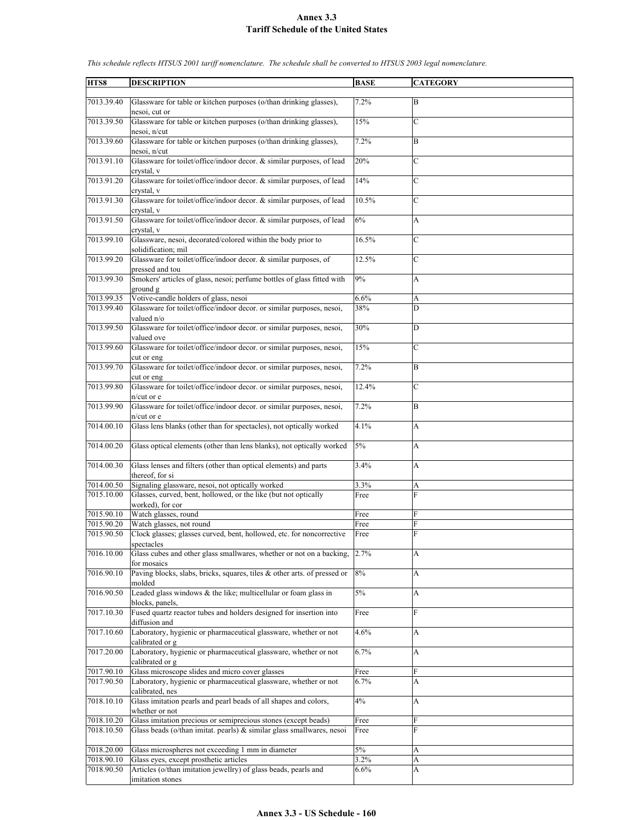| HTS8                     | <b>DESCRIPTION</b>                                                                                | <b>BASE</b>  | <b>CATEGORY</b>   |
|--------------------------|---------------------------------------------------------------------------------------------------|--------------|-------------------|
|                          |                                                                                                   |              |                   |
| 7013.39.40               | Glassware for table or kitchen purposes (o/than drinking glasses).<br>nesoi, cut or               | 7.2%         | B                 |
| 7013.39.50               | Glassware for table or kitchen purposes (o/than drinking glasses),<br>nesoi, n/cut                | 15%          | $\mathcal{C}$     |
| 7013.39.60               | Glassware for table or kitchen purposes (o/than drinking glasses),<br>nesoi, n/cut                | 7.2%         | B                 |
| 7013.91.10               | Glassware for toilet/office/indoor decor. & similar purposes, of lead<br>crystal, v               | 20%          | $\mathbf C$       |
| 7013.91.20               | Glassware for toilet/office/indoor decor. & similar purposes, of lead                             | 14%          | $\mathcal{C}$     |
| 7013.91.30               | crystal, v<br>Glassware for toilet/office/indoor decor. & similar purposes, of lead<br>crystal, v | 10.5%        | $\mathcal{C}$     |
| 7013.91.50               | Glassware for toilet/office/indoor decor. & similar purposes, of lead<br>crystal, v               | 6%           | A                 |
| 7013.99.10               | Glassware, nesoi, decorated/colored within the body prior to<br>solidification; mil               | 16.5%        | $\mathcal{C}$     |
| 7013.99.20               | Glassware for toilet/office/indoor decor. & similar purposes, of                                  | 12.5%        | $\mathcal{C}$     |
|                          | pressed and tou                                                                                   |              |                   |
| 7013.99.30               | Smokers' articles of glass, nesoi; perfume bottles of glass fitted with<br>ground g               | 9%           | A                 |
| 7013.99.35               | Votive-candle holders of glass, nesoi                                                             | 6.6%         | A                 |
| 7013.99.40               | Glassware for toilet/office/indoor decor. or similar purposes, nesoi,                             | 38%          | D                 |
|                          | valued n/o                                                                                        |              |                   |
| 7013.99.50               | Glassware for toilet/office/indoor decor. or similar purposes, nesoi,<br>valued ove               | 30%          | D                 |
| 7013.99.60               | Glassware for toilet/office/indoor decor. or similar purposes, nesoi,<br>cut or eng               | 15%          | C                 |
| 7013.99.70               | Glassware for toilet/office/indoor decor. or similar purposes, nesoi,<br>cut or eng               | 7.2%         | B                 |
| 7013.99.80               | Glassware for toilet/office/indoor decor. or similar purposes, nesoi,<br>n/cut or e               | 12.4%        | $\mathcal{C}$     |
| 7013.99.90               | Glassware for toilet/office/indoor decor. or similar purposes, nesoi,<br>n/cut or e               | 7.2%         | B                 |
| 7014.00.10               | Glass lens blanks (other than for spectacles), not optically worked                               | 4.1%         | A                 |
| 7014.00.20               | Glass optical elements (other than lens blanks), not optically worked                             | 5%           | А                 |
| 7014.00.30               | Glass lenses and filters (other than optical elements) and parts<br>thereof, for si               | 3.4%         | A                 |
| 7014.00.50               | Signaling glassware, nesoi, not optically worked                                                  | 3.3%         | A                 |
| 7015.10.00               | Glasses, curved, bent, hollowed, or the like (but not optically<br>worked), for cor               | Free         | F                 |
| 7015.90.10               | Watch glasses, round                                                                              | Free         | F                 |
| 7015.90.20<br>7015.90.50 | Watch glasses, not round<br>Clock glasses; glasses curved, bent, hollowed, etc. for noncorrective | Free<br>Free | F<br>$\mathbf{F}$ |
| 7016.10.00               | spectacles<br>Glass cubes and other glass smallwares, whether or not on a backing,                | 2.7%         | A                 |
| 7016.90.10               | for mosaics<br>Paving blocks, slabs, bricks, squares, tiles $\&$ other arts. of pressed or        | 8%           | A                 |
|                          | molded                                                                                            |              |                   |
| 7016.90.50               | Leaded glass windows $\&$ the like; multicellular or foam glass in<br>blocks, panels,             | 5%           | A                 |
| 7017.10.30               | Fused quartz reactor tubes and holders designed for insertion into<br>diffusion and               | Free         | F                 |
| 7017.10.60               | Laboratory, hygienic or pharmaceutical glassware, whether or not<br>calibrated or g               | 4.6%         | A                 |
| 7017.20.00               | Laboratory, hygienic or pharmaceutical glassware, whether or not<br>calibrated or g               | 6.7%         | A                 |
| 7017.90.10               | Glass microscope slides and micro cover glasses                                                   | Free         | F                 |
| 7017.90.50               | Laboratory, hygienic or pharmaceutical glassware, whether or not<br>calibrated, nes               | 6.7%         | A                 |
| 7018.10.10               | Glass imitation pearls and pearl beads of all shapes and colors,<br>whether or not                | 4%           | A                 |
| 7018.10.20               | Glass imitation precious or semiprecious stones (except beads)                                    | Free         | F                 |
| 7018.10.50               | Glass beads (o/than imitat. pearls) $\&$ similar glass smallwares, nesoi                          | Free         | F                 |
| 7018.20.00               | Glass microspheres not exceeding 1 mm in diameter                                                 | $5\%$        | A                 |
| 7018.90.10               | Glass eyes, except prosthetic articles                                                            | 3.2%         | A                 |
| 7018.90.50               | Articles (o/than imitation jewellry) of glass beads, pearls and                                   | 6.6%         | A                 |
|                          | imitation stones                                                                                  |              |                   |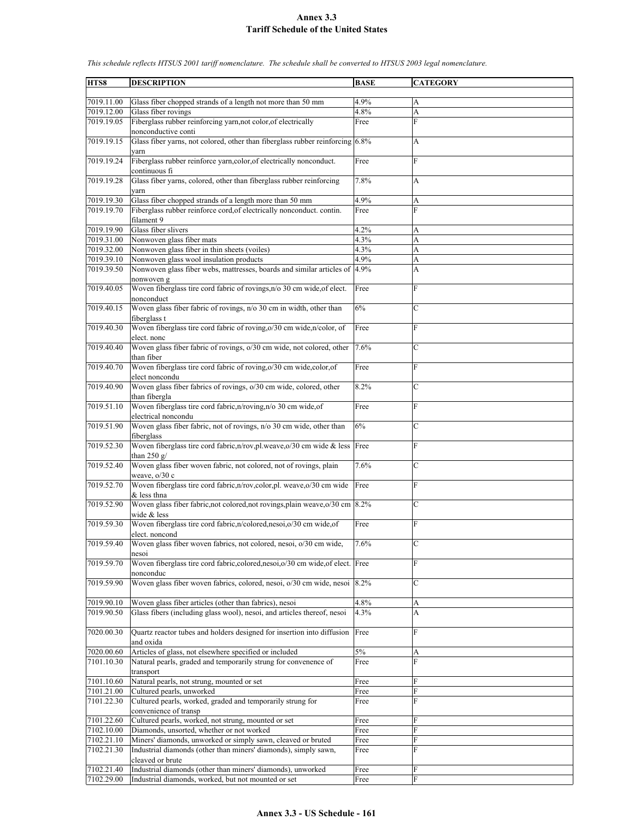**HTS8 DESCRIPTION BASE CATEGORY** 7019.11.00 Glass fiber chopped strands of a length not more than 50 mm 4.9%  $7019.12.00$  Glass fiber rovings  $4.8\%$  A 7019.19.05 Fiberglass rubber reinforcing yarn,not color,of electrically nonconductive conti Free F 7019.19.15 Glass fiber yarns, not colored, other than fiberglass rubber reinforcing yarn 6.8% A 7019.19.24 Fiberglass rubber reinforce yarn,color,of electrically nonconduct. continuous fi Free F 7019.19.28 Glass fiber yarns, colored, other than fiberglass rubber reinforcing yarn 7.8% A 7019.19.30 Glass fiber chopped strands of a length more than 50 mm 4.9% A 7019.19.70 Fiberglass rubber reinforce cord,of electrically nonconduct. contin. filament 9 Free F 7019.19.90 Glass fiber slivers 4.2% A  $7019.31.00$  Nonwoven glass fiber mats  $4.3\%$ 7019.32.00 Nonwoven glass fiber in thin sheets (voiles) 4.3% A 7019.39.10 Nonwoven glass wool insulation products 4.9% A 7019.39.50 Nonwoven glass fiber webs, mattresses, boards and similar articles of nonwoven g 4.9% A 7019.40.05 Woven fiberglass tire cord fabric of rovings,n/o 30 cm wide,of elect. nonconduct Free 7019.40.15 Woven glass fiber fabric of rovings, n/o 30 cm in width, other than fiberglass t  $6\%$  C 7019.40.30 Woven fiberglass tire cord fabric of roving,o/30 cm wide,n/color, of elect. nonc Free 7019.40.40 Woven glass fiber fabric of rovings, o/30 cm wide, not colored, other than fiber 7.6% C 7019.40.70 Woven fiberglass tire cord fabric of roving,o/30 cm wide,color,of elect noncondu Free F 7019.40.90 Woven glass fiber fabrics of rovings, o/30 cm wide, colored, other than fibergla 8.2% C 7019.51.10 Woven fiberglass tire cord fabric,n/roving,n/o 30 cm wide,of electrical noncondu Free F 7019.51.90 Woven glass fiber fabric, not of rovings, n/o 30 cm wide, other than fiberglass  $6%$ 7019.52.30 Woven fiberglass tire cord fabric,n/rov,pl.weave,o/30 cm wide & less than  $250 g/$ Free 7019.52.40 Woven glass fiber woven fabric, not colored, not of rovings, plain weave, o/30 c 7.6% C 7019.52.70 Woven fiberglass tire cord fabric,n/rov,color,pl. weave,o/30 cm wide & less thna Free F 7019.52.90 Woven glass fiber fabric,not colored,not rovings,plain weave,o/30 cm 8.2% C wide & less 7019.59.30 Woven fiberglass tire cord fabric,n/colored,nesoi,o/30 cm wide,of elect. noncond Free F 7019.59.40 Woven glass fiber woven fabrics, not colored, nesoi, o/30 cm wide, nesoi 7.6% C 7019.59.70 Woven fiberglass tire cord fabric,colored,nesoi,o/30 cm wide,of elect. nonconduc Free 7019.59.90 Woven glass fiber woven fabrics, colored, nesoi, o/30 cm wide, nesoi 8.2% C 7019.90.10 Woven glass fiber articles (other than fabrics), nesoi 4.8% 7019.90.50 Glass fibers (including glass wool), nesoi, and articles thereof, nesoi 4.3% A 7020.00.30 Quartz reactor tubes and holders designed for insertion into diffusion and oxida Free 7020.00.60 Articles of glass, not elsewhere specified or included 5% A 7101.10.30 Natural pearls, graded and temporarily strung for convenence of transport Free 7101.10.60 Natural pearls, not strung, mounted or set Free 7101.21.00 Cultured pearls, unworked<br>
7101.22.30 Cultured pearls, worked, graded and temporarily strung for Free F Cultured pearls, worked, graded and temporarily strung for convenience of transp Free F 7101.22.60 Cultured pearls, worked, not strung, mounted or set Free 7102.10.00 Diamonds, unsorted, whether or not worked Free Free 7102.21.10 Miners' diamonds, unworked or simply sawn, cleaved or bruted Free F 7102.21.30 Industrial diamonds (other than miners' diamonds), simply sawn, cleaved or brute Free F 7102.21.40 Industrial diamonds (other than miners' diamonds), unworked Free F Industrial diamonds, worked, but not mounted or set Free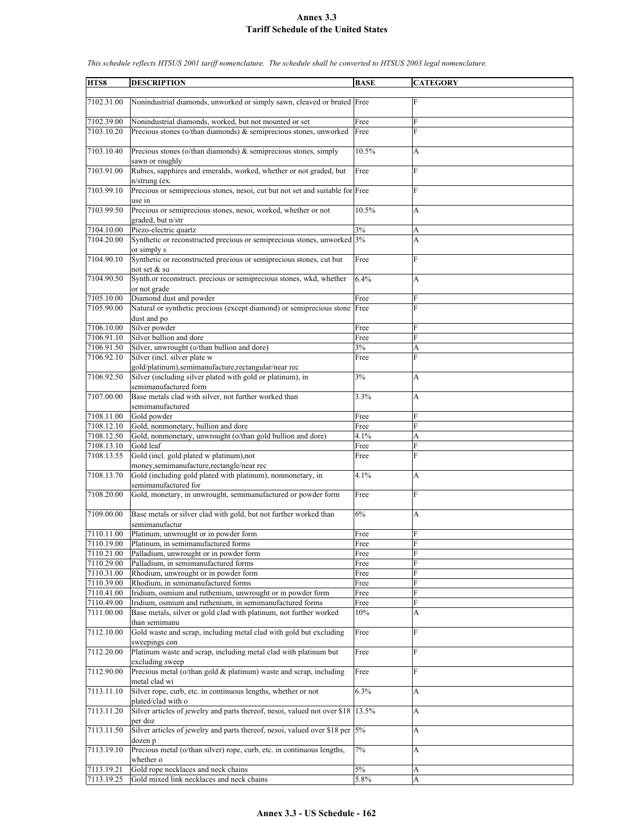| HTS8                     | <b>DESCRIPTION</b>                                                                                                             | <b>BASE</b> | <b>CATEGORY</b> |
|--------------------------|--------------------------------------------------------------------------------------------------------------------------------|-------------|-----------------|
|                          |                                                                                                                                |             |                 |
| 7102.31.00               | Nonindustrial diamonds, unworked or simply sawn, cleaved or bruted Free                                                        |             | F               |
| 7102.39.00               | Nonindustrial diamonds, worked, but not mounted or set                                                                         | Free        | F               |
| 7103.10.20               | Precious stones (o/than diamonds) & semiprecious stones, unworked                                                              | Free        | F               |
| 7103.10.40               | Precious stones (o/than diamonds) $\&$ semiprecious stones, simply<br>sawn or roughly                                          | 10.5%       | A               |
| 7103.91.00               | Rubies, sapphires and emeralds, worked, whether or not graded, but<br>$n/\text{string}$ (ex.                                   | Free        | $\mathbf{F}$    |
| 7103.99.10               | Precious or semiprecious stones, nesoi, cut but not set and suitable for Free<br>use in                                        |             | F               |
| 7103.99.50               | Precious or semiprecious stones, nesoi, worked, whether or not                                                                 | 10.5%       | A               |
|                          | graded, but n/str                                                                                                              |             |                 |
| 7104.10.00               | Piezo-electric quartz                                                                                                          | 3%          | A               |
| 7104.20.00               | Synthetic or reconstructed precious or semiprecious stones, unworked 3%<br>or simply s                                         |             | A               |
| 7104.90.10               | Synthetic or reconstructed precious or semiprecious stones, cut but<br>not set & su                                            | Free        | F               |
| 7104.90.50               | Synth.or reconstruct. precious or semiprecious stones, wkd, whether<br>or not grade                                            | 6.4%        | A               |
| 7105.10.00               | Diamond dust and powder                                                                                                        | Free        | F               |
| 7105.90.00               | Natural or synthetic precious (except diamond) or semiprecious stone<br>dust and po                                            | Free        | F               |
| 7106.10.00               | Silver powder                                                                                                                  | Free        | F               |
| 7106.91.10               | Silver bullion and dore                                                                                                        | Free        | F               |
| 7106.91.50               | Silver, unwrought (o/than bullion and dore)                                                                                    | 3%          | A               |
| 7106.92.10               | Silver (incl. silver plate w                                                                                                   | Free        | F               |
|                          | gold/platinum), semimanufacture, rectangular/near rec                                                                          |             |                 |
| 7106.92.50               | Silver (including silver plated with gold or platinum), in<br>semimanufactured form                                            | 3%          | A               |
| 7107.00.00               | Base metals clad with silver, not further worked than<br>semimanufactured                                                      | 3.3%        | A               |
| 7108.11.00               | Gold powder                                                                                                                    | Free        | F               |
| 7108.12.10               | Gold, nonmonetary, bullion and dore                                                                                            | Free        | F               |
| 7108.12.50               | Gold, nonmonetary, unwrought (o/than gold bullion and dore)                                                                    | 4.1%        | A               |
| 7108.13.10               | Gold leaf                                                                                                                      | Free        | F               |
| 7108.13.55               | Gold (incl. gold plated w platinum),not                                                                                        | Free        | F               |
| 7108.13.70               | money, semimanufacture, rectangle/near rec<br>Gold (including gold plated with platinum), nonmonetary, in                      | 4.1%        | A               |
| 7108.20.00               | semimanufactured for<br>Gold, monetary, in unwrought, semimanufactured or powder form                                          | Free        | $\mathbf{F}$    |
| 7109.00.00               | Base metals or silver clad with gold, but not further worked than<br>semimanufactur                                            | 6%          | A               |
| 7110.11.00               | Platinum, unwrought or in powder form                                                                                          | Free        | $\mathbf{F}$    |
| 7110.19.00               | Platinum, in semimanufactured forms                                                                                            | Free        | F               |
| 7110.21.00               | Palladium, unwrought or in powder form                                                                                         | Free        | F               |
| 7110.29.00               | Palladium, in semimanufactured forms                                                                                           | Free        | F               |
| 7110.31.00               | Rhodium, unwrought or in powder form                                                                                           | Free        | F               |
| 7110.39.00               | Rhodium, in semimanufactured forms                                                                                             | Free        | F               |
| 7110.41.00               | Iridium, osmium and ruthenium, unwrought or in powder form                                                                     | Free        | F<br>F          |
| 7110.49.00<br>7111.00.00 | Iridium, osmium and ruthenium, in semimanufactured forms<br>Base metals, silver or gold clad with platinum, not further worked | Free<br>10% | А               |
| 7112.10.00               | than semimanu<br>Gold waste and scrap, including metal clad with gold but excluding                                            | Free        | F               |
| 7112.20.00               | sweepings con<br>Platinum waste and scrap, including metal clad with platinum but                                              | Free        | F               |
|                          | excluding sweep                                                                                                                |             |                 |
| 7112.90.00               | Precious metal (o/than gold & platinum) waste and scrap, including<br>metal clad wi                                            | Free        | F               |
| 7113.11.10               | Silver rope, curb, etc. in continuous lengths, whether or not<br>plated/clad with o                                            | 6.3%        | A               |
| 7113.11.20               | Silver articles of jewelry and parts thereof, nesoi, valued not over \$18 13.5%<br>per doz                                     |             | A               |
| 7113.11.50               | Silver articles of jewelry and parts thereof, nesoi, valued over \$18 per 5%<br>dozen p                                        |             | А               |
| 7113.19.10               | Precious metal (o/than silver) rope, curb, etc. in continuous lengths,<br>whether o                                            | 7%          | А               |
| 7113.19.21               | Gold rope necklaces and neck chains                                                                                            | $5\%$       | A               |
| 7113.19.25               | Gold mixed link necklaces and neck chains                                                                                      | $5.8\%$     | A               |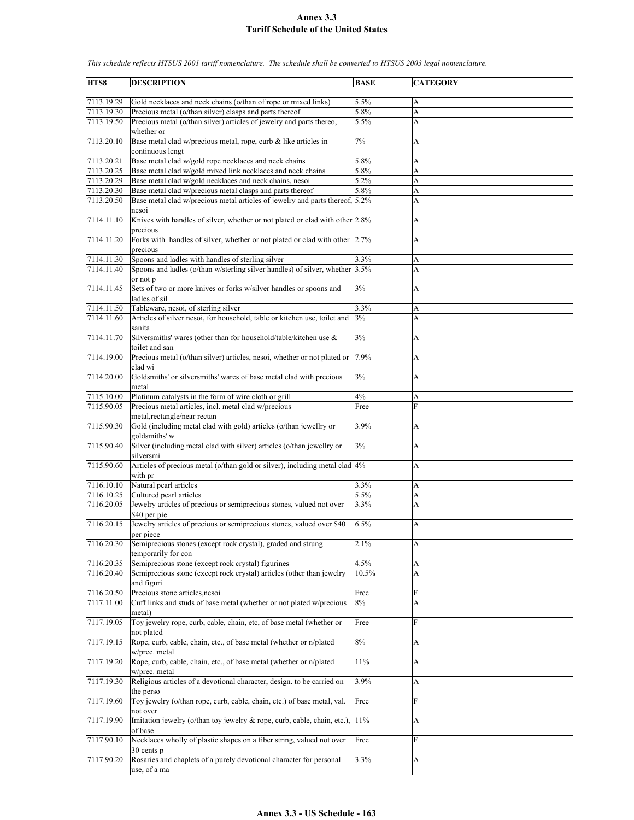**HTS8 DESCRIPTION BASE CATEGORY** 7113.19.29 Gold necklaces and neck chains (o/than of rope or mixed links) 5.5% A 7113.19.30 Precious metal (o/than silver) clasps and parts thereof 5.8% A 7113.19.50 Precious metal (o/than silver) articles of jewelry and parts thereo, whether or 5.5% A 7113.20.10 Base metal clad w/precious metal, rope, curb & like articles in continuous lengt 7% A 7113.20.21 Base metal clad w/gold rope necklaces and neck chains 5.8% A 7113.20.25 Base metal clad w/gold mixed link necklaces and neck chains 5.8% A 7113.20.29 Base metal clad w/gold necklaces and neck chains, nesoi 5.2% A 7113.20.30 Base metal clad w/precious metal clasps and parts thereof 5.8% A 7113.20.50 Base metal clad w/precious metal articles of jewelry and parts thereof, nesoi  $5.2\%$  A 7114.11.10 Knives with handles of silver, whether or not plated or clad with other  $|2.8\%|$  A precious 7114.11.20 Forks with handles of silver, whether or not plated or clad with other precious 2.7% A 7114.11.30 Spoons and ladles with handles of sterling silver 3.3% A 7114.11.40 Spoons and ladles (o/than w/sterling silver handles) of silver, whether or not p 3.5% A 7114.11.45 Sets of two or more knives or forks w/silver handles or spoons and ladles of sil 3% A 7114.11.50 Tableware, nesoi, of sterling silver 3.3% A<br>
7114.11.60 Articles of silver nesoi, for household, table or kitchen use, toilet and 3% Articles of silver nesoi, for household, table or kitchen use, toilet and sanita  $3\%$  A 7114.11.70 Silversmiths' wares (other than for household/table/kitchen use & toilet and san  $3\%$  A 7114.19.00 Precious metal (o/than silver) articles, nesoi, whether or not plated or clad wi 7.9% A 7114.20.00 Goldsmiths' or silversmiths' wares of base metal clad with precious metal  $3\%$  A 7115.10.00 Platinum catalysts in the form of wire cloth or grill  $4\%$  A 7115.90.05 Precious metal articles, incl. metal clad w/precious metal,rectangle/near rectan Free F 7115.90.30 Gold (including metal clad with gold) articles (o/than jewellry or goldsmiths' w 3.9% A 7115.90.40 Silver (including metal clad with silver) articles (o/than jewellry or silversmi  $3\%$  A 7115.90.60 Articles of precious metal (o/than gold or silver), including metal clad with pr 4% A 7116.10.10 Natural pearl articles 3.3% A 7116.10.25 Cultured pearl articles 5.5% A 7116.20.05 Jewelry articles of precious or semiprecious stones, valued not over \$40 per pie 3.3% A 7116.20.15 Jewelry articles of precious or semiprecious stones, valued over \$40 per piece 6.5% A 7116.20.30 Semiprecious stones (except rock crystal), graded and strung temporarily for con 2.1% A 7116.20.35 Semiprecious stone (except rock crystal) figurines 4.5% A 7116.20.40 Semiprecious stone (except rock crystal) articles (other than jewelry and figuri 10.5% A 7116.20.50 Precious stone articles,nesoi Free 7117.11.00 Cuff links and studs of base metal (whether or not plated w/precious metal) 8% A 7117.19.05 Toy jewelry rope, curb, cable, chain, etc, of base metal (whether or not plated Free F 7117.19.15 Rope, curb, cable, chain, etc., of base metal (whether or n/plated w/prec. metal 8% A 7117.19.20 Rope, curb, cable, chain, etc., of base metal (whether or n/plated w/prec. metal 11% A 7117.19.30 Religious articles of a devotional character, design. to be carried on the perso 3.9% A 7117.19.60 Toy jewelry (o/than rope, curb, cable, chain, etc.) of base metal, val. not over Free F 7117.19.90 Imitation jewelry (o/than toy jewelry & rope, curb, cable, chain, etc.), of base  $11\%$  A 7117.90.10 Necklaces wholly of plastic shapes on a fiber string, valued not over 30 cents p Free F 7117.90.20 Rosaries and chaplets of a purely devotional character for personal use, of a ma  $3.3\%$  A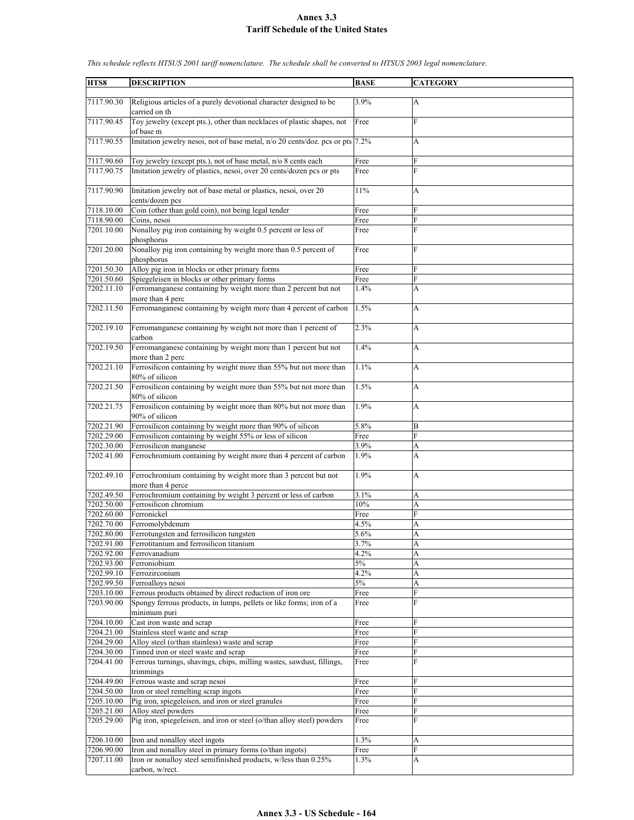| HTS8       | <b>DESCRIPTION</b>                                                                  | <b>BASE</b> | <b>CATEGORY</b> |
|------------|-------------------------------------------------------------------------------------|-------------|-----------------|
| 7117.90.30 | Religious articles of a purely devotional character designed to be<br>carried on th | 3.9%        | $\mathbf{A}$    |
| 7117.90.45 | Toy jewelry (except pts.), other than necklaces of plastic shapes, not<br>of base m | Free        | $\mathbf{F}$    |
| 7117.90.55 | Imitation jewelry nesoi, not of base metal, n/o 20 cents/doz. pcs or pts 7.2%       |             | A               |
| 7117.90.60 | Toy jewelry (except pts.), not of base metal, n/o 8 cents each                      | Free        | F               |
| 7117.90.75 | Imitation jewelry of plastics, nesoi, over 20 cents/dozen pcs or pts                | Free        | F               |
| 7117.90.90 | Imitation jewelry not of base metal or plastics, nesoi, over 20<br>cents/dozen pcs  | 11%         | A               |
| 7118.10.00 | Coin (other than gold coin), not being legal tender                                 | Free        | F               |
| 7118.90.00 | Coins, nesoi                                                                        | Free        | ${\bf F}$       |
| 7201.10.00 | Nonalloy pig iron containing by weight 0.5 percent or less of<br>phosphorus         | Free        | F               |
| 7201.20.00 | Nonalloy pig iron containing by weight more than 0.5 percent of<br>phosphorus       | Free        | F               |
| 7201.50.30 | Alloy pig iron in blocks or other primary forms                                     | Free        | F               |
| 7201.50.60 | Spiegeleisen in blocks or other primary forms                                       | Free        | F               |
| 7202.11.10 | Ferromanganese containing by weight more than 2 percent but not                     | 1.4%        | A               |
|            | more than 4 perc                                                                    |             |                 |
| 7202.11.50 | Ferromanganese containing by weight more than 4 percent of carbon                   | 1.5%        | А               |
| 7202.19.10 | Ferromanganese containing by weight not more than 1 percent of<br>carbon            | 2.3%        | A               |
| 7202.19.50 | Ferromanganese containing by weight more than 1 percent but not<br>more than 2 perc | 1.4%        | A               |
| 7202.21.10 | Ferrosilicon containing by weight more than 55% but not more than<br>80% of silicon | 1.1%        | A               |
| 7202.21.50 | Ferrosilicon containing by weight more than 55% but not more than<br>80% of silicon | 1.5%        | A               |
| 7202.21.75 | Ferrosilicon containing by weight more than 80% but not more than<br>90% of silicon | 1.9%        | A               |
| 7202.21.90 | Ferrosilicon containing by weight more than 90% of silicon                          | 5.8%        | B               |
| 7202.29.00 | Ferrosilicon containing by weight 55% or less of silicon                            | Free        | F               |
| 7202.30.00 | Ferrosilicon manganese                                                              | 3.9%        | A               |
| 7202.41.00 | Ferrochromium containing by weight more than 4 percent of carbon                    | 1.9%        | A               |
| 7202.49.10 | Ferrochromium containing by weight more than 3 percent but not<br>more than 4 perce | 1.9%        | A               |
| 7202.49.50 | Ferrochromium containing by weight 3 percent or less of carbon                      | 3.1%        | A               |
| 7202.50.00 | Ferrosilicon chromium                                                               | 10%         | A               |
| 7202.60.00 | Ferronickel                                                                         | Free        | F               |
| 7202.70.00 | Ferromolybdenum                                                                     | 4.5%        | A               |
| 7202.80.00 | Ferrotungsten and ferrosilicon tungsten                                             | 5.6%        | A               |
| 7202.91.00 | Ferrotitanium and ferrosilicon titanium                                             | 3.7%        | A               |
| 7202.92.00 | Ferrovanadium                                                                       | 4.2%        | A               |
| 7202.93.00 | Ferroniobium                                                                        | $5\%$       | A               |
| 7202.99.10 | Ferrozirconium                                                                      | 4.2%        | A               |
| 7202.99.50 | Ferroalloys nesoi                                                                   | $5\%$       | A               |
| 7203.10.00 | Ferrous products obtained by direct reduction of iron ore                           | Free        | ${\rm F}$       |
| 7203.90.00 | Spongy ferrous products, in lumps, pellets or like forms; iron of a<br>minimum puri | Free        | F               |
| 7204.10.00 | Cast iron waste and scrap                                                           | Free        | F               |
| 7204.21.00 | Stainless steel waste and scrap                                                     | Free        | F               |
| 7204.29.00 | Alloy steel (o/than stainless) waste and scrap                                      | Free        | F               |
| 7204.30.00 | Tinned iron or steel waste and scrap                                                | Free        | F               |
| 7204.41.00 | Ferrous turnings, shavings, chips, milling wastes, sawdust, fillings,<br>trimmings  | Free        | F               |
| 7204.49.00 | Ferrous waste and scrap nesoi                                                       | Free        | F               |
| 7204.50.00 | Iron or steel remelting scrap ingots                                                | Free        | F               |
| 7205.10.00 | Pig iron, spiegeleisen, and iron or steel granules                                  | Free        | F               |
| 7205.21.00 | Alloy steel powders                                                                 | Free        | ${\rm F}$       |
| 7205.29.00 | Pig iron, spiegeleisen, and iron or steel (o/than alloy steel) powders              | Free        | F               |
| 7206.10.00 | Iron and nonalloy steel ingots                                                      | 1.3%        | А               |
| 7206.90.00 | Iron and nonalloy steel in primary forms (o/than ingots)                            | Free        | F               |
| 7207.11.00 | Iron or nonalloy steel semifinished products, w/less than 0.25%                     | 1.3%        | A               |
|            | carbon, w/rect.                                                                     |             |                 |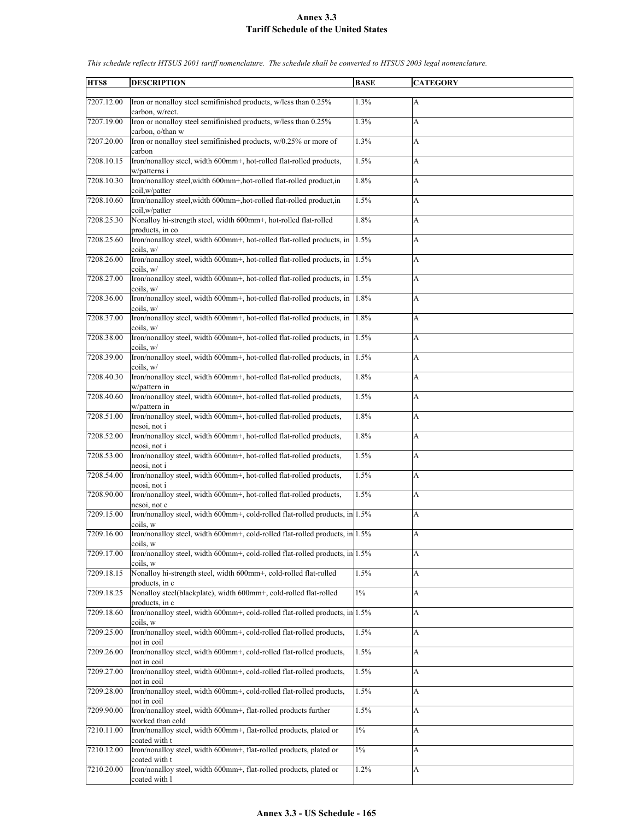| HTS8       | <b>DESCRIPTION</b>                                                                                       | <b>BASE</b> | <b>CATEGORY</b> |
|------------|----------------------------------------------------------------------------------------------------------|-------------|-----------------|
|            |                                                                                                          |             |                 |
| 7207.12.00 | Iron or nonalloy steel semifinished products, w/less than 0.25%<br>carbon, w/rect.                       | 1.3%        | A               |
| 7207.19.00 | Iron or nonalloy steel semifinished products, w/less than 0.25%                                          | 1.3%        | A               |
|            | carbon, o/than w                                                                                         |             |                 |
| 7207.20.00 | Iron or nonalloy steel semifinished products, w/0.25% or more of                                         | 1.3%        | A               |
| 7208.10.15 | carbon<br>Iron/nonalloy steel, width 600mm+, hot-rolled flat-rolled products,                            | 1.5%        | A               |
| 7208.10.30 | w/patterns i<br>Iron/nonalloy steel, width 600mm+, hot-rolled flat-rolled product, in                    | 1.8%        | A               |
| 7208.10.60 | coil, w/patter<br>Iron/nonalloy steel, width 600mm+, hot-rolled flat-rolled product, in<br>coil,w/patter | 1.5%        | A               |
| 7208.25.30 | Nonalloy hi-strength steel, width 600mm+, hot-rolled flat-rolled<br>products, in co                      | 1.8%        | A               |
| 7208.25.60 | Iron/nonalloy steel, width 600mm+, hot-rolled flat-rolled products, in<br>coils, w/                      | 1.5%        | A               |
| 7208.26.00 | Iron/nonalloy steel, width 600mm+, hot-rolled flat-rolled products, in<br>coils, w/                      | 1.5%        | A               |
| 7208.27.00 | Iron/nonalloy steel, width 600mm+, hot-rolled flat-rolled products, in<br>coils, w/                      | 1.5%        | A               |
| 7208.36.00 | Iron/nonalloy steel, width 600mm+, hot-rolled flat-rolled products, in<br>coils, w/                      | 1.8%        | A               |
| 7208.37.00 | Iron/nonalloy steel, width 600mm+, hot-rolled flat-rolled products, in                                   | 1.8%        | A               |
| 7208.38.00 | coils, w/<br>Iron/nonalloy steel, width 600mm+, hot-rolled flat-rolled products, in                      | 1.5%        | A               |
| 7208.39.00 | coils, w/<br>Iron/nonalloy steel, width 600mm+, hot-rolled flat-rolled products, in                      | 1.5%        | А               |
| 7208.40.30 | coils. w/<br>Iron/nonalloy steel, width 600mm+, hot-rolled flat-rolled products,                         | 1.8%        | A               |
| 7208.40.60 | w/pattern in<br>Iron/nonalloy steel, width 600mm+, hot-rolled flat-rolled products,                      | 1.5%        | A               |
| 7208.51.00 | w/pattern in<br>Iron/nonalloy steel, width 600mm+, hot-rolled flat-rolled products,                      | 1.8%        | A               |
|            | nesoi, not i                                                                                             |             |                 |
| 7208.52.00 | Iron/nonalloy steel, width 600mm+, hot-rolled flat-rolled products,<br>neosi, not i                      | 1.8%        | A               |
| 7208.53.00 | Iron/nonalloy steel, width 600mm+, hot-rolled flat-rolled products,<br>neosi, not i                      | 1.5%        | A               |
| 7208.54.00 | Iron/nonalloy steel, width 600mm+, hot-rolled flat-rolled products,<br>neosi, not i                      | 1.5%        | A               |
| 7208.90.00 | Iron/nonalloy steel, width 600mm+, hot-rolled flat-rolled products,<br>nesoi, not c                      | 1.5%        | A               |
| 7209.15.00 | Iron/nonalloy steel, width 600mm+, cold-rolled flat-rolled products, in 1.5%<br>coils, w                 |             | A               |
| 7209.16.00 | Iron/nonallov steel, width $600$ mm+, cold-rolled flat-rolled products, in 1.5%<br>coils, w              |             | A               |
| 7209.17.00 | Iron/nonalloy steel, width 600mm+, cold-rolled flat-rolled products, in 1.5%                             |             | A               |
| 7209.18.15 | coils, w<br>Nonalloy hi-strength steel, width 600mm+, cold-rolled flat-rolled                            | 1.5%        | A               |
| 7209.18.25 | products, in c<br>Nonalloy steel(blackplate), width 600mm+, cold-rolled flat-rolled                      | $1\%$       | A               |
| 7209.18.60 | products, in c<br>Iron/nonalloy steel, width 600mm+, cold-rolled flat-rolled products, in 1.5%           |             | A               |
| 7209.25.00 | coils, w<br>Iron/nonalloy steel, width 600mm+, cold-rolled flat-rolled products,                         | 1.5%        | A               |
| 7209.26.00 | not in coil<br>Iron/nonalloy steel, width 600mm+, cold-rolled flat-rolled products,                      | 1.5%        | A               |
| 7209.27.00 | not in coil<br>Iron/nonalloy steel, width 600mm+, cold-rolled flat-rolled products,                      | 1.5%        | A               |
| 7209.28.00 | not in coil<br>Iron/nonalloy steel, width 600mm+, cold-rolled flat-rolled products,                      | 1.5%        | A               |
| 7209.90.00 | not in coil<br>Iron/nonalloy steel, width 600mm+, flat-rolled products further                           | 1.5%        | A               |
| 7210.11.00 | worked than cold<br>Iron/nonalloy steel, width 600mm+, flat-rolled products, plated or                   | $1\%$       | A               |
| 7210.12.00 | coated with t<br>Iron/nonalloy steel, width 600mm+, flat-rolled products, plated or                      | $1\%$       | A               |
| 7210.20.00 | coated with t<br>Iron/nonalloy steel, width 600mm+, flat-rolled products, plated or                      | 1.2%        | A               |
|            | coated with l                                                                                            |             |                 |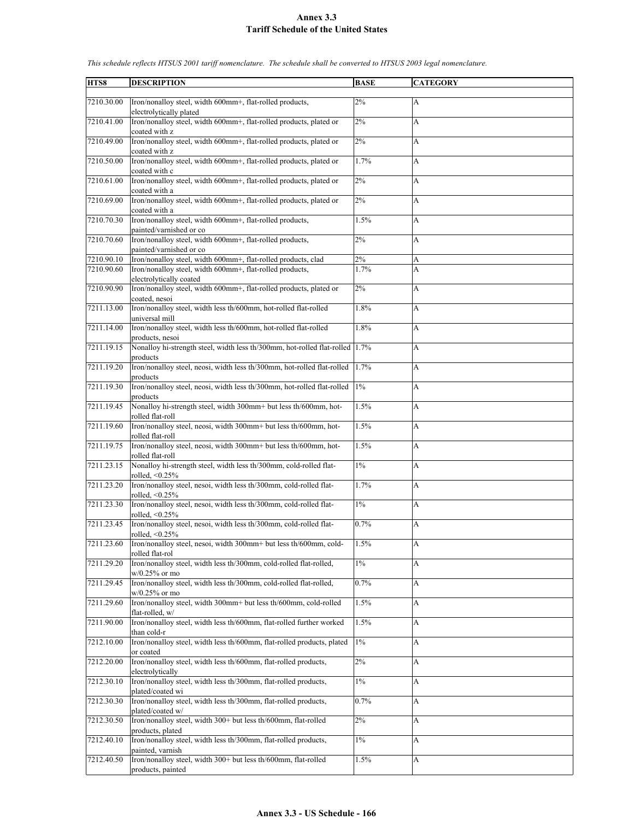| HTS8       | <b>DESCRIPTION</b>                                                           | <b>BASE</b> | <b>CATEGORY</b>           |
|------------|------------------------------------------------------------------------------|-------------|---------------------------|
|            |                                                                              |             |                           |
| 7210.30.00 | Iron/nonalloy steel, width 600mm+, flat-rolled products,                     | $2\%$       | $\mathbf{A}$              |
|            | electrolytically plated                                                      |             |                           |
| 7210.41.00 | Iron/nonalloy steel, width 600mm+, flat-rolled products, plated or           | 2%          | A                         |
|            | coated with z                                                                |             |                           |
| 7210.49.00 | Iron/nonalloy steel, width 600mm+, flat-rolled products, plated or           | 2%          | A                         |
|            | coated with z                                                                |             |                           |
|            |                                                                              |             |                           |
| 7210.50.00 | Iron/nonalloy steel, width 600mm+, flat-rolled products, plated or           | 1.7%        | A                         |
|            | coated with c                                                                |             |                           |
| 7210.61.00 | Iron/nonalloy steel, width 600mm+, flat-rolled products, plated or           | $2\%$       | $\boldsymbol{\mathsf{A}}$ |
|            | coated with a                                                                |             |                           |
| 7210.69.00 | Iron/nonalloy steel, width 600mm+, flat-rolled products, plated or           | 2%          | A                         |
|            | coated with a                                                                |             |                           |
| 7210.70.30 | Iron/nonalloy steel, width 600mm+, flat-rolled products,                     | 1.5%        | A                         |
|            |                                                                              |             |                           |
|            | painted/varnished or co                                                      |             |                           |
| 7210.70.60 | Iron/nonalloy steel, width 600mm+, flat-rolled products,                     | 2%          | $\boldsymbol{\mathsf{A}}$ |
|            | painted/varnished or co                                                      |             |                           |
| 7210.90.10 | Iron/nonalloy steel, width 600mm+, flat-rolled products, clad                | 2%          | A                         |
| 7210.90.60 | Iron/nonalloy steel, width 600mm+, flat-rolled products,                     | 1.7%        | A                         |
|            | electrolytically coated                                                      |             |                           |
| 7210.90.90 | Iron/nonalloy steel, width 600mm+, flat-rolled products, plated or           | $2\%$       | A                         |
|            | coated, nesoi                                                                |             |                           |
| 7211.13.00 | Iron/nonalloy steel, width less th/600mm, hot-rolled flat-rolled             | 1.8%        | A                         |
|            |                                                                              |             |                           |
|            | universal mill                                                               |             |                           |
| 7211.14.00 | Iron/nonalloy steel, width less th/600mm, hot-rolled flat-rolled             | 1.8%        | A                         |
|            | products, nesoi                                                              |             |                           |
| 7211.19.15 | Nonalloy hi-strength steel, width less th/300mm, hot-rolled flat-rolled 1.7% |             | A                         |
|            | products                                                                     |             |                           |
| 7211.19.20 | Iron/nonalloy steel, neosi, width less th/300mm, hot-rolled flat-rolled      | 1.7%        | A                         |
|            | products                                                                     |             |                           |
| 7211.19.30 | Iron/nonalloy steel, neosi, width less th/300mm, hot-rolled flat-rolled      | $1\%$       | A                         |
|            |                                                                              |             |                           |
|            | products                                                                     |             |                           |
| 7211.19.45 | Nonalloy hi-strength steel, width 300mm+ but less th/600mm, hot-             | 1.5%        | A                         |
|            | rolled flat-roll                                                             |             |                           |
| 7211.19.60 | Iron/nonalloy steel, neosi, width 300mm+ but less th/600mm, hot-             | 1.5%        | A                         |
|            | rolled flat-roll                                                             |             |                           |
| 7211.19.75 | Iron/nonalloy steel, neosi, width 300mm+ but less th/600mm, hot-             | 1.5%        | A                         |
|            | rolled flat-roll                                                             |             |                           |
| 7211.23.15 | Nonalloy hi-strength steel, width less th/300mm, cold-rolled flat-           | $1\%$       | A                         |
|            | rolled, <0.25%                                                               |             |                           |
| 7211.23.20 | Iron/nonalloy steel, nesoi, width less th/300mm, cold-rolled flat-           | 1.7%        |                           |
|            |                                                                              |             | A                         |
|            | rolled, <0.25%                                                               |             |                           |
| 7211.23.30 | Iron/nonalloy steel, nesoi, width less th/300mm, cold-rolled flat-           | $1\%$       | A                         |
|            | rolled, $\leq 0.25\%$                                                        |             |                           |
| 7211.23.45 | Iron/nonalloy steel, nesoi, width less th/300mm, cold-rolled flat-           | 0.7%        | А                         |
|            | rolled, $\leq 0.25\%$                                                        |             |                           |
| 7211.23.60 | Iron/nonalloy steel, nesoi, width 300mm+ but less th/600mm, cold-            | 1.5%        | $\boldsymbol{\mathsf{A}}$ |
|            | rolled flat-rol                                                              |             |                           |
| 7211.29.20 | Iron/nonalloy steel, width less th/300mm, cold-rolled flat-rolled,           | $1\%$       | A                         |
|            |                                                                              |             |                           |
|            | $w/0.25\%$ or mo                                                             |             |                           |
| 7211.29.45 | Iron/nonalloy steel, width less th/300mm, cold-rolled flat-rolled,           | 0.7%        | A                         |
|            | w/0.25% or mo                                                                |             |                           |
| 7211.29.60 | Iron/nonalloy steel, width 300mm+ but less th/600mm, cold-rolled             | 1.5%        | $\boldsymbol{\mathsf{A}}$ |
|            | flat-rolled, w/                                                              |             |                           |
| 7211.90.00 | Iron/nonalloy steel, width less th/600mm, flat-rolled further worked         | 1.5%        | A                         |
|            | than cold-r                                                                  |             |                           |
| 7212.10.00 | Iron/nonalloy steel, width less th/600mm, flat-rolled products, plated       | $1\%$       | A                         |
|            |                                                                              |             |                           |
|            | or coated                                                                    |             |                           |
| 7212.20.00 | Iron/nonalloy steel, width less th/600mm, flat-rolled products,              | $2\%$       | A                         |
|            | electrolytically                                                             |             |                           |
| 7212.30.10 | Iron/nonalloy steel, width less th/300mm, flat-rolled products,              | $1\%$       | A                         |
|            | plated/coated wi                                                             |             |                           |
| 7212.30.30 | Iron/nonalloy steel, width less th/300mm, flat-rolled products,              | 0.7%        | A                         |
|            | plated/coated w/                                                             |             |                           |
| 7212.30.50 | Iron/nonalloy steel, width 300+ but less th/600mm, flat-rolled               | $2\%$       | $\boldsymbol{\mathsf{A}}$ |
|            |                                                                              |             |                           |
|            | products, plated                                                             |             |                           |
| 7212.40.10 | Iron/nonalloy steel, width less th/300mm, flat-rolled products,              | $1\%$       | A                         |
|            | painted, varnish                                                             |             |                           |
| 7212.40.50 | Iron/nonalloy steel, width 300+ but less th/600mm, flat-rolled               | 1.5%        | A                         |
|            | products, painted                                                            |             |                           |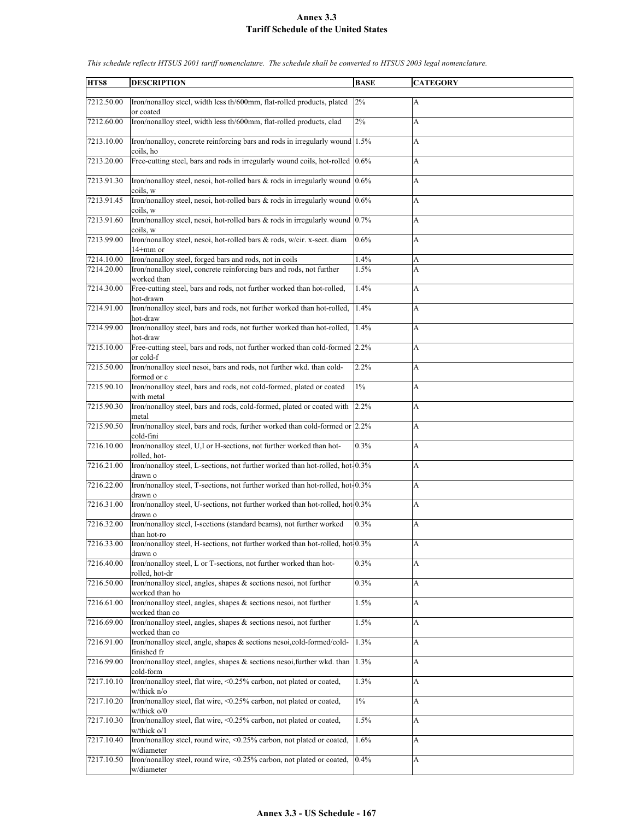| HTS8       | <b>DESCRIPTION</b>                                                                                     | <b>BASE</b> | <b>CATEGORY</b>           |
|------------|--------------------------------------------------------------------------------------------------------|-------------|---------------------------|
| 7212.50.00 | Iron/nonalloy steel, width less th/600mm, flat-rolled products, plated<br>or coated                    | 2%          | A                         |
| 7212.60.00 | Iron/nonalloy steel, width less th/600mm, flat-rolled products, clad                                   | 2%          | A                         |
| 7213.10.00 | Iron/nonalloy, concrete reinforcing bars and rods in irregularly wound 1.5%<br>coils, ho               |             | A                         |
| 7213.20.00 | Free-cutting steel, bars and rods in irregularly wound coils, hot-rolled 0.6%                          |             | $\boldsymbol{\mathsf{A}}$ |
| 7213.91.30 | Iron/nonalloy steel, nesoi, hot-rolled bars $\&$ rods in irregularly wound $0.6\%$                     |             | A                         |
| 7213.91.45 | coils, w<br>Iron/nonalloy steel, nesoi, hot-rolled bars & rods in irregularly wound 0.6%               |             | A                         |
|            | coils, w                                                                                               |             |                           |
| 7213.91.60 | Iron/nonalloy steel, nesoi, hot-rolled bars & rods in irregularly wound 0.7%<br>coils, w               |             | A                         |
| 7213.99.00 | Iron/nonalloy steel, nesoi, hot-rolled bars & rods, w/cir. x-sect. diam<br>14+mm or                    | 0.6%        | A                         |
| 7214.10.00 | Iron/nonalloy steel, forged bars and rods, not in coils                                                | 1.4%        | A                         |
| 7214.20.00 | Iron/nonalloy steel, concrete reinforcing bars and rods, not further                                   | 1.5%        | A                         |
|            | worked than                                                                                            |             |                           |
| 7214.30.00 | Free-cutting steel, bars and rods, not further worked than hot-rolled,<br>hot-drawn                    | 1.4%        | A                         |
| 7214.91.00 | Iron/nonalloy steel, bars and rods, not further worked than hot-rolled,<br>hot-draw                    | 1.4%        | А                         |
| 7214.99.00 | Iron/nonalloy steel, bars and rods, not further worked than hot-rolled,                                | 1.4%        | A                         |
| 7215.10.00 | hot-draw<br>Free-cutting steel, bars and rods, not further worked than cold-formed 2.2%                |             | A                         |
|            | or cold-f                                                                                              |             |                           |
| 7215.50.00 | Iron/nonalloy steel nesoi, bars and rods, not further wkd. than cold-<br>formed or c                   | 2.2%        | A                         |
| 7215.90.10 | Iron/nonalloy steel, bars and rods, not cold-formed, plated or coated<br>with metal                    | $1\%$       | A                         |
| 7215.90.30 | Iron/nonalloy steel, bars and rods, cold-formed, plated or coated with<br>metal                        | 2.2%        | A                         |
| 7215.90.50 | Iron/nonalloy steel, bars and rods, further worked than cold-formed or 2.2%<br>cold-fini               |             | A                         |
| 7216.10.00 | Iron/nonalloy steel, U,I or H-sections, not further worked than hot-<br>rolled, hot-                   | 0.3%        | A                         |
| 7216.21.00 | Iron/nonalloy steel, L-sections, not further worked than hot-rolled, hot-0.3%                          |             | A                         |
| 7216.22.00 | drawn o<br>Iron/nonalloy steel, T-sections, not further worked than hot-rolled, hot-0.3%<br>drawn o    |             | A                         |
| 7216.31.00 | Iron/nonalloy steel, U-sections, not further worked than hot-rolled, hot 0.3%<br>drawn o               |             | A                         |
| 7216.32.00 | Iron/nonalloy steel, I-sections (standard beams), not further worked                                   | 0.3%        | А                         |
| 7216.33.00 | than hot-ro<br>Iron/nonalloy steel, H-sections, not further worked than hot-rolled, hot 0.3%           |             | A                         |
|            | drawn o                                                                                                |             |                           |
| 7216.40.00 | Iron/nonalloy steel, L or T-sections, not further worked than hot-<br>rolled, hot-dr                   | 0.3%        | A                         |
| 7216.50.00 | Iron/nonalloy steel, angles, shapes & sections nesoi, not further<br>worked than ho                    | 0.3%        | А                         |
| 7216.61.00 | Iron/nonalloy steel, angles, shapes & sections nesoi, not further                                      | 1.5%        | $\boldsymbol{\mathsf{A}}$ |
| 7216.69.00 | worked than co<br>Iron/nonalloy steel, angles, shapes & sections nesoi, not further                    | 1.5%        | А                         |
| 7216.91.00 | worked than co<br>Iron/nonalloy steel, angle, shapes & sections nesoi,cold-formed/cold-<br>finished fr | 1.3%        | A                         |
| 7216.99.00 | Iron/nonalloy steel, angles, shapes & sections nesoi, further wkd. than                                | 1.3%        | A                         |
| 7217.10.10 | cold-form<br>Iron/nonalloy steel, flat wire, <0.25% carbon, not plated or coated,                      | 1.3%        | А                         |
| 7217.10.20 | $w$ /thick n/o<br>Iron/nonalloy steel, flat wire, <0.25% carbon, not plated or coated,                 | $1\%$       | А                         |
| 7217.10.30 | w/thick o/0<br>Iron/nonalloy steel, flat wire, <0.25% carbon, not plated or coated,                    | 1.5%        | $\boldsymbol{\mathsf{A}}$ |
|            | $w$ /thick o/1                                                                                         |             |                           |
| 7217.10.40 | Iron/nonalloy steel, round wire, <0.25% carbon, not plated or coated,<br>w/diameter                    | 1.6%        | A                         |
| 7217.10.50 | Iron/nonalloy steel, round wire, <0.25% carbon, not plated or coated,<br>w/diameter                    | 0.4%        | A                         |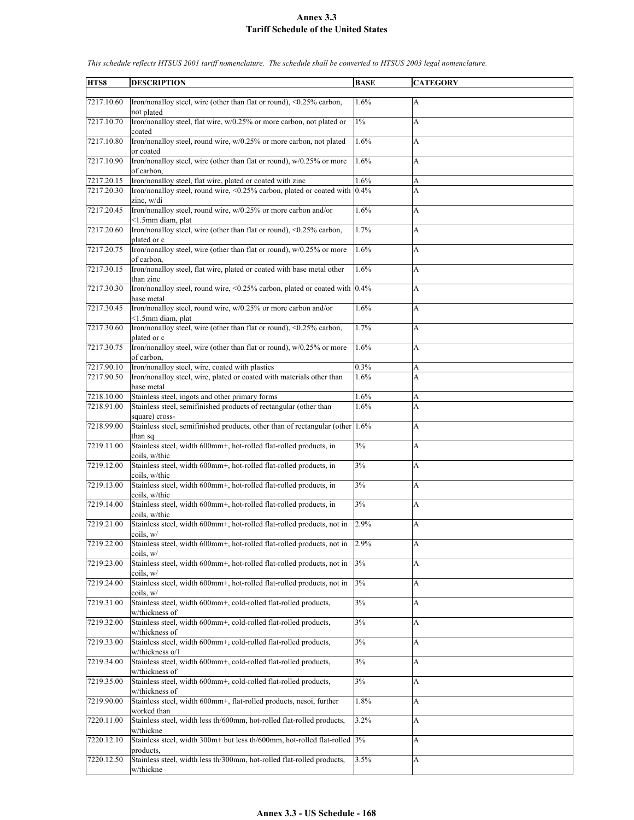| HTS8       | <b>DESCRIPTION</b>                                                                               | <b>BASE</b> | <b>CATEGORY</b>           |
|------------|--------------------------------------------------------------------------------------------------|-------------|---------------------------|
|            |                                                                                                  |             |                           |
| 7217.10.60 | Iron/nonalloy steel, wire (other than flat or round), <0.25% carbon,                             | 1.6%        | A                         |
| 7217.10.70 | not plated<br>Iron/nonalloy steel, flat wire, w/0.25% or more carbon, not plated or              | $1\%$       | A                         |
|            | coated                                                                                           |             |                           |
| 7217.10.80 | Iron/nonalloy steel, round wire, w/0.25% or more carbon, not plated<br>or coated                 | 1.6%        | A                         |
| 7217.10.90 | Iron/nonalloy steel, wire (other than flat or round), w/0.25% or more<br>of carbon.              | 1.6%        | A                         |
| 7217.20.15 | Iron/nonalloy steel, flat wire, plated or coated with zinc                                       | 1.6%        | A                         |
| 7217.20.30 | Iron/nonalloy steel, round wire, < $0.25\%$ carbon, plated or coated with $0.4\%$                |             | A                         |
| 7217.20.45 | zinc, w/di<br>Iron/nonalloy steel, round wire, w/0.25% or more carbon and/or                     | 1.6%        | A                         |
| 7217.20.60 | <1.5mm diam, plat<br>Iron/nonalloy steel, wire (other than flat or round), <0.25% carbon,        | 1.7%        | A                         |
|            | plated or c                                                                                      |             |                           |
| 7217.20.75 | Iron/nonalloy steel, wire (other than flat or round), w/0.25% or more<br>of carbon.              | 1.6%        | A                         |
| 7217.30.15 | Iron/nonalloy steel, flat wire, plated or coated with base metal other<br>than zinc              | 1.6%        | A                         |
| 7217.30.30 | Iron/nonalloy steel, round wire, < $0.25\%$ carbon, plated or coated with $ 0.4\% $              |             | A                         |
|            | base metal                                                                                       |             |                           |
| 7217.30.45 | Iron/nonalloy steel, round wire, w/0.25% or more carbon and/or<br><1.5mm diam, plat              | 1.6%        | А                         |
| 7217.30.60 | Iron/nonalloy steel, wire (other than flat or round), <0.25% carbon,<br>plated or c              | 1.7%        | A                         |
| 7217.30.75 | Iron/nonalloy steel, wire (other than flat or round), w/0.25% or more                            | 1.6%        | A                         |
|            | of carbon.                                                                                       |             |                           |
| 7217.90.10 | Iron/nonalloy steel, wire, coated with plastics                                                  | 0.3%        | А                         |
| 7217.90.50 | Iron/nonalloy steel, wire, plated or coated with materials other than<br>base metal              | 1.6%        | A                         |
| 7218.10.00 | Stainless steel, ingots and other primary forms                                                  | 1.6%        | А                         |
| 7218.91.00 | Stainless steel, semifinished products of rectangular (other than                                |             | A                         |
|            |                                                                                                  | 1.6%        |                           |
| 7218.99.00 | square) cross-<br>Stainless steel, semifinished products, other than of rectangular (other 1.6%) |             | A                         |
| 7219.11.00 | than sq<br>Stainless steel, width 600mm+, hot-rolled flat-rolled products, in                    | 3%          |                           |
|            | coils, w/thic                                                                                    |             | A                         |
| 7219.12.00 | Stainless steel, width 600mm+, hot-rolled flat-rolled products, in<br>coils, w/thic              | 3%          | A                         |
| 7219.13.00 | Stainless steel, width 600mm+, hot-rolled flat-rolled products, in<br>coils, w/thic              | 3%          | A                         |
| 7219.14.00 | Stainless steel, width 600mm+, hot-rolled flat-rolled products, in                               | 3%          | A                         |
|            | coils, w/thic                                                                                    |             |                           |
| 7219.21.00 | Stainless steel, width 600mm+, hot-rolled flat-rolled products, not in<br>coils, w/              | 2.9%        | A                         |
| 7219.22.00 | Stainless steel, width 600mm+, hot-rolled flat-rolled products, not in                           | 2.9%        | A                         |
| 7219.23.00 | coils. w/<br>Stainless steel, width 600mm+, hot-rolled flat-rolled products, not in              | 3%          | А                         |
|            | coils, w/                                                                                        |             |                           |
| 7219.24.00 | Stainless steel, width 600mm+, hot-rolled flat-rolled products, not in<br>coils, w/              | $3\%$       | А                         |
| 7219.31.00 | Stainless steel, width 600mm+, cold-rolled flat-rolled products,<br>w/thickness of               | 3%          | $\boldsymbol{\mathsf{A}}$ |
| 7219.32.00 | Stainless steel, width 600mm+, cold-rolled flat-rolled products,                                 | 3%          | A                         |
|            | w/thickness of                                                                                   |             |                           |
| 7219.33.00 | Stainless steel, width 600mm+, cold-rolled flat-rolled products,<br>w/thickness o/1              | 3%          | A                         |
| 7219.34.00 | Stainless steel, width 600mm+, cold-rolled flat-rolled products,<br>w/thickness of               | 3%          | A                         |
| 7219.35.00 | Stainless steel, width 600mm+, cold-rolled flat-rolled products,                                 | 3%          | A                         |
|            | w/thickness of                                                                                   |             |                           |
| 7219.90.00 | Stainless steel, width 600mm+, flat-rolled products, nesoi, further<br>worked than               | 1.8%        | A                         |
| 7220.11.00 | Stainless steel, width less th/600mm, hot-rolled flat-rolled products,<br>w/thickne              | 3.2%        | $\boldsymbol{\mathsf{A}}$ |
| 7220.12.10 | Stainless steel, width 300m+ but less th/600mm, hot-rolled flat-rolled 3%                        |             | А                         |
|            | products.<br>Stainless steel, width less th/300mm, hot-rolled flat-rolled products,              | 3.5%        |                           |
| 7220.12.50 | w/thickne                                                                                        |             | A                         |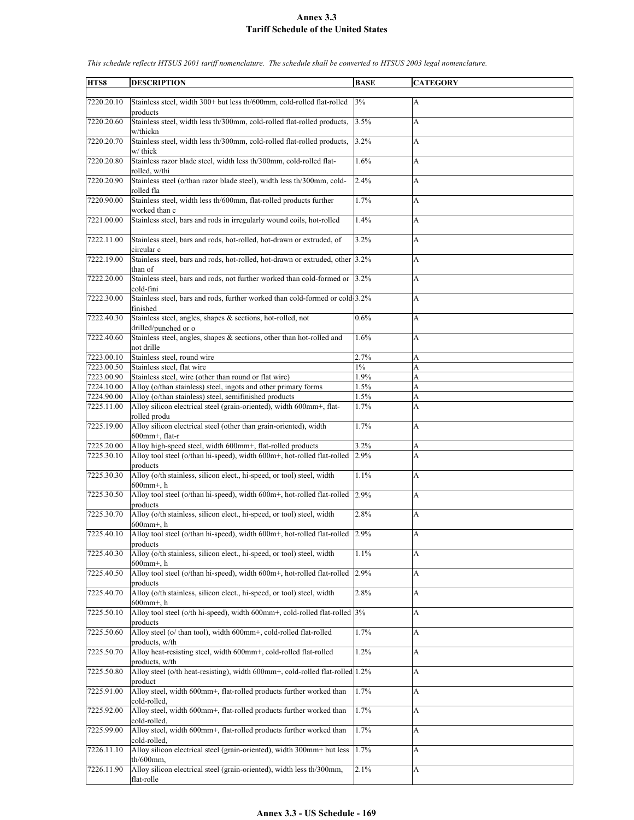| HTS8       | <b>DESCRIPTION</b>                                                                                    | <b>BASE</b> | <b>CATEGORY</b> |
|------------|-------------------------------------------------------------------------------------------------------|-------------|-----------------|
|            |                                                                                                       |             |                 |
| 7220.20.10 | Stainless steel, width 300+ but less th/600mm, cold-rolled flat-rolled<br>products                    | 3%          | A               |
| 7220.20.60 | Stainless steel, width less th/300mm, cold-rolled flat-rolled products,<br>w/thickn                   | 3.5%        | A               |
| 7220.20.70 | Stainless steel, width less th/300mm, cold-rolled flat-rolled products,                               | 3.2%        | A               |
| 7220.20.80 | w/ thick<br>Stainless razor blade steel, width less th/300mm, cold-rolled flat-<br>rolled, w/thi      | 1.6%        | A               |
| 7220.20.90 | Stainless steel (o/than razor blade steel), width less th/300mm, cold-<br>rolled fla                  | 2.4%        | A               |
| 7220.90.00 | Stainless steel, width less th/600mm, flat-rolled products further<br>worked than c                   | 1.7%        | A               |
| 7221.00.00 | Stainless steel, bars and rods in irregularly wound coils, hot-rolled                                 | 1.4%        | A               |
| 7222.11.00 | Stainless steel, bars and rods, hot-rolled, hot-drawn or extruded, of<br>circular c                   | 3.2%        | A               |
| 7222.19.00 | Stainless steel, bars and rods, hot-rolled, hot-drawn or extruded, other 3.2%<br>than of              |             | A               |
| 7222.20.00 | Stainless steel, bars and rods, not further worked than cold-formed or 3.2%<br>cold-fini              |             | A               |
| 7222.30.00 | Stainless steel, bars and rods, further worked than cold-formed or cold-3.2%<br>finished              |             | A               |
| 7222.40.30 | Stainless steel, angles, shapes & sections, hot-rolled, not<br>drilled/punched or o                   | 0.6%        | A               |
| 7222.40.60 | Stainless steel, angles, shapes $\&$ sections, other than hot-rolled and<br>not drille                | 1.6%        | A               |
| 7223.00.10 | Stainless steel, round wire                                                                           | 2.7%        | A               |
| 7223.00.50 | Stainless steel, flat wire                                                                            | $1\%$       | A               |
| 7223.00.90 | Stainless steel, wire (other than round or flat wire)                                                 | 1.9%        | A               |
| 7224.10.00 | Alloy (o/than stainless) steel, ingots and other primary forms                                        | 1.5%        | A               |
| 7224.90.00 | Alloy (o/than stainless) steel, semifinished products                                                 | 1.5%        | A               |
| 7225.11.00 | Alloy silicon electrical steel (grain-oriented), width 600mm+, flat-<br>rolled produ                  | 1.7%        | A               |
| 7225.19.00 | Alloy silicon electrical steel (other than grain-oriented), width<br>600mm+, flat-r                   | 1.7%        | A               |
| 7225.20.00 | Alloy high-speed steel, width 600mm+, flat-rolled products                                            | 3.2%        | A               |
| 7225.30.10 | Alloy tool steel (o/than hi-speed), width 600m+, hot-rolled flat-rolled 2.9%<br>products              |             | A               |
| 7225.30.30 | Alloy (o/th stainless, silicon elect., hi-speed, or tool) steel, width<br>$600$ mm <sup>+</sup> , h   | 1.1%        | A               |
| 7225.30.50 | Alloy tool steel (o/than hi-speed), width 600m+, hot-rolled flat-rolled 2.9%<br>products              |             | A               |
| 7225.30.70 | Alloy (o/th stainless, silicon elect., hi-speed, or tool) steel, width<br>$600$ mm <sup>+</sup> , h   | 2.8%        | A               |
| 7225.40.10 | Alloy tool steel (o/than hi-speed), width 600m+, hot-rolled flat-rolled 2.9%<br>products              |             | A               |
| 7225.40.30 | Alloy (o/th stainless, silicon elect., hi-speed, or tool) steel, width<br>$600$ mm <sup>+</sup> , h   | 1.1%        | A               |
| 7225.40.50 | Alloy tool steel (o/than hi-speed), width 600m+, hot-rolled flat-rolled<br>products                   | 2.9%        | A               |
| 7225.40.70 | Alloy (o/th stainless, silicon elect., hi-speed, or tool) steel, width<br>$600$ mm+. h                | 2.8%        | A               |
| 7225.50.10 | Alloy tool steel (o/th hi-speed), width 600mm+, cold-rolled flat-rolled  3%<br>products               |             | A               |
| 7225.50.60 | Alloy steel (o/ than tool), width 600mm+, cold-rolled flat-rolled                                     | 1.7%        | A               |
| 7225.50.70 | products, w/th<br>Alloy heat-resisting steel, width 600mm+, cold-rolled flat-rolled<br>products, w/th | 1.2%        | A               |
| 7225.50.80 | Alloy steel (o/th heat-resisting), width 600mm+, cold-rolled flat-rolled 1.2%<br>product              |             | A               |
| 7225.91.00 | Alloy steel, width 600mm+, flat-rolled products further worked than<br>cold-rolled,                   | 1.7%        | A               |
| 7225.92.00 | Alloy steel, width 600mm+, flat-rolled products further worked than<br>cold-rolled.                   | 1.7%        | A               |
| 7225.99.00 | Alloy steel, width 600mm+, flat-rolled products further worked than<br>cold-rolled.                   | 1.7%        | A               |
| 7226.11.10 | Alloy silicon electrical steel (grain-oriented), width 300mm+ but less<br>$th/600$ mm,                | 1.7%        | A               |
| 7226.11.90 | Alloy silicon electrical steel (grain-oriented), width less th/300mm,<br>flat-rolle                   | 2.1%        | A               |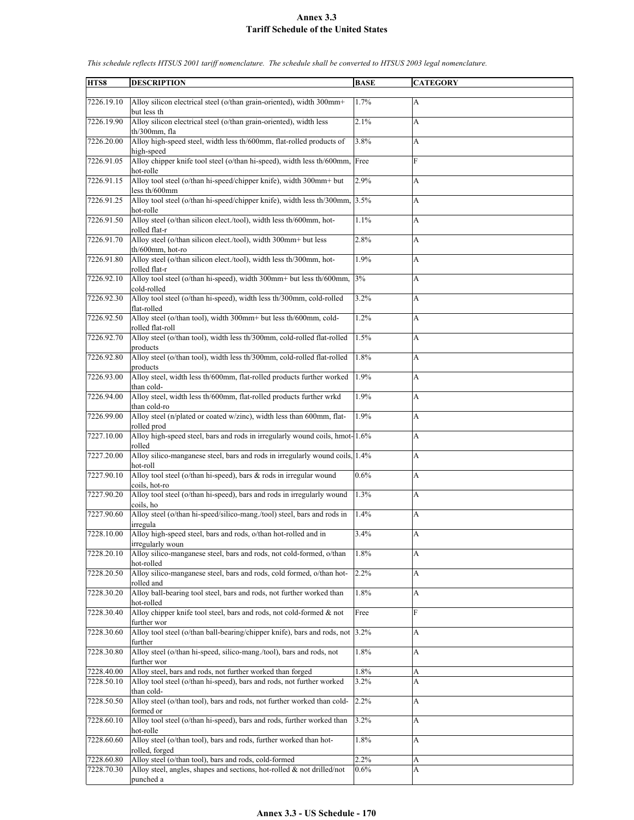| HTS8                     | <b>DESCRIPTION</b>                                                                                                                  | <b>BASE</b>     | <b>CATEGORY</b> |
|--------------------------|-------------------------------------------------------------------------------------------------------------------------------------|-----------------|-----------------|
|                          |                                                                                                                                     |                 |                 |
| 7226.19.10               | Alloy silicon electrical steel (o/than grain-oriented), width 300mm+<br>but less th                                                 | 1.7%            | А               |
| 7226.19.90               | Alloy silicon electrical steel (o/than grain-oriented), width less                                                                  | 2.1%            | A               |
|                          | th/300mm. fla                                                                                                                       |                 |                 |
| 7226.20.00               | Alloy high-speed steel, width less th/600mm, flat-rolled products of                                                                | 3.8%            | А               |
| 7226.91.05               | high-speed<br>Alloy chipper knife tool steel (o/than hi-speed), width less th/600mm, Free                                           |                 | F               |
|                          | hot-rolle                                                                                                                           |                 |                 |
| 7226.91.15               | Alloy tool steel (o/than hi-speed/chipper knife), width 300mm+ but                                                                  | 2.9%            | A               |
| 7226.91.25               | less th/600mm<br>Alloy tool steel (o/than hi-speed/chipper knife), width less th/300mm,                                             | 3.5%            | A               |
|                          | hot-rolle                                                                                                                           |                 |                 |
| 7226.91.50               | Alloy steel (o/than silicon elect./tool), width less th/600mm, hot-<br>rolled flat-r                                                | 1.1%            | A               |
| 7226.91.70               | Alloy steel (o/than silicon elect./tool), width 300mm+ but less                                                                     | 2.8%            | A               |
|                          | th/600mm, hot-ro                                                                                                                    |                 |                 |
| 7226.91.80               | Alloy steel (o/than silicon elect./tool), width less th/300mm, hot-<br>rolled flat-r                                                | 1.9%            | A               |
| 7226.92.10               | Alloy tool steel (o/than hi-speed), width 300mm+ but less th/600mm,                                                                 | 3%              | A               |
|                          | cold-rolled                                                                                                                         |                 |                 |
| 7226.92.30               | Alloy tool steel (o/than hi-speed), width less th/300mm, cold-rolled<br>flat-rolled                                                 | 3.2%            | A               |
| 7226.92.50               | Alloy steel (o/than tool), width 300mm+ but less th/600mm, cold-                                                                    | 1.2%            | A               |
|                          | rolled flat-roll                                                                                                                    |                 |                 |
| 7226.92.70               | Alloy steel (o/than tool), width less th/300mm, cold-rolled flat-rolled<br>products                                                 | 1.5%            | A               |
| 7226.92.80               | Alloy steel (o/than tool), width less th/300mm, cold-rolled flat-rolled                                                             | 1.8%            | A               |
|                          | products                                                                                                                            |                 |                 |
| 7226.93.00               | Alloy steel, width less th/600mm, flat-rolled products further worked<br>than cold-                                                 | 1.9%            | A               |
| 7226.94.00               | Alloy steel, width less th/600mm, flat-rolled products further wrkd                                                                 | 1.9%            | A               |
|                          | than cold-ro                                                                                                                        |                 |                 |
| 7226.99.00               | Alloy steel (n/plated or coated w/zinc), width less than 600mm, flat-<br>rolled prod                                                | 1.9%            | A               |
| 7227.10.00               | Alloy high-speed steel, bars and rods in irregularly wound coils, hmot-1.6%                                                         |                 | A               |
| 7227.20.00               | rolled<br>Alloy silico-manganese steel, bars and rods in irregularly wound coils, 1.4%                                              |                 | A               |
|                          | hot-roll                                                                                                                            |                 |                 |
| 7227.90.10               | Alloy tool steel (o/than hi-speed), bars & rods in irregular wound                                                                  | 0.6%            | A               |
| 7227.90.20               | coils, hot-ro<br>Alloy tool steel (o/than hi-speed), bars and rods in irregularly wound                                             | 1.3%            | A               |
|                          | coils, ho                                                                                                                           |                 |                 |
| 7227.90.60               | Alloy steel (o/than hi-speed/silico-mang./tool) steel, bars and rods in                                                             | 1.4%            | A               |
| 7228.10.00               | irregula<br>Alloy high-speed steel, bars and rods, o/than hot-rolled and in                                                         | 3.4%            | A               |
|                          | irregularly woun                                                                                                                    |                 |                 |
| 7228.20.10               | Alloy silico-manganese steel, bars and rods, not cold-formed, o/than                                                                | 1.8%            | A               |
| 7228.20.50               | hot-rolled<br>Alloy silico-manganese steel, bars and rods, cold formed, o/than hot-                                                 | 2.2%            | A               |
|                          | rolled and                                                                                                                          |                 |                 |
| 7228.30.20               | Alloy ball-bearing tool steel, bars and rods, not further worked than<br>hot-rolled                                                 | 1.8%            | A               |
| 7228.30.40               | Alloy chipper knife tool steel, bars and rods, not cold-formed $\&$ not                                                             | Free            | F               |
|                          | further wor                                                                                                                         |                 |                 |
| 7228.30.60               | Alloy tool steel (o/than ball-bearing/chipper knife), bars and rods, not 3.2%<br>further                                            |                 | A               |
| 7228.30.80               | Alloy steel (o/than hi-speed, silico-mang./tool), bars and rods, not                                                                | 1.8%            | A               |
|                          | further wor                                                                                                                         |                 |                 |
| 7228.40.00<br>7228.50.10 | Alloy steel, bars and rods, not further worked than forged<br>Alloy tool steel (o/than hi-speed), bars and rods, not further worked | 1.8%<br>$3.2\%$ | A<br>A          |
|                          | than cold-                                                                                                                          |                 |                 |
| 7228.50.50               | Alloy steel (o/than tool), bars and rods, not further worked than cold-                                                             | 2.2%            | A               |
| 7228.60.10               | formed or<br>Alloy tool steel (o/than hi-speed), bars and rods, further worked than                                                 | 3.2%            | A               |
|                          | hot-rolle                                                                                                                           |                 |                 |
| 7228.60.60               | Alloy steel (o/than tool), bars and rods, further worked than hot-<br>rolled, forged                                                | 1.8%            | A               |
| 7228.60.80               | Alloy steel (o/than tool), bars and rods, cold-formed                                                                               | 2.2%            | A               |
| 7228.70.30               | Alloy steel, angles, shapes and sections, hot-rolled $\&$ not drilled/not                                                           | $0.6\%$         | A               |
|                          | punched a                                                                                                                           |                 |                 |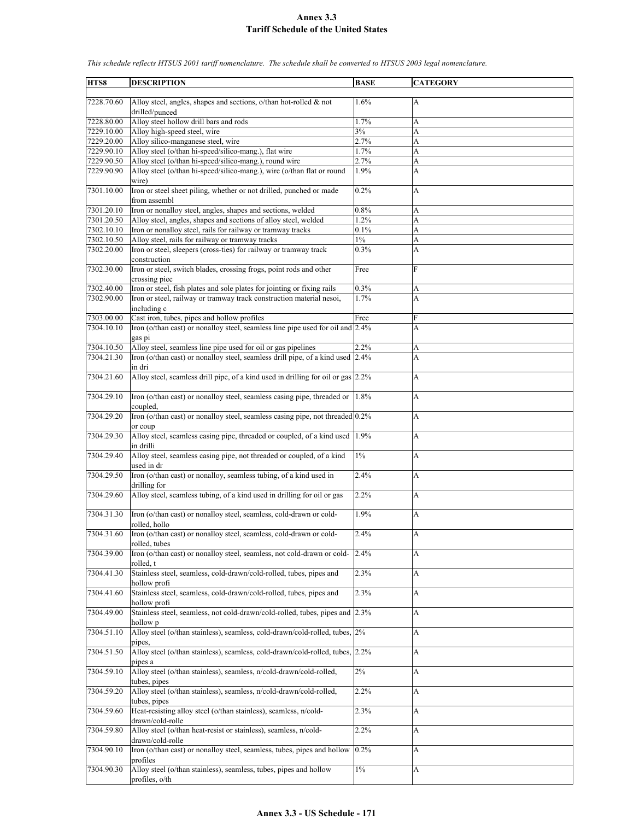| HTS8       | <b>DESCRIPTION</b>                                                                       | <b>BASE</b> | <b>CATEGORY</b> |
|------------|------------------------------------------------------------------------------------------|-------------|-----------------|
|            |                                                                                          |             |                 |
| 7228.70.60 | Alloy steel, angles, shapes and sections, $o$ /than hot-rolled & not<br>drilled/punced   | 1.6%        | А               |
| 7228.80.00 | Alloy steel hollow drill bars and rods                                                   | 1.7%        | A               |
| 7229.10.00 | Alloy high-speed steel, wire                                                             | 3%          | A               |
| 7229.20.00 | Alloy silico-manganese steel, wire                                                       | 2.7%        | A               |
| 7229.90.10 | Alloy steel (o/than hi-speed/silico-mang.), flat wire                                    | 1.7%        | A               |
| 7229.90.50 | Alloy steel (o/than hi-speed/silico-mang.), round wire                                   | 2.7%        | A               |
| 7229.90.90 | Alloy steel (o/than hi-speed/silico-mang.), wire (o/than flat or round<br>wire)          | 1.9%        | A               |
| 7301.10.00 | Iron or steel sheet piling, whether or not drilled, punched or made<br>from assembl      | 0.2%        | A               |
| 7301.20.10 | Iron or nonalloy steel, angles, shapes and sections, welded                              | 0.8%        | A               |
| 7301.20.50 | Alloy steel, angles, shapes and sections of alloy steel, welded                          | 1.2%        | A               |
| 7302.10.10 | Iron or nonalloy steel, rails for railway or tramway tracks                              | 0.1%        | A               |
| 7302.10.50 | Alloy steel, rails for railway or tramway tracks                                         | $1\%$       | A               |
| 7302.20.00 | Iron or steel, sleepers (cross-ties) for railway or tramway track                        | 0.3%        | A               |
|            | construction                                                                             |             |                 |
| 7302.30.00 | Iron or steel, switch blades, crossing frogs, point rods and other<br>crossing piec      | Free        | F               |
| 7302.40.00 | Iron or steel, fish plates and sole plates for jointing or fixing rails                  | 0.3%        | A               |
| 7302.90.00 | Iron or steel, railway or tramway track construction material nesoi,<br>including c      | 1.7%        | A               |
| 7303.00.00 | Cast iron, tubes, pipes and hollow profiles                                              | Free        | F               |
| 7304.10.10 | Iron (o/than cast) or nonalloy steel, seamless line pipe used for oil and 2.4%           |             | A               |
|            | gas pi                                                                                   |             |                 |
| 7304.10.50 | Alloy steel, seamless line pipe used for oil or gas pipelines                            | 2.2%        | A               |
| 7304.21.30 | Iron (o/than cast) or nonalloy steel, seamless drill pipe, of a kind used 2.4%<br>in dri |             | A               |
| 7304.21.60 | Alloy steel, seamless drill pipe, of a kind used in drilling for oil or gas 2.2%         |             | A               |
|            |                                                                                          |             |                 |
| 7304.29.10 | Iron (o/than cast) or nonalloy steel, seamless casing pipe, threaded or<br>coupled,      | 1.8%        | A               |
| 7304.29.20 | Iron (o/than cast) or nonalloy steel, seamless casing pipe, not threaded 0.2%            |             | A               |
|            | or coup                                                                                  |             |                 |
| 7304.29.30 | Alloy steel, seamless casing pipe, threaded or coupled, of a kind used 1.9%<br>in drilli |             | A               |
| 7304.29.40 | Alloy steel, seamless casing pipe, not threaded or coupled, of a kind                    | $1\%$       | A               |
|            | used in dr                                                                               |             |                 |
| 7304.29.50 | Iron (o/than cast) or nonalloy, seamless tubing, of a kind used in<br>drilling for       | 2.4%        | A               |
| 7304.29.60 | Alloy steel, seamless tubing, of a kind used in drilling for oil or gas                  | 2.2%        | A               |
|            |                                                                                          |             |                 |
| 7304.31.30 | Iron (o/than cast) or nonalloy steel, seamless, cold-drawn or cold-<br>rolled, hollo     | 1.9%        | A               |
| 7304.31.60 | Iron (o/than cast) or nonalloy steel, seamless, cold-drawn or cold-                      | 2.4%        | A               |
|            | rolled, tubes                                                                            |             |                 |
| 7304.39.00 | Iron (o/than cast) or nonalloy steel, seamless, not cold-drawn or cold-<br>rolled. t     | 2.4%        | A               |
| 7304.41.30 | Stainless steel, seamless, cold-drawn/cold-rolled, tubes, pipes and                      | 2.3%        | A               |
|            | hollow profi                                                                             |             |                 |
| 7304.41.60 | Stainless steel, seamless, cold-drawn/cold-rolled, tubes, pipes and                      | 2.3%        | A               |
|            | hollow profi                                                                             |             |                 |
| 7304.49.00 | Stainless steel, seamless, not cold-drawn/cold-rolled, tubes, pipes and 2.3%             |             | А               |
|            | hollow p                                                                                 |             |                 |
| 7304.51.10 | Alloy steel (o/than stainless), seamless, cold-drawn/cold-rolled, tubes, 2%              |             | A               |
| 7304.51.50 | pipes,<br>Alloy steel (o/than stainless), seamless, cold-drawn/cold-rolled, tubes, 2.2%  |             | A               |
|            | pipes a                                                                                  |             |                 |
| 7304.59.10 | Alloy steel (o/than stainless), seamless, n/cold-drawn/cold-rolled,<br>tubes, pipes      | $2\%$       | A               |
| 7304.59.20 | Alloy steel (o/than stainless), seamless, n/cold-drawn/cold-rolled,                      | 2.2%        | A               |
|            | tubes, pipes                                                                             |             |                 |
| 7304.59.60 | Heat-resisting alloy steel (o/than stainless), seamless, n/cold-                         | 2.3%        | A               |
|            | drawn/cold-rolle                                                                         |             |                 |
| 7304.59.80 | Alloy steel (o/than heat-resist or stainless), seamless, n/cold-<br>drawn/cold-rolle     | 2.2%        | A               |
| 7304.90.10 | Iron (o/than cast) or nonalloy steel, seamless, tubes, pipes and hollow                  | 0.2%        | А               |
|            | profiles                                                                                 |             |                 |
| 7304.90.30 | Alloy steel (o/than stainless), seamless, tubes, pipes and hollow                        | $1\%$       | A               |
|            | profiles, o/th                                                                           |             |                 |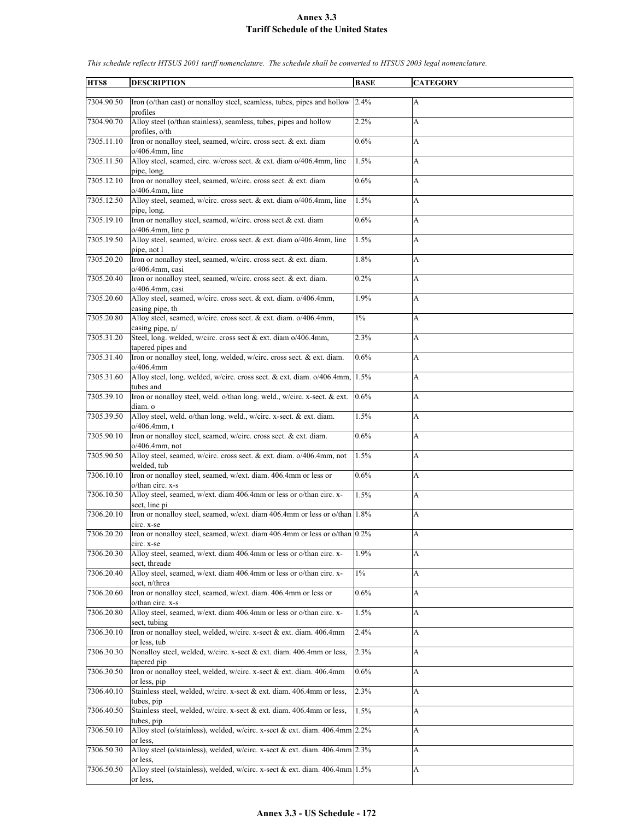| HTS8       | <b>DESCRIPTION</b>                                                                                  | <b>BASE</b> | <b>CATEGORY</b> |
|------------|-----------------------------------------------------------------------------------------------------|-------------|-----------------|
|            |                                                                                                     |             |                 |
| 7304.90.50 | Iron (o/than cast) or nonalloy steel, seamless, tubes, pipes and hollow 2.4%<br>profiles            |             | A               |
| 7304.90.70 | Alloy steel (o/than stainless), seamless, tubes, pipes and hollow<br>profiles, o/th                 | 2.2%        | A               |
| 7305.11.10 | Iron or nonalloy steel, seamed, w/circ. cross sect. & ext. diam<br>$o/406.4$ mm, line               | 0.6%        | A               |
| 7305.11.50 | Alloy steel, seamed, circ. w/cross sect. & ext. diam o/406.4mm, line<br>pipe, long.                 | 1.5%        | A               |
| 7305.12.10 | Iron or nonalloy steel, seamed, w/circ. cross sect. & ext. diam<br>$o/406.4$ mm, line               | 0.6%        | A               |
| 7305.12.50 | Alloy steel, seamed, w/circ. cross sect. & ext. diam o/406.4mm, line<br>pipe, long.                 | 1.5%        | A               |
| 7305.19.10 | Iron or nonalloy steel, seamed, w/circ. cross sect.& ext. diam<br>$o/406.4$ mm, line p              | 0.6%        | A               |
| 7305.19.50 | Alloy steel, seamed, w/circ. cross sect. & ext. diam o/406.4mm, line<br>pipe, not l                 | 1.5%        | A               |
| 7305.20.20 | Iron or nonalloy steel, seamed, w/circ. cross sect. & ext. diam.<br>o/406.4mm, casi                 | 1.8%        | A               |
| 7305.20.40 | Iron or nonalloy steel, seamed, w/circ. cross sect. & ext. diam.                                    | 0.2%        | A               |
| 7305.20.60 | o/406.4mm, casi<br>Alloy steel, seamed, w/circ. cross sect. & ext. diam. o/406.4mm,                 | 1.9%        | A               |
| 7305.20.80 | casing pipe, th<br>Alloy steel, seamed, w/circ. cross sect. & ext. diam. o/406.4mm,                 | $1\%$       | A               |
| 7305.31.20 | casing pipe, n/<br>Steel, long. welded, w/circ. cross sect & ext. diam o/406.4mm,                   | 2.3%        | A               |
| 7305.31.40 | tapered pipes and<br>Iron or nonalloy steel, long. welded, w/circ. cross sect. & ext. diam.         | 0.6%        | A               |
| 7305.31.60 | o/406.4mm<br>Alloy steel, long. welded, w/circ. cross sect. & ext. diam. o/406.4mm,<br>tubes and    | 1.5%        | A               |
| 7305.39.10 | Iron or nonalloy steel, weld. o/than long. weld., w/circ. x-sect. & ext.<br>diam. o                 | 0.6%        | A               |
| 7305.39.50 | Alloy steel, weld. o/than long. weld., w/circ. x-sect. & ext. diam.<br>$o/406.4$ mm, t              | 1.5%        | A               |
| 7305.90.10 | Iron or nonalloy steel, seamed, w/circ. cross sect. & ext. diam.<br>$o/406.4$ mm, not               | 0.6%        | A               |
| 7305.90.50 | Alloy steel, seamed, w/circ. cross sect. & ext. diam. o/406.4mm, not<br>welded, tub                 | 1.5%        | A               |
| 7306.10.10 | Iron or nonalloy steel, seamed, w/ext. diam. 406.4mm or less or<br>o/than circ. x-s                 | 0.6%        | A               |
| 7306.10.50 | Alloy steel, seamed, w/ext. diam 406.4mm or less or o/than circ. x-<br>sect, line pi                | 1.5%        | A               |
| 7306.20.10 | Iron or nonalloy steel, seamed, w/ext. diam 406.4mm or less or o/than 1.8%<br>circ. x-se            |             | A               |
| 7306.20.20 | Iron or nonalloy steel, seamed, w/ext. diam 406.4mm or less or o/than 0.2%<br>circ. x-se            |             | A               |
| 7306.20.30 | Alloy steel, seamed, w/ext. diam 406.4mm or less or o/than circ. x-<br>sect, threade                | 1.9%        | A               |
| 7306.20.40 | Alloy steel, seamed, w/ext. diam 406.4mm or less or o/than circ. x-<br>sect, n/threa                | $1\%$       | A               |
| 7306.20.60 | Iron or nonalloy steel, seamed, w/ext. diam. 406.4mm or less or<br>o/than circ. x-s                 | 0.6%        | A               |
| 7306.20.80 | Alloy steel, seamed, w/ext. diam 406.4mm or less or o/than circ. x-<br>sect, tubing                 | 1.5%        | A               |
| 7306.30.10 | Iron or nonalloy steel, welded, w/circ. x-sect & ext. diam. 406.4mm                                 | 2.4%        | A               |
| 7306.30.30 | or less, tub<br>Nonalloy steel, welded, w/circ. x-sect & ext. diam. 406.4mm or less,<br>tapered pip | 2.3%        | A               |
| 7306.30.50 | Iron or nonalloy steel, welded, w/circ. x-sect & ext. diam. 406.4mm<br>or less, pip                 | 0.6%        | A               |
| 7306.40.10 | Stainless steel, welded, w/circ. x-sect & ext. diam. 406.4mm or less,<br>tubes, pip                 | 2.3%        | A               |
| 7306.40.50 | Stainless steel, welded, w/circ. x-sect & ext. diam. 406.4mm or less,<br>tubes, pip                 | 1.5%        | A               |
| 7306.50.10 | Alloy steel (o/stainless), welded, w/circ. x-sect & ext. diam. 406.4mm 2.2%<br>or less.             |             | А               |
| 7306.50.30 | Alloy steel (o/stainless), welded, w/circ. x-sect & ext. diam. 406.4mm 2.3%<br>or less.             |             | A               |
| 7306.50.50 | Alloy steel (o/stainless), welded, w/circ. x-sect & ext. diam. 406.4mm 1.5%<br>or less,             |             | А               |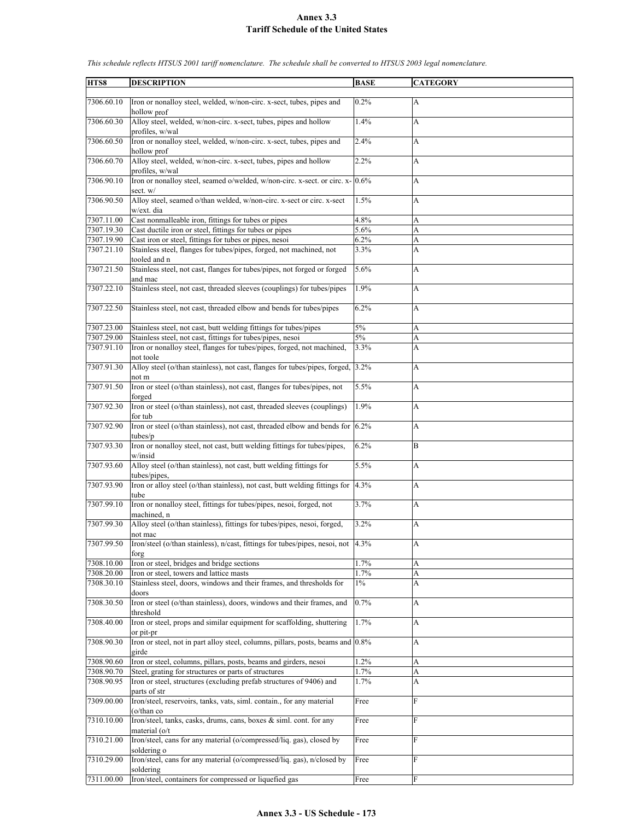| HTS8       | <b>DESCRIPTION</b>                                                                            | <b>BASE</b> | <b>CATEGORY</b> |
|------------|-----------------------------------------------------------------------------------------------|-------------|-----------------|
| 7306.60.10 | Iron or nonalloy steel, welded, w/non-circ. x-sect, tubes, pipes and<br>hollow prof           | 0.2%        | A               |
| 7306.60.30 | Alloy steel, welded, w/non-circ. x-sect, tubes, pipes and hollow<br>profiles, w/wal           | 1.4%        | A               |
| 7306.60.50 | Iron or nonalloy steel, welded, w/non-circ. x-sect, tubes, pipes and<br>hollow prof           | 2.4%        | A               |
| 7306.60.70 | Alloy steel, welded, w/non-circ. x-sect, tubes, pipes and hollow<br>profiles, w/wal           | 2.2%        | A               |
| 7306.90.10 | Iron or nonalloy steel, seamed o/welded, w/non-circ. x-sect. or circ. $x-$ 0.6%<br>sect. w/   |             | A               |
| 7306.90.50 | Alloy steel, seamed o/than welded, w/non-circ. x-sect or circ. x-sect<br>w/ext. dia           | 1.5%        | A               |
| 7307.11.00 | Cast nonmalleable iron, fittings for tubes or pipes                                           | 4.8%        | A               |
| 7307.19.30 | Cast ductile iron or steel, fittings for tubes or pipes                                       | 5.6%        | A               |
| 7307.19.90 | Cast iron or steel, fittings for tubes or pipes, nesoi                                        | $6.2\%$     | A               |
| 7307.21.10 | Stainless steel, flanges for tubes/pipes, forged, not machined, not<br>tooled and n           | 3.3%        | A               |
| 7307.21.50 | Stainless steel, not cast, flanges for tubes/pipes, not forged or forged<br>and mac           | 5.6%        | A               |
| 7307.22.10 | Stainless steel, not cast, threaded sleeves (couplings) for tubes/pipes                       | 1.9%        | A               |
| 7307.22.50 | Stainless steel, not cast, threaded elbow and bends for tubes/pipes                           | 6.2%        | А               |
| 7307.23.00 | Stainless steel, not cast, butt welding fittings for tubes/pipes                              | $5\%$       | A               |
| 7307.29.00 | Stainless steel, not cast, fittings for tubes/pipes, nesoi                                    | $5\%$       | A               |
| 7307.91.10 | Iron or nonalloy steel, flanges for tubes/pipes, forged, not machined,<br>not toole           | 3.3%        | A               |
| 7307.91.30 | Alloy steel (o/than stainless), not cast, flanges for tubes/pipes, forged, 3.2%<br>not m      |             | A               |
| 7307.91.50 | Iron or steel (o/than stainless), not cast, flanges for tubes/pipes, not<br>forged            | 5.5%        | A               |
| 7307.92.30 | Iron or steel (o/than stainless), not cast, threaded sleeves (couplings)<br>for tub           | 1.9%        | A               |
| 7307.92.90 | Iron or steel (o/than stainless), not cast, threaded elbow and bends for $6.2\%$<br>tubes/p   |             | A               |
| 7307.93.30 | Iron or nonalloy steel, not cast, butt welding fittings for tubes/pipes,<br>w/insid           | 6.2%        | B               |
| 7307.93.60 | Alloy steel (o/than stainless), not cast, butt welding fittings for<br>tubes/pipes,           | 5.5%        | A               |
| 7307.93.90 | Iron or alloy steel (o/than stainless), not cast, butt welding fittings for<br>tube           | 4.3%        | A               |
| 7307.99.10 | Iron or nonalloy steel, fittings for tubes/pipes, nesoi, forged, not<br>machined, n           | 3.7%        | A               |
| 7307.99.30 | Alloy steel (o/than stainless), fittings for tubes/pipes, nesoi, forged,<br>not mac           | 3.2%        | A               |
| 7307.99.50 | Iron/steel (o/than stainless), n/cast, fittings for tubes/pipes, nesoi, not 4.3%<br>forg      |             | A               |
| 7308.10.00 | Iron or steel, bridges and bridge sections                                                    | 1.7%        | A               |
| 7308.20.00 | Iron or steel, towers and lattice masts                                                       | 1.7%        | A               |
| 7308.30.10 | Stainless steel, doors, windows and their frames, and thresholds for<br>doors                 | $1\%$       | A               |
| 7308.30.50 | Iron or steel (o/than stainless), doors, windows and their frames, and<br>threshold           | 0.7%        | A               |
| 7308.40.00 | Iron or steel, props and similar equipment for scaffolding, shuttering<br>or pit-pr           | 1.7%        | A               |
| 7308.90.30 | Iron or steel, not in part alloy steel, columns, pillars, posts, beams and 0.8%<br>girde      |             | А               |
| 7308.90.60 | Iron or steel, columns, pillars, posts, beams and girders, nesoi                              | 1.2%        | A               |
| 7308.90.70 | Steel, grating for structures or parts of structures                                          | 1.7%        | A               |
| 7308.90.95 | Iron or steel, structures (excluding prefab structures of 9406) and<br>parts of str           | 1.7%        | A               |
| 7309.00.00 | Iron/steel, reservoirs, tanks, vats, siml. contain., for any material<br>$(o/\text{than } co$ | Free        | F               |
| 7310.10.00 | Iron/steel, tanks, casks, drums, cans, boxes & siml. cont. for any<br>material (o/t           | Free        | $\mathbf{F}$    |
| 7310.21.00 | Iron/steel, cans for any material (o/compressed/liq. gas), closed by<br>soldering o           | Free        | F               |
| 7310.29.00 | Iron/steel, cans for any material (o/compressed/liq. gas), n/closed by<br>soldering           | Free        | F               |
| 7311.00.00 | Iron/steel, containers for compressed or liquefied gas                                        | Free        | F               |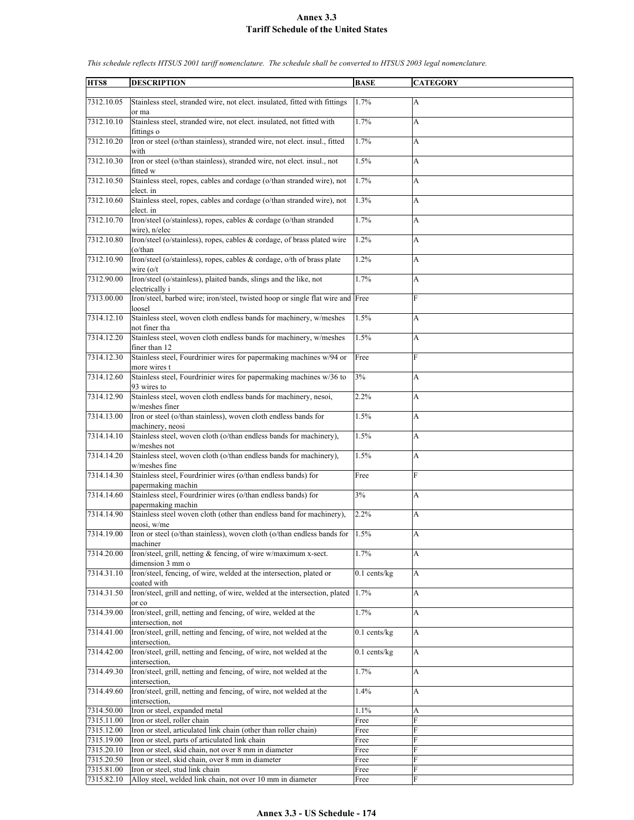| HTS8                     | <b>DESCRIPTION</b>                                                                                                | <b>BASE</b>               | <b>CATEGORY</b> |
|--------------------------|-------------------------------------------------------------------------------------------------------------------|---------------------------|-----------------|
|                          |                                                                                                                   |                           |                 |
| 7312.10.05               | Stainless steel, stranded wire, not elect. insulated, fitted with fittings<br>or ma                               | 1.7%                      | A               |
| 7312.10.10               | Stainless steel, stranded wire, not elect. insulated, not fitted with<br>fittings o                               | 1.7%                      | А               |
| 7312.10.20               | Iron or steel (o/than stainless), stranded wire, not elect. insul., fitted<br>with                                | 1.7%                      | А               |
| 7312.10.30               | Iron or steel (o/than stainless), stranded wire, not elect. insul., not<br>fitted w                               | 1.5%                      | A               |
| 7312.10.50               | Stainless steel, ropes, cables and cordage (o/than stranded wire), not<br>elect. in                               | 1.7%                      | А               |
| 7312.10.60               | Stainless steel, ropes, cables and cordage (o/than stranded wire), not<br>elect. in                               | 1.3%                      | А               |
| 7312.10.70               | Iron/steel (o/stainless), ropes, cables & cordage (o/than stranded<br>wire), n/elec                               | 1.7%                      | A               |
| 7312.10.80               | Iron/steel (o/stainless), ropes, cables & cordage, of brass plated wire<br>(o/than                                | 1.2%                      | A               |
| 7312.10.90               | Iron/steel (o/stainless), ropes, cables $\&$ cordage, o/th of brass plate<br>wire $(o/t)$                         | 1.2%                      | A               |
| 7312.90.00               | Iron/steel (o/stainless), plaited bands, slings and the like, not<br>electrically i                               | 1.7%                      | A               |
| 7313.00.00               | Iron/steel, barbed wire; iron/steel, twisted hoop or single flat wire and Free<br>loosel                          |                           | F               |
| 7314.12.10               | Stainless steel, woven cloth endless bands for machinery, w/meshes<br>not finer tha                               | 1.5%                      | А               |
| 7314.12.20               | Stainless steel, woven cloth endless bands for machinery, w/meshes<br>finer than 12                               | 1.5%                      | A               |
| 7314.12.30               | Stainless steel, Fourdrinier wires for papermaking machines w/94 or<br>more wires t                               | Free                      | F               |
| 7314.12.60               | Stainless steel, Fourdrinier wires for papermaking machines w/36 to<br>93 wires to                                | 3%                        | А               |
| 7314.12.90               | Stainless steel, woven cloth endless bands for machinery, nesoi,<br>w/meshes finer                                | 2.2%                      | A               |
| 7314.13.00               | Iron or steel (o/than stainless), woven cloth endless bands for<br>machinery, neosi                               | 1.5%                      | A               |
| 7314.14.10               | Stainless steel, woven cloth (o/than endless bands for machinery),<br>w/meshes not                                | 1.5%                      | A               |
| 7314.14.20               | Stainless steel, woven cloth (o/than endless bands for machinery),<br>w/meshes fine                               | 1.5%                      | A               |
| 7314.14.30               | Stainless steel, Fourdrinier wires (o/than endless bands) for<br>papermaking machin                               | Free                      | F               |
| 7314.14.60               | Stainless steel, Fourdrinier wires (o/than endless bands) for<br>papermaking machin                               | 3%                        | A               |
| 7314.14.90               | Stainless steel woven cloth (other than endless band for machinery),<br>neosi, w/me                               | 2.2%                      | A               |
| 7314.19.00               | Iron or steel (o/than stainless), woven cloth (o/than endless bands for $ 1.5\% $<br>machiner                     |                           | A               |
| 7314.20.00               | Iron/steel, grill, netting & fencing, of wire w/maximum x-sect.<br>dimension 3 mm o                               | 1.7%                      | A               |
| 7314.31.10               | Iron/steel, fencing, of wire, welded at the intersection, plated or<br>coated with                                | $0.1$ cents/kg            | A               |
| 7314.31.50               | Iron/steel, grill and netting, of wire, welded at the intersection, plated<br>or co                               | 1.7%                      | A               |
| 7314.39.00               | Iron/steel, grill, netting and fencing, of wire, welded at the<br>intersection, not                               | 1.7%                      | A               |
| 7314.41.00               | Iron/steel, grill, netting and fencing, of wire, not welded at the<br>intersection,                               | $0.1$ cents/kg            | A               |
| 7314.42.00               | Iron/steel, grill, netting and fencing, of wire, not welded at the<br>intersection,                               | $\overline{0.1}$ cents/kg | A               |
| 7314.49.30               | Iron/steel, grill, netting and fencing, of wire, not welded at the<br>intersection,                               | 1.7%                      | A               |
| 7314.49.60               | Iron/steel, grill, netting and fencing, of wire, not welded at the<br>intersection,                               | 1.4%                      | A               |
| 7314.50.00               | Iron or steel, expanded metal                                                                                     | 1.1%                      | A               |
| 7315.11.00               | Iron or steel, roller chain                                                                                       | Free                      | F               |
| 7315.12.00<br>7315.19.00 | Iron or steel, articulated link chain (other than roller chain)<br>Iron or steel, parts of articulated link chain | Free<br>Free              | F<br>F          |
| 7315.20.10               | Iron or steel, skid chain, not over 8 mm in diameter                                                              | Free                      | F               |
| 7315.20.50               | Iron or steel, skid chain, over 8 mm in diameter                                                                  | Free                      | F               |
| 7315.81.00               | Iron or steel, stud link chain                                                                                    | Free                      | F               |
| 7315.82.10               | Alloy steel, welded link chain, not over 10 mm in diameter                                                        | Free                      | F               |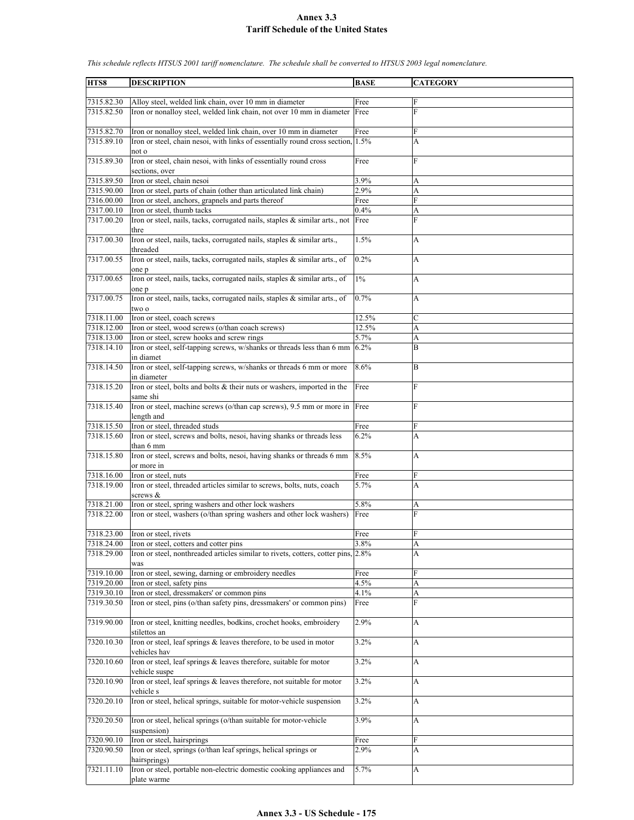**HTS8 DESCRIPTION BASE CATEGORY** 7315.82.30 Alloy steel, welded link chain, over 10 mm in diameter Free F 7315.82.50 Iron or nonalloy steel, welded link chain, not over 10 mm in diameter Free F 7315.82.70 Iron or nonalloy steel, welded link chain, over 10 mm in diameter Free 7315.89.10 Iron or steel, chain nesoi, with links of essentially round cross section, not o 1.5% A 7315.89.30 Iron or steel, chain nesoi, with links of essentially round cross sections, over Free F 7315.89.50 Iron or steel, chain nesoi 3.9% A 7315.90.00 Iron or steel, parts of chain (other than articulated link chain) 2.9% A 7316.00.00 Iron or steel, anchors, grapnels and parts thereof Free Free  $7317.00.10$  Iron or steel, thumb tacks  $0.4\%$  A 7317.00.20 Iron or steel, nails, tacks, corrugated nails, staples & similar arts., not thre Free F 7317.00.30 Iron or steel, nails, tacks, corrugated nails, staples & similar arts., threaded 1.5% A 7317.00.55 Iron or steel, nails, tacks, corrugated nails, staples & similar arts., of one p 0.2% A 7317.00.65 Iron or steel, nails, tacks, corrugated nails, staples & similar arts., of one p 1% A 7317.00.75 Iron or steel, nails, tacks, corrugated nails, staples & similar arts., of two o 0.7% A 7318.11.00 Iron or steel, coach screws 12.5%  $7318.12.00$  Iron or steel, wood screws (o/than coach screws)  $|12.5\%$ 7318.13.00 Iron or steel, screw hooks and screw rings 5.7% A 7318.14.10 Iron or steel, self-tapping screws, w/shanks or threads less than 6 mm in diamet 6.2% B 7318.14.50 Iron or steel, self-tapping screws, w/shanks or threads 6 mm or more in diameter 8.6% B 7318.15.20 Iron or steel, bolts and bolts & their nuts or washers, imported in the same shi Free F 7318.15.40 Iron or steel, machine screws (o/than cap screws), 9.5 mm or more in length and Free F 7318.15.50 Iron or steel, threaded studs Free 7318.15.60 Iron or steel, screws and bolts, nesoi, having shanks or threads less than 6 mm 6.2% A 7318.15.80 Iron or steel, screws and bolts, nesoi, having shanks or threads 6 mm or more in 8.5% A 7318.16.00 Iron or steel, nuts<br>
7318.19.00 Iron or steel, threaded articles similar to screws, bolts, nuts, coach 5.7% Iron or steel, threaded articles similar to screws, bolts, nuts, coach screws & 5.7% A 7318.21.00 Iron or steel, spring washers and other lock washers 5.8% A 7318.22.00 Iron or steel, washers (o/than spring washers and other lock washers) Free F 7318.23.00 Iron or steel, rivets Free 7318.24.00 Iron or steel, cotters and cotter pins 3.8% A 7318.29.00 Iron or steel, nonthreaded articles similar to rivets, cotters, cotter pins, was 2.8% A 7319.10.00 Iron or steel, sewing, darning or embroidery needles Free 7319.20.00 Iron or steel, safety pins 4.5% A 7319.30.10 Iron or steel, dressmakers' or common pins 4.1% A 7319.30.50 Iron or steel, pins (o/than safety pins, dressmakers' or common pins) Free F 7319.90.00 Iron or steel, knitting needles, bodkins, crochet hooks, embroidery stilettos an 2.9% A 7320.10.30 Iron or steel, leaf springs & leaves therefore, to be used in motor vehicles hav 3.2% A 7320.10.60 Iron or steel, leaf springs & leaves therefore, suitable for motor vehicle suspe 3.2% A 7320.10.90 Iron or steel, leaf springs & leaves therefore, not suitable for motor vehicle s 3.2% A 7320.20.10 Iron or steel, helical springs, suitable for motor-vehicle suspension 3.2% A 7320.20.50 Iron or steel, helical springs (o/than suitable for motor-vehicle suspension) 3.9% A 7320.90.10 Iron or steel, hairsprings Free 7320.90.50 Iron or steel, springs (o/than leaf springs, helical springs or hairsprings)  $2.9\%$  A 7321.11.10 Iron or steel, portable non-electric domestic cooking appliances and plate warme 5.7% A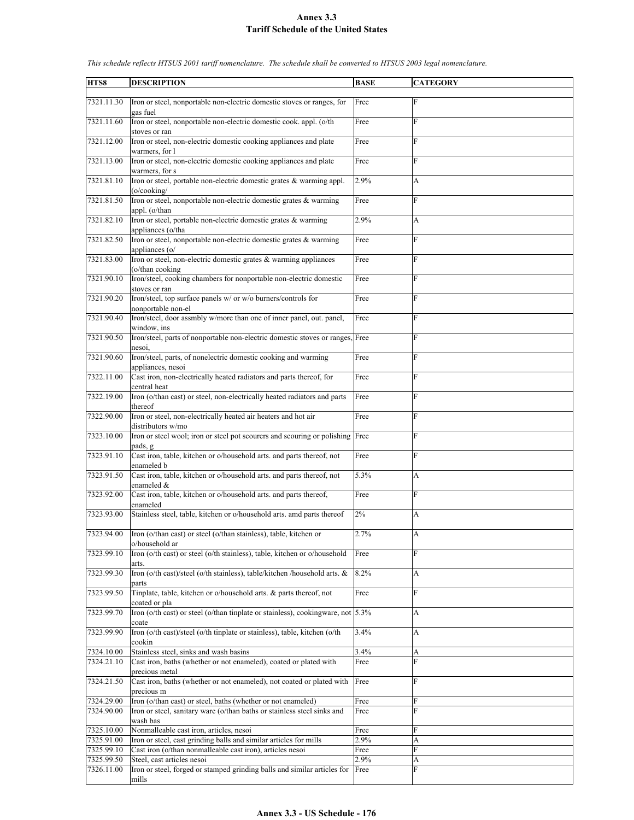| HTS8       | <b>DESCRIPTION</b>                                                                            | <b>BASE</b> | <b>CATEGORY</b> |
|------------|-----------------------------------------------------------------------------------------------|-------------|-----------------|
|            |                                                                                               |             |                 |
| 7321.11.30 | Iron or steel, nonportable non-electric domestic stoves or ranges, for<br>gas fuel            | Free        | F               |
| 7321.11.60 | Iron or steel, nonportable non-electric domestic cook. appl. (o/th<br>stoves or ran           | Free        | F               |
| 7321.12.00 | Iron or steel, non-electric domestic cooking appliances and plate                             | Free        | F               |
| 7321.13.00 | warmers, for l<br>Iron or steel, non-electric domestic cooking appliances and plate           | Free        | F               |
|            | warmers, for s                                                                                |             |                 |
| 7321.81.10 | Iron or steel, portable non-electric domestic grates & warming appl.<br>$(o$ /cooking/        | 2.9%        | A               |
| 7321.81.50 | Iron or steel, nonportable non-electric domestic grates & warming<br>appl. (o/than            | Free        | F               |
| 7321.82.10 | Iron or steel, portable non-electric domestic grates & warming<br>appliances (o/tha           | 2.9%        | А               |
| 7321.82.50 | Iron or steel, nonportable non-electric domestic grates & warming                             | Free        | F               |
| 7321.83.00 | appliances (o/<br>Iron or steel, non-electric domestic grates & warming appliances            | Free        | F               |
| 7321.90.10 | (o/than cooking)<br>Iron/steel, cooking chambers for nonportable non-electric domestic        | Free        | F               |
| 7321.90.20 | stoves or ran<br>Iron/steel, top surface panels w/ or w/o burners/controls for                | Free        | F               |
|            | nonportable non-el                                                                            |             |                 |
| 7321.90.40 | Iron/steel, door assmbly w/more than one of inner panel, out. panel,<br>window, ins           | Free        | F               |
| 7321.90.50 | Iron/steel, parts of nonportable non-electric domestic stoves or ranges, Free<br>nesoi,       |             | F               |
| 7321.90.60 | Iron/steel, parts, of nonelectric domestic cooking and warming<br>appliances, nesoi           | Free        | F               |
| 7322.11.00 | Cast iron, non-electrically heated radiators and parts thereof, for<br>central heat           | Free        | F               |
| 7322.19.00 | Iron (o/than cast) or steel, non-electrically heated radiators and parts                      | Free        | F               |
| 7322.90.00 | thereof<br>Iron or steel, non-electrically heated air heaters and hot air                     | Free        | F               |
|            | distributors w/mo                                                                             |             |                 |
| 7323.10.00 | Iron or steel wool; iron or steel pot scourers and scouring or polishing Free<br>pads, g      |             | F               |
| 7323.91.10 | Cast iron, table, kitchen or o/household arts. and parts thereof, not<br>enameled b           | Free        | F               |
| 7323.91.50 | Cast iron, table, kitchen or o/household arts. and parts thereof, not<br>enameled &           | 5.3%        | A               |
| 7323.92.00 | Cast iron, table, kitchen or o/household arts. and parts thereof,<br>enameled                 | Free        | F               |
| 7323.93.00 | Stainless steel, table, kitchen or o/household arts. amd parts thereof                        | $2\%$       | A               |
| 7323.94.00 | Iron (o/than cast) or steel (o/than stainless), table, kitchen or                             | 2.7%        | A               |
| 7323.99.10 | o/household ar<br>Iron (o/th cast) or steel (o/th stainless), table, kitchen or o/household   | Free        | F               |
| 7323.99.30 | arts.<br>Iron (o/th cast)/steel (o/th stainless), table/kitchen /household arts. &            | 8.2%        | A               |
|            | parts                                                                                         |             |                 |
| 7323.99.50 | Tinplate, table, kitchen or o/household arts. & parts thereof, not<br>coated or pla           | Free        | F               |
| 7323.99.70 | Iron (o/th cast) or steel (o/than tinplate or stainless), cookingware, not $ 5.3\% $<br>coate |             | A               |
| 7323.99.90 | Iron (o/th cast)/steel (o/th tinplate or stainless), table, kitchen (o/th<br>cookin           | 3.4%        | A               |
| 7324.10.00 | Stainless steel, sinks and wash basins                                                        | 3.4%        | A               |
| 7324.21.10 | Cast iron, baths (whether or not enameled), coated or plated with                             | Free        | F               |
|            |                                                                                               |             |                 |
|            | precious metal                                                                                |             |                 |
| 7324.21.50 | Cast iron, baths (whether or not enameled), not coated or plated with<br>precious m           | Free        | F               |
| 7324.29.00 | Iron (o/than cast) or steel, baths (whether or not enameled)                                  | Free        | F               |
| 7324.90.00 | Iron or steel, sanitary ware (o/than baths or stainless steel sinks and                       | Free        | F               |
|            | wash bas                                                                                      |             |                 |
| 7325.10.00 | Nonmalleable cast iron, articles, nesoi                                                       | Free        | F               |
| 7325.91.00 | Iron or steel, cast grinding balls and similar articles for mills                             | 2.9%        | A               |
| 7325.99.10 | Cast iron (o/than nonmalleable cast iron), articles nesoi                                     | Free        | F               |
| 7325.99.50 | Steel, cast articles nesoi                                                                    | 2.9%        | A               |
|            |                                                                                               |             |                 |
| 7326.11.00 | Iron or steel, forged or stamped grinding balls and similar articles for<br>mills             | Free        | F               |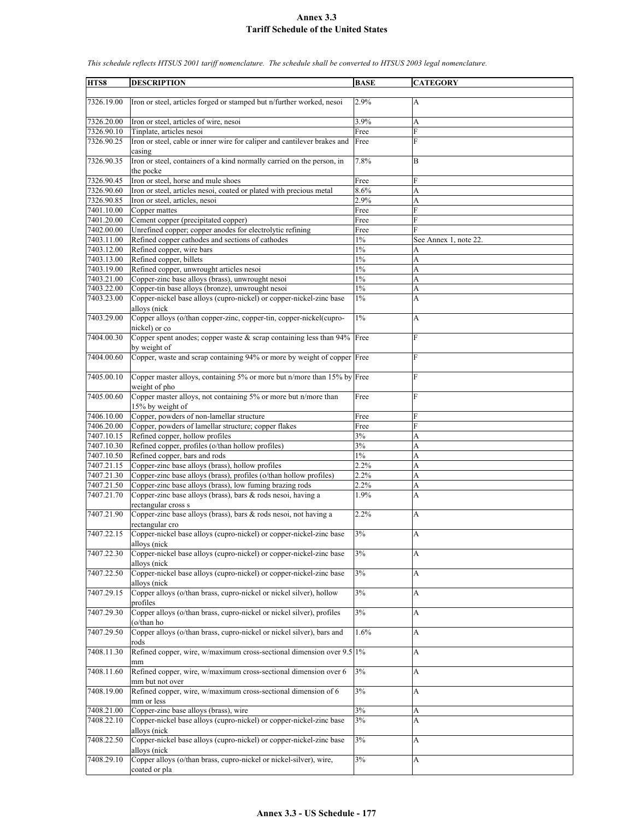| HTS8                     | <b>DESCRIPTION</b>                                                                                    | <b>BASE</b>  | <b>CATEGORY</b>           |
|--------------------------|-------------------------------------------------------------------------------------------------------|--------------|---------------------------|
|                          |                                                                                                       |              |                           |
| 7326.19.00               | Iron or steel, articles forged or stamped but n/further worked, nesoi                                 | 2.9%         | A                         |
| 7326.20.00               | Iron or steel, articles of wire, nesoi                                                                | 3.9%         | A                         |
| 7326.90.10               | Tinplate, articles nesoi                                                                              | Free         | F                         |
| 7326.90.25               | Iron or steel, cable or inner wire for caliper and cantilever brakes and<br>casing                    | Free         | F                         |
| 7326.90.35               | Iron or steel, containers of a kind normally carried on the person, in                                | 7.8%         | B                         |
| 7326.90.45               | the pocke<br>Iron or steel, horse and mule shoes                                                      |              | F                         |
|                          |                                                                                                       | Free         |                           |
| 7326.90.60               | Iron or steel, articles nesoi, coated or plated with precious metal<br>Iron or steel, articles, nesoi | 8.6%<br>2.9% | A                         |
| 7326.90.85<br>7401.10.00 | Copper mattes                                                                                         | Free         | A<br>F                    |
| 7401.20.00               |                                                                                                       | Free         | F                         |
| 7402.00.00               | Cement copper (precipitated copper)                                                                   |              | F                         |
|                          | Unrefined copper; copper anodes for electrolytic refining                                             | Free         |                           |
| 7403.11.00               | Refined copper cathodes and sections of cathodes                                                      | $1\%$        | See Annex 1, note 22.     |
| 7403.12.00               | Refined copper, wire bars                                                                             | $1\%$        | А                         |
| 7403.13.00               | Refined copper, billets                                                                               | $1\%$        | $\overline{A}$            |
| 7403.19.00               | Refined copper, unwrought articles nesoi                                                              | $1\%$        | A                         |
| 7403.21.00               | Copper-zinc base alloys (brass), unwrought nesoi                                                      | $1\%$        | A                         |
| 7403.22.00               | Copper-tin base alloys (bronze), unwrought nesoi                                                      | $1\%$        | A                         |
| 7403.23.00               | Copper-nickel base alloys (cupro-nickel) or copper-nickel-zinc base<br>alloys (nick                   | $1\%$        | A                         |
| 7403.29.00               | Copper alloys (o/than copper-zinc, copper-tin, copper-nickel(cupro-<br>nickel) or co                  | $1\%$        | A                         |
| 7404.00.30               | Copper spent anodes; copper waste $\&$ scrap containing less than 94% Free<br>by weight of            |              | F                         |
| 7404.00.60               | Copper, waste and scrap containing 94% or more by weight of copper Free                               |              | F                         |
| 7405.00.10               | Copper master alloys, containing 5% or more but n/more than 15% by Free<br>weight of pho              |              | F                         |
| 7405.00.60               | Copper master alloys, not containing 5% or more but n/more than<br>15% by weight of                   | Free         | $\mathbf{F}$              |
| 7406.10.00               | Copper, powders of non-lamellar structure                                                             | Free         | F                         |
| 7406.20.00               | Copper, powders of lamellar structure; copper flakes                                                  | Free         | $\boldsymbol{\mathrm{F}}$ |
| 7407.10.15               | Refined copper, hollow profiles                                                                       | 3%           | A                         |
| 7407.10.30               | Refined copper, profiles (o/than hollow profiles)                                                     | 3%           | A                         |
| 7407.10.50               | Refined copper, bars and rods                                                                         | $1\%$        | A                         |
| 7407.21.15               | Copper-zinc base alloys (brass), hollow profiles                                                      | 2.2%         | A                         |
| 7407.21.30               | Copper-zinc base alloys (brass), profiles (o/than hollow profiles)                                    | 2.2%         | A                         |
| 7407.21.50               | Copper-zinc base alloys (brass), low fuming brazing rods                                              | 2.2%         | A                         |
| 7407.21.70               | Copper-zinc base alloys (brass), bars & rods nesoi, having a                                          | 1.9%         | A                         |
| 7407.21.90               | rectangular cross s<br>Copper-zinc base alloys (brass), bars & rods nesoi, not having a               | 2.2%         | А                         |
|                          | rectangular cro                                                                                       |              |                           |
| 7407.22.15               | Copper-nickel base alloys (cupro-nickel) or copper-nickel-zinc base<br>alloys (nick                   | $3\%$        | $\overline{A}$            |
| 7407.22.30               | Copper-nickel base alloys (cupro-nickel) or copper-nickel-zinc base<br>alloys (nick                   | 3%           | A                         |
| 7407.22.50               | Copper-nickel base alloys (cupro-nickel) or copper-nickel-zinc base<br>alloys (nick                   | 3%           | A                         |
| 7407.29.15               | Copper alloys (o/than brass, cupro-nickel or nickel silver), hollow<br>profiles                       | 3%           | A                         |
| 7407.29.30               | Copper alloys (o/than brass, cupro-nickel or nickel silver), profiles<br>(o/than ho                   | 3%           | A                         |
| 7407.29.50               | Copper alloys (o/than brass, cupro-nickel or nickel silver), bars and<br>rods                         | 1.6%         | A                         |
| 7408.11.30               | Refined copper, wire, w/maximum cross-sectional dimension over $9.5 1\%$<br>mm                        |              | A                         |
| 7408.11.60               | Refined copper, wire, w/maximum cross-sectional dimension over 6<br>mm but not over                   | 3%           | $\mathbf{A}$              |
| 7408.19.00               | Refined copper, wire, w/maximum cross-sectional dimension of 6<br>mm or less                          | 3%           | $\mathbf{A}$              |
| 7408.21.00               | Copper-zinc base alloys (brass), wire                                                                 | 3%           | A                         |
| 7408.22.10               | Copper-nickel base alloys (cupro-nickel) or copper-nickel-zinc base<br>alloys (nick                   | 3%           | A                         |
| 7408.22.50               | Copper-nickel base alloys (cupro-nickel) or copper-nickel-zinc base<br>alloys (nick                   | 3%           | A                         |
| 7408.29.10               | Copper alloys (o/than brass, cupro-nickel or nickel-silver), wire,<br>coated or pla                   | 3%           | A                         |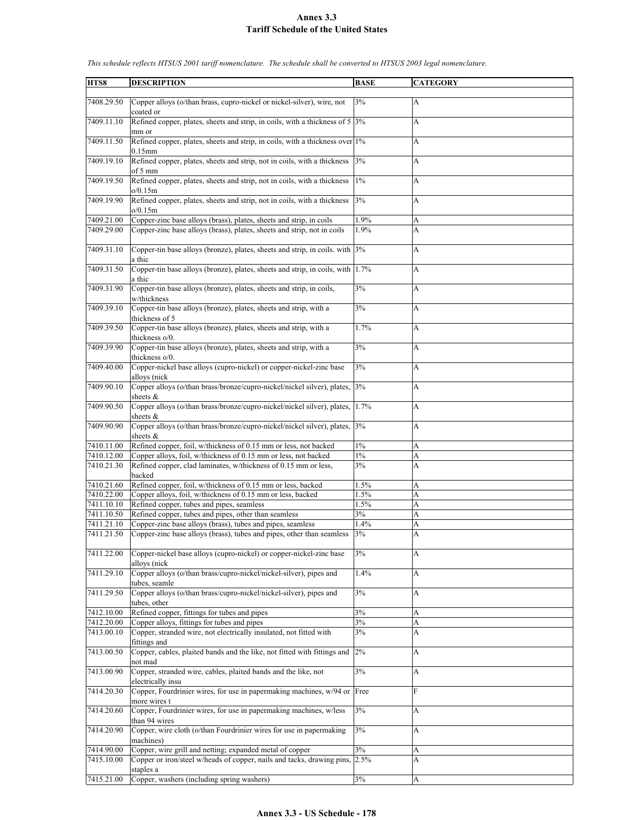| HTS8       | <b>DESCRIPTION</b>                                                                   | <b>BASE</b> | <b>CATEGORY</b>           |
|------------|--------------------------------------------------------------------------------------|-------------|---------------------------|
|            |                                                                                      |             |                           |
| 7408.29.50 | Copper alloys (o/than brass, cupro-nickel or nickel-silver), wire, not               | 3%          | A                         |
|            | coated or                                                                            |             |                           |
| 7409.11.10 | Refined copper, plates, sheets and strip, in coils, with a thickness of $5 \mid 3\%$ |             | A                         |
|            |                                                                                      |             |                           |
|            | mm or                                                                                |             |                           |
| 7409.11.50 | Refined copper, plates, sheets and strip, in coils, with a thickness over $1\%$      |             | A                         |
|            | $0.15$ mm                                                                            |             |                           |
| 7409.19.10 | Refined copper, plates, sheets and strip, not in coils, with a thickness             | 3%          | A                         |
|            | of 5 mm                                                                              |             |                           |
| 7409.19.50 | Refined copper, plates, sheets and strip, not in coils, with a thickness             | $1\%$       | $\boldsymbol{\mathsf{A}}$ |
|            | o/0.15m                                                                              |             |                           |
|            |                                                                                      |             |                           |
| 7409.19.90 | Refined copper, plates, sheets and strip, not in coils, with a thickness             | 3%          | A                         |
|            | o/0.15m                                                                              |             |                           |
| 7409.21.00 | Copper-zinc base alloys (brass), plates, sheets and strip, in coils                  | 1.9%        | А                         |
| 7409.29.00 | Copper-zinc base alloys (brass), plates, sheets and strip, not in coils              | 1.9%        | A                         |
|            |                                                                                      |             |                           |
| 7409.31.10 | Copper-tin base alloys (bronze), plates, sheets and strip, in coils. with 3%         |             | A                         |
|            |                                                                                      |             |                           |
|            | a thic                                                                               |             |                           |
| 7409.31.50 | Copper-tin base alloys (bronze), plates, sheets and strip, in coils, with 1.7%       |             | A                         |
|            | a thic                                                                               |             |                           |
| 7409.31.90 | Copper-tin base alloys (bronze), plates, sheets and strip, in coils,                 | 3%          | A                         |
|            | w/thickness                                                                          |             |                           |
| 7409.39.10 | Copper-tin base alloys (bronze), plates, sheets and strip, with a                    | 3%          | A                         |
|            |                                                                                      |             |                           |
|            | thickness of 5                                                                       |             |                           |
| 7409.39.50 | Copper-tin base alloys (bronze), plates, sheets and strip, with a                    | 1.7%        | A                         |
|            | thickness o/0.                                                                       |             |                           |
| 7409.39.90 | Copper-tin base alloys (bronze), plates, sheets and strip, with a                    | 3%          | A                         |
|            | thickness o/0.                                                                       |             |                           |
| 7409.40.00 | Copper-nickel base alloys (cupro-nickel) or copper-nickel-zinc base                  | 3%          | A                         |
|            |                                                                                      |             |                           |
|            | alloys (nick                                                                         |             |                           |
| 7409.90.10 | Copper alloys (o/than brass/bronze/cupro-nickel/nickel silver), plates, 3%           |             | A                         |
|            | sheets &                                                                             |             |                           |
| 7409.90.50 | Copper alloys (o/than brass/bronze/cupro-nickel/nickel silver), plates, 1.7%         |             | A                         |
|            | sheets $&$                                                                           |             |                           |
| 7409.90.90 | Copper alloys (o/than brass/bronze/cupro-nickel/nickel silver), plates, 3%           |             | A                         |
|            | sheets &                                                                             |             |                           |
|            |                                                                                      |             |                           |
| 7410.11.00 | Refined copper, foil, w/thickness of 0.15 mm or less, not backed                     | $1\%$       | А                         |
| 7410.12.00 | Copper alloys, foil, w/thickness of 0.15 mm or less, not backed                      | $1\%$       | A                         |
| 7410.21.30 | Refined copper, clad laminates, w/thickness of 0.15 mm or less,                      | 3%          | A                         |
|            | backed                                                                               |             |                           |
| 7410.21.60 | Refined copper, foil, w/thickness of 0.15 mm or less, backed                         | 1.5%        | A                         |
| 7410.22.00 | Copper alloys, foil, w/thickness of 0.15 mm or less, backed                          | 1.5%        | A                         |
| 7411.10.10 |                                                                                      |             |                           |
|            | Refined copper, tubes and pipes, seamless                                            | 1.5%        | A                         |
| 7411.10.50 | Refined copper, tubes and pipes, other than seamless                                 | 3%          | A                         |
| 7411.21.10 | Copper-zinc base alloys (brass), tubes and pipes, seamless                           | 1.4%        | A                         |
| 7411.21.50 | Copper-zinc base alloys (brass), tubes and pipes, other than seamless                | 3%          | A                         |
|            |                                                                                      |             |                           |
| 7411.22.00 | Copper-nickel base alloys (cupro-nickel) or copper-nickel-zinc base                  | 3%          | A                         |
|            |                                                                                      |             |                           |
|            | alloys (nick                                                                         |             |                           |
| 7411.29.10 | Copper alloys (o/than brass/cupro-nickel/nickel-silver), pipes and                   | 1.4%        | A                         |
|            | tubes, seamle                                                                        |             |                           |
| 7411.29.50 | Copper alloys (o/than brass/cupro-nickel/nickel-silver), pipes and                   | 3%          | A                         |
|            | tubes, other                                                                         |             |                           |
| 7412.10.00 | Refined copper, fittings for tubes and pipes                                         | 3%          | A                         |
| 7412.20.00 |                                                                                      |             |                           |
|            | Copper alloys, fittings for tubes and pipes                                          | 3%          | A                         |
| 7413.00.10 | Copper, stranded wire, not electrically insulated, not fitted with                   | 3%          | A                         |
|            | fittings and                                                                         |             |                           |
| 7413.00.50 | Copper, cables, plaited bands and the like, not fitted with fittings and             | 2%          | A                         |
|            | not mad                                                                              |             |                           |
| 7413.00.90 | Copper, stranded wire, cables, plaited bands and the like, not                       | 3%          | $\boldsymbol{\mathsf{A}}$ |
|            |                                                                                      |             |                           |
|            | electrically insu                                                                    |             |                           |
| 7414.20.30 | Copper, Fourdrinier wires, for use in papermaking machines, w/94 or Free             |             | $\mathbf{F}$              |
|            | more wires t                                                                         |             |                           |
| 7414.20.60 | Copper, Fourdrinier wires, for use in papermaking machines, w/less                   | 3%          | A                         |
|            | than 94 wires                                                                        |             |                           |
| 7414.20.90 | Copper, wire cloth (o/than Fourdrinier wires for use in papermaking                  | 3%          | $\boldsymbol{\mathsf{A}}$ |
|            | machines)                                                                            |             |                           |
|            |                                                                                      |             |                           |
| 7414.90.00 | Copper, wire grill and netting; expanded metal of copper                             | 3%          | A                         |
| 7415.10.00 | Copper or iron/steel w/heads of copper, nails and tacks, drawing pins, 2.5%          |             | A                         |
|            | staples a                                                                            |             |                           |
| 7415.21.00 | Copper, washers (including spring washers)                                           | 3%          | A                         |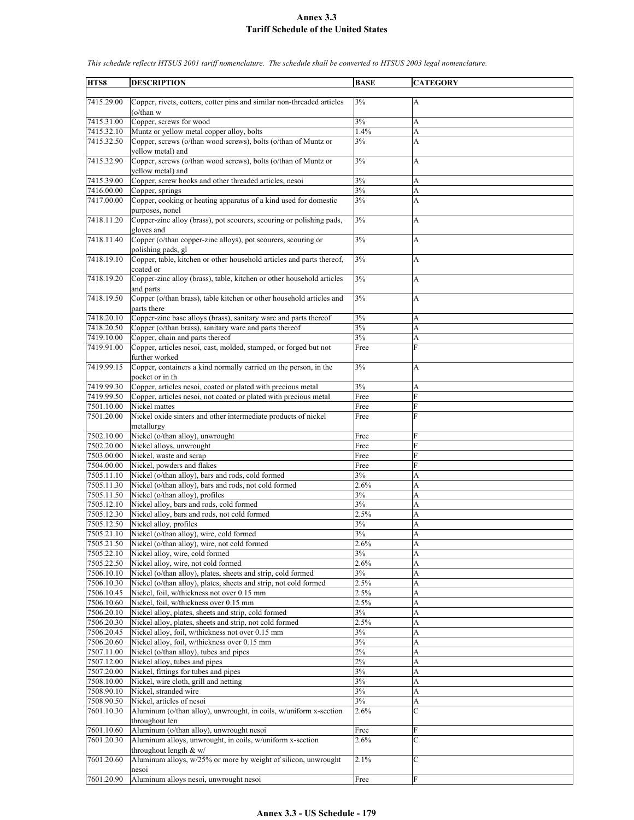| HTS8                     | <b>DESCRIPTION</b>                                                                       | <b>BASE</b> | <b>CATEGORY</b> |
|--------------------------|------------------------------------------------------------------------------------------|-------------|-----------------|
|                          |                                                                                          |             |                 |
| 7415.29.00               | Copper, rivets, cotters, cotter pins and similar non-threaded articles                   | 3%          | А               |
|                          | $(o/\text{than } w$                                                                      |             |                 |
| 7415.31.00               | Copper, screws for wood                                                                  | 3%          | A               |
| 7415.32.10               | Muntz or yellow metal copper alloy, bolts                                                | 1.4%        | A               |
| 7415.32.50               | Copper, screws (o/than wood screws), bolts (o/than of Muntz or                           | 3%          | A               |
|                          | yellow metal) and                                                                        |             |                 |
| 7415.32.90               | Copper, screws (o/than wood screws), bolts (o/than of Muntz or                           | 3%          | A               |
|                          | yellow metal) and                                                                        |             |                 |
| 7415.39.00               | Copper, screw hooks and other threaded articles, nesoi                                   | 3%          | A               |
| 7416.00.00               | Copper, springs                                                                          | 3%          | A               |
| 7417.00.00               | Copper, cooking or heating apparatus of a kind used for domestic                         | 3%          | A               |
|                          | purposes, nonel                                                                          |             |                 |
| 7418.11.20               | Copper-zinc alloy (brass), pot scourers, scouring or polishing pads,                     | 3%          | A               |
| 7418.11.40               | gloves and<br>Copper (o/than copper-zinc alloys), pot scourers, scouring or              | 3%          | A               |
|                          | polishing pads, gl                                                                       |             |                 |
| 7418.19.10               | Copper, table, kitchen or other household articles and parts thereof,                    | 3%          | A               |
|                          | coated or                                                                                |             |                 |
| 7418.19.20               | Copper-zinc alloy (brass), table, kitchen or other household articles                    | 3%          | A               |
|                          | and parts                                                                                |             |                 |
| 7418.19.50               | Copper (o/than brass), table kitchen or other household articles and                     | 3%          | A               |
|                          | parts there                                                                              |             |                 |
| 7418.20.10               | Copper-zinc base alloys (brass), sanitary ware and parts thereof                         | 3%          | А               |
| 7418.20.50               | Copper (o/than brass), sanitary ware and parts thereof                                   | 3%          | A               |
| 7419.10.00               | Copper, chain and parts thereof                                                          | 3%          | A               |
| 7419.91.00               | Copper, articles nesoi, cast, molded, stamped, or forged but not                         | Free        | F               |
|                          | further worked                                                                           |             |                 |
| 7419.99.15               | Copper, containers a kind normally carried on the person, in the                         | 3%          | A               |
|                          | pocket or in th                                                                          |             |                 |
| 7419.99.30               | Copper, articles nesoi, coated or plated with precious metal                             | 3%          | А               |
| 7419.99.50               | Copper, articles nesoi, not coated or plated with precious metal                         | Free        | F               |
| 7501.10.00               | Nickel mattes                                                                            | Free        | F               |
| 7501.20.00               | Nickel oxide sinters and other intermediate products of nickel                           | Free        | F               |
|                          | metallurgy                                                                               |             |                 |
| 7502.10.00               | Nickel (o/than alloy), unwrought                                                         | Free        | F               |
| 7502.20.00               | Nickel alloys, unwrought                                                                 | Free        | F               |
| 7503.00.00               | Nickel, waste and scrap                                                                  | Free        | F               |
| 7504.00.00               | Nickel, powders and flakes                                                               | Free        | F               |
| 7505.11.10               | Nickel (o/than alloy), bars and rods, cold formed                                        | 3%          | A               |
| 7505.11.30               | Nickel (o/than alloy), bars and rods, not cold formed                                    | 2.6%        | A               |
| 7505.11.50               | Nickel (o/than alloy), profiles                                                          | 3%<br>3%    | A               |
| 7505.12.10<br>7505.12.30 | Nickel alloy, bars and rods, cold formed<br>Nickel alloy, bars and rods, not cold formed |             | A               |
| 7505.12.50               | Nickel alloy, profiles                                                                   | 2.5%<br>3%  | A<br>A          |
| 7505.21.10               | Nickel (o/than alloy), wire, cold formed                                                 | 3%          | A               |
| 7505.21.50               | Nickel (o/than alloy), wire, not cold formed                                             | 2.6%        | A               |
| 7505.22.10               | Nickel alloy, wire, cold formed                                                          | 3%          | A               |
| 7505.22.50               | Nickel alloy, wire, not cold formed                                                      | 2.6%        | A               |
| 7506.10.10               | Nickel (o/than alloy), plates, sheets and strip, cold formed                             | 3%          | A               |
| 7506.10.30               | Nickel (o/than alloy), plates, sheets and strip, not cold formed                         | 2.5%        | A               |
| 7506.10.45               | Nickel, foil, w/thickness not over 0.15 mm                                               | 2.5%        | A               |
| 7506.10.60               | Nickel, foil, w/thickness over 0.15 mm                                                   | 2.5%        | A               |
| 7506.20.10               | Nickel alloy, plates, sheets and strip, cold formed                                      | 3%          | A               |
| 7506.20.30               | Nickel alloy, plates, sheets and strip, not cold formed                                  | 2.5%        | A               |
| 7506.20.45               | Nickel alloy, foil, w/thickness not over 0.15 mm                                         | 3%          | A               |
| 7506.20.60               | Nickel alloy, foil, w/thickness over 0.15 mm                                             | $3\%$       | A               |
| 7507.11.00               | Nickel (o/than alloy), tubes and pipes                                                   | $2\%$       | A               |
| 7507.12.00               | Nickel alloy, tubes and pipes                                                            | $2\%$       | A               |
| 7507.20.00               | Nickel, fittings for tubes and pipes                                                     | 3%          | A               |
| 7508.10.00               | Nickel, wire cloth, grill and netting                                                    | 3%          | A               |
| 7508.90.10               | Nickel, stranded wire                                                                    | 3%          | A               |
| 7508.90.50               | Nickel, articles of nesoi                                                                | 3%          | A               |
| 7601.10.30               | Aluminum (o/than alloy), unwrought, in coils, w/uniform x-section                        | 2.6%        | Ċ               |
|                          | throughout len                                                                           |             |                 |
| 7601.10.60               | Aluminum (o/than alloy), unwrought nesoi                                                 | Free        | F               |
| 7601.20.30               | Aluminum alloys, unwrought, in coils, w/uniform x-section                                | 2.6%        | $\overline{C}$  |
|                          | throughout length $& w/$                                                                 |             |                 |
| 7601.20.60               | Aluminum alloys, w/25% or more by weight of silicon, unwrought                           | 2.1%        | $\mathcal{C}$   |
|                          | nesoi                                                                                    |             |                 |
| 7601.20.90               | Aluminum alloys nesoi, unwrought nesoi                                                   | Free        | F               |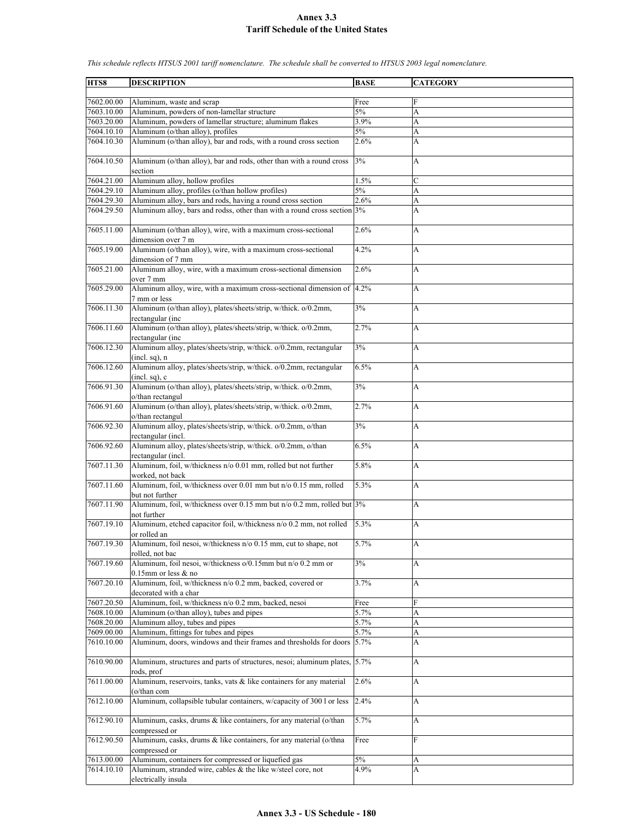**HTS8 DESCRIPTION BASE CATEGORY** 7602.00.00 Aluminum, waste and scrap Free 7603.10.00 Aluminum, powders of non-lamellar structure 5% 7603.20.00 Aluminum, powders of lamellar structure; aluminum flakes 3.9% A  $7604.10.10$  Aluminum (o/than alloy), profiles  $5\%$ 7604.10.30 Aluminum (o/than alloy), bar and rods, with a round cross section  $2.6\%$  A 7604.10.50 Aluminum (o/than alloy), bar and rods, other than with a round cross section  $3\%$  A  $7604.21.00$  Aluminum alloy, hollow profiles  $1.5\%$ 7604.29.10 Aluminum alloy, profiles (o/than hollow profiles) 5% A 7604.29.30 Aluminum alloy, bars and rods, having a round cross section 2.6% A 7604.29.50 Aluminum alloy, bars and rodss, other than with a round cross section 3% A 7605.11.00 Aluminum (o/than alloy), wire, with a maximum cross-sectional dimension over 7 m 2.6% A 7605.19.00 Aluminum (o/than alloy), wire, with a maximum cross-sectional dimension of 7 mm 4.2% A 7605.21.00 Aluminum alloy, wire, with a maximum cross-sectional dimension over 7 mm 2.6% A 7605.29.00 Aluminum alloy, wire, with a maximum cross-sectional dimension of 7 mm or less 4.2% A 7606.11.30 Aluminum (o/than alloy), plates/sheets/strip, w/thick. o/0.2mm, rectangular (inc  $3\%$  A 7606.11.60 Aluminum (o/than alloy), plates/sheets/strip, w/thick. o/0.2mm, rectangular (inc 2.7% A 7606.12.30 Aluminum alloy, plates/sheets/strip, w/thick. o/0.2mm, rectangular (incl. sq), n 3% A 7606.12.60 Aluminum alloy, plates/sheets/strip, w/thick. o/0.2mm, rectangular (incl. sq), c 6.5% A 7606.91.30 Aluminum (o/than alloy), plates/sheets/strip, w/thick. o/0.2mm, o/than rectangul 3% A 7606.91.60 Aluminum (o/than alloy), plates/sheets/strip, w/thick. o/0.2mm, o/than rectangul 2.7% A 7606.92.30 Aluminum alloy, plates/sheets/strip, w/thick. o/0.2mm, o/than rectangular (incl.  $3\%$  A 7606.92.60 Aluminum alloy, plates/sheets/strip, w/thick. o/0.2mm, o/than rectangular (incl. 6.5% A 7607.11.30 Aluminum, foil, w/thickness n/o 0.01 mm, rolled but not further worked, not back 5.8% A 7607.11.60 Aluminum, foil, w/thickness over 0.01 mm but n/o 0.15 mm, rolled but not further  $5.3\%$  A 7607.11.90 Aluminum, foil, w/thickness over 0.15 mm but n/o 0.2 mm, rolled but not further  $3\%$  A 7607.19.10 Aluminum, etched capacitor foil, w/thickness n/o 0.2 mm, not rolled or rolled an 5.3% A 7607.19.30 Aluminum, foil nesoi, w/thickness n/o 0.15 mm, cut to shape, not rolled, not bac 5.7% A 7607.19.60 Aluminum, foil nesoi, w/thickness o/0.15mm but n/o 0.2 mm or 0.15mm or less & no  $3\%$  A 7607.20.10 Aluminum, foil, w/thickness n/o 0.2 mm, backed, covered or decorated with a char 3.7% A 7607.20.50 Aluminum, foil, w/thickness n/o 0.2 mm, backed, nesoi Free  $7608.10.00$  Aluminum (o/than alloy), tubes and pipes  $5.7\%$  A  $7608.20.00$  Aluminum alloy, tubes and pipes  $5.7\%$ 7609.00.00 Aluminum, fittings for tubes and pipes 5.7% A 7610.10.00 Aluminum, doors, windows and their frames and thresholds for doors 5.7% A 7610.90.00 Aluminum, structures and parts of structures, nesoi; aluminum plates, rods, prof 5.7% A 7611.00.00 Aluminum, reservoirs, tanks, vats & like containers for any material (o/than com 2.6% A 7612.10.00 Aluminum, collapsible tubular containers, w/capacity of 300 l or less 2.4% A 7612.90.10 Aluminum, casks, drums & like containers, for any material (o/than compressed or 5.7% A 7612.90.50 Aluminum, casks, drums & like containers, for any material (o/thna compressed or Free F 7613.00.00 Aluminum, containers for compressed or liquefied gas 5% A 7614.10.10 Aluminum, stranded wire, cables & the like w/steel core, not electrically insula 4.9% A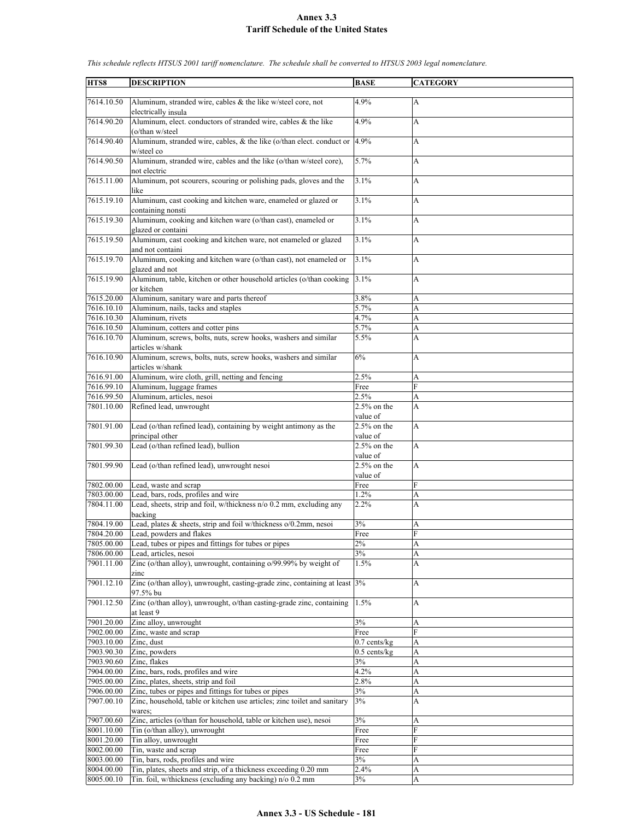| HTS8       | <b>DESCRIPTION</b>                                                       | <b>BASE</b>                         | <b>CATEGORY</b> |
|------------|--------------------------------------------------------------------------|-------------------------------------|-----------------|
|            |                                                                          |                                     |                 |
| 7614.10.50 | Aluminum, stranded wire, cables $\&$ the like w/steel core, not          | 4.9%                                | A               |
|            | electrically insula                                                      |                                     |                 |
| 7614.90.20 | Aluminum, elect. conductors of stranded wire, cables & the like          | 4.9%                                | A               |
|            | (o/than w/steel                                                          |                                     |                 |
| 7614.90.40 | Aluminum, stranded wire, cables, & the like (o/than elect. conduct or    | 4.9%                                | А               |
|            | w/steel co                                                               |                                     |                 |
| 7614.90.50 | Aluminum, stranded wire, cables and the like (o/than w/steel core),      | 5.7%                                | A               |
|            | not electric                                                             |                                     |                 |
| 7615.11.00 |                                                                          | 3.1%                                |                 |
|            | Aluminum, pot scourers, scouring or polishing pads, gloves and the       |                                     | A               |
|            | like                                                                     |                                     |                 |
| 7615.19.10 | Aluminum, cast cooking and kitchen ware, enameled or glazed or           | 3.1%                                | A               |
|            | containing nonsti                                                        |                                     |                 |
| 7615.19.30 | Aluminum, cooking and kitchen ware (o/than cast), enameled or            | 3.1%                                | A               |
|            | glazed or containi                                                       |                                     |                 |
| 7615.19.50 | Aluminum, cast cooking and kitchen ware, not enameled or glazed          | 3.1%                                | A               |
|            | and not containi                                                         |                                     |                 |
| 7615.19.70 | Aluminum, cooking and kitchen ware (o/than cast), not enameled or        | 3.1%                                | A               |
|            | glazed and not                                                           |                                     |                 |
| 7615.19.90 | Aluminum, table, kitchen or other household articles (o/than cooking     | 3.1%                                | A               |
|            | or kitchen                                                               |                                     |                 |
|            |                                                                          |                                     |                 |
| 7615.20.00 | Aluminum, sanitary ware and parts thereof                                | 3.8%                                | A               |
| 7616.10.10 | Aluminum, nails, tacks and staples                                       | 5.7%                                | A               |
| 7616.10.30 | Aluminum, rivets                                                         | 4.7%                                | A               |
| 7616.10.50 | Aluminum, cotters and cotter pins                                        | 5.7%                                | A               |
| 7616.10.70 | Aluminum, screws, bolts, nuts, screw hooks, washers and similar          | $\overline{5.5\%}$                  | A               |
|            | articles w/shank                                                         |                                     |                 |
| 7616.10.90 | Aluminum, screws, bolts, nuts, screw hooks, washers and similar          | 6%                                  | A               |
|            | articles w/shank                                                         |                                     |                 |
|            |                                                                          |                                     |                 |
| 7616.91.00 | Aluminum, wire cloth, grill, netting and fencing                         | 2.5%                                | А               |
| 7616.99.10 | Aluminum, luggage frames                                                 | Free                                | F               |
| 7616.99.50 | Aluminum, articles, nesoi                                                | 2.5%                                | A               |
| 7801.10.00 | Refined lead, unwrought                                                  | $2.5%$ on the                       | A               |
|            |                                                                          | value of                            |                 |
| 7801.91.00 | Lead (o/than refined lead), containing by weight antimony as the         | $2.5%$ on the                       | A               |
|            | principal other                                                          | value of                            |                 |
| 7801.99.30 | Lead (o/than refined lead), bullion                                      | $2.5%$ on the                       | A               |
|            |                                                                          |                                     |                 |
|            |                                                                          | value of                            |                 |
| 7801.99.90 | Lead (o/than refined lead), unwrought nesoi                              | $2.5%$ on the                       | A               |
|            |                                                                          | value of                            |                 |
| 7802.00.00 | Lead, waste and scrap                                                    | Free                                | F               |
| 7803.00.00 | Lead, bars, rods, profiles and wire                                      | 1.2%                                | A               |
| 7804.11.00 | Lead, sheets, strip and foil, w/thickness n/o 0.2 mm, excluding any      | 2.2%                                | A               |
|            | backing                                                                  |                                     |                 |
| 7804.19.00 | Lead, plates & sheets, strip and foil w/thickness o/0.2mm, nesoi         | 3%                                  | А               |
| 7804.20.00 | Lead, powders and flakes                                                 | Free                                | F               |
|            |                                                                          |                                     |                 |
| 7805.00.00 | Lead, tubes or pipes and fittings for tubes or pipes                     | $2\%$                               | A               |
| 7806.00.00 | Lead, articles, nesoi                                                    | 3%                                  | A               |
| 7901.11.00 | Zinc (o/than alloy), unwrought, containing o/99.99% by weight of         | 1.5%                                | A               |
|            | zinc                                                                     |                                     |                 |
| 7901.12.10 | Zinc (o/than alloy), unwrought, casting-grade zinc, containing at least  | 3%                                  | A               |
|            | 97.5% bu                                                                 |                                     |                 |
| 7901.12.50 | Zinc (o/than alloy), unwrought, o/than casting-grade zinc, containing    | 1.5%                                | A               |
|            | at least 9                                                               |                                     |                 |
|            |                                                                          | 3%                                  |                 |
| 7901.20.00 | Zinc alloy, unwrought                                                    |                                     | A               |
| 7902.00.00 | Zinc, waste and scrap                                                    | Free                                | F               |
| 7903.10.00 | Zinc, dust                                                               | $0.7$ cents/ $\overline{\text{kg}}$ | A               |
| 7903.90.30 | Zinc, powders                                                            | $0.5$ cents/ $kg$                   | A               |
| 7903.90.60 | Zinc, flakes                                                             | 3%                                  | A               |
| 7904.00.00 | Zinc, bars, rods, profiles and wire                                      | 4.2%                                | A               |
| 7905.00.00 | Zinc, plates, sheets, strip and foil                                     | 2.8%                                | A               |
| 7906.00.00 | Zinc, tubes or pipes and fittings for tubes or pipes                     | 3%                                  | A               |
| 7907.00.10 |                                                                          |                                     |                 |
|            | Zinc, household, table or kitchen use articles; zinc toilet and sanitary | 3%                                  | A               |
|            | wares;                                                                   |                                     |                 |
| 7907.00.60 | Zinc, articles (o/than for household, table or kitchen use), nesoi       | 3%                                  | A               |
| 8001.10.00 | Tin (o/than alloy), unwrought                                            | Free                                | F               |
| 8001.20.00 | Tin alloy, unwrought                                                     | Free                                | F               |
| 8002.00.00 | Tin, waste and scrap                                                     | Free                                | F               |
| 8003.00.00 | Tin, bars, rods, profiles and wire                                       | 3%                                  | A               |
| 8004.00.00 | Tin, plates, sheets and strip, of a thickness exceeding 0.20 mm          | 2.4%                                | A               |
| 8005.00.10 | Tin. foil, w/thickness (excluding any backing) n/o 0.2 mm                |                                     |                 |
|            |                                                                          | 3%                                  | A               |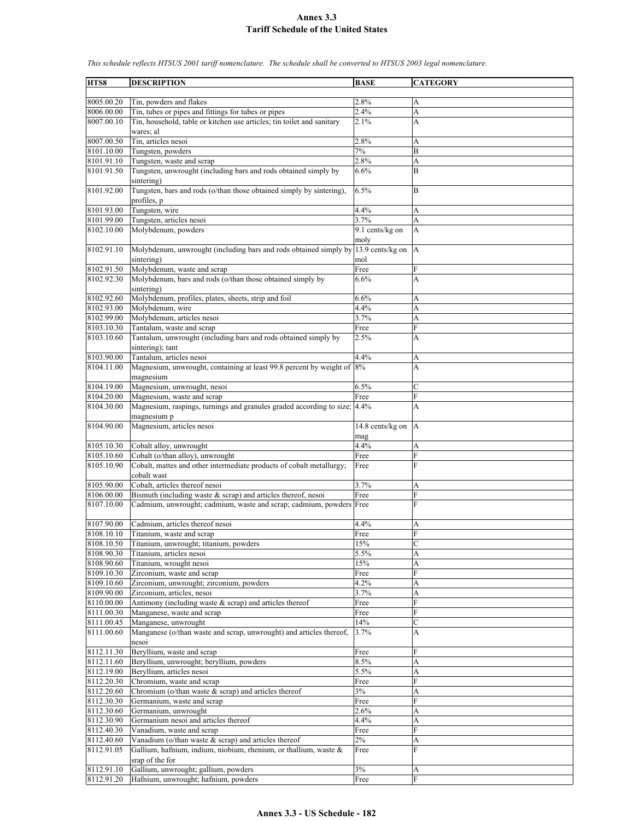| HTS8       | <b>DESCRIPTION</b>                                                                                | <b>BASE</b>             | <b>CATEGORY</b> |
|------------|---------------------------------------------------------------------------------------------------|-------------------------|-----------------|
|            |                                                                                                   |                         |                 |
| 8005.00.20 | Tin, powders and flakes                                                                           | 2.8%                    | A               |
| 8006.00.00 | Tin, tubes or pipes and fittings for tubes or pipes                                               | 2.4%<br>2.1%            | A               |
| 8007.00.10 | Tin, household, table or kitchen use articles; tin toilet and sanitary<br>wares; al               |                         | A               |
| 8007.00.50 | Tin, articles nesoi                                                                               | 2.8%                    | A               |
| 8101.10.00 | Tungsten, powders                                                                                 | $7\%$                   | B               |
| 8101.91.10 | Tungsten, waste and scrap                                                                         | 2.8%                    | A               |
| 8101.91.50 | Tungsten, unwrought (including bars and rods obtained simply by                                   | 6.6%                    | B               |
| 8101.92.00 | sintering)<br>Tungsten, bars and rods (o/than those obtained simply by sintering),<br>profiles, p | 6.5%                    | B               |
| 8101.93.00 | Tungsten, wire                                                                                    | 4.4%                    | A               |
| 8101.99.00 | Tungsten, articles nesoi                                                                          | 3.7%                    | A               |
| 8102.10.00 | Molybdenum, powders                                                                               | 9.1 cents/kg on         | A               |
|            |                                                                                                   | moly                    |                 |
| 8102.91.10 | Molybdenum, unwrought (including bars and rods obtained simply by<br>sintering)                   | 13.9 cents/kg on<br>mol | A               |
| 8102.91.50 | Molybdenum, waste and scrap                                                                       | Free                    | F               |
| 8102.92.30 | Molybdenum, bars and rods (o/than those obtained simply by                                        | 6.6%                    | A               |
|            | sintering)                                                                                        |                         |                 |
| 8102.92.60 | Molybdenum, profiles, plates, sheets, strip and foil                                              | 6.6%                    | A               |
| 8102.93.00 | Molybdenum, wire                                                                                  | 4.4%                    | A               |
| 8102.99.00 | Molybdenum, articles nesoi                                                                        | 3.7%                    | A               |
| 8103.10.30 | Tantalum, waste and scrap                                                                         | Free                    | Ė               |
| 8103.10.60 | Tantalum, unwrought (including bars and rods obtained simply by                                   | 2.5%                    | A               |
|            | sintering); tant                                                                                  |                         |                 |
| 8103.90.00 | Tantalum, articles nesoi                                                                          | 4.4%                    | A               |
| 8104.11.00 | Magnesium, unwrought, containing at least 99.8 percent by weight of                               | 8%                      | A               |
|            | magnesium                                                                                         |                         |                 |
| 8104.19.00 | Magnesium, unwrought, nesoi                                                                       | 6.5%                    | C               |
| 8104.20.00 | Magnesium, waste and scrap                                                                        | Free                    | F               |
| 8104.30.00 | Magnesium, raspings, turnings and granules graded according to size;                              | 4.4%                    | A               |
|            | magnesium p                                                                                       |                         |                 |
| 8104.90.00 | Magnesium, articles nesoi                                                                         | 14.8 cents/kg on        | A               |
|            |                                                                                                   | mag                     |                 |
| 8105.10.30 | Cobalt alloy, unwrought                                                                           | 4.4%                    | A               |
| 8105.10.60 | Cobalt (o/than alloy), unwrought                                                                  | Free                    | F               |
| 8105.10.90 | Cobalt, mattes and other intermediate products of cobalt metallurgy;<br>cobalt wast               | Free                    | F               |
| 8105.90.00 | Cobalt, articles thereof nesoi                                                                    | 3.7%                    | A               |
| 8106.00.00 | Bismuth (including waste $\&$ scrap) and articles thereof, nesoi                                  | Free                    | Ė               |
| 8107.10.00 | Cadmium, unwrought; cadmium, waste and scrap; cadmium, powders                                    | Free                    | F               |
| 8107.90.00 | Cadmium, articles thereof nesoi                                                                   | 4.4%                    | A               |
| 8108.10.10 | Titanium, waste and scrap                                                                         | Free                    | F               |
| 8108.10.50 | Titanium, unwrought; titanium, powders                                                            | 15%                     | C               |
| 8108.90.30 | Titanium, articles nesoi                                                                          | $5.5\%$                 | A               |
| 8108.90.60 | Titanium, wrought nesoi                                                                           | 15%                     | A               |
| 8109.10.30 | Zirconium, waste and scrap                                                                        | Free                    | F               |
| 8109.10.60 | Zirconium, unwrought; zirconium, powders                                                          | 4.2%                    | A               |
| 8109.90.00 | Zirconium, articles, nesoi                                                                        | 3.7%                    | A               |
| 8110.00.00 | Antimony (including waste & scrap) and articles thereof                                           | Free                    | F               |
| 8111.00.30 | Manganese, waste and scrap                                                                        | Free                    | F               |
| 8111.00.45 | Manganese, unwrought                                                                              | 14%                     | Ċ               |
| 8111.00.60 | Manganese (o/than waste and scrap, unwrought) and articles thereof,                               | 3.7%                    | A               |
|            | nesoi                                                                                             |                         |                 |
| 8112.11.30 | Beryllium, waste and scrap                                                                        | Free                    | F               |
| 8112.11.60 | Beryllium, unwrought; beryllium, powders                                                          | 8.5%                    | A               |
| 8112.19.00 | Beryllium, articles nesoi                                                                         | 5.5%                    | A               |
| 8112.20.30 | Chromium, waste and scrap                                                                         | Free                    | F               |
| 8112.20.60 | Chromium (o/than waste $&$ scrap) and articles thereof                                            | 3%                      | A               |
| 8112.30.30 | Germanium, waste and scrap                                                                        | Free                    | F               |
| 8112.30.60 | Germanium, unwrought                                                                              | 2.6%                    | A               |
| 8112.30.90 | Germanium nesoi and articles thereof                                                              | 4.4%                    | A<br>Ė          |
| 8112.40.30 | Vanadium, waste and scrap<br>Vanadium (o/than waste $&$ scrap) and articles thereof               | Free<br>$2\%$           |                 |
| 8112.40.60 |                                                                                                   |                         | A<br>F          |
| 8112.91.05 | Gallium, hafnium, indium, niobium, rhenium, or thallium, waste &<br>srap of the for               | Free                    |                 |
| 8112.91.10 | Gallium, unwrought; gallium, powders                                                              | $3\%$                   | A               |
| 8112.91.20 | Hafnium, unwrought; hafnium, powders                                                              | Free                    | F               |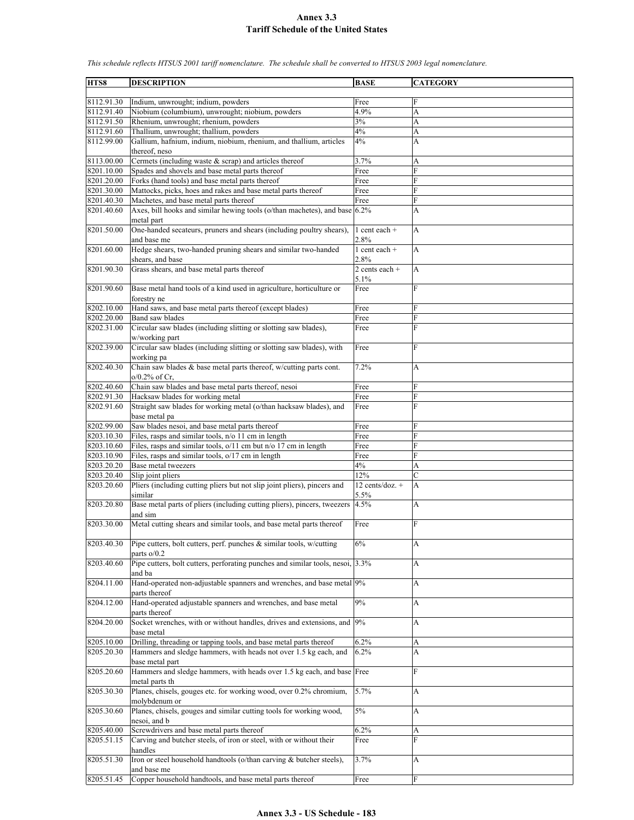**HTS8 DESCRIPTION BASE CATEGORY** 8112.91.30 Indium, unwrought; indium, powders Free 8112.91.40 Niobium (columbium), unwrought; niobium, powders 4.9% 8112.91.50 Rhenium, unwrought; rhenium, powders 3% A 8112.91.60 Thallium, unwrought; thallium, powders 4% A 8112.99.00 Gallium, hafnium, indium, niobium, rhenium, and thallium, articles thereof, neso 4% A 8113.00.00 Cermets (including waste & scrap) and articles thereof 3.7% A 8201.10.00 Spades and shovels and base metal parts thereof Free 8201.20.00 Forks (hand tools) and base metal parts thereof Free 8201.30.00 Mattocks, picks, hoes and rakes and base metal parts thereof Free 8201.40.30 Machetes, and base metal parts thereof Free 8201.40.60 Axes, bill hooks and similar hewing tools (o/than machetes), and base metal part 6.2% A 8201.50.00 One-handed secateurs, pruners and shears (including poultry shears), and base me 1 cent each + 2.8% A 8201.60.00 Hedge shears, two-handed pruning shears and similar two-handed shears, and base 1 cent each + 2.8% A 8201.90.30 Grass shears, and base metal parts thereof 2 cents each + 5.1% A 8201.90.60 Base metal hand tools of a kind used in agriculture, horticulture or forestry ne Free 8202.10.00 Hand saws, and base metal parts thereof (except blades) Free<br>8202.20.00 Band saw blades Free Band saw blades Free 8202.31.00 Circular saw blades (including slitting or slotting saw blades), w/working part Free F 8202.39.00 Circular saw blades (including slitting or slotting saw blades), with working pa Free 8202.40.30 Chain saw blades & base metal parts thereof, w/cutting parts cont. o/0.2% of Cr, 7.2% A 8202.40.60 Chain saw blades and base metal parts thereof, nesoi Free 8202.91.30 Hacksaw blades for working metal Free 8202.91.60 Straight saw blades for working metal (o/than hacksaw blades), and base metal pa Free F 8202.99.00 Saw blades nesoi, and base metal parts thereof Free 8203.10.30 Files, rasps and similar tools, n/o 11 cm in length  $\left| \text{Free} \right|$ 8203.10.60 Files, rasps and similar tools,  $o/11$  cm but n/o 17 cm in length Free F 8203.10.90 Files, rasps and similar tools,  $o/17$  cm in length Free  $8203.20.20$  Base metal tweezers  $4\%$  $8203.20.40$  Slip joint pliers<br>8203.20.60 Pliers (including cutting pliers but not slip joint pliers), pincers and 12 co Pliers (including cutting pliers but not slip joint pliers), pincers and similar 12 cents/doz. + 5.5% A 8203.20.80 Base metal parts of pliers (including cutting pliers), pincers, tweezers and sim  $4.5\%$  A 8203.30.00 Metal cutting shears and similar tools, and base metal parts thereof Free 8203.40.30 Pipe cutters, bolt cutters, perf. punches & similar tools, w/cutting parts o/0.2  $6\%$  A 8203.40.60 Pipe cutters, bolt cutters, perforating punches and similar tools, nesoi, and ba 3.3% A 8204.11.00 Hand-operated non-adjustable spanners and wrenches, and base metal 9% parts thereof 8204.12.00 Hand-operated adjustable spanners and wrenches, and base metal parts thereof 9% A 8204.20.00 Socket wrenches, with or without handles, drives and extensions, and base metal 9% A 8205.10.00 Drilling, threading or tapping tools, and base metal parts thereof 6.2% A 8205.20.30 Hammers and sledge hammers, with heads not over 1.5 kg each, and base metal part 6.2% A 8205.20.60 Hammers and sledge hammers, with heads over 1.5 kg each, and base metal parts th **Free** 8205.30.30 Planes, chisels, gouges etc. for working wood, over 0.2% chromium, molybdenum or 5.7% A 8205.30.60 Planes, chisels, gouges and similar cutting tools for working wood, nesoi, and b 5% A 8205.40.00 Screwdrivers and base metal parts thereof 6.2% A 8205.51.15 Carving and butcher steels, of iron or steel, with or without their handles Free F 8205.51.30 Iron or steel household handtools (o/than carving & butcher steels), and base me 3.7% A 8205.51.45 Copper household handtools, and base metal parts thereof Free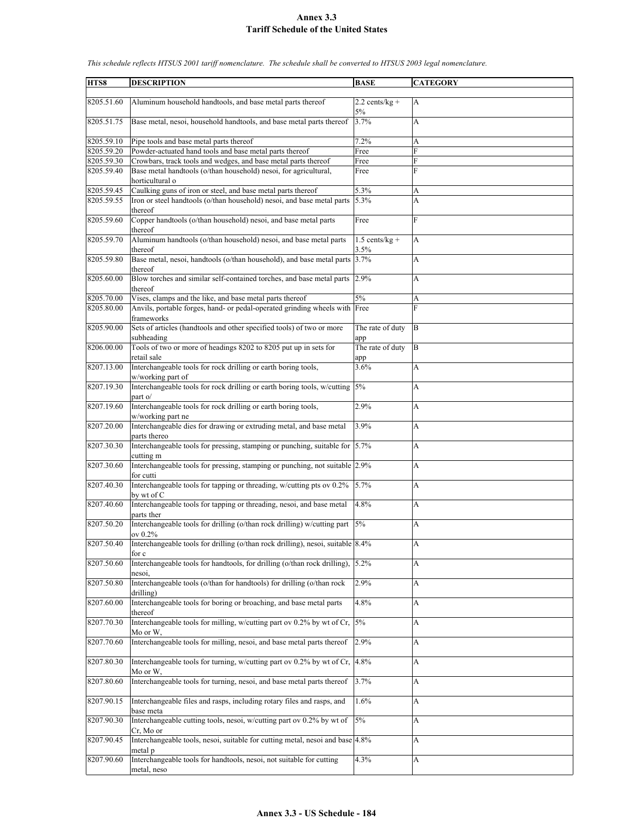| HTS8       | <b>DESCRIPTION</b>                                                                               | <b>BASE</b>              | <b>CATEGORY</b> |
|------------|--------------------------------------------------------------------------------------------------|--------------------------|-----------------|
|            |                                                                                                  |                          |                 |
| 8205.51.60 | Aluminum household handtools, and base metal parts thereof                                       | $2.2$ cents/kg +         | A               |
|            |                                                                                                  | 5%                       |                 |
| 8205.51.75 | Base metal, nesoi, household handtools, and base metal parts thereof                             | 3.7%                     | A               |
| 8205.59.10 | Pipe tools and base metal parts thereof                                                          | 7.2%                     | А               |
| 8205.59.20 | Powder-actuated hand tools and base metal parts thereof                                          | Free                     | F               |
| 8205.59.30 | Crowbars, track tools and wedges, and base metal parts thereof                                   | Free                     | F               |
| 8205.59.40 | Base metal handtools (o/than household) nesoi, for agricultural,                                 | Free                     | F               |
|            | horticultural o                                                                                  |                          |                 |
|            |                                                                                                  |                          |                 |
| 8205.59.45 | Caulking guns of iron or steel, and base metal parts thereof                                     | 5.3%                     | A               |
| 8205.59.55 | Iron or steel handtools (o/than household) nesoi, and base metal parts<br>thereof                | 5.3%                     | A               |
| 8205.59.60 | Copper handtools (o/than household) nesoi, and base metal parts<br>thereof                       | Free                     | $\overline{F}$  |
| 8205.59.70 | Aluminum handtools (o/than household) nesoi, and base metal parts<br>thereof                     | $1.5$ cents/kg +<br>3.5% | A               |
| 8205.59.80 | Base metal, nesoi, handtools (o/than household), and base metal parts 3.7%                       |                          | A               |
|            | thereof                                                                                          |                          |                 |
| 8205.60.00 | Blow torches and similar self-contained torches, and base metal parts<br>thereof                 | 2.9%                     | A               |
| 8205.70.00 | Vises, clamps and the like, and base metal parts thereof                                         | 5%                       | A               |
| 8205.80.00 | Anvils, portable forges, hand- or pedal-operated grinding wheels with Free                       |                          | F               |
|            | frameworks                                                                                       |                          |                 |
| 8205.90.00 | Sets of articles (handtools and other specified tools) of two or more                            | The rate of duty         | B               |
| 8206.00.00 | subheading<br>Tools of two or more of headings 8202 to 8205 put up in sets for                   | app<br>The rate of duty  | $\bf{B}$        |
| 8207.13.00 | retail sale<br>Interchangeable tools for rock drilling or earth boring tools,                    | app<br>3.6%              | A               |
|            | w/working part of                                                                                |                          |                 |
| 8207.19.30 | Interchangeable tools for rock drilling or earth boring tools, w/cutting 5%<br>part o/           |                          | A               |
| 8207.19.60 | Interchangeable tools for rock drilling or earth boring tools,<br>w/working part ne              | 2.9%                     | A               |
| 8207.20.00 | Interchangeable dies for drawing or extruding metal, and base metal<br>parts thereo              | 3.9%                     | A               |
| 8207.30.30 | Interchangeable tools for pressing, stamping or punching, suitable for $\vert$ 5.7%<br>cutting m |                          | А               |
| 8207.30.60 | Interchangeable tools for pressing, stamping or punching, not suitable 2.9%                      |                          | A               |
| 8207.40.30 | for cutti<br>Interchangeable tools for tapping or threading, w/cutting pts ov 0.2%               | 5.7%                     | A               |
| 8207.40.60 | by wt of C<br>Interchangeable tools for tapping or threading, nesoi, and base metal              | 4.8%                     | A               |
|            | parts ther                                                                                       |                          |                 |
| 8207.50.20 | Interchangeable tools for drilling (o/than rock drilling) w/cutting part<br>ov 0.2%              | 5%                       | A               |
| 8207.50.40 | Interchangeable tools for drilling (o/than rock drilling), nesoi, suitable 8.4%                  |                          | A               |
| 8207.50.60 | for c<br>Interchangeable tools for handtools, for drilling (o/than rock drilling),               | 5.2%                     | А               |
| 8207.50.80 | nesoi,<br>Interchangeable tools (o/than for handtools) for drilling (o/than rock                 | 2.9%                     | A               |
|            | drilling)                                                                                        |                          |                 |
| 8207.60.00 | Interchangeable tools for boring or broaching, and base metal parts<br>thereof                   | 4.8%                     | A               |
| 8207.70.30 | Interchangeable tools for milling, w/cutting part ov 0.2% by wt of Cr,<br>Mo or W,               | 5%                       | A               |
| 8207.70.60 | Interchangeable tools for milling, nesoi, and base metal parts thereof                           | 2.9%                     | A               |
| 8207.80.30 | Interchangeable tools for turning, w/cutting part ov 0.2% by wt of Cr, 4.8%<br>Mo or W,          |                          | A               |
| 8207.80.60 | Interchangeable tools for turning, nesoi, and base metal parts thereof                           | 3.7%                     | A               |
| 8207.90.15 | Interchangeable files and rasps, including rotary files and rasps, and                           | 1.6%                     | А               |
| 8207.90.30 | base meta<br>Interchangeable cutting tools, nesoi, w/cutting part ov 0.2% by wt of               | $5\%$                    | A               |
|            | Cr, Mo or                                                                                        |                          |                 |
| 8207.90.45 | Interchangeable tools, nesoi, suitable for cutting metal, nesoi and base 4.8%                    |                          | A               |
| 8207.90.60 | metal p<br>Interchangeable tools for handtools, nesoi, not suitable for cutting<br>metal, neso   | 4.3%                     | А               |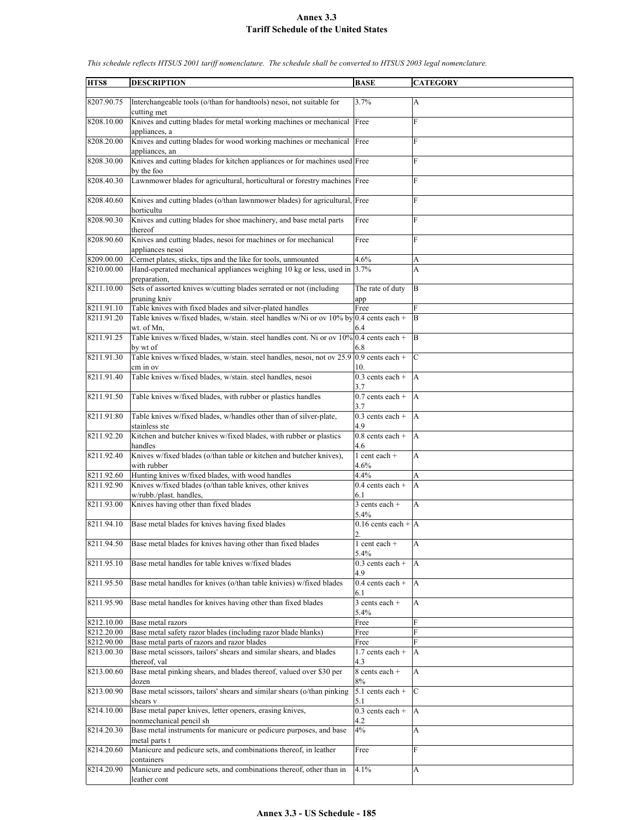| HTS8       | <b>DESCRIPTION</b>                                                                      | <b>BASE</b>                   | <b>CATEGORY</b>           |
|------------|-----------------------------------------------------------------------------------------|-------------------------------|---------------------------|
|            |                                                                                         |                               |                           |
| 8207.90.75 | Interchangeable tools (o/than for handtools) nesoi, not suitable for                    | 3.7%                          | $\overline{A}$            |
|            | cutting met                                                                             |                               |                           |
| 8208.10.00 | Knives and cutting blades for metal working machines or mechanical Free                 |                               | F                         |
|            | appliances, a                                                                           |                               |                           |
| 8208.20.00 | Knives and cutting blades for wood working machines or mechanical Free                  |                               | F                         |
|            |                                                                                         |                               |                           |
|            | appliances, an                                                                          |                               |                           |
| 8208.30.00 | Knives and cutting blades for kitchen appliances or for machines used Free              |                               | F                         |
|            | by the foo                                                                              |                               |                           |
| 8208.40.30 | Lawnmower blades for agricultural, horticultural or forestry machines Free              |                               | F                         |
|            |                                                                                         |                               |                           |
| 8208.40.60 | Knives and cutting blades (o/than lawnmower blades) for agricultural, Free              |                               | F                         |
|            | horticultu                                                                              |                               |                           |
| 8208.90.30 | Knives and cutting blades for shoe machinery, and base metal parts                      | Free                          | F                         |
|            |                                                                                         |                               |                           |
|            | thereof                                                                                 |                               |                           |
| 8208.90.60 | Knives and cutting blades, nesoi for machines or for mechanical                         | Free                          | $\overline{F}$            |
|            | appliances nesoi                                                                        |                               |                           |
| 8209.00.00 | Cermet plates, sticks, tips and the like for tools, unmounted                           | 4.6%                          | А                         |
| 8210.00.00 | Hand-operated mechanical appliances weighing 10 kg or less, used in                     | 3.7%                          | A                         |
|            | preparation,                                                                            |                               |                           |
| 8211.10.00 | Sets of assorted knives w/cutting blades serrated or not (including                     | The rate of duty              | B                         |
|            | pruning kniv                                                                            | app                           |                           |
| 8211.91.10 | Table knives with fixed blades and silver-plated handles                                | Free                          | F                         |
| 8211.91.20 |                                                                                         |                               | ΙB                        |
|            | Table knives w/fixed blades, w/stain. steel handles w/Ni or ov 10% by 0.4 cents each +  |                               |                           |
|            | wt. of Mn.                                                                              | 6.4                           |                           |
| 8211.91.25 | Table knives w/fixed blades, w/stain. steel handles cont. Ni or ov 10% 0.4 cents each + |                               | ΙB                        |
|            | by wt of                                                                                | 6.8                           |                           |
| 8211.91.30 | Table knives w/fixed blades, w/stain. steel handles, nesoi, not ov 25.9                 | $0.9$ cents each +            | $\mathbf C$               |
|            | cm in ov                                                                                | 10.                           |                           |
| 8211.91.40 | Table knives w/fixed blades, w/stain. steel handles, nesoi                              | $0.3$ cents each +            | ΙA                        |
|            |                                                                                         | 3.7                           |                           |
| 8211.91.50 | Table knives w/fixed blades, with rubber or plastics handles                            | $0.7$ cents each +            | ΙA                        |
|            |                                                                                         |                               |                           |
|            |                                                                                         | 3.7                           |                           |
| 8211.91.80 | Table knives w/fixed blades, w/handles other than of silver-plate,                      | $0.3$ cents each +            | A                         |
|            | stainless ste                                                                           | 4.9                           |                           |
| 8211.92.20 | Kitchen and butcher knives w/fixed blades, with rubber or plastics                      | $\overline{0.8}$ cents each + | $\overline{A}$            |
|            | handles                                                                                 | 4.6                           |                           |
| 8211.92.40 | Knives w/fixed blades (o/than table or kitchen and butcher knives),                     | $1$ cent each $+$             | A                         |
|            | with rubber                                                                             | 4.6%                          |                           |
| 8211.92.60 | Hunting knives w/fixed blades, with wood handles                                        | 4.4%                          | А                         |
| 8211.92.90 | Knives w/fixed blades (o/than table knives, other knives                                | $0.4$ cents each +            | A                         |
|            |                                                                                         |                               |                           |
|            | w/rubb./plast. handles,                                                                 | 6.1                           |                           |
| 8211.93.00 | Knives having other than fixed blades                                                   | $3$ cents each +              | A                         |
|            |                                                                                         | 5.4%                          |                           |
| 8211.94.10 | Base metal blades for knives having fixed blades                                        | 0.16 cents each $+ A $        |                           |
|            |                                                                                         | $\overline{2}$                |                           |
| 8211.94.50 | Base metal blades for knives having other than fixed blades                             | $1$ cent each $+$             | $\boldsymbol{\mathsf{A}}$ |
|            |                                                                                         | 5.4%                          |                           |
| 8211.95.10 | Base metal handles for table knives w/fixed blades                                      | $0.3$ cents each +            | A                         |
|            |                                                                                         | 4.9                           |                           |
| 8211.95.50 | Base metal handles for knives (o/than table knivies) w/fixed blades                     |                               | A                         |
|            |                                                                                         | $0.4$ cents each +            |                           |
|            |                                                                                         | 6.1                           |                           |
| 8211.95.90 | Base metal handles for knives having other than fixed blades                            | 3 cents each +                | A                         |
|            |                                                                                         | 5.4%                          |                           |
| 8212.10.00 | Base metal razors                                                                       | Free                          | F                         |
| 8212.20.00 | Base metal safety razor blades (including razor blade blanks)                           | Free                          | F                         |
| 8212.90.00 | Base metal parts of razors and razor blades                                             | Free                          | F                         |
| 8213.00.30 | Base metal scissors, tailors' shears and similar shears, and blades                     | $1.7$ cents each +            | A                         |
|            | thereof, val                                                                            | 4.3                           |                           |
| 8213.00.60 | Base metal pinking shears, and blades thereof, valued over \$30 per                     | 8 cents each +                | A                         |
|            |                                                                                         |                               |                           |
|            | dozen                                                                                   | 8%                            |                           |
| 8213.00.90 | Base metal scissors, tailors' shears and similar shears (o/than pinking                 | $5.1$ cents each +            | $\mathbf C$               |
|            | shears v                                                                                | 5.1                           |                           |
| 8214.10.00 | Base metal paper knives, letter openers, erasing knives,                                | $0.3$ cents each +            | A                         |
|            | nonmechanical pencil sh                                                                 | 4.2                           |                           |
| 8214.20.30 | Base metal instruments for manicure or pedicure purposes, and base                      | 4%                            | А                         |
|            | metal parts t                                                                           |                               |                           |
| 8214.20.60 | Manicure and pedicure sets, and combinations thereof, in leather                        | Free                          | F                         |
|            | containers                                                                              |                               |                           |
|            |                                                                                         |                               |                           |
| 8214.20.90 | Manicure and pedicure sets, and combinations thereof, other than in                     | 4.1%                          | A                         |
|            | leather cont                                                                            |                               |                           |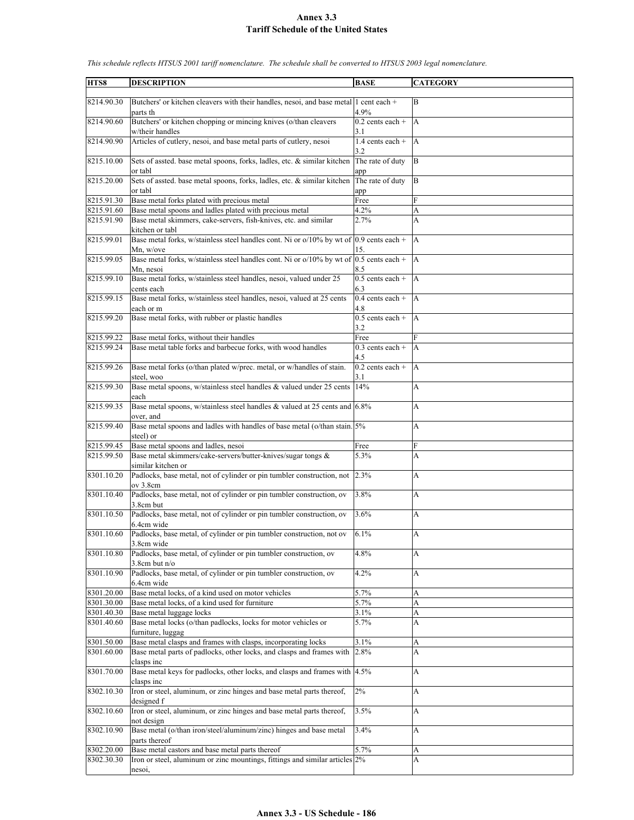| HTS8       | <b>DESCRIPTION</b>                                                                                            | <b>BASE</b>               | <b>CATEGORY</b>           |
|------------|---------------------------------------------------------------------------------------------------------------|---------------------------|---------------------------|
|            |                                                                                                               |                           |                           |
| 8214.90.30 | Butchers' or kitchen cleavers with their handles, nesoi, and base metal 1 cent each $+$<br>parts th           | 4.9%                      | B                         |
| 8214.90.60 | Butchers' or kitchen chopping or mincing knives (o/than cleavers<br>w/their handles                           | $0.2$ cents each +<br>3.1 | $\overline{A}$            |
| 8214.90.90 | Articles of cutlery, nesoi, and base metal parts of cutlery, nesoi                                            | $1.4$ cents each +<br>3.2 | A                         |
| 8215.10.00 | Sets of assted. base metal spoons, forks, ladles, etc. & similar kitchen<br>or tabl                           | The rate of duty<br>app   | ΙB                        |
| 8215.20.00 | Sets of assted. base metal spoons, forks, ladles, etc. & similar kitchen<br>or tabl                           | The rate of duty<br>app   | B                         |
| 8215.91.30 | Base metal forks plated with precious metal                                                                   | Free                      | F                         |
| 8215.91.60 | Base metal spoons and ladles plated with precious metal                                                       | 4.2%                      | A                         |
| 8215.91.90 | Base metal skimmers, cake-servers, fish-knives, etc. and similar                                              | 2.7%                      | A                         |
| 8215.99.01 | kitchen or tabl<br>Base metal forks, w/stainless steel handles cont. Ni or $o/10\%$ by wt of 0.9 cents each + |                           | A                         |
| 8215.99.05 | Mn, w/ove<br>Base metal forks, w/stainless steel handles cont. Ni or o/10% by wt of                           | 15.<br>$0.5$ cents each + | $\overline{A}$            |
| 8215.99.10 | Mn, nesoi<br>Base metal forks, w/stainless steel handles, nesoi, valued under 25                              | 8.5<br>$0.5$ cents each + |                           |
|            | cents each                                                                                                    | 6.3                       | A                         |
| 8215.99.15 | Base metal forks, w/stainless steel handles, nesoi, valued at 25 cents<br>each or m                           | $0.4$ cents each +<br>4.8 | $\overline{A}$            |
| 8215.99.20 | Base metal forks, with rubber or plastic handles                                                              | $0.5$ cents each +<br>3.2 | A                         |
| 8215.99.22 | Base metal forks, without their handles                                                                       | Free                      | F                         |
| 8215.99.24 | Base metal table forks and barbecue forks, with wood handles                                                  | $0.3$ cents each +<br>4.5 | A                         |
| 8215.99.26 | Base metal forks (o/than plated w/prec. metal, or w/handles of stain.<br>steel, woo                           | $0.2$ cents each +<br>3.1 | A                         |
| 8215.99.30 | Base metal spoons, w/stainless steel handles & valued under 25 cents 14%<br>each                              |                           | A                         |
| 8215.99.35 | Base metal spoons, w/stainless steel handles & valued at 25 cents and 6.8%                                    |                           | A                         |
| 8215.99.40 | over, and<br>Base metal spoons and ladles with handles of base metal (o/than stain. 5%<br>steel) or           |                           | А                         |
| 8215.99.45 | Base metal spoons and ladles, nesoi                                                                           | Free                      | F                         |
| 8215.99.50 | Base metal skimmers/cake-servers/butter-knives/sugar tongs &                                                  | 5.3%                      | A                         |
| 8301.10.20 | similar kitchen or<br>Padlocks, base metal, not of cylinder or pin tumbler construction, not                  | 2.3%                      | А                         |
| 8301.10.40 | ov 3.8cm<br>Padlocks, base metal, not of cylinder or pin tumbler construction, ov                             | 3.8%                      | A                         |
| 8301.10.50 | 3.8cm but<br>Padlocks, base metal, not of cylinder or pin tumbler construction, ov                            | 3.6%                      | A                         |
| 8301.10.60 | 6.4cm wide<br>Padlocks, base metal, of cylinder or pin tumbler construction, not ov 6.1%                      |                           | A                         |
|            | 3.8cm wide                                                                                                    |                           |                           |
| 8301.10.80 | Padlocks, base metal, of cylinder or pin tumbler construction, ov<br>$3.8$ cm but n/o                         | 4.8%                      | A                         |
| 8301.10.90 | Padlocks, base metal, of cylinder or pin tumbler construction, ov<br>6.4cm wide                               | 4.2%                      | А                         |
| 8301.20.00 | Base metal locks, of a kind used on motor vehicles                                                            | 5.7%                      | A                         |
| 8301.30.00 | Base metal locks, of a kind used for furniture                                                                | 5.7%                      | A                         |
| 8301.40.30 | Base metal luggage locks                                                                                      | 3.1%                      | А                         |
| 8301.40.60 | Base metal locks (o/than padlocks, locks for motor vehicles or<br>furniture, luggag                           | 5.7%                      | A                         |
| 8301.50.00 | Base metal clasps and frames with clasps, incorporating locks                                                 | 3.1%                      | A                         |
| 8301.60.00 | Base metal parts of padlocks, other locks, and clasps and frames with                                         | 2.8%                      | A                         |
| 8301.70.00 | clasps inc<br>Base metal keys for padlocks, other locks, and clasps and frames with 4.5%                      |                           | A                         |
| 8302.10.30 | clasps inc<br>Iron or steel, aluminum, or zinc hinges and base metal parts thereof,                           | 2%                        | А                         |
| 8302.10.60 | designed f<br>Iron or steel, aluminum, or zinc hinges and base metal parts thereof,                           | 3.5%                      | А                         |
|            | not design                                                                                                    |                           |                           |
| 8302.10.90 | Base metal (o/than iron/steel/aluminum/zinc) hinges and base metal<br>parts thereof                           | 3.4%                      | A                         |
| 8302.20.00 | Base metal castors and base metal parts thereof                                                               | 5.7%                      | A                         |
| 8302.30.30 | Iron or steel, aluminum or zinc mountings, fittings and similar articles 2%<br>nesoi,                         |                           | $\boldsymbol{\mathsf{A}}$ |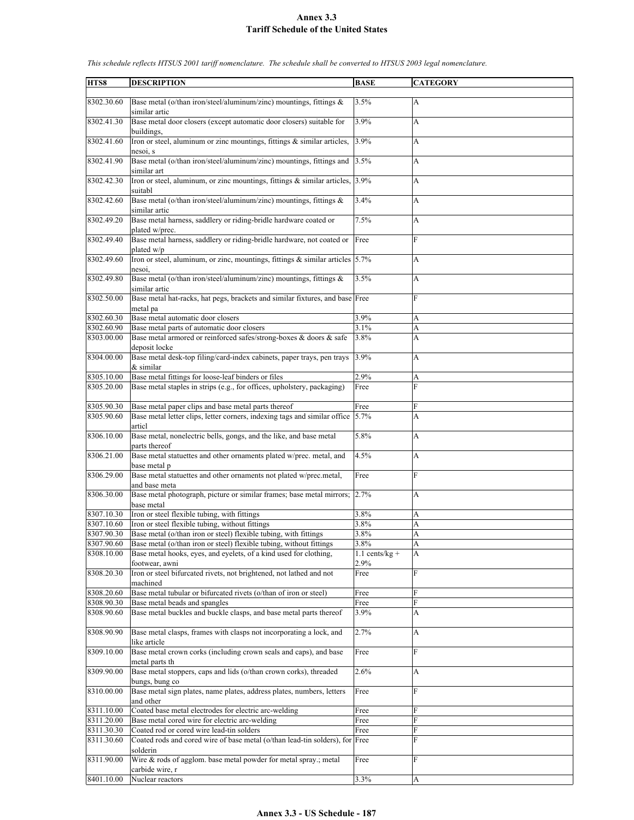| HTS8       | <b>DESCRIPTION</b>                                                               | <b>BASE</b>      | <b>CATEGORY</b> |
|------------|----------------------------------------------------------------------------------|------------------|-----------------|
|            |                                                                                  |                  |                 |
| 8302.30.60 | Base metal (o/than iron/steel/aluminum/zinc) mountings, fittings $\&$            | 3.5%             | A               |
|            | similar artic                                                                    |                  |                 |
|            |                                                                                  |                  |                 |
| 8302.41.30 | Base metal door closers (except automatic door closers) suitable for             | 3.9%             | A               |
|            | buildings.                                                                       |                  |                 |
| 8302.41.60 | Iron or steel, aluminum or zinc mountings, fittings & similar articles,          | 3.9%             | А               |
|            | nesoi, s                                                                         |                  |                 |
| 8302.41.90 | Base metal (o/than iron/steel/aluminum/zinc) mountings, fittings and             | 3.5%             | A               |
|            |                                                                                  |                  |                 |
|            | similar art                                                                      |                  |                 |
| 8302.42.30 | Iron or steel, aluminum, or zinc mountings, fittings & similar articles,         | 3.9%             | A               |
|            | suitabl                                                                          |                  |                 |
| 8302.42.60 | Base metal (o/than iron/steel/aluminum/zinc) mountings, fittings &               | 3.4%             | A               |
|            |                                                                                  |                  |                 |
|            | similar artic                                                                    |                  |                 |
| 8302.49.20 | Base metal harness, saddlery or riding-bridle hardware coated or                 | 7.5%             | A               |
|            | plated w/prec.                                                                   |                  |                 |
| 8302.49.40 | Base metal harness, saddlery or riding-bridle hardware, not coated or            | Free             | F               |
|            | plated w/p                                                                       |                  |                 |
|            |                                                                                  |                  |                 |
| 8302.49.60 | Iron or steel, aluminum, or zinc, mountings, fittings $\&$ similar articles 5.7% |                  | A               |
|            | nesoi,                                                                           |                  |                 |
| 8302.49.80 | Base metal (o/than iron/steel/aluminum/zinc) mountings, fittings &               | 3.5%             | A               |
|            | similar artic                                                                    |                  |                 |
| 8302.50.00 | Base metal hat-racks, hat pegs, brackets and similar fixtures, and base Free     |                  | F               |
|            |                                                                                  |                  |                 |
|            | metal pa                                                                         |                  |                 |
| 8302.60.30 | Base metal automatic door closers                                                | 3.9%             | A               |
| 8302.60.90 | Base metal parts of automatic door closers                                       | 3.1%             | A               |
| 8303.00.00 | Base metal armored or reinforced safes/strong-boxes & doors & safe               | 3.8%             | A               |
|            |                                                                                  |                  |                 |
|            | deposit locke                                                                    |                  |                 |
| 8304.00.00 | Base metal desk-top filing/card-index cabinets, paper trays, pen trays           | 3.9%             | A               |
|            | & similar                                                                        |                  |                 |
| 8305.10.00 | Base metal fittings for loose-leaf binders or files                              | 2.9%             | A               |
|            |                                                                                  |                  | F               |
| 8305.20.00 | Base metal staples in strips (e.g., for offices, upholstery, packaging)          | Free             |                 |
|            |                                                                                  |                  |                 |
| 8305.90.30 | Base metal paper clips and base metal parts thereof                              | Free             | F               |
| 8305.90.60 | Base metal letter clips, letter corners, indexing tags and similar office        | 5.7%             | A               |
|            | articl                                                                           |                  |                 |
|            |                                                                                  |                  |                 |
| 8306.10.00 | Base metal, nonelectric bells, gongs, and the like, and base metal               | 5.8%             | A               |
|            | parts thereof                                                                    |                  |                 |
| 8306.21.00 | Base metal statuettes and other ornaments plated w/prec. metal, and              | 4.5%             | A               |
|            | base metal p                                                                     |                  |                 |
| 8306.29.00 | Base metal statuettes and other ornaments not plated w/prec.metal,               | Free             | F               |
|            |                                                                                  |                  |                 |
|            | and base meta                                                                    |                  |                 |
| 8306.30.00 | Base metal photograph, picture or similar frames; base metal mirrors;            | 2.7%             | A               |
|            | base metal                                                                       |                  |                 |
| 8307.10.30 | Iron or steel flexible tubing, with fittings                                     | 3.8%             | А               |
| 8307.10.60 | Iron or steel flexible tubing, without fittings                                  | 3.8%             | A               |
|            |                                                                                  |                  | A               |
| 8307.90.30 | Base metal (o/than iron or steel) flexible tubing, with fittings                 | 3.8%             |                 |
| 8307.90.60 | Base metal (o/than iron or steel) flexible tubing, without fittings              | 3.8%             | A               |
| 8308.10.00 | Base metal hooks, eves, and evelets, of a kind used for clothing,                | $1.1$ cents/kg + | A               |
|            | footwear, awni                                                                   | 2.9%             |                 |
| 8308.20.30 | Iron or steel bifurcated rivets, not brightened, not lathed and not              | Free             | F               |
|            |                                                                                  |                  |                 |
|            | machined                                                                         |                  |                 |
| 8308.20.60 | Base metal tubular or bifurcated rivets (o/than of iron or steel)                | Free             | F               |
| 8308.90.30 | Base metal beads and spangles                                                    | Free             | F               |
| 8308.90.60 | Base metal buckles and buckle clasps, and base metal parts thereof               | 3.9%             | A               |
|            |                                                                                  |                  |                 |
|            |                                                                                  |                  |                 |
| 8308.90.90 | Base metal clasps, frames with clasps not incorporating a lock, and              | 2.7%             | A               |
|            | like article                                                                     |                  |                 |
| 8309.10.00 | Base metal crown corks (including crown seals and caps), and base                | Free             | F               |
|            | metal parts th                                                                   |                  |                 |
|            |                                                                                  |                  |                 |
| 8309.90.00 | Base metal stoppers, caps and lids (o/than crown corks), threaded                | 2.6%             | A               |
|            | bungs, bung co                                                                   |                  |                 |
| 8310.00.00 | Base metal sign plates, name plates, address plates, numbers, letters            | Free             | F               |
|            | and other                                                                        |                  |                 |
|            |                                                                                  |                  |                 |
| 8311.10.00 | Coated base metal electrodes for electric arc-welding                            | Free             | F               |
| 8311.20.00 | Base metal cored wire for electric arc-welding                                   | Free             | F               |
| 8311.30.30 | Coated rod or cored wire lead-tin solders                                        | Free             | F               |
| 8311.30.60 | Coated rods and cored wire of base metal (o/than lead-tin solders), for Free     |                  | F               |
|            | solderin                                                                         |                  |                 |
|            |                                                                                  |                  |                 |
| 8311.90.00 | Wire & rods of agglom. base metal powder for metal spray.; metal                 | Free             | F               |
|            | carbide wire, r                                                                  |                  |                 |
| 8401.10.00 | Nuclear reactors                                                                 | 3.3%             | A               |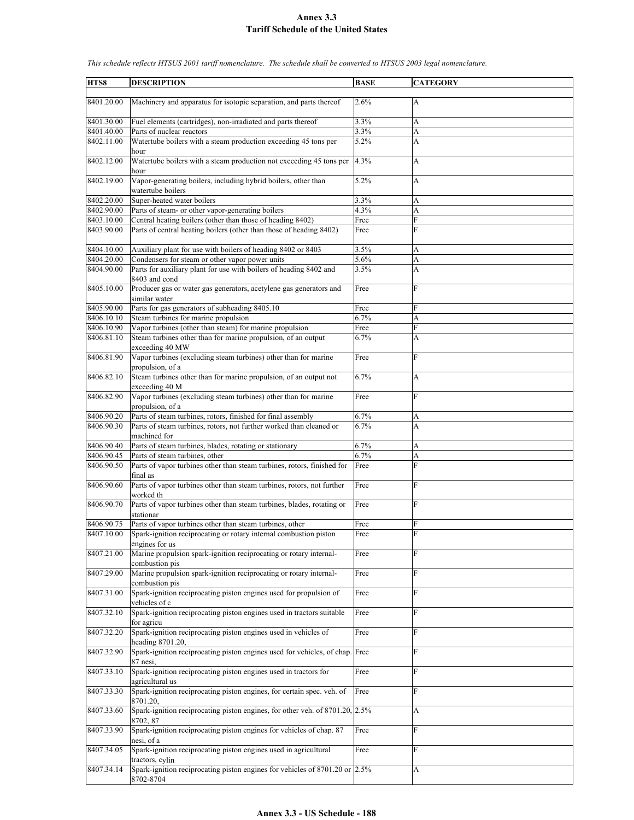| HTS8                     | <b>DESCRIPTION</b>                                                                                                            | <b>BASE</b>  | <b>CATEGORY</b>     |
|--------------------------|-------------------------------------------------------------------------------------------------------------------------------|--------------|---------------------|
| 8401.20.00               | Machinery and apparatus for isotopic separation, and parts thereof                                                            | 2.6%         | A                   |
| 8401.30.00               | Fuel elements (cartridges), non-irradiated and parts thereof                                                                  | 3.3%         | A                   |
| 8401.40.00<br>8402.11.00 | Parts of nuclear reactors<br>Watertube boilers with a steam production exceeding 45 tons per                                  | 3.3%<br>5.2% | A<br>A              |
| 8402.12.00               | hour<br>Watertube boilers with a steam production not exceeding 45 tons per                                                   | 4.3%         | $\overline{A}$      |
| 8402.19.00               | hour<br>Vapor-generating boilers, including hybrid boilers, other than                                                        | 5.2%         | A                   |
| 8402.20.00               | watertube boilers<br>Super-heated water boilers                                                                               | 3.3%         | A                   |
| 8402.90.00               | Parts of steam- or other vapor-generating boilers                                                                             | 4.3%         | $\mathbf{A}$        |
| 8403.10.00               | Central heating boilers (other than those of heading 8402)                                                                    | Free         | F                   |
| 8403.90.00               | Parts of central heating boilers (other than those of heading 8402)                                                           | Free         | F                   |
| 8404.10.00               | Auxiliary plant for use with boilers of heading 8402 or 8403                                                                  | 3.5%         | A                   |
| 8404.20.00               | Condensers for steam or other vapor power units                                                                               | 5.6%         | A                   |
| 8404.90.00               | Parts for auxiliary plant for use with boilers of heading 8402 and<br>8403 and cond                                           | 3.5%         | A                   |
| 8405.10.00               | Producer gas or water gas generators, acetylene gas generators and<br>similar water                                           | Free         | $\mathbf{F}$        |
| 8405.90.00               | Parts for gas generators of subheading 8405.10                                                                                | Free         | F                   |
| 8406.10.10               | Steam turbines for marine propulsion                                                                                          | 6.7%         | A                   |
| 8406.10.90               | Vapor turbines (other than steam) for marine propulsion                                                                       | Free         | F                   |
| 8406.81.10               | Steam turbines other than for marine propulsion, of an output<br>exceeding 40 MW                                              | 6.7%         | A                   |
| 8406.81.90               | Vapor turbines (excluding steam turbines) other than for marine<br>propulsion, of a                                           | Free         | F                   |
| 8406.82.10               | Steam turbines other than for marine propulsion, of an output not<br>exceeding 40 M                                           | 6.7%         | A                   |
| 8406.82.90               | Vapor turbines (excluding steam turbines) other than for marine<br>propulsion, of a                                           | Free         | F                   |
| 8406.90.20               | Parts of steam turbines, rotors, finished for final assembly                                                                  | 6.7%         | A                   |
| 8406.90.30               | Parts of steam turbines, rotors, not further worked than cleaned or                                                           | 6.7%         | A                   |
|                          | machined for                                                                                                                  |              |                     |
| 8406.90.40<br>8406.90.45 | Parts of steam turbines, blades, rotating or stationary                                                                       | 6.7%         | A                   |
| 8406.90.50               | Parts of steam turbines, other<br>Parts of vapor turbines other than steam turbines, rotors, finished for                     | 6.7%<br>Free | A<br>$\overline{F}$ |
| 8406.90.60               | final as<br>Parts of vapor turbines other than steam turbines, rotors, not further                                            | Free         | F                   |
| 8406.90.70               | worked th<br>Parts of vapor turbines other than steam turbines, blades, rotating or                                           | Free         | F                   |
|                          | stationar                                                                                                                     |              |                     |
| 8406.90.75<br>8407.10.00 | Parts of vapor turbines other than steam turbines, other<br>Spark-ignition reciprocating or rotary internal combustion piston | Free<br>Free | F<br>$\mathbf{F}$   |
|                          | engines for us                                                                                                                |              |                     |
| 8407.21.00               | Marine propulsion spark-ignition reciprocating or rotary internal-<br>combustion pis                                          | Free         | F                   |
| 8407.29.00               | Marine propulsion spark-ignition reciprocating or rotary internal-<br>combustion pis                                          | Free         | F                   |
| 8407.31.00               | Spark-ignition reciprocating piston engines used for propulsion of<br>vehicles of c                                           | Free         | $\mathbf{F}$        |
| 8407.32.10               | Spark-ignition reciprocating piston engines used in tractors suitable<br>for agricu                                           | Free         | F                   |
| 8407.32.20               | Spark-ignition reciprocating piston engines used in vehicles of<br>heading 8701.20,                                           | Free         | F                   |
| 8407.32.90               | Spark-ignition reciprocating piston engines used for vehicles, of chap. Free<br>87 nesi,                                      |              | $\mathbf{F}$        |
| 8407.33.10               | Spark-ignition reciprocating piston engines used in tractors for<br>agricultural us                                           | Free         | F                   |
| 8407.33.30               | Spark-ignition reciprocating piston engines, for certain spec. veh. of<br>8701.20.                                            | Free         | F                   |
| 8407.33.60               | Spark-ignition reciprocating piston engines, for other veh. of 8701.20, 2.5%<br>8702, 87                                      |              | A                   |
| 8407.33.90               | Spark-ignition reciprocating piston engines for vehicles of chap. 87<br>nesi, of a                                            | Free         | F                   |
| 8407.34.05               | Spark-ignition reciprocating piston engines used in agricultural<br>tractors, cylin                                           | Free         | F                   |
| 8407.34.14               | Spark-ignition reciprocating piston engines for vehicles of $8701.20$ or $\vert 2.5\% \vert$<br>8702-8704                     |              | A                   |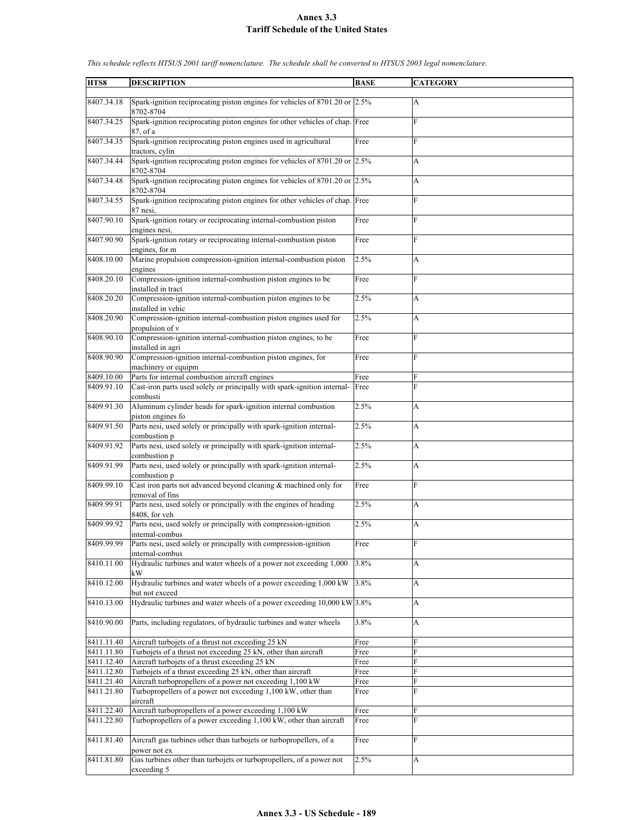| HTS8       | <b>DESCRIPTION</b>                                                                        | <b>BASE</b> | <b>CATEGORY</b>       |
|------------|-------------------------------------------------------------------------------------------|-------------|-----------------------|
|            |                                                                                           |             |                       |
| 8407.34.18 | Spark-ignition reciprocating piston engines for vehicles of 8701.20 or 2.5%<br>8702-8704  |             | А                     |
| 8407.34.25 | Spark-ignition reciprocating piston engines for other vehicles of chap. Free<br>87, of a  |             | F                     |
| 8407.34.35 | Spark-ignition reciprocating piston engines used in agricultural<br>tractors, cylin       | Free        | F                     |
| 8407.34.44 | Spark-ignition reciprocating piston engines for vehicles of 8701.20 or 2.5%               |             | A                     |
| 8407.34.48 | 8702-8704<br>Spark-ignition reciprocating piston engines for vehicles of 8701.20 or 2.5%  |             | A                     |
| 8407.34.55 | 8702-8704<br>Spark-ignition reciprocating piston engines for other vehicles of chap. Free |             | F                     |
| 8407.90.10 | 87 nesi,<br>Spark-ignition rotary or reciprocating internal-combustion piston             | Free        | F                     |
|            | engines nesi,                                                                             |             |                       |
| 8407.90.90 | Spark-ignition rotary or reciprocating internal-combustion piston<br>engines, for m       | Free        | F                     |
| 8408.10.00 | Marine propulsion compression-ignition internal-combustion piston<br>engines              | 2.5%        | A                     |
| 8408.20.10 | Compression-ignition internal-combustion piston engines to be<br>installed in tract       | Free        | F                     |
| 8408.20.20 | Compression-ignition internal-combustion piston engines to be<br>installed in vehic       | 2.5%        | A                     |
| 8408.20.90 | Compression-ignition internal-combustion piston engines used for<br>propulsion of v       | 2.5%        | A                     |
| 8408.90.10 | Compression-ignition internal-combustion piston engines, to be<br>installed in agri       | Free        | F                     |
| 8408.90.90 | Compression-ignition internal-combustion piston engines, for                              | Free        | F                     |
|            | machinery or equipm                                                                       |             |                       |
| 8409.10.00 | Parts for internal combustion aircraft engines                                            | Free        | F                     |
| 8409.91.10 | Cast-iron parts used solely or principally with spark-ignition internal-                  | Free        | F                     |
| 8409.91.30 | combusti<br>Aluminum cylinder heads for spark-ignition internal combustion                | 2.5%        | А                     |
| 8409.91.50 | piston engines fo<br>Parts nesi, used solely or principally with spark-ignition internal- | 2.5%        | A                     |
|            | combustion p                                                                              |             |                       |
| 8409.91.92 | Parts nesi, used solely or principally with spark-ignition internal-<br>combustion p      | 2.5%        | А                     |
| 8409.91.99 | Parts nesi, used solely or principally with spark-ignition internal-<br>combustion p      | 2.5%        | A                     |
| 8409.99.10 | Cast iron parts not advanced beyond cleaning & machined only for<br>removal of fins       | Free        | F                     |
| 8409.99.91 | Parts nesi, used solely or principally with the engines of heading<br>8408, for veh       | 2.5%        | A                     |
| 8409.99.92 | Parts nesi, used solely or principally with compression-ignition<br>internal-combus       | 2.5%        | A                     |
| 8409.99.99 | Parts nesi, used solely or principally with compression-ignition<br>internal-combus       | Free        | F                     |
| 8410.11.00 | Hydraulic turbines and water wheels of a power not exceeding 1,000<br>kW                  | 3.8%        | A                     |
| 8410.12.00 | Hydraulic turbines and water wheels of a power exceeding 1,000 kW<br>but not exceed       | 3.8%        | A                     |
| 8410.13.00 | Hydraulic turbines and water wheels of a power exceeding $10,000 \text{ kW}$ 3.8%         |             | $\boldsymbol{\rm{A}}$ |
| 8410.90.00 | Parts, including regulators, of hydraulic turbines and water wheels                       | 3.8%        | A                     |
| 8411.11.40 | Aircraft turbojets of a thrust not exceeding 25 kN                                        | Free        | F                     |
| 8411.11.80 | Turbojets of a thrust not exceeding 25 kN, other than aircraft                            | Free        | F                     |
| 8411.12.40 | Aircraft turbojets of a thrust exceeding 25 kN                                            | Free        | F                     |
| 8411.12.80 | Turbojets of a thrust exceeding 25 kN, other than aircraft                                | Free        | F                     |
| 8411.21.40 | Aircraft turbopropellers of a power not exceeding 1,100 kW                                | Free        | F                     |
| 8411.21.80 | Turbopropellers of a power not exceeding 1,100 kW, other than<br>aircraft                 | Free        | F                     |
| 8411.22.40 | Aircraft turbopropellers of a power exceeding 1,100 kW                                    | Free        | F                     |
| 8411.22.80 | Turbopropellers of a power exceeding 1,100 kW, other than aircraft                        | Free        | F                     |
| 8411.81.40 | Aircraft gas turbines other than turbojets or turbopropellers, of a                       | Free        | F                     |
| 8411.81.80 | power not ex<br>Gas turbines other than turbojets or turbopropellers, of a power not      | 2.5%        | А                     |
|            | exceeding 5                                                                               |             |                       |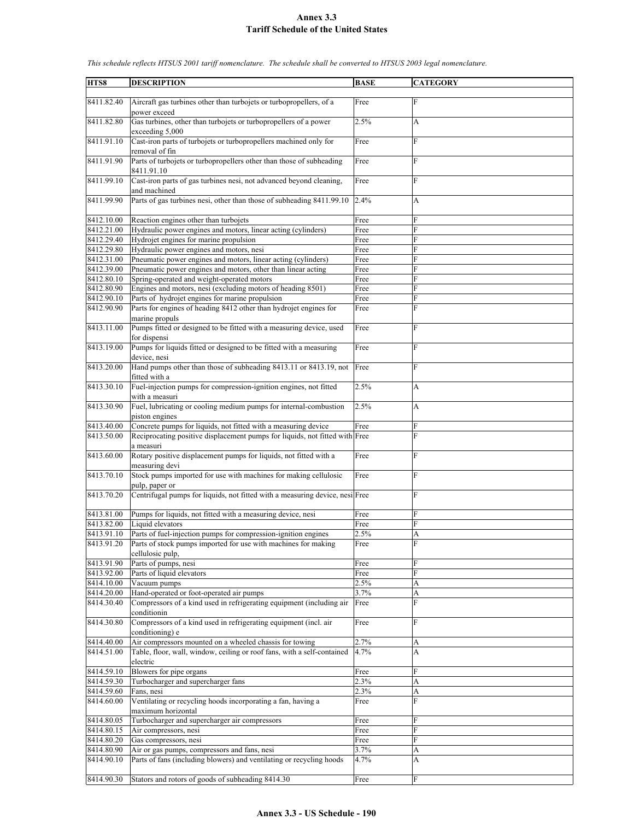| HTS8       | <b>DESCRIPTION</b>                                                                       | <b>BASE</b> | <b>CATEGORY</b> |
|------------|------------------------------------------------------------------------------------------|-------------|-----------------|
|            |                                                                                          |             |                 |
| 8411.82.40 | Aircraft gas turbines other than turbojets or turbopropellers, of a<br>power exceed      | Free        | F               |
| 8411.82.80 | Gas turbines, other than turbojets or turbopropellers of a power<br>exceeding 5,000      | 2.5%        | А               |
| 8411.91.10 | Cast-iron parts of turbojets or turbopropellers machined only for<br>removal of fin      | Free        | F               |
| 8411.91.90 | Parts of turbojets or turbopropellers other than those of subheading<br>8411.91.10       | Free        | F               |
| 8411.99.10 | Cast-iron parts of gas turbines nesi, not advanced beyond cleaning,<br>and machined      | Free        | F               |
| 8411.99.90 | Parts of gas turbines nesi, other than those of subheading 8411.99.10                    | 2.4%        | А               |
| 8412.10.00 | Reaction engines other than turbojets                                                    | Free        | F               |
| 8412.21.00 | Hydraulic power engines and motors, linear acting (cylinders)                            | Free        | F               |
| 8412.29.40 | Hydrojet engines for marine propulsion                                                   | Free        | ${\rm F}$       |
| 8412.29.80 | Hydraulic power engines and motors, nesi                                                 | Free        | F               |
| 8412.31.00 | Pneumatic power engines and motors, linear acting (cylinders)                            | Free        | F               |
| 8412.39.00 | Pneumatic power engines and motors, other than linear acting                             | Free        | F               |
| 8412.80.10 | Spring-operated and weight-operated motors                                               | Free        | F               |
| 8412.80.90 | Engines and motors, nesi (excluding motors of heading 8501)                              | Free        | F               |
| 8412.90.10 | Parts of hydrojet engines for marine propulsion                                          | Free        | F               |
| 8412.90.90 | Parts for engines of heading 8412 other than hydrojet engines for<br>marine propuls      | Free        | F               |
| 8413.11.00 | Pumps fitted or designed to be fitted with a measuring device, used                      | Free        | F               |
|            | for dispensi                                                                             |             |                 |
| 8413.19.00 | Pumps for liquids fitted or designed to be fitted with a measuring<br>device, nesi       | Free        | F               |
| 8413.20.00 | Hand pumps other than those of subheading 8413.11 or 8413.19, not<br>fitted with a       | Free        | F               |
| 8413.30.10 | Fuel-injection pumps for compression-ignition engines, not fitted<br>with a measuri      | 2.5%        | A               |
| 8413.30.90 | Fuel, lubricating or cooling medium pumps for internal-combustion<br>piston engines      | 2.5%        | A               |
| 8413.40.00 | Concrete pumps for liquids, not fitted with a measuring device                           | Free        | F               |
| 8413.50.00 | Reciprocating positive displacement pumps for liquids, not fitted with Free<br>a measuri |             | F               |
| 8413.60.00 | Rotary positive displacement pumps for liquids, not fitted with a<br>measuring devi      | Free        | F               |
| 8413.70.10 | Stock pumps imported for use with machines for making cellulosic<br>pulp, paper or       | Free        | F               |
| 8413.70.20 | Centrifugal pumps for liquids, not fitted with a measuring device, nesi Free             |             | F               |
| 8413.81.00 | Pumps for liquids, not fitted with a measuring device, nesi                              | Free        | F               |
| 8413.82.00 | Liquid elevators                                                                         | Free        | F               |
| 8413.91.10 | Parts of fuel-injection pumps for compression-ignition engines                           | 2.5%        | A               |
| 8413.91.20 | Parts of stock pumps imported for use with machines for making<br>cellulosic pulp,       | Free        | F               |
| 8413.91.90 | Parts of pumps, nesi                                                                     | Free        | F               |
| 8413.92.00 | Parts of liquid elevators                                                                | Free        | F               |
| 8414.10.00 | Vacuum pumps                                                                             | 2.5%        | A               |
| 8414.20.00 | Hand-operated or foot-operated air pumps                                                 | 3.7%        | A               |
| 8414.30.40 | Compressors of a kind used in refrigerating equipment (including air<br>conditionin      | Free        | F               |
| 8414.30.80 | Compressors of a kind used in refrigerating equipment (incl. air<br>conditioning) e      | Free        | F               |
| 8414.40.00 | Air compressors mounted on a wheeled chassis for towing                                  | 2.7%        | A               |
| 8414.51.00 | Table, floor, wall, window, ceiling or roof fans, with a self-contained<br>electric      | 4.7%        | A               |
| 8414.59.10 | Blowers for pipe organs                                                                  | Free        | F               |
| 8414.59.30 | Turbocharger and supercharger fans                                                       | 2.3%        | A               |
| 8414.59.60 | Fans, nesi                                                                               | 2.3%        | A               |
| 8414.60.00 | Ventilating or recycling hoods incorporating a fan, having a<br>maximum horizontal       | Free        | F               |
| 8414.80.05 | Turbocharger and supercharger air compressors                                            | Free        | F               |
| 8414.80.15 | Air compressors, nesi                                                                    | Free        | F               |
| 8414.80.20 | Gas compressors, nesi                                                                    | Free        | F               |
| 8414.80.90 | Air or gas pumps, compressors and fans, nesi                                             | 3.7%        | A               |
| 8414.90.10 | Parts of fans (including blowers) and ventilating or recycling hoods                     | 4.7%        | A               |
| 8414.90.30 | Stators and rotors of goods of subheading 8414.30                                        | Free        | F               |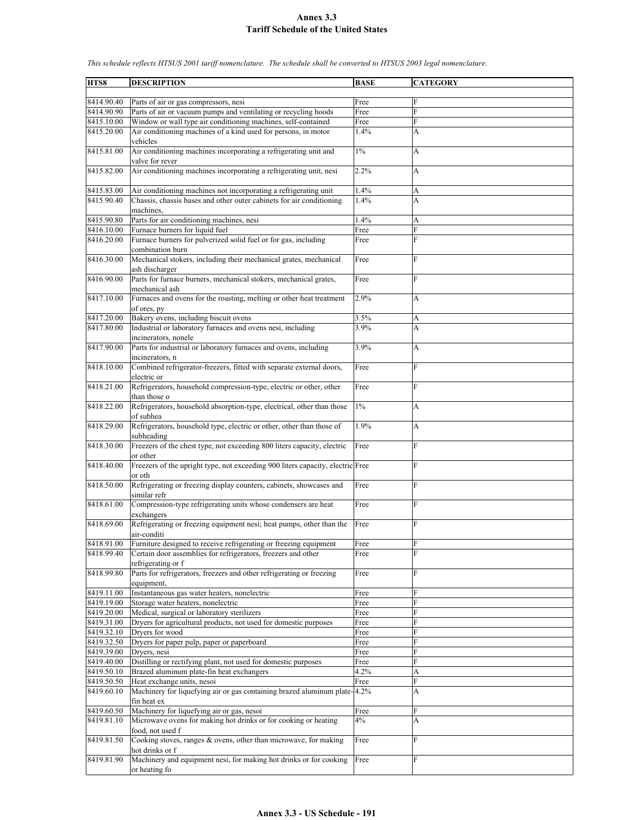| HTS8                     | <b>DESCRIPTION</b>                                                                                                              | <b>BASE</b>  | <b>CATEGORY</b> |
|--------------------------|---------------------------------------------------------------------------------------------------------------------------------|--------------|-----------------|
|                          |                                                                                                                                 |              |                 |
| 8414.90.40               | Parts of air or gas compressors, nesi                                                                                           | Free         | F               |
| 8414.90.90               | Parts of air or vacuum pumps and ventilating or recycling hoods                                                                 | Free         | F               |
| 8415.10.00<br>8415.20.00 | Window or wall type air conditioning machines, self-contained<br>Air conditioning machines of a kind used for persons, in motor | Free<br>1.4% | F<br>A          |
|                          | vehicles                                                                                                                        |              |                 |
| 8415.81.00               | Air conditioning machines incorporating a refrigerating unit and<br>valve for rever                                             | $1\%$        | A               |
| 8415.82.00               | Air conditioning machines incorporating a refrigerating unit, nesi                                                              | 2.2%         | A               |
| 8415.83.00               | Air conditioning machines not incorporating a refrigerating unit                                                                | 1.4%         | A               |
| 8415.90.40               | Chassis, chassis bases and other outer cabinets for air conditioning<br>machines.                                               | 1.4%         | A               |
| 8415.90.80               | Parts for air conditioning machines, nesi                                                                                       | 1.4%         | A               |
| 8416.10.00               | Furnace burners for liquid fuel                                                                                                 | Free         | F               |
| 8416.20.00               | Furnace burners for pulverized solid fuel or for gas, including<br>combination burn                                             | Free         | F               |
| 8416.30.00               | Mechanical stokers, including their mechanical grates, mechanical<br>ash discharger                                             | Free         | F               |
| 8416.90.00               | Parts for furnace burners, mechanical stokers, mechanical grates,<br>mechanical ash                                             | Free         | F               |
| 8417.10.00               | Furnaces and ovens for the roasting, melting or other heat treatment                                                            | 2.9%         | A               |
|                          | of ores, py                                                                                                                     |              |                 |
| 8417.20.00<br>8417.80.00 | Bakery ovens, including biscuit ovens<br>Industrial or laboratory furnaces and ovens nesi, including                            | 3.5%<br>3.9% | A<br>A          |
|                          | incinerators, nonele                                                                                                            |              |                 |
| 8417.90.00               | Parts for industrial or laboratory furnaces and ovens, including<br>incinerators, n                                             | 3.9%         | A               |
| 8418.10.00               | Combined refrigerator-freezers, fitted with separate external doors,<br>electric or                                             | Free         | F               |
| 8418.21.00               | Refrigerators, household compression-type, electric or other, other<br>than those o                                             | Free         | F               |
| 8418.22.00               | Refrigerators, household absorption-type, electrical, other than those<br>of subhea                                             | $1\%$        | A               |
| 8418.29.00               | Refrigerators, household type, electric or other, other than those of<br>subheading                                             | 1.9%         | A               |
| 8418.30.00               | Freezers of the chest type, not exceeding 800 liters capacity, electric<br>or other                                             | Free         | F               |
| 8418.40.00               | Freezers of the upright type, not exceeding 900 liters capacity, electric Free<br>or oth                                        |              | F               |
| 8418.50.00               | Refrigerating or freezing display counters, cabinets, showcases and<br>similar refr                                             | Free         | F               |
| 8418.61.00               | Compression-type refrigerating units whose condensers are heat                                                                  | Free         | F               |
| 8418.69.00               | exchangers<br>Refrigerating or freezing equipment nesi; heat pumps, other than the<br>air-conditi                               | Free         | F               |
| 8418.91.00               | Furniture designed to receive refrigerating or freezing equipment                                                               | Free         | F               |
| 8418.99.40               | Certain door assemblies for refrigerators, freezers and other                                                                   | Free         | F               |
|                          | refrigerating or f                                                                                                              |              |                 |
| 8418.99.80               | Parts for refrigerators, freezers and other refrigerating or freezing<br>equipment,                                             | Free         | F               |
| 8419.11.00               | Instantaneous gas water heaters, nonelectric                                                                                    | Free         | F               |
| 8419.19.00               | Storage water heaters, nonelectric                                                                                              | Free         | F               |
| 8419.20.00               | Medical, surgical or laboratory sterilizers                                                                                     | Free         | F               |
| 8419.31.00               | Dryers for agricultural products, not used for domestic purposes                                                                | Free         | F               |
| 8419.32.10               | Dryers for wood                                                                                                                 | Free         | F               |
| 8419.32.50<br>8419.39.00 | Dryers for paper pulp, paper or paperboard<br>Dryers, nesi                                                                      | Free         | F<br>F          |
| 8419.40.00               | Distilling or rectifying plant, not used for domestic purposes                                                                  | Free<br>Free | F               |
| 8419.50.10               | Brazed aluminum plate-fin heat exchangers                                                                                       | 4.2%         | A               |
| 8419.50.50               | Heat exchange units, nesoi                                                                                                      | Free         | F               |
| 8419.60.10               | Machinery for liquefying air or gas containing brazed aluminum plate-4.2%<br>fin heat ex                                        |              | A               |
| 8419.60.50               | Machinery for liquefying air or gas, nesoi                                                                                      | Free         | F               |
| 8419.81.10               | Microwave ovens for making hot drinks or for cooking or heating                                                                 | 4%           | A               |
| 8419.81.50               | food, not used f<br>Cooking stoves, ranges & ovens, other than microwave, for making                                            | Free         | F               |
|                          | hot drinks or f                                                                                                                 |              |                 |
| 8419.81.90               | Machinery and equipment nesi, for making hot drinks or for cooking<br>or heating fo                                             | Free         | F               |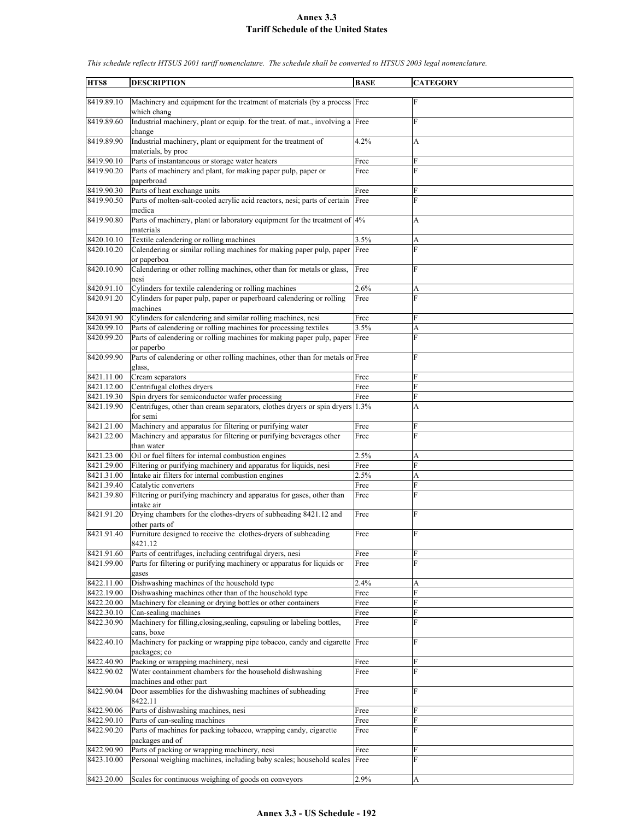| HTS8                     | <b>DESCRIPTION</b>                                                                                                     | <b>BASE</b>  | <b>CATEGORY</b> |
|--------------------------|------------------------------------------------------------------------------------------------------------------------|--------------|-----------------|
|                          |                                                                                                                        |              |                 |
| 8419.89.10               | Machinery and equipment for the treatment of materials (by a process Free<br>which chang                               |              | F               |
| 8419.89.60               | Industrial machinery, plant or equip. for the treat. of mat., involving a Free<br>change                               |              | F               |
| 8419.89.90               | Industrial machinery, plant or equipment for the treatment of<br>materials, by proc                                    | 4.2%         | A               |
| 8419.90.10               | Parts of instantaneous or storage water heaters                                                                        | Free         | F               |
| 8419.90.20               | Parts of machinery and plant, for making paper pulp, paper or<br>paperbroad                                            | Free         | F               |
| 8419.90.30               | Parts of heat exchange units                                                                                           | Free         | F               |
| 8419.90.50               | Parts of molten-salt-cooled acrylic acid reactors, nesi; parts of certain<br>medica                                    | Free         | F               |
| 8419.90.80               | Parts of machinery, plant or laboratory equipment for the treatment of 4%<br>materials                                 |              | A               |
| 8420.10.10               | Textile calendering or rolling machines                                                                                | 3.5%         | A               |
| 8420.10.20               | Calendering or similar rolling machines for making paper pulp, paper<br>or paperboa                                    | Free         | F               |
| 8420.10.90               | Calendering or other rolling machines, other than for metals or glass,<br>nesi                                         | Free         | F               |
| 8420.91.10               | Cylinders for textile calendering or rolling machines                                                                  | 2.6%         | A               |
| 8420.91.20               | Cylinders for paper pulp, paper or paperboard calendering or rolling<br>machines                                       | Free         | F               |
| 8420.91.90               | Cylinders for calendering and similar rolling machines, nesi                                                           | Free         | F               |
| 8420.99.10               | Parts of calendering or rolling machines for processing textiles                                                       | 3.5%         | A               |
| 8420.99.20               | Parts of calendering or rolling machines for making paper pulp, paper Free<br>or paperbo                               |              | F               |
| 8420.99.90               | Parts of calendering or other rolling machines, other than for metals or Free<br>glass.                                |              | F               |
| 8421.11.00               | Cream separators                                                                                                       | Free         | F               |
| 8421.12.00               | Centrifugal clothes dryers                                                                                             | Free         | F               |
| 8421.19.30               | Spin dryers for semiconductor wafer processing                                                                         | Free         | F               |
| 8421.19.90               | Centrifuges, other than cream separators, clothes dryers or spin dryers 1.3%<br>for semi                               |              | A               |
| 8421.21.00               | Machinery and apparatus for filtering or purifying water                                                               | Free         | F               |
| 8421.22.00               | Machinery and apparatus for filtering or purifying beverages other<br>than water                                       | Free         | F               |
| 8421.23.00               | Oil or fuel filters for internal combustion engines                                                                    | 2.5%         | A               |
| 8421.29.00<br>8421.31.00 | Filtering or purifying machinery and apparatus for liquids, nesi<br>Intake air filters for internal combustion engines | Free<br>2.5% | F<br>A          |
| 8421.39.40               | Catalytic converters                                                                                                   | Free         | F               |
| 8421.39.80               | Filtering or purifying machinery and apparatus for gases, other than<br>intake air                                     | Free         | F               |
| 8421.91.20               | Drying chambers for the clothes-dryers of subheading 8421.12 and<br>other parts of                                     | Free         | F               |
| 8421.91.40               | Furniture designed to receive the clothes-dryers of subheading<br>8421.12                                              | Free         | F               |
| 8421.91.60               | Parts of centrifuges, including centrifugal dryers, nesi                                                               | Free         | F               |
| 8421.99.00               | Parts for filtering or purifying machinery or apparatus for liquids or<br>gases                                        | Free         | F               |
| 8422.11.00               | Dishwashing machines of the household type                                                                             | 2.4%         | A               |
| 8422.19.00               | Dishwashing machines other than of the household type                                                                  | Free         | F               |
| 8422.20.00               | Machinery for cleaning or drying bottles or other containers                                                           | Free         | F               |
| 8422.30.10               | Can-sealing machines                                                                                                   | Free         | F               |
| 8422.30.90               | Machinery for filling, closing, sealing, capsuling or labeling bottles,<br>cans, boxe                                  | Free         | F               |
| 8422.40.10               | Machinery for packing or wrapping pipe tobacco, candy and cigarette Free<br>packages; co                               |              | F               |
| 8422.40.90               | Packing or wrapping machinery, nesi                                                                                    | Free         | F               |
| 8422.90.02               | Water containment chambers for the household dishwashing<br>machines and other part                                    | Free         | F               |
| 8422.90.04               | Door assemblies for the dishwashing machines of subheading<br>8422.11                                                  | Free         | F               |
| 8422.90.06               | Parts of dishwashing machines, nesi                                                                                    | Free         | F               |
| 8422.90.10               | Parts of can-sealing machines                                                                                          | Free         | F               |
| 8422.90.20               | Parts of machines for packing tobacco, wrapping candy, cigarette<br>packages and of                                    | Free         | F               |
| 8422.90.90               | Parts of packing or wrapping machinery, nesi                                                                           | Free         | F               |
| 8423.10.00               | Personal weighing machines, including baby scales; household scales                                                    | Free         | F               |
| 8423.20.00               | Scales for continuous weighing of goods on conveyors                                                                   | 2.9%         | A               |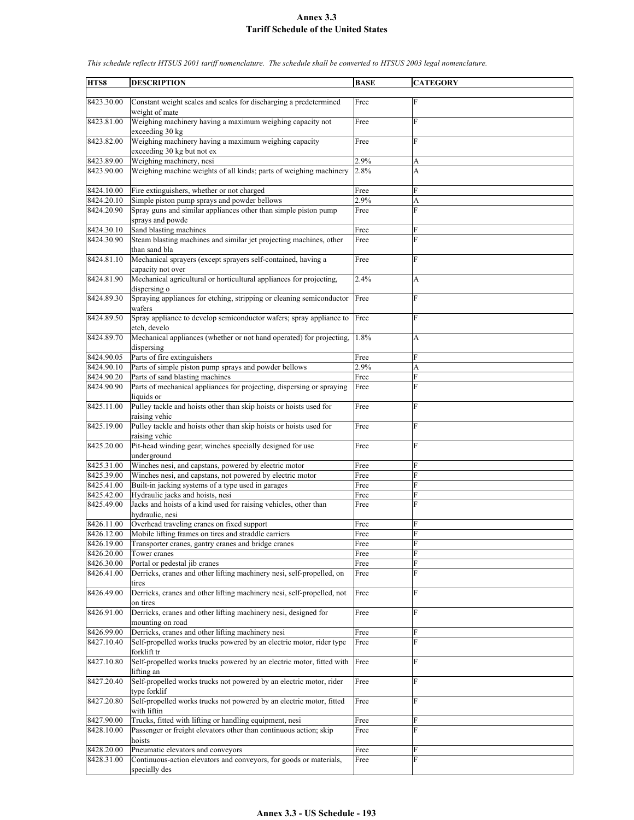| HTS8       | <b>DESCRIPTION</b>                                                     | <b>BASE</b> | <b>CATEGORY</b> |
|------------|------------------------------------------------------------------------|-------------|-----------------|
|            |                                                                        |             |                 |
| 8423.30.00 | Constant weight scales and scales for discharging a predetermined      | Free        | F               |
|            | weight of mate                                                         |             |                 |
| 8423.81.00 | Weighing machinery having a maximum weighing capacity not              | Free        | F               |
|            | exceeding 30 kg                                                        |             |                 |
| 8423.82.00 | Weighing machinery having a maximum weighing capacity                  | Free        | F               |
|            | exceeding 30 kg but not ex                                             |             |                 |
| 8423.89.00 | Weighing machinery, nesi                                               | 2.9%        | A               |
|            |                                                                        |             |                 |
| 8423.90.00 | Weighing machine weights of all kinds; parts of weighing machinery     | 2.8%        | A               |
|            |                                                                        |             |                 |
| 8424.10.00 | Fire extinguishers, whether or not charged                             | Free        | F               |
| 8424.20.10 | Simple piston pump sprays and powder bellows                           | 2.9%        | A               |
| 8424.20.90 | Spray guns and similar appliances other than simple piston pump        | Free        | F               |
|            | sprays and powde                                                       |             |                 |
| 8424.30.10 | Sand blasting machines                                                 | Free        | F               |
| 8424.30.90 | Steam blasting machines and similar jet projecting machines, other     | Free        | F               |
|            | than sand bla                                                          |             |                 |
|            |                                                                        |             |                 |
| 8424.81.10 | Mechanical sprayers (except sprayers self-contained, having a          | Free        | F               |
|            | capacity not over                                                      |             |                 |
| 8424.81.90 | Mechanical agricultural or horticultural appliances for projecting,    | 2.4%        | A               |
|            | dispersing o                                                           |             |                 |
| 8424.89.30 | Spraying appliances for etching, stripping or cleaning semiconductor   | Free        | F               |
|            | wafers                                                                 |             |                 |
| 8424.89.50 | Spray appliance to develop semiconductor wafers; spray appliance to    | Free        | F               |
|            |                                                                        |             |                 |
|            | etch, develo                                                           |             |                 |
| 8424.89.70 | Mechanical appliances (whether or not hand operated) for projecting,   | 1.8%        | A               |
|            | dispersing                                                             |             |                 |
| 8424.90.05 | Parts of fire extinguishers                                            | Free        | F               |
| 8424.90.10 | Parts of simple piston pump sprays and powder bellows                  | 2.9%        | A               |
| 8424.90.20 | Parts of sand blasting machines                                        | Free        | F               |
| 8424.90.90 | Parts of mechanical appliances for projecting, dispersing or spraying  | Free        | F               |
|            | liquids or                                                             |             |                 |
|            |                                                                        |             |                 |
| 8425.11.00 | Pulley tackle and hoists other than skip hoists or hoists used for     | Free        | F               |
|            | raising vehic                                                          |             |                 |
| 8425.19.00 | Pulley tackle and hoists other than skip hoists or hoists used for     | Free        | F               |
|            | raising vehic                                                          |             |                 |
| 8425.20.00 | Pit-head winding gear; winches specially designed for use              | Free        | F               |
|            | underground                                                            |             |                 |
| 8425.31.00 | Winches nesi, and capstans, powered by electric motor                  | Free        | F               |
| 8425.39.00 | Winches nesi, and capstans, not powered by electric motor              | Free        | F               |
|            |                                                                        |             | F               |
| 8425.41.00 | Built-in jacking systems of a type used in garages                     | Free        |                 |
| 8425.42.00 | Hydraulic jacks and hoists, nesi                                       | Free        | F               |
| 8425.49.00 | Jacks and hoists of a kind used for raising vehicles, other than       | Free        | F               |
|            | hydraulic, nesi                                                        |             |                 |
| 8426.11.00 | Overhead traveling cranes on fixed support                             | Free        | F               |
| 8426.12.00 | Mobile lifting frames on tires and straddle carriers                   | Free        | F               |
| 8426.19.00 | Transporter cranes, gantry cranes and bridge cranes                    | Free        | F               |
| 8426.20.00 | Tower cranes                                                           | Free        | F               |
|            |                                                                        |             |                 |
| 8426.30.00 | Portal or pedestal jib cranes                                          | Free        | F               |
| 8426.41.00 | Derricks, cranes and other lifting machinery nesi, self-propelled, on  | Free        | F               |
|            | tires                                                                  |             |                 |
| 8426.49.00 | Derricks, cranes and other lifting machinery nesi, self-propelled, not | Free        | F               |
|            | on tires                                                               |             |                 |
| 8426.91.00 | Derricks, cranes and other lifting machinery nesi, designed for        | Free        | F               |
|            | mounting on road                                                       |             |                 |
| 8426.99.00 | Derricks, cranes and other lifting machinery nesi                      |             | F               |
|            |                                                                        | Free        |                 |
| 8427.10.40 | Self-propelled works trucks powered by an electric motor, rider type   | Free        | F               |
|            | forklift tr                                                            |             |                 |
| 8427.10.80 | Self-propelled works trucks powered by an electric motor, fitted with  | Free        | F               |
|            | lifting an                                                             |             |                 |
| 8427.20.40 | Self-propelled works trucks not powered by an electric motor, rider    | Free        | F               |
|            | type forklif                                                           |             |                 |
| 8427.20.80 | Self-propelled works trucks not powered by an electric motor, fitted   | Free        | F               |
|            |                                                                        |             |                 |
|            | with liftin                                                            |             |                 |
| 8427.90.00 | Trucks, fitted with lifting or handling equipment, nesi                | Free        | F               |
| 8428.10.00 | Passenger or freight elevators other than continuous action; skip      | Free        | F               |
|            | hoists                                                                 |             |                 |
| 8428.20.00 | Pneumatic elevators and conveyors                                      | Free        | F               |
| 8428.31.00 | Continuous-action elevators and conveyors, for goods or materials,     | Free        | F               |
|            | specially des                                                          |             |                 |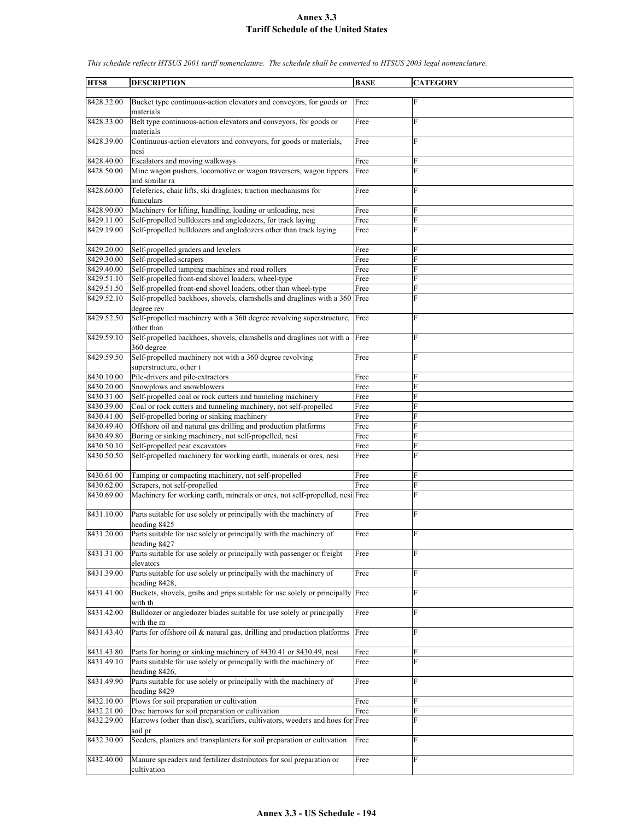| HTS8       | <b>DESCRIPTION</b>                                                            | <b>BASE</b> | <b>CATEGORY</b> |
|------------|-------------------------------------------------------------------------------|-------------|-----------------|
|            |                                                                               |             |                 |
| 8428.32.00 | Bucket type continuous-action elevators and conveyors, for goods or           | Free        | $\mathbf F$     |
|            | materials                                                                     |             |                 |
| 8428.33.00 | Belt type continuous-action elevators and conveyors, for goods or             | Free        | F               |
|            | materials                                                                     |             |                 |
| 8428.39.00 | Continuous-action elevators and conveyors, for goods or materials,            | Free        | F               |
|            | nesi                                                                          |             |                 |
| 8428.40.00 | Escalators and moving walkways                                                | Free        | F               |
| 8428.50.00 | Mine wagon pushers, locomotive or wagon traversers, wagon tippers             | Free        | $\mathbf{F}$    |
|            | and similar ra                                                                |             |                 |
| 8428.60.00 | Teleferics, chair lifts, ski draglines; traction mechanisms for               | Free        | F               |
|            | funiculars                                                                    |             |                 |
| 8428.90.00 | Machinery for lifting, handling, loading or unloading, nesi                   | Free        | F               |
| 8429.11.00 | Self-propelled bulldozers and angledozers, for track laying                   | Free        | F               |
| 8429.19.00 | Self-propelled bulldozers and angledozers other than track laying             | Free        | F               |
|            |                                                                               |             |                 |
| 8429.20.00 | Self-propelled graders and levelers                                           | Free        | F               |
| 8429.30.00 | Self-propelled scrapers                                                       | Free        | F               |
| 8429.40.00 | Self-propelled tamping machines and road rollers                              | Free        | F               |
| 8429.51.10 | Self-propelled front-end shovel loaders, wheel-type                           | Free        | F               |
| 8429.51.50 | Self-propelled front-end shovel loaders, other than wheel-type                | Free        | F               |
| 8429.52.10 | Self-propelled backhoes, shovels, clamshells and draglines with a 360         | Free        | F               |
|            | degree rev                                                                    |             |                 |
| 8429.52.50 | Self-propelled machinery with a 360 degree revolving superstructure,          | Free        | F               |
|            | other than                                                                    |             |                 |
| 8429.59.10 | Self-propelled backhoes, shovels, clamshells and draglines not with a Free    |             | F               |
|            | 360 degree                                                                    |             |                 |
| 8429.59.50 | Self-propelled machinery not with a 360 degree revolving                      | Free        | F               |
|            | superstructure, other t                                                       |             |                 |
| 8430.10.00 | Pile-drivers and pile-extractors                                              | Free        | $\mathbf F$     |
| 8430.20.00 | Snowplows and snowblowers                                                     | Free        | F               |
| 8430.31.00 | Self-propelled coal or rock cutters and tunneling machinery                   | Free        | F               |
| 8430.39.00 | Coal or rock cutters and tunneling machinery, not self-propelled              | Free        | F               |
| 8430.41.00 | Self-propelled boring or sinking machinery                                    | Free        | F               |
| 8430.49.40 | Offshore oil and natural gas drilling and production platforms                | Free        | F               |
| 8430.49.80 | Boring or sinking machinery, not self-propelled, nesi                         | Free        | F               |
| 8430.50.10 | Self-propelled peat excavators                                                | Free        | F               |
| 8430.50.50 | Self-propelled machinery for working earth, minerals or ores, nesi            | Free        | F               |
|            |                                                                               |             |                 |
| 8430.61.00 | Tamping or compacting machinery, not self-propelled                           | Free        | F               |
| 8430.62.00 | Scrapers, not self-propelled                                                  | Free        | F               |
| 8430.69.00 | Machinery for working earth, minerals or ores, not self-propelled, nesi Free  |             | F               |
|            |                                                                               |             |                 |
| 8431.10.00 | Parts suitable for use solely or principally with the machinery of            | Free        | $\overline{F}$  |
|            | heading 8425                                                                  |             |                 |
| 8431.20.00 | Parts suitable for use solely or principally with the machinery of            | Free        | F               |
|            | heading 8427                                                                  |             |                 |
| 8431.31.00 | Parts suitable for use solely or principally with passenger or freight        | Free        | F               |
|            | elevators                                                                     |             |                 |
| 8431.39.00 | Parts suitable for use solely or principally with the machinery of            | Free        | F               |
|            | heading 8428,                                                                 |             |                 |
| 8431.41.00 | Buckets, shovels, grabs and grips suitable for use solely or principally Free |             | F               |
|            | with th                                                                       |             |                 |
| 8431.42.00 | Bulldozer or angledozer blades suitable for use solely or principally         | Free        | ${\bf F}$       |
|            | with the m                                                                    |             |                 |
| 8431.43.40 | Parts for offshore oil & natural gas, drilling and production platforms       | Free        | F               |
|            |                                                                               |             |                 |
|            |                                                                               |             |                 |
| 8431.43.80 | Parts for boring or sinking machinery of 8430.41 or 8430.49, nesi             | Free        | F<br>F          |
| 8431.49.10 | Parts suitable for use solely or principally with the machinery of            | Free        |                 |
|            | heading 8426,                                                                 |             |                 |
| 8431.49.90 | Parts suitable for use solely or principally with the machinery of            | Free        | F               |
|            | heading 8429                                                                  |             |                 |
| 8432.10.00 | Plows for soil preparation or cultivation                                     | Free        | F               |
| 8432.21.00 | Disc harrows for soil preparation or cultivation                              | Free        | F               |
| 8432.29.00 | Harrows (other than disc), scarifiers, cultivators, weeders and hoes for Free |             | F               |
|            | soil pr                                                                       |             |                 |
| 8432.30.00 | Seeders, planters and transplanters for soil preparation or cultivation       | Free        | F               |
|            |                                                                               |             |                 |
| 8432.40.00 | Manure spreaders and fertilizer distributors for soil preparation or          | Free        | F               |
|            | cultivation                                                                   |             |                 |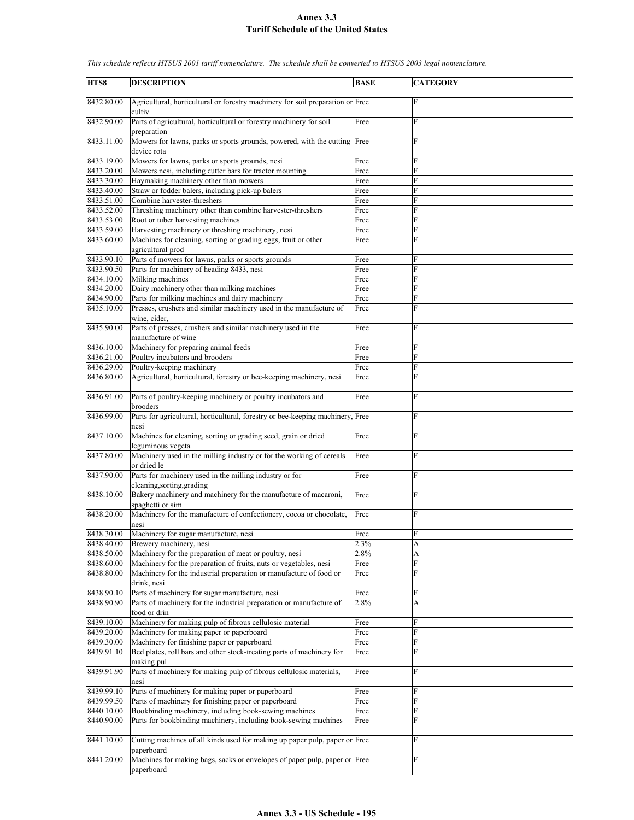**HTS8 DESCRIPTION BASE CATEGORY** 8432.80.00 Agricultural, horticultural or forestry machinery for soil preparation or Free F cultiv 8432.90.00 Parts of agricultural, horticultural or forestry machinery for soil preparation Free F 8433.11.00 Mowers for lawns, parks or sports grounds, powered, with the cutting device rota Free F 8433.19.00 Mowers for lawns, parks or sports grounds, nesi Free 8433.20.00 Mowers nesi, including cutter bars for tractor mounting Free 8433.30.00 Haymaking machinery other than mowers Free 8433.40.00 Straw or fodder balers, including pick-up balers Free 8433.51.00 Combine harvester-threshers Free 8433.52.00 Threshing machinery other than combine harvester-threshers Free 8433.53.00 Root or tuber harvesting machines Free 8433.59.00 Harvesting machinery or threshing machinery, nesi Free 8433.60.00 Machines for cleaning, sorting or grading eggs, fruit or other agricultural prod Free F 8433.90.10 Parts of mowers for lawns, parks or sports grounds Free 8433.90.50 Parts for machinery of heading 8433, nesi Free 8434.10.00 Milking machines Free 8434.20.00 Dairy machinery other than milking machines Free 8434.90.00 Parts for milking machines and dairy machinery Free 8435.10.00 Presses, crushers and similar machinery used in the manufacture of wine, cider, Free 8435.90.00 Parts of presses, crushers and similar machinery used in the manufacture of wine Free F 8436.10.00 Machinery for preparing animal feeds Free 8436.21.00 Poultry incubators and brooders Free F 8436.29.00 Poultry-keeping machinery Free F 8436.80.00 Agricultural, horticultural, forestry or bee-keeping machinery, nesi Free 8436.91.00 Parts of poultry-keeping machinery or poultry incubators and brooders Free F 8436.99.00 Parts for agricultural, horticultural, forestry or bee-keeping machinery, nesi **Free** 8437.10.00 Machines for cleaning, sorting or grading seed, grain or dried leguminous vegeta Free F 8437.80.00 Machinery used in the milling industry or for the working of cereals or dried le Free F 8437.90.00 Parts for machinery used in the milling industry or for cleaning,sorting,grading Free F 8438.10.00 Bakery machinery and machinery for the manufacture of macaroni, spaghetti or sim Free F 8438.20.00 Machinery for the manufacture of confectionery, cocoa or chocolate, nesi Free F 8438.30.00 Machinery for sugar manufacture, nesi Free 8438.40.00 Brewery machinery, nesi 2.3% A 8438.50.00 Machinery for the preparation of meat or poultry, nesi 2.8% A 8438.60.00 Machinery for the preparation of fruits, nuts or vegetables, nesi Free 8438.80.00 Machinery for the industrial preparation or manufacture of food or drink, nesi Free 8438.90.10 Parts of machinery for sugar manufacture, nesi Free 8438.90.90 Parts of machinery for the industrial preparation or manufacture of food or drin 2.8% A 8439.10.00 Machinery for making pulp of fibrous cellulosic material Free 8439.20.00 Machinery for making paper or paperboard Free 8439.30.00 Machinery for finishing paper or paperboard Free 8439.91.10 Bed plates, roll bars and other stock-treating parts of machinery for making pul Free F 8439.91.90 Parts of machinery for making pulp of fibrous cellulosic materials, nesi Free 8439.99.10 Parts of machinery for making paper or paperboard Free F Parts of machinery for finishing paper or paperboard Free 8440.10.00 Bookbinding machinery, including book-sewing machines Free 8440.90.00 Parts for bookbinding machinery, including book-sewing machines Free 8441.10.00 Cutting machines of all kinds used for making up paper pulp, paper or Free F paperboard 8441.20.00 Machines for making bags, sacks or envelopes of paper pulp, paper or Free F paperboard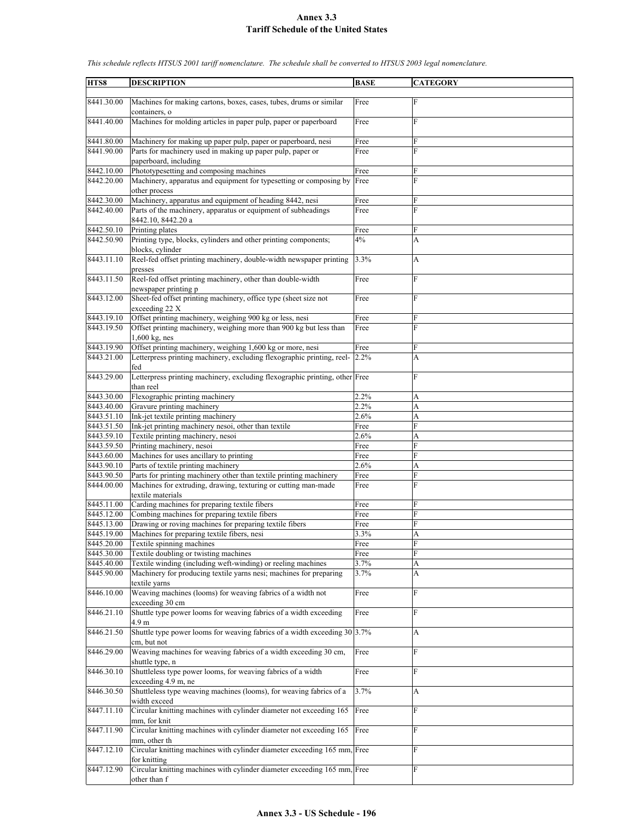| HTS8                     | <b>DESCRIPTION</b>                                                                                    | <b>BASE</b>       | <b>CATEGORY</b> |
|--------------------------|-------------------------------------------------------------------------------------------------------|-------------------|-----------------|
|                          |                                                                                                       |                   |                 |
| 8441.30.00               | Machines for making cartons, boxes, cases, tubes, drums or similar<br>containers, o                   | Free              | $\mathbf F$     |
| 8441.40.00               | Machines for molding articles in paper pulp, paper or paperboard                                      | Free              | F               |
| 8441.80.00               | Machinery for making up paper pulp, paper or paperboard, nesi                                         | Free              | F               |
| 8441.90.00               | Parts for machinery used in making up paper pulp, paper or<br>paperboard, including                   | Free              | F               |
| 8442.10.00               | Phototypesetting and composing machines                                                               | Free              | F               |
| 8442.20.00               | Machinery, apparatus and equipment for typesetting or composing by<br>other process                   | Free              | $\mathbf{F}$    |
| 8442.30.00               | Machinery, apparatus and equipment of heading 8442, nesi                                              | Free              | F               |
| 8442.40.00               | Parts of the machinery, apparatus or equipment of subheadings<br>8442.10, 8442.20 a                   | Free              | F               |
| 8442.50.10               | Printing plates                                                                                       | Free              | F               |
| 8442.50.90               | Printing type, blocks, cylinders and other printing components;<br>blocks, cylinder                   | 4%                | A               |
| 8443.11.10               | Reel-fed offset printing machinery, double-width newspaper printing<br>presses                        | 3.3%              | A               |
| 8443.11.50               | Reel-fed offset printing machinery, other than double-width<br>newspaper printing p                   | Free              | F               |
| 8443.12.00               | Sheet-fed offset printing machinery, office type (sheet size not<br>exceeding 22 X                    | Free              | $\mathbf{F}$    |
| 8443.19.10               | Offset printing machinery, weighing 900 kg or less, nesi                                              | Free              | F               |
| 8443.19.50               | Offset printing machinery, weighing more than 900 kg but less than                                    | Free              | $\mathbf{F}$    |
|                          | 1,600 kg, nes                                                                                         |                   |                 |
| 8443.19.90               | Offset printing machinery, weighing 1,600 kg or more, nesi                                            | $\overline{Free}$ | F               |
| 8443.21.00               | Letterpress printing machinery, excluding flexographic printing, reel-<br>fed                         | 2.2%              | A               |
| 8443.29.00               | Letterpress printing machinery, excluding flexographic printing, other Free<br>than reel              |                   | F               |
| 8443.30.00               | Flexographic printing machinery                                                                       | 2.2%              | A               |
| 8443.40.00               | Gravure printing machinery                                                                            | 2.2%              | A               |
| 8443.51.10               | Ink-jet textile printing machinery                                                                    | 2.6%              | A               |
| 8443.51.50               | Ink-jet printing machinery nesoi, other than textile                                                  | Free              | F               |
| 8443.59.10               | Textile printing machinery, nesoi                                                                     | 2.6%              | A               |
| 8443.59.50               | Printing machinery, nesoi                                                                             | Free              | F               |
| 8443.60.00               | Machines for uses ancillary to printing                                                               | Free              | F               |
| 8443.90.10               | Parts of textile printing machinery                                                                   | 2.6%              | A               |
| 8443.90.50               | Parts for printing machinery other than textile printing machinery                                    | Free              | F               |
| 8444.00.00               | Machines for extruding, drawing, texturing or cutting man-made<br>textile materials                   | Free              | F               |
| 8445.11.00               | Carding machines for preparing textile fibers                                                         | Free              | F               |
| 8445.12.00               | Combing machines for preparing textile fibers                                                         | Free              | F               |
| 8445.13.00               | Drawing or roving machines for preparing textile fibers                                               | Free              | F               |
| 8445.19.00               | Machines for preparing textile fibers, nesi                                                           | 3.3%              | A               |
| 8445.20.00               | Textile spinning machines                                                                             | Free              | ${\rm F}$       |
| 8445.30.00<br>8445.40.00 | Textile doubling or twisting machines<br>Textile winding (including weft-winding) or reeling machines | Free<br>3.7%      | F<br>A          |
| 8445.90.00               | Machinery for producing textile yarns nesi; machines for preparing<br>textile varns                   | 3.7%              | A               |
| 8446.10.00               | Weaving machines (looms) for weaving fabrics of a width not                                           | Free              | F               |
| 8446.21.10               | exceeding 30 cm<br>Shuttle type power looms for weaving fabrics of a width exceeding                  | Free              | $\mathbf{F}$    |
| 8446.21.50               | 4.9 m<br>Shuttle type power looms for weaving fabrics of a width exceeding $30 3.7\%$<br>cm, but not  |                   | A               |
| 8446.29.00               | Weaving machines for weaving fabrics of a width exceeding 30 cm,<br>shuttle type, n                   | Free              | F               |
| 8446.30.10               | Shuttleless type power looms, for weaving fabrics of a width                                          | Free              | $\mathbf{F}$    |
| 8446.30.50               | exceeding 4.9 m, ne<br>Shuttleless type weaving machines (looms), for weaving fabrics of a            | 3.7%              | A               |
| 8447.11.10               | width exceed<br>Circular knitting machines with cylinder diameter not exceeding 165                   | Free              | F               |
| 8447.11.90               | mm, for knit<br>Circular knitting machines with cylinder diameter not exceeding 165                   | Free              | F               |
|                          | mm, other th                                                                                          |                   |                 |
| 8447.12.10               | Circular knitting machines with cylinder diameter exceeding 165 mm, Free<br>for knitting              |                   | F               |
| 8447.12.90               | Circular knitting machines with cylinder diameter exceeding 165 mm, Free<br>other than f              |                   | F               |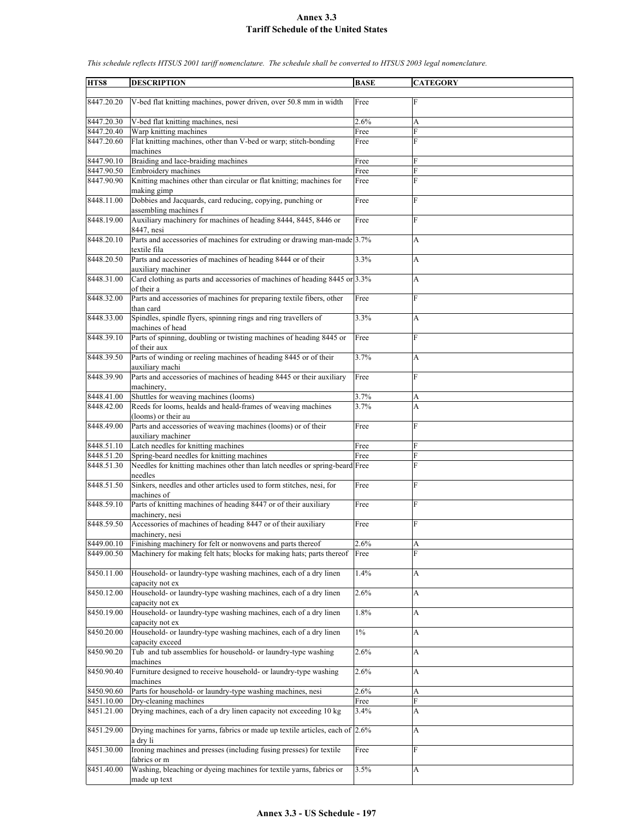| HTS8       | <b>DESCRIPTION</b>                                                                       | <b>BASE</b> | <b>CATEGORY</b> |
|------------|------------------------------------------------------------------------------------------|-------------|-----------------|
|            |                                                                                          |             |                 |
| 8447.20.20 | V-bed flat knitting machines, power driven, over 50.8 mm in width                        | Free        | F               |
| 8447.20.30 | V-bed flat knitting machines, nesi                                                       | 2.6%        | A               |
| 8447.20.40 | Warp knitting machines                                                                   | Free        | $\overline{F}$  |
| 8447.20.60 | Flat knitting machines, other than V-bed or warp; stitch-bonding<br>machines             | Free        | F               |
| 8447.90.10 | Braiding and lace-braiding machines                                                      | Free        | F               |
| 8447.90.50 | Embroidery machines                                                                      | Free        | ${\bf F}$       |
| 8447.90.90 | Knitting machines other than circular or flat knitting; machines for<br>making gimp      | Free        | F               |
| 8448.11.00 | Dobbies and Jacquards, card reducing, copying, punching or<br>assembling machines f      | Free        | F               |
| 8448.19.00 | Auxiliary machinery for machines of heading 8444, 8445, 8446 or<br>8447, nesi            | Free        | F               |
| 8448.20.10 | Parts and accessories of machines for extruding or drawing man-made 3.7%<br>textile fila |             | A               |
| 8448.20.50 | Parts and accessories of machines of heading 8444 or of their<br>auxiliary machiner      | 3.3%        | A               |
| 8448.31.00 | Card clothing as parts and accessories of machines of heading 8445 or 3.3%<br>of their a |             | A               |
| 8448.32.00 | Parts and accessories of machines for preparing textile fibers, other<br>than card       | Free        | $\mathbf F$     |
| 8448.33.00 | Spindles, spindle flyers, spinning rings and ring travellers of                          | 3.3%        | A               |
| 8448.39.10 | machines of head                                                                         |             |                 |
|            | Parts of spinning, doubling or twisting machines of heading 8445 or<br>of their aux      | Free        | F               |
| 8448.39.50 | Parts of winding or reeling machines of heading 8445 or of their<br>auxiliary machi      | 3.7%        | A               |
| 8448.39.90 | Parts and accessories of machines of heading 8445 or their auxiliary<br>machinery,       | Free        | $\mathbf{F}$    |
| 8448.41.00 | Shuttles for weaving machines (looms)                                                    | 3.7%        | А               |
| 8448.42.00 | Reeds for looms, healds and heald-frames of weaving machines<br>(looms) or their au      | 3.7%        | A               |
| 8448.49.00 | Parts and accessories of weaving machines (looms) or of their<br>auxiliary machiner      | Free        | $\overline{F}$  |
| 8448.51.10 | Latch needles for knitting machines                                                      | Free        | F               |
| 8448.51.20 | Spring-beard needles for knitting machines                                               | Free        | F               |
| 8448.51.30 | Needles for knitting machines other than latch needles or spring-beard Free              |             | F               |
| 8448.51.50 | needles<br>Sinkers, needles and other articles used to form stitches, nesi, for          | Free        | F               |
| 8448.59.10 | machines of<br>Parts of knitting machines of heading 8447 or of their auxiliary          |             | F               |
|            | machinery, nesi                                                                          | Free        |                 |
| 8448.59.50 | Accessories of machines of heading 8447 or of their auxiliary<br>machinery, nesi         | Free        | F               |
| 8449.00.10 | Finishing machinery for felt or nonwovens and parts thereof                              | 2.6%        | А               |
| 8449.00.50 | Machinery for making felt hats; blocks for making hats; parts thereof                    | Free        | F               |
| 8450.11.00 | Household- or laundry-type washing machines, each of a dry linen<br>capacity not ex      | 1.4%        | A               |
| 8450.12.00 | Household- or laundry-type washing machines, each of a dry linen<br>capacity not ex      | 2.6%        | A               |
| 8450.19.00 | Household- or laundry-type washing machines, each of a dry linen<br>capacity not ex      | 1.8%        | A               |
| 8450.20.00 | Household- or laundry-type washing machines, each of a dry linen<br>capacity exceed      | $1\%$       | А               |
| 8450.90.20 | Tub and tub assemblies for household- or laundry-type washing                            | 2.6%        | A               |
| 8450.90.40 | machines<br>Furniture designed to receive household- or laundry-type washing             | 2.6%        | A               |
| 8450.90.60 | machines<br>Parts for household- or laundry-type washing machines, nesi                  | 2.6%        | A               |
| 8451.10.00 | Dry-cleaning machines                                                                    | Free        | $\overline{F}$  |
| 8451.21.00 | Drying machines, each of a dry linen capacity not exceeding 10 kg                        | 3.4%        | А               |
| 8451.29.00 | Drying machines for yarns, fabrics or made up textile articles, each of 2.6%<br>a dry li |             | A               |
| 8451.30.00 | Ironing machines and presses (including fusing presses) for textile<br>fabrics or m      | Free        | F               |
| 8451.40.00 | Washing, bleaching or dyeing machines for textile yarns, fabrics or<br>made up text      | 3.5%        | A               |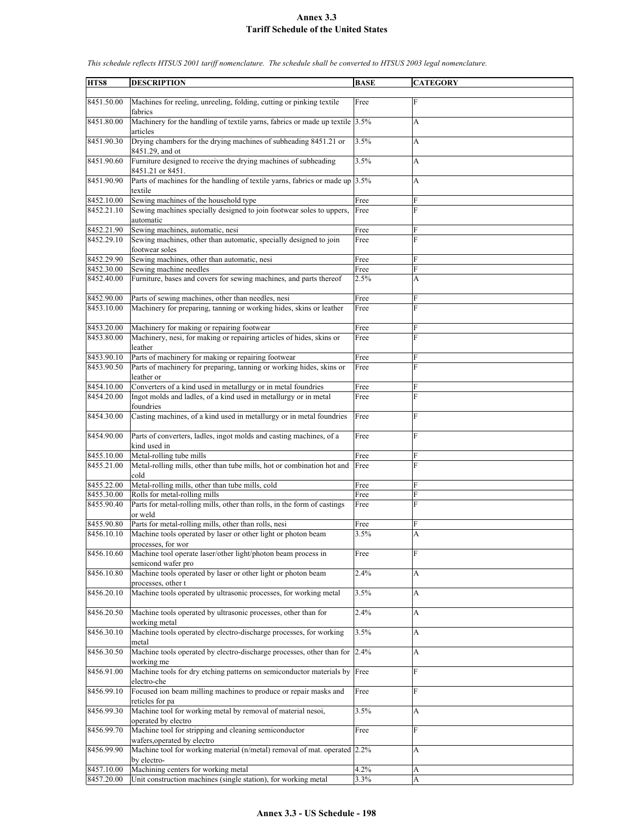| HTS8       | <b>DESCRIPTION</b>                                                                               | <b>BASE</b> | <b>CATEGORY</b> |
|------------|--------------------------------------------------------------------------------------------------|-------------|-----------------|
|            |                                                                                                  |             |                 |
| 8451.50.00 | Machines for reeling, unreeling, folding, cutting or pinking textile<br>fabrics                  | Free        | F               |
| 8451.80.00 | Machinery for the handling of textile yarns, fabrics or made up textile 3.5%<br>articles         |             | A               |
| 8451.90.30 | Drying chambers for the drying machines of subheading 8451.21 or<br>8451.29, and ot              | 3.5%        | A               |
| 8451.90.60 | Furniture designed to receive the drying machines of subheading                                  | 3.5%        | A               |
| 8451.90.90 | 8451.21 or 8451.<br>Parts of machines for the handling of textile yarns, fabrics or made up 3.5% |             | A               |
| 8452.10.00 | textile<br>Sewing machines of the household type                                                 |             | F               |
|            |                                                                                                  | Free        |                 |
| 8452.21.10 | Sewing machines specially designed to join footwear soles to uppers,<br>automatic                | Free        | F               |
| 8452.21.90 | Sewing machines, automatic, nesi                                                                 | Free        | F               |
| 8452.29.10 | Sewing machines, other than automatic, specially designed to join<br>footwear soles              | Free        | F               |
| 8452.29.90 | Sewing machines, other than automatic, nesi                                                      | Free        | F               |
| 8452.30.00 | Sewing machine needles                                                                           | Free        | F               |
| 8452.40.00 | Furniture, bases and covers for sewing machines, and parts thereof                               | 2.5%        | A               |
| 8452.90.00 | Parts of sewing machines, other than needles, nesi                                               | Free        | F               |
| 8453.10.00 | Machinery for preparing, tanning or working hides, skins or leather                              | Free        | $\overline{F}$  |
|            |                                                                                                  |             |                 |
| 8453.20.00 | Machinery for making or repairing footwear                                                       | Free        | F               |
| 8453.80.00 | Machinery, nesi, for making or repairing articles of hides, skins or<br>leather                  | Free        | F               |
| 8453.90.10 | Parts of machinery for making or repairing footwear                                              | Free        | F               |
| 8453.90.50 | Parts of machinery for preparing, tanning or working hides, skins or<br>leather or               | Free        | F               |
| 8454.10.00 | Converters of a kind used in metallurgy or in metal foundries                                    | Free        | F               |
| 8454.20.00 |                                                                                                  |             | F               |
|            | Ingot molds and ladles, of a kind used in metallurgy or in metal<br>foundries                    | Free        |                 |
| 8454.30.00 | Casting machines, of a kind used in metallurgy or in metal foundries                             | Free        | F               |
| 8454.90.00 | Parts of converters, ladles, ingot molds and casting machines, of a                              | Free        | F               |
|            | kind used in                                                                                     |             |                 |
| 8455.10.00 | Metal-rolling tube mills                                                                         | Free        | F               |
| 8455.21.00 | Metal-rolling mills, other than tube mills, hot or combination hot and<br>cold                   | Free        | F               |
| 8455.22.00 | Metal-rolling mills, other than tube mills, cold                                                 | Free        | F               |
| 8455.30.00 | Rolls for metal-rolling mills                                                                    | Free        | F               |
| 8455.90.40 | Parts for metal-rolling mills, other than rolls, in the form of castings<br>or weld              | Free        | F               |
| 8455.90.80 | Parts for metal-rolling mills, other than rolls, nesi                                            | Free        | F               |
| 8456.10.10 | Machine tools operated by laser or other light or photon beam                                    | 3.5%        | A               |
|            | processes, for wor                                                                               |             |                 |
| 8456.10.60 | Machine tool operate laser/other light/photon beam process in<br>semicond wafer pro              | Free        | F               |
| 8456.10.80 | Machine tools operated by laser or other light or photon beam<br>processes, other t              | 2.4%        | A               |
| 8456.20.10 | Machine tools operated by ultrasonic processes, for working metal                                | 3.5%        | A               |
| 8456.20.50 | Machine tools operated by ultrasonic processes, other than for<br>working metal                  | 2.4%        | A               |
| 8456.30.10 | Machine tools operated by electro-discharge processes, for working<br>metal                      | 3.5%        | A               |
| 8456.30.50 | Machine tools operated by electro-discharge processes, other than for 2.4%<br>working me         |             | А               |
| 8456.91.00 | Machine tools for dry etching patterns on semiconductor materials by                             | Free        | F               |
| 8456.99.10 | electro-che<br>Focused ion beam milling machines to produce or repair masks and                  | Free        | F               |
| 8456.99.30 | reticles for pa<br>Machine tool for working metal by removal of material nesoi,                  | 3.5%        | A               |
|            | operated by electro                                                                              |             |                 |
| 8456.99.70 | Machine tool for stripping and cleaning semiconductor<br>wafers, operated by electro             | Free        | F               |
| 8456.99.90 | Machine tool for working material (n/metal) removal of mat. operated 2.2%<br>by electro-         |             | A               |
| 8457.10.00 | Machining centers for working metal                                                              | 4.2%        | A               |
| 8457.20.00 | Unit construction machines (single station), for working metal                                   | 3.3%        | A               |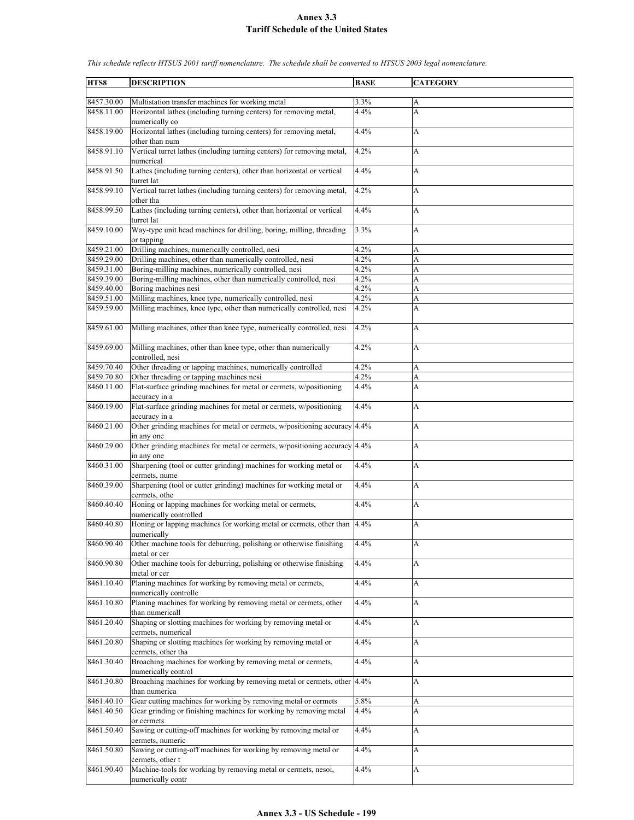**HTS8 DESCRIPTION BASE CATEGORY** 8457.30.00 Multistation transfer machines for working metal 3.3% 8458.11.00 Horizontal lathes (including turning centers) for removing metal, numerically co 4.4% A 8458.19.00 Horizontal lathes (including turning centers) for removing metal, other than num 4.4% A 8458.91.10 Vertical turret lathes (including turning centers) for removing metal, numerical 4.2% A 8458.91.50 Lathes (including turning centers), other than horizontal or vertical turret lat 4.4% A 8458.99.10 Vertical turret lathes (including turning centers) for removing metal, other tha 4.2% A 8458.99.50 Lathes (including turning centers), other than horizontal or vertical turret lat 4.4% A 8459.10.00 Way-type unit head machines for drilling, boring, milling, threading or tapping 3.3% A 8459.21.00 Drilling machines, numerically controlled, nesi 4.2% A 8459.29.00 Drilling machines, other than numerically controlled, nesi 4.2% A 8459.31.00 Boring-milling machines, numerically controlled, nesi  $4.2\%$  A 8459.39.00 Boring-milling machines, other than numerically controlled, nesi  $4.2\%$  A<br>8459.40.00 Boring machines nesi  $4.2\%$ 8459.40.00 Boring machines nesi 4.2% A 8459.51.00 Milling machines, knee type, numerically controlled, nesi  $\begin{array}{c|c} 4.2\% & A \\ 8459.59.00 & \text{Milling machines, knee type, other than numerically controlled, nesi} \end{array}$  A 8459.59.00 Milling machines, knee type, other than numerically controlled, nesi 4.2% A 8459.61.00 Milling machines, other than knee type, numerically controlled, nesi 4.2% 8459.69.00 Milling machines, other than knee type, other than numerically controlled, nesi 4.2% A 8459.70.40 Other threading or tapping machines, numerically controlled  $4.2\%$  A 8459.70.80 Other threading or tapping machines nesi 4.2% A 8460.11.00 Flat-surface grinding machines for metal or cermets, w/positioning accuracy in a 4.4% A 8460.19.00 Flat-surface grinding machines for metal or cermets, w/positioning accuracy in a 4.4% A 8460.21.00 Other grinding machines for metal or cermets, w/positioning accuracy in any one 4.4% A 8460.29.00 Other grinding machines for metal or cermets, w/positioning accuracy in any one 4.4% A 8460.31.00 Sharpening (tool or cutter grinding) machines for working metal or cermets, nume 4.4% A 8460.39.00 Sharpening (tool or cutter grinding) machines for working metal or cermets, othe 4.4% A 8460.40.40 Honing or lapping machines for working metal or cermets, numerically controlled  $4.4\%$  A 8460.40.80 Honing or lapping machines for working metal or cermets, other than numerically 4.4% A 8460.90.40 Other machine tools for deburring, polishing or otherwise finishing metal or cer 4.4% A 8460.90.80 Other machine tools for deburring, polishing or otherwise finishing metal or cer 4.4% A 8461.10.40 Planing machines for working by removing metal or cermets, numerically controlle 4.4% A 8461.10.80 Planing machines for working by removing metal or cermets, other than numericall 4.4% A 8461.20.40 Shaping or slotting machines for working by removing metal or cermets, numerical 4.4% A 8461.20.80 Shaping or slotting machines for working by removing metal or cermets, other tha 4.4% A 8461.30.40 Broaching machines for working by removing metal or cermets, numerically control 4.4% A 8461.30.80 Broaching machines for working by removing metal or cermets, other than numerica 4.4% A 8461.40.10 Gear cutting machines for working by removing metal or cermets 5.8% A 8461.40.50 Gear grinding or finishing machines for working by removing metal or cermets 4.4% A 8461.50.40 Sawing or cutting-off machines for working by removing metal or cermets, numeric 4.4% A 8461.50.80 Sawing or cutting-off machines for working by removing metal or cermets, other t  $4.4\%$  A 8461.90.40 Machine-tools for working by removing metal or cermets, nesoi, numerically contr 4.4% A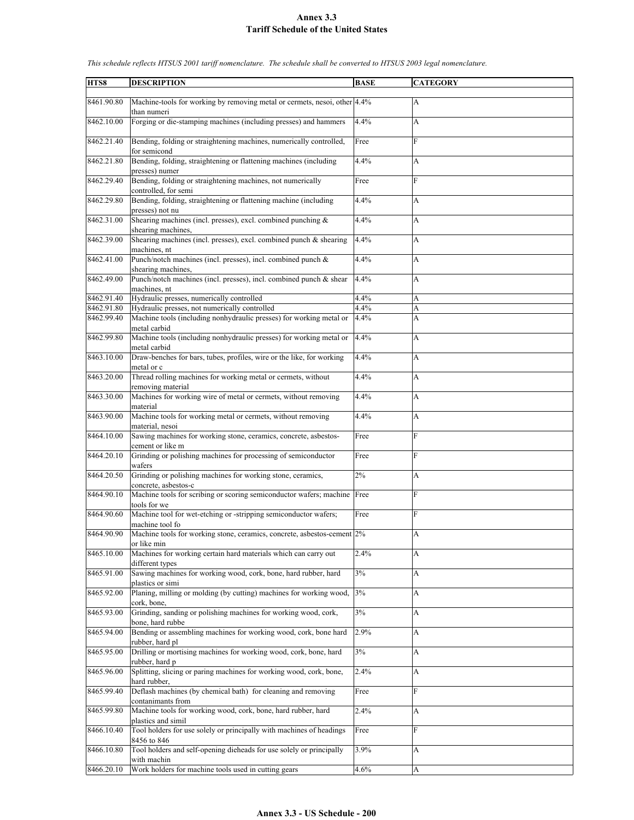| HTS8       | <b>DESCRIPTION</b>                                                                                       | <b>BASE</b> | <b>CATEGORY</b> |
|------------|----------------------------------------------------------------------------------------------------------|-------------|-----------------|
|            |                                                                                                          |             |                 |
| 8461.90.80 | Machine-tools for working by removing metal or cermets, nesoi, other 4.4%<br>than numeri                 |             | A               |
| 8462.10.00 | Forging or die-stamping machines (including presses) and hammers                                         | 4.4%        | A               |
| 8462.21.40 | Bending, folding or straightening machines, numerically controlled,<br>for semicond                      | Free        | F               |
| 8462.21.80 | Bending, folding, straightening or flattening machines (including<br>presses) numer                      | 4.4%        | A               |
| 8462.29.40 | Bending, folding or straightening machines, not numerically<br>controlled, for semi                      | Free        | F               |
| 8462.29.80 | Bending, folding, straightening or flattening machine (including<br>presses) not nu                      | 4.4%        | A               |
| 8462.31.00 | Shearing machines (incl. presses), excl. combined punching $\&$<br>shearing machines,                    | 4.4%        | A               |
| 8462.39.00 | Shearing machines (incl. presses), excl. combined punch & shearing<br>machines, nt                       | 4.4%        | A               |
| 8462.41.00 | Punch/notch machines (incl. presses), incl. combined punch &                                             | 4.4%        | A               |
| 8462.49.00 | shearing machines,<br>Punch/notch machines (incl. presses), incl. combined punch & shear<br>machines, nt | 4.4%        | A               |
| 8462.91.40 | Hydraulic presses, numerically controlled                                                                | 4.4%        | A               |
| 8462.91.80 | Hydraulic presses, not numerically controlled                                                            | 4.4%        | A               |
|            |                                                                                                          |             |                 |
| 8462.99.40 | Machine tools (including nonhydraulic presses) for working metal or<br>metal carbid                      | 4.4%        | A               |
| 8462.99.80 | Machine tools (including nonhydraulic presses) for working metal or<br>metal carbid                      | 4.4%        | A               |
| 8463.10.00 | Draw-benches for bars, tubes, profiles, wire or the like, for working<br>metal or c                      | 4.4%        | A               |
| 8463.20.00 | Thread rolling machines for working metal or cermets, without<br>removing material                       | 4.4%        | A               |
| 8463.30.00 | Machines for working wire of metal or cermets, without removing<br>material                              | 4.4%        | A               |
| 8463.90.00 | Machine tools for working metal or cermets, without removing<br>material, nesoi                          | 4.4%        | A               |
| 8464.10.00 | Sawing machines for working stone, ceramics, concrete, asbestos-<br>cement or like m                     | Free        | F               |
| 8464.20.10 | Grinding or polishing machines for processing of semiconductor<br>wafers                                 | Free        | F               |
| 8464.20.50 | Grinding or polishing machines for working stone, ceramics,<br>concrete, asbestos-c                      | 2%          | A               |
| 8464.90.10 | Machine tools for scribing or scoring semiconductor wafers; machine<br>tools for we                      | Free        | F               |
| 8464.90.60 | Machine tool for wet-etching or -stripping semiconductor wafers;<br>machine tool fo                      | Free        | F               |
| 8464.90.90 | Machine tools for working stone, ceramics, concrete, asbestos-cement 2%<br>or like min                   |             | A               |
| 8465.10.00 | Machines for working certain hard materials which can carry out<br>different types                       | 2.4%        | A               |
| 8465.91.00 | Sawing machines for working wood, cork, bone, hard rubber, hard<br>plastics or simi                      | 3%          | A               |
| 8465.92.00 | Planing, milling or molding (by cutting) machines for working wood,<br>cork, bone,                       | 3%          | A               |
| 8465.93.00 | Grinding, sanding or polishing machines for working wood, cork,<br>bone, hard rubbe                      | $3\%$       | A               |
| 8465.94.00 | Bending or assembling machines for working wood, cork, bone hard<br>rubber, hard pl                      | 2.9%        | A               |
| 8465.95.00 | Drilling or mortising machines for working wood, cork, bone, hard<br>rubber, hard p                      | $3\%$       | A               |
| 8465.96.00 | Splitting, slicing or paring machines for working wood, cork, bone,<br>hard rubber,                      | 2.4%        | A               |
| 8465.99.40 | Deflash machines (by chemical bath) for cleaning and removing<br>contanimants from                       | Free        | F               |
| 8465.99.80 | Machine tools for working wood, cork, bone, hard rubber, hard<br>plastics and simil                      | 2.4%        | A               |
| 8466.10.40 | Tool holders for use solely or principally with machines of headings                                     | Free        | F               |
| 8466.10.80 | 8456 to 846<br>Tool holders and self-opening dieheads for use solely or principally                      | 3.9%        | A               |
| 8466.20.10 | with machin<br>Work holders for machine tools used in cutting gears                                      | 4.6%        | A               |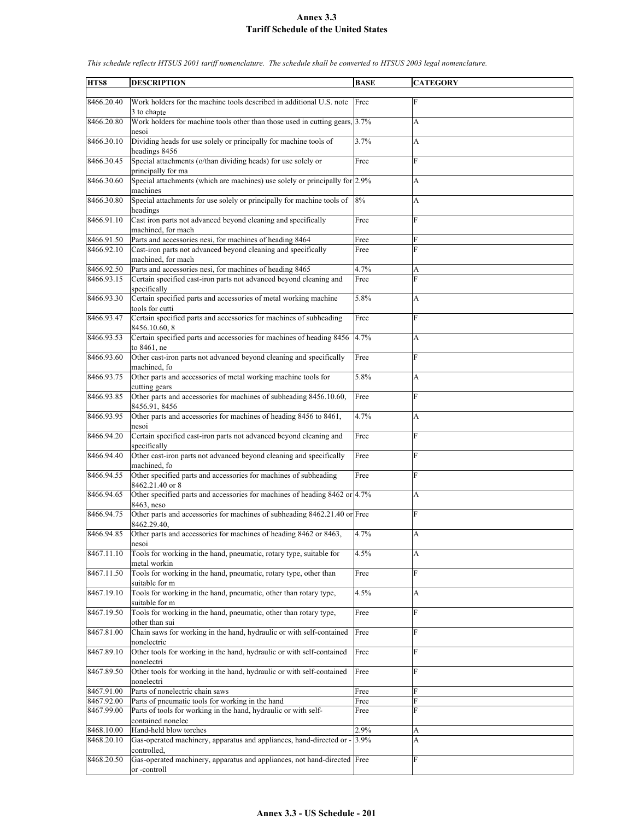| HTS8       | <b>DESCRIPTION</b>                                                                       | <b>BASE</b> | <b>CATEGORY</b> |
|------------|------------------------------------------------------------------------------------------|-------------|-----------------|
|            |                                                                                          |             |                 |
| 8466.20.40 | Work holders for the machine tools described in additional U.S. note                     | Free        | F               |
|            | 3 to chapte                                                                              |             |                 |
| 8466.20.80 | Work holders for machine tools other than those used in cutting gears, 3.7%<br>nesoi     |             | A               |
| 8466.30.10 | Dividing heads for use solely or principally for machine tools of<br>headings 8456       | 3.7%        | A               |
| 8466.30.45 | Special attachments (o/than dividing heads) for use solely or                            | Free        | F               |
|            | principally for ma                                                                       |             |                 |
| 8466.30.60 | Special attachments (which are machines) use solely or principally for 2.9%<br>machines  |             | A               |
| 8466.30.80 | Special attachments for use solely or principally for machine tools of<br>headings       | 8%          | A               |
| 8466.91.10 | Cast iron parts not advanced beyond cleaning and specifically<br>machined, for mach      | Free        | F               |
|            |                                                                                          |             |                 |
| 8466.91.50 | Parts and accessories nesi, for machines of heading 8464                                 | Free        | F               |
| 8466.92.10 | Cast-iron parts not advanced beyond cleaning and specifically<br>machined, for mach      | Free        | F               |
| 8466.92.50 | Parts and accessories nesi, for machines of heading 8465                                 | 4.7%        |                 |
|            |                                                                                          |             | A               |
| 8466.93.15 | Certain specified cast-iron parts not advanced beyond cleaning and<br>specifically       | Free        | F               |
| 8466.93.30 | Certain specified parts and accessories of metal working machine                         | 5.8%        | A               |
|            | tools for cutti                                                                          |             |                 |
| 8466.93.47 | Certain specified parts and accessories for machines of subheading                       | Free        | F               |
|            | 8456.10.60.8                                                                             |             |                 |
| 8466.93.53 | Certain specified parts and accessories for machines of heading 8456<br>to 8461, ne      | 4.7%        | А               |
| 8466.93.60 | Other cast-iron parts not advanced beyond cleaning and specifically                      | Free        | F               |
|            | machined, fo                                                                             |             |                 |
| 8466.93.75 | Other parts and accessories of metal working machine tools for                           | 5.8%        | A               |
| 8466.93.85 | cutting gears                                                                            |             | F               |
|            | Other parts and accessories for machines of subheading 8456.10.60,<br>8456.91, 8456      | Free        |                 |
| 8466.93.95 | Other parts and accessories for machines of heading 8456 to 8461,                        | 4.7%        | A               |
|            | nesoi                                                                                    |             |                 |
| 8466.94.20 | Certain specified cast-iron parts not advanced beyond cleaning and                       | Free        | F               |
|            | specifically                                                                             |             |                 |
| 8466.94.40 | Other cast-iron parts not advanced beyond cleaning and specifically<br>machined, fo      | Free        | F               |
| 8466.94.55 | Other specified parts and accessories for machines of subheading                         | Free        | F               |
|            | 8462.21.40 or 8                                                                          |             |                 |
| 8466.94.65 | Other specified parts and accessories for machines of heading 8462 or 4.7%<br>8463, neso |             | A               |
| 8466.94.75 |                                                                                          |             | F               |
|            | Other parts and accessories for machines of subheading 8462.21.40 or Free<br>8462.29.40, |             |                 |
| 8466.94.85 | Other parts and accessories for machines of heading 8462 or 8463,                        | 4.7%        | A               |
|            | nesoi                                                                                    |             |                 |
| 8467.11.10 | Tools for working in the hand, pneumatic, rotary type, suitable for                      | 4.5%        | A               |
| 8467.11.50 | metal workin                                                                             | Free        | F               |
|            | Tools for working in the hand, pneumatic, rotary type, other than<br>suitable for m      |             |                 |
| 8467.19.10 | Tools for working in the hand, pneumatic, other than rotary type,                        | 4.5%        | A               |
|            | suitable for m                                                                           |             |                 |
| 8467.19.50 | Tools for working in the hand, pneumatic, other than rotary type,                        | Free        | F               |
|            | other than sui                                                                           |             |                 |
| 8467.81.00 | Chain saws for working in the hand, hydraulic or with self-contained                     | Free        | F               |
|            | nonelectric                                                                              |             |                 |
| 8467.89.10 | Other tools for working in the hand, hydraulic or with self-contained                    | Free        | F               |
|            | nonelectri                                                                               |             |                 |
| 8467.89.50 | Other tools for working in the hand, hydraulic or with self-contained<br>nonelectri      | Free        | F               |
| 8467.91.00 | Parts of nonelectric chain saws                                                          | Free        | F               |
| 8467.92.00 | Parts of pneumatic tools for working in the hand                                         | Free        | F               |
| 8467.99.00 | Parts of tools for working in the hand, hydraulic or with self-                          | Free        | F               |
|            | contained nonelec                                                                        |             |                 |
| 8468.10.00 | Hand-held blow torches                                                                   | 2.9%        |                 |
|            |                                                                                          |             | A               |
| 8468.20.10 | Gas-operated machinery, apparatus and appliances, hand-directed or -                     | 3.9%        | A               |
|            | controlled,                                                                              |             |                 |
| 8468.20.50 | Gas-operated machinery, apparatus and appliances, not hand-directed Free<br>or -controll |             | F               |
|            |                                                                                          |             |                 |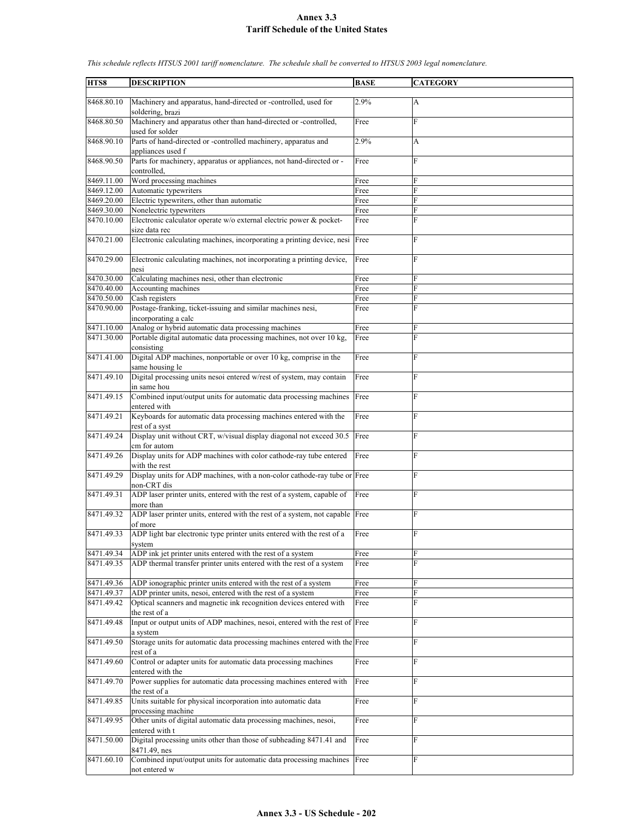**HTS8 DESCRIPTION BASE CATEGORY** 8468.80.10 Machinery and apparatus, hand-directed or -controlled, used for soldering, brazi 2.9% A 8468.80.50 Machinery and apparatus other than hand-directed or -controlled, used for solder Free F 8468.90.10 Parts of hand-directed or -controlled machinery, apparatus and appliances used f 2.9% A 8468.90.50 Parts for machinery, apparatus or appliances, not hand-directed or controlled, Free 8469.11.00 Word processing machines Free 8469.12.00 Automatic typewriters Free 8469.20.00 Electric typewriters, other than automatic Free 8469.30.00 Nonelectric typewriters Free 8470.10.00 Electronic calculator operate w/o external electric power & pocketsize data rec Free F 8470.21.00 Electronic calculating machines, incorporating a printing device, nesi Free 8470.29.00 Electronic calculating machines, not incorporating a printing device, nesi Free 8470.30.00 Calculating machines nesi, other than electronic Free 8470.40.00 Accounting machines Free 8470.50.00 Cash registers Free 8470.90.00 Postage-franking, ticket-issuing and similar machines nesi, incorporating a calc Free F 8471.10.00 Analog or hybrid automatic data processing machines Free 8471.30.00 Portable digital automatic data processing machines, not over 10 kg, consisting Free 8471.41.00 Digital ADP machines, nonportable or over 10 kg, comprise in the same housing le Free F 8471.49.10 Digital processing units nesoi entered w/rest of system, may contain in same hou Free 8471.49.15 Combined input/output units for automatic data processing machines entered with Free F 8471.49.21 Keyboards for automatic data processing machines entered with the rest of a syst Free 8471.49.24 Display unit without CRT, w/visual display diagonal not exceed 30.5 cm for autom Free 8471.49.26 Display units for ADP machines with color cathode-ray tube entered with the rest Free F 8471.49.29 Display units for ADP machines, with a non-color cathode-ray tube or Free F non-CRT dis 8471.49.31 ADP laser printer units, entered with the rest of a system, capable of more than Free 8471.49.32 ADP laser printer units, entered with the rest of a system, not capable of more Free F 8471.49.33 ADP light bar electronic type printer units entered with the rest of a system Free F 8471.49.34 ADP ink jet printer units entered with the rest of a system Free 8471.49.35 ADP thermal transfer printer units entered with the rest of a system Free 8471.49.36 ADP ionographic printer units entered with the rest of a system Free F 8471.49.37 ADP printer units, nesoi, entered with the rest of a system Free 8471.49.42 Optical scanners and magnetic ink recognition devices entered with the rest of a Free F 8471.49.48 Input or output units of ADP machines, nesoi, entered with the rest of Free F system 8471.49.50 Storage units for automatic data processing machines entered with the Free F rest of a 8471.49.60 Control or adapter units for automatic data processing machines entered with the Free 8471.49.70 Power supplies for automatic data processing machines entered with the rest of a Free F 8471.49.85 Units suitable for physical incorporation into automatic data processing machine Free F 8471.49.95 Other units of digital automatic data processing machines, nesoi, entered with t Free F 8471.50.00 Digital processing units other than those of subheading 8471.41 and 8471.49, nes Free F 8471.60.10 Combined input/output units for automatic data processing machines not entered w Free F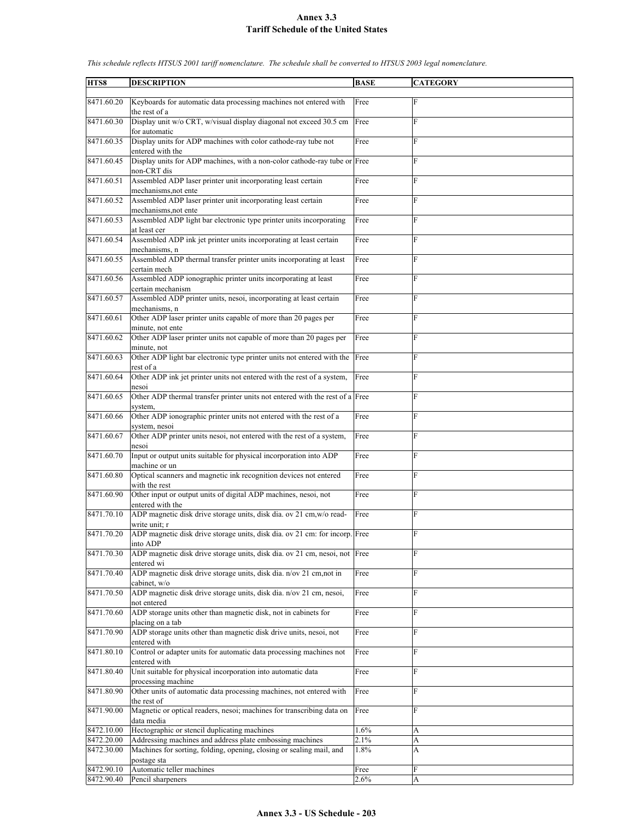| HTS8       | <b>DESCRIPTION</b>                                                                                     | <b>BASE</b> | <b>CATEGORY</b> |
|------------|--------------------------------------------------------------------------------------------------------|-------------|-----------------|
| 8471.60.20 | Keyboards for automatic data processing machines not entered with<br>the rest of a                     | Free        | F               |
| 8471.60.30 | Display unit w/o CRT, w/visual display diagonal not exceed 30.5 cm<br>for automatic                    | Free        | F               |
| 8471.60.35 | Display units for ADP machines with color cathode-ray tube not<br>entered with the                     | Free        | F               |
| 8471.60.45 | Display units for ADP machines, with a non-color cathode-ray tube or Free<br>non-CRT dis               |             | F               |
| 8471.60.51 | Assembled ADP laser printer unit incorporating least certain<br>mechanisms, not ente                   | Free        | F               |
| 8471.60.52 | Assembled ADP laser printer unit incorporating least certain<br>mechanisms, not ente                   | Free        | F               |
| 8471.60.53 | Assembled ADP light bar electronic type printer units incorporating<br>at least cer                    | Free        | F               |
| 8471.60.54 | Assembled ADP ink jet printer units incorporating at least certain<br>mechanisms, n                    | Free        | F               |
| 8471.60.55 | Assembled ADP thermal transfer printer units incorporating at least<br>certain mech                    | Free        | F               |
| 8471.60.56 | Assembled ADP ionographic printer units incorporating at least<br>certain mechanism                    | Free        | F               |
| 8471.60.57 | Assembled ADP printer units, nesoi, incorporating at least certain<br>mechanisms, n                    | Free        | F               |
| 8471.60.61 | Other ADP laser printer units capable of more than 20 pages per                                        | Free        | F               |
| 8471.60.62 | minute, not ente<br>Other ADP laser printer units not capable of more than 20 pages per<br>minute, not | Free        | F               |
| 8471.60.63 | Other ADP light bar electronic type printer units not entered with the<br>rest of a                    | Free        | F               |
| 8471.60.64 | Other ADP ink jet printer units not entered with the rest of a system,<br>nesoi                        | Free        | F               |
| 8471.60.65 | Other ADP thermal transfer printer units not entered with the rest of a Free<br>system,                |             | F               |
| 8471.60.66 | Other ADP ionographic printer units not entered with the rest of a<br>system, nesoi                    | Free        | F               |
| 8471.60.67 | Other ADP printer units nesoi, not entered with the rest of a system,<br>nesoi                         | Free        | F               |
| 8471.60.70 | Input or output units suitable for physical incorporation into ADP<br>machine or un                    | Free        | F               |
| 8471.60.80 | Optical scanners and magnetic ink recognition devices not entered<br>with the rest                     | Free        | F               |
| 8471.60.90 | Other input or output units of digital ADP machines, nesoi, not<br>entered with the                    | Free        | F               |
| 8471.70.10 | ADP magnetic disk drive storage units, disk dia. ov 21 cm, w/o read-<br>write unit; r                  | Free        | F               |
| 8471.70.20 | ADP magnetic disk drive storage units, disk dia. ov 21 cm: for incorp. Free<br>into ADP                |             | F               |
| 8471.70.30 | ADP magnetic disk drive storage units, disk dia. ov 21 cm, nesoi, not Free<br>entered wi               |             | F               |
| 8471.70.40 | ADP magnetic disk drive storage units, disk dia. n/ov 21 cm,not in<br>cabinet, w/o                     | Free        | F               |
| 8471.70.50 | ADP magnetic disk drive storage units, disk dia. n/ov 21 cm, nesoi,<br>not entered                     | Free        | F               |
| 8471.70.60 | ADP storage units other than magnetic disk, not in cabinets for<br>placing on a tab                    | Free        | F               |
| 8471.70.90 | ADP storage units other than magnetic disk drive units, nesoi, not<br>entered with                     | Free        | F               |
| 8471.80.10 | Control or adapter units for automatic data processing machines not<br>entered with                    | Free        | F               |
| 8471.80.40 | Unit suitable for physical incorporation into automatic data<br>processing machine                     | Free        | F               |
| 8471.80.90 | Other units of automatic data processing machines, not entered with<br>the rest of                     | Free        | F               |
| 8471.90.00 | Magnetic or optical readers, nesoi; machines for transcribing data on<br>data media                    | Free        | F               |
| 8472.10.00 | Hectographic or stencil duplicating machines                                                           | 1.6%        | A               |
| 8472.20.00 | Addressing machines and address plate embossing machines                                               | 2.1%        | A               |
| 8472.30.00 | Machines for sorting, folding, opening, closing or sealing mail, and                                   | 1.8%        | А               |
| 8472.90.10 | postage sta<br>Automatic teller machines                                                               | Free        | F               |
| 8472.90.40 | Pencil sharpeners                                                                                      | 2.6%        | A               |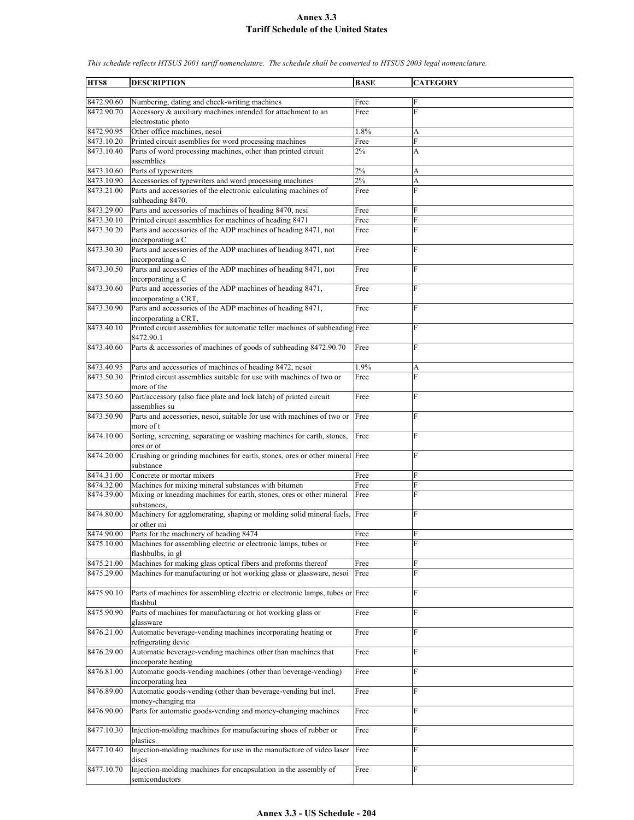| HTS8       | <b>DESCRIPTION</b>                                                                        | <b>BASE</b> | <b>CATEGORY</b> |
|------------|-------------------------------------------------------------------------------------------|-------------|-----------------|
|            |                                                                                           |             |                 |
| 8472.90.60 | Numbering, dating and check-writing machines                                              | Free        | F               |
| 8472.90.70 | Accessory & auxiliary machines intended for attachment to an                              | Free        | F               |
|            | electrostatic photo                                                                       |             |                 |
| 8472.90.95 | Other office machines, nesoi                                                              | 1.8%        | А               |
| 8473.10.20 | Printed circuit asemblies for word processing machines                                    | Free        | F               |
| 8473.10.40 | Parts of word processing machines, other than printed circuit                             | 2%          | A               |
|            | assemblies                                                                                |             |                 |
| 8473.10.60 | Parts of typewriters                                                                      | $2\%$       | A               |
| 8473.10.90 | Accessories of typewriters and word processing machines                                   | 2%          | A               |
| 8473.21.00 | Parts and accessories of the electronic calculating machines of                           | Free        | $\overline{F}$  |
| 8473.29.00 | subheading 8470.<br>Parts and accessories of machines of heading 8470, nesi               | Free        | F               |
| 8473.30.10 | Printed circuit assemblies for machines of heading 8471                                   | Free        | F               |
| 8473.30.20 | Parts and accessories of the ADP machines of heading 8471, not                            | Free        | F               |
|            | incorporating a C                                                                         |             |                 |
| 8473.30.30 | Parts and accessories of the ADP machines of heading 8471, not                            | Free        | $\overline{F}$  |
|            | incorporating a C                                                                         |             |                 |
| 8473.30.50 | Parts and accessories of the ADP machines of heading 8471, not                            | Free        | F               |
|            | incorporating a C                                                                         |             |                 |
| 8473.30.60 | Parts and accessories of the ADP machines of heading 8471,                                | Free        | F               |
|            | incorporating a CRT,                                                                      |             |                 |
| 8473.30.90 | Parts and accessories of the ADP machines of heading 8471,                                | Free        | $\overline{F}$  |
|            | incorporating a CRT,                                                                      |             |                 |
| 8473.40.10 | Printed circuit assemblies for automatic teller machines of subheading Free<br>8472.90.1  |             | F               |
| 8473.40.60 | Parts & accessories of machines of goods of subheading 8472.90.70                         | Free        | F               |
|            |                                                                                           |             |                 |
| 8473.40.95 | Parts and accessories of machines of heading 8472, nesoi                                  | 1.9%        | A               |
| 8473.50.30 | Printed circuit assemblies suitable for use with machines of two or                       | Free        | F               |
|            | more of the                                                                               |             |                 |
| 8473.50.60 | Part/accessory (also face plate and lock latch) of printed circuit                        | Free        | F               |
|            | assemblies su                                                                             |             |                 |
| 8473.50.90 | Parts and accessories, nesoi, suitable for use with machines of two or                    | Free        | F               |
|            | more of t                                                                                 |             |                 |
| 8474.10.00 | Sorting, screening, separating or washing machines for earth, stones,                     | Free        | F               |
| 8474.20.00 | ores or ot<br>Crushing or grinding machines for earth, stones, ores or other mineral Free |             | F               |
|            | substance                                                                                 |             |                 |
| 8474.31.00 | Concrete or mortar mixers                                                                 | Free        | F               |
| 8474.32.00 | Machines for mixing mineral substances with bitumen                                       | Free        | F               |
| 8474.39.00 | Mixing or kneading machines for earth, stones, ores or other mineral                      | Free        | F               |
|            | substances.                                                                               |             |                 |
| 8474.80.00 | Machinery for agglomerating, shaping or molding solid mineral fuels, Free                 |             | F               |
|            | or other mi                                                                               |             |                 |
| 8474.90.00 | Parts for the machinery of heading 8474                                                   | Free        | F               |
| 8475.10.00 | Machines for assembling electric or electronic lamps, tubes or                            | Free        | $\mathbf F$     |
| 8475.21.00 | flashbulbs, in gl<br>Machines for making glass optical fibers and preforms thereof        | Free        | F               |
| 8475.29.00 | Machines for manufacturing or hot working glass or glassware, nesoi                       | Free        | F               |
|            |                                                                                           |             |                 |
| 8475.90.10 | Parts of machines for assembling electric or electronic lamps, tubes or Free              |             | F               |
|            | flashbul                                                                                  |             |                 |
| 8475.90.90 | Parts of machines for manufacturing or hot working glass or                               | Free        | F               |
|            | glassware                                                                                 |             |                 |
| 8476.21.00 | Automatic beverage-vending machines incorporating heating or                              | Free        | F               |
|            | refrigerating devic                                                                       |             |                 |
| 8476.29.00 | Automatic beverage-vending machines other than machines that                              | Free        | F               |
| 8476.81.00 | incorporate heating                                                                       | Free        | F               |
|            | Automatic goods-vending machines (other than beverage-vending)<br>incorporating hea       |             |                 |
| 8476.89.00 | Automatic goods-vending (other than beverage-vending but incl.                            | Free        | ${\rm F}$       |
|            | money-changing ma                                                                         |             |                 |
| 8476.90.00 | Parts for automatic goods-vending and money-changing machines                             | Free        | F               |
|            |                                                                                           |             |                 |
| 8477.10.30 | Injection-molding machines for manufacturing shoes of rubber or                           | Free        | F               |
|            | plastics                                                                                  |             |                 |
| 8477.10.40 | Injection-molding machines for use in the manufacture of video laser                      | Free        | F               |
|            | discs                                                                                     |             |                 |
| 8477.10.70 | Injection-molding machines for encapsulation in the assembly of                           | Free        | F               |
|            | semiconductors                                                                            |             |                 |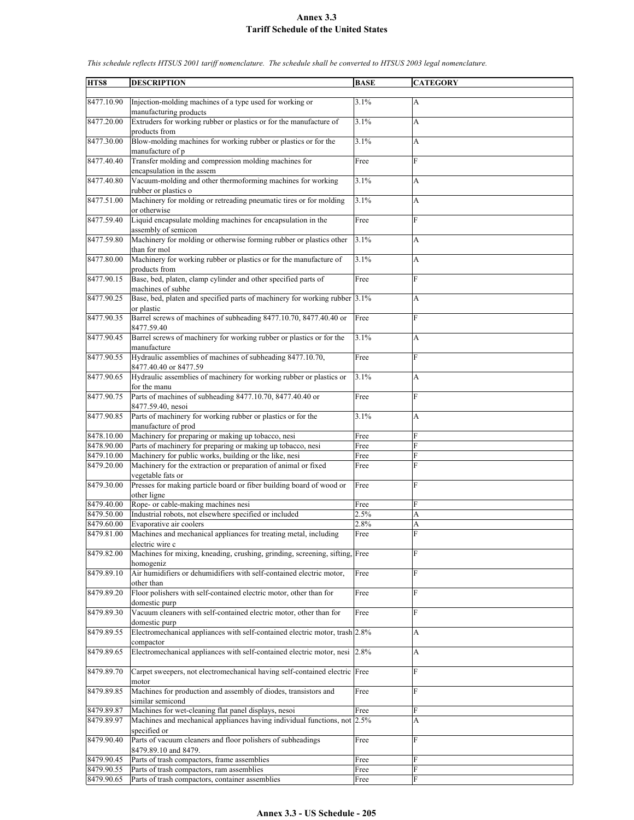| HTS8       | <b>DESCRIPTION</b>                                                          | <b>BASE</b> | <b>CATEGORY</b> |
|------------|-----------------------------------------------------------------------------|-------------|-----------------|
|            |                                                                             |             |                 |
| 8477.10.90 | Injection-molding machines of a type used for working or                    | 3.1%        | A               |
|            | manufacturing products                                                      |             |                 |
| 8477.20.00 | Extruders for working rubber or plastics or for the manufacture of          | 3.1%        | A               |
|            | products from                                                               |             |                 |
| 8477.30.00 | Blow-molding machines for working rubber or plastics or for the             | 3.1%        | А               |
|            | manufacture of p                                                            |             |                 |
| 8477.40.40 | Transfer molding and compression molding machines for                       | Free        | F               |
|            | encapsulation in the assem                                                  |             |                 |
| 8477.40.80 | Vacuum-molding and other thermoforming machines for working                 | 3.1%        | A               |
|            |                                                                             |             |                 |
|            | rubber or plastics o                                                        |             |                 |
| 8477.51.00 | Machinery for molding or retreading pneumatic tires or for molding          | 3.1%        | A               |
|            | or otherwise                                                                |             |                 |
| 8477.59.40 | Liquid encapsulate molding machines for encapsulation in the                | Free        | F               |
|            | assembly of semicon                                                         |             |                 |
| 8477.59.80 | Machinery for molding or otherwise forming rubber or plastics other         | 3.1%        | A               |
|            | than for mol                                                                |             |                 |
| 8477.80.00 | Machinery for working rubber or plastics or for the manufacture of          | 3.1%        | A               |
|            | products from                                                               |             |                 |
| 8477.90.15 | Base, bed, platen, clamp cylinder and other specified parts of              | Free        | F               |
|            | machines of subhe                                                           |             |                 |
| 8477.90.25 | Base, bed, platen and specified parts of machinery for working rubber 3.1%  |             | A               |
|            | or plastic                                                                  |             |                 |
| 8477.90.35 | Barrel screws of machines of subheading 8477.10.70, 8477.40.40 or           | Free        | F               |
|            | 8477.59.40                                                                  |             |                 |
|            | Barrel screws of machinery for working rubber or plastics or for the        | 3.1%        |                 |
| 8477.90.45 |                                                                             |             | А               |
|            | manufacture                                                                 |             |                 |
| 8477.90.55 | Hydraulic assemblies of machines of subheading 8477.10.70,                  | Free        | F               |
|            | 8477.40.40 or 8477.59                                                       |             |                 |
| 8477.90.65 | Hydraulic assemblies of machinery for working rubber or plastics or         | 3.1%        | A               |
|            | for the manu                                                                |             |                 |
| 8477.90.75 | Parts of machines of subheading 8477.10.70, 8477.40.40 or                   | Free        | F               |
|            | 8477.59.40, nesoi                                                           |             |                 |
| 8477.90.85 | Parts of machinery for working rubber or plastics or for the                | 3.1%        | A               |
|            | manufacture of prod                                                         |             |                 |
| 8478.10.00 | Machinery for preparing or making up tobacco, nesi                          | Free        | F               |
| 8478.90.00 | Parts of machinery for preparing or making up tobacco, nesi                 | Free        | F               |
| 8479.10.00 | Machinery for public works, building or the like, nesi                      | Free        | F               |
| 8479.20.00 | Machinery for the extraction or preparation of animal or fixed              | Free        | F               |
|            |                                                                             |             |                 |
|            | vegetable fats or                                                           |             |                 |
| 8479.30.00 | Presses for making particle board or fiber building board of wood or        | Free        | F               |
|            | other ligne                                                                 |             |                 |
| 8479.40.00 | Rope- or cable-making machines nesi                                         | Free        | F               |
| 8479.50.00 | Industrial robots, not elsewhere specified or included                      | 2.5%        | A               |
| 8479.60.00 | Evaporative air coolers                                                     | 2.8%        | A               |
| 8479.81.00 | Machines and mechanical appliances for treating metal, including            | Free        | F               |
|            | electric wire c                                                             |             |                 |
| 8479.82.00 | Machines for mixing, kneading, crushing, grinding, screening, sifting, Free |             | F               |
|            | homogeniz                                                                   |             |                 |
| 8479.89.10 | Air humidifiers or dehumidifiers with self-contained electric motor,        | Free        | F               |
|            | other than                                                                  |             |                 |
| 8479.89.20 | Floor polishers with self-contained electric motor, other than for          | Free        | F               |
|            | domestic purp                                                               |             |                 |
| 8479.89.30 | Vacuum cleaners with self-contained electric motor, other than for          |             | F               |
|            |                                                                             | Free        |                 |
|            | domestic purp                                                               |             |                 |
| 8479.89.55 | Electromechanical appliances with self-contained electric motor, trash 2.8% |             | A               |
|            | compactor                                                                   |             |                 |
| 8479.89.65 | Electromechanical appliances with self-contained electric motor, nesi       | 2.8%        | A               |
|            |                                                                             |             |                 |
| 8479.89.70 | Carpet sweepers, not electromechanical having self-contained electric Free  |             | F               |
|            | motor                                                                       |             |                 |
| 8479.89.85 | Machines for production and assembly of diodes, transistors and             | Free        | F               |
|            | similar semicond                                                            |             |                 |
| 8479.89.87 | Machines for wet-cleaning flat panel displays, nesoi                        | Free        | F               |
| 8479.89.97 | Machines and mechanical appliances having individual functions, not 2.5%    |             | A               |
|            | specified or                                                                |             |                 |
| 8479.90.40 | Parts of vacuum cleaners and floor polishers of subheadings                 | Free        | F               |
|            |                                                                             |             |                 |
|            | 8479.89.10 and 8479.                                                        |             |                 |
| 8479.90.45 | Parts of trash compactors, frame assemblies                                 | Free        | F               |
| 8479.90.55 | Parts of trash compactors, ram assemblies                                   | Free        | F               |
| 8479.90.65 | Parts of trash compactors, container assemblies                             | Free        | F               |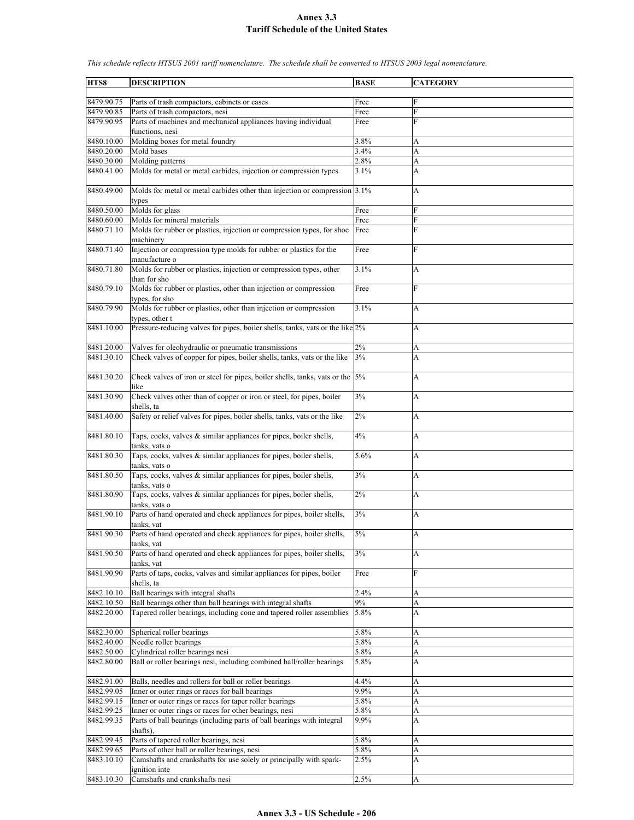**HTS8 DESCRIPTION BASE CATEGORY** 8479.90.75 Parts of trash compactors, cabinets or cases 8479.90.85 Parts of trash compactors, nesi Free 8479.90.95 Parts of machines and mechanical appliances having individual functions, nesi Free F 8480.10.00 Molding boxes for metal foundry 3.8% 3.8%  $8480.20.00$  Mold bases  $3.4\%$ 8480.30.00 Molding patterns 2.8% A 8480.41.00 Molds for metal or metal carbides, injection or compression types 3.1% A 8480.49.00 Molds for metal or metal carbides other than injection or compression types 3.1% A 8480.50.00 Molds for glass Free 8480.60.00 Molds for mineral materials Free F 8480.71.10 Molds for rubber or plastics, injection or compression types, for shoe machinery Free F 8480.71.40 Injection or compression type molds for rubber or plastics for the manufacture o Free F 8480.71.80 Molds for rubber or plastics, injection or compression types, other than for sho  $\overline{3.1\%}$  A 8480.79.10 Molds for rubber or plastics, other than injection or compression types, for sho Free 8480.79.90 Molds for rubber or plastics, other than injection or compression types, other t 3.1% A 8481.10.00 Pressure-reducing valves for pipes, boiler shells, tanks, vats or the like 2% A 8481.20.00 Valves for oleohydraulic or pneumatic transmissions 2% A 8481.30.10 Check valves of copper for pipes, boiler shells, tanks, vats or the like 3% A 8481.30.20 Check valves of iron or steel for pipes, boiler shells, tanks, vats or the like 5% A 8481.30.90 Check valves other than of copper or iron or steel, for pipes, boiler shells, ta 3% A 8481.40.00 Safety or relief valves for pipes, boiler shells, tanks, vats or the like 2% A 8481.80.10 Taps, cocks, valves  $\&$  similar appliances for pipes, boiler shells, tanks, vats o 4% A 8481.80.30 Taps, cocks, valves & similar appliances for pipes, boiler shells, tanks, vats o 5.6% A 8481.80.50 Taps, cocks, valves  $\&$  similar appliances for pipes, boiler shells, tanks, vats o  $3\%$  A 8481.80.90 Taps, cocks, valves & similar appliances for pipes, boiler shells, tanks, vats o 2% A 8481.90.10 Parts of hand operated and check appliances for pipes, boiler shells, tanks, vat 3% A 8481.90.30 Parts of hand operated and check appliances for pipes, boiler shells, tanks, vat 5% A 8481.90.50 Parts of hand operated and check appliances for pipes, boiler shells, tanks, vat  $3\%$  A 8481.90.90 Parts of taps, cocks, valves and similar appliances for pipes, boiler shells, ta Free F 8482.10.10 Ball bearings with integral shafts 2.4% A 8482.10.50 Ball bearings other than ball bearings with integral shafts 9% A 8482.20.00 Tapered roller bearings, including cone and tapered roller assemblies 5.8% 8482.30.00 Spherical roller bearings 5.8% A 8482.40.00 Needle roller bearings 5.8% A 8482.50.00 Cylindrical roller bearings nesi 5.8% A 8482.80.00 Ball or roller bearings nesi, including combined ball/roller bearings 5.8% A 8482.91.00 Balls, needles and rollers for ball or roller bearings 4.4% A 8482.99.05 Inner or outer rings or races for ball bearings 9.9% A<br>8482.99.15 Inner or outer rings or races for taper roller bearings 5.8% A Inner or outer rings or races for taper roller bearings 5.8% A 8482.99.25 | Inner or outer rings or races for other bearings, nesi | 5.8% | A 8482.99.35 Parts of ball bearings (including parts of ball bearings with integral shafts), 9.9% A 8482.99.45 Parts of tapered roller bearings, nesi 5.8% 5.8% A 8482.99.65 Parts of other ball or roller bearings, nesi 5.8% A 8483.10.10 Camshafts and crankshafts for use solely or principally with sparkignition inte  $2.5\%$  A 8483.10.30 Camshafts and crankshafts nesi 2.5%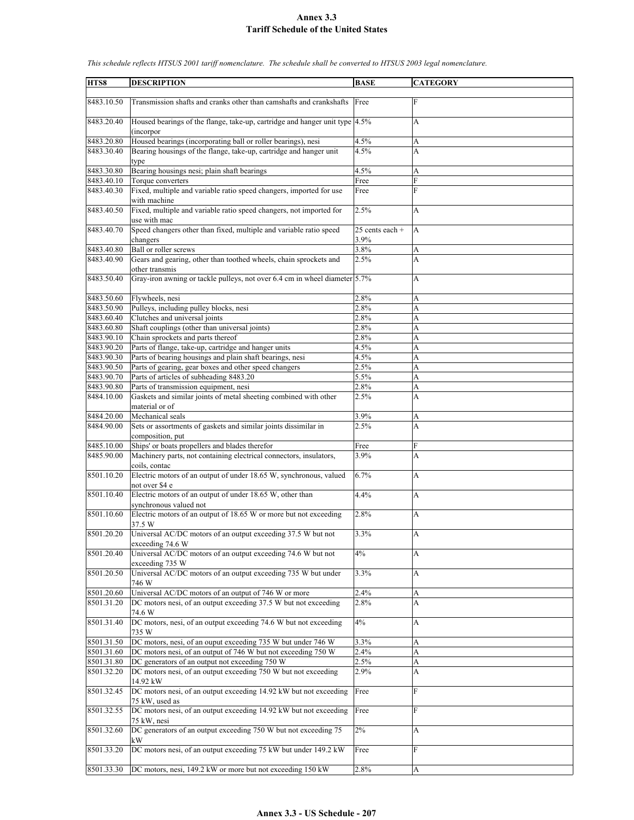| HTS8       | <b>DESCRIPTION</b>                                                          | <b>BASE</b>                  | <b>CATEGORY</b> |
|------------|-----------------------------------------------------------------------------|------------------------------|-----------------|
|            |                                                                             |                              |                 |
| 8483.10.50 | Transmission shafts and cranks other than camshafts and crankshafts         | Free                         | $\mathbf F$     |
|            |                                                                             |                              |                 |
| 8483.20.40 | Housed bearings of the flange, take-up, cartridge and hanger unit type 4.5% |                              | A               |
|            | (incorpor                                                                   |                              |                 |
| 8483.20.80 | Housed bearings (incorporating ball or roller bearings), nesi               | 4.5%                         | A               |
| 8483.30.40 | Bearing housings of the flange, take-up, cartridge and hanger unit          | 4.5%                         | A               |
|            | type                                                                        |                              |                 |
| 8483.30.80 | Bearing housings nesi; plain shaft bearings                                 | 4.5%                         | A               |
| 8483.40.10 | Torque converters                                                           | Free                         | F               |
| 8483.40.30 | Fixed, multiple and variable ratio speed changers, imported for use         | Free                         | $\mathbf{F}$    |
|            | with machine                                                                |                              |                 |
| 8483.40.50 | Fixed, multiple and variable ratio speed changers, not imported for         | 2.5%                         | A               |
|            | use with mac                                                                |                              |                 |
| 8483.40.70 | Speed changers other than fixed, multiple and variable ratio speed          | $\overline{25}$ cents each + | A               |
|            | changers                                                                    | 3.9%                         |                 |
| 8483.40.80 | Ball or roller screws                                                       | 3.8%                         | A               |
| 8483.40.90 | Gears and gearing, other than toothed wheels, chain sprockets and           | 2.5%                         | A               |
|            |                                                                             |                              |                 |
|            | other transmis                                                              |                              |                 |
| 8483.50.40 | Gray-iron awning or tackle pulleys, not over 6.4 cm in wheel diameter 5.7%  |                              | A               |
|            |                                                                             |                              |                 |
| 8483.50.60 | Flywheels, nesi                                                             | 2.8%                         | A               |
| 8483.50.90 | Pulleys, including pulley blocks, nesi                                      | 2.8%                         | A               |
| 8483.60.40 | Clutches and universal joints                                               | 2.8%                         | A               |
| 8483.60.80 | Shaft couplings (other than universal joints)                               | 2.8%                         | A               |
| 8483.90.10 | Chain sprockets and parts thereof                                           | 2.8%                         | A               |
| 8483.90.20 | Parts of flange, take-up, cartridge and hanger units                        | 4.5%                         | A               |
| 8483.90.30 | Parts of bearing housings and plain shaft bearings, nesi                    | 4.5%                         | A               |
| 8483.90.50 | Parts of gearing, gear boxes and other speed changers                       | 2.5%                         | A               |
| 8483.90.70 | Parts of articles of subheading 8483.20                                     | 5.5%                         | A               |
| 8483.90.80 | Parts of transmission equipment, nesi                                       | 2.8%                         | A               |
| 8484.10.00 | Gaskets and similar joints of metal sheeting combined with other            | 2.5%                         | A               |
|            | material or of                                                              |                              |                 |
| 8484.20.00 | Mechanical seals                                                            | 3.9%                         | A               |
| 8484.90.00 | Sets or assortments of gaskets and similar joints dissimilar in             | 2.5%                         | A               |
|            | composition, put                                                            |                              |                 |
| 8485.10.00 | Ships' or boats propellers and blades therefor                              | Free                         | F               |
| 8485.90.00 |                                                                             | 3.9%                         | A               |
|            | Machinery parts, not containing electrical connectors, insulators,          |                              |                 |
|            | coils, contac                                                               |                              |                 |
| 8501.10.20 | Electric motors of an output of under 18.65 W, synchronous, valued          | 6.7%                         | A               |
|            | not over \$4 e                                                              |                              |                 |
| 8501.10.40 | Electric motors of an output of under 18.65 W, other than                   | 4.4%                         | A               |
|            | synchronous valued not                                                      |                              |                 |
| 8501.10.60 | Electric motors of an output of 18.65 W or more but not exceeding           | 2.8%                         | A               |
|            | 37.5 W                                                                      |                              |                 |
| 8501.20.20 | Universal AC/DC motors of an output exceeding 37.5 W but not                | 3.3%                         | A               |
|            | exceeding 74.6 W                                                            |                              |                 |
| 8501.20.40 | Universal AC/DC motors of an output exceeding 74.6 W but not                | 4%                           | A               |
|            | exceeding 735 W                                                             |                              |                 |
| 8501.20.50 | Universal AC/DC motors of an output exceeding 735 W but under               | 3.3%                         | A               |
|            | 746 W                                                                       |                              |                 |
| 8501.20.60 | Universal AC/DC motors of an output of 746 W or more                        | 2.4%                         | A               |
| 8501.31.20 | DC motors nesi, of an output exceeding 37.5 W but not exceeding             | 2.8%                         | A               |
|            | 74.6 W                                                                      |                              |                 |
| 8501.31.40 | DC motors, nesi, of an output exceeding 74.6 W but not exceeding            | $4\%$                        | A               |
|            | 735 W                                                                       |                              |                 |
| 8501.31.50 | DC motors, nesi, of an ouput exceeding 735 W but under 746 W                | 3.3%                         | A               |
|            |                                                                             |                              |                 |
| 8501.31.60 | DC motors nesi, of an output of 746 W but not exceeding 750 W               | 2.4%                         | A               |
| 8501.31.80 | DC generators of an output not exceeding 750 W                              | 2.5%                         | A               |
| 8501.32.20 | DC motors nesi, of an output exceeding 750 W but not exceeding              | 2.9%                         | A               |
|            | 14.92 kW                                                                    |                              |                 |
| 8501.32.45 | DC motors nesi, of an output exceeding 14.92 kW but not exceeding           | Free                         | F               |
|            | 75 kW, used as                                                              |                              |                 |
| 8501.32.55 | DC motors nesi, of an output exceeding 14.92 kW but not exceeding           | Free                         | F               |
|            | 75 kW, nesi                                                                 |                              |                 |
| 8501.32.60 | DC generators of an output exceeding 750 W but not exceeding 75             | 2%                           | A               |
|            | kW                                                                          |                              |                 |
| 8501.33.20 | DC motors nesi, of an output exceeding 75 kW but under 149.2 kW             | Free                         | F               |
|            |                                                                             |                              |                 |
| 8501.33.30 | DC motors, nesi, 149.2 kW or more but not exceeding 150 kW                  | 2.8%                         | A               |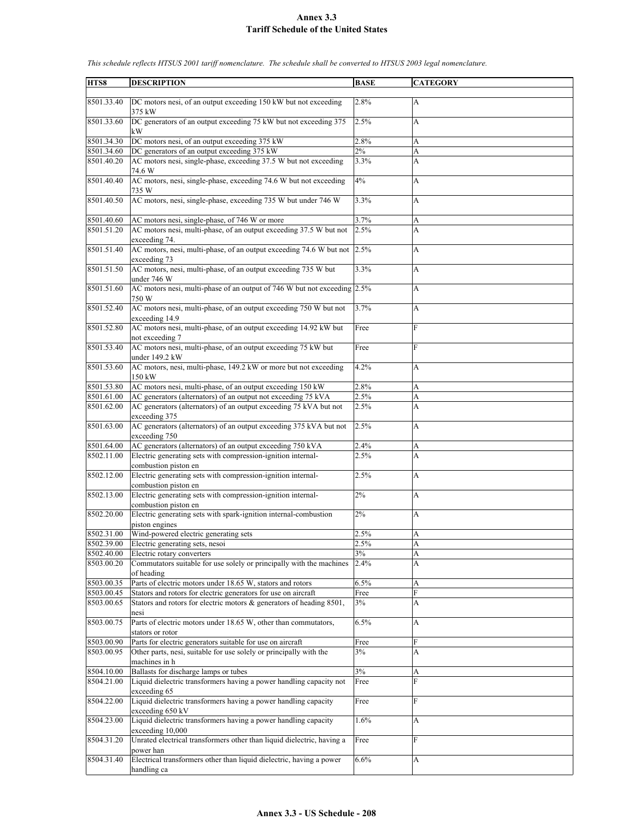| HTS8       | <b>DESCRIPTION</b>                                                         | <b>BASE</b> | <b>CATEGORY</b> |
|------------|----------------------------------------------------------------------------|-------------|-----------------|
|            |                                                                            |             |                 |
| 8501.33.40 | DC motors nesi, of an output exceeding 150 kW but not exceeding            | 2.8%        | A               |
|            | 375 kW                                                                     |             |                 |
| 8501.33.60 | DC generators of an output exceeding 75 kW but not exceeding 375<br>kW     | 2.5%        | A               |
| 8501.34.30 | DC motors nesi, of an output exceeding 375 kW                              | 2.8%        | A               |
| 8501.34.60 | DC generators of an output exceeding 375 kW                                | 2%          | A               |
| 8501.40.20 | AC motors nesi, single-phase, exceeding 37.5 W but not exceeding           | 3.3%        | A               |
|            | 74.6 W                                                                     |             |                 |
| 8501.40.40 | AC motors, nesi, single-phase, exceeding 74.6 W but not exceeding<br>735 W | 4%          | A               |
| 8501.40.50 | AC motors, nesi, single-phase, exceeding 735 W but under 746 W             | 3.3%        | A               |
| 8501.40.60 | AC motors nesi, single-phase, of 746 W or more                             | 3.7%        | A               |
| 8501.51.20 | AC motors nesi, multi-phase, of an output exceeding 37.5 W but not         | 2.5%        | A               |
|            | exceeding 74.                                                              |             |                 |
| 8501.51.40 | AC motors, nesi, multi-phase, of an output exceeding 74.6 W but not        | 2.5%        | A               |
|            | exceeding 73                                                               |             |                 |
| 8501.51.50 | AC motors, nesi, multi-phase, of an output exceeding 735 W but             | 3.3%        | A               |
|            | under 746 W                                                                |             |                 |
| 8501.51.60 | AC motors nesi, multi-phase of an output of 746 W but not exceeding 2.5%   |             | A               |
|            | 750 W                                                                      |             |                 |
| 8501.52.40 | AC motors nesi, multi-phase, of an output exceeding 750 W but not          | 3.7%        | A               |
|            | exceeding 14.9                                                             |             |                 |
| 8501.52.80 |                                                                            |             | F               |
|            | AC motors nesi, multi-phase, of an output exceeding 14.92 kW but           | Free        |                 |
| 8501.53.40 | not exceeding 7                                                            |             |                 |
|            | AC motors nesi, multi-phase, of an output exceeding 75 kW but              | Free        | F               |
|            | under 149.2 kW                                                             |             |                 |
| 8501.53.60 | AC motors, nesi, multi-phase, 149.2 kW or more but not exceeding           | 4.2%        | A               |
|            | 150 kW                                                                     |             |                 |
| 8501.53.80 | AC motors nesi, multi-phase, of an output exceeding 150 kW                 | 2.8%        | А               |
| 8501.61.00 | AC generators (alternators) of an output not exceeding 75 kVA              | 2.5%        | A               |
| 8501.62.00 | AC generators (alternators) of an output exceeding 75 kVA but not          | 2.5%        | A               |
|            | exceeding 375                                                              |             |                 |
| 8501.63.00 | AC generators (alternators) of an output exceeding 375 kVA but not         | 2.5%        | A               |
|            | exceeding 750                                                              |             |                 |
| 8501.64.00 | AC generators (alternators) of an output exceeding 750 kVA                 | 2.4%        | A               |
| 8502.11.00 | Electric generating sets with compression-ignition internal-               | 2.5%        | A               |
|            | combustion piston en                                                       |             |                 |
| 8502.12.00 | Electric generating sets with compression-ignition internal-               | 2.5%        | A               |
| 8502.13.00 | combustion piston en                                                       |             |                 |
|            | Electric generating sets with compression-ignition internal-               | 2%          | A               |
|            | combustion piston en                                                       |             |                 |
| 8502.20.00 | Electric generating sets with spark-ignition internal-combustion           | 2%          | A               |
|            | piston engines                                                             |             |                 |
| 8502.31.00 | Wind-powered electric generating sets                                      | 2.5%        | A               |
| 8502.39.00 | Electric generating sets, nesoi                                            | 2.5%        | A               |
| 8502.40.00 | Electric rotary converters                                                 | 3%          | A               |
| 8503.00.20 | Commutators suitable for use solely or principally with the machines       | 2.4%        | A               |
|            | of heading                                                                 |             |                 |
| 8503.00.35 | Parts of electric motors under 18.65 W, stators and rotors                 | 6.5%        | A               |
| 8503.00.45 | Stators and rotors for electric generators for use on aircraft             | Free        | F               |
| 8503.00.65 | Stators and rotors for electric motors & generators of heading 8501,       | 3%          | A               |
|            | nesi                                                                       |             |                 |
| 8503.00.75 | Parts of electric motors under 18.65 W, other than commutators,            | 6.5%        | A               |
|            | stators or rotor                                                           |             |                 |
| 8503.00.90 | Parts for electric generators suitable for use on aircraft                 | Free        | F               |
| 8503.00.95 | Other parts, nesi, suitable for use solely or principally with the         | 3%          | A               |
|            | machines in h                                                              |             |                 |
| 8504.10.00 | Ballasts for discharge lamps or tubes                                      | 3%          | A               |
| 8504.21.00 | Liquid dielectric transformers having a power handling capacity not        | Free        | F               |
|            | exceeding 65                                                               |             |                 |
| 8504.22.00 | Liquid dielectric transformers having a power handling capacity            | Free        | F               |
|            | exceeding 650 kV                                                           |             |                 |
| 8504.23.00 | Liquid dielectric transformers having a power handling capacity            | 1.6%        | A               |
|            | exceeding 10,000                                                           |             |                 |
| 8504.31.20 | Unrated electrical transformers other than liquid dielectric, having a     | Free        | F               |
|            | power han                                                                  |             |                 |
| 8504.31.40 | Electrical transformers other than liquid dielectric, having a power       | 6.6%        | A               |
|            | handling ca                                                                |             |                 |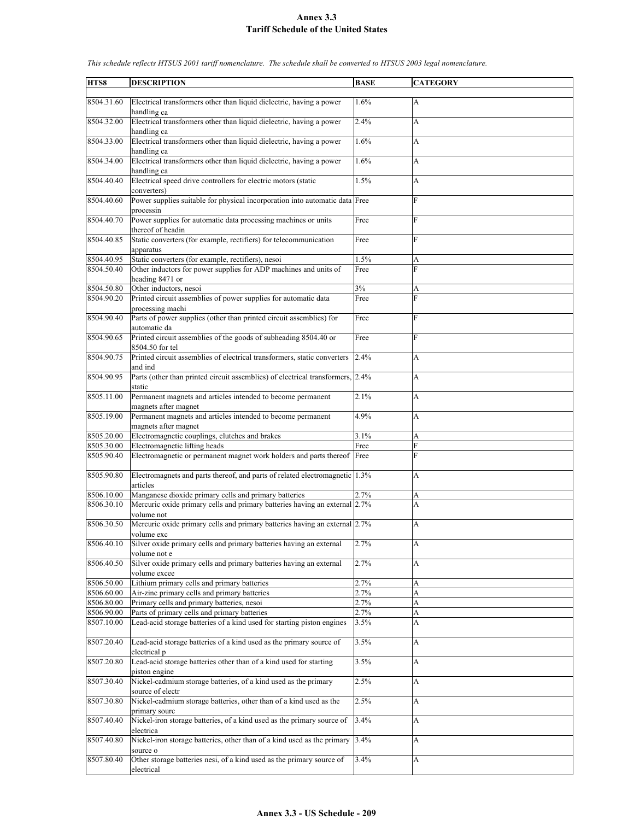| HTS8       | <b>DESCRIPTION</b>                                                             | <b>BASE</b> | <b>CATEGORY</b> |
|------------|--------------------------------------------------------------------------------|-------------|-----------------|
|            |                                                                                |             |                 |
| 8504.31.60 | Electrical transformers other than liquid dielectric, having a power           | 1.6%        | А               |
|            | handling ca                                                                    |             |                 |
|            |                                                                                |             |                 |
| 8504.32.00 | Electrical transformers other than liquid dielectric, having a power           | 2.4%        | A               |
|            | handling ca                                                                    |             |                 |
| 8504.33.00 | Electrical transformers other than liquid dielectric, having a power           | 1.6%        | A               |
|            | handling ca                                                                    |             |                 |
| 8504.34.00 | Electrical transformers other than liquid dielectric, having a power           | 1.6%        |                 |
|            |                                                                                |             | A               |
|            | handling ca                                                                    |             |                 |
| 8504.40.40 | Electrical speed drive controllers for electric motors (static                 | 1.5%        | A               |
|            | converters)                                                                    |             |                 |
| 8504.40.60 | Power supplies suitable for physical incorporation into automatic data Free    |             | F               |
|            |                                                                                |             |                 |
|            | processin                                                                      |             |                 |
| 8504.40.70 | Power supplies for automatic data processing machines or units                 | Free        | F               |
|            | thereof of headin                                                              |             |                 |
| 8504.40.85 | Static converters (for example, rectifiers) for telecommunication              | Free        | F               |
|            |                                                                                |             |                 |
|            | apparatus                                                                      |             |                 |
| 8504.40.95 | Static converters (for example, rectifiers), nesoi                             | 1.5%        | A               |
| 8504.50.40 | Other inductors for power supplies for ADP machines and units of               | Free        | F               |
|            | heading 8471 or                                                                |             |                 |
| 8504.50.80 | Other inductors, nesoi                                                         | 3%          | A               |
|            |                                                                                |             |                 |
| 8504.90.20 | Printed circuit assemblies of power supplies for automatic data                | Free        | F               |
|            | processing machi                                                               |             |                 |
| 8504.90.40 | Parts of power supplies (other than printed circuit assemblies) for            | Free        | F               |
|            | automatic da                                                                   |             |                 |
|            |                                                                                |             | F               |
| 8504.90.65 | Printed circuit assemblies of the goods of subheading 8504.40 or               | Free        |                 |
|            | 8504.50 for tel                                                                |             |                 |
| 8504.90.75 | Printed circuit assemblies of electrical transformers, static converters       | 2.4%        | A               |
|            | and ind                                                                        |             |                 |
|            |                                                                                |             |                 |
| 8504.90.95 | Parts (other than printed circuit assemblies) of electrical transformers, 2.4% |             | A               |
|            | static                                                                         |             |                 |
| 8505.11.00 | Permanent magnets and articles intended to become permanent                    | 2.1%        | A               |
|            | magnets after magnet                                                           |             |                 |
| 8505.19.00 | Permanent magnets and articles intended to become permanent                    | 4.9%        | A               |
|            |                                                                                |             |                 |
|            | magnets after magnet                                                           |             |                 |
| 8505.20.00 | Electromagnetic couplings, clutches and brakes                                 | 3.1%        | A               |
| 8505.30.00 | Electromagnetic lifting heads                                                  | Free        | F               |
| 8505.90.40 | Electromagnetic or permanent magnet work holders and parts thereof Free        |             | F               |
|            |                                                                                |             |                 |
|            |                                                                                |             |                 |
| 8505.90.80 | Electromagnets and parts thereof, and parts of related electromagnetic 1.3%    |             | A               |
|            | articles                                                                       |             |                 |
| 8506.10.00 | Manganese dioxide primary cells and primary batteries                          | 2.7%        | А               |
| 8506.30.10 | Mercuric oxide primary cells and primary batteries having an external 2.7%     |             | A               |
|            |                                                                                |             |                 |
|            | volume not                                                                     |             |                 |
| 8506.30.50 | Mercuric oxide primary cells and primary batteries having an external 2.7%     |             | А               |
|            | volume exc                                                                     |             |                 |
| 8506.40.10 | Silver oxide primary cells and primary batteries having an external            | 2.7%        | A               |
|            | volume not e                                                                   |             |                 |
|            |                                                                                |             |                 |
| 8506.40.50 | Silver oxide primary cells and primary batteries having an external            | 2.7%        | A               |
|            | volume excee                                                                   |             |                 |
| 8506.50.00 | Lithium primary cells and primary batteries                                    | 2.7%        | А               |
| 8506.60.00 | Air-zinc primary cells and primary batteries                                   | 2.7%        | A               |
| 8506.80.00 |                                                                                | 2.7%        |                 |
|            | Primary cells and primary batteries, nesoi                                     |             | A               |
| 8506.90.00 | Parts of primary cells and primary batteries                                   | 2.7%        | A               |
| 8507.10.00 | Lead-acid storage batteries of a kind used for starting piston engines         | 3.5%        | A               |
|            |                                                                                |             |                 |
| 8507.20.40 | Lead-acid storage batteries of a kind used as the primary source of            | 3.5%        | A               |
|            |                                                                                |             |                 |
|            | electrical p                                                                   |             |                 |
| 8507.20.80 | Lead-acid storage batteries other than of a kind used for starting             | 3.5%        | A               |
|            | piston engine                                                                  |             |                 |
| 8507.30.40 | Nickel-cadmium storage batteries, of a kind used as the primary                | 2.5%        | A               |
|            |                                                                                |             |                 |
|            | source of electr                                                               |             |                 |
| 8507.30.80 | Nickel-cadmium storage batteries, other than of a kind used as the             | 2.5%        | A               |
|            | primary sourc                                                                  |             |                 |
| 8507.40.40 | Nickel-iron storage batteries, of a kind used as the primary source of         | 3.4%        | A               |
|            | electrica                                                                      |             |                 |
|            |                                                                                |             |                 |
| 8507.40.80 | Nickel-iron storage batteries, other than of a kind used as the primary        | 3.4%        | A               |
|            | source o                                                                       |             |                 |
| 8507.80.40 | Other storage batteries nesi, of a kind used as the primary source of          | 3.4%        | A               |
|            | electrical                                                                     |             |                 |
|            |                                                                                |             |                 |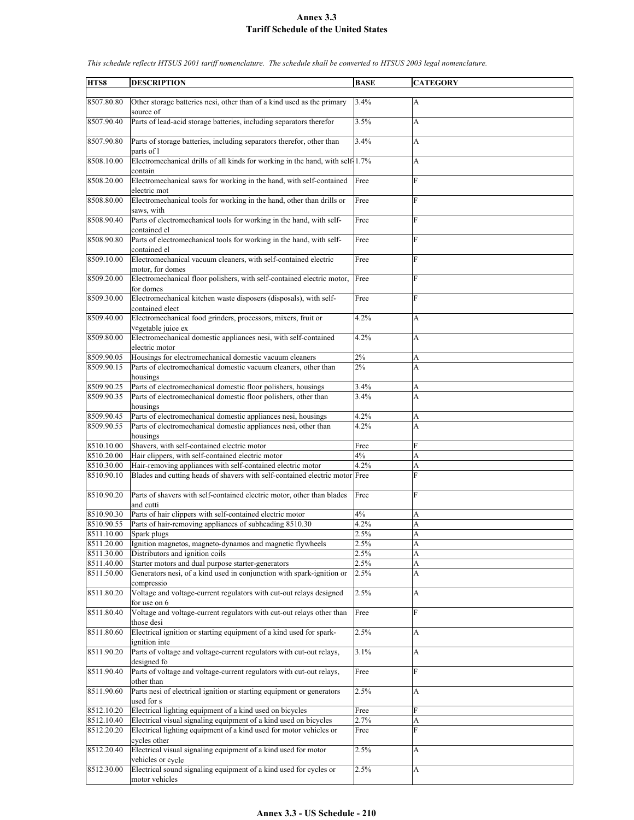| HTS8       | <b>DESCRIPTION</b>                                                            | <b>BASE</b> | <b>CATEGORY</b>           |
|------------|-------------------------------------------------------------------------------|-------------|---------------------------|
|            |                                                                               |             |                           |
| 8507.80.80 | Other storage batteries nesi, other than of a kind used as the primary        | 3.4%        | A                         |
|            | source of                                                                     |             |                           |
| 8507.90.40 | Parts of lead-acid storage batteries, including separators therefor           | 3.5%        | A                         |
|            |                                                                               |             |                           |
| 8507.90.80 | Parts of storage batteries, including separators therefor, other than         | 3.4%        | A                         |
|            | parts of l                                                                    |             |                           |
| 8508.10.00 | Electromechanical drills of all kinds for working in the hand, with self-1.7% |             | A                         |
|            | contain                                                                       |             |                           |
| 8508.20.00 | Electromechanical saws for working in the hand, with self-contained           | Free        | F                         |
|            | electric mot                                                                  |             |                           |
| 8508.80.00 | Electromechanical tools for working in the hand, other than drills or         | Free        | F                         |
|            |                                                                               |             |                           |
|            | saws, with                                                                    |             |                           |
| 8508.90.40 | Parts of electromechanical tools for working in the hand, with self-          | Free        | F                         |
|            | contained el                                                                  |             |                           |
| 8508.90.80 | Parts of electromechanical tools for working in the hand, with self-          | Free        | F                         |
|            | contained el                                                                  |             |                           |
| 8509.10.00 | Electromechanical vacuum cleaners, with self-contained electric               | Free        | F                         |
|            | motor, for domes                                                              |             |                           |
| 8509.20.00 | Electromechanical floor polishers, with self-contained electric motor,        | Free        | F                         |
|            | for domes                                                                     |             |                           |
| 8509.30.00 | Electromechanical kitchen waste disposers (disposals), with self-             | Free        | F                         |
|            | contained elect                                                               |             |                           |
| 8509.40.00 | Electromechanical food grinders, processors, mixers, fruit or                 | 4.2%        | A                         |
|            | vegetable juice ex                                                            |             |                           |
| 8509.80.00 | Electromechanical domestic appliances nesi, with self-contained               | 4.2%        | A                         |
|            | electric motor                                                                |             |                           |
| 8509.90.05 | Housings for electromechanical domestic vacuum cleaners                       | 2%          | A                         |
| 8509.90.15 | Parts of electromechanical domestic vacuum cleaners, other than               | 2%          | $\overline{A}$            |
|            | housings                                                                      |             |                           |
| 8509.90.25 | Parts of electromechanical domestic floor polishers, housings                 | 3.4%        | A                         |
| 8509.90.35 | Parts of electromechanical domestic floor polishers, other than               | 3.4%        | A                         |
|            |                                                                               |             |                           |
|            | housings                                                                      |             |                           |
| 8509.90.45 | Parts of electromechanical domestic appliances nesi, housings                 | 4.2%        | A                         |
| 8509.90.55 | Parts of electromechanical domestic appliances nesi, other than               | 4.2%        | A                         |
|            | housings                                                                      |             |                           |
| 8510.10.00 | Shavers, with self-contained electric motor                                   | Free        | F                         |
| 8510.20.00 | Hair clippers, with self-contained electric motor                             | 4%          | A                         |
| 8510.30.00 | Hair-removing appliances with self-contained electric motor                   | 4.2%        | A                         |
| 8510.90.10 | Blades and cutting heads of shavers with self-contained electric motor Free   |             | F                         |
|            |                                                                               |             |                           |
| 8510.90.20 | Parts of shavers with self-contained electric motor, other than blades        | Free        | F                         |
|            | and cutti                                                                     |             |                           |
| 8510.90.30 | Parts of hair clippers with self-contained electric motor                     | 4%          | А                         |
| 8510.90.55 | Parts of hair-removing appliances of subheading 8510.30                       | 4.2%        | A                         |
| 8511.10.00 | Spark plugs                                                                   | 2.5%        | A                         |
| 8511.20.00 | Ignition magnetos, magneto-dynamos and magnetic flywheels                     | 2.5%        | A                         |
| 8511.30.00 | Distributors and ignition coils                                               | 2.5%        | A                         |
| 8511.40.00 | Starter motors and dual purpose starter-generators                            | 2.5%        | A                         |
| 8511.50.00 | Generators nesi, of a kind used in conjunction with spark-ignition or         | 2.5%        | A                         |
|            | compressio                                                                    |             |                           |
| 8511.80.20 | Voltage and voltage-current regulators with cut-out relays designed           | 2.5%        | $\boldsymbol{\mathsf{A}}$ |
|            | for use on 6                                                                  |             |                           |
| 8511.80.40 | Voltage and voltage-current regulators with cut-out relays other than         | Free        | $\mathbf{F}$              |
|            |                                                                               |             |                           |
|            | those desi                                                                    |             |                           |
| 8511.80.60 | Electrical ignition or starting equipment of a kind used for spark-           | 2.5%        | А                         |
|            | ignition inte                                                                 |             |                           |
| 8511.90.20 | Parts of voltage and voltage-current regulators with cut-out relays,          | 3.1%        | $\boldsymbol{\mathsf{A}}$ |
|            | designed fo                                                                   |             |                           |
| 8511.90.40 | Parts of voltage and voltage-current regulators with cut-out relays,          | Free        | $\mathbf{F}$              |
|            | other than                                                                    |             |                           |
| 8511.90.60 | Parts nesi of electrical ignition or starting equipment or generators         | 2.5%        | A                         |
|            | used for s                                                                    |             |                           |
| 8512.10.20 | Electrical lighting equipment of a kind used on bicycles                      | Free        | F                         |
| 8512.10.40 | Electrical visual signaling equipment of a kind used on bicycles              | 2.7%        | A                         |
| 8512.20.20 | Electrical lighting equipment of a kind used for motor vehicles or            | Free        | F                         |
|            | cycles other                                                                  |             |                           |
| 8512.20.40 | Electrical visual signaling equipment of a kind used for motor                | 2.5%        | A                         |
|            | vehicles or cycle                                                             |             |                           |
| 8512.30.00 | Electrical sound signaling equipment of a kind used for cycles or             | 2.5%        | $\boldsymbol{\mathsf{A}}$ |
|            | motor vehicles                                                                |             |                           |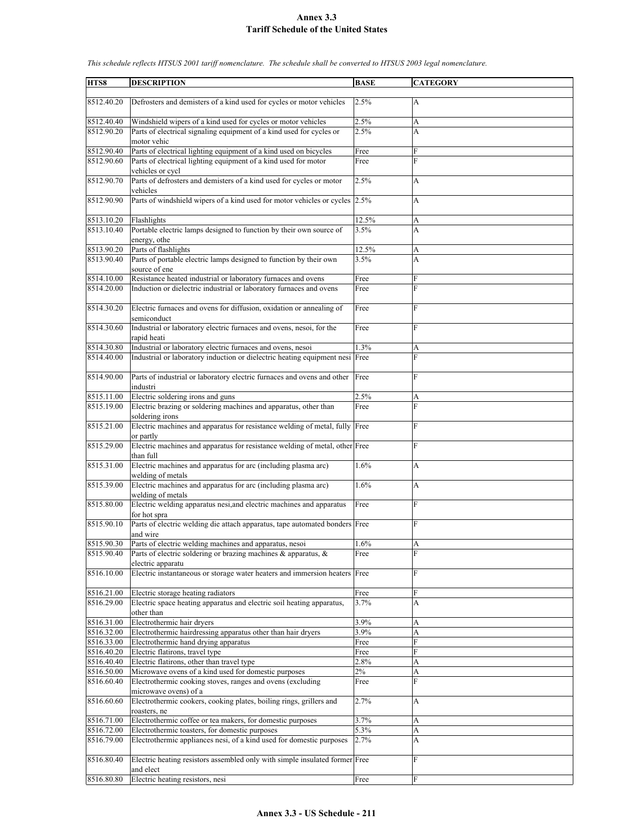| HTS8       | <b>DESCRIPTION</b>                                                                           | <b>BASE</b> | <b>CATEGORY</b> |
|------------|----------------------------------------------------------------------------------------------|-------------|-----------------|
|            |                                                                                              |             |                 |
| 8512.40.20 | Defrosters and demisters of a kind used for cycles or motor vehicles                         | 2.5%        | A               |
| 8512.40.40 | Windshield wipers of a kind used for cycles or motor vehicles                                | 2.5%        | A               |
| 8512.90.20 | Parts of electrical signaling equipment of a kind used for cycles or<br>motor vehic          | 2.5%        | A               |
| 8512.90.40 | Parts of electrical lighting equipment of a kind used on bicycles                            | Free        | F               |
| 8512.90.60 |                                                                                              |             | F               |
|            | Parts of electrical lighting equipment of a kind used for motor<br>vehicles or cycl          | Free        |                 |
| 8512.90.70 | Parts of defrosters and demisters of a kind used for cycles or motor<br>vehicles             | 2.5%        | A               |
| 8512.90.90 | Parts of windshield wipers of a kind used for motor vehicles or cycles 2.5%                  |             | A               |
| 8513.10.20 | Flashlights                                                                                  | 12.5%       | A               |
| 8513.10.40 | Portable electric lamps designed to function by their own source of                          | 3.5%        | A               |
|            | energy, othe                                                                                 |             |                 |
| 8513.90.20 | Parts of flashlights                                                                         | 12.5%       | A               |
| 8513.90.40 | Parts of portable electric lamps designed to function by their own<br>source of ene          | 3.5%        | A               |
| 8514.10.00 | Resistance heated industrial or laboratory furnaces and ovens                                | Free        | F               |
| 8514.20.00 | Induction or dielectric industrial or laboratory furnaces and ovens                          | Free        | F               |
| 8514.30.20 | Electric furnaces and ovens for diffusion, oxidation or annealing of<br>semiconduct          | Free        | F               |
| 8514.30.60 | Industrial or laboratory electric furnaces and ovens, nesoi, for the                         | Free        | $\overline{F}$  |
|            | rapid heati                                                                                  |             |                 |
| 8514.30.80 | Industrial or laboratory electric furnaces and ovens, nesoi                                  | 1.3%        | A               |
| 8514.40.00 | Industrial or laboratory induction or dielectric heating equipment nesi Free                 |             | F               |
| 8514.90.00 | Parts of industrial or laboratory electric furnaces and ovens and other                      | Free        | F               |
|            | industri                                                                                     |             |                 |
| 8515.11.00 | Electric soldering irons and guns                                                            | 2.5%        | А               |
| 8515.19.00 | Electric brazing or soldering machines and apparatus, other than<br>soldering irons          | Free        | F               |
| 8515.21.00 | Electric machines and apparatus for resistance welding of metal, fully Free<br>or partly     |             | F               |
| 8515.29.00 | Electric machines and apparatus for resistance welding of metal, other Free<br>than full     |             | F               |
| 8515.31.00 | Electric machines and apparatus for arc (including plasma arc)<br>welding of metals          | 1.6%        | A               |
| 8515.39.00 | Electric machines and apparatus for arc (including plasma arc)<br>welding of metals          | 1.6%        | A               |
| 8515.80.00 | Electric welding apparatus nesi, and electric machines and apparatus                         | Free        | F               |
| 8515.90.10 | for hot spra<br>Parts of electric welding die attach apparatus, tape automated bonders Free  |             | F               |
| 8515.90.30 | and wire<br>Parts of electric welding machines and apparatus, nesoi                          | 1.6%        |                 |
| 8515.90.40 | Parts of electric soldering or brazing machines & apparatus, &                               | Free        | A<br>F          |
|            | electric apparatu                                                                            |             |                 |
| 8516.10.00 | Electric instantaneous or storage water heaters and immersion heaters Free                   |             | F               |
| 8516.21.00 | Electric storage heating radiators                                                           | Free        | F               |
| 8516.29.00 | Electric space heating apparatus and electric soil heating apparatus,<br>other than          | 3.7%        | A               |
| 8516.31.00 | Electrothermic hair dryers                                                                   | 3.9%        | A               |
| 8516.32.00 | Electrothermic hairdressing apparatus other than hair dryers                                 | 3.9%        | A               |
| 8516.33.00 | Electrothermic hand drying apparatus                                                         | Free        | F               |
| 8516.40.20 | Electric flatirons, travel type                                                              | Free        | F               |
| 8516.40.40 | Electric flatirons, other than travel type                                                   | 2.8%        | A               |
| 8516.50.00 | Microwave ovens of a kind used for domestic purposes                                         | 2%          | A               |
| 8516.60.40 | Electrothermic cooking stoves, ranges and ovens (excluding                                   | Free        | F               |
| 8516.60.60 | microwave ovens) of a<br>Electrothermic cookers, cooking plates, boiling rings, grillers and | 2.7%        | А               |
| 8516.71.00 | roasters, ne<br>Electrothermic coffee or tea makers, for domestic purposes                   | 3.7%        | A               |
| 8516.72.00 | Electrothermic toasters, for domestic purposes                                               | 5.3%        | A               |
| 8516.79.00 | Electrothermic appliances nesi, of a kind used for domestic purposes                         | 2.7%        | A               |
| 8516.80.40 | Electric heating resistors assembled only with simple insulated former Free                  |             | F               |
| 8516.80.80 | and elect<br>Electric heating resistors, nesi                                                | Free        | F               |
|            |                                                                                              |             |                 |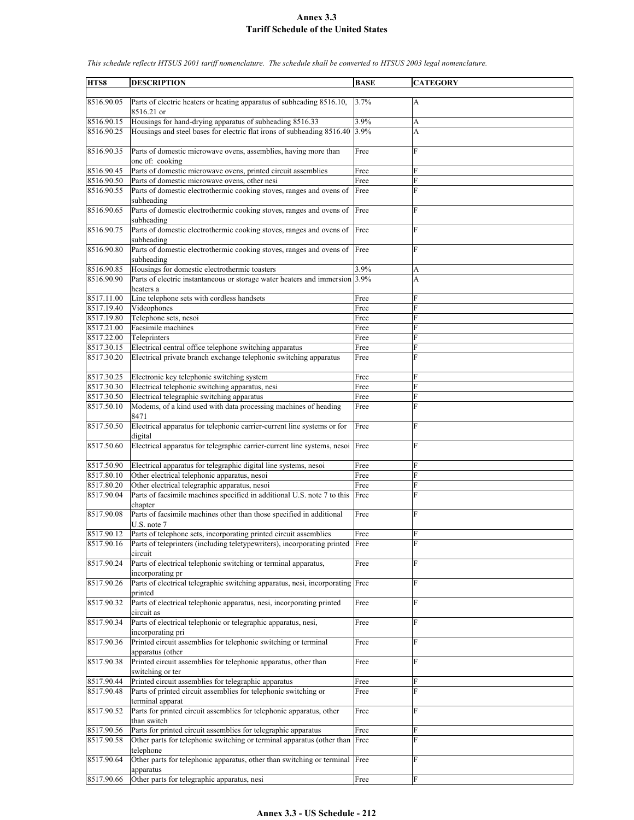| HTS8       | <b>DESCRIPTION</b>                                                                                | <b>BASE</b> | <b>CATEGORY</b> |
|------------|---------------------------------------------------------------------------------------------------|-------------|-----------------|
|            |                                                                                                   |             |                 |
| 8516.90.05 | Parts of electric heaters or heating apparatus of subheading 8516.10,<br>8516.21 or               | 3.7%        | А               |
| 8516.90.15 | Housings for hand-drying apparatus of subheading 8516.33                                          | 3.9%        | A               |
| 8516.90.25 | Housings and steel bases for electric flat irons of subheading 8516.40                            | 3.9%        | A               |
| 8516.90.35 | Parts of domestic microwave ovens, assemblies, having more than<br>one of: cooking                | Free        | $\overline{F}$  |
| 8516.90.45 | Parts of domestic microwave ovens, printed circuit assemblies                                     | Free        | F               |
| 8516.90.50 | Parts of domestic microwave ovens, other nesi                                                     |             | F               |
|            |                                                                                                   | Free        | F               |
| 8516.90.55 | Parts of domestic electrothermic cooking stoves, ranges and ovens of<br>subheading                | Free        |                 |
| 8516.90.65 | Parts of domestic electrothermic cooking stoves, ranges and ovens of<br>subheading                | Free        | F               |
| 8516.90.75 | Parts of domestic electrothermic cooking stoves, ranges and ovens of<br>subheading                | Free        | F               |
| 8516.90.80 | Parts of domestic electrothermic cooking stoves, ranges and ovens of Free<br>subheading           |             | F               |
| 8516.90.85 | Housings for domestic electrothermic toasters                                                     | 3.9%        | А               |
| 8516.90.90 | Parts of electric instantaneous or storage water heaters and immersion 3.9%<br>heaters a          |             | A               |
| 8517.11.00 | Line telephone sets with cordless handsets                                                        | Free        | F               |
| 8517.19.40 | Videophones                                                                                       | Free        | F               |
| 8517.19.80 | Telephone sets, nesoi                                                                             | Free        | F               |
| 8517.21.00 | Facsimile machines                                                                                | Free        | F               |
| 8517.22.00 | Teleprinters                                                                                      | Free        | F               |
| 8517.30.15 | Electrical central office telephone switching apparatus                                           |             | F               |
|            |                                                                                                   | Free        | F               |
| 8517.30.20 | Electrical private branch exchange telephonic switching apparatus                                 | Free        |                 |
| 8517.30.25 | Electronic key telephonic switching system                                                        | Free        | F               |
| 8517.30.30 | Electrical telephonic switching apparatus, nesi                                                   | Free        | F               |
| 8517.30.50 | Electrical telegraphic switching apparatus                                                        | Free        | F               |
| 8517.50.10 | Modems, of a kind used with data processing machines of heading<br>8471                           | Free        | F               |
| 8517.50.50 | Electrical apparatus for telephonic carrier-current line systems or for<br>digital                | Free        | F               |
| 8517.50.60 | Electrical apparatus for telegraphic carrier-current line systems, nesoi                          | Free        | F               |
| 8517.50.90 | Electrical apparatus for telegraphic digital line systems, nesoi                                  | Free        | F               |
| 8517.80.10 | Other electrical telephonic apparatus, nesoi                                                      | Free        | F               |
| 8517.80.20 | Other electrical telegraphic apparatus, nesoi                                                     | Free        | F               |
| 8517.90.04 | Parts of facsimile machines specified in additional U.S. note 7 to this<br>chapter                | Free        | F               |
| 8517.90.08 | Parts of facsimile machines other than those specified in additional<br>U.S. note 7               | Free        | F               |
| 8517.90.12 | Parts of telephone sets, incorporating printed circuit assemblies                                 | Free        | ${\rm F}$       |
| 8517.90.16 | Parts of teleprinters (including teletypewriters), incorporating printed Free                     |             | $\overline{F}$  |
| 8517.90.24 | circuit<br>Parts of electrical telephonic switching or terminal apparatus,                        | Free        | F               |
| 8517.90.26 | incorporating pr<br>Parts of electrical telegraphic switching apparatus, nesi, incorporating Free |             | F               |
| 8517.90.32 | printed<br>Parts of electrical telephonic apparatus, nesi, incorporating printed                  | Free        | F               |
|            | circuit as                                                                                        |             |                 |
| 8517.90.34 | Parts of electrical telephonic or telegraphic apparatus, nesi,<br>incorporating pri               | Free        | F               |
| 8517.90.36 | Printed circuit assemblies for telephonic switching or terminal<br>apparatus (other               | Free        | F               |
| 8517.90.38 | Printed circuit assemblies for telephonic apparatus, other than<br>switching or ter               | Free        | $\overline{F}$  |
| 8517.90.44 | Printed circuit assemblies for telegraphic apparatus                                              | Free        | F               |
| 8517.90.48 | Parts of printed circuit assemblies for telephonic switching or<br>terminal apparat               | Free        | F               |
| 8517.90.52 | Parts for printed circuit assemblies for telephonic apparatus, other<br>than switch               | Free        | F               |
| 8517.90.56 | Parts for printed circuit assemblies for telegraphic apparatus                                    | Free        | F               |
| 8517.90.58 | Other parts for telephonic switching or terminal apparatus (other than Free                       |             | F               |
| 8517.90.64 | telephone<br>Other parts for telephonic apparatus, other than switching or terminal               | Free        | F               |
| 8517.90.66 | apparatus                                                                                         |             | F               |
|            | Other parts for telegraphic apparatus, nesi                                                       | Free        |                 |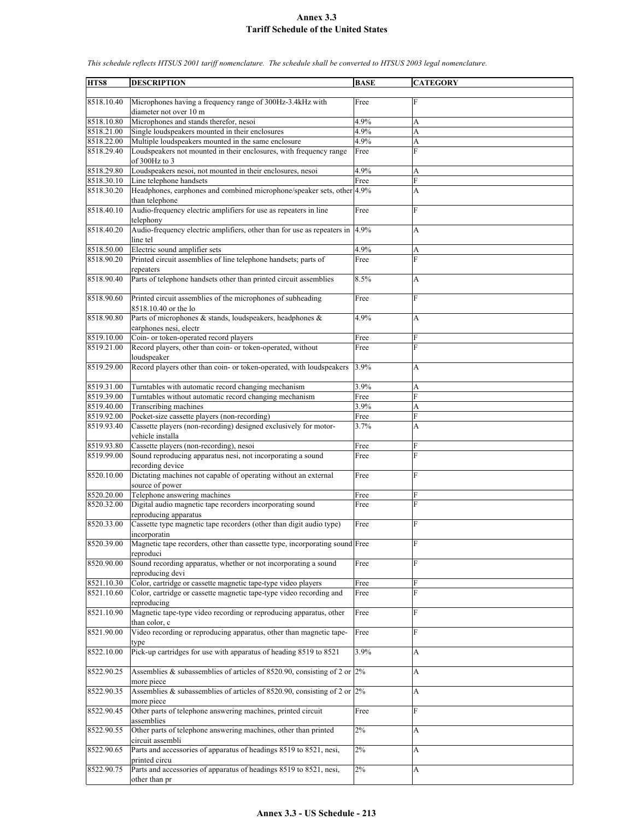| HTS8       | <b>DESCRIPTION</b>                                                                          | <b>BASE</b> | <b>CATEGORY</b> |
|------------|---------------------------------------------------------------------------------------------|-------------|-----------------|
|            |                                                                                             |             |                 |
| 8518.10.40 | Microphones having a frequency range of 300Hz-3.4kHz with<br>diameter not over 10 m         | Free        | F               |
| 8518.10.80 | Microphones and stands therefor, nesoi                                                      | 4.9%        | A               |
| 8518.21.00 | Single loudspeakers mounted in their enclosures                                             | 4.9%        | A               |
| 8518.22.00 | Multiple loudspeakers mounted in the same enclosure                                         | 4.9%        | A               |
| 8518.29.40 | Loudspeakers not mounted in their enclosures, with frequency range<br>of 300Hz to 3         | Free        | F               |
| 8518.29.80 | Loudspeakers nesoi, not mounted in their enclosures, nesoi                                  | 4.9%        | А               |
| 8518.30.10 | Line telephone handsets                                                                     | Free        | F               |
| 8518.30.20 | Headphones, earphones and combined microphone/speaker sets, other 4.9%<br>than telephone    |             | A               |
| 8518.40.10 | Audio-frequency electric amplifiers for use as repeaters in line<br>telephony               | Free        | F               |
| 8518.40.20 | Audio-frequency electric amplifiers, other than for use as repeaters in 4.9%<br>line tel    |             | A               |
| 8518.50.00 | Electric sound amplifier sets                                                               | 4.9%        | A               |
| 8518.90.20 | Printed circuit assemblies of line telephone handsets; parts of                             | Free        | F               |
|            | repeaters                                                                                   |             |                 |
| 8518.90.40 | Parts of telephone handsets other than printed circuit assemblies                           | 8.5%        | A               |
| 8518.90.60 | Printed circuit assemblies of the microphones of subheading<br>8518.10.40 or the lo         | Free        | F               |
| 8518.90.80 | Parts of microphones & stands, loudspeakers, headphones &                                   | 4.9%        | A               |
|            | earphones nesi, electr                                                                      |             |                 |
| 8519.10.00 | Coin- or token-operated record players                                                      | Free        | F               |
| 8519.21.00 | Record players, other than coin- or token-operated, without                                 | Free        | F               |
|            | loudspeaker                                                                                 |             |                 |
| 8519.29.00 | Record players other than coin- or token-operated, with loudspeakers                        | 3.9%        | A               |
| 8519.31.00 | Turntables with automatic record changing mechanism                                         | 3.9%        | A               |
| 8519.39.00 | Turntables without automatic record changing mechanism                                      | Free        | F               |
| 8519.40.00 | Transcribing machines                                                                       | 3.9%        | A               |
| 8519.92.00 | Pocket-size cassette players (non-recording)                                                | Free        | F               |
| 8519.93.40 | Cassette players (non-recording) designed exclusively for motor-<br>vehicle installa        | 3.7%        | A               |
| 8519.93.80 | Cassette players (non-recording), nesoi                                                     | Free        | F               |
| 8519.99.00 | Sound reproducing apparatus nesi, not incorporating a sound<br>recording device             | Free        | F               |
| 8520.10.00 | Dictating machines not capable of operating without an external<br>source of power          | Free        | F               |
| 8520.20.00 | Telephone answering machines                                                                | Free        | F               |
| 8520.32.00 | Digital audio magnetic tape recorders incorporating sound                                   | Free        | F               |
|            | reproducing apparatus                                                                       |             |                 |
| 8520.33.00 | Cassette type magnetic tape recorders (other than digit audio type)<br>incorporatin         | Free        | F               |
| 8520.39.00 | Magnetic tape recorders, other than cassette type, incorporating sound Free<br>reproduci    |             | F               |
| 8520.90.00 | Sound recording apparatus, whether or not incorporating a sound<br>reproducing devi         | Free        | F               |
| 8521.10.30 | Color, cartridge or cassette magnetic tape-type video players                               | Free        | F               |
| 8521.10.60 | Color, cartridge or cassette magnetic tape-type video recording and<br>reproducing          | Free        | F               |
| 8521.10.90 | Magnetic tape-type video recording or reproducing apparatus, other<br>than color, c         | Free        | F               |
| 8521.90.00 | Video recording or reproducing apparatus, other than magnetic tape-                         | Free        | F               |
| 8522.10.00 | type<br>Pick-up cartridges for use with apparatus of heading 8519 to 8521                   | 3.9%        | A               |
| 8522.90.25 | Assemblies & subassemblies of articles of 8520.90, consisting of 2 or $ 2\% $               |             | A               |
| 8522.90.35 | more piece<br>Assemblies & subassemblies of articles of 8520.90, consisting of 2 or $ 2\% $ |             | A               |
| 8522.90.45 | more piece<br>Other parts of telephone answering machines, printed circuit<br>assemblies    | Free        | F               |
| 8522.90.55 | Other parts of telephone answering machines, other than printed                             | 2%          | A               |
| 8522.90.65 | circuit assembli<br>Parts and accessories of apparatus of headings 8519 to 8521, nesi,      | $2\%$       | A               |
| 8522.90.75 | printed circu<br>Parts and accessories of apparatus of headings 8519 to 8521, nesi,         | $2\%$       | A               |
|            | other than pr                                                                               |             |                 |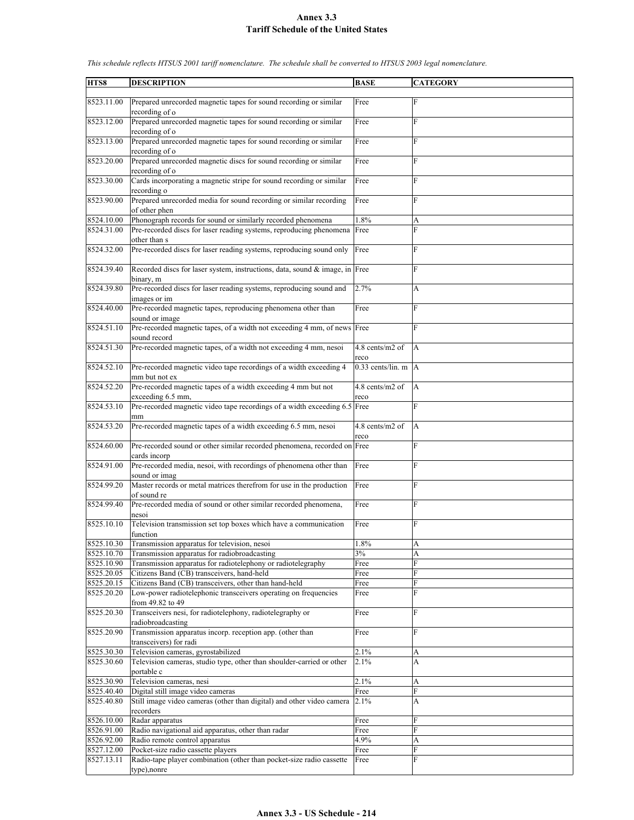| HTS8       | <b>DESCRIPTION</b>                                                                       | <b>BASE</b>             | <b>CATEGORY</b> |
|------------|------------------------------------------------------------------------------------------|-------------------------|-----------------|
|            |                                                                                          |                         |                 |
| 8523.11.00 | Prepared unrecorded magnetic tapes for sound recording or similar<br>recording of o      | Free                    | F               |
| 8523.12.00 | Prepared unrecorded magnetic tapes for sound recording or similar<br>recording of o      | Free                    | $\overline{F}$  |
| 8523.13.00 | Prepared unrecorded magnetic tapes for sound recording or similar<br>recording of o      | Free                    | F               |
| 8523.20.00 | Prepared unrecorded magnetic discs for sound recording or similar<br>recording of o      | Free                    | F               |
| 8523.30.00 | Cards incorporating a magnetic stripe for sound recording or similar<br>recording o      | Free                    | F               |
| 8523.90.00 | Prepared unrecorded media for sound recording or similar recording<br>of other phen      | Free                    | $\overline{F}$  |
| 8524.10.00 | Phonograph records for sound or similarly recorded phenomena                             | 1.8%                    | А               |
| 8524.31.00 | Pre-recorded discs for laser reading systems, reproducing phenomena                      | Free                    | F               |
| 8524.32.00 | other than s<br>Pre-recorded discs for laser reading systems, reproducing sound only     | Free                    | F               |
| 8524.39.40 | Recorded discs for laser system, instructions, data, sound & image, in Free              |                         | F               |
| 8524.39.80 | binary, m<br>Pre-recorded discs for laser reading systems, reproducing sound and         | 2.7%                    | A               |
|            | images or im                                                                             |                         |                 |
| 8524.40.00 | Pre-recorded magnetic tapes, reproducing phenomena other than<br>sound or image          | Free                    | $\overline{F}$  |
| 8524.51.10 | Pre-recorded magnetic tapes, of a width not exceeding 4 mm, of news Free<br>sound record |                         | $\mathbf{F}$    |
| 8524.51.30 | Pre-recorded magnetic tapes, of a width not exceeding 4 mm, nesoi                        | 4.8 cents/m2 of<br>reco | A               |
| 8524.52.10 | Pre-recorded magnetic video tape recordings of a width exceeding 4<br>mm but not ex      | $0.33$ cents/lin. m A   |                 |
| 8524.52.20 | Pre-recorded magnetic tapes of a width exceeding 4 mm but not                            | 4.8 cents/m2 of         | A               |
|            | exceeding 6.5 mm,                                                                        | reco                    |                 |
| 8524.53.10 | Pre-recorded magnetic video tape recordings of a width exceeding 6.5 Free<br>mm          |                         | F               |
| 8524.53.20 | Pre-recorded magnetic tapes of a width exceeding 6.5 mm, nesoi                           | 4.8 cents/m2 of         | A               |
| 8524.60.00 | Pre-recorded sound or other similar recorded phenomena, recorded on Free                 | reco                    | F               |
| 8524.91.00 | cards incorp<br>Pre-recorded media, nesoi, with recordings of phenomena other than       | Free                    | F               |
|            | sound or imag                                                                            |                         |                 |
| 8524.99.20 | Master records or metal matrices therefrom for use in the production<br>of sound re      | Free                    | F               |
| 8524.99.40 | Pre-recorded media of sound or other similar recorded phenomena,<br>nesoi                | Free                    | $\overline{F}$  |
| 8525.10.10 | Television transmission set top boxes which have a communication<br>function             | Free                    | F               |
| 8525.10.30 | Transmission apparatus for television, nesoi                                             | 1.8%                    | A               |
| 8525.10.70 | Transmission apparatus for radiobroadcasting                                             | 3%                      | A               |
| 8525.10.90 | Transmission apparatus for radiotelephony or radiotelegraphy                             | Free                    | F               |
| 8525.20.05 | Citizens Band (CB) transceivers, hand-held                                               | Free                    | $\mathbf F$     |
| 8525.20.15 | Citizens Band (CB) transceivers, other than hand-held                                    | Free                    | $\mathbf F$     |
| 8525.20.20 | Low-power radiotelephonic transceivers operating on frequencies<br>from 49.82 to 49      | Free                    | F               |
| 8525.20.30 | Transceivers nesi, for radiotelephony, radiotelegraphy or<br>radiobroadcasting           | Free                    | $\mathbf F$     |
| 8525.20.90 | Transmission apparatus incorp. reception app. (other than<br>transceivers) for radi      | Free                    | $\mathbf{F}$    |
| 8525.30.30 | Television cameras, gyrostabilized                                                       | 2.1%                    | А               |
| 8525.30.60 | Television cameras, studio type, other than shoulder-carried or other<br>portable c      | 2.1%                    | A               |
| 8525.30.90 | Television cameras, nesi                                                                 | 2.1%                    | А               |
| 8525.40.40 | Digital still image video cameras                                                        | Free                    | F               |
| 8525.40.80 | Still image video cameras (other than digital) and other video camera                    | 2.1%                    | А               |
|            | recorders                                                                                |                         |                 |
| 8526.10.00 | Radar apparatus                                                                          | Free                    | F               |
| 8526.91.00 | Radio navigational aid apparatus, other than radar                                       | Free                    | F               |
| 8526.92.00 | Radio remote control apparatus                                                           | 4.9%                    | A               |
| 8527.12.00 | Pocket-size radio cassette players                                                       | Free                    | F               |
| 8527.13.11 | Radio-tape player combination (other than pocket-size radio cassette                     | Free                    | F               |
|            | type), nonre                                                                             |                         |                 |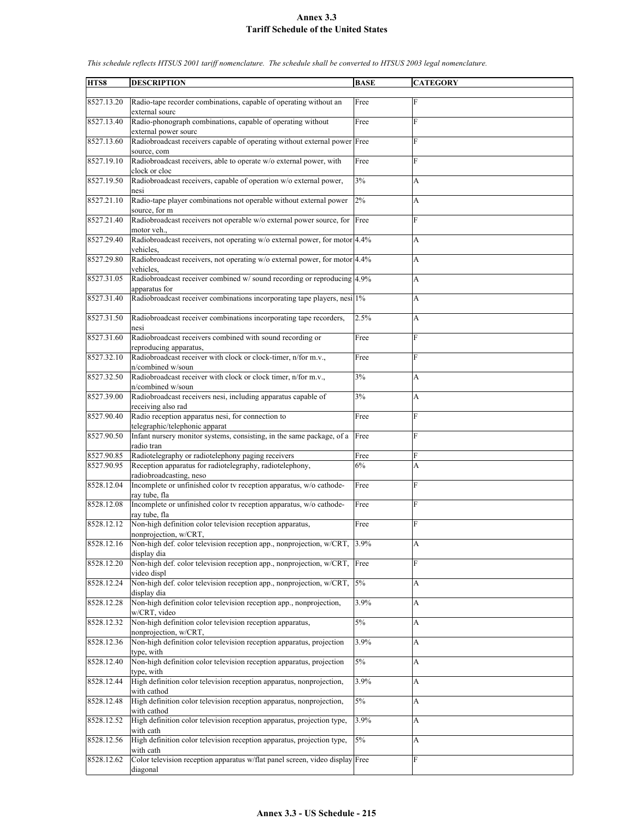| HTS8       | <b>DESCRIPTION</b>                                                                                | <b>BASE</b> | <b>CATEGORY</b> |
|------------|---------------------------------------------------------------------------------------------------|-------------|-----------------|
|            |                                                                                                   |             |                 |
| 8527.13.20 | Radio-tape recorder combinations, capable of operating without an<br>external sourc               | Free        | F               |
| 8527.13.40 | Radio-phonograph combinations, capable of operating without                                       | Free        | F               |
| 8527.13.60 | external power sourc<br>Radiobroadcast receivers capable of operating without external power Free |             | F               |
|            | source, com                                                                                       |             |                 |
| 8527.19.10 | Radiobroadcast receivers, able to operate w/o external power, with                                | Free        | F               |
|            | clock or cloc                                                                                     |             |                 |
| 8527.19.50 | Radiobroadcast receivers, capable of operation w/o external power,<br>nesi                        | 3%          | А               |
| 8527.21.10 | Radio-tape player combinations not operable without external power<br>source, for m               | 2%          | А               |
| 8527.21.40 | Radiobroadcast receivers not operable w/o external power source, for Free<br>motor veh            |             | F               |
| 8527.29.40 | Radiobroadcast receivers, not operating w/o external power, for motor 4.4%                        |             | А               |
|            | vehicles.                                                                                         |             |                 |
| 8527.29.80 | Radiobroadcast receivers, not operating w/o external power, for motor 4.4%                        |             | A               |
| 8527.31.05 | vehicles.<br>Radiobroadcast receiver combined w/ sound recording or reproducing 4.9%              |             |                 |
|            | apparatus for                                                                                     |             | A               |
| 8527.31.40 | Radiobroadcast receiver combinations incorporating tape players, nesi 1%                          |             | A               |
| 8527.31.50 | Radiobroadcast receiver combinations incorporating tape recorders,                                | 2.5%        | А               |
|            | nesi                                                                                              |             |                 |
| 8527.31.60 | Radiobroadcast receivers combined with sound recording or<br>reproducing apparatus,               | Free        | F               |
| 8527.32.10 | Radiobroadcast receiver with clock or clock-timer, n/for m.v.,                                    | Free        | F               |
|            | n/combined w/soun                                                                                 |             |                 |
| 8527.32.50 | Radiobroadcast receiver with clock or clock timer, n/for m.v.,<br>n/combined w/soun               | 3%          | А               |
| 8527.39.00 | Radiobroadcast receivers nesi, including apparatus capable of                                     | 3%          | A               |
|            | receiving also rad                                                                                |             |                 |
| 8527.90.40 | Radio reception apparatus nesi, for connection to                                                 | Free        | F               |
|            | telegraphic/telephonic apparat                                                                    |             |                 |
| 8527.90.50 | Infant nursery monitor systems, consisting, in the same package, of a<br>radio tran               | Free        | F               |
| 8527.90.85 | Radiotelegraphy or radiotelephony paging receivers                                                | Free        | F               |
| 8527.90.95 |                                                                                                   | 6%          |                 |
|            | Reception apparatus for radiotelegraphy, radiotelephony,                                          |             | A               |
| 8528.12.04 | radiobroadcasting, neso<br>Incomplete or unfinished color tv reception apparatus, w/o cathode-    | Free        | F               |
|            | ray tube, fla                                                                                     |             |                 |
| 8528.12.08 | Incomplete or unfinished color tv reception apparatus, w/o cathode-<br>ray tube, fla              | Free        | F               |
| 8528.12.12 | Non-high definition color television reception apparatus,                                         | Free        | F               |
|            | nonprojection, w/CRT,                                                                             |             |                 |
| 8528.12.16 | Non-high def. color television reception app., nonprojection, w/CRT,<br>display dia               | 3.9%        | A               |
| 8528.12.20 | Non-high def. color television reception app., nonprojection, w/CRT,                              | Free        | F               |
|            | video displ                                                                                       |             |                 |
| 8528.12.24 | Non-high def. color television reception app., nonprojection, w/CRT,<br>display dia               | 5%          | А               |
| 8528.12.28 | Non-high definition color television reception app., nonprojection,<br>w/CRT, video               | 3.9%        | A               |
| 8528.12.32 | Non-high definition color television reception apparatus,                                         | $5\%$       | А               |
|            | nonprojection, w/CRT,                                                                             |             |                 |
| 8528.12.36 | Non-high definition color television reception apparatus, projection<br>type, with                | 3.9%        | A               |
| 8528.12.40 | Non-high definition color television reception apparatus, projection<br>type, with                | $5\%$       | A               |
| 8528.12.44 | High definition color television reception apparatus, nonprojection,                              | 3.9%        | А               |
|            | with cathod                                                                                       |             |                 |
| 8528.12.48 | High definition color television reception apparatus, nonprojection,<br>with cathod               | $5\%$       | A               |
| 8528.12.52 | High definition color television reception apparatus, projection type,                            | 3.9%        | A               |
|            | with cath                                                                                         |             |                 |
| 8528.12.56 | High definition color television reception apparatus, projection type,                            | 5%          | A               |
|            | with cath                                                                                         |             |                 |
| 8528.12.62 | Color television reception apparatus w/flat panel screen, video display Free                      |             | F               |
|            | diagonal                                                                                          |             |                 |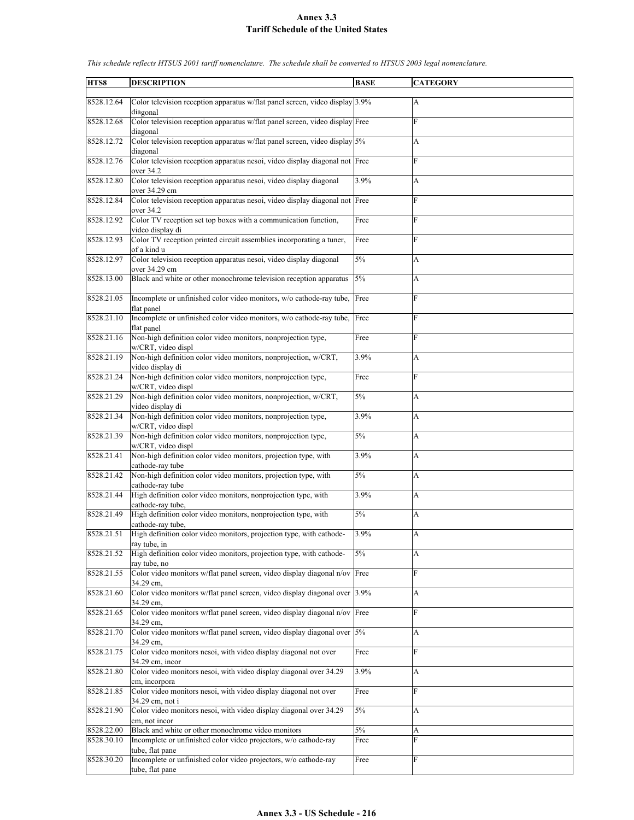| HTS8       | <b>DESCRIPTION</b>                                                                       | <b>BASE</b> | <b>CATEGORY</b> |
|------------|------------------------------------------------------------------------------------------|-------------|-----------------|
| 8528.12.64 | Color television reception apparatus w/flat panel screen, video display 3.9%<br>diagonal |             | А               |
| 8528.12.68 | Color television reception apparatus w/flat panel screen, video display Free<br>diagonal |             | F               |
| 8528.12.72 | Color television reception apparatus w/flat panel screen, video display 5%<br>diagonal   |             | A               |
| 8528.12.76 | Color television reception apparatus nesoi, video display diagonal not Free<br>over 34.2 |             | F               |
| 8528.12.80 | Color television reception apparatus nesoi, video display diagonal<br>over 34.29 cm      | 3.9%        | A               |
| 8528.12.84 | Color television reception apparatus nesoi, video display diagonal not Free<br>over 34.2 |             | F               |
| 8528.12.92 | Color TV reception set top boxes with a communication function,                          | Free        | F               |
| 8528.12.93 | video display di<br>Color TV reception printed circuit assemblies incorporating a tuner, | Free        | F               |
| 8528.12.97 | of a kind u<br>Color television reception apparatus nesoi, video display diagonal        | 5%          | A               |
| 8528.13.00 | over 34.29 cm<br>Black and white or other monochrome television reception apparatus      | 5%          | A               |
| 8528.21.05 | Incomplete or unfinished color video monitors, w/o cathode-ray tube,                     | Free        | F               |
| 8528.21.10 | flat panel<br>Incomplete or unfinished color video monitors, w/o cathode-ray tube,       | Free        | F               |
| 8528.21.16 | flat panel<br>Non-high definition color video monitors, nonprojection type,              | Free        | F               |
| 8528.21.19 | w/CRT, video displ<br>Non-high definition color video monitors, nonprojection, w/CRT,    | 3.9%        | A               |
| 8528.21.24 | video display di<br>Non-high definition color video monitors, nonprojection type,        | Free        | F               |
| 8528.21.29 | w/CRT, video displ<br>Non-high definition color video monitors, nonprojection, w/CRT,    | 5%          | A               |
| 8528.21.34 | video display di<br>Non-high definition color video monitors, nonprojection type,        | 3.9%        | A               |
| 8528.21.39 | w/CRT, video displ<br>Non-high definition color video monitors, nonprojection type,      | 5%          | A               |
|            | w/CRT, video displ                                                                       |             |                 |
| 8528.21.41 | Non-high definition color video monitors, projection type, with<br>cathode-ray tube      | 3.9%        | A               |
| 8528.21.42 | Non-high definition color video monitors, projection type, with<br>cathode-ray tube      | 5%          | A               |
| 8528.21.44 | High definition color video monitors, nonprojection type, with<br>cathode-ray tube,      | 3.9%        | A               |
| 8528.21.49 | High definition color video monitors, nonprojection type, with<br>cathode-ray tube,      | 5%          | A               |
| 8528.21.51 | High definition color video monitors, projection type, with cathode-<br>ray tube, in     | 3.9%        | A               |
| 8528.21.52 | High definition color video monitors, projection type, with cathode-<br>rav tube, no     | 5%          | A               |
| 8528.21.55 | Color video monitors w/flat panel screen, video display diagonal n/ov Free<br>34.29 cm,  |             | F               |
| 8528.21.60 | Color video monitors w/flat panel screen, video display diagonal over 3.9%<br>34.29 cm.  |             | A               |
| 8528.21.65 | Color video monitors w/flat panel screen, video display diagonal n/ov Free<br>34.29 cm,  |             | F               |
| 8528.21.70 | Color video monitors w/flat panel screen, video display diagonal over<br>34.29 cm.       | 5%          | A               |
| 8528.21.75 | Color video monitors nesoi, with video display diagonal not over<br>34.29 cm, incor      | Free        | F               |
| 8528.21.80 | Color video monitors nesoi, with video display diagonal over 34.29<br>cm, incorpora      | 3.9%        | A               |
| 8528.21.85 | Color video monitors nesoi, with video display diagonal not over<br>34.29 cm, not i      | Free        | F               |
| 8528.21.90 | Color video monitors nesoi, with video display diagonal over 34.29<br>cm, not incor      | $5\%$       | A               |
| 8528.22.00 | Black and white or other monochrome video monitors                                       | 5%          | А               |
| 8528.30.10 | Incomplete or unfinished color video projectors, w/o cathode-ray                         | Free        | F               |
|            | tube, flat pane                                                                          |             |                 |
| 8528.30.20 | Incomplete or unfinished color video projectors, w/o cathode-ray<br>tube, flat pane      | Free        | F               |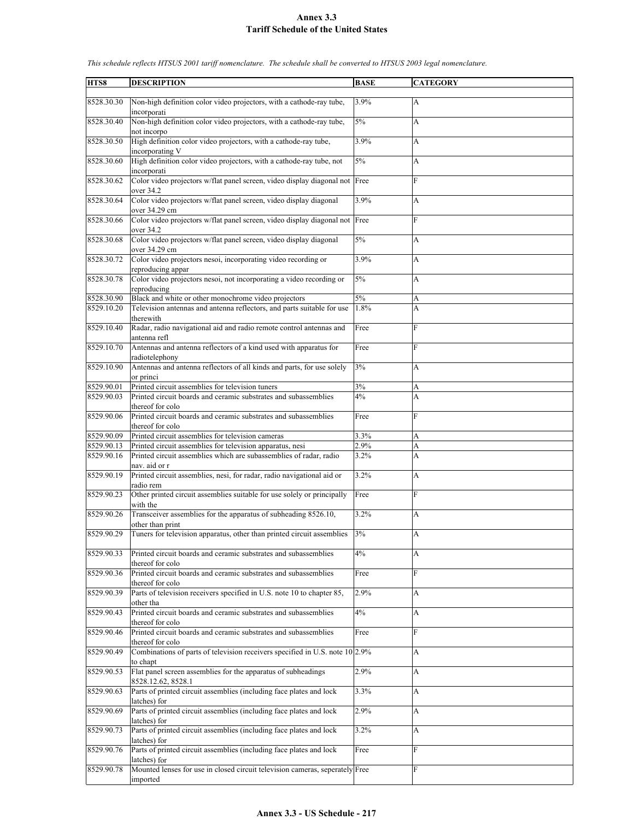| HTS8       |                                                                                                    |             |                 |
|------------|----------------------------------------------------------------------------------------------------|-------------|-----------------|
|            | <b>DESCRIPTION</b>                                                                                 | <b>BASE</b> | <b>CATEGORY</b> |
| 8528.30.30 | Non-high definition color video projectors, with a cathode-ray tube,                               | 3.9%        | A               |
| 8528.30.40 | incorporati<br>Non-high definition color video projectors, with a cathode-ray tube,<br>not incorpo | 5%          | A               |
| 8528.30.50 | High definition color video projectors, with a cathode-ray tube,<br>incorporating V                | 3.9%        | А               |
| 8528.30.60 | High definition color video projectors, with a cathode-ray tube, not<br>incorporati                | 5%          | A               |
| 8528.30.62 | Color video projectors w/flat panel screen, video display diagonal not Free<br>over 34.2           |             | F               |
| 8528.30.64 | Color video projectors w/flat panel screen, video display diagonal<br>over 34.29 cm                | 3.9%        | A               |
| 8528.30.66 | Color video projectors w/flat panel screen, video display diagonal not Free<br>over 34.2           |             | F               |
| 8528.30.68 | Color video projectors w/flat panel screen, video display diagonal<br>over 34.29 cm                | 5%          | A               |
| 8528.30.72 | Color video projectors nesoi, incorporating video recording or<br>reproducing appar                | 3.9%        | A               |
| 8528.30.78 | Color video projectors nesoi, not incorporating a video recording or<br>reproducing                | 5%          | A               |
| 8528.30.90 | Black and white or other monochrome video projectors                                               | 5%          | A               |
| 8529.10.20 | Television antennas and antenna reflectors, and parts suitable for use<br>therewith                | 1.8%        | A               |
| 8529.10.40 | Radar, radio navigational aid and radio remote control antennas and<br>antenna refl                | Free        | F               |
| 8529.10.70 | Antennas and antenna reflectors of a kind used with apparatus for<br>radiotelephony                | Free        | F               |
| 8529.10.90 | Antennas and antenna reflectors of all kinds and parts, for use solely<br>or princi                | 3%          | A               |
| 8529.90.01 | Printed circuit assemblies for television tuners                                                   | 3%          | A               |
| 8529.90.03 | Printed circuit boards and ceramic substrates and subassemblies                                    | 4%          | A               |
|            |                                                                                                    |             |                 |
| 8529.90.06 | thereof for colo<br>Printed circuit boards and ceramic substrates and subassemblies                | Free        | $\mathbf F$     |
|            | thereof for colo                                                                                   |             |                 |
| 8529.90.09 | Printed circuit assemblies for television cameras                                                  | 3.3%        | A               |
| 8529.90.13 | Printed circuit assemblies for television apparatus, nesi                                          | 2.9%        | A               |
| 8529.90.16 | Printed circuit assemblies which are subassemblies of radar, radio                                 | 3.2%        | A               |
| 8529.90.19 | nav. aid or r<br>Printed circuit assemblies, nesi, for radar, radio navigational aid or            | 3.2%        | A               |
| 8529.90.23 | radio rem<br>Other printed circuit assemblies suitable for use solely or principally               | Free        | $\mathbf F$     |
| 8529.90.26 | with the<br>Transceiver assemblies for the apparatus of subheading 8526.10,                        | 3.2%        | A               |
| 8529.90.29 | other than print<br>Tuners for television apparatus, other than printed circuit assemblies         | 3%          | A               |
| 8529.90.33 | Printed circuit boards and ceramic substrates and subassemblies                                    | 4%          | A               |
| 8529.90.36 | thereof for colo<br>Printed circuit boards and ceramic substrates and subassemblies                | Free        | F               |
| 8529.90.39 | thereof for colo<br>Parts of television receivers specified in U.S. note 10 to chapter 85,         | 2.9%        | A               |
| 8529.90.43 | other tha<br>Printed circuit boards and ceramic substrates and subassemblies                       | 4%          | A               |
| 8529.90.46 | thereof for colo<br>Printed circuit boards and ceramic substrates and subassemblies                | Free        | F               |
| 8529.90.49 | thereof for colo<br>Combinations of parts of television receivers specified in U.S. note 10 2.9%   |             | A               |
| 8529.90.53 | to chapt<br>Flat panel screen assemblies for the apparatus of subheadings                          | 2.9%        | A               |
| 8529.90.63 | 8528.12.62, 8528.1<br>Parts of printed circuit assemblies (including face plates and lock          | 3.3%        | A               |
| 8529.90.69 | latches) for<br>Parts of printed circuit assemblies (including face plates and lock                | 2.9%        | A               |
| 8529.90.73 | latches) for<br>Parts of printed circuit assemblies (including face plates and lock                | 3.2%        | A               |
| 8529.90.76 | latches) for<br>Parts of printed circuit assemblies (including face plates and lock                | Free        | F               |
| 8529.90.78 | latches) for<br>Mounted lenses for use in closed circuit television cameras, seperately Free       |             | F               |
|            | imported                                                                                           |             |                 |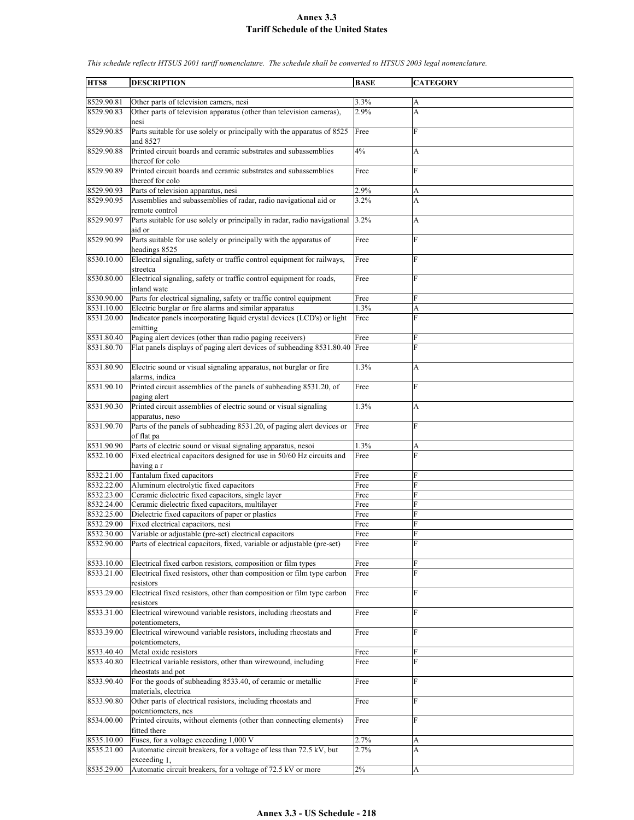**HTS8 DESCRIPTION BASE CATEGORY** 8529.90.81 Other parts of television camers, nesi 3.3% 8529.90.83 Other parts of television apparatus (other than television cameras), nesi 2.9% A 8529.90.85 Parts suitable for use solely or principally with the apparatus of 8525 and 8527 Free F 8529.90.88 Printed circuit boards and ceramic substrates and subassemblies thereof for colo 4% A 8529.90.89 Printed circuit boards and ceramic substrates and subassemblies thereof for colo Free F 8529.90.93 Parts of television apparatus, nesi 2.9% A 8529.90.95 Assemblies and subassemblies of radar, radio navigational aid or remote control  $3.2\%$  A 8529.90.97 Parts suitable for use solely or principally in radar, radio navigational aid or 3.2% A 8529.90.99 Parts suitable for use solely or principally with the apparatus of headings 8525 Free F 8530.10.00 Electrical signaling, safety or traffic control equipment for railways, streetca **Free** 8530.80.00 Electrical signaling, safety or traffic control equipment for roads, inland wate Free F 8530.90.00 Parts for electrical signaling, safety or traffic control equipment Free 8531.10.00 Electric burglar or fire alarms and similar apparatus 1.3% A<br>8531.20.00 Indicator panels incorporating liquid crystal devices (LCD's) or light Free F Indicator panels incorporating liquid crystal devices (LCD's) or light emitting Free F 8531.80.40 Paging alert devices (other than radio paging receivers) Free 8531.80.70 Flat panels displays of paging alert devices of subheading 8531.80.40 Free 8531.80.90 Electric sound or visual signaling apparatus, not burglar or fire alarms, indica 1.3% A 8531.90.10 Printed circuit assemblies of the panels of subheading 8531.20, of paging alert Free Free 8531.90.30 Printed circuit assemblies of electric sound or visual signaling apparatus, neso 1.3% A 8531.90.70 Parts of the panels of subheading 8531.20, of paging alert devices or of flat pa Free F 8531.90.90 Parts of electric sound or visual signaling apparatus, nesoi 1.3% A 8532.10.00 Fixed electrical capacitors designed for use in 50/60 Hz circuits and having a r Free F 8532.21.00 Tantalum fixed capacitors Free 8532.22.00 Aluminum electrolytic fixed capacitors Free 8532.23.00 Ceramic dielectric fixed capacitors, single layer Free 8532.24.00 Ceramic dielectric fixed capacitors, multilayer Free 8532.25.00 Dielectric fixed capacitors of paper or plastics Free 8532.29.00 Fixed electrical capacitors, nesi Free 8532.30.00 Variable or adjustable (pre-set) electrical capacitors Free Free 8532.90.00 Parts of electrical capacitors, fixed, variable or adjustable (pre-set) Free F 8533.10.00 Electrical fixed carbon resistors, composition or film types Free 8533.21.00 Electrical fixed resistors, other than composition or film type carbon resistors Free F 8533.29.00 Electrical fixed resistors, other than composition or film type carbon resistors Free F 8533.31.00 Electrical wirewound variable resistors, including rheostats and potentiometers Free F 8533.39.00 Electrical wirewound variable resistors, including rheostats and potentiometers, Free F 8533.40.40 Metal oxide resistors Free 8533.40.80 Electrical variable resistors, other than wirewound, including rheostats and pot Free 8533.90.40 For the goods of subheading 8533.40, of ceramic or metallic materials, electrica Free F 8533.90.80 Other parts of electrical resistors, including rheostats and potentiometers, nes Free F 8534.00.00 Printed circuits, without elements (other than connecting elements) fitted there **Free** 8535.10.00 Fuses, for a voltage exceeding 1,000 V  $2.7\%$  A 8535.21.00 Automatic circuit breakers, for a voltage of less than 72.5 kV, but exceeding 1 2.7% A 8535.29.00 Automatic circuit breakers, for a voltage of 72.5 kV or more 2%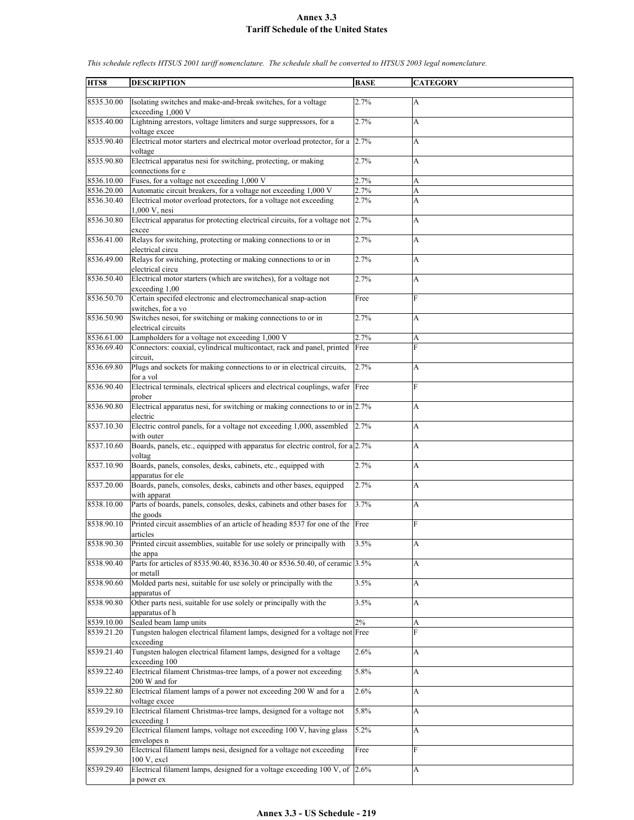| HTS8       | <b>DESCRIPTION</b>                                                                           | <b>BASE</b> | <b>CATEGORY</b>           |
|------------|----------------------------------------------------------------------------------------------|-------------|---------------------------|
|            |                                                                                              |             |                           |
| 8535.30.00 | Isolating switches and make-and-break switches, for a voltage<br>exceeding 1,000 V           | 2.7%        | $\mathbf{A}$              |
| 8535.40.00 | Lightning arrestors, voltage limiters and surge suppressors, for a<br>voltage excee          | 2.7%        | A                         |
| 8535.90.40 | Electrical motor starters and electrical motor overload protector, for a<br>voltage          | 2.7%        | A                         |
| 8535.90.80 | Electrical apparatus nesi for switching, protecting, or making<br>connections for e          | 2.7%        | A                         |
| 8536.10.00 | Fuses, for a voltage not exceeding 1,000 V                                                   | 2.7%        | A                         |
| 8536.20.00 | Automatic circuit breakers, for a voltage not exceeding 1,000 V                              | 2.7%        | A                         |
| 8536.30.40 | Electrical motor overload protectors, for a voltage not exceeding<br>1,000 V, nesi           | 2.7%        | A                         |
| 8536.30.80 | Electrical apparatus for protecting electrical circuits, for a voltage not 2.7%<br>excee     |             | A                         |
| 8536.41.00 | Relays for switching, protecting or making connections to or in<br>electrical circu          | 2.7%        | A                         |
| 8536.49.00 | Relays for switching, protecting or making connections to or in<br>electrical circu          | 2.7%        | A                         |
| 8536.50.40 | Electrical motor starters (which are switches), for a voltage not<br>exceeding 1,00          | 2.7%        | A                         |
| 8536.50.70 | Certain specifed electronic and electromechanical snap-action<br>switches, for a vo          | Free        | F                         |
| 8536.50.90 | Switches nesoi, for switching or making connections to or in<br>electrical circuits          | 2.7%        | A                         |
| 8536.61.00 | Lampholders for a voltage not exceeding 1,000 V                                              | 2.7%        | A                         |
| 8536.69.40 | Connectors: coaxial, cylindrical multicontact, rack and panel, printed                       | Free        | $\overline{F}$            |
|            | circuit.                                                                                     |             |                           |
| 8536.69.80 | Plugs and sockets for making connections to or in electrical circuits,<br>for a vol          | 2.7%        | A                         |
| 8536.90.40 | Electrical terminals, electrical splicers and electrical couplings, wafer Free<br>prober     |             | F                         |
| 8536.90.80 | Electrical apparatus nesi, for switching or making connections to or in $2.7\%$<br>electric  |             | A                         |
| 8537.10.30 | Electric control panels, for a voltage not exceeding 1,000, assembled<br>with outer          | 2.7%        | A                         |
| 8537.10.60 | Boards, panels, etc., equipped with apparatus for electric control, for a 2.7%<br>voltag     |             | A                         |
| 8537.10.90 | Boards, panels, consoles, desks, cabinets, etc., equipped with                               | 2.7%        | A                         |
| 8537.20.00 | apparatus for ele<br>Boards, panels, consoles, desks, cabinets and other bases, equipped     | 2.7%        | A                         |
|            | with apparat                                                                                 |             |                           |
| 8538.10.00 | Parts of boards, panels, consoles, desks, cabinets and other bases for<br>the goods          | 3.7%        | A                         |
| 8538.90.10 | Printed circuit assemblies of an article of heading 8537 for one of the Free<br>articles     |             | F                         |
| 8538.90.30 | Printed circuit assemblies, suitable for use solely or principally with<br>the appa          | 3.5%        | A                         |
| 8538.90.40 | Parts for articles of 8535.90.40, 8536.30.40 or 8536.50.40, of ceramic 3.5%<br>or metall     |             | A                         |
| 8538.90.60 | Molded parts nesi, suitable for use solely or principally with the<br>apparatus of           | 3.5%        | A                         |
| 8538.90.80 | Other parts nesi, suitable for use solely or principally with the<br>apparatus of h          | 3.5%        | $\boldsymbol{\mathsf{A}}$ |
| 8539.10.00 | Sealed beam lamp units                                                                       | $2\%$       | A                         |
| 8539.21.20 | Tungsten halogen electrical filament lamps, designed for a voltage not Free<br>exceeding     |             | $\overline{F}$            |
| 8539.21.40 | Tungsten halogen electrical filament lamps, designed for a voltage<br>exceeding 100          | 2.6%        | A                         |
| 8539.22.40 | Electrical filament Christmas-tree lamps, of a power not exceeding<br>200 W and for          | 5.8%        | $\boldsymbol{\mathsf{A}}$ |
| 8539.22.80 | Electrical filament lamps of a power not exceeding 200 W and for a<br>voltage excee          | 2.6%        | A                         |
| 8539.29.10 | Electrical filament Christmas-tree lamps, designed for a voltage not<br>exceeding 1          | 5.8%        | A                         |
| 8539.29.20 | Electrical filament lamps, voltage not exceeding 100 V, having glass                         | 5.2%        | A                         |
| 8539.29.30 | envelopes n<br>Electrical filament lamps nesi, designed for a voltage not exceeding          | Free        | F                         |
| 8539.29.40 | $100 V$ , excl<br>Electrical filament lamps, designed for a voltage exceeding 100 V, of 2.6% |             | A                         |
|            | a power ex                                                                                   |             |                           |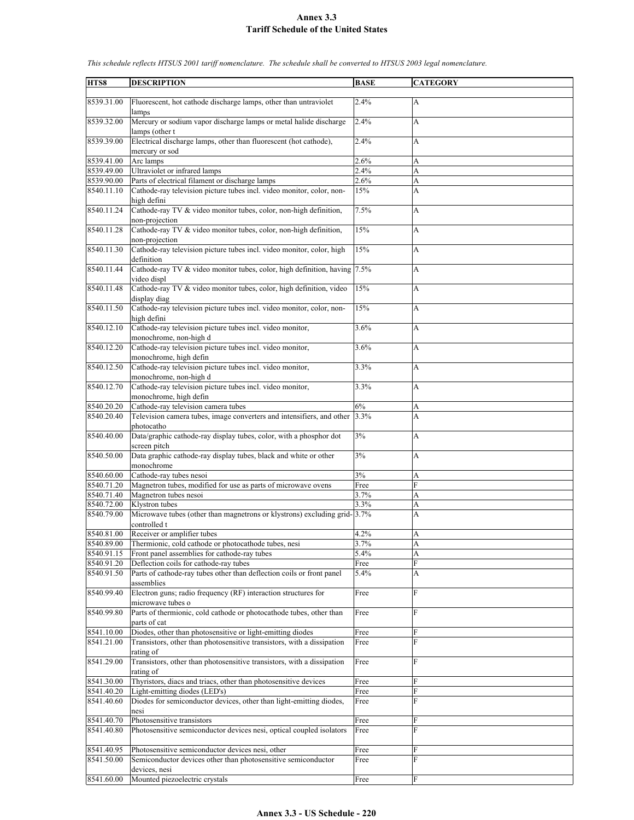| HTS8                     | <b>DESCRIPTION</b>                                                                                    | <b>BASE</b>  | <b>CATEGORY</b> |
|--------------------------|-------------------------------------------------------------------------------------------------------|--------------|-----------------|
| 8539.31.00               | Fluorescent, hot cathode discharge lamps, other than untraviolet<br>lamps                             | 2.4%         | А               |
| 8539.32.00               | Mercury or sodium vapor discharge lamps or metal halide discharge                                     | 2.4%         | А               |
| 8539.39.00               | lamps (other t<br>Electrical discharge lamps, other than fluorescent (hot cathode),<br>mercury or sod | 2.4%         | A               |
| 8539.41.00               | Arc lamps                                                                                             | 2.6%         | A               |
| 8539.49.00               | Ultraviolet or infrared lamps                                                                         | 2.4%         | A               |
| 8539.90.00               | Parts of electrical filament or discharge lamps                                                       | 2.6%         | A               |
| 8540.11.10               | Cathode-ray television picture tubes incl. video monitor, color, non-<br>high defini                  | 15%          | A               |
| 8540.11.24               | Cathode-ray TV & video monitor tubes, color, non-high definition,<br>non-projection                   | 7.5%         | A               |
| 8540.11.28               | Cathode-ray TV & video monitor tubes, color, non-high definition,<br>non-projection                   | 15%          | A               |
| 8540.11.30               | Cathode-ray television picture tubes incl. video monitor, color, high<br>definition                   | 15%          | A               |
| 8540.11.44               | Cathode-ray TV & video monitor tubes, color, high definition, having 7.5%<br>video displ              |              | A               |
| 8540.11.48               | Cathode-ray TV & video monitor tubes, color, high definition, video<br>display diag                   | 15%          | A               |
| 8540.11.50               | Cathode-ray television picture tubes incl. video monitor, color, non-<br>high defini                  | 15%          | A               |
| 8540.12.10               | Cathode-ray television picture tubes incl. video monitor,<br>monochrome, non-high d                   | 3.6%         | A               |
| 8540.12.20               | Cathode-ray television picture tubes incl. video monitor,<br>monochrome, high defin                   | 3.6%         | A               |
| 8540.12.50               | Cathode-ray television picture tubes incl. video monitor,<br>monochrome, non-high d                   | 3.3%         | A               |
| 8540.12.70               | Cathode-ray television picture tubes incl. video monitor,<br>monochrome, high defin                   | 3.3%         | А               |
| 8540.20.20               | Cathode-ray television camera tubes                                                                   | 6%           | A               |
| 8540.20.40               | Television camera tubes, image converters and intensifiers, and other<br>photocatho                   | 3.3%         | A               |
| 8540.40.00               | Data/graphic cathode-ray display tubes, color, with a phosphor dot<br>screen pitch                    | 3%           | А               |
| 8540.50.00               | Data graphic cathode-ray display tubes, black and white or other<br>monochrome                        | 3%           | A               |
| 8540.60.00               | Cathode-ray tubes nesoi                                                                               | 3%           | A               |
| 8540.71.20               | Magnetron tubes, modified for use as parts of microwave ovens                                         | Free         | F               |
| 8540.71.40               | Magnetron tubes nesoi                                                                                 | 3.7%         | A               |
| 8540.72.00               | Klystron tubes                                                                                        | 3.3%         | A               |
| 8540.79.00               | Microwave tubes (other than magnetrons or klystrons) excluding grid-3.7%<br>controlled t              |              | A               |
| 8540.81.00               | Receiver or amplifier tubes                                                                           | 4.2%         | Ą               |
| 8540.89.00               | Thermionic, cold cathode or photocathode tubes, nesi                                                  | 3.7%         | A               |
| 8540.91.15               | Front panel assemblies for cathode-ray tubes                                                          | 5.4%         | A               |
| 8540.91.20               | Deflection coils for cathode-ray tubes                                                                | Free         | F               |
| 8540.91.50               | Parts of cathode-ray tubes other than deflection coils or front panel<br>assemblies                   | 5.4%         | А               |
| 8540.99.40               | Electron guns; radio frequency (RF) interaction structures for<br>microwave tubes o                   | Free         | F               |
| 8540.99.80               | Parts of thermionic, cold cathode or photocathode tubes, other than<br>parts of cat                   | Free         | F               |
| 8541.10.00               | Diodes, other than photosensitive or light-emitting diodes                                            | Free         | F               |
| 8541.21.00               | Transistors, other than photosensitive transistors, with a dissipation<br>rating of                   | Free         | F               |
| 8541.29.00               | Transistors, other than photosensitive transistors, with a dissipation<br>rating of                   | Free         | F               |
| 8541.30.00               | Thyristors, diacs and triacs, other than photosensitive devices                                       | Free         | F               |
| 8541.40.20<br>8541.40.60 | Light-emitting diodes (LED's)<br>Diodes for semiconductor devices, other than light-emitting diodes,  | Free<br>Free | F<br>F          |
|                          | nesi                                                                                                  |              |                 |
| 8541.40.70               | Photosensitive transistors                                                                            | Free         | F               |
| 8541.40.80               | Photosensitive semiconductor devices nesi, optical coupled isolators                                  | Free         | F               |
| 8541.40.95               | Photosensitive semiconductor devices nesi, other                                                      | Free         | F               |
| 8541.50.00               | Semiconductor devices other than photosensitive semiconductor<br>devices, nesi                        | Free         | F               |
| 8541.60.00               | Mounted piezoelectric crystals                                                                        | Free         | F               |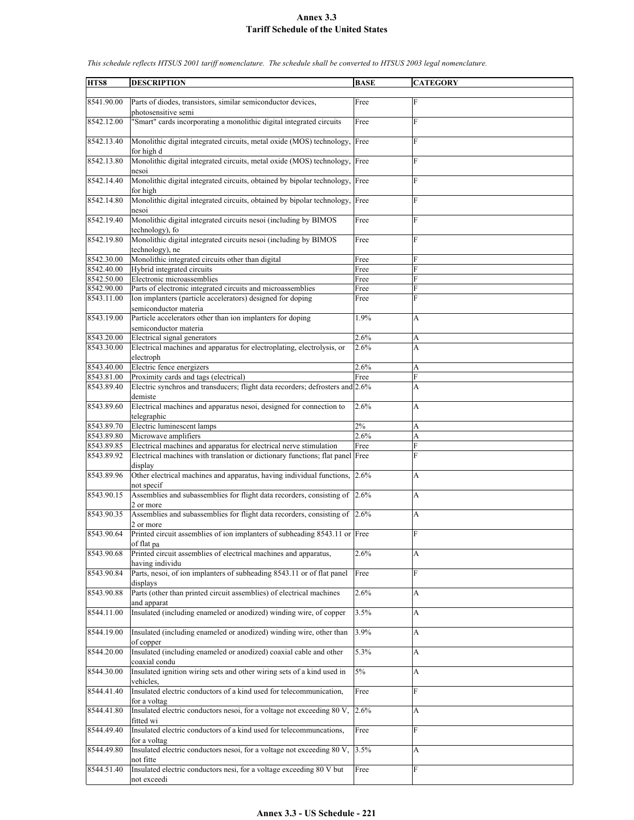| HTS8       | <b>DESCRIPTION</b>                                                            | <b>BASE</b> | <b>CATEGORY</b>           |
|------------|-------------------------------------------------------------------------------|-------------|---------------------------|
|            |                                                                               |             |                           |
| 8541.90.00 | Parts of diodes, transistors, similar semiconductor devices,                  | Free        | $\mathbf F$               |
|            |                                                                               |             |                           |
|            | photosensitive semi                                                           |             |                           |
| 8542.12.00 | "Smart" cards incorporating a monolithic digital integrated circuits          | Free        | F                         |
|            |                                                                               |             |                           |
| 8542.13.40 | Monolithic digital integrated circuits, metal oxide (MOS) technology, Free    |             | F                         |
|            |                                                                               |             |                           |
|            | for high d                                                                    |             |                           |
| 8542.13.80 | Monolithic digital integrated circuits, metal oxide (MOS) technology, Free    |             | F                         |
|            | nesoi                                                                         |             |                           |
| 8542.14.40 | Monolithic digital integrated circuits, obtained by bipolar technology,       | Free        | F                         |
|            |                                                                               |             |                           |
|            | for high                                                                      |             |                           |
| 8542.14.80 | Monolithic digital integrated circuits, obtained by bipolar technology, Free  |             | F                         |
|            | nesoi                                                                         |             |                           |
| 8542.19.40 | Monolithic digital integrated circuits nesoi (including by BIMOS              | Free        | F                         |
|            | technology), fo                                                               |             |                           |
|            |                                                                               |             |                           |
| 8542.19.80 | Monolithic digital integrated circuits nesoi (including by BIMOS              | Free        | F                         |
|            | technology), ne                                                               |             |                           |
| 8542.30.00 | Monolithic integrated circuits other than digital                             | Free        | F                         |
| 8542.40.00 | Hybrid integrated circuits                                                    | Free        | F                         |
| 8542.50.00 | Electronic microassemblies                                                    |             | F                         |
|            |                                                                               | Free        |                           |
| 8542.90.00 | Parts of electronic integrated circuits and microassemblies                   | Free        | F                         |
| 8543.11.00 | Ion implanters (particle accelerators) designed for doping                    | Free        | F                         |
|            | semiconductor materia                                                         |             |                           |
| 8543.19.00 | Particle accelerators other than ion implanters for doping                    | 1.9%        | A                         |
|            |                                                                               |             |                           |
|            | semiconductor materia                                                         |             |                           |
| 8543.20.00 | Electrical signal generators                                                  | 2.6%        | A                         |
| 8543.30.00 | Electrical machines and apparatus for electroplating, electrolysis, or        | 2.6%        | A                         |
|            | electroph                                                                     |             |                           |
|            |                                                                               |             |                           |
| 8543.40.00 | Electric fence energizers                                                     | 2.6%        | A                         |
| 8543.81.00 | Proximity cards and tags (electrical)                                         | Free        | F                         |
| 8543.89.40 | Electric synchros and transducers; flight data recorders; defrosters and 2.6% |             | A                         |
|            | demiste                                                                       |             |                           |
| 8543.89.60 | Electrical machines and apparatus nesoi, designed for connection to           | 2.6%        | A                         |
|            |                                                                               |             |                           |
|            | telegraphic                                                                   |             |                           |
| 8543.89.70 | Electric luminescent lamps                                                    | 2%          | А                         |
| 8543.89.80 | Microwave amplifiers                                                          | 2.6%        | A                         |
| 8543.89.85 | Electrical machines and apparatus for electrical nerve stimulation            | Free        | F                         |
|            |                                                                               |             | F                         |
| 8543.89.92 | Electrical machines with translation or dictionary functions; flat panel Free |             |                           |
|            | display                                                                       |             |                           |
| 8543.89.96 | Other electrical machines and apparatus, having individual functions, 2.6%    |             | A                         |
|            | not specif                                                                    |             |                           |
| 8543.90.15 | Assemblies and subassemblies for flight data recorders, consisting of 2.6%    |             | A                         |
|            |                                                                               |             |                           |
|            | 2 or more                                                                     |             |                           |
| 8543.90.35 | Assemblies and subassemblies for flight data recorders, consisting of 2.6%    |             | A                         |
|            | 2 or more                                                                     |             |                           |
| 8543.90.64 | Printed circuit assemblies of ion implanters of subheading 8543.11 or Free    |             | F                         |
|            | of flat pa                                                                    |             |                           |
|            |                                                                               |             |                           |
| 8543.90.68 | Printed circuit assemblies of electrical machines and apparatus,              | 2.6%        | A                         |
|            | having individu                                                               |             |                           |
| 8543.90.84 | Parts, nesoi, of ion implanters of subheading 8543.11 or of flat panel        | Free        | F                         |
|            | displays                                                                      |             |                           |
|            | Parts (other than printed circuit assemblies) of electrical machines          |             |                           |
| 8543.90.88 |                                                                               | 2.6%        | А                         |
|            | and apparat                                                                   |             |                           |
| 8544.11.00 | Insulated (including enameled or anodized) winding wire, of copper            | 3.5%        | A                         |
|            |                                                                               |             |                           |
| 8544.19.00 | Insulated (including enameled or anodized) winding wire, other than           | 3.9%        | A                         |
|            |                                                                               |             |                           |
|            | of copper                                                                     |             |                           |
| 8544.20.00 | Insulated (including enameled or anodized) coaxial cable and other            | 5.3%        | A                         |
|            | coaxial condu                                                                 |             |                           |
| 8544.30.00 | Insulated ignition wiring sets and other wiring sets of a kind used in        | $5\%$       | $\boldsymbol{\mathsf{A}}$ |
|            |                                                                               |             |                           |
|            | vehicles,                                                                     |             |                           |
| 8544.41.40 | Insulated electric conductors of a kind used for telecommunication,           | Free        | $\mathbf{F}$              |
|            | for a voltag                                                                  |             |                           |
| 8544.41.80 | Insulated electric conductors nesoi, for a voltage not exceeding 80 V,        | 2.6%        | А                         |
|            | fitted wi                                                                     |             |                           |
|            |                                                                               |             |                           |
| 8544.49.40 | Insulated electric conductors of a kind used for telecommuncations,           | Free        | F                         |
|            | for a voltag                                                                  |             |                           |
| 8544.49.80 | Insulated electric conductors nesoi, for a voltage not exceeding 80 V,        | 3.5%        | A                         |
|            | not fitte                                                                     |             |                           |
| 8544.51.40 | Insulated electric conductors nesi, for a voltage exceeding 80 V but          | Free        | F                         |
|            |                                                                               |             |                           |
|            | not exceedi                                                                   |             |                           |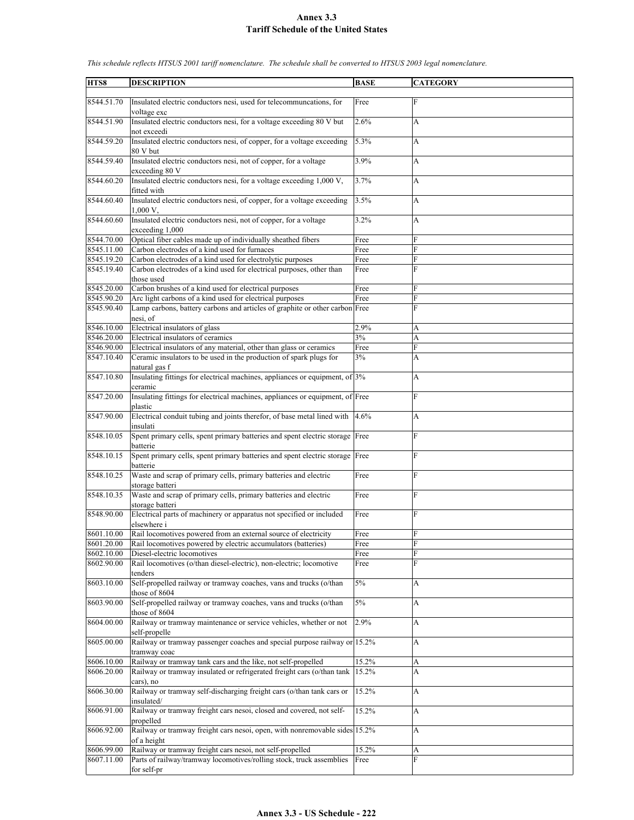| HTS8       | <b>DESCRIPTION</b>                                                            | <b>BASE</b> | <b>CATEGORY</b> |
|------------|-------------------------------------------------------------------------------|-------------|-----------------|
|            |                                                                               |             |                 |
| 8544.51.70 | Insulated electric conductors nesi, used for telecommuncations, for           | Free        | F               |
|            | voltage exc                                                                   |             |                 |
|            |                                                                               | 2.6%        |                 |
| 8544.51.90 | Insulated electric conductors nesi, for a voltage exceeding 80 V but          |             | А               |
|            | not exceedi                                                                   |             |                 |
| 8544.59.20 | Insulated electric conductors nesi, of copper, for a voltage exceeding        | 5.3%        | A               |
|            | 80 V but                                                                      |             |                 |
| 8544.59.40 | Insulated electric conductors nesi, not of copper, for a voltage              | 3.9%        |                 |
|            |                                                                               |             | А               |
|            | exceeding 80 V                                                                |             |                 |
| 8544.60.20 | Insulated electric conductors nesi, for a voltage exceeding 1,000 V,          | 3.7%        | A               |
|            | fitted with                                                                   |             |                 |
| 8544.60.40 | Insulated electric conductors nesi, of copper, for a voltage exceeding        | 3.5%        | А               |
|            |                                                                               |             |                 |
|            | 1,000 V,                                                                      |             |                 |
| 8544.60.60 | Insulated electric conductors nesi, not of copper, for a voltage              | 3.2%        | A               |
|            | exceeding 1,000                                                               |             |                 |
| 8544.70.00 | Optical fiber cables made up of individually sheathed fibers                  | Free        | F               |
|            |                                                                               |             | F               |
| 8545.11.00 | Carbon electrodes of a kind used for furnaces                                 | Free        |                 |
| 8545.19.20 | Carbon electrodes of a kind used for electrolytic purposes                    | Free        | F               |
| 8545.19.40 | Carbon electrodes of a kind used for electrical purposes, other than          | Free        | F               |
|            | those used                                                                    |             |                 |
| 8545.20.00 | Carbon brushes of a kind used for electrical purposes                         | Free        | F               |
|            |                                                                               |             |                 |
| 8545.90.20 | Arc light carbons of a kind used for electrical purposes                      | Free        | F               |
| 8545.90.40 | Lamp carbons, battery carbons and articles of graphite or other carbon Free   |             | F               |
|            | nesi, of                                                                      |             |                 |
| 8546.10.00 | Electrical insulators of glass                                                | 2.9%        | A               |
|            |                                                                               |             |                 |
| 8546.20.00 | Electrical insulators of ceramics                                             | 3%          | A               |
| 8546.90.00 | Electrical insulators of any material, other than glass or ceramics           | Free        | F               |
| 8547.10.40 | Ceramic insulators to be used in the production of spark plugs for            | 3%          | А               |
|            | natural gas f                                                                 |             |                 |
|            |                                                                               |             |                 |
| 8547.10.80 | Insulating fittings for electrical machines, appliances or equipment, of 3%   |             | А               |
|            | ceramic                                                                       |             |                 |
| 8547.20.00 | Insulating fittings for electrical machines, appliances or equipment, of Free |             | F               |
|            | plastic                                                                       |             |                 |
| 8547.90.00 | Electrical conduit tubing and joints therefor, of base metal lined with       | 4.6%        | А               |
|            |                                                                               |             |                 |
|            | insulati                                                                      |             |                 |
| 8548.10.05 | Spent primary cells, spent primary batteries and spent electric storage Free  |             | F               |
|            | batterie                                                                      |             |                 |
| 8548.10.15 | Spent primary cells, spent primary batteries and spent electric storage Free  |             | F               |
|            |                                                                               |             |                 |
|            | batterie                                                                      |             |                 |
| 8548.10.25 | Waste and scrap of primary cells, primary batteries and electric              | Free        | F               |
|            | storage batteri                                                               |             |                 |
| 8548.10.35 | Waste and scrap of primary cells, primary batteries and electric              | Free        | F               |
|            | storage batteri                                                               |             |                 |
|            |                                                                               |             | F               |
| 8548.90.00 | Electrical parts of machinery or apparatus not specified or included          | Free        |                 |
|            | elsewhere i                                                                   |             |                 |
| 8601.10.00 | Rail locomotives powered from an external source of electricity               | Free        | F               |
| 8601.20.00 | Rail locomotives powered by electric accumulators (batteries)                 | Free        | F               |
| 8602.10.00 | Diesel-electric locomotives                                                   | Free        | F               |
|            |                                                                               |             |                 |
| 8602.90.00 | Rail locomotives (o/than diesel-electric), non-electric; locomotive           | Free        | F               |
|            | tenders                                                                       |             |                 |
| 8603.10.00 | Self-propelled railway or tramway coaches, vans and trucks (o/than            | 5%          | А               |
|            | those of 8604                                                                 |             |                 |
| 8603.90.00 | Self-propelled railway or tramway coaches, vans and trucks (o/than            | $5\%$       | A               |
|            |                                                                               |             |                 |
|            | those of 8604                                                                 |             |                 |
| 8604.00.00 | Railway or tramway maintenance or service vehicles, whether or not            | 2.9%        | A               |
|            | self-propelle                                                                 |             |                 |
| 8605.00.00 | Railway or tramway passenger coaches and special purpose railway or 15.2%     |             | A               |
|            |                                                                               |             |                 |
|            | tramway coac                                                                  |             |                 |
| 8606.10.00 | Railway or tramway tank cars and the like, not self-propelled                 | 15.2%       | A               |
| 8606.20.00 | Railway or tramway insulated or refrigerated freight cars (o/than tank        | 15.2%       | A               |
|            | cars), no                                                                     |             |                 |
| 8606.30.00 | Railway or tramway self-discharging freight cars (o/than tank cars or         | 15.2%       | A               |
|            |                                                                               |             |                 |
|            | insulated/                                                                    |             |                 |
| 8606.91.00 | Railway or tramway freight cars nesoi, closed and covered, not self-          | 15.2%       | А               |
|            | propelled                                                                     |             |                 |
| 8606.92.00 | Railway or tramway freight cars nesoi, open, with nonremovable sides 15.2%    |             | A               |
|            | of a height                                                                   |             |                 |
|            |                                                                               |             |                 |
| 8606.99.00 | Railway or tramway freight cars nesoi, not self-propelled                     | 15.2%       | А               |
| 8607.11.00 | Parts of railway/tramway locomotives/rolling stock, truck assemblies          | Free        | F               |
|            | for self-pr                                                                   |             |                 |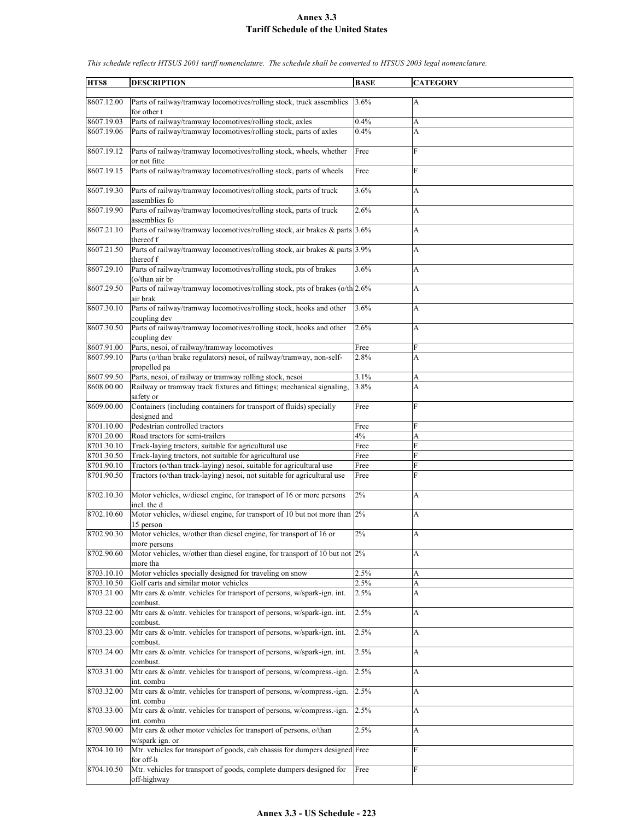| HTS8                     | <b>DESCRIPTION</b>                                                                                               | <b>BASE</b>  | <b>CATEGORY</b> |
|--------------------------|------------------------------------------------------------------------------------------------------------------|--------------|-----------------|
|                          |                                                                                                                  |              |                 |
| 8607.12.00               | Parts of railway/tramway locomotives/rolling stock, truck assemblies                                             | 3.6%         | А               |
|                          | for other t                                                                                                      |              |                 |
| 8607.19.03               | Parts of railway/tramway locomotives/rolling stock, axles                                                        | 0.4%         | A               |
| 8607.19.06               | Parts of railway/tramway locomotives/rolling stock, parts of axles                                               | 0.4%         | A               |
| 8607.19.12               | Parts of railway/tramway locomotives/rolling stock, wheels, whether                                              | Free         | F               |
|                          | or not fitte                                                                                                     |              |                 |
| 8607.19.15               | Parts of railway/tramway locomotives/rolling stock, parts of wheels                                              | Free         | $\mathbf{F}$    |
| 8607.19.30               | Parts of railway/tramway locomotives/rolling stock, parts of truck<br>assemblies fo                              | 3.6%         | A               |
| 8607.19.90               | Parts of railway/tramway locomotives/rolling stock, parts of truck                                               | 2.6%         | A               |
| 8607.21.10               | assemblies fo<br>Parts of railway/tramway locomotives/rolling stock, air brakes & parts 3.6%                     |              | A               |
| 8607.21.50               | thereof f<br>Parts of railway/tramway locomotives/rolling stock, air brakes & parts 3.9%                         |              | A               |
|                          | thereof f                                                                                                        |              |                 |
| 8607.29.10               | Parts of railway/tramway locomotives/rolling stock, pts of brakes<br>(o/than air br                              | 3.6%         | A               |
| 8607.29.50               | Parts of railway/tramway locomotives/rolling stock, pts of brakes (o/th 2.6%<br>air brak                         |              | A               |
| 8607.30.10               | Parts of railway/tramway locomotives/rolling stock, hooks and other<br>coupling dev                              | 3.6%         | А               |
| 8607.30.50               | Parts of railway/tramway locomotives/rolling stock, hooks and other                                              | 2.6%         | A               |
| 8607.91.00               | coupling dev<br>Parts, nesoi, of railway/tramway locomotives                                                     |              | F               |
| 8607.99.10               | Parts (o/than brake regulators) nesoi, of railway/tramway, non-self-                                             | Free<br>2.8% | A               |
|                          | propelled pa                                                                                                     |              |                 |
| 8607.99.50               | Parts, nesoi, of railway or tramway rolling stock, nesoi                                                         | 3.1%         | A               |
| 8608.00.00               | Railway or tramway track fixtures and fittings; mechanical signaling,<br>safety or                               | 3.8%         | A               |
| 8609.00.00               | Containers (including containers for transport of fluids) specially                                              | Free         | F               |
|                          | designed and                                                                                                     |              |                 |
| 8701.10.00               | Pedestrian controlled tractors                                                                                   | Free         | F               |
| 8701.20.00<br>8701.30.10 | Road tractors for semi-trailers                                                                                  | 4%           | A<br>F          |
| 8701.30.50               | Track-laying tractors, suitable for agricultural use<br>Track-laying tractors, not suitable for agricultural use | Free<br>Free | F               |
| 8701.90.10               | Tractors (o/than track-laying) nesoi, suitable for agricultural use                                              | Free         | F               |
| 8701.90.50               | Tractors (o/than track-laying) nesoi, not suitable for agricultural use                                          | Free         | F               |
| 8702.10.30               | Motor vehicles, w/diesel engine, for transport of 16 or more persons                                             | 2%           | A               |
|                          | incl. the d                                                                                                      |              |                 |
| 8702.10.60               | Motor vehicles, w/diesel engine, for transport of 10 but not more than 2%<br>15 person                           |              | A               |
| 8702.90.30               | Motor vehicles, w/other than diesel engine, for transport of 16 or                                               | 2%           | Δ               |
|                          | more persons                                                                                                     |              |                 |
| 8702.90.60               | Motor vehicles, w/other than diesel engine, for transport of 10 but not $2\%$<br>more tha                        |              | A               |
| 8703.10.10               | Motor vehicles specially designed for traveling on snow                                                          | 2.5%         | A               |
| 8703.10.50               | Golf carts and similar motor vehicles                                                                            | 2.5%         | A               |
| 8703.21.00               | Mtr cars $\&$ o/mtr. vehicles for transport of persons, w/spark-ign. int.<br>combust.                            | 2.5%         | А               |
| 8703.22.00               | Mtr cars & o/mtr. vehicles for transport of persons, w/spark-ign. int.<br>combust.                               | 2.5%         | А               |
| 8703.23.00               | Mtr cars & o/mtr. vehicles for transport of persons, w/spark-ign. int.                                           | 2.5%         | A               |
| 8703.24.00               | combust.<br>Mtr cars & o/mtr. vehicles for transport of persons, w/spark-ign. int.                               | 2.5%         | A               |
| 8703.31.00               | combust.<br>Mtr cars & o/mtr. vehicles for transport of persons, w/compress.-ign.                                | 2.5%         | A               |
|                          | int. combu                                                                                                       |              |                 |
| 8703.32.00               | Mtr cars & o/mtr. vehicles for transport of persons, w/compress.-ign.<br>int. combu                              | $2.5\%$      | A               |
| 8703.33.00               | Mtr cars & o/mtr. vehicles for transport of persons, w/compress.-ign.<br>int. combu                              | 2.5%         | A               |
| 8703.90.00               | Mtr cars & other motor vehicles for transport of persons, o/than                                                 | 2.5%         | А               |
| 8704.10.10               | w/spark ign. or<br>Mtr. vehicles for transport of goods, cab chassis for dumpers designed Free                   |              | $\mathbf F$     |
| 8704.10.50               | for off-h<br>Mtr. vehicles for transport of goods, complete dumpers designed for                                 | Free         | F               |
|                          | off-highway                                                                                                      |              |                 |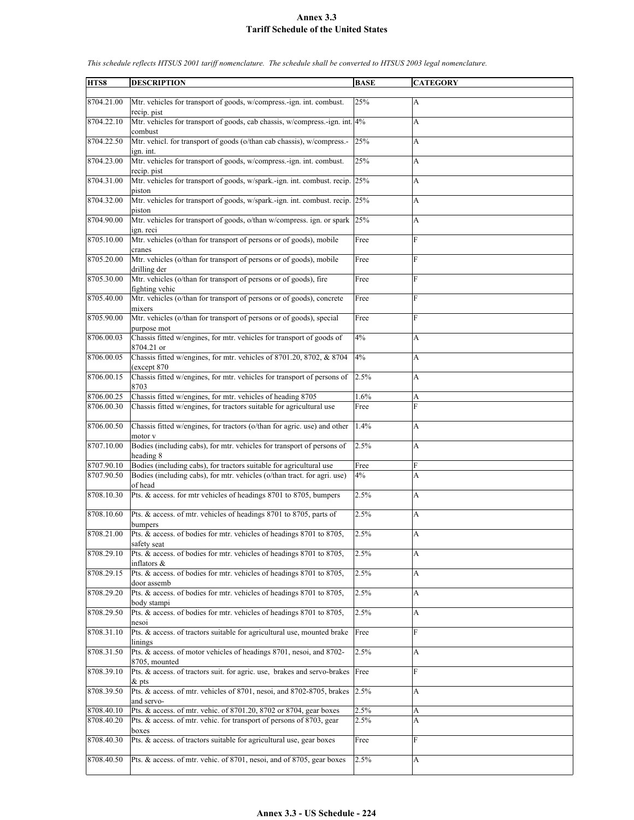| HTS8       | <b>DESCRIPTION</b>                                                           | <b>BASE</b> | <b>CATEGORY</b>           |
|------------|------------------------------------------------------------------------------|-------------|---------------------------|
|            |                                                                              |             |                           |
| 8704.21.00 | Mtr. vehicles for transport of goods, w/compress.-ign. int. combust.         | 25%         | A                         |
|            | recip. pist                                                                  |             |                           |
| 8704.22.10 | Mtr. vehicles for transport of goods, cab chassis, w/compress.-ign. int. 4%  |             | A                         |
|            | combust                                                                      |             |                           |
| 8704.22.50 | Mtr. vehicl. for transport of goods (o/than cab chassis), w/compress.-       | 25%         | A                         |
|            | ign. int.                                                                    |             |                           |
| 8704.23.00 | Mtr. vehicles for transport of goods, w/compress.-ign. int. combust.         | 25%         |                           |
|            |                                                                              |             | A                         |
|            | recip. pist                                                                  |             |                           |
| 8704.31.00 | Mtr. vehicles for transport of goods, w/spark.-ign. int. combust. recip.     | 25%         | $\boldsymbol{\mathsf{A}}$ |
|            | piston                                                                       |             |                           |
| 8704.32.00 | Mtr. vehicles for transport of goods, w/spark.-ign. int. combust. recip. 25% |             | A                         |
|            | piston                                                                       |             |                           |
| 8704.90.00 | Mtr. vehicles for transport of goods, o/than w/compress. ign. or spark 25%   |             | A                         |
|            | ign. reci                                                                    |             |                           |
| 8705.10.00 | Mtr. vehicles (o/than for transport of persons or of goods), mobile          | Free        | F                         |
|            |                                                                              |             |                           |
|            | cranes                                                                       |             |                           |
| 8705.20.00 | Mtr. vehicles (o/than for transport of persons or of goods), mobile          | Free        | F                         |
|            | drilling der                                                                 |             |                           |
| 8705.30.00 | Mtr. vehicles (o/than for transport of persons or of goods), fire            | Free        | F                         |
|            | fighting vehic                                                               |             |                           |
| 8705.40.00 | Mtr. vehicles (o/than for transport of persons or of goods), concrete        | Free        | F                         |
|            | mixers                                                                       |             |                           |
| 8705.90.00 | Mtr. vehicles (o/than for transport of persons or of goods), special         | Free        | F                         |
|            | purpose mot                                                                  |             |                           |
| 8706.00.03 | Chassis fitted w/engines, for mtr. vehicles for transport of goods of        | 4%          | A                         |
|            | 8704.21 or                                                                   |             |                           |
| 8706.00.05 | Chassis fitted w/engines, for mtr. vehicles of 8701.20, 8702, & 8704         | 4%          | A                         |
|            |                                                                              |             |                           |
|            | (except 870)                                                                 |             |                           |
| 8706.00.15 | Chassis fitted w/engines, for mtr. vehicles for transport of persons of      | 2.5%        | A                         |
|            | 8703                                                                         |             |                           |
| 8706.00.25 | Chassis fitted w/engines, for mtr. vehicles of heading 8705                  | 1.6%        | A                         |
| 8706.00.30 | Chassis fitted w/engines, for tractors suitable for agricultural use         | Free        | F                         |
|            |                                                                              |             |                           |
| 8706.00.50 | Chassis fitted w/engines, for tractors (o/than for agric. use) and other     | 1.4%        | A                         |
|            | motor v                                                                      |             |                           |
| 8707.10.00 | Bodies (including cabs), for mtr. vehicles for transport of persons of       | 2.5%        | A                         |
|            | heading 8                                                                    |             |                           |
| 8707.90.10 | Bodies (including cabs), for tractors suitable for agricultural use          | Free        | F                         |
| 8707.90.50 | Bodies (including cabs), for mtr. vehicles (o/than tract. for agri. use)     | 4%          | A                         |
|            | of head                                                                      |             |                           |
| 8708.10.30 | Pts. & access. for mtr vehicles of headings 8701 to 8705, bumpers            | 2.5%        | A                         |
|            |                                                                              |             |                           |
| 8708.10.60 | Pts. & access. of mtr. vehicles of headings 8701 to 8705, parts of           | 2.5%        |                           |
|            |                                                                              |             | A                         |
|            | bumpers                                                                      |             |                           |
| 8708.21.00 | Pts. & access. of bodies for mtr. vehicles of headings 8701 to 8705.         | 2.5%        | A                         |
|            | safety seat                                                                  |             |                           |
| 8708.29.10 | Pts. & access. of bodies for mtr. vehicles of headings 8701 to 8705,         | 2.5%        | A                         |
|            | inflators &                                                                  |             |                           |
| 8708.29.15 | Pts. & access. of bodies for mtr. vehicles of headings 8701 to 8705,         | 2.5%        | A                         |
|            | door assemb                                                                  |             |                           |
| 8708.29.20 | Pts. & access. of bodies for mtr. vehicles of headings 8701 to 8705,         | 2.5%        | А                         |
|            | body stampi                                                                  |             |                           |
| 8708.29.50 | Pts. & access. of bodies for mtr. vehicles of headings 8701 to 8705,         | 2.5%        | A                         |
|            | nesoi                                                                        |             |                           |
| 8708.31.10 | Pts. & access. of tractors suitable for agricultural use, mounted brake      | Free        | F                         |
|            | linings                                                                      |             |                           |
| 8708.31.50 | Pts. & access. of motor vehicles of headings 8701, nesoi, and 8702-          | 2.5%        | А                         |
|            |                                                                              |             |                           |
|            | 8705, mounted                                                                |             |                           |
| 8708.39.10 | Pts. & access. of tractors suit. for agric. use, brakes and servo-brakes     | Free        | F                         |
|            | $\&$ pts                                                                     |             |                           |
| 8708.39.50 | Pts. & access. of mtr. vehicles of 8701, nesoi, and 8702-8705, brakes        | 2.5%        | A                         |
|            | and servo-                                                                   |             |                           |
| 8708.40.10 | Pts. & access. of mtr. vehic. of 8701.20, 8702 or 8704, gear boxes           | 2.5%        | А                         |
| 8708.40.20 | Pts. & access. of mtr. vehic. for transport of persons of 8703, gear         | 2.5%        | А                         |
|            | boxes                                                                        |             |                           |
| 8708.40.30 | Pts. & access. of tractors suitable for agricultural use, gear boxes         | Free        | F                         |
|            |                                                                              |             |                           |
| 8708.40.50 | Pts. & access. of mtr. vehic. of 8701, nesoi, and of 8705, gear boxes        | 2.5%        | A                         |
|            |                                                                              |             |                           |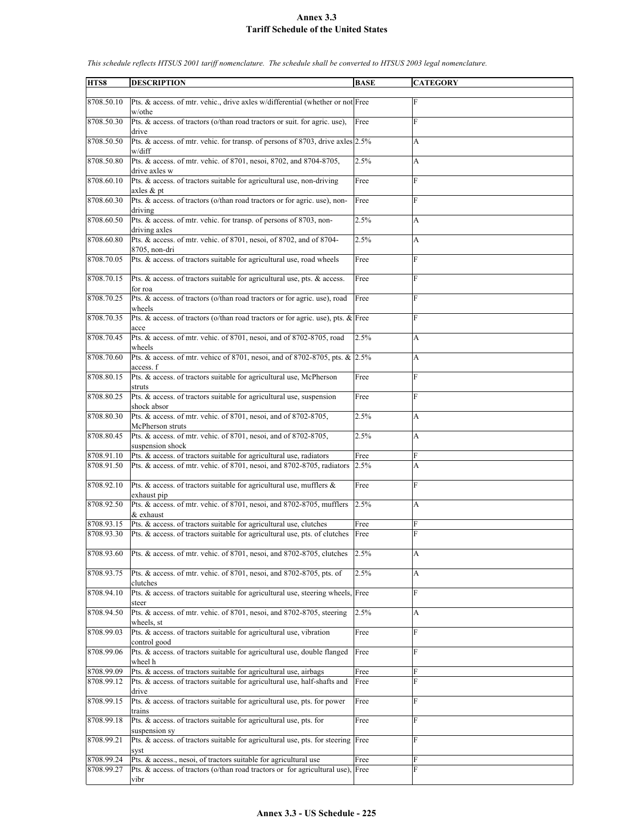| HTS8       | <b>DESCRIPTION</b>                                                                          | <b>BASE</b> | <b>CATEGORY</b> |
|------------|---------------------------------------------------------------------------------------------|-------------|-----------------|
| 8708.50.10 | Pts. & access. of mtr. vehic., drive axles w/differential (whether or not Free<br>w/othe    |             | F               |
| 8708.50.30 | Pts. & access. of tractors (o/than road tractors or suit. for agric. use),<br>drive         | Free        | F               |
| 8708.50.50 | Pts. & access. of mtr. vehic. for transp. of persons of 8703, drive axles 2.5%<br>w/diff    |             | А               |
| 8708.50.80 | Pts. & access. of mtr. vehic. of 8701, nesoi, 8702, and 8704-8705,<br>drive axles w         | 2.5%        | A               |
| 8708.60.10 | Pts. & access. of tractors suitable for agricultural use, non-driving<br>axles $&$ pt       | Free        | $\mathbf F$     |
| 8708.60.30 | Pts. & access. of tractors (o/than road tractors or for agric. use), non-<br>driving        | Free        | F               |
| 8708.60.50 | Pts. & access. of mtr. vehic. for transp. of persons of 8703, non-<br>driving axles         | 2.5%        | А               |
| 8708.60.80 | Pts. & access. of mtr. vehic. of 8701, nesoi, of 8702, and of 8704-<br>8705, non-dri        | 2.5%        | A               |
| 8708.70.05 | Pts. & access. of tractors suitable for agricultural use, road wheels                       | Free        | F               |
| 8708.70.15 | Pts. & access. of tractors suitable for agricultural use, pts. & access.<br>for roa         | Free        | F               |
| 8708.70.25 | Pts. & access. of tractors (o/than road tractors or for agric. use), road<br>wheels         | Free        | F               |
| 8708.70.35 | Pts. & access. of tractors (o/than road tractors or for agric. use), pts. $\&$ Free<br>acce |             | F               |
| 8708.70.45 | Pts. & access. of mtr. vehic. of 8701, nesoi, and of 8702-8705, road<br>wheels              | 2.5%        | A               |
| 8708.70.60 | Pts. & access. of mtr. vehicc of 8701, nesoi, and of 8702-8705, pts. & 2.5%<br>access. f    |             | A               |
| 8708.80.15 | Pts. & access. of tractors suitable for agricultural use, McPherson<br>struts               | Free        | F               |
| 8708.80.25 | Pts. & access. of tractors suitable for agricultural use, suspension<br>shock absor         | Free        | F               |
| 8708.80.30 | Pts. & access. of mtr. vehic. of 8701, nesoi, and of 8702-8705,<br>McPherson struts         | 2.5%        | A               |
| 8708.80.45 | Pts. & access. of mtr. vehic. of 8701, nesoi, and of 8702-8705,<br>suspension shock         | 2.5%        | A               |
| 8708.91.10 | Pts. & access. of tractors suitable for agricultural use, radiators                         | Free        | F               |
| 8708.91.50 | Pts. & access. of mtr. vehic. of 8701, nesoi, and 8702-8705, radiators                      | 2.5%        | A               |
| 8708.92.10 | Pts. & access. of tractors suitable for agricultural use, mufflers &<br>exhaust pip         | Free        | F               |
| 8708.92.50 | Pts. & access. of mtr. vehic. of 8701, nesoi, and 8702-8705, mufflers<br>& exhaust          | 2.5%        | $\mathbf{A}$    |
| 8708.93.15 | Pts. & access. of tractors suitable for agricultural use, clutches                          | Free        | F               |
| 8708.93.30 | Pts. & access. of tractors suitable for agricultural use, pts. of clutches                  | Free        | F               |
| 8708.93.60 | Pts. & access. of mtr. vehic. of 8701, nesoi, and 8702-8705, clutches                       | 2.5%        | A               |
| 8708.93.75 | Pts. & access. of mtr. vehic. of 8701, nesoi, and 8702-8705, pts. of<br>clutches            | 2.5%        | A               |
| 8708.94.10 | Pts. & access. of tractors suitable for agricultural use, steering wheels, Free<br>steer    |             | F               |
| 8708.94.50 | Pts. & access. of mtr. vehic. of 8701, nesoi, and 8702-8705, steering<br>wheels, st         | 2.5%        | А               |
| 8708.99.03 | Pts. & access. of tractors suitable for agricultural use, vibration<br>control good         | Free        | F               |
| 8708.99.06 | Pts. & access. of tractors suitable for agricultural use, double flanged<br>wheel h         | Free        | F               |
| 8708.99.09 | Pts. & access. of tractors suitable for agricultural use, airbags                           | Free        | F               |
| 8708.99.12 | Pts. & access. of tractors suitable for agricultural use, half-shafts and<br>drive          | Free        | F               |
| 8708.99.15 | Pts. & access. of tractors suitable for agricultural use, pts. for power<br>trains          | Free        | F               |
| 8708.99.18 | Pts. & access. of tractors suitable for agricultural use, pts. for<br>suspension sy         | Free        | F               |
| 8708.99.21 | Pts. & access. of tractors suitable for agricultural use, pts. for steering Free<br>syst    |             | F               |
| 8708.99.24 | Pts. & access., nesoi, of tractors suitable for agricultural use                            | Free        | F               |
| 8708.99.27 | Pts. & access. of tractors (o/than road tractors or for agricultural use), Free<br>vibr     |             | F               |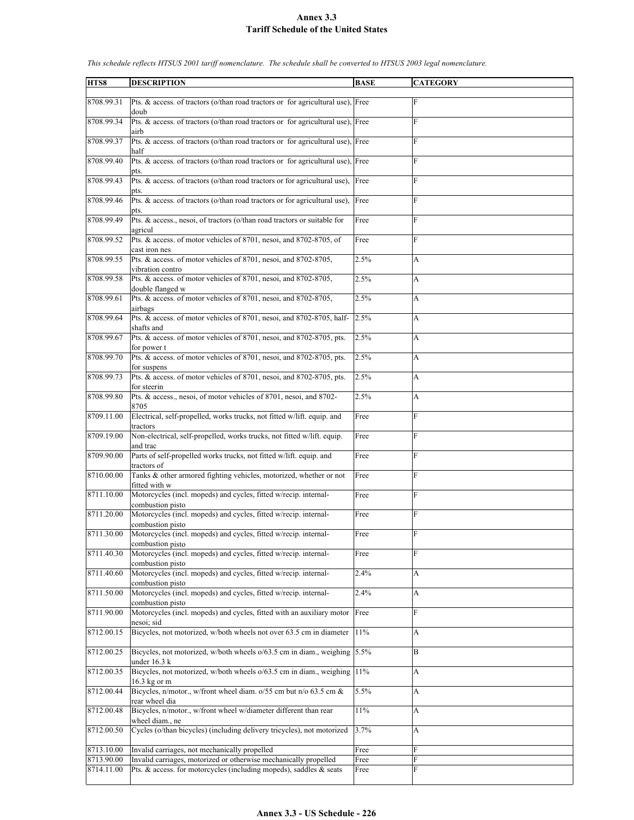| HTS8                     | <b>DESCRIPTION</b>                                                                                                                     | <b>BASE</b>  | <b>CATEGORY</b>  |
|--------------------------|----------------------------------------------------------------------------------------------------------------------------------------|--------------|------------------|
| 8708.99.31               | Pts. & access. of tractors (o/than road tractors or for agricultural use), Free                                                        |              | F                |
| 8708.99.34               | doub<br>Pts. & access. of tractors (o/than road tractors or for agricultural use), Free                                                |              | F                |
| 8708.99.37               | airb<br>Pts. & access. of tractors (o/than road tractors or for agricultural use), Free<br>half                                        |              | F                |
| 8708.99.40               | Pts. & access. of tractors (o/than road tractors or for agricultural use), Free<br>pts.                                                |              | F                |
| 8708.99.43               | Pts. & access. of tractors (o/than road tractors or for agricultural use),<br>pts.                                                     | Free         | F                |
| 8708.99.46               | Pts. & access. of tractors (o/than road tractors or for agricultural use),<br>pts.                                                     | Free         | F                |
| 8708.99.49               | Pts. & access., nesoi, of tractors (o/than road tractors or suitable for<br>agricul                                                    | Free         | F                |
| 8708.99.52               | Pts. & access. of motor vehicles of 8701, nesoi, and 8702-8705, of<br>cast iron nes                                                    | Free         | F                |
| 8708.99.55               | Pts. & access. of motor vehicles of 8701, nesoi, and 8702-8705,<br>vibration contro                                                    | 2.5%         | A                |
| 8708.99.58               | Pts. & access. of motor vehicles of 8701, nesoi, and 8702-8705,<br>double flanged w                                                    | 2.5%         | A                |
| 8708.99.61               | Pts. & access. of motor vehicles of 8701, nesoi, and 8702-8705,<br>airbags                                                             | 2.5%         | A                |
| 8708.99.64               | Pts. & access. of motor vehicles of 8701, nesoi, and 8702-8705, half-<br>shafts and                                                    | 2.5%         | A                |
| 8708.99.67               | Pts. & access. of motor vehicles of 8701, nesoi, and 8702-8705, pts.<br>for power t                                                    | 2.5%         | A                |
| 8708.99.70               | Pts. & access. of motor vehicles of 8701, nesoi, and 8702-8705, pts.<br>for suspens                                                    | 2.5%         | A                |
| 8708.99.73               | Pts. & access. of motor vehicles of 8701, nesoi, and 8702-8705, pts.<br>for steerin                                                    | 2.5%         | A                |
| 8708.99.80               | Pts. & access., nesoi, of motor vehicles of 8701, nesoi, and 8702-<br>8705                                                             | 2.5%         | A                |
| 8709.11.00               | Electrical, self-propelled, works trucks, not fitted w/lift. equip. and<br>tractors                                                    | Free         | ${\bf F}$        |
| 8709.19.00               | Non-electrical, self-propelled, works trucks, not fitted w/lift. equip.<br>and trac                                                    | Free         | F                |
| 8709.90.00               | Parts of self-propelled works trucks, not fitted w/lift. equip. and<br>tractors of                                                     | Free         | F                |
| 8710.00.00               | Tanks & other armored fighting vehicles, motorized, whether or not<br>fitted with w                                                    | Free         | ${\bf F}$        |
| 8711.10.00               | Motorcycles (incl. mopeds) and cycles, fitted w/recip. internal-<br>combustion pisto                                                   | Free         | F                |
| 8711.20.00               | Motorcycles (incl. mopeds) and cycles, fitted w/recip. internal-<br>combustion pisto                                                   | Free         | F                |
| 8711.30.00               | Motorcycles (incl. mopeds) and cycles, fitted w/recip. internal-<br>combustion pisto                                                   | Free         | F                |
| 8711.40.30               | Motorcycles (incl. mopeds) and cycles, fitted w/recip. internal-<br>combustion pisto                                                   | Free         | F                |
| 8711.40.60               | Motorcycles (incl. mopeds) and cycles, fitted w/recip. internal-<br>combustion pisto                                                   | 2.4%         | $\mathbf{A}$     |
| 8711.50.00               | Motorcycles (incl. mopeds) and cycles, fitted w/recip. internal-<br>combustion pisto                                                   | 2.4%         | $\boldsymbol{A}$ |
| 8711.90.00               | Motorcycles (incl. mopeds) and cycles, fitted with an auxiliary motor<br>nesoi: sid                                                    | Free         | F                |
| 8712.00.15               | Bicycles, not motorized, w/both wheels not over 63.5 cm in diameter                                                                    | 11%          | A                |
| 8712.00.25               | Bicycles, not motorized, w/both wheels o/63.5 cm in diam., weighing 5.5%<br>under 16.3 k                                               |              | $\, {\bf B}$     |
| 8712.00.35               | Bicycles, not motorized, w/both wheels o/63.5 cm in diam., weighing<br>16.3 kg or m                                                    | 11%          | A                |
| 8712.00.44               | Bicycles, n/motor., w/front wheel diam. o/55 cm but n/o 63.5 cm &<br>rear wheel dia                                                    | 5.5%         | $\boldsymbol{A}$ |
| 8712.00.48               | Bicycles, n/motor., w/front wheel w/diameter different than rear<br>wheel diam., ne                                                    | 11%          | A                |
| 8712.00.50               | Cycles (o/than bicycles) (including delivery tricycles), not motorized                                                                 | 3.7%         | A                |
| 8713.10.00               | Invalid carriages, not mechanically propelled                                                                                          | Free         | $\rm F$          |
| 8713.90.00<br>8714.11.00 | Invalid carriages, motorized or otherwise mechanically propelled<br>Pts. & access. for motorcycles (including mopeds), saddles & seats | Free<br>Free | ${\bf F}$<br>F   |
|                          |                                                                                                                                        |              |                  |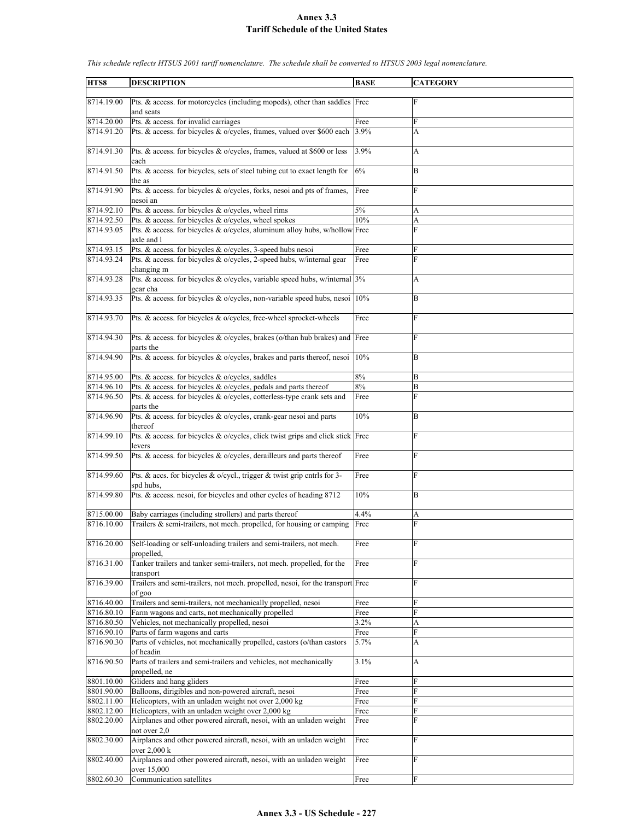| HTS8       | <b>DESCRIPTION</b>                                                             | <b>BASE</b> | <b>CATEGORY</b> |
|------------|--------------------------------------------------------------------------------|-------------|-----------------|
|            |                                                                                |             |                 |
| 8714.19.00 | Pts. & access. for motorcycles (including mopeds), other than saddles Free     |             | $\mathbf F$     |
|            | and seats                                                                      |             |                 |
|            |                                                                                |             |                 |
| 8714.20.00 | Pts. & access. for invalid carriages                                           | Free        | F               |
| 8714.91.20 | Pts. & access. for bicycles & o/cycles, frames, valued over \$600 each         | $3.9\%$     | A               |
|            |                                                                                |             |                 |
| 8714.91.30 | Pts. & access. for bicycles & o/cycles, frames, valued at \$600 or less        | 3.9%        | A               |
|            | each                                                                           |             |                 |
| 8714.91.50 | Pts. & access. for bicycles, sets of steel tubing cut to exact length for      | 6%          | B               |
|            |                                                                                |             |                 |
|            | the as                                                                         |             |                 |
| 8714.91.90 | Pts. & access. for bicycles & o/cycles, forks, nesoi and pts of frames,        | Free        | F               |
|            | nesoi an                                                                       |             |                 |
| 8714.92.10 | Pts. & access. for bicycles & o/cycles, wheel rims                             | 5%          | А               |
| 8714.92.50 | Pts. & access. for bicycles & o/cycles, wheel spokes                           | 10%         | A               |
| 8714.93.05 | Pts. & access. for bicycles & o/cycles, aluminum alloy hubs, w/hollow Free     |             | F               |
|            | axle and l                                                                     |             |                 |
| 8714.93.15 | Pts. & access. for bicycles & o/cycles, 3-speed hubs nesoi                     | Free        | F               |
| 8714.93.24 |                                                                                |             | F               |
|            | Pts. & access. for bicycles & o/cycles, 2-speed hubs, w/internal gear          | Free        |                 |
|            | changing m                                                                     |             |                 |
| 8714.93.28 | Pts. & access. for bicycles & o/cycles, variable speed hubs, w/internal 3%     |             | А               |
|            | gear cha                                                                       |             |                 |
| 8714.93.35 | Pts. & access. for bicycles & o/cycles, non-variable speed hubs, nesoi         | 10%         | B               |
|            |                                                                                |             |                 |
| 8714.93.70 | Pts. & access. for bicycles & o/cycles, free-wheel sprocket-wheels             | Free        | F               |
|            |                                                                                |             |                 |
|            |                                                                                |             |                 |
| 8714.94.30 | Pts. & access. for bicycles & o/cycles, brakes (o/than hub brakes) and Free    |             | F               |
|            | parts the                                                                      |             |                 |
| 8714.94.90 | Pts. & access. for bicycles & o/cycles, brakes and parts thereof, nesoi        | 10%         | B               |
|            |                                                                                |             |                 |
| 8714.95.00 | Pts. & access. for bicycles & o/cycles, saddles                                | 8%          | B               |
| 8714.96.10 | Pts. & access. for bicycles & o/cycles, pedals and parts thereof               | 8%          | B               |
| 8714.96.50 | Pts. & access. for bicycles & o/cycles, cotterless-type crank sets and         | Free        | F               |
|            |                                                                                |             |                 |
|            | parts the                                                                      |             |                 |
| 8714.96.90 | Pts. & access. for bicycles & o/cycles, crank-gear nesoi and parts             | 10%         | B               |
|            | thereof                                                                        |             |                 |
| 8714.99.10 | Pts. & access. for bicycles & o/cycles, click twist grips and click stick Free |             | F               |
|            | levers                                                                         |             |                 |
| 8714.99.50 | Pts. & access. for bicycles & o/cycles, derailleurs and parts thereof          | Free        | F               |
|            |                                                                                |             |                 |
| 8714.99.60 | Pts. & accs. for bicycles & o/cycl., trigger & twist grip cntrls for 3-        | Free        | F               |
|            | spd hubs,                                                                      |             |                 |
| 8714.99.80 | Pts. & access. nesoi, for bicycles and other cycles of heading 8712            |             |                 |
|            |                                                                                | 10%         | B               |
|            |                                                                                |             |                 |
| 8715.00.00 | Baby carriages (including strollers) and parts thereof                         | 4.4%        | A               |
| 8716.10.00 | Trailers & semi-trailers, not mech. propelled, for housing or camping          | Free        | F               |
|            |                                                                                |             |                 |
| 8716.20.00 | Self-loading or self-unloading trailers and semi-trailers, not mech.           | Free        | ${\rm F}$       |
|            | propelled,                                                                     |             |                 |
| 8716.31.00 | Tanker trailers and tanker semi-trailers, not mech. propelled, for the         | Free        | F               |
|            |                                                                                |             |                 |
|            | transport                                                                      |             |                 |
| 8716.39.00 | Trailers and semi-trailers, not mech. propelled, nesoi, for the transport Free |             | F               |
|            | of goo                                                                         |             |                 |
| 8716.40.00 | Trailers and semi-trailers, not mechanically propelled, nesoi                  | Free        | F               |
| 8716.80.10 | Farm wagons and carts, not mechanically propelled                              | Free        | F               |
| 8716.80.50 | Vehicles, not mechanically propelled, nesoi                                    | $3.2\%$     | A               |
| 8716.90.10 | Parts of farm wagons and carts                                                 | Free        | F               |
| 8716.90.30 | Parts of vehicles, not mechanically propelled, castors (o/than castors         | 5.7%        | A               |
|            |                                                                                |             |                 |
|            | of headin                                                                      |             |                 |
| 8716.90.50 | Parts of trailers and semi-trailers and vehicles, not mechanically             | 3.1%        | A               |
|            | propelled, ne                                                                  |             |                 |
| 8801.10.00 | Gliders and hang gliders                                                       | Free        | F               |
| 8801.90.00 | Balloons, dirigibles and non-powered aircraft, nesoi                           | Free        | F               |
| 8802.11.00 | Helicopters, with an unladen weight not over 2,000 kg                          | Free        | F               |
| 8802.12.00 | Helicopters, with an unladen weight over 2,000 kg                              | Free        | F               |
|            |                                                                                |             | F               |
| 8802.20.00 | Airplanes and other powered aircraft, nesoi, with an unladen weight            | Free        |                 |
|            | not over 2,0                                                                   |             |                 |
| 8802.30.00 | Airplanes and other powered aircraft, nesoi, with an unladen weight            | Free        | F               |
|            | over 2,000 k                                                                   |             |                 |
| 8802.40.00 | Airplanes and other powered aircraft, nesoi, with an unladen weight            | Free        | F               |
|            | over 15,000                                                                    |             |                 |
| 8802.60.30 | Communication satellites                                                       | Free        | F               |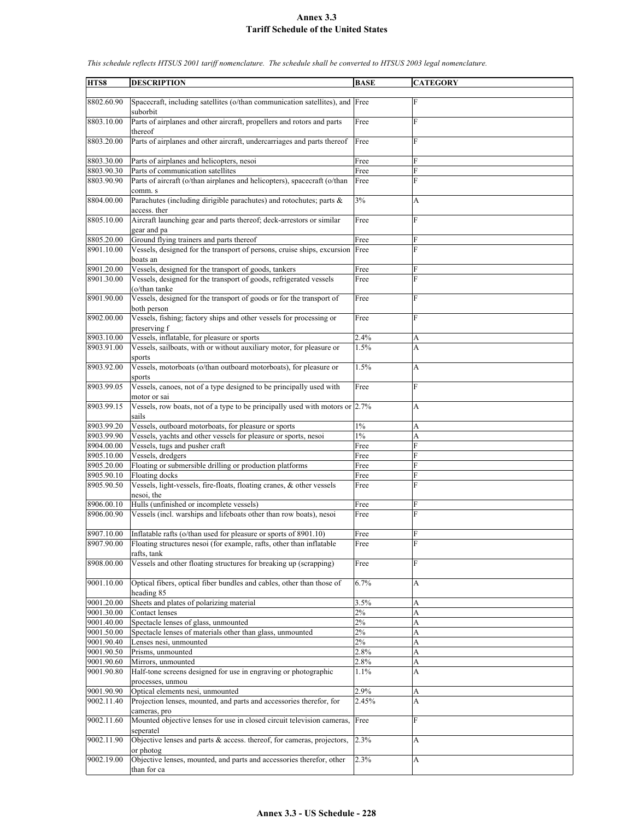| HTS8       | <b>DESCRIPTION</b>                                                           | <b>BASE</b> | <b>CATEGORY</b> |
|------------|------------------------------------------------------------------------------|-------------|-----------------|
|            |                                                                              |             |                 |
| 8802.60.90 | Spacecraft, including satellites (o/than communication satellites), and Free |             | F               |
|            | suborbit                                                                     |             |                 |
| 8803.10.00 | Parts of airplanes and other aircraft, propellers and rotors and parts       | Free        | F               |
|            | thereof                                                                      |             |                 |
| 8803.20.00 | Parts of airplanes and other aircraft, undercarriages and parts thereof      | Free        | F               |
|            |                                                                              |             |                 |
|            |                                                                              |             | F               |
| 8803.30.00 | Parts of airplanes and helicopters, nesoi                                    | Free        |                 |
| 8803.90.30 | Parts of communication satellites                                            | Free        | F               |
| 8803.90.90 | Parts of aircraft (o/than airplanes and helicopters), spacecraft (o/than     | Free        | F               |
|            | comm. s                                                                      |             |                 |
| 8804.00.00 | Parachutes (including dirigible parachutes) and rotochutes; parts &          | 3%          | A               |
|            | access. ther                                                                 |             |                 |
| 8805.10.00 | Aircraft launching gear and parts thereof; deck-arrestors or similar         | Free        | F               |
|            | gear and pa                                                                  |             |                 |
|            |                                                                              |             |                 |
| 8805.20.00 | Ground flying trainers and parts thereof                                     | Free        | F               |
| 8901.10.00 | Vessels, designed for the transport of persons, cruise ships, excursion Free |             | F               |
|            | boats an                                                                     |             |                 |
| 8901.20.00 | Vessels, designed for the transport of goods, tankers                        | Free        | F               |
| 8901.30.00 | Vessels, designed for the transport of goods, refrigerated vessels           | Free        | F               |
|            | (o/than tanke                                                                |             |                 |
| 8901.90.00 | Vessels, designed for the transport of goods or for the transport of         | Free        | F               |
|            | both person                                                                  |             |                 |
| 8902.00.00 | Vessels, fishing; factory ships and other vessels for processing or          |             | F               |
|            |                                                                              | Free        |                 |
|            | preserving f                                                                 |             |                 |
| 8903.10.00 | Vessels, inflatable, for pleasure or sports                                  | 2.4%        | A               |
| 8903.91.00 | Vessels, sailboats, with or without auxiliary motor, for pleasure or         | 1.5%        | A               |
|            | sports                                                                       |             |                 |
| 8903.92.00 | Vessels, motorboats (o/than outboard motorboats), for pleasure or            | 1.5%        | A               |
|            | sports                                                                       |             |                 |
| 8903.99.05 | Vessels, canoes, not of a type designed to be principally used with          | Free        | F               |
|            |                                                                              |             |                 |
|            | motor or sai                                                                 |             |                 |
| 8903.99.15 | Vessels, row boats, not of a type to be principally used with motors or 2.7% |             | A               |
|            | sails                                                                        |             |                 |
| 8903.99.20 | Vessels, outboard motorboats, for pleasure or sports                         | $1\%$       | A               |
| 8903.99.90 | Vessels, yachts and other vessels for pleasure or sports, nesoi              | $1\%$       | A               |
| 8904.00.00 | Vessels, tugs and pusher craft                                               | Free        | F               |
| 8905.10.00 | Vessels, dredgers                                                            | Free        | F               |
| 8905.20.00 | Floating or submersible drilling or production platforms                     | Free        | F               |
| 8905.90.10 | Floating docks                                                               | Free        | F               |
| 8905.90.50 |                                                                              |             | F               |
|            | Vessels, light-vessels, fire-floats, floating cranes, & other vessels        | Free        |                 |
|            | nesoi, the                                                                   |             |                 |
| 8906.00.10 | Hulls (unfinished or incomplete vessels)                                     | Free        | F               |
| 8906.00.90 | Vessels (incl. warships and lifeboats other than row boats), nesoi           | Free        | F               |
|            |                                                                              |             |                 |
| 8907.10.00 | Inflatable rafts (o/than used for pleasure or sports of 8901.10)             | Free        | F               |
| 8907.90.00 | Floating structures nesoi (for example, rafts, other than inflatable         | Free        | F               |
|            | rafts, tank                                                                  |             |                 |
| 8908.00.00 | Vessels and other floating structures for breaking up (scrapping)            | Free        | F               |
|            |                                                                              |             |                 |
|            |                                                                              |             |                 |
| 9001.10.00 | Optical fibers, optical fiber bundles and cables, other than those of        | 6.7%        | A               |
|            | heading 85                                                                   |             |                 |
| 9001.20.00 | Sheets and plates of polarizing material                                     | 3.5%        | A               |
| 9001.30.00 | Contact lenses                                                               | $2\%$       | A               |
| 9001.40.00 | Spectacle lenses of glass, unmounted                                         | $2\%$       | A               |
| 9001.50.00 | Spectacle lenses of materials other than glass, unmounted                    | $2\%$       | A               |
| 9001.90.40 | Lenses nesi, unmounted                                                       | 2%          | A               |
| 9001.90.50 | Prisms, unmounted                                                            | 2.8%        | A               |
| 9001.90.60 |                                                                              |             |                 |
|            | Mirrors, unmounted                                                           | 2.8%        | A               |
| 9001.90.80 | Half-tone screens designed for use in engraving or photographic              | 1.1%        | A               |
|            | processes, unmou                                                             |             |                 |
| 9001.90.90 | Optical elements nesi, unmounted                                             | 2.9%        | A               |
| 9002.11.40 | Projection lenses, mounted, and parts and accessories therefor, for          | 2.45%       | A               |
|            | cameras, pro                                                                 |             |                 |
| 9002.11.60 | Mounted objective lenses for use in closed circuit television cameras,       | Free        | F               |
|            | seperatel                                                                    |             |                 |
| 9002.11.90 | Objective lenses and parts $\&$ access. thereof, for cameras, projectors,    | 2.3%        | A               |
|            |                                                                              |             |                 |
|            | or photog                                                                    |             |                 |
| 9002.19.00 | Objective lenses, mounted, and parts and accessories therefor, other         | 2.3%        | A               |
|            | than for ca                                                                  |             |                 |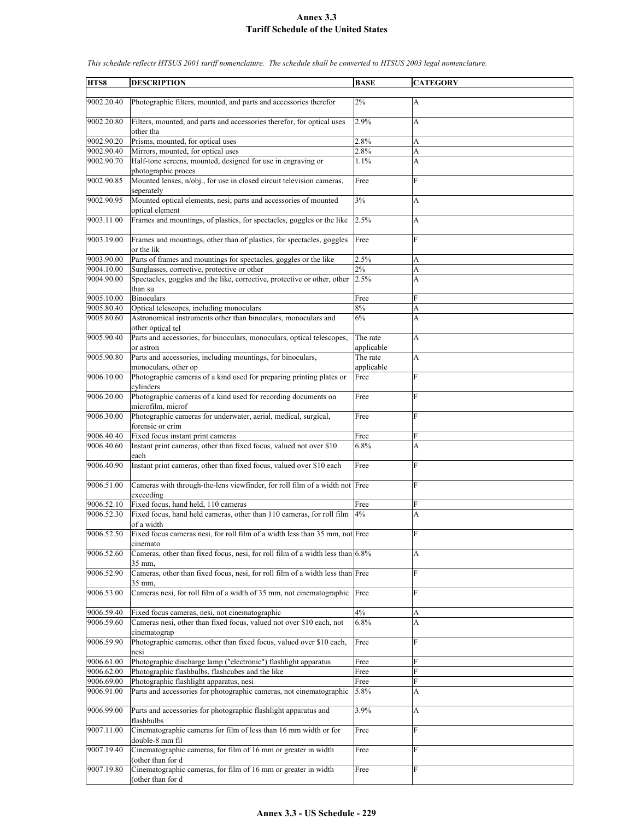| HTS8                     | <b>DESCRIPTION</b>                                                                                         | <b>BASE</b>        | <b>CATEGORY</b> |
|--------------------------|------------------------------------------------------------------------------------------------------------|--------------------|-----------------|
| 9002.20.40               |                                                                                                            | 2%                 |                 |
|                          | Photographic filters, mounted, and parts and accessories therefor                                          |                    | А               |
| 9002.20.80               | Filters, mounted, and parts and accessories therefor, for optical uses<br>other tha                        | 2.9%               | A               |
| 9002.90.20               | Prisms, mounted, for optical uses                                                                          | 2.8%               | A               |
| 9002.90.40               | Mirrors, mounted, for optical uses                                                                         | 2.8%               | A               |
| 9002.90.70               | Half-tone screens, mounted, designed for use in engraving or<br>photographic proces                        | 1.1%               | A               |
| 9002.90.85               | Mounted lenses, n/obj., for use in closed circuit television cameras,                                      | Free               | $\mathbf{F}$    |
|                          | seperately                                                                                                 |                    |                 |
| 9002.90.95               | Mounted optical elements, nesi; parts and accessories of mounted<br>optical element                        | 3%                 | A               |
| 9003.11.00               | Frames and mountings, of plastics, for spectacles, goggles or the like                                     | 2.5%               | A               |
| 9003.19.00               | Frames and mountings, other than of plastics, for spectacles, goggles<br>or the lik                        | Free               | F               |
| 9003.90.00               | Parts of frames and mountings for spectacles, goggles or the like                                          | 2.5%               | A               |
| 9004.10.00               | Sunglasses, corrective, protective or other                                                                | 2%                 | A               |
| 9004.90.00               | Spectacles, goggles and the like, corrective, protective or other, other                                   | 2.5%               | A               |
|                          | than su                                                                                                    |                    |                 |
| 9005.10.00               | <b>Binoculars</b>                                                                                          | Free               | F               |
| 9005.80.40<br>9005.80.60 | Optical telescopes, including monoculars<br>Astronomical instruments other than binoculars, monoculars and | 8%<br>6%           | A<br>A          |
|                          | other optical tel                                                                                          |                    |                 |
| 9005.90.40               | Parts and accessories, for binoculars, monoculars, optical telescopes,                                     | The rate           | A               |
|                          | or astron                                                                                                  | applicable         |                 |
| 9005.90.80               | Parts and accessories, including mountings, for binoculars,                                                | The rate           | A               |
| 9006.10.00               | monoculars, other op<br>Photographic cameras of a kind used for preparing printing plates or               | applicable<br>Free | F               |
|                          | cylinders                                                                                                  |                    |                 |
| 9006.20.00               | Photographic cameras of a kind used for recording documents on<br>microfilm, microf                        | Free               | $\mathbf{F}$    |
| 9006.30.00               | Photographic cameras for underwater, aerial, medical, surgical,<br>forensic or crim                        | Free               | F               |
| 9006.40.40               | Fixed focus instant print cameras                                                                          | Free               | F               |
| 9006.40.60               | Instant print cameras, other than fixed focus, valued not over \$10                                        | 6.8%               | A               |
| 9006.40.90               | each<br>Instant print cameras, other than fixed focus, valued over \$10 each                               | Free               | F               |
|                          |                                                                                                            |                    |                 |
| 9006.51.00               | Cameras with through-the-lens viewfinder, for roll film of a width not Free<br>exceeding                   |                    | $\overline{F}$  |
| 9006.52.10               | Fixed focus, hand held, 110 cameras                                                                        | Free               | ${\rm F}$       |
| 9006.52.30               | Fixed focus, hand held cameras, other than 110 cameras, for roll film                                      | 4%                 | A               |
|                          | of a width                                                                                                 |                    |                 |
| 9006.52.50               | Fixed focus cameras nesi, for roll film of a width less than 35 mm, not Free<br>cinemato                   |                    | F               |
| 9006.52.60               | Cameras, other than fixed focus, nesi, for roll film of a width less than $6.8\%$                          |                    | А               |
| 9006.52.90               | 35 mm,<br>Cameras, other than fixed focus, nesi, for roll film of a width less than Free                   |                    | $\overline{F}$  |
|                          | 35 mm,                                                                                                     |                    |                 |
| 9006.53.00               | Cameras nesi, for roll film of a width of 35 mm, not cinematographic                                       | Free               | F               |
| 9006.59.40               | Fixed focus cameras, nesi, not cinematographic                                                             | 4%                 | A               |
| 9006.59.60               | Cameras nesi, other than fixed focus, valued not over \$10 each, not                                       | 6.8%               | A               |
|                          | cinematograp                                                                                               |                    |                 |
| 9006.59.90               | Photographic cameras, other than fixed focus, valued over \$10 each,<br>nesi                               | Free               | $\overline{F}$  |
| 9006.61.00               | Photographic discharge lamp ("electronic") flashlight apparatus                                            | Free               | F               |
| 9006.62.00               | Photographic flashbulbs, flashcubes and the like                                                           | Free               | F               |
| 9006.69.00               | Photographic flashlight apparatus, nesi                                                                    | Free               | F               |
| 9006.91.00               | Parts and accessories for photographic cameras, not cinematographic                                        | 5.8%               | А               |
| 9006.99.00               | Parts and accessories for photographic flashlight apparatus and<br>flashbulbs                              | 3.9%               | А               |
| 9007.11.00               | Cinematographic cameras for film of less than 16 mm width or for                                           | Free               | $\mathbf{F}$    |
| 9007.19.40               | double-8 mm fil<br>Cinematographic cameras, for film of 16 mm or greater in width                          | Free               | F               |
| 9007.19.80               | (other than for d<br>Cinematographic cameras, for film of 16 mm or greater in width                        | Free               | F               |
|                          | (other than for d                                                                                          |                    |                 |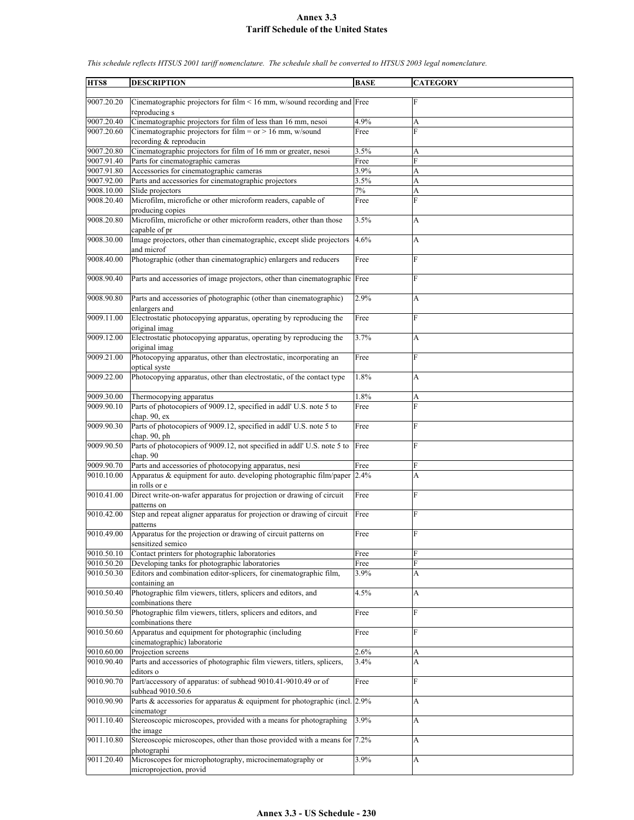**HTS8 DESCRIPTION BASE CATEGORY** 9007.20.20 Cinematographic projectors for film < 16 mm, w/sound recording and Free F reproducing s 9007.20.40 Cinematographic projectors for film of less than 16 mm, nesoi 4.9% A 9007.20.60 Cinematographic projectors for film = or > 16 mm, w/sound recording & reproducin Free F 9007.20.80 Cinematographic projectors for film of 16 mm or greater, nesoi 3.5% A 9007.91.40 Parts for cinematographic cameras Free Free F 9007.91.80 Accessories for cinematographic cameras 3.9% A 9007.92.00 Parts and accessories for cinematographic projectors 3.5% A 9008.10.00 Slide projectors and a set of the set of the set of the set of the set of the set of the set of the set of the set of the set of the set of the set of the set of the set of the set of the set of the set of the s 9008.20.40 Microfilm, microfiche or other microform readers, capable of producing copies Free **F** 9008.20.80 Microfilm, microfiche or other microform readers, other than those capable of pr 3.5% A 9008.30.00 Image projectors, other than cinematographic, except slide projectors and microf 4.6% A 9008.40.00 Photographic (other than cinematographic) enlargers and reducers Free 9008.90.40 Parts and accessories of image projectors, other than cinematographic Free 9008.90.80 Parts and accessories of photographic (other than cinematographic) enlargers and 2.9% A 9009.11.00 Electrostatic photocopying apparatus, operating by reproducing the original imag **Free** 9009.12.00 Electrostatic photocopying apparatus, operating by reproducing the original imag  $3.7\%$  A 9009.21.00 Photocopying apparatus, other than electrostatic, incorporating an optical syste Free F 9009.22.00 Photocopying apparatus, other than electrostatic, of the contact type 1.8% A 9009.30.00 Thermocopying apparatus 1.8% A 9009.90.10 Parts of photocopiers of 9009.12, specified in addl' U.S. note 5 to chap. 90, ex Free F 9009.90.30 Parts of photocopiers of 9009.12, specified in addl' U.S. note 5 to chap. 90, ph Free F 9009.90.50 Parts of photocopiers of 9009.12, not specified in addl' U.S. note 5 to chap. 90 Free 9009.90.70 Parts and accessories of photocopying apparatus, nesi Free 9010.10.00 Apparatus & equipment for auto. developing photographic film/paper in rolls or e 2.4% A 9010.41.00 Direct write-on-wafer apparatus for projection or drawing of circuit patterns on Free F 9010.42.00 Step and repeat aligner apparatus for projection or drawing of circuit patterns Free F 9010.49.00 Apparatus for the projection or drawing of circuit patterns on sensitized semico Free F 9010.50.10 Contact printers for photographic laboratories Free 9010.50.20 Developing tanks for photographic laboratories Free 9010.50.30 Editors and combination editor-splicers, for cinematographic film, containing an 3.9% A 9010.50.40 Photographic film viewers, titlers, splicers and editors, and combinations there 4.5% A 9010.50.50 Photographic film viewers, titlers, splicers and editors, and combinations there Free F 9010.50.60 Apparatus and equipment for photographic (including cinematographic) laboratorie Free F 9010.60.00 Projection screens 2.6% A 9010.90.40 Parts and accessories of photographic film viewers, titlers, splicers, editors o 3.4% A 9010.90.70 Part/accessory of apparatus: of subhead 9010.41-9010.49 or of subhead 9010.50.6 Free F 9010.90.90 Parts & accessories for apparatus & equipment for photographic (incl. cinematogr 2.9% A 9011.10.40 Stereoscopic microscopes, provided with a means for photographing the image 3.9% A 9011.10.80 Stereoscopic microscopes, other than those provided with a means for photographi 7.2% A 9011.20.40 Microscopes for microphotography, microcinematography or microprojection, provid  $3.9\%$  A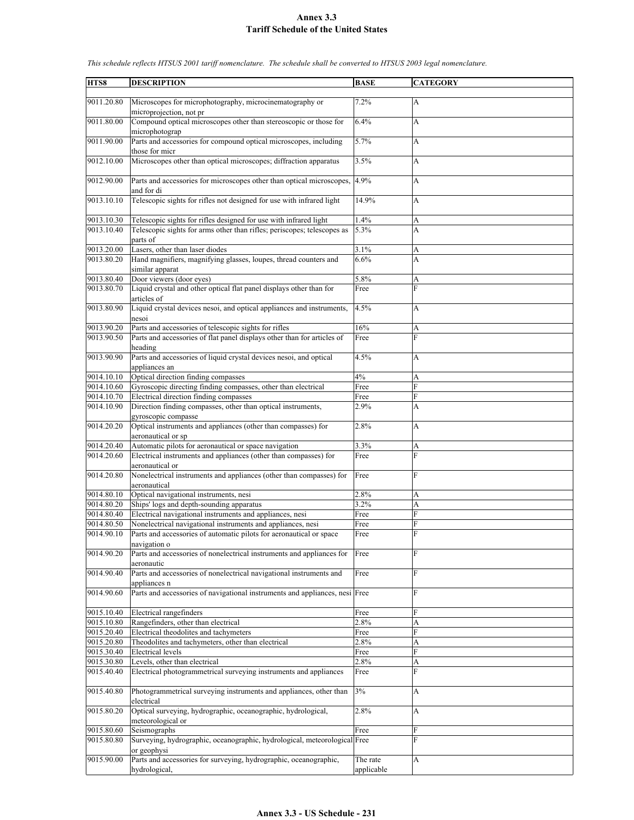| HTS8                     | <b>DESCRIPTION</b>                                                                  | <b>BASE</b>            | <b>CATEGORY</b> |
|--------------------------|-------------------------------------------------------------------------------------|------------------------|-----------------|
|                          |                                                                                     |                        |                 |
| 9011.20.80               | Microscopes for microphotography, microcinematography or<br>microprojection, not pr | 7.2%                   | А               |
| 9011.80.00               | Compound optical microscopes other than stereoscopic or those for<br>microphotograp | 6.4%                   | A               |
| 9011.90.00               | Parts and accessories for compound optical microscopes, including<br>those for micr | 5.7%                   | A               |
| 9012.10.00               | Microscopes other than optical microscopes; diffraction apparatus                   | 3.5%                   | A               |
| 9012.90.00               | Parts and accessories for microscopes other than optical microscopes,               | 4.9%                   | A               |
|                          | and for di                                                                          |                        |                 |
| 9013.10.10               | Telescopic sights for rifles not designed for use with infrared light               | 14.9%                  | A               |
| 9013.10.30               | Telescopic sights for rifles designed for use with infrared light                   | 1.4%                   | A               |
| 9013.10.40               | Telescopic sights for arms other than rifles; periscopes; telescopes as<br>parts of | 5.3%                   | A               |
| 9013.20.00               | Lasers, other than laser diodes                                                     | 3.1%                   | A               |
| 9013.80.20               | Hand magnifiers, magnifying glasses, loupes, thread counters and<br>similar apparat | 6.6%                   | A               |
| 9013.80.40               | Door viewers (door eyes)                                                            | 5.8%                   | A               |
| 9013.80.70               | Liquid crystal and other optical flat panel displays other than for<br>articles of  | Free                   | F               |
| 9013.80.90               | Liquid crystal devices nesoi, and optical appliances and instruments,               | 4.5%                   | А               |
|                          | nesoi                                                                               |                        |                 |
| 9013.90.20               | Parts and accessories of telescopic sights for rifles                               | 16%                    | A               |
| 9013.90.50               | Parts and accessories of flat panel displays other than for articles of<br>heading  | Free                   | $\overline{F}$  |
| 9013.90.90               | Parts and accessories of liquid crystal devices nesoi, and optical<br>appliances an | 4.5%                   | A               |
|                          | Optical direction finding compasses                                                 | 4%                     | А               |
| 9014.10.10<br>9014.10.60 | Gyroscopic directing finding compasses, other than electrical                       | Free                   | F               |
| 9014.10.70               | Electrical direction finding compasses                                              | Free                   | F               |
| 9014.10.90               | Direction finding compasses, other than optical instruments,<br>gyroscopic compasse | 2.9%                   | A               |
| 9014.20.20               | Optical instruments and appliances (other than compasses) for<br>aeronautical or sp | 2.8%                   | A               |
| 9014.20.40               | Automatic pilots for aeronautical or space navigation                               | 3.3%                   | A               |
| 9014.20.60               | Electrical instruments and appliances (other than compasses) for<br>aeronautical or | Free                   | F               |
| 9014.20.80               | Nonelectrical instruments and appliances (other than compasses) for<br>aeronautical | Free                   | $\overline{F}$  |
| 9014.80.10               | Optical navigational instruments, nesi                                              | 2.8%                   | A               |
| 9014.80.20               | Ships' logs and depth-sounding apparatus                                            | 3.2%                   | A               |
| 9014.80.40               | Electrical navigational instruments and appliances, nesi                            | Free                   | F               |
| 9014.80.50               | Nonelectrical navigational instruments and appliances, nesi                         | Free                   | F               |
| 9014.90.10               | Parts and accessories of automatic pilots for aeronautical or space<br>navigation o | Free                   | $\mathbf{F}$    |
| 9014.90.20               | Parts and accessories of nonelectrical instruments and appliances for<br>aeronautic | Free                   | F               |
| 9014.90.40               | Parts and accessories of nonelectrical navigational instruments and<br>appliances n | Free                   | F               |
| 9014.90.60               | Parts and accessories of navigational instruments and appliances, nesi Free         |                        | F               |
| 9015.10.40               | Electrical rangefinders                                                             | Free                   | F               |
| 9015.10.80               | Rangefinders, other than electrical                                                 | 2.8%                   | A               |
| 9015.20.40               | Electrical theodolites and tachymeters                                              | Free                   | F               |
| 9015.20.80               | Theodolites and tachymeters, other than electrical                                  | 2.8%                   | А               |
| 9015.30.40               | <b>Electrical levels</b>                                                            | Free                   | F               |
| 9015.30.80               | Levels, other than electrical                                                       | 2.8%                   | A               |
| 9015.40.40               | Electrical photogrammetrical surveying instruments and appliances                   | Free                   | F               |
| 9015.40.80               | Photogrammetrical surveying instruments and appliances, other than<br>electrical    | 3%                     | A               |
| 9015.80.20               | Optical surveying, hydrographic, oceanographic, hydrological,<br>meteorological or  | 2.8%                   | A               |
| 9015.80.60               | Seismographs                                                                        | Free                   | F               |
| 9015.80.80               | Surveying, hydrographic, oceanographic, hydrological, meteorological Free           |                        | F               |
|                          | or geophysi                                                                         |                        |                 |
| 9015.90.00               | Parts and accessories for surveying, hydrographic, oceanographic,<br>hydrological,  | The rate<br>applicable | A               |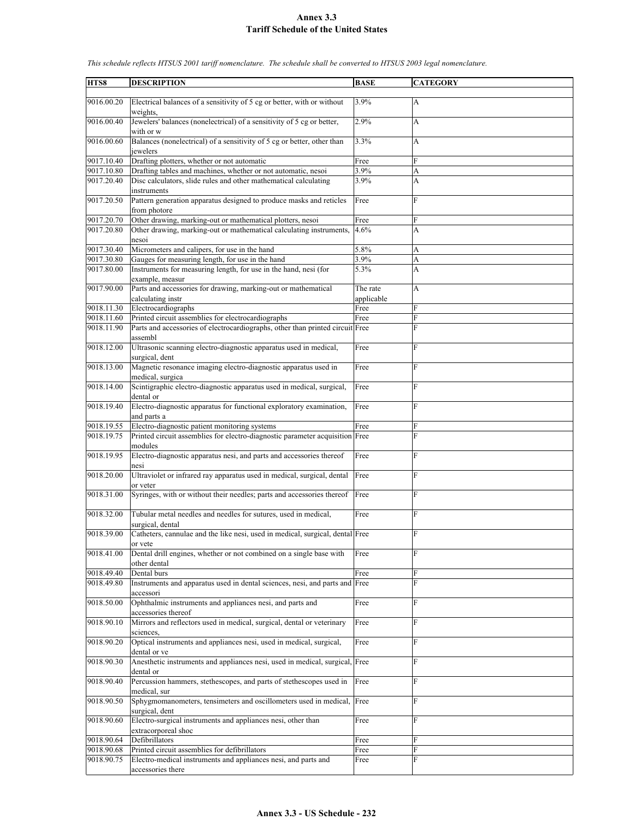| HTS8       | <b>DESCRIPTION</b>                                                            | <b>BASE</b> | <b>CATEGORY</b> |
|------------|-------------------------------------------------------------------------------|-------------|-----------------|
|            |                                                                               |             |                 |
| 9016.00.20 | Electrical balances of a sensitivity of 5 cg or better, with or without       | 3.9%        | A               |
|            | weights.                                                                      |             |                 |
| 9016.00.40 | Jewelers' balances (nonelectrical) of a sensitivity of 5 cg or better,        | 2.9%        | A               |
|            |                                                                               |             |                 |
|            | with or w                                                                     |             |                 |
| 9016.00.60 | Balances (nonelectrical) of a sensitivity of 5 cg or better, other than       | 3.3%        | A               |
|            | jewelers                                                                      |             |                 |
| 9017.10.40 | Drafting plotters, whether or not automatic                                   | Free        | F               |
| 9017.10.80 | Drafting tables and machines, whether or not automatic, nesoi                 | 3.9%        | A               |
|            |                                                                               |             |                 |
| 9017.20.40 | Disc calculators, slide rules and other mathematical calculating              | 3.9%        | A               |
|            | instruments                                                                   |             |                 |
| 9017.20.50 | Pattern generation apparatus designed to produce masks and reticles           | Free        | F               |
|            | from photore                                                                  |             |                 |
| 9017.20.70 | Other drawing, marking-out or mathematical plotters, nesoi                    | Free        | F               |
|            |                                                                               |             |                 |
| 9017.20.80 | Other drawing, marking-out or mathematical calculating instruments,           | 4.6%        | A               |
|            | nesoi                                                                         |             |                 |
| 9017.30.40 | Micrometers and calipers, for use in the hand                                 | 5.8%        | A               |
| 9017.30.80 | Gauges for measuring length, for use in the hand                              | 3.9%        | A               |
| 9017.80.00 | Instruments for measuring length, for use in the hand, nesi (for              | 5.3%        | A               |
|            |                                                                               |             |                 |
|            | example, measur                                                               |             |                 |
| 9017.90.00 | Parts and accessories for drawing, marking-out or mathematical                | The rate    | A               |
|            | calculating instr                                                             | applicable  |                 |
| 9018.11.30 | Electrocardiographs                                                           | Free        | F               |
| 9018.11.60 | Printed circuit assemblies for electrocardiographs                            | Free        | F               |
| 9018.11.90 |                                                                               |             | F               |
|            | Parts and accessories of electrocardiographs, other than printed circuit Free |             |                 |
|            | assembl                                                                       |             |                 |
| 9018.12.00 | Ultrasonic scanning electro-diagnostic apparatus used in medical,             | Free        | F               |
|            | surgical, dent                                                                |             |                 |
| 9018.13.00 | Magnetic resonance imaging electro-diagnostic apparatus used in               | Free        | F               |
|            |                                                                               |             |                 |
|            | medical, surgica                                                              |             |                 |
| 9018.14.00 | Scintigraphic electro-diagnostic apparatus used in medical, surgical,         | Free        | F               |
|            | dental or                                                                     |             |                 |
| 9018.19.40 | Electro-diagnostic apparatus for functional exploratory examination,          | Free        | F               |
|            | and parts a                                                                   |             |                 |
|            |                                                                               |             |                 |
| 9018.19.55 | Electro-diagnostic patient monitoring systems                                 | Free        | F               |
| 9018.19.75 | Printed circuit assemblies for electro-diagnostic parameter acquisition Free  |             | F               |
|            | modules                                                                       |             |                 |
| 9018.19.95 | Electro-diagnostic apparatus nesi, and parts and accessories thereof          | Free        | F               |
|            | nesi                                                                          |             |                 |
|            |                                                                               |             |                 |
| 9018.20.00 | Ultraviolet or infrared ray apparatus used in medical, surgical, dental       | Free        | F               |
|            | or veter                                                                      |             |                 |
| 9018.31.00 | Syringes, with or without their needles; parts and accessories thereof        | Free        | F               |
|            |                                                                               |             |                 |
| 9018.32.00 | Tubular metal needles and needles for sutures, used in medical,               | Free        | F               |
|            |                                                                               |             |                 |
|            | surgical, dental                                                              |             |                 |
| 9018.39.00 | Catheters, cannulae and the like nesi, used in medical, surgical, dental Free |             | F               |
|            | or vete                                                                       |             |                 |
| 9018.41.00 | Dental drill engines, whether or not combined on a single base with           | Free        | F               |
|            | other dental                                                                  |             |                 |
|            |                                                                               |             |                 |
| 9018.49.40 | Dental burs                                                                   | Free        | F               |
| 9018.49.80 | Instruments and apparatus used in dental sciences, nesi, and parts and Free   |             | F               |
|            | accessori                                                                     |             |                 |
| 9018.50.00 | Ophthalmic instruments and appliances nesi, and parts and                     | Free        | F               |
|            | accessories thereof                                                           |             |                 |
|            |                                                                               |             |                 |
| 9018.90.10 | Mirrors and reflectors used in medical, surgical, dental or veterinary        | Free        | F               |
|            | sciences.                                                                     |             |                 |
| 9018.90.20 | Optical instruments and appliances nesi, used in medical, surgical,           | Free        | F               |
|            | dental or ve                                                                  |             |                 |
| 9018.90.30 | Anesthetic instruments and appliances nesi, used in medical, surgical, Free   |             | F               |
|            |                                                                               |             |                 |
|            | dental or                                                                     |             |                 |
| 9018.90.40 | Percussion hammers, stethescopes, and parts of stethescopes used in           | Free        | F               |
|            | medical, sur                                                                  |             |                 |
| 9018.90.50 | Sphygmomanometers, tensimeters and oscillometers used in medical, Free        |             | F               |
|            |                                                                               |             |                 |
|            | surgical, dent                                                                |             |                 |
| 9018.90.60 | Electro-surgical instruments and appliances nesi, other than                  | Free        | F               |
|            | extracorporeal shoc                                                           |             |                 |
| 9018.90.64 | Defibrillators                                                                | Free        | F               |
| 9018.90.68 | Printed circuit assemblies for defibrillators                                 | Free        | F               |
|            |                                                                               |             | F               |
| 9018.90.75 | Electro-medical instruments and appliances nesi, and parts and                | Free        |                 |
|            | accessories there                                                             |             |                 |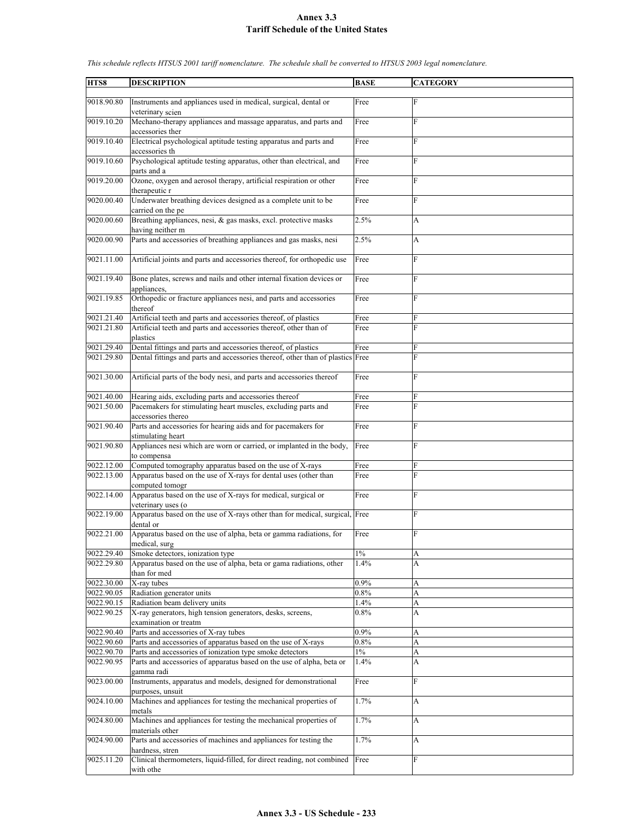| HTS8       | <b>DESCRIPTION</b>                                                             | <b>BASE</b> | <b>CATEGORY</b>           |
|------------|--------------------------------------------------------------------------------|-------------|---------------------------|
|            |                                                                                |             |                           |
| 9018.90.80 | Instruments and appliances used in medical, surgical, dental or                | Free        | $\mathbf F$               |
|            | veterinary scien                                                               |             |                           |
|            |                                                                                |             |                           |
| 9019.10.20 | Mechano-therapy appliances and massage apparatus, and parts and                | Free        | F                         |
|            | accessories ther                                                               |             |                           |
| 9019.10.40 | Electrical psychological aptitude testing apparatus and parts and              | Free        | F                         |
|            | accessories th                                                                 |             |                           |
| 9019.10.60 | Psychological aptitude testing apparatus, other than electrical, and           |             | F                         |
|            |                                                                                | Free        |                           |
|            | parts and a                                                                    |             |                           |
| 9019.20.00 | Ozone, oxygen and aerosol therapy, artificial respiration or other             | Free        | F                         |
|            | therapeutic r                                                                  |             |                           |
| 9020.00.40 | Underwater breathing devices designed as a complete unit to be                 | Free        | F                         |
|            |                                                                                |             |                           |
|            | carried on the pe                                                              |             |                           |
| 9020.00.60 | Breathing appliances, nesi, & gas masks, excl. protective masks                | 2.5%        | A                         |
|            | having neither m                                                               |             |                           |
| 9020.00.90 | Parts and accessories of breathing appliances and gas masks, nesi              | 2.5%        | $\boldsymbol{\mathsf{A}}$ |
|            |                                                                                |             |                           |
|            |                                                                                |             | F                         |
| 9021.11.00 | Artificial joints and parts and accessories thereof, for orthopedic use        | Free        |                           |
|            |                                                                                |             |                           |
| 9021.19.40 | Bone plates, screws and nails and other internal fixation devices or           | Free        | F                         |
|            | appliances.                                                                    |             |                           |
| 9021.19.85 | Orthopedic or fracture appliances nesi, and parts and accessories              | Free        | F                         |
|            | thereof                                                                        |             |                           |
|            |                                                                                |             |                           |
| 9021.21.40 | Artificial teeth and parts and accessories thereof, of plastics                | Free        | F                         |
| 9021.21.80 | Artificial teeth and parts and accessories thereof, other than of              | Free        | $\mathbf{F}$              |
|            | plastics                                                                       |             |                           |
| 9021.29.40 | Dental fittings and parts and accessories thereof, of plastics                 | Free        | F                         |
| 9021.29.80 | Dental fittings and parts and accessories thereof, other than of plastics Free |             | F                         |
|            |                                                                                |             |                           |
|            |                                                                                |             |                           |
| 9021.30.00 | Artificial parts of the body nesi, and parts and accessories thereof           | Free        | F                         |
|            |                                                                                |             |                           |
| 9021.40.00 | Hearing aids, excluding parts and accessories thereof                          | Free        | F                         |
| 9021.50.00 | Pacemakers for stimulating heart muscles, excluding parts and                  | Free        | F                         |
|            |                                                                                |             |                           |
|            | accessories thereo                                                             |             |                           |
| 9021.90.40 | Parts and accessories for hearing aids and for pacemakers for                  | Free        | F                         |
|            | stimulating heart                                                              |             |                           |
| 9021.90.80 | Appliances nesi which are worn or carried, or implanted in the body,           | Free        | F                         |
|            | to compensa                                                                    |             |                           |
| 9022.12.00 | Computed tomography apparatus based on the use of X-rays                       | Free        | F                         |
|            |                                                                                |             |                           |
| 9022.13.00 | Apparatus based on the use of X-rays for dental uses (other than               | Free        | F                         |
|            | computed tomogr                                                                |             |                           |
| 9022.14.00 | Apparatus based on the use of X-rays for medical, surgical or                  | Free        | F                         |
|            | veterinary uses (o                                                             |             |                           |
| 9022.19.00 | Apparatus based on the use of X-rays other than for medical, surgical, Free    |             | $\overline{F}$            |
|            |                                                                                |             |                           |
|            | dental or                                                                      |             |                           |
| 9022.21.00 | Apparatus based on the use of alpha, beta or gamma radiations, for             | Free        | F                         |
|            | medical, surg                                                                  |             |                           |
| 9022.29.40 | Smoke detectors, ionization type                                               | $1\%$       | A                         |
| 9022.29.80 | Apparatus based on the use of alpha, beta or gama radiations, other            | 1.4%        | A                         |
|            |                                                                                |             |                           |
|            | than for med                                                                   |             |                           |
| 9022.30.00 | X-ray tubes                                                                    | 0.9%        | A                         |
| 9022.90.05 | Radiation generator units                                                      | 0.8%        | A                         |
| 9022.90.15 | Radiation beam delivery units                                                  | 1.4%        | A                         |
| 9022.90.25 | X-ray generators, high tension generators, desks, screens,                     | 0.8%        | A                         |
|            | examination or treatm                                                          |             |                           |
|            |                                                                                |             |                           |
| 9022.90.40 | Parts and accessories of X-ray tubes                                           | 0.9%        | А                         |
| 9022.90.60 | Parts and accessories of apparatus based on the use of X-rays                  | 0.8%        | A                         |
| 9022.90.70 | Parts and accessories of ionization type smoke detectors                       | $1\%$       | A                         |
| 9022.90.95 | Parts and accessories of apparatus based on the use of alpha, beta or          | 1.4%        | A                         |
|            | gamma radi                                                                     |             |                           |
|            |                                                                                |             |                           |
| 9023.00.00 | Instruments, apparatus and models, designed for demonstrational                | Free        | F                         |
|            | purposes, unsuit                                                               |             |                           |
| 9024.10.00 | Machines and appliances for testing the mechanical properties of               | 1.7%        | А                         |
|            | metals                                                                         |             |                           |
| 9024.80.00 | Machines and appliances for testing the mechanical properties of               | 1.7%        | $\boldsymbol{\mathsf{A}}$ |
|            |                                                                                |             |                           |
|            | materials other                                                                |             |                           |
| 9024.90.00 | Parts and accessories of machines and appliances for testing the               | 1.7%        | A                         |
|            | hardness, stren                                                                |             |                           |
| 9025.11.20 | Clinical thermometers, liquid-filled, for direct reading, not combined         | Free        | F                         |
|            | with othe                                                                      |             |                           |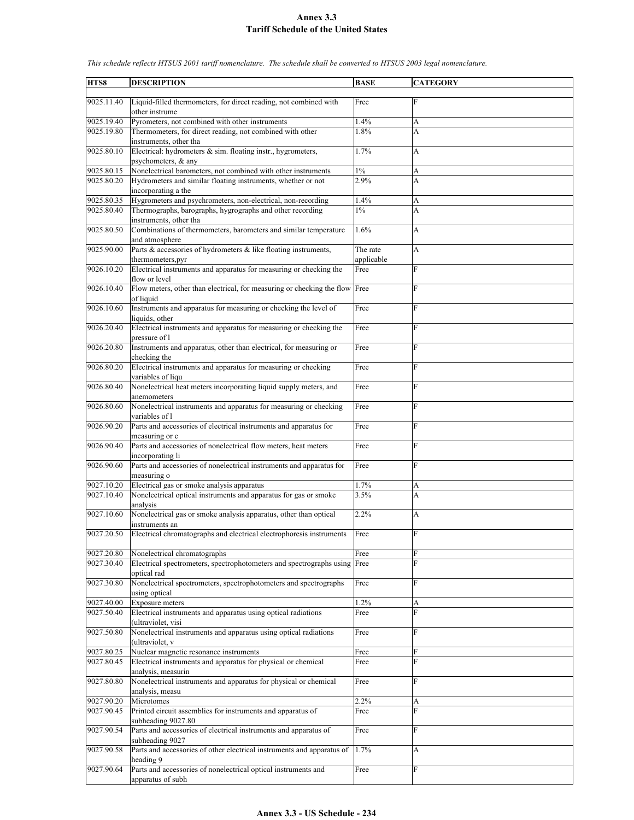| HTS8       | <b>DESCRIPTION</b>                                                                         | <b>BASE</b>            | <b>CATEGORY</b> |
|------------|--------------------------------------------------------------------------------------------|------------------------|-----------------|
|            |                                                                                            |                        |                 |
| 9025.11.40 | Liquid-filled thermometers, for direct reading, not combined with<br>other instrume        | Free                   | F               |
| 9025.19.40 | Pyrometers, not combined with other instruments                                            | 1.4%                   | А               |
| 9025.19.80 | Thermometers, for direct reading, not combined with other<br>instruments, other tha        | 1.8%                   | A               |
| 9025.80.10 | Electrical: hydrometers & sim. floating instr., hygrometers,<br>psychometers, & any        | 1.7%                   | A               |
| 9025.80.15 | Nonelectrical barometers, not combined with other instruments                              | $1\%$                  | A               |
| 9025.80.20 | Hydrometers and similar floating instruments, whether or not                               | 2.9%                   | A               |
|            | incorporating a the                                                                        |                        |                 |
| 9025.80.35 | Hygrometers and psychrometers, non-electrical, non-recording                               | 1.4%                   | A               |
| 9025.80.40 | Thermographs, barographs, hygrographs and other recording<br>instruments, other tha        | $1\%$                  | A               |
| 9025.80.50 | Combinations of thermometers, barometers and similar temperature<br>and atmosphere         | 1.6%                   | A               |
| 9025.90.00 | Parts $\&$ accessories of hydrometers $\&$ like floating instruments,<br>thermometers, pyr | The rate<br>applicable | A               |
| 9026.10.20 | Electrical instruments and apparatus for measuring or checking the<br>flow or level        | Free                   | F               |
| 9026.10.40 | Flow meters, other than electrical, for measuring or checking the flow Free                |                        | $\overline{F}$  |
| 9026.10.60 | of liquid<br>Instruments and apparatus for measuring or checking the level of              | Free                   | F               |
|            | liquids, other                                                                             |                        |                 |
| 9026.20.40 | Electrical instruments and apparatus for measuring or checking the<br>pressure of l        | Free                   | $\overline{F}$  |
| 9026.20.80 | Instruments and apparatus, other than electrical, for measuring or<br>checking the         | Free                   | $\overline{F}$  |
| 9026.80.20 | Electrical instruments and apparatus for measuring or checking<br>variables of liqu        | Free                   | F               |
| 9026.80.40 | Nonelectrical heat meters incorporating liquid supply meters, and                          | Free                   | $\overline{F}$  |
| 9026.80.60 | anemometers<br>Nonelectrical instruments and apparatus for measuring or checking           | Free                   | $\overline{F}$  |
| 9026.90.20 | variables of l<br>Parts and accessories of electrical instruments and apparatus for        | Free                   | $\overline{F}$  |
| 9026.90.40 | measuring or c<br>Parts and accessories of nonelectrical flow meters, heat meters          | Free                   | $\overline{F}$  |
| 9026.90.60 | incorporating li<br>Parts and accessories of nonelectrical instruments and apparatus for   | Free                   | F               |
| 9027.10.20 | measuring o<br>Electrical gas or smoke analysis apparatus                                  | 1.7%                   | A               |
| 9027.10.40 | Nonelectrical optical instruments and apparatus for gas or smoke                           | 3.5%                   | A               |
|            | analysis                                                                                   |                        |                 |
| 9027.10.60 | Nonelectrical gas or smoke analysis apparatus, other than optical<br>instruments an        | 2.2%                   | A               |
| 9027.20.50 | Electrical chromatographs and electrical electrophoresis instruments                       | Free                   | $\mathbf{F}$    |
| 9027.20.80 | Nonelectrical chromatographs                                                               | Free                   | F               |
| 9027.30.40 | Electrical spectrometers, spectrophotometers and spectrographs using Free<br>optical rad   |                        | F               |
| 9027.30.80 | Nonelectrical spectrometers, spectrophotometers and spectrographs<br>using optical         | Free                   | F               |
| 9027.40.00 | Exposure meters                                                                            | 1.2%                   | A               |
| 9027.50.40 | Electrical instruments and apparatus using optical radiations<br>(ultraviolet, visi        | Free                   | F               |
| 9027.50.80 | Nonelectrical instruments and apparatus using optical radiations                           | Free                   | $\mathbf{F}$    |
| 9027.80.25 | (ultraviolet, v<br>Nuclear magnetic resonance instruments                                  | Free                   | F               |
| 9027.80.45 | Electrical instruments and apparatus for physical or chemical                              | Free                   | F               |
|            | analysis, measurin                                                                         |                        |                 |
| 9027.80.80 | Nonelectrical instruments and apparatus for physical or chemical<br>analysis, measu        | Free                   | $\overline{F}$  |
| 9027.90.20 | Microtomes                                                                                 | 2.2%                   | А               |
| 9027.90.45 | Printed circuit assemblies for instruments and apparatus of<br>subheading 9027.80          | Free                   | F               |
| 9027.90.54 | Parts and accessories of electrical instruments and apparatus of<br>subheading 9027        | Free                   | $\overline{F}$  |
| 9027.90.58 | Parts and accessories of other electrical instruments and apparatus of<br>heading 9        | 1.7%                   | A               |
| 9027.90.64 | Parts and accessories of nonelectrical optical instruments and                             | Free                   | F               |
|            | apparatus of subh                                                                          |                        |                 |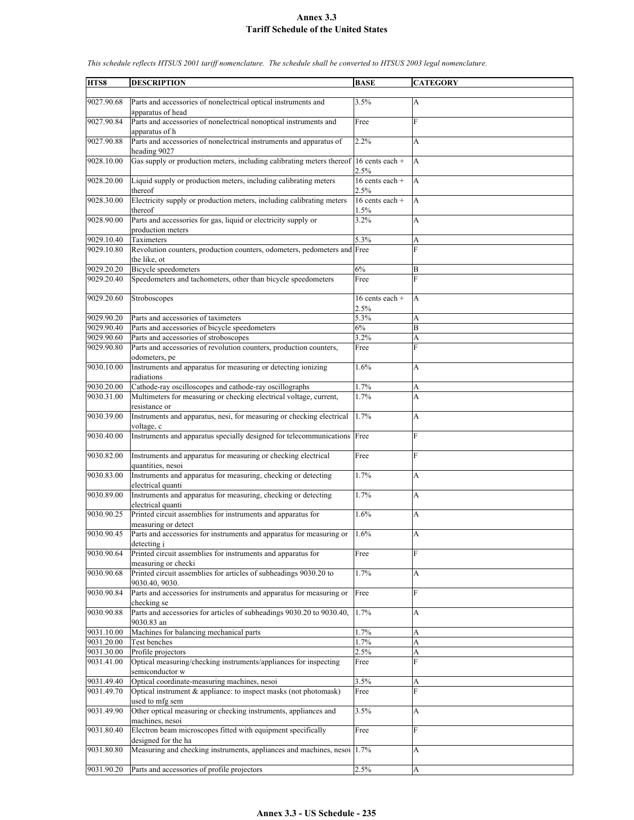| HTS8       | <b>DESCRIPTION</b>                                                                     | <b>BASE</b>               | <b>CATEGORY</b> |
|------------|----------------------------------------------------------------------------------------|---------------------------|-----------------|
|            |                                                                                        |                           |                 |
| 9027.90.68 | Parts and accessories of nonelectrical optical instruments and<br>apparatus of head    | 3.5%                      | $\mathbf{A}$    |
| 9027.90.84 | Parts and accessories of nonelectrical nonoptical instruments and                      | Free                      | $\mathbf{F}$    |
| 9027.90.88 | apparatus of h<br>Parts and accessories of nonelectrical instruments and apparatus of  | 2.2%                      | A               |
|            | heading 9027                                                                           |                           |                 |
| 9028.10.00 | Gas supply or production meters, including calibrating meters thereof 16 cents each +  | 2.5%                      | A               |
| 9028.20.00 | Liquid supply or production meters, including calibrating meters                       | $16$ cents each +         | A               |
|            | thereof                                                                                | 2.5%                      |                 |
| 9028.30.00 | Electricity supply or production meters, including calibrating meters<br>thereof       | 16 cents each $+$<br>1.5% | $\overline{A}$  |
| 9028.90.00 | Parts and accessories for gas, liquid or electricity supply or                         | 3.2%                      | A               |
|            | production meters                                                                      |                           |                 |
| 9029.10.40 | Taximeters                                                                             | 5.3%                      | A               |
| 9029.10.80 | Revolution counters, production counters, odometers, pedometers and Free               |                           | $\overline{F}$  |
|            | the like, ot                                                                           |                           |                 |
| 9029.20.20 | <b>Bicycle</b> speedometers                                                            | 6%                        | B               |
| 9029.20.40 | Speedometers and tachometers, other than bicycle speedometers                          | Free                      | F               |
| 9029.20.60 | Stroboscopes                                                                           | 16 cents each $+$         | A               |
|            |                                                                                        | 2.5%                      |                 |
| 9029.90.20 | Parts and accessories of taximeters                                                    | 5.3%                      | А               |
| 9029.90.40 | Parts and accessories of bicycle speedometers                                          | 6%                        | B               |
|            |                                                                                        |                           |                 |
| 9029.90.60 | Parts and accessories of stroboscopes                                                  | 3.2%                      | A               |
| 9029.90.80 | Parts and accessories of revolution counters, production counters,<br>odometers, pe    | Free                      | $\overline{F}$  |
| 9030.10.00 | Instruments and apparatus for measuring or detecting ionizing<br>radiations            | 1.6%                      | A               |
| 9030.20.00 | Cathode-ray oscilloscopes and cathode-ray oscillographs                                | 1.7%                      | A               |
| 9030.31.00 | Multimeters for measuring or checking electrical voltage, current,                     | 1.7%                      | A               |
|            | resistance or                                                                          |                           |                 |
| 9030.39.00 | Instruments and apparatus, nesi, for measuring or checking electrical<br>voltage, c    | 1.7%                      | A               |
| 9030.40.00 | Instruments and apparatus specially designed for telecommunications Free               |                           | F               |
| 9030.82.00 | Instruments and apparatus for measuring or checking electrical<br>quantities, nesoi    | Free                      | F               |
| 9030.83.00 | Instruments and apparatus for measuring, checking or detecting                         | 1.7%                      | A               |
| 9030.89.00 | electrical quanti<br>Instruments and apparatus for measuring, checking or detecting    | 1.7%                      | A               |
| 9030.90.25 | electrical quanti<br>Printed circuit assemblies for instruments and apparatus for      | 1.6%                      | A               |
|            | measuring or detect                                                                    |                           |                 |
| 9030.90.45 | Parts and accessories for instruments and apparatus for measuring or<br>detecting i    | 1.6%                      | A               |
| 9030.90.64 | Printed circuit assemblies for instruments and apparatus for<br>measuring or checki    | Free                      | F               |
| 9030.90.68 | Printed circuit assemblies for articles of subheadings 9030.20 to                      | 1.7%                      | A               |
| 9030.90.84 | 9030.40, 9030.<br>Parts and accessories for instruments and apparatus for measuring or | Free                      | F               |
|            | checking se                                                                            |                           |                 |
| 9030.90.88 | Parts and accessories for articles of subheadings 9030.20 to 9030.40,<br>9030.83 an    | 1.7%                      | A               |
| 9031.10.00 | Machines for balancing mechanical parts                                                | 1.7%                      | A               |
| 9031.20.00 | Test benches                                                                           | 1.7%                      | A               |
| 9031.30.00 | Profile projectors                                                                     | 2.5%                      | A               |
| 9031.41.00 | Optical measuring/checking instruments/appliances for inspecting<br>semiconductor w    | Free                      | F               |
| 9031.49.40 | Optical coordinate-measuring machines, nesoi                                           | 3.5%                      | A               |
| 9031.49.70 | Optical instrument & appliance: to inspect masks (not photomask)                       | Free                      | F               |
| 9031.49.90 | used to mfg sem<br>Other optical measuring or checking instruments, appliances and     | 3.5%                      | A               |
| 9031.80.40 | machines, nesoi<br>Electron beam microscopes fitted with equipment specifically        | Free                      | $\mathbf{F}$    |
|            | designed for the ha                                                                    |                           |                 |
| 9031.80.80 | Measuring and checking instruments, appliances and machines, nesoi                     | 1.7%                      | A               |
| 9031.90.20 | Parts and accessories of profile projectors                                            | 2.5%                      | A               |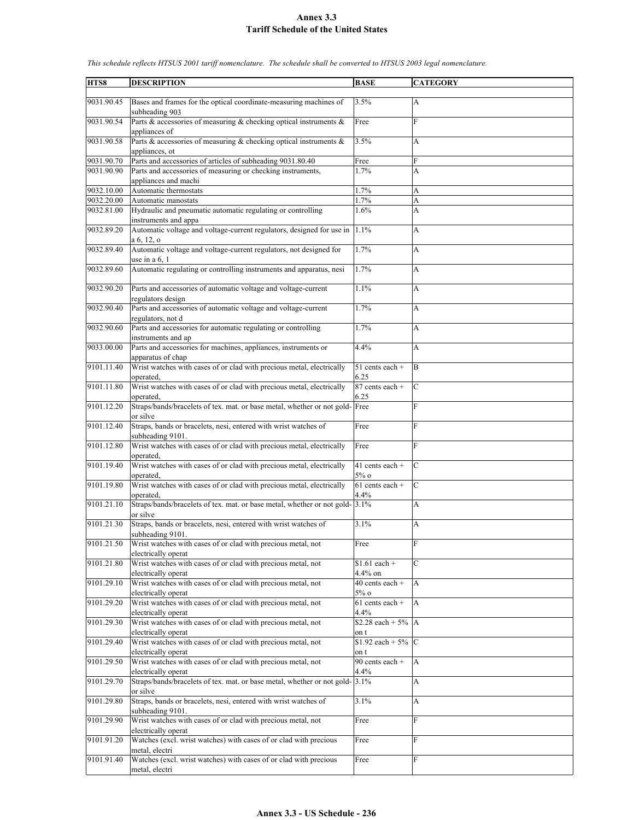| HTS8       | <b>DESCRIPTION</b>                                                                      | <b>BASE</b>                   | <b>CATEGORY</b> |
|------------|-----------------------------------------------------------------------------------------|-------------------------------|-----------------|
| 9031.90.45 | Bases and frames for the optical coordinate-measuring machines of<br>subheading 903     | 3.5%                          | A               |
| 9031.90.54 | Parts & accessories of measuring & checking optical instruments &                       | Free                          | $\mathbf{F}$    |
| 9031.90.58 | appliances of<br>Parts & accessories of measuring & checking optical instruments $\&$   | 3.5%                          | A               |
|            | appliances, ot                                                                          |                               |                 |
| 9031.90.70 | Parts and accessories of articles of subheading 9031.80.40                              | Free                          | F               |
| 9031.90.90 | Parts and accessories of measuring or checking instruments,<br>appliances and machi     | 1.7%                          | A               |
| 9032.10.00 | Automatic thermostats                                                                   | 1.7%                          | A               |
| 9032.20.00 | Automatic manostats                                                                     | 1.7%                          | A               |
| 9032.81.00 | Hydraulic and pneumatic automatic regulating or controlling<br>instruments and appa     | 1.6%                          | A               |
| 9032.89.20 | Automatic voltage and voltage-current regulators, designed for use in<br>$a\ 6, 12, o$  | 1.1%                          | A               |
| 9032.89.40 | Automatic voltage and voltage-current regulators, not designed for<br>use in a $6, 1$   | 1.7%                          | A               |
| 9032.89.60 | Automatic regulating or controlling instruments and apparatus, nesi                     | 1.7%                          | A               |
| 9032.90.20 | Parts and accessories of automatic voltage and voltage-current                          | 1.1%                          | A               |
|            | regulators design                                                                       |                               |                 |
| 9032.90.40 | Parts and accessories of automatic voltage and voltage-current<br>regulators, not d     | 1.7%                          | A               |
| 9032.90.60 | Parts and accessories for automatic regulating or controlling<br>instruments and ap     | 1.7%                          | A               |
| 9033.00.00 | Parts and accessories for machines, appliances, instruments or<br>apparatus of chap     | 4.4%                          | A               |
| 9101.11.40 | Wrist watches with cases of or clad with precious metal, electrically<br>operated.      | $51$ cents each +<br>6.25     | B               |
| 9101.11.80 | Wrist watches with cases of or clad with precious metal, electrically<br>operated.      | 87 cents each +<br>6.25       | $\mathbf C$     |
| 9101.12.20 | Straps/bands/bracelets of tex. mat. or base metal, whether or not gold-Free<br>or silve |                               | F               |
| 9101.12.40 | Straps, bands or bracelets, nesi, entered with wrist watches of<br>subheading 9101.     | Free                          | F               |
| 9101.12.80 | Wrist watches with cases of or clad with precious metal, electrically<br>operated.      | Free                          | $\mathbf{F}$    |
| 9101.19.40 | Wrist watches with cases of or clad with precious metal, electrically<br>operated.      | $41$ cents each +<br>$5\%$ o  | $\mathbf C$     |
| 9101.19.80 | Wrist watches with cases of or clad with precious metal, electrically<br>operated,      | $61$ cents each +<br>4.4%     | $\mathsf{C}$    |
| 9101.21.10 | Straps/bands/bracelets of tex. mat. or base metal, whether or not gold- 3.1%            |                               | A               |
|            | or silve                                                                                |                               |                 |
| 9101.21.30 | Straps, bands or bracelets, nesi, entered with wrist watches of<br>subheading 9101.     | 3.1%                          | A               |
| 9101.21.50 | Wrist watches with cases of or clad with precious metal, not<br>electrically operat     | Free                          | $\overline{F}$  |
| 9101.21.80 | Wrist watches with cases of or clad with precious metal, not<br>electrically operat     | $$1.61 each +$<br>$4.4\%$ on  | $\mathbf C$     |
| 9101.29.10 | Wrist watches with cases of or clad with precious metal, not<br>electrically operat     | 40 cents each +<br>$5\%$ o    | A               |
| 9101.29.20 | Wrist watches with cases of or clad with precious metal, not<br>electrically operat     | 61 cents each +<br>4.4%       | $\mathbf{A}$    |
| 9101.29.30 | Wrist watches with cases of or clad with precious metal, not                            | \$2.28 each + $5\%$ A         |                 |
|            | electrically operat                                                                     | on t                          |                 |
| 9101.29.40 | Wrist watches with cases of or clad with precious metal, not<br>electrically operat     | \$1.92 each + $5\%$ C<br>on t |                 |
| 9101.29.50 | Wrist watches with cases of or clad with precious metal, not<br>electrically operat     | 90 cents each +<br>4.4%       | A               |
| 9101.29.70 | Straps/bands/bracelets of tex. mat. or base metal, whether or not gold-                 | 3.1%                          | A               |
| 9101.29.80 | or silve<br>Straps, bands or bracelets, nesi, entered with wrist watches of             | 3.1%                          | А               |
| 9101.29.90 | subheading 9101.<br>Wrist watches with cases of or clad with precious metal, not        | Free                          | $\mathbf{F}$    |
|            | electrically operat                                                                     |                               |                 |
| 9101.91.20 | Watches (excl. wrist watches) with cases of or clad with precious<br>metal, electri     | Free                          | F               |
| 9101.91.40 | Watches (excl. wrist watches) with cases of or clad with precious<br>metal, electri     | Free                          | F               |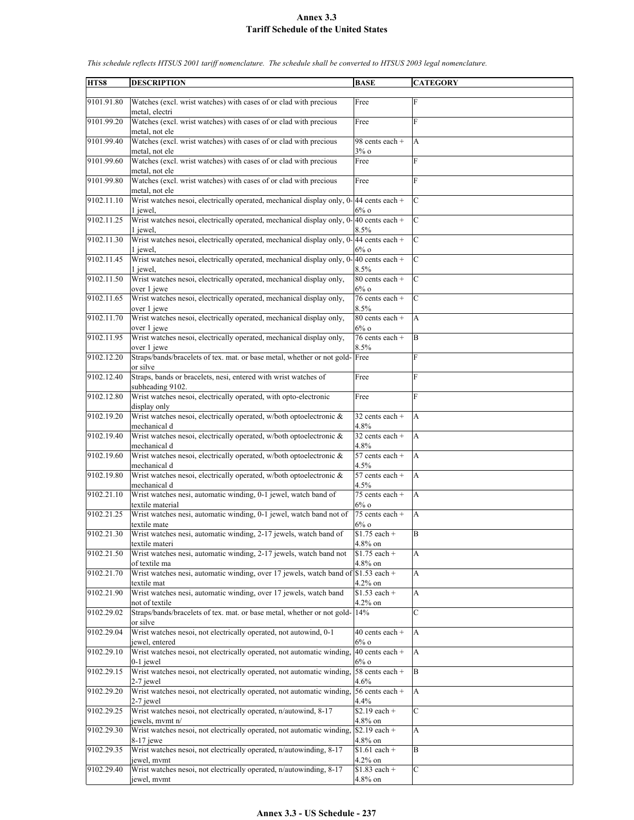| HTS8       | <b>DESCRIPTION</b>                                                                                   | <b>BASE</b>                  | <b>CATEGORY</b> |
|------------|------------------------------------------------------------------------------------------------------|------------------------------|-----------------|
| 9101.91.80 | Watches (excl. wrist watches) with cases of or clad with precious                                    | Free                         | F               |
|            | metal, electri                                                                                       |                              |                 |
| 9101.99.20 | Watches (excl. wrist watches) with cases of or clad with precious                                    | Free                         | F               |
|            | metal, not ele                                                                                       | 98 cents each +              |                 |
| 9101.99.40 | Watches (excl. wrist watches) with cases of or clad with precious<br>metal, not ele                  | 3%o                          | А               |
| 9101.99.60 | Watches (excl. wrist watches) with cases of or clad with precious                                    | Free                         | F               |
|            | metal, not ele                                                                                       |                              | F               |
| 9101.99.80 | Watches (excl. wrist watches) with cases of or clad with precious<br>metal, not ele                  | Free                         |                 |
| 9102.11.10 | Wrist watches nesoi, electrically operated, mechanical display only, 0-44 cents each +               |                              | $\mathcal{C}$   |
| 9102.11.25 | 1 iewel.<br>Wrist watches nesoi, electrically operated, mechanical display only, $0-40$ cents each + | $6\%$ o                      | $\mathcal{C}$   |
|            | 1 jewel,                                                                                             | 8.5%                         |                 |
| 9102.11.30 | Wrist watches nesoi, electrically operated, mechanical display only, 0-                              | 44 cents each +              | $\mathcal{C}$   |
| 9102.11.45 | 1 jewel,<br>Wrist watches nesoi, electrically operated, mechanical display only, 0-                  | $6\%$ o<br>$40$ cents each + | C               |
|            | 1 jewel,                                                                                             | 8.5%                         |                 |
| 9102.11.50 | Wrist watches nesoi, electrically operated, mechanical display only,                                 | 80 cents each +              | C               |
| 9102.11.65 | over 1 jewe<br>Wrist watches nesoi, electrically operated, mechanical display only,                  | $6\%$ o<br>76 cents each +   | $\mathcal{C}$   |
|            | over 1 jewe                                                                                          | 8.5%                         |                 |
| 9102.11.70 | Wrist watches nesoi, electrically operated, mechanical display only,                                 | 80 cents each +              | A               |
| 9102.11.95 | over 1 jewe<br>Wrist watches nesoi, electrically operated, mechanical display only,                  | $6\%$ o<br>76 cents each +   | B               |
|            | over 1 jewe                                                                                          | 8.5%                         |                 |
| 9102.12.20 | Straps/bands/bracelets of tex. mat. or base metal, whether or not gold- Free                         |                              | F               |
| 9102.12.40 | or silve<br>Straps, bands or bracelets, nesi, entered with wrist watches of                          | Free                         | F               |
|            | subheading 9102.                                                                                     |                              |                 |
| 9102.12.80 | Wrist watches nesoi, electrically operated, with opto-electronic                                     | Free                         | F               |
| 9102.19.20 | display only<br>Wrist watches nesoi, electrically operated, w/both optoelectronic &                  | 32 cents each +              | A               |
|            | mechanical d                                                                                         | 4.8%                         |                 |
| 9102.19.40 | Wrist watches nesoi, electrically operated, w/both optoelectronic &                                  | 32 cents each +              | A               |
| 9102.19.60 | mechanical d<br>Wrist watches nesoi, electrically operated, w/both optoelectronic &                  | 4.8%<br>57 cents each +      | A               |
|            | mechanical d                                                                                         | 4.5%                         |                 |
| 9102.19.80 | Wrist watches nesoi, electrically operated, w/both optoelectronic &                                  | 57 cents each +              | A               |
| 9102.21.10 | mechanical d<br>Wrist watches nesi, automatic winding, 0-1 jewel, watch band of                      | 4.5%<br>75 cents each $+$    | A               |
|            | textile material                                                                                     | $6\%$ o                      |                 |
| 9102.21.25 | Wrist watches nesi, automatic winding, 0-1 jewel, watch band not of                                  | 75 cents each +              | A               |
| 9102.21.30 | textile mate<br>Wrist watches nesi, automatic winding, 2-17 jewels, watch band of                    | $6\%$ o<br>$$1.75$ each +    | B               |
|            | textile materi                                                                                       | 4.8% on                      |                 |
| 9102.21.50 | Wrist watches nesi, automatic winding, 2-17 jewels, watch band not<br>of textile ma                  | $$1.75$ each +<br>4.8% on    | A               |
| 9102.21.70 | Wrist watches nesi, automatic winding, over 17 jewels, watch band of \$1.53 each +                   |                              | A               |
|            | textile mat                                                                                          | $4.2\%$ on                   |                 |
| 9102.21.90 | Wrist watches nesi, automatic winding, over 17 jewels, watch band<br>not of textile                  | $$1.53$ each +<br>$4.2\%$ on | A               |
| 9102.29.02 | Straps/bands/bracelets of tex. mat. or base metal, whether or not gold-                              | 14%                          | C               |
|            | or silve                                                                                             |                              |                 |
| 9102.29.04 | Wrist watches nesoi, not electrically operated, not autowind, 0-1<br>jewel, entered                  | 40 cents each +<br>$6\%$ o   | A               |
| 9102.29.10 | Wrist watches nesoi, not electrically operated, not automatic winding,                               | 40 cents each +              | A               |
| 9102.29.15 | $0-1$ jewel<br>Wrist watches nesoi, not electrically operated, not automatic winding,                | $6\%$ o<br>58 cents each +   | B               |
|            | 2-7 jewel                                                                                            | 4.6%                         |                 |
| 9102.29.20 | Wrist watches nesoi, not electrically operated, not automatic winding,                               | 56 cents each +              | A               |
| 9102.29.25 | 2-7 jewel<br>Wrist watches nesoi, not electrically operated, n/autowind, 8-17                        | 4.4%<br>$$2.19$ each +       | C               |
|            | jewels, mymt n/                                                                                      | 4.8% on                      |                 |
| 9102.29.30 | Wrist watches nesoi, not electrically operated, not automatic winding,                               | $$2.19$ each +               | A               |
| 9102.29.35 | 8-17 jewe<br>Wrist watches nesoi, not electrically operated, n/autowinding, 8-17                     | 4.8% on<br>$$1.61$ each +    | B               |
|            | jewel, mvmt                                                                                          | $4.2\%$ on                   |                 |
| 9102.29.40 | Wrist watches nesoi, not electrically operated, n/autowinding, 8-17                                  | $$1.83$ each +               | C               |
|            | jewel, mymt                                                                                          | 4.8% on                      |                 |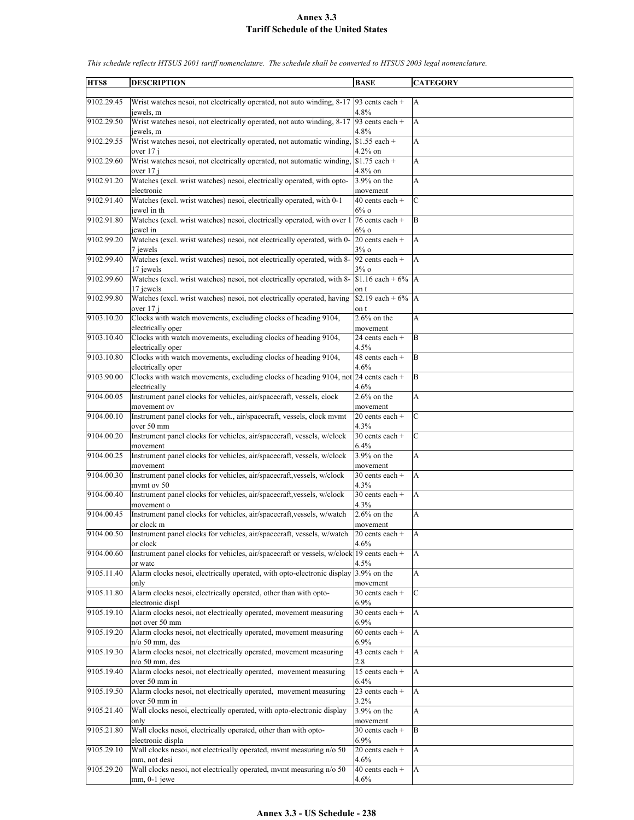| HTS8       | <b>DESCRIPTION</b>                                                                                   | <b>BASE</b>                   | <b>CATEGORY</b> |
|------------|------------------------------------------------------------------------------------------------------|-------------------------------|-----------------|
|            |                                                                                                      |                               |                 |
| 9102.29.45 | Wrist watches nesoi, not electrically operated, not auto winding, 8-17   93 cents each +             |                               | $\overline{A}$  |
|            | jewels, m                                                                                            | 4.8%                          |                 |
| 9102.29.50 | Wrist watches nesoi, not electrically operated, not auto winding, 8-17<br>jewels, m                  | 93 cents each +<br>4.8%       | A               |
| 9102.29.55 | Wrist watches nesoi, not electrically operated, not automatic winding,                               | $$1.55$ each +                | А               |
|            | over 17 i                                                                                            | $4.2\%$ on                    |                 |
| 9102.29.60 | Wrist watches nesoi, not electrically operated, not automatic winding,                               | $$1.75$ each +                | A               |
|            | over 17 j                                                                                            | 4.8% on                       |                 |
| 9102.91.20 | Watches (excl. wrist watches) nesoi, electrically operated, with opto-                               | 3.9% on the                   | A               |
| 9102.91.40 | electronic<br>Watches (excl. wrist watches) nesoi, electrically operated, with 0-1                   | movement<br>$40$ cents each + | $\mathcal{C}$   |
|            | jewel in th                                                                                          | $6\%$ o                       |                 |
| 9102.91.80 | Watches (excl. wrist watches) nesoi, electrically operated, with over 1                              | 76 cents each +               | B               |
|            | jewel in                                                                                             | $6\%$ o                       |                 |
| 9102.99.20 | Watches (excl. wrist watches) nesoi, not electrically operated, with 0-                              | $20$ cents each +             | A               |
| 9102.99.40 | 7 jewels<br>Watches (excl. wrist watches) nesoi, not electrically operated, with 8-                  | $3\%$ o<br>92 cents each +    | A               |
|            | 17 jewels                                                                                            | $3\%$ o                       |                 |
| 9102.99.60 | Watches (excl. wrist watches) nesoi, not electrically operated, with 8-                              | \$1.16 each + $6\%$           | $\overline{A}$  |
|            | 17 iewels                                                                                            | on t                          |                 |
| 9102.99.80 | Watches (excl. wrist watches) nesoi, not electrically operated, having                               | \$2.19 each + $6\%$   A       |                 |
| 9103.10.20 | over 17 j<br>Clocks with watch movements, excluding clocks of heading 9104,                          | on t<br>$2.6\%$ on the        | A               |
|            | electrically oper                                                                                    | movement                      |                 |
| 9103.10.40 | Clocks with watch movements, excluding clocks of heading 9104,                                       | 24 cents each +               | B               |
|            | electrically oper                                                                                    | 4.5%                          |                 |
| 9103.10.80 | Clocks with watch movements, excluding clocks of heading 9104,                                       | 48 cents each +               | B               |
|            | electrically oper                                                                                    | 4.6%                          |                 |
| 9103.90.00 | Clocks with watch movements, excluding clocks of heading 9104, not 24 cents each +<br>electrically   | 4.6%                          | $\overline{B}$  |
| 9104.00.05 | Instrument panel clocks for vehicles, air/spacecraft, vessels, clock                                 | $2.6\%$ on the                | А               |
|            | movement ov                                                                                          | movement                      |                 |
| 9104.00.10 | Instrument panel clocks for veh., air/spacecraft, vessels, clock mvmt                                | 20 cents each +               | $\mathcal{C}$   |
|            | over 50 mm                                                                                           | 4.3%                          | $\mathbf C$     |
| 9104.00.20 | Instrument panel clocks for vehicles, air/spacecraft, vessels, w/clock<br>movement                   | $30$ cents each +<br>6.4%     |                 |
| 9104.00.25 | Instrument panel clocks for vehicles, air/spacecraft, vessels, w/clock                               | 3.9% on the                   | A               |
|            | movement                                                                                             | movement                      |                 |
| 9104.00.30 | Instrument panel clocks for vehicles, air/spacecraft, vessels, w/clock                               | 30 cents each +               | A               |
| 9104.00.40 | mymt ov 50<br>Instrument panel clocks for vehicles, air/spacecraft, vessels, w/clock                 | 4.3%<br>30 cents each $+$     | A               |
|            | movement o                                                                                           | 4.3%                          |                 |
| 9104.00.45 | Instrument panel clocks for vehicles, air/spacecraft, vessels, w/watch                               | $2.6\%$ on the                | A               |
|            | or clock m                                                                                           | movement                      |                 |
| 9104.00.50 | Instrument panel clocks for vehicles, air/spacecraft, vessels, w/watch                               | 20 cents each +               | A               |
|            | or clock<br>Instrument panel clocks for vehicles, air/spacecraft or vessels, w/clock 19 cents each + | 4.6%                          |                 |
| 9104.00.60 | or watc                                                                                              | 4.5%                          | $\mathbf{A}$    |
| 9105.11.40 | Alarm clocks nesoi, electrically operated, with opto-electronic display                              | 3.9% on the                   | A               |
|            | only                                                                                                 | movement                      |                 |
| 9105.11.80 | Alarm clocks nesoi, electrically operated, other than with opto-                                     | 30 cents each +               | $\mathcal{C}$   |
|            | electronic displ                                                                                     | 6.9%                          |                 |
| 9105.19.10 | Alarm clocks nesoi, not electrically operated, movement measuring<br>not over 50 mm                  | 30 cents each +<br>6.9%       | A               |
| 9105.19.20 | Alarm clocks nesoi, not electrically operated, movement measuring                                    | $60$ cents each +             | A               |
|            | $n/o$ 50 mm, des                                                                                     | 6.9%                          |                 |
| 9105.19.30 | Alarm clocks nesoi, not electrically operated, movement measuring                                    | 43 cents each +               | A               |
|            | $n$ /o 50 mm, des                                                                                    | 2.8                           |                 |
| 9105.19.40 | Alarm clocks nesoi, not electrically operated, movement measuring<br>over 50 mm in                   | 15 cents each +<br>6.4%       | A               |
| 9105.19.50 | Alarm clocks nesoi, not electrically operated, movement measuring                                    | 23 cents each $+$             | $\mathbf{A}$    |
|            | over 50 mm in                                                                                        | 3.2%                          |                 |
| 9105.21.40 | Wall clocks nesoi, electrically operated, with opto-electronic display                               | $3.9\%$ on the                | A               |
|            | only                                                                                                 | movement                      |                 |
| 9105.21.80 | Wall clocks nesoi, electrically operated, other than with opto-<br>electronic displa                 | 30 cents each +<br>6.9%       | B               |
| 9105.29.10 | Wall clocks nesoi, not electrically operated, mvmt measuring n/o 50                                  | $20$ cents each +             | A               |
|            | mm, not desi                                                                                         | 4.6%                          |                 |
| 9105.29.20 | Wall clocks nesoi, not electrically operated, mvmt measuring n/o 50                                  | 40 cents each +               | A               |
|            | $mm, 0-1$ jewe                                                                                       | $4.6\%$                       |                 |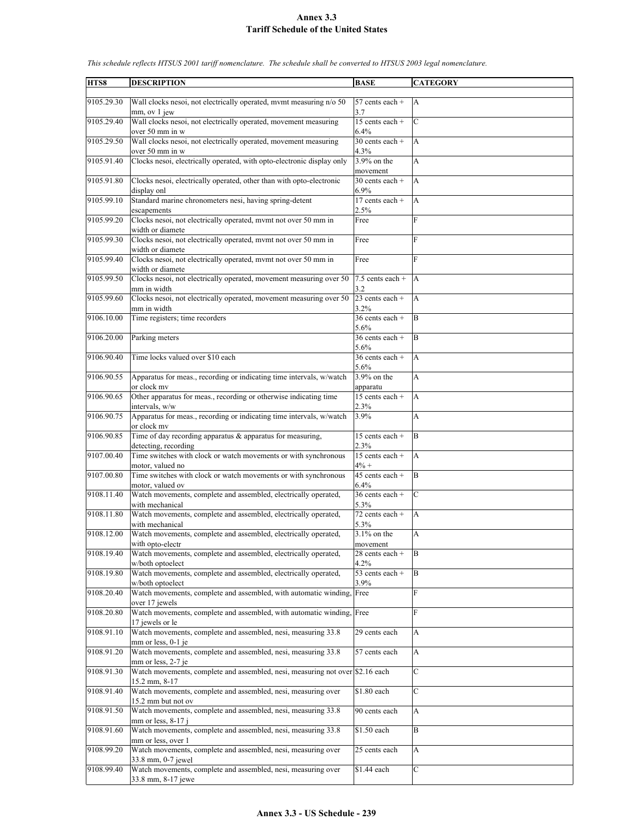| HTS8       | <b>DESCRIPTION</b>                                                                        | <b>BASE</b>                          | <b>CATEGORY</b> |
|------------|-------------------------------------------------------------------------------------------|--------------------------------------|-----------------|
|            |                                                                                           |                                      |                 |
| 9105.29.30 | Wall clocks nesoi, not electrically operated, mymt measuring n/o 50                       | 57 cents each +                      | A               |
|            | mm, ov 1 jew                                                                              | 3.7                                  |                 |
| 9105.29.40 | Wall clocks nesoi, not electrically operated, movement measuring                          | $\overline{15}$ cents each +         | $\mathcal{C}$   |
| 9105.29.50 | over 50 mm in w<br>Wall clocks nesoi, not electrically operated, movement measuring       | 6.4%<br>$30$ cents each +            | A               |
|            | over 50 mm in w                                                                           | 4.3%                                 |                 |
| 9105.91.40 | Clocks nesoi, electrically operated, with opto-electronic display only                    | 3.9% on the                          | A               |
|            |                                                                                           | movement                             |                 |
| 9105.91.80 | Clocks nesoi, electrically operated, other than with opto-electronic                      | $30$ cents each +                    | A               |
|            | display onl                                                                               | 6.9%                                 |                 |
| 9105.99.10 | Standard marine chronometers nesi, having spring-detent                                   | 17 cents each +                      | A               |
| 9105.99.20 | escapements<br>Clocks nesoi, not electrically operated, mvmt not over 50 mm in            | 2.5%<br>Free                         | F               |
|            | width or diamete                                                                          |                                      |                 |
| 9105.99.30 | Clocks nesoi, not electrically operated, mvmt not over 50 mm in                           | Free                                 | F               |
|            | width or diamete                                                                          |                                      |                 |
| 9105.99.40 | Clocks nesoi, not electrically operated, mvmt not over 50 mm in                           | Free                                 | F               |
|            | width or diamete                                                                          |                                      |                 |
| 9105.99.50 | Clocks nesoi, not electrically operated, movement measuring over 50                       | $7.5$ cents each +                   | A               |
| 9105.99.60 | mm in width<br>Clocks nesoi, not electrically operated, movement measuring over 50        | 3.2<br>$23$ cents each +             | A               |
|            | mm in width                                                                               | 3.2%                                 |                 |
| 9106.10.00 | Time registers; time recorders                                                            | 36 cents each +                      | B               |
|            |                                                                                           | 5.6%                                 |                 |
| 9106.20.00 | Parking meters                                                                            | $36$ cents each +                    | B               |
|            |                                                                                           | 5.6%                                 |                 |
| 9106.90.40 | Time locks valued over \$10 each                                                          | 36 cents each +                      | A               |
| 9106.90.55 |                                                                                           | 5.6%<br>3.9% on the                  |                 |
|            | Apparatus for meas., recording or indicating time intervals, w/watch<br>or clock mv       | apparatu                             | A               |
| 9106.90.65 | Other apparatus for meas., recording or otherwise indicating time                         | 15 cents each +                      | A               |
|            | intervals, w/w                                                                            | 2.3%                                 |                 |
| 9106.90.75 | Apparatus for meas., recording or indicating time intervals, w/watch                      | 3.9%                                 | A               |
|            | or clock mv                                                                               |                                      |                 |
| 9106.90.85 | Time of day recording apparatus $\&$ apparatus for measuring,                             | 15 cents each +                      | B               |
| 9107.00.40 | detecting, recording<br>Time switches with clock or watch movements or with synchronous   | 2.3%<br>15 cents each +              | A               |
|            | motor, valued no                                                                          | $4% +$                               |                 |
| 9107.00.80 | Time switches with clock or watch movements or with synchronous                           | $45$ cents each +                    | B               |
|            | motor, valued ov                                                                          | 6.4%                                 |                 |
| 9108.11.40 | Watch movements, complete and assembled, electrically operated,                           | 36 cents each +                      | C               |
|            | with mechanical                                                                           | 5.3%                                 |                 |
| 9108.11.80 | Watch movements, complete and assembled, electrically operated,<br>with mechanical        | $\overline{72}$ cents each +<br>5.3% | A               |
| 9108.12.00 | Watch movements, complete and assembled, electrically operated,                           | $3.1\%$ on the                       | A               |
|            | with opto-electr                                                                          | movement                             |                 |
| 9108.19.40 | Watch movements, complete and assembled, electrically operated,                           | 28 cents each +                      | B               |
|            | w/both optoelect                                                                          | $4.2\%$                              |                 |
| 9108.19.80 | Watch movements, complete and assembled, electrically operated,                           | 53 cents each +                      | B               |
| 9108.20.40 | w/both optoelect<br>Watch movements, complete and assembled, with automatic winding, Free | 3.9%                                 | F               |
|            | over 17 jewels                                                                            |                                      |                 |
| 9108.20.80 | Watch movements, complete and assembled, with automatic winding, Free                     |                                      | F               |
|            | 17 jewels or le                                                                           |                                      |                 |
| 9108.91.10 | Watch movements, complete and assembled, nesi, measuring 33.8                             | 29 cents each                        | A               |
|            | $mm$ or less, 0-1 je                                                                      |                                      |                 |
| 9108.91.20 | Watch movements, complete and assembled, nesi, measuring 33.8<br>mm or less, 2-7 je       | 57 cents each                        | A               |
| 9108.91.30 | Watch movements, complete and assembled, nesi, measuring not over \$2.16 each             |                                      | $\mathcal{C}$   |
|            | 15.2 mm, 8-17                                                                             |                                      |                 |
| 9108.91.40 | Watch movements, complete and assembled, nesi, measuring over                             | \$1.80 each                          | $\mathbf C$     |
|            | 15.2 mm but not ov                                                                        |                                      |                 |
| 9108.91.50 | Watch movements, complete and assembled, nesi, measuring 33.8                             | 90 cents each                        | A               |
|            | $mm$ or less, 8-17 j                                                                      |                                      | B               |
| 9108.91.60 | Watch movements, complete and assembled, nesi, measuring 33.8<br>mm or less, over 1       | \$1.50 each                          |                 |
| 9108.99.20 | Watch movements, complete and assembled, nesi, measuring over                             | 25 cents each                        | А               |
|            | 33.8 mm, 0-7 jewel                                                                        |                                      |                 |
| 9108.99.40 | Watch movements, complete and assembled, nesi, measuring over                             | \$1.44 each                          | C               |
|            | 33.8 mm, 8-17 jewe                                                                        |                                      |                 |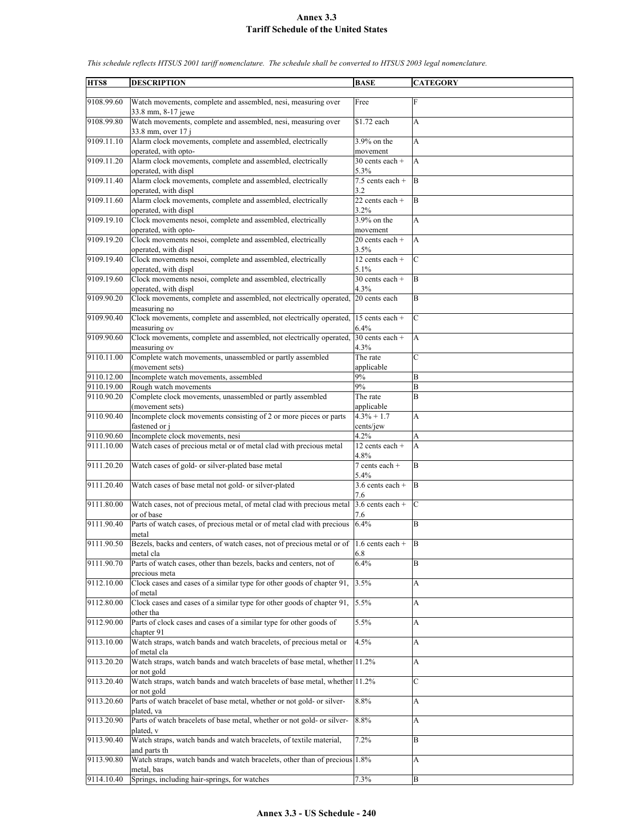| HTS8       | <b>DESCRIPTION</b>                                                                                | <b>BASE</b>                 | <b>CATEGORY</b> |
|------------|---------------------------------------------------------------------------------------------------|-----------------------------|-----------------|
| 9108.99.60 | Watch movements, complete and assembled, nesi, measuring over                                     | Free                        | F               |
|            | 33.8 mm, 8-17 jewe                                                                                |                             |                 |
| 9108.99.80 | Watch movements, complete and assembled, nesi, measuring over<br>33.8 mm, over 17 i               | \$1.72 each                 | A               |
| 9109.11.10 | Alarm clock movements, complete and assembled, electrically<br>operated, with opto-               | 3.9% on the<br>movement     | A               |
| 9109.11.20 | Alarm clock movements, complete and assembled, electrically                                       | $30$ cents each +           | $\overline{A}$  |
|            | operated, with displ                                                                              | 5.3%                        |                 |
| 9109.11.40 | Alarm clock movements, complete and assembled, electrically<br>operated, with displ               | $7.5$ cents each +<br>3.2   | B               |
| 9109.11.60 | Alarm clock movements, complete and assembled, electrically<br>operated, with displ               | 22 cents each +<br>3.2%     | B               |
| 9109.19.10 | Clock movements nesoi, complete and assembled, electrically<br>operated, with opto-               | $3.9\%$ on the<br>movement  | A               |
| 9109.19.20 | Clock movements nesoi, complete and assembled, electrically                                       | 20 cents each +             | $\overline{A}$  |
|            | operated, with displ                                                                              | 3.5%                        |                 |
| 9109.19.40 | Clock movements nesoi, complete and assembled, electrically<br>operated, with displ               | 12 cents each +<br>5.1%     | $\mathcal{C}$   |
| 9109.19.60 | Clock movements nesoi, complete and assembled, electrically<br>operated, with displ               | $30$ cents each +<br>4.3%   | B               |
| 9109.90.20 | Clock movements, complete and assembled, not electrically operated, 20 cents each<br>measuring no |                             | B               |
| 9109.90.40 | Clock movements, complete and assembled, not electrically operated,                               | $15$ cents each +           | $\mathbf C$     |
| 9109.90.60 | measuring ov<br>Clock movements, complete and assembled, not electrically operated,               | 6.4%<br>$30$ cents each +   | A               |
| 9110.11.00 | measuring ov<br>Complete watch movements, unassembled or partly assembled                         | 4.3%<br>The rate            | $\mathcal{C}$   |
|            | (movement sets)                                                                                   | applicable                  |                 |
| 9110.12.00 | Incomplete watch movements, assembled                                                             | 9%                          | B               |
| 9110.19.00 | Rough watch movements                                                                             | 9%                          | B               |
| 9110.90.20 | Complete clock movements, unassembled or partly assembled                                         | The rate                    | B               |
| 9110.90.40 | (movement sets)<br>Incomplete clock movements consisting of 2 or more pieces or parts             | applicable<br>$4.3\% + 1.7$ | A               |
|            | fastened or j                                                                                     | cents/jew                   |                 |
| 9110.90.60 | Incomplete clock movements, nesi                                                                  | 4.2%                        | A               |
| 9111.10.00 | Watch cases of precious metal or of metal clad with precious metal                                | 12 cents each +<br>4.8%     | A               |
| 9111.20.20 | Watch cases of gold- or silver-plated base metal                                                  | 7 cents each +<br>5.4%      | <sub>B</sub>    |
| 9111.20.40 | Watch cases of base metal not gold- or silver-plated                                              | $3.6$ cents each +<br>7.6   | B               |
| 9111.80.00 | Watch cases, not of precious metal, of metal clad with precious metal<br>or of base               | $3.6$ cents each +<br>7.6   | $\mathcal{C}$   |
| 9111.90.40 | Parts of watch cases, of precious metal or of metal clad with precious<br>metal                   | 6.4%                        | B               |
| 9111.90.50 | Bezels, backs and centers, of watch cases, not of precious metal or of<br>metal cla               | $1.6$ cents each +<br>6.8   | B               |
| 9111.90.70 | Parts of watch cases, other than bezels, backs and centers, not of                                | 6.4%                        | B               |
| 9112.10.00 | precious meta<br>Clock cases and cases of a similar type for other goods of chapter 91,           | 3.5%                        | A               |
| 9112.80.00 | of metal<br>Clock cases and cases of a similar type for other goods of chapter 91,                | 5.5%                        | A               |
| 9112.90.00 | other tha<br>Parts of clock cases and cases of a similar type for other goods of                  | 5.5%                        | A               |
| 9113.10.00 | chapter 91<br>Watch straps, watch bands and watch bracelets, of precious metal or                 | 4.5%                        | A               |
| 9113.20.20 | of metal cla<br>Watch straps, watch bands and watch bracelets of base metal, whether 11.2%        |                             | A               |
|            | or not gold                                                                                       |                             |                 |
| 9113.20.40 | Watch straps, watch bands and watch bracelets of base metal, whether 11.2%<br>or not gold         |                             | C               |
| 9113.20.60 | Parts of watch bracelet of base metal, whether or not gold- or silver-<br>plated, va              | 8.8%                        | A               |
| 9113.20.90 | Parts of watch bracelets of base metal, whether or not gold- or silver-<br>plated, v              | 8.8%                        | A               |
| 9113.90.40 | Watch straps, watch bands and watch bracelets, of textile material,<br>and parts th               | 7.2%                        | B               |
| 9113.90.80 | Watch straps, watch bands and watch bracelets, other than of precious 1.8%                        |                             | A               |
| 9114.10.40 | metal, bas<br>Springs, including hair-springs, for watches                                        | 7.3%                        | B               |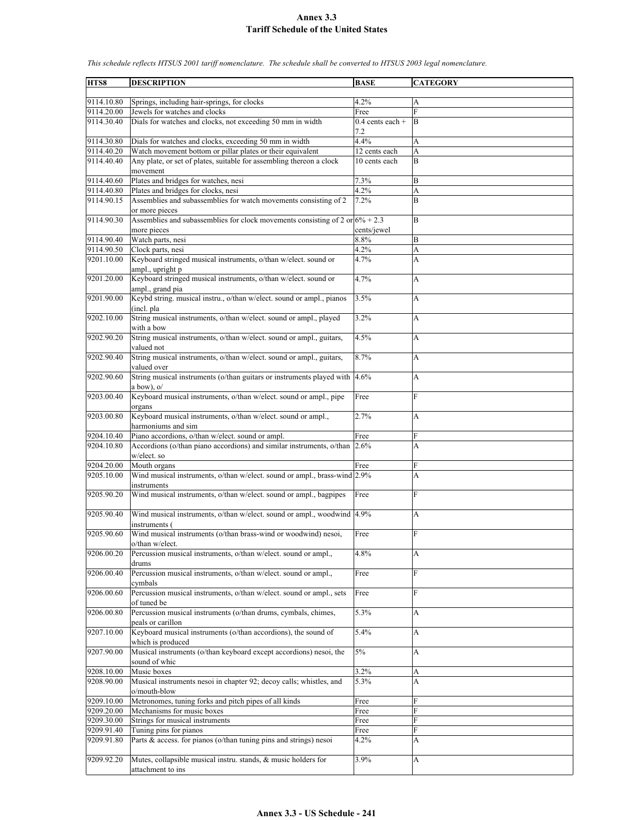**HTS8 DESCRIPTION BASE CATEGORY** 9114.10.80 Springs, including hair-springs, for clocks 4.2% 9114.20.00 Jewels for watches and clocks Free 9114.30.40 Dials for watches and clocks, not exceeding 50 mm in width  $0.4$  cents each + 7.2 B 9114.30.80 Dials for watches and clocks, exceeding 50 mm in width  $4.4\%$  A 9114.40.20 Watch movement bottom or pillar plates or their equivalent 12 cents each A 9114.40.40 Any plate, or set of plates, suitable for assembling thereon a clock movement 10 cents each B 9114.40.60 Plates and bridges for watches, nesi 7.3% B 9114.40.80 Plates and bridges for clocks, nesi 4.2% A 9114.90.15 Assemblies and subassemblies for watch movements consisting of 2 or more pieces 7.2% B 9114.90.30 Assemblies and subassemblies for clock movements consisting of 2 or  $6\% + 2.3$ more pieces cents/jewel B 9114.90.40 Watch parts, nesi 8.8% B 9114.90.50 Clock parts, nesi 4.2% A 9201.10.00 Keyboard stringed musical instruments, o/than w/elect. sound or ampl., upright p 4.7% A 9201.20.00 Keyboard stringed musical instruments, o/than w/elect. sound or ampl., grand pia 4.7% A 9201.90.00 Keybd string. musical instru., o/than w/elect. sound or ampl., pianos (incl. pla 3.5% A 9202.10.00 String musical instruments, o/than w/elect. sound or ampl., played with a bow 3.2% A 9202.90.20 String musical instruments, o/than w/elect. sound or ampl., guitars, valued not 4.5% A 9202.90.40 String musical instruments, o/than w/elect. sound or ampl., guitars, valued over 8.7% A 9202.90.60 String musical instruments (o/than guitars or instruments played with a bow), o/ 4.6% A 9203.00.40 Keyboard musical instruments, o/than w/elect. sound or ampl., pipe organs Free F 9203.00.80 Keyboard musical instruments, o/than w/elect. sound or ampl., harmoniums and sim 2.7% A 9204.10.40 Piano accordions, o/than w/elect. sound or ampl. Free Free 9204.10.80 Accordions (o/than piano accordions) and similar instruments, o/than w/elect. so 2.6% A 9204.20.00 Mouth organs Free 9205.10.00 Wind musical instruments, o/than w/elect. sound or ampl., brass-wind instruments 2.9% A 9205.90.20 Wind musical instruments, o/than w/elect. sound or ampl., bagpipes Free F 9205.90.40 Wind musical instruments, o/than w/elect. sound or ampl., woodwind instruments ( 4.9% A 9205.90.60 Wind musical instruments (o/than brass-wind or woodwind) nesoi, o/than w/elect. Free F 9206.00.20 Percussion musical instruments, o/than w/elect. sound or ampl., drums 4.8% A 9206.00.40 Percussion musical instruments, o/than w/elect. sound or ampl., cymbals Free F 9206.00.60 Percussion musical instruments, o/than w/elect. sound or ampl., sets of tuned be Free F 9206.00.80 Percussion musical instruments (o/than drums, cymbals, chimes, peals or carillon 5.3% A 9207.10.00 Keyboard musical instruments (o/than accordions), the sound of which is produced  $5.4\%$  A 9207.90.00 Musical instruments (o/than keyboard except accordions) nesoi, the sound of whic  $5\%$  A 9208.10.00 Music boxes 3.2% 9208.90.00 Musical instruments nesoi in chapter 92; decoy calls; whistles, and o/mouth-blow 5.3% A 9209.10.00 Metronomes, tuning forks and pitch pipes of all kinds Free 9209.20.00 Mechanisms for music boxes Free 9209.30.00 Strings for musical instruments Free 9209.91.40 Tuning pins for pianos Free F 9209.91.80 Parts & access. for pianos (o/than tuning pins and strings) nesoi  $4.2\%$  A 9209.92.20 Mutes, collapsible musical instru. stands, & music holders for attachment to ins 3.9% A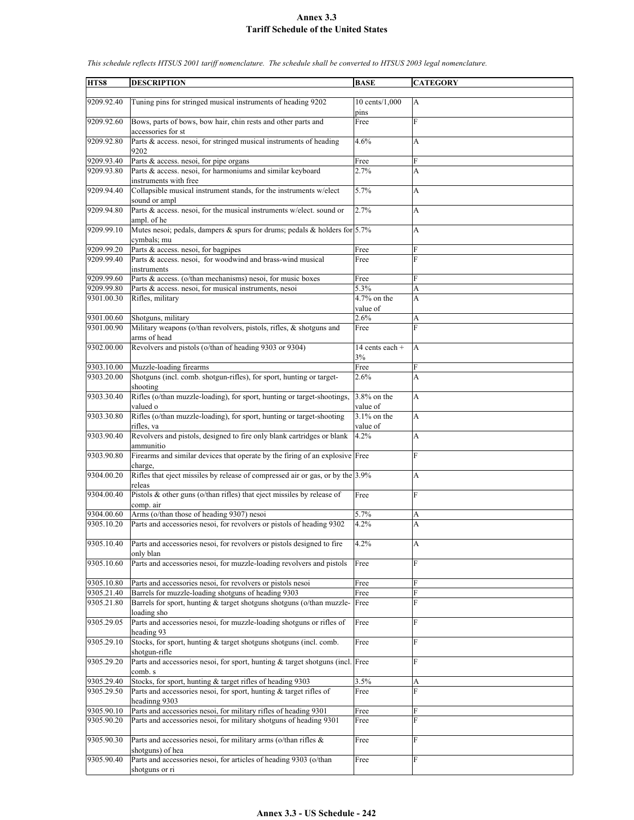| HTS8       | <b>DESCRIPTION</b>                                                                    | <b>BASE</b>     | <b>CATEGORY</b> |
|------------|---------------------------------------------------------------------------------------|-----------------|-----------------|
|            |                                                                                       |                 |                 |
| 9209.92.40 | Tuning pins for stringed musical instruments of heading 9202                          | 10 cents/1,000  | $\overline{A}$  |
|            |                                                                                       | pins            |                 |
| 9209.92.60 | Bows, parts of bows, bow hair, chin rests and other parts and                         | Free            | F               |
|            | accessories for st                                                                    |                 |                 |
| 9209.92.80 | Parts & access. nesoi, for stringed musical instruments of heading                    | 4.6%            | A               |
|            | 9202                                                                                  |                 |                 |
| 9209.93.40 | Parts & access. nesoi, for pipe organs                                                | Free            | F               |
| 9209.93.80 | Parts & access. nesoi, for harmoniums and similar keyboard                            | 2.7%            | A               |
|            | instruments with free                                                                 |                 |                 |
| 9209.94.40 | Collapsible musical instrument stands, for the instruments w/elect                    | 5.7%            | A               |
| 9209.94.80 | sound or ampl<br>Parts & access. nesoi, for the musical instruments w/elect. sound or |                 |                 |
|            | ampl. of he                                                                           | 2.7%            | A               |
| 9209.99.10 | Mutes nesoi; pedals, dampers $\&$ spurs for drums; pedals $\&$ holders for 5.7%       |                 | A               |
|            | cymbals; mu                                                                           |                 |                 |
| 9209.99.20 | Parts & access. nesoi, for bagpipes                                                   | Free            | F               |
| 9209.99.40 | Parts & access. nesoi, for woodwind and brass-wind musical                            | Free            | F               |
|            | instruments                                                                           |                 |                 |
| 9209.99.60 | Parts & access. (o/than mechanisms) nesoi, for music boxes                            | Free            | F               |
| 9209.99.80 | Parts & access. nesoi, for musical instruments, nesoi                                 | 5.3%            | A               |
| 9301.00.30 | Rifles, military                                                                      | $4.7\%$ on the  | $\overline{A}$  |
|            |                                                                                       | value of        |                 |
| 9301.00.60 | Shotguns, military                                                                    | 2.6%            | A               |
| 9301.00.90 | Military weapons (o/than revolvers, pistols, rifles, & shotguns and                   | Free            | F               |
|            | arms of head                                                                          |                 |                 |
| 9302.00.00 | Revolvers and pistols (o/than of heading 9303 or 9304)                                | 14 cents each + | A               |
|            |                                                                                       | 3%              |                 |
| 9303.10.00 | Muzzle-loading firearms                                                               | Free            | F               |
| 9303.20.00 | Shotguns (incl. comb. shotgun-rifles), for sport, hunting or target-                  | 2.6%            | A               |
|            | shooting                                                                              |                 |                 |
| 9303.30.40 | Rifles (o/than muzzle-loading), for sport, hunting or target-shootings,               | 3.8% on the     | A               |
|            | valued o                                                                              | value of        |                 |
| 9303.30.80 | Rifles (o/than muzzle-loading), for sport, hunting or target-shooting                 | $3.1\%$ on the  | A               |
|            | rifles, va                                                                            | value of        |                 |
| 9303.90.40 | Revolvers and pistols, designed to fire only blank cartridges or blank                | 4.2%            | A               |
|            | ammunitio                                                                             |                 |                 |
| 9303.90.80 | Firearms and similar devices that operate by the firing of an explosive Free          |                 | F               |
|            | charge,                                                                               |                 |                 |
| 9304.00.20 | Rifles that eject missiles by release of compressed air or gas, or by the 3.9%        |                 | A               |
|            | releas                                                                                |                 |                 |
| 9304.00.40 | Pistols & other guns (o/than rifles) that eject missiles by release of                | Free            | F               |
|            | comp. air                                                                             |                 |                 |
| 9304.00.60 | Arms (o/than those of heading 9307) nesoi                                             | 5.7%            | A               |
| 9305.10.20 | Parts and accessories nesoi, for revolvers or pistols of heading 9302                 | 4.2%            | A               |
|            |                                                                                       |                 |                 |
| 9305.10.40 | Parts and accessories nesoi, for revolvers or pistols designed to fire                | 4.2%            | A               |
| 9305.10.60 | only blan<br>Parts and accessories nesoi, for muzzle-loading revolvers and pistols    | Free            | ${\bf F}$       |
|            |                                                                                       |                 |                 |
| 9305.10.80 | Parts and accessories nesoi, for revolvers or pistols nesoi                           |                 | F               |
| 9305.21.40 | Barrels for muzzle-loading shotguns of heading 9303                                   | Free<br>Free    | F               |
| 9305.21.80 | Barrels for sport, hunting & target shotguns shotguns (o/than muzzle-                 | Free            | F               |
|            | loading sho                                                                           |                 |                 |
| 9305.29.05 | Parts and accessories nesoi, for muzzle-loading shotguns or rifles of                 | Free            | F               |
|            | heading 93                                                                            |                 |                 |
| 9305.29.10 | Stocks, for sport, hunting & target shotguns shotguns (incl. comb.                    | Free            | F               |
|            | shotgun-rifle                                                                         |                 |                 |
| 9305.29.20 | Parts and accessories nesoi, for sport, hunting & target shotguns (incl. Free         |                 | F               |
|            | comb. s                                                                               |                 |                 |
| 9305.29.40 | Stocks, for sport, hunting & target rifles of heading 9303                            | 3.5%            | A               |
| 9305.29.50 | Parts and accessories nesoi, for sport, hunting & target rifles of                    | Free            | F               |
|            | headinng 9303                                                                         |                 |                 |
| 9305.90.10 | Parts and accessories nesoi, for military rifles of heading 9301                      | Free            | F               |
| 9305.90.20 | Parts and accessories nesoi, for military shotguns of heading 9301                    | Free            | F               |
|            |                                                                                       |                 |                 |
| 9305.90.30 | Parts and accessories nesoi, for military arms (o/than rifles &                       | Free            | F               |
|            | shotguns) of hea                                                                      |                 |                 |
| 9305.90.40 | Parts and accessories nesoi, for articles of heading 9303 (o/than                     | Free            | F               |
|            | shotguns or ri                                                                        |                 |                 |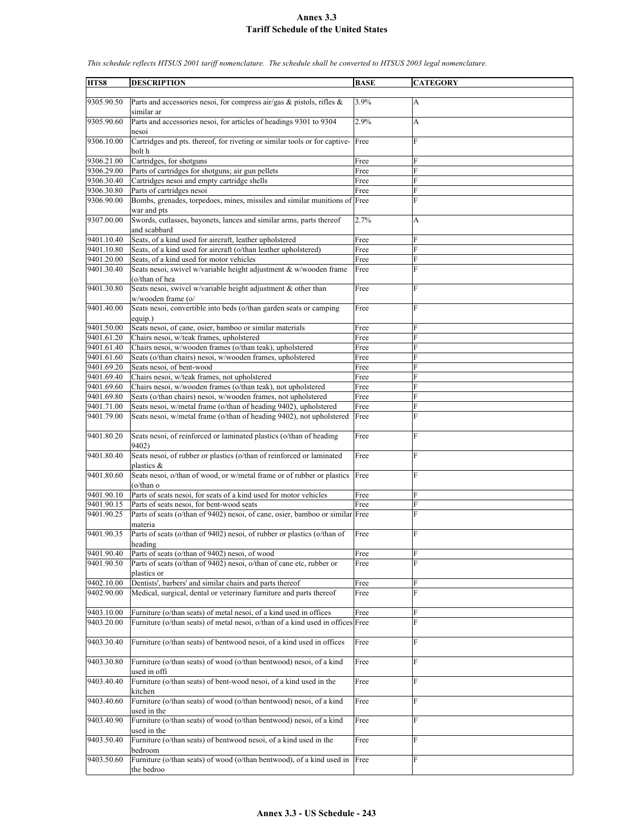**HTS8 DESCRIPTION BASE CATEGORY** 9305.90.50 Parts and accessories nesoi, for compress air/gas & pistols, rifles & similar ar 3.9% A 9305.90.60 Parts and accessories nesoi, for articles of headings 9301 to 9304 nesoi 2.9% A 9306.10.00 Cartridges and pts. thereof, for riveting or similar tools or for captivebolt h Free F 9306.21.00 Cartridges, for shotguns Free 9306.29.00 Parts of cartridges for shotguns; air gun pellets Free 9306.30.40 Cartridges nesoi and empty cartridge shells Free 9306.30.80 Parts of cartridges nesoi Free F 9306.90.00 Bombs, grenades, torpedoes, mines, missiles and similar munitions of Free F war and pts 9307.00.00 Swords, cutlasses, bayonets, lances and similar arms, parts thereof and scabbard 2.7% A 9401.10.40 Seats, of a kind used for aircraft, leather upholstered Free 9401.10.80 Seats, of a kind used for aircraft (o/than leather upholstered) Free 9401.20.00 Seats, of a kind used for motor vehicles Free F 9401.30.40 Seats nesoi, swivel w/variable height adjustment & w/wooden frame (o/than of hea Free F 9401.30.80 Seats nesoi, swivel w/variable height adjustment  $&$  other than w/wooden frame (o/ Free F 9401.40.00 Seats nesoi, convertible into beds (o/than garden seats or camping equip.) Free F 9401.50.00 Seats nesoi, of cane, osier, bamboo or similar materials Free 9401.61.20 Chairs nesoi, w/teak frames, upholstered Free 9401.61.40 Chairs nesoi, w/wooden frames (o/than teak), upholstered Free F Seats (o/than chairs) nesoi, w/wooden frames, upholstered Free Free 9401.69.20 Seats nesoi, of bent-wood Free 9401.69.40 Chairs nesoi, w/teak frames, not upholstered Free 9401.69.60 Chairs nesoi, w/wooden frames (o/than teak), not upholstered Free 9401.69.80 Seats (o/than chairs) nesoi, w/wooden frames, not upholstered Free 9401.71.00 Seats nesoi, w/metal frame (o/than of heading 9402), upholstered Free 9401.79.00 Seats nesoi, w/metal frame (o/than of heading 9402), not upholstered Free 9401.80.20 Seats nesoi, of reinforced or laminated plastics (o/than of heading 9402) Free F 9401.80.40 Seats nesoi, of rubber or plastics (o/than of reinforced or laminated plastics & Free F 9401.80.60 Seats nesoi, o/than of wood, or w/metal frame or of rubber or plastics (o/than o Free 9401.90.10 Parts of seats nesoi, for seats of a kind used for motor vehicles Free 9401.90.15 Parts of seats nesoi, for bent-wood seats Free 9401.90.25 Parts of seats (o/than of 9402) nesoi, of cane, osier, bamboo or similar materia Free 9401.90.35 Parts of seats (o/than of 9402) nesoi, of rubber or plastics (o/than of heading Free F 9401.90.40 Parts of seats (o/than of 9402) nesoi, of wood Free 9401.90.50 Parts of seats (o/than of 9402) nesoi, o/than of cane etc, rubber or plastics or Free F 9402.10.00 Dentists', barbers' and similar chairs and parts thereof Free F 9402.90.00 Medical, surgical, dental or veterinary furniture and parts thereof Free 9403.10.00 Furniture (o/than seats) of metal nesoi, of a kind used in offices Free 9403.20.00 Furniture (o/than seats) of metal nesoi, o/than of a kind used in offices Free 9403.30.40 Furniture (o/than seats) of bentwood nesoi, of a kind used in offices Free 9403.30.80 Furniture (o/than seats) of wood (o/than bentwood) nesoi, of a kind used in offi Free 9403.40.40 Furniture (o/than seats) of bent-wood nesoi, of a kind used in the kitchen Free F 9403.40.60 Furniture (o/than seats) of wood (o/than bentwood) nesoi, of a kind used in the Free F 9403.40.90 Furniture (o/than seats) of wood (o/than bentwood) nesoi, of a kind used in the Free 9403.50.40 Furniture (o/than seats) of bentwood nesoi, of a kind used in the bedroom Free F 9403.50.60 Furniture (o/than seats) of wood (o/than bentwood), of a kind used in he bedroo Free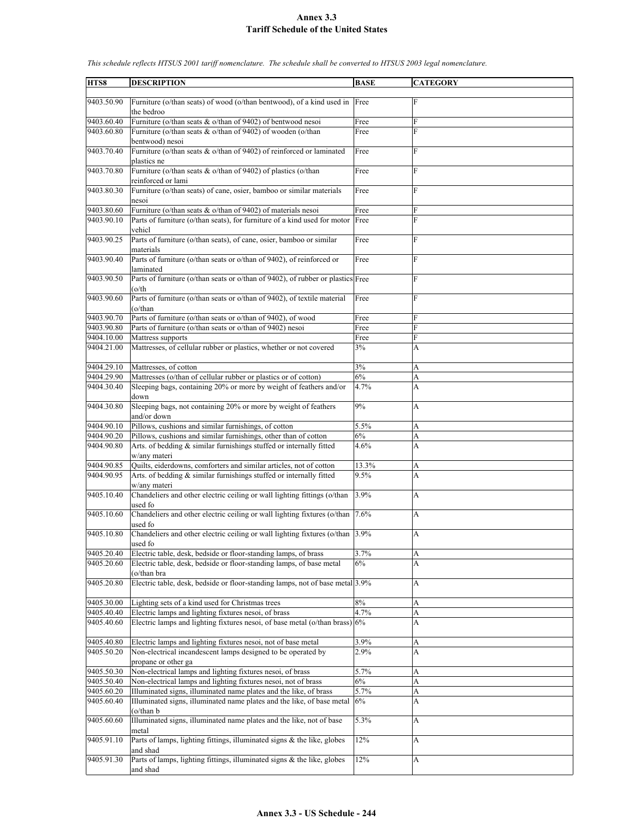| HTS8                     | <b>DESCRIPTION</b>                                                                            | <b>BASE</b> | <b>CATEGORY</b> |
|--------------------------|-----------------------------------------------------------------------------------------------|-------------|-----------------|
|                          |                                                                                               |             |                 |
| 9403.50.90               | Furniture (o/than seats) of wood (o/than bentwood), of a kind used in Free<br>the bedroo      |             | F               |
| 9403.60.40               | Furniture (o/than seats & o/than of 9402) of bentwood nesoi                                   | Free        | F               |
| 9403.60.80               | Furniture (o/than seats & o/than of 9402) of wooden (o/than<br>bentwood) nesoi                | Free        | F               |
| 9403.70.40               | Furniture (o/than seats & o/than of 9402) of reinforced or laminated<br>plastics ne           | Free        | $\overline{F}$  |
| 9403.70.80               | Furniture (o/than seats $&$ o/than of 9402) of plastics (o/than<br>reinforced or lami         | Free        | F               |
| 9403.80.30               | Furniture (o/than seats) of cane, osier, bamboo or similar materials                          | Free        | $\overline{F}$  |
|                          | nesoi<br>Furniture (o/than seats $&$ o/than of 9402) of materials nesoi                       | Free        | F               |
| 9403.80.60<br>9403.90.10 | Parts of furniture (o/than seats), for furniture of a kind used for motor<br>vehicl           | Free        | F               |
| 9403.90.25               | Parts of furniture (o/than seats), of cane, osier, bamboo or similar<br>materials             | Free        | $\overline{F}$  |
| 9403.90.40               | Parts of furniture (o/than seats or o/than of 9402), of reinforced or<br>laminated            | Free        | F               |
| 9403.90.50               | Parts of furniture (o/than seats or o/than of 9402), of rubber or plastics Free<br>(o/th      |             | $\overline{F}$  |
| 9403.90.60               | Parts of furniture (o/than seats or o/than of 9402), of textile material<br>$(o/\text{than})$ | Free        | $\overline{F}$  |
| 9403.90.70               | Parts of furniture (o/than seats or o/than of 9402), of wood                                  | Free        | F               |
| 9403.90.80               | Parts of furniture (o/than seats or o/than of 9402) nesoi                                     | Free        | $\overline{F}$  |
| 9404.10.00               | Mattress supports                                                                             | Free        | F               |
| 9404.21.00               | Mattresses, of cellular rubber or plastics, whether or not covered                            | 3%          | A               |
| 9404.29.10               | Mattresses, of cotton                                                                         | 3%          | А               |
| 9404.29.90               | Mattresses (o/than of cellular rubber or plastics or of cotton)                               | 6%          | A               |
| 9404.30.40               | Sleeping bags, containing 20% or more by weight of feathers and/or<br>down                    | 4.7%        | A               |
| 9404.30.80               | Sleeping bags, not containing 20% or more by weight of feathers<br>and/or down                | 9%          | A               |
| 9404.90.10               | Pillows, cushions and similar furnishings, of cotton                                          | 5.5%        | А               |
| 9404.90.20               | Pillows, cushions and similar furnishings, other than of cotton                               | 6%          | A               |
| 9404.90.80               | Arts. of bedding & similar furnishings stuffed or internally fitted<br>w/any materi           | 4.6%        | A               |
| 9404.90.85               | Quilts, eiderdowns, comforters and similar articles, not of cotton                            | 13.3%       | А               |
| 9404.90.95               | Arts. of bedding & similar furnishings stuffed or internally fitted<br>w/any materi           | 9.5%        | A               |
| 9405.10.40               | Chandeliers and other electric ceiling or wall lighting fittings (o/than<br>used fo           | 3.9%        | A               |
| 9405.10.60               | Chandeliers and other electric ceiling or wall lighting fixtures (o/than 7.6%)<br>used fo     |             | А               |
| 9405.10.80               | Chandeliers and other electric ceiling or wall lighting fixtures (o/than 3.9%)<br>used fo     |             | A               |
| 9405.20.40               | Electric table, desk, bedside or floor-standing lamps, of brass                               | 3.7%        | А               |
| 9405.20.60               | Electric table, desk, bedside or floor-standing lamps, of base metal<br>(o/than bra           | 6%          | А               |
| 9405.20.80               | Electric table, desk, bedside or floor-standing lamps, not of base metal 3.9%                 |             | A               |
| 9405.30.00               | Lighting sets of a kind used for Christmas trees                                              | $8\%$       | A               |
| 9405.40.40               | Electric lamps and lighting fixtures nesoi, of brass                                          | 4.7%        | A               |
| 9405.40.60               | Electric lamps and lighting fixtures nesoi, of base metal (o/than brass) 6%                   |             | A               |
| 9405.40.80               | Electric lamps and lighting fixtures nesoi, not of base metal                                 | 3.9%        | A               |
| 9405.50.20               | Non-electrical incandescent lamps designed to be operated by<br>propane or other ga           | 2.9%        | A               |
| 9405.50.30               | Non-electrical lamps and lighting fixtures nesoi, of brass                                    | 5.7%        | A               |
| 9405.50.40               | Non-electrical lamps and lighting fixtures nesoi, not of brass                                | 6%          | A               |
| 9405.60.20               | Illuminated signs, illuminated name plates and the like, of brass                             | 5.7%        | A               |
| 9405.60.40               | Illuminated signs, illuminated name plates and the like, of base metal<br>$(o/\text{than } b$ | 6%          | А               |
| 9405.60.60               | Illuminated signs, illuminated name plates and the like, not of base<br>metal                 | 5.3%        | A               |
| 9405.91.10               | Parts of lamps, lighting fittings, illuminated signs $\&$ the like, globes<br>and shad        | 12%         | A               |
| 9405.91.30               | Parts of lamps, lighting fittings, illuminated signs & the like, globes<br>and shad           | 12%         | A               |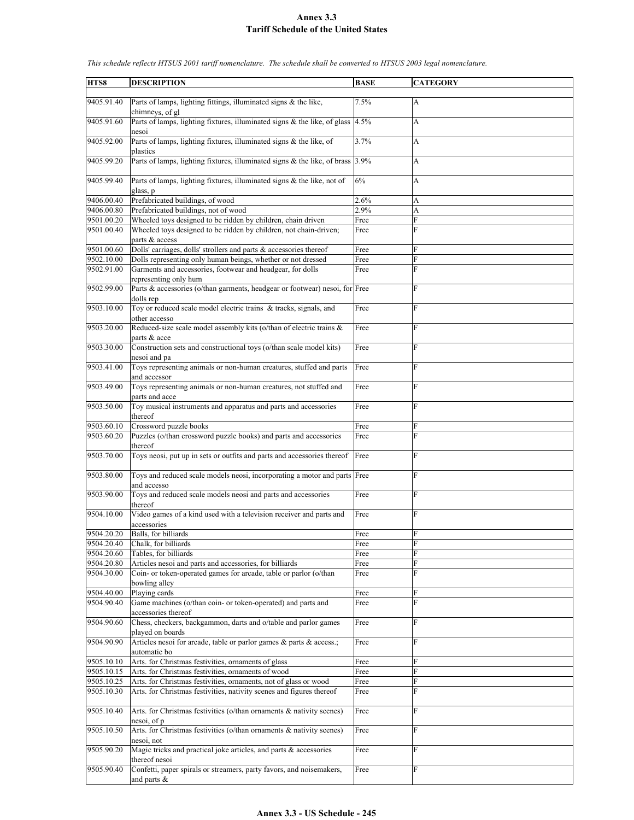| HTS8       | <b>DESCRIPTION</b>                                                                  | <b>BASE</b> | <b>CATEGORY</b> |
|------------|-------------------------------------------------------------------------------------|-------------|-----------------|
|            |                                                                                     |             |                 |
| 9405.91.40 | Parts of lamps, lighting fittings, illuminated signs & the like,<br>chimneys, of gl | 7.5%        | A               |
| 9405.91.60 | Parts of lamps, lighting fixtures, illuminated signs & the like, of glass           | 4.5%        | A               |
|            | nesoi                                                                               |             |                 |
| 9405.92.00 | Parts of lamps, lighting fixtures, illuminated signs & the like, of<br>plastics     | 3.7%        | A               |
| 9405.99.20 | Parts of lamps, lighting fixtures, illuminated signs $\&$ the like, of brass 3.9%   |             | A               |
| 9405.99.40 | Parts of lamps, lighting fixtures, illuminated signs & the like, not of             | 6%          | A               |
|            | glass, p                                                                            |             |                 |
| 9406.00.40 | Prefabricated buildings, of wood                                                    | 2.6%        | A               |
| 9406.00.80 | Prefabricated buildings, not of wood                                                | 2.9%        | A               |
| 9501.00.20 | Wheeled toys designed to be ridden by children, chain driven                        | Free        | F               |
| 9501.00.40 | Wheeled toys designed to be ridden by children, not chain-driven;<br>parts & access | Free        | F               |
| 9501.00.60 | Dolls' carriages, dolls' strollers and parts $\&$ accessories thereof               | Free        | F               |
| 9502.10.00 | Dolls representing only human beings, whether or not dressed                        | Free        | F               |
| 9502.91.00 | Garments and accessories, footwear and headgear, for dolls                          | Free        | F               |
|            | representing only hum                                                               |             |                 |
| 9502.99.00 | Parts & accessories (o/than garments, headgear or footwear) nesoi, for Free         |             | F               |
| 9503.10.00 | dolls rep<br>Toy or reduced scale model electric trains & tracks, signals, and      | Free        | F               |
|            | other accesso                                                                       |             |                 |
| 9503.20.00 | Reduced-size scale model assembly kits (o/than of electric trains &                 | Free        | F               |
|            | parts & acce                                                                        |             |                 |
| 9503.30.00 | Construction sets and constructional toys (o/than scale model kits)                 | Free        | F               |
|            | nesoi and pa                                                                        |             |                 |
| 9503.41.00 | Toys representing animals or non-human creatures, stuffed and parts<br>and accessor | Free        | F               |
| 9503.49.00 | Toys representing animals or non-human creatures, not stuffed and                   | Free        | F               |
|            | parts and acce                                                                      |             |                 |
| 9503.50.00 | Toy musical instruments and apparatus and parts and accessories                     | Free        | F               |
|            | thereof                                                                             |             |                 |
| 9503.60.10 | Crossword puzzle books                                                              | Free        | F               |
| 9503.60.20 | Puzzles (o/than crossword puzzle books) and parts and accessories<br>thereof        | Free        | F               |
| 9503.70.00 | Toys neosi, put up in sets or outfits and parts and accessories thereof Free        |             | F               |
|            |                                                                                     |             |                 |
| 9503.80.00 | Toys and reduced scale models neosi, incorporating a motor and parts Free           |             | F               |
|            | and accesso                                                                         |             |                 |
| 9503.90.00 | Toys and reduced scale models neosi and parts and accessories<br>thereof            | Free        | F               |
| 9504.10.00 | Video games of a kind used with a television receiver and parts and                 | Free        | F               |
|            | accessories                                                                         |             |                 |
| 9504.20.20 | Balls, for billiards                                                                | Free        | $\overline{F}$  |
| 9504.20.40 | Chalk, for billiards                                                                | Free        | F               |
| 9504.20.60 | Tables, for billiards                                                               | Free        | F               |
| 9504.20.80 | Articles nesoi and parts and accessories, for billiards                             | Free        | F               |
| 9504.30.00 | Coin- or token-operated games for arcade, table or parlor (o/than<br>bowling alley  | Free        | F               |
| 9504.40.00 | Playing cards                                                                       | Free        | F               |
| 9504.90.40 | Game machines (o/than coin- or token-operated) and parts and                        | Free        | F               |
|            | accessories thereof                                                                 |             |                 |
| 9504.90.60 | Chess, checkers, backgammon, darts and o/table and parlor games                     | Free        | F               |
|            | played on boards                                                                    |             |                 |
| 9504.90.90 | Articles nesoi for arcade, table or parlor games & parts & access.;<br>automatic bo | Free        | F               |
| 9505.10.10 | Arts. for Christmas festivities, ornaments of glass                                 | Free        | F               |
| 9505.10.15 | Arts. for Christmas festivities, ornaments of wood                                  | Free        | F               |
| 9505.10.25 | Arts. for Christmas festivities, ornaments, not of glass or wood                    | Free        | F               |
| 9505.10.30 | Arts. for Christmas festivities, nativity scenes and figures thereof                | Free        | F               |
|            |                                                                                     |             |                 |
| 9505.10.40 | Arts. for Christmas festivities (o/than ornaments & nativity scenes)                | Free        | F               |
| 9505.10.50 | nesoi, of p<br>Arts. for Christmas festivities (o/than ornaments & nativity scenes) | Free        | F               |
|            | nesoi, not                                                                          |             |                 |
| 9505.90.20 | Magic tricks and practical joke articles, and parts $\&$ accessories                | Free        | F               |
|            | thereof nesoi                                                                       |             |                 |
| 9505.90.40 | Confetti, paper spirals or streamers, party favors, and noisemakers,                | Free        | F               |
|            | and parts $\&$                                                                      |             |                 |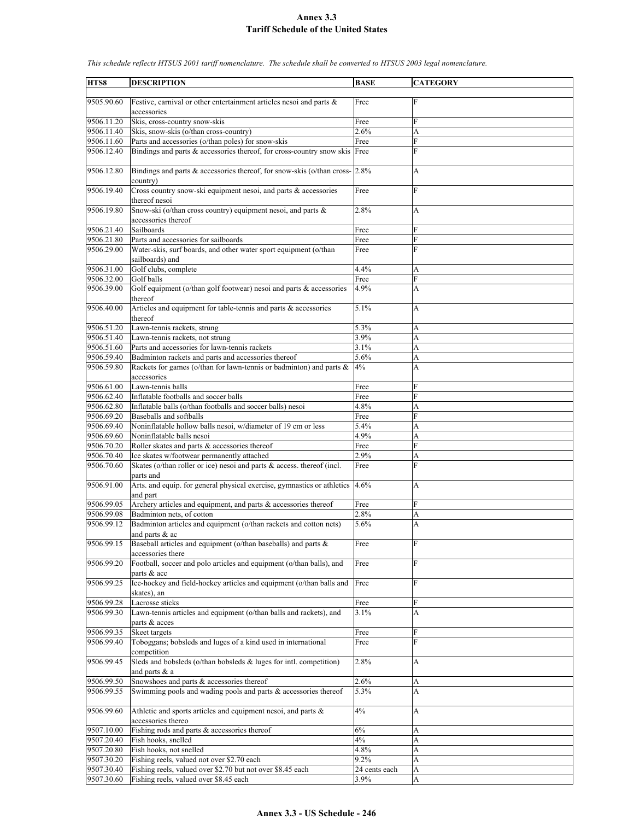| HTS8       | <b>DESCRIPTION</b>                                                                  | <b>BASE</b>   | <b>CATEGORY</b> |
|------------|-------------------------------------------------------------------------------------|---------------|-----------------|
|            |                                                                                     |               |                 |
| 9505.90.60 | Festive, carnival or other entertainment articles nesoi and parts &<br>accessories  | Free          | F               |
|            |                                                                                     |               |                 |
| 9506.11.20 | Skis, cross-country snow-skis                                                       | Free          | F               |
| 9506.11.40 | Skis, snow-skis (o/than cross-country)                                              | 2.6%          | A               |
| 9506.11.60 | Parts and accessories (o/than poles) for snow-skis                                  | Free          | F               |
| 9506.12.40 | Bindings and parts $\&$ accessories thereof, for cross-country snow skis Free       |               | F               |
| 9506.12.80 | Bindings and parts & accessories thereof, for snow-skis (o/than cross- 2.8%         |               | А               |
| 9506.19.40 | country)<br>Cross country snow-ski equipment nesoi, and parts & accessories         | Free          | F               |
|            | thereof nesoi                                                                       |               |                 |
| 9506.19.80 | Snow-ski (o/than cross country) equipment nesoi, and parts &<br>accessories thereof | 2.8%          | A               |
| 9506.21.40 | Sailboards                                                                          | Free          | F               |
| 9506.21.80 | Parts and accessories for sailboards                                                |               | F               |
|            |                                                                                     | Free          |                 |
| 9506.29.00 | Water-skis, surf boards, and other water sport equipment (o/than<br>sailboards) and | Free          | F               |
| 9506.31.00 | Golf clubs, complete                                                                | 4.4%          | A               |
| 9506.32.00 |                                                                                     |               | F               |
|            | Golf balls                                                                          | Free          |                 |
| 9506.39.00 | Golf equipment (o/than golf footwear) nesoi and parts $\&$ accessories<br>thereof   | 4.9%          | A               |
| 9506.40.00 | Articles and equipment for table-tennis and parts & accessories                     | 5.1%          | А               |
|            | thereof                                                                             |               |                 |
| 9506.51.20 | Lawn-tennis rackets, strung                                                         | 5.3%          | A               |
| 9506.51.40 | Lawn-tennis rackets, not strung                                                     | 3.9%          | A               |
| 9506.51.60 | Parts and accessories for lawn-tennis rackets                                       | 3.1%          | A               |
|            |                                                                                     |               |                 |
| 9506.59.40 | Badminton rackets and parts and accessories thereof                                 | 5.6%          | A               |
| 9506.59.80 | Rackets for games (o/than for lawn-tennis or badminton) and parts &<br>accessories  | 4%            | A               |
| 9506.61.00 | Lawn-tennis balls                                                                   | Free          | F               |
| 9506.62.40 | Inflatable footballs and soccer balls                                               |               | F               |
|            |                                                                                     | Free          |                 |
| 9506.62.80 | Inflatable balls (o/than footballs and soccer balls) nesoi                          | 4.8%          | A               |
| 9506.69.20 | Baseballs and softballs                                                             | Free          | F               |
| 9506.69.40 | Noninflatable hollow balls nesoi, w/diameter of 19 cm or less                       | 5.4%          | A               |
| 9506.69.60 | Noninflatable balls nesoi                                                           | 4.9%          | A               |
| 9506.70.20 | Roller skates and parts & accessories thereof                                       | Free          | F               |
|            |                                                                                     | 2.9%          |                 |
| 9506.70.40 | Ice skates w/footwear permanently attached                                          |               | A               |
| 9506.70.60 | Skates (o/than roller or ice) nesoi and parts & access. thereof (incl.<br>parts and | Free          | F               |
| 9506.91.00 | Arts. and equip. for general physical exercise, gymnastics or athletics             | 4.6%          | А               |
|            | and part                                                                            |               |                 |
| 9506.99.05 | Archery articles and equipment, and parts & accessories thereof                     | Free          | F               |
| 9506.99.08 | Badminton nets, of cotton                                                           | 2.8%          | A               |
| 9506.99.12 | Badminton articles and equipment (o/than rackets and cotton nets)                   | 5.6%          | A               |
|            | and parts $&$ ac                                                                    |               |                 |
| 9506.99.15 | Baseball articles and equipment (o/than baseballs) and parts &<br>accessories there | Free          | F               |
| 9506.99.20 | Football, soccer and polo articles and equipment (o/than balls), and                | Free          | F               |
|            | parts & acc                                                                         |               |                 |
| 9506.99.25 | Ice-hockey and field-hockey articles and equipment (o/than balls and                | Free          | F               |
|            | skates), an                                                                         |               |                 |
| 9506.99.28 | Lacrosse sticks                                                                     | Free          | F               |
| 9506.99.30 | Lawn-tennis articles and equipment (o/than balls and rackets), and<br>parts & acces | 3.1%          | A               |
| 9506.99.35 | Skeet targets                                                                       | Free          | F               |
|            |                                                                                     |               | F               |
| 9506.99.40 | Toboggans; bobsleds and luges of a kind used in international<br>competition        | Free          |                 |
| 9506.99.45 | Sleds and bobsleds (o/than bobsleds & luges for intl. competition)                  | 2.8%          | A               |
|            | and parts & a                                                                       |               |                 |
| 9506.99.50 | Snowshoes and parts & accessories thereof                                           | 2.6%          | A               |
| 9506.99.55 | Swimming pools and wading pools and parts & accessories thereof                     | 5.3%          | A               |
|            |                                                                                     |               |                 |
| 9506.99.60 | Athletic and sports articles and equipment nesoi, and parts &                       | 4%            | A               |
|            | accessories thereo                                                                  |               |                 |
| 9507.10.00 | Fishing rods and parts & accessories thereof                                        | 6%            | A               |
| 9507.20.40 | Fish hooks, snelled                                                                 | $4\%$         | A               |
| 9507.20.80 | Fish hooks, not snelled                                                             | 4.8%          | A               |
| 9507.30.20 | Fishing reels, valued not over \$2.70 each                                          | 9.2%          | A               |
| 9507.30.40 |                                                                                     |               |                 |
|            | Fishing reels, valued over \$2.70 but not over \$8.45 each                          | 24 cents each | A               |
| 9507.30.60 | Fishing reels, valued over \$8.45 each                                              | 3.9%          | A               |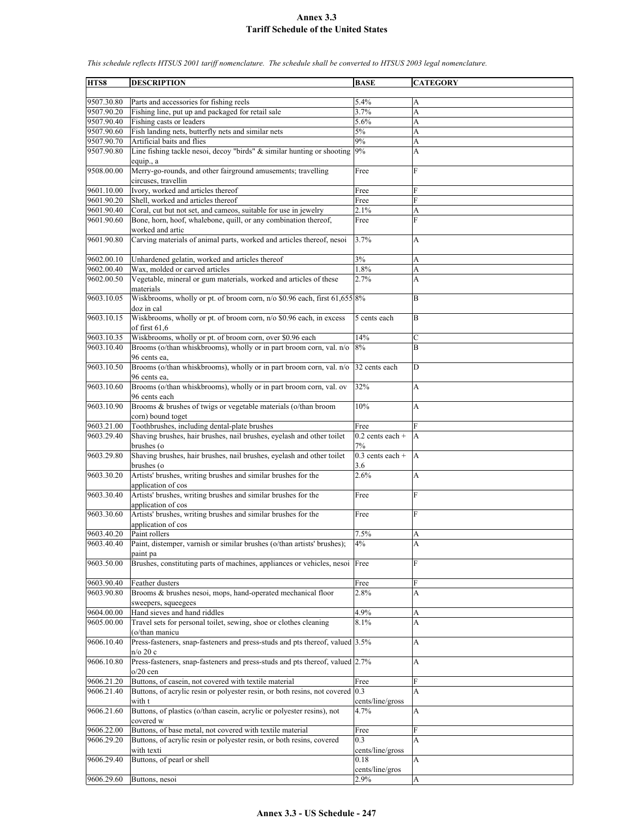**HTS8 DESCRIPTION BASE CATEGORY** 9507.30.80 Parts and accessories for fishing reels 5.4% 9507.90.20 Fishing line, put up and packaged for retail sale 3.7% 9507.90.40 Fishing casts or leaders 5.6% A 9507.90.60 Fish landing nets, butterfly nets and similar nets 5% | A 9507.90.70 Artificial baits and flies 9% A 9507.90.80 Line fishing tackle nesoi, decoy "birds" & similar hunting or shooting equip., a 9% A 9508.00.00 Merry-go-rounds, and other fairground amusements; travelling circuses, travellin Free F 9601.10.00 Ivory, worked and articles thereof Free 9601.90.20 Shell, worked and articles thereof Free F 9601.90.40 Coral, cut but not set, and cameos, suitable for use in jewelry 2.1% A 9601.90.60 Bone, horn, hoof, whalebone, quill, or any combination thereof, worked and artic Free F 9601.90.80 Carving materials of animal parts, worked and articles thereof, nesoi 3.7% A 9602.00.10 Unhardened gelatin, worked and articles thereof 3% 3% A 9602.00.40 Wax, molded or carved articles 1.8% A 9602.00.50 Vegetable, mineral or gum materials, worked and articles of these materials 2.7% A 9603.10.05 Wiskbrooms, wholly or pt. of broom corn, n/o \$0.96 each, first 61,655 doz in cal 8% B 9603.10.15 Wiskbrooms, wholly or pt. of broom corn, n/o \$0.96 each, in excess of first 61,6 5 cents each B 9603.10.35 Wiskbrooms, wholly or pt. of broom corn, over \$0.96 each 14% 9603.10.40 Brooms (o/than whiskbrooms), wholly or in part broom corn, val. n/o 96 cents ea, 8% B 9603.10.50 Brooms (o/than whiskbrooms), wholly or in part broom corn, val. n/o 96 cents ea, 32 cents each D 9603.10.60 Brooms (o/than whiskbrooms), wholly or in part broom corn, val. ov 96 cents each 32% A 9603.10.90 Brooms & brushes of twigs or vegetable materials (o/than broom corn) bound toget 10% A 9603.21.00 Toothbrushes, including dental-plate brushes Free 9603.29.40 Shaving brushes, hair brushes, nail brushes, eyelash and other toilet brushes (o  $0.2$  cents each  $+$ 7% A 9603.29.80 Shaving brushes, hair brushes, nail brushes, eyelash and other toilet brushes (o 0.3 cents each + 3.6 A 9603.30.20 Artists' brushes, writing brushes and similar brushes for the application of cos  $2.6\%$  A 9603.30.40 Artists' brushes, writing brushes and similar brushes for the application of cos Free F 9603.30.60 Artists' brushes, writing brushes and similar brushes for the application of cos Free F 9603.40.20 Paint rollers 1.5% A 9603.40.40 Paint, distemper, varnish or similar brushes (o/than artists' brushes); paint pa 4% A 9603.50.00 Brushes, constituting parts of machines, appliances or vehicles, nesoi Free 9603.90.40 Feather dusters Free F 9603.90.80 Brooms & brushes nesoi, mops, hand-operated mechanical floor sweepers, squeegees 2.8% A 9604.00.00 Hand sieves and hand riddles 4.9% A 9605.00.00 Travel sets for personal toilet, sewing, shoe or clothes cleaning (o/than manicu 8.1% A 9606.10.40 Press-fasteners, snap-fasteners and press-studs and pts thereof, valued n/o 20 c 3.5% A 9606.10.80 Press-fasteners, snap-fasteners and press-studs and pts thereof, valued  $5/20$  cen 2.7% A 9606.21.20 Buttons, of casein, not covered with textile material Free 9606.21.40 Buttons, of acrylic resin or polyester resin, or both resins, not covered with t 0.3 cents/line/gross A 9606.21.60 Buttons, of plastics (o/than casein, acrylic or polyester resins), not covered w 4.7% A 9606.22.00 Buttons, of base metal, not covered with textile material Free Free 9606.29.20 Buttons, of acrylic resin or polyester resin, or both resins, covered with texti 0.3 cents/line/gross A  $9606.29.40$  Buttons, of pearl or shell  $0.18$ cents/line/gros A 9606.29.60 Buttons, nesoi 2.9% 2.9%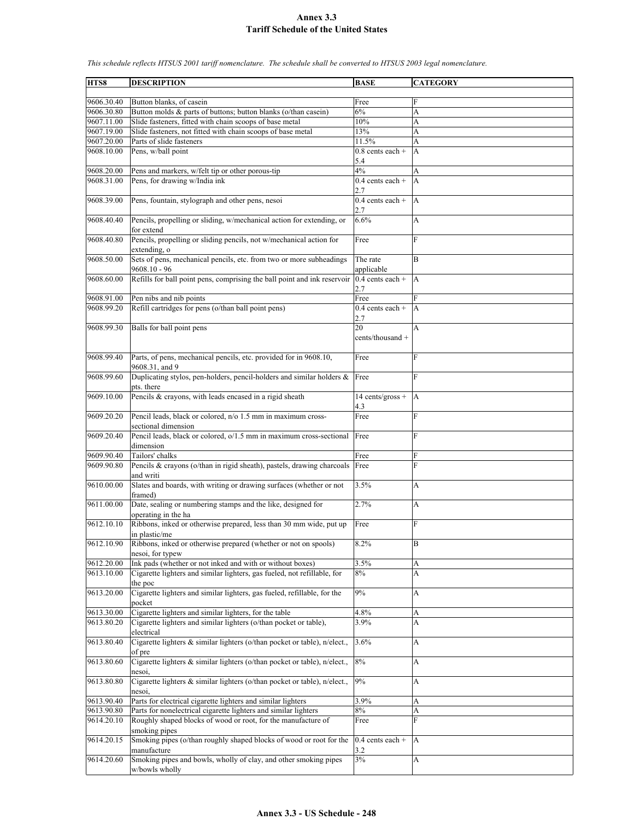| HTS8                     | <b>DESCRIPTION</b>                                                                                                     | <b>BASE</b>               | <b>CATEGORY</b> |
|--------------------------|------------------------------------------------------------------------------------------------------------------------|---------------------------|-----------------|
|                          |                                                                                                                        |                           |                 |
| 9606.30.40               | Button blanks, of casein                                                                                               | Free                      | F               |
| 9606.30.80               | Button molds & parts of buttons; button blanks (o/than casein)                                                         | 6%                        | A               |
| 9607.11.00<br>9607.19.00 | Slide fasteners, fitted with chain scoops of base metal<br>Slide fasteners, not fitted with chain scoops of base metal | $10\%$                    | A               |
| 9607.20.00               | Parts of slide fasteners                                                                                               | 13%<br>11.5%              | A<br>A          |
| 9608.10.00               | Pens, w/ball point                                                                                                     | $0.8$ cents each +        | A               |
|                          |                                                                                                                        | 5.4                       |                 |
| 9608.20.00               | Pens and markers, w/felt tip or other porous-tip                                                                       | 4%                        | A               |
| 9608.31.00               | Pens, for drawing w/India ink                                                                                          | $0.4$ cents each +<br>2.7 | A               |
| 9608.39.00               | Pens, fountain, stylograph and other pens, nesoi                                                                       | $0.4$ cents each +<br>2.7 | A               |
| 9608.40.40               | Pencils, propelling or sliding, w/mechanical action for extending, or<br>for extend                                    | 6.6%                      | A               |
| 9608.40.80               | Pencils, propelling or sliding pencils, not w/mechanical action for<br>extending, o                                    | Free                      | F               |
| 9608.50.00               | Sets of pens, mechanical pencils, etc. from two or more subheadings<br>$9608.10 - 96$                                  | The rate<br>applicable    | B               |
| 9608.60.00               | Refills for ball point pens, comprising the ball point and ink reservoir                                               | $0.4$ cents each +<br>2.7 | A               |
| 9608.91.00               | Pen nibs and nib points                                                                                                | Free                      | F               |
| 9608.99.20               | Refill cartridges for pens (o/than ball point pens)                                                                    | $0.4$ cents each +        | A               |
|                          |                                                                                                                        | 2.7                       |                 |
| 9608.99.30               | Balls for ball point pens                                                                                              | 20<br>cents/thousand +    | A               |
| 9608.99.40               | Parts, of pens, mechanical pencils, etc. provided for in 9608.10,<br>9608.31, and 9                                    | Free                      | F               |
| 9608.99.60               | Duplicating stylos, pen-holders, pencil-holders and similar holders $\&$<br>pts. there                                 | Free                      | F               |
| 9609.10.00               | Pencils & crayons, with leads encased in a rigid sheath                                                                | 14 cents/gross +<br>4.3   | A               |
| 9609.20.20               | Pencil leads, black or colored, n/o 1.5 mm in maximum cross-<br>sectional dimension                                    | Free                      | F               |
| 9609.20.40               | Pencil leads, black or colored, o/1.5 mm in maximum cross-sectional<br>dimension                                       | Free                      | F               |
| 9609.90.40               | Tailors' chalks                                                                                                        | Free                      | F               |
| 9609.90.80               | Pencils & crayons (o/than in rigid sheath), pastels, drawing charcoals<br>and writi                                    | Free                      | F               |
| 9610.00.00               | Slates and boards, with writing or drawing surfaces (whether or not<br>framed)                                         | 3.5%                      | А               |
| 9611.00.00               | Date, sealing or numbering stamps and the like, designed for<br>operating in the ha                                    | 2.7%                      | A               |
| 9612.10.10               | Ribbons, inked or otherwise prepared, less than 30 mm wide, put up<br>in plastic/me                                    | Free                      | F               |
| 9612.10.90               | Ribbons, inked or otherwise prepared (whether or not on spools)<br>nesoi. for typew                                    | 8.2%                      | B               |
| 9612.20.00               | Ink pads (whether or not inked and with or without boxes)                                                              | 3.5%                      | A               |
| 9613.10.00               | Cigarette lighters and similar lighters, gas fueled, not refillable, for<br>the poc                                    | $8\%$                     | A               |
| 9613.20.00               | Cigarette lighters and similar lighters, gas fueled, refillable, for the<br>pocket                                     | 9%                        | A               |
| 9613.30.00               | Cigarette lighters and similar lighters, for the table                                                                 | 4.8%                      | A               |
| 9613.80.20               | Cigarette lighters and similar lighters (o/than pocket or table),                                                      | 3.9%                      | A               |
| 9613.80.40               | electrical<br>Cigarette lighters & similar lighters (o/than pocket or table), n/elect.,                                | 3.6%                      | A               |
| 9613.80.60               | of pre<br>Cigarette lighters & similar lighters (o/than pocket or table), n/elect.,                                    | 8%                        | A               |
| 9613.80.80               | nesoi<br>Cigarette lighters & similar lighters (o/than pocket or table), n/elect.,                                     | 9%                        | А               |
|                          | nesoi.                                                                                                                 |                           |                 |
| 9613.90.40               | Parts for electrical cigarette lighters and similar lighters                                                           | 3.9%                      | A               |
| 9613.90.80               | Parts for nonelectrical cigarette lighters and similar lighters                                                        | $8\%$                     | A               |
| 9614.20.10               | Roughly shaped blocks of wood or root, for the manufacture of<br>smoking pipes                                         | Free                      | F               |
| 9614.20.15               | Smoking pipes (o/than roughly shaped blocks of wood or root for the<br>manufacture                                     | $0.4$ cents each +<br>3.2 | A               |
| 9614.20.60               | Smoking pipes and bowls, wholly of clay, and other smoking pipes<br>w/bowls wholly                                     | $3\%$                     | A               |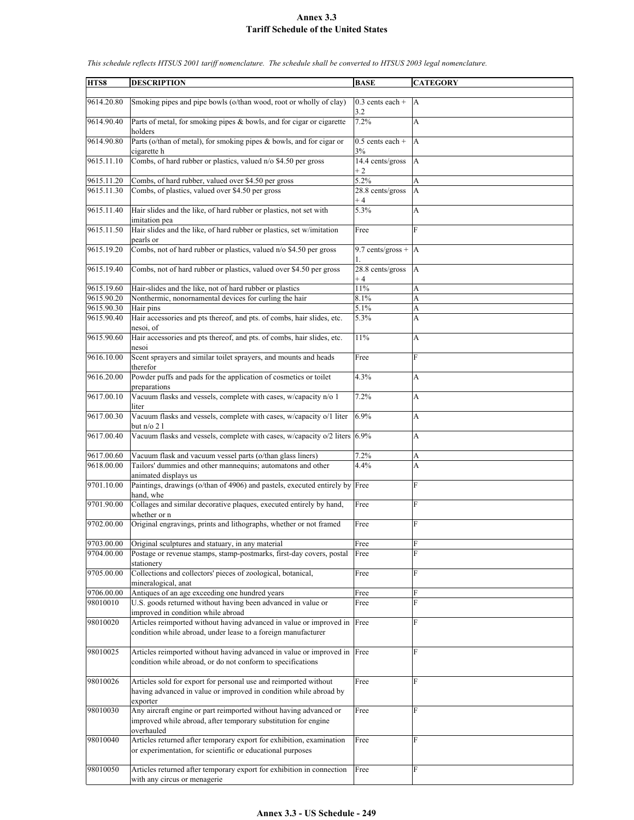| HTS8                     | <b>DESCRIPTION</b>                                                                                                                                | <b>BASE</b>                   | <b>CATEGORY</b>           |
|--------------------------|---------------------------------------------------------------------------------------------------------------------------------------------------|-------------------------------|---------------------------|
| 9614.20.80               | Smoking pipes and pipe bowls (o/than wood, root or wholly of clay)                                                                                | $0.3$ cents each +            | A                         |
| 9614.90.40               | Parts of metal, for smoking pipes & bowls, and for cigar or cigarette                                                                             | 3.2<br>7.2%                   | A                         |
| 9614.90.80               | holders<br>Parts (o/than of metal), for smoking pipes & bowls, and for cigar or<br>cigarette h                                                    | $0.5$ cents each +<br>3%      | A                         |
| 9615.11.10               | Combs, of hard rubber or plastics, valued n/o \$4.50 per gross                                                                                    | 14.4 cents/gross<br>$+2$      | $\mathbf{A}$              |
| 9615.11.20               | Combs, of hard rubber, valued over \$4.50 per gross                                                                                               | 5.2%                          | A                         |
| 9615.11.30               | Combs, of plastics, valued over \$4.50 per gross                                                                                                  | 28.8 cents/gross<br>$+4$      | A                         |
| 9615.11.40               | Hair slides and the like, of hard rubber or plastics, not set with<br>imitation pea                                                               | 5.3%                          | A                         |
| 9615.11.50               | Hair slides and the like, of hard rubber or plastics, set w/imitation<br>pearls or                                                                | Free                          | F                         |
| 9615.19.20               | Combs, not of hard rubber or plastics, valued n/o \$4.50 per gross                                                                                | 9.7 cents/gross + $ A $<br>1. |                           |
| 9615.19.40               | Combs, not of hard rubber or plastics, valued over \$4.50 per gross                                                                               | $28.8$ cents/gross<br>$+4$    | $\overline{A}$            |
| 9615.19.60               | Hair-slides and the like, not of hard rubber or plastics                                                                                          | 11%                           | A                         |
| 9615.90.20               | Nonthermic, nonornamental devices for curling the hair                                                                                            | 8.1%                          | A                         |
| 9615.90.30               | Hair pins                                                                                                                                         | 5.1%                          | A                         |
| 9615.90.40               | Hair accessories and pts thereof, and pts. of combs, hair slides, etc.                                                                            | 5.3%                          | A                         |
| 9615.90.60               | nesoi, of<br>Hair accessories and pts thereof, and pts. of combs, hair slides, etc.                                                               | 11%                           | A                         |
| 9616.10.00               | nesoi<br>Scent sprayers and similar toilet sprayers, and mounts and heads<br>therefor                                                             | Free                          | F                         |
| 9616.20.00               | Powder puffs and pads for the application of cosmetics or toilet<br>preparations                                                                  | 4.3%                          | A                         |
| 9617.00.10               | Vacuum flasks and vessels, complete with cases, w/capacity n/o 1<br>liter                                                                         | 7.2%                          | $\boldsymbol{\mathsf{A}}$ |
| 9617.00.30               | Vacuum flasks and vessels, complete with cases, w/capacity o/1 liter<br>but $n/o 21$                                                              | 6.9%                          | A                         |
| 9617.00.40               | Vacuum flasks and vessels, complete with cases, w/capacity o/2 liters 6.9%                                                                        |                               | A                         |
| 9617.00.60               | Vacuum flask and vacuum vessel parts (o/than glass liners)                                                                                        | 7.2%                          | A                         |
| 9618.00.00               | Tailors' dummies and other mannequins; automatons and other                                                                                       | 4.4%                          | A                         |
| 9701.10.00               | animated displays us<br>Paintings, drawings (o/than of 4906) and pastels, executed entirely by Free                                               |                               | F                         |
| 9701.90.00               | hand, whe<br>Collages and similar decorative plaques, executed entirely by hand,                                                                  | Free                          | F                         |
| 9702.00.00               | whether or n<br>Original engravings, prints and lithographs, whether or not framed                                                                | Free                          | F                         |
|                          |                                                                                                                                                   |                               |                           |
| 9703.00.00<br>9704.00.00 | Original sculptures and statuary, in any material<br>Postage or revenue stamps, stamp-postmarks, first-day covers, postal<br>stationery           | Free<br>Free                  | ${\rm F}$<br>F            |
| 9705.00.00               | Collections and collectors' pieces of zoological, botanical,<br>mineralogical, anat                                                               | Free                          | F                         |
| 9706.00.00               | Antiques of an age exceeding one hundred years                                                                                                    | Free                          | ${\rm F}$                 |
| 98010010                 | U.S. goods returned without having been advanced in value or                                                                                      | Free                          | $\overline{F}$            |
|                          | improved in condition while abroad                                                                                                                |                               |                           |
| 98010020                 | Articles reimported without having advanced in value or improved in Free<br>condition while abroad, under lease to a foreign manufacturer         |                               | F                         |
| 98010025                 | Articles reimported without having advanced in value or improved in<br>condition while abroad, or do not conform to specifications                | Free                          | F                         |
| 98010026                 | Articles sold for export for personal use and reimported without<br>having advanced in value or improved in condition while abroad by<br>exporter | Free                          | F                         |
| 98010030                 | Any aircraft engine or part reimported without having advanced or<br>improved while abroad, after temporary substitution for engine<br>overhauled | Free                          | F                         |
| 98010040                 | Articles returned after temporary export for exhibition, examination<br>or experimentation, for scientific or educational purposes                | Free                          | F                         |
| 98010050                 | Articles returned after temporary export for exhibition in connection<br>with any circus or menagerie                                             | Free                          | F                         |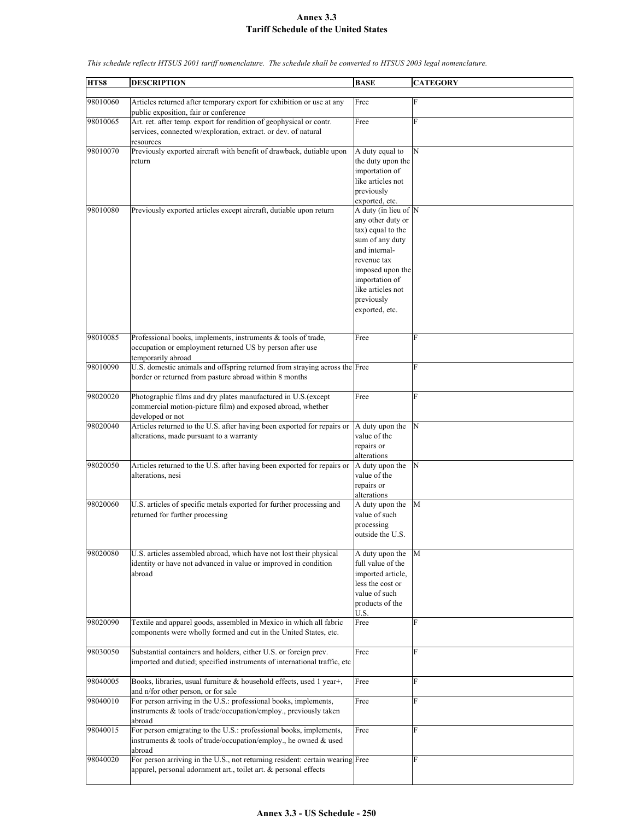**HTS8 DESCRIPTION BASE CATEGORY** 98010060 Articles returned after temporary export for exhibition or use at any public exposition, fair or conference Free F 98010065 Art. ret. after temp. export for rendition of geophysical or contr. services, connected w/exploration, extract. or dev. of natural resources Free F 98010070 Previously exported aircraft with benefit of drawback, dutiable upon return A duty equal to the duty upon the importation of like articles not previously exported, etc. N 98010080 Previously exported articles except aircraft, dutiable upon return any other duty or tax) equal to the sum of any duty and internalrevenue tax imposed upon the importation of like articles not previously exported, etc. A duty (in lieu of N 98010085 Professional books, implements, instruments & tools of trade, occupation or employment returned US by person after use temporarily abroad Free F 98010090 U.S. domestic animals and offspring returned from straying across the Free F border or returned from pasture abroad within 8 months 98020020 Photographic films and dry plates manufactured in U.S.(except commercial motion-picture film) and exposed abroad, whether developed or not Free F 98020040 Articles returned to the U.S. after having been exported for repairs or alterations, made pursuant to a warranty A duty upon the value of the repairs or alterations N 98020050 Articles returned to the U.S. after having been exported for repairs or alterations, nesi A duty upon the value of the repairs or alterations N 98020060 U.S. articles of specific metals exported for further processing and returned for further processing A duty upon the value of such processing outside the U.S. M 98020080 U.S. articles assembled abroad, which have not lost their physical identity or have not advanced in value or improved in condition abroad A duty upon the full value of the imported article, less the cost or value of such products of the U.S. M 98020090 Textile and apparel goods, assembled in Mexico in which all fabric components were wholly formed and cut in the United States, etc. Free F 98030050 Substantial containers and holders, either U.S. or foreign prev. imported and dutied; specified instruments of international traffic, etc Free F 98040005 Books, libraries, usual furniture & household effects, used 1 year+, and n/for other person, or for sale Free F 98040010 For person arriving in the U.S.: professional books, implements, instruments & tools of trade/occupation/employ., previously taken abroad Free F 98040015 For person emigrating to the U.S.: professional books, implements, instruments & tools of trade/occupation/employ., he owned & used abroad Free F 98040020 For person arriving in the U.S., not returning resident: certain wearing Free apparel, personal adornment art., toilet art. & personal effects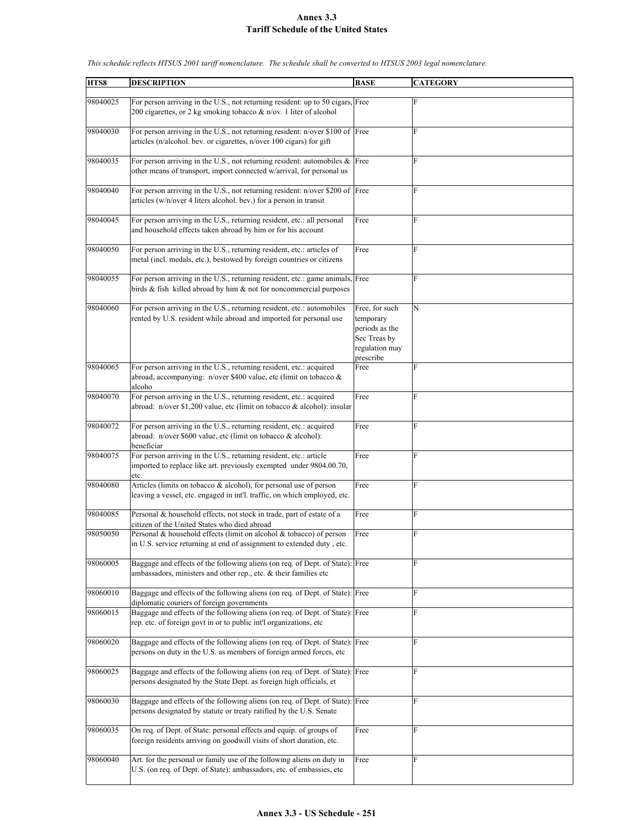| HTS8     | <b>DESCRIPTION</b>                                                                                                                                      | <b>BASE</b>                                                                                  | <b>CATEGORY</b> |
|----------|---------------------------------------------------------------------------------------------------------------------------------------------------------|----------------------------------------------------------------------------------------------|-----------------|
|          |                                                                                                                                                         |                                                                                              |                 |
| 98040025 | For person arriving in the U.S., not returning resident: up to 50 cigars, Free<br>200 cigarettes, or 2 kg smoking tobacco & n/ov. 1 liter of alcohol    |                                                                                              | ${\rm F}$       |
| 98040030 | For person arriving in the U.S., not returning resident: n/over \$100 of Free<br>articles (n/alcohol. bev. or cigarettes, n/over 100 cigars) for gift   |                                                                                              | F               |
| 98040035 | For person arriving in the U.S., not returning resident: automobiles $\&$ Free<br>other means of transport, import connected w/arrival, for personal us |                                                                                              | F               |
| 98040040 | For person arriving in the U.S., not returning resident: n/over \$200 of Free<br>articles (w/n/over 4 liters alcohol. bev.) for a person in transit     |                                                                                              | F               |
| 98040045 | For person arriving in the U.S., returning resident, etc.: all personal<br>and household effects taken abroad by him or for his account                 | Free                                                                                         | F               |
| 98040050 | For person arriving in the U.S., returning resident, etc.: articles of<br>metal (incl. medals, etc.), bestowed by foreign countries or citizens         | Free                                                                                         | $\rm F$         |
| 98040055 | For person arriving in the U.S., returning resident, etc.: game animals, Free<br>birds & fish killed abroad by him & not for noncommercial purposes     |                                                                                              | F               |
| 98040060 | For person arriving in the U.S., returning resident, etc.: automobiles<br>rented by U.S. resident while abroad and imported for personal use            | Free, for such<br>temporary<br>periods as the<br>Sec Treas by<br>regulation may<br>prescribe | $\mathbf N$     |
| 98040065 | For person arriving in the U.S., returning resident, etc.: acquired<br>abroad, accompanying: n/over \$400 value, etc (limit on tobacco &<br>alcoho      | Free                                                                                         | F               |
| 98040070 | For person arriving in the U.S., returning resident, etc.: acquired<br>abroad: n/over \$1,200 value, etc (limit on tobacco & alcohol): insular          | Free                                                                                         | F               |
| 98040072 | For person arriving in the U.S., returning resident, etc.: acquired<br>abroad: n/over \$600 value, etc (limit on tobacco & alcohol):<br>beneficiar      | Free                                                                                         | F               |
| 98040075 | For person arriving in the U.S., returning resident, etc.: article<br>imported to replace like art. previously exempted under 9804.00.70,<br>etc.       | Free                                                                                         | F               |
| 98040080 | Articles (limits on tobacco & alcohol), for personal use of person<br>leaving a vessel, etc. engaged in int'l. traffic, on which employed, etc.         | Free                                                                                         | $\rm F$         |
| 98040085 | Personal & household effects, not stock in trade, part of estate of a<br>citizen of the United States who died abroad                                   | Free                                                                                         | F               |
| 98050050 | Personal & household effects (limit on alcohol & tobacco) of person<br>in U.S. service returning at end of assignment to extended duty, etc.            | Free                                                                                         | F               |
| 98060005 | Baggage and effects of the following aliens (on req. of Dept. of State): Free<br>ambassadors, ministers and other rep., etc. & their families etc       |                                                                                              | F               |
| 98060010 | Baggage and effects of the following aliens (on req. of Dept. of State): Free<br>diplomatic couriers of foreign governments                             |                                                                                              | $\rm F$         |
| 98060015 | Baggage and effects of the following aliens (on req. of Dept. of State): Free<br>rep. etc. of foreign govt in or to public int'l organizations, etc     |                                                                                              | $\rm F$         |
| 98060020 | Baggage and effects of the following aliens (on req. of Dept. of State): Free<br>persons on duty in the U.S. as members of foreign armed forces, etc.   |                                                                                              | $\rm F$         |
| 98060025 | Baggage and effects of the following aliens (on req. of Dept. of State): Free<br>persons designated by the State Dept. as foreign high officials, et    |                                                                                              | $\rm F$         |
| 98060030 | Baggage and effects of the following aliens (on req. of Dept. of State): Free<br>persons designated by statute or treaty ratified by the U.S. Senate    |                                                                                              | F               |
| 98060035 | On req. of Dept. of State: personal effects and equip. of groups of<br>foreign residents arriving on goodwill visits of short duration, etc.            | Free                                                                                         | F               |
| 98060040 | Art. for the personal or family use of the following aliens on duty in<br>U.S. (on req. of Dept. of State): ambassadors, etc. of embassies, etc.        | Free                                                                                         | $\rm F$         |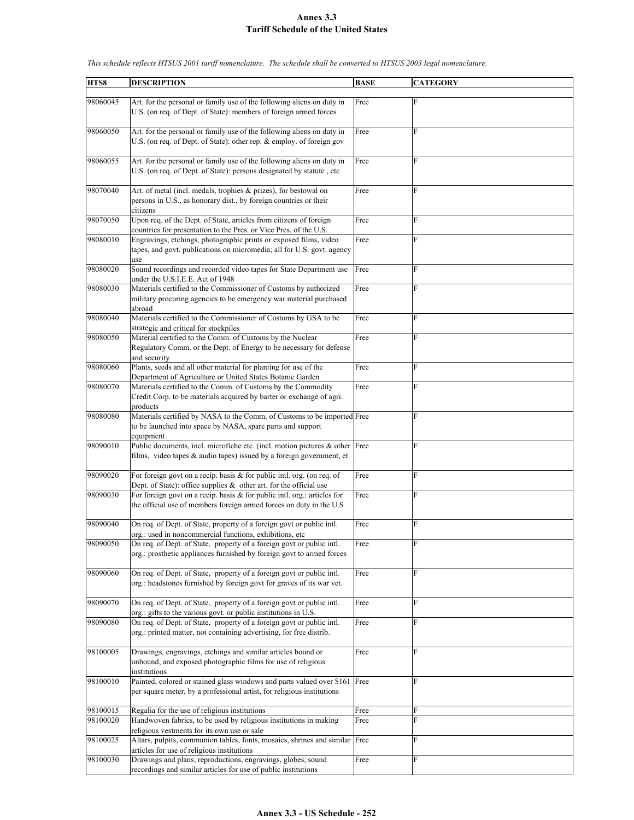| HTS8     | <b>DESCRIPTION</b>                                                                                                                                   | <b>BASE</b> | <b>CATEGORY</b> |
|----------|------------------------------------------------------------------------------------------------------------------------------------------------------|-------------|-----------------|
|          |                                                                                                                                                      |             |                 |
| 98060045 | Art. for the personal or family use of the following aliens on duty in                                                                               | Free        | F               |
|          | U.S. (on reg. of Dept. of State): members of foreign armed forces                                                                                    |             |                 |
|          |                                                                                                                                                      |             |                 |
| 98060050 | Art. for the personal or family use of the following aliens on duty in                                                                               | Free        | F               |
|          | U.S. (on req. of Dept. of State): other rep. & employ. of foreign gov                                                                                |             |                 |
|          |                                                                                                                                                      |             |                 |
| 98060055 | Art. for the personal or family use of the following aliens on duty in                                                                               | Free        | F               |
|          | U.S. (on req. of Dept. of State): persons designated by statute, etc                                                                                 |             |                 |
|          |                                                                                                                                                      |             |                 |
| 98070040 | Art. of metal (incl. medals, trophies & prizes), for bestowal on                                                                                     | Free        | $\overline{F}$  |
|          | persons in U.S., as honorary dist., by foreign countries or their                                                                                    |             |                 |
|          | citizens                                                                                                                                             |             |                 |
| 98070050 | Upon req. of the Dept. of State, articles from citizens of foreign                                                                                   | Free        | F               |
|          | countries for presentation to the Pres. or Vice Pres. of the U.S.                                                                                    |             |                 |
| 98080010 | Engravings, etchings, photographic prints or exposed films, video                                                                                    | Free        | F               |
|          | tapes, and govt. publications on micromedia; all for U.S. govt. agency                                                                               |             |                 |
| 98080020 | use<br>Sound recordings and recorded video tapes for State Department use                                                                            | Free        | F               |
|          | under the U.S.I.E.E. Act of 1948                                                                                                                     |             |                 |
| 98080030 | Materials certified to the Commissioner of Customs by authorized                                                                                     | Free        | F               |
|          | military procuring agencies to be emergency war material purchased                                                                                   |             |                 |
|          | abroad                                                                                                                                               |             |                 |
| 98080040 | Materials certified to the Commissioner of Customs by GSA to be                                                                                      | Free        | F               |
|          | strategic and critical for stockpiles                                                                                                                |             |                 |
| 98080050 | Material certified to the Comm. of Customs by the Nuclear                                                                                            | Free        | F               |
|          | Regulatory Comm. or the Dept. of Energy to be necessary for defense                                                                                  |             |                 |
|          | and security                                                                                                                                         |             |                 |
| 98080060 | Plants, seeds and all other material for planting for use of the                                                                                     | Free        | F               |
|          | Department of Agriculture or United States Botanic Garden                                                                                            |             |                 |
| 98080070 | Materials certified to the Comm. of Customs by the Commodity                                                                                         | Free        | F               |
|          | Credit Corp. to be materials acquired by barter or exchange of agri.                                                                                 |             |                 |
|          | products                                                                                                                                             |             |                 |
| 98080080 | Materials certified by NASA to the Comm. of Customs to be imported Free                                                                              |             | F               |
|          | to be launched into space by NASA, spare parts and support<br>equipment                                                                              |             |                 |
| 98090010 | Public documents, incl. microfiche etc. (incl. motion pictures & other Free                                                                          |             | F               |
|          | films, video tapes & audio tapes) issued by a foreign government, et                                                                                 |             |                 |
|          |                                                                                                                                                      |             |                 |
| 98090020 | For foreign govt on a recip. basis & for public intl. org. (on req. of                                                                               | Free        | F               |
|          | Dept. of State): office supplies $\&$ other art. for the official use                                                                                |             |                 |
| 98090030 | For foreign govt on a recip. basis $&$ for public intl. org.: articles for                                                                           | Free        | F               |
|          | the official use of members foreign armed forces on duty in the U.S.                                                                                 |             |                 |
|          |                                                                                                                                                      |             |                 |
| 98090040 | On req. of Dept. of State, property of a foreign govt or public intl.                                                                                | Free        | F               |
|          | org.: used in noncommercial functions, exhibitions, etc                                                                                              |             |                 |
| 98090050 | On req. of Dept. of State, property of a foreign govt or public intl.                                                                                | Free        | ${\rm F}$       |
|          | org.: prosthetic appliances furnished by foreign govt to armed forces                                                                                |             |                 |
| 98090060 | On req. of Dept. of State, property of a foreign govt or public intl.                                                                                | Free        | ${\rm F}$       |
|          | org.: headstones furnished by foreign govt for graves of its war vet.                                                                                |             |                 |
|          |                                                                                                                                                      |             |                 |
| 98090070 | On req. of Dept. of State, property of a foreign govt or public intl.                                                                                | Free        | F               |
|          | org.: gifts to the various govt. or public institutions in U.S.                                                                                      |             |                 |
| 98090080 | On req. of Dept. of State, property of a foreign govt or public intl.                                                                                | Free        | ${\rm F}$       |
|          | org.: printed matter, not containing advertising, for free distrib.                                                                                  |             |                 |
|          |                                                                                                                                                      |             |                 |
| 98100005 | Drawings, engravings, etchings and similar articles bound or                                                                                         | Free        | F               |
|          | unbound, and exposed photographic films for use of religious                                                                                         |             |                 |
|          | institutions                                                                                                                                         |             | F               |
| 98100010 | Painted, colored or stained glass windows and parts valued over \$161 Free<br>per square meter, by a professional artist, for religious institutions |             |                 |
|          |                                                                                                                                                      |             |                 |
| 98100015 | Regalia for the use of religious institutions                                                                                                        | Free        | F               |
| 98100020 | Handwoven fabrics, to be used by religious institutions in making                                                                                    | Free        | F               |
|          | religious vestments for its own use or sale                                                                                                          |             |                 |
| 98100025 | Altars, pulpits, communion tables, fonts, mosaics, shrines and similar Free                                                                          |             | F               |
|          | articles for use of religious institutions                                                                                                           |             |                 |
| 98100030 | Drawings and plans, reproductions, engravings, globes, sound                                                                                         | Free        | ${\rm F}$       |
|          | recordings and similar articles for use of public institutions                                                                                       |             |                 |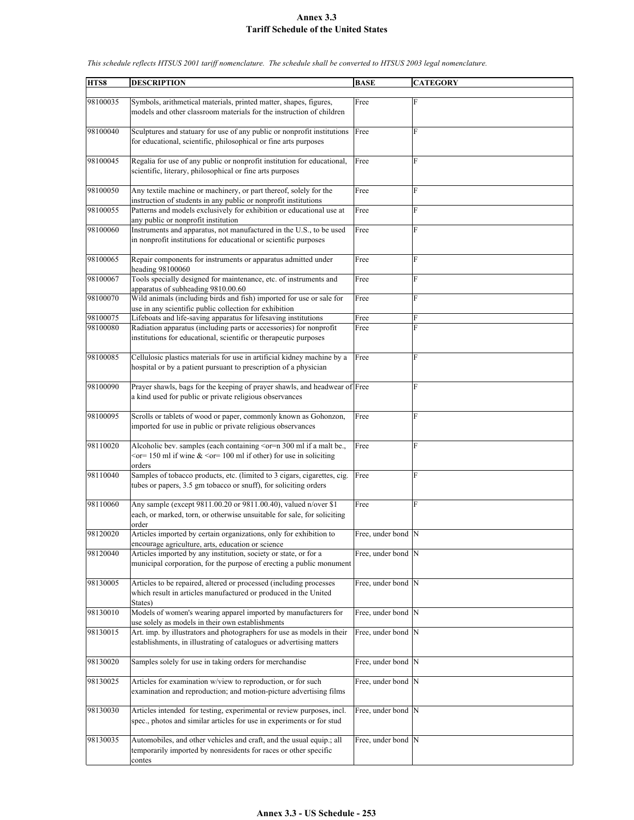## **Annex 3.3 Tariff Schedule of the United States**

| HTS8     | <b>DESCRIPTION</b>                                                                                                                             | <b>BASE</b>         | <b>CATEGORY</b> |
|----------|------------------------------------------------------------------------------------------------------------------------------------------------|---------------------|-----------------|
|          |                                                                                                                                                |                     |                 |
| 98100035 | Symbols, arithmetical materials, printed matter, shapes, figures,                                                                              | Free                | F               |
|          | models and other classroom materials for the instruction of children                                                                           |                     |                 |
| 98100040 | Sculptures and statuary for use of any public or nonprofit institutions                                                                        | Free                | F               |
|          | for educational, scientific, philosophical or fine arts purposes                                                                               |                     |                 |
|          |                                                                                                                                                |                     |                 |
| 98100045 | Regalia for use of any public or nonprofit institution for educational,                                                                        | Free                | F               |
|          | scientific, literary, philosophical or fine arts purposes                                                                                      |                     |                 |
| 98100050 | Any textile machine or machinery, or part thereof, solely for the                                                                              | Free                | F               |
|          | instruction of students in any public or nonprofit institutions                                                                                |                     |                 |
| 98100055 | Patterns and models exclusively for exhibition or educational use at<br>any public or nonprofit institution                                    | Free                | F               |
| 98100060 | Instruments and apparatus, not manufactured in the U.S., to be used                                                                            | Free                | F               |
|          | in nonprofit institutions for educational or scientific purposes                                                                               |                     |                 |
|          |                                                                                                                                                |                     |                 |
| 98100065 | Repair components for instruments or apparatus admitted under<br>heading 98100060                                                              | Free                | F               |
| 98100067 | Tools specially designed for maintenance, etc. of instruments and                                                                              | Free                | F               |
|          | apparatus of subheading 9810.00.60                                                                                                             |                     |                 |
| 98100070 | Wild animals (including birds and fish) imported for use or sale for<br>use in any scientific public collection for exhibition                 | Free                | F               |
| 98100075 | Lifeboats and life-saving apparatus for lifesaving institutions                                                                                | Free                | F               |
| 98100080 | Radiation apparatus (including parts or accessories) for nonprofit                                                                             | Free                | F               |
|          | institutions for educational, scientific or therapeutic purposes                                                                               |                     |                 |
| 98100085 | Cellulosic plastics materials for use in artificial kidney machine by a                                                                        | Free                | F               |
|          | hospital or by a patient pursuant to prescription of a physician                                                                               |                     |                 |
|          |                                                                                                                                                |                     |                 |
| 98100090 | Prayer shawls, bags for the keeping of prayer shawls, and headwear of Free<br>a kind used for public or private religious observances          |                     | F               |
|          |                                                                                                                                                |                     |                 |
| 98100095 | Scrolls or tablets of wood or paper, commonly known as Gohonzon,                                                                               | Free                | F               |
|          | imported for use in public or private religious observances                                                                                    |                     |                 |
| 98110020 | Alcoholic bev. samples (each containing <or=n 300="" a="" be.,<="" if="" malt="" ml="" td=""><td>Free</td><td>F</td></or=n>                    | Free                | F               |
|          | $\epsilon$ or= 150 ml if wine & $\epsilon$ or= 100 ml if other) for use in soliciting                                                          |                     |                 |
|          | orders                                                                                                                                         |                     |                 |
| 98110040 | Samples of tobacco products, etc. (limited to 3 cigars, cigarettes, cig.                                                                       | Free                | F               |
|          | tubes or papers, 3.5 gm tobacco or snuff), for soliciting orders                                                                               |                     |                 |
| 98110060 | Any sample (except 9811.00.20 or 9811.00.40), valued n/over \$1                                                                                | Free                | F               |
|          | each, or marked, torn, or otherwise unsuitable for sale, for soliciting                                                                        |                     |                 |
|          | order                                                                                                                                          |                     |                 |
| 98120020 | Articles imported by certain organizations, only for exhibition to<br>encourage agriculture, arts, education or science                        | Free, under bond N  |                 |
| 98120040 | Articles imported by any institution, society or state, or for a                                                                               | Free, under bond N  |                 |
|          | municipal corporation, for the purpose of erecting a public monument                                                                           |                     |                 |
| 98130005 | Articles to be repaired, altered or processed (including processes                                                                             | Free, under bond N  |                 |
|          | which result in articles manufactured or produced in the United                                                                                |                     |                 |
|          | States)                                                                                                                                        |                     |                 |
| 98130010 | Models of women's wearing apparel imported by manufacturers for                                                                                | Free, under bond N  |                 |
| 98130015 | use solely as models in their own establishments<br>Art. imp. by illustrators and photographers for use as models in their                     | Free, under bond N  |                 |
|          | establishments, in illustrating of catalogues or advertising matters                                                                           |                     |                 |
|          |                                                                                                                                                |                     |                 |
| 98130020 | Samples solely for use in taking orders for merchandise                                                                                        | Free, under bond  N |                 |
| 98130025 | Articles for examination w/view to reproduction, or for such                                                                                   | Free, under bond N  |                 |
|          | examination and reproduction; and motion-picture advertising films                                                                             |                     |                 |
|          |                                                                                                                                                |                     |                 |
| 98130030 | Articles intended for testing, experimental or review purposes, incl.<br>spec., photos and similar articles for use in experiments or for stud | Free, under bond N  |                 |
|          |                                                                                                                                                |                     |                 |
| 98130035 | Automobiles, and other vehicles and craft, and the usual equip.; all                                                                           | Free, under bond N  |                 |
|          | temporarily imported by nonresidents for races or other specific<br>contes                                                                     |                     |                 |

*This schedule reflects HTSUS 2001 tariff nomenclature. The schedule shall be converted to HTSUS 2003 legal nomenclature.*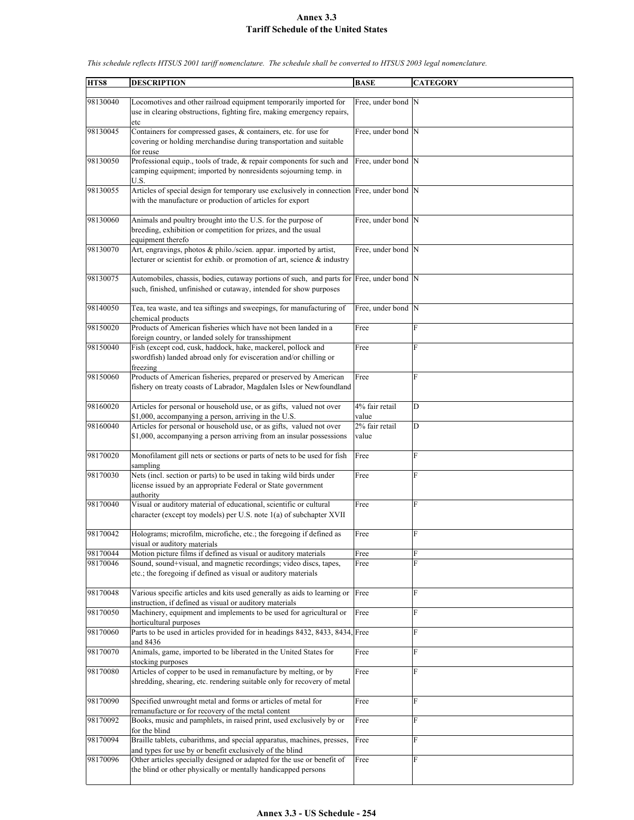## **Annex 3.3 Tariff Schedule of the United States**

| HTS8                 | <b>DESCRIPTION</b>                                                                                                                                                                                     | <b>BASE</b>             | <b>CATEGORY</b> |
|----------------------|--------------------------------------------------------------------------------------------------------------------------------------------------------------------------------------------------------|-------------------------|-----------------|
| 98130040             | Locomotives and other railroad equipment temporarily imported for<br>use in clearing obstructions, fighting fire, making emergency repairs,<br>etc                                                     | Free, under bond N      |                 |
| 98130045             | Containers for compressed gases, & containers, etc. for use for<br>covering or holding merchandise during transportation and suitable<br>for reuse                                                     | Free, under bond N      |                 |
| 98130050             | Professional equip., tools of trade, & repair components for such and<br>camping equipment; imported by nonresidents sojourning temp. in<br>U.S.                                                       | Free, under bond N      |                 |
| 98130055             | Articles of special design for temporary use exclusively in connection Free, under bond N<br>with the manufacture or production of articles for export                                                 |                         |                 |
| 98130060             | Animals and poultry brought into the U.S. for the purpose of<br>breeding, exhibition or competition for prizes, and the usual<br>equipment therefo                                                     | Free, under bond N      |                 |
| 98130070             | Art, engravings, photos & philo./scien. appar. imported by artist,<br>lecturer or scientist for exhib. or promotion of art, science & industry                                                         | Free, under bond N      |                 |
| 98130075             | Automobiles, chassis, bodies, cutaway portions of such, and parts for Free, under bond N<br>such, finished, unfinished or cutaway, intended for show purposes                                          |                         |                 |
| 98140050             | Tea, tea waste, and tea siftings and sweepings, for manufacturing of<br>chemical products                                                                                                              | Free, under bond N      |                 |
| 98150020             | Products of American fisheries which have not been landed in a<br>foreign country, or landed solely for transshipment                                                                                  | Free                    | F               |
| 98150040             | Fish (except cod, cusk, haddock, hake, mackerel, pollock and<br>swordfish) landed abroad only for evisceration and/or chilling or<br>freezing                                                          | Free                    | F               |
| 98150060             | Products of American fisheries, prepared or preserved by American<br>fishery on treaty coasts of Labrador, Magdalen Isles or Newfoundland                                                              | Free                    | F               |
| 98160020             | Articles for personal or household use, or as gifts, valued not over<br>\$1,000, accompanying a person, arriving in the U.S.                                                                           | 4% fair retail<br>value | D               |
| 98160040             | Articles for personal or household use, or as gifts, valued not over<br>\$1,000, accompanying a person arriving from an insular possessions                                                            | 2% fair retail<br>value | D               |
| 98170020             | Monofilament gill nets or sections or parts of nets to be used for fish<br>sampling                                                                                                                    | Free                    | F               |
| 98170030             | Nets (incl. section or parts) to be used in taking wild birds under<br>license issued by an appropriate Federal or State government<br>authority                                                       | Free                    | F               |
| 98170040             | Visual or auditory material of educational, scientific or cultural<br>character (except toy models) per U.S. note 1(a) of subchapter XVII                                                              | Free                    | F               |
| 98170042             | Holograms; microfilm, microfiche, etc.; the foregoing if defined as<br>visual or auditory materials                                                                                                    | Free                    | F               |
| 98170044<br>98170046 | Motion picture films if defined as visual or auditory materials<br>Sound, sound+visual, and magnetic recordings; video discs, tapes,<br>etc.; the foregoing if defined as visual or auditory materials | Free<br>Free            | F<br>F          |
| 98170048             | Various specific articles and kits used generally as aids to learning or Free<br>instruction, if defined as visual or auditory materials                                                               |                         | ${\bf F}$       |
| 98170050             | Machinery, equipment and implements to be used for agricultural or<br>horticultural purposes                                                                                                           | Free                    | F               |
| 98170060             | Parts to be used in articles provided for in headings 8432, 8433, 8434, Free<br>and 8436                                                                                                               |                         | F               |
| 98170070             | Animals, game, imported to be liberated in the United States for<br>stocking purposes                                                                                                                  | Free                    | F               |
| 98170080             | Articles of copper to be used in remanufacture by melting, or by<br>shredding, shearing, etc. rendering suitable only for recovery of metal                                                            | Free                    | F               |
| 98170090             | Specified unwrought metal and forms or articles of metal for<br>remanufacture or for recovery of the metal content                                                                                     | Free                    | F               |
| 98170092             | Books, music and pamphlets, in raised print, used exclusively by or<br>for the blind                                                                                                                   | Free                    | F               |
| 98170094             | Braille tablets, cubarithms, and special apparatus, machines, presses,                                                                                                                                 | Free                    | F               |
| 98170096             | and types for use by or benefit exclusively of the blind<br>Other articles specially designed or adapted for the use or benefit of<br>the blind or other physically or mentally handicapped persons    | Free                    | F               |

*This schedule reflects HTSUS 2001 tariff nomenclature. The schedule shall be converted to HTSUS 2003 legal nomenclature.*